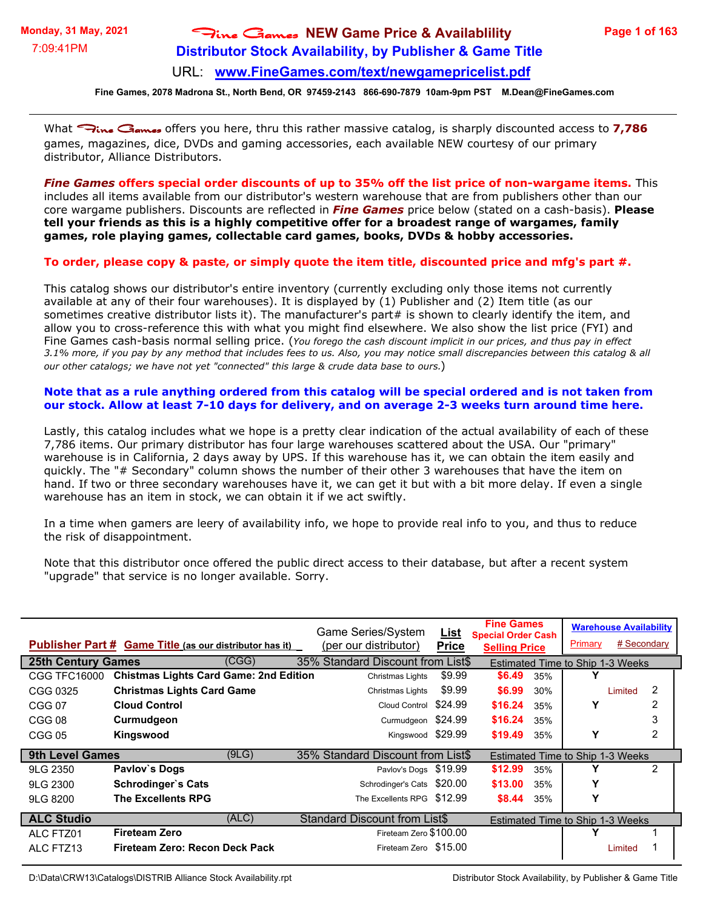# **Distributor Stock Availability, by Publisher & Game Title** Fine Games **NEW Game Price & Availablility**

#### URL: **[www.FineGames.com/text/newgamepricelist.pdf](http://www.FineGames.com/text/newgamepricelist.pdf)**

**Fine Games, 2078 Madrona St., North Bend, OR 97459-2143 866-690-7879 10am-9pm PST M.Dean@FineGames.com**

What *Fine Games* offers you here, thru this rather massive catalog, is sharply discounted access to **7,786** games, magazines, dice, DVDs and gaming accessories, each available NEW courtesy of our primary distributor, Alliance Distributors.

*Fine Games* **offers special order discounts of up to 35% off the list price of non-wargame items.** This includes all items available from our distributor's western warehouse that are from publishers other than our core wargame publishers. Discounts are reflected in *Fine Games* price below (stated on a cash-basis). **Please tell your friends as this is a highly competitive offer for a broadest range of wargames, family games, role playing games, collectable card games, books, DVDs & hobby accessories.**

#### **To order, please copy & paste, or simply quote the item title, discounted price and mfg's part #.**

This catalog shows our distributor's entire inventory (currently excluding only those items not currently available at any of their four warehouses). It is displayed by (1) Publisher and (2) Item title (as our sometimes creative distributor lists it). The manufacturer's part# is shown to clearly identify the item, and allow you to cross-reference this with what you might find elsewhere. We also show the list price (FYI) and Fine Games cash-basis normal selling price. (*You forego the cash discount implicit in our prices, and thus pay in effect 3.1% more, if you pay by any method that includes fees to us. Also, you may notice small discrepancies between this catalog & all our other catalogs; we have not yet "connected" this large & crude data base to ours.*)

#### **Note that as a rule anything ordered from this catalog will be special ordered and is not taken from our stock. Allow at least 7-10 days for delivery, and on average 2-3 weeks turn around time here.**

Lastly, this catalog includes what we hope is a pretty clear indication of the actual availability of each of these 7,786 items. Our primary distributor has four large warehouses scattered about the USA. Our "primary" warehouse is in California, 2 days away by UPS. If this warehouse has it, we can obtain the item easily and quickly. The "# Secondary" column shows the number of their other 3 warehouses that have the item on hand. If two or three secondary warehouses have it, we can get it but with a bit more delay. If even a single warehouse has an item in stock, we can obtain it if we act swiftly.

In a time when gamers are leery of availability info, we hope to provide real info to you, and thus to reduce the risk of disappointment.

Note that this distributor once offered the public direct access to their database, but after a recent system "upgrade" that service is no longer available. Sorry.

|                           | Publisher Part # Game Title (as our distributor has it) |       | Game Series/System<br>(per our distributor) | <b>List</b><br><b>Price</b> | <b>Fine Games</b><br><b>Special Order Cash</b><br><b>Selling Price</b> |     | <b>Warehouse Availability</b><br>Primary | # Secondary |                |
|---------------------------|---------------------------------------------------------|-------|---------------------------------------------|-----------------------------|------------------------------------------------------------------------|-----|------------------------------------------|-------------|----------------|
| <b>25th Century Games</b> |                                                         | (CGG) | 35% Standard Discount from List\$           |                             |                                                                        |     | <b>Estimated Time to Ship 1-3 Weeks</b>  |             |                |
| <b>CGG TFC16000</b>       | <b>Chistmas Lights Card Game: 2nd Edition</b>           |       | Christmas Lights                            | \$9.99                      | \$6.49                                                                 | 35% |                                          |             |                |
| CGG 0325                  | <b>Christmas Lights Card Game</b>                       |       | Christmas Lights                            | \$9.99                      | \$6.99                                                                 | 30% |                                          | Limited     | 2              |
| CGG 07                    | <b>Cloud Control</b>                                    |       | <b>Cloud Control</b>                        | \$24.99                     | \$16.24                                                                | 35% | Y                                        |             | 2              |
| CGG 08                    | Curmudgeon                                              |       | Curmudgeon                                  | \$24.99                     | \$16.24                                                                | 35% |                                          |             | 3              |
| <b>CGG 05</b>             | Kingswood                                               |       | Kingswood \$29.99                           |                             | \$19.49                                                                | 35% | Υ                                        |             | $\overline{2}$ |
| <b>9th Level Games</b>    |                                                         | (9LG) | 35% Standard Discount from List\$           |                             |                                                                        |     | <b>Estimated Time to Ship 1-3 Weeks</b>  |             |                |
| 9LG 2350                  | Pavlov's Dogs                                           |       | Pavlov's Dogs \$19.99                       |                             | \$12.99                                                                | 35% |                                          |             | 2              |
| 9LG 2300                  | Schrodinger's Cats                                      |       | Schrodinger's Cats \$20.00                  |                             | \$13.00                                                                | 35% | Υ                                        |             |                |
| 9LG 8200                  | <b>The Excellents RPG</b>                               |       | The Excellents RPG \$12.99                  |                             | \$8.44                                                                 | 35% |                                          |             |                |
| <b>ALC Studio</b>         |                                                         | (ALC) | <b>Standard Discount from List\$</b>        |                             |                                                                        |     | Estimated Time to Ship 1-3 Weeks         |             |                |
| ALC FTZ01                 | <b>Fireteam Zero</b>                                    |       | Fireteam Zero \$100.00                      |                             |                                                                        |     |                                          |             |                |
| ALC FTZ13                 | Fireteam Zero: Recon Deck Pack                          |       | Fireteam Zero \$15.00                       |                             |                                                                        |     |                                          | Limited     |                |

D:\Data\CRW13\Catalogs\DISTRIB Alliance Stock Availability.rpt Distributor Stock Availability, by Publisher & Game Title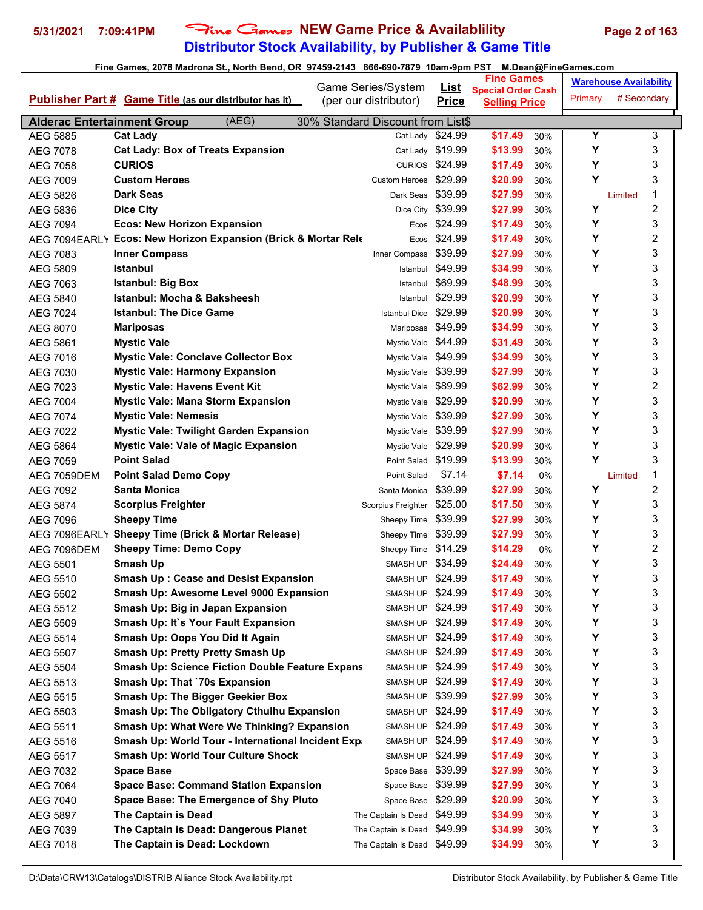## **Distributor Stock Availability, by Publisher & Game Title** 5/31/2021 7:09:41PM Fine Games NEW Game Price & Availablility Page 2 of 163

|                                                |                                                                                              | Game Series/System                | <b>List</b>           | <b>Fine Games</b>                                 |         | <b>Warehouse Availability</b> |
|------------------------------------------------|----------------------------------------------------------------------------------------------|-----------------------------------|-----------------------|---------------------------------------------------|---------|-------------------------------|
|                                                | <b>Publisher Part # Game Title (as our distributor has it)</b>                               | (per our distributor)             | <b>Price</b>          | <b>Special Order Cash</b><br><b>Selling Price</b> | Primary | # Secondary                   |
|                                                |                                                                                              |                                   |                       |                                                   |         |                               |
| <b>Alderac Entertainment Group</b><br>AEG 5885 | (AEG)                                                                                        | 30% Standard Discount from List\$ | Cat Lady \$24.99      | \$17.49                                           | Υ       | 3                             |
| AEG 7078                                       | <b>Cat Lady</b><br><b>Cat Lady: Box of Treats Expansion</b>                                  |                                   | Cat Lady \$19.99      | 30%<br>\$13.99<br>30%                             | Y       | 3                             |
| AEG 7058                                       | <b>CURIOS</b>                                                                                |                                   | <b>CURIOS \$24.99</b> | \$17.49<br>30%                                    | Y       | 3                             |
|                                                | <b>Custom Heroes</b>                                                                         | Custom Heroes                     | \$29.99               | \$20.99<br>30%                                    | Y       | 3                             |
| AEG 7009                                       | <b>Dark Seas</b>                                                                             | Dark Seas \$39.99                 |                       | \$27.99<br>30%                                    |         | 1<br>Limited                  |
| AEG 5826                                       |                                                                                              |                                   | \$39.99               | \$27.99<br>30%                                    | Y       | $\overline{c}$                |
| AEG 5836<br>AEG 7094                           | <b>Dice City</b><br><b>Ecos: New Horizon Expansion</b>                                       | Dice City                         | Ecos \$24.99          | \$17.49<br>30%                                    | Y       | 3                             |
|                                                | AEG 7094EARLY Ecos: New Horizon Expansion (Brick & Mortar Rele                               |                                   | Ecos \$24.99          | \$17.49<br>30%                                    | Y       | $\overline{2}$                |
| AEG 7083                                       | <b>Inner Compass</b>                                                                         |                                   | \$39.99               | \$27.99<br>30%                                    | Y       | 3                             |
| AEG 5809                                       | <b>Istanbul</b>                                                                              | Inner Compass<br>Istanbul         | \$49.99               | \$34.99<br>30%                                    | Y       | 3                             |
| AEG 7063                                       | <b>Istanbul: Big Box</b>                                                                     | Istanbul                          | \$69.99               | \$48.99<br>30%                                    |         | 3                             |
| AEG 5840                                       | <b>Istanbul: Mocha &amp; Baksheesh</b>                                                       | Istanbul                          | \$29.99               | \$20.99<br>30%                                    | Y       | 3                             |
| AEG 7024                                       | <b>Istanbul: The Dice Game</b>                                                               | <b>Istanbul Dice</b>              | \$29.99               | \$20.99<br>30%                                    | Y       | 3                             |
| AEG 8070                                       | <b>Mariposas</b>                                                                             | Mariposas \$49.99                 |                       | \$34.99<br>30%                                    | Y       | 3                             |
| AEG 5861                                       | <b>Mystic Vale</b>                                                                           | Mystic Vale \$44.99               |                       | \$31.49<br>30%                                    | Y       | 3                             |
|                                                | <b>Mystic Vale: Conclave Collector Box</b>                                                   | Mystic Vale \$49.99               |                       | \$34.99<br>30%                                    | Y       | 3                             |
| AEG 7016                                       | <b>Mystic Vale: Harmony Expansion</b>                                                        | Mystic Vale \$39.99               |                       | \$27.99<br>30%                                    | Υ       | 3                             |
| AEG 7030                                       | <b>Mystic Vale: Havens Event Kit</b>                                                         | Mystic Vale \$89.99               |                       |                                                   | Y       | $\overline{c}$                |
| AEG 7023                                       |                                                                                              | Mystic Vale \$29.99               |                       | \$62.99<br>30%                                    | Y       | 3                             |
| <b>AEG 7004</b><br>AEG 7074                    | <b>Mystic Vale: Mana Storm Expansion</b><br><b>Mystic Vale: Nemesis</b>                      | Mystic Vale \$39.99               |                       | \$20.99<br>30%<br>\$27.99<br>30%                  | Y       | 3                             |
|                                                |                                                                                              | Mystic Vale \$39.99               |                       | \$27.99<br>30%                                    | Y       | 3                             |
| AEG 7022<br>AEG 5864                           | <b>Mystic Vale: Twilight Garden Expansion</b><br><b>Mystic Vale: Vale of Magic Expansion</b> | Mystic Vale \$29.99               |                       | \$20.99<br>30%                                    | Y       | 3                             |
| AEG 7059                                       | <b>Point Salad</b>                                                                           | Point Salad \$19.99               |                       | \$13.99<br>30%                                    | Y       | 3                             |
| AEG 7059DEM                                    | <b>Point Salad Demo Copy</b>                                                                 | Point Salad                       | \$7.14                | \$7.14<br>0%                                      |         | 1<br>Limited                  |
| AEG 7092                                       | Santa Monica                                                                                 | Santa Monica                      | \$39.99               | \$27.99<br>30%                                    | Y       | $\overline{2}$                |
| AEG 5874                                       | <b>Scorpius Freighter</b>                                                                    | Scorpius Freighter                | \$25.00               | \$17.50<br>30%                                    | Y       | 3                             |
| AEG 7096                                       | <b>Sheepy Time</b>                                                                           | Sheepy Time                       | \$39.99               | \$27.99<br>30%                                    | Y       | 3                             |
|                                                | AEG 7096EARL\ Sheepy Time (Brick & Mortar Release)                                           | Sheepy Time \$39.99               |                       | \$27.99<br>30%                                    | Υ       | 3                             |
| AEG 7096DEM                                    | <b>Sheepy Time: Demo Copy</b>                                                                | Sheepy Time \$14.29               |                       | \$14.29<br>0%                                     | Y       | $\overline{c}$                |
| AEG 5501                                       | Smash Up                                                                                     | SMASH UP \$34.99                  |                       | \$24.49<br>30%                                    | Y       | 3                             |
| AEG 5510                                       | <b>Smash Up: Cease and Desist Expansion</b>                                                  | SMASH UP \$24.99                  |                       | \$17.49<br>30%                                    | Y       | 3                             |
| AEG 5502                                       | Smash Up: Awesome Level 9000 Expansion                                                       | SMASH UP \$24.99                  |                       | \$17.49<br>30%                                    | Y       | 3                             |
| AEG 5512                                       | Smash Up: Big in Japan Expansion                                                             | SMASH UP \$24.99                  |                       | \$17.49<br>30%                                    | Y       | 3                             |
| AEG 5509                                       | <b>Smash Up: It's Your Fault Expansion</b>                                                   | SMASH UP \$24.99                  |                       | \$17.49<br>30%                                    | Υ       | 3                             |
| AEG 5514                                       | Smash Up: Oops You Did It Again                                                              | SMASH UP \$24.99                  |                       | \$17.49<br>30%                                    | Υ       | 3                             |
| AEG 5507                                       | Smash Up: Pretty Pretty Smash Up                                                             | SMASH UP \$24.99                  |                       | \$17.49<br>30%                                    | Y       | 3                             |
| <b>AEG 5504</b>                                | <b>Smash Up: Science Fiction Double Feature Expans</b>                                       | SMASH UP \$24.99                  |                       | \$17.49<br>30%                                    | Υ       | 3                             |
| AEG 5513                                       | Smash Up: That `70s Expansion                                                                | SMASH UP \$24.99                  |                       | \$17.49<br>30%                                    | Y       | 3                             |
| AEG 5515                                       | Smash Up: The Bigger Geekier Box                                                             | SMASH UP \$39.99                  |                       | \$27.99<br>30%                                    | Y       | 3                             |
| AEG 5503                                       | <b>Smash Up: The Obligatory Cthulhu Expansion</b>                                            | SMASH UP \$24.99                  |                       | \$17.49<br>30%                                    | Υ       | 3                             |
| AEG 5511                                       | Smash Up: What Were We Thinking? Expansion                                                   | SMASH UP \$24.99                  |                       | \$17.49<br>30%                                    | Υ       | 3                             |
| AEG 5516                                       | Smash Up: World Tour - International Incident Exp                                            | SMASH UP \$24.99                  |                       | \$17.49<br>30%                                    | Υ       | 3                             |
| AEG 5517                                       | <b>Smash Up: World Tour Culture Shock</b>                                                    | SMASH UP \$24.99                  |                       | \$17.49<br>30%                                    | Y       | 3                             |
| AEG 7032                                       | <b>Space Base</b>                                                                            | Space Base \$39.99                |                       | \$27.99<br>30%                                    | Υ       | 3                             |
| AEG 7064                                       | <b>Space Base: Command Station Expansion</b>                                                 | Space Base \$39.99                |                       | \$27.99<br>30%                                    | Y       | 3                             |
| AEG 7040                                       | Space Base: The Emergence of Shy Pluto                                                       | Space Base \$29.99                |                       | \$20.99<br>30%                                    | Y       | 3                             |
| AEG 5897                                       | The Captain is Dead                                                                          | The Captain Is Dead               | \$49.99               | \$34.99<br>30%                                    | Y       | 3                             |
| AEG 7039                                       | The Captain is Dead: Dangerous Planet                                                        | The Captain Is Dead               | \$49.99               | \$34.99<br>30%                                    | Υ       | 3                             |
| AEG 7018                                       | The Captain is Dead: Lockdown                                                                | The Captain Is Dead \$49.99       |                       | \$34.99<br>30%                                    | Y       | 3                             |
|                                                |                                                                                              |                                   |                       |                                                   |         |                               |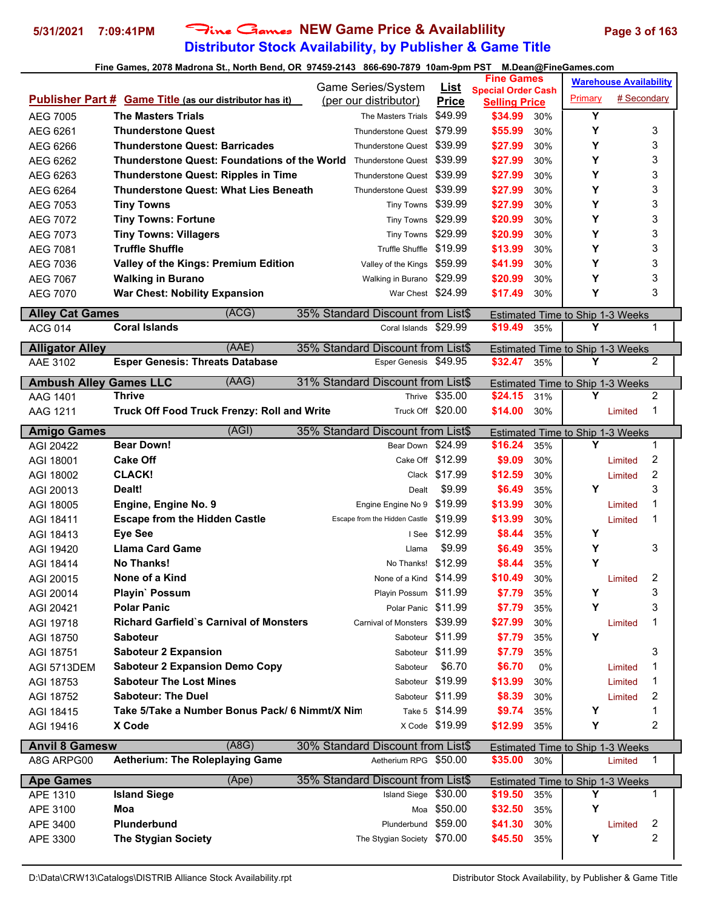### **Distributor Stock Availability, by Publisher & Game Title 5/31/2021 7:09:41PM** Fine Games **NEW Game Price & Availablility Page 3 of 163**

|                                          |                                                                         |                                             |                             | <b>Fine Games</b>               |     |                                       | <b>Warehouse Availability</b> |                         |  |
|------------------------------------------|-------------------------------------------------------------------------|---------------------------------------------|-----------------------------|---------------------------------|-----|---------------------------------------|-------------------------------|-------------------------|--|
|                                          | <b>Publisher Part # Game Title (as our distributor has it)</b>          | Game Series/System<br>(per our distributor) | <b>List</b><br><b>Price</b> | <b>Special Order Cash</b>       |     | <b>Primary</b>                        | # Secondary                   |                         |  |
| AEG 7005                                 | <b>The Masters Trials</b>                                               | The Masters Trials                          | \$49.99                     | <b>Selling Price</b><br>\$34.99 | 30% | Y                                     |                               |                         |  |
| AEG 6261                                 | <b>Thunderstone Quest</b>                                               | <b>Thunderstone Quest</b>                   | \$79.99                     | \$55.99                         | 30% | Y                                     |                               | 3                       |  |
| AEG 6266                                 | <b>Thunderstone Quest: Barricades</b>                                   | Thunderstone Quest \$39.99                  |                             | \$27.99                         | 30% | Υ                                     |                               | 3                       |  |
| AEG 6262                                 | Thunderstone Quest: Foundations of the World Thunderstone Quest \$39.99 |                                             |                             | \$27.99                         | 30% | Y                                     |                               | 3                       |  |
| AEG 6263                                 | <b>Thunderstone Quest: Ripples in Time</b>                              | Thunderstone Quest \$39.99                  |                             | \$27.99                         | 30% | Y                                     |                               | 3                       |  |
| AEG 6264                                 | <b>Thunderstone Quest: What Lies Beneath</b>                            | Thunderstone Quest \$39.99                  |                             | \$27.99                         | 30% | Y                                     |                               | 3                       |  |
| AEG 7053                                 | <b>Tiny Towns</b>                                                       | Tiny Towns \$39.99                          |                             | \$27.99                         | 30% | Y                                     |                               | 3                       |  |
| AEG 7072                                 | <b>Tiny Towns: Fortune</b>                                              | Tiny Towns \$29.99                          |                             | \$20.99                         | 30% | Y                                     |                               | 3                       |  |
| AEG 7073                                 | <b>Tiny Towns: Villagers</b>                                            | Tiny Towns \$29.99                          |                             | \$20.99                         | 30% | Y                                     |                               | 3                       |  |
| AEG 7081                                 | <b>Truffle Shuffle</b>                                                  | Truffle Shuffle \$19.99                     |                             | \$13.99                         | 30% | Υ                                     |                               | 3                       |  |
| AEG 7036                                 | Valley of the Kings: Premium Edition                                    | Valley of the Kings \$59.99                 |                             | \$41.99                         | 30% | Y                                     |                               | 3                       |  |
| AEG 7067                                 | <b>Walking in Burano</b>                                                | Walking in Burano \$29.99                   |                             | \$20.99                         | 30% | Y                                     |                               | 3                       |  |
| AEG 7070                                 | <b>War Chest: Nobility Expansion</b>                                    | War Chest \$24.99                           |                             | \$17.49                         | 30% | Υ                                     |                               | 3                       |  |
|                                          | (ACG)                                                                   | 35% Standard Discount from List\$           |                             |                                 |     |                                       |                               |                         |  |
| <b>Alley Cat Games</b><br><b>ACG 014</b> | <b>Coral Islands</b>                                                    | Coral Islands \$29.99                       |                             | \$19.49                         | 35% | Estimated Time to Ship 1-3 Weeks<br>Υ |                               | 1                       |  |
|                                          |                                                                         |                                             |                             |                                 |     |                                       |                               |                         |  |
| <b>Alligator Alley</b>                   | (AAE)                                                                   | 35% Standard Discount from List\$           |                             |                                 |     | Estimated Time to Ship 1-3 Weeks      |                               |                         |  |
| AAE 3102                                 | <b>Esper Genesis: Threats Database</b>                                  | Esper Genesis \$49.95                       |                             | \$32.47                         | 35% | Y                                     |                               | 2                       |  |
| <b>Ambush Alley Games LLC</b>            | (AAG)                                                                   | 31% Standard Discount from List\$           |                             |                                 |     | Estimated Time to Ship 1-3 Weeks      |                               |                         |  |
| AAG 1401                                 | <b>Thrive</b>                                                           |                                             | Thrive \$35.00              | \$24.15                         | 31% | Υ                                     |                               | $\overline{2}$          |  |
| AAG 1211                                 | Truck Off Food Truck Frenzy: Roll and Write                             | Truck Off \$20.00                           |                             | \$14.00                         | 30% |                                       | Limited                       | 1                       |  |
| <b>Amigo Games</b>                       | (AGI)                                                                   | 35% Standard Discount from List\$           |                             |                                 |     | Estimated Time to Ship 1-3 Weeks      |                               |                         |  |
| AGI 20422                                | <b>Bear Down!</b>                                                       | Bear Down \$24.99                           |                             | \$16.24                         | 35% | Y                                     |                               | 1                       |  |
| AGI 18001                                | <b>Cake Off</b>                                                         | Cake Off \$12.99                            |                             | \$9.09                          | 30% |                                       | Limited                       | $\overline{c}$          |  |
| AGI 18002                                | <b>CLACK!</b>                                                           |                                             | Clack \$17.99               | \$12.59                         | 30% |                                       | Limited                       | $\overline{2}$          |  |
| AGI 20013                                | Dealt!                                                                  | Dealt                                       | \$9.99                      | \$6.49                          | 35% | Y                                     |                               | 3                       |  |
| AGI 18005                                | Engine, Engine No. 9                                                    | Engine Engine No 9                          | \$19.99                     | \$13.99                         | 30% |                                       | Limited                       | 1                       |  |
| AGI 18411                                | <b>Escape from the Hidden Castle</b>                                    | Escape from the Hidden Castle               | \$19.99                     | \$13.99                         | 30% |                                       | Limited                       | 1                       |  |
| AGI 18413                                | <b>Eye See</b>                                                          |                                             | I See \$12.99               | \$8.44                          | 35% | Y                                     |                               |                         |  |
| AGI 19420                                | <b>Llama Card Game</b>                                                  | Llama                                       | \$9.99                      | \$6.49                          | 35% | Y                                     |                               | 3                       |  |
| AGI 18414                                | <b>No Thanks!</b>                                                       | No Thanks!                                  | \$12.99                     | \$8.44                          | 35% | Y                                     |                               |                         |  |
| AGI 20015                                | None of a Kind                                                          | None of a Kind \$14.99                      |                             | \$10.49                         | 30% |                                       | Limited                       | 2                       |  |
| AGI 20014                                | Playin' Possum                                                          | Playin Possum \$11.99                       |                             | \$7.79                          | 35% | Υ                                     |                               | 3                       |  |
| AGI 20421                                | <b>Polar Panic</b>                                                      | Polar Panic \$11.99                         |                             | \$7.79                          | 35% | Y                                     |                               | 3                       |  |
| AGI 19718                                | <b>Richard Garfield's Carnival of Monsters</b>                          | Carnival of Monsters \$39.99                |                             | \$27.99                         | 30% |                                       | Limited                       | 1                       |  |
| AGI 18750                                | <b>Saboteur</b>                                                         | Saboteur \$11.99                            |                             | \$7.79                          | 35% | Y                                     |                               |                         |  |
| AGI 18751                                | <b>Saboteur 2 Expansion</b>                                             | Saboteur \$11.99                            |                             | \$7.79                          | 35% |                                       |                               | 3                       |  |
| AGI 5713DEM                              | <b>Saboteur 2 Expansion Demo Copy</b>                                   | Saboteur                                    | \$6.70                      | \$6.70                          | 0%  |                                       | Limited                       | 1                       |  |
| AGI 18753                                | <b>Saboteur The Lost Mines</b>                                          | Saboteur \$19.99                            |                             | \$13.99                         | 30% |                                       | Limited                       | 1                       |  |
| AGI 18752                                | <b>Saboteur: The Duel</b>                                               | Saboteur \$11.99                            |                             | \$8.39                          | 30% |                                       | Limited                       | 2                       |  |
| AGI 18415                                | Take 5/Take a Number Bonus Pack/ 6 Nimmt/X Nim                          |                                             | Take 5 \$14.99              | \$9.74                          | 35% | Υ                                     |                               | 1                       |  |
| AGI 19416                                | X Code                                                                  |                                             | X Code \$19.99              | \$12.99                         | 35% | Υ                                     |                               | 2                       |  |
| <b>Anvil 8 Gamesw</b>                    | (ABG)                                                                   | 30% Standard Discount from List\$           |                             |                                 |     | Estimated Time to Ship 1-3 Weeks      |                               |                         |  |
| A8G ARPG00                               | <b>Aetherium: The Roleplaying Game</b>                                  | Aetherium RPG \$50.00                       |                             | \$35.00 30%                     |     |                                       | Limited                       | $\mathbf{1}$            |  |
| <b>Ape Games</b>                         | (Ape)                                                                   | 35% Standard Discount from List\$           |                             |                                 |     | Estimated Time to Ship 1-3 Weeks      |                               |                         |  |
| APE 1310                                 | <b>Island Siege</b>                                                     | Island Siege \$30.00                        |                             | \$19.50                         | 35% | Υ                                     |                               | $\mathbf{1}$            |  |
| APE 3100                                 | Moa                                                                     |                                             | Moa \$50.00                 | \$32.50                         | 35% | Y                                     |                               |                         |  |
| APE 3400                                 | Plunderbund                                                             | Plunderbund \$59.00                         |                             | \$41.30                         | 30% |                                       | Limited                       | 2                       |  |
| APE 3300                                 | <b>The Stygian Society</b>                                              | The Stygian Society \$70.00                 |                             | \$45.50                         | 35% | Y                                     |                               | $\overline{\mathbf{c}}$ |  |
|                                          |                                                                         |                                             |                             |                                 |     |                                       |                               |                         |  |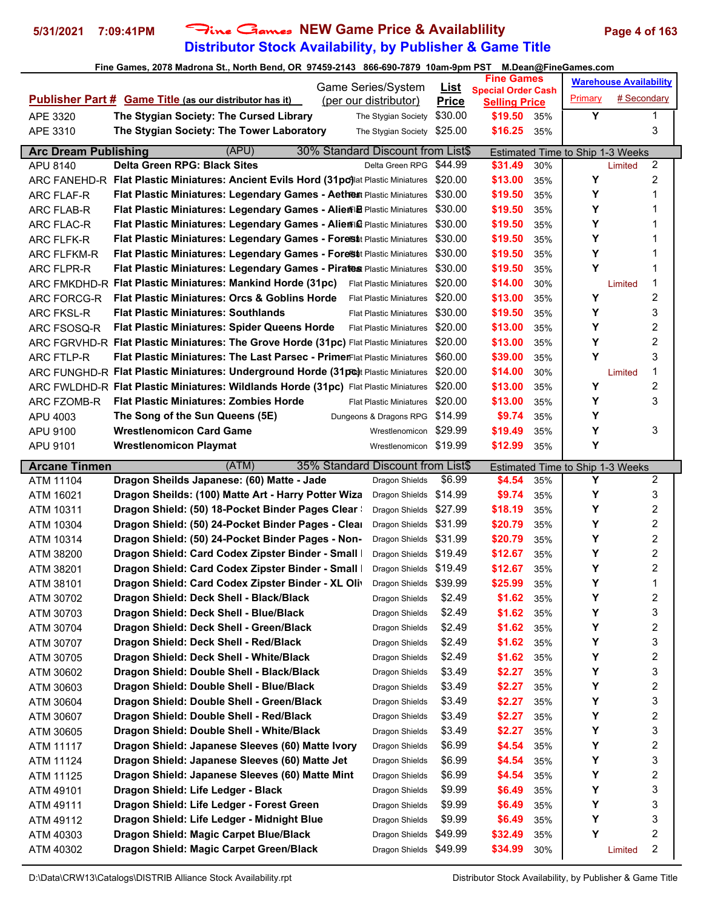## **Distributor Stock Availability, by Publisher & Game Title** 5/31/2021 7:09:41PM Fine Games NEW Game Price & Availablility Page 4 of 163

|                             |                                                                                                                        | Game Series/System             | <u>List</u>        | <b>Fine Games</b>                                 |            |         | <b>Warehouse Availability</b>           |
|-----------------------------|------------------------------------------------------------------------------------------------------------------------|--------------------------------|--------------------|---------------------------------------------------|------------|---------|-----------------------------------------|
|                             | <b>Publisher Part # Game Title (as our distributor has it)</b>                                                         | (per our distributor)          | <b>Price</b>       | <b>Special Order Cash</b><br><b>Selling Price</b> |            | Primary | # Secondary                             |
| APE 3320                    | The Stygian Society: The Cursed Library                                                                                | The Stygian Society            | \$30.00            | \$19.50                                           | 35%        | Υ       | 1                                       |
| APE 3310                    | The Stygian Society: The Tower Laboratory                                                                              | The Stygian Society            | \$25.00            | \$16.25                                           | 35%        |         | 3                                       |
|                             |                                                                                                                        |                                |                    |                                                   |            |         |                                         |
| <b>Arc Dream Publishing</b> | (APU)<br>30% Standard Discount from List\$                                                                             |                                |                    |                                                   |            |         | <b>Estimated Time to Ship 1-3 Weeks</b> |
| APU 8140                    | Delta Green RPG: Black Sites                                                                                           | Delta Green RPG                | \$44.99            | \$31.49                                           | 30%        |         | 2<br>Limited<br>$\overline{2}$          |
|                             | ARC FANEHD-R Flat Plastic Miniatures: Ancient Evils Hord (31pc)lat Plastic Miniatures                                  |                                | \$20.00            | \$13.00                                           | 35%        | Y       | 1                                       |
| ARC FLAF-R                  | Flat Plastic Miniatures: Legendary Games - Aetheat Plastic Miniatures                                                  |                                | \$30.00            | \$19.50                                           | 35%        | Y       |                                         |
| ARC FLAB-R                  | Flat Plastic Miniatures: Legendary Games - AlienTi B Plastic Miniatures                                                |                                | \$30.00            | \$19.50                                           | 35%        | Y<br>Y  | 1<br>1                                  |
| ARC FLAC-R                  | Flat Plastic Miniatures: Legendary Games - AlienFI& Plastic Miniatures                                                 |                                | \$30.00<br>\$30.00 | \$19.50                                           | 35%        | Y       | 1                                       |
| ARC FLFK-R                  | Flat Plastic Miniatures: Legendary Games - ForeSt Plastic Miniatures                                                   |                                | \$30.00            | \$19.50                                           | 35%        | Y       | 1                                       |
| <b>ARC FLFKM-R</b>          | Flat Plastic Miniatures: Legendary Games - Forest Plastic Miniatures                                                   |                                | \$30.00            | \$19.50                                           | 35%<br>35% | Υ       | 1                                       |
| ARC FLPR-R                  | Flat Plastic Miniatures: Legendary Games - Pirates Plastic Miniatures                                                  | <b>Flat Plastic Miniatures</b> | \$20.00            | \$19.50                                           |            |         | $\mathbf 1$                             |
|                             | ARC FMKDHD-R Flat Plastic Miniatures: Mankind Horde (31pc)<br><b>Flat Plastic Miniatures: Orcs &amp; Goblins Horde</b> | <b>Flat Plastic Miniatures</b> | \$20.00            | \$14.00                                           | 30%        | Υ       | Limited<br>$\overline{2}$               |
| ARC FORCG-R                 | <b>Flat Plastic Miniatures: Southlands</b>                                                                             |                                | \$30.00            | \$13.00                                           | 35%        | Y       |                                         |
| <b>ARC FKSL-R</b>           |                                                                                                                        | <b>Flat Plastic Miniatures</b> | \$20.00            | \$19.50                                           | 35%        | Y       | 3<br>2                                  |
| ARC FSOSQ-R                 | <b>Flat Plastic Miniatures: Spider Queens Horde</b>                                                                    | <b>Flat Plastic Miniatures</b> | \$20.00            | \$13.00                                           | 35%        |         | $\overline{2}$                          |
|                             | ARC FGRVHD-R Flat Plastic Miniatures: The Grove Horde (31pc) Flat Plastic Miniatures                                   |                                | \$60.00            | \$13.00                                           | 35%        | Υ<br>Y  |                                         |
| ARC FTLP-R                  | Flat Plastic Miniatures: The Last Parsec - PrimerFlat Plastic Miniatures                                               |                                |                    | \$39.00                                           | 35%        |         | 3                                       |
|                             | ARC FUNGHD-R Flat Plastic Miniatures: Underground Horde (31 prdt Plastic Miniatures                                    |                                | \$20.00            | \$14.00                                           | 30%        |         | $\mathbf 1$<br>Limited                  |
|                             | ARC FWLDHD-R Flat Plastic Miniatures: Wildlands Horde (31pc) Flat Plastic Miniatures                                   |                                | \$20.00            | \$13.00                                           | 35%        | Y       | $\overline{2}$<br>3                     |
| ARC FZOMB-R                 | <b>Flat Plastic Miniatures: Zombies Horde</b>                                                                          | <b>Flat Plastic Miniatures</b> | \$20.00            | \$13.00                                           | 35%        | Y       |                                         |
| APU 4003                    | The Song of the Sun Queens (5E)                                                                                        | Dungeons & Dragons RPG         | \$14.99            | \$9.74                                            | 35%        | Y       |                                         |
| APU 9100                    | <b>Wrestlenomicon Card Game</b>                                                                                        | Wrestlenomicon                 | \$29.99            | \$19.49                                           | 35%        | Y       | 3                                       |
| APU 9101                    | <b>Wrestlenomicon Playmat</b>                                                                                          | Wrestlenomicon \$19.99         |                    | \$12.99                                           | 35%        | Y       |                                         |
| <b>Arcane Tinmen</b>        | (ATM)<br>35% Standard Discount from List\$                                                                             |                                |                    |                                                   |            |         | Estimated Time to Ship 1-3 Weeks        |
| ATM 11104                   | Dragon Sheilds Japanese: (60) Matte - Jade                                                                             | Dragon Shields                 | \$6.99             | \$4.54                                            | 35%        | Υ       | 2                                       |
| ATM 16021                   | Dragon Sheilds: (100) Matte Art - Harry Potter Wiza                                                                    | Dragon Shields                 | \$14.99            | \$9.74                                            | 35%        | Y       | 3                                       |
| ATM 10311                   | Dragon Shield: (50) 18-Pocket Binder Pages Clear                                                                       | Dragon Shields                 | \$27.99            | \$18.19                                           | 35%        | Υ       | $\overline{\mathbf{c}}$                 |
| ATM 10304                   | Dragon Shield: (50) 24-Pocket Binder Pages - Clear                                                                     | Dragon Shields                 | \$31.99            | \$20.79                                           | 35%        | Y       | $\overline{\mathbf{c}}$                 |
| ATM 10314                   | Dragon Shield: (50) 24-Pocket Binder Pages - Non-                                                                      | Dragon Shields                 | \$31.99            | \$20.79                                           | 35%        | Y       | $\overline{\mathbf{c}}$                 |
| ATM 38200                   | Dragon Shield: Card Codex Zipster Binder - Small                                                                       | Dragon Shields                 | \$19.49            | \$12.67                                           | 35%        | Υ       | $\overline{\mathbf{c}}$                 |
| ATM 38201                   | Dragon Shield: Card Codex Zipster Binder - Small                                                                       | Dragon Shields                 | \$19.49            | \$12.67                                           | 35%        | Υ       | $\overline{\mathbf{c}}$                 |
| ATM 38101                   | Dragon Shield: Card Codex Zipster Binder - XL Oliv                                                                     | Dragon Shields                 | \$39.99            | \$25.99                                           | 35%        | Υ       | $\mathbf 1$                             |
| ATM 30702                   | Dragon Shield: Deck Shell - Black/Black                                                                                | Dragon Shields                 | \$2.49             | \$1.62                                            | 35%        | Υ       | 2                                       |
| ATM 30703                   | Dragon Shield: Deck Shell - Blue/Black                                                                                 | Dragon Shields                 | \$2.49             | \$1.62                                            | 35%        | Υ       | 3                                       |
| ATM 30704                   | Dragon Shield: Deck Shell - Green/Black                                                                                | Dragon Shields                 | \$2.49             | \$1.62                                            | 35%        | Υ       | $\overline{\mathbf{c}}$                 |
| ATM 30707                   | Dragon Shield: Deck Shell - Red/Black                                                                                  | Dragon Shields                 | \$2.49             | \$1.62                                            | 35%        | Υ       | 3                                       |
| ATM 30705                   | Dragon Shield: Deck Shell - White/Black                                                                                | Dragon Shields                 | \$2.49             | \$1.62                                            | 35%        | Υ       | $\overline{\mathbf{c}}$                 |
| ATM 30602                   | Dragon Shield: Double Shell - Black/Black                                                                              | Dragon Shields                 | \$3.49             | \$2.27                                            | 35%        | Υ       | 3                                       |
| ATM 30603                   | Dragon Shield: Double Shell - Blue/Black                                                                               | Dragon Shields                 | \$3.49             | \$2.27                                            | 35%        | Y       | $\overline{\mathbf{c}}$                 |
| ATM 30604                   | Dragon Shield: Double Shell - Green/Black                                                                              | Dragon Shields                 | \$3.49             | \$2.27                                            | 35%        | Υ       | 3                                       |
| ATM 30607                   | Dragon Shield: Double Shell - Red/Black                                                                                | Dragon Shields                 | \$3.49             | \$2.27                                            | 35%        | Υ       | $\overline{\mathbf{c}}$                 |
| ATM 30605                   | Dragon Shield: Double Shell - White/Black                                                                              | Dragon Shields                 | \$3.49             | \$2.27                                            | 35%        | Υ       | 3                                       |
| ATM 11117                   | Dragon Shield: Japanese Sleeves (60) Matte Ivory                                                                       | Dragon Shields                 | \$6.99             | \$4.54                                            | 35%        | Υ       | $\overline{\mathbf{c}}$                 |
| ATM 11124                   | Dragon Shield: Japanese Sleeves (60) Matte Jet                                                                         | Dragon Shields                 | \$6.99             | \$4.54                                            | 35%        | Υ       | 3                                       |
| ATM 11125                   | Dragon Shield: Japanese Sleeves (60) Matte Mint                                                                        | Dragon Shields                 | \$6.99             | \$4.54                                            | 35%        | Υ       | 2                                       |
| ATM 49101                   | Dragon Shield: Life Ledger - Black                                                                                     | Dragon Shields                 | \$9.99             | \$6.49                                            | 35%        | Υ       | 3                                       |
| ATM 49111                   | Dragon Shield: Life Ledger - Forest Green                                                                              | Dragon Shields                 | \$9.99             | \$6.49                                            | 35%        | Υ       | 3                                       |
| ATM 49112                   | Dragon Shield: Life Ledger - Midnight Blue                                                                             | Dragon Shields                 | \$9.99             | \$6.49                                            | 35%        | Υ       | 3                                       |
| ATM 40303                   | Dragon Shield: Magic Carpet Blue/Black                                                                                 | Dragon Shields                 | \$49.99            | \$32.49                                           | 35%        | Υ       | $\overline{\mathbf{c}}$                 |
| ATM 40302                   | Dragon Shield: Magic Carpet Green/Black                                                                                | Dragon Shields                 | \$49.99            | \$34.99                                           | 30%        |         | $\overline{\mathbf{c}}$<br>Limited      |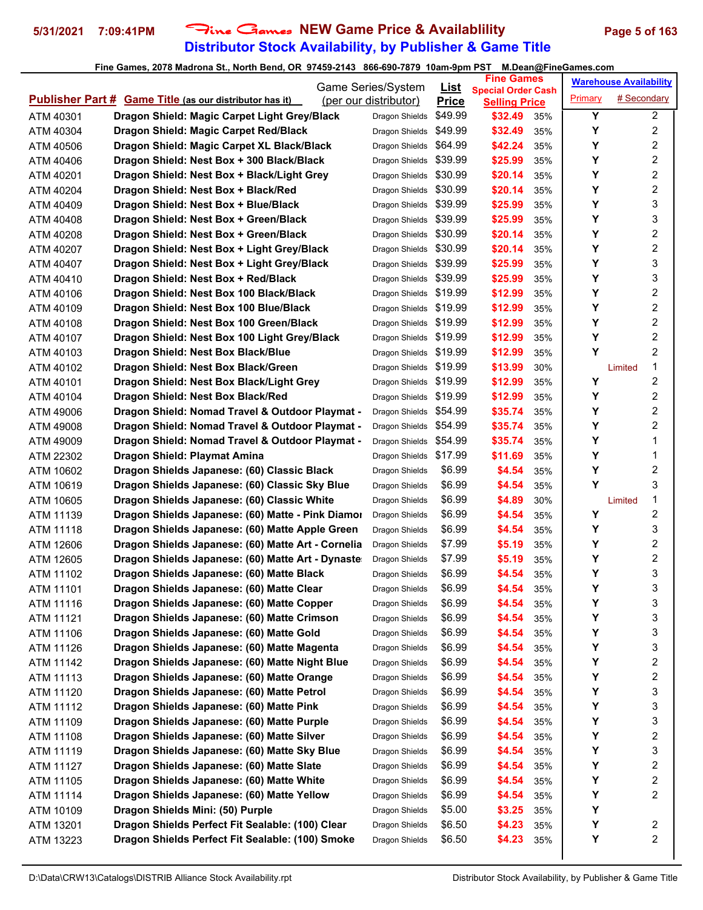## **Distributor Stock Availability, by Publisher & Game Title** 5/31/2021 7:09:41PM Fine Games NEW Game Price & Availablility Page 5 of 163

|           |                                                                | Game Series/System     | <u>List</u>  | <b>Fine Games</b>                                 |     |         | <b>Warehouse Availability</b> |                         |
|-----------|----------------------------------------------------------------|------------------------|--------------|---------------------------------------------------|-----|---------|-------------------------------|-------------------------|
|           | <b>Publisher Part # Game Title (as our distributor has it)</b> | (per our distributor)  | <b>Price</b> | <b>Special Order Cash</b><br><b>Selling Price</b> |     | Primary | # Secondary                   |                         |
| ATM 40301 | Dragon Shield: Magic Carpet Light Grey/Black                   | Dragon Shields         | \$49.99      | \$32.49                                           | 35% | Y       |                               | $\overline{2}$          |
| ATM 40304 | Dragon Shield: Magic Carpet Red/Black                          | Dragon Shields         | \$49.99      | \$32.49                                           | 35% | Y       |                               | 2                       |
| ATM 40506 | Dragon Shield: Magic Carpet XL Black/Black                     | Dragon Shields         | \$64.99      | \$42.24                                           | 35% | Y       |                               | $\overline{2}$          |
| ATM 40406 | Dragon Shield: Nest Box + 300 Black/Black                      | Dragon Shields         | \$39.99      | \$25.99                                           | 35% | Y       |                               | 2                       |
| ATM 40201 | Dragon Shield: Nest Box + Black/Light Grey                     | Dragon Shields         | \$30.99      | \$20.14                                           | 35% | Y       |                               | 2                       |
| ATM 40204 | Dragon Shield: Nest Box + Black/Red                            | Dragon Shields         | \$30.99      | \$20.14                                           | 35% | Y       |                               | $\boldsymbol{2}$        |
| ATM 40409 | Dragon Shield: Nest Box + Blue/Black                           | Dragon Shields \$39.99 |              | \$25.99                                           | 35% | Y       |                               | 3                       |
| ATM 40408 | Dragon Shield: Nest Box + Green/Black                          | Dragon Shields         | \$39.99      | \$25.99                                           | 35% | Y       |                               | 3                       |
| ATM 40208 | Dragon Shield: Nest Box + Green/Black                          | Dragon Shields         | \$30.99      | \$20.14                                           | 35% | Y       |                               | 2                       |
| ATM 40207 | Dragon Shield: Nest Box + Light Grey/Black                     | Dragon Shields         | \$30.99      | \$20.14                                           | 35% | Y       |                               | 2                       |
| ATM 40407 | Dragon Shield: Nest Box + Light Grey/Black                     | Dragon Shields         | \$39.99      | \$25.99                                           | 35% | Y       |                               | 3                       |
| ATM 40410 | Dragon Shield: Nest Box + Red/Black                            | Dragon Shields         | \$39.99      | \$25.99                                           | 35% | Y       |                               | 3                       |
| ATM 40106 | Dragon Shield: Nest Box 100 Black/Black                        | Dragon Shields         | \$19.99      | \$12.99                                           | 35% | Y       |                               | 2                       |
| ATM 40109 | Dragon Shield: Nest Box 100 Blue/Black                         | Dragon Shields         | \$19.99      | \$12.99                                           | 35% | Y       |                               | 2                       |
| ATM 40108 | Dragon Shield: Nest Box 100 Green/Black                        | Dragon Shields         | \$19.99      | \$12.99                                           | 35% | Y       |                               | $\overline{c}$          |
| ATM 40107 | Dragon Shield: Nest Box 100 Light Grey/Black                   | Dragon Shields         | \$19.99      | \$12.99                                           | 35% | Y       |                               | 2                       |
| ATM 40103 | Dragon Shield: Nest Box Black/Blue                             | Dragon Shields         | \$19.99      | \$12.99                                           | 35% | Y       |                               | $\overline{c}$          |
| ATM 40102 | Dragon Shield: Nest Box Black/Green                            | Dragon Shields         | \$19.99      | \$13.99                                           | 30% |         | Limited                       | 1                       |
| ATM 40101 | Dragon Shield: Nest Box Black/Light Grey                       | Dragon Shields         | \$19.99      | \$12.99                                           | 35% | Y       |                               | 2                       |
| ATM 40104 | Dragon Shield: Nest Box Black/Red                              | Dragon Shields         | \$19.99      | \$12.99                                           | 35% | Y       |                               | 2                       |
| ATM 49006 | Dragon Shield: Nomad Travel & Outdoor Playmat -                | Dragon Shields         | \$54.99      | \$35.74                                           | 35% | Y       |                               | 2                       |
| ATM 49008 | Dragon Shield: Nomad Travel & Outdoor Playmat -                | Dragon Shields         | \$54.99      | \$35.74                                           | 35% | Y       |                               | 2                       |
| ATM 49009 | Dragon Shield: Nomad Travel & Outdoor Playmat -                | Dragon Shields         | \$54.99      | \$35.74                                           | 35% | Y       |                               | 1                       |
| ATM 22302 | Dragon Shield: Playmat Amina                                   | Dragon Shields         | \$17.99      | \$11.69                                           | 35% | Y       |                               | 1                       |
| ATM 10602 | Dragon Shields Japanese: (60) Classic Black                    | Dragon Shields         | \$6.99       | \$4.54                                            | 35% | Υ       |                               | 2                       |
| ATM 10619 | Dragon Shields Japanese: (60) Classic Sky Blue                 | Dragon Shields         | \$6.99       | \$4.54                                            | 35% | Y       |                               | 3                       |
| ATM 10605 | Dragon Shields Japanese: (60) Classic White                    | Dragon Shields         | \$6.99       | \$4.89                                            | 30% |         | Limited                       | 1                       |
| ATM 11139 | Dragon Shields Japanese: (60) Matte - Pink Diamor              | Dragon Shields         | \$6.99       | \$4.54                                            | 35% | Y       |                               | 2                       |
| ATM 11118 | Dragon Shields Japanese: (60) Matte Apple Green                | Dragon Shields         | \$6.99       | \$4.54                                            | 35% | Y       |                               | 3                       |
| ATM 12606 | Dragon Shields Japanese: (60) Matte Art - Cornelia             | Dragon Shields         | \$7.99       | \$5.19                                            | 35% | Y       |                               | 2                       |
| ATM 12605 | Dragon Shields Japanese: (60) Matte Art - Dynaste              | Dragon Shields         | \$7.99       | \$5.19                                            | 35% | Y       |                               | 2                       |
| ATM 11102 | Dragon Shields Japanese: (60) Matte Black                      | Dragon Shields         | \$6.99       | \$4.54                                            | 35% | Υ       |                               | 3                       |
| ATM 11101 | Dragon Shields Japanese: (60) Matte Clear                      | Dragon Shields         | \$6.99       | \$4.54                                            | 35% | Υ       |                               | 3                       |
| ATM 11116 | Dragon Shields Japanese: (60) Matte Copper                     | Dragon Shields         | \$6.99       | \$4.54                                            | 35% | Y       |                               | 3                       |
| ATM 11121 | Dragon Shields Japanese: (60) Matte Crimson                    | Dragon Shields         | \$6.99       | \$4.54                                            | 35% | Y       |                               | 3                       |
| ATM 11106 | Dragon Shields Japanese: (60) Matte Gold                       | Dragon Shields         | \$6.99       | \$4.54                                            | 35% | Υ       |                               | 3                       |
| ATM 11126 | Dragon Shields Japanese: (60) Matte Magenta                    | Dragon Shields         | \$6.99       | \$4.54                                            | 35% | Υ       |                               | 3                       |
| ATM 11142 | Dragon Shields Japanese: (60) Matte Night Blue                 | Dragon Shields         | \$6.99       | \$4.54                                            | 35% | Y       |                               | 2                       |
| ATM 11113 | Dragon Shields Japanese: (60) Matte Orange                     | Dragon Shields         | \$6.99       | \$4.54                                            | 35% | Y       |                               | 2                       |
| ATM 11120 | Dragon Shields Japanese: (60) Matte Petrol                     | Dragon Shields         | \$6.99       | \$4.54                                            | 35% | Y       |                               | 3                       |
| ATM 11112 | Dragon Shields Japanese: (60) Matte Pink                       | Dragon Shields         | \$6.99       | \$4.54                                            | 35% | Y       |                               | 3                       |
| ATM 11109 | Dragon Shields Japanese: (60) Matte Purple                     | Dragon Shields         | \$6.99       | \$4.54                                            | 35% | Y       |                               | 3                       |
| ATM 11108 | Dragon Shields Japanese: (60) Matte Silver                     | Dragon Shields         | \$6.99       | \$4.54                                            | 35% | Υ       |                               | $\overline{\mathbf{c}}$ |
| ATM 11119 | Dragon Shields Japanese: (60) Matte Sky Blue                   | Dragon Shields         | \$6.99       | \$4.54                                            | 35% | Υ       |                               | 3                       |
| ATM 11127 | Dragon Shields Japanese: (60) Matte Slate                      | Dragon Shields         | \$6.99       | \$4.54                                            | 35% | Y       |                               | 2                       |
| ATM 11105 | Dragon Shields Japanese: (60) Matte White                      | Dragon Shields         | \$6.99       | \$4.54                                            | 35% | Υ       |                               | 2                       |
| ATM 11114 | Dragon Shields Japanese: (60) Matte Yellow                     | Dragon Shields         | \$6.99       | \$4.54                                            | 35% | Υ       |                               | 2                       |
| ATM 10109 | Dragon Shields Mini: (50) Purple                               | Dragon Shields         | \$5.00       | \$3.25                                            | 35% | Y       |                               |                         |
| ATM 13201 | Dragon Shields Perfect Fit Sealable: (100) Clear               | Dragon Shields         | \$6.50       | \$4.23                                            | 35% | Y       |                               | 2                       |
| ATM 13223 | Dragon Shields Perfect Fit Sealable: (100) Smoke               | Dragon Shields         | \$6.50       | \$4.23                                            | 35% | Υ       |                               | 2                       |
|           |                                                                |                        |              |                                                   |     |         |                               |                         |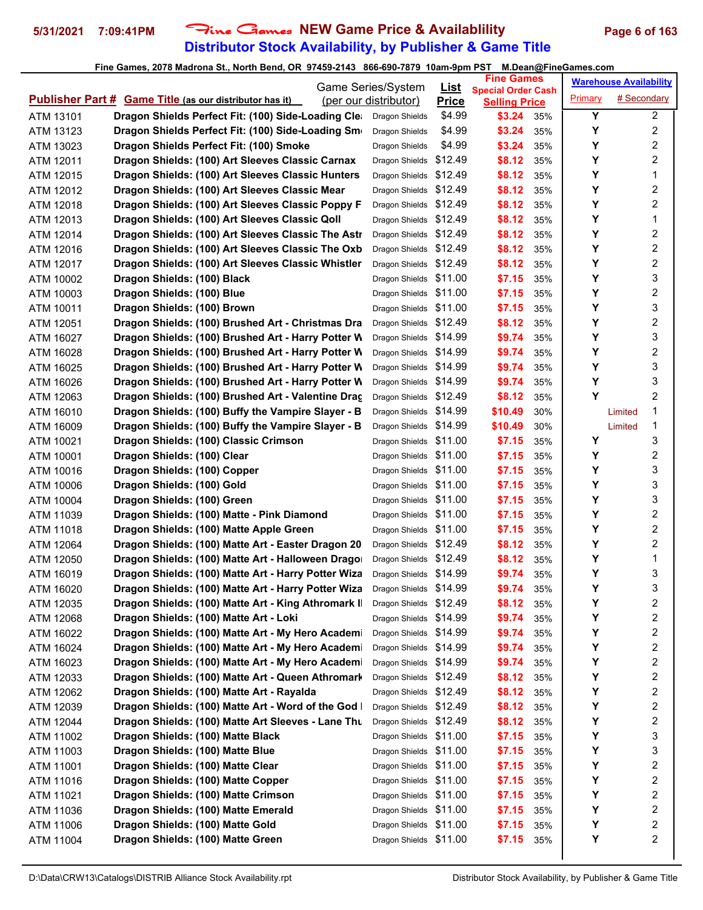## **Distributor Stock Availability, by Publisher & Game Title 5/31/2021 7:09:41PM** Fine Games **NEW Game Price & Availablility Page 6 of 163**

|                                                                  | Game Series/System     | <u>List</u>  | <b>Fine Games</b>                                 |     |         | <b>Warehouse Availability</b> |                         |
|------------------------------------------------------------------|------------------------|--------------|---------------------------------------------------|-----|---------|-------------------------------|-------------------------|
| <b>Publisher Part # Game Title (as our distributor has it)</b>   | (per our distributor)  | <b>Price</b> | <b>Special Order Cash</b><br><b>Selling Price</b> |     | Primary | # Secondary                   |                         |
| Dragon Shields Perfect Fit: (100) Side-Loading Clea<br>ATM 13101 | Dragon Shields         | \$4.99       | \$3.24                                            | 35% | Y       |                               | $\overline{2}$          |
| Dragon Shields Perfect Fit: (100) Side-Loading Sm<br>ATM 13123   | Dragon Shields         | \$4.99       | \$3.24                                            | 35% | Y       |                               | 2                       |
| Dragon Shields Perfect Fit: (100) Smoke<br>ATM 13023             | Dragon Shields         | \$4.99       | \$3.24                                            | 35% | Υ       |                               | $\overline{\mathbf{c}}$ |
| Dragon Shields: (100) Art Sleeves Classic Carnax<br>ATM 12011    | Dragon Shields         | \$12.49      | \$8.12                                            | 35% | Υ       |                               | 2                       |
| Dragon Shields: (100) Art Sleeves Classic Hunters<br>ATM 12015   | Dragon Shields         | \$12.49      | \$8.12                                            | 35% | Y       |                               | 1                       |
| Dragon Shields: (100) Art Sleeves Classic Mear<br>ATM 12012      | Dragon Shields \$12.49 |              | \$8.12                                            | 35% | Y       |                               | 2                       |
| Dragon Shields: (100) Art Sleeves Classic Poppy F<br>ATM 12018   | Dragon Shields \$12.49 |              | \$8.12                                            | 35% | Υ       |                               | 2                       |
| Dragon Shields: (100) Art Sleeves Classic Qoll<br>ATM 12013      | Dragon Shields \$12.49 |              | \$8.12                                            | 35% | Y       |                               | 1                       |
| Dragon Shields: (100) Art Sleeves Classic The Astr<br>ATM 12014  | Dragon Shields \$12.49 |              | \$8.12                                            | 35% | Υ       |                               | 2                       |
| Dragon Shields: (100) Art Sleeves Classic The Oxb<br>ATM 12016   | Dragon Shields \$12.49 |              | \$8.12                                            | 35% | Υ       |                               | $\overline{\mathbf{c}}$ |
| Dragon Shields: (100) Art Sleeves Classic Whistler<br>ATM 12017  | Dragon Shields \$12.49 |              | \$8.12                                            | 35% | Y       |                               | 2                       |
| Dragon Shields: (100) Black<br>ATM 10002                         | Dragon Shields \$11.00 |              | \$7.15                                            | 35% | Y       |                               | 3                       |
| Dragon Shields: (100) Blue<br>ATM 10003                          | Dragon Shields \$11.00 |              | \$7.15                                            | 35% | Y       |                               | 2                       |
| Dragon Shields: (100) Brown<br>ATM 10011                         | Dragon Shields \$11.00 |              | \$7.15                                            | 35% | Υ       |                               | 3                       |
| ATM 12051<br>Dragon Shields: (100) Brushed Art - Christmas Dra   | Dragon Shields \$12.49 |              | \$8.12                                            | 35% | Υ       |                               | $\overline{c}$          |
| Dragon Shields: (100) Brushed Art - Harry Potter W<br>ATM 16027  | Dragon Shields \$14.99 |              | \$9.74                                            | 35% | Υ       |                               | 3                       |
| Dragon Shields: (100) Brushed Art - Harry Potter W<br>ATM 16028  | Dragon Shields \$14.99 |              | \$9.74                                            | 35% | Υ       |                               | 2                       |
| Dragon Shields: (100) Brushed Art - Harry Potter W<br>ATM 16025  | Dragon Shields \$14.99 |              | \$9.74                                            | 35% | Υ       |                               | 3                       |
| Dragon Shields: (100) Brushed Art - Harry Potter W<br>ATM 16026  | Dragon Shields         | \$14.99      | \$9.74                                            | 35% | Y       |                               | 3                       |
| Dragon Shields: (100) Brushed Art - Valentine Drac<br>ATM 12063  | Dragon Shields         | \$12.49      | \$8.12                                            | 35% | Y       |                               | 2                       |
| Dragon Shields: (100) Buffy the Vampire Slayer - B<br>ATM 16010  | Dragon Shields \$14.99 |              | \$10.49                                           | 30% |         | Limited                       | 1                       |
| Dragon Shields: (100) Buffy the Vampire Slayer - B<br>ATM 16009  | Dragon Shields \$14.99 |              | \$10.49                                           | 30% |         | Limited                       | 1                       |
| Dragon Shields: (100) Classic Crimson<br>ATM 10021               | Dragon Shields \$11.00 |              | \$7.15                                            | 35% | Y       |                               | 3                       |
| Dragon Shields: (100) Clear<br>ATM 10001                         | Dragon Shields \$11.00 |              | \$7.15                                            | 35% | Υ       |                               | 2                       |
| Dragon Shields: (100) Copper<br>ATM 10016                        | Dragon Shields \$11.00 |              | \$7.15                                            | 35% | Υ       |                               | 3                       |
| ATM 10006<br>Dragon Shields: (100) Gold                          | Dragon Shields \$11.00 |              | \$7.15                                            | 35% | Y       |                               | 3                       |
| Dragon Shields: (100) Green<br>ATM 10004                         | Dragon Shields \$11.00 |              | \$7.15                                            | 35% | Y       |                               | 3                       |
| Dragon Shields: (100) Matte - Pink Diamond<br>ATM 11039          | Dragon Shields \$11.00 |              | \$7.15                                            | 35% | Υ       |                               | 2                       |
| Dragon Shields: (100) Matte Apple Green<br>ATM 11018             | Dragon Shields \$11.00 |              | \$7.15                                            | 35% | Υ       |                               | $\overline{c}$          |
| ATM 12064<br>Dragon Shields: (100) Matte Art - Easter Dragon 20  | Dragon Shields \$12.49 |              | \$8.12                                            | 35% | Υ       |                               | 2                       |
| ATM 12050<br>Dragon Shields: (100) Matte Art - Halloween Drago   | Dragon Shields \$12.49 |              | \$8.12                                            | 35% | Υ       |                               | 1                       |
| Dragon Shields: (100) Matte Art - Harry Potter Wiza<br>ATM 16019 | Dragon Shields \$14.99 |              | \$9.74                                            | 35% | Υ       |                               | 3                       |
| Dragon Shields: (100) Matte Art - Harry Potter Wiza<br>ATM 16020 | Dragon Shields \$14.99 |              | \$9.74                                            | 35% | Υ       |                               | 3                       |
| Dragon Shields: (100) Matte Art - King Athromark II<br>ATM 12035 | Dragon Shields \$12.49 |              | \$8.12                                            | 35% | Υ       |                               | 2                       |
| Dragon Shields: (100) Matte Art - Loki<br>ATM 12068              | Dragon Shields \$14.99 |              | \$9.74                                            | 35% | Υ       |                               | 2                       |
| Dragon Shields: (100) Matte Art - My Hero Academi<br>ATM 16022   | Dragon Shields \$14.99 |              | \$9.74                                            | 35% | Υ       |                               | $\overline{\mathbf{c}}$ |
| Dragon Shields: (100) Matte Art - My Hero Academi<br>ATM 16024   | Dragon Shields \$14.99 |              | \$9.74                                            | 35% | Υ       |                               | 2                       |
| Dragon Shields: (100) Matte Art - My Hero Academi<br>ATM 16023   | Dragon Shields \$14.99 |              | \$9.74                                            | 35% | Υ       |                               | 2                       |
| Dragon Shields: (100) Matte Art - Queen Athromark<br>ATM 12033   | Dragon Shields \$12.49 |              | \$8.12                                            | 35% | Υ       |                               | 2                       |
| Dragon Shields: (100) Matte Art - Rayalda<br>ATM 12062           | Dragon Shields \$12.49 |              | \$8.12                                            | 35% | Υ       |                               | 2                       |
| Dragon Shields: (100) Matte Art - Word of the God<br>ATM 12039   | Dragon Shields \$12.49 |              | \$8.12                                            | 35% | Υ       |                               | 2                       |
| Dragon Shields: (100) Matte Art Sleeves - Lane Thu<br>ATM 12044  | Dragon Shields \$12.49 |              | \$8.12                                            | 35% | Υ       |                               | 2                       |
| Dragon Shields: (100) Matte Black<br>ATM 11002                   | Dragon Shields \$11.00 |              | \$7.15                                            | 35% | Υ       |                               | 3                       |
| Dragon Shields: (100) Matte Blue<br>ATM 11003                    | Dragon Shields \$11.00 |              | \$7.15                                            | 35% | Υ       |                               | 3                       |
| Dragon Shields: (100) Matte Clear<br>ATM 11001                   | Dragon Shields \$11.00 |              | \$7.15                                            | 35% | Υ       |                               | 2                       |
| Dragon Shields: (100) Matte Copper<br>ATM 11016                  | Dragon Shields \$11.00 |              | \$7.15                                            | 35% | Υ       |                               | 2                       |
| Dragon Shields: (100) Matte Crimson<br>ATM 11021                 | Dragon Shields \$11.00 |              | \$7.15                                            | 35% | Υ       |                               | $\overline{\mathbf{c}}$ |
| Dragon Shields: (100) Matte Emerald<br>ATM 11036                 | Dragon Shields \$11.00 |              | \$7.15                                            | 35% | Υ       |                               | 2                       |
| Dragon Shields: (100) Matte Gold<br>ATM 11006                    | Dragon Shields \$11.00 |              | \$7.15                                            | 35% | Υ       |                               | 2                       |
| Dragon Shields: (100) Matte Green<br>ATM 11004                   | Dragon Shields \$11.00 |              | \$7.15                                            | 35% | Υ       |                               | 2                       |
|                                                                  |                        |              |                                                   |     |         |                               |                         |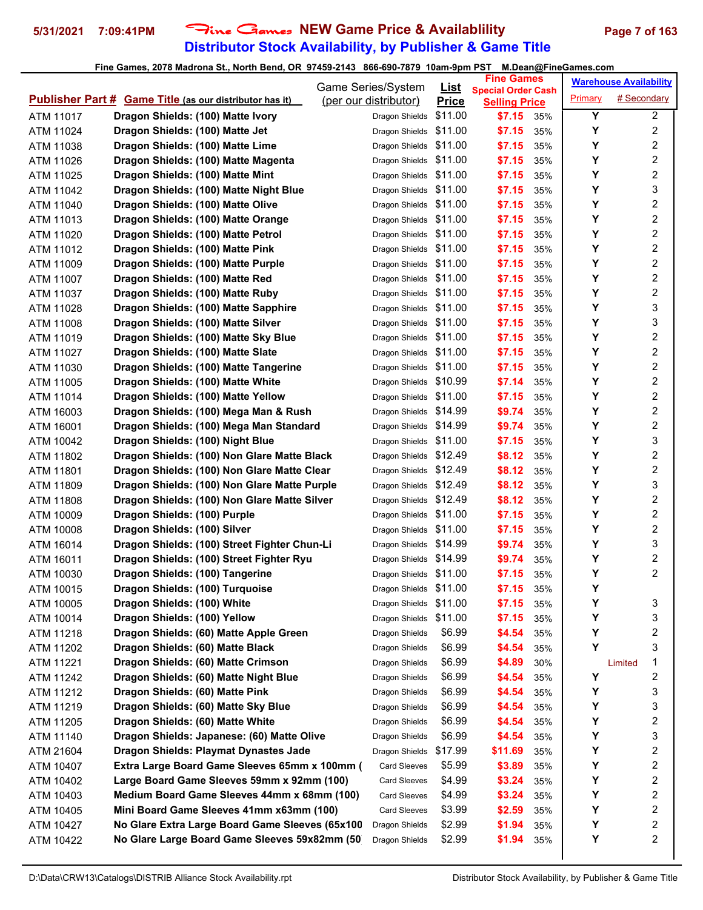## **Distributor Stock Availability, by Publisher & Game Title** 5/31/2021 7:09:41PM Fine Games NEW Game Price & Availablility Page 7 of 163

|                                                                | Game Series/System     | List         | <b>Fine Games</b>                                 |     |         | <b>Warehouse Availability</b> |                         |
|----------------------------------------------------------------|------------------------|--------------|---------------------------------------------------|-----|---------|-------------------------------|-------------------------|
| <b>Publisher Part # Game Title (as our distributor has it)</b> | (per our distributor)  | <b>Price</b> | <b>Special Order Cash</b><br><b>Selling Price</b> |     | Primary | # Secondary                   |                         |
| Dragon Shields: (100) Matte Ivory<br>ATM 11017                 | Dragon Shields         | \$11.00      | \$7.15                                            | 35% | Υ       |                               | $\overline{a}$          |
| Dragon Shields: (100) Matte Jet<br>ATM 11024                   | Dragon Shields         | \$11.00      | \$7.15                                            | 35% | Υ       |                               | 2                       |
| Dragon Shields: (100) Matte Lime<br>ATM 11038                  | Dragon Shields         | \$11.00      | \$7.15                                            | 35% | Υ       |                               | 2                       |
| ATM 11026<br>Dragon Shields: (100) Matte Magenta               | Dragon Shields         | \$11.00      | \$7.15                                            | 35% | Y       |                               | 2                       |
| Dragon Shields: (100) Matte Mint<br>ATM 11025                  | Dragon Shields         | \$11.00      | \$7.15                                            | 35% | Y       |                               | 2                       |
| Dragon Shields: (100) Matte Night Blue<br>ATM 11042            | Dragon Shields         | \$11.00      | \$7.15                                            | 35% | Υ       |                               | 3                       |
| Dragon Shields: (100) Matte Olive<br>ATM 11040                 | Dragon Shields \$11.00 |              | \$7.15                                            | 35% | Υ       |                               | 2                       |
| Dragon Shields: (100) Matte Orange<br>ATM 11013                | Dragon Shields         | \$11.00      | \$7.15                                            | 35% | Υ       |                               | $\overline{\mathbf{c}}$ |
| Dragon Shields: (100) Matte Petrol<br>ATM 11020                | Dragon Shields \$11.00 |              | \$7.15                                            | 35% | Υ       |                               | $\overline{c}$          |
| Dragon Shields: (100) Matte Pink<br>ATM 11012                  | Dragon Shields \$11.00 |              | \$7.15                                            | 35% | Υ       |                               | $\overline{\mathbf{c}}$ |
| ATM 11009<br>Dragon Shields: (100) Matte Purple                | Dragon Shields \$11.00 |              | \$7.15                                            | 35% | Y       |                               | 2                       |
| Dragon Shields: (100) Matte Red<br>ATM 11007                   | Dragon Shields         | \$11.00      | \$7.15                                            | 35% | Υ       |                               | 2                       |
| Dragon Shields: (100) Matte Ruby<br>ATM 11037                  | Dragon Shields         | \$11.00      | \$7.15                                            | 35% | Υ       |                               | 2                       |
| Dragon Shields: (100) Matte Sapphire<br>ATM 11028              | Dragon Shields \$11.00 |              | \$7.15                                            | 35% | Υ       |                               | 3                       |
| ATM 11008<br>Dragon Shields: (100) Matte Silver                | Dragon Shields         | \$11.00      | \$7.15                                            | 35% | Υ       |                               | 3                       |
| ATM 11019<br>Dragon Shields: (100) Matte Sky Blue              | Dragon Shields \$11.00 |              | \$7.15                                            | 35% | Υ       |                               | 2                       |
| Dragon Shields: (100) Matte Slate<br>ATM 11027                 | Dragon Shields \$11.00 |              | \$7.15                                            | 35% | Υ       |                               | 2                       |
| Dragon Shields: (100) Matte Tangerine<br>ATM 11030             | Dragon Shields         | \$11.00      | \$7.15                                            | 35% | Υ       |                               | 2                       |
| Dragon Shields: (100) Matte White<br>ATM 11005                 | Dragon Shields         | \$10.99      | \$7.14                                            | 35% | Υ       |                               | 2                       |
| Dragon Shields: (100) Matte Yellow<br>ATM 11014                | Dragon Shields \$11.00 |              | \$7.15                                            | 35% | Υ       |                               | 2                       |
| Dragon Shields: (100) Mega Man & Rush<br>ATM 16003             | Dragon Shields \$14.99 |              | \$9.74                                            | 35% | Υ       |                               | 2                       |
| Dragon Shields: (100) Mega Man Standard<br>ATM 16001           | Dragon Shields \$14.99 |              | \$9.74                                            | 35% | Υ       |                               | $\overline{2}$          |
| ATM 10042<br>Dragon Shields: (100) Night Blue                  | Dragon Shields \$11.00 |              | \$7.15                                            | 35% | Υ       |                               | 3                       |
| Dragon Shields: (100) Non Glare Matte Black<br>ATM 11802       | Dragon Shields \$12.49 |              | \$8.12                                            | 35% | Υ       |                               | 2                       |
| Dragon Shields: (100) Non Glare Matte Clear<br>ATM 11801       | Dragon Shields \$12.49 |              | \$8.12                                            | 35% | Υ       |                               | 2                       |
| Dragon Shields: (100) Non Glare Matte Purple<br>ATM 11809      | Dragon Shields         | \$12.49      | \$8.12                                            | 35% | Y       |                               | 3                       |
| Dragon Shields: (100) Non Glare Matte Silver<br>ATM 11808      | Dragon Shields         | \$12.49      | \$8.12                                            | 35% | Υ       |                               | 2                       |
| Dragon Shields: (100) Purple<br>ATM 10009                      | Dragon Shields \$11.00 |              | \$7.15                                            | 35% | Υ       |                               | 2                       |
| Dragon Shields: (100) Silver<br>ATM 10008                      | Dragon Shields         | \$11.00      | \$7.15                                            | 35% | Υ       |                               | $\overline{\mathbf{c}}$ |
| ATM 16014<br>Dragon Shields: (100) Street Fighter Chun-Li      | Dragon Shields \$14.99 |              | \$9.74                                            | 35% | Υ       |                               | 3                       |
| ATM 16011<br>Dragon Shields: (100) Street Fighter Ryu          | Dragon Shields \$14.99 |              | \$9.74                                            | 35% | Υ       |                               | 2                       |
| Dragon Shields: (100) Tangerine<br>ATM 10030                   | Dragon Shields \$11.00 |              | \$7.15                                            | 35% | Υ       |                               | 2                       |
| Dragon Shields: (100) Turquoise<br>ATM 10015                   | Dragon Shields \$11.00 |              | \$7.15                                            | 35% | Υ       |                               |                         |
| Dragon Shields: (100) White<br>ATM 10005                       | Dragon Shields \$11.00 |              | \$7.15                                            | 35% | Υ       |                               | 3                       |
| Dragon Shields: (100) Yellow<br>ATM 10014                      | Dragon Shields \$11.00 |              | \$7.15                                            | 35% | Υ       |                               | 3                       |
| Dragon Shields: (60) Matte Apple Green<br>ATM 11218            | Dragon Shields         | \$6.99       | \$4.54                                            | 35% | Υ       |                               | 2                       |
| Dragon Shields: (60) Matte Black<br>ATM 11202                  | Dragon Shields         | \$6.99       | \$4.54                                            | 35% | Y       |                               | 3                       |
| Dragon Shields: (60) Matte Crimson<br>ATM 11221                | Dragon Shields         | \$6.99       | \$4.89                                            | 30% |         | Limited                       | 1                       |
| Dragon Shields: (60) Matte Night Blue<br>ATM 11242             | Dragon Shields         | \$6.99       | \$4.54                                            | 35% | Y       |                               | 2                       |
| Dragon Shields: (60) Matte Pink<br>ATM 11212                   | Dragon Shields         | \$6.99       | \$4.54                                            | 35% | Υ       |                               | 3                       |
| Dragon Shields: (60) Matte Sky Blue<br>ATM 11219               | Dragon Shields         | \$6.99       | \$4.54                                            | 35% | Υ       |                               | 3                       |
| Dragon Shields: (60) Matte White<br>ATM 11205                  | Dragon Shields         | \$6.99       | \$4.54                                            | 35% | Υ       |                               | 2                       |
| Dragon Shields: Japanese: (60) Matte Olive<br>ATM 11140        | Dragon Shields         | \$6.99       | \$4.54                                            | 35% | Υ       |                               | 3                       |
| Dragon Shields: Playmat Dynastes Jade<br>ATM 21604             | Dragon Shields         | \$17.99      | \$11.69                                           | 35% | Υ       |                               | 2                       |
| Extra Large Board Game Sleeves 65mm x 100mm (<br>ATM 10407     | <b>Card Sleeves</b>    | \$5.99       | \$3.89                                            | 35% | Υ       |                               | 2                       |
| Large Board Game Sleeves 59mm x 92mm (100)<br>ATM 10402        | <b>Card Sleeves</b>    | \$4.99       | \$3.24                                            | 35% | Υ       |                               | 2                       |
| Medium Board Game Sleeves 44mm x 68mm (100)<br>ATM 10403       | <b>Card Sleeves</b>    | \$4.99       | \$3.24                                            | 35% | Υ       |                               | 2                       |
| Mini Board Game Sleeves 41mm x63mm (100)<br>ATM 10405          | <b>Card Sleeves</b>    | \$3.99       | \$2.59                                            | 35% | Υ       |                               | 2                       |
| No Glare Extra Large Board Game Sleeves (65x100<br>ATM 10427   | Dragon Shields         | \$2.99       | \$1.94                                            | 35% | Υ       |                               | 2                       |
| No Glare Large Board Game Sleeves 59x82mm (50)<br>ATM 10422    | Dragon Shields         | \$2.99       | \$1.94                                            | 35% | Υ       |                               | 2                       |
|                                                                |                        |              |                                                   |     |         |                               |                         |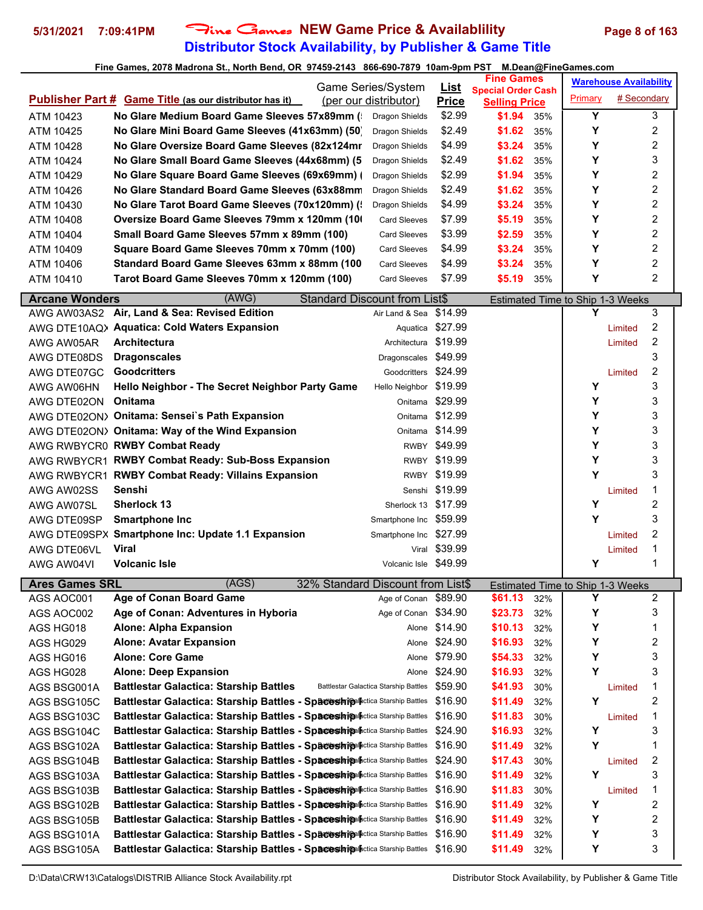### **Distributor Stock Availability, by Publisher & Game Title 5/31/2021 7:09:41PM** Fine Games **NEW Game Price & Availablility Page 8 of 163**

|                         |                                                      | Game Series/System    | <u>List</u>  | <b>Fine Games</b>                                 |     |         | <b>Warehouse Availability</b> |
|-------------------------|------------------------------------------------------|-----------------------|--------------|---------------------------------------------------|-----|---------|-------------------------------|
| <b>Publisher Part #</b> | <b>Game Title (as our distributor has it)</b>        | (per our distributor) | <b>Price</b> | <b>Special Order Cash</b><br><b>Selling Price</b> |     | Primary | # Secondary                   |
| ATM 10423               | No Glare Medium Board Game Sleeves 57x89mm (         | Dragon Shields        | \$2.99       | \$1.94                                            | 35% | Υ       | 3                             |
| ATM 10425               | No Glare Mini Board Game Sleeves (41x63mm) (50)      | Dragon Shields        | \$2.49       | \$1.62                                            | 35% |         | 2                             |
| ATM 10428               | No Glare Oversize Board Game Sleeves (82x124mr)      | Dragon Shields        | \$4.99       | \$3.24                                            | 35% | Υ       | 2                             |
| ATM 10424               | No Glare Small Board Game Sleeves (44x68mm) (5       | Dragon Shields        | \$2.49       | \$1.62                                            | 35% | Y       | 3                             |
| ATM 10429               | No Glare Square Board Game Sleeves (69x69mm) (       | Dragon Shields        | \$2.99       | \$1.94                                            | 35% | Υ       | $\overline{2}$                |
| ATM 10426               | No Glare Standard Board Game Sleeves (63x88mm)       | Dragon Shields        | \$2.49       | \$1.62                                            | 35% | Υ       | $\overline{2}$                |
| ATM 10430               | No Glare Tarot Board Game Sleeves (70x120mm) (       | Dragon Shields        | \$4.99       | \$3.24                                            | 35% | Υ       | $\overline{2}$                |
| ATM 10408               | <b>Oversize Board Game Sleeves 79mm x 120mm (10)</b> | <b>Card Sleeves</b>   | \$7.99       | \$5.19                                            | 35% | Υ       | 2                             |
| ATM 10404               | Small Board Game Sleeves 57mm x 89mm (100)           | <b>Card Sleeves</b>   | \$3.99       | \$2.59                                            | 35% | v       | 2                             |
| ATM 10409               | Square Board Game Sleeves 70mm x 70mm (100)          | <b>Card Sleeves</b>   | \$4.99       | \$3.24                                            | 35% | Υ       | 2                             |
| ATM 10406               | Standard Board Game Sleeves 63mm x 88mm (100         | <b>Card Sleeves</b>   | \$4.99       | \$3.24                                            | 35% | Υ       | 2                             |
| ATM 10410               | Tarot Board Game Sleeves 70mm x 120mm (100)          | <b>Card Sleeves</b>   | \$7.99       | \$5.19                                            | 35% | v       | 2                             |

| <b>Arcane Wonders</b> | (AWG)<br><b>Standard Discount from List\$</b>                                                 |                        |                    |     | <b>Estimated Time to Ship 1-3 Weeks</b> |         |                |
|-----------------------|-----------------------------------------------------------------------------------------------|------------------------|--------------------|-----|-----------------------------------------|---------|----------------|
|                       | AWG AW03AS2 Air, Land & Sea: Revised Edition<br>Air Land & Sea                                |                        | \$14.99            |     | Υ                                       |         | 3              |
|                       | AWG DTE10AQ> Aquatica: Cold Waters Expansion                                                  | Aquatica \$27.99       |                    |     |                                         | Limited | $\overline{c}$ |
| AWG AW05AR            | <b>Architectura</b>                                                                           | Architectura \$19.99   |                    |     |                                         | Limited | 2              |
| AWG DTE08DS           | <b>Dragonscales</b><br>Dragonscales                                                           |                        | \$49.99            |     |                                         |         | 3              |
| AWG DTE07GC           | <b>Goodcritters</b>                                                                           | Goodcritters \$24.99   |                    |     |                                         | Limited | 2              |
| AWG AW06HN            | Hello Neighbor - The Secret Neighbor Party Game<br>Hello Neighbor                             |                        | \$19.99            |     | Y                                       |         | 3              |
| AWG DTE02ON           | Onitama                                                                                       | Onitama                | \$29.99            |     | Y                                       |         | 3              |
|                       | AWG DTE02ON> Onitama: Sensei's Path Expansion                                                 | Onitama \$12.99        |                    |     | Y                                       |         | 3              |
|                       | AWG DTE02ON> Onitama: Way of the Wind Expansion                                               | Onitama \$14.99        |                    |     | Υ                                       |         | 3              |
|                       | AWG RWBYCR0 RWBY Combat Ready                                                                 | RWBY \$49.99           |                    |     | Υ                                       |         | 3              |
|                       | AWG RWBYCR1 RWBY Combat Ready: Sub-Boss Expansion                                             | RWBY \$19.99           |                    |     | Υ                                       |         | 3              |
|                       | AWG RWBYCR1 RWBY Combat Ready: Villains Expansion                                             | RWBY                   | \$19.99            |     | Y                                       |         | 3              |
| AWG AW02SS            | Senshi                                                                                        | Senshi \$19.99         |                    |     |                                         | Limited | 1              |
| AWG AW07SL            | <b>Sherlock 13</b>                                                                            | Sherlock 13 \$17.99    |                    |     | Y                                       |         | $\overline{c}$ |
| AWG DTE09SP           | <b>Smartphone Inc</b>                                                                         | Smartphone Inc \$59.99 |                    |     | Y                                       |         | 3              |
|                       | AWG DTE09SPX Smartphone Inc: Update 1.1 Expansion                                             | Smartphone Inc \$27.99 |                    |     |                                         | Limited | $\overline{2}$ |
| AWG DTE06VL           | <b>Viral</b>                                                                                  | Viral \$39.99          |                    |     |                                         | Limited | 1              |
| AWG AW04VI            | <b>Volcanic Isle</b>                                                                          | Volcanic Isle \$49.99  |                    |     | Y                                       |         | 1              |
|                       |                                                                                               |                        |                    |     |                                         |         |                |
| <b>Ares Games SRL</b> | (AGS)<br>32% Standard Discount from List\$                                                    |                        |                    |     | Estimated Time to Ship 1-3 Weeks        |         |                |
| AGS AOC001            | <b>Age of Conan Board Game</b><br>Age of Conan                                                |                        | \$89.90<br>\$61.13 | 32% | Y                                       |         | 2              |
| AGS AOC002            | Age of Conan: Adventures in Hyboria                                                           | Age of Conan \$34.90   | \$23.73            | 32% | Υ                                       |         | 3              |
| AGS HG018             | Alone: Alpha Expansion                                                                        | Alone \$14.90          | \$10.13            | 32% | Υ                                       |         | 1              |
| AGS HG029             | <b>Alone: Avatar Expansion</b>                                                                | Alone                  | \$24.90<br>\$16.93 | 32% | Y                                       |         | 2              |
| AGS HG016             | <b>Alone: Core Game</b>                                                                       | Alone                  | \$79.90<br>\$54.33 | 32% | Υ                                       |         | 3              |
| AGS HG028             | <b>Alone: Deep Expansion</b>                                                                  | Alone                  | \$24.90<br>\$16.93 | 32% | Y                                       |         | 3              |
| AGS BSG001A           | <b>Battlestar Galactica: Starship Battles</b><br><b>Battlestar Galactica Starship Battles</b> |                        | \$59.90<br>\$41.93 | 30% |                                         | Limited | 1              |
| AGS BSG105C           | Battlestar Galactica: Starship Battles - Spaceshipalactica Starship Battles                   |                        | \$16.90<br>\$11.49 | 32% | Y                                       |         | 2              |
| AGS BSG103C           | Battlestar Galactica: Starship Battles - Spaceshipplectica Starship Battles                   |                        | \$16.90<br>\$11.83 | 30% |                                         | Limited | 1              |
| AGS BSG104C           | Battlestar Galactica: Starship Battles - Spaceshipalactica Starship Battles                   |                        | \$24.90<br>\$16.93 | 32% | Υ                                       |         | 3              |
| AGS BSG102A           | Battlestar Galactica: Starship Battles - Spaceshipalactica Starship Battles                   |                        | \$16.90<br>\$11.49 | 32% | Y                                       |         | 1              |
| AGS BSG104B           | <b>Battlestar Galactica: Starship Battles - Spaceshipalactica Starship Battles</b>            |                        | \$24.90<br>\$17.43 | 30% |                                         | Limited | 2              |
| AGS BSG103A           | Battlestar Galactica: Starship Battles - Spaceshipplectica Starship Battles                   |                        | \$16.90<br>\$11.49 | 32% | Y                                       |         | 3              |
| AGS BSG103B           | Battlestar Galactica: Starship Battles - Spaceship Inctica Starship Battles                   |                        | \$16.90<br>\$11.83 | 30% |                                         | Limited | 1              |
| AGS BSG102B           | Battlestar Galactica: Starship Battles - Spaceshipalactica Starship Battles                   |                        | \$16.90<br>\$11.49 | 32% | Y                                       |         | 2              |
| AGS BSG105B           | Battlestar Galactica: Starship Battles - Spaceshipplectica Starship Battles                   |                        | \$16.90<br>\$11.49 | 32% | Υ                                       |         | 2              |
| AGS BSG101A           | Battlestar Galactica: Starship Battles - Spaceshipalactica Starship Battles                   |                        | \$16.90<br>\$11.49 | 32% | Y                                       |         | 3<br>3         |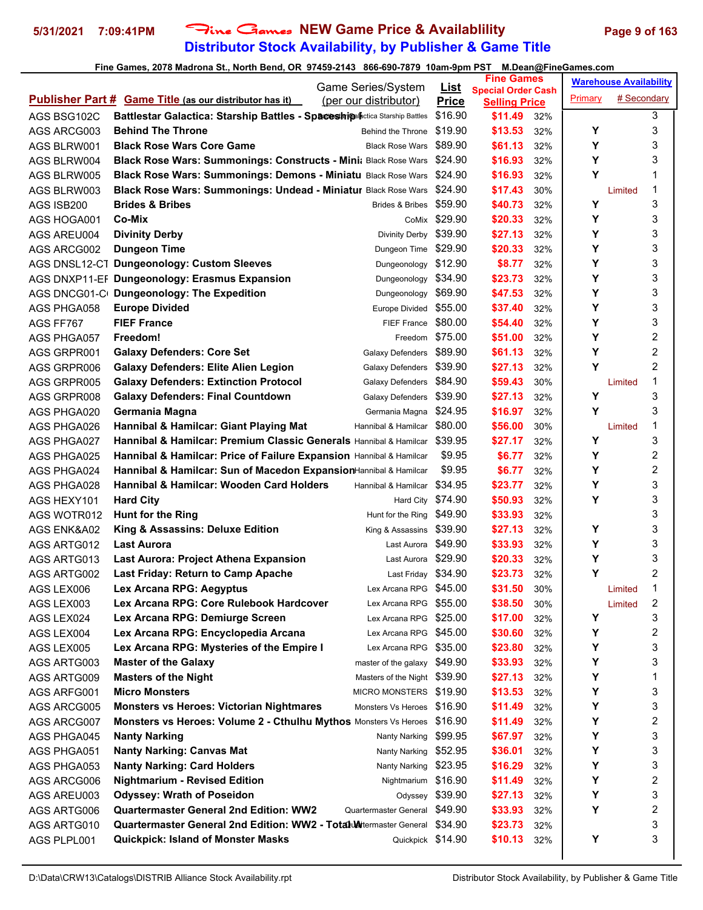### **Distributor Stock Availability, by Publisher & Game Title 5/31/2021 7:09:41PM** Fine Games **NEW Game Price & Availablility Page 9 of 163**

|             | Game Series/System                                                                      |                             | <b>Fine Games</b>                      | <b>Warehouse Availability</b> |
|-------------|-----------------------------------------------------------------------------------------|-----------------------------|----------------------------------------|-------------------------------|
|             | <b>Publisher Part # Game Title (as our distributor has it)</b><br>(per our distributor) | <u>List</u><br><b>Price</b> | <b>Special Order Cash</b>              | # Secondary<br>Primary        |
| AGS BSG102C | Battlestar Galactica: Starship Battles - Spaceshipalpctica Starship Battles             | \$16.90                     | <b>Selling Price</b><br>\$11.49<br>32% | 3                             |
| AGS ARCG003 | <b>Behind The Throne</b><br>Behind the Throne                                           | \$19.90                     | \$13.53<br>32%                         | 3<br>Υ                        |
| AGS BLRW001 | <b>Black Rose Wars Core Game</b><br><b>Black Rose Wars</b>                              | \$89.90                     | \$61.13<br>32%                         | Υ<br>3                        |
| AGS BLRW004 | Black Rose Wars: Summonings: Constructs - Mini; Black Rose Wars                         | \$24.90                     | \$16.93<br>32%                         | Υ<br>3                        |
| AGS BLRW005 | Black Rose Wars: Summonings: Demons - Miniatu Black Rose Wars                           | \$24.90                     | \$16.93<br>32%                         | Υ<br>1                        |
| AGS BLRW003 | Black Rose Wars: Summonings: Undead - Miniatur Black Rose Wars \$24.90                  |                             | \$17.43<br>30%                         | 1<br>Limited                  |
| AGS ISB200  | <b>Brides &amp; Bribes</b><br><b>Brides &amp; Bribes</b>                                | \$59.90                     | \$40.73<br>32%                         | 3<br>Υ                        |
| AGS HOGA001 | Co-Mix                                                                                  | CoMix \$29.90               | \$20.33<br>32%                         | Y<br>3                        |
| AGS AREU004 | Divinity Derby \$39.90<br><b>Divinity Derby</b>                                         |                             | \$27.13<br>32%                         | 3<br>Υ                        |
|             | <b>Dungeon Time</b><br>Dungeon Time                                                     | \$29.90                     | \$20.33<br>32%                         | Υ<br>3                        |
| AGS ARCG002 |                                                                                         |                             |                                        | 3<br>Υ                        |
|             | AGS DNSL12-C1 Dungeonology: Custom Sleeves<br>Dungeonology                              | \$12.90                     | \$8.77<br>32%                          | 3<br>Υ                        |
|             | AGS DNXP11-EF Dungeonology: Erasmus Expansion<br>Dungeonology                           | \$34.90                     | \$23.73<br>32%                         | Υ                             |
|             | AGS DNCG01-C Dungeonology: The Expedition<br>Dungeonology                               | \$69.90                     | \$47.53<br>32%                         | 3<br>Y                        |
| AGS PHGA058 | <b>Europe Divided</b><br>Europe Divided                                                 | \$55.00                     | \$37.40<br>32%                         | 3                             |
| AGS FF767   | <b>FIEF France</b><br><b>FIEF France</b>                                                | \$80.00<br>Freedom \$75.00  | \$54.40<br>32%                         | 3<br>Y                        |
| AGS PHGA057 | Freedom!                                                                                |                             | \$51.00<br>32%                         | 2<br>Υ                        |
| AGS GRPR001 | <b>Galaxy Defenders: Core Set</b><br>Galaxy Defenders                                   | \$89.90                     | \$61.13<br>32%                         | 2<br>Y                        |
| AGS GRPR006 | <b>Galaxy Defenders: Elite Alien Legion</b><br>Galaxy Defenders                         | \$39.90                     | \$27.13<br>32%                         | Υ<br>2                        |
| AGS GRPR005 | <b>Galaxy Defenders: Extinction Protocol</b><br>Galaxy Defenders                        | \$84.90                     | \$59.43<br>30%                         | 1<br>Limited                  |
| AGS GRPR008 | Galaxy Defenders \$39.90<br><b>Galaxy Defenders: Final Countdown</b>                    |                             | \$27.13<br>32%                         | 3<br>Y                        |
| AGS PHGA020 | Germania Magna<br>Germania Magna                                                        | \$24.95                     | \$16.97<br>32%                         | Y<br>3                        |
| AGS PHGA026 | Hannibal & Hamilcar: Giant Playing Mat<br>Hannibal & Hamilcar \$80.00                   |                             | \$56.00<br>30%                         | 1<br>Limited                  |
| AGS PHGA027 | Hannibal & Hamilcar: Premium Classic Generals Hannibal & Hamilcar                       | \$39.95                     | \$27.17<br>32%                         | 3<br>Υ                        |
| AGS PHGA025 | Hannibal & Hamilcar: Price of Failure Expansion Hannibal & Hamilcar                     | \$9.95                      | \$6.77<br>32%                          | 2<br>Υ                        |
| AGS PHGA024 | Hannibal & Hamilcar: Sun of Macedon ExpansionHannibal & Hamilcar                        | \$9.95                      | \$6.77<br>32%                          | Υ<br>2                        |
| AGS PHGA028 | Hannibal & Hamilcar: Wooden Card Holders<br>Hannibal & Hamilcar                         | \$34.95                     | \$23.77<br>32%                         | 3<br>Υ                        |
| AGS HEXY101 | Hard City \$74.90<br><b>Hard City</b>                                                   |                             | \$50.93<br>32%                         | Υ<br>3                        |
| AGS WOTR012 | <b>Hunt for the Ring</b><br>Hunt for the Ring                                           | \$49.90                     | \$33.93<br>32%                         | 3                             |
| AGS ENK&A02 | King & Assassins: Deluxe Edition<br>King & Assassins \$39.90                            |                             | \$27.13<br>32%                         | 3<br>Υ                        |
| AGS ARTG012 | <b>Last Aurora</b><br>Last Aurora                                                       | \$49.90                     | \$33.93<br>32%                         | 3<br>Υ                        |
| AGS ARTG013 | Last Aurora \$29.90<br>Last Aurora: Project Athena Expansion                            |                             | \$20.33<br>32%                         | 3<br>Υ                        |
| AGS ARTG002 | <b>Last Friday: Return to Camp Apache</b><br>Last Friday \$34.90                        |                             | \$23.73<br>32%                         | Υ<br>2                        |
| AGS LEX006  | Lex Arcana RPG \$45.00<br>Lex Arcana RPG: Aegyptus                                      |                             | \$31.50<br>30%                         | 1<br>Limited                  |
| AGS LEX003  | Lex Arcana RPG: Core Rulebook Hardcover<br>Lex Arcana RPG \$55.00                       |                             | \$38.50<br>30%                         | 2<br>Limited                  |
| AGS LEX024  | Lex Arcana RPG: Demiurge Screen<br>Lex Arcana RPG \$25.00                               |                             | \$17.00<br>32%                         | 3<br>Υ                        |
| AGS LEX004  | Lex Arcana RPG: Encyclopedia Arcana<br>Lex Arcana RPG \$45.00                           |                             | \$30.60<br>32%                         | Υ<br>2                        |
| AGS LEX005  | Lex Arcana RPG: Mysteries of the Empire I<br>Lex Arcana RPG \$35.00                     |                             | \$23.80<br>32%                         | Υ<br>3                        |
| AGS ARTG003 | <b>Master of the Galaxy</b><br>master of the galaxy $$49.90$                            |                             | \$33.93<br>32%                         | 3<br>Υ                        |
| AGS ARTG009 | <b>Masters of the Night</b><br>Masters of the Night \$39.90                             |                             | \$27.13<br>32%                         | Υ<br>1                        |
| AGS ARFG001 | <b>Micro Monsters</b><br>MICRO MONSTERS \$19.90                                         |                             | \$13.53<br>32%                         | Υ<br>3                        |
| AGS ARCG005 | <b>Monsters vs Heroes: Victorian Nightmares</b><br>Monsters Vs Heroes \$16.90           |                             | \$11.49<br>32%                         | 3<br>Υ                        |
| AGS ARCG007 | Monsters vs Heroes: Volume 2 - Cthulhu Mythos Monsters Vs Heroes \$16.90                |                             | \$11.49<br>32%                         | 2<br>Υ                        |
| AGS PHGA045 | <b>Nanty Narking</b><br>Nanty Narking                                                   | \$99.95                     | \$67.97<br>32%                         | 3<br>Υ                        |
| AGS PHGA051 | <b>Nanty Narking: Canvas Mat</b><br>Nanty Narking                                       | \$52.95                     | \$36.01<br>32%                         | Υ<br>3                        |
| AGS PHGA053 | <b>Nanty Narking: Card Holders</b><br>Nanty Narking                                     | \$23.95                     | \$16.29<br>32%                         | 3<br>Υ                        |
| AGS ARCG006 | <b>Nightmarium - Revised Edition</b><br>Nightmarium                                     | \$16.90                     | \$11.49<br>32%                         | 2<br>Υ                        |
| AGS AREU003 | <b>Odyssey: Wrath of Poseidon</b>                                                       | Odyssey \$39.90             | \$27.13<br>32%                         | 3<br>Υ                        |
| AGS ARTG006 | <b>Quartermaster General 2nd Edition: WW2</b><br>Quartermaster General                  | \$49.90                     | \$33.93<br>32%                         | Υ<br>2                        |
| AGS ARTG010 | <b>Quartermaster General 2nd Edition: WW2 - Total Metermaster General</b>               | \$34.90                     | \$23.73<br>32%                         | 3                             |
| AGS PLPL001 | <b>Quickpick: Island of Monster Masks</b><br>Quickpick \$14.90                          |                             | \$10.13<br>32%                         | 3<br>Υ                        |
|             |                                                                                         |                             |                                        |                               |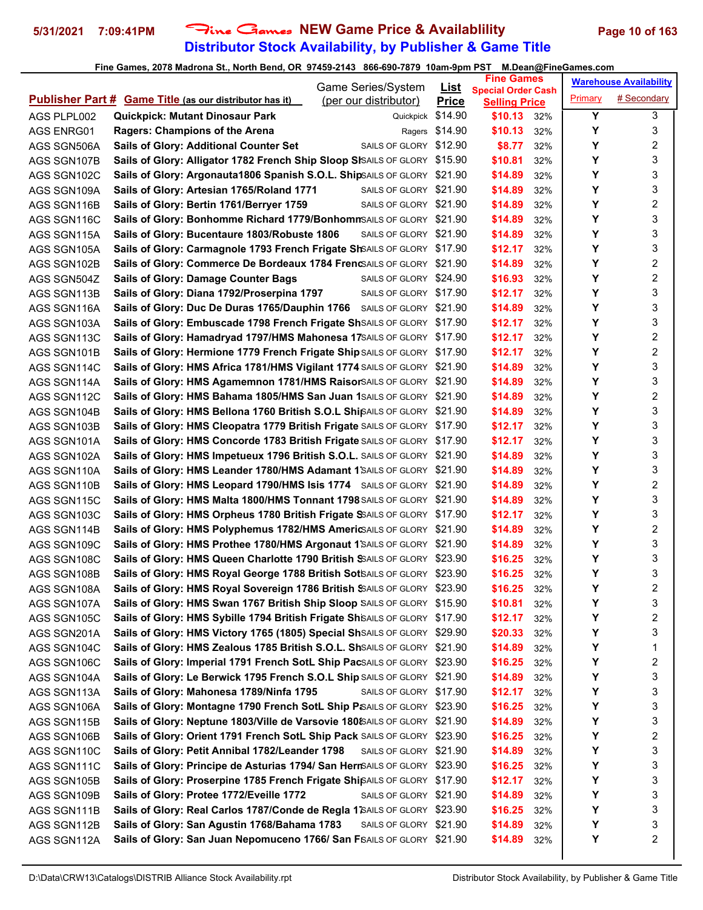## **Distributor Stock Availability, by Publisher & Game Title** 5/31/2021 7:09:41PM Fine Games NEW Game Price & Availablility Page 10 of 163

|                            |                                                                                     | Game Series/System     | <u>List</u>    | <b>Fine Games</b>               |            |         | <b>Warehouse Availability</b> |
|----------------------------|-------------------------------------------------------------------------------------|------------------------|----------------|---------------------------------|------------|---------|-------------------------------|
|                            | <b>Publisher Part # Game Title (as our distributor has it)</b>                      | (per our distributor)  | <b>Price</b>   | <b>Special Order Cash</b>       |            | Primary | # Secondary                   |
| AGS PLPL002                | <b>Quickpick: Mutant Dinosaur Park</b>                                              | Quickpick              | \$14.90        | <b>Selling Price</b><br>\$10.13 | 32%        | Y       | 3                             |
| AGS ENRG01                 | <b>Ragers: Champions of the Arena</b>                                               |                        | Ragers \$14.90 | \$10.13                         | 32%        | Y       | 3                             |
| AGS SGN506A                | <b>Sails of Glory: Additional Counter Set</b>                                       | SAILS OF GLORY \$12.90 |                | \$8.77                          | 32%        | Υ       | 2                             |
| AGS SGN107B                | Sails of Glory: Alligator 1782 French Ship Sloop SISAILS OF GLORY \$15.90           |                        |                | \$10.81                         | 32%        | Y       | 3                             |
| AGS SGN102C                | Sails of Glory: Argonauta1806 Spanish S.O.L. ShipSAILS OF GLORY \$21.90             |                        |                | \$14.89                         | 32%        | Y       | 3                             |
| AGS SGN109A                | Sails of Glory: Artesian 1765/Roland 1771                                           | SAILS OF GLORY \$21.90 |                | \$14.89                         | 32%        | Υ       | 3                             |
| AGS SGN116B                | Sails of Glory: Bertin 1761/Berryer 1759                                            | SAILS OF GLORY \$21.90 |                | \$14.89                         | 32%        | Y       | 2                             |
| AGS SGN116C                | Sails of Glory: Bonhomme Richard 1779/BonhommSAILS OF GLORY \$21.90                 |                        |                | \$14.89                         | 32%        | Y       | 3                             |
| AGS SGN115A                | Sails of Glory: Bucentaure 1803/Robuste 1806                                        | SAILS OF GLORY \$21.90 |                | \$14.89                         | 32%        | Y       | 3                             |
| AGS SGN105A                | Sails of Glory: Carmagnole 1793 French Frigate ShSAILS OF GLORY \$17.90             |                        |                | \$12.17                         | 32%        | Υ       | 3                             |
| AGS SGN102B                | Sails of Glory: Commerce De Bordeaux 1784 FrencSAILS OF GLORY \$21.90               |                        |                | \$14.89                         | 32%        | Υ       | 2                             |
| AGS SGN504Z                | <b>Sails of Glory: Damage Counter Bags</b>                                          | SAILS OF GLORY \$24.90 |                | \$16.93                         | 32%        | Y       | 2                             |
| AGS SGN113B                | Sails of Glory: Diana 1792/Proserpina 1797                                          | SAILS OF GLORY \$17.90 |                | \$12.17                         | 32%        | Υ       | 3                             |
| AGS SGN116A                | Sails of Glory: Duc De Duras 1765/Dauphin 1766 SAILS OF GLORY \$21.90               |                        |                | \$14.89                         | 32%        | Y       | 3                             |
| AGS SGN103A                | Sails of Glory: Embuscade 1798 French Frigate ShSAILS OF GLORY \$17.90              |                        |                | \$12.17                         | 32%        | Y       | 3                             |
| AGS SGN113C                | Sails of Glory: Hamadryad 1797/HMS Mahonesa 17SAILS OF GLORY \$17.90                |                        |                | \$12.17                         | 32%        | Υ       | 2                             |
| AGS SGN101B                | Sails of Glory: Hermione 1779 French Frigate Ship SAILS OF GLORY \$17.90            |                        |                | \$12.17                         | 32%        | Υ       | 2                             |
| AGS SGN114C                | Sails of Glory: HMS Africa 1781/HMS Vigilant 1774 SAILS OF GLORY \$21.90            |                        |                | \$14.89                         | 32%        | Y       | 3                             |
| AGS SGN114A                | Sails of Glory: HMS Agamemnon 1781/HMS RaisorSAILS OF GLORY \$21.90                 |                        |                | \$14.89                         | 32%        | Y       | 3                             |
| AGS SGN112C                | Sails of Glory: HMS Bahama 1805/HMS San Juan 1SAILS OF GLORY \$21.90                |                        |                | \$14.89                         | 32%        | Υ       | 2                             |
| AGS SGN104B                | Sails of Glory: HMS Bellona 1760 British S.O.L Shi $\beta$ AILS OF GLORY \$21.90    |                        |                | \$14.89                         | 32%        | Υ       | 3                             |
| AGS SGN103B                | Sails of Glory: HMS Cleopatra 1779 British Frigate SAILS OF GLORY \$17.90           |                        |                | \$12.17                         | 32%        | Y       | 3                             |
| AGS SGN101A                | Sails of Glory: HMS Concorde 1783 British Frigate SAILS OF GLORY \$17.90            |                        |                | \$12.17                         |            | Y       | 3                             |
|                            | Sails of Glory: HMS Impetueux 1796 British S.O.L. SAILS OF GLORY \$21.90            |                        |                | \$14.89                         | 32%        | Υ       | 3                             |
| AGS SGN102A                | Sails of Glory: HMS Leander 1780/HMS Adamant 1 SAILS OF GLORY \$21.90               |                        |                | \$14.89                         | 32%<br>32% | Y       | 3                             |
| AGS SGN110A<br>AGS SGN110B | Sails of Glory: HMS Leopard 1790/HMS Isis 1774 SAILS OF GLORY \$21.90               |                        |                | \$14.89                         | 32%        | Y       | 2                             |
|                            | Sails of Glory: HMS Malta 1800/HMS Tonnant 1798 SAILS OF GLORY \$21.90              |                        |                | \$14.89                         |            | Υ       | 3                             |
| AGS SGN115C                | Sails of Glory: HMS Orpheus 1780 British Frigate SSAILS OF GLORY \$17.90            |                        |                | \$12.17                         | 32%<br>32% | Υ       | 3                             |
| AGS SGN103C                | Sails of Glory: HMS Polyphemus 1782/HMS AmericsAILS OF GLORY \$21.90                |                        |                | \$14.89                         | 32%        | Υ       | 2                             |
| AGS SGN114B<br>AGS SGN109C | Sails of Glory: HMS Prothee 1780/HMS Argonaut 1 SAILS OF GLORY \$21.90              |                        |                | \$14.89                         | 32%        | Y       | 3                             |
| AGS SGN108C                | Sails of Glory: HMS Queen Charlotte 1790 British SSAILS OF GLORY \$23.90            |                        |                | \$16.25                         | 32%        | Υ       | 3                             |
| AGS SGN108B                | Sails of Glory: HMS Royal George 1788 British Sot SAILS OF GLORY \$23.90            |                        |                | \$16.25                         | 32%        | Υ       | 3                             |
| AGS SGN108A                | Sails of Glory: HMS Royal Sovereign 1786 British SSAILS OF GLORY \$23.90            |                        |                | \$16.25                         | 32%        | Υ       | $\overline{2}$                |
| AGS SGN107A                | Sails of Glory: HMS Swan 1767 British Ship Sloop SAILS OF GLORY \$15.90             |                        |                | \$10.81                         | 32%        | Υ       | 3                             |
| AGS SGN105C                | Sails of Glory: HMS Sybille 1794 British Frigate ShiSAILS OF GLORY \$17.90          |                        |                | \$12.17                         |            | Υ       | 2                             |
|                            | Sails of Glory: HMS Victory 1765 (1805) Special ShSAILS OF GLORY \$29.90            |                        |                | \$20.33                         | 32%<br>32% | Υ       | 3                             |
| AGS SGN201A                | Sails of Glory: HMS Zealous 1785 British S.O.L. ShSAILS OF GLORY \$21.90            |                        |                | \$14.89                         |            | Y       | 1                             |
| AGS SGN104C<br>AGS SGN106C | Sails of Glory: Imperial 1791 French SotL Ship PacSAILS OF GLORY \$23.90            |                        |                | \$16.25                         | 32%<br>32% | Υ       | 2                             |
|                            | Sails of Glory: Le Berwick 1795 French S.O.L Ship SAILS OF GLORY \$21.90            |                        |                | \$14.89                         |            | Υ       | 3                             |
| AGS SGN104A                | Sails of Glory: Mahonesa 1789/Ninfa 1795                                            | SAILS OF GLORY \$17.90 |                | \$12.17                         | 32%        | Υ       | 3                             |
| AGS SGN113A                | Sails of Glory: Montagne 1790 French SotL Ship P <sub>iSAILS</sub> OF GLORY \$23.90 |                        |                | \$16.25                         | 32%        | Υ       | 3                             |
| AGS SGN106A                | Sails of Glory: Neptune 1803/Ville de Varsovie 180 (SAILS OF GLORY \$21.90          |                        |                | \$14.89                         | 32%        | Υ       | 3                             |
| AGS SGN115B                |                                                                                     |                        |                |                                 | 32%        | Y       | 2                             |
| AGS SGN106B                | Sails of Glory: Orient 1791 French SotL Ship Pack SAILS OF GLORY \$23.90            |                        |                | \$16.25                         | 32%        | Y       | 3                             |
| AGS SGN110C                | Sails of Glory: Petit Annibal 1782/Leander 1798                                     | SAILS OF GLORY \$21.90 |                | \$14.89                         | 32%        |         | 3                             |
| AGS SGN111C                | Sails of Glory: Principe de Asturias 1794/ San HernSAILS OF GLORY \$23.90           |                        |                | \$16.25                         | 32%        | Υ       |                               |
| AGS SGN105B                | Sails of Glory: Proserpine 1785 French Frigate ShipAILS OF GLORY \$17.90            |                        |                | \$12.17                         | 32%        | Υ       | 3                             |
| AGS SGN109B                | Sails of Glory: Protee 1772/Eveille 1772                                            | SAILS OF GLORY \$21.90 |                | \$14.89                         | 32%        | Υ       | 3                             |
| AGS SGN111B                | Sails of Glory: Real Carlos 1787/Conde de Regla 1 SAILS OF GLORY \$23.90            |                        |                | \$16.25                         | 32%        | Υ       | 3                             |
| AGS SGN112B                | Sails of Glory: San Agustin 1768/Bahama 1783                                        | SAILS OF GLORY \$21.90 |                | \$14.89                         | 32%        | Υ       | 3<br>2                        |
| AGS SGN112A                | Sails of Glory: San Juan Nepomuceno 1766/ San FSAILS OF GLORY \$21.90               |                        |                | \$14.89                         | 32%        | Y       |                               |
|                            |                                                                                     |                        |                |                                 |            |         |                               |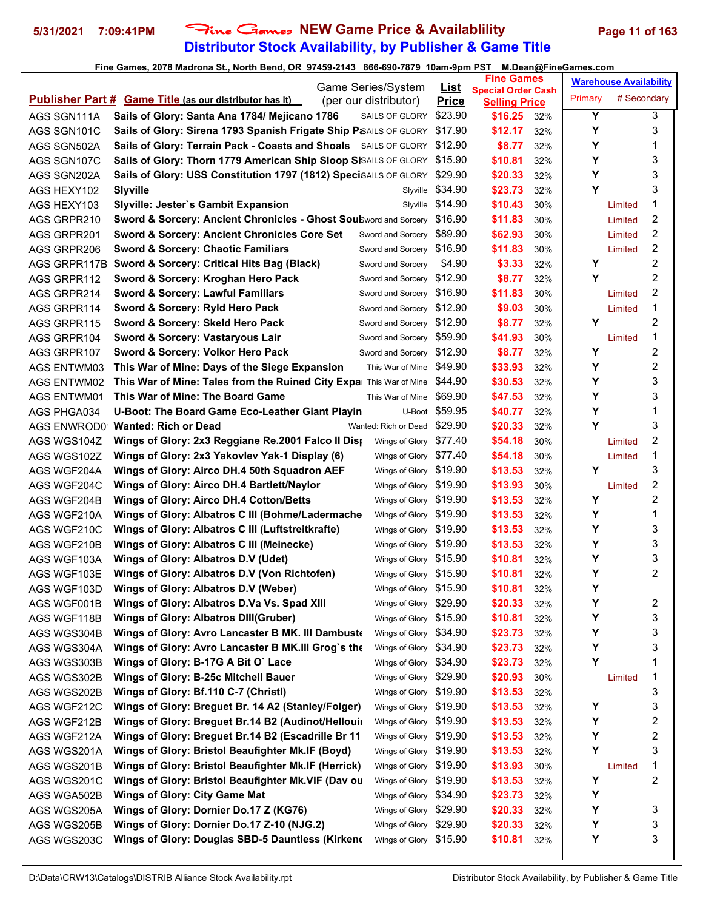## **Distributor Stock Availability, by Publisher & Game Title 5/31/2021 7:09:41PM** Fine Games **NEW Game Price & Availablility Page 11 of 163**

| Game Series/System         |                                                                                                |                                                  |                             | <b>Fine Games</b>               |            | <b>Warehouse Availability</b> |             |                         |
|----------------------------|------------------------------------------------------------------------------------------------|--------------------------------------------------|-----------------------------|---------------------------------|------------|-------------------------------|-------------|-------------------------|
|                            | <b>Publisher Part # Game Title (as our distributor has it)</b>                                 | (per our distributor)                            | <u>List</u><br><b>Price</b> | <b>Special Order Cash</b>       |            | Primary                       | # Secondary |                         |
| AGS SGN111A                | Sails of Glory: Santa Ana 1784/ Mejicano 1786                                                  | SAILS OF GLORY                                   | \$23.90                     | <b>Selling Price</b><br>\$16.25 | 32%        | Υ                             |             | 3                       |
| AGS SGN101C                | Sails of Glory: Sirena 1793 Spanish Frigate Ship P&AILS OF GLORY \$17.90                       |                                                  |                             | \$12.17                         | 32%        | Υ                             |             | 3                       |
| AGS SGN502A                | Sails of Glory: Terrain Pack - Coasts and Shoals SAILS OF GLORY \$12.90                        |                                                  |                             | \$8.77                          | 32%        | Y                             |             | 1                       |
| AGS SGN107C                | Sails of Glory: Thorn 1779 American Ship Sloop SISAILS OF GLORY \$15.90                        |                                                  |                             | \$10.81                         | 32%        | Y                             |             | 3                       |
| AGS SGN202A                | Sails of Glory: USS Constitution 1797 (1812) SpeciSAILS OF GLORY \$29.90                       |                                                  |                             | \$20.33                         | 32%        | Υ                             |             | 3                       |
| AGS HEXY102                | Slyville                                                                                       | Slyville                                         | \$34.90                     | \$23.73                         | 32%        | Y                             |             | 3                       |
| AGS HEXY103                | <b>Slyville: Jester's Gambit Expansion</b>                                                     |                                                  | Slyville \$14.90            | \$10.43                         | 30%        |                               | Limited     | 1                       |
| AGS GRPR210                | <b>Sword &amp; Sorcery: Ancient Chronicles - Ghost SouBword and Sorcery \$16.90</b>            |                                                  |                             | \$11.83                         | 30%        |                               | Limited     | 2                       |
| AGS GRPR201                | <b>Sword &amp; Sorcery: Ancient Chronicles Core Set</b>                                        | Sword and Sorcery \$89.90                        |                             | \$62.93                         | 30%        |                               | Limited     | 2                       |
| AGS GRPR206                | <b>Sword &amp; Sorcery: Chaotic Familiars</b>                                                  | Sword and Sorcery \$16.90                        |                             | \$11.83                         | 30%        |                               | Limited     | 2                       |
|                            | AGS GRPR117B Sword & Sorcery: Critical Hits Bag (Black)                                        | Sword and Sorcery                                | \$4.90                      | \$3.33                          | 32%        | Y                             |             | 2                       |
| AGS GRPR112                | Sword & Sorcery: Kroghan Hero Pack                                                             | Sword and Sorcery \$12.90                        |                             | \$8.77                          | 32%        | Y                             |             | 2                       |
| AGS GRPR214                | <b>Sword &amp; Sorcery: Lawful Familiars</b>                                                   | Sword and Sorcery \$16.90                        |                             | \$11.83                         | 30%        |                               | Limited     | 2                       |
| AGS GRPR114                | Sword & Sorcery: Ryld Hero Pack                                                                | Sword and Sorcery \$12.90                        |                             | \$9.03                          | 30%        |                               | Limited     | 1                       |
| AGS GRPR115                | Sword & Sorcery: Skeld Hero Pack                                                               | Sword and Sorcery \$12.90                        |                             | \$8.77                          | 32%        | Υ                             |             | 2                       |
| AGS GRPR104                | Sword & Sorcery: Vastaryous Lair                                                               | Sword and Sorcery \$59.90                        |                             | \$41.93                         | 30%        |                               | Limited     | 1                       |
| AGS GRPR107                | Sword & Sorcery: Volkor Hero Pack                                                              | Sword and Sorcery \$12.90                        |                             | \$8.77                          | 32%        | Y                             |             | 2                       |
|                            | This War of Mine: Days of the Siege Expansion                                                  | This War of Mine                                 | \$49.90                     | \$33.93                         |            | Y                             |             | 2                       |
| AGS ENTWM03                | <b>This War of Mine: Tales from the Ruined City Expa</b> This War of Mine \$44.90              |                                                  |                             | \$30.53                         | 32%        | Υ                             |             | 3                       |
| <b>AGS ENTWM02</b>         | This War of Mine: The Board Game                                                               | This War of Mine \$69.90                         |                             |                                 | 32%        | Υ                             |             | 3                       |
| <b>AGS ENTWM01</b>         | U-Boot: The Board Game Eco-Leather Giant Playin                                                |                                                  | U-Boot \$59.95              | \$47.53<br>\$40.77              | 32%<br>32% | Υ                             |             | 1                       |
| AGS PHGA034                | AGS ENWROD0 Wanted: Rich or Dead                                                               | Wanted: Rich or Dead \$29.90                     |                             | \$20.33                         | 32%        | Y                             |             | 3                       |
|                            |                                                                                                |                                                  |                             |                                 |            |                               |             | 2                       |
| AGS WGS104Z                | Wings of Glory: 2x3 Reggiane Re.2001 Falco II Dis                                              | Wings of Glory \$77.40                           |                             | \$54.18                         | 30%        |                               | Limited     |                         |
| AGS WGS102Z                | Wings of Glory: 2x3 Yakovlev Yak-1 Display (6)                                                 | Wings of Glory \$77.40                           |                             | \$54.18                         | 30%        |                               | Limited     | 1                       |
| AGS WGF204A                | Wings of Glory: Airco DH.4 50th Squadron AEF                                                   | Wings of Glory \$19.90                           |                             | \$13.53                         | 32%        | Y                             |             | 3                       |
| AGS WGF204C                | Wings of Glory: Airco DH.4 Bartlett/Naylor                                                     | Wings of Glory \$19.90                           |                             | \$13.93                         | 30%        |                               | Limited     | 2<br>2                  |
| AGS WGF204B                | <b>Wings of Glory: Airco DH.4 Cotton/Betts</b>                                                 | Wings of Glory \$19.90                           |                             | \$13.53                         | 32%        | Y<br>Y                        |             | 1                       |
| AGS WGF210A                | Wings of Glory: Albatros C III (Bohme/Ladermache                                               | Wings of Glory \$19.90<br>Wings of Glory \$19.90 |                             | \$13.53<br>\$13.53              | 32%<br>32% | Y                             |             | 3                       |
| AGS WGF210C                | Wings of Glory: Albatros C III (Luftstreitkrafte)<br>Wings of Glory: Albatros C III (Meinecke) | Wings of Glory \$19.90                           |                             |                                 |            | Υ                             |             | 3                       |
| AGS WGF210B<br>AGS WGF103A | Wings of Glory: Albatros D.V (Udet)                                                            |                                                  |                             | \$13.53<br>\$10.81              | 32%        | Υ                             |             | 3                       |
|                            | Wings of Glory: Albatros D.V (Von Richtofen)                                                   | Wings of Glory \$15.90<br>Wings of Glory \$15.90 |                             | \$10.81                         | 32%<br>32% | Υ                             |             | 2                       |
| AGS WGF103E<br>AGS WGF103D | Wings of Glory: Albatros D.V (Weber)                                                           | Wings of Glory \$15.90                           |                             | \$10.81                         | 32%        | Y                             |             |                         |
|                            | Wings of Glory: Albatros D.Va Vs. Spad XIII                                                    | Wings of Glory \$29.90                           |                             | \$20.33                         | 32%        | Υ                             |             | 2                       |
| AGS WGF001B                | <b>Wings of Glory: Albatros DIII(Gruber)</b>                                                   | Wings of Glory \$15.90                           |                             | \$10.81                         |            | Y                             |             | 3                       |
| AGS WGF118B                | Wings of Glory: Avro Lancaster B MK. III Dambust                                               | Wings of Glory \$34.90                           |                             | \$23.73                         | 32%        | Y                             |             | 3                       |
| AGS WGS304B                | Wings of Glory: Avro Lancaster B MK.III Grog`s the                                             | Wings of Glory \$34.90                           |                             |                                 | 32%        | Y                             |             | 3                       |
| AGS WGS304A<br>AGS WGS303B | Wings of Glory: B-17G A Bit O' Lace                                                            | Wings of Glory \$34.90                           |                             | \$23.73<br>\$23.73              | 32%<br>32% | Υ                             |             | 1                       |
| AGS WGS302B                | Wings of Glory: B-25c Mitchell Bauer                                                           | Wings of Glory \$29.90                           |                             | \$20.93                         | 30%        |                               |             | 1                       |
| AGS WGS202B                | Wings of Glory: Bf.110 C-7 (Christl)                                                           | Wings of Glory \$19.90                           |                             | \$13.53                         | 32%        |                               | Limited     | 3                       |
| AGS WGF212C                | Wings of Glory: Breguet Br. 14 A2 (Stanley/Folger)                                             | Wings of Glory \$19.90                           |                             | \$13.53                         | 32%        | Υ                             |             | 3                       |
| AGS WGF212B                | Wings of Glory: Breguet Br.14 B2 (Audinot/Hellouir                                             | Wings of Glory \$19.90                           |                             | \$13.53                         | 32%        | Y                             |             | 2                       |
|                            | Wings of Glory: Breguet Br.14 B2 (Escadrille Br 11                                             | Wings of Glory \$19.90                           |                             | \$13.53                         |            | Υ                             |             | $\overline{\mathbf{c}}$ |
| AGS WGF212A<br>AGS WGS201A | Wings of Glory: Bristol Beaufighter Mk.IF (Boyd)                                               | Wings of Glory \$19.90                           |                             | \$13.53                         | 32%<br>32% | Υ                             |             | 3                       |
|                            | Wings of Glory: Bristol Beaufighter Mk.IF (Herrick)                                            | Wings of Glory \$19.90                           |                             | \$13.93                         |            |                               | Limited     | 1                       |
| AGS WGS201B                | Wings of Glory: Bristol Beaufighter Mk.VIF (Dav ou                                             | Wings of Glory \$19.90                           |                             | \$13.53                         | 30%        | Υ                             |             | 2                       |
| AGS WGS201C<br>AGS WGA502B | <b>Wings of Glory: City Game Mat</b>                                                           | Wings of Glory \$34.90                           |                             | \$23.73                         | 32%<br>32% | Y                             |             |                         |
|                            | Wings of Glory: Dornier Do.17 Z (KG76)                                                         | Wings of Glory \$29.90                           |                             | \$20.33                         | 32%        | Υ                             |             | 3                       |
| AGS WGS205A<br>AGS WGS205B | Wings of Glory: Dornier Do.17 Z-10 (NJG.2)                                                     | Wings of Glory \$29.90                           |                             | \$20.33                         | 32%        | Y                             |             | 3                       |
| AGS WGS203C                | Wings of Glory: Douglas SBD-5 Dauntless (Kirkend                                               | Wings of Glory \$15.90                           |                             | \$10.81                         | 32%        | Y                             |             | 3                       |
|                            |                                                                                                |                                                  |                             |                                 |            |                               |             |                         |
|                            |                                                                                                |                                                  |                             |                                 |            |                               |             |                         |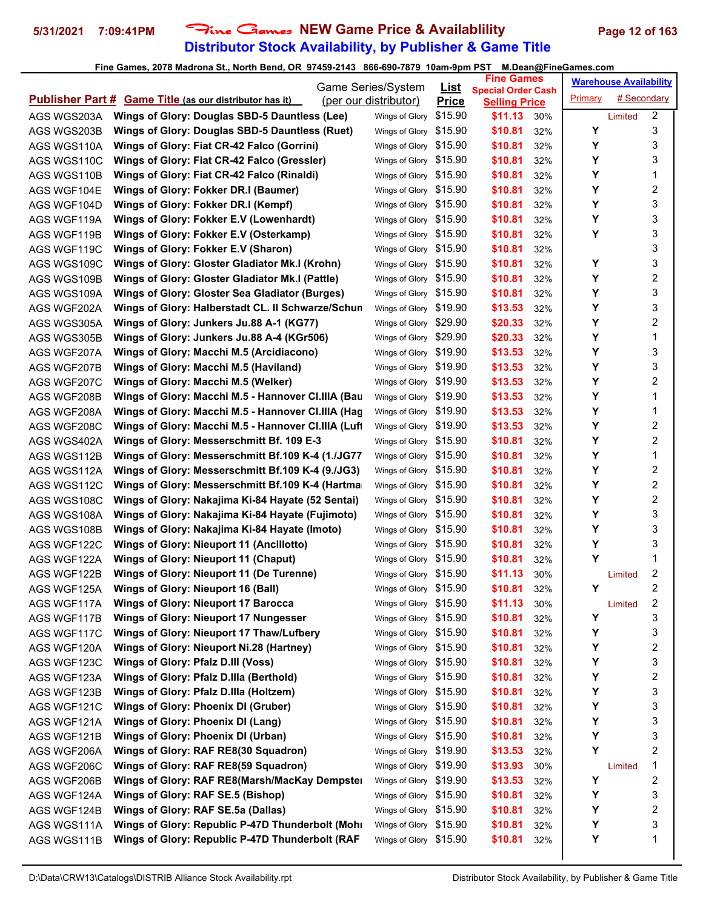## **Distributor Stock Availability, by Publisher & Game Title 5/31/2021 7:09:41PM** Fine Games **NEW Game Price & Availablility Page 12 of 163**

|             |                                                                | Game Series/System     | <u>List</u>  | <b>Fine Games</b>                                 |     |         | <b>Warehouse Availability</b> |                         |
|-------------|----------------------------------------------------------------|------------------------|--------------|---------------------------------------------------|-----|---------|-------------------------------|-------------------------|
|             | <b>Publisher Part # Game Title (as our distributor has it)</b> | (per our distributor)  | <b>Price</b> | <b>Special Order Cash</b><br><b>Selling Price</b> |     | Primary | # Secondary                   |                         |
| AGS WGS203A | Wings of Glory: Douglas SBD-5 Dauntless (Lee)                  | Wings of Glory         | \$15.90      | \$11.13                                           | 30% |         | Limited                       | $\overline{2}$          |
| AGS WGS203B | Wings of Glory: Douglas SBD-5 Dauntless (Ruet)                 | Wings of Glory \$15.90 |              | \$10.81                                           | 32% | Υ       |                               | 3                       |
| AGS WGS110A | Wings of Glory: Fiat CR-42 Falco (Gorrini)                     | Wings of Glory \$15.90 |              | \$10.81                                           | 32% | Υ       |                               | 3                       |
| AGS WGS110C | Wings of Glory: Fiat CR-42 Falco (Gressler)                    | Wings of Glory \$15.90 |              | \$10.81                                           | 32% | Υ       |                               | 3                       |
| AGS WGS110B | Wings of Glory: Fiat CR-42 Falco (Rinaldi)                     | Wings of Glory \$15.90 |              | \$10.81                                           | 32% | Y       |                               | 1                       |
| AGS WGF104E | Wings of Glory: Fokker DR.I (Baumer)                           | Wings of Glory \$15.90 |              | \$10.81                                           | 32% | Y       |                               | 2                       |
| AGS WGF104D | Wings of Glory: Fokker DR.I (Kempf)                            | Wings of Glory \$15.90 |              | \$10.81                                           | 32% | Υ       |                               | 3                       |
| AGS WGF119A | Wings of Glory: Fokker E.V (Lowenhardt)                        | Wings of Glory \$15.90 |              | \$10.81                                           | 32% | Υ       |                               | 3                       |
| AGS WGF119B | Wings of Glory: Fokker E.V (Osterkamp)                         | Wings of Glory \$15.90 |              | \$10.81                                           | 32% | Y       |                               | 3                       |
| AGS WGF119C | Wings of Glory: Fokker E.V (Sharon)                            | Wings of Glory \$15.90 |              | \$10.81                                           | 32% |         |                               | 3                       |
| AGS WGS109C | Wings of Glory: Gloster Gladiator Mk.I (Krohn)                 | Wings of Glory \$15.90 |              | \$10.81                                           | 32% | Y       |                               | 3                       |
| AGS WGS109B | Wings of Glory: Gloster Gladiator Mk.I (Pattle)                | Wings of Glory \$15.90 |              | \$10.81                                           | 32% | Y       |                               | 2                       |
| AGS WGS109A | Wings of Glory: Gloster Sea Gladiator (Burges)                 | Wings of Glory \$15.90 |              | \$10.81                                           | 32% | Y       |                               | 3                       |
| AGS WGF202A | Wings of Glory: Halberstadt CL. II Schwarze/Schun              | Wings of Glory \$19.90 |              | \$13.53                                           | 32% | Υ       |                               | 3                       |
| AGS WGS305A | Wings of Glory: Junkers Ju.88 A-1 (KG77)                       | Wings of Glory \$29.90 |              | \$20.33                                           | 32% | Υ       |                               | 2                       |
| AGS WGS305B | Wings of Glory: Junkers Ju.88 A-4 (KGr506)                     | Wings of Glory \$29.90 |              | \$20.33                                           | 32% | Υ       |                               | 1                       |
| AGS WGF207A | Wings of Glory: Macchi M.5 (Arcidiacono)                       | Wings of Glory \$19.90 |              | \$13.53                                           | 32% | Υ       |                               | 3                       |
| AGS WGF207B | Wings of Glory: Macchi M.5 (Haviland)                          | Wings of Glory \$19.90 |              | \$13.53                                           | 32% | Υ       |                               | 3                       |
| AGS WGF207C | Wings of Glory: Macchi M.5 (Welker)                            | Wings of Glory \$19.90 |              | \$13.53                                           | 32% | Y       |                               | 2                       |
| AGS WGF208B | Wings of Glory: Macchi M.5 - Hannover Cl.IIIA (Bau             | Wings of Glory \$19.90 |              | \$13.53                                           | 32% | Y       |                               | 1                       |
| AGS WGF208A | Wings of Glory: Macchi M.5 - Hannover Cl.IIIA (Hag             | Wings of Glory \$19.90 |              | \$13.53                                           | 32% | Υ       |                               | 1                       |
| AGS WGF208C | Wings of Glory: Macchi M.5 - Hannover Cl.IIIA (Luft            | Wings of Glory \$19.90 |              | \$13.53                                           | 32% | Υ       |                               | $\overline{c}$          |
| AGS WGS402A | Wings of Glory: Messerschmitt Bf. 109 E-3                      | Wings of Glory \$15.90 |              | \$10.81                                           | 32% | Υ       |                               | $\overline{\mathbf{c}}$ |
| AGS WGS112B | Wings of Glory: Messerschmitt Bf.109 K-4 (1./JG77              | Wings of Glory \$15.90 |              | \$10.81                                           | 32% | Υ       |                               | 1                       |
| AGS WGS112A | Wings of Glory: Messerschmitt Bf.109 K-4 (9./JG3)              | Wings of Glory \$15.90 |              | \$10.81                                           | 32% | Y       |                               | 2                       |
| AGS WGS112C | Wings of Glory: Messerschmitt Bf.109 K-4 (Hartma               | Wings of Glory \$15.90 |              | \$10.81                                           | 32% | Y       |                               | 2                       |
| AGS WGS108C | Wings of Glory: Nakajima Ki-84 Hayate (52 Sentai)              | Wings of Glory \$15.90 |              | \$10.81                                           | 32% | Υ       |                               | 2                       |
| AGS WGS108A | Wings of Glory: Nakajima Ki-84 Hayate (Fujimoto)               | Wings of Glory \$15.90 |              | \$10.81                                           | 32% | Υ       |                               | 3                       |
| AGS WGS108B | Wings of Glory: Nakajima Ki-84 Hayate (Imoto)                  | Wings of Glory \$15.90 |              | \$10.81                                           | 32% | Υ       |                               | 3                       |
| AGS WGF122C | Wings of Glory: Nieuport 11 (Ancillotto)                       | Wings of Glory \$15.90 |              | \$10.81                                           | 32% | Υ       |                               | 3                       |
| AGS WGF122A | Wings of Glory: Nieuport 11 (Chaput)                           | Wings of Glory \$15.90 |              | \$10.81                                           | 32% | Υ       |                               | 1                       |
| AGS WGF122B | Wings of Glory: Nieuport 11 (De Turenne)                       | Wings of Glory \$15.90 |              | \$11.13                                           | 30% |         | Limited                       | 2                       |
| AGS WGF125A | Wings of Glory: Nieuport 16 (Ball)                             | Wings of Glory \$15.90 |              | \$10.81                                           | 32% | Y       |                               | 2                       |
| AGS WGF117A | <b>Wings of Glory: Nieuport 17 Barocca</b>                     | Wings of Glory \$15.90 |              | \$11.13                                           | 30% |         | Limited                       | 2                       |
| AGS WGF117B | Wings of Glory: Nieuport 17 Nungesser                          | Wings of Glory \$15.90 |              | \$10.81                                           | 32% | Υ       |                               | 3                       |
| AGS WGF117C | Wings of Glory: Nieuport 17 Thaw/Lufbery                       | Wings of Glory \$15.90 |              | \$10.81                                           | 32% | Υ       |                               | 3                       |
| AGS WGF120A | Wings of Glory: Nieuport Ni.28 (Hartney)                       | Wings of Glory \$15.90 |              | \$10.81                                           | 32% | Υ       |                               | 2                       |
| AGS WGF123C | Wings of Glory: Pfalz D.III (Voss)                             | Wings of Glory \$15.90 |              | \$10.81                                           | 32% | Υ       |                               | 3                       |
| AGS WGF123A | Wings of Glory: Pfalz D.Illa (Berthold)                        | Wings of Glory \$15.90 |              | \$10.81                                           | 32% | Υ       |                               | 2                       |
| AGS WGF123B | Wings of Glory: Pfalz D.Illa (Holtzem)                         | Wings of Glory \$15.90 |              | \$10.81                                           | 32% | Υ       |                               | 3                       |
| AGS WGF121C | <b>Wings of Glory: Phoenix DI (Gruber)</b>                     | Wings of Glory \$15.90 |              | \$10.81                                           | 32% | Υ       |                               | 3                       |
| AGS WGF121A | Wings of Glory: Phoenix DI (Lang)                              | Wings of Glory \$15.90 |              | \$10.81                                           | 32% | Υ       |                               | 3                       |
| AGS WGF121B | Wings of Glory: Phoenix DI (Urban)                             | Wings of Glory \$15.90 |              | \$10.81                                           | 32% | Υ       |                               | 3                       |
| AGS WGF206A | Wings of Glory: RAF RE8(30 Squadron)                           | Wings of Glory \$19.90 |              | \$13.53                                           | 32% | Y       |                               | 2                       |
| AGS WGF206C | Wings of Glory: RAF RE8(59 Squadron)                           | Wings of Glory \$19.90 |              | \$13.93                                           | 30% |         | Limited                       | 1                       |
| AGS WGF206B | Wings of Glory: RAF RE8(Marsh/MacKay Dempster                  | Wings of Glory \$19.90 |              | \$13.53                                           | 32% | Υ       |                               | 2                       |
| AGS WGF124A | Wings of Glory: RAF SE.5 (Bishop)                              | Wings of Glory \$15.90 |              | \$10.81                                           | 32% | Υ       |                               | 3                       |
| AGS WGF124B | Wings of Glory: RAF SE.5a (Dallas)                             | Wings of Glory \$15.90 |              | \$10.81                                           | 32% | Υ       |                               | 2                       |
| AGS WGS111A | Wings of Glory: Republic P-47D Thunderbolt (Mohl               | Wings of Glory \$15.90 |              | \$10.81                                           | 32% | Υ       |                               | 3                       |
| AGS WGS111B | Wings of Glory: Republic P-47D Thunderbolt (RAF                | Wings of Glory \$15.90 |              | \$10.81                                           | 32% | Υ       |                               | 1                       |
|             |                                                                |                        |              |                                                   |     |         |                               |                         |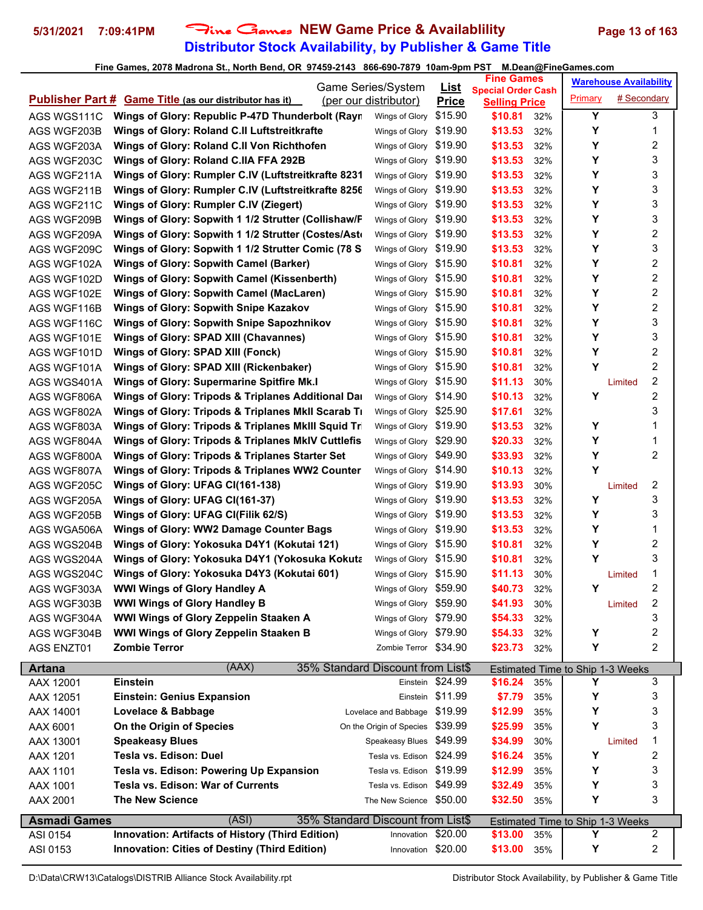## **Distributor Stock Availability, by Publisher & Game Title** 5/31/2021 7:09:41PM Fine Games NEW Game Price & Availablility Page 13 of 163

|                     |                                                                | <b>Game Series/System</b>                               | <u>List</u>      | <b>Fine Games</b>                                 |     |                                              | <b>Warehouse Availability</b> |   |  |
|---------------------|----------------------------------------------------------------|---------------------------------------------------------|------------------|---------------------------------------------------|-----|----------------------------------------------|-------------------------------|---|--|
|                     | <b>Publisher Part # Game Title (as our distributor has it)</b> | (per our distributor)                                   | <b>Price</b>     | <b>Special Order Cash</b><br><b>Selling Price</b> |     | Primary                                      | # Secondary                   |   |  |
| AGS WGS111C         | Wings of Glory: Republic P-47D Thunderbolt (Rayn               | Wings of Glory                                          | \$15.90          | \$10.81                                           | 32% | Y                                            |                               | 3 |  |
| AGS WGF203B         | Wings of Glory: Roland C.II Luftstreitkrafte                   | Wings of Glory                                          | \$19.90          | \$13.53                                           | 32% | Υ                                            |                               | 1 |  |
| AGS WGF203A         | Wings of Glory: Roland C.II Von Richthofen                     | Wings of Glory                                          | \$19.90          | \$13.53                                           | 32% | Y                                            |                               | 2 |  |
| AGS WGF203C         | Wings of Glory: Roland C.IIA FFA 292B                          | Wings of Glory                                          | \$19.90          | \$13.53                                           | 32% | Y                                            |                               | 3 |  |
| AGS WGF211A         | Wings of Glory: Rumpler C.IV (Luftstreitkrafte 8231            | Wings of Glory                                          | \$19.90          | \$13.53                                           | 32% | Y                                            |                               | 3 |  |
| AGS WGF211B         | Wings of Glory: Rumpler C.IV (Luftstreitkrafte 8256            | Wings of Glory \$19.90                                  |                  | \$13.53                                           | 32% | Y                                            |                               | 3 |  |
| AGS WGF211C         | Wings of Glory: Rumpler C.IV (Ziegert)                         | Wings of Glory \$19.90                                  |                  | \$13.53                                           | 32% | Υ                                            |                               | 3 |  |
| AGS WGF209B         | Wings of Glory: Sopwith 1 1/2 Strutter (Collishaw/F            | Wings of Glory \$19.90                                  |                  | \$13.53                                           | 32% | Υ                                            |                               | 3 |  |
| AGS WGF209A         | Wings of Glory: Sopwith 1 1/2 Strutter (Costes/Asto            | Wings of Glory \$19.90                                  |                  | \$13.53                                           | 32% | Υ                                            |                               | 2 |  |
| AGS WGF209C         | Wings of Glory: Sopwith 1 1/2 Strutter Comic (78 S             | Wings of Glory \$19.90                                  |                  | \$13.53                                           | 32% | Y                                            |                               | 3 |  |
| AGS WGF102A         | <b>Wings of Glory: Sopwith Camel (Barker)</b>                  | Wings of Glory \$15.90                                  |                  | \$10.81                                           | 32% | Y                                            |                               | 2 |  |
| AGS WGF102D         | Wings of Glory: Sopwith Camel (Kissenberth)                    | Wings of Glory \$15.90                                  |                  | \$10.81                                           | 32% | Y                                            |                               | 2 |  |
| AGS WGF102E         | <b>Wings of Glory: Sopwith Camel (MacLaren)</b>                | Wings of Glory \$15.90                                  |                  | \$10.81                                           | 32% | Y                                            |                               | 2 |  |
| AGS WGF116B         | <b>Wings of Glory: Sopwith Snipe Kazakov</b>                   | Wings of Glory \$15.90                                  |                  | \$10.81                                           | 32% | Υ                                            |                               | 2 |  |
| AGS WGF116C         | <b>Wings of Glory: Sopwith Snipe Sapozhnikov</b>               | Wings of Glory \$15.90                                  |                  | \$10.81                                           | 32% | Y                                            |                               | 3 |  |
| AGS WGF101E         | Wings of Glory: SPAD XIII (Chavannes)                          | Wings of Glory \$15.90                                  |                  | \$10.81                                           | 32% | Υ                                            |                               | 3 |  |
| AGS WGF101D         | Wings of Glory: SPAD XIII (Fonck)                              | Wings of Glory \$15.90                                  |                  | \$10.81                                           | 32% | Υ                                            |                               | 2 |  |
| AGS WGF101A         | Wings of Glory: SPAD XIII (Rickenbaker)                        | Wings of Glory \$15.90                                  |                  | \$10.81                                           | 32% | Υ                                            |                               | 2 |  |
| AGS WGS401A         | <b>Wings of Glory: Supermarine Spitfire Mk.I</b>               | Wings of Glory \$15.90                                  |                  | \$11.13                                           | 30% |                                              | Limited                       | 2 |  |
| AGS WGF806A         | Wings of Glory: Tripods & Triplanes Additional Dar             | Wings of Glory \$14.90                                  |                  | \$10.13                                           | 32% | Y                                            |                               | 2 |  |
| AGS WGF802A         | Wings of Glory: Tripods & Triplanes MkII Scarab Ti             | Wings of Glory \$25.90                                  |                  | \$17.61                                           | 32% |                                              |                               | 3 |  |
| AGS WGF803A         | Wings of Glory: Tripods & Triplanes MkIII Squid Tr             | Wings of Glory \$19.90                                  |                  | \$13.53                                           | 32% | Υ                                            |                               | 1 |  |
| AGS WGF804A         | <b>Wings of Glory: Tripods &amp; Triplanes MkIV Cuttlefis</b>  | Wings of Glory \$29.90                                  |                  | \$20.33                                           | 32% | Υ                                            |                               | 1 |  |
| AGS WGF800A         | Wings of Glory: Tripods & Triplanes Starter Set                | Wings of Glory \$49.90                                  |                  | \$33.93                                           | 32% | Υ                                            |                               | 2 |  |
| AGS WGF807A         | Wings of Glory: Tripods & Triplanes WW2 Counter                | Wings of Glory \$14.90                                  |                  | \$10.13                                           | 32% | Y                                            |                               |   |  |
| AGS WGF205C         | Wings of Glory: UFAG CI(161-138)                               | Wings of Glory \$19.90                                  |                  | \$13.93                                           | 30% |                                              | Limited                       | 2 |  |
| AGS WGF205A         | Wings of Glory: UFAG CI(161-37)                                | Wings of Glory \$19.90                                  |                  | \$13.53                                           | 32% | Y                                            |                               | 3 |  |
| AGS WGF205B         | Wings of Glory: UFAG CI(Filik 62/S)                            | Wings of Glory \$19.90                                  |                  | \$13.53                                           | 32% | Y                                            |                               | 3 |  |
| AGS WGA506A         | <b>Wings of Glory: WW2 Damage Counter Bags</b>                 | Wings of Glory \$19.90                                  |                  | \$13.53                                           | 32% | Υ                                            |                               | 1 |  |
| AGS WGS204B         | Wings of Glory: Yokosuka D4Y1 (Kokutai 121)                    | Wings of Glory \$15.90                                  |                  | \$10.81                                           | 32% | Υ                                            |                               | 2 |  |
| AGS WGS204A         | Wings of Glory: Yokosuka D4Y1 (Yokosuka Kokuta                 | Wings of Glory \$15.90                                  |                  | \$10.81                                           | 32% | Υ                                            |                               | 3 |  |
| AGS WGS204C         | Wings of Glory: Yokosuka D4Y3 (Kokutai 601)                    | Wings of Glory \$15.90                                  |                  | \$11.13                                           | 30% |                                              | Limited                       | 1 |  |
| AGS WGF303A         | <b>WWI Wings of Glory Handley A</b>                            | Wings of Glory \$59.90                                  |                  | \$40.73                                           | 32% | Y                                            |                               | 2 |  |
| AGS WGF303B         | <b>WWI Wings of Glory Handley B</b>                            | Wings of Glory \$59.90                                  |                  | \$41.93                                           | 30% |                                              | Limited                       | 2 |  |
| AGS WGF304A         | WWI Wings of Glory Zeppelin Staaken A                          | Wings of Glory \$79.90                                  |                  | \$54.33                                           | 32% |                                              |                               | 3 |  |
| AGS WGF304B         | WWI Wings of Glory Zeppelin Staaken B                          | Wings of Glory \$79.90                                  |                  | \$54.33                                           | 32% | Υ                                            |                               | 2 |  |
| <b>AGS ENZT01</b>   | <b>Zombie Terror</b>                                           | Zombie Terror \$34.90                                   |                  | \$23.73                                           | 32% | Υ                                            |                               | 2 |  |
| <b>Artana</b>       | (AAX)                                                          | 35% Standard Discount from List\$                       |                  |                                                   |     |                                              |                               |   |  |
| AAX 12001           | <b>Einstein</b>                                                | Einstein                                                | \$24.99          | \$16.24                                           | 35% | Estimated Time to Ship 1-3 Weeks<br>Υ        |                               | 3 |  |
| AAX 12051           | <b>Einstein: Genius Expansion</b>                              |                                                         | Einstein \$11.99 | \$7.79                                            | 35% | Υ                                            |                               | 3 |  |
| AAX 14001           | Lovelace & Babbage                                             | Lovelace and Babbage \$19.99                            |                  | \$12.99                                           | 35% | Υ                                            |                               | 3 |  |
| AAX 6001            | On the Origin of Species                                       | On the Origin of Species                                | \$39.99          | \$25.99                                           | 35% | Υ                                            |                               | 3 |  |
| AAX 13001           | <b>Speakeasy Blues</b>                                         | Speakeasy Blues \$49.99                                 |                  | \$34.99                                           | 30% |                                              | Limited                       | 1 |  |
| AAX 1201            | Tesla vs. Edison: Duel                                         | Tesla vs. Edison \$24.99                                |                  | \$16.24                                           | 35% | Υ                                            |                               | 2 |  |
| AAX 1101            | Tesla vs. Edison: Powering Up Expansion                        | Tesla vs. Edison \$19.99                                |                  | \$12.99                                           | 35% | Υ                                            |                               | 3 |  |
| AAX 1001            | Tesla vs. Edison: War of Currents                              | Tesla vs. Edison \$49.99                                |                  | \$32.49                                           | 35% | Υ                                            |                               | 3 |  |
| AAX 2001            | <b>The New Science</b>                                         | The New Science \$50.00                                 |                  | \$32.50                                           | 35% | Υ                                            |                               | 3 |  |
|                     |                                                                |                                                         |                  |                                                   |     |                                              |                               |   |  |
| <b>Asmadi Games</b> | (ASI)<br>Innovation: Artifacts of History (Third Edition)      | 35% Standard Discount from List\$<br>Innovation \$20.00 |                  | \$13.00                                           | 35% | <b>Estimated Time to Ship 1-3 Weeks</b><br>Y |                               | 2 |  |
| ASI 0154            | <b>Innovation: Cities of Destiny (Third Edition)</b>           | Innovation \$20.00                                      |                  | \$13.00                                           |     | Υ                                            |                               | 2 |  |
| ASI 0153            |                                                                |                                                         |                  |                                                   | 35% |                                              |                               |   |  |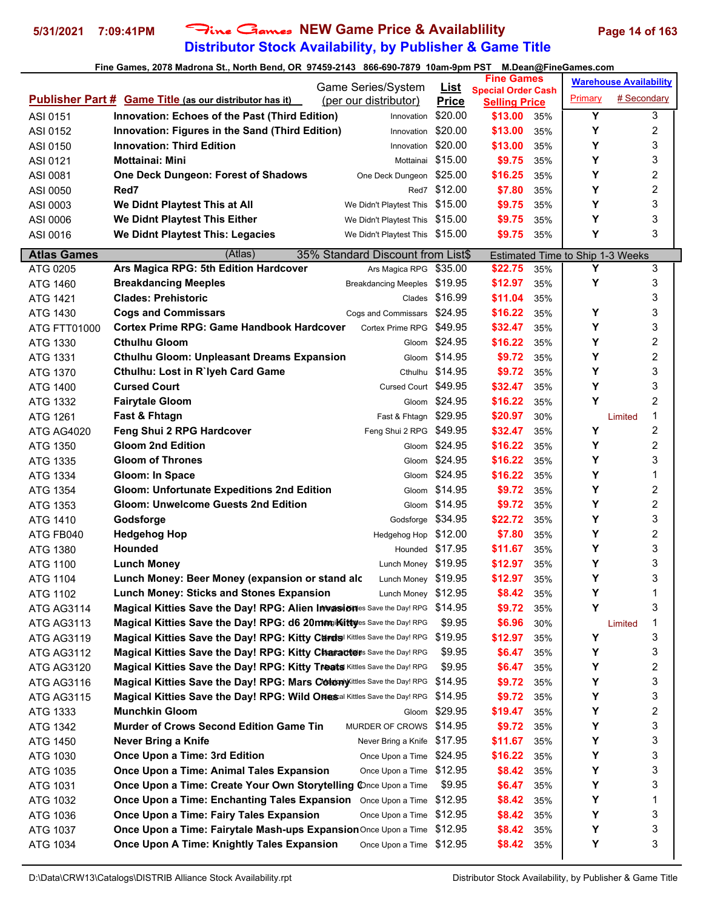## **Distributor Stock Availability, by Publisher & Game Title** 5/31/2021 7:09:41PM Fine Games NEW Game Price & Availablility Page 14 of 163

|                     | Game Series/System                                                                      |               | <u>List</u>          | <b>Fine Games</b>                                 |     |                                  | <b>Warehouse Availability</b> |                |
|---------------------|-----------------------------------------------------------------------------------------|---------------|----------------------|---------------------------------------------------|-----|----------------------------------|-------------------------------|----------------|
|                     | <b>Publisher Part # Game Title (as our distributor has it)</b><br>(per our distributor) |               | <b>Price</b>         | <b>Special Order Cash</b><br><b>Selling Price</b> |     | Primary                          | # Secondary                   |                |
| ASI 0151            | Innovation: Echoes of the Past (Third Edition)                                          | Innovation    | \$20.00              | \$13.00                                           | 35% | Y                                |                               | 3              |
| ASI 0152            | Innovation: Figures in the Sand (Third Edition)                                         | Innovation    | \$20.00              | \$13.00                                           | 35% | Y                                |                               | 2              |
| ASI 0150            | <b>Innovation: Third Edition</b>                                                        | Innovation    | \$20.00              | \$13.00                                           | 35% | Y                                |                               | 3              |
| ASI 0121            | <b>Mottainai: Mini</b>                                                                  | Mottainai     | \$15.00              | \$9.75                                            | 35% | Y                                |                               | 3              |
| ASI 0081            | One Deck Dungeon: Forest of Shadows<br>One Deck Dungeon                                 |               | \$25.00              | \$16.25                                           | 35% | Y                                |                               | 2              |
| ASI 0050            | Red7                                                                                    |               | Red7 \$12.00         | \$7.80                                            | 35% | Y                                |                               | 2              |
| ASI 0003            | We Didnt Playtest This at All<br>We Didn't Playtest This \$15.00                        |               |                      | \$9.75                                            | 35% | Y                                |                               | 3              |
| ASI 0006            | We Didnt Playtest This Either<br>We Didn't Playtest This \$15.00                        |               |                      | \$9.75                                            | 35% | Y                                |                               | 3              |
| ASI 0016            | We Didnt Playtest This: Legacies<br>We Didn't Playtest This \$15.00                     |               |                      | \$9.75                                            | 35% | Y                                |                               | 3              |
|                     |                                                                                         |               |                      |                                                   |     |                                  |                               |                |
| <b>Atlas Games</b>  | (Atlas)<br>35% Standard Discount from List\$                                            |               |                      |                                                   |     | Estimated Time to Ship 1-3 Weeks |                               |                |
| ATG 0205            | Ars Magica RPG: 5th Edition Hardcover<br>Ars Magica RPG                                 |               | \$35.00              | \$22.75                                           | 35% | Υ                                |                               | 3              |
| ATG 1460            | <b>Breakdancing Meeples</b><br>Breakdancing Meeples \$19.95                             |               |                      | \$12.97                                           | 35% | Y                                |                               | 3              |
| ATG 1421            | <b>Clades: Prehistoric</b>                                                              |               | Clades \$16.99       | \$11.04                                           | 35% |                                  |                               | 3              |
| ATG 1430            | <b>Cogs and Commissars</b><br>Cogs and Commissars                                       |               | \$24.95              | \$16.22                                           | 35% | Υ                                |                               | 3              |
| <b>ATG FTT01000</b> | <b>Cortex Prime RPG: Game Handbook Hardcover</b><br>Cortex Prime RPG                    |               | \$49.95              | \$32.47                                           | 35% | Y                                |                               | 3              |
| ATG 1330            | <b>Cthulhu Gloom</b>                                                                    |               | Gloom \$24.95        | \$16.22                                           | 35% | Y                                |                               | 2              |
| ATG 1331            | <b>Cthulhu Gloom: Unpleasant Dreams Expansion</b>                                       |               | Gloom \$14.95        | \$9.72                                            | 35% | Y                                |                               | 2              |
| ATG 1370            | Cthulhu: Lost in R`lyeh Card Game                                                       | Cthulhu       | \$14.95              | \$9.72                                            | 35% | Y                                |                               | 3              |
| ATG 1400            | <b>Cursed Court</b>                                                                     |               | Cursed Court \$49.95 | \$32.47                                           | 35% | Y                                |                               | 3              |
| ATG 1332            | <b>Fairytale Gloom</b>                                                                  | Gloom         | \$24.95              | \$16.22                                           | 35% | Y                                |                               | $\overline{c}$ |
| ATG 1261            | <b>Fast &amp; Fhtagn</b>                                                                | Fast & Fhtagn | \$29.95              | \$20.97                                           | 30% |                                  | Limited                       | 1              |
| ATG AG4020          | Feng Shui 2 RPG Hardcover<br>Feng Shui 2 RPG                                            |               | \$49.95              | \$32.47                                           | 35% | Y                                |                               | 2              |
| ATG 1350            | <b>Gloom 2nd Edition</b>                                                                |               | Gloom \$24.95        | \$16.22                                           | 35% | Y                                |                               | 2              |
| ATG 1335            | <b>Gloom of Thrones</b>                                                                 |               | Gloom \$24.95        | \$16.22                                           | 35% | Y                                |                               | 3              |
| ATG 1334            | Gloom: In Space                                                                         | Gloom         | \$24.95              | \$16.22                                           | 35% | Y                                |                               | 1              |
| ATG 1354            | <b>Gloom: Unfortunate Expeditions 2nd Edition</b>                                       | Gloom         | \$14.95              | \$9.72                                            | 35% | Y                                |                               | 2              |
| ATG 1353            | <b>Gloom: Unwelcome Guests 2nd Edition</b>                                              | Gloom         | \$14.95              | \$9.72                                            | 35% | Y                                |                               | 2              |
| ATG 1410            | Godsforge                                                                               | Godsforge     | \$34.95              | \$22.72                                           | 35% | Y                                |                               | 3              |
| ATG FB040           | <b>Hedgehog Hop</b>                                                                     |               | Hedgehog Hop \$12.00 | \$7.80                                            | 35% | Y                                |                               | 2              |
| ATG 1380            | <b>Hounded</b>                                                                          |               | Hounded \$17.95      | \$11.67                                           | 35% | Y                                |                               | 3              |
| ATG 1100            | <b>Lunch Money</b>                                                                      |               | Lunch Money \$19.95  | \$12.97                                           | 35% | Y                                |                               | 3              |
| ATG 1104            | Lunch Money: Beer Money (expansion or stand alc                                         |               | Lunch Money \$19.95  | \$12.97                                           | 35% | Y                                |                               | 3              |
| ATG 1102            | Lunch Money: Sticks and Stones Expansion                                                | Lunch Money   | \$12.95              | \$8.42                                            | 35% | Y                                |                               | 1              |
| ATG AG3114          | Magical Kitties Save the Day! RPG: Alien Invasiones Save the Day! RPG                   |               | \$14.95              | \$9.72                                            | 35% | Y                                |                               | 3              |
| <b>ATG AG3113</b>   | Magical Kitties Save the Day! RPG: d6 20mm ikittyes Save the Day! RPG                   |               | \$9.95               | \$6.96                                            | 30% |                                  | Limited                       | 1              |
| <b>ATG AG3119</b>   | Magical Kitties Save the Day! RPG: Kitty Curds Kittles Save the Day! RPG                |               | \$19.95              | \$12.97                                           | 35% | Υ                                |                               | 3              |
| ATG AG3112          | Magical Kitties Save the Day! RPG: Kitty Charactions Save the Day! RPG                  |               | \$9.95               | \$6.47                                            | 35% | Υ                                |                               | 3              |
| ATG AG3120          | Magical Kitties Save the Day! RPG: Kitty Treats Kittles Save the Day! RPG               |               | \$9.95               | \$6.47                                            | 35% | Υ                                |                               | 2              |
| ATG AG3116          | Magical Kitties Save the Day! RPG: Mars ColonyXittles Save the Day! RPG                 |               | \$14.95              | \$9.72                                            | 35% | Υ                                |                               | 3              |
| ATG AG3115          | Magical Kitties Save the Day! RPG: Wild Ones al Kittles Save the Day! RPG               |               | \$14.95              | \$9.72                                            | 35% | Υ                                |                               | 3              |
| ATG 1333            | <b>Munchkin Gloom</b>                                                                   | Gloom         | \$29.95              | \$19.47                                           | 35% | Υ                                |                               | 2              |
| ATG 1342            | <b>Murder of Crows Second Edition Game Tin</b><br>MURDER OF CROWS                       |               | \$14.95              | \$9.72                                            | 35% | Υ                                |                               | 3              |
| ATG 1450            | Never Bring a Knife<br>Never Bring a Knife                                              |               | \$17.95              | \$11.67                                           | 35% | Υ                                |                               | 3              |
| ATG 1030            | Once Upon a Time: 3rd Edition<br>Once Upon a Time                                       |               | \$24.95              | \$16.22                                           | 35% | Υ                                |                               | 3              |
| ATG 1035            | Once Upon a Time: Animal Tales Expansion<br>Once Upon a Time                            |               | \$12.95              | \$8.42                                            | 35% | Υ                                |                               | 3              |
| ATG 1031            | Once Upon a Time: Create Your Own Storytelling Cnce Upon a Time                         |               | \$9.95               | \$6.47                                            | 35% | Y                                |                               | 3              |
| ATG 1032            | Once Upon a Time: Enchanting Tales Expansion<br>Once Upon a Time                        |               | \$12.95              | \$8.42                                            | 35% | Y                                |                               | 1              |
| ATG 1036            | Once Upon a Time: Fairy Tales Expansion<br>Once Upon a Time                             |               | \$12.95              | \$8.42                                            | 35% | Y                                |                               | 3              |
| ATG 1037            | Once Upon a Time: Fairytale Mash-ups Expansion Once Upon a Time                         |               | \$12.95              | \$8.42                                            | 35% | Υ                                |                               | 3              |
| ATG 1034            | Once Upon A Time: Knightly Tales Expansion<br>Once Upon a Time                          |               | \$12.95              | \$8.42                                            | 35% | Υ                                |                               | 3              |
|                     |                                                                                         |               |                      |                                                   |     |                                  |                               |                |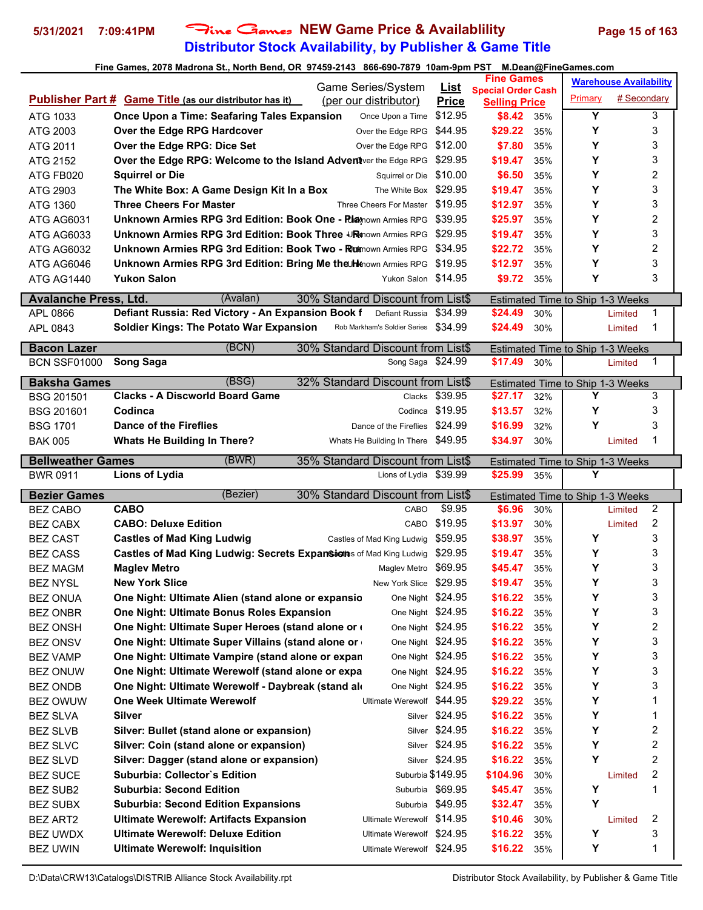## **Distributor Stock Availability, by Publisher & Game Title 5/31/2021 7:09:41PM** Fine Games **NEW Game Price & Availablility Page 15 of 163**

|                              |                                                                                   | Game Series/System                                     | <u>List</u>       | <b>Fine Games</b>                                 |            |                                         | <b>Warehouse Availability</b> |                         |
|------------------------------|-----------------------------------------------------------------------------------|--------------------------------------------------------|-------------------|---------------------------------------------------|------------|-----------------------------------------|-------------------------------|-------------------------|
|                              | <b>Publisher Part # Game Title (as our distributor has it)</b>                    | (per our distributor)                                  | <b>Price</b>      | <b>Special Order Cash</b><br><b>Selling Price</b> |            | Primary                                 | # Secondary                   |                         |
| ATG 1033                     | Once Upon a Time: Seafaring Tales Expansion                                       | Once Upon a Time                                       | \$12.95           | \$8.42                                            | 35%        | Y                                       |                               | 3                       |
| ATG 2003                     | Over the Edge RPG Hardcover                                                       | Over the Edge RPG                                      | \$44.95           | \$29.22                                           | 35%        | Υ                                       |                               | 3                       |
| ATG 2011                     | Over the Edge RPG: Dice Set                                                       | Over the Edge RPG                                      | \$12.00           | \$7.80                                            | 35%        | Υ                                       |                               | 3                       |
| ATG 2152                     | Over the Edge RPG: Welcome to the Island Advent ver the Edge RPG                  |                                                        | \$29.95           | \$19.47                                           | 35%        | Υ                                       |                               | 3                       |
| ATG FB020                    | <b>Squirrel or Die</b>                                                            | Squirrel or Die                                        | \$10.00           | \$6.50                                            | 35%        | Υ                                       |                               | 2                       |
| ATG 2903                     | The White Box: A Game Design Kit In a Box                                         | The White Box \$29.95                                  |                   | \$19.47                                           | 35%        | Υ                                       |                               | 3                       |
| ATG 1360                     | <b>Three Cheers For Master</b>                                                    | Three Cheers For Master \$19.95                        |                   | \$12.97                                           | 35%        | Y                                       |                               | 3                       |
| <b>ATG AG6031</b>            | <b>Unknown Armies RPG 3rd Edition: Book One - Riatnown Armies RPG</b>             |                                                        | \$39.95           | \$25.97                                           | 35%        | Υ                                       |                               | 2                       |
| <b>ATG AG6033</b>            | <b>Unknown Armies RPG 3rd Edition: Book Three ↓R</b> inown Armies RPG             |                                                        | \$29.95           | \$19.47                                           | 35%        | Υ                                       |                               | 3                       |
| ATG AG6032                   | <b>Unknown Armies RPG 3rd Edition: Book Two - Ruknown Armies RPG</b>              |                                                        | \$34.95           | \$22.72                                           | 35%        | Υ                                       |                               | $\overline{\mathbf{c}}$ |
| ATG AG6046                   | Unknown Armies RPG 3rd Edition: Bring Me the Henown Armies RPG                    |                                                        | \$19.95           | \$12.97                                           | 35%        | Υ                                       |                               | 3                       |
| ATG AG1440                   | <b>Yukon Salon</b>                                                                | Yukon Salon \$14.95                                    |                   | \$9.72                                            | 35%        | Υ                                       |                               | 3                       |
| <b>Avalanche Press, Ltd.</b> | (Avalan)                                                                          | 30% Standard Discount from List\$                      |                   |                                                   |            |                                         |                               |                         |
| APL 0866                     | Defiant Russia: Red Victory - An Expansion Book f                                 | Defiant Russia                                         | \$34.99           | \$24.49                                           | 30%        | Estimated Time to Ship 1-3 Weeks        | Limited                       | 1                       |
| APL 0843                     | <b>Soldier Kings: The Potato War Expansion</b>                                    | Rob Markham's Soldier Series                           | \$34.99           | \$24.49                                           | 30%        |                                         | Limited                       | 1                       |
|                              |                                                                                   |                                                        |                   |                                                   |            |                                         |                               |                         |
| <b>Bacon Lazer</b>           | (BCN)                                                                             | 30% Standard Discount from List\$                      |                   |                                                   |            | <b>Estimated Time to Ship 1-3 Weeks</b> |                               |                         |
| <b>BCN SSF01000</b>          | <b>Song Saga</b>                                                                  | Song Saga \$24.99                                      |                   | \$17.49                                           | 30%        |                                         | Limited                       | 1                       |
| <b>Baksha Games</b>          | (BSG)                                                                             | 32% Standard Discount from List\$                      |                   |                                                   |            | <b>Estimated Time to Ship 1-3 Weeks</b> |                               |                         |
| <b>BSG 201501</b>            | <b>Clacks - A Discworld Board Game</b>                                            | Clacks                                                 | \$39.95           | \$27.17                                           | 32%        | Υ                                       |                               | 3                       |
| <b>BSG 201601</b>            | Codinca                                                                           | Codinca                                                | \$19.95           | \$13.57                                           | 32%        | Y                                       |                               | 3                       |
| <b>BSG 1701</b>              | <b>Dance of the Fireflies</b>                                                     | Dance of the Fireflies                                 | \$24.99           | \$16.99                                           | 32%        | Y                                       |                               | 3                       |
| <b>BAK 005</b>               | <b>Whats He Building In There?</b>                                                | Whats He Building In There \$49.95                     |                   | \$34.97                                           | 30%        |                                         | Limited                       | 1                       |
| <b>Bellweather Games</b>     | (BWR)                                                                             | 35% Standard Discount from List\$                      |                   |                                                   |            | Estimated Time to Ship 1-3 Weeks        |                               |                         |
|                              |                                                                                   |                                                        |                   |                                                   |            |                                         |                               |                         |
|                              |                                                                                   |                                                        |                   |                                                   |            |                                         |                               |                         |
| <b>BWR 0911</b>              | Lions of Lydia                                                                    | Lions of Lydia \$39.99                                 |                   | \$25.99                                           | 35%        | Y                                       |                               |                         |
| <b>Bezier Games</b>          | (Bezier)                                                                          | 30% Standard Discount from List\$                      |                   |                                                   |            | Estimated Time to Ship 1-3 Weeks        |                               |                         |
| <b>BEZ CABO</b>              | <b>CABO</b>                                                                       | CABO                                                   | \$9.95            | \$6.96                                            | 30%        |                                         | Limited                       | 2                       |
| <b>BEZ CABX</b>              | <b>CABO: Deluxe Edition</b>                                                       | CABO                                                   | \$19.95           | \$13.97                                           | 30%        |                                         | Limited                       | 2                       |
| <b>BEZ CAST</b>              | <b>Castles of Mad King Ludwig</b>                                                 | Castles of Mad King Ludwig                             | \$59.95           | \$38.97                                           | 35%        | Y                                       |                               | 3                       |
| <b>BEZ CASS</b>              | Castles of Mad King Ludwig: Secrets Expansienes of Mad King Ludwig                |                                                        | \$29.95           | \$19.47                                           | 35%        | Υ                                       |                               | 3                       |
| <b>BEZ MAGM</b>              | <b>Maglev Metro</b>                                                               | Maglev Metro                                           | \$69.95           | \$45.47                                           | 35%        | Υ                                       |                               | 3                       |
| <b>BEZ NYSL</b>              | <b>New York Slice</b>                                                             | <b>New York Slice</b>                                  | \$29.95           | \$19.47                                           | 35%        | Υ                                       |                               | 3                       |
| <b>BEZ ONUA</b>              | One Night: Ultimate Alien (stand alone or expansio                                | One Night \$24.95                                      |                   | \$16.22                                           | 35%        | Υ                                       |                               | 3                       |
| <b>BEZ ONBR</b>              | One Night: Ultimate Bonus Roles Expansion                                         | One Night \$24.95                                      |                   | \$16.22                                           | 35%        | Υ                                       |                               | 3                       |
| <b>BEZ ONSH</b>              | One Night: Ultimate Super Heroes (stand alone or                                  | One Night \$24.95                                      |                   | \$16.22                                           | 35%        | Υ                                       |                               | 2                       |
| <b>BEZ ONSV</b>              | One Night: Ultimate Super Villains (stand alone or                                | One Night \$24.95                                      |                   | \$16.22                                           | 35%        | Υ                                       |                               | 3                       |
| <b>BEZ VAMP</b>              | One Night: Ultimate Vampire (stand alone or expan                                 | One Night \$24.95                                      |                   | \$16.22                                           | 35%        | Υ                                       |                               | 3                       |
| <b>BEZ ONUW</b>              | One Night: Ultimate Werewolf (stand alone or expa                                 | One Night \$24.95                                      |                   | \$16.22                                           | 35%        | Y                                       |                               | 3                       |
| BEZ ONDB                     | One Night: Ultimate Werewolf - Daybreak (stand ald                                | One Night \$24.95                                      |                   | \$16.22                                           | 35%        | Υ                                       |                               | 3                       |
| BEZ OWUW                     | <b>One Week Ultimate Werewolf</b>                                                 | Ultimate Werewolf \$44.95                              |                   | \$29.22                                           | 35%        | Υ                                       |                               | 1                       |
| <b>BEZ SLVA</b>              | <b>Silver</b>                                                                     |                                                        | Silver \$24.95    | \$16.22                                           | 35%        | Y                                       |                               | 1                       |
| <b>BEZ SLVB</b>              | Silver: Bullet (stand alone or expansion)                                         |                                                        | Silver \$24.95    | \$16.22                                           | 35%        | Υ                                       |                               | 2                       |
| <b>BEZ SLVC</b>              | Silver: Coin (stand alone or expansion)                                           |                                                        | Silver \$24.95    | \$16.22                                           | 35%        | Υ                                       |                               | 2                       |
| <b>BEZ SLVD</b>              | Silver: Dagger (stand alone or expansion)                                         |                                                        | Silver \$24.95    | \$16.22                                           | 35%        | Υ                                       |                               | 2                       |
| <b>BEZ SUCE</b>              | <b>Suburbia: Collector's Edition</b>                                              |                                                        | Suburbia \$149.95 | \$104.96                                          | 30%        |                                         | Limited                       | 2                       |
| <b>BEZ SUB2</b>              | <b>Suburbia: Second Edition</b>                                                   |                                                        | Suburbia \$69.95  | \$45.47                                           | 35%        | Υ                                       |                               | 1                       |
| <b>BEZ SUBX</b>              | <b>Suburbia: Second Edition Expansions</b>                                        |                                                        | Suburbia \$49.95  | \$32.47                                           | 35%        | Y                                       |                               |                         |
| <b>BEZ ART2</b>              | <b>Ultimate Werewolf: Artifacts Expansion</b>                                     | Ultimate Werewolf \$14.95                              |                   | \$10.46                                           | 30%        |                                         | Limited                       | 2                       |
| BEZ UWDX<br><b>BEZ UWIN</b>  | <b>Ultimate Werewolf: Deluxe Edition</b><br><b>Ultimate Werewolf: Inquisition</b> | Ultimate Werewolf \$24.95<br>Ultimate Werewolf \$24.95 |                   | \$16.22<br>\$16.22                                | 35%<br>35% | Υ<br>Υ                                  |                               | 3<br>1                  |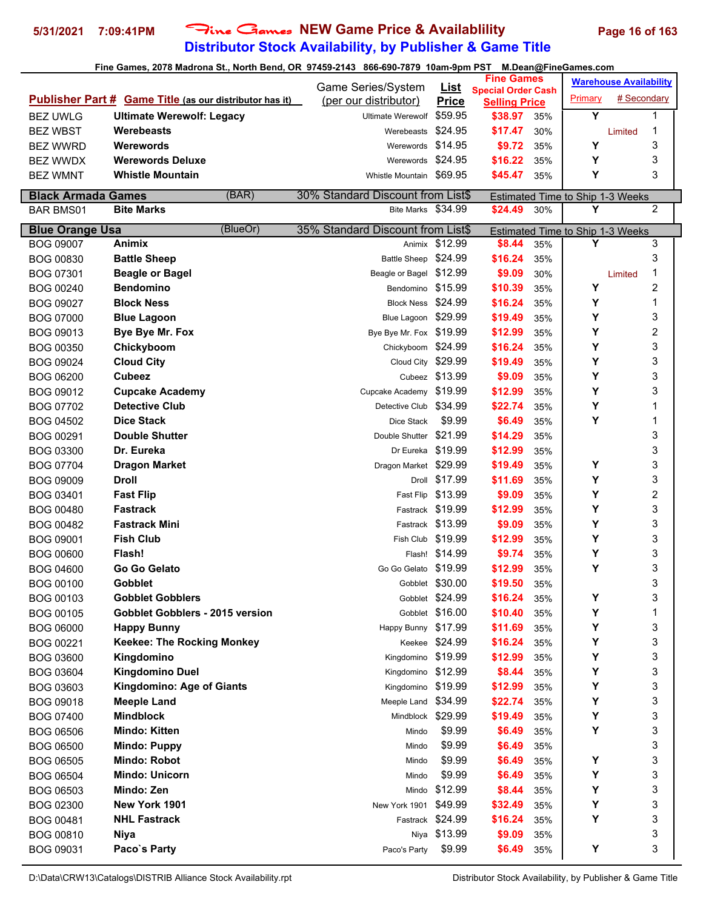## **Distributor Stock Availability, by Publisher & Game Title 5/31/2021 7:09:41PM** Fine Games **NEW Game Price & Availablility Page 16 of 163**

#### **Fine Games, 2078 Madrona St., North Bend, OR 97459-2143 866-690-7879 10am-9pm PST M.Dean@FineGames.com**

|                           |                                                                | Game Series/System                | <u>List</u>       | <b>Fine Games</b>                                 |     |                         | <b>Warehouse Availability</b>    |  |
|---------------------------|----------------------------------------------------------------|-----------------------------------|-------------------|---------------------------------------------------|-----|-------------------------|----------------------------------|--|
|                           | <b>Publisher Part # Game Title (as our distributor has it)</b> | (per our distributor)             | <b>Price</b>      | <b>Special Order Cash</b><br><b>Selling Price</b> |     | Primary                 | # Secondary                      |  |
| <b>BEZ UWLG</b>           | <b>Ultimate Werewolf: Legacy</b>                               | Ultimate Werewolf                 | \$59.95           | \$38.97                                           | 35% | $\overline{\mathsf{Y}}$ | 1                                |  |
| <b>BEZ WBST</b>           | <b>Werebeasts</b>                                              | Werebeasts                        | \$24.95           | \$17.47                                           | 30% |                         | 1<br>Limited                     |  |
| <b>BEZ WWRD</b>           | Werewords                                                      | Werewords                         | \$14.95           | \$9.72                                            | 35% | Υ                       | 3                                |  |
| <b>BEZ WWDX</b>           | <b>Werewords Deluxe</b>                                        | Werewords \$24.95                 |                   | \$16.22                                           | 35% | Υ                       | 3                                |  |
| <b>BEZ WMNT</b>           | <b>Whistle Mountain</b>                                        | Whistle Mountain \$69.95          |                   | \$45.47                                           | 35% | Υ                       | 3                                |  |
|                           |                                                                |                                   |                   |                                                   |     |                         |                                  |  |
| <b>Black Armada Games</b> | (BAR)                                                          | 30% Standard Discount from List\$ |                   |                                                   |     |                         | Estimated Time to Ship 1-3 Weeks |  |
| <b>BAR BMS01</b>          | <b>Bite Marks</b>                                              | Bite Marks \$34.99                |                   | \$24.49                                           | 30% | Y                       | $\overline{2}$                   |  |
| <b>Blue Orange Usa</b>    | (BlueOr)                                                       | 35% Standard Discount from List\$ |                   |                                                   |     |                         | Estimated Time to Ship 1-3 Weeks |  |
| <b>BOG 09007</b>          | Animix                                                         | Animix                            | \$12.99           | \$8.44                                            | 35% | Y                       | 3                                |  |
| BOG 00830                 | <b>Battle Sheep</b>                                            | Battle Sheep \$24.99              |                   | \$16.24                                           | 35% |                         | 3                                |  |
| BOG 07301                 | <b>Beagle or Bagel</b>                                         | Beagle or Bagel \$12.99           |                   | \$9.09                                            | 30% |                         | 1<br>Limited                     |  |
| <b>BOG 00240</b>          | <b>Bendomino</b>                                               | Bendomino \$15.99                 |                   | \$10.39                                           | 35% | Υ                       | 2                                |  |
| <b>BOG 09027</b>          | <b>Block Ness</b>                                              | Block Ness \$24.99                |                   | \$16.24                                           | 35% | Υ                       | 1                                |  |
| <b>BOG 07000</b>          | <b>Blue Lagoon</b>                                             | Blue Lagoon \$29.99               |                   | \$19.49                                           | 35% | Υ                       | 3                                |  |
| BOG 09013                 | Bye Bye Mr. Fox                                                | Bye Bye Mr. Fox \$19.99           |                   | \$12.99                                           | 35% | Υ                       | 2                                |  |
| <b>BOG 00350</b>          | Chickyboom                                                     | Chickyboom                        | \$24.99           | \$16.24                                           | 35% | Υ                       | 3                                |  |
| BOG 09024                 | <b>Cloud City</b>                                              | Cloud City                        | \$29.99           | \$19.49                                           | 35% | Υ                       | 3                                |  |
| <b>BOG 06200</b>          | <b>Cubeez</b>                                                  |                                   | Cubeez \$13.99    | \$9.09                                            | 35% | Υ                       | 3                                |  |
| BOG 09012                 | <b>Cupcake Academy</b>                                         | Cupcake Academy \$19.99           |                   | \$12.99                                           | 35% | Υ                       | 3                                |  |
| BOG 07702                 | <b>Detective Club</b>                                          | Detective Club \$34.99            |                   | \$22.74                                           | 35% | Y                       | 1                                |  |
| <b>BOG 04502</b>          | <b>Dice Stack</b>                                              | Dice Stack                        | \$9.99            | \$6.49                                            | 35% | Y                       | 1                                |  |
| BOG 00291                 | <b>Double Shutter</b>                                          | Double Shutter                    | \$21.99           | \$14.29                                           | 35% |                         | 3                                |  |
| BOG 03300                 | Dr. Eureka                                                     | Dr Eureka                         | \$19.99           | \$12.99                                           | 35% |                         | 3                                |  |
| BOG 07704                 | <b>Dragon Market</b>                                           | Dragon Market \$29.99             |                   | \$19.49                                           | 35% | Υ                       | 3                                |  |
| <b>BOG 09009</b>          | <b>Droll</b>                                                   |                                   | Droll \$17.99     | \$11.69                                           | 35% | Υ                       | 3                                |  |
| BOG 03401                 | <b>Fast Flip</b>                                               |                                   | Fast Flip \$13.99 | \$9.09                                            | 35% | Υ                       | 2                                |  |
| <b>BOG 00480</b>          | <b>Fastrack</b>                                                |                                   | Fastrack \$19.99  | \$12.99                                           | 35% | Y                       | 3                                |  |
| <b>BOG 00482</b>          | <b>Fastrack Mini</b>                                           |                                   | Fastrack \$13.99  | \$9.09                                            | 35% | Υ                       | 3                                |  |
| BOG 09001                 | <b>Fish Club</b>                                               | Fish Club \$19.99                 |                   | \$12.99                                           | 35% | Υ                       | 3                                |  |
| <b>BOG 00600</b>          | Flash!                                                         |                                   | Flash! \$14.99    | \$9.74                                            | 35% | Υ                       | 3                                |  |
| <b>BOG 04600</b>          | Go Go Gelato                                                   | Go Go Gelato \$19.99              |                   | \$12.99                                           | 35% | Y                       | 3                                |  |
| <b>BOG 00100</b>          | <b>Gobblet</b>                                                 |                                   | Gobblet \$30.00   | \$19.50                                           | 35% |                         | 3                                |  |
| BOG 00103                 | <b>Gobblet Gobblers</b>                                        |                                   | Gobblet \$24.99   | \$16.24                                           | 35% | Υ                       | 3                                |  |
| <b>BOG 00105</b>          | <b>Gobblet Gobblers - 2015 version</b>                         |                                   | Gobblet \$16.00   | \$10.40                                           | 35% | Υ                       | 1                                |  |
| <b>BOG 06000</b>          | <b>Happy Bunny</b>                                             | Happy Bunny \$17.99               |                   | \$11.69                                           | 35% | Υ                       | 3                                |  |
| BOG 00221                 | <b>Keekee: The Rocking Monkey</b>                              |                                   | Keekee \$24.99    | \$16.24                                           | 35% | Υ                       | 3                                |  |
| BOG 03600                 | Kingdomino                                                     | Kingdomino \$19.99                |                   | \$12.99                                           | 35% | Y                       | 3                                |  |
| BOG 03604                 | <b>Kingdomino Duel</b>                                         | Kingdomino \$12.99                |                   | \$8.44                                            | 35% | Υ                       | 3                                |  |
| BOG 03603                 | Kingdomino: Age of Giants                                      | Kingdomino \$19.99                |                   | \$12.99                                           | 35% | Υ                       | 3                                |  |
| BOG 09018                 | <b>Meeple Land</b>                                             | Meeple Land \$34.99               |                   | \$22.74                                           | 35% | Υ                       | 3                                |  |
| <b>BOG 07400</b>          | <b>Mindblock</b>                                               | Mindblock \$29.99                 |                   | \$19.49                                           | 35% | Υ                       | 3                                |  |
| <b>BOG 06506</b>          | <b>Mindo: Kitten</b>                                           | Mindo                             | \$9.99            | \$6.49                                            | 35% | Υ                       | 3                                |  |
| <b>BOG 06500</b>          | <b>Mindo: Puppy</b>                                            | Mindo                             | \$9.99            | \$6.49                                            | 35% |                         | 3                                |  |
| <b>BOG 06505</b>          | <b>Mindo: Robot</b>                                            | Mindo                             | \$9.99            | \$6.49                                            | 35% | Υ                       | 3                                |  |
|                           | <b>Mindo: Unicorn</b>                                          |                                   | \$9.99            |                                                   |     | Υ                       | 3                                |  |
| <b>BOG 06504</b>          |                                                                | Mindo                             |                   | \$6.49                                            | 35% |                         | 3                                |  |
| <b>BOG 06503</b>          | Mindo: Zen                                                     | Mindo                             | \$12.99           | \$8.44                                            | 35% | Υ                       |                                  |  |
| BOG 02300                 | New York 1901                                                  | New York 1901                     | \$49.99           | \$32.49                                           | 35% | Υ                       | 3                                |  |
| BOG 00481                 | <b>NHL Fastrack</b>                                            |                                   | Fastrack \$24.99  | \$16.24                                           | 35% | Υ                       | 3                                |  |
| BOG 00810                 | Niya                                                           |                                   | Niya \$13.99      | \$9.09                                            | 35% |                         | 3                                |  |
| BOG 09031                 | Paco's Party                                                   | Paco's Party                      | \$9.99            | \$6.49                                            | 35% | Υ                       | 3                                |  |

D:\Data\CRW13\Catalogs\DISTRIB Alliance Stock Availability.rpt Distributor Stock Availability, by Publisher & Game Title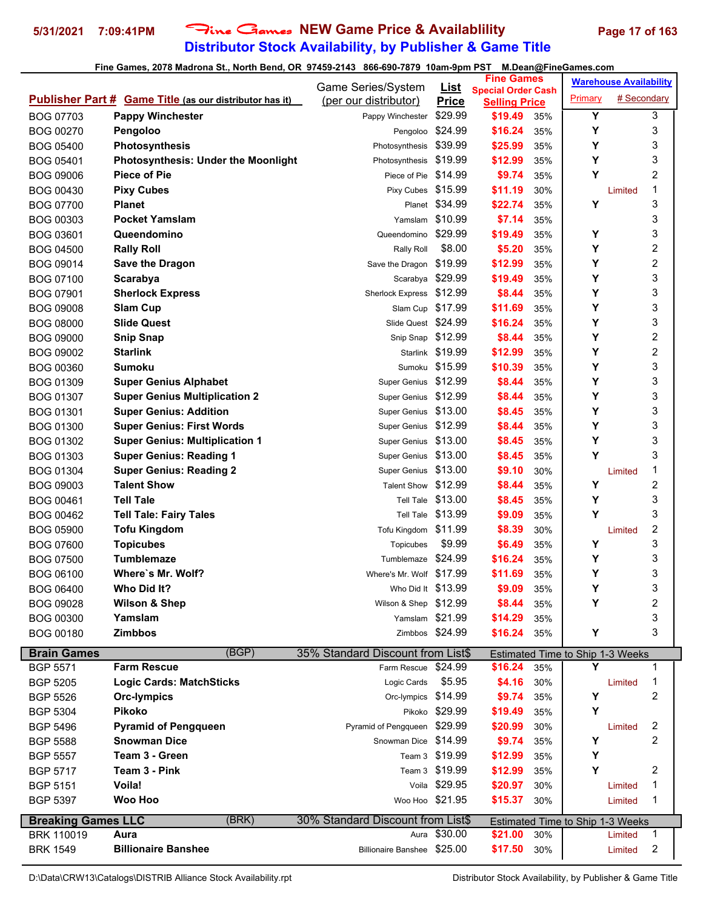## **Distributor Stock Availability, by Publisher & Game Title** 5/31/2021 7:09:41PM Fine Games NEW Game Price & Availablility Page 17 of 163

#### **Fine Games, 2078 Madrona St., North Bend, OR 97459-2143 866-690-7879 10am-9pm PST M.Dean@FineGames.com**

|                               |                                                                | Game Series/System                | <b>List</b>      | <b>Fine Games</b>                                 |            |                                  | <b>Warehouse Availability</b> |              |
|-------------------------------|----------------------------------------------------------------|-----------------------------------|------------------|---------------------------------------------------|------------|----------------------------------|-------------------------------|--------------|
|                               | <b>Publisher Part # Game Title (as our distributor has it)</b> | (per our distributor)             | <b>Price</b>     | <b>Special Order Cash</b><br><b>Selling Price</b> |            | Primary                          | # Secondary                   |              |
| BOG 07703                     | <b>Pappy Winchester</b>                                        | Pappy Winchester                  | \$29.99          | \$19.49                                           | 35%        | Y                                |                               | 3            |
| <b>BOG 00270</b>              | Pengoloo                                                       | Pengoloo                          | \$24.99          | \$16.24                                           | 35%        | Y                                |                               | 3            |
| <b>BOG 05400</b>              | <b>Photosynthesis</b>                                          | Photosynthesis                    | \$39.99          | \$25.99                                           | 35%        | Y                                |                               | 3            |
| <b>BOG 05401</b>              | <b>Photosynthesis: Under the Moonlight</b>                     | Photosynthesis                    | \$19.99          | \$12.99                                           | 35%        | Υ                                |                               | 3            |
| <b>BOG 09006</b>              | <b>Piece of Pie</b>                                            | Piece of Pie                      | \$14.99          | \$9.74                                            | 35%        | Y                                |                               | 2            |
| BOG 00430                     | <b>Pixy Cubes</b>                                              | Pixy Cubes                        | \$15.99          | \$11.19                                           | 30%        |                                  | Limited                       | 1            |
| <b>BOG 07700</b>              | <b>Planet</b>                                                  |                                   | Planet \$34.99   | \$22.74                                           | 35%        | Y                                |                               | 3            |
| BOG 00303                     | <b>Pocket Yamslam</b>                                          | Yamslam                           | \$10.99          | \$7.14                                            | 35%        |                                  |                               | 3            |
| BOG 03601                     | Queendomino                                                    | Queendomino                       | \$29.99          | \$19.49                                           | 35%        | Υ                                |                               | 3            |
| <b>BOG 04500</b>              | <b>Rally Roll</b>                                              | Rally Roll                        | \$8.00           | \$5.20                                            | 35%        | Y                                |                               | 2            |
| BOG 09014                     | <b>Save the Dragon</b>                                         | Save the Dragon                   | \$19.99          | \$12.99                                           | 35%        | Y                                |                               | 2            |
| <b>BOG 07100</b>              | Scarabya                                                       | Scarabya                          | \$29.99          | \$19.49                                           | 35%        | Y                                |                               | 3            |
| <b>BOG 07901</b>              | <b>Sherlock Express</b>                                        | <b>Sherlock Express</b>           | \$12.99          | \$8.44                                            | 35%        | Υ                                |                               | 3            |
| <b>BOG 09008</b>              | <b>Slam Cup</b>                                                | Slam Cup                          | \$17.99          | \$11.69                                           | 35%        | Y                                |                               | 3            |
| <b>BOG 08000</b>              | <b>Slide Quest</b>                                             | Slide Quest \$24.99               |                  | \$16.24                                           | 35%        | Υ                                |                               | 3            |
| <b>BOG 09000</b>              | <b>Snip Snap</b>                                               | Snip Snap \$12.99                 |                  | \$8.44                                            | 35%        | Υ                                |                               | 2            |
| <b>BOG 09002</b>              | <b>Starlink</b>                                                |                                   | Starlink \$19.99 | \$12.99                                           | 35%        | Υ                                |                               | 2            |
| BOG 00360                     | Sumoku                                                         | Sumoku                            | \$15.99          | \$10.39                                           | 35%        | Υ                                |                               | 3            |
| <b>BOG 01309</b>              | <b>Super Genius Alphabet</b>                                   | Super Genius                      | \$12.99          | \$8.44                                            | 35%        | Y                                |                               | 3            |
| <b>BOG 01307</b>              | <b>Super Genius Multiplication 2</b>                           | <b>Super Genius</b>               | \$12.99          | \$8.44                                            | 35%        | Υ                                |                               | 3            |
| BOG 01301                     | <b>Super Genius: Addition</b>                                  | <b>Super Genius</b>               | \$13.00          | \$8.45                                            | 35%        | Υ                                |                               | 3            |
| <b>BOG 01300</b>              | <b>Super Genius: First Words</b>                               | <b>Super Genius</b>               | \$12.99          | \$8.44                                            | 35%        | Υ                                |                               | 3            |
| BOG 01302                     | <b>Super Genius: Multiplication 1</b>                          | <b>Super Genius</b>               | \$13.00          | \$8.45                                            | 35%        | Y                                |                               | 3            |
| BOG 01303                     | <b>Super Genius: Reading 1</b>                                 | <b>Super Genius</b>               | \$13.00          | \$8.45                                            | 35%        | Y                                |                               | 3            |
| <b>BOG 01304</b>              | <b>Super Genius: Reading 2</b>                                 | <b>Super Genius</b>               | \$13.00          | \$9.10                                            | 30%        |                                  | Limited                       | 1            |
| BOG 09003                     | <b>Talent Show</b>                                             | <b>Talent Show</b>                | \$12.99          | \$8.44                                            | 35%        | Υ                                |                               | 2            |
| BOG 00461                     | <b>Tell Tale</b>                                               | <b>Tell Tale</b>                  | \$13.00          | \$8.45                                            | 35%        | Y                                |                               | 3            |
| BOG 00462                     | <b>Tell Tale: Fairy Tales</b>                                  | Tell Tale                         | \$13.99          | \$9.09                                            | 35%        | Y                                |                               | 3            |
| <b>BOG 05900</b>              | <b>Tofu Kingdom</b>                                            | Tofu Kingdom \$11.99              |                  | \$8.39                                            | 30%        |                                  | Limited                       | 2            |
| <b>BOG 07600</b>              | <b>Topicubes</b>                                               | Topicubes                         | \$9.99           | \$6.49                                            | 35%        | Υ                                |                               | 3            |
| <b>BOG 07500</b>              | Tumblemaze                                                     | Tumblemaze                        | \$24.99          | \$16.24                                           | 35%        | Υ                                |                               | 3            |
| <b>BOG 06100</b>              | Where's Mr. Wolf?                                              | Where's Mr. Wolf \$17.99          |                  | \$11.69                                           | 35%        | Υ                                |                               | 3            |
| <b>BOG 06400</b>              | Who Did It?                                                    | Who Did It \$13.99                |                  | \$9.09                                            | 35%        | Y                                |                               | ς            |
| <b>BOG 09028</b>              | Wilson & Shep                                                  | Wilson & Shep \$12.99             |                  | \$8.44                                            | 35%        | Y                                |                               | 2            |
|                               | Yamslam                                                        | Yamslam \$21.99                   |                  | \$14.29                                           |            |                                  |                               | 3            |
| <b>BOG 00300</b><br>BOG 00180 | <b>Zimbbos</b>                                                 |                                   | Zimbbos \$24.99  | \$16.24                                           | 35%<br>35% | Υ                                |                               | 3            |
|                               |                                                                |                                   |                  |                                                   |            |                                  |                               |              |
| <b>Brain Games</b>            | (BGP)                                                          | 35% Standard Discount from List\$ |                  |                                                   |            | Estimated Time to Ship 1-3 Weeks |                               |              |
| <b>BGP 5571</b>               | <b>Farm Rescue</b>                                             | Farm Rescue \$24.99               |                  | \$16.24                                           | 35%        | Y                                |                               | 1            |
| <b>BGP 5205</b>               | <b>Logic Cards: MatchSticks</b>                                | Logic Cards                       | \$5.95           | \$4.16                                            | 30%        |                                  | Limited                       | 1            |
| <b>BGP 5526</b>               | <b>Orc-lympics</b>                                             | Orc-lympics \$14.99               |                  | \$9.74                                            | 35%        | Υ                                |                               | 2            |
| <b>BGP 5304</b>               | <b>Pikoko</b>                                                  |                                   | Pikoko \$29.99   | \$19.49                                           | 35%        | Υ                                |                               |              |
| <b>BGP 5496</b>               | <b>Pyramid of Pengqueen</b>                                    | Pyramid of Pengqueen \$29.99      |                  | \$20.99                                           | 30%        |                                  | Limited                       | 2            |
| <b>BGP 5588</b>               | <b>Snowman Dice</b>                                            | Snowman Dice \$14.99              |                  | \$9.74                                            | 35%        | Υ                                |                               | 2            |
| <b>BGP 5557</b>               | Team 3 - Green                                                 |                                   | Team 3 \$19.99   | \$12.99                                           | 35%        | Υ                                |                               |              |
| <b>BGP 5717</b>               | Team 3 - Pink                                                  |                                   | Team 3 \$19.99   | \$12.99                                           | 35%        | Y                                |                               | 2            |
| <b>BGP 5151</b>               | Voila!                                                         |                                   | Voila \$29.95    | \$20.97                                           | 30%        |                                  | Limited                       | 1            |
| <b>BGP 5397</b>               | <b>Woo Hoo</b>                                                 | Woo Hoo \$21.95                   |                  | \$15.37                                           | 30%        |                                  | Limited                       | 1            |
| <b>Breaking Games LLC</b>     | (BRK)                                                          | 30% Standard Discount from List\$ |                  |                                                   |            | Estimated Time to Ship 1-3 Weeks |                               |              |
| <b>BRK 110019</b>             | Aura                                                           |                                   | Aura \$30.00     | \$21.00                                           | 30%        |                                  | Limited                       | $\mathbf{1}$ |
| <b>BRK 1549</b>               | <b>Billionaire Banshee</b>                                     | Billionaire Banshee \$25.00       |                  | \$17.50                                           | 30%        |                                  | Limited                       | 2            |
|                               |                                                                |                                   |                  |                                                   |            |                                  |                               |              |

D:\Data\CRW13\Catalogs\DISTRIB Alliance Stock Availability.rpt Distributor Stock Availability, by Publisher & Game Title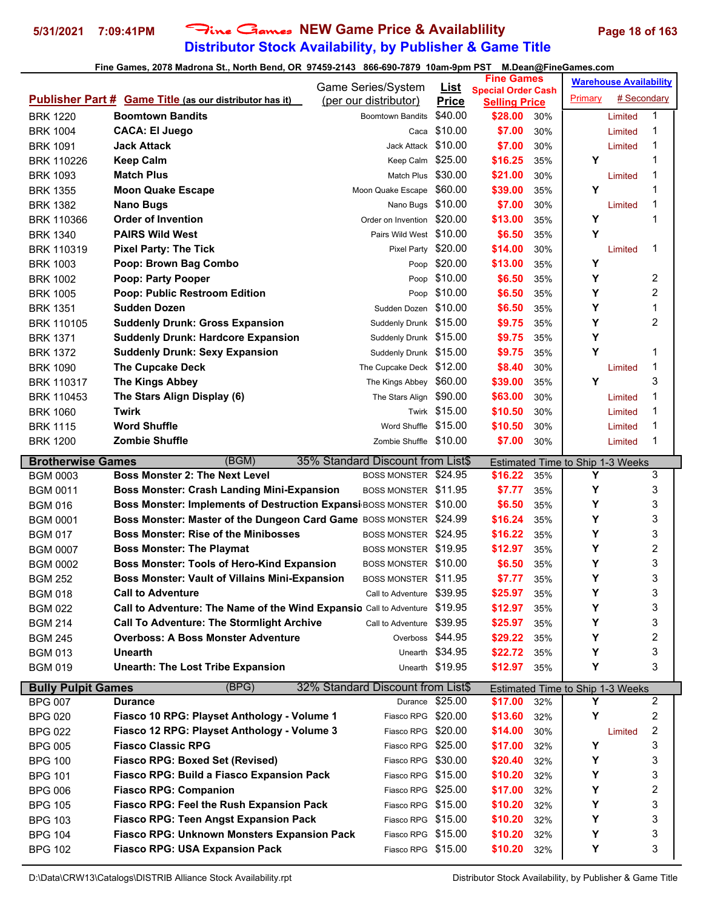## **Distributor Stock Availability, by Publisher & Game Title 5/31/2021 7:09:41PM** Fine Games **NEW Game Price & Availablility Page 18 of 163**

|                                      |                                                                             | Game Series/System                |                             | <b>Fine Games</b>               |            |                                  | <b>Warehouse Availability</b> |        |  |
|--------------------------------------|-----------------------------------------------------------------------------|-----------------------------------|-----------------------------|---------------------------------|------------|----------------------------------|-------------------------------|--------|--|
|                                      | <b>Publisher Part # Game Title (as our distributor has it)</b>              | (per our distributor)             | <u>List</u><br><b>Price</b> | <b>Special Order Cash</b>       |            | Primary                          | # Secondary                   |        |  |
| <b>BRK 1220</b>                      | <b>Boomtown Bandits</b>                                                     | <b>Boomtown Bandits</b>           | \$40.00                     | <b>Selling Price</b><br>\$28.00 | 30%        |                                  | Limited                       | 1      |  |
| <b>BRK 1004</b>                      | <b>CACA: El Juego</b>                                                       | Caca                              | \$10.00                     | \$7.00                          | 30%        |                                  | Limited                       | 1      |  |
| <b>BRK 1091</b>                      | <b>Jack Attack</b>                                                          | Jack Attack                       | \$10.00                     | \$7.00                          | 30%        |                                  | Limited                       | 1      |  |
| <b>BRK 110226</b>                    | <b>Keep Calm</b>                                                            | Keep Calm                         | \$25.00                     | \$16.25                         | 35%        | Y                                |                               | 1      |  |
| <b>BRK 1093</b>                      | <b>Match Plus</b>                                                           | Match Plus                        | \$30.00                     | \$21.00                         | 30%        |                                  | Limited                       | 1      |  |
| <b>BRK 1355</b>                      | <b>Moon Quake Escape</b>                                                    | Moon Quake Escape                 | \$60.00                     | \$39.00                         | 35%        | Y                                |                               | 1      |  |
| <b>BRK 1382</b>                      | <b>Nano Bugs</b>                                                            | Nano Bugs \$10.00                 |                             | \$7.00                          | 30%        |                                  | Limited                       | 1      |  |
|                                      | <b>Order of Invention</b>                                                   | Order on Invention                | \$20.00                     |                                 |            | Y                                |                               | 1      |  |
| <b>BRK 110366</b><br><b>BRK 1340</b> | <b>PAIRS Wild West</b>                                                      | Pairs Wild West \$10.00           |                             | \$13.00<br>\$6.50               | 35%        | Y                                |                               |        |  |
|                                      | <b>Pixel Party: The Tick</b>                                                | Pixel Party                       | \$20.00                     | \$14.00                         | 35%<br>30% |                                  |                               | 1      |  |
| <b>BRK 110319</b>                    |                                                                             |                                   |                             |                                 |            | Y                                | Limited                       |        |  |
| <b>BRK 1003</b>                      | Poop: Brown Bag Combo                                                       | Poop                              | \$20.00                     | \$13.00                         | 35%        | Y                                |                               |        |  |
| <b>BRK 1002</b>                      | Poop: Party Pooper                                                          | Poop                              | \$10.00<br>Poop \$10.00     | \$6.50                          | 35%        | Υ                                |                               | 2<br>2 |  |
| <b>BRK 1005</b>                      | <b>Poop: Public Restroom Edition</b><br><b>Sudden Dozen</b>                 | Sudden Dozen \$10.00              |                             | \$6.50<br>\$6.50                | 35%        | Y                                |                               | 1      |  |
| <b>BRK 1351</b>                      |                                                                             |                                   |                             |                                 | 35%        |                                  |                               | 2      |  |
| <b>BRK 110105</b>                    | <b>Suddenly Drunk: Gross Expansion</b>                                      | Suddenly Drunk \$15.00            |                             | \$9.75                          | 35%        | Y                                |                               |        |  |
| <b>BRK 1371</b>                      | <b>Suddenly Drunk: Hardcore Expansion</b>                                   | Suddenly Drunk \$15.00            |                             | \$9.75                          | 35%        | Υ<br>Y                           |                               | 1      |  |
| <b>BRK 1372</b>                      | <b>Suddenly Drunk: Sexy Expansion</b>                                       | Suddenly Drunk \$15.00            |                             | \$9.75<br>\$8.40                | 35%        |                                  |                               | 1      |  |
| <b>BRK 1090</b>                      | <b>The Cupcake Deck</b>                                                     | The Cupcake Deck \$12.00          | \$60.00                     |                                 | 30%        | Y                                | Limited                       | 3      |  |
| <b>BRK 110317</b>                    | <b>The Kings Abbey</b>                                                      | The Kings Abbey                   |                             | \$39.00<br>\$63.00              | 35%        |                                  |                               | 1      |  |
| BRK 110453                           | The Stars Align Display (6)<br><b>Twirk</b>                                 | The Stars Align \$90.00           |                             |                                 | 30%        |                                  | Limited                       |        |  |
| <b>BRK 1060</b>                      |                                                                             |                                   | Twirk \$15.00               | \$10.50                         | 30%        |                                  | Limited                       | 1      |  |
| <b>BRK 1115</b>                      | <b>Word Shuffle</b>                                                         | Word Shuffle \$15.00              |                             | \$10.50                         | 30%        |                                  | Limited                       | 1      |  |
| <b>BRK 1200</b>                      | <b>Zombie Shuffle</b>                                                       | Zombie Shuffle \$10.00            |                             | \$7.00                          | 30%        |                                  | Limited                       | 1      |  |
| <b>Brotherwise Games</b>             | (BGM)                                                                       | 35% Standard Discount from List\$ |                             |                                 |            | Estimated Time to Ship 1-3 Weeks |                               |        |  |
| <b>BGM 0003</b>                      | <b>Boss Monster 2: The Next Level</b>                                       | BOSS MONSTER \$24.95              |                             | \$16.22                         | 35%        | Y                                |                               | 3      |  |
| <b>BGM 0011</b>                      | <b>Boss Monster: Crash Landing Mini-Expansion</b>                           | BOSS MONSTER \$11.95              |                             | \$7.77                          | 35%        | Υ                                |                               | 3      |  |
| <b>BGM 016</b>                       | <b>Boss Monster: Implements of Destruction Expansi BOSS MONSTER \$10.00</b> |                                   |                             | \$6.50                          | 35%        | Y                                |                               | 3      |  |
| <b>BGM 0001</b>                      | Boss Monster: Master of the Dungeon Card Game BOSS MONSTER \$24.99          |                                   |                             | \$16.24                         | 35%        | Y                                |                               | 3      |  |
| <b>BGM 017</b>                       | <b>Boss Monster: Rise of the Minibosses</b>                                 | BOSS MONSTER \$24.95              |                             | \$16.22                         | 35%        | Y                                |                               | 3      |  |
| <b>BGM 0007</b>                      | <b>Boss Monster: The Playmat</b>                                            | BOSS MONSTER \$19.95              |                             | \$12.97                         | 35%        | Y                                |                               | 2      |  |
| <b>BGM 0002</b>                      | <b>Boss Monster: Tools of Hero-Kind Expansion</b>                           | BOSS MONSTER \$10.00              |                             | \$6.50                          | 35%        | Υ                                |                               | 3      |  |
| <b>BGM 252</b>                       | <b>Boss Monster: Vault of Villains Mini-Expansion</b>                       | BOSS MONSTER \$11.95              |                             | \$7.77                          | 35%        | Υ                                |                               | 3      |  |
| <b>BGM 018</b>                       | <b>Call to Adventure</b>                                                    | Call to Adventure \$39.95         |                             | \$25.97                         | 35%        | Υ                                |                               | 3      |  |
| <b>BGM 022</b>                       | Call to Adventure: The Name of the Wind Expansio Call to Adventure \$19.95  |                                   |                             | \$12.97                         | 35%        | Υ                                |                               | 3      |  |
| <b>BGM 214</b>                       | <b>Call To Adventure: The Stormlight Archive</b>                            | Call to Adventure \$39.95         |                             | \$25.97                         | 35%        | Y                                |                               | 3      |  |
| <b>BGM 245</b>                       | <b>Overboss: A Boss Monster Adventure</b>                                   | Overboss \$44.95                  |                             | \$29.22                         | 35%        | Y                                |                               | 2      |  |
| <b>BGM 013</b>                       | <b>Unearth</b>                                                              |                                   | Unearth \$34.95             | \$22.72                         | 35%        | Υ                                |                               | 3      |  |
| <b>BGM 019</b>                       | <b>Unearth: The Lost Tribe Expansion</b>                                    |                                   | Unearth \$19.95             | \$12.97                         | 35%        | Y                                |                               | 3      |  |
| <b>Bully Pulpit Games</b>            | (BPG)                                                                       | 32% Standard Discount from List\$ |                             |                                 |            | Estimated Time to Ship 1-3 Weeks |                               |        |  |
| <b>BPG 007</b>                       | <b>Durance</b>                                                              |                                   | Durance \$25.00             | \$17.00                         | 32%        | Y                                |                               | 2      |  |
| <b>BPG 020</b>                       | Fiasco 10 RPG: Playset Anthology - Volume 1                                 | Fiasco RPG \$20.00                |                             | \$13.60                         | 32%        | Υ                                |                               | 2      |  |
| <b>BPG 022</b>                       | Fiasco 12 RPG: Playset Anthology - Volume 3                                 | Fiasco RPG \$20.00                |                             | \$14.00                         | 30%        |                                  | Limited                       | 2      |  |
| <b>BPG 005</b>                       | <b>Fiasco Classic RPG</b>                                                   | Fiasco RPG \$25.00                |                             | \$17.00                         | 32%        | Υ                                |                               | 3      |  |
| <b>BPG 100</b>                       | <b>Fiasco RPG: Boxed Set (Revised)</b>                                      | Fiasco RPG \$30.00                |                             | \$20.40                         | 32%        | Υ                                |                               | 3      |  |
| <b>BPG 101</b>                       | <b>Fiasco RPG: Build a Fiasco Expansion Pack</b>                            | Fiasco RPG \$15.00                |                             | \$10.20                         | 32%        | Y                                |                               | 3      |  |
| <b>BPG 006</b>                       | <b>Fiasco RPG: Companion</b>                                                | Fiasco RPG \$25.00                |                             | \$17.00                         | 32%        | Y                                |                               | 2      |  |
| <b>BPG 105</b>                       | Fiasco RPG: Feel the Rush Expansion Pack                                    | Fiasco RPG \$15.00                |                             | \$10.20                         | 32%        | Y                                |                               | 3      |  |
| <b>BPG 103</b>                       | <b>Fiasco RPG: Teen Angst Expansion Pack</b>                                | Fiasco RPG \$15.00                |                             | \$10.20                         | 32%        | Y                                |                               | 3      |  |
| <b>BPG 104</b>                       | Fiasco RPG: Unknown Monsters Expansion Pack                                 | Fiasco RPG \$15.00                |                             | \$10.20                         | 32%        | Y                                |                               | 3      |  |
| <b>BPG 102</b>                       | <b>Fiasco RPG: USA Expansion Pack</b>                                       | Fiasco RPG \$15.00                |                             | \$10.20                         | 32%        | Y                                |                               | 3      |  |
|                                      |                                                                             |                                   |                             |                                 |            |                                  |                               |        |  |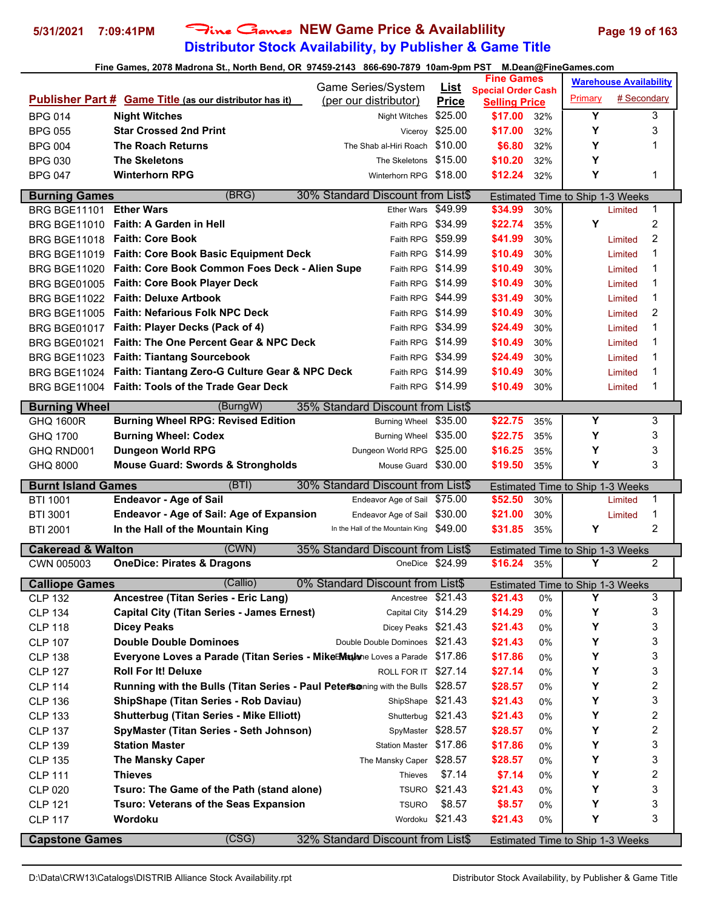## **Distributor Stock Availability, by Publisher & Game Title 5/31/2021 7:09:41PM** Fine Games **NEW Game Price & Availablility Page 19 of 163**

|                                  |                                                                                   | Game Series/System                          |                                | <b>Fine Games</b>               |          |                                         | <b>Warehouse Availability</b> |  |
|----------------------------------|-----------------------------------------------------------------------------------|---------------------------------------------|--------------------------------|---------------------------------|----------|-----------------------------------------|-------------------------------|--|
|                                  | <b>Publisher Part # Game Title (as our distributor has it)</b>                    | (per our distributor)                       | <u>List</u><br><b>Price</b>    | <b>Special Order Cash</b>       |          | Primary                                 | # Secondary                   |  |
| <b>BPG 014</b>                   | <b>Night Witches</b>                                                              | Night Witches                               | \$25.00                        | <b>Selling Price</b><br>\$17.00 | 32%      | Y                                       | 3                             |  |
| <b>BPG 055</b>                   | <b>Star Crossed 2nd Print</b>                                                     |                                             | Viceroy \$25.00                | \$17.00                         | 32%      | Υ                                       | 3                             |  |
| <b>BPG 004</b>                   | <b>The Roach Returns</b>                                                          | The Shab al-Hiri Roach \$10.00              |                                | \$6.80                          | 32%      | Υ                                       | 1                             |  |
| <b>BPG 030</b>                   | <b>The Skeletons</b>                                                              | The Skeletons \$15.00                       |                                | \$10.20                         | 32%      | Υ                                       |                               |  |
| <b>BPG 047</b>                   | <b>Winterhorn RPG</b>                                                             | Winterhorn RPG \$18.00                      |                                | \$12.24                         | 32%      | Υ                                       | 1                             |  |
|                                  |                                                                                   |                                             |                                |                                 |          |                                         |                               |  |
| <b>Burning Games</b>             | (BRG)                                                                             | 30% Standard Discount from List\$           |                                |                                 |          | Estimated Time to Ship 1-3 Weeks        |                               |  |
| BRG BGE11101 Ether Wars          |                                                                                   | Ether Wars \$49.99                          |                                | \$34.99                         | 30%      |                                         | $\mathbf{1}$<br>Limited       |  |
| <b>BRG BGE11010</b>              | <b>Faith: A Garden in Hell</b>                                                    | Faith RPG \$34.99                           |                                | \$22.74                         | 35%      | Υ                                       | 2                             |  |
|                                  | BRG BGE11018 Faith: Core Book                                                     | Faith RPG \$59.99                           |                                | \$41.99                         | 30%      |                                         | 2<br>Limited                  |  |
|                                  | BRG BGE11019 Faith: Core Book Basic Equipment Deck                                | Faith RPG \$14.99                           |                                | \$10.49                         | 30%      |                                         | 1<br>Limited                  |  |
|                                  | BRG BGE11020 Faith: Core Book Common Foes Deck - Alien Supe                       | Faith RPG \$14.99                           |                                | \$10.49                         | 30%      |                                         | 1<br>Limited                  |  |
|                                  | BRG BGE01005 Faith: Core Book Player Deck                                         | Faith RPG \$14.99                           |                                | \$10.49                         | 30%      |                                         | 1<br>Limited                  |  |
|                                  | BRG BGE11022 Faith: Deluxe Artbook                                                | Faith RPG \$44.99                           |                                | \$31.49                         | 30%      |                                         | 1<br>Limited                  |  |
|                                  | BRG BGE11005 Faith: Nefarious Folk NPC Deck                                       | Faith RPG \$14.99                           |                                | \$10.49                         | 30%      |                                         | 2<br>Limited                  |  |
| BRG BGE01017                     | Faith: Player Decks (Pack of 4)                                                   | Faith RPG \$34.99                           |                                | \$24.49                         | 30%      |                                         | 1<br>Limited                  |  |
| <b>BRG BGE01021</b>              | <b>Faith: The One Percent Gear &amp; NPC Deck</b>                                 | Faith RPG \$14.99                           |                                | \$10.49                         | 30%      |                                         | 1<br>Limited                  |  |
| <b>BRG BGE11023</b>              | <b>Faith: Tiantang Sourcebook</b>                                                 | Faith RPG \$34.99                           |                                | \$24.49                         | 30%      |                                         | 1<br>Limited                  |  |
|                                  | BRG BGE11024 Faith: Tiantang Zero-G Culture Gear & NPC Deck                       | Faith RPG \$14.99                           |                                | \$10.49                         | 30%      |                                         | 1<br>Limited                  |  |
|                                  | BRG BGE11004 Faith: Tools of the Trade Gear Deck                                  | Faith RPG \$14.99                           |                                | \$10.49                         | 30%      |                                         | 1<br>Limited                  |  |
| <b>Burning Wheel</b>             | (BurngW)                                                                          | 35% Standard Discount from List\$           |                                |                                 |          |                                         |                               |  |
| <b>GHQ 1600R</b>                 | <b>Burning Wheel RPG: Revised Edition</b>                                         | Burning Wheel \$35.00                       |                                | \$22.75                         | 35%      | Υ                                       | 3                             |  |
| GHQ 1700                         | <b>Burning Wheel: Codex</b>                                                       | Burning Wheel \$35.00                       |                                | \$22.75                         | 35%      | Υ                                       | 3                             |  |
| GHQ RND001                       | <b>Dungeon World RPG</b>                                                          | Dungeon World RPG \$25.00                   |                                | \$16.25                         | 35%      | Υ                                       | 3                             |  |
| GHQ 8000                         | <b>Mouse Guard: Swords &amp; Strongholds</b>                                      | Mouse Guard \$30.00                         |                                | \$19.50                         | 35%      | Υ                                       | 3                             |  |
| <b>Burnt Island Games</b>        | (BTI)                                                                             | 30% Standard Discount from List\$           |                                |                                 |          | <b>Estimated Time to Ship 1-3 Weeks</b> |                               |  |
| <b>BTI 1001</b>                  | <b>Endeavor - Age of Sail</b>                                                     | Endeavor Age of Sail \$75.00                |                                | \$52.50                         | 30%      |                                         | 1<br>Limited                  |  |
| <b>BTI 3001</b>                  | <b>Endeavor - Age of Sail: Age of Expansion</b>                                   | Endeavor Age of Sail \$30.00                |                                | \$21.00                         | 30%      |                                         | 1<br>Limited                  |  |
| <b>BTI 2001</b>                  | In the Hall of the Mountain King                                                  | In the Hall of the Mountain King \$49.00    |                                | \$31.85                         | 35%      | Y                                       | $\overline{2}$                |  |
| <b>Cakeread &amp; Walton</b>     | (CWN)                                                                             | 35% Standard Discount from List\$           |                                |                                 |          | Estimated Time to Ship 1-3 Weeks        |                               |  |
| CWN 005003                       | <b>OneDice: Pirates &amp; Dragons</b>                                             |                                             | OneDice \$24.99                | \$16.24                         | 35%      | Υ                                       | 2                             |  |
| <b>Calliope Games</b>            | (Callio)                                                                          | 0% Standard Discount from List\$            |                                |                                 |          | Estimated Time to Ship 1-3 Weeks        |                               |  |
| <b>CLP 132</b>                   | Ancestree (Titan Series - Eric Lang)                                              | Ancestree                                   | \$21.43                        | \$21.43                         | 0%       | Υ                                       | $\mathbf{3}$                  |  |
| <b>CLP 134</b>                   | <b>Capital City (Titan Series - James Ernest)</b>                                 | Capital City \$14.29                        |                                | \$14.29                         | 0%       | Υ                                       | 3                             |  |
| <b>CLP 118</b>                   |                                                                                   |                                             |                                |                                 |          |                                         |                               |  |
|                                  |                                                                                   |                                             |                                |                                 |          |                                         |                               |  |
|                                  | <b>Dicey Peaks</b>                                                                | Dicey Peaks \$21.43                         |                                | \$21.43                         | 0%       | Υ                                       | 3                             |  |
| <b>CLP 107</b>                   | <b>Double Double Dominoes</b>                                                     | Double Double Dominoes \$21.43              |                                | \$21.43                         | 0%       | Υ                                       | 3                             |  |
| <b>CLP 138</b>                   | <b>Everyone Loves a Parade (Titan Series - Mike Muyone Loves a Parade \$17.86</b> |                                             |                                | \$17.86                         | 0%       | Υ                                       | 3                             |  |
| <b>CLP 127</b>                   | <b>Roll For It! Deluxe</b>                                                        | ROLL FOR IT \$27.14                         |                                | \$27.14                         | 0%       | Υ                                       | 3                             |  |
| <b>CLP 114</b>                   | Running with the Bulls (Titan Series - Paul Petersoning with the Bulls \$28.57    |                                             |                                | \$28.57                         | 0%       | Υ                                       | $\overline{\mathbf{c}}$       |  |
| <b>CLP 136</b>                   | <b>ShipShape (Titan Series - Rob Daviau)</b>                                      | ShipShape \$21.43                           |                                | \$21.43                         | 0%       | Υ                                       | 3                             |  |
| <b>CLP 133</b>                   | <b>Shutterbug (Titan Series - Mike Elliott)</b>                                   | Shutterbug \$21.43                          |                                | \$21.43                         | 0%       | Υ                                       | 2                             |  |
| <b>CLP 137</b>                   | SpyMaster (Titan Series - Seth Johnson)                                           | SpyMaster \$28.57<br>Station Master \$17.86 |                                | \$28.57                         | 0%       | Υ                                       | 2                             |  |
| <b>CLP 139</b>                   | <b>Station Master</b>                                                             |                                             |                                | \$17.86                         | 0%       | Υ                                       | 3                             |  |
| <b>CLP 135</b>                   | <b>The Mansky Caper</b>                                                           | The Mansky Caper \$28.57<br>Thieves         |                                | \$28.57                         | 0%<br>0% | Υ<br>Υ                                  | 3                             |  |
| <b>CLP 111</b>                   | <b>Thieves</b>                                                                    |                                             | \$7.14                         | \$7.14                          |          |                                         | 2<br>3                        |  |
| <b>CLP 020</b>                   | Tsuro: The Game of the Path (stand alone)                                         | <b>TSURO</b>                                | <b>TSURO \$21.43</b><br>\$8.57 | \$21.43                         | 0%<br>0% | Υ<br>Υ                                  | 3                             |  |
| <b>CLP 121</b><br><b>CLP 117</b> | <b>Tsuro: Veterans of the Seas Expansion</b><br>Wordoku                           |                                             | Wordoku \$21.43                | \$8.57<br>\$21.43               | 0%       | Υ                                       | 3                             |  |
| <b>Capstone Games</b>            | (CSG)                                                                             | 32% Standard Discount from List\$           |                                |                                 |          | <b>Estimated Time to Ship 1-3 Weeks</b> |                               |  |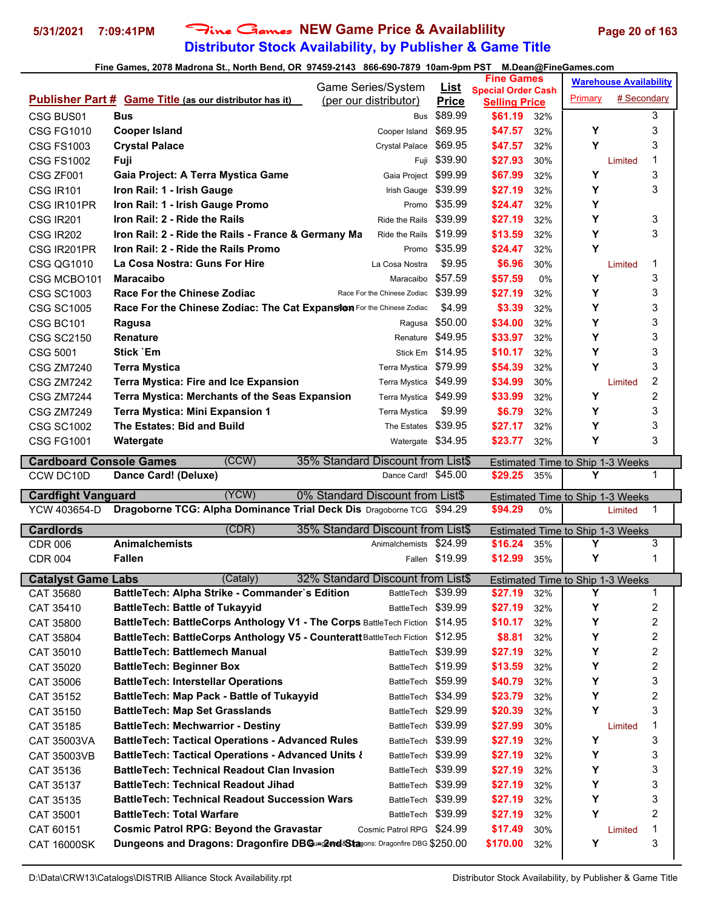## **Distributor Stock Availability, by Publisher & Game Title 5/31/2021 7:09:41PM** Fine Games **NEW Game Price & Availablility Page 20 of 163**

|                                |                                                                                                                      | Game Series/System                       | <u>List</u>      | <b>Fine Games</b>                                 |            |                                         | <b>Warehouse Availability</b>    |                              |  |
|--------------------------------|----------------------------------------------------------------------------------------------------------------------|------------------------------------------|------------------|---------------------------------------------------|------------|-----------------------------------------|----------------------------------|------------------------------|--|
|                                | <b>Publisher Part # Game Title (as our distributor has it)</b>                                                       | (per our distributor)                    | <b>Price</b>     | <b>Special Order Cash</b><br><b>Selling Price</b> |            | Primary                                 | # Secondary                      |                              |  |
| CSG BUS01                      | Bus                                                                                                                  | <b>Bus</b>                               | \$89.99          | \$61.19                                           | 32%        |                                         |                                  | 3                            |  |
| <b>CSG FG1010</b>              | <b>Cooper Island</b>                                                                                                 | Cooper Island                            | \$69.95          | \$47.57                                           | 32%        | Υ                                       |                                  | 3                            |  |
| <b>CSG FS1003</b>              | <b>Crystal Palace</b>                                                                                                | Crystal Palace                           | \$69.95          | \$47.57                                           | 32%        | Y                                       |                                  | 3                            |  |
| <b>CSG FS1002</b>              | Fuji                                                                                                                 |                                          | Full \$39.90     | \$27.93                                           | 30%        |                                         | Limited                          | 1                            |  |
| CSG ZF001                      | Gaia Project: A Terra Mystica Game                                                                                   | Gaia Project                             | \$99.99          | \$67.99                                           | 32%        | Υ                                       |                                  | 3                            |  |
| <b>CSG IR101</b>               | Iron Rail: 1 - Irish Gauge                                                                                           | Irish Gauge \$39.99                      |                  | \$27.19                                           | 32%        | Υ                                       |                                  | 3                            |  |
| CSG IR101PR                    | Iron Rail: 1 - Irish Gauge Promo                                                                                     |                                          | Promo \$35.99    | \$24.47                                           | 32%        | Υ                                       |                                  |                              |  |
| CSG IR201                      | Iron Rail: 2 - Ride the Rails                                                                                        | Ride the Rails                           | \$39.99          | \$27.19                                           | 32%        | Y                                       |                                  | 3                            |  |
| <b>CSG IR202</b>               | Iron Rail: 2 - Ride the Rails - France & Germany Ma                                                                  | Ride the Rails                           | \$19.99          | \$13.59                                           | 32%        | Υ                                       |                                  | 3                            |  |
| CSG IR201PR                    | Iron Rail: 2 - Ride the Rails Promo                                                                                  | Promo                                    | \$35.99          | \$24.47                                           | 32%        | Y                                       |                                  |                              |  |
| <b>CSG QG1010</b>              | La Cosa Nostra: Guns For Hire                                                                                        | La Cosa Nostra                           | \$9.95           | \$6.96                                            | 30%        |                                         | Limited                          | 1                            |  |
| CSG MCBO101                    | <b>Maracaibo</b>                                                                                                     | Maracaibo                                | \$57.59          | \$57.59                                           | 0%         | Υ                                       |                                  | 3                            |  |
| <b>CSG SC1003</b>              | <b>Race For the Chinese Zodiac</b>                                                                                   | Race For the Chinese Zodiac              | \$39.99          | \$27.19                                           | 32%        | Υ                                       |                                  | 3                            |  |
| <b>CSG SC1005</b>              | Race For the Chinese Zodiac: The Cat Expansiten For the Chinese Zodiac                                               |                                          | \$4.99           | \$3.39                                            | 32%        | Υ                                       |                                  | 3                            |  |
| CSG BC101                      | Ragusa                                                                                                               | Ragusa                                   | \$50.00          | \$34.00                                           | 32%        | Υ                                       |                                  | 3                            |  |
| <b>CSG SC2150</b>              | <b>Renature</b>                                                                                                      | Renature                                 | \$49.95          | \$33.97                                           | 32%        | Υ                                       |                                  | 3                            |  |
| CSG 5001                       | Stick `Em                                                                                                            |                                          | Stick Em \$14.95 | \$10.17                                           | 32%        | Y                                       |                                  | 3                            |  |
| <b>CSG ZM7240</b>              | <b>Terra Mystica</b>                                                                                                 | Terra Mystica                            | \$79.99          | \$54.39                                           | 32%        | Υ                                       |                                  | 3                            |  |
| <b>CSG ZM7242</b>              | <b>Terra Mystica: Fire and Ice Expansion</b>                                                                         | Terra Mystica                            | \$49.99          | \$34.99                                           | 30%        |                                         | Limited                          | 2                            |  |
| <b>CSG ZM7244</b>              | Terra Mystica: Merchants of the Seas Expansion                                                                       | Terra Mystica \$49.99                    |                  | \$33.99                                           | 32%        | Υ                                       |                                  | 2                            |  |
| <b>CSG ZM7249</b>              | <b>Terra Mystica: Mini Expansion 1</b>                                                                               | Terra Mystica                            | \$9.99           | \$6.79                                            | 32%        | Υ                                       |                                  | 3                            |  |
| <b>CSG SC1002</b>              | The Estates: Bid and Build                                                                                           | The Estates                              | \$39.95          | \$27.17                                           | 32%        | Υ                                       |                                  | 3                            |  |
| <b>CSG FG1001</b>              | Watergate                                                                                                            | Watergate \$34.95                        |                  | \$23.77                                           | 32%        | Y                                       |                                  | 3                            |  |
|                                | (CCW)                                                                                                                |                                          |                  |                                                   |            |                                         |                                  |                              |  |
| <b>Cardboard Console Games</b> |                                                                                                                      | 35% Standard Discount from List\$        |                  |                                                   |            |                                         | Estimated Time to Ship 1-3 Weeks |                              |  |
|                                |                                                                                                                      |                                          |                  |                                                   |            |                                         |                                  |                              |  |
| CCW DC10D                      | Dance Card! (Deluxe)                                                                                                 | Dance Card! \$45.00                      |                  | \$29.25                                           | 35%        | Y                                       |                                  | 1                            |  |
| <b>Cardfight Vanguard</b>      | (YCW)                                                                                                                | 0% Standard Discount from List\$         |                  |                                                   |            | Estimated Time to Ship 1-3 Weeks        |                                  |                              |  |
| YCW 403654-D                   | Dragoborne TCG: Alpha Dominance Trial Deck Dis Dragoborne TCG \$94.29                                                |                                          |                  | \$94.29                                           | 0%         |                                         | Limited                          | 1                            |  |
| <b>Cardlords</b>               | (CDR)                                                                                                                | 35% Standard Discount from List\$        |                  |                                                   |            | Estimated Time to Ship 1-3 Weeks        |                                  |                              |  |
| <b>CDR 006</b>                 | <b>Animalchemists</b>                                                                                                | Animalchemists                           | \$24.99          | \$16.24                                           | 35%        | Υ                                       |                                  | 3                            |  |
| <b>CDR 004</b>                 | <b>Fallen</b>                                                                                                        |                                          | Fallen \$19.99   | \$12.99                                           | 35%        | Υ                                       |                                  | 1                            |  |
|                                |                                                                                                                      |                                          |                  |                                                   |            |                                         |                                  |                              |  |
| <b>Catalyst Game Labs</b>      | (Cataly)                                                                                                             | 32% Standard Discount from List\$        |                  |                                                   |            | <b>Estimated Time to Ship 1-3 Weeks</b> |                                  |                              |  |
| CAT 35680                      | BattleTech: Alpha Strike - Commander`s Edition<br><b>BattleTech: Battle of Tukayyid</b>                              | BattleTech \$39.99<br>BattleTech         | \$39.99          | \$27.19                                           | 32%<br>32% | Y<br>Υ                                  |                                  | 1                            |  |
| CAT 35410                      |                                                                                                                      |                                          | \$14.95          | \$27.19                                           |            |                                         |                                  | $\overline{\mathbf{c}}$      |  |
| CAT 35800<br>CAT 35804         | BattleTech: BattleCorps Anthology V1 - The Corps BattleTech Fiction                                                  |                                          |                  | \$10.17<br>\$8.81                                 | 32%<br>32% | Υ<br>Υ                                  |                                  | $\overline{\mathbf{c}}$      |  |
|                                | BattleTech: BattleCorps Anthology V5 - Counteratt BattleTech Fiction \$12.95<br><b>BattleTech: Battlemech Manual</b> | BattleTech \$39.99                       |                  |                                                   |            | Υ                                       |                                  | 2                            |  |
| CAT 35010                      |                                                                                                                      |                                          |                  | \$27.19                                           | 32%        |                                         |                                  | $\overline{\mathbf{c}}$      |  |
| CAT 35020                      | <b>BattleTech: Beginner Box</b>                                                                                      | BattleTech \$19.99<br>BattleTech \$59.99 |                  | \$13.59                                           | 32%        | Υ<br>Υ                                  |                                  | 2<br>3                       |  |
| CAT 35006                      | <b>BattleTech: Interstellar Operations</b>                                                                           |                                          |                  | \$40.79                                           | 32%        | Υ                                       |                                  |                              |  |
| CAT 35152                      | BattleTech: Map Pack - Battle of Tukayyid<br><b>BattleTech: Map Set Grasslands</b>                                   | BattleTech \$34.99<br>BattleTech \$29.99 |                  | \$23.79<br>\$20.39                                | 32%<br>32% | Υ                                       |                                  | $\overline{\mathbf{c}}$<br>3 |  |
| CAT 35150                      |                                                                                                                      | BattleTech \$39.99                       |                  |                                                   |            |                                         |                                  | 1                            |  |
| CAT 35185<br>CAT 35003VA       | <b>BattleTech: Mechwarrior - Destiny</b><br><b>BattleTech: Tactical Operations - Advanced Rules</b>                  | BattleTech \$39.99                       |                  | \$27.99<br>\$27.19                                | 30%<br>32% | Υ                                       | Limited                          | 3                            |  |
|                                | <b>BattleTech: Tactical Operations - Advanced Units {</b>                                                            | BattleTech \$39.99                       |                  | \$27.19                                           | 32%        | Υ                                       |                                  | 3                            |  |
| CAT 35003VB                    | <b>BattleTech: Technical Readout Clan Invasion</b>                                                                   | BattleTech \$39.99                       |                  | \$27.19                                           | 32%        | Υ                                       |                                  | 3                            |  |
| CAT 35136                      | <b>BattleTech: Technical Readout Jihad</b>                                                                           | BattleTech \$39.99                       |                  | \$27.19                                           |            | Υ                                       |                                  | 3                            |  |
| CAT 35137                      | <b>BattleTech: Technical Readout Succession Wars</b>                                                                 | BattleTech \$39.99                       |                  | \$27.19                                           | 32%<br>32% | Υ                                       |                                  | 3                            |  |
| CAT 35135                      | <b>BattleTech: Total Warfare</b>                                                                                     | BattleTech \$39.99                       |                  | \$27.19                                           | 32%        | Υ                                       |                                  | $\overline{\mathbf{c}}$      |  |
| CAT 35001<br>CAT 60151         | <b>Cosmic Patrol RPG: Beyond the Gravastar</b>                                                                       | Cosmic Patrol RPG \$24.99                |                  | \$17.49                                           | 30%        |                                         | Limited                          | 1                            |  |
| <b>CAT 16000SK</b>             | Dungeons and Dragons: Dragonfire DBGung2md&Stagons: Dragonfire DBG \$250.00                                          |                                          |                  | \$170.00                                          | 32%        | Υ                                       |                                  | 3                            |  |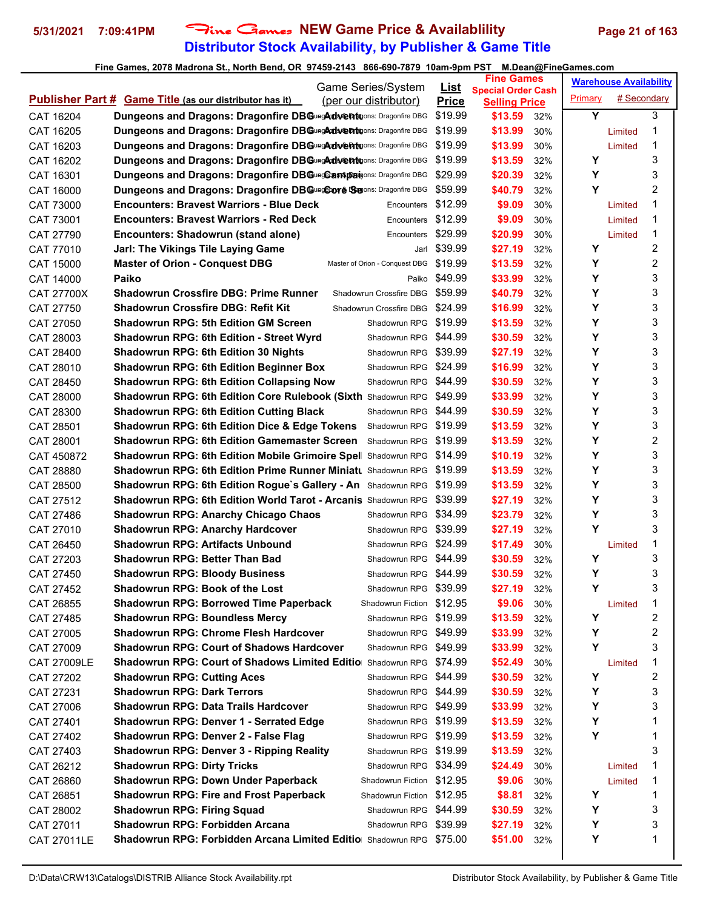## **Distributor Stock Availability, by Publisher & Game Title** 5/31/2021 7:09:41PM Fine Games NEW Game Price & Availablility Page 21 of 163

|                         |                                                                             | Game Series/System             | <u>List</u>  | <b>Fine Games</b>                                 |            |         | <b>Warehouse Availability</b> |        |
|-------------------------|-----------------------------------------------------------------------------|--------------------------------|--------------|---------------------------------------------------|------------|---------|-------------------------------|--------|
|                         | <b>Publisher Part # Game Title (as our distributor has it)</b>              | (per our distributor)          | <b>Price</b> | <b>Special Order Cash</b><br><b>Selling Price</b> |            | Primary | # Secondary                   |        |
| CAT 16204               | Dungeons and Dragons: Dragonfire DBGungAdventuons: Dragonfire DBG           |                                | \$19.99      | \$13.59                                           | 32%        | Y       |                               | 3      |
| CAT 16205               | Dungeons and Dragons: Dragonfire DBGungAdventuons: Dragonfire DBG           |                                | \$19.99      | \$13.99                                           | 30%        |         | Limited                       | 1      |
| CAT 16203               | <b>Dungeons and Dragons: Dragonfire DBGungArdwent Longonfire DBG</b>        |                                | \$19.99      | \$13.99                                           | 30%        |         | Limited                       | 1      |
| CAT 16202               | Dungeons and Dragons: Dragonfire DBGungArdwent pons: Dragonfire DBG         |                                | \$19.99      | \$13.59                                           | 32%        | Υ       |                               | 3      |
| CAT 16301               | Dungeons and Dragons: Dragonfire DBGungCampaigons: Dragonfire DBG           |                                | \$29.99      | \$20.39                                           | 32%        | Υ       |                               | 3      |
| CAT 16000               | Dungeons and Dragons: Dragonfire DBGungCore Segons: Dragonfire DBG          |                                | \$59.99      | \$40.79                                           | 32%        | Y       |                               | 2      |
| CAT 73000               | <b>Encounters: Bravest Warriors - Blue Deck</b>                             | Encounters                     | \$12.99      | \$9.09                                            | 30%        |         | Limited                       | 1      |
| CAT 73001               | <b>Encounters: Bravest Warriors - Red Deck</b>                              | Encounters                     | \$12.99      | \$9.09                                            | 30%        |         | Limited                       | 1      |
| CAT 27790               | Encounters: Shadowrun (stand alone)                                         | Encounters                     | \$29.99      | \$20.99                                           | 30%        |         | Limited                       | 1      |
| CAT 77010               | Jarl: The Vikings Tile Laying Game                                          |                                | Jarl \$39.99 | \$27.19                                           | 32%        | Υ       |                               | 2      |
| CAT 15000               | <b>Master of Orion - Conquest DBG</b>                                       | Master of Orion - Conquest DBG | \$19.99      | \$13.59                                           | 32%        | Υ       |                               | 2      |
| CAT 14000               | Paiko                                                                       | Paiko                          | \$49.99      | \$33.99                                           | 32%        | Υ       |                               | 3      |
| <b>CAT 27700X</b>       | <b>Shadowrun Crossfire DBG: Prime Runner</b>                                | Shadowrun Crossfire DBG        | \$59.99      | \$40.79                                           | 32%        | Y       |                               | 3      |
| CAT 27750               | <b>Shadowrun Crossfire DBG: Refit Kit</b>                                   | Shadowrun Crossfire DBG        | \$24.99      | \$16.99                                           | 32%        | Y       |                               | 3      |
| CAT 27050               | <b>Shadowrun RPG: 5th Edition GM Screen</b>                                 | Shadowrun RPG \$19.99          |              | \$13.59                                           | 32%        | Y       |                               | 3      |
| CAT 28003               | <b>Shadowrun RPG: 6th Edition - Street Wyrd</b>                             | Shadowrun RPG \$44.99          |              | \$30.59                                           | 32%        | Y       |                               | 3      |
| CAT 28400               | <b>Shadowrun RPG: 6th Edition 30 Nights</b>                                 | Shadowrun RPG \$39.99          |              | \$27.19                                           | 32%        | Y       |                               | 3      |
| CAT 28010               | <b>Shadowrun RPG: 6th Edition Beginner Box</b>                              | Shadowrun RPG \$24.99          |              | \$16.99                                           | 32%        | Υ       |                               | 3      |
| CAT 28450               | <b>Shadowrun RPG: 6th Edition Collapsing Now</b>                            | Shadowrun RPG \$44.99          |              | \$30.59                                           | 32%        | Υ       |                               | 3      |
| CAT 28000               | Shadowrun RPG: 6th Edition Core Rulebook (Sixth Shadowrun RPG \$49.99       |                                |              | \$33.99                                           | 32%        | Y       |                               | 3      |
| CAT 28300               | <b>Shadowrun RPG: 6th Edition Cutting Black</b>                             | Shadowrun RPG \$44.99          |              | \$30.59                                           | 32%        | Y       |                               | 3      |
| CAT 28501               | <b>Shadowrun RPG: 6th Edition Dice &amp; Edge Tokens</b>                    | Shadowrun RPG \$19.99          |              | \$13.59                                           | 32%        | Y       |                               | 3      |
| CAT 28001               | <b>Shadowrun RPG: 6th Edition Gamemaster Screen</b>                         | Shadowrun RPG \$19.99          |              | \$13.59                                           | 32%        | Y       |                               | 2      |
|                         | Shadowrun RPG: 6th Edition Mobile Grimoire Spel Shadowrun RPG \$14.99       |                                |              | \$10.19                                           | 32%        | Υ       |                               | 3      |
| CAT 450872<br>CAT 28880 | <b>Shadowrun RPG: 6th Edition Prime Runner Miniatu Shadowrun RPG</b>        |                                | \$19.99      | \$13.59                                           | 32%        | Υ       |                               | 3      |
| CAT 28500               | Shadowrun RPG: 6th Edition Rogue's Gallery - An Shadowrun RPG               |                                | \$19.99      | \$13.59                                           | 32%        | Υ       |                               | 3      |
| CAT 27512               | <b>Shadowrun RPG: 6th Edition World Tarot - Arcanis</b> Shadowrun RPG       |                                | \$39.99      | \$27.19                                           | 32%        | Y       |                               | 3      |
| CAT 27486               | <b>Shadowrun RPG: Anarchy Chicago Chaos</b>                                 | Shadowrun RPG \$34.99          |              | \$23.79                                           | 32%        | Υ       |                               | 3      |
| CAT 27010               | <b>Shadowrun RPG: Anarchy Hardcover</b>                                     | Shadowrun RPG \$39.99          |              | \$27.19                                           | 32%        | Y       |                               | 3      |
| CAT 26450               | <b>Shadowrun RPG: Artifacts Unbound</b>                                     | Shadowrun RPG \$24.99          |              | \$17.49                                           | 30%        |         | Limited                       | 1      |
| CAT 27203               | <b>Shadowrun RPG: Better Than Bad</b>                                       | Shadowrun RPG \$44.99          |              | \$30.59                                           | 32%        | Υ       |                               | 3      |
| CAT 27450               | <b>Shadowrun RPG: Bloody Business</b>                                       | Shadowrun RPG \$44.99          |              | \$30.59                                           | 32%        | Υ       |                               | 3      |
| CAT 27452               | <b>Shadowrun RPG: Book of the Lost</b>                                      | Shadowrun RPG \$39.99          |              | \$27.19                                           | 32%        | Υ       |                               | 3      |
| CAT 26855               | <b>Shadowrun RPG: Borrowed Time Paperback</b>                               | Shadowrun Fiction \$12.95      |              | \$9.06                                            | 30%        |         | Limited                       | 1      |
|                         | <b>Shadowrun RPG: Boundless Mercy</b>                                       | Shadowrun RPG \$19.99          |              | \$13.59                                           |            | Υ       |                               | 2      |
| CAT 27485<br>CAT 27005  | <b>Shadowrun RPG: Chrome Flesh Hardcover</b>                                | Shadowrun RPG \$49.99          |              | \$33.99                                           | 32%<br>32% | Υ       |                               | 2      |
| CAT 27009               | <b>Shadowrun RPG: Court of Shadows Hardcover</b>                            | Shadowrun RPG \$49.99          |              | \$33.99                                           | 32%        | Υ       |                               | 3      |
| CAT 27009LE             | <b>Shadowrun RPG: Court of Shadows Limited Editio</b> Shadowrun RPG \$74.99 |                                |              | \$52.49                                           | 30%        |         | Limited                       | 1      |
| CAT 27202               | <b>Shadowrun RPG: Cutting Aces</b>                                          | Shadowrun RPG \$44.99          |              | \$30.59                                           | 32%        | Y       |                               | 2      |
| CAT 27231               | <b>Shadowrun RPG: Dark Terrors</b>                                          | Shadowrun RPG \$44.99          |              | \$30.59                                           | 32%        | Υ       |                               | 3      |
|                         | <b>Shadowrun RPG: Data Trails Hardcover</b>                                 | Shadowrun RPG \$49.99          |              | \$33.99                                           | 32%        | Υ       |                               | 3      |
| CAT 27006               | <b>Shadowrun RPG: Denver 1 - Serrated Edge</b>                              | Shadowrun RPG \$19.99          |              | \$13.59                                           |            | Υ       |                               | 1      |
| CAT 27401               |                                                                             | Shadowrun RPG \$19.99          |              |                                                   | 32%        | Υ       |                               | 1      |
| CAT 27402               | Shadowrun RPG: Denver 2 - False Flag                                        |                                |              | \$13.59                                           | 32%        |         |                               | 3      |
| CAT 27403               | <b>Shadowrun RPG: Denver 3 - Ripping Reality</b>                            | Shadowrun RPG \$19.99          |              | \$13.59                                           | 32%        |         |                               | 1      |
| CAT 26212               | <b>Shadowrun RPG: Dirty Tricks</b>                                          | Shadowrun RPG \$34.99          |              | \$24.49                                           | 30%        |         | Limited                       |        |
| CAT 26860               | <b>Shadowrun RPG: Down Under Paperback</b>                                  | Shadowrun Fiction \$12.95      |              | \$9.06                                            | 30%        |         | Limited                       | 1      |
| CAT 26851               | <b>Shadowrun RPG: Fire and Frost Paperback</b>                              | Shadowrun Fiction \$12.95      |              | \$8.81                                            | 32%        | Υ       |                               | 1      |
| CAT 28002               | <b>Shadowrun RPG: Firing Squad</b>                                          | Shadowrun RPG \$44.99          |              | \$30.59                                           | 32%        | Υ       |                               | 3      |
| CAT 27011               | Shadowrun RPG: Forbidden Arcana                                             | Shadowrun RPG \$39.99          |              | \$27.19                                           | 32%        | Υ       |                               | 3<br>1 |
| CAT 27011LE             | <b>Shadowrun RPG: Forbidden Arcana Limited Editio</b> Shadowrun RPG \$75.00 |                                |              | \$51.00                                           | 32%        | Υ       |                               |        |
|                         |                                                                             |                                |              |                                                   |            |         |                               |        |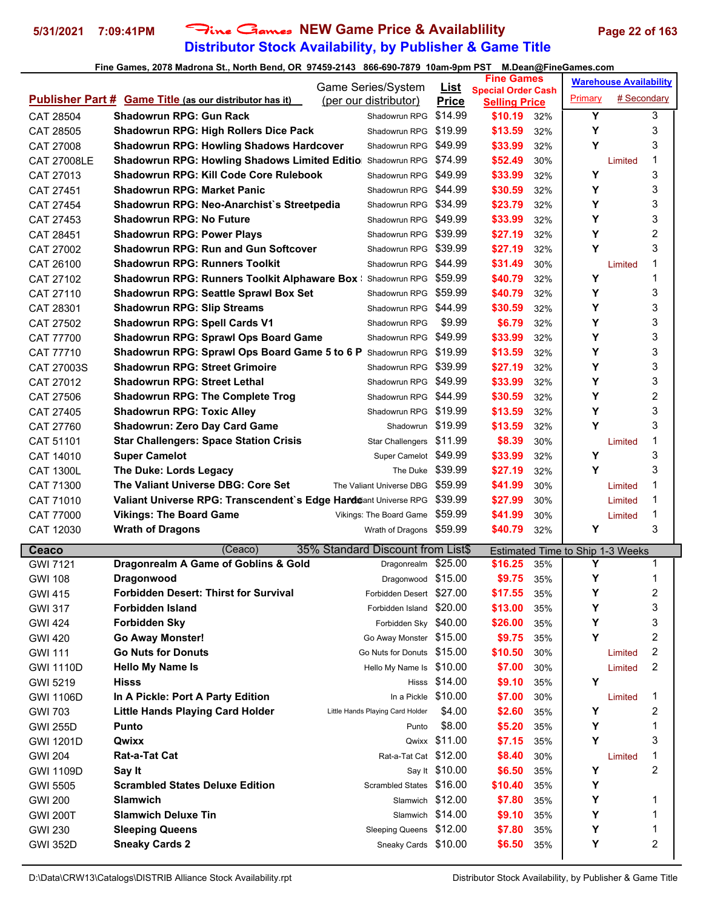## **Distributor Stock Availability, by Publisher & Game Title 5/31/2021 7:09:41PM** Fine Games **NEW Game Price & Availablility Page 22 of 163**

|                    |                                                                    | Game Series/System                | <b>List</b>      | <b>Fine Games</b>                                 |     |                                  | <b>Warehouse Availability</b> |   |  |
|--------------------|--------------------------------------------------------------------|-----------------------------------|------------------|---------------------------------------------------|-----|----------------------------------|-------------------------------|---|--|
|                    | <b>Publisher Part # Game Title (as our distributor has it)</b>     | (per our distributor)             | <b>Price</b>     | <b>Special Order Cash</b><br><b>Selling Price</b> |     | Primary                          | # Secondary                   |   |  |
| CAT 28504          | <b>Shadowrun RPG: Gun Rack</b>                                     | Shadowrun RPG                     | \$14.99          | \$10.19                                           | 32% | Y                                |                               | 3 |  |
| CAT 28505          | Shadowrun RPG: High Rollers Dice Pack                              | Shadowrun RPG                     | \$19.99          | \$13.59                                           | 32% | Y                                |                               | 3 |  |
| CAT 27008          | <b>Shadowrun RPG: Howling Shadows Hardcover</b>                    | Shadowrun RPG                     | \$49.99          | \$33.99                                           | 32% | Y                                |                               | 3 |  |
| <b>CAT 27008LE</b> | <b>Shadowrun RPG: Howling Shadows Limited Editio Shadowrun RPG</b> |                                   | \$74.99          | \$52.49                                           | 30% |                                  | Limited                       | 1 |  |
| CAT 27013          | <b>Shadowrun RPG: Kill Code Core Rulebook</b>                      | Shadowrun RPG                     | \$49.99          | \$33.99                                           | 32% | Y                                |                               | 3 |  |
| CAT 27451          | <b>Shadowrun RPG: Market Panic</b>                                 | Shadowrun RPG                     | \$44.99          | \$30.59                                           | 32% | Υ                                |                               | 3 |  |
| CAT 27454          | Shadowrun RPG: Neo-Anarchist's Streetpedia                         | Shadowrun RPG                     | \$34.99          | \$23.79                                           | 32% | Y                                |                               | 3 |  |
| CAT 27453          | <b>Shadowrun RPG: No Future</b>                                    | Shadowrun RPG \$49.99             |                  | \$33.99                                           | 32% | Y                                |                               | 3 |  |
| CAT 28451          | <b>Shadowrun RPG: Power Plays</b>                                  | Shadowrun RPG                     | \$39.99          | \$27.19                                           | 32% | Y                                |                               | 2 |  |
| CAT 27002          | <b>Shadowrun RPG: Run and Gun Softcover</b>                        | Shadowrun RPG                     | \$39.99          | \$27.19                                           | 32% | Y                                |                               | 3 |  |
| CAT 26100          | <b>Shadowrun RPG: Runners Toolkit</b>                              | Shadowrun RPG                     | \$44.99          | \$31.49                                           | 30% |                                  | Limited                       | 1 |  |
| CAT 27102          | <b>Shadowrun RPG: Runners Toolkit Alphaware Box: Shadowrun RPG</b> |                                   | \$59.99          | \$40.79                                           | 32% | Υ                                |                               | 1 |  |
| CAT 27110          | Shadowrun RPG: Seattle Sprawl Box Set                              | Shadowrun RPG                     | \$59.99          | \$40.79                                           | 32% | Y                                |                               | 3 |  |
| CAT 28301          | <b>Shadowrun RPG: Slip Streams</b>                                 | Shadowrun RPG                     | \$44.99          | \$30.59                                           | 32% | Y                                |                               | 3 |  |
| CAT 27502          | <b>Shadowrun RPG: Spell Cards V1</b>                               | Shadowrun RPG                     | \$9.99           | \$6.79                                            | 32% | Υ                                |                               | 3 |  |
| CAT 77700          | Shadowrun RPG: Sprawl Ops Board Game                               | Shadowrun RPG                     | \$49.99          | \$33.99                                           | 32% | Y                                |                               | 3 |  |
| CAT 77710          | Shadowrun RPG: Sprawl Ops Board Game 5 to 6 P Shadowrun RPG        |                                   | \$19.99          | \$13.59                                           | 32% | Υ                                |                               | 3 |  |
| CAT 27003S         | <b>Shadowrun RPG: Street Grimoire</b>                              | Shadowrun RPG                     | \$39.99          | \$27.19                                           | 32% | Υ                                |                               | 3 |  |
| CAT 27012          | <b>Shadowrun RPG: Street Lethal</b>                                | Shadowrun RPG                     | \$49.99          | \$33.99                                           | 32% | Y                                |                               | 3 |  |
| CAT 27506          | <b>Shadowrun RPG: The Complete Trog</b>                            | Shadowrun RPG                     | \$44.99          | \$30.59                                           | 32% | Υ                                |                               | 2 |  |
| CAT 27405          | <b>Shadowrun RPG: Toxic Alley</b>                                  | Shadowrun RPG                     | \$19.99          | \$13.59                                           | 32% | Υ                                |                               | 3 |  |
| CAT 27760          | <b>Shadowrun: Zero Day Card Game</b>                               | Shadowrun \$19.99                 |                  | \$13.59                                           | 32% | Y                                |                               | 3 |  |
| CAT 51101          | <b>Star Challengers: Space Station Crisis</b>                      | Star Challengers \$11.99          |                  | \$8.39                                            | 30% |                                  | Limited                       | 1 |  |
| CAT 14010          | <b>Super Camelot</b>                                               | Super Camelot \$49.99             |                  | \$33.99                                           | 32% | Y                                |                               | 3 |  |
| CAT 1300L          | The Duke: Lords Legacy                                             | The Duke                          | \$39.99          | \$27.19                                           | 32% | Y                                |                               | 3 |  |
| CAT 71300          | The Valiant Universe DBG: Core Set                                 | The Valiant Universe DBG          | \$59.99          | \$41.99                                           | 30% |                                  | Limited                       | 1 |  |
| CAT 71010          | Valiant Universe RPG: Transcendent's Edge Harddant Universe RPG    |                                   | \$39.99          | \$27.99                                           | 30% |                                  | Limited                       | 1 |  |
| CAT 77000          | <b>Vikings: The Board Game</b>                                     | Vikings: The Board Game           | \$59.99          | \$41.99                                           | 30% |                                  | Limited                       | 1 |  |
| CAT 12030          | <b>Wrath of Dragons</b>                                            | Wrath of Dragons                  | \$59.99          | \$40.79                                           | 32% | Υ                                |                               | 3 |  |
| Ceaco              | (Ceaco)                                                            | 35% Standard Discount from List\$ |                  |                                                   |     | Estimated Time to Ship 1-3 Weeks |                               |   |  |
| <b>GWI 7121</b>    | Dragonrealm A Game of Goblins & Gold                               | Dragonrealm \$25.00               |                  | \$16.25                                           | 35% | Y                                |                               | 1 |  |
| <b>GWI 108</b>     | Dragonwood                                                         | Dragonwood \$15.00                |                  | \$9.75                                            | 35% | Υ                                |                               | 1 |  |
| <b>GWI 415</b>     | <b>Forbidden Desert: Thirst for Survival</b>                       | Forbidden Desert \$27.00          |                  | \$17.55                                           | 35% | Y                                |                               | 2 |  |
| <b>GWI 317</b>     | Forbidden Island                                                   | Forbidden Island                  | \$20.00          | \$13.00                                           | 35% | Y                                |                               | 3 |  |
| <b>GWI 424</b>     | <b>Forbidden Sky</b>                                               | Forbidden Sky \$40.00             |                  | \$26.00                                           | 35% | Υ                                |                               | 3 |  |
| <b>GWI 420</b>     | <b>Go Away Monster!</b>                                            | Go Away Monster \$15.00           |                  | \$9.75                                            | 35% | Y                                |                               | 2 |  |
| <b>GWI 111</b>     | <b>Go Nuts for Donuts</b>                                          | Go Nuts for Donuts \$15.00        |                  | \$10.50                                           | 30% |                                  | Limited                       | 2 |  |
| <b>GWI 1110D</b>   | <b>Hello My Name Is</b>                                            | Hello My Name Is \$10.00          |                  | \$7.00                                            | 30% |                                  | Limited                       | 2 |  |
| <b>GWI 5219</b>    | <b>Hisss</b>                                                       | Hisss                             | \$14.00          | \$9.10                                            | 35% | Υ                                |                               |   |  |
| <b>GWI 1106D</b>   | In A Pickle: Port A Party Edition                                  | In a Pickle                       | \$10.00          | \$7.00                                            | 30% |                                  | Limited                       | 1 |  |
| <b>GWI 703</b>     | <b>Little Hands Playing Card Holder</b>                            | Little Hands Playing Card Holder  | \$4.00           | \$2.60                                            | 35% | Υ                                |                               | 2 |  |
| <b>GWI 255D</b>    | <b>Punto</b>                                                       | Punto                             | \$8.00           | \$5.20                                            | 35% | Υ                                |                               | 1 |  |
| <b>GWI 1201D</b>   | Qwixx                                                              |                                   | Qwixx \$11.00    | \$7.15                                            | 35% | Y                                |                               | 3 |  |
| <b>GWI 204</b>     | Rat-a-Tat Cat                                                      | Rat-a-Tat Cat \$12.00             |                  | \$8.40                                            | 30% |                                  | Limited                       | 1 |  |
| <b>GWI 1109D</b>   | Say It                                                             |                                   | Say It \$10.00   | \$6.50                                            | 35% | Υ                                |                               | 2 |  |
| <b>GWI 5505</b>    | <b>Scrambled States Deluxe Edition</b>                             | Scrambled States \$16.00          |                  | \$10.40                                           | 35% | Υ                                |                               |   |  |
| <b>GWI 200</b>     | <b>Slamwich</b>                                                    |                                   | Slamwich \$12.00 | \$7.80                                            | 35% | Y                                |                               | 1 |  |
| <b>GWI 200T</b>    | <b>Slamwich Deluxe Tin</b>                                         |                                   | Slamwich \$14.00 | \$9.10                                            | 35% | Y                                |                               | 1 |  |
| <b>GWI 230</b>     | <b>Sleeping Queens</b>                                             | <b>Sleeping Queens</b>            | \$12.00          | \$7.80                                            | 35% | Y                                |                               | 1 |  |
| <b>GWI 352D</b>    | <b>Sneaky Cards 2</b>                                              | Sneaky Cards \$10.00              |                  | \$6.50                                            | 35% | Y                                |                               | 2 |  |
|                    |                                                                    |                                   |                  |                                                   |     |                                  |                               |   |  |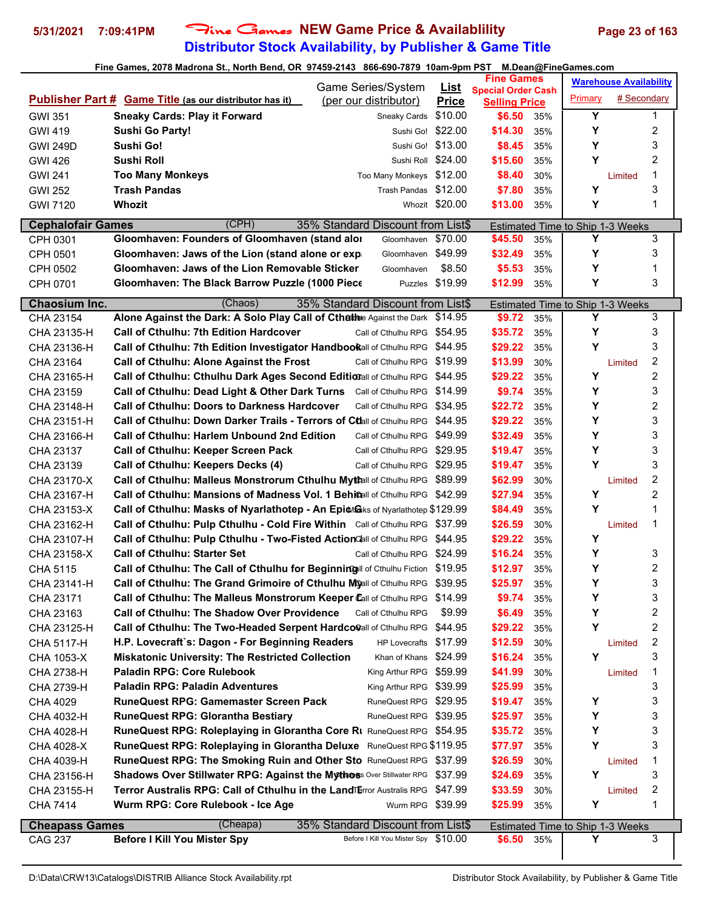## **Distributor Stock Availability, by Publisher & Game Title 5/31/2021 7:09:41PM** Fine Games **NEW Game Price & Availablility Page 23 of 163**

|                          |                                                                                    | Game Series/System                   |                         | <b>Fine Games</b>              |     |                                         | <b>Warehouse Availability</b> |                         |
|--------------------------|------------------------------------------------------------------------------------|--------------------------------------|-------------------------|--------------------------------|-----|-----------------------------------------|-------------------------------|-------------------------|
|                          | <b>Publisher Part # Game Title (as our distributor has it)</b>                     | (per our distributor)                | <u>List</u>             | <b>Special Order Cash</b>      |     | Primary                                 | # Secondary                   |                         |
| <b>GWI 351</b>           | <b>Sneaky Cards: Play it Forward</b>                                               | Sneaky Cards                         | <b>Price</b><br>\$10.00 | <b>Selling Price</b><br>\$6.50 | 35% | Υ                                       |                               | 1                       |
| <b>GWI 419</b>           | <b>Sushi Go Party!</b>                                                             |                                      | Sushi Go! \$22.00       | \$14.30                        | 35% | Y                                       |                               | 2                       |
| <b>GWI 249D</b>          | Sushi Go!                                                                          | Sushi Go!                            | \$13.00                 | \$8.45                         | 35% | Y                                       |                               | 3                       |
| GWI 426                  | Sushi Roll                                                                         | Sushi Roll \$24.00                   |                         | \$15.60                        | 35% | Y                                       |                               | 2                       |
|                          | <b>Too Many Monkeys</b>                                                            | Too Many Monkeys \$12.00             |                         |                                |     |                                         |                               | 1                       |
| <b>GWI 241</b>           | <b>Trash Pandas</b>                                                                | Trash Pandas \$12.00                 |                         | \$8.40                         | 30% | Y                                       | Limited                       | 3                       |
| <b>GWI 252</b>           | <b>Whozit</b>                                                                      |                                      | Whozit \$20.00          | \$7.80                         | 35% | Υ                                       |                               | 1                       |
| <b>GWI 7120</b>          |                                                                                    |                                      |                         | \$13.00                        | 35% |                                         |                               |                         |
| <b>Cephalofair Games</b> | (CPH)                                                                              | 35% Standard Discount from List\$    |                         |                                |     | Estimated Time to Ship 1-3 Weeks        |                               |                         |
| CPH 0301                 | Gloomhaven: Founders of Gloomhaven (stand alor                                     | Gloomhaven                           | \$70.00                 | \$45.50                        | 35% | Y                                       |                               | 3                       |
| CPH 0501                 | Gloomhaven: Jaws of the Lion (stand alone or exp                                   | Gloomhaven \$49.99                   |                         | \$32.49                        | 35% | Y                                       |                               | 3                       |
| CPH 0502                 | Gloomhaven: Jaws of the Lion Removable Sticker                                     | Gloomhaven                           | \$8.50                  | \$5.53                         | 35% | Y                                       |                               | 1                       |
| CPH 0701                 | Gloomhaven: The Black Barrow Puzzle (1000 Piece                                    |                                      | Puzzles \$19.99         | \$12.99                        | 35% | Y                                       |                               | 3                       |
| Chaosium Inc.            | (Chaos)                                                                            | 35% Standard Discount from List\$    |                         |                                |     | Estimated Time to Ship 1-3 Weeks        |                               |                         |
| CHA 23154                | Alone Against the Dark: A Solo Play Call of Cthulthe Against the Dark \$14.95      |                                      |                         | \$9.72                         | 35% | Y                                       |                               | 3                       |
| CHA 23135-H              | <b>Call of Cthulhu: 7th Edition Hardcover</b>                                      | Call of Cthulhu RPG \$54.95          |                         | \$35.72                        | 35% | Y                                       |                               | 3                       |
| CHA 23136-H              | Call of Cthulhu: 7th Edition Investigator Handbookall of Cthulhu RPG               |                                      | \$44.95                 | \$29.22                        | 35% | Υ                                       |                               | 3                       |
| CHA 23164                | Call of Cthulhu: Alone Against the Frost                                           | Call of Cthulhu RPG \$19.99          |                         | \$13.99                        | 30% |                                         | Limited                       | 2                       |
| CHA 23165-H              | Call of Cthulhu: Cthulhu Dark Ages Second Editionall of Cthulhu RPG \$44.95        |                                      |                         | \$29.22                        | 35% | Y                                       |                               | $\overline{\mathbf{c}}$ |
| CHA 23159                | Call of Cthulhu: Dead Light & Other Dark Turns Call of Cthulhu RPG \$14.99         |                                      |                         | \$9.74                         | 35% | Y                                       |                               | 3                       |
| CHA 23148-H              | <b>Call of Cthulhu: Doors to Darkness Hardcover</b>                                | Call of Cthulhu RPG \$34.95          |                         | \$22.72                        | 35% | Y                                       |                               | 2                       |
| CHA 23151-H              | Call of Cthulhu: Down Darker Trails - Terrors of Ctlall of Cthulhu RPG \$44.95     |                                      |                         | \$29.22                        | 35% | Y                                       |                               | 3                       |
| CHA 23166-H              | Call of Cthulhu: Harlem Unbound 2nd Edition                                        | Call of Cthulhu RPG \$49.99          |                         | \$32.49                        | 35% | Y                                       |                               | 3                       |
| CHA 23137                | <b>Call of Cthulhu: Keeper Screen Pack</b>                                         | Call of Cthulhu RPG \$29.95          |                         | \$19.47                        | 35% | Υ                                       |                               | 3                       |
| CHA 23139                | Call of Cthulhu: Keepers Decks (4)                                                 | Call of Cthulhu RPG \$29.95          |                         | \$19.47                        | 35% | Y                                       |                               | 3                       |
| CHA 23170-X              | Call of Cthulhu: Malleus Monstrorum Cthulhu Myttall of Cthulhu RPG \$89.99         |                                      |                         | \$62.99                        | 30% |                                         | Limited                       | $\overline{c}$          |
| CHA 23167-H              | <b>Call of Cthulhu: Mansions of Madness Vol. 1 Behi@all of Cthulhu RPG \$42.99</b> |                                      |                         | \$27.94                        | 35% | Y                                       |                               | 2                       |
| CHA 23153-X              | Call of Cthulhu: Masks of Nyarlathotep - An Epion B ks of Nyarlathotep \$129.99    |                                      |                         | \$84.49                        | 35% | Y                                       |                               | 1                       |
| CHA 23162-H              | Call of Cthulhu: Pulp Cthulhu - Cold Fire Within Call of Cthulhu RPG \$37.99       |                                      |                         | \$26.59                        | 30% |                                         | Limited                       | 1                       |
| CHA 23107-H              | Call of Cthulhu: Pulp Cthulhu - Two-Fisted Action Call of Cthulhu RPG \$44.95      |                                      |                         | \$29.22                        | 35% | Y                                       |                               |                         |
| CHA 23158-X              | <b>Call of Cthulhu: Starter Set</b>                                                | Call of Cthulhu RPG                  | \$24.99                 | \$16.24                        | 35% | Y                                       |                               | 3                       |
| CHA 5115                 | Call of Cthulhu: The Call of Cthulhu for Beginning II of Cthulhu Fiction \$19.95   |                                      |                         | \$12.97                        | 35% | Y                                       |                               | 2                       |
| CHA 23141-H              | Call of Cthulhu: The Grand Grimoire of Cthulhu Myall of Cthulhu RPG \$39.95        |                                      |                         | \$25.97                        | 35% | Y                                       |                               | 3                       |
| CHA 23171                | Call of Cthulhu: The Malleus Monstrorum Keeper Call of Cthulhu RPG \$14.99         |                                      |                         | \$9.74                         | 35% | Υ                                       |                               | 3                       |
| CHA 23163                | <b>Call of Cthulhu: The Shadow Over Providence</b>                                 | Call of Cthulhu RPG                  | \$9.99                  | \$6.49                         | 35% | Y                                       |                               | 2                       |
| CHA 23125-H              | Call of Cthulhu: The Two-Headed Serpent Hardco@all of Cthulhu RPG                  |                                      | \$44.95                 | \$29.22                        | 35% | Y                                       |                               | 2                       |
| CHA 5117-H               | H.P. Lovecraft`s: Dagon - For Beginning Readers                                    | HP Lovecrafts \$17.99                |                         | \$12.59                        | 30% |                                         | Limited                       | 2                       |
| CHA 1053-X               | <b>Miskatonic University: The Restricted Collection</b>                            | Khan of Khans \$24.99                |                         | \$16.24                        | 35% | Y                                       |                               | 3                       |
| CHA 2738-H               | <b>Paladin RPG: Core Rulebook</b>                                                  | King Arthur RPG \$59.99              |                         | \$41.99                        | 30% |                                         | Limited                       | 1                       |
| CHA 2739-H               | <b>Paladin RPG: Paladin Adventures</b>                                             | King Arthur RPG \$39.99              |                         | \$25.99                        | 35% |                                         |                               | 3                       |
| CHA 4029                 | <b>RuneQuest RPG: Gamemaster Screen Pack</b>                                       | RuneQuest RPG \$29.95                |                         | \$19.47                        | 35% | Υ                                       |                               | 3                       |
| CHA 4032-H               | <b>RuneQuest RPG: Glorantha Bestiary</b>                                           | RuneQuest RPG \$39.95                |                         | \$25.97                        | 35% | Y                                       |                               | 3                       |
| CHA 4028-H               | RuneQuest RPG: Roleplaying in Glorantha Core RI RuneQuest RPG \$54.95              |                                      |                         | \$35.72                        | 35% | Υ                                       |                               | 3                       |
| CHA 4028-X               | RuneQuest RPG: Roleplaying in Glorantha Deluxe RuneQuest RPG \$119.95              |                                      |                         | \$77.97                        | 35% | Y                                       |                               | 3                       |
| CHA 4039-H               | RuneQuest RPG: The Smoking Ruin and Other Sto RuneQuest RPG \$37.99                |                                      |                         | \$26.59                        | 30% |                                         | Limited                       | 1                       |
| CHA 23156-H              | <b>Shadows Over Stillwater RPG: Against the Mythos: Over Stillwater RPG</b>        |                                      | \$37.99                 | \$24.69                        | 35% | Y                                       |                               | 3                       |
| CHA 23155-H              | Terror Australis RPG: Call of Cthulhu in the LandTerror Australis RPG              |                                      | \$47.99                 | \$33.59                        | 30% |                                         | Limited                       | 2                       |
| CHA 7414                 | Wurm RPG: Core Rulebook - Ice Age                                                  | Wurm RPG \$39.99                     |                         | \$25.99                        | 35% | Y                                       |                               | 1                       |
| <b>Cheapass Games</b>    | (Cheapa)                                                                           | 35% Standard Discount from List\$    |                         |                                |     | <b>Estimated Time to Ship 1-3 Weeks</b> |                               |                         |
| CAG 237                  | <b>Before I Kill You Mister Spy</b>                                                | Before I Kill You Mister Spy \$10.00 |                         | \$6.50                         | 35% | Y                                       |                               | 3                       |
|                          |                                                                                    |                                      |                         |                                |     |                                         |                               |                         |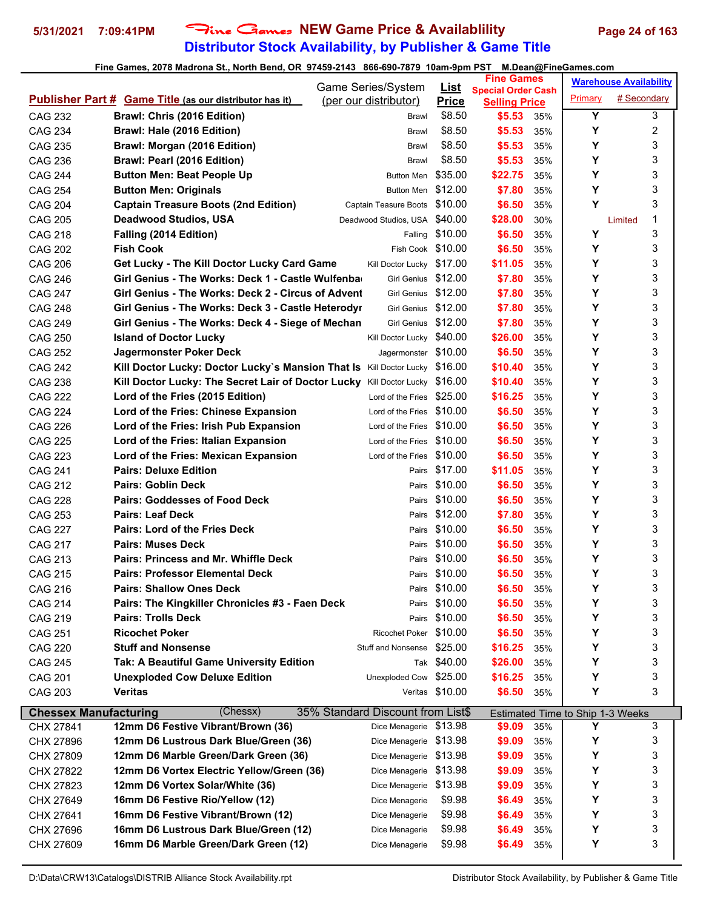## **Distributor Stock Availability, by Publisher & Game Title** 5/31/2021 7:09:41PM Fine Games NEW Game Price & Availablility Page 24 of 163

|                              |                                                                             | Game Series/System                | <u>List</u>     | <b>Fine Games</b>                                 |     |                                  | <b>Warehouse Availability</b> |
|------------------------------|-----------------------------------------------------------------------------|-----------------------------------|-----------------|---------------------------------------------------|-----|----------------------------------|-------------------------------|
|                              | <b>Publisher Part # Game Title (as our distributor has it)</b>              | (per our distributor)             | <b>Price</b>    | <b>Special Order Cash</b><br><b>Selling Price</b> |     | Primary                          | # Secondary                   |
| <b>CAG 232</b>               | Brawl: Chris (2016 Edition)                                                 | Brawl                             | \$8.50          | \$5.53                                            | 35% | Y                                | 3                             |
| <b>CAG 234</b>               | Brawl: Hale (2016 Edition)                                                  | Brawl                             | \$8.50          | \$5.53                                            | 35% | Y                                | 2                             |
| <b>CAG 235</b>               | Brawl: Morgan (2016 Edition)                                                | Brawl                             | \$8.50          | \$5.53                                            | 35% | Y                                | 3                             |
| <b>CAG 236</b>               | Brawl: Pearl (2016 Edition)                                                 | Brawl                             | \$8.50          | \$5.53                                            | 35% | Y                                | 3                             |
| <b>CAG 244</b>               | <b>Button Men: Beat People Up</b>                                           | <b>Button Men</b>                 | \$35.00         | \$22.75                                           | 35% | Y                                | 3                             |
| <b>CAG 254</b>               | <b>Button Men: Originals</b>                                                | <b>Button Men</b>                 | \$12.00         | \$7.80                                            | 35% | Υ                                | 3                             |
| <b>CAG 204</b>               | <b>Captain Treasure Boots (2nd Edition)</b>                                 | Captain Teasure Boots \$10.00     |                 | \$6.50                                            | 35% | Y                                | 3                             |
| <b>CAG 205</b>               | <b>Deadwood Studios, USA</b>                                                | Deadwood Studios, USA \$40.00     |                 | \$28.00                                           | 30% |                                  | 1<br>Limited                  |
| <b>CAG 218</b>               | Falling (2014 Edition)                                                      | Falling                           | \$10.00         | \$6.50                                            | 35% | Υ                                | 3                             |
| <b>CAG 202</b>               | <b>Fish Cook</b>                                                            | Fish Cook \$10.00                 |                 | \$6.50                                            | 35% | Y                                | 3                             |
| <b>CAG 206</b>               | Get Lucky - The Kill Doctor Lucky Card Game                                 | Kill Doctor Lucky \$17.00         |                 | \$11.05                                           | 35% | Y                                | 3                             |
| <b>CAG 246</b>               | Girl Genius - The Works: Deck 1 - Castle Wulfenba                           | <b>Girl Genius</b>                | \$12.00         | \$7.80                                            | 35% | Y                                | 3                             |
| <b>CAG 247</b>               | Girl Genius - The Works: Deck 2 - Circus of Advent                          | <b>Girl Genius</b>                | \$12.00         | \$7.80                                            | 35% | Y                                | 3                             |
| <b>CAG 248</b>               | Girl Genius - The Works: Deck 3 - Castle Heterodyr                          | Girl Genius \$12.00               |                 | \$7.80                                            | 35% | Y                                | 3                             |
| <b>CAG 249</b>               | Girl Genius - The Works: Deck 4 - Siege of Mechan                           | Girl Genius \$12.00               |                 | \$7.80                                            | 35% | Y                                | 3                             |
| <b>CAG 250</b>               | <b>Island of Doctor Lucky</b>                                               | Kill Doctor Lucky \$40.00         |                 | \$26.00                                           | 35% | Y                                | 3                             |
| <b>CAG 252</b>               | Jagermonster Poker Deck                                                     | Jagermonster \$10.00              |                 | \$6.50                                            | 35% | Y                                | 3                             |
| <b>CAG 242</b>               | Kill Doctor Lucky: Doctor Lucky's Mansion That Is Kill Doctor Lucky \$16.00 |                                   |                 | \$10.40                                           | 35% | Y                                | 3                             |
| <b>CAG 238</b>               | Kill Doctor Lucky: The Secret Lair of Doctor Lucky Kill Doctor Lucky        |                                   | \$16.00         | \$10.40                                           | 35% | Y                                | 3                             |
| <b>CAG 222</b>               | Lord of the Fries (2015 Edition)                                            | Lord of the Fries                 | \$25.00         | \$16.25                                           | 35% | Υ                                | 3                             |
| <b>CAG 224</b>               | Lord of the Fries: Chinese Expansion                                        | Lord of the Fries                 | \$10.00         | \$6.50                                            | 35% | Y                                | 3                             |
| <b>CAG 226</b>               | Lord of the Fries: Irish Pub Expansion                                      | Lord of the Fries                 | \$10.00         | \$6.50                                            | 35% | Y                                | 3                             |
| <b>CAG 225</b>               | Lord of the Fries: Italian Expansion                                        | Lord of the Fries                 | \$10.00         | \$6.50                                            | 35% | Y                                | 3                             |
| <b>CAG 223</b>               | Lord of the Fries: Mexican Expansion                                        | Lord of the Fries                 | \$10.00         | \$6.50                                            | 35% | Y                                | 3                             |
| <b>CAG 241</b>               | <b>Pairs: Deluxe Edition</b>                                                | Pairs                             | \$17.00         | \$11.05                                           | 35% | Y                                | 3                             |
| <b>CAG 212</b>               | <b>Pairs: Goblin Deck</b>                                                   | Pairs                             | \$10.00         | \$6.50                                            | 35% | Y                                | 3                             |
| <b>CAG 228</b>               | <b>Pairs: Goddesses of Food Deck</b>                                        | Pairs                             | \$10.00         | \$6.50                                            | 35% | Υ                                | 3                             |
| <b>CAG 253</b>               | <b>Pairs: Leaf Deck</b>                                                     | Pairs                             | \$12.00         | \$7.80                                            | 35% | Y                                | 3                             |
| <b>CAG 227</b>               | <b>Pairs: Lord of the Fries Deck</b>                                        |                                   | Pairs \$10.00   | \$6.50                                            | 35% | Y                                | 3                             |
| <b>CAG 217</b>               | <b>Pairs: Muses Deck</b>                                                    | Pairs                             | \$10.00         | \$6.50                                            | 35% | Y                                | 3                             |
| CAG 213                      | Pairs: Princess and Mr. Whiffle Deck                                        |                                   | Pairs \$10.00   | \$6.50                                            | 35% | Υ                                | 3                             |
| <b>CAG 215</b>               | <b>Pairs: Professor Elemental Deck</b>                                      |                                   | Pairs \$10.00   | \$6.50                                            | 35% | Υ                                | 3                             |
| CAG 216                      | <b>Pairs: Shallow Ones Deck</b>                                             |                                   | Pairs \$10.00   | \$6.50                                            | 35% | Υ                                | 3                             |
| <b>CAG 214</b>               | Pairs: The Kingkiller Chronicles #3 - Faen Deck                             |                                   | Pairs \$10.00   | \$6.50                                            | 35% | Y                                | 3                             |
| <b>CAG 219</b>               | <b>Pairs: Trolls Deck</b>                                                   |                                   | Pairs \$10.00   | \$6.50                                            | 35% | Υ                                | 3                             |
| <b>CAG 251</b>               | <b>Ricochet Poker</b>                                                       | Ricochet Poker \$10.00            |                 | \$6.50                                            | 35% | Y                                | 3                             |
| <b>CAG 220</b>               | <b>Stuff and Nonsense</b>                                                   | <b>Stuff and Nonsense</b>         | \$25.00         | \$16.25                                           | 35% | Y                                | 3                             |
| <b>CAG 245</b>               | Tak: A Beautiful Game University Edition                                    |                                   | Tak \$40.00     | \$26.00                                           | 35% | Y                                | 3                             |
| <b>CAG 201</b>               | <b>Unexploded Cow Deluxe Edition</b>                                        | Unexploded Cow \$25.00            |                 | \$16.25                                           | 35% | Y                                | 3                             |
| CAG 203                      | <b>Veritas</b>                                                              |                                   | Veritas \$10.00 | \$6.50                                            | 35% | Y                                | 3                             |
|                              |                                                                             |                                   |                 |                                                   |     |                                  |                               |
| <b>Chessex Manufacturing</b> | (Chessx)                                                                    | 35% Standard Discount from List\$ |                 |                                                   |     | Estimated Time to Ship 1-3 Weeks |                               |
| CHX 27841                    | 12mm D6 Festive Vibrant/Brown (36)                                          | Dice Menagerie                    | \$13.98         | \$9.09                                            | 35% | Y                                | 3                             |
| CHX 27896                    | 12mm D6 Lustrous Dark Blue/Green (36)                                       | Dice Menagerie \$13.98            |                 | \$9.09                                            | 35% | Υ                                | 3                             |
| CHX 27809                    | 12mm D6 Marble Green/Dark Green (36)                                        | Dice Menagerie \$13.98            |                 | \$9.09                                            | 35% | Y                                | 3                             |
| CHX 27822                    | 12mm D6 Vortex Electric Yellow/Green (36)                                   | Dice Menagerie                    | \$13.98         | \$9.09                                            | 35% | Y                                | 3                             |
| CHX 27823                    | 12mm D6 Vortex Solar/White (36)                                             | Dice Menagerie                    | \$13.98         | \$9.09                                            | 35% | Υ                                | 3                             |
| CHX 27649                    | 16mm D6 Festive Rio/Yellow (12)                                             | Dice Menagerie                    | \$9.98          | \$6.49                                            | 35% | Y                                | 3                             |
| CHX 27641                    | 16mm D6 Festive Vibrant/Brown (12)                                          | Dice Menagerie                    | \$9.98          | \$6.49                                            | 35% | Υ                                | 3                             |
| CHX 27696                    | 16mm D6 Lustrous Dark Blue/Green (12)                                       | Dice Menagerie                    | \$9.98          | \$6.49                                            | 35% | Y                                | 3                             |
| CHX 27609                    | 16mm D6 Marble Green/Dark Green (12)                                        | Dice Menagerie                    | \$9.98          | \$6.49                                            | 35% | Υ                                | 3                             |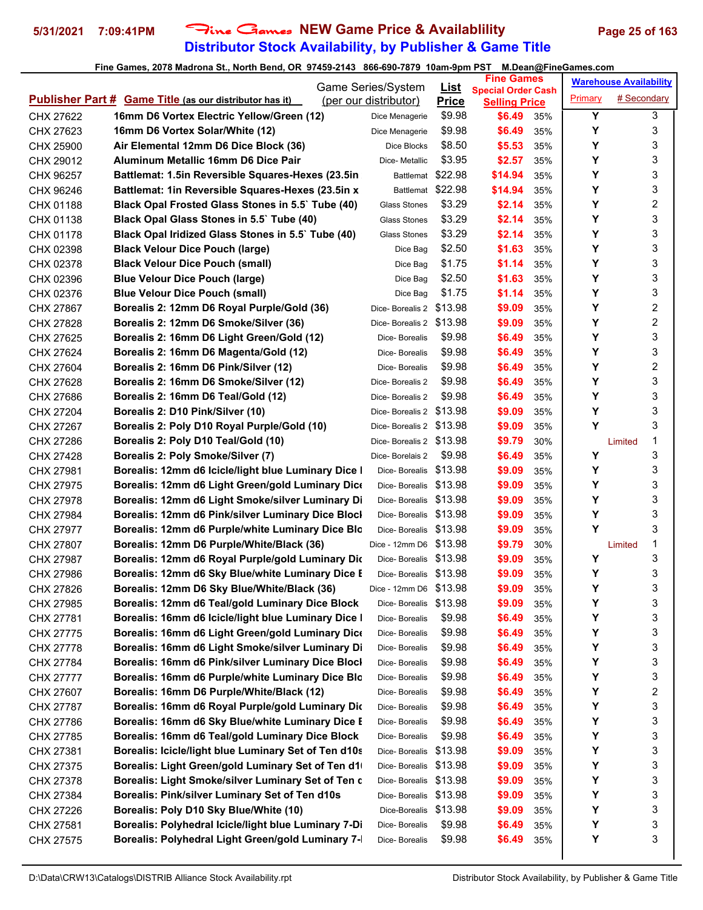## **Distributor Stock Availability, by Publisher & Game Title 5/31/2021 7:09:41PM** Fine Games **NEW Game Price & Availablility Page 25 of 163**

|           |                                                                | Game Series/System      |                             | <b>Fine Games</b>                                 |     |         | <b>Warehouse Availability</b> |   |
|-----------|----------------------------------------------------------------|-------------------------|-----------------------------|---------------------------------------------------|-----|---------|-------------------------------|---|
|           | <b>Publisher Part # Game Title (as our distributor has it)</b> | (per our distributor)   | <u>List</u><br><b>Price</b> | <b>Special Order Cash</b><br><b>Selling Price</b> |     | Primary | # Secondary                   |   |
| CHX 27622 | 16mm D6 Vortex Electric Yellow/Green (12)                      | Dice Menagerie          | \$9.98                      | \$6.49                                            | 35% | Υ       |                               | 3 |
| CHX 27623 | 16mm D6 Vortex Solar/White (12)                                | Dice Menagerie          | \$9.98                      | \$6.49                                            | 35% | Υ       |                               | 3 |
| CHX 25900 | Air Elemental 12mm D6 Dice Block (36)                          | Dice Blocks             | \$8.50                      | \$5.53                                            | 35% | Υ       |                               | 3 |
| CHX 29012 | <b>Aluminum Metallic 16mm D6 Dice Pair</b>                     | Dice- Metallic          | \$3.95                      | \$2.57                                            | 35% | Υ       |                               | 3 |
| CHX 96257 | Battlemat: 1.5in Reversible Squares-Hexes (23.5in              | Battlemat               | \$22.98                     | \$14.94                                           | 35% | Υ       |                               | 3 |
| CHX 96246 | Battlemat: 1in Reversible Squares-Hexes (23.5in x              | Battlemat \$22.98       |                             | \$14.94                                           | 35% | Y       |                               | 3 |
| CHX 01188 | Black Opal Frosted Glass Stones in 5.5` Tube (40)              | Glass Stones            | \$3.29                      | \$2.14                                            | 35% | Υ       |                               | 2 |
| CHX 01138 | Black Opal Glass Stones in 5.5` Tube (40)                      | <b>Glass Stones</b>     | \$3.29                      | \$2.14                                            | 35% | Υ       |                               | 3 |
| CHX 01178 | Black Opal Iridized Glass Stones in 5.5` Tube (40)             | Glass Stones            | \$3.29                      | \$2.14                                            | 35% | Y       |                               | 3 |
| CHX 02398 | <b>Black Velour Dice Pouch (large)</b>                         | Dice Bag                | \$2.50                      | \$1.63                                            | 35% | Υ       |                               | 3 |
| CHX 02378 | <b>Black Velour Dice Pouch (small)</b>                         | Dice Bag                | \$1.75                      | \$1.14                                            | 35% | Υ       |                               | 3 |
| CHX 02396 | <b>Blue Velour Dice Pouch (large)</b>                          | Dice Bag                | \$2.50                      | \$1.63                                            | 35% | Υ       |                               | 3 |
| CHX 02376 | <b>Blue Velour Dice Pouch (small)</b>                          | Dice Bag                | \$1.75                      | \$1.14                                            | 35% | Υ       |                               | 3 |
| CHX 27867 | Borealis 2: 12mm D6 Royal Purple/Gold (36)                     | Dice-Borealis 2 \$13.98 |                             | \$9.09                                            | 35% | Υ       |                               | 2 |
| CHX 27828 | Borealis 2: 12mm D6 Smoke/Silver (36)                          | Dice-Borealis 2 \$13.98 |                             | \$9.09                                            | 35% | Y       |                               | 2 |
| CHX 27625 | Borealis 2: 16mm D6 Light Green/Gold (12)                      | Dice-Borealis           | \$9.98                      | \$6.49                                            | 35% | Y       |                               | 3 |
| CHX 27624 | Borealis 2: 16mm D6 Magenta/Gold (12)                          | Dice-Borealis           | \$9.98                      | \$6.49                                            | 35% | Υ       |                               | 3 |
| CHX 27604 | Borealis 2: 16mm D6 Pink/Silver (12)                           | Dice-Borealis           | \$9.98                      | \$6.49                                            | 35% | Υ       |                               | 2 |
| CHX 27628 | Borealis 2: 16mm D6 Smoke/Silver (12)                          | Dice-Borealis 2         | \$9.98                      | \$6.49                                            | 35% | Υ       |                               | 3 |
| CHX 27686 | Borealis 2: 16mm D6 Teal/Gold (12)                             | Dice-Borealis 2         | \$9.98                      | \$6.49                                            | 35% | Y       |                               | 3 |
| CHX 27204 | Borealis 2: D10 Pink/Silver (10)                               | Dice-Borealis 2 \$13.98 |                             | \$9.09                                            | 35% | Y       |                               | 3 |
| CHX 27267 | Borealis 2: Poly D10 Royal Purple/Gold (10)                    | Dice-Borealis 2 \$13.98 |                             | \$9.09                                            | 35% | Y       |                               | 3 |
| CHX 27286 | Borealis 2: Poly D10 Teal/Gold (10)                            | Dice-Borealis 2 \$13.98 |                             | \$9.79                                            | 30% |         | Limited                       | 1 |
| CHX 27428 | Borealis 2: Poly Smoke/Silver (7)                              | Dice-Borelais 2         | \$9.98                      | \$6.49                                            | 35% | Υ       |                               | 3 |
| CHX 27981 | Borealis: 12mm d6 Icicle/light blue Luminary Dice I            | Dice-Borealis \$13.98   |                             | \$9.09                                            | 35% | Υ       |                               | 3 |
| CHX 27975 | Borealis: 12mm d6 Light Green/gold Luminary Dice               | Dice-Borealis \$13.98   |                             | \$9.09                                            | 35% | Υ       |                               | 3 |
| CHX 27978 | Borealis: 12mm d6 Light Smoke/silver Luminary Di               | Dice-Borealis \$13.98   |                             | \$9.09                                            | 35% | Υ       |                               | 3 |
| CHX 27984 | Borealis: 12mm d6 Pink/silver Luminary Dice Blocl              | Dice-Borealis \$13.98   |                             | \$9.09                                            | 35% | Υ       |                               | 3 |
| CHX 27977 | Borealis: 12mm d6 Purple/white Luminary Dice Blo               | Dice-Borealis \$13.98   |                             | \$9.09                                            | 35% | Y       |                               | 3 |
| CHX 27807 | Borealis: 12mm D6 Purple/White/Black (36)                      | Dice - 12mm D6 \$13.98  |                             | \$9.79                                            | 30% |         | Limited                       | 1 |
| CHX 27987 | Borealis: 12mm d6 Royal Purple/gold Luminary Dic               | Dice-Borealis \$13.98   |                             | \$9.09                                            | 35% | Υ       |                               | 3 |
| CHX 27986 | Borealis: 12mm d6 Sky Blue/white Luminary Dice E               | Dice-Borealis \$13.98   |                             | \$9.09                                            | 35% | Υ       |                               | 3 |
| CHX 27826 | Borealis: 12mm D6 Sky Blue/White/Black (36)                    | Dice - 12mm D6 \$13.98  |                             | \$9.09                                            | 35% | Y       |                               | 3 |
| CHX 27985 | Borealis: 12mm d6 Teal/gold Luminary Dice Block                | Dice-Borealis \$13.98   |                             | \$9.09                                            | 35% | Y       |                               | 3 |
| CHX 27781 | Borealis: 16mm d6 Icicle/light blue Luminary Dice I            | Dice-Borealis           | \$9.98                      | \$6.49                                            | 35% | Υ       |                               | 3 |
| CHX 27775 | Borealis: 16mm d6 Light Green/gold Luminary Dice               | Dice-Borealis           | \$9.98                      | \$6.49                                            | 35% | Υ       |                               | 3 |
| CHX 27778 | Borealis: 16mm d6 Light Smoke/silver Luminary Di               | Dice-Borealis           | \$9.98                      | \$6.49                                            | 35% | Υ       |                               | 3 |
| CHX 27784 | Borealis: 16mm d6 Pink/silver Luminary Dice Blocl              | Dice- Borealis          | \$9.98                      | \$6.49                                            | 35% | Υ       |                               | 3 |
| CHX 27777 | Borealis: 16mm d6 Purple/white Luminary Dice Blo               | Dice- Borealis          | \$9.98                      | \$6.49                                            | 35% | Υ       |                               | 3 |
| CHX 27607 | Borealis: 16mm D6 Purple/White/Black (12)                      | Dice- Borealis          | \$9.98                      | \$6.49                                            | 35% | Υ       |                               | 2 |
| CHX 27787 | Borealis: 16mm d6 Royal Purple/gold Luminary Dic               | Dice-Borealis           | \$9.98                      | \$6.49                                            | 35% | Υ       |                               | 3 |
| CHX 27786 | Borealis: 16mm d6 Sky Blue/white Luminary Dice E               | Dice- Borealis          | \$9.98                      | \$6.49                                            | 35% | Υ       |                               | 3 |
| CHX 27785 | Borealis: 16mm d6 Teal/gold Luminary Dice Block                | Dice- Borealis          | \$9.98                      | \$6.49                                            | 35% | Υ       |                               | 3 |
| CHX 27381 | Borealis: Icicle/light blue Luminary Set of Ten d10s           | Dice-Borealis \$13.98   |                             | \$9.09                                            | 35% | Υ       |                               | 3 |
| CHX 27375 | Borealis: Light Green/gold Luminary Set of Ten d1              | Dice-Borealis \$13.98   |                             | \$9.09                                            | 35% | Υ       |                               | 3 |
| CHX 27378 | Borealis: Light Smoke/silver Luminary Set of Ten c             | Dice-Borealis \$13.98   |                             | \$9.09                                            | 35% | Υ       |                               | 3 |
| CHX 27384 | Borealis: Pink/silver Luminary Set of Ten d10s                 | Dice-Borealis           | \$13.98                     | \$9.09                                            | 35% | Υ       |                               | 3 |
| CHX 27226 | Borealis: Poly D10 Sky Blue/White (10)                         | Dice-Borealis           | \$13.98                     | \$9.09                                            | 35% | Υ       |                               | 3 |
| CHX 27581 | Borealis: Polyhedral Icicle/light blue Luminary 7-Di           | Dice- Borealis          | \$9.98                      | \$6.49                                            | 35% | Υ       |                               | 3 |
| CHX 27575 | Borealis: Polyhedral Light Green/gold Luminary 7-              | Dice-Borealis           | \$9.98                      | \$6.49                                            | 35% | Υ       |                               | 3 |
|           |                                                                |                         |                             |                                                   |     |         |                               |   |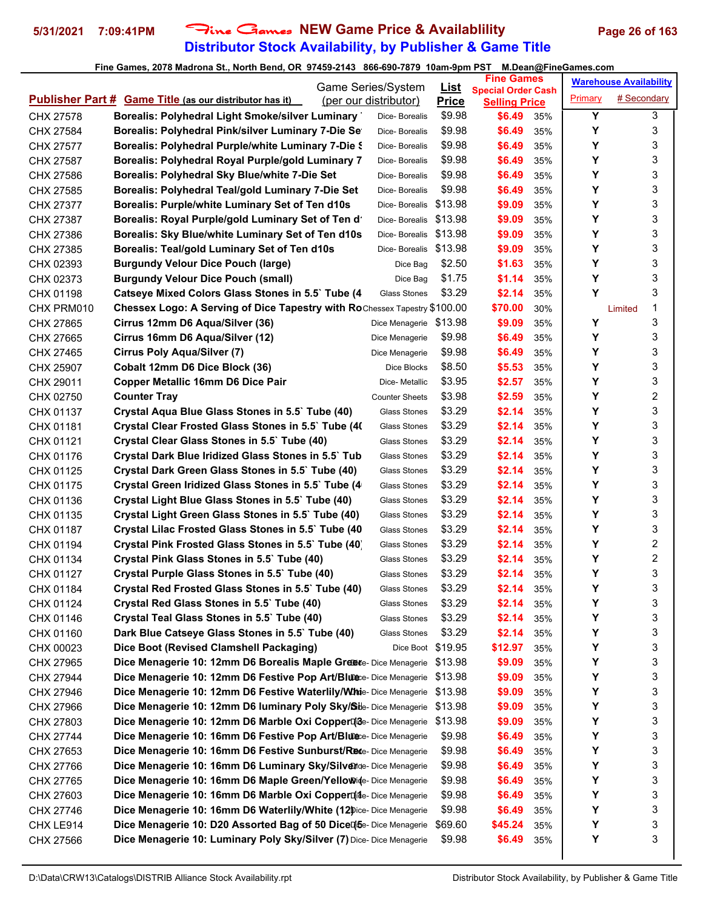## **Distributor Stock Availability, by Publisher & Game Title 5/31/2021 7:09:41PM** Fine Games **NEW Game Price & Availablility Page 26 of 163**

|            |                                                                                  | Game Series/System    | <u>List</u>  | <b>Fine Games</b>              |     |         | <b>Warehouse Availability</b> |   |
|------------|----------------------------------------------------------------------------------|-----------------------|--------------|--------------------------------|-----|---------|-------------------------------|---|
|            | <b>Publisher Part # Game Title (as our distributor has it)</b>                   | (per our distributor) | <b>Price</b> | <b>Special Order Cash</b>      |     | Primary | # Secondary                   |   |
| CHX 27578  | Borealis: Polyhedral Light Smoke/silver Luminary                                 | Dice-Borealis         | \$9.98       | <b>Selling Price</b><br>\$6.49 | 35% | Y       |                               | 3 |
| CHX 27584  | Borealis: Polyhedral Pink/silver Luminary 7-Die Se                               | Dice- Borealis        | \$9.98       | \$6.49                         | 35% | Y       |                               | 3 |
| CHX 27577  | Borealis: Polyhedral Purple/white Luminary 7-Die \$                              | Dice-Borealis         | \$9.98       | \$6.49                         | 35% | Υ       |                               | 3 |
| CHX 27587  | Borealis: Polyhedral Royal Purple/gold Luminary 7                                | Dice-Borealis         | \$9.98       | \$6.49                         | 35% | Y       |                               | 3 |
| CHX 27586  | Borealis: Polyhedral Sky Blue/white 7-Die Set                                    | Dice- Borealis        | \$9.98       | \$6.49                         | 35% | Υ       |                               | 3 |
| CHX 27585  | Borealis: Polyhedral Teal/gold Luminary 7-Die Set                                | Dice- Borealis        | \$9.98       | \$6.49                         | 35% | Υ       |                               | 3 |
| CHX 27377  | Borealis: Purple/white Luminary Set of Ten d10s                                  | Dice-Borealis         | \$13.98      | \$9.09                         | 35% | Y       |                               | 3 |
| CHX 27387  | Borealis: Royal Purple/gold Luminary Set of Ten d'                               | Dice- Borealis        | \$13.98      | \$9.09                         | 35% | Y       |                               | 3 |
| CHX 27386  | Borealis: Sky Blue/white Luminary Set of Ten d10s                                | Dice-Borealis         | \$13.98      | \$9.09                         | 35% | Y       |                               | 3 |
| CHX 27385  | Borealis: Teal/gold Luminary Set of Ten d10s                                     | Dice- Borealis        | \$13.98      | \$9.09                         | 35% | Y       |                               | 3 |
| CHX 02393  | <b>Burgundy Velour Dice Pouch (large)</b>                                        | Dice Bag              | \$2.50       | \$1.63                         | 35% | Y       |                               | 3 |
| CHX 02373  | <b>Burgundy Velour Dice Pouch (small)</b>                                        | Dice Bag              | \$1.75       | \$1.14                         | 35% | Υ       |                               | 3 |
| CHX 01198  | Catseye Mixed Colors Glass Stones in 5.5` Tube (4                                | <b>Glass Stones</b>   | \$3.29       | \$2.14                         | 35% | Y       |                               | 3 |
| CHX PRM010 | <b>Chessex Logo: A Serving of Dice Tapestry with RoChessex Tapestry \$100.00</b> |                       |              | \$70.00                        | 30% |         | Limited                       | 1 |
| CHX 27865  | Cirrus 12mm D6 Aqua/Silver (36)                                                  | Dice Menagerie        | \$13.98      | \$9.09                         | 35% | Y       |                               | 3 |
| CHX 27665  | Cirrus 16mm D6 Aqua/Silver (12)                                                  | Dice Menagerie        | \$9.98       | \$6.49                         | 35% | Y       |                               | 3 |
| CHX 27465  | Cirrus Poly Aqua/Silver (7)                                                      | Dice Menagerie        | \$9.98       | \$6.49                         | 35% | Y       |                               | 3 |
| CHX 25907  | Cobalt 12mm D6 Dice Block (36)                                                   | Dice Blocks           | \$8.50       | \$5.53                         | 35% | Y       |                               | 3 |
| CHX 29011  | <b>Copper Metallic 16mm D6 Dice Pair</b>                                         | Dice- Metallic        | \$3.95       | \$2.57                         | 35% | Υ       |                               | 3 |
| CHX 02750  | <b>Counter Tray</b>                                                              | <b>Counter Sheets</b> | \$3.98       | \$2.59                         | 35% | Υ       |                               | 2 |
| CHX 01137  | Crystal Aqua Blue Glass Stones in 5.5` Tube (40)                                 | Glass Stones          | \$3.29       | \$2.14                         | 35% | Y       |                               | 3 |
| CHX 01181  | Crystal Clear Frosted Glass Stones in 5.5` Tube (40)                             | Glass Stones          | \$3.29       | \$2.14                         | 35% | Y       |                               | 3 |
| CHX 01121  | Crystal Clear Glass Stones in 5.5` Tube (40)                                     | Glass Stones          | \$3.29       | \$2.14                         | 35% | Y       |                               | 3 |
| CHX 01176  | Crystal Dark Blue Iridized Glass Stones in 5.5` Tub                              | Glass Stones          | \$3.29       | \$2.14                         | 35% | Y       |                               | 3 |
| CHX 01125  | Crystal Dark Green Glass Stones in 5.5` Tube (40)                                | Glass Stones          | \$3.29       | \$2.14                         | 35% | Y       |                               | 3 |
| CHX 01175  | Crystal Green Iridized Glass Stones in 5.5` Tube (4)                             | Glass Stones          | \$3.29       | \$2.14                         | 35% | Υ       |                               | 3 |
| CHX 01136  | Crystal Light Blue Glass Stones in 5.5` Tube (40)                                | <b>Glass Stones</b>   | \$3.29       | \$2.14                         | 35% | Υ       |                               | 3 |
| CHX 01135  | Crystal Light Green Glass Stones in 5.5` Tube (40)                               | Glass Stones          | \$3.29       | \$2.14                         | 35% | Y       |                               | 3 |
| CHX 01187  | Crystal Lilac Frosted Glass Stones in 5.5` Tube (40)                             | Glass Stones          | \$3.29       | \$2.14                         | 35% | Y       |                               | 3 |
| CHX 01194  | Crystal Pink Frosted Glass Stones in 5.5` Tube (40)                              | Glass Stones          | \$3.29       | \$2.14                         | 35% | Y       |                               | 2 |
| CHX 01134  | Crystal Pink Glass Stones in 5.5` Tube (40)                                      | Glass Stones          | \$3.29       | \$2.14                         | 35% | Υ       |                               | 2 |
| CHX 01127  | Crystal Purple Glass Stones in 5.5` Tube (40)                                    | Glass Stones          | \$3.29       | \$2.14                         | 35% | Υ       |                               | 3 |
| CHX 01184  | Crystal Red Frosted Glass Stones in 5.5` Tube (40)                               | Glass Stones          | \$3.29       | \$2.14                         | 35% | Y       |                               | 3 |
| CHX 01124  | Crystal Red Glass Stones in 5.5` Tube (40)                                       | Glass Stones          | \$3.29       | \$2.14                         | 35% | Υ       |                               | 3 |
| CHX 01146  | Crystal Teal Glass Stones in 5.5' Tube (40)                                      | Glass Stones          | \$3.29       | \$2.14                         | 35% | Υ       |                               | 3 |
| CHX 01160  | Dark Blue Catseye Glass Stones in 5.5` Tube (40)                                 | <b>Glass Stones</b>   | \$3.29       | \$2.14                         | 35% | Υ       |                               | 3 |
| CHX 00023  | Dice Boot (Revised Clamshell Packaging)                                          | Dice Boot \$19.95     |              | \$12.97                        | 35% | Υ       |                               | 3 |
| CHX 27965  | Dice Menagerie 10: 12mm D6 Borealis Maple Greete- Dice Menagerie                 |                       | \$13.98      | \$9.09                         | 35% | Υ       |                               | 3 |
| CHX 27944  | Dice Menagerie 10: 12mm D6 Festive Pop Art/Blute:- Dice Menagerie                |                       | \$13.98      | \$9.09                         | 35% | Υ       |                               | 3 |
| CHX 27946  | Dice Menagerie 10: 12mm D6 Festive Waterlily/Whie- Dice Menagerie                |                       | \$13.98      | \$9.09                         | 35% | Υ       |                               | 3 |
| CHX 27966  | Dice Menagerie 10: 12mm D6 luminary Poly Sky/Sile-Dice Menagerie                 |                       | \$13.98      | \$9.09                         | 35% | Υ       |                               | 3 |
| CHX 27803  | Dice Menagerie 10: 12mm D6 Marble Oxi CopperDiae-Dice Menagerie                  |                       | \$13.98      | \$9.09                         | 35% | Υ       |                               | 3 |
| CHX 27744  | Dice Menagerie 10: 16mm D6 Festive Pop Art/Bluece- Dice Menagerie                |                       | \$9.98       | \$6.49                         | 35% | Υ       |                               | 3 |
| CHX 27653  | Dice Menagerie 10: 16mm D6 Festive Sunburst/Rece- Dice Menagerie                 |                       | \$9.98       | \$6.49                         | 35% | Υ       |                               | 3 |
| CHX 27766  | Dice Menagerie 10: 16mm D6 Luminary Sky/Silvende- Dice Menagerie                 |                       | \$9.98       | \$6.49                         | 35% | Υ       |                               | 3 |
| CHX 27765  | Dice Menagerie 10: 16mm D6 Maple Green/Yellowide- Dice Menagerie                 |                       | \$9.98       | \$6.49                         | 35% | Υ       |                               | 3 |
| CHX 27603  | Dice Menagerie 10: 16mm D6 Marble Oxi CopperDide- Dice Menagerie                 |                       | \$9.98       | \$6.49                         | 35% | Υ       |                               | 3 |
| CHX 27746  | Dice Menagerie 10: 16mm D6 Waterlily/White (12 pice-Dice Menagerie               |                       | \$9.98       | \$6.49                         | 35% | Υ       |                               | 3 |
| CHX LE914  | Dice Menagerie 10: D20 Assorted Bag of 50 DiceDise-Dice Menagerie                |                       | \$69.60      | \$45.24                        | 35% | Υ       |                               | 3 |
| CHX 27566  | Dice Menagerie 10: Luminary Poly Sky/Silver (7) Dice- Dice Menagerie             |                       | \$9.98       | \$6.49                         | 35% | Υ       |                               | 3 |
|            |                                                                                  |                       |              |                                |     |         |                               |   |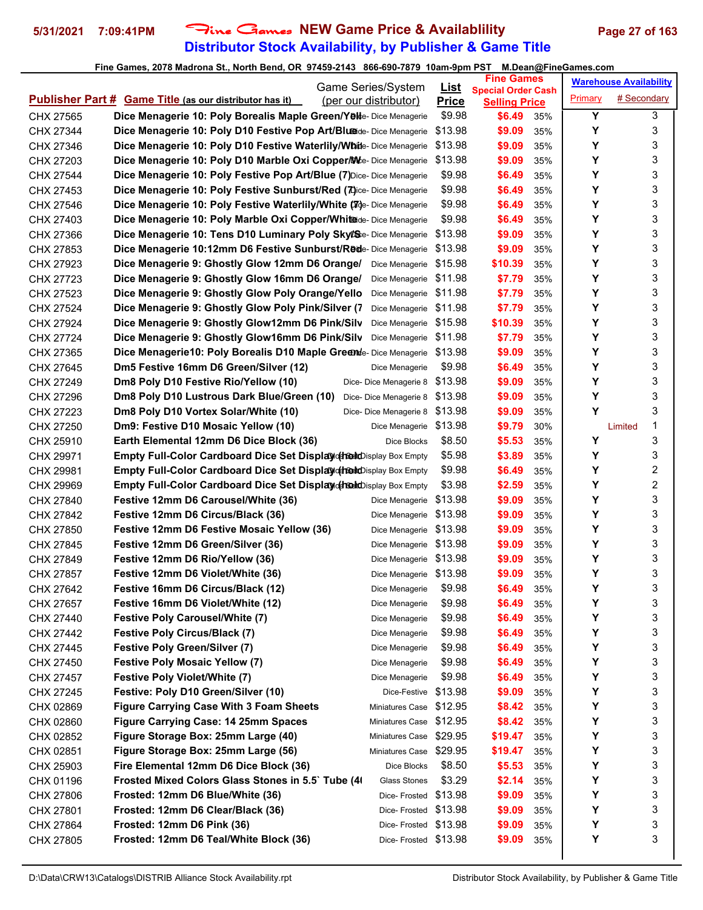## **Distributor Stock Availability, by Publisher & Game Title 5/31/2021 7:09:41PM** Fine Games **NEW Game Price & Availablility Page 27 of 163**

| Game Series/System                                                                      | <u>List</u>  | <b>Fine Games</b>                                 |     |         | <b>Warehouse Availability</b> |
|-----------------------------------------------------------------------------------------|--------------|---------------------------------------------------|-----|---------|-------------------------------|
| <b>Publisher Part # Game Title (as our distributor has it)</b><br>(per our distributor) | <b>Price</b> | <b>Special Order Cash</b><br><b>Selling Price</b> |     | Primary | # Secondary                   |
| Dice Menagerie 10: Poly Borealis Maple Green/Yelle- Dice Menagerie<br>CHX 27565         | \$9.98       | \$6.49                                            | 35% | Υ       | 3                             |
| Dice Menagerie 10: Poly D10 Festive Pop Art/Bluede- Dice Menagerie<br>CHX 27344         | \$13.98      | \$9.09                                            | 35% | Υ       | 3                             |
| Dice Menagerie 10: Poly D10 Festive Waterlily/Whitle- Dice Menagerie<br>CHX 27346       | \$13.98      | \$9.09                                            | 35% | Υ       | 3                             |
| Dice Menagerie 10: Poly D10 Marble Oxi Copper/Me-Dice Menagerie<br>CHX 27203            | \$13.98      | \$9.09                                            | 35% | Υ       | 3                             |
| Dice Menagerie 10: Poly Festive Pop Art/Blue (7) Dice- Dice Menagerie<br>CHX 27544      | \$9.98       | \$6.49                                            | 35% | Υ       | 3                             |
| Dice Menagerie 10: Poly Festive Sunburst/Red (7)ice- Dice Menagerie<br>CHX 27453        | \$9.98       | \$6.49                                            | 35% | Υ       | 3                             |
| Dice Menagerie 10: Poly Festive Waterlily/White (Nge-Dice Menagerie<br>CHX 27546        | \$9.98       | \$6.49                                            | 35% | Υ       | 3                             |
| Dice Menagerie 10: Poly Marble Oxi Copper/Whitede- Dice Menagerie<br>CHX 27403          | \$9.98       | \$6.49                                            | 35% | Υ       | 3                             |
| Dice Menagerie 10: Tens D10 Luminary Poly Skytse- Dice Menagerie<br>CHX 27366           | \$13.98      | \$9.09                                            | 35% | Υ       | 3                             |
| Dice Menagerie 10:12mm D6 Festive Sunburst/Rede-Dice Menagerie<br>CHX 27853             | \$13.98      | \$9.09                                            | 35% | Υ       | 3                             |
| Dice Menagerie 9: Ghostly Glow 12mm D6 Orange/<br>CHX 27923<br>Dice Menagerie           | \$15.98      | \$10.39                                           | 35% | Υ       | 3                             |
| Dice Menagerie 9: Ghostly Glow 16mm D6 Orange/<br>CHX 27723<br>Dice Menagerie           | \$11.98      | \$7.79                                            | 35% | Υ       | 3                             |
| Dice Menagerie 9: Ghostly Glow Poly Orange/Yello<br>Dice Menagerie<br>CHX 27523         | \$11.98      | \$7.79                                            | 35% | Υ       | 3                             |
| Dice Menagerie 9: Ghostly Glow Poly Pink/Silver (7)<br>Dice Menagerie<br>CHX 27524      | \$11.98      | \$7.79                                            | 35% | Υ       | 3                             |
| Dice Menagerie 9: Ghostly Glow12mm D6 Pink/Silv<br>CHX 27924<br>Dice Menagerie          | \$15.98      | \$10.39                                           | 35% | Υ       | 3                             |
| Dice Menagerie 9: Ghostly Glow16mm D6 Pink/Silv<br>CHX 27724<br>Dice Menagerie          | \$11.98      | \$7.79                                            | 35% | Υ       | 3                             |
| Dice Menagerie10: Poly Borealis D10 Maple Greente- Dice Menagerie<br>CHX 27365          | \$13.98      | \$9.09                                            | 35% | Υ       | 3                             |
| Dm5 Festive 16mm D6 Green/Silver (12)<br>CHX 27645<br>Dice Menagerie                    | \$9.98       | \$6.49                                            | 35% | Υ       | 3                             |
| Dm8 Poly D10 Festive Rio/Yellow (10)<br>CHX 27249<br>Dice-Dice Menagerie 8              | \$13.98      | \$9.09                                            | 35% | Υ       | 3                             |
| Dm8 Poly D10 Lustrous Dark Blue/Green (10)<br>Dice-Dice Menagerie 8<br>CHX 27296        | \$13.98      | \$9.09                                            | 35% | Υ       | 3                             |
| Dm8 Poly D10 Vortex Solar/White (10)<br>CHX 27223<br>Dice-Dice Menagerie 8              | \$13.98      | \$9.09                                            | 35% | Y       | 3                             |
| Dm9: Festive D10 Mosaic Yellow (10)<br>CHX 27250<br>Dice Menagerie                      | \$13.98      | \$9.79                                            | 30% |         | 1<br>Limited                  |
| CHX 25910<br>Earth Elemental 12mm D6 Dice Block (36)<br>Dice Blocks                     | \$8.50       | \$5.53                                            | 35% | Y       | 3                             |
| Empty Full-Color Cardboard Dice Set Display of redictionary Box Empty<br>CHX 29971      | \$5.98       | \$3.89                                            | 35% | Y       | 3                             |
| Empty Full-Color Cardboard Dice Set Display of redictionary Box Empty<br>CHX 29981      | \$9.98       | \$6.49                                            | 35% | Υ       | 2                             |
| Empty Full-Color Cardboard Dice Set Display of Rodroisplay Box Empty<br>CHX 29969       | \$3.98       | \$2.59                                            | 35% | Υ       | 2                             |
| Festive 12mm D6 Carousel/White (36)<br>CHX 27840<br>Dice Menagerie                      | \$13.98      | \$9.09                                            | 35% | Υ       | 3                             |
| Festive 12mm D6 Circus/Black (36)<br>Dice Menagerie<br>CHX 27842                        | \$13.98      | \$9.09                                            | 35% | Υ       | 3                             |
| Festive 12mm D6 Festive Mosaic Yellow (36)<br>CHX 27850<br>Dice Menagerie               | \$13.98      | \$9.09                                            | 35% | Υ       | 3                             |
| Festive 12mm D6 Green/Silver (36)<br>CHX 27845<br>Dice Menagerie                        | \$13.98      | \$9.09                                            | 35% | Υ       | 3                             |
| Festive 12mm D6 Rio/Yellow (36)<br>Dice Menagerie \$13.98<br>CHX 27849                  |              | \$9.09                                            | 35% | Υ       | 3                             |
| Festive 12mm D6 Violet/White (36)<br>Dice Menagerie \$13.98<br>CHX 27857                |              | \$9.09                                            | 35% | Υ       | 3                             |
| Festive 16mm D6 Circus/Black (12)<br>CHX 27642<br>Dice Menagerie                        | \$9.98       | \$6.49                                            | 35% | Υ       | 3                             |
| Festive 16mm D6 Violet/White (12)<br>CHX 27657<br>Dice Menagerie                        | \$9.98       | \$6.49                                            | 35% | Υ       | 3                             |
| <b>Festive Poly Carousel/White (7)</b><br>CHX 27440<br>Dice Menagerie                   | \$9.98       | \$6.49                                            | 35% | Υ       | 3                             |
| <b>Festive Poly Circus/Black (7)</b><br>CHX 27442<br>Dice Menagerie                     | \$9.98       | \$6.49                                            | 35% | Y       | 3                             |
| <b>Festive Poly Green/Silver (7)</b><br>CHX 27445<br>Dice Menagerie                     | \$9.98       | \$6.49                                            | 35% | Y       | 3                             |
| <b>Festive Poly Mosaic Yellow (7)</b><br>CHX 27450<br>Dice Menagerie                    | \$9.98       | \$6.49                                            | 35% | Υ       | 3                             |
| <b>Festive Poly Violet/White (7)</b><br>CHX 27457<br>Dice Menagerie                     | \$9.98       | \$6.49                                            | 35% | Υ       | 3                             |
| Festive: Poly D10 Green/Silver (10)<br>CHX 27245<br>Dice-Festive                        | \$13.98      | \$9.09                                            | 35% | Υ       | 3                             |
| <b>Figure Carrying Case With 3 Foam Sheets</b><br>CHX 02869<br>Miniatures Case          | \$12.95      | \$8.42                                            | 35% | Υ       | 3                             |
| Figure Carrying Case: 14 25mm Spaces<br>CHX 02860<br>Miniatures Case                    | \$12.95      | \$8.42                                            | 35% | Υ       | 3                             |
| Figure Storage Box: 25mm Large (40)<br>CHX 02852<br>Miniatures Case                     | \$29.95      | \$19.47                                           | 35% | Y       | 3                             |
| Figure Storage Box: 25mm Large (56)<br>Miniatures Case \$29.95<br>CHX 02851             |              | \$19.47                                           | 35% | Υ       | 3                             |
| Fire Elemental 12mm D6 Dice Block (36)<br>Dice Blocks<br>CHX 25903                      | \$8.50       | \$5.53                                            | 35% | Υ       | 3                             |
| Frosted Mixed Colors Glass Stones in 5.5` Tube (4)<br>CHX 01196<br>Glass Stones         | \$3.29       | \$2.14                                            | 35% | Y       | 3                             |
| Frosted: 12mm D6 Blue/White (36)<br>CHX 27806<br>Dice- Frosted                          | \$13.98      | \$9.09                                            | 35% | Υ       | 3                             |
| Frosted: 12mm D6 Clear/Black (36)<br>Dice-Frosted \$13.98<br>CHX 27801                  |              | \$9.09                                            | 35% | Υ       | 3                             |
| Frosted: 12mm D6 Pink (36)<br>Dice-Frosted \$13.98<br>CHX 27864                         |              | \$9.09                                            | 35% | Υ       | 3                             |
| Frosted: 12mm D6 Teal/White Block (36)<br>Dice-Frosted \$13.98<br>CHX 27805             |              | \$9.09                                            | 35% | Y       | 3                             |
|                                                                                         |              |                                                   |     |         |                               |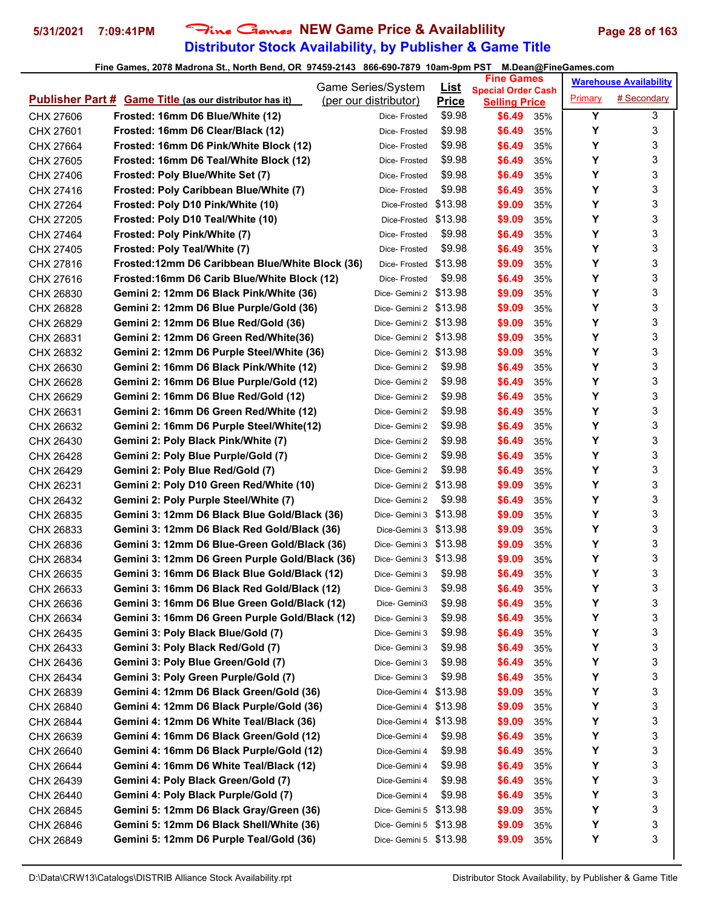## **Distributor Stock Availability, by Publisher & Game Title 5/31/2021 7:09:41PM** Fine Games **NEW Game Price & Availablility Page 28 of 163**

|           |                                                                | <b>Game Series/System</b> | <u>List</u>  | <b>Fine Games</b>                                 |     |         | <b>Warehouse Availability</b> |
|-----------|----------------------------------------------------------------|---------------------------|--------------|---------------------------------------------------|-----|---------|-------------------------------|
|           | <b>Publisher Part # Game Title (as our distributor has it)</b> | (per our distributor)     | <b>Price</b> | <b>Special Order Cash</b><br><b>Selling Price</b> |     | Primary | # Secondary                   |
| CHX 27606 | Frosted: 16mm D6 Blue/White (12)                               | Dice-Frosted              | \$9.98       | \$6.49                                            | 35% | Y       | 3                             |
| CHX 27601 | Frosted: 16mm D6 Clear/Black (12)                              | Dice-Frosted              | \$9.98       | \$6.49                                            | 35% | Y       | 3                             |
| CHX 27664 | Frosted: 16mm D6 Pink/White Block (12)                         | Dice- Frosted             | \$9.98       | \$6.49                                            | 35% | Υ       | 3                             |
| CHX 27605 | Frosted: 16mm D6 Teal/White Block (12)                         | Dice-Frosted              | \$9.98       | \$6.49                                            | 35% | Y       | 3                             |
| CHX 27406 | Frosted: Poly Blue/White Set (7)                               | Dice-Frosted              | \$9.98       | \$6.49                                            | 35% | Y       | 3                             |
| CHX 27416 | Frosted: Poly Caribbean Blue/White (7)                         | Dice-Frosted              | \$9.98       | \$6.49                                            | 35% | Υ       | 3                             |
| CHX 27264 | Frosted: Poly D10 Pink/White (10)                              | Dice-Frosted              | \$13.98      | \$9.09                                            | 35% | Υ       | 3                             |
| CHX 27205 | Frosted: Poly D10 Teal/White (10)                              | Dice-Frosted \$13.98      |              | \$9.09                                            | 35% | Υ       | 3                             |
| CHX 27464 | Frosted: Poly Pink/White (7)                                   | Dice- Frosted             | \$9.98       | \$6.49                                            | 35% | Y       | 3                             |
| CHX 27405 | Frosted: Poly Teal/White (7)                                   | Dice-Frosted              | \$9.98       | \$6.49                                            | 35% | Υ       | 3                             |
| CHX 27816 | Frosted:12mm D6 Caribbean Blue/White Block (36)                | Dice-Frosted \$13.98      |              | \$9.09                                            | 35% | Y       | 3                             |
| CHX 27616 | Frosted:16mm D6 Carib Blue/White Block (12)                    | Dice-Frosted              | \$9.98       | \$6.49                                            | 35% | Y       | 3                             |
| CHX 26830 | Gemini 2: 12mm D6 Black Pink/White (36)                        | Dice-Gemini 2 \$13.98     |              | \$9.09                                            | 35% | Υ       | 3                             |
| CHX 26828 | Gemini 2: 12mm D6 Blue Purple/Gold (36)                        | Dice-Gemini 2 \$13.98     |              | \$9.09                                            | 35% | Υ       | 3                             |
| CHX 26829 | Gemini 2: 12mm D6 Blue Red/Gold (36)                           | Dice-Gemini 2 \$13.98     |              | \$9.09                                            | 35% | Y       | 3                             |
| CHX 26831 | Gemini 2: 12mm D6 Green Red/White(36)                          | Dice-Gemini 2 \$13.98     |              | \$9.09                                            | 35% | Υ       | 3                             |
| CHX 26832 | Gemini 2: 12mm D6 Purple Steel/White (36)                      | Dice-Gemini 2 \$13.98     |              | \$9.09                                            | 35% | Υ       | 3                             |
| CHX 26630 | Gemini 2: 16mm D6 Black Pink/White (12)                        | Dice- Gemini 2            | \$9.98       | \$6.49                                            | 35% | Υ       | 3                             |
| CHX 26628 | Gemini 2: 16mm D6 Blue Purple/Gold (12)                        | Dice- Gemini 2            | \$9.98       | \$6.49                                            | 35% | Y       | 3                             |
| CHX 26629 | Gemini 2: 16mm D6 Blue Red/Gold (12)                           | Dice- Gemini 2            | \$9.98       | \$6.49                                            | 35% | Y       | 3                             |
| CHX 26631 | Gemini 2: 16mm D6 Green Red/White (12)                         | Dice- Gemini 2            | \$9.98       | \$6.49                                            | 35% | Y       | 3                             |
| CHX 26632 | Gemini 2: 16mm D6 Purple Steel/White(12)                       | Dice- Gemini 2            | \$9.98       | \$6.49                                            | 35% | Υ       | 3                             |
| CHX 26430 | Gemini 2: Poly Black Pink/White (7)                            | Dice- Gemini 2            | \$9.98       | \$6.49                                            | 35% | Y       | 3                             |
| CHX 26428 | Gemini 2: Poly Blue Purple/Gold (7)                            | Dice- Gemini 2            | \$9.98       | \$6.49                                            | 35% | Υ       | 3                             |
| CHX 26429 | Gemini 2: Poly Blue Red/Gold (7)                               | Dice- Gemini 2            | \$9.98       | \$6.49                                            | 35% | Υ       | 3                             |
| CHX 26231 | Gemini 2: Poly D10 Green Red/White (10)                        | Dice-Gemini 2 \$13.98     |              | \$9.09                                            | 35% | Y       | 3                             |
| CHX 26432 | Gemini 2: Poly Purple Steel/White (7)                          | Dice- Gemini 2            | \$9.98       | \$6.49                                            | 35% | Y       | 3                             |
| CHX 26835 | Gemini 3: 12mm D6 Black Blue Gold/Black (36)                   | Dice- Gemini 3 \$13.98    |              | \$9.09                                            | 35% | Υ       | 3                             |
| CHX 26833 | Gemini 3: 12mm D6 Black Red Gold/Black (36)                    | Dice-Gemini 3 \$13.98     |              | \$9.09                                            | 35% | Υ       | 3                             |
| CHX 26836 | Gemini 3: 12mm D6 Blue-Green Gold/Black (36)                   | Dice-Gemini 3 \$13.98     |              | \$9.09                                            | 35% | Y       | 3                             |
| CHX 26834 | Gemini 3: 12mm D6 Green Purple Gold/Black (36)                 | Dice-Gemini 3 \$13.98     |              | \$9.09                                            | 35% | Υ       | 3                             |
| CHX 26635 | Gemini 3: 16mm D6 Black Blue Gold/Black (12)                   | Dice- Gemini 3            | \$9.98       | \$6.49                                            | 35% | Υ       | 3                             |
| CHX 26633 | Gemini 3: 16mm D6 Black Red Gold/Black (12)                    | Dice- Gemini 3            | \$9.98       | \$6.49                                            | 35% | Y       | 3                             |
| CHX 26636 | Gemini 3: 16mm D6 Blue Green Gold/Black (12)                   | Dice- Gemini3             | \$9.98       | \$6.49                                            | 35% | Υ       | 3                             |
| CHX 26634 | Gemini 3: 16mm D6 Green Purple Gold/Black (12)                 | Dice- Gemini 3            | \$9.98       | \$6.49                                            | 35% | Υ       | 3                             |
| CHX 26435 | Gemini 3: Poly Black Blue/Gold (7)                             | Dice- Gemini 3            | \$9.98       | \$6.49                                            | 35% | Υ       | 3                             |
| CHX 26433 | Gemini 3: Poly Black Red/Gold (7)                              | Dice- Gemini 3            | \$9.98       | \$6.49                                            | 35% | Υ       | 3                             |
| CHX 26436 | Gemini 3: Poly Blue Green/Gold (7)                             | Dice- Gemini 3            | \$9.98       | \$6.49                                            | 35% | Υ       | 3                             |
| CHX 26434 | Gemini 3: Poly Green Purple/Gold (7)                           | Dice- Gemini 3            | \$9.98       | \$6.49                                            | 35% | Υ       | 3                             |
| CHX 26839 | Gemini 4: 12mm D6 Black Green/Gold (36)                        | Dice-Gemini 4             | \$13.98      | \$9.09                                            | 35% | Υ       | 3                             |
| CHX 26840 | Gemini 4: 12mm D6 Black Purple/Gold (36)                       | Dice-Gemini 4 \$13.98     |              | \$9.09                                            | 35% | Υ       | 3                             |
| CHX 26844 | Gemini 4: 12mm D6 White Teal/Black (36)                        | Dice-Gemini 4 \$13.98     |              | \$9.09                                            | 35% | Υ       | 3                             |
| CHX 26639 | Gemini 4: 16mm D6 Black Green/Gold (12)                        | Dice-Gemini 4             | \$9.98       | \$6.49                                            | 35% | Υ       | 3                             |
| CHX 26640 | Gemini 4: 16mm D6 Black Purple/Gold (12)                       | Dice-Gemini 4             | \$9.98       | \$6.49                                            | 35% | Υ       | 3                             |
| CHX 26644 | Gemini 4: 16mm D6 White Teal/Black (12)                        | Dice-Gemini 4             | \$9.98       | \$6.49                                            | 35% | Υ       | 3                             |
| CHX 26439 | Gemini 4: Poly Black Green/Gold (7)                            | Dice-Gemini 4             | \$9.98       | \$6.49                                            | 35% | Υ       | 3                             |
| CHX 26440 | Gemini 4: Poly Black Purple/Gold (7)                           | Dice-Gemini 4             | \$9.98       | \$6.49                                            | 35% | Υ       | 3                             |
| CHX 26845 | Gemini 5: 12mm D6 Black Gray/Green (36)                        | Dice-Gemini 5 \$13.98     |              | \$9.09                                            | 35% | Υ       | 3                             |
| CHX 26846 | Gemini 5: 12mm D6 Black Shell/White (36)                       | Dice-Gemini 5 \$13.98     |              | \$9.09                                            | 35% | Υ       | 3                             |
| CHX 26849 | Gemini 5: 12mm D6 Purple Teal/Gold (36)                        | Dice-Gemini 5 \$13.98     |              | \$9.09                                            | 35% | Υ       | 3                             |
|           |                                                                |                           |              |                                                   |     |         |                               |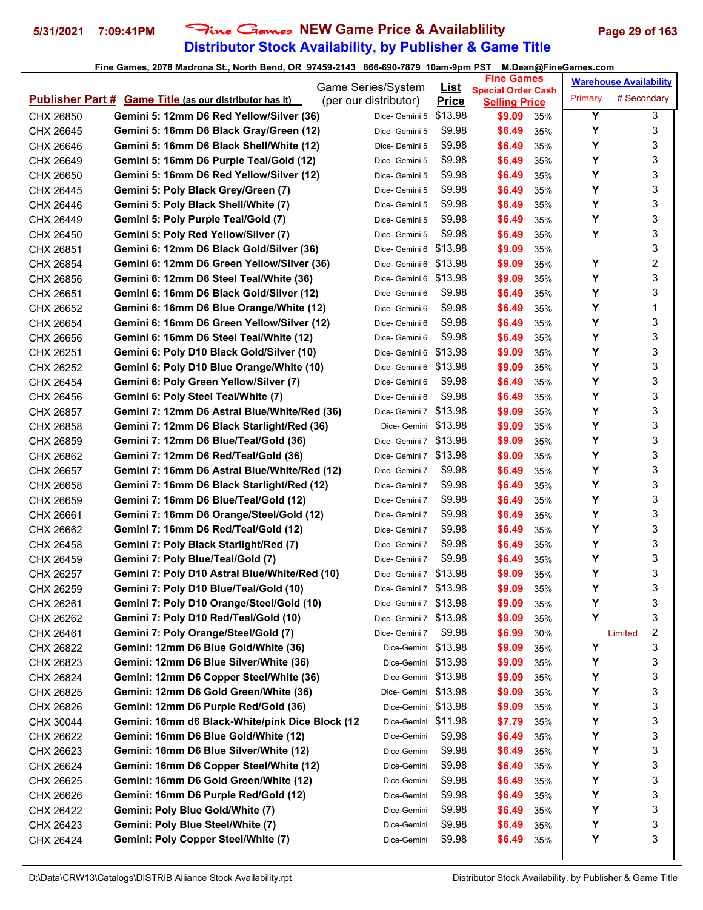## **Distributor Stock Availability, by Publisher & Game Title** 5/31/2021 7:09:41PM Fine Games NEW Game Price & Availablility Page 29 of 163

|           |                                                                | Game Series/System     | <u>List</u>  | <b>Fine Games</b>                                 |     |         | <b>Warehouse Availability</b> |                         |
|-----------|----------------------------------------------------------------|------------------------|--------------|---------------------------------------------------|-----|---------|-------------------------------|-------------------------|
|           | <b>Publisher Part # Game Title (as our distributor has it)</b> | (per our distributor)  | <b>Price</b> | <b>Special Order Cash</b><br><b>Selling Price</b> |     | Primary | # Secondary                   |                         |
| CHX 26850 | Gemini 5: 12mm D6 Red Yellow/Silver (36)                       | Dice- Gemini 5         | \$13.98      | \$9.09                                            | 35% | Y       |                               | 3                       |
| CHX 26645 | Gemini 5: 16mm D6 Black Gray/Green (12)                        | Dice- Gemini 5         | \$9.98       | \$6.49                                            | 35% | Y       |                               | 3                       |
| CHX 26646 | Gemini 5: 16mm D6 Black Shell/White (12)                       | Dice-Demini 5          | \$9.98       | \$6.49                                            | 35% | Υ       |                               | 3                       |
| CHX 26649 | Gemini 5: 16mm D6 Purple Teal/Gold (12)                        | Dice- Gemini 5         | \$9.98       | \$6.49                                            | 35% | Y       |                               | 3                       |
| CHX 26650 | Gemini 5: 16mm D6 Red Yellow/Silver (12)                       | Dice- Gemini 5         | \$9.98       | \$6.49                                            | 35% | Y       |                               | 3                       |
| CHX 26445 | Gemini 5: Poly Black Grey/Green (7)                            | Dice- Gemini 5         | \$9.98       | \$6.49                                            | 35% | Y       |                               | 3                       |
| CHX 26446 | Gemini 5: Poly Black Shell/White (7)                           | Dice- Gemini 5         | \$9.98       | \$6.49                                            | 35% | Y       |                               | 3                       |
| CHX 26449 | Gemini 5: Poly Purple Teal/Gold (7)                            | Dice- Gemini 5         | \$9.98       | \$6.49                                            | 35% | Υ       |                               | 3                       |
| CHX 26450 | Gemini 5: Poly Red Yellow/Silver (7)                           | Dice- Gemini 5         | \$9.98       | \$6.49                                            | 35% | Y       |                               | 3                       |
| CHX 26851 | Gemini 6: 12mm D6 Black Gold/Silver (36)                       | Dice- Gemini 6 \$13.98 |              | \$9.09                                            | 35% |         |                               | 3                       |
| CHX 26854 | Gemini 6: 12mm D6 Green Yellow/Silver (36)                     | Dice- Gemini 6         | \$13.98      | \$9.09                                            | 35% | Y       |                               | 2                       |
| CHX 26856 | Gemini 6: 12mm D6 Steel Teal/White (36)                        | Dice- Gemini 6         | \$13.98      | \$9.09                                            | 35% | Y       |                               | 3                       |
| CHX 26651 | Gemini 6: 16mm D6 Black Gold/Silver (12)                       | Dice- Gemini 6         | \$9.98       | \$6.49                                            | 35% | Υ       |                               | 3                       |
| CHX 26652 | Gemini 6: 16mm D6 Blue Orange/White (12)                       | Dice- Gemini 6         | \$9.98       | \$6.49                                            | 35% | Υ       |                               | 1                       |
| CHX 26654 | Gemini 6: 16mm D6 Green Yellow/Silver (12)                     | Dice- Gemini 6         | \$9.98       | \$6.49                                            | 35% | Y       |                               | 3                       |
| CHX 26656 | Gemini 6: 16mm D6 Steel Teal/White (12)                        | Dice- Gemini 6         | \$9.98       | \$6.49                                            | 35% | Y       |                               | 3                       |
| CHX 26251 | Gemini 6: Poly D10 Black Gold/Silver (10)                      | Dice-Gemini 6 \$13.98  |              | \$9.09                                            | 35% | Υ       |                               | 3                       |
| CHX 26252 | Gemini 6: Poly D10 Blue Orange/White (10)                      | Dice- Gemini 6         | \$13.98      | \$9.09                                            | 35% | Υ       |                               | 3                       |
| CHX 26454 | Gemini 6: Poly Green Yellow/Silver (7)                         | Dice- Gemini 6         | \$9.98       | \$6.49                                            | 35% | Y       |                               | 3                       |
| CHX 26456 | Gemini 6: Poly Steel Teal/White (7)                            | Dice- Gemini 6         | \$9.98       | \$6.49                                            | 35% | Υ       |                               | 3                       |
| CHX 26857 | Gemini 7: 12mm D6 Astral Blue/White/Red (36)                   | Dice- Gemini 7         | \$13.98      | \$9.09                                            | 35% | Υ       |                               | 3                       |
| CHX 26858 | Gemini 7: 12mm D6 Black Starlight/Red (36)                     | Dice- Gemini \$13.98   |              | \$9.09                                            | 35% | Y       |                               | 3                       |
| CHX 26859 | Gemini 7: 12mm D6 Blue/Teal/Gold (36)                          | Dice-Gemini 7 \$13.98  |              | \$9.09                                            | 35% | Y       |                               | 3                       |
| CHX 26862 | Gemini 7: 12mm D6 Red/Teal/Gold (36)                           | Dice-Gemini 7 \$13.98  |              | \$9.09                                            | 35% | Υ       |                               | 3                       |
| CHX 26657 | Gemini 7: 16mm D6 Astral Blue/White/Red (12)                   | Dice- Gemini 7         | \$9.98       | \$6.49                                            | 35% | Y       |                               | 3                       |
| CHX 26658 | Gemini 7: 16mm D6 Black Starlight/Red (12)                     | Dice- Gemini 7         | \$9.98       | \$6.49                                            | 35% | Y       |                               | 3                       |
| CHX 26659 | Gemini 7: 16mm D6 Blue/Teal/Gold (12)                          | Dice- Gemini 7         | \$9.98       | \$6.49                                            | 35% | Υ       |                               | 3                       |
| CHX 26661 | Gemini 7: 16mm D6 Orange/Steel/Gold (12)                       | Dice- Gemini 7         | \$9.98       | \$6.49                                            | 35% | Υ       |                               | 3                       |
| CHX 26662 | Gemini 7: 16mm D6 Red/Teal/Gold (12)                           | Dice- Gemini 7         | \$9.98       | \$6.49                                            | 35% | Υ       |                               | 3                       |
| CHX 26458 | Gemini 7: Poly Black Starlight/Red (7)                         | Dice- Gemini 7         | \$9.98       | \$6.49                                            | 35% | Y       |                               | 3                       |
| CHX 26459 | Gemini 7: Poly Blue/Teal/Gold (7)                              | Dice- Gemini 7         | \$9.98       | \$6.49                                            | 35% | Υ       |                               | 3                       |
| CHX 26257 | Gemini 7: Poly D10 Astral Blue/White/Red (10)                  | Dice- Gemini 7 \$13.98 |              | \$9.09                                            | 35% | Υ       |                               | 3                       |
| CHX 26259 | Gemini 7: Poly D10 Blue/Teal/Gold (10)                         | Dice-Gemini 7 \$13.98  |              | \$9.09                                            | 35% | Υ       |                               | 3                       |
| CHX 26261 | Gemini 7: Poly D10 Orange/Steel/Gold (10)                      | Dice- Gemini 7 \$13.98 |              | \$9.09                                            | 35% | Υ       |                               | 3                       |
| CHX 26262 | Gemini 7: Poly D10 Red/Teal/Gold (10)                          | Dice-Gemini 7 \$13.98  |              | \$9.09                                            | 35% | Υ       |                               | 3                       |
| CHX 26461 | Gemini 7: Poly Orange/Steel/Gold (7)                           | Dice- Gemini 7         | \$9.98       | \$6.99                                            | 30% |         | Limited                       | $\overline{\mathbf{c}}$ |
| CHX 26822 | Gemini: 12mm D6 Blue Gold/White (36)                           | Dice-Gemini \$13.98    |              | \$9.09                                            | 35% | Υ       |                               | 3                       |
| CHX 26823 | Gemini: 12mm D6 Blue Silver/White (36)                         | Dice-Gemini \$13.98    |              | \$9.09                                            | 35% | Υ       |                               | 3                       |
| CHX 26824 | Gemini: 12mm D6 Copper Steel/White (36)                        | Dice-Gemini \$13.98    |              | \$9.09                                            | 35% | Υ       |                               | 3                       |
| CHX 26825 | Gemini: 12mm D6 Gold Green/White (36)                          | Dice- Gemini \$13.98   |              | \$9.09                                            | 35% | Υ       |                               | 3                       |
| CHX 26826 | Gemini: 12mm D6 Purple Red/Gold (36)                           | Dice-Gemini \$13.98    |              | \$9.09                                            | 35% | Y       |                               | 3                       |
| CHX 30044 | Gemini: 16mm d6 Black-White/pink Dice Block (12                | Dice-Gemini \$11.98    |              | \$7.79                                            | 35% | Υ       |                               | 3                       |
| CHX 26622 | Gemini: 16mm D6 Blue Gold/White (12)                           | Dice-Gemini            | \$9.98       | \$6.49                                            | 35% | Υ       |                               | 3                       |
| CHX 26623 | Gemini: 16mm D6 Blue Silver/White (12)                         | Dice-Gemini            | \$9.98       | \$6.49                                            | 35% | Υ       |                               | 3                       |
| CHX 26624 | Gemini: 16mm D6 Copper Steel/White (12)                        | Dice-Gemini            | \$9.98       | \$6.49                                            | 35% | Υ       |                               | 3                       |
| CHX 26625 | Gemini: 16mm D6 Gold Green/White (12)                          | Dice-Gemini            | \$9.98       | \$6.49                                            | 35% | Υ       |                               | 3                       |
| CHX 26626 | Gemini: 16mm D6 Purple Red/Gold (12)                           | Dice-Gemini            | \$9.98       | \$6.49                                            | 35% | Υ       |                               | 3                       |
| CHX 26422 | Gemini: Poly Blue Gold/White (7)                               | Dice-Gemini            | \$9.98       | \$6.49                                            | 35% | Υ       |                               | 3                       |
| CHX 26423 | Gemini: Poly Blue Steel/White (7)                              | Dice-Gemini            | \$9.98       | \$6.49                                            | 35% | Υ       |                               | 3                       |
| CHX 26424 | Gemini: Poly Copper Steel/White (7)                            | Dice-Gemini            | \$9.98       | \$6.49                                            | 35% | Y       |                               | 3                       |
|           |                                                                |                        |              |                                                   |     |         |                               |                         |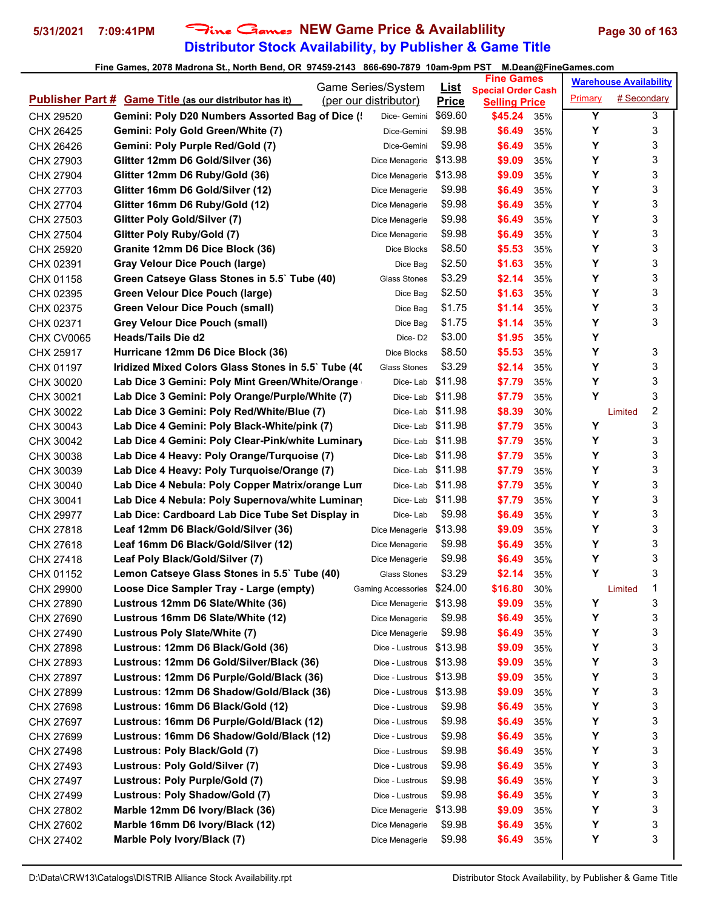## **Distributor Stock Availability, by Publisher & Game Title** 5/31/2021 7:09:41PM Fine Games NEW Game Price & Availablility Page 30 of 163

|            |                                                                | Game Series/System         |                             | <b>Fine Games</b>                                 |     |         | <b>Warehouse Availability</b> |   |
|------------|----------------------------------------------------------------|----------------------------|-----------------------------|---------------------------------------------------|-----|---------|-------------------------------|---|
|            | <b>Publisher Part # Game Title (as our distributor has it)</b> | (per our distributor)      | <u>List</u><br><b>Price</b> | <b>Special Order Cash</b><br><b>Selling Price</b> |     | Primary | # Secondary                   |   |
| CHX 29520  | Gemini: Poly D20 Numbers Assorted Bag of Dice (                | Dice- Gemini               | \$69.60                     | \$45.24                                           | 35% | Y       |                               | 3 |
| CHX 26425  | Gemini: Poly Gold Green/White (7)                              | Dice-Gemini                | \$9.98                      | \$6.49                                            | 35% | Υ       |                               | 3 |
| CHX 26426  | Gemini: Poly Purple Red/Gold (7)                               | Dice-Gemini                | \$9.98                      | \$6.49                                            | 35% | Υ       |                               | 3 |
| CHX 27903  | Glitter 12mm D6 Gold/Silver (36)                               | Dice Menagerie             | \$13.98                     | \$9.09                                            | 35% | Y       |                               | 3 |
| CHX 27904  | Glitter 12mm D6 Ruby/Gold (36)                                 | Dice Menagerie             | \$13.98                     | \$9.09                                            | 35% | Υ       |                               | 3 |
| CHX 27703  | Glitter 16mm D6 Gold/Silver (12)                               | Dice Menagerie             | \$9.98                      | \$6.49                                            | 35% | Y       |                               | 3 |
| CHX 27704  | Glitter 16mm D6 Ruby/Gold (12)                                 | Dice Menagerie             | \$9.98                      | \$6.49                                            | 35% | Υ       |                               | 3 |
| CHX 27503  | Glitter Poly Gold/Silver (7)                                   | Dice Menagerie             | \$9.98                      | \$6.49                                            | 35% | Y       |                               | 3 |
| CHX 27504  | Glitter Poly Ruby/Gold (7)                                     | Dice Menagerie             | \$9.98                      | \$6.49                                            | 35% | Y       |                               | 3 |
| CHX 25920  | Granite 12mm D6 Dice Block (36)                                | Dice Blocks                | \$8.50                      | \$5.53                                            | 35% | Y       |                               | 3 |
| CHX 02391  | <b>Gray Velour Dice Pouch (large)</b>                          | Dice Bag                   | \$2.50                      | \$1.63                                            | 35% | Y       |                               | 3 |
| CHX 01158  | Green Catseye Glass Stones in 5.5` Tube (40)                   | <b>Glass Stones</b>        | \$3.29                      | \$2.14                                            | 35% | Υ       |                               | 3 |
| CHX 02395  | <b>Green Velour Dice Pouch (large)</b>                         | Dice Bag                   | \$2.50                      | \$1.63                                            | 35% | Y       |                               | 3 |
| CHX 02375  | <b>Green Velour Dice Pouch (small)</b>                         | Dice Bag                   | \$1.75                      | \$1.14                                            | 35% | Y       |                               | 3 |
| CHX 02371  | <b>Grey Velour Dice Pouch (small)</b>                          | Dice Bag                   | \$1.75                      | \$1.14                                            | 35% | Υ       |                               | 3 |
| CHX CV0065 | <b>Heads/Tails Die d2</b>                                      | Dice-D <sub>2</sub>        | \$3.00                      | \$1.95                                            | 35% | Y       |                               |   |
| CHX 25917  | Hurricane 12mm D6 Dice Block (36)                              | Dice Blocks                | \$8.50                      | \$5.53                                            | 35% | Υ       |                               | 3 |
| CHX 01197  | Iridized Mixed Colors Glass Stones in 5.5` Tube (40)           | <b>Glass Stones</b>        | \$3.29                      | \$2.14                                            | 35% | Υ       |                               | 3 |
| CHX 30020  | Lab Dice 3 Gemini: Poly Mint Green/White/Orange                | Dice-Lab                   | \$11.98                     | \$7.79                                            | 35% | Υ       |                               | 3 |
| CHX 30021  | Lab Dice 3 Gemini: Poly Orange/Purple/White (7)                | Dice-Lab                   | \$11.98                     | \$7.79                                            | 35% | Y       |                               | 3 |
| CHX 30022  | Lab Dice 3 Gemini: Poly Red/White/Blue (7)                     | Dice- Lab \$11.98          |                             | \$8.39                                            | 30% |         | Limited                       | 2 |
| CHX 30043  | Lab Dice 4 Gemini: Poly Black-White/pink (7)                   | Dice-Lab \$11.98           |                             | \$7.79                                            | 35% | Y       |                               | 3 |
| CHX 30042  | Lab Dice 4 Gemini: Poly Clear-Pink/white Luminary              | Dice-Lab \$11.98           |                             | \$7.79                                            | 35% | Υ       |                               | 3 |
| CHX 30038  | Lab Dice 4 Heavy: Poly Orange/Turquoise (7)                    | Dice- Lab \$11.98          |                             | \$7.79                                            | 35% | Υ       |                               | 3 |
| CHX 30039  | Lab Dice 4 Heavy: Poly Turquoise/Orange (7)                    | Dice- Lab \$11.98          |                             | \$7.79                                            | 35% | Υ       |                               | 3 |
| CHX 30040  | Lab Dice 4 Nebula: Poly Copper Matrix/orange Lun               | Dice-Lab                   | \$11.98                     | \$7.79                                            | 35% | Υ       |                               | 3 |
| CHX 30041  | Lab Dice 4 Nebula: Poly Supernova/white Luminary               | Dice-Lab                   | \$11.98                     | \$7.79                                            | 35% | Y       |                               | 3 |
| CHX 29977  | Lab Dice: Cardboard Lab Dice Tube Set Display in               | Dice-Lab                   | \$9.98                      | \$6.49                                            | 35% | Υ       |                               | 3 |
| CHX 27818  | Leaf 12mm D6 Black/Gold/Silver (36)                            | Dice Menagerie             | \$13.98                     | \$9.09                                            | 35% | Y       |                               | 3 |
| CHX 27618  | Leaf 16mm D6 Black/Gold/Silver (12)                            | Dice Menagerie             | \$9.98                      | \$6.49                                            | 35% | Y       |                               | 3 |
| CHX 27418  | Leaf Poly Black/Gold/Silver (7)                                | Dice Menagerie             | \$9.98                      | \$6.49                                            | 35% | Υ       |                               | 3 |
| CHX 01152  | Lemon Catseye Glass Stones in 5.5` Tube (40)                   | Glass Stones               | \$3.29                      | \$2.14                                            | 35% | Υ       |                               | 3 |
| CHX 29900  | Loose Dice Sampler Tray - Large (empty)                        | Gaming Accessories \$24.00 |                             | \$16.80                                           | 30% |         | Limited                       | 1 |
| CHX 27890  | Lustrous 12mm D6 Slate/White (36)                              | Dice Menagerie \$13.98     |                             | \$9.09                                            | 35% | Υ       |                               | 3 |
| CHX 27690  | Lustrous 16mm D6 Slate/White (12)                              | Dice Menagerie             | \$9.98                      | \$6.49                                            | 35% | Υ       |                               | 3 |
| CHX 27490  | Lustrous Poly Slate/White (7)                                  | Dice Menagerie             | \$9.98                      | \$6.49                                            | 35% | Υ       |                               | 3 |
| CHX 27898  | Lustrous: 12mm D6 Black/Gold (36)                              | Dice - Lustrous \$13.98    |                             | \$9.09                                            | 35% | Υ       |                               | 3 |
| CHX 27893  | Lustrous: 12mm D6 Gold/Silver/Black (36)                       | Dice - Lustrous \$13.98    |                             | \$9.09                                            | 35% | Υ       |                               | 3 |
| CHX 27897  | Lustrous: 12mm D6 Purple/Gold/Black (36)                       | Dice - Lustrous \$13.98    |                             | \$9.09                                            | 35% | Υ       |                               | 3 |
| CHX 27899  | Lustrous: 12mm D6 Shadow/Gold/Black (36)                       | Dice - Lustrous            | \$13.98                     | \$9.09                                            | 35% | Υ       |                               | 3 |
| CHX 27698  | Lustrous: 16mm D6 Black/Gold (12)                              | Dice - Lustrous            | \$9.98                      | \$6.49                                            | 35% | Υ       |                               | 3 |
| CHX 27697  | Lustrous: 16mm D6 Purple/Gold/Black (12)                       | Dice - Lustrous            | \$9.98                      | \$6.49                                            | 35% | Υ       |                               | 3 |
| CHX 27699  | Lustrous: 16mm D6 Shadow/Gold/Black (12)                       | Dice - Lustrous            | \$9.98                      | \$6.49                                            | 35% | Υ       |                               | 3 |
| CHX 27498  | Lustrous: Poly Black/Gold (7)                                  | Dice - Lustrous            | \$9.98                      | \$6.49                                            | 35% | Υ       |                               | 3 |
| CHX 27493  | Lustrous: Poly Gold/Silver (7)                                 | Dice - Lustrous            | \$9.98                      | \$6.49                                            | 35% | Υ       |                               | 3 |
| CHX 27497  | Lustrous: Poly Purple/Gold (7)                                 | Dice - Lustrous            | \$9.98                      | \$6.49                                            | 35% | Υ       |                               | 3 |
| CHX 27499  | Lustrous: Poly Shadow/Gold (7)                                 | Dice - Lustrous            | \$9.98                      | \$6.49                                            | 35% | Υ       |                               | 3 |
| CHX 27802  | Marble 12mm D6 Ivory/Black (36)                                | Dice Menagerie             | \$13.98                     | \$9.09                                            | 35% | Υ       |                               | 3 |
| CHX 27602  | Marble 16mm D6 Ivory/Black (12)                                | Dice Menagerie             | \$9.98                      | \$6.49                                            | 35% | Υ       |                               | 3 |
| CHX 27402  | Marble Poly Ivory/Black (7)                                    | Dice Menagerie             | \$9.98                      | \$6.49                                            | 35% | Υ       |                               | 3 |
|            |                                                                |                            |                             |                                                   |     |         |                               |   |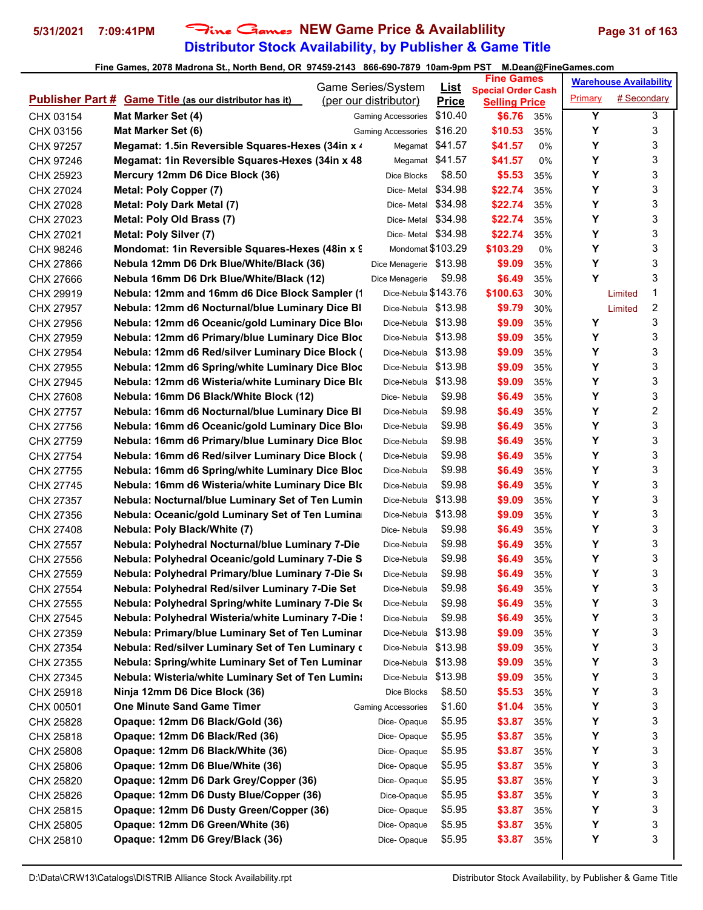## **Distributor Stock Availability, by Publisher & Game Title** 5/31/2021 7:09:41PM Fine Games NEW Game Price & Availablility Page 31 of 163

|           |                                                                | Game Series/System        | <u>List</u>     | <b>Fine Games</b>                                 |     |         | <b>Warehouse Availability</b> |   |
|-----------|----------------------------------------------------------------|---------------------------|-----------------|---------------------------------------------------|-----|---------|-------------------------------|---|
|           | <b>Publisher Part # Game Title (as our distributor has it)</b> | (per our distributor)     | <b>Price</b>    | <b>Special Order Cash</b><br><b>Selling Price</b> |     | Primary | # Secondary                   |   |
| CHX 03154 | Mat Marker Set (4)                                             | <b>Gaming Accessories</b> | \$10.40         | \$6.76                                            | 35% | Y       |                               | 3 |
| CHX 03156 | Mat Marker Set (6)                                             | Gaming Accessories        | \$16.20         | \$10.53                                           | 35% | Y       |                               | 3 |
| CHX 97257 | Megamat: 1.5in Reversible Squares-Hexes (34in x 4)             |                           | Megamat \$41.57 | \$41.57                                           | 0%  | Y       |                               | 3 |
| CHX 97246 | Megamat: 1in Reversible Squares-Hexes (34in x 48               |                           | Megamat \$41.57 | \$41.57                                           | 0%  | Y       |                               | 3 |
| CHX 25923 | Mercury 12mm D6 Dice Block (36)                                | Dice Blocks               | \$8.50          | \$5.53                                            | 35% | Y       |                               | 3 |
| CHX 27024 | Metal: Poly Copper (7)                                         | Dice-Metal \$34.98        |                 | \$22.74                                           | 35% | Y       |                               | 3 |
| CHX 27028 | Metal: Poly Dark Metal (7)                                     | Dice-Metal \$34.98        |                 | \$22.74                                           | 35% | Υ       |                               | 3 |
| CHX 27023 | Metal: Poly Old Brass (7)                                      | Dice-Metal \$34.98        |                 | \$22.74                                           | 35% | Y       |                               | 3 |
| CHX 27021 | Metal: Poly Silver (7)                                         | Dice-Metal \$34.98        |                 | \$22.74                                           | 35% | Y       |                               | 3 |
| CHX 98246 | Mondomat: 1in Reversible Squares-Hexes (48in x 9               | Mondomat \$103.29         |                 | \$103.29                                          | 0%  | Y       |                               | 3 |
| CHX 27866 | Nebula 12mm D6 Drk Blue/White/Black (36)                       | Dice Menagerie \$13.98    |                 | \$9.09                                            | 35% | Y       |                               | 3 |
| CHX 27666 | Nebula 16mm D6 Drk Blue/White/Black (12)                       | Dice Menagerie            | \$9.98          | \$6.49                                            | 35% | Y       |                               | 3 |
| CHX 29919 | Nebula: 12mm and 16mm d6 Dice Block Sampler (1                 | Dice-Nebula \$143.76      |                 | \$100.63                                          | 30% |         | Limited                       | 1 |
| CHX 27957 | Nebula: 12mm d6 Nocturnal/blue Luminary Dice BI                | Dice-Nebula \$13.98       |                 | \$9.79                                            | 30% |         | Limited                       | 2 |
| CHX 27956 | Nebula: 12mm d6 Oceanic/gold Luminary Dice Blo                 | Dice-Nebula \$13.98       |                 | \$9.09                                            | 35% | Y       |                               | 3 |
| CHX 27959 | Nebula: 12mm d6 Primary/blue Luminary Dice Bloc                | Dice-Nebula \$13.98       |                 | \$9.09                                            | 35% | Y       |                               | 3 |
| CHX 27954 | Nebula: 12mm d6 Red/silver Luminary Dice Block (               | Dice-Nebula \$13.98       |                 | \$9.09                                            | 35% | Y       |                               | 3 |
| CHX 27955 | Nebula: 12mm d6 Spring/white Luminary Dice Bloc                | Dice-Nebula \$13.98       |                 | \$9.09                                            | 35% | Y       |                               | 3 |
| CHX 27945 | Nebula: 12mm d6 Wisteria/white Luminary Dice Blo               | Dice-Nebula               | \$13.98         | \$9.09                                            | 35% | Y       |                               | 3 |
| CHX 27608 | Nebula: 16mm D6 Black/White Block (12)                         | Dice-Nebula               | \$9.98          | \$6.49                                            | 35% | Y       |                               | 3 |
| CHX 27757 | Nebula: 16mm d6 Nocturnal/blue Luminary Dice BI                | Dice-Nebula               | \$9.98          | \$6.49                                            | 35% | Υ       |                               | 2 |
| CHX 27756 | Nebula: 16mm d6 Oceanic/gold Luminary Dice Blo                 | Dice-Nebula               | \$9.98          | \$6.49                                            | 35% | Y       |                               | 3 |
| CHX 27759 | Nebula: 16mm d6 Primary/blue Luminary Dice Bloc                | Dice-Nebula               | \$9.98          | \$6.49                                            | 35% | Y       |                               | 3 |
| CHX 27754 | Nebula: 16mm d6 Red/silver Luminary Dice Block (               | Dice-Nebula               | \$9.98          | \$6.49                                            | 35% | Y       |                               | 3 |
| CHX 27755 | Nebula: 16mm d6 Spring/white Luminary Dice Bloc                | Dice-Nebula               | \$9.98          | \$6.49                                            | 35% | Y       |                               | 3 |
| CHX 27745 | Nebula: 16mm d6 Wisteria/white Luminary Dice Blo               | Dice-Nebula               | \$9.98          | \$6.49                                            | 35% | Y       |                               | 3 |
| CHX 27357 | Nebula: Nocturnal/blue Luminary Set of Ten Lumin               | Dice-Nebula               | \$13.98         | \$9.09                                            | 35% | Υ       |                               | 3 |
| CHX 27356 | Nebula: Oceanic/gold Luminary Set of Ten Lumina                | Dice-Nebula \$13.98       |                 | \$9.09                                            | 35% | Υ       |                               | 3 |
| CHX 27408 | Nebula: Poly Black/White (7)                                   | Dice-Nebula               | \$9.98          | \$6.49                                            | 35% | Y       |                               | 3 |
| CHX 27557 | Nebula: Polyhedral Nocturnal/blue Luminary 7-Die               | Dice-Nebula               | \$9.98          | \$6.49                                            | 35% | Y       |                               | 3 |
| CHX 27556 | Nebula: Polyhedral Oceanic/gold Luminary 7-Die S               | Dice-Nebula               | \$9.98          | \$6.49                                            | 35% | Υ       |                               | 3 |
| CHX 27559 | Nebula: Polyhedral Primary/blue Luminary 7-Die So              | Dice-Nebula               | \$9.98          | \$6.49                                            | 35% | Υ       |                               | 3 |
| CHX 27554 | Nebula: Polyhedral Red/silver Luminary 7-Die Set               | Dice-Nebula               | \$9.98          | \$6.49                                            | 35% | Υ       |                               | 3 |
| CHX 27555 | Nebula: Polyhedral Spring/white Luminary 7-Die So              | Dice-Nebula               | \$9.98          | \$6.49                                            | 35% | Υ       |                               | 3 |
| CHX 27545 | Nebula: Polyhedral Wisteria/white Luminary 7-Die !             | Dice-Nebula               | \$9.98          | \$6.49                                            | 35% | Υ       |                               | 3 |
| CHX 27359 | Nebula: Primary/blue Luminary Set of Ten Luminar               | Dice-Nebula \$13.98       |                 | \$9.09                                            | 35% | Y       |                               | 3 |
| CHX 27354 | Nebula: Red/silver Luminary Set of Ten Luminary o              | Dice-Nebula \$13.98       |                 | \$9.09                                            | 35% | Y       |                               | 3 |
| CHX 27355 | Nebula: Spring/white Luminary Set of Ten Luminar               | Dice-Nebula \$13.98       |                 | \$9.09                                            | 35% | Υ       |                               | 3 |
| CHX 27345 | Nebula: Wisteria/white Luminary Set of Ten Lumina              | Dice-Nebula               | \$13.98         | \$9.09                                            | 35% | Y       |                               | 3 |
| CHX 25918 | Ninja 12mm D6 Dice Block (36)                                  | Dice Blocks               | \$8.50          | \$5.53                                            | 35% | Υ       |                               | 3 |
| CHX 00501 | <b>One Minute Sand Game Timer</b>                              | <b>Gaming Accessories</b> | \$1.60          | \$1.04                                            | 35% | Y       |                               | 3 |
| CHX 25828 | Opaque: 12mm D6 Black/Gold (36)                                | Dice-Opaque               | \$5.95          | \$3.87                                            | 35% | Υ       |                               | 3 |
| CHX 25818 | Opaque: 12mm D6 Black/Red (36)                                 | Dice-Opaque               | \$5.95          | \$3.87                                            | 35% | Y       |                               | 3 |
| CHX 25808 | Opaque: 12mm D6 Black/White (36)                               | Dice-Opaque               | \$5.95          | \$3.87                                            | 35% | Υ       |                               | 3 |
| CHX 25806 | Opaque: 12mm D6 Blue/White (36)                                | Dice-Opaque               | \$5.95          | \$3.87                                            | 35% | Y       |                               | 3 |
| CHX 25820 | Opaque: 12mm D6 Dark Grey/Copper (36)                          | Dice-Opaque               | \$5.95          | \$3.87                                            | 35% | Y       |                               | 3 |
| CHX 25826 | Opaque: 12mm D6 Dusty Blue/Copper (36)                         | Dice-Opaque               | \$5.95          | \$3.87                                            | 35% | Υ       |                               | 3 |
| CHX 25815 | Opaque: 12mm D6 Dusty Green/Copper (36)                        | Dice-Opaque               | \$5.95          | \$3.87                                            | 35% | Y       |                               | 3 |
| CHX 25805 | Opaque: 12mm D6 Green/White (36)                               | Dice-Opaque               | \$5.95          | \$3.87                                            | 35% | Υ       |                               | 3 |
| CHX 25810 | Opaque: 12mm D6 Grey/Black (36)                                | Dice-Opaque               | \$5.95          | \$3.87                                            | 35% | Y       |                               | 3 |
|           |                                                                |                           |                 |                                                   |     |         |                               |   |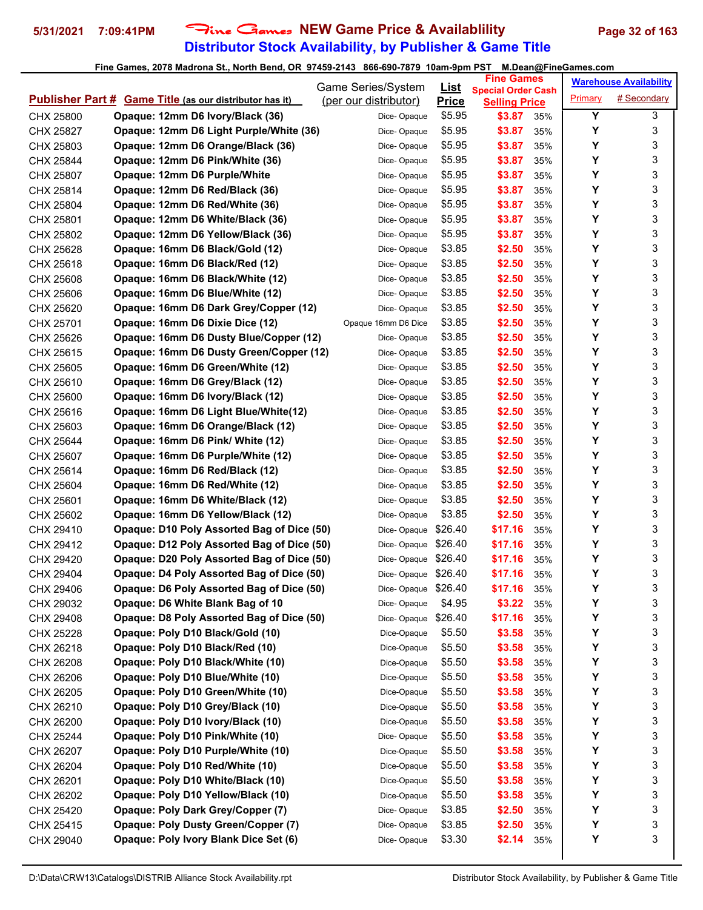## **Distributor Stock Availability, by Publisher & Game Title** 5/31/2021 7:09:41PM Fine Games NEW Game Price & Availablility Page 32 of 163

|                        |                                                                     | Game Series/System    | List         | <b>Fine Games</b>                                 |     |         | <b>Warehouse Availability</b> |
|------------------------|---------------------------------------------------------------------|-----------------------|--------------|---------------------------------------------------|-----|---------|-------------------------------|
|                        | <b>Publisher Part # Game Title (as our distributor has it)</b>      | (per our distributor) | <b>Price</b> | <b>Special Order Cash</b><br><b>Selling Price</b> |     | Primary | # Secondary                   |
| CHX 25800              | Opaque: 12mm D6 Ivory/Black (36)                                    | Dice-Opaque           | \$5.95       | \$3.87                                            | 35% | Υ       | 3                             |
| CHX 25827              | Opaque: 12mm D6 Light Purple/White (36)                             | Dice-Opaque           | \$5.95       | \$3.87                                            | 35% | Υ       | 3                             |
| CHX 25803              | Opaque: 12mm D6 Orange/Black (36)                                   | Dice-Opaque           | \$5.95       | \$3.87                                            | 35% | Y       | 3                             |
| CHX 25844              | Opaque: 12mm D6 Pink/White (36)                                     | Dice-Opaque           | \$5.95       | \$3.87                                            | 35% | Y       | 3                             |
| CHX 25807              | Opaque: 12mm D6 Purple/White                                        | Dice-Opaque           | \$5.95       | \$3.87                                            | 35% | Y       | 3                             |
| CHX 25814              | Opaque: 12mm D6 Red/Black (36)                                      | Dice-Opaque           | \$5.95       | \$3.87                                            | 35% | Υ       | 3                             |
| CHX 25804              | Opaque: 12mm D6 Red/White (36)                                      | Dice-Opaque           | \$5.95       | \$3.87                                            | 35% | Υ       | 3                             |
| CHX 25801              | Opaque: 12mm D6 White/Black (36)                                    | Dice-Opaque           | \$5.95       | \$3.87                                            | 35% | Y       | 3                             |
| CHX 25802              | Opaque: 12mm D6 Yellow/Black (36)                                   | Dice-Opaque           | \$5.95       | \$3.87                                            | 35% | Υ       | 3                             |
| CHX 25628              | Opaque: 16mm D6 Black/Gold (12)                                     | Dice-Opaque           | \$3.85       | \$2.50                                            | 35% | Y       | 3                             |
| CHX 25618              | Opaque: 16mm D6 Black/Red (12)                                      | Dice-Opaque           | \$3.85       | \$2.50                                            | 35% | Y       | 3                             |
| CHX 25608              | Opaque: 16mm D6 Black/White (12)                                    | Dice-Opaque           | \$3.85       | \$2.50                                            | 35% | Υ       | 3                             |
| CHX 25606              | Opaque: 16mm D6 Blue/White (12)                                     | Dice-Opaque           | \$3.85       | \$2.50                                            | 35% | Y       | 3                             |
| CHX 25620              | Opaque: 16mm D6 Dark Grey/Copper (12)                               | Dice-Opaque           | \$3.85       | \$2.50                                            | 35% | Y       | 3                             |
|                        | Opaque: 16mm D6 Dixie Dice (12)                                     | Opaque 16mm D6 Dice   | \$3.85       | \$2.50                                            | 35% | Y       | 3                             |
| CHX 25701<br>CHX 25626 | Opaque: 16mm D6 Dusty Blue/Copper (12)                              | Dice-Opaque           | \$3.85       | \$2.50                                            | 35% | Y       | 3                             |
|                        | Opaque: 16mm D6 Dusty Green/Copper (12)                             |                       | \$3.85       |                                                   |     | Υ       | 3                             |
| CHX 25615              |                                                                     | Dice-Opaque           |              | \$2.50                                            | 35% | Υ       |                               |
| CHX 25605              | Opaque: 16mm D6 Green/White (12)<br>Opaque: 16mm D6 Grey/Black (12) | Dice-Opaque           | \$3.85       | \$2.50                                            | 35% | Υ       | 3                             |
| CHX 25610              |                                                                     | Dice-Opaque           | \$3.85       | \$2.50                                            | 35% | Y       | 3<br>3                        |
| CHX 25600              | Opaque: 16mm D6 Ivory/Black (12)                                    | Dice-Opaque           | \$3.85       | \$2.50                                            | 35% | Υ       |                               |
| CHX 25616              | Opaque: 16mm D6 Light Blue/White(12)                                | Dice-Opaque           | \$3.85       | \$2.50                                            | 35% | Υ       | 3                             |
| CHX 25603              | Opaque: 16mm D6 Orange/Black (12)                                   | Dice-Opaque           | \$3.85       | \$2.50                                            | 35% |         | 3                             |
| CHX 25644              | Opaque: 16mm D6 Pink/ White (12)                                    | Dice-Opaque           | \$3.85       | \$2.50                                            | 35% | Υ       | 3                             |
| CHX 25607              | Opaque: 16mm D6 Purple/White (12)                                   | Dice-Opaque           | \$3.85       | \$2.50                                            | 35% | Υ       | 3                             |
| CHX 25614              | Opaque: 16mm D6 Red/Black (12)                                      | Dice-Opaque           | \$3.85       | \$2.50                                            | 35% | Υ       | 3                             |
| CHX 25604              | Opaque: 16mm D6 Red/White (12)                                      | Dice-Opaque           | \$3.85       | \$2.50                                            | 35% | Y       | 3                             |
| CHX 25601              | Opaque: 16mm D6 White/Black (12)                                    | Dice-Opaque           | \$3.85       | \$2.50                                            | 35% | Y       | 3                             |
| CHX 25602              | Opaque: 16mm D6 Yellow/Black (12)                                   | Dice-Opaque           | \$3.85       | \$2.50                                            | 35% | Υ       | 3                             |
| CHX 29410              | Opaque: D10 Poly Assorted Bag of Dice (50)                          | Dice-Opaque           | \$26.40      | \$17.16                                           | 35% | Υ       | 3                             |
| CHX 29412              | Opaque: D12 Poly Assorted Bag of Dice (50)                          | Dice-Opaque \$26.40   |              | \$17.16                                           | 35% | Y       | 3                             |
| CHX 29420              | Opaque: D20 Poly Assorted Bag of Dice (50)                          | Dice-Opaque \$26.40   |              | \$17.16                                           | 35% | Υ       | 3                             |
| CHX 29404              | Opaque: D4 Poly Assorted Bag of Dice (50)                           | Dice-Opaque \$26.40   |              | \$17.16                                           | 35% | Υ       | 3<br>3                        |
| CHX 29406              | Opaque: D6 Poly Assorted Bag of Dice (50)                           | Dice-Opaque \$26.40   |              | \$17.16                                           | 35% | Υ       |                               |
| CHX 29032              | Opaque: D6 White Blank Bag of 10                                    | Dice-Opaque           | \$4.95       | \$3.22                                            | 35% | Υ       | 3                             |
| CHX 29408              | Opaque: D8 Poly Assorted Bag of Dice (50)                           | Dice-Opaque \$26.40   |              | \$17.16                                           | 35% | Υ       | 3                             |
| CHX 25228              | Opaque: Poly D10 Black/Gold (10)                                    | Dice-Opaque           | \$5.50       | \$3.58                                            | 35% | Υ       | 3                             |
| CHX 26218              | Opaque: Poly D10 Black/Red (10)                                     | Dice-Opaque           | \$5.50       | \$3.58                                            | 35% | Υ       | 3                             |
| CHX 26208              | Opaque: Poly D10 Black/White (10)                                   | Dice-Opaque           | \$5.50       | \$3.58                                            | 35% | Υ       | 3                             |
| CHX 26206              | Opaque: Poly D10 Blue/White (10)                                    | Dice-Opaque           | \$5.50       | \$3.58                                            | 35% | Υ       | 3                             |
| CHX 26205              | Opaque: Poly D10 Green/White (10)                                   | Dice-Opaque           | \$5.50       | \$3.58                                            | 35% | Υ       | 3                             |
| CHX 26210              | Opaque: Poly D10 Grey/Black (10)                                    | Dice-Opaque           | \$5.50       | \$3.58                                            | 35% | Υ       | 3                             |
| CHX 26200              | Opaque: Poly D10 Ivory/Black (10)                                   | Dice-Opaque           | \$5.50       | \$3.58                                            | 35% | Υ       | 3                             |
| CHX 25244              | Opaque: Poly D10 Pink/White (10)                                    | Dice-Opaque           | \$5.50       | \$3.58                                            | 35% | Υ       | 3                             |
| CHX 26207              | Opaque: Poly D10 Purple/White (10)                                  | Dice-Opaque           | \$5.50       | \$3.58                                            | 35% | Υ       | 3                             |
| CHX 26204              | Opaque: Poly D10 Red/White (10)                                     | Dice-Opaque           | \$5.50       | \$3.58                                            | 35% | Υ       | 3                             |
| CHX 26201              | Opaque: Poly D10 White/Black (10)                                   | Dice-Opaque           | \$5.50       | \$3.58                                            | 35% | Υ       | 3                             |
| CHX 26202              | Opaque: Poly D10 Yellow/Black (10)                                  | Dice-Opaque           | \$5.50       | \$3.58                                            | 35% | Υ       | 3                             |
| CHX 25420              | Opaque: Poly Dark Grey/Copper (7)                                   | Dice-Opaque           | \$3.85       | \$2.50                                            | 35% | Υ       | 3                             |
| CHX 25415              | <b>Opaque: Poly Dusty Green/Copper (7)</b>                          | Dice-Opaque           | \$3.85       | \$2.50                                            | 35% | Υ       | 3                             |
| CHX 29040              | Opaque: Poly Ivory Blank Dice Set (6)                               | Dice-Opaque           | \$3.30       | \$2.14                                            | 35% | Υ       | 3                             |
|                        |                                                                     |                       |              |                                                   |     |         |                               |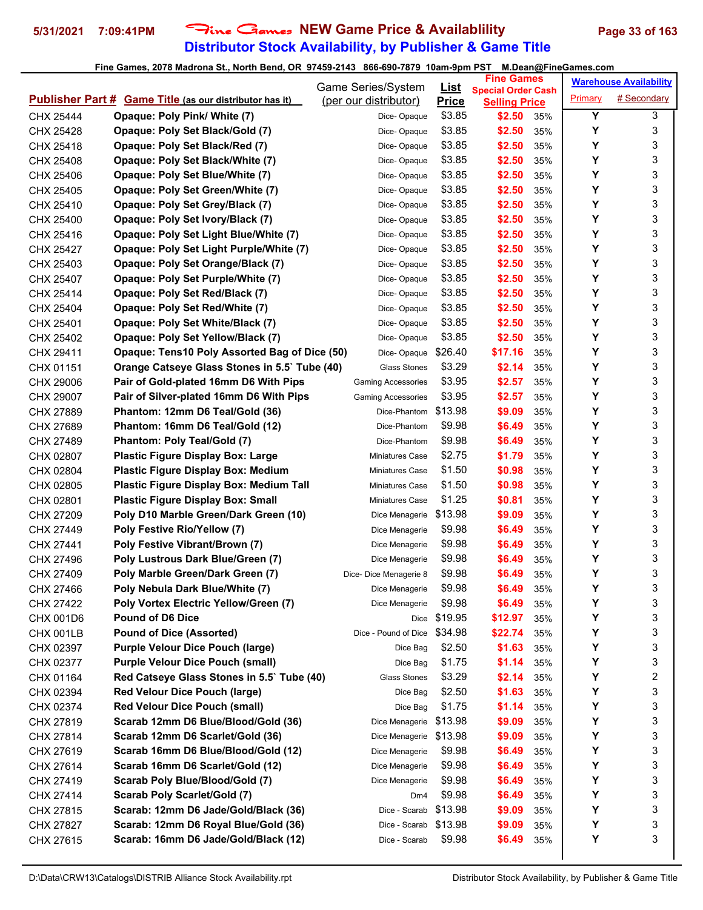## **Distributor Stock Availability, by Publisher & Game Title** 5/31/2021 7:09:41PM Fine Games NEW Game Price & Availablility Page 33 of 163

|           |                                                                | Game Series/System        |                             | <b>Fine Games</b>                                 |            |         | <b>Warehouse Availability</b> |
|-----------|----------------------------------------------------------------|---------------------------|-----------------------------|---------------------------------------------------|------------|---------|-------------------------------|
|           | <b>Publisher Part # Game Title (as our distributor has it)</b> | (per our distributor)     | <u>List</u><br><b>Price</b> | <b>Special Order Cash</b><br><b>Selling Price</b> |            | Primary | # Secondary                   |
| CHX 25444 | Opaque: Poly Pink/ White (7)                                   | Dice-Opaque               | \$3.85                      | \$2.50                                            | 35%        | Y       | 3                             |
| CHX 25428 | Opaque: Poly Set Black/Gold (7)                                | Dice-Opaque               | \$3.85                      | \$2.50                                            | 35%        | Υ       | 3                             |
| CHX 25418 | Opaque: Poly Set Black/Red (7)                                 | Dice-Opaque               | \$3.85                      | \$2.50                                            | 35%        | Υ       | 3                             |
| CHX 25408 | Opaque: Poly Set Black/White (7)                               | Dice-Opaque               | \$3.85                      | \$2.50                                            | 35%        | Y       | 3                             |
| CHX 25406 | Opaque: Poly Set Blue/White (7)                                | Dice-Opaque               | \$3.85                      | \$2.50                                            | 35%        | Y       | 3                             |
| CHX 25405 | Opaque: Poly Set Green/White (7)                               | Dice-Opaque               | \$3.85                      | \$2.50                                            | 35%        | Y       | 3                             |
| CHX 25410 | Opaque: Poly Set Grey/Black (7)                                | Dice-Opaque               | \$3.85                      | \$2.50                                            | 35%        | Y       | 3                             |
| CHX 25400 | Opaque: Poly Set Ivory/Black (7)                               | Dice-Opaque               | \$3.85                      | \$2.50                                            | 35%        | Υ       | 3                             |
| CHX 25416 | Opaque: Poly Set Light Blue/White (7)                          | Dice-Opaque               | \$3.85                      | \$2.50                                            | 35%        | Υ       | 3                             |
| CHX 25427 | <b>Opaque: Poly Set Light Purple/White (7)</b>                 | Dice-Opaque               | \$3.85                      | \$2.50                                            | 35%        | Y       | 3                             |
| CHX 25403 | Opaque: Poly Set Orange/Black (7)                              | Dice-Opaque               | \$3.85                      | \$2.50                                            | 35%        | Y       | 3                             |
| CHX 25407 | Opaque: Poly Set Purple/White (7)                              | Dice-Opaque               | \$3.85                      | \$2.50                                            | 35%        | Υ       | 3                             |
| CHX 25414 | Opaque: Poly Set Red/Black (7)                                 | Dice-Opaque               | \$3.85                      | \$2.50                                            | 35%        | Y       | 3                             |
| CHX 25404 | <b>Opaque: Poly Set Red/White (7)</b>                          | Dice-Opaque               | \$3.85                      | \$2.50                                            | 35%        | Y       | 3                             |
| CHX 25401 | Opaque: Poly Set White/Black (7)                               | Dice-Opaque               | \$3.85                      | \$2.50                                            | 35%        | Υ       | 3                             |
| CHX 25402 | Opaque: Poly Set Yellow/Black (7)                              | Dice-Opaque               | \$3.85                      | \$2.50                                            | 35%        | Y       | 3                             |
| CHX 29411 | Opaque: Tens10 Poly Assorted Bag of Dice (50)                  | Dice-Opaque               | \$26.40                     | \$17.16                                           | 35%        | Υ       | 3                             |
| CHX 01151 | Orange Catseye Glass Stones in 5.5` Tube (40)                  | <b>Glass Stones</b>       | \$3.29                      | \$2.14                                            | 35%        | Υ       | 3                             |
| CHX 29006 | Pair of Gold-plated 16mm D6 With Pips                          | <b>Gaming Accessories</b> | \$3.95                      | \$2.57                                            | 35%        | Υ       | 3                             |
| CHX 29007 | Pair of Silver-plated 16mm D6 With Pips                        | <b>Gaming Accessories</b> | \$3.95                      | \$2.57                                            | 35%        | Υ       | 3                             |
| CHX 27889 | Phantom: 12mm D6 Teal/Gold (36)                                | Dice-Phantom              | \$13.98                     | \$9.09                                            | 35%        | Υ       | 3                             |
| CHX 27689 | Phantom: 16mm D6 Teal/Gold (12)                                | Dice-Phantom              | \$9.98                      | \$6.49                                            | 35%        | Υ       | 3                             |
|           | Phantom: Poly Teal/Gold (7)                                    | Dice-Phantom              | \$9.98                      | \$6.49                                            | 35%        | Υ       | 3                             |
| CHX 27489 | <b>Plastic Figure Display Box: Large</b>                       | Miniatures Case           | \$2.75                      | \$1.79                                            | 35%        | Υ       | 3                             |
| CHX 02807 |                                                                |                           | \$1.50                      | \$0.98                                            |            | Υ       | 3                             |
| CHX 02804 | <b>Plastic Figure Display Box: Medium</b>                      | Miniatures Case           | \$1.50                      |                                                   | 35%        | Υ       | 3                             |
| CHX 02805 | <b>Plastic Figure Display Box: Medium Tall</b>                 | <b>Miniatures Case</b>    | \$1.25                      | \$0.98                                            | 35%        | Υ       | 3                             |
| CHX 02801 | <b>Plastic Figure Display Box: Small</b>                       | <b>Miniatures Case</b>    | \$13.98                     | \$0.81<br>\$9.09                                  | 35%        | Υ       | 3                             |
| CHX 27209 | Poly D10 Marble Green/Dark Green (10)                          | Dice Menagerie            | \$9.98                      | \$6.49                                            | 35%<br>35% | Υ       | 3                             |
| CHX 27449 | Poly Festive Rio/Yellow (7)                                    | Dice Menagerie            | \$9.98                      |                                                   |            | Y       | 3                             |
| CHX 27441 | Poly Festive Vibrant/Brown (7)                                 | Dice Menagerie            | \$9.98                      | \$6.49                                            | 35%        | Υ       | 3                             |
| CHX 27496 | Poly Lustrous Dark Blue/Green (7)                              | Dice Menagerie            | \$9.98                      | \$6.49                                            | 35%        | Υ       | 3                             |
| CHX 27409 | Poly Marble Green/Dark Green (7)                               | Dice-Dice Menagerie 8     |                             | \$6.49                                            | 35%        | Υ       | 3                             |
| CHX 27466 | Poly Nebula Dark Blue/White (7)                                | Dice Menagerie            | \$9.98                      | \$6.49                                            | 35%        |         |                               |
| CHX 27422 | Poly Vortex Electric Yellow/Green (7)                          | Dice Menagerie            | \$9.98                      | \$6.49                                            | 35%        | Υ       | 3                             |
| CHX 001D6 | <b>Pound of D6 Dice</b>                                        | Dice                      | \$19.95                     | \$12.97                                           | 35%        | Υ       | 3                             |
| CHX 001LB | <b>Pound of Dice (Assorted)</b>                                | Dice - Pound of Dice      | \$34.98                     | \$22.74                                           | 35%        | Υ       | 3                             |
| CHX 02397 | <b>Purple Velour Dice Pouch (large)</b>                        | Dice Bag                  | \$2.50                      | \$1.63                                            | 35%        | Υ       | 3                             |
| CHX 02377 | <b>Purple Velour Dice Pouch (small)</b>                        | Dice Bag                  | \$1.75                      | \$1.14                                            | 35%        | Υ       | 3                             |
| CHX 01164 | Red Catseye Glass Stones in 5.5` Tube (40)                     | <b>Glass Stones</b>       | \$3.29                      | \$2.14                                            | 35%        | Υ       | 2                             |
| CHX 02394 | <b>Red Velour Dice Pouch (large)</b>                           | Dice Bag                  | \$2.50                      | \$1.63                                            | 35%        | Υ       | 3                             |
| CHX 02374 | <b>Red Velour Dice Pouch (small)</b>                           | Dice Bag                  | \$1.75                      | \$1.14                                            | 35%        | Υ       | 3                             |
| CHX 27819 | Scarab 12mm D6 Blue/Blood/Gold (36)                            | Dice Menagerie            | \$13.98                     | \$9.09                                            | 35%        | Υ       | 3                             |
| CHX 27814 | Scarab 12mm D6 Scarlet/Gold (36)                               | Dice Menagerie            | \$13.98                     | \$9.09                                            | 35%        | Υ       | 3                             |
| CHX 27619 | Scarab 16mm D6 Blue/Blood/Gold (12)                            | Dice Menagerie            | \$9.98                      | \$6.49                                            | 35%        | Υ       | 3                             |
| CHX 27614 | Scarab 16mm D6 Scarlet/Gold (12)                               | Dice Menagerie            | \$9.98                      | \$6.49                                            | 35%        | Υ       | 3                             |
| CHX 27419 | Scarab Poly Blue/Blood/Gold (7)                                | Dice Menagerie            | \$9.98                      | \$6.49                                            | 35%        | Υ       | 3                             |
| CHX 27414 | Scarab Poly Scarlet/Gold (7)                                   | Dm4                       | \$9.98                      | \$6.49                                            | 35%        | Υ       | 3                             |
| CHX 27815 | Scarab: 12mm D6 Jade/Gold/Black (36)                           | Dice - Scarab             | \$13.98                     | \$9.09                                            | 35%        | Υ       | 3                             |
| CHX 27827 | Scarab: 12mm D6 Royal Blue/Gold (36)                           | Dice - Scarab \$13.98     |                             | \$9.09                                            | 35%        | Υ       | 3                             |
| CHX 27615 | Scarab: 16mm D6 Jade/Gold/Black (12)                           | Dice - Scarab             | \$9.98                      | \$6.49                                            | 35%        | Υ       | 3                             |
|           |                                                                |                           |                             |                                                   |            |         |                               |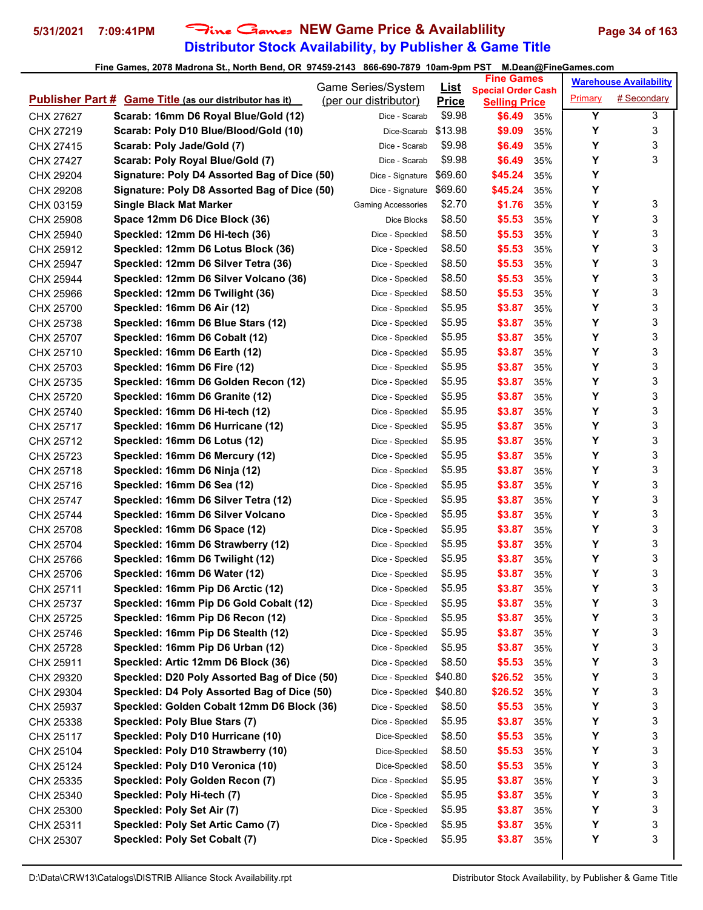## **Distributor Stock Availability, by Publisher & Game Title 5/31/2021 7:09:41PM** Fine Games **NEW Game Price & Availablility Page 34 of 163**

|                        |                                                                                    | Game Series/System                 | <u>List</u>       | <b>Fine Games</b>                                 |            |         | <b>Warehouse Availability</b> |
|------------------------|------------------------------------------------------------------------------------|------------------------------------|-------------------|---------------------------------------------------|------------|---------|-------------------------------|
|                        | <b>Publisher Part # Game Title (as our distributor has it)</b>                     | (per our distributor)              | <b>Price</b>      | <b>Special Order Cash</b><br><b>Selling Price</b> |            | Primary | # Secondary                   |
| CHX 27627              | Scarab: 16mm D6 Royal Blue/Gold (12)                                               | Dice - Scarab                      | \$9.98            | \$6.49                                            | 35%        | Υ       | 3                             |
| CHX 27219              | Scarab: Poly D10 Blue/Blood/Gold (10)                                              | Dice-Scarab                        | \$13.98           | \$9.09                                            | 35%        | Υ       | 3                             |
| CHX 27415              | Scarab: Poly Jade/Gold (7)                                                         | Dice - Scarab                      | \$9.98            | \$6.49                                            | 35%        | Υ       | 3                             |
| CHX 27427              | Scarab: Poly Royal Blue/Gold (7)                                                   | Dice - Scarab                      | \$9.98            | \$6.49                                            | 35%        | Y       | 3                             |
| CHX 29204              | Signature: Poly D4 Assorted Bag of Dice (50)                                       | Dice - Signature                   | \$69.60           | \$45.24                                           | 35%        | Υ       |                               |
| CHX 29208              | Signature: Poly D8 Assorted Bag of Dice (50)                                       | Dice - Signature                   | \$69.60           | \$45.24                                           | 35%        | Y       |                               |
| CHX 03159              | <b>Single Black Mat Marker</b>                                                     | <b>Gaming Accessories</b>          | \$2.70            | \$1.76                                            | 35%        | Y       | 3                             |
| CHX 25908              | Space 12mm D6 Dice Block (36)                                                      | Dice Blocks                        | \$8.50            | \$5.53                                            | 35%        | Υ       | 3                             |
| CHX 25940              | Speckled: 12mm D6 Hi-tech (36)                                                     | Dice - Speckled                    | \$8.50            | \$5.53                                            | 35%        | Y       | 3                             |
| CHX 25912              | Speckled: 12mm D6 Lotus Block (36)                                                 | Dice - Speckled                    | \$8.50            | \$5.53                                            | 35%        | Y       | 3                             |
| CHX 25947              | Speckled: 12mm D6 Silver Tetra (36)                                                | Dice - Speckled                    | \$8.50            | \$5.53                                            | 35%        | Y       | 3                             |
| CHX 25944              | Speckled: 12mm D6 Silver Volcano (36)                                              | Dice - Speckled                    | \$8.50            | \$5.53                                            | 35%        | Υ       | 3                             |
| CHX 25966              | Speckled: 12mm D6 Twilight (36)                                                    | Dice - Speckled                    | \$8.50            | \$5.53                                            | 35%        | Υ       | 3                             |
| CHX 25700              | Speckled: 16mm D6 Air (12)                                                         | Dice - Speckled                    | \$5.95            | \$3.87                                            | 35%        | Υ       | 3                             |
| CHX 25738              | Speckled: 16mm D6 Blue Stars (12)                                                  | Dice - Speckled                    | \$5.95            | \$3.87                                            | 35%        | Υ       | 3                             |
| CHX 25707              | Speckled: 16mm D6 Cobalt (12)                                                      | Dice - Speckled                    | \$5.95            | \$3.87                                            | 35%        | Υ       | 3                             |
| CHX 25710              | Speckled: 16mm D6 Earth (12)                                                       | Dice - Speckled                    | \$5.95            | \$3.87                                            | 35%        | Υ       | 3                             |
| CHX 25703              | Speckled: 16mm D6 Fire (12)                                                        | Dice - Speckled                    | \$5.95            | \$3.87                                            | 35%        | Υ       | 3                             |
| CHX 25735              | Speckled: 16mm D6 Golden Recon (12)                                                | Dice - Speckled                    | \$5.95            | \$3.87                                            | 35%        | Υ       | 3                             |
| CHX 25720              | Speckled: 16mm D6 Granite (12)                                                     | Dice - Speckled                    | \$5.95            | \$3.87                                            | 35%        | Υ       | 3                             |
| CHX 25740              | Speckled: 16mm D6 Hi-tech (12)                                                     | Dice - Speckled                    | \$5.95            | \$3.87                                            | 35%        | Υ       | 3                             |
| CHX 25717              | Speckled: 16mm D6 Hurricane (12)                                                   | Dice - Speckled                    | \$5.95            | \$3.87                                            | 35%        | Y       | 3                             |
| CHX 25712              | Speckled: 16mm D6 Lotus (12)                                                       | Dice - Speckled                    | \$5.95            | \$3.87                                            | 35%        | Υ       | 3                             |
| CHX 25723              | Speckled: 16mm D6 Mercury (12)                                                     | Dice - Speckled                    | \$5.95            | \$3.87                                            | 35%        | Υ       | 3                             |
|                        | Speckled: 16mm D6 Ninja (12)                                                       | Dice - Speckled                    | \$5.95            | \$3.87                                            | 35%        | Υ       | 3                             |
| CHX 25718              | Speckled: 16mm D6 Sea (12)                                                         |                                    | \$5.95            | \$3.87                                            | 35%        | Υ       | 3                             |
| CHX 25716<br>CHX 25747 | Speckled: 16mm D6 Silver Tetra (12)                                                | Dice - Speckled<br>Dice - Speckled | \$5.95            | \$3.87                                            | 35%        | Υ       | 3                             |
| CHX 25744              | Speckled: 16mm D6 Silver Volcano                                                   | Dice - Speckled                    | \$5.95            | \$3.87                                            | 35%        | Υ       | 3                             |
| CHX 25708              | Speckled: 16mm D6 Space (12)                                                       | Dice - Speckled                    | \$5.95            | \$3.87                                            | 35%        | Y       | 3                             |
| CHX 25704              | Speckled: 16mm D6 Strawberry (12)                                                  | Dice - Speckled                    | \$5.95            | \$3.87                                            | 35%        | Υ       | 3                             |
| CHX 25766              | Speckled: 16mm D6 Twilight (12)                                                    | Dice - Speckled                    | \$5.95            | \$3.87                                            | 35%        | Υ       | 3                             |
|                        | Speckled: 16mm D6 Water (12)                                                       | Dice - Speckled                    | \$5.95            | \$3.87                                            | 35%        | Υ       | 3                             |
| CHX 25706              | Speckled: 16mm Pip D6 Arctic (12)                                                  | Dice - Speckled                    | \$5.95            | \$3.87                                            | 35%        | Υ       | 3                             |
| CHX 25711              | Speckled: 16mm Pip D6 Gold Cobalt (12)                                             |                                    | \$5.95            | \$3.87                                            |            | Υ       | 3                             |
| CHX 25737              | Speckled: 16mm Pip D6 Recon (12)                                                   | Dice - Speckled<br>Dice - Speckled | \$5.95            | \$3.87                                            | 35%        | Υ       | 3                             |
| CHX 25725              | Speckled: 16mm Pip D6 Stealth (12)                                                 |                                    | \$5.95            |                                                   | 35%        | Υ       | 3                             |
| CHX 25746              | Speckled: 16mm Pip D6 Urban (12)                                                   | Dice - Speckled                    | \$5.95            | \$3.87                                            | 35%        | Υ       | 3                             |
| CHX 25728              |                                                                                    | Dice - Speckled                    |                   | \$3.87                                            | 35%        | Υ       | 3                             |
| CHX 25911              | Speckled: Artic 12mm D6 Block (36)<br>Speckled: D20 Poly Assorted Bag of Dice (50) | Dice - Speckled<br>Dice - Speckled | \$8.50<br>\$40.80 | \$5.53<br>\$26.52                                 | 35%        | Υ       | 3                             |
| CHX 29320              | Speckled: D4 Poly Assorted Bag of Dice (50)                                        | Dice - Speckled                    |                   |                                                   | 35%        | Υ       | 3                             |
| CHX 29304              | Speckled: Golden Cobalt 12mm D6 Block (36)                                         | Dice - Speckled                    | \$40.80<br>\$8.50 | \$26.52<br>\$5.53                                 | 35%<br>35% | Υ       | 3                             |
| CHX 25937              |                                                                                    |                                    |                   |                                                   |            | Υ       | 3                             |
| CHX 25338              | Speckled: Poly Blue Stars (7)                                                      | Dice - Speckled                    | \$5.95            | \$3.87                                            | 35%        |         |                               |
| CHX 25117              | Speckled: Poly D10 Hurricane (10)                                                  | Dice-Speckled                      | \$8.50            | \$5.53                                            | 35%        | Υ<br>Υ  | 3<br>3                        |
| CHX 25104              | Speckled: Poly D10 Strawberry (10)                                                 | Dice-Speckled                      | \$8.50            | \$5.53                                            | 35%        |         | 3                             |
| CHX 25124              | Speckled: Poly D10 Veronica (10)                                                   | Dice-Speckled                      | \$8.50            | \$5.53                                            | 35%        | Υ       |                               |
| CHX 25335              | Speckled: Poly Golden Recon (7)                                                    | Dice - Speckled                    | \$5.95            | \$3.87                                            | 35%        | Υ       | 3                             |
| CHX 25340              | Speckled: Poly Hi-tech (7)                                                         | Dice - Speckled                    | \$5.95            | \$3.87                                            | 35%        | Υ       | 3                             |
| CHX 25300              | Speckled: Poly Set Air (7)                                                         | Dice - Speckled                    | \$5.95            | \$3.87                                            | 35%        | Υ       | 3                             |
| CHX 25311              | Speckled: Poly Set Artic Camo (7)                                                  | Dice - Speckled                    | \$5.95            | \$3.87                                            | 35%        | Υ<br>Υ  | 3<br>3                        |
| CHX 25307              | Speckled: Poly Set Cobalt (7)                                                      | Dice - Speckled                    | \$5.95            | \$3.87                                            | 35%        |         |                               |
|                        |                                                                                    |                                    |                   |                                                   |            |         |                               |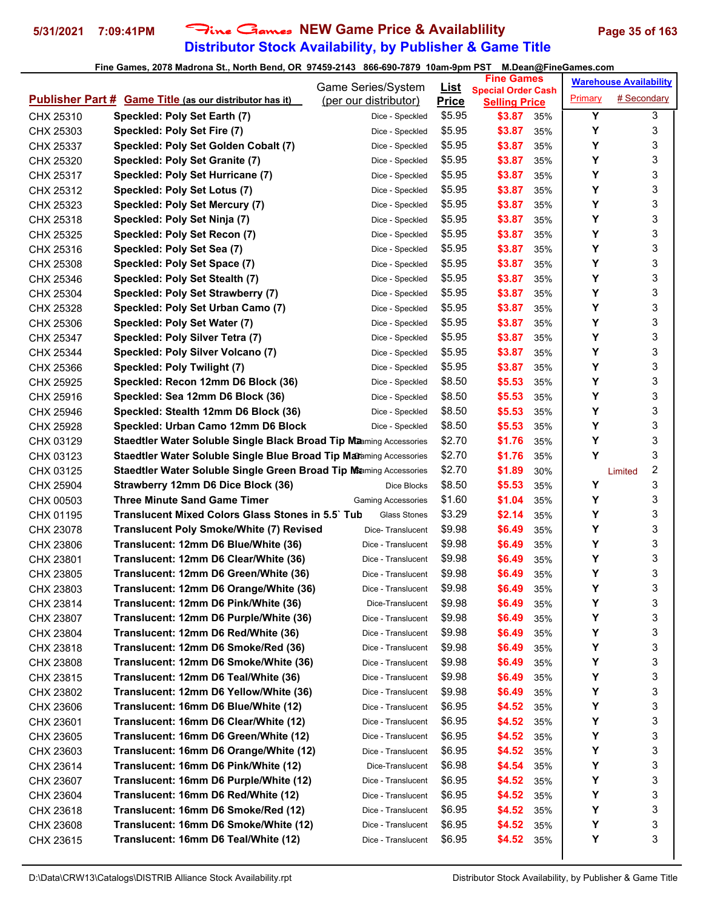## **Distributor Stock Availability, by Publisher & Game Title** 5/31/2021 7:09:41PM Fine Games NEW Game Price & Availablility Page 35 of 163

|                        |                                                                                 | Game Series/System                               | <u>List</u>      | <b>Fine Games</b>                                 |            |         | <b>Warehouse Availability</b> |   |
|------------------------|---------------------------------------------------------------------------------|--------------------------------------------------|------------------|---------------------------------------------------|------------|---------|-------------------------------|---|
|                        | <b>Publisher Part # Game Title (as our distributor has it)</b>                  | (per our distributor)                            | <b>Price</b>     | <b>Special Order Cash</b><br><b>Selling Price</b> |            | Primary | # Secondary                   |   |
| CHX 25310              | Speckled: Poly Set Earth (7)                                                    | Dice - Speckled                                  | \$5.95           | \$3.87                                            | 35%        | Y       |                               | 3 |
| CHX 25303              | Speckled: Poly Set Fire (7)                                                     | Dice - Speckled                                  | \$5.95           | \$3.87                                            | 35%        | Y       |                               | 3 |
| CHX 25337              | Speckled: Poly Set Golden Cobalt (7)                                            | Dice - Speckled                                  | \$5.95           | \$3.87                                            | 35%        | Y       |                               | 3 |
| CHX 25320              | Speckled: Poly Set Granite (7)                                                  | Dice - Speckled                                  | \$5.95           | \$3.87                                            | 35%        | Y       |                               | 3 |
| CHX 25317              | Speckled: Poly Set Hurricane (7)                                                | Dice - Speckled                                  | \$5.95           | \$3.87                                            | 35%        | Y       |                               | 3 |
| CHX 25312              | Speckled: Poly Set Lotus (7)                                                    | Dice - Speckled                                  | \$5.95           | \$3.87                                            | 35%        | Y       |                               | 3 |
| CHX 25323              | Speckled: Poly Set Mercury (7)                                                  | Dice - Speckled                                  | \$5.95           | \$3.87                                            | 35%        | Y       |                               | 3 |
| CHX 25318              | Speckled: Poly Set Ninja (7)                                                    | Dice - Speckled                                  | \$5.95           | \$3.87                                            | 35%        | Y       |                               | 3 |
| CHX 25325              | Speckled: Poly Set Recon (7)                                                    | Dice - Speckled                                  | \$5.95           | \$3.87                                            | 35%        | Y       |                               | 3 |
| CHX 25316              | Speckled: Poly Set Sea (7)                                                      | Dice - Speckled                                  | \$5.95           | \$3.87                                            | 35%        | Y       |                               | 3 |
| CHX 25308              | Speckled: Poly Set Space (7)                                                    | Dice - Speckled                                  | \$5.95           | \$3.87                                            | 35%        | Y       |                               | 3 |
| CHX 25346              | Speckled: Poly Set Stealth (7)                                                  | Dice - Speckled                                  | \$5.95           | \$3.87                                            | 35%        | Y       |                               | 3 |
| CHX 25304              | Speckled: Poly Set Strawberry (7)                                               | Dice - Speckled                                  | \$5.95           | \$3.87                                            | 35%        | Y       |                               | 3 |
| CHX 25328              | Speckled: Poly Set Urban Camo (7)                                               | Dice - Speckled                                  | \$5.95           | \$3.87                                            | 35%        | Y       |                               | 3 |
| CHX 25306              | Speckled: Poly Set Water (7)                                                    | Dice - Speckled                                  | \$5.95           | \$3.87                                            | 35%        | Y       |                               | 3 |
| CHX 25347              | Speckled: Poly Silver Tetra (7)                                                 | Dice - Speckled                                  | \$5.95           | \$3.87                                            | 35%        | Y       |                               | 3 |
| CHX 25344              | Speckled: Poly Silver Volcano (7)                                               | Dice - Speckled                                  | \$5.95           | \$3.87                                            | 35%        | Y       |                               | 3 |
| CHX 25366              | Speckled: Poly Twilight (7)                                                     | Dice - Speckled                                  | \$5.95           | \$3.87                                            | 35%        | Y       |                               | 3 |
| CHX 25925              | Speckled: Recon 12mm D6 Block (36)                                              | Dice - Speckled                                  | \$8.50           | \$5.53                                            | 35%        | Y       |                               | 3 |
| CHX 25916              | Speckled: Sea 12mm D6 Block (36)                                                | Dice - Speckled                                  | \$8.50           | \$5.53                                            | 35%        | Y       |                               | 3 |
| CHX 25946              | Speckled: Stealth 12mm D6 Block (36)                                            | Dice - Speckled                                  | \$8.50           | \$5.53                                            | 35%        | Y       |                               | 3 |
| CHX 25928              | Speckled: Urban Camo 12mm D6 Block                                              | Dice - Speckled                                  | \$8.50           | \$5.53                                            | 35%        | Y       |                               | 3 |
| CHX 03129              | Staedtler Water Soluble Single Black Broad Tip Manning Accessories              |                                                  | \$2.70           | \$1.76                                            | 35%        | Y       |                               | 3 |
|                        | Staedtler Water Soluble Single Blue Broad Tip Maraming Accessories              |                                                  | \$2.70           | \$1.76                                            | 35%        | Y       |                               | 3 |
| CHX 03123<br>CHX 03125 | Staedtler Water Soluble Single Green Broad Tip Maming Accessories               |                                                  | \$2.70           | \$1.89                                            | 30%        |         |                               | 2 |
| CHX 25904              | Strawberry 12mm D6 Dice Block (36)                                              | Dice Blocks                                      | \$8.50           | \$5.53                                            | 35%        | Y       | Limited                       | 3 |
| CHX 00503              | <b>Three Minute Sand Game Timer</b>                                             |                                                  | \$1.60           | \$1.04                                            |            | Y       |                               | 3 |
| CHX 01195              | <b>Translucent Mixed Colors Glass Stones in 5.5 Tub</b>                         | <b>Gaming Accessories</b><br><b>Glass Stones</b> | \$3.29           | \$2.14                                            | 35%<br>35% | Y       |                               | 3 |
|                        | <b>Translucent Poly Smoke/White (7) Revised</b>                                 | Dice-Translucent                                 | \$9.98           | \$6.49                                            | 35%        | Y       |                               | 3 |
| CHX 23078<br>CHX 23806 | Translucent: 12mm D6 Blue/White (36)                                            | Dice - Translucent                               | \$9.98           | \$6.49                                            | 35%        | Y       |                               | 3 |
| CHX 23801              | Translucent: 12mm D6 Clear/White (36)                                           | Dice - Translucent                               | \$9.98           | \$6.49                                            | 35%        | Y       |                               | 3 |
| CHX 23805              | Translucent: 12mm D6 Green/White (36)                                           | Dice - Translucent                               | \$9.98           | \$6.49                                            | 35%        | Υ       |                               | 3 |
| CHX 23803              | Translucent: 12mm D6 Orange/White (36)                                          | Dice - Translucent                               | \$9.98           | \$6.49                                            | 35%        | Υ       |                               | 3 |
| CHX 23814              | Translucent: 12mm D6 Pink/White (36)                                            | Dice-Translucent                                 | \$9.98           | \$6.49                                            | 35%        | Υ       |                               | 3 |
|                        | Translucent: 12mm D6 Purple/White (36)                                          | Dice - Translucent                               | \$9.98           | \$6.49                                            | 35%        | Υ       |                               | 3 |
| CHX 23807<br>CHX 23804 | Translucent: 12mm D6 Red/White (36)                                             | Dice - Translucent                               | \$9.98           | \$6.49                                            | 35%        | Υ       |                               | 3 |
|                        | Translucent: 12mm D6 Smoke/Red (36)                                             | Dice - Translucent                               | \$9.98           | \$6.49                                            | 35%        | Υ       |                               | 3 |
| CHX 23818<br>CHX 23808 | Translucent: 12mm D6 Smoke/White (36)                                           | Dice - Translucent                               | \$9.98           | \$6.49                                            | 35%        | Υ       |                               | 3 |
| CHX 23815              | Translucent: 12mm D6 Teal/White (36)                                            | Dice - Translucent                               | \$9.98           | \$6.49                                            | 35%        | Y       |                               | 3 |
| CHX 23802              | Translucent: 12mm D6 Yellow/White (36)                                          | Dice - Translucent                               | \$9.98           | \$6.49                                            | 35%        | Υ       |                               | 3 |
| CHX 23606              | Translucent: 16mm D6 Blue/White (12)                                            | Dice - Translucent                               | \$6.95           | \$4.52                                            | 35%        | Υ       |                               | 3 |
| CHX 23601              | Translucent: 16mm D6 Clear/White (12)                                           | Dice - Translucent                               | \$6.95           | \$4.52                                            | 35%        | Υ       |                               | 3 |
|                        |                                                                                 | Dice - Translucent                               | \$6.95           | \$4.52                                            |            | Υ       |                               | 3 |
| CHX 23605              | Translucent: 16mm D6 Green/White (12)<br>Translucent: 16mm D6 Orange/White (12) | Dice - Translucent                               | \$6.95           | \$4.52                                            | 35%<br>35% | Y       |                               | 3 |
| CHX 23603              | Translucent: 16mm D6 Pink/White (12)                                            | Dice-Translucent                                 | \$6.98           | \$4.54                                            | 35%        | Υ       |                               | 3 |
| CHX 23614              | Translucent: 16mm D6 Purple/White (12)                                          |                                                  | \$6.95           | \$4.52                                            |            | Υ       |                               | 3 |
| CHX 23607              | Translucent: 16mm D6 Red/White (12)                                             | Dice - Translucent                               | \$6.95           | \$4.52                                            | 35%        | Υ       |                               | 3 |
| CHX 23604              | Translucent: 16mm D6 Smoke/Red (12)                                             | Dice - Translucent                               | \$6.95           |                                                   | 35%        | Y       |                               | 3 |
| CHX 23618              |                                                                                 | Dice - Translucent                               |                  | \$4.52                                            | 35%        | Υ       |                               | 3 |
| CHX 23608              | Translucent: 16mm D6 Smoke/White (12)<br>Translucent: 16mm D6 Teal/White (12)   | Dice - Translucent<br>Dice - Translucent         | \$6.95<br>\$6.95 | \$4.52<br>\$4.52                                  | 35%        | Y       |                               | 3 |
| CHX 23615              |                                                                                 |                                                  |                  |                                                   | 35%        |         |                               |   |
|                        |                                                                                 |                                                  |                  |                                                   |            |         |                               |   |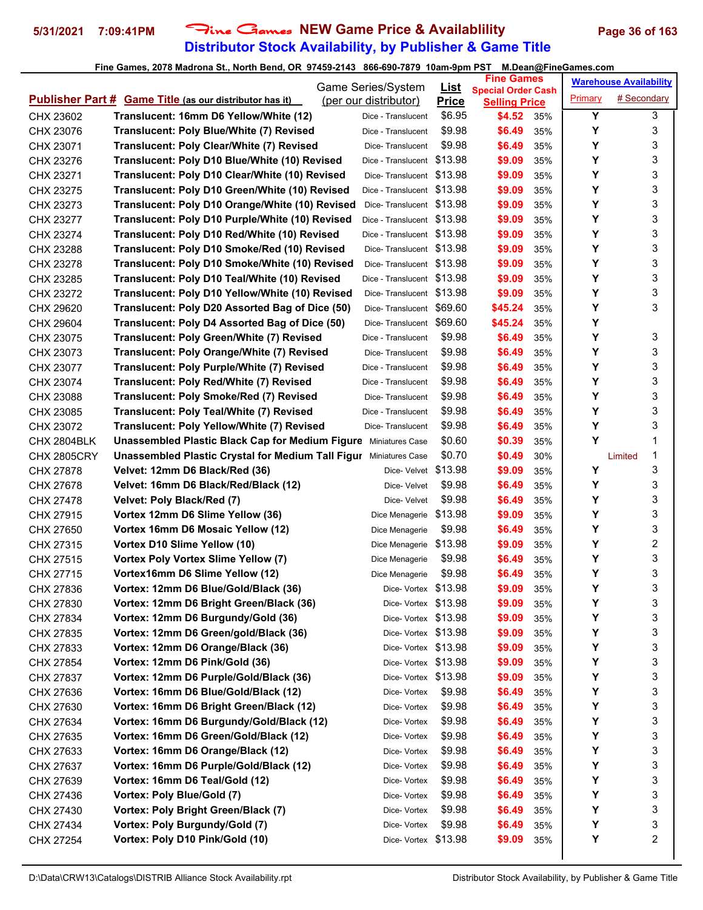## **Distributor Stock Availability, by Publisher & Game Title** 5/31/2021 7:09:41PM Fine Games NEW Game Price & Availablility Page 36 of 163

|                                                                | Game Series/System                                                       |                            | <u>List</u>            | <b>Fine Games</b>                                 |     | <b>Warehouse Availability</b> |         |   |
|----------------------------------------------------------------|--------------------------------------------------------------------------|----------------------------|------------------------|---------------------------------------------------|-----|-------------------------------|---------|---|
| <b>Publisher Part # Game Title (as our distributor has it)</b> |                                                                          | (per our distributor)      |                        | <b>Special Order Cash</b><br><b>Selling Price</b> |     | # Secondary<br>Primary        |         |   |
| CHX 23602                                                      | Translucent: 16mm D6 Yellow/White (12)                                   | Dice - Translucent         | <b>Price</b><br>\$6.95 | \$4.52                                            | 35% | Y                             |         | 3 |
| CHX 23076                                                      | Translucent: Poly Blue/White (7) Revised                                 | Dice - Translucent         | \$9.98                 | \$6.49                                            | 35% | Y                             |         | 3 |
| CHX 23071                                                      | Translucent: Poly Clear/White (7) Revised                                | Dice-Translucent           | \$9.98                 | \$6.49                                            | 35% | Υ                             |         | 3 |
| CHX 23276                                                      | Translucent: Poly D10 Blue/White (10) Revised                            | Dice - Translucent \$13.98 |                        | \$9.09                                            | 35% | Υ                             |         | 3 |
| CHX 23271                                                      | Translucent: Poly D10 Clear/White (10) Revised                           | Dice-Translucent \$13.98   |                        | \$9.09                                            | 35% | Υ                             |         | 3 |
| CHX 23275                                                      | Translucent: Poly D10 Green/White (10) Revised                           | Dice - Translucent \$13.98 |                        | \$9.09                                            | 35% | Y                             |         | 3 |
| CHX 23273                                                      | Translucent: Poly D10 Orange/White (10) Revised                          | Dice-Translucent \$13.98   |                        | \$9.09                                            | 35% | Y                             |         | 3 |
| CHX 23277                                                      | Translucent: Poly D10 Purple/White (10) Revised                          | Dice - Translucent \$13.98 |                        | \$9.09                                            | 35% | Υ                             |         | 3 |
| CHX 23274                                                      | Translucent: Poly D10 Red/White (10) Revised                             | Dice - Translucent \$13.98 |                        | \$9.09                                            | 35% | Y                             |         | 3 |
| CHX 23288                                                      | Translucent: Poly D10 Smoke/Red (10) Revised                             | Dice-Translucent \$13.98   |                        | \$9.09                                            | 35% | Y                             |         | 3 |
| CHX 23278                                                      | Translucent: Poly D10 Smoke/White (10) Revised                           | Dice-Translucent \$13.98   |                        | \$9.09                                            | 35% | Υ                             |         | 3 |
| CHX 23285                                                      | Translucent: Poly D10 Teal/White (10) Revised                            | Dice - Translucent \$13.98 |                        | \$9.09                                            | 35% | Υ                             |         | 3 |
| CHX 23272                                                      | Translucent: Poly D10 Yellow/White (10) Revised                          | Dice-Translucent \$13.98   |                        | \$9.09                                            | 35% | Y                             |         | 3 |
| CHX 29620                                                      | Translucent: Poly D20 Assorted Bag of Dice (50)                          | Dice-Translucent           | \$69.60                | \$45.24                                           | 35% | Y                             |         | 3 |
| CHX 29604                                                      | Translucent: Poly D4 Assorted Bag of Dice (50)                           | Dice-Translucent           | \$69.60                | \$45.24                                           | 35% | Υ                             |         |   |
| CHX 23075                                                      | Translucent: Poly Green/White (7) Revised                                | Dice - Translucent         | \$9.98                 | \$6.49                                            | 35% | Υ                             |         | 3 |
| CHX 23073                                                      | Translucent: Poly Orange/White (7) Revised                               | Dice-Translucent           | \$9.98                 | \$6.49                                            | 35% | Υ                             |         | 3 |
| CHX 23077                                                      | <b>Translucent: Poly Purple/White (7) Revised</b>                        | Dice - Translucent         | \$9.98                 | \$6.49                                            | 35% | Υ                             |         | 3 |
| CHX 23074                                                      | Translucent: Poly Red/White (7) Revised                                  | Dice - Translucent         | \$9.98                 | \$6.49                                            | 35% | Υ                             |         | 3 |
| CHX 23088                                                      | Translucent: Poly Smoke/Red (7) Revised                                  | Dice-Translucent           | \$9.98                 | \$6.49                                            | 35% | Y                             |         | 3 |
| CHX 23085                                                      | Translucent: Poly Teal/White (7) Revised                                 | Dice - Translucent         | \$9.98                 | \$6.49                                            | 35% | Υ                             |         | 3 |
| CHX 23072                                                      | Translucent: Poly Yellow/White (7) Revised                               | Dice-Translucent           | \$9.98                 | \$6.49                                            | 35% | Y                             |         | 3 |
| <b>CHX 2804BLK</b>                                             | <b>Unassembled Plastic Black Cap for Medium Figure Miniatures Case</b>   |                            | \$0.60                 | \$0.39                                            | 35% | Υ                             |         | 1 |
| <b>CHX 2805CRY</b>                                             | <b>Unassembled Plastic Crystal for Medium Tall Figur Miniatures Case</b> |                            | \$0.70                 | \$0.49                                            | 30% |                               | Limited | 1 |
| CHX 27878                                                      | Velvet: 12mm D6 Black/Red (36)                                           | Dice- Velvet               | \$13.98                | \$9.09                                            | 35% | Υ                             |         | 3 |
| CHX 27678                                                      | Velvet: 16mm D6 Black/Red/Black (12)                                     | Dice- Velvet               | \$9.98                 | \$6.49                                            | 35% | Υ                             |         | 3 |
| CHX 27478                                                      | Velvet: Poly Black/Red (7)                                               | Dice- Velvet               | \$9.98                 | \$6.49                                            | 35% | Y                             |         | 3 |
| CHX 27915                                                      | Vortex 12mm D6 Slime Yellow (36)                                         | Dice Menagerie             | \$13.98                | \$9.09                                            | 35% | Υ                             |         | 3 |
| CHX 27650                                                      | Vortex 16mm D6 Mosaic Yellow (12)                                        | Dice Menagerie             | \$9.98                 | \$6.49                                            | 35% | Y                             |         | 3 |
| CHX 27315                                                      | Vortex D10 Slime Yellow (10)                                             | Dice Menagerie \$13.98     |                        | \$9.09                                            | 35% | Y                             |         | 2 |
| CHX 27515                                                      | Vortex Poly Vortex Slime Yellow (7)                                      | Dice Menagerie             | \$9.98                 | \$6.49                                            | 35% | Υ                             |         | 3 |
| CHX 27715                                                      | Vortex16mm D6 Slime Yellow (12)                                          | Dice Menagerie             | \$9.98                 | \$6.49                                            | 35% | Υ                             |         | 3 |
| CHX 27836                                                      | Vortex: 12mm D6 Blue/Gold/Black (36)                                     | Dice-Vortex \$13.98        |                        | \$9.09                                            | 35% | Υ                             |         | 3 |
| CHX 27830                                                      | Vortex: 12mm D6 Bright Green/Black (36)                                  | Dice-Vortex \$13.98        |                        | \$9.09                                            | 35% | Υ                             |         | 3 |
| CHX 27834                                                      | Vortex: 12mm D6 Burgundy/Gold (36)                                       | Dice-Vortex \$13.98        |                        | \$9.09                                            | 35% | Υ                             |         | 3 |
| CHX 27835                                                      | Vortex: 12mm D6 Green/gold/Black (36)                                    | Dice-Vortex \$13.98        |                        | \$9.09                                            | 35% | Υ                             |         | 3 |
| CHX 27833                                                      | Vortex: 12mm D6 Orange/Black (36)                                        | Dice-Vortex \$13.98        |                        | \$9.09                                            | 35% | Υ                             |         | 3 |
| CHX 27854                                                      | Vortex: 12mm D6 Pink/Gold (36)                                           | Dice-Vortex \$13.98        |                        | \$9.09                                            | 35% | Υ                             |         | 3 |
| CHX 27837                                                      | Vortex: 12mm D6 Purple/Gold/Black (36)                                   | Dice-Vortex \$13.98        |                        | \$9.09                                            | 35% | Υ                             |         | 3 |
| CHX 27636                                                      | Vortex: 16mm D6 Blue/Gold/Black (12)                                     | Dice- Vortex               | \$9.98                 | \$6.49                                            | 35% | Υ                             |         | 3 |
| CHX 27630                                                      | Vortex: 16mm D6 Bright Green/Black (12)                                  | Dice- Vortex               | \$9.98                 | \$6.49                                            | 35% | Υ                             |         | 3 |
| CHX 27634                                                      | Vortex: 16mm D6 Burgundy/Gold/Black (12)                                 | Dice- Vortex               | \$9.98                 | \$6.49                                            | 35% | Υ                             |         | 3 |
| CHX 27635                                                      | Vortex: 16mm D6 Green/Gold/Black (12)                                    | Dice- Vortex               | \$9.98                 | \$6.49                                            | 35% | Υ                             |         | 3 |
| CHX 27633                                                      | Vortex: 16mm D6 Orange/Black (12)                                        | Dice- Vortex               | \$9.98                 | \$6.49                                            | 35% | Υ                             |         | 3 |
| CHX 27637                                                      | Vortex: 16mm D6 Purple/Gold/Black (12)                                   | Dice- Vortex               | \$9.98                 | \$6.49                                            | 35% | Υ                             |         | 3 |
| CHX 27639                                                      | Vortex: 16mm D6 Teal/Gold (12)                                           | Dice- Vortex               | \$9.98                 | \$6.49                                            | 35% | Υ                             |         | 3 |
| CHX 27436                                                      | Vortex: Poly Blue/Gold (7)                                               | Dice- Vortex               | \$9.98                 | \$6.49                                            | 35% | Υ                             |         | 3 |
| CHX 27430                                                      | Vortex: Poly Bright Green/Black (7)                                      | Dice- Vortex               | \$9.98                 | \$6.49                                            | 35% | Υ                             |         | 3 |
| CHX 27434                                                      | Vortex: Poly Burgundy/Gold (7)                                           | Dice- Vortex               | \$9.98                 | \$6.49                                            | 35% | Υ                             |         | 3 |
| CHX 27254                                                      | Vortex: Poly D10 Pink/Gold (10)                                          | Dice-Vortex \$13.98        |                        | \$9.09                                            | 35% | Υ                             |         | 2 |
|                                                                |                                                                          |                            |                        |                                                   |     |                               |         |   |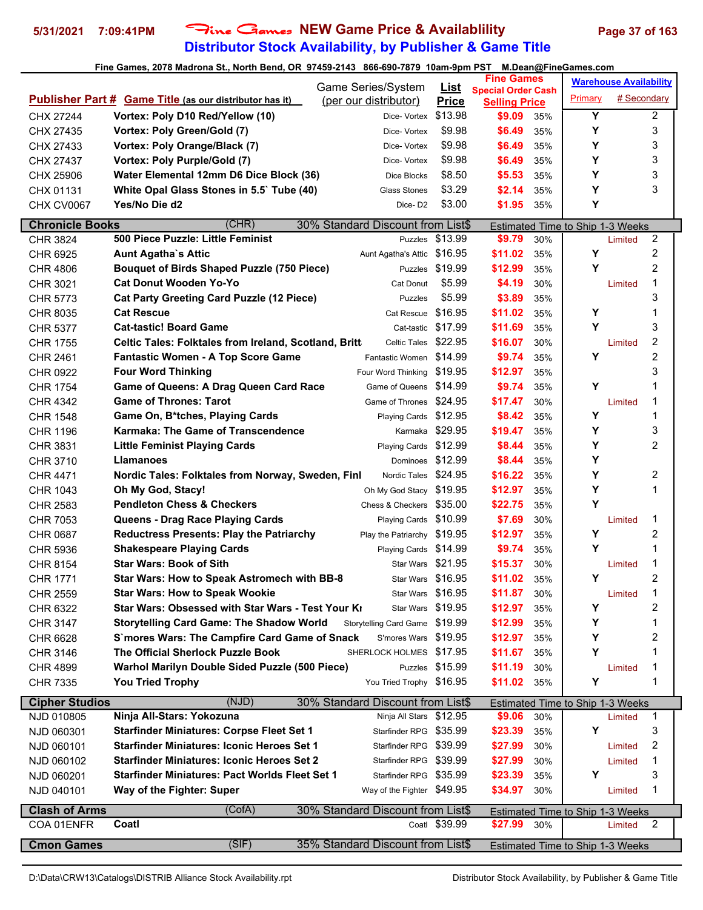# **Distributor Stock Availability, by Publisher & Game Title** 5/31/2021 7:09:41PM Fine Games NEW Game Price & Availablility Page 37 of 163

|                        | Game Series/System                                                                      |                                | <u>List</u>     | <b>Fine Games</b>                                 |     |                                         | <b>Warehouse Availability</b> |                         |
|------------------------|-----------------------------------------------------------------------------------------|--------------------------------|-----------------|---------------------------------------------------|-----|-----------------------------------------|-------------------------------|-------------------------|
|                        | <b>Publisher Part # Game Title (as our distributor has it)</b><br>(per our distributor) |                                | <b>Price</b>    | <b>Special Order Cash</b><br><b>Selling Price</b> |     | Primary                                 | # Secondary                   |                         |
| CHX 27244              | Vortex: Poly D10 Red/Yellow (10)                                                        | Dice- Vortex                   | \$13.98         | \$9.09                                            | 35% | Y                                       |                               | $\overline{\mathbf{c}}$ |
| CHX 27435              | Vortex: Poly Green/Gold (7)                                                             | Dice- Vortex                   | \$9.98          | \$6.49                                            | 35% | Y                                       |                               | 3                       |
| CHX 27433              | Vortex: Poly Orange/Black (7)                                                           | Dice- Vortex                   | \$9.98          | \$6.49                                            | 35% | Υ                                       |                               | 3                       |
| CHX 27437              | Vortex: Poly Purple/Gold (7)                                                            | Dice- Vortex                   | \$9.98          | \$6.49                                            | 35% | Υ                                       |                               | 3                       |
|                        | Water Elemental 12mm D6 Dice Block (36)                                                 | Dice Blocks                    | \$8.50          | \$5.53                                            |     | Y                                       |                               | 3                       |
| CHX 25906              |                                                                                         | Glass Stones                   | \$3.29          |                                                   | 35% | Υ                                       |                               | 3                       |
| CHX 01131              | White Opal Glass Stones in 5.5` Tube (40)<br>Yes/No Die d2                              |                                |                 | \$2.14                                            | 35% | Υ                                       |                               |                         |
| CHX CV0067             |                                                                                         | Dice-D <sub>2</sub>            | \$3.00          | \$1.95                                            | 35% |                                         |                               |                         |
| <b>Chronicle Books</b> | (CHR)<br>30% Standard Discount from List\$                                              |                                |                 |                                                   |     | Estimated Time to Ship 1-3 Weeks        |                               |                         |
| <b>CHR 3824</b>        | 500 Piece Puzzle: Little Feminist                                                       | Puzzles                        | \$13.99         | \$9.79                                            | 30% |                                         | Limited                       | 2                       |
| CHR 6925               | <b>Aunt Agatha's Attic</b>                                                              | Aunt Agatha's Attic            | \$16.95         | \$11.02                                           | 35% | Υ                                       |                               | 2                       |
| <b>CHR 4806</b>        | <b>Bouquet of Birds Shaped Puzzle (750 Piece)</b>                                       |                                | Puzzles \$19.99 | \$12.99                                           | 35% | Y                                       |                               | $\overline{2}$          |
| CHR 3021               | <b>Cat Donut Wooden Yo-Yo</b>                                                           | Cat Donut                      | \$5.99          | \$4.19                                            | 30% |                                         | Limited                       | 1                       |
| CHR 5773               | <b>Cat Party Greeting Card Puzzle (12 Piece)</b>                                        | Puzzles                        | \$5.99          | \$3.89                                            | 35% |                                         |                               | 3                       |
| CHR 8035               | <b>Cat Rescue</b>                                                                       | Cat Rescue                     | \$16.95         | \$11.02                                           | 35% | Υ                                       |                               | 1                       |
| <b>CHR 5377</b>        | <b>Cat-tastic! Board Game</b>                                                           | Cat-tastic \$17.99             |                 | \$11.69                                           | 35% | Y                                       |                               | 3                       |
| <b>CHR 1755</b>        | <b>Celtic Tales: Folktales from Ireland, Scotland, Britt</b>                            | Celtic Tales \$22.95           |                 | \$16.07                                           | 30% |                                         | Limited                       | 2                       |
| CHR 2461               | <b>Fantastic Women - A Top Score Game</b>                                               | Fantastic Women \$14.99        |                 | \$9.74                                            | 35% | Υ                                       |                               | $\overline{c}$          |
| CHR 0922               | <b>Four Word Thinking</b>                                                               | Four Word Thinking \$19.95     |                 | \$12.97                                           | 35% |                                         |                               | 3                       |
| <b>CHR 1754</b>        | <b>Game of Queens: A Drag Queen Card Race</b>                                           | Game of Queens                 | \$14.99         | \$9.74                                            | 35% | Υ                                       |                               | 1                       |
| <b>CHR 4342</b>        | <b>Game of Thrones: Tarot</b>                                                           | Game of Thrones                | \$24.95         | \$17.47                                           | 30% |                                         | Limited                       | 1                       |
| CHR 1548               | Game On, B*tches, Playing Cards                                                         | Playing Cards                  | \$12.95         | \$8.42                                            | 35% | Υ                                       |                               | 1                       |
| <b>CHR 1196</b>        | Karmaka: The Game of Transcendence                                                      | Karmaka \$29.95                |                 | \$19.47                                           | 35% | Υ                                       |                               | 3                       |
| CHR 3831               | <b>Little Feminist Playing Cards</b>                                                    | Playing Cards \$12.99          |                 | \$8.44                                            | 35% | Y                                       |                               | $\overline{2}$          |
| CHR 3710               | <b>Llamanoes</b>                                                                        | Dominoes                       | \$12.99         | \$8.44                                            | 35% | Y                                       |                               |                         |
| CHR 4471               | Nordic Tales: Folktales from Norway, Sweden, Finl                                       | Nordic Tales \$24.95           |                 | \$16.22                                           | 35% | Y                                       |                               | 2                       |
| <b>CHR 1043</b>        | Oh My God, Stacy!                                                                       | Oh My God Stacy \$19.95        |                 | \$12.97                                           | 35% | Υ                                       |                               | 1                       |
| CHR 2583               | <b>Pendleton Chess &amp; Checkers</b>                                                   | Chess & Checkers \$35.00       |                 | \$22.75                                           | 35% | Y                                       |                               |                         |
| CHR 7053               | Queens - Drag Race Playing Cards                                                        | <b>Playing Cards</b>           | \$10.99         | \$7.69                                            | 30% |                                         | Limited                       | 1                       |
| CHR 0687               | <b>Reductress Presents: Play the Patriarchy</b>                                         | Play the Patriarchy \$19.95    |                 | \$12.97                                           | 35% | Υ                                       |                               | 2                       |
| <b>CHR 5936</b>        | <b>Shakespeare Playing Cards</b>                                                        | Playing Cards \$14.99          |                 | \$9.74                                            | 35% | Y                                       |                               | 1                       |
| <b>CHR 8154</b>        | <b>Star Wars: Book of Sith</b>                                                          | Star Wars \$21.95              |                 | \$15.37                                           | 30% |                                         | Limited                       | 1                       |
| <b>CHR 1771</b>        | Star Wars: How to Speak Astromech with BB-8                                             | Star Wars \$16.95              |                 | \$11.02                                           | 35% | Y                                       |                               | 2                       |
| <b>CHR 2559</b>        | <b>Star Wars: How to Speak Wookie</b>                                                   | Star Wars \$16.95              |                 | \$11.87                                           | 30% |                                         | Limited                       | 1                       |
| CHR 6322               | Star Wars: Obsessed with Star Wars - Test Your Ki                                       | Star Wars \$19.95              |                 | \$12.97                                           | 35% | Y                                       |                               | 2                       |
| <b>CHR 3147</b>        | <b>Storytelling Card Game: The Shadow World</b>                                         | Storytelling Card Game \$19.99 |                 | \$12.99                                           | 35% | Υ                                       |                               | 1                       |
| CHR 6628               | S`mores Wars: The Campfire Card Game of Snack                                           | S'mores Wars \$19.95           |                 | \$12.97                                           | 35% | Y                                       |                               | 2                       |
| CHR 3146               | The Official Sherlock Puzzle Book                                                       | SHERLOCK HOLMES \$17.95        |                 | \$11.67                                           | 35% | Y                                       |                               | 1                       |
| <b>CHR 4899</b>        | Warhol Marilyn Double Sided Puzzle (500 Piece)                                          | Puzzles                        | \$15.99         | \$11.19                                           | 30% |                                         | Limited                       | 1                       |
| <b>CHR 7335</b>        | <b>You Tried Trophy</b>                                                                 | You Tried Trophy \$16.95       |                 | \$11.02                                           | 35% | Υ                                       |                               | 1                       |
|                        |                                                                                         |                                |                 |                                                   |     |                                         |                               |                         |
| <b>Cipher Studios</b>  | (NJD)<br>30% Standard Discount from List\$                                              |                                |                 |                                                   |     | Estimated Time to Ship 1-3 Weeks        |                               |                         |
| NJD 010805             | Ninja All-Stars: Yokozuna                                                               | Ninja All Stars \$12.95        |                 | \$9.06                                            | 30% |                                         | Limited                       | 1                       |
| NJD 060301             | <b>Starfinder Miniatures: Corpse Fleet Set 1</b>                                        | Starfinder RPG \$35.99         |                 | \$23.39                                           | 35% | Υ                                       |                               | 3                       |
| NJD 060101             | <b>Starfinder Miniatures: Iconic Heroes Set 1</b>                                       | Starfinder RPG \$39.99         |                 | \$27.99                                           | 30% |                                         | Limited                       | 2                       |
| NJD 060102             | <b>Starfinder Miniatures: Iconic Heroes Set 2</b>                                       | Starfinder RPG \$39.99         |                 | \$27.99                                           | 30% |                                         | Limited                       | 1                       |
| NJD 060201             | <b>Starfinder Miniatures: Pact Worlds Fleet Set 1</b>                                   | Starfinder RPG \$35.99         |                 | \$23.39                                           | 35% | Υ                                       |                               | 3                       |
| NJD 040101             | Way of the Fighter: Super                                                               | Way of the Fighter \$49.95     |                 | \$34.97                                           | 30% |                                         | Limited                       | 1                       |
| <b>Clash of Arms</b>   | (CofA)<br>30% Standard Discount from List\$                                             |                                |                 |                                                   |     | <b>Estimated Time to Ship 1-3 Weeks</b> |                               |                         |
| COA 01ENFR             | Coatl                                                                                   |                                | Coatl \$39.99   | \$27.99 30%                                       |     |                                         | Limited                       | 2                       |
| <b>Cmon Games</b>      | (SIF)<br>35% Standard Discount from List\$                                              |                                |                 |                                                   |     | Estimated Time to Ship 1-3 Weeks        |                               |                         |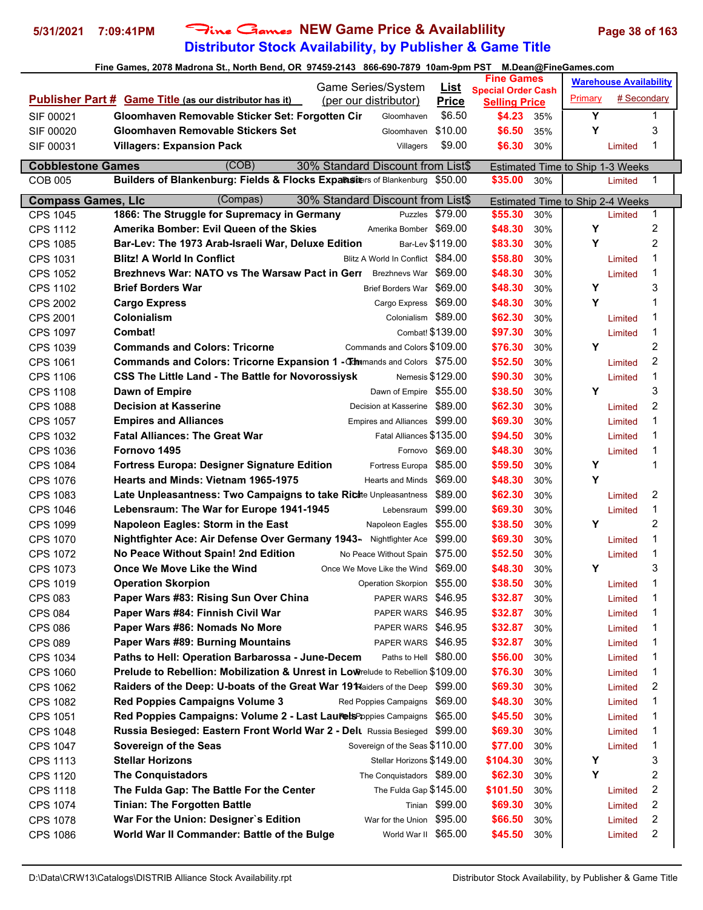# **Distributor Stock Availability, by Publisher & Game Title 5/31/2021 7:09:41PM** Fine Games **NEW Game Price & Availablility Page 38 of 163**

|                           | Fine Games, 2078 Madrona St., North Bend, OR 97459-2143 866-690-7879 10am-9pm PST          |                                                                   |     | M.Dean@FineGames.com             |                               |                |
|---------------------------|--------------------------------------------------------------------------------------------|-------------------------------------------------------------------|-----|----------------------------------|-------------------------------|----------------|
|                           | Game Series/System                                                                         | <b>Fine Games</b><br><u>List</u>                                  |     |                                  | <b>Warehouse Availability</b> |                |
|                           | <b>Publisher Part # Game Title (as our distributor has it)</b><br>(per our distributor)    | <b>Special Order Cash</b><br><b>Price</b><br><b>Selling Price</b> |     | Primary                          | # Secondary                   |                |
| SIF 00021                 | Gloomhaven Removable Sticker Set: Forgotten Cir<br>Gloomhaven                              | \$6.50<br>\$4.23                                                  | 35% | Y                                |                               | 1              |
| SIF 00020                 | Gloomhaven Removable Stickers Set<br>Gloomhaven                                            | \$10.00<br>\$6.50                                                 | 35% | Y                                |                               | 3              |
| SIF 00031                 | <b>Villagers: Expansion Pack</b><br>Villagers                                              | \$6.30<br>\$9.00                                                  | 30% |                                  | Limited                       | 1              |
|                           |                                                                                            |                                                                   |     |                                  |                               |                |
| <b>Cobblestone Games</b>  | (COB)<br>30% Standard Discount from List\$                                                 |                                                                   |     | Estimated Time to Ship 1-3 Weeks |                               |                |
| <b>COB 005</b>            | Builders of Blankenburg: Fields & Flocks Expansiters of Blankenburg \$50.00                | \$35.00                                                           | 30% |                                  | Limited                       | 1              |
| <b>Compass Games, LIc</b> | (Compas)<br>30% Standard Discount from List\$                                              |                                                                   |     | Estimated Time to Ship 2-4 Weeks |                               |                |
| CPS 1045                  | 1866: The Struggle for Supremacy in Germany<br>Puzzles \$79.00                             | \$55.30                                                           | 30% |                                  | Limited                       | 1              |
| <b>CPS 1112</b>           | Amerika Bomber: Evil Queen of the Skies<br>Amerika Bomber \$69.00                          | \$48.30                                                           | 30% | Υ                                |                               | 2              |
| <b>CPS 1085</b>           | Bar-Lev \$119.00<br>Bar-Lev: The 1973 Arab-Israeli War, Deluxe Edition                     | \$83.30                                                           | 30% | Y                                |                               | 2              |
| CPS 1031                  | <b>Blitz! A World In Conflict</b><br>Blitz A World In Conflict \$84.00                     | \$58.80                                                           | 30% |                                  | Limited                       | 1              |
| <b>CPS 1052</b>           | <b>Brezhnevs War: NATO vs The Warsaw Pact in Gerr</b> Brezhnevs War \$69.00                | \$48.30                                                           | 30% |                                  | Limited                       | 1              |
| <b>CPS 1102</b>           | Brief Borders War \$69.00<br><b>Brief Borders War</b>                                      | \$48.30                                                           | 30% | Υ                                |                               | 3              |
| <b>CPS 2002</b>           | <b>Cargo Express</b><br>Cargo Express \$69.00                                              | \$48.30                                                           | 30% | Y                                |                               | 1              |
| <b>CPS 2001</b>           | Colonialism<br>Colonialism \$89.00                                                         | \$62.30                                                           | 30% |                                  | Limited                       | 1              |
| <b>CPS 1097</b>           | Combat! \$139.00<br>Combat!                                                                | \$97.30                                                           | 30% |                                  | Limited                       | 1              |
| <b>CPS 1039</b>           | Commands and Colors \$109.00<br><b>Commands and Colors: Tricorne</b>                       | \$76.30                                                           | 30% | Υ                                |                               | 2              |
| CPS 1061                  | Commands and Colors: Tricorne Expansion 1 - Thimmands and Colors \$75.00                   | \$52.50                                                           | 30% |                                  | Limited                       | $\overline{2}$ |
| <b>CPS 1106</b>           | <b>CSS The Little Land - The Battle for Novorossiysk</b><br>Nemesis \$129.00               | \$90.30                                                           | 30% |                                  | Limited                       | 1              |
| <b>CPS 1108</b>           | Dawn of Empire \$55.00<br>Dawn of Empire                                                   | \$38.50                                                           | 30% | Υ                                |                               | 3              |
| <b>CPS 1088</b>           | <b>Decision at Kasserine</b><br>Decision at Kasserine \$89.00                              | \$62.30                                                           | 30% |                                  | Limited                       | $\overline{2}$ |
| <b>CPS 1057</b>           | <b>Empires and Alliances</b><br>Empires and Alliances \$99.00                              | \$69.30                                                           | 30% |                                  | Limited                       | 1              |
| <b>CPS 1032</b>           | <b>Fatal Alliances: The Great War</b><br>Fatal Alliances \$135.00                          | \$94.50                                                           | 30% |                                  | Limited                       | 1              |
| <b>CPS 1036</b>           | Fornovo \$69.00<br>Fornovo 1495                                                            | \$48.30                                                           | 30% |                                  | Limited                       | 1              |
| <b>CPS 1084</b>           | <b>Fortress Europa: Designer Signature Edition</b><br>Fortress Europa                      | \$85.00<br>\$59.50                                                | 30% | Υ                                |                               | 1              |
| <b>CPS 1076</b>           | Hearts and Minds: Vietnam 1965-1975<br>Hearts and Minds \$69.00                            | \$48.30                                                           | 30% | Y                                |                               |                |
| <b>CPS 1083</b>           | Late Unpleasantness: Two Campaigns to take Richte Unpleasantness \$89.00                   | \$62.30                                                           | 30% |                                  | Limited                       | 2              |
| <b>CPS 1046</b>           | Lebensraum \$99.00<br>Lebensraum: The War for Europe 1941-1945                             | \$69.30                                                           | 30% |                                  | Limited                       | 1              |
| CPS 1099                  | Napoleon Eagles: Storm in the East<br>Napoleon Eagles \$55.00                              | \$38.50                                                           | 30% | Y                                |                               | $\overline{c}$ |
| <b>CPS 1070</b>           | Nightfighter Ace: Air Defense Over Germany 1943- Nightfighter Ace \$99.00                  | \$69.30                                                           | 30% |                                  | Limited                       | 1              |
| <b>CPS 1072</b>           | No Peace Without Spain! 2nd Edition<br>No Peace Without Spain \$75.00                      | \$52.50                                                           | 30% |                                  | Limited                       | 1              |
| CPS 1073                  | Once We Move Like the Wind<br>Once We Move Like the Wind                                   | \$48.30<br>\$69.00                                                | 30% | Υ                                |                               | 3              |
| CPS 1019                  | <b>Operation Skorpion</b><br>Operation Skorpion \$55.00                                    | \$38.50                                                           | 30% |                                  | Limited                       | 1              |
| <b>CPS 083</b>            | Paper Wars #83: Rising Sun Over China<br>PAPER WARS \$46.95                                | \$32.87                                                           | 30% |                                  | Limited                       | 1              |
| <b>CPS 084</b>            | Paper Wars #84: Finnish Civil War<br>PAPER WARS \$46.95                                    | \$32.87                                                           | 30% |                                  | Limited                       | 1              |
| <b>CPS 086</b>            | Paper Wars #86: Nomads No More<br>PAPER WARS \$46.95                                       | \$32.87                                                           | 30% |                                  | Limited                       | 1              |
| <b>CPS 089</b>            | Paper Wars #89: Burning Mountains<br>PAPER WARS \$46.95                                    | \$32.87                                                           | 30% |                                  | Limited                       | 1              |
| CPS 1034                  | Paths to Hell: Operation Barbarossa - June-Decem<br>Paths to Hell \$80.00                  | \$56.00                                                           | 30% |                                  | Limited                       | 1              |
| <b>CPS 1060</b>           | <b>Prelude to Rebellion: Mobilization &amp; Unrest in Low</b> relude to Rebellion \$109.00 | \$76.30                                                           | 30% |                                  | Limited                       | 1              |
| <b>CPS 1062</b>           | Raiders of the Deep: U-boats of the Great War 19 Raiders of the Deep \$99.00               | \$69.30                                                           | 30% |                                  | Limited                       | 2              |
| <b>CPS 1082</b>           | <b>Red Poppies Campaigns Volume 3</b><br>Red Poppies Campaigns \$69.00                     | \$48.30                                                           | 30% |                                  | Limited                       | 1              |
| <b>CPS 1051</b>           | Red Poppies Campaigns: Volume 2 - Last LaurelsPoppies Campaigns \$65.00                    | \$45.50                                                           | 30% |                                  | Limited                       | 1              |
| <b>CPS 1048</b>           | Russia Besieged: Eastern Front World War 2 - Delt Russia Besieged \$99.00                  | \$69.30                                                           | 30% |                                  | Limited                       | 1              |
| <b>CPS 1047</b>           | Sovereign of the Seas<br>Sovereign of the Seas \$110.00                                    | \$77.00                                                           | 30% |                                  | Limited                       | 1              |
| <b>CPS 1113</b>           | <b>Stellar Horizons</b><br>Stellar Horizons \$149.00                                       | \$104.30                                                          | 30% | Y                                |                               | 3              |
| <b>CPS 1120</b>           | <b>The Conquistadors</b><br>The Conquistadors \$89.00                                      | \$62.30                                                           | 30% | Υ                                |                               | 2              |
| <b>CPS 1118</b>           | The Fulda Gap: The Battle For the Center<br>The Fulda Gap \$145.00                         | \$101.50                                                          | 30% |                                  | Limited                       | 2              |
| <b>CPS 1074</b>           | <b>Tinian: The Forgotten Battle</b><br>Tinian \$99.00                                      | \$69.30                                                           | 30% |                                  | Limited                       | 2              |
| <b>CPS 1078</b>           | War for the Union \$95.00<br>War For the Union: Designer's Edition                         | \$66.50                                                           | 30% |                                  | Limited                       | 2              |
| <b>CPS 1086</b>           | World War II \$65.00<br>World War II Commander: Battle of the Bulge                        | \$45.50                                                           | 30% |                                  | Limited                       | 2              |
|                           |                                                                                            |                                                                   |     |                                  |                               |                |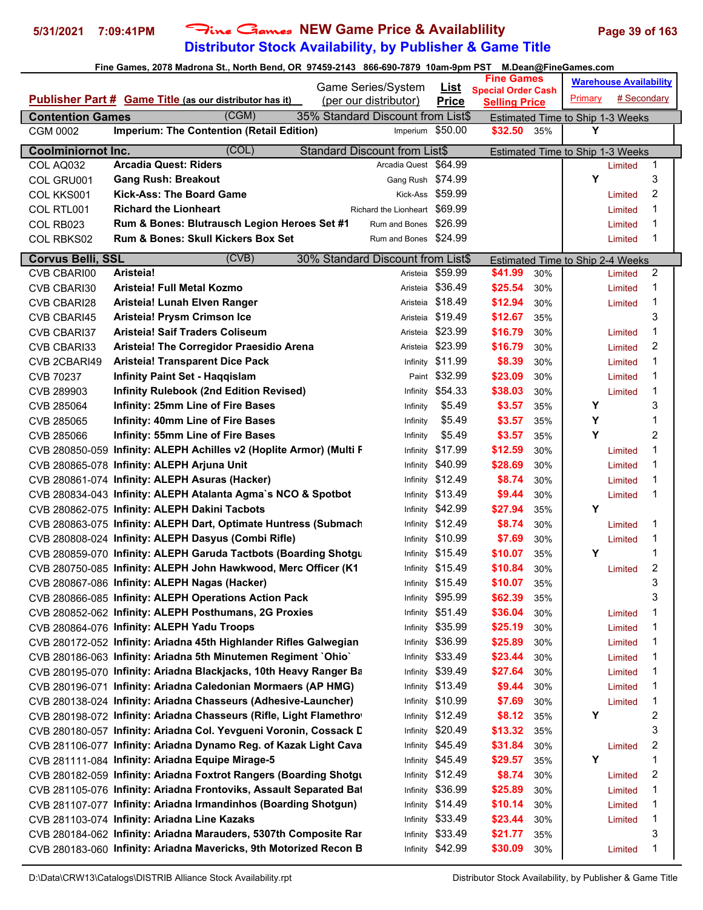# **Distributor Stock Availability, by Publisher & Game Title 5/31/2021 7:09:41PM** Fine Games **NEW Game Price & Availablility Page 39 of 163**

|                                     | Fine Games, 2078 Madrona St., North Bend, OR 97459-2143 866-690-7879 10am-9pm PST |                                                       |                  |                                                   |     | M.Dean@FineGames.com                  |                               |                |
|-------------------------------------|-----------------------------------------------------------------------------------|-------------------------------------------------------|------------------|---------------------------------------------------|-----|---------------------------------------|-------------------------------|----------------|
|                                     |                                                                                   | Game Series/System                                    | <u>List</u>      | <b>Fine Games</b>                                 |     |                                       | <b>Warehouse Availability</b> |                |
|                                     | <b>Publisher Part # Game Title (as our distributor has it)</b>                    | (per our distributor)                                 | <b>Price</b>     | <b>Special Order Cash</b><br><b>Selling Price</b> |     | Primary                               | # Secondary                   |                |
|                                     | (CGM)                                                                             |                                                       |                  |                                                   |     |                                       |                               |                |
| <b>Contention Games</b><br>CGM 0002 | <b>Imperium: The Contention (Retail Edition)</b>                                  | 35% Standard Discount from List\$<br>Imperium \$50.00 |                  | \$32.50                                           | 35% | Estimated Time to Ship 1-3 Weeks<br>Υ |                               |                |
|                                     |                                                                                   |                                                       |                  |                                                   |     |                                       |                               |                |
| <b>Coolminiornot Inc.</b>           | (COL)                                                                             | <b>Standard Discount from List\$</b>                  |                  |                                                   |     | Estimated Time to Ship 1-3 Weeks      |                               |                |
| COL AQ032                           | <b>Arcadia Quest: Riders</b>                                                      | Arcadia Quest \$64.99                                 |                  |                                                   |     |                                       | Limited                       | 1              |
| COL GRU001                          | <b>Gang Rush: Breakout</b>                                                        | Gang Rush \$74.99                                     |                  |                                                   |     | Υ                                     |                               | 3              |
| COL KKS001                          | <b>Kick-Ass: The Board Game</b>                                                   |                                                       | Kick-Ass \$59.99 |                                                   |     |                                       | Limited                       | 2              |
| COL RTL001                          | <b>Richard the Lionheart</b>                                                      | Richard the Lionheart \$69.99                         |                  |                                                   |     |                                       | Limited                       | 1              |
| COL RB023                           | Rum & Bones: Blutrausch Legion Heroes Set #1                                      | Rum and Bones \$26.99                                 |                  |                                                   |     |                                       | Limited                       | 1              |
| COL RBKS02                          | <b>Rum &amp; Bones: Skull Kickers Box Set</b>                                     | Rum and Bones \$24.99                                 |                  |                                                   |     |                                       | Limited                       | 1              |
| Corvus Belli, SSL                   | (CVB)                                                                             | 30% Standard Discount from List\$                     |                  |                                                   |     | Estimated Time to Ship 2-4 Weeks      |                               |                |
| CVB CBARI00                         | Aristeia!                                                                         | Aristeia                                              | \$59.99          | \$41.99                                           | 30% |                                       | Limited                       | 2              |
| CVB CBARI30                         | Aristeia! Full Metal Kozmo                                                        | Aristeia                                              | \$36.49          | \$25.54                                           | 30% |                                       | Limited                       | 1              |
| <b>CVB CBARI28</b>                  | Aristeia! Lunah Elven Ranger                                                      | Aristeia                                              | \$18.49          | \$12.94                                           | 30% |                                       | Limited                       | 1              |
| CVB CBARI45                         | Aristeia! Prysm Crimson Ice                                                       | Aristeia                                              | \$19.49          | \$12.67                                           | 35% |                                       |                               | 3              |
| CVB CBARI37                         | <b>Aristeia! Saif Traders Coliseum</b>                                            | Aristeia                                              | \$23.99          | \$16.79                                           | 30% |                                       | Limited                       | 1              |
| CVB CBARI33                         | Aristeia! The Corregidor Praesidio Arena                                          | Aristeia                                              | \$23.99          | \$16.79                                           | 30% |                                       | Limited                       | 2              |
| CVB 2CBARI49                        | <b>Aristeia! Transparent Dice Pack</b>                                            | Infinity                                              | \$11.99          | \$8.39                                            | 30% |                                       | Limited                       | 1              |
| CVB 70237                           | <b>Infinity Paint Set - Haggislam</b>                                             |                                                       | Paint \$32.99    | \$23.09                                           | 30% |                                       | Limited                       | 1              |
| CVB 289903                          | <b>Infinity Rulebook (2nd Edition Revised)</b>                                    |                                                       | Infinity \$54.33 | \$38.03                                           | 30% |                                       | Limited                       | 1              |
| CVB 285064                          | <b>Infinity: 25mm Line of Fire Bases</b>                                          | Infinity                                              | \$5.49           | \$3.57                                            | 35% | Y                                     |                               | 3              |
| CVB 285065                          | <b>Infinity: 40mm Line of Fire Bases</b>                                          | Infinity                                              | \$5.49           | \$3.57                                            | 35% | Y                                     |                               | 1              |
| CVB 285066                          | <b>Infinity: 55mm Line of Fire Bases</b>                                          | Infinity                                              | \$5.49           | \$3.57                                            | 35% | Y                                     |                               | 2              |
|                                     | CVB 280850-059 Infinity: ALEPH Achilles v2 (Hoplite Armor) (Multi F               | Infinity                                              | \$17.99          | \$12.59                                           | 30% |                                       | Limited                       | 1              |
|                                     | CVB 280865-078 Infinity: ALEPH Arjuna Unit                                        | Infinity                                              | \$40.99          | \$28.69                                           | 30% |                                       | Limited                       | 1              |
|                                     | CVB 280861-074 Infinity: ALEPH Asuras (Hacker)                                    | Infinity                                              | \$12.49          | \$8.74                                            | 30% |                                       | Limited                       | 1              |
|                                     | CVB 280834-043 Infinity: ALEPH Atalanta Agma's NCO & Spotbot                      |                                                       | Infinity \$13.49 | \$9.44                                            | 30% |                                       | Limited                       | 1              |
|                                     | CVB 280862-075 Infinity: ALEPH Dakini Tacbots                                     |                                                       | Infinity \$42.99 | \$27.94                                           | 35% | Y                                     |                               |                |
|                                     | CVB 280863-075 Infinity: ALEPH Dart, Optimate Huntress (Submach                   |                                                       | Infinity \$12.49 | \$8.74                                            | 30% |                                       | Limited                       | 1              |
|                                     | CVB 280808-024 Infinity: ALEPH Dasyus (Combi Rifle)                               |                                                       | Infinity \$10.99 | \$7.69                                            | 30% |                                       | Limited                       | 1              |
|                                     | CVB 280859-070 Infinity: ALEPH Garuda Tactbots (Boarding Shotgu                   |                                                       | Infinity \$15.49 | \$10.07                                           | 35% | Y                                     |                               | 1              |
|                                     | CVB 280750-085 Infinity: ALEPH John Hawkwood, Merc Officer (K1                    |                                                       | Infinity \$15.49 | \$10.84                                           | 30% |                                       | Limited                       | 2              |
|                                     | CVB 280867-086 Infinity: ALEPH Nagas (Hacker)                                     |                                                       | Infinity \$15.49 | \$10.07                                           | 35% |                                       |                               | 3              |
|                                     | CVB 280866-085 Infinity: ALEPH Operations Action Pack                             |                                                       | Infinity \$95.99 | \$62.39                                           | 35% |                                       |                               | 3              |
|                                     | CVB 280852-062 Infinity: ALEPH Posthumans, 2G Proxies                             | Infinity                                              | \$51.49          | \$36.04                                           | 30% |                                       | Limited                       | 1              |
|                                     | CVB 280864-076 Infinity: ALEPH Yadu Troops                                        | Infinity                                              | \$35.99          | \$25.19                                           | 30% |                                       | Limited                       | 1              |
|                                     | CVB 280172-052 Infinity: Ariadna 45th Highlander Rifles Galwegian                 |                                                       | Infinity \$36.99 | \$25.89                                           | 30% |                                       | Limited                       | 1              |
|                                     | CVB 280186-063 Infinity: Ariadna 5th Minutemen Regiment `Ohio`                    | Infinity                                              | \$33.49          | \$23.44                                           | 30% |                                       | Limited                       | 1              |
|                                     | CVB 280195-070 Infinity: Ariadna Blackjacks, 10th Heavy Ranger Ba                 | Infinity                                              | \$39.49          | \$27.64                                           | 30% |                                       | Limited                       | 1              |
|                                     | CVB 280196-071 Infinity: Ariadna Caledonian Mormaers (AP HMG)                     |                                                       | Infinity \$13.49 | \$9.44                                            | 30% |                                       | Limited                       | 1              |
|                                     | CVB 280138-024 Infinity: Ariadna Chasseurs (Adhesive-Launcher)                    |                                                       | Infinity \$10.99 | \$7.69                                            | 30% |                                       | Limited                       | 1              |
|                                     | CVB 280198-072 Infinity: Ariadna Chasseurs (Rifle, Light Flamethro)               |                                                       | Infinity \$12.49 | \$8.12                                            | 35% | Υ                                     |                               | 2              |
|                                     | CVB 280180-057 Infinity: Ariadna Col. Yevgueni Voronin, Cossack D                 |                                                       | Infinity \$20.49 | \$13.32                                           | 35% |                                       |                               | 3              |
|                                     | CVB 281106-077 Infinity: Ariadna Dynamo Reg. of Kazak Light Cava                  |                                                       | Infinity \$45.49 | \$31.84                                           | 30% |                                       | Limited                       | $\overline{c}$ |
|                                     | CVB 281111-084 Infinity: Ariadna Equipe Mirage-5                                  | Infinity                                              | \$45.49          | \$29.57                                           | 35% | Y                                     |                               | 1              |
|                                     | CVB 280182-059 Infinity: Ariadna Foxtrot Rangers (Boarding Shotgu                 | Infinity                                              | \$12.49          | \$8.74                                            | 30% |                                       | Limited                       | $\overline{c}$ |
|                                     | CVB 281105-076 Infinity: Ariadna Frontoviks, Assault Separated Bat                | Infinity                                              | \$36.99          | \$25.89                                           | 30% |                                       | Limited                       | 1              |
|                                     | CVB 281107-077 Infinity: Ariadna Irmandinhos (Boarding Shotgun)                   | Infinity                                              | \$14.49          | \$10.14                                           | 30% |                                       | Limited                       | 1              |
|                                     | CVB 281103-074 Infinity: Ariadna Line Kazaks                                      |                                                       | Infinity \$33.49 | \$23.44                                           | 30% |                                       | Limited                       | 1              |
|                                     | CVB 280184-062 Infinity: Ariadna Marauders, 5307th Composite Rar                  |                                                       | Infinity \$33.49 | \$21.77                                           | 35% |                                       |                               | 3              |
|                                     | CVB 280183-060 Infinity: Ariadna Mavericks, 9th Motorized Recon B                 |                                                       | Infinity \$42.99 | \$30.09                                           | 30% |                                       | Limited                       | 1              |
|                                     |                                                                                   |                                                       |                  |                                                   |     |                                       |                               |                |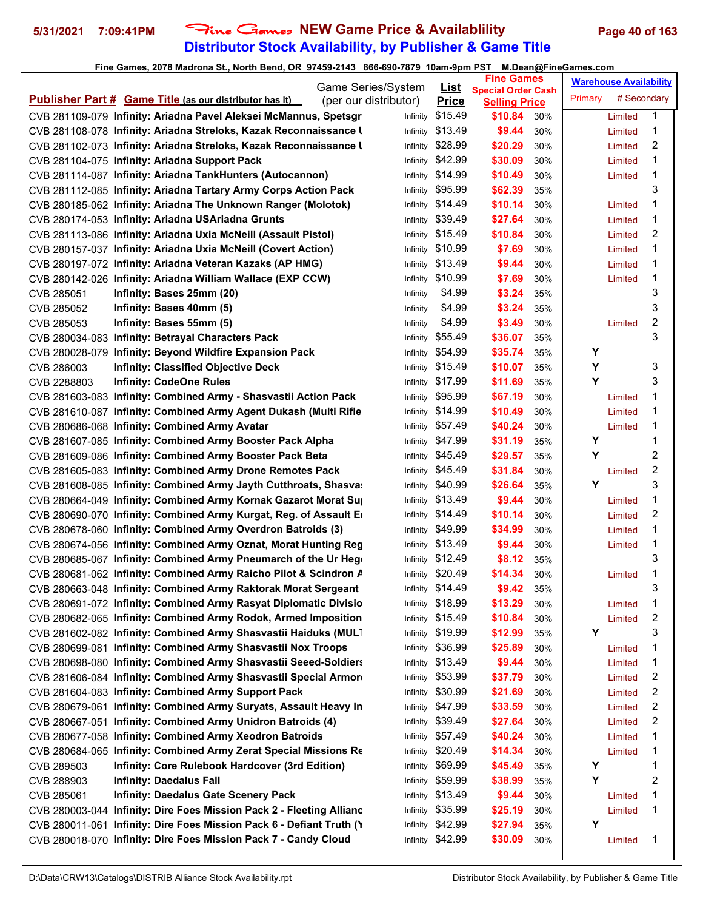# **Distributor Stock Availability, by Publisher & Game Title** 5/31/2021 7:09:41PM Fine Games NEW Game Price & Availablility Page 40 of 163

|             | Game Series/System                                                    |  | <u>List</u>           | <b>Fine Games</b> |                                                   | <b>Warehouse Availability</b> |         |             |                |
|-------------|-----------------------------------------------------------------------|--|-----------------------|-------------------|---------------------------------------------------|-------------------------------|---------|-------------|----------------|
|             | <b>Publisher Part # Game Title (as our distributor has it)</b>        |  | (per our distributor) | <b>Price</b>      | <b>Special Order Cash</b><br><b>Selling Price</b> |                               | Primary | # Secondary |                |
|             | CVB 281109-079 Infinity: Ariadna Pavel Aleksei McMannus, Spetsgr      |  | Infinity              | \$15.49           | \$10.84                                           | 30%                           |         | Limited     | 1              |
|             | CVB 281108-078 Infinity: Ariadna Streloks, Kazak Reconnaissance I     |  | Infinity              | \$13.49           | \$9.44                                            | 30%                           |         | Limited     | 1              |
|             | CVB 281102-073 Infinity: Ariadna Streloks, Kazak Reconnaissance I     |  | Infinity              | \$28.99           | \$20.29                                           | 30%                           |         | Limited     | 2              |
|             | CVB 281104-075 Infinity: Ariadna Support Pack                         |  | Infinity              | \$42.99           | \$30.09                                           | 30%                           |         | Limited     | 1              |
|             | CVB 281114-087 Infinity: Ariadna TankHunters (Autocannon)             |  | Infinity              | \$14.99           | \$10.49                                           | 30%                           |         | Limited     | 1              |
|             | CVB 281112-085 Infinity: Ariadna Tartary Army Corps Action Pack       |  | Infinity              | \$95.99           | \$62.39                                           | 35%                           |         |             | 3              |
|             | CVB 280185-062 Infinity: Ariadna The Unknown Ranger (Molotok)         |  | Infinity              | \$14.49           | \$10.14                                           | 30%                           |         | Limited     | 1              |
|             | CVB 280174-053 Infinity: Ariadna USAriadna Grunts                     |  |                       | Infinity \$39.49  | \$27.64                                           | 30%                           |         | Limited     | 1              |
|             | CVB 281113-086 Infinity: Ariadna Uxia McNeill (Assault Pistol)        |  | Infinity              | \$15.49           | \$10.84                                           | 30%                           |         | Limited     | 2              |
|             | CVB 280157-037 Infinity: Ariadna Uxia McNeill (Covert Action)         |  | Infinity              | \$10.99           | \$7.69                                            | 30%                           |         | Limited     | 1              |
|             | CVB 280197-072 Infinity: Ariadna Veteran Kazaks (AP HMG)              |  | Infinity              | \$13.49           | \$9.44                                            | 30%                           |         | Limited     | 1              |
|             | CVB 280142-026 Infinity: Ariadna William Wallace (EXP CCW)            |  | Infinity              | \$10.99           | \$7.69                                            | 30%                           |         | Limited     | 1              |
| CVB 285051  | Infinity: Bases 25mm (20)                                             |  | Infinity              | \$4.99            | \$3.24                                            | 35%                           |         |             | 3              |
| CVB 285052  | Infinity: Bases 40mm (5)                                              |  | Infinity              | \$4.99            | \$3.24                                            | 35%                           |         |             | 3              |
| CVB 285053  | Infinity: Bases 55mm (5)                                              |  | Infinity              | \$4.99            | \$3.49                                            | 30%                           |         | Limited     | 2              |
|             | CVB 280034-083 Infinity: Betrayal Characters Pack                     |  | Infinity              | \$55.49           | \$36.07                                           | 35%                           |         |             | 3              |
|             | CVB 280028-079 Infinity: Beyond Wildfire Expansion Pack               |  | Infinity              | \$54.99           | \$35.74                                           | 35%                           | Y       |             |                |
| CVB 286003  | <b>Infinity: Classified Objective Deck</b>                            |  | Infinity              | \$15.49           | \$10.07                                           | 35%                           | Y       |             | 3              |
| CVB 2288803 | <b>Infinity: CodeOne Rules</b>                                        |  | Infinity              | \$17.99           | \$11.69                                           | 35%                           | Y       |             | 3              |
|             | CVB 281603-083 Infinity: Combined Army - Shasvastii Action Pack       |  | Infinity              | \$95.99           | \$67.19                                           | 30%                           |         | Limited     | 1              |
|             | CVB 281610-087 Infinity: Combined Army Agent Dukash (Multi Rifle      |  | Infinity              | \$14.99           | \$10.49                                           | 30%                           |         | Limited     | 1              |
|             | CVB 280686-068 Infinity: Combined Army Avatar                         |  |                       | Infinity \$57.49  | \$40.24                                           | 30%                           |         | Limited     | 1              |
|             | CVB 281607-085 Infinity: Combined Army Booster Pack Alpha             |  | Infinity              | \$47.99           | \$31.19                                           | 35%                           | Υ       |             | 1              |
|             | CVB 281609-086 Infinity: Combined Army Booster Pack Beta              |  | Infinity              | \$45.49           | \$29.57                                           | 35%                           | Υ       |             | 2              |
|             | CVB 281605-083 Infinity: Combined Army Drone Remotes Pack             |  | Infinity              | \$45.49           | \$31.84                                           | 30%                           |         | Limited     | $\overline{c}$ |
|             | CVB 281608-085 Infinity: Combined Army Jayth Cutthroats, Shasva       |  | Infinity              | \$40.99           | \$26.64                                           | 35%                           | Υ       |             | 3              |
|             | CVB 280664-049 Infinity: Combined Army Kornak Gazarot Morat Su        |  | Infinity              | \$13.49           | \$9.44                                            | 30%                           |         | Limited     | 1              |
|             | CVB 280690-070 Infinity: Combined Army Kurgat, Reg. of Assault E      |  |                       | Infinity \$14.49  | \$10.14                                           | 30%                           |         | Limited     | 2              |
|             | CVB 280678-060 Infinity: Combined Army Overdron Batroids (3)          |  |                       | Infinity \$49.99  | \$34.99                                           | 30%                           |         | Limited     | 1              |
|             | CVB 280674-056 Infinity: Combined Army Oznat, Morat Hunting Reg       |  |                       | Infinity \$13.49  | \$9.44                                            | 30%                           |         | Limited     | 1              |
|             | CVB 280685-067 Infinity: Combined Army Pneumarch of the Ur Heg        |  |                       | Infinity \$12.49  | \$8.12                                            | 35%                           |         |             | 3              |
|             | CVB 280681-062 Infinity: Combined Army Raicho Pilot & Scindron A      |  |                       | Infinity \$20.49  | \$14.34                                           | 30%                           |         | Limited     | 1              |
|             | CVB 280663-048 Infinity: Combined Army Raktorak Morat Sergeant        |  |                       | Infinity \$14.49  | \$9.42                                            | 35%                           |         |             | 3              |
|             | CVB 280691-072 Infinity: Combined Army Rasyat Diplomatic Divisio      |  |                       | Infinity \$18.99  | \$13.29                                           | 30%                           |         | Limited     | 1              |
|             | CVB 280682-065 Infinity: Combined Army Rodok, Armed Imposition        |  | Infinity              | \$15.49           | \$10.84                                           | 30%                           |         | Limited     | 2              |
|             | CVB 281602-082 Infinity: Combined Army Shasvastii Haiduks (MULT       |  | Infinity              | \$19.99           | \$12.99                                           | 35%                           | Y       |             | 3              |
|             | CVB 280699-081 Infinity: Combined Army Shasvastii Nox Troops          |  | Infinity              | \$36.99           | \$25.89                                           | 30%                           |         | Limited     | 1              |
|             | CVB 280698-080 Infinity: Combined Army Shasvastii Seeed-Soldiers      |  | Infinity              | \$13.49           | \$9.44                                            | 30%                           |         | Limited     | 1              |
|             | CVB 281606-084 Infinity: Combined Army Shasvastii Special Armor       |  | Infinity              | \$53.99           | \$37.79                                           | 30%                           |         | Limited     | 2              |
|             | CVB 281604-083 Infinity: Combined Army Support Pack                   |  | Infinity              | \$30.99           | \$21.69                                           | 30%                           |         | Limited     | 2              |
|             | CVB 280679-061 Infinity: Combined Army Suryats, Assault Heavy In      |  | Infinity              | \$47.99           | \$33.59                                           | 30%                           |         | Limited     | 2              |
|             | CVB 280667-051 Infinity: Combined Army Unidron Batroids (4)           |  | Infinity              | \$39.49           | \$27.64                                           | 30%                           |         | Limited     | 2              |
|             | CVB 280677-058 Infinity: Combined Army Xeodron Batroids               |  | Infinity              | \$57.49           | \$40.24                                           | 30%                           |         | Limited     | 1              |
|             | CVB 280684-065 Infinity: Combined Army Zerat Special Missions Re      |  | Infinity              | \$20.49           | \$14.34                                           | 30%                           |         | Limited     | 1              |
| CVB 289503  | Infinity: Core Rulebook Hardcover (3rd Edition)                       |  | Infinity              | \$69.99           | \$45.49                                           | 35%                           | Y       |             | 1              |
| CVB 288903  | <b>Infinity: Daedalus Fall</b>                                        |  | Infinity              | \$59.99           | \$38.99                                           | 35%                           | Y       |             | 2              |
| CVB 285061  | <b>Infinity: Daedalus Gate Scenery Pack</b>                           |  | Infinity              | \$13.49           | \$9.44                                            | 30%                           |         | Limited     | 1              |
|             | CVB 280003-044 Infinity: Dire Foes Mission Pack 2 - Fleeting Allianc  |  | Infinity              | \$35.99           | \$25.19                                           | 30%                           |         | Limited     | 1              |
|             | CVB 280011-061 Infinity: Dire Foes Mission Pack 6 - Defiant Truth (1) |  | Infinity              | \$42.99           | \$27.94                                           | 35%                           | Y       |             |                |
|             | CVB 280018-070 Infinity: Dire Foes Mission Pack 7 - Candy Cloud       |  | Infinity              | \$42.99           | \$30.09                                           | 30%                           |         | Limited     | 1              |
|             |                                                                       |  |                       |                   |                                                   |                               |         |             |                |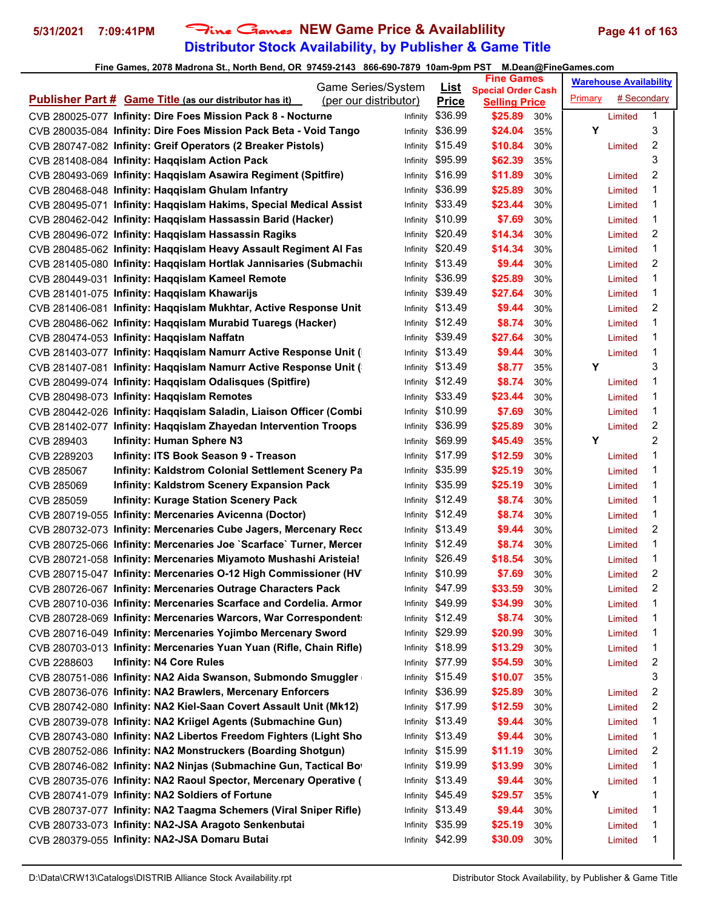# **Distributor Stock Availability, by Publisher & Game Title 5/31/2021 7:09:41PM** Fine Games **NEW Game Price & Availablility Page 41 of 163**

|                                                                                                                                 | Game Series/System    |          | <u>List</u>      | <b>Fine Games</b>                                 |            |         | <b>Warehouse Availability</b> |        |
|---------------------------------------------------------------------------------------------------------------------------------|-----------------------|----------|------------------|---------------------------------------------------|------------|---------|-------------------------------|--------|
| <b>Publisher Part # Game Title (as our distributor has it)</b>                                                                  | (per our distributor) |          | <b>Price</b>     | <b>Special Order Cash</b><br><b>Selling Price</b> |            | Primary | # Secondary                   |        |
| CVB 280025-077 Infinity: Dire Foes Mission Pack 8 - Nocturne                                                                    |                       | Infinity | \$36.99          | \$25.89                                           | 30%        |         | Limited                       | 1      |
| CVB 280035-084 Infinity: Dire Foes Mission Pack Beta - Void Tango                                                               |                       | Infinity | \$36.99          | \$24.04                                           | 35%        | Υ       |                               | 3      |
| CVB 280747-082 Infinity: Greif Operators (2 Breaker Pistols)                                                                    |                       | Infinity | \$15.49          | \$10.84                                           | 30%        |         | Limited                       | 2      |
| CVB 281408-084 Infinity: Haqqislam Action Pack                                                                                  |                       | Infinity | \$95.99          | \$62.39                                           | 35%        |         |                               | 3      |
| CVB 280493-069 Infinity: Haqqislam Asawira Regiment (Spitfire)                                                                  |                       | Infinity | \$16.99          | \$11.89                                           | 30%        |         | Limited                       | 2      |
| CVB 280468-048 Infinity: Haqqislam Ghulam Infantry                                                                              |                       | Infinity | \$36.99          | \$25.89                                           | 30%        |         | Limited                       | 1      |
| CVB 280495-071 Infinity: Haqqislam Hakims, Special Medical Assist                                                               |                       | Infinity | \$33.49          | \$23.44                                           | 30%        |         | Limited                       | 1      |
| CVB 280462-042 Infinity: Haqqislam Hassassin Barid (Hacker)                                                                     |                       | Infinity | \$10.99          | \$7.69                                            | 30%        |         | Limited                       | 1      |
| CVB 280496-072 Infinity: Haqqislam Hassassin Ragiks                                                                             |                       | Infinity | \$20.49          | \$14.34                                           | 30%        |         | Limited                       | 2      |
| CVB 280485-062 Infinity: Haqqislam Heavy Assault Regiment Al Fas                                                                |                       | Infinity | \$20.49          | \$14.34                                           | 30%        |         | Limited                       | 1      |
| CVB 281405-080 Infinity: Haqqislam Hortlak Jannisaries (Submaching)                                                             |                       | Infinity | \$13.49          | \$9.44                                            | 30%        |         | Limited                       | 2      |
| CVB 280449-031 Infinity: Haqqislam Kameel Remote                                                                                |                       | Infinity | \$36.99          | \$25.89                                           | 30%        |         | Limited                       | 1      |
| CVB 281401-075 Infinity: Haqqislam Khawarijs                                                                                    |                       |          | Infinity \$39.49 | \$27.64                                           | 30%        |         |                               | 1      |
|                                                                                                                                 |                       |          | Infinity \$13.49 | \$9.44                                            | 30%        |         | Limited                       | 2      |
| CVB 281406-081 Infinity: Haqqislam Mukhtar, Active Response Unit<br>CVB 280486-062 Infinity: Haqqislam Murabid Tuaregs (Hacker) |                       |          | \$12.49          |                                                   | 30%        |         | Limited                       | 1      |
|                                                                                                                                 |                       | Infinity | Infinity \$39.49 | \$8.74                                            |            |         | Limited                       | 1      |
| CVB 280474-053 Infinity: Haqqislam Naffatn<br>CVB 281403-077 Infinity: Haqqislam Namurr Active Response Unit (                  |                       |          | Infinity \$13.49 | \$27.64<br>\$9.44                                 | 30%<br>30% |         | Limited                       | 1      |
|                                                                                                                                 |                       |          | \$13.49          |                                                   |            | Y       | Limited                       |        |
| CVB 281407-081 Infinity: Haqqislam Namurr Active Response Unit (                                                                |                       | Infinity |                  | \$8.77                                            | 35%        |         |                               | 3      |
| CVB 280499-074 Infinity: Haqqislam Odalisques (Spitfire)                                                                        |                       | Infinity | \$12.49          | \$8.74<br>\$23.44                                 | 30%        |         | Limited                       | 1<br>1 |
| CVB 280498-073 Infinity: Haqqislam Remotes                                                                                      |                       |          | Infinity \$33.49 |                                                   | 30%        |         | Limited                       |        |
| CVB 280442-026 Infinity: Haqqislam Saladin, Liaison Officer (Combi                                                              |                       |          | Infinity \$10.99 | \$7.69                                            | 30%        |         | Limited                       | 1      |
| CVB 281402-077 Infinity: Haqqislam Zhayedan Intervention Troops                                                                 |                       | Infinity | \$36.99          | \$25.89                                           | 30%        |         | Limited                       | 2      |
| <b>Infinity: Human Sphere N3</b><br>CVB 289403                                                                                  |                       | Infinity | \$69.99          | \$45.49                                           | 35%        | Υ       |                               | 2      |
| Infinity: ITS Book Season 9 - Treason<br>CVB 2289203                                                                            |                       | Infinity | \$17.99          | \$12.59                                           | 30%        |         | Limited                       | 1      |
| Infinity: Kaldstrom Colonial Settlement Scenery Pa<br>CVB 285067                                                                |                       | Infinity | \$35.99          | \$25.19                                           | 30%        |         | Limited                       | 1      |
| CVB 285069<br><b>Infinity: Kaldstrom Scenery Expansion Pack</b>                                                                 |                       | Infinity | \$35.99          | \$25.19                                           | 30%        |         | Limited                       | 1      |
| <b>Infinity: Kurage Station Scenery Pack</b><br>CVB 285059                                                                      |                       |          | Infinity \$12.49 | \$8.74                                            | 30%        |         | Limited                       | 1      |
| CVB 280719-055 Infinity: Mercenaries Avicenna (Doctor)                                                                          |                       |          | Infinity \$12.49 | \$8.74                                            | 30%        |         | Limited                       | 1      |
| CVB 280732-073 Infinity: Mercenaries Cube Jagers, Mercenary Reco                                                                |                       | Infinity | \$13.49          | \$9.44                                            | 30%        |         | Limited                       | 2      |
| CVB 280725-066 Infinity: Mercenaries Joe `Scarface` Turner, Mercer                                                              |                       |          | Infinity \$12.49 | \$8.74                                            | 30%        |         | Limited                       | 1      |
| CVB 280721-058 Infinity: Mercenaries Miyamoto Mushashi Aristeia!                                                                |                       |          | Infinity \$26.49 | \$18.54                                           | 30%        |         | Limited                       | 1      |
| CVB 280715-047 Infinity: Mercenaries O-12 High Commissioner (HV                                                                 |                       |          | Infinity \$10.99 | \$7.69                                            | 30%        |         | Limited                       | 2      |
| CVB 280726-067 Infinity: Mercenaries Outrage Characters Pack                                                                    |                       |          | Infinity \$47.99 | \$33.59                                           | 30%        |         | Limited                       | 2      |
| CVB 280710-036 Infinity: Mercenaries Scarface and Cordelia. Armor                                                               |                       |          | Infinity \$49.99 | \$34.99                                           | 30%        |         | Limited                       | 1      |
| CVB 280728-069 Infinity: Mercenaries Warcors, War Correspondent                                                                 |                       |          | Infinity \$12.49 | \$8.74                                            | 30%        |         | Limited                       | 1      |
| CVB 280716-049 Infinity: Mercenaries Yojimbo Mercenary Sword                                                                    |                       | Infinity | \$29.99          | \$20.99                                           | 30%        |         | Limited                       | 1      |
| CVB 280703-013 Infinity: Mercenaries Yuan Yuan (Rifle, Chain Rifle)                                                             |                       | Infinity | \$18.99          | \$13.29                                           | 30%        |         | Limited                       | 1      |
| <b>Infinity: N4 Core Rules</b><br>CVB 2288603                                                                                   |                       | Infinity | \$77.99          | \$54.59                                           | 30%        |         | Limited                       | 2      |
| CVB 280751-086 Infinity: NA2 Aida Swanson, Submondo Smuggler                                                                    |                       | Infinity | \$15.49          | \$10.07                                           | 35%        |         |                               | 3      |
| CVB 280736-076 Infinity: NA2 Brawlers, Mercenary Enforcers                                                                      |                       | Infinity | \$36.99          | \$25.89                                           | 30%        |         | Limited                       | 2      |
| CVB 280742-080 Infinity: NA2 Kiel-Saan Covert Assault Unit (Mk12)                                                               |                       |          | Infinity \$17.99 | \$12.59                                           | 30%        |         | Limited                       | 2      |
| CVB 280739-078 Infinity: NA2 Kriigel Agents (Submachine Gun)                                                                    |                       |          | Infinity \$13.49 | \$9.44                                            | 30%        |         | Limited                       | 1      |
| CVB 280743-080 Infinity: NA2 Libertos Freedom Fighters (Light Sho                                                               |                       |          | Infinity \$13.49 | \$9.44                                            | 30%        |         | Limited                       | 1      |
| CVB 280752-086 Infinity: NA2 Monstruckers (Boarding Shotgun)                                                                    |                       |          | Infinity \$15.99 | \$11.19                                           | 30%        |         | Limited                       | 2      |
| CVB 280746-082 Infinity: NA2 Ninjas (Submachine Gun, Tactical Bo                                                                |                       |          | Infinity \$19.99 | \$13.99                                           | 30%        |         | Limited                       | 1      |
| CVB 280735-076 Infinity: NA2 Raoul Spector, Mercenary Operative (                                                               |                       | Infinity | \$13.49          | \$9.44                                            | 30%        |         | Limited                       | 1      |
| CVB 280741-079 Infinity: NA2 Soldiers of Fortune                                                                                |                       | Infinity | \$45.49          | \$29.57                                           | 35%        | Y       |                               | 1      |
| CVB 280737-077 Infinity: NA2 Taagma Schemers (Viral Sniper Rifle)                                                               |                       |          | Infinity \$13.49 | \$9.44                                            | 30%        |         | Limited                       | 1      |
| CVB 280733-073 Infinity: NA2-JSA Aragoto Senkenbutai                                                                            |                       | Infinity | \$35.99          | \$25.19                                           | 30%        |         | Limited                       | 1      |
| CVB 280379-055 Infinity: NA2-JSA Domaru Butai                                                                                   |                       | Infinity | \$42.99          | \$30.09                                           | 30%        |         | Limited                       | 1      |
|                                                                                                                                 |                       |          |                  |                                                   |            |         |                               |        |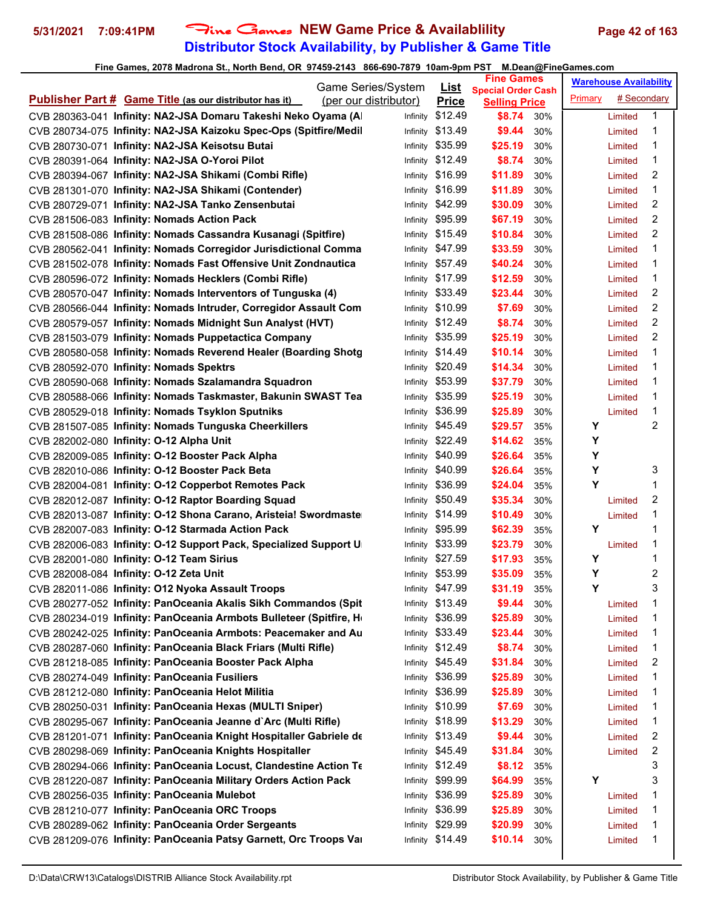# **Distributor Stock Availability, by Publisher & Game Title 5/31/2021 7:09:41PM** Fine Games **NEW Game Price & Availablility Page 42 of 163**

|                                                                    | Game Series/System    |                             | <b>Fine Games</b>                                 |     |         | <b>Warehouse Availability</b> |   |
|--------------------------------------------------------------------|-----------------------|-----------------------------|---------------------------------------------------|-----|---------|-------------------------------|---|
| <b>Publisher Part # Game Title (as our distributor has it)</b>     | (per our distributor) | <u>List</u><br><b>Price</b> | <b>Special Order Cash</b><br><b>Selling Price</b> |     | Primary | # Secondary                   |   |
| CVB 280363-041 Infinity: NA2-JSA Domaru Takeshi Neko Oyama (A      | Infinity              | \$12.49                     | \$8.74                                            | 30% |         | Limited                       | 1 |
| CVB 280734-075 Infinity: NA2-JSA Kaizoku Spec-Ops (Spitfire/Medil  | Infinity              | \$13.49                     | \$9.44                                            | 30% |         | Limited                       | 1 |
| CVB 280730-071 Infinity: NA2-JSA Keisotsu Butai                    | Infinity              | \$35.99                     | \$25.19                                           | 30% |         | Limited                       | 1 |
| CVB 280391-064 Infinity: NA2-JSA O-Yoroi Pilot                     |                       | Infinity \$12.49            | \$8.74                                            | 30% |         | Limited                       | 1 |
| CVB 280394-067 Infinity: NA2-JSA Shikami (Combi Rifle)             |                       | Infinity \$16.99            | \$11.89                                           | 30% |         | Limited                       | 2 |
| CVB 281301-070 Infinity: NA2-JSA Shikami (Contender)               |                       | Infinity \$16.99            | \$11.89                                           | 30% |         | Limited                       | 1 |
| CVB 280729-071 Infinity: NA2-JSA Tanko Zensenbutai                 |                       | Infinity \$42.99            | \$30.09                                           | 30% |         | Limited                       | 2 |
| CVB 281506-083 Infinity: Nomads Action Pack                        |                       | Infinity \$95.99            | \$67.19                                           | 30% |         | Limited                       | 2 |
| CVB 281508-086 Infinity: Nomads Cassandra Kusanagi (Spitfire)      |                       | Infinity \$15.49            | \$10.84                                           | 30% |         | Limited                       | 2 |
| CVB 280562-041 Infinity: Nomads Corregidor Jurisdictional Comma    |                       | Infinity \$47.99            | \$33.59                                           | 30% |         | Limited                       | 1 |
| CVB 281502-078 Infinity: Nomads Fast Offensive Unit Zondnautica    |                       | Infinity \$57.49            | \$40.24                                           | 30% |         | Limited                       | 1 |
| CVB 280596-072 Infinity: Nomads Hecklers (Combi Rifle)             |                       | Infinity \$17.99            | \$12.59                                           | 30% |         | Limited                       | 1 |
| CVB 280570-047 Infinity: Nomads Interventors of Tunguska (4)       |                       | Infinity \$33.49            | \$23.44                                           | 30% |         | Limited                       | 2 |
| CVB 280566-044 Infinity: Nomads Intruder, Corregidor Assault Com   |                       | Infinity \$10.99            | \$7.69                                            | 30% |         | Limited                       | 2 |
| CVB 280579-057 Infinity: Nomads Midnight Sun Analyst (HVT)         |                       | Infinity \$12.49            | \$8.74                                            | 30% |         | Limited                       | 2 |
| CVB 281503-079 Infinity: Nomads Puppetactica Company               |                       | Infinity \$35.99            | \$25.19                                           | 30% |         | Limited                       | 2 |
| CVB 280580-058 Infinity: Nomads Reverend Healer (Boarding Shotg    | Infinity              | \$14.49                     | \$10.14                                           | 30% |         | Limited                       | 1 |
| CVB 280592-070 Infinity: Nomads Spektrs                            | Infinity              | \$20.49                     | \$14.34                                           | 30% |         | Limited                       | 1 |
| CVB 280590-068 Infinity: Nomads Szalamandra Squadron               |                       | Infinity \$53.99            | \$37.79                                           | 30% |         | Limited                       | 1 |
| CVB 280588-066 Infinity: Nomads Taskmaster, Bakunin SWAST Tea      |                       | Infinity \$35.99            | \$25.19                                           | 30% |         | Limited                       | 1 |
| CVB 280529-018 Infinity: Nomads Tsyklon Sputniks                   | Infinity              | \$36.99                     | \$25.89                                           | 30% |         | Limited                       | 1 |
| CVB 281507-085 Infinity: Nomads Tunguska Cheerkillers              |                       | Infinity \$45.49            | \$29.57                                           | 35% | Υ       |                               | 2 |
| CVB 282002-080 Infinity: 0-12 Alpha Unit                           | Infinity              | \$22.49                     | \$14.62                                           | 35% | Υ       |                               |   |
| CVB 282009-085 Infinity: 0-12 Booster Pack Alpha                   | Infinity              | \$40.99                     | \$26.64                                           | 35% | Υ       |                               |   |
| CVB 282010-086 Infinity: O-12 Booster Pack Beta                    | Infinity              | \$40.99                     | \$26.64                                           | 35% | Υ       |                               | 3 |
| CVB 282004-081 Infinity: O-12 Copperbot Remotes Pack               | Infinity              | \$36.99                     | \$24.04                                           | 35% | Υ       |                               | 1 |
| CVB 282012-087 Infinity: O-12 Raptor Boarding Squad                |                       | Infinity \$50.49            | \$35.34                                           | 30% |         | Limited                       | 2 |
| CVB 282013-087 Infinity: O-12 Shona Carano, Aristeia! Swordmaste   |                       | Infinity \$14.99            | \$10.49                                           | 30% |         | Limited                       | 1 |
| CVB 282007-083 Infinity: O-12 Starmada Action Pack                 |                       | Infinity \$95.99            | \$62.39                                           | 35% | Υ       |                               | 1 |
| CVB 282006-083 Infinity: O-12 Support Pack, Specialized Support U  | Infinity              | \$33.99                     | \$23.79                                           | 30% |         | Limited                       | 1 |
| CVB 282001-080 Infinity: 0-12 Team Sirius                          |                       | Infinity \$27.59            | \$17.93                                           | 35% | Y       |                               | 1 |
| CVB 282008-084 Infinity: O-12 Zeta Unit                            |                       | Infinity \$53.99            | \$35.09                                           | 35% | Υ       |                               | 2 |
| CVB 282011-086 Infinity: O12 Nyoka Assault Troops                  |                       | Infinity \$47.99            | \$31.19                                           | 35% | Y       |                               | 3 |
| CVB 280277-052 Infinity: PanOceania Akalis Sikh Commandos (Spit    |                       | Infinity \$13.49            | \$9.44                                            | 30% |         | Limited                       | 1 |
| CVB 280234-019 Infinity: PanOceania Armbots Bulleteer (Spitfire, H | Infinity              | \$36.99                     | \$25.89                                           | 30% |         | Limited                       | 1 |
| CVB 280242-025 Infinity: PanOceania Armbots: Peacemaker and Au     |                       | Infinity \$33.49            | \$23.44                                           | 30% |         | Limited                       | 1 |
| CVB 280287-060 Infinity: PanOceania Black Friars (Multi Rifle)     | Infinity              | \$12.49                     | \$8.74                                            | 30% |         | Limited                       | 1 |
| CVB 281218-085 Infinity: PanOceania Booster Pack Alpha             | Infinity              | \$45.49                     | \$31.84                                           | 30% |         | Limited                       | 2 |
| CVB 280274-049 Infinity: PanOceania Fusiliers                      | Infinity              | \$36.99                     | \$25.89                                           | 30% |         | Limited                       | 1 |
| CVB 281212-080 Infinity: PanOceania Helot Militia                  | Infinity              | \$36.99                     | \$25.89                                           | 30% |         | Limited                       | 1 |
| CVB 280250-031 Infinity: PanOceania Hexas (MULTI Sniper)           |                       | Infinity \$10.99            | \$7.69                                            | 30% |         | Limited                       | 1 |
| CVB 280295-067 Infinity: PanOceania Jeanne d'Arc (Multi Rifle)     |                       | Infinity \$18.99            | \$13.29                                           | 30% |         | Limited                       | 1 |
| CVB 281201-071 Infinity: PanOceania Knight Hospitaller Gabriele de |                       | Infinity \$13.49            | \$9.44                                            | 30% |         | Limited                       | 2 |
| CVB 280298-069 Infinity: PanOceania Knights Hospitaller            | Infinity              | \$45.49                     | \$31.84                                           | 30% |         | Limited                       | 2 |
| CVB 280294-066 Infinity: PanOceania Locust, Clandestine Action Te  | Infinity              | \$12.49                     | \$8.12                                            | 35% |         |                               | 3 |
| CVB 281220-087 Infinity: PanOceania Military Orders Action Pack    | Infinity              | \$99.99                     | \$64.99                                           | 35% | Y       |                               | 3 |
| CVB 280256-035 Infinity: PanOceania Mulebot                        | Infinity              | \$36.99                     | \$25.89                                           | 30% |         | Limited                       | 1 |
| CVB 281210-077 Infinity: PanOceania ORC Troops                     | Infinity              | \$36.99                     | \$25.89                                           | 30% |         | Limited                       | 1 |
| CVB 280289-062 Infinity: PanOceania Order Sergeants                | Infinity              | \$29.99                     | \$20.99                                           | 30% |         | Limited                       | 1 |
| CVB 281209-076 Infinity: PanOceania Patsy Garnett, Orc Troops Var  | Infinity              | \$14.49                     | \$10.14                                           | 30% |         | Limited                       | 1 |
|                                                                    |                       |                             |                                                   |     |         |                               |   |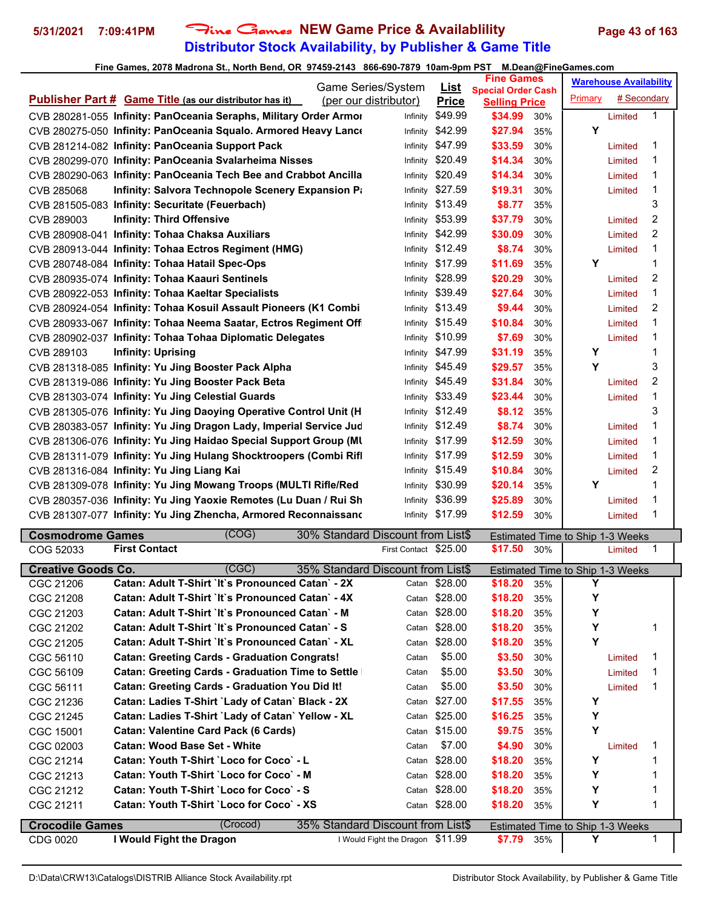# **Distributor Stock Availability, by Publisher & Game Title 5/31/2021 7:09:41PM** Fine Games **NEW Game Price & Availablility Page 43 of 163**

### **Fine Games, 2078 Madrona St., North Bend, OR 97459-2143 866-690-7879 10am-9pm PST M.Dean@FineGames.com**

| $\frac{1}{2}$ and cannot, for a magnetic capture of $\frac{1}{2}$ and $\frac{1}{2}$ are $\frac{1}{2}$ and $\frac{1}{2}$ and $\frac{1}{2}$ and $\frac{1}{2}$ |                                                                    |                       |                  | <b>Fine Games</b>         |     | m.bodn@rmoodmoo.com              | <b>Warehouse Availability</b> |   |
|-------------------------------------------------------------------------------------------------------------------------------------------------------------|--------------------------------------------------------------------|-----------------------|------------------|---------------------------|-----|----------------------------------|-------------------------------|---|
|                                                                                                                                                             |                                                                    | Game Series/System    | <u>List</u>      | <b>Special Order Cash</b> |     | Primary                          | # Secondary                   |   |
|                                                                                                                                                             | <b>Publisher Part # Game Title (as our distributor has it)</b>     | (per our distributor) | <b>Price</b>     | <b>Selling Price</b>      |     |                                  |                               |   |
|                                                                                                                                                             | CVB 280281-055 Infinity: PanOceania Seraphs, Military Order Armor  | Infinity              | \$49.99          | \$34.99                   | 30% |                                  | Limited                       | 1 |
|                                                                                                                                                             | CVB 280275-050 Infinity: PanOceania Squalo. Armored Heavy Lance    | Infinity              | \$42.99          | \$27.94                   | 35% | Y                                |                               |   |
|                                                                                                                                                             | CVB 281214-082 Infinity: PanOceania Support Pack                   | Infinity              | \$47.99          | \$33.59                   | 30% |                                  | Limited                       | 1 |
|                                                                                                                                                             | CVB 280299-070 Infinity: PanOceania Svalarheima Nisses             | Infinity              | \$20.49          | \$14.34                   | 30% |                                  | Limited                       | 1 |
|                                                                                                                                                             | CVB 280290-063 Infinity: PanOceania Tech Bee and Crabbot Ancilla   | Infinity              | \$20.49          | \$14.34                   | 30% |                                  | Limited                       | 1 |
| CVB 285068                                                                                                                                                  | Infinity: Salvora Technopole Scenery Expansion Pa                  | Infinity              | \$27.59          | \$19.31                   | 30% |                                  | Limited                       | 1 |
|                                                                                                                                                             | CVB 281505-083 Infinity: Securitate (Feuerbach)                    | Infinity              | \$13.49          | \$8.77                    | 35% |                                  |                               | 3 |
| CVB 289003                                                                                                                                                  | <b>Infinity: Third Offensive</b>                                   | Infinity              | \$53.99          | \$37.79                   | 30% |                                  | Limited                       | 2 |
|                                                                                                                                                             | CVB 280908-041 Infinity: Tohaa Chaksa Auxiliars                    | Infinity              | \$42.99          | \$30.09                   | 30% |                                  | Limited                       | 2 |
|                                                                                                                                                             | CVB 280913-044 Infinity: Tohaa Ectros Regiment (HMG)               | Infinity              | \$12.49          | \$8.74                    | 30% |                                  | Limited                       | 1 |
|                                                                                                                                                             | CVB 280748-084 Infinity: Tohaa Hatail Spec-Ops                     | Infinity              | \$17.99          | \$11.69                   | 35% | Υ                                |                               | 1 |
|                                                                                                                                                             | CVB 280935-074 Infinity: Tohaa Kaauri Sentinels                    | Infinity              | \$28.99          | \$20.29                   | 30% |                                  | Limited                       | 2 |
|                                                                                                                                                             | CVB 280922-053 Infinity: Tohaa Kaeltar Specialists                 | Infinity              | \$39.49          | \$27.64                   | 30% |                                  | Limited                       | 1 |
|                                                                                                                                                             | CVB 280924-054 Infinity: Tohaa Kosuil Assault Pioneers (K1 Combi   | Infinity              | \$13.49          | \$9.44                    | 30% |                                  | Limited                       | 2 |
|                                                                                                                                                             | CVB 280933-067 Infinity: Tohaa Neema Saatar, Ectros Regiment Off   | Infinity              | \$15.49          | \$10.84                   | 30% |                                  | Limited                       | 1 |
|                                                                                                                                                             | CVB 280902-037 Infinity: Tohaa Tohaa Diplomatic Delegates          | Infinity              | \$10.99          | \$7.69                    | 30% |                                  | Limited                       | 1 |
| CVB 289103                                                                                                                                                  | <b>Infinity: Uprising</b>                                          | Infinity              | \$47.99          | \$31.19                   | 35% | Υ                                |                               | 1 |
|                                                                                                                                                             | CVB 281318-085 Infinity: Yu Jing Booster Pack Alpha                | Infinity              | \$45.49          | \$29.57                   | 35% | Y                                |                               | 3 |
|                                                                                                                                                             | CVB 281319-086 Infinity: Yu Jing Booster Pack Beta                 | Infinity              | \$45.49          | \$31.84                   | 30% |                                  | Limited                       | 2 |
|                                                                                                                                                             | CVB 281303-074 Infinity: Yu Jing Celestial Guards                  | Infinity              | \$33.49          | \$23.44                   | 30% |                                  | Limited                       | 1 |
|                                                                                                                                                             | CVB 281305-076 Infinity: Yu Jing Daoying Operative Control Unit (H | Infinity              | \$12.49          | \$8.12                    | 35% |                                  |                               | 3 |
|                                                                                                                                                             | CVB 280383-057 Infinity: Yu Jing Dragon Lady, Imperial Service Jud | Infinity              | \$12.49          | \$8.74                    | 30% |                                  | Limited                       | 1 |
|                                                                                                                                                             | CVB 281306-076 Infinity: Yu Jing Haidao Special Support Group (MI  | Infinity              | \$17.99          | \$12.59                   | 30% |                                  | Limited                       | 1 |
|                                                                                                                                                             | CVB 281311-079 Infinity: Yu Jing Hulang Shocktroopers (Combi Rifl  | Infinity              | \$17.99          | \$12.59                   | 30% |                                  | Limited                       | 1 |
|                                                                                                                                                             | CVB 281316-084 Infinity: Yu Jing Liang Kai                         | Infinity              | \$15.49          | \$10.84                   | 30% |                                  | Limited                       | 2 |
|                                                                                                                                                             | CVB 281309-078 Infinity: Yu Jing Mowang Troops (MULTI Rifle/Red    | Infinity              | \$30.99          | \$20.14                   | 35% | Υ                                |                               | 1 |
|                                                                                                                                                             | CVB 280357-036 Infinity: Yu Jing Yaoxie Remotes (Lu Duan / Rui Sh  | Infinity              | \$36.99          | \$25.89                   | 30% |                                  | Limited                       | 1 |
|                                                                                                                                                             | CVB 281307-077 Infinity: Yu Jing Zhencha, Armored Reconnaissand    |                       | Infinity \$17.99 | \$12.59                   | 30% |                                  | Limited                       | 1 |
| <b>Cosmodrome Games</b>                                                                                                                                     | (COG)<br>30% Standard Discount from List\$                         |                       |                  |                           |     | Estimated Time to Ship 1-3 Weeks |                               |   |
| COG 52033                                                                                                                                                   | <b>First Contact</b>                                               | First Contact \$25.00 |                  | \$17.50                   | 30% |                                  | Limited                       | 1 |
| <b>Creative Goods Co.</b>                                                                                                                                   | (CGC)<br>35% Standard Discount from List\$                         |                       |                  |                           |     | Estimated Time to Ship 1-3 Weeks |                               |   |
| CGC 21206                                                                                                                                                   | Catan: Adult T-Shirt `It`s Pronounced Catan` - 2X                  |                       | Catan \$28.00    | \$18.20                   | 35% | Υ                                |                               |   |
| CGC 21208                                                                                                                                                   | Catan: Adult T-Shirt `It`s Pronounced Catan` - 4X                  |                       | Catan \$28.00    | \$18.20                   | 35% | Υ                                |                               |   |
| CGC 21203                                                                                                                                                   | Catan: Adult T-Shirt `It`s Pronounced Catan` - M                   |                       | Catan \$28.00    | \$18.20                   | 35% | Υ                                |                               |   |
| CGC 21202                                                                                                                                                   | Catan: Adult T-Shirt `It`s Pronounced Catan` - S                   |                       | Catan \$28.00    | \$18.20                   | 35% | Υ                                |                               | 1 |
| CGC 21205                                                                                                                                                   | Catan: Adult T-Shirt `It`s Pronounced Catan` - XL                  |                       | Catan \$28.00    | \$18.20                   | 35% | Y                                |                               |   |
| CGC 56110                                                                                                                                                   | <b>Catan: Greeting Cards - Graduation Congrats!</b>                | Catan                 | \$5.00           | \$3.50                    | 30% |                                  | Limited                       | 1 |
| CGC 56109                                                                                                                                                   | <b>Catan: Greeting Cards - Graduation Time to Settle</b>           | Catan                 | \$5.00           | \$3.50                    | 30% |                                  | Limited                       | 1 |
| CGC 56111                                                                                                                                                   | Catan: Greeting Cards - Graduation You Did It!                     | Catan                 | \$5.00           | \$3.50                    | 30% |                                  | Limited                       | 1 |
| CGC 21236                                                                                                                                                   | Catan: Ladies T-Shirt `Lady of Catan` Black - 2X                   | Catan                 | \$27.00          | \$17.55                   | 35% | Y                                |                               |   |
| CGC 21245                                                                                                                                                   | Catan: Ladies T-Shirt `Lady of Catan` Yellow - XL                  |                       | Catan \$25.00    | \$16.25                   | 35% | Υ                                |                               |   |
| CGC 15001                                                                                                                                                   | <b>Catan: Valentine Card Pack (6 Cards)</b>                        |                       | Catan \$15.00    | \$9.75                    | 35% | Y                                |                               |   |
| CGC 02003                                                                                                                                                   | <b>Catan: Wood Base Set - White</b>                                | Catan                 | \$7.00           | \$4.90                    | 30% |                                  | Limited                       |   |

CGC 21214 **Catan: Youth T-Shirt `Loco for Coco` - L** Catan \$28.00 **\$18.20** 35% **Y** 1 CGC 21213 **Catan: Youth T-Shirt `Loco for Coco` - M** Catan \$28.00 **\$18.20** 35% **Y** 1 CGC 21212 **Catan: Youth T-Shirt `Loco for Coco` - S** Catan \$28.00 **\$18.20** 35% **Y** 1 CGC 21211 **Catan: Youth T-Shirt `Loco for Coco` - XS** Catan \$28.00 **\$18.20** 35% **Y** 1 **Crocodile Games** (Crocod) 35% Standard Discount from List\$ Estimated Time to Ship 1-3 Weeks CDG 0020 **I Would Fight the Dragon** I Would Fight the Dragon \$11.99 **\$7.79** 35% **Y** 1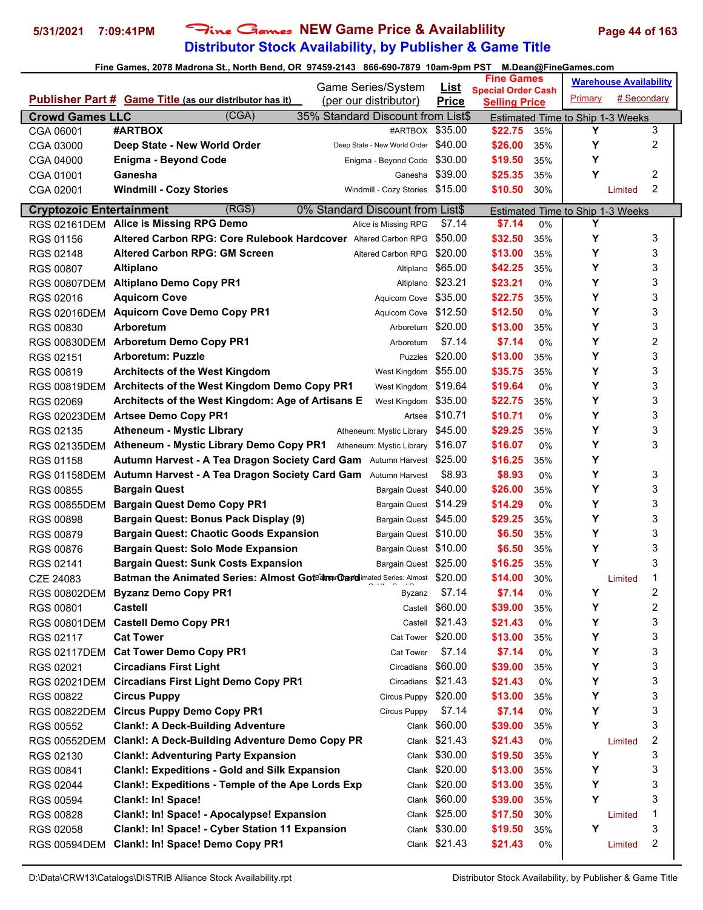# **Distributor Stock Availability, by Publisher & Game Title 5/31/2021 7:09:41PM** Fine Games **NEW Game Price & Availablility Page 44 of 163**

| <b>Special Order Cash</b><br># Secondary<br>Primary<br><b>Publisher Part # Game Title (as our distributor has it)</b><br>(per our distributor)<br><b>Price</b><br><b>Selling Price</b><br>(CGA)<br><b>Crowd Games LLC</b><br>35% Standard Discount from List\$<br>Estimated Time to Ship 1-3 Weeks<br>#ARTBOX<br>#ARTBOX \$35.00<br>Y<br>3<br>\$22.75<br>CGA 06001<br>35%<br>Y<br>2<br>Deep State - New World Order<br>Deep State - New World Order<br>\$40.00<br>\$26.00<br>CGA 03000<br>35%<br>Υ<br>\$30.00<br><b>Enigma - Beyond Code</b><br>\$19.50<br>CGA 04000<br>Enigma - Beyond Code<br>35%<br>$\overline{c}$<br>\$39.00<br>Υ<br>Ganesha<br>\$25.35<br>CGA 01001<br>35%<br>Ganesha<br>2<br><b>Windmill - Cozy Stories</b><br>Windmill - Cozy Stories \$15.00<br>\$10.50<br>30%<br>CGA 02001<br>Limited<br>(RGS)<br>0% Standard Discount from List\$<br><b>Cryptozoic Entertainment</b><br>Estimated Time to Ship 1-3 Weeks<br>Y<br>RGS 02161DEM Alice is Missing RPG Demo<br>\$7.14<br>\$7.14<br>Alice is Missing RPG<br>0%<br>Y<br>3<br>Altered Carbon RPG: Core Rulebook Hardcover Altered Carbon RPG<br>\$50.00<br>\$32.50<br>RGS 01156<br>35%<br>Υ<br><b>Altered Carbon RPG: GM Screen</b><br>3<br>\$20.00<br>\$13.00<br>RGS 02148<br>35%<br>Altered Carbon RPG<br>Υ<br>3<br>\$65.00<br>RGS 00807<br>\$42.25<br><b>Altiplano</b><br>35%<br>Altiplano<br>3<br>Υ<br>\$23.21<br><b>Altiplano Demo Copy PR1</b><br>\$23.21<br><b>RGS 00807DEM</b><br>0%<br>Altiplano<br>Υ<br>3<br><b>Aquicorn Cove</b><br>Aquicorn Cove \$35.00<br>\$22.75<br>RGS 02016<br>35%<br>Υ<br>3<br>RGS 02016DEM Aquicorn Cove Demo Copy PR1<br>Aquicorn Cove \$12.50<br>\$12.50<br>0%<br>3<br>Arboretum \$20.00<br>Υ<br><b>RGS 00830</b><br><b>Arboretum</b><br>\$13.00<br>35%<br>2<br>Y<br>\$7.14<br><b>Arboretum Demo Copy PR1</b><br>\$7.14<br><b>RGS 00830DEM</b><br>0%<br>Arboretum<br>Υ<br>3<br>\$20.00<br><b>Arboretum: Puzzle</b><br>\$13.00<br>RGS 02151<br>35%<br><b>Puzzles</b><br>Y<br>3<br>\$55.00<br>RGS 00819<br><b>Architects of the West Kingdom</b><br>\$35.75<br>West Kingdom<br>35%<br>3<br>Y<br>Architects of the West Kingdom Demo Copy PR1<br>West Kingdom<br>\$19.64<br>\$19.64<br><b>RGS 00819DEM</b><br>0%<br>Υ<br>3<br>Architects of the West Kingdom: Age of Artisans E<br>\$35.00<br>\$22.75<br>RGS 02069<br>West Kingdom<br>35%<br>Υ<br>3<br>RGS 02023DEM Artsee Demo Copy PR1<br>\$10.71<br>\$10.71<br>0%<br>Artsee<br>3<br>Υ<br>\$45.00<br>RGS 02135<br><b>Atheneum - Mystic Library</b><br>\$29.25<br>35%<br>Atheneum: Mystic Library<br>3<br>Y<br><b>RGS 02135DEM</b><br>Atheneum - Mystic Library Demo Copy PR1 Atheneum: Mystic Library<br>\$16.07<br>\$16.07<br>0%<br>Υ<br>Autumn Harvest - A Tea Dragon Society Card Gam Autumn Harvest \$25.00<br>\$16.25<br>RGS 01158<br>35%<br>Y<br>3<br><b>Autumn Harvest - A Tea Dragon Society Card Gam</b> Autumn Harvest<br>\$8.93<br>\$8.93<br><b>RGS 01158DEM</b><br>0%<br>Υ<br>3<br><b>Bargain Quest</b><br>\$40.00<br>RGS 00855<br>\$26.00<br><b>Bargain Quest</b><br>35%<br>Υ<br>3<br><b>Bargain Quest Demo Copy PR1</b><br>Bargain Quest \$14.29<br>\$14.29<br><b>RGS 00855DEM</b><br>0%<br>Υ<br>3<br>Bargain Quest: Bonus Pack Display (9)<br>Bargain Quest \$45.00<br>\$29.25<br><b>RGS 00898</b><br>35%<br>Υ<br>3<br><b>Bargain Quest: Chaotic Goods Expansion</b><br>\$6.50<br>RGS 00879<br>Bargain Quest \$10.00<br>35%<br>3<br>Υ<br>RGS 00876<br><b>Bargain Quest: Solo Mode Expansion</b><br>Bargain Quest \$10.00<br>\$6.50<br>35%<br>Y<br>3<br>Bargain Quest \$25.00<br><b>Bargain Quest: Sunk Costs Expansion</b><br>\$16.25<br>RGS 02141<br>35%<br><b>Batman the Animated Series: Almost GotBatmer@ardimated Series: Almost \$20.00</b><br>\$14.00<br>1<br>CZE 24083<br>30%<br>Limited<br>\$7.14<br>$\overline{\mathbf{c}}$<br><b>Byzanz Demo Copy PR1</b><br>\$7.14<br>Υ<br>RGS 00802DEM<br>0%<br>Byzanz<br>2<br>Y<br><b>Castell</b><br>\$60.00<br>\$39.00<br><b>RGS 00801</b><br>Castell<br>35%<br>3<br>\$21.43<br>Y<br><b>Castell Demo Copy PR1</b><br>\$21.43<br>Castell<br>0%<br><b>RGS 00801DEM</b><br>Y<br>3<br><b>Cat Tower</b><br>Cat Tower \$20.00<br>\$13.00<br>RGS 02117<br>35%<br>3<br>Y<br><b>Cat Tower Demo Copy PR1</b><br>\$7.14<br>\$7.14<br><b>RGS 02117DEM</b><br>0%<br>Cat Tower<br>3<br>Y<br><b>Circadians First Light</b><br>\$60.00<br>\$39.00<br>RGS 02021<br>Circadians<br>35%<br>3<br>Y<br><b>Circadians First Light Demo Copy PR1</b><br>\$21.43<br>\$21.43<br><b>RGS 02021DEM</b><br>Circadians<br>0%<br>Υ<br>3<br><b>Circus Puppy</b><br>\$20.00<br>\$13.00<br>RGS 00822<br>Circus Puppy<br>35%<br>3<br>Y<br><b>Circus Puppy Demo Copy PR1</b><br>\$7.14<br>\$7.14<br><b>RGS 00822DEM</b><br>Circus Puppy<br>0%<br>Υ<br>3<br>Clank \$60.00<br><b>Clank!: A Deck-Building Adventure</b><br>\$39.00<br>RGS 00552<br>35%<br>$\boldsymbol{2}$<br><b>Clank!: A Deck-Building Adventure Demo Copy PR</b><br>Clank \$21.43<br>\$21.43<br><b>RGS 00552DEM</b><br>0%<br>Limited<br>3<br>Υ<br><b>Clank!: Adventuring Party Expansion</b><br>\$30.00<br>\$19.50<br>RGS 02130<br>35%<br>Clank<br>Υ<br>3<br><b>Clank!: Expeditions - Gold and Silk Expansion</b><br>Clank \$20.00<br>RGS 00841<br>\$13.00<br>35%<br>Y<br>3<br>Clank!: Expeditions - Temple of the Ape Lords Exp<br>\$20.00<br>\$13.00<br>RGS 02044<br>Clank<br>35%<br>Υ<br>Clank!: In! Space!<br>3<br>\$60.00<br>\$39.00<br>RGS 00594<br>Clank<br>35%<br>Clank!: In! Space! - Apocalypse! Expansion<br>\$25.00<br>1<br>RGS 00828<br>\$17.50<br>30%<br>Limited<br>Clank<br>Υ<br>3<br>Clank!: In! Space! - Cyber Station 11 Expansion<br>Clank \$30.00<br>RGS 02058<br>\$19.50<br>35%<br>Clank \$21.43<br>Clank!: In! Space! Demo Copy PR1<br>\$21.43<br>2<br>RGS 00594DEM<br>0%<br>Limited |  | Game Series/System |             | <b>Fine Games</b> |  | <b>Warehouse Availability</b> |  |  |
|------------------------------------------------------------------------------------------------------------------------------------------------------------------------------------------------------------------------------------------------------------------------------------------------------------------------------------------------------------------------------------------------------------------------------------------------------------------------------------------------------------------------------------------------------------------------------------------------------------------------------------------------------------------------------------------------------------------------------------------------------------------------------------------------------------------------------------------------------------------------------------------------------------------------------------------------------------------------------------------------------------------------------------------------------------------------------------------------------------------------------------------------------------------------------------------------------------------------------------------------------------------------------------------------------------------------------------------------------------------------------------------------------------------------------------------------------------------------------------------------------------------------------------------------------------------------------------------------------------------------------------------------------------------------------------------------------------------------------------------------------------------------------------------------------------------------------------------------------------------------------------------------------------------------------------------------------------------------------------------------------------------------------------------------------------------------------------------------------------------------------------------------------------------------------------------------------------------------------------------------------------------------------------------------------------------------------------------------------------------------------------------------------------------------------------------------------------------------------------------------------------------------------------------------------------------------------------------------------------------------------------------------------------------------------------------------------------------------------------------------------------------------------------------------------------------------------------------------------------------------------------------------------------------------------------------------------------------------------------------------------------------------------------------------------------------------------------------------------------------------------------------------------------------------------------------------------------------------------------------------------------------------------------------------------------------------------------------------------------------------------------------------------------------------------------------------------------------------------------------------------------------------------------------------------------------------------------------------------------------------------------------------------------------------------------------------------------------------------------------------------------------------------------------------------------------------------------------------------------------------------------------------------------------------------------------------------------------------------------------------------------------------------------------------------------------------------------------------------------------------------------------------------------------------------------------------------------------------------------------------------------------------------------------------------------------------------------------------------------------------------------------------------------------------------------------------------------------------------------------------------------------------------------------------------------------------------------------------------------------------------------------------------------------------------------------------------------------------------------------------------------------------------------------------------------------------------------------------------------------------------------------------------------------------------------------------------------------------------------------------------------------------------------------------------------------------------------------------------------------------------------------------------------------------------------------------------------------------------------------------------------------------------------------------------------------------------------------------------------------------------------------------------------------------------------------------------------------------------------------------------------------------------------------------------------------------------------------------------------------------------------------------------------------------------------------------------------------------------------------------------------|--|--------------------|-------------|-------------------|--|-------------------------------|--|--|
|                                                                                                                                                                                                                                                                                                                                                                                                                                                                                                                                                                                                                                                                                                                                                                                                                                                                                                                                                                                                                                                                                                                                                                                                                                                                                                                                                                                                                                                                                                                                                                                                                                                                                                                                                                                                                                                                                                                                                                                                                                                                                                                                                                                                                                                                                                                                                                                                                                                                                                                                                                                                                                                                                                                                                                                                                                                                                                                                                                                                                                                                                                                                                                                                                                                                                                                                                                                                                                                                                                                                                                                                                                                                                                                                                                                                                                                                                                                                                                                                                                                                                                                                                                                                                                                                                                                                                                                                                                                                                                                                                                                                                                                                                                                                                                                                                                                                                                                                                                                                                                                                                                                                                                                                                                                                                                                                                                                                                                                                                                                                                                                                                                                                                                                                                            |  |                    | <u>List</u> |                   |  |                               |  |  |
|                                                                                                                                                                                                                                                                                                                                                                                                                                                                                                                                                                                                                                                                                                                                                                                                                                                                                                                                                                                                                                                                                                                                                                                                                                                                                                                                                                                                                                                                                                                                                                                                                                                                                                                                                                                                                                                                                                                                                                                                                                                                                                                                                                                                                                                                                                                                                                                                                                                                                                                                                                                                                                                                                                                                                                                                                                                                                                                                                                                                                                                                                                                                                                                                                                                                                                                                                                                                                                                                                                                                                                                                                                                                                                                                                                                                                                                                                                                                                                                                                                                                                                                                                                                                                                                                                                                                                                                                                                                                                                                                                                                                                                                                                                                                                                                                                                                                                                                                                                                                                                                                                                                                                                                                                                                                                                                                                                                                                                                                                                                                                                                                                                                                                                                                                            |  |                    |             |                   |  |                               |  |  |
|                                                                                                                                                                                                                                                                                                                                                                                                                                                                                                                                                                                                                                                                                                                                                                                                                                                                                                                                                                                                                                                                                                                                                                                                                                                                                                                                                                                                                                                                                                                                                                                                                                                                                                                                                                                                                                                                                                                                                                                                                                                                                                                                                                                                                                                                                                                                                                                                                                                                                                                                                                                                                                                                                                                                                                                                                                                                                                                                                                                                                                                                                                                                                                                                                                                                                                                                                                                                                                                                                                                                                                                                                                                                                                                                                                                                                                                                                                                                                                                                                                                                                                                                                                                                                                                                                                                                                                                                                                                                                                                                                                                                                                                                                                                                                                                                                                                                                                                                                                                                                                                                                                                                                                                                                                                                                                                                                                                                                                                                                                                                                                                                                                                                                                                                                            |  |                    |             |                   |  |                               |  |  |
|                                                                                                                                                                                                                                                                                                                                                                                                                                                                                                                                                                                                                                                                                                                                                                                                                                                                                                                                                                                                                                                                                                                                                                                                                                                                                                                                                                                                                                                                                                                                                                                                                                                                                                                                                                                                                                                                                                                                                                                                                                                                                                                                                                                                                                                                                                                                                                                                                                                                                                                                                                                                                                                                                                                                                                                                                                                                                                                                                                                                                                                                                                                                                                                                                                                                                                                                                                                                                                                                                                                                                                                                                                                                                                                                                                                                                                                                                                                                                                                                                                                                                                                                                                                                                                                                                                                                                                                                                                                                                                                                                                                                                                                                                                                                                                                                                                                                                                                                                                                                                                                                                                                                                                                                                                                                                                                                                                                                                                                                                                                                                                                                                                                                                                                                                            |  |                    |             |                   |  |                               |  |  |
|                                                                                                                                                                                                                                                                                                                                                                                                                                                                                                                                                                                                                                                                                                                                                                                                                                                                                                                                                                                                                                                                                                                                                                                                                                                                                                                                                                                                                                                                                                                                                                                                                                                                                                                                                                                                                                                                                                                                                                                                                                                                                                                                                                                                                                                                                                                                                                                                                                                                                                                                                                                                                                                                                                                                                                                                                                                                                                                                                                                                                                                                                                                                                                                                                                                                                                                                                                                                                                                                                                                                                                                                                                                                                                                                                                                                                                                                                                                                                                                                                                                                                                                                                                                                                                                                                                                                                                                                                                                                                                                                                                                                                                                                                                                                                                                                                                                                                                                                                                                                                                                                                                                                                                                                                                                                                                                                                                                                                                                                                                                                                                                                                                                                                                                                                            |  |                    |             |                   |  |                               |  |  |
|                                                                                                                                                                                                                                                                                                                                                                                                                                                                                                                                                                                                                                                                                                                                                                                                                                                                                                                                                                                                                                                                                                                                                                                                                                                                                                                                                                                                                                                                                                                                                                                                                                                                                                                                                                                                                                                                                                                                                                                                                                                                                                                                                                                                                                                                                                                                                                                                                                                                                                                                                                                                                                                                                                                                                                                                                                                                                                                                                                                                                                                                                                                                                                                                                                                                                                                                                                                                                                                                                                                                                                                                                                                                                                                                                                                                                                                                                                                                                                                                                                                                                                                                                                                                                                                                                                                                                                                                                                                                                                                                                                                                                                                                                                                                                                                                                                                                                                                                                                                                                                                                                                                                                                                                                                                                                                                                                                                                                                                                                                                                                                                                                                                                                                                                                            |  |                    |             |                   |  |                               |  |  |
|                                                                                                                                                                                                                                                                                                                                                                                                                                                                                                                                                                                                                                                                                                                                                                                                                                                                                                                                                                                                                                                                                                                                                                                                                                                                                                                                                                                                                                                                                                                                                                                                                                                                                                                                                                                                                                                                                                                                                                                                                                                                                                                                                                                                                                                                                                                                                                                                                                                                                                                                                                                                                                                                                                                                                                                                                                                                                                                                                                                                                                                                                                                                                                                                                                                                                                                                                                                                                                                                                                                                                                                                                                                                                                                                                                                                                                                                                                                                                                                                                                                                                                                                                                                                                                                                                                                                                                                                                                                                                                                                                                                                                                                                                                                                                                                                                                                                                                                                                                                                                                                                                                                                                                                                                                                                                                                                                                                                                                                                                                                                                                                                                                                                                                                                                            |  |                    |             |                   |  |                               |  |  |
|                                                                                                                                                                                                                                                                                                                                                                                                                                                                                                                                                                                                                                                                                                                                                                                                                                                                                                                                                                                                                                                                                                                                                                                                                                                                                                                                                                                                                                                                                                                                                                                                                                                                                                                                                                                                                                                                                                                                                                                                                                                                                                                                                                                                                                                                                                                                                                                                                                                                                                                                                                                                                                                                                                                                                                                                                                                                                                                                                                                                                                                                                                                                                                                                                                                                                                                                                                                                                                                                                                                                                                                                                                                                                                                                                                                                                                                                                                                                                                                                                                                                                                                                                                                                                                                                                                                                                                                                                                                                                                                                                                                                                                                                                                                                                                                                                                                                                                                                                                                                                                                                                                                                                                                                                                                                                                                                                                                                                                                                                                                                                                                                                                                                                                                                                            |  |                    |             |                   |  |                               |  |  |
|                                                                                                                                                                                                                                                                                                                                                                                                                                                                                                                                                                                                                                                                                                                                                                                                                                                                                                                                                                                                                                                                                                                                                                                                                                                                                                                                                                                                                                                                                                                                                                                                                                                                                                                                                                                                                                                                                                                                                                                                                                                                                                                                                                                                                                                                                                                                                                                                                                                                                                                                                                                                                                                                                                                                                                                                                                                                                                                                                                                                                                                                                                                                                                                                                                                                                                                                                                                                                                                                                                                                                                                                                                                                                                                                                                                                                                                                                                                                                                                                                                                                                                                                                                                                                                                                                                                                                                                                                                                                                                                                                                                                                                                                                                                                                                                                                                                                                                                                                                                                                                                                                                                                                                                                                                                                                                                                                                                                                                                                                                                                                                                                                                                                                                                                                            |  |                    |             |                   |  |                               |  |  |
|                                                                                                                                                                                                                                                                                                                                                                                                                                                                                                                                                                                                                                                                                                                                                                                                                                                                                                                                                                                                                                                                                                                                                                                                                                                                                                                                                                                                                                                                                                                                                                                                                                                                                                                                                                                                                                                                                                                                                                                                                                                                                                                                                                                                                                                                                                                                                                                                                                                                                                                                                                                                                                                                                                                                                                                                                                                                                                                                                                                                                                                                                                                                                                                                                                                                                                                                                                                                                                                                                                                                                                                                                                                                                                                                                                                                                                                                                                                                                                                                                                                                                                                                                                                                                                                                                                                                                                                                                                                                                                                                                                                                                                                                                                                                                                                                                                                                                                                                                                                                                                                                                                                                                                                                                                                                                                                                                                                                                                                                                                                                                                                                                                                                                                                                                            |  |                    |             |                   |  |                               |  |  |
|                                                                                                                                                                                                                                                                                                                                                                                                                                                                                                                                                                                                                                                                                                                                                                                                                                                                                                                                                                                                                                                                                                                                                                                                                                                                                                                                                                                                                                                                                                                                                                                                                                                                                                                                                                                                                                                                                                                                                                                                                                                                                                                                                                                                                                                                                                                                                                                                                                                                                                                                                                                                                                                                                                                                                                                                                                                                                                                                                                                                                                                                                                                                                                                                                                                                                                                                                                                                                                                                                                                                                                                                                                                                                                                                                                                                                                                                                                                                                                                                                                                                                                                                                                                                                                                                                                                                                                                                                                                                                                                                                                                                                                                                                                                                                                                                                                                                                                                                                                                                                                                                                                                                                                                                                                                                                                                                                                                                                                                                                                                                                                                                                                                                                                                                                            |  |                    |             |                   |  |                               |  |  |
|                                                                                                                                                                                                                                                                                                                                                                                                                                                                                                                                                                                                                                                                                                                                                                                                                                                                                                                                                                                                                                                                                                                                                                                                                                                                                                                                                                                                                                                                                                                                                                                                                                                                                                                                                                                                                                                                                                                                                                                                                                                                                                                                                                                                                                                                                                                                                                                                                                                                                                                                                                                                                                                                                                                                                                                                                                                                                                                                                                                                                                                                                                                                                                                                                                                                                                                                                                                                                                                                                                                                                                                                                                                                                                                                                                                                                                                                                                                                                                                                                                                                                                                                                                                                                                                                                                                                                                                                                                                                                                                                                                                                                                                                                                                                                                                                                                                                                                                                                                                                                                                                                                                                                                                                                                                                                                                                                                                                                                                                                                                                                                                                                                                                                                                                                            |  |                    |             |                   |  |                               |  |  |
|                                                                                                                                                                                                                                                                                                                                                                                                                                                                                                                                                                                                                                                                                                                                                                                                                                                                                                                                                                                                                                                                                                                                                                                                                                                                                                                                                                                                                                                                                                                                                                                                                                                                                                                                                                                                                                                                                                                                                                                                                                                                                                                                                                                                                                                                                                                                                                                                                                                                                                                                                                                                                                                                                                                                                                                                                                                                                                                                                                                                                                                                                                                                                                                                                                                                                                                                                                                                                                                                                                                                                                                                                                                                                                                                                                                                                                                                                                                                                                                                                                                                                                                                                                                                                                                                                                                                                                                                                                                                                                                                                                                                                                                                                                                                                                                                                                                                                                                                                                                                                                                                                                                                                                                                                                                                                                                                                                                                                                                                                                                                                                                                                                                                                                                                                            |  |                    |             |                   |  |                               |  |  |
|                                                                                                                                                                                                                                                                                                                                                                                                                                                                                                                                                                                                                                                                                                                                                                                                                                                                                                                                                                                                                                                                                                                                                                                                                                                                                                                                                                                                                                                                                                                                                                                                                                                                                                                                                                                                                                                                                                                                                                                                                                                                                                                                                                                                                                                                                                                                                                                                                                                                                                                                                                                                                                                                                                                                                                                                                                                                                                                                                                                                                                                                                                                                                                                                                                                                                                                                                                                                                                                                                                                                                                                                                                                                                                                                                                                                                                                                                                                                                                                                                                                                                                                                                                                                                                                                                                                                                                                                                                                                                                                                                                                                                                                                                                                                                                                                                                                                                                                                                                                                                                                                                                                                                                                                                                                                                                                                                                                                                                                                                                                                                                                                                                                                                                                                                            |  |                    |             |                   |  |                               |  |  |
|                                                                                                                                                                                                                                                                                                                                                                                                                                                                                                                                                                                                                                                                                                                                                                                                                                                                                                                                                                                                                                                                                                                                                                                                                                                                                                                                                                                                                                                                                                                                                                                                                                                                                                                                                                                                                                                                                                                                                                                                                                                                                                                                                                                                                                                                                                                                                                                                                                                                                                                                                                                                                                                                                                                                                                                                                                                                                                                                                                                                                                                                                                                                                                                                                                                                                                                                                                                                                                                                                                                                                                                                                                                                                                                                                                                                                                                                                                                                                                                                                                                                                                                                                                                                                                                                                                                                                                                                                                                                                                                                                                                                                                                                                                                                                                                                                                                                                                                                                                                                                                                                                                                                                                                                                                                                                                                                                                                                                                                                                                                                                                                                                                                                                                                                                            |  |                    |             |                   |  |                               |  |  |
|                                                                                                                                                                                                                                                                                                                                                                                                                                                                                                                                                                                                                                                                                                                                                                                                                                                                                                                                                                                                                                                                                                                                                                                                                                                                                                                                                                                                                                                                                                                                                                                                                                                                                                                                                                                                                                                                                                                                                                                                                                                                                                                                                                                                                                                                                                                                                                                                                                                                                                                                                                                                                                                                                                                                                                                                                                                                                                                                                                                                                                                                                                                                                                                                                                                                                                                                                                                                                                                                                                                                                                                                                                                                                                                                                                                                                                                                                                                                                                                                                                                                                                                                                                                                                                                                                                                                                                                                                                                                                                                                                                                                                                                                                                                                                                                                                                                                                                                                                                                                                                                                                                                                                                                                                                                                                                                                                                                                                                                                                                                                                                                                                                                                                                                                                            |  |                    |             |                   |  |                               |  |  |
|                                                                                                                                                                                                                                                                                                                                                                                                                                                                                                                                                                                                                                                                                                                                                                                                                                                                                                                                                                                                                                                                                                                                                                                                                                                                                                                                                                                                                                                                                                                                                                                                                                                                                                                                                                                                                                                                                                                                                                                                                                                                                                                                                                                                                                                                                                                                                                                                                                                                                                                                                                                                                                                                                                                                                                                                                                                                                                                                                                                                                                                                                                                                                                                                                                                                                                                                                                                                                                                                                                                                                                                                                                                                                                                                                                                                                                                                                                                                                                                                                                                                                                                                                                                                                                                                                                                                                                                                                                                                                                                                                                                                                                                                                                                                                                                                                                                                                                                                                                                                                                                                                                                                                                                                                                                                                                                                                                                                                                                                                                                                                                                                                                                                                                                                                            |  |                    |             |                   |  |                               |  |  |
|                                                                                                                                                                                                                                                                                                                                                                                                                                                                                                                                                                                                                                                                                                                                                                                                                                                                                                                                                                                                                                                                                                                                                                                                                                                                                                                                                                                                                                                                                                                                                                                                                                                                                                                                                                                                                                                                                                                                                                                                                                                                                                                                                                                                                                                                                                                                                                                                                                                                                                                                                                                                                                                                                                                                                                                                                                                                                                                                                                                                                                                                                                                                                                                                                                                                                                                                                                                                                                                                                                                                                                                                                                                                                                                                                                                                                                                                                                                                                                                                                                                                                                                                                                                                                                                                                                                                                                                                                                                                                                                                                                                                                                                                                                                                                                                                                                                                                                                                                                                                                                                                                                                                                                                                                                                                                                                                                                                                                                                                                                                                                                                                                                                                                                                                                            |  |                    |             |                   |  |                               |  |  |
|                                                                                                                                                                                                                                                                                                                                                                                                                                                                                                                                                                                                                                                                                                                                                                                                                                                                                                                                                                                                                                                                                                                                                                                                                                                                                                                                                                                                                                                                                                                                                                                                                                                                                                                                                                                                                                                                                                                                                                                                                                                                                                                                                                                                                                                                                                                                                                                                                                                                                                                                                                                                                                                                                                                                                                                                                                                                                                                                                                                                                                                                                                                                                                                                                                                                                                                                                                                                                                                                                                                                                                                                                                                                                                                                                                                                                                                                                                                                                                                                                                                                                                                                                                                                                                                                                                                                                                                                                                                                                                                                                                                                                                                                                                                                                                                                                                                                                                                                                                                                                                                                                                                                                                                                                                                                                                                                                                                                                                                                                                                                                                                                                                                                                                                                                            |  |                    |             |                   |  |                               |  |  |
|                                                                                                                                                                                                                                                                                                                                                                                                                                                                                                                                                                                                                                                                                                                                                                                                                                                                                                                                                                                                                                                                                                                                                                                                                                                                                                                                                                                                                                                                                                                                                                                                                                                                                                                                                                                                                                                                                                                                                                                                                                                                                                                                                                                                                                                                                                                                                                                                                                                                                                                                                                                                                                                                                                                                                                                                                                                                                                                                                                                                                                                                                                                                                                                                                                                                                                                                                                                                                                                                                                                                                                                                                                                                                                                                                                                                                                                                                                                                                                                                                                                                                                                                                                                                                                                                                                                                                                                                                                                                                                                                                                                                                                                                                                                                                                                                                                                                                                                                                                                                                                                                                                                                                                                                                                                                                                                                                                                                                                                                                                                                                                                                                                                                                                                                                            |  |                    |             |                   |  |                               |  |  |
|                                                                                                                                                                                                                                                                                                                                                                                                                                                                                                                                                                                                                                                                                                                                                                                                                                                                                                                                                                                                                                                                                                                                                                                                                                                                                                                                                                                                                                                                                                                                                                                                                                                                                                                                                                                                                                                                                                                                                                                                                                                                                                                                                                                                                                                                                                                                                                                                                                                                                                                                                                                                                                                                                                                                                                                                                                                                                                                                                                                                                                                                                                                                                                                                                                                                                                                                                                                                                                                                                                                                                                                                                                                                                                                                                                                                                                                                                                                                                                                                                                                                                                                                                                                                                                                                                                                                                                                                                                                                                                                                                                                                                                                                                                                                                                                                                                                                                                                                                                                                                                                                                                                                                                                                                                                                                                                                                                                                                                                                                                                                                                                                                                                                                                                                                            |  |                    |             |                   |  |                               |  |  |
|                                                                                                                                                                                                                                                                                                                                                                                                                                                                                                                                                                                                                                                                                                                                                                                                                                                                                                                                                                                                                                                                                                                                                                                                                                                                                                                                                                                                                                                                                                                                                                                                                                                                                                                                                                                                                                                                                                                                                                                                                                                                                                                                                                                                                                                                                                                                                                                                                                                                                                                                                                                                                                                                                                                                                                                                                                                                                                                                                                                                                                                                                                                                                                                                                                                                                                                                                                                                                                                                                                                                                                                                                                                                                                                                                                                                                                                                                                                                                                                                                                                                                                                                                                                                                                                                                                                                                                                                                                                                                                                                                                                                                                                                                                                                                                                                                                                                                                                                                                                                                                                                                                                                                                                                                                                                                                                                                                                                                                                                                                                                                                                                                                                                                                                                                            |  |                    |             |                   |  |                               |  |  |
|                                                                                                                                                                                                                                                                                                                                                                                                                                                                                                                                                                                                                                                                                                                                                                                                                                                                                                                                                                                                                                                                                                                                                                                                                                                                                                                                                                                                                                                                                                                                                                                                                                                                                                                                                                                                                                                                                                                                                                                                                                                                                                                                                                                                                                                                                                                                                                                                                                                                                                                                                                                                                                                                                                                                                                                                                                                                                                                                                                                                                                                                                                                                                                                                                                                                                                                                                                                                                                                                                                                                                                                                                                                                                                                                                                                                                                                                                                                                                                                                                                                                                                                                                                                                                                                                                                                                                                                                                                                                                                                                                                                                                                                                                                                                                                                                                                                                                                                                                                                                                                                                                                                                                                                                                                                                                                                                                                                                                                                                                                                                                                                                                                                                                                                                                            |  |                    |             |                   |  |                               |  |  |
|                                                                                                                                                                                                                                                                                                                                                                                                                                                                                                                                                                                                                                                                                                                                                                                                                                                                                                                                                                                                                                                                                                                                                                                                                                                                                                                                                                                                                                                                                                                                                                                                                                                                                                                                                                                                                                                                                                                                                                                                                                                                                                                                                                                                                                                                                                                                                                                                                                                                                                                                                                                                                                                                                                                                                                                                                                                                                                                                                                                                                                                                                                                                                                                                                                                                                                                                                                                                                                                                                                                                                                                                                                                                                                                                                                                                                                                                                                                                                                                                                                                                                                                                                                                                                                                                                                                                                                                                                                                                                                                                                                                                                                                                                                                                                                                                                                                                                                                                                                                                                                                                                                                                                                                                                                                                                                                                                                                                                                                                                                                                                                                                                                                                                                                                                            |  |                    |             |                   |  |                               |  |  |
|                                                                                                                                                                                                                                                                                                                                                                                                                                                                                                                                                                                                                                                                                                                                                                                                                                                                                                                                                                                                                                                                                                                                                                                                                                                                                                                                                                                                                                                                                                                                                                                                                                                                                                                                                                                                                                                                                                                                                                                                                                                                                                                                                                                                                                                                                                                                                                                                                                                                                                                                                                                                                                                                                                                                                                                                                                                                                                                                                                                                                                                                                                                                                                                                                                                                                                                                                                                                                                                                                                                                                                                                                                                                                                                                                                                                                                                                                                                                                                                                                                                                                                                                                                                                                                                                                                                                                                                                                                                                                                                                                                                                                                                                                                                                                                                                                                                                                                                                                                                                                                                                                                                                                                                                                                                                                                                                                                                                                                                                                                                                                                                                                                                                                                                                                            |  |                    |             |                   |  |                               |  |  |
|                                                                                                                                                                                                                                                                                                                                                                                                                                                                                                                                                                                                                                                                                                                                                                                                                                                                                                                                                                                                                                                                                                                                                                                                                                                                                                                                                                                                                                                                                                                                                                                                                                                                                                                                                                                                                                                                                                                                                                                                                                                                                                                                                                                                                                                                                                                                                                                                                                                                                                                                                                                                                                                                                                                                                                                                                                                                                                                                                                                                                                                                                                                                                                                                                                                                                                                                                                                                                                                                                                                                                                                                                                                                                                                                                                                                                                                                                                                                                                                                                                                                                                                                                                                                                                                                                                                                                                                                                                                                                                                                                                                                                                                                                                                                                                                                                                                                                                                                                                                                                                                                                                                                                                                                                                                                                                                                                                                                                                                                                                                                                                                                                                                                                                                                                            |  |                    |             |                   |  |                               |  |  |
|                                                                                                                                                                                                                                                                                                                                                                                                                                                                                                                                                                                                                                                                                                                                                                                                                                                                                                                                                                                                                                                                                                                                                                                                                                                                                                                                                                                                                                                                                                                                                                                                                                                                                                                                                                                                                                                                                                                                                                                                                                                                                                                                                                                                                                                                                                                                                                                                                                                                                                                                                                                                                                                                                                                                                                                                                                                                                                                                                                                                                                                                                                                                                                                                                                                                                                                                                                                                                                                                                                                                                                                                                                                                                                                                                                                                                                                                                                                                                                                                                                                                                                                                                                                                                                                                                                                                                                                                                                                                                                                                                                                                                                                                                                                                                                                                                                                                                                                                                                                                                                                                                                                                                                                                                                                                                                                                                                                                                                                                                                                                                                                                                                                                                                                                                            |  |                    |             |                   |  |                               |  |  |
|                                                                                                                                                                                                                                                                                                                                                                                                                                                                                                                                                                                                                                                                                                                                                                                                                                                                                                                                                                                                                                                                                                                                                                                                                                                                                                                                                                                                                                                                                                                                                                                                                                                                                                                                                                                                                                                                                                                                                                                                                                                                                                                                                                                                                                                                                                                                                                                                                                                                                                                                                                                                                                                                                                                                                                                                                                                                                                                                                                                                                                                                                                                                                                                                                                                                                                                                                                                                                                                                                                                                                                                                                                                                                                                                                                                                                                                                                                                                                                                                                                                                                                                                                                                                                                                                                                                                                                                                                                                                                                                                                                                                                                                                                                                                                                                                                                                                                                                                                                                                                                                                                                                                                                                                                                                                                                                                                                                                                                                                                                                                                                                                                                                                                                                                                            |  |                    |             |                   |  |                               |  |  |
|                                                                                                                                                                                                                                                                                                                                                                                                                                                                                                                                                                                                                                                                                                                                                                                                                                                                                                                                                                                                                                                                                                                                                                                                                                                                                                                                                                                                                                                                                                                                                                                                                                                                                                                                                                                                                                                                                                                                                                                                                                                                                                                                                                                                                                                                                                                                                                                                                                                                                                                                                                                                                                                                                                                                                                                                                                                                                                                                                                                                                                                                                                                                                                                                                                                                                                                                                                                                                                                                                                                                                                                                                                                                                                                                                                                                                                                                                                                                                                                                                                                                                                                                                                                                                                                                                                                                                                                                                                                                                                                                                                                                                                                                                                                                                                                                                                                                                                                                                                                                                                                                                                                                                                                                                                                                                                                                                                                                                                                                                                                                                                                                                                                                                                                                                            |  |                    |             |                   |  |                               |  |  |
|                                                                                                                                                                                                                                                                                                                                                                                                                                                                                                                                                                                                                                                                                                                                                                                                                                                                                                                                                                                                                                                                                                                                                                                                                                                                                                                                                                                                                                                                                                                                                                                                                                                                                                                                                                                                                                                                                                                                                                                                                                                                                                                                                                                                                                                                                                                                                                                                                                                                                                                                                                                                                                                                                                                                                                                                                                                                                                                                                                                                                                                                                                                                                                                                                                                                                                                                                                                                                                                                                                                                                                                                                                                                                                                                                                                                                                                                                                                                                                                                                                                                                                                                                                                                                                                                                                                                                                                                                                                                                                                                                                                                                                                                                                                                                                                                                                                                                                                                                                                                                                                                                                                                                                                                                                                                                                                                                                                                                                                                                                                                                                                                                                                                                                                                                            |  |                    |             |                   |  |                               |  |  |
|                                                                                                                                                                                                                                                                                                                                                                                                                                                                                                                                                                                                                                                                                                                                                                                                                                                                                                                                                                                                                                                                                                                                                                                                                                                                                                                                                                                                                                                                                                                                                                                                                                                                                                                                                                                                                                                                                                                                                                                                                                                                                                                                                                                                                                                                                                                                                                                                                                                                                                                                                                                                                                                                                                                                                                                                                                                                                                                                                                                                                                                                                                                                                                                                                                                                                                                                                                                                                                                                                                                                                                                                                                                                                                                                                                                                                                                                                                                                                                                                                                                                                                                                                                                                                                                                                                                                                                                                                                                                                                                                                                                                                                                                                                                                                                                                                                                                                                                                                                                                                                                                                                                                                                                                                                                                                                                                                                                                                                                                                                                                                                                                                                                                                                                                                            |  |                    |             |                   |  |                               |  |  |
|                                                                                                                                                                                                                                                                                                                                                                                                                                                                                                                                                                                                                                                                                                                                                                                                                                                                                                                                                                                                                                                                                                                                                                                                                                                                                                                                                                                                                                                                                                                                                                                                                                                                                                                                                                                                                                                                                                                                                                                                                                                                                                                                                                                                                                                                                                                                                                                                                                                                                                                                                                                                                                                                                                                                                                                                                                                                                                                                                                                                                                                                                                                                                                                                                                                                                                                                                                                                                                                                                                                                                                                                                                                                                                                                                                                                                                                                                                                                                                                                                                                                                                                                                                                                                                                                                                                                                                                                                                                                                                                                                                                                                                                                                                                                                                                                                                                                                                                                                                                                                                                                                                                                                                                                                                                                                                                                                                                                                                                                                                                                                                                                                                                                                                                                                            |  |                    |             |                   |  |                               |  |  |
|                                                                                                                                                                                                                                                                                                                                                                                                                                                                                                                                                                                                                                                                                                                                                                                                                                                                                                                                                                                                                                                                                                                                                                                                                                                                                                                                                                                                                                                                                                                                                                                                                                                                                                                                                                                                                                                                                                                                                                                                                                                                                                                                                                                                                                                                                                                                                                                                                                                                                                                                                                                                                                                                                                                                                                                                                                                                                                                                                                                                                                                                                                                                                                                                                                                                                                                                                                                                                                                                                                                                                                                                                                                                                                                                                                                                                                                                                                                                                                                                                                                                                                                                                                                                                                                                                                                                                                                                                                                                                                                                                                                                                                                                                                                                                                                                                                                                                                                                                                                                                                                                                                                                                                                                                                                                                                                                                                                                                                                                                                                                                                                                                                                                                                                                                            |  |                    |             |                   |  |                               |  |  |
|                                                                                                                                                                                                                                                                                                                                                                                                                                                                                                                                                                                                                                                                                                                                                                                                                                                                                                                                                                                                                                                                                                                                                                                                                                                                                                                                                                                                                                                                                                                                                                                                                                                                                                                                                                                                                                                                                                                                                                                                                                                                                                                                                                                                                                                                                                                                                                                                                                                                                                                                                                                                                                                                                                                                                                                                                                                                                                                                                                                                                                                                                                                                                                                                                                                                                                                                                                                                                                                                                                                                                                                                                                                                                                                                                                                                                                                                                                                                                                                                                                                                                                                                                                                                                                                                                                                                                                                                                                                                                                                                                                                                                                                                                                                                                                                                                                                                                                                                                                                                                                                                                                                                                                                                                                                                                                                                                                                                                                                                                                                                                                                                                                                                                                                                                            |  |                    |             |                   |  |                               |  |  |
|                                                                                                                                                                                                                                                                                                                                                                                                                                                                                                                                                                                                                                                                                                                                                                                                                                                                                                                                                                                                                                                                                                                                                                                                                                                                                                                                                                                                                                                                                                                                                                                                                                                                                                                                                                                                                                                                                                                                                                                                                                                                                                                                                                                                                                                                                                                                                                                                                                                                                                                                                                                                                                                                                                                                                                                                                                                                                                                                                                                                                                                                                                                                                                                                                                                                                                                                                                                                                                                                                                                                                                                                                                                                                                                                                                                                                                                                                                                                                                                                                                                                                                                                                                                                                                                                                                                                                                                                                                                                                                                                                                                                                                                                                                                                                                                                                                                                                                                                                                                                                                                                                                                                                                                                                                                                                                                                                                                                                                                                                                                                                                                                                                                                                                                                                            |  |                    |             |                   |  |                               |  |  |
|                                                                                                                                                                                                                                                                                                                                                                                                                                                                                                                                                                                                                                                                                                                                                                                                                                                                                                                                                                                                                                                                                                                                                                                                                                                                                                                                                                                                                                                                                                                                                                                                                                                                                                                                                                                                                                                                                                                                                                                                                                                                                                                                                                                                                                                                                                                                                                                                                                                                                                                                                                                                                                                                                                                                                                                                                                                                                                                                                                                                                                                                                                                                                                                                                                                                                                                                                                                                                                                                                                                                                                                                                                                                                                                                                                                                                                                                                                                                                                                                                                                                                                                                                                                                                                                                                                                                                                                                                                                                                                                                                                                                                                                                                                                                                                                                                                                                                                                                                                                                                                                                                                                                                                                                                                                                                                                                                                                                                                                                                                                                                                                                                                                                                                                                                            |  |                    |             |                   |  |                               |  |  |
|                                                                                                                                                                                                                                                                                                                                                                                                                                                                                                                                                                                                                                                                                                                                                                                                                                                                                                                                                                                                                                                                                                                                                                                                                                                                                                                                                                                                                                                                                                                                                                                                                                                                                                                                                                                                                                                                                                                                                                                                                                                                                                                                                                                                                                                                                                                                                                                                                                                                                                                                                                                                                                                                                                                                                                                                                                                                                                                                                                                                                                                                                                                                                                                                                                                                                                                                                                                                                                                                                                                                                                                                                                                                                                                                                                                                                                                                                                                                                                                                                                                                                                                                                                                                                                                                                                                                                                                                                                                                                                                                                                                                                                                                                                                                                                                                                                                                                                                                                                                                                                                                                                                                                                                                                                                                                                                                                                                                                                                                                                                                                                                                                                                                                                                                                            |  |                    |             |                   |  |                               |  |  |
|                                                                                                                                                                                                                                                                                                                                                                                                                                                                                                                                                                                                                                                                                                                                                                                                                                                                                                                                                                                                                                                                                                                                                                                                                                                                                                                                                                                                                                                                                                                                                                                                                                                                                                                                                                                                                                                                                                                                                                                                                                                                                                                                                                                                                                                                                                                                                                                                                                                                                                                                                                                                                                                                                                                                                                                                                                                                                                                                                                                                                                                                                                                                                                                                                                                                                                                                                                                                                                                                                                                                                                                                                                                                                                                                                                                                                                                                                                                                                                                                                                                                                                                                                                                                                                                                                                                                                                                                                                                                                                                                                                                                                                                                                                                                                                                                                                                                                                                                                                                                                                                                                                                                                                                                                                                                                                                                                                                                                                                                                                                                                                                                                                                                                                                                                            |  |                    |             |                   |  |                               |  |  |
|                                                                                                                                                                                                                                                                                                                                                                                                                                                                                                                                                                                                                                                                                                                                                                                                                                                                                                                                                                                                                                                                                                                                                                                                                                                                                                                                                                                                                                                                                                                                                                                                                                                                                                                                                                                                                                                                                                                                                                                                                                                                                                                                                                                                                                                                                                                                                                                                                                                                                                                                                                                                                                                                                                                                                                                                                                                                                                                                                                                                                                                                                                                                                                                                                                                                                                                                                                                                                                                                                                                                                                                                                                                                                                                                                                                                                                                                                                                                                                                                                                                                                                                                                                                                                                                                                                                                                                                                                                                                                                                                                                                                                                                                                                                                                                                                                                                                                                                                                                                                                                                                                                                                                                                                                                                                                                                                                                                                                                                                                                                                                                                                                                                                                                                                                            |  |                    |             |                   |  |                               |  |  |
|                                                                                                                                                                                                                                                                                                                                                                                                                                                                                                                                                                                                                                                                                                                                                                                                                                                                                                                                                                                                                                                                                                                                                                                                                                                                                                                                                                                                                                                                                                                                                                                                                                                                                                                                                                                                                                                                                                                                                                                                                                                                                                                                                                                                                                                                                                                                                                                                                                                                                                                                                                                                                                                                                                                                                                                                                                                                                                                                                                                                                                                                                                                                                                                                                                                                                                                                                                                                                                                                                                                                                                                                                                                                                                                                                                                                                                                                                                                                                                                                                                                                                                                                                                                                                                                                                                                                                                                                                                                                                                                                                                                                                                                                                                                                                                                                                                                                                                                                                                                                                                                                                                                                                                                                                                                                                                                                                                                                                                                                                                                                                                                                                                                                                                                                                            |  |                    |             |                   |  |                               |  |  |
|                                                                                                                                                                                                                                                                                                                                                                                                                                                                                                                                                                                                                                                                                                                                                                                                                                                                                                                                                                                                                                                                                                                                                                                                                                                                                                                                                                                                                                                                                                                                                                                                                                                                                                                                                                                                                                                                                                                                                                                                                                                                                                                                                                                                                                                                                                                                                                                                                                                                                                                                                                                                                                                                                                                                                                                                                                                                                                                                                                                                                                                                                                                                                                                                                                                                                                                                                                                                                                                                                                                                                                                                                                                                                                                                                                                                                                                                                                                                                                                                                                                                                                                                                                                                                                                                                                                                                                                                                                                                                                                                                                                                                                                                                                                                                                                                                                                                                                                                                                                                                                                                                                                                                                                                                                                                                                                                                                                                                                                                                                                                                                                                                                                                                                                                                            |  |                    |             |                   |  |                               |  |  |
|                                                                                                                                                                                                                                                                                                                                                                                                                                                                                                                                                                                                                                                                                                                                                                                                                                                                                                                                                                                                                                                                                                                                                                                                                                                                                                                                                                                                                                                                                                                                                                                                                                                                                                                                                                                                                                                                                                                                                                                                                                                                                                                                                                                                                                                                                                                                                                                                                                                                                                                                                                                                                                                                                                                                                                                                                                                                                                                                                                                                                                                                                                                                                                                                                                                                                                                                                                                                                                                                                                                                                                                                                                                                                                                                                                                                                                                                                                                                                                                                                                                                                                                                                                                                                                                                                                                                                                                                                                                                                                                                                                                                                                                                                                                                                                                                                                                                                                                                                                                                                                                                                                                                                                                                                                                                                                                                                                                                                                                                                                                                                                                                                                                                                                                                                            |  |                    |             |                   |  |                               |  |  |
|                                                                                                                                                                                                                                                                                                                                                                                                                                                                                                                                                                                                                                                                                                                                                                                                                                                                                                                                                                                                                                                                                                                                                                                                                                                                                                                                                                                                                                                                                                                                                                                                                                                                                                                                                                                                                                                                                                                                                                                                                                                                                                                                                                                                                                                                                                                                                                                                                                                                                                                                                                                                                                                                                                                                                                                                                                                                                                                                                                                                                                                                                                                                                                                                                                                                                                                                                                                                                                                                                                                                                                                                                                                                                                                                                                                                                                                                                                                                                                                                                                                                                                                                                                                                                                                                                                                                                                                                                                                                                                                                                                                                                                                                                                                                                                                                                                                                                                                                                                                                                                                                                                                                                                                                                                                                                                                                                                                                                                                                                                                                                                                                                                                                                                                                                            |  |                    |             |                   |  |                               |  |  |
|                                                                                                                                                                                                                                                                                                                                                                                                                                                                                                                                                                                                                                                                                                                                                                                                                                                                                                                                                                                                                                                                                                                                                                                                                                                                                                                                                                                                                                                                                                                                                                                                                                                                                                                                                                                                                                                                                                                                                                                                                                                                                                                                                                                                                                                                                                                                                                                                                                                                                                                                                                                                                                                                                                                                                                                                                                                                                                                                                                                                                                                                                                                                                                                                                                                                                                                                                                                                                                                                                                                                                                                                                                                                                                                                                                                                                                                                                                                                                                                                                                                                                                                                                                                                                                                                                                                                                                                                                                                                                                                                                                                                                                                                                                                                                                                                                                                                                                                                                                                                                                                                                                                                                                                                                                                                                                                                                                                                                                                                                                                                                                                                                                                                                                                                                            |  |                    |             |                   |  |                               |  |  |
|                                                                                                                                                                                                                                                                                                                                                                                                                                                                                                                                                                                                                                                                                                                                                                                                                                                                                                                                                                                                                                                                                                                                                                                                                                                                                                                                                                                                                                                                                                                                                                                                                                                                                                                                                                                                                                                                                                                                                                                                                                                                                                                                                                                                                                                                                                                                                                                                                                                                                                                                                                                                                                                                                                                                                                                                                                                                                                                                                                                                                                                                                                                                                                                                                                                                                                                                                                                                                                                                                                                                                                                                                                                                                                                                                                                                                                                                                                                                                                                                                                                                                                                                                                                                                                                                                                                                                                                                                                                                                                                                                                                                                                                                                                                                                                                                                                                                                                                                                                                                                                                                                                                                                                                                                                                                                                                                                                                                                                                                                                                                                                                                                                                                                                                                                            |  |                    |             |                   |  |                               |  |  |
|                                                                                                                                                                                                                                                                                                                                                                                                                                                                                                                                                                                                                                                                                                                                                                                                                                                                                                                                                                                                                                                                                                                                                                                                                                                                                                                                                                                                                                                                                                                                                                                                                                                                                                                                                                                                                                                                                                                                                                                                                                                                                                                                                                                                                                                                                                                                                                                                                                                                                                                                                                                                                                                                                                                                                                                                                                                                                                                                                                                                                                                                                                                                                                                                                                                                                                                                                                                                                                                                                                                                                                                                                                                                                                                                                                                                                                                                                                                                                                                                                                                                                                                                                                                                                                                                                                                                                                                                                                                                                                                                                                                                                                                                                                                                                                                                                                                                                                                                                                                                                                                                                                                                                                                                                                                                                                                                                                                                                                                                                                                                                                                                                                                                                                                                                            |  |                    |             |                   |  |                               |  |  |
|                                                                                                                                                                                                                                                                                                                                                                                                                                                                                                                                                                                                                                                                                                                                                                                                                                                                                                                                                                                                                                                                                                                                                                                                                                                                                                                                                                                                                                                                                                                                                                                                                                                                                                                                                                                                                                                                                                                                                                                                                                                                                                                                                                                                                                                                                                                                                                                                                                                                                                                                                                                                                                                                                                                                                                                                                                                                                                                                                                                                                                                                                                                                                                                                                                                                                                                                                                                                                                                                                                                                                                                                                                                                                                                                                                                                                                                                                                                                                                                                                                                                                                                                                                                                                                                                                                                                                                                                                                                                                                                                                                                                                                                                                                                                                                                                                                                                                                                                                                                                                                                                                                                                                                                                                                                                                                                                                                                                                                                                                                                                                                                                                                                                                                                                                            |  |                    |             |                   |  |                               |  |  |
|                                                                                                                                                                                                                                                                                                                                                                                                                                                                                                                                                                                                                                                                                                                                                                                                                                                                                                                                                                                                                                                                                                                                                                                                                                                                                                                                                                                                                                                                                                                                                                                                                                                                                                                                                                                                                                                                                                                                                                                                                                                                                                                                                                                                                                                                                                                                                                                                                                                                                                                                                                                                                                                                                                                                                                                                                                                                                                                                                                                                                                                                                                                                                                                                                                                                                                                                                                                                                                                                                                                                                                                                                                                                                                                                                                                                                                                                                                                                                                                                                                                                                                                                                                                                                                                                                                                                                                                                                                                                                                                                                                                                                                                                                                                                                                                                                                                                                                                                                                                                                                                                                                                                                                                                                                                                                                                                                                                                                                                                                                                                                                                                                                                                                                                                                            |  |                    |             |                   |  |                               |  |  |
|                                                                                                                                                                                                                                                                                                                                                                                                                                                                                                                                                                                                                                                                                                                                                                                                                                                                                                                                                                                                                                                                                                                                                                                                                                                                                                                                                                                                                                                                                                                                                                                                                                                                                                                                                                                                                                                                                                                                                                                                                                                                                                                                                                                                                                                                                                                                                                                                                                                                                                                                                                                                                                                                                                                                                                                                                                                                                                                                                                                                                                                                                                                                                                                                                                                                                                                                                                                                                                                                                                                                                                                                                                                                                                                                                                                                                                                                                                                                                                                                                                                                                                                                                                                                                                                                                                                                                                                                                                                                                                                                                                                                                                                                                                                                                                                                                                                                                                                                                                                                                                                                                                                                                                                                                                                                                                                                                                                                                                                                                                                                                                                                                                                                                                                                                            |  |                    |             |                   |  |                               |  |  |
|                                                                                                                                                                                                                                                                                                                                                                                                                                                                                                                                                                                                                                                                                                                                                                                                                                                                                                                                                                                                                                                                                                                                                                                                                                                                                                                                                                                                                                                                                                                                                                                                                                                                                                                                                                                                                                                                                                                                                                                                                                                                                                                                                                                                                                                                                                                                                                                                                                                                                                                                                                                                                                                                                                                                                                                                                                                                                                                                                                                                                                                                                                                                                                                                                                                                                                                                                                                                                                                                                                                                                                                                                                                                                                                                                                                                                                                                                                                                                                                                                                                                                                                                                                                                                                                                                                                                                                                                                                                                                                                                                                                                                                                                                                                                                                                                                                                                                                                                                                                                                                                                                                                                                                                                                                                                                                                                                                                                                                                                                                                                                                                                                                                                                                                                                            |  |                    |             |                   |  |                               |  |  |
|                                                                                                                                                                                                                                                                                                                                                                                                                                                                                                                                                                                                                                                                                                                                                                                                                                                                                                                                                                                                                                                                                                                                                                                                                                                                                                                                                                                                                                                                                                                                                                                                                                                                                                                                                                                                                                                                                                                                                                                                                                                                                                                                                                                                                                                                                                                                                                                                                                                                                                                                                                                                                                                                                                                                                                                                                                                                                                                                                                                                                                                                                                                                                                                                                                                                                                                                                                                                                                                                                                                                                                                                                                                                                                                                                                                                                                                                                                                                                                                                                                                                                                                                                                                                                                                                                                                                                                                                                                                                                                                                                                                                                                                                                                                                                                                                                                                                                                                                                                                                                                                                                                                                                                                                                                                                                                                                                                                                                                                                                                                                                                                                                                                                                                                                                            |  |                    |             |                   |  |                               |  |  |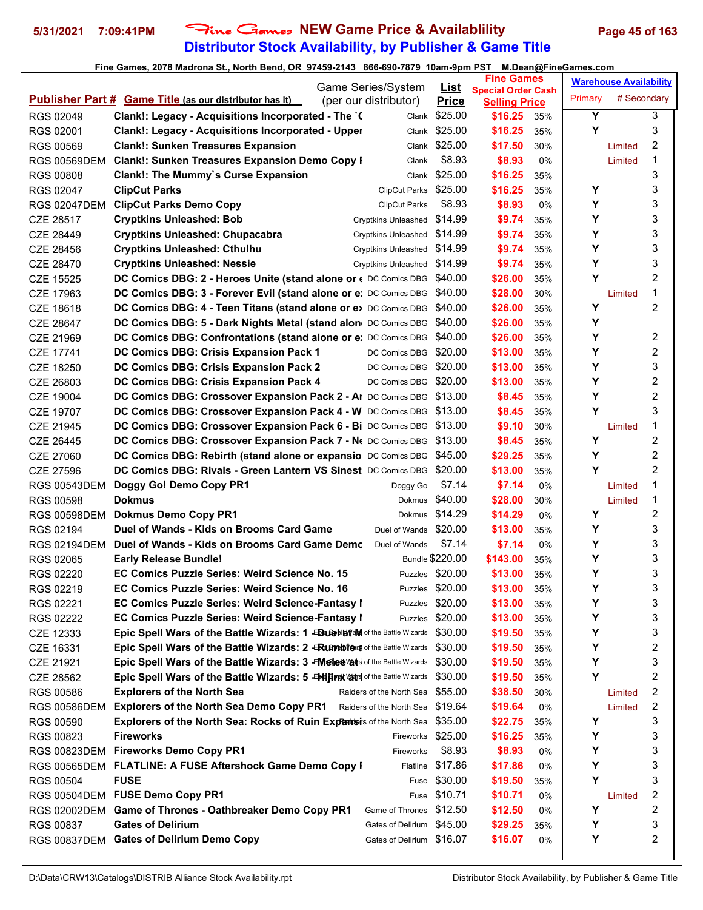# **Distributor Stock Availability, by Publisher & Game Title 5/31/2021 7:09:41PM** Fine Games **NEW Game Price & Availablility Page 45 of 163**

|                        |                                                                                       | Game Series/System |                                  | <b>Fine Games</b>           |                                                   | <b>Warehouse Availability</b> |         |             |   |
|------------------------|---------------------------------------------------------------------------------------|--------------------|----------------------------------|-----------------------------|---------------------------------------------------|-------------------------------|---------|-------------|---|
|                        | <b>Publisher Part # Game Title (as our distributor has it)</b>                        |                    | (per our distributor)            | <u>List</u><br><b>Price</b> | <b>Special Order Cash</b><br><b>Selling Price</b> |                               | Primary | # Secondary |   |
| RGS 02049              | Clank!: Legacy - Acquisitions Incorporated - The `(                                   |                    |                                  | Clank \$25.00               | \$16.25                                           | 35%                           | Y       |             | 3 |
| RGS 02001              | <b>Clank!: Legacy - Acquisitions Incorporated - Upper</b>                             |                    |                                  | Clank \$25.00               | \$16.25                                           | 35%                           | Y       |             | 3 |
| <b>RGS 00569</b>       | <b>Clank!: Sunken Treasures Expansion</b>                                             |                    |                                  | Clank \$25.00               | \$17.50                                           | 30%                           |         | Limited     | 2 |
| <b>RGS 00569DEM</b>    | <b>Clank!: Sunken Treasures Expansion Demo Copy I</b>                                 |                    | Clank                            | \$8.93                      | \$8.93                                            | 0%                            |         | Limited     | 1 |
| <b>RGS 00808</b>       | <b>Clank!: The Mummy's Curse Expansion</b>                                            |                    | Clank                            | \$25.00                     | \$16.25                                           | 35%                           |         |             | 3 |
| RGS 02047              | <b>ClipCut Parks</b>                                                                  |                    | ClipCut Parks \$25.00            |                             | \$16.25                                           | 35%                           | Υ       |             | 3 |
| <b>RGS 02047DEM</b>    | <b>ClipCut Parks Demo Copy</b>                                                        |                    | <b>ClipCut Parks</b>             | \$8.93                      | \$8.93                                            | 0%                            | Υ       |             | 3 |
| CZE 28517              | <b>Cryptkins Unleashed: Bob</b>                                                       |                    | Cryptkins Unleashed \$14.99      |                             | \$9.74                                            | 35%                           | Υ       |             | 3 |
| CZE 28449              | <b>Cryptkins Unleashed: Chupacabra</b>                                                |                    | Cryptkins Unleashed \$14.99      |                             | \$9.74                                            | 35%                           | Υ       |             | 3 |
| CZE 28456              | <b>Cryptkins Unleashed: Cthulhu</b>                                                   |                    | Cryptkins Unleashed \$14.99      |                             | \$9.74                                            | 35%                           | Υ       |             | 3 |
| CZE 28470              | <b>Cryptkins Unleashed: Nessie</b>                                                    |                    | Cryptkins Unleashed \$14.99      |                             | \$9.74                                            | 35%                           | Y       |             | 3 |
| CZE 15525              | DC Comics DBG: 2 - Heroes Unite (stand alone or ( DC Comics DBG \$40.00               |                    |                                  |                             | \$26.00                                           | 35%                           | Y       |             | 2 |
| CZE 17963              | DC Comics DBG: 3 - Forever Evil (stand alone or e: DC Comics DBG \$40.00              |                    |                                  |                             | \$28.00                                           | 30%                           |         | Limited     | 1 |
| CZE 18618              | <b>DC Comics DBG: 4 - Teen Titans (stand alone or e)</b> DC Comics DBG \$40.00        |                    |                                  |                             | \$26.00                                           | 35%                           | Υ       |             | 2 |
| CZE 28647              | DC Comics DBG: 5 - Dark Nights Metal (stand alon DC Comics DBG \$40.00                |                    |                                  |                             | \$26.00                                           | 35%                           | Y       |             |   |
| CZE 21969              | DC Comics DBG: Confrontations (stand alone or e: DC Comics DBG \$40.00                |                    |                                  |                             | \$26.00                                           | 35%                           | Υ       |             | 2 |
| CZE 17741              | DC Comics DBG: Crisis Expansion Pack 1                                                |                    | DC Comics DBG \$20.00            |                             | \$13.00                                           | 35%                           | Y       |             | 2 |
| CZE 18250              | DC Comics DBG: Crisis Expansion Pack 2                                                |                    | DC Comics DBG \$20.00            |                             | \$13.00                                           | 35%                           | Υ       |             | 3 |
| CZE 26803              | DC Comics DBG: Crisis Expansion Pack 4                                                |                    | DC Comics DBG \$20.00            |                             | \$13.00                                           | 35%                           | Υ       |             | 2 |
| CZE 19004              | DC Comics DBG: Crossover Expansion Pack 2 - AI DC Comics DBG \$13.00                  |                    |                                  |                             | \$8.45                                            | 35%                           | Υ       |             | 2 |
| CZE 19707              | DC Comics DBG: Crossover Expansion Pack 4 - W DC Comics DBG \$13.00                   |                    |                                  |                             | \$8.45                                            | 35%                           | Y       |             | 3 |
|                        | DC Comics DBG: Crossover Expansion Pack 6 - Bi DC Comics DBG \$13.00                  |                    |                                  |                             | \$9.10                                            | 30%                           |         | Limited     | 1 |
| CZE 21945<br>CZE 26445 | DC Comics DBG: Crossover Expansion Pack 7 - Ne DC Comics DBG \$13.00                  |                    |                                  |                             | \$8.45                                            | 35%                           | Υ       |             | 2 |
|                        | DC Comics DBG: Rebirth (stand alone or expansio DC Comics DBG \$45.00                 |                    |                                  |                             | \$29.25                                           | 35%                           | Y       |             | 2 |
| CZE 27060<br>CZE 27596 | DC Comics DBG: Rivals - Green Lantern VS Sinest DC Comics DBG                         |                    |                                  | \$20.00                     | \$13.00                                           | 35%                           | Y       |             | 2 |
| <b>RGS 00543DEM</b>    | Doggy Go! Demo Copy PR1                                                               |                    |                                  | \$7.14                      | \$7.14                                            | 0%                            |         |             | 1 |
| <b>RGS 00598</b>       | <b>Dokmus</b>                                                                         |                    | Doggy Go                         | Dokmus \$40.00              | \$28.00                                           |                               |         | Limited     | 1 |
|                        | <b>Dokmus Demo Copy PR1</b>                                                           |                    |                                  | Dokmus \$14.29              | \$14.29                                           | 30%                           | Υ       | Limited     | 2 |
| <b>RGS 00598DEM</b>    | Duel of Wands - Kids on Brooms Card Game                                              |                    | Duel of Wands \$20.00            |                             | \$13.00                                           | 0%                            | Y       |             | 3 |
| RGS 02194              | Duel of Wands - Kids on Brooms Card Game Demc                                         |                    | Duel of Wands                    | \$7.14                      | \$7.14                                            | 35%                           | Υ       |             | 3 |
| <b>RGS 02194DEM</b>    | <b>Early Release Bundle!</b>                                                          |                    |                                  | Bundle \$220.00             |                                                   | 0%                            | Υ       |             | 3 |
| RGS 02065              | EC Comics Puzzle Series: Weird Science No. 15                                         |                    |                                  | Puzzles \$20.00             | \$143.00                                          | 35%                           | Υ       |             | 3 |
| RGS 02220              | EC Comics Puzzle Series: Weird Science No. 16                                         |                    |                                  |                             | \$13.00                                           | 35%                           | Υ       |             | 3 |
| RGS 02219              |                                                                                       |                    |                                  | Puzzles \$20.00             | \$13.00                                           | 35%                           |         |             |   |
| RGS 02221              | <b>EC Comics Puzzle Series: Weird Science-Fantasy I</b>                               |                    |                                  | Puzzles \$20.00             | \$13.00                                           | 35%                           | Υ       |             | 3 |
| RGS 02222              | <b>EC Comics Puzzle Series: Weird Science-Fantasy I</b>                               |                    |                                  | Puzzles \$20.00             | \$13.00                                           | 35%                           | Υ<br>Υ  |             | 3 |
| CZE 12333              | Epic Spell Wars of the Battle Wizards: 1 -ED LO HOM of the Battle Wizards \$30.00     |                    |                                  |                             | \$19.50                                           | 35%                           | Υ       |             | 3 |
| CZE 16331              | Epic Spell Wars of the Battle Wizards: 2 ERLAMPblers of the Battle Wizards \$30.00    |                    |                                  |                             | \$19.50                                           | 35%                           |         |             | 2 |
| CZE 21921              | Epic Spell Wars of the Battle Wizards: 3 - Melee Vats of the Battle Wizards \$30.00   |                    |                                  |                             | \$19.50                                           | 35%                           | Υ       |             | 3 |
| CZE 28562              | Epic Spell Wars of the Battle Wizards: 5 -EMijimx varis of the Battle Wizards \$30.00 |                    |                                  |                             | \$19.50                                           | 35%                           | Υ       |             | 2 |
| RGS 00586              | <b>Explorers of the North Sea</b>                                                     |                    | Raiders of the North Sea \$55.00 |                             | \$38.50                                           | 30%                           |         | Limited     | 2 |
| <b>RGS 00586DEM</b>    | <b>Explorers of the North Sea Demo Copy PR1</b>                                       |                    | Raiders of the North Sea \$19.64 |                             | \$19.64                                           | 0%                            |         | Limited     | 2 |
| RGS 00590              | Explorers of the North Sea: Rocks of Ruin Expants is of the North Sea \$35.00         |                    |                                  |                             | \$22.75                                           | 35%                           | Υ       |             | 3 |
| RGS 00823              | <b>Fireworks</b>                                                                      |                    | Fireworks \$25.00                |                             | \$16.25                                           | 35%                           | Υ       |             | 3 |
| RGS 00823DEM           | <b>Fireworks Demo Copy PR1</b>                                                        |                    | Fireworks                        | \$8.93                      | \$8.93                                            | 0%                            | Υ       |             | 3 |
|                        | RGS 00565DEM FLATLINE: A FUSE Aftershock Game Demo Copy I                             |                    |                                  | Flatline \$17.86            | \$17.86                                           | 0%                            | Υ       |             | 3 |
| RGS 00504              | <b>FUSE</b>                                                                           |                    |                                  | Fuse \$30.00                | \$19.50                                           | 35%                           | Υ       |             | 3 |
|                        | RGS 00504DEM FUSE Demo Copy PR1                                                       |                    |                                  | Fuse \$10.71                | \$10.71                                           | 0%                            |         | Limited     | 2 |
|                        | RGS 02002DEM Game of Thrones - Oathbreaker Demo Copy PR1                              |                    | Game of Thrones \$12.50          |                             | \$12.50                                           | 0%                            | Υ       |             | 2 |
| RGS 00837              | <b>Gates of Delirium</b>                                                              |                    | Gates of Delirium \$45.00        |                             | \$29.25                                           | 35%                           | Υ       |             | 3 |
| RGS 00837DEM           | <b>Gates of Delirium Demo Copy</b>                                                    |                    | Gates of Delirium \$16.07        |                             | \$16.07                                           | 0%                            | Υ       |             | 2 |
|                        |                                                                                       |                    |                                  |                             |                                                   |                               |         |             |   |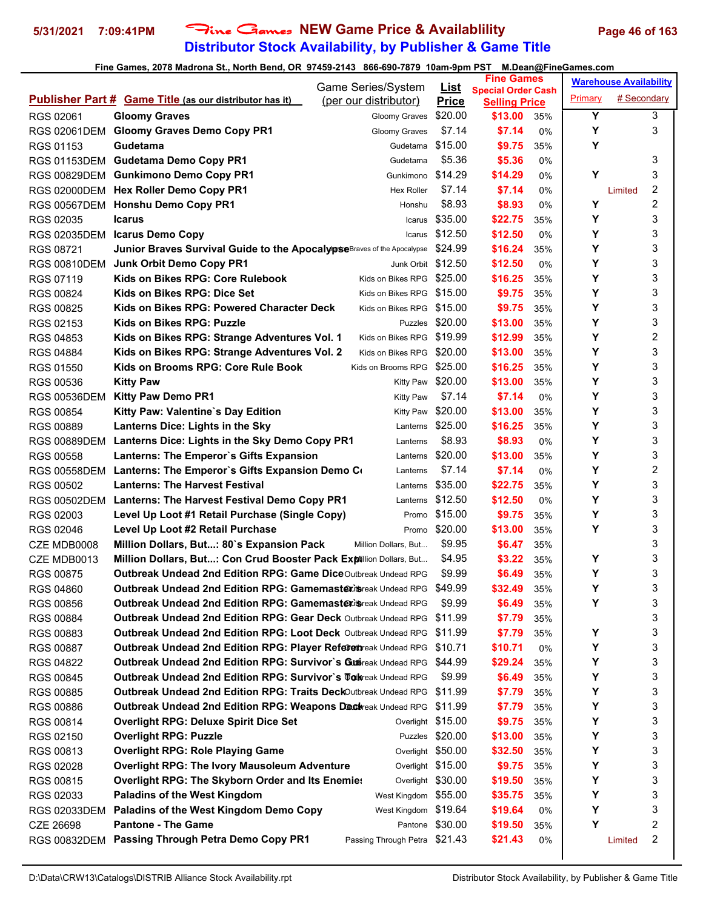# **Distributor Stock Availability, by Publisher & Game Title 5/31/2021 7:09:41PM** Fine Games **NEW Game Price & Availablility Page 46 of 163**

|                     | <b>Game Series/System</b>                                                               |                             | <b>Fine Games</b><br><b>Special Order Cash</b> |       |         | <b>Warehouse Availability</b> |                  |
|---------------------|-----------------------------------------------------------------------------------------|-----------------------------|------------------------------------------------|-------|---------|-------------------------------|------------------|
|                     | <b>Publisher Part # Game Title (as our distributor has it)</b><br>(per our distributor) | <u>List</u><br><b>Price</b> | <b>Selling Price</b>                           |       | Primary | # Secondary                   |                  |
| RGS 02061           | <b>Gloomy Graves</b><br>Gloomy Graves                                                   | \$20.00                     | \$13.00                                        | 35%   | Y       |                               | 3                |
| RGS 02061DEM        | <b>Gloomy Graves Demo Copy PR1</b><br>Gloomy Graves                                     | \$7.14                      | \$7.14                                         | $0\%$ | Y       |                               | 3                |
| RGS 01153           | Gudetama<br>Gudetama                                                                    | \$15.00                     | \$9.75                                         | 35%   | Υ       |                               |                  |
|                     | RGS 01153DEM Gudetama Demo Copy PR1<br>Gudetama                                         | \$5.36                      | \$5.36                                         | 0%    |         |                               | 3                |
|                     | RGS 00829DEM Gunkimono Demo Copy PR1<br>Gunkimono                                       | \$14.29                     | \$14.29                                        | 0%    | Y       |                               | 3                |
|                     | RGS 02000DEM Hex Roller Demo Copy PR1<br><b>Hex Roller</b>                              | \$7.14                      | \$7.14                                         | 0%    |         | Limited                       | $\boldsymbol{2}$ |
|                     | RGS 00567DEM Honshu Demo Copy PR1<br>Honshu                                             | \$8.93                      | \$8.93                                         | 0%    | Y       |                               | 2                |
| RGS 02035           | <b>Icarus</b><br>Icarus                                                                 | \$35.00                     | \$22.75                                        | 35%   | Y       |                               | 3                |
| <b>RGS 02035DEM</b> | <b>Icarus Demo Copy</b><br>Icarus                                                       | \$12.50                     | \$12.50                                        | 0%    | Y       |                               | 3                |
| RGS 08721           | Junior Braves Survival Guide to the ApocalypseBraves of the Apocalypse                  | \$24.99                     | \$16.24                                        | 35%   | Y       |                               | 3                |
| RGS 00810DEM        | <b>Junk Orbit Demo Copy PR1</b>                                                         | Junk Orbit \$12.50          | \$12.50                                        | 0%    | Y       |                               | 3                |
| RGS 07119           | Kids on Bikes RPG: Core Rulebook<br>Kids on Bikes RPG                                   | \$25.00                     | \$16.25                                        | 35%   | Y       |                               | 3                |
| RGS 00824           | Kids on Bikes RPG: Dice Set<br>Kids on Bikes RPG                                        | \$15.00                     | \$9.75                                         | 35%   | Υ       |                               | 3                |
| <b>RGS 00825</b>    | Kids on Bikes RPG: Powered Character Deck<br>Kids on Bikes RPG                          | \$15.00                     | \$9.75                                         | 35%   | Y       |                               | 3                |
| RGS 02153           | Kids on Bikes RPG: Puzzle<br>Puzzles                                                    | \$20.00                     | \$13.00                                        | 35%   | Y       |                               | 3                |
| RGS 04853           | Kids on Bikes RPG: Strange Adventures Vol. 1<br>Kids on Bikes RPG \$19.99               |                             | \$12.99                                        | 35%   | Y       |                               | 2                |
| RGS 04884           | Kids on Bikes RPG: Strange Adventures Vol. 2<br>Kids on Bikes RPG                       | \$20.00                     | \$13.00                                        | 35%   | Y       |                               | 3                |
|                     | Kids on Brooms RPG: Core Rule Book                                                      | \$25.00                     | \$16.25                                        |       | Y       |                               | 3                |
| RGS 01550           | Kids on Brooms RPG                                                                      |                             |                                                | 35%   | Y       |                               | 3                |
| RGS 00536           | <b>Kitty Paw</b><br><b>Kitty Paw</b>                                                    | \$20.00<br>\$7.14           | \$13.00<br>\$7.14                              | 35%   | Υ       |                               | 3                |
| <b>RGS 00536DEM</b> | <b>Kitty Paw Demo PR1</b><br><b>Kitty Paw</b>                                           | \$20.00                     |                                                | $0\%$ | Y       |                               | 3                |
| <b>RGS 00854</b>    | Kitty Paw: Valentine's Day Edition<br><b>Kitty Paw</b>                                  |                             | \$13.00                                        | 35%   | Y       |                               |                  |
| <b>RGS 00889</b>    | Lanterns Dice: Lights in the Sky<br>Lanterns                                            | \$25.00                     | \$16.25                                        | 35%   |         |                               | 3                |
| <b>RGS 00889DEM</b> | Lanterns Dice: Lights in the Sky Demo Copy PR1<br>Lanterns                              | \$8.93                      | \$8.93                                         | 0%    | Y       |                               | 3                |
| RGS 00558           | Lanterns: The Emperor's Gifts Expansion<br>Lanterns                                     | \$20.00                     | \$13.00                                        | 35%   | Y       |                               | 3                |
| RGS 00558DEM        | Lanterns: The Emperor's Gifts Expansion Demo Co<br>Lanterns                             | \$7.14                      | \$7.14                                         | 0%    | Y       |                               | 2                |
| RGS 00502           | <b>Lanterns: The Harvest Festival</b><br>Lanterns                                       | \$35.00                     | \$22.75                                        | 35%   | Y       |                               | 3                |
|                     | RGS 00502DEM Lanterns: The Harvest Festival Demo Copy PR1<br>Lanterns                   | \$12.50                     | \$12.50                                        | $0\%$ | Υ       |                               | 3                |
| RGS 02003           | Level Up Loot #1 Retail Purchase (Single Copy)<br>Promo                                 | \$15.00                     | \$9.75                                         | 35%   | Y       |                               | 3                |
| RGS 02046           | Level Up Loot #2 Retail Purchase<br>Promo                                               | \$20.00                     | \$13.00                                        | 35%   | Υ       |                               | 3                |
| CZE MDB0008         | Million Dollars, But: 80's Expansion Pack<br>Million Dollars, But                       | \$9.95                      | \$6.47                                         | 35%   |         |                               | 3                |
| CZE MDB0013         | Million Dollars, But: Con Crud Booster Pack Exptillion Dollars, But                     | \$4.95                      | \$3.22                                         | 35%   | Υ       |                               | 3                |
| <b>RGS 00875</b>    | Outbreak Undead 2nd Edition RPG: Game DiceOutbreak Undead RPG                           | \$9.99                      | \$6.49                                         | 35%   | Υ       |                               | 3                |
| RGS 04860           | Outbreak Undead 2nd Edition RPG: Gamemastering reak Undead RPG \$49.99                  |                             | \$32.49                                        | 35%   | Υ       |                               | 3                |
| RGS 00856           | <b>Outbreak Undead 2nd Edition RPG: Gamemastexita</b> reak Undead RPG                   | \$9.99                      | \$6.49                                         | 35%   | Υ       |                               | 3                |
| <b>RGS 00884</b>    | <b>Outbreak Undead 2nd Edition RPG: Gear Deck Outbreak Undead RPG</b>                   | \$11.99                     | \$7.79                                         | 35%   |         |                               | 3                |
| RGS 00883           | <b>Outbreak Undead 2nd Edition RPG: Loot Deck Outbreak Undead RPG</b>                   | \$11.99                     | \$7.79                                         | 35%   | Υ       |                               | 3                |
| RGS 00887           | Outbreak Undead 2nd Edition RPG: Player Referen reak Undead RPG                         | \$10.71                     | \$10.71                                        | 0%    | Υ       |                               | 3                |
| RGS 04822           | Outbreak Undead 2nd Edition RPG: Survivor's Guttireak Undead RPG                        | \$44.99                     | \$29.24                                        | 35%   | Υ       |                               | 3                |
| RGS 00845           | <b>Outbreak Undead 2nd Edition RPG: Survivor's Tatlaneal Undead RPG</b>                 | \$9.99                      | \$6.49                                         | 35%   | Y       |                               | 3                |
| <b>RGS 00885</b>    | Outbreak Undead 2nd Edition RPG: Traits DeckOutbreak Undead RPG                         | \$11.99                     | \$7.79                                         | 35%   | Υ       |                               | 3                |
| RGS 00886           | Outbreak Undead 2nd Edition RPG: Weapons Dectreak Undead RPG                            | \$11.99                     | \$7.79                                         | 35%   | Υ       |                               | 3                |
| RGS 00814           | <b>Overlight RPG: Deluxe Spirit Dice Set</b>                                            | Overlight \$15.00           | \$9.75                                         | 35%   | Υ       |                               | 3                |
| RGS 02150           | <b>Overlight RPG: Puzzle</b><br>Puzzles                                                 | \$20.00                     | \$13.00                                        | 35%   | Y       |                               | 3                |
| RGS 00813           | <b>Overlight RPG: Role Playing Game</b>                                                 | Overlight \$50.00           | \$32.50                                        | 35%   | Υ       |                               | 3                |
| RGS 02028           | <b>Overlight RPG: The Ivory Mausoleum Adventure</b>                                     | Overlight \$15.00           | \$9.75                                         | 35%   | Υ       |                               | 3                |
| RGS 00815           | Overlight RPG: The Skyborn Order and Its Enemies                                        | Overlight \$30.00           | \$19.50                                        | 35%   | Y       |                               | 3                |
| RGS 02033           | <b>Paladins of the West Kingdom</b><br>West Kingdom \$55.00                             |                             | \$35.75                                        | 35%   | Υ       |                               | 3                |
| RGS 02033DEM        | Paladins of the West Kingdom Demo Copy<br>West Kingdom \$19.64                          |                             | \$19.64                                        | 0%    | Y       |                               | 3                |
| CZE 26698           | <b>Pantone - The Game</b>                                                               | Pantone \$30.00             | \$19.50                                        | 35%   | Y       |                               | 2                |
| RGS 00832DEM        | Passing Through Petra Demo Copy PR1<br>Passing Through Petra \$21.43                    |                             | \$21.43                                        | 0%    |         | Limited                       | 2                |
|                     |                                                                                         |                             |                                                |       |         |                               |                  |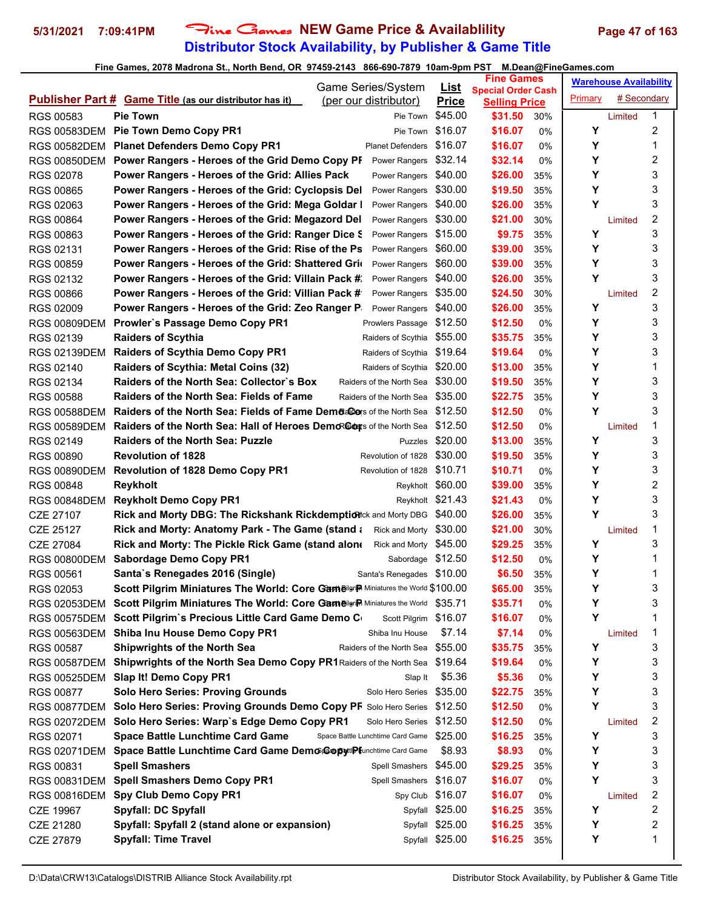# **Distributor Stock Availability, by Publisher & Game Title** 5/31/2021 7:09:41PM Fine Games NEW Game Price & Availablility Page 47 of 163

| <b>Special Order Cash</b><br># Secondary<br>Primary<br><b>Publisher Part # Game Title (as our distributor has it)</b><br>(per our distributor)<br><b>Price</b><br><b>Selling Price</b><br>\$45.00<br>1<br><b>Pie Town</b><br>\$31.50<br>RGS 00583<br>30%<br>Pie Town<br>Limited<br>2<br>\$16.07<br>Υ<br>Pie Town Demo Copy PR1<br>\$16.07<br>Pie Town<br><b>RGS 00583DEM</b><br>0%<br>Υ<br><b>Planet Defenders Demo Copy PR1</b><br>\$16.07<br>\$16.07<br>1<br>0%<br>RGS 00582DEM<br><b>Planet Defenders</b><br>2<br>Υ<br>Power Rangers - Heroes of the Grid Demo Copy PF<br>\$32.14<br>\$32.14<br><b>RGS 00850DEM</b><br>Power Rangers<br>0%<br>3<br>Υ<br>Power Rangers - Heroes of the Grid: Allies Pack<br>\$40.00<br>\$26.00<br>RGS 02078<br>Power Rangers<br>35%<br>Υ<br>3<br>Power Rangers - Heroes of the Grid: Cyclopsis Del<br>\$30.00<br>\$19.50<br><b>RGS 00865</b><br>Power Rangers<br>35%<br>Y<br>3<br>\$40.00<br>\$26.00<br>RGS 02063<br>Power Rangers - Heroes of the Grid: Mega Goldar I<br>Power Rangers<br>35%<br>2<br>\$30.00<br>Power Rangers - Heroes of the Grid: Megazord Del<br>\$21.00<br><b>RGS 00864</b><br>Power Rangers<br>30%<br>Limited<br>3<br>\$15.00<br>Y<br>\$9.75<br>RGS 00863<br>Power Rangers - Heroes of the Grid: Ranger Dice S<br>Power Rangers<br>35%<br>Υ<br>3<br>\$39.00<br>RGS 02131<br>Power Rangers - Heroes of the Grid: Rise of the Ps<br>Power Rangers<br>\$60.00<br>35%<br>3<br>Υ<br><b>RGS 00859</b><br>Power Rangers - Heroes of the Grid: Shattered Grid<br>\$60.00<br>\$39.00<br>Power Rangers<br>35%<br>Y<br>3<br>RGS 02132<br>Power Rangers - Heroes of the Grid: Villain Pack #<br>\$40.00<br>\$26.00<br>Power Rangers<br>35%<br>2<br>\$35.00<br>\$24.50<br>Power Rangers - Heroes of the Grid: Villian Pack #<br>Power Rangers<br><b>RGS 00866</b><br>30%<br>Limited<br>Υ<br>3<br>\$26.00<br>Power Rangers - Heroes of the Grid: Zeo Ranger P.<br>\$40.00<br><b>RGS 02009</b><br>Power Rangers<br>35%<br>3<br>\$12.50<br>Υ<br>Prowler's Passage Demo Copy PR1<br>\$12.50<br><b>RGS 00809DEM</b><br>Prowlers Passage<br>0%<br>3<br>Υ<br><b>Raiders of Scythia</b><br>\$55.00<br>\$35.75<br>RGS 02139<br>Raiders of Scythia<br>35%<br>3<br>Υ<br><b>Raiders of Scythia Demo Copy PR1</b><br>\$19.64<br>\$19.64<br>Raiders of Scythia<br>0%<br><b>RGS 02139DEM</b><br>Υ<br><b>Raiders of Scythia: Metal Coins (32)</b><br>1<br>RGS 02140<br>\$20.00<br>\$13.00<br>Raiders of Scythia<br>35%<br>3<br>Raiders of the North Sea: Collector's Box<br>Υ<br>RGS 02134<br>\$30.00<br>\$19.50<br>Raiders of the North Sea<br>35%<br>Υ<br>3<br><b>Raiders of the North Sea: Fields of Fame</b><br>\$35.00<br>\$22.75<br><b>RGS 00588</b><br>Raiders of the North Sea<br>35%<br>Υ<br>3<br><b>Raiders of the North Sea: Fields of Fame Dema@ers of the North Sea</b><br>\$12.50<br>\$12.50<br><b>RGS 00588DEM</b><br>0%<br>1<br>Raiders of the North Sea: Hall of Heroes Demorators of the North Sea<br>\$12.50<br>\$12.50<br><b>RGS 00589DEM</b><br>0%<br>Limited<br>3<br>\$20.00<br>Υ<br>RGS 02149<br><b>Raiders of the North Sea: Puzzle</b><br>\$13.00<br>Puzzles<br>35%<br>3<br>\$30.00<br>Υ<br><b>Revolution of 1828</b><br>\$19.50<br><b>RGS 00890</b><br>Revolution of 1828<br>35%<br>Υ<br>3<br>Revolution of 1828 Demo Copy PR1<br>\$10.71<br>\$10.71<br><b>RGS 00890DEM</b><br>Revolution of 1828<br>0%<br>2<br>Υ<br>RGS 00848<br><b>Reykholt</b><br>Reykholt \$60.00<br>\$39.00<br>35%<br>Υ<br>3<br><b>Reykholt Demo Copy PR1</b><br>Reykholt \$21.43<br>\$21.43<br><b>RGS 00848DEM</b><br>0%<br>Υ<br>3<br>\$40.00<br><b>Rick and Morty DBG: The Rickshank Rickdemption</b> ck and Morty DBG<br>\$26.00<br>CZE 27107<br>35%<br>1<br>Rick and Morty: Anatomy Park - The Game (stand a<br>\$30.00<br>\$21.00<br>30%<br>CZE 25127<br>Rick and Morty<br>Limited<br>3<br>Y<br>Rick and Morty: The Pickle Rick Game (stand alone<br>Rick and Morty \$45.00<br>\$29.25<br>35%<br>CZE 27084<br>1<br><b>Sabordage Demo Copy PR1</b><br>Sabordage \$12.50<br>\$12.50<br>Y<br><b>RGS 00800DEM</b><br>0%<br>Y<br>1<br>Santa's Renegades 2016 (Single)<br>\$6.50<br>RGS 00561<br>Santa's Renegades \$10.00<br>35%<br>3<br>Υ<br>Scott Pilgrim Miniatures The World: Core Gamelgrin Miniatures the World \$100.00<br>\$65.00<br>RGS 02053<br>35%<br>3<br>\$35.71<br>Υ<br>RGS 02053DEM Scott Pilgrim Miniatures The World: Core Gameigrip Miniatures the World \$35.71<br>0%<br>Y<br>1<br>RGS 00575DEM Scott Pilgrim's Precious Little Card Game Demo C<br>Scott Pilgrim \$16.07<br>\$16.07<br>0%<br>Shiba Inu House Demo Copy PR1<br>1<br>\$7.14<br>\$7.14<br>RGS 00563DEM<br>Shiba Inu House<br>0%<br>Limited<br>3<br>Υ<br><b>Shipwrights of the North Sea</b><br>\$55.00<br>\$35.75<br>RGS 00587<br>Raiders of the North Sea<br>35%<br>3<br>Shipwrights of the North Sea Demo Copy PR1 Raiders of the North Sea \$19.64<br>\$19.64<br>Y<br>RGS 00587DEM<br>0%<br>3<br>Slap It! Demo Copy PR1<br>\$5.36<br>Y<br>\$5.36<br>RGS 00525DEM<br>Slap It<br>0%<br>3<br><b>Solo Hero Series: Proving Grounds</b><br>\$22.75<br>Υ<br>RGS 00877<br>Solo Hero Series<br>\$35.00<br>35%<br>Y<br>3<br>Solo Hero Series: Proving Grounds Demo Copy PF Solo Hero Series<br>\$12.50<br>\$12.50<br><b>RGS 00877DEM</b><br>0%<br>2<br>\$12.50<br>RGS 02072DEM Solo Hero Series: Warp's Edge Demo Copy PR1<br>\$12.50<br>Solo Hero Series<br>0%<br>Limited<br>3<br>\$25.00<br>Υ<br><b>Space Battle Lunchtime Card Game</b><br>RGS 02071<br>Space Battle Lunchtime Card Game<br>\$16.25<br>35%<br>Υ<br>3<br>Space Battle Lunchtime Card Game Demo CopytiPlunchtime Card Game<br>\$8.93<br>\$8.93<br>RGS 02071DEM<br>0%<br>3<br>Υ<br><b>Spell Smashers</b><br>Spell Smashers \$45.00<br>\$29.25<br>RGS 00831<br>35%<br>3<br>Υ<br><b>Spell Smashers Demo Copy PR1</b><br>Spell Smashers \$16.07<br>\$16.07<br>RGS 00831DEM<br>0%<br>2<br><b>Spy Club Demo Copy PR1</b><br>\$16.07<br>\$16.07<br>Spy Club<br><b>RGS 00816DEM</b><br>0%<br>Limited<br>2<br>Υ<br><b>Spyfall: DC Spyfall</b><br>Spyfall \$25.00<br>\$16.25<br>CZE 19967<br>35%<br>2<br>Υ<br>Spyfall: Spyfall 2 (stand alone or expansion)<br>Spyfall \$25.00<br>\$16.25<br>CZE 21280<br>35%<br>1<br>Υ<br><b>Spyfall: Time Travel</b><br>Spyfall \$25.00<br>\$16.25<br>CZE 27879<br>35% | Game Series/System |  | <u>List</u> | <b>Fine Games</b> |  | <b>Warehouse Availability</b> |  |  |
|-----------------------------------------------------------------------------------------------------------------------------------------------------------------------------------------------------------------------------------------------------------------------------------------------------------------------------------------------------------------------------------------------------------------------------------------------------------------------------------------------------------------------------------------------------------------------------------------------------------------------------------------------------------------------------------------------------------------------------------------------------------------------------------------------------------------------------------------------------------------------------------------------------------------------------------------------------------------------------------------------------------------------------------------------------------------------------------------------------------------------------------------------------------------------------------------------------------------------------------------------------------------------------------------------------------------------------------------------------------------------------------------------------------------------------------------------------------------------------------------------------------------------------------------------------------------------------------------------------------------------------------------------------------------------------------------------------------------------------------------------------------------------------------------------------------------------------------------------------------------------------------------------------------------------------------------------------------------------------------------------------------------------------------------------------------------------------------------------------------------------------------------------------------------------------------------------------------------------------------------------------------------------------------------------------------------------------------------------------------------------------------------------------------------------------------------------------------------------------------------------------------------------------------------------------------------------------------------------------------------------------------------------------------------------------------------------------------------------------------------------------------------------------------------------------------------------------------------------------------------------------------------------------------------------------------------------------------------------------------------------------------------------------------------------------------------------------------------------------------------------------------------------------------------------------------------------------------------------------------------------------------------------------------------------------------------------------------------------------------------------------------------------------------------------------------------------------------------------------------------------------------------------------------------------------------------------------------------------------------------------------------------------------------------------------------------------------------------------------------------------------------------------------------------------------------------------------------------------------------------------------------------------------------------------------------------------------------------------------------------------------------------------------------------------------------------------------------------------------------------------------------------------------------------------------------------------------------------------------------------------------------------------------------------------------------------------------------------------------------------------------------------------------------------------------------------------------------------------------------------------------------------------------------------------------------------------------------------------------------------------------------------------------------------------------------------------------------------------------------------------------------------------------------------------------------------------------------------------------------------------------------------------------------------------------------------------------------------------------------------------------------------------------------------------------------------------------------------------------------------------------------------------------------------------------------------------------------------------------------------------------------------------------------------------------------------------------------------------------------------------------------------------------------------------------------------------------------------------------------------------------------------------------------------------------------------------------------------------------------------------------------------------------------------------------------------------------------------------------------------------------------------------------------------------------------------------------------------------------------------------------------------------------------------------------------------------------------------------------------------------------------------------------------------------------------------------------------------------------------------------------------------------------------------------------------------------------------------------------------------------------------------------|--------------------|--|-------------|-------------------|--|-------------------------------|--|--|
|                                                                                                                                                                                                                                                                                                                                                                                                                                                                                                                                                                                                                                                                                                                                                                                                                                                                                                                                                                                                                                                                                                                                                                                                                                                                                                                                                                                                                                                                                                                                                                                                                                                                                                                                                                                                                                                                                                                                                                                                                                                                                                                                                                                                                                                                                                                                                                                                                                                                                                                                                                                                                                                                                                                                                                                                                                                                                                                                                                                                                                                                                                                                                                                                                                                                                                                                                                                                                                                                                                                                                                                                                                                                                                                                                                                                                                                                                                                                                                                                                                                                                                                                                                                                                                                                                                                                                                                                                                                                                                                                                                                                                                                                                                                                                                                                                                                                                                                                                                                                                                                                                                                                                                                                                                                                                                                                                                                                                                                                                                                                                                                                                                                                                                                                                                                                                                                                                                                                                                                                                                                                                                                                                                                                                                                                       |                    |  |             |                   |  |                               |  |  |
|                                                                                                                                                                                                                                                                                                                                                                                                                                                                                                                                                                                                                                                                                                                                                                                                                                                                                                                                                                                                                                                                                                                                                                                                                                                                                                                                                                                                                                                                                                                                                                                                                                                                                                                                                                                                                                                                                                                                                                                                                                                                                                                                                                                                                                                                                                                                                                                                                                                                                                                                                                                                                                                                                                                                                                                                                                                                                                                                                                                                                                                                                                                                                                                                                                                                                                                                                                                                                                                                                                                                                                                                                                                                                                                                                                                                                                                                                                                                                                                                                                                                                                                                                                                                                                                                                                                                                                                                                                                                                                                                                                                                                                                                                                                                                                                                                                                                                                                                                                                                                                                                                                                                                                                                                                                                                                                                                                                                                                                                                                                                                                                                                                                                                                                                                                                                                                                                                                                                                                                                                                                                                                                                                                                                                                                                       |                    |  |             |                   |  |                               |  |  |
|                                                                                                                                                                                                                                                                                                                                                                                                                                                                                                                                                                                                                                                                                                                                                                                                                                                                                                                                                                                                                                                                                                                                                                                                                                                                                                                                                                                                                                                                                                                                                                                                                                                                                                                                                                                                                                                                                                                                                                                                                                                                                                                                                                                                                                                                                                                                                                                                                                                                                                                                                                                                                                                                                                                                                                                                                                                                                                                                                                                                                                                                                                                                                                                                                                                                                                                                                                                                                                                                                                                                                                                                                                                                                                                                                                                                                                                                                                                                                                                                                                                                                                                                                                                                                                                                                                                                                                                                                                                                                                                                                                                                                                                                                                                                                                                                                                                                                                                                                                                                                                                                                                                                                                                                                                                                                                                                                                                                                                                                                                                                                                                                                                                                                                                                                                                                                                                                                                                                                                                                                                                                                                                                                                                                                                                                       |                    |  |             |                   |  |                               |  |  |
|                                                                                                                                                                                                                                                                                                                                                                                                                                                                                                                                                                                                                                                                                                                                                                                                                                                                                                                                                                                                                                                                                                                                                                                                                                                                                                                                                                                                                                                                                                                                                                                                                                                                                                                                                                                                                                                                                                                                                                                                                                                                                                                                                                                                                                                                                                                                                                                                                                                                                                                                                                                                                                                                                                                                                                                                                                                                                                                                                                                                                                                                                                                                                                                                                                                                                                                                                                                                                                                                                                                                                                                                                                                                                                                                                                                                                                                                                                                                                                                                                                                                                                                                                                                                                                                                                                                                                                                                                                                                                                                                                                                                                                                                                                                                                                                                                                                                                                                                                                                                                                                                                                                                                                                                                                                                                                                                                                                                                                                                                                                                                                                                                                                                                                                                                                                                                                                                                                                                                                                                                                                                                                                                                                                                                                                                       |                    |  |             |                   |  |                               |  |  |
|                                                                                                                                                                                                                                                                                                                                                                                                                                                                                                                                                                                                                                                                                                                                                                                                                                                                                                                                                                                                                                                                                                                                                                                                                                                                                                                                                                                                                                                                                                                                                                                                                                                                                                                                                                                                                                                                                                                                                                                                                                                                                                                                                                                                                                                                                                                                                                                                                                                                                                                                                                                                                                                                                                                                                                                                                                                                                                                                                                                                                                                                                                                                                                                                                                                                                                                                                                                                                                                                                                                                                                                                                                                                                                                                                                                                                                                                                                                                                                                                                                                                                                                                                                                                                                                                                                                                                                                                                                                                                                                                                                                                                                                                                                                                                                                                                                                                                                                                                                                                                                                                                                                                                                                                                                                                                                                                                                                                                                                                                                                                                                                                                                                                                                                                                                                                                                                                                                                                                                                                                                                                                                                                                                                                                                                                       |                    |  |             |                   |  |                               |  |  |
|                                                                                                                                                                                                                                                                                                                                                                                                                                                                                                                                                                                                                                                                                                                                                                                                                                                                                                                                                                                                                                                                                                                                                                                                                                                                                                                                                                                                                                                                                                                                                                                                                                                                                                                                                                                                                                                                                                                                                                                                                                                                                                                                                                                                                                                                                                                                                                                                                                                                                                                                                                                                                                                                                                                                                                                                                                                                                                                                                                                                                                                                                                                                                                                                                                                                                                                                                                                                                                                                                                                                                                                                                                                                                                                                                                                                                                                                                                                                                                                                                                                                                                                                                                                                                                                                                                                                                                                                                                                                                                                                                                                                                                                                                                                                                                                                                                                                                                                                                                                                                                                                                                                                                                                                                                                                                                                                                                                                                                                                                                                                                                                                                                                                                                                                                                                                                                                                                                                                                                                                                                                                                                                                                                                                                                                                       |                    |  |             |                   |  |                               |  |  |
|                                                                                                                                                                                                                                                                                                                                                                                                                                                                                                                                                                                                                                                                                                                                                                                                                                                                                                                                                                                                                                                                                                                                                                                                                                                                                                                                                                                                                                                                                                                                                                                                                                                                                                                                                                                                                                                                                                                                                                                                                                                                                                                                                                                                                                                                                                                                                                                                                                                                                                                                                                                                                                                                                                                                                                                                                                                                                                                                                                                                                                                                                                                                                                                                                                                                                                                                                                                                                                                                                                                                                                                                                                                                                                                                                                                                                                                                                                                                                                                                                                                                                                                                                                                                                                                                                                                                                                                                                                                                                                                                                                                                                                                                                                                                                                                                                                                                                                                                                                                                                                                                                                                                                                                                                                                                                                                                                                                                                                                                                                                                                                                                                                                                                                                                                                                                                                                                                                                                                                                                                                                                                                                                                                                                                                                                       |                    |  |             |                   |  |                               |  |  |
|                                                                                                                                                                                                                                                                                                                                                                                                                                                                                                                                                                                                                                                                                                                                                                                                                                                                                                                                                                                                                                                                                                                                                                                                                                                                                                                                                                                                                                                                                                                                                                                                                                                                                                                                                                                                                                                                                                                                                                                                                                                                                                                                                                                                                                                                                                                                                                                                                                                                                                                                                                                                                                                                                                                                                                                                                                                                                                                                                                                                                                                                                                                                                                                                                                                                                                                                                                                                                                                                                                                                                                                                                                                                                                                                                                                                                                                                                                                                                                                                                                                                                                                                                                                                                                                                                                                                                                                                                                                                                                                                                                                                                                                                                                                                                                                                                                                                                                                                                                                                                                                                                                                                                                                                                                                                                                                                                                                                                                                                                                                                                                                                                                                                                                                                                                                                                                                                                                                                                                                                                                                                                                                                                                                                                                                                       |                    |  |             |                   |  |                               |  |  |
|                                                                                                                                                                                                                                                                                                                                                                                                                                                                                                                                                                                                                                                                                                                                                                                                                                                                                                                                                                                                                                                                                                                                                                                                                                                                                                                                                                                                                                                                                                                                                                                                                                                                                                                                                                                                                                                                                                                                                                                                                                                                                                                                                                                                                                                                                                                                                                                                                                                                                                                                                                                                                                                                                                                                                                                                                                                                                                                                                                                                                                                                                                                                                                                                                                                                                                                                                                                                                                                                                                                                                                                                                                                                                                                                                                                                                                                                                                                                                                                                                                                                                                                                                                                                                                                                                                                                                                                                                                                                                                                                                                                                                                                                                                                                                                                                                                                                                                                                                                                                                                                                                                                                                                                                                                                                                                                                                                                                                                                                                                                                                                                                                                                                                                                                                                                                                                                                                                                                                                                                                                                                                                                                                                                                                                                                       |                    |  |             |                   |  |                               |  |  |
|                                                                                                                                                                                                                                                                                                                                                                                                                                                                                                                                                                                                                                                                                                                                                                                                                                                                                                                                                                                                                                                                                                                                                                                                                                                                                                                                                                                                                                                                                                                                                                                                                                                                                                                                                                                                                                                                                                                                                                                                                                                                                                                                                                                                                                                                                                                                                                                                                                                                                                                                                                                                                                                                                                                                                                                                                                                                                                                                                                                                                                                                                                                                                                                                                                                                                                                                                                                                                                                                                                                                                                                                                                                                                                                                                                                                                                                                                                                                                                                                                                                                                                                                                                                                                                                                                                                                                                                                                                                                                                                                                                                                                                                                                                                                                                                                                                                                                                                                                                                                                                                                                                                                                                                                                                                                                                                                                                                                                                                                                                                                                                                                                                                                                                                                                                                                                                                                                                                                                                                                                                                                                                                                                                                                                                                                       |                    |  |             |                   |  |                               |  |  |
|                                                                                                                                                                                                                                                                                                                                                                                                                                                                                                                                                                                                                                                                                                                                                                                                                                                                                                                                                                                                                                                                                                                                                                                                                                                                                                                                                                                                                                                                                                                                                                                                                                                                                                                                                                                                                                                                                                                                                                                                                                                                                                                                                                                                                                                                                                                                                                                                                                                                                                                                                                                                                                                                                                                                                                                                                                                                                                                                                                                                                                                                                                                                                                                                                                                                                                                                                                                                                                                                                                                                                                                                                                                                                                                                                                                                                                                                                                                                                                                                                                                                                                                                                                                                                                                                                                                                                                                                                                                                                                                                                                                                                                                                                                                                                                                                                                                                                                                                                                                                                                                                                                                                                                                                                                                                                                                                                                                                                                                                                                                                                                                                                                                                                                                                                                                                                                                                                                                                                                                                                                                                                                                                                                                                                                                                       |                    |  |             |                   |  |                               |  |  |
|                                                                                                                                                                                                                                                                                                                                                                                                                                                                                                                                                                                                                                                                                                                                                                                                                                                                                                                                                                                                                                                                                                                                                                                                                                                                                                                                                                                                                                                                                                                                                                                                                                                                                                                                                                                                                                                                                                                                                                                                                                                                                                                                                                                                                                                                                                                                                                                                                                                                                                                                                                                                                                                                                                                                                                                                                                                                                                                                                                                                                                                                                                                                                                                                                                                                                                                                                                                                                                                                                                                                                                                                                                                                                                                                                                                                                                                                                                                                                                                                                                                                                                                                                                                                                                                                                                                                                                                                                                                                                                                                                                                                                                                                                                                                                                                                                                                                                                                                                                                                                                                                                                                                                                                                                                                                                                                                                                                                                                                                                                                                                                                                                                                                                                                                                                                                                                                                                                                                                                                                                                                                                                                                                                                                                                                                       |                    |  |             |                   |  |                               |  |  |
|                                                                                                                                                                                                                                                                                                                                                                                                                                                                                                                                                                                                                                                                                                                                                                                                                                                                                                                                                                                                                                                                                                                                                                                                                                                                                                                                                                                                                                                                                                                                                                                                                                                                                                                                                                                                                                                                                                                                                                                                                                                                                                                                                                                                                                                                                                                                                                                                                                                                                                                                                                                                                                                                                                                                                                                                                                                                                                                                                                                                                                                                                                                                                                                                                                                                                                                                                                                                                                                                                                                                                                                                                                                                                                                                                                                                                                                                                                                                                                                                                                                                                                                                                                                                                                                                                                                                                                                                                                                                                                                                                                                                                                                                                                                                                                                                                                                                                                                                                                                                                                                                                                                                                                                                                                                                                                                                                                                                                                                                                                                                                                                                                                                                                                                                                                                                                                                                                                                                                                                                                                                                                                                                                                                                                                                                       |                    |  |             |                   |  |                               |  |  |
|                                                                                                                                                                                                                                                                                                                                                                                                                                                                                                                                                                                                                                                                                                                                                                                                                                                                                                                                                                                                                                                                                                                                                                                                                                                                                                                                                                                                                                                                                                                                                                                                                                                                                                                                                                                                                                                                                                                                                                                                                                                                                                                                                                                                                                                                                                                                                                                                                                                                                                                                                                                                                                                                                                                                                                                                                                                                                                                                                                                                                                                                                                                                                                                                                                                                                                                                                                                                                                                                                                                                                                                                                                                                                                                                                                                                                                                                                                                                                                                                                                                                                                                                                                                                                                                                                                                                                                                                                                                                                                                                                                                                                                                                                                                                                                                                                                                                                                                                                                                                                                                                                                                                                                                                                                                                                                                                                                                                                                                                                                                                                                                                                                                                                                                                                                                                                                                                                                                                                                                                                                                                                                                                                                                                                                                                       |                    |  |             |                   |  |                               |  |  |
|                                                                                                                                                                                                                                                                                                                                                                                                                                                                                                                                                                                                                                                                                                                                                                                                                                                                                                                                                                                                                                                                                                                                                                                                                                                                                                                                                                                                                                                                                                                                                                                                                                                                                                                                                                                                                                                                                                                                                                                                                                                                                                                                                                                                                                                                                                                                                                                                                                                                                                                                                                                                                                                                                                                                                                                                                                                                                                                                                                                                                                                                                                                                                                                                                                                                                                                                                                                                                                                                                                                                                                                                                                                                                                                                                                                                                                                                                                                                                                                                                                                                                                                                                                                                                                                                                                                                                                                                                                                                                                                                                                                                                                                                                                                                                                                                                                                                                                                                                                                                                                                                                                                                                                                                                                                                                                                                                                                                                                                                                                                                                                                                                                                                                                                                                                                                                                                                                                                                                                                                                                                                                                                                                                                                                                                                       |                    |  |             |                   |  |                               |  |  |
|                                                                                                                                                                                                                                                                                                                                                                                                                                                                                                                                                                                                                                                                                                                                                                                                                                                                                                                                                                                                                                                                                                                                                                                                                                                                                                                                                                                                                                                                                                                                                                                                                                                                                                                                                                                                                                                                                                                                                                                                                                                                                                                                                                                                                                                                                                                                                                                                                                                                                                                                                                                                                                                                                                                                                                                                                                                                                                                                                                                                                                                                                                                                                                                                                                                                                                                                                                                                                                                                                                                                                                                                                                                                                                                                                                                                                                                                                                                                                                                                                                                                                                                                                                                                                                                                                                                                                                                                                                                                                                                                                                                                                                                                                                                                                                                                                                                                                                                                                                                                                                                                                                                                                                                                                                                                                                                                                                                                                                                                                                                                                                                                                                                                                                                                                                                                                                                                                                                                                                                                                                                                                                                                                                                                                                                                       |                    |  |             |                   |  |                               |  |  |
|                                                                                                                                                                                                                                                                                                                                                                                                                                                                                                                                                                                                                                                                                                                                                                                                                                                                                                                                                                                                                                                                                                                                                                                                                                                                                                                                                                                                                                                                                                                                                                                                                                                                                                                                                                                                                                                                                                                                                                                                                                                                                                                                                                                                                                                                                                                                                                                                                                                                                                                                                                                                                                                                                                                                                                                                                                                                                                                                                                                                                                                                                                                                                                                                                                                                                                                                                                                                                                                                                                                                                                                                                                                                                                                                                                                                                                                                                                                                                                                                                                                                                                                                                                                                                                                                                                                                                                                                                                                                                                                                                                                                                                                                                                                                                                                                                                                                                                                                                                                                                                                                                                                                                                                                                                                                                                                                                                                                                                                                                                                                                                                                                                                                                                                                                                                                                                                                                                                                                                                                                                                                                                                                                                                                                                                                       |                    |  |             |                   |  |                               |  |  |
|                                                                                                                                                                                                                                                                                                                                                                                                                                                                                                                                                                                                                                                                                                                                                                                                                                                                                                                                                                                                                                                                                                                                                                                                                                                                                                                                                                                                                                                                                                                                                                                                                                                                                                                                                                                                                                                                                                                                                                                                                                                                                                                                                                                                                                                                                                                                                                                                                                                                                                                                                                                                                                                                                                                                                                                                                                                                                                                                                                                                                                                                                                                                                                                                                                                                                                                                                                                                                                                                                                                                                                                                                                                                                                                                                                                                                                                                                                                                                                                                                                                                                                                                                                                                                                                                                                                                                                                                                                                                                                                                                                                                                                                                                                                                                                                                                                                                                                                                                                                                                                                                                                                                                                                                                                                                                                                                                                                                                                                                                                                                                                                                                                                                                                                                                                                                                                                                                                                                                                                                                                                                                                                                                                                                                                                                       |                    |  |             |                   |  |                               |  |  |
|                                                                                                                                                                                                                                                                                                                                                                                                                                                                                                                                                                                                                                                                                                                                                                                                                                                                                                                                                                                                                                                                                                                                                                                                                                                                                                                                                                                                                                                                                                                                                                                                                                                                                                                                                                                                                                                                                                                                                                                                                                                                                                                                                                                                                                                                                                                                                                                                                                                                                                                                                                                                                                                                                                                                                                                                                                                                                                                                                                                                                                                                                                                                                                                                                                                                                                                                                                                                                                                                                                                                                                                                                                                                                                                                                                                                                                                                                                                                                                                                                                                                                                                                                                                                                                                                                                                                                                                                                                                                                                                                                                                                                                                                                                                                                                                                                                                                                                                                                                                                                                                                                                                                                                                                                                                                                                                                                                                                                                                                                                                                                                                                                                                                                                                                                                                                                                                                                                                                                                                                                                                                                                                                                                                                                                                                       |                    |  |             |                   |  |                               |  |  |
|                                                                                                                                                                                                                                                                                                                                                                                                                                                                                                                                                                                                                                                                                                                                                                                                                                                                                                                                                                                                                                                                                                                                                                                                                                                                                                                                                                                                                                                                                                                                                                                                                                                                                                                                                                                                                                                                                                                                                                                                                                                                                                                                                                                                                                                                                                                                                                                                                                                                                                                                                                                                                                                                                                                                                                                                                                                                                                                                                                                                                                                                                                                                                                                                                                                                                                                                                                                                                                                                                                                                                                                                                                                                                                                                                                                                                                                                                                                                                                                                                                                                                                                                                                                                                                                                                                                                                                                                                                                                                                                                                                                                                                                                                                                                                                                                                                                                                                                                                                                                                                                                                                                                                                                                                                                                                                                                                                                                                                                                                                                                                                                                                                                                                                                                                                                                                                                                                                                                                                                                                                                                                                                                                                                                                                                                       |                    |  |             |                   |  |                               |  |  |
|                                                                                                                                                                                                                                                                                                                                                                                                                                                                                                                                                                                                                                                                                                                                                                                                                                                                                                                                                                                                                                                                                                                                                                                                                                                                                                                                                                                                                                                                                                                                                                                                                                                                                                                                                                                                                                                                                                                                                                                                                                                                                                                                                                                                                                                                                                                                                                                                                                                                                                                                                                                                                                                                                                                                                                                                                                                                                                                                                                                                                                                                                                                                                                                                                                                                                                                                                                                                                                                                                                                                                                                                                                                                                                                                                                                                                                                                                                                                                                                                                                                                                                                                                                                                                                                                                                                                                                                                                                                                                                                                                                                                                                                                                                                                                                                                                                                                                                                                                                                                                                                                                                                                                                                                                                                                                                                                                                                                                                                                                                                                                                                                                                                                                                                                                                                                                                                                                                                                                                                                                                                                                                                                                                                                                                                                       |                    |  |             |                   |  |                               |  |  |
|                                                                                                                                                                                                                                                                                                                                                                                                                                                                                                                                                                                                                                                                                                                                                                                                                                                                                                                                                                                                                                                                                                                                                                                                                                                                                                                                                                                                                                                                                                                                                                                                                                                                                                                                                                                                                                                                                                                                                                                                                                                                                                                                                                                                                                                                                                                                                                                                                                                                                                                                                                                                                                                                                                                                                                                                                                                                                                                                                                                                                                                                                                                                                                                                                                                                                                                                                                                                                                                                                                                                                                                                                                                                                                                                                                                                                                                                                                                                                                                                                                                                                                                                                                                                                                                                                                                                                                                                                                                                                                                                                                                                                                                                                                                                                                                                                                                                                                                                                                                                                                                                                                                                                                                                                                                                                                                                                                                                                                                                                                                                                                                                                                                                                                                                                                                                                                                                                                                                                                                                                                                                                                                                                                                                                                                                       |                    |  |             |                   |  |                               |  |  |
|                                                                                                                                                                                                                                                                                                                                                                                                                                                                                                                                                                                                                                                                                                                                                                                                                                                                                                                                                                                                                                                                                                                                                                                                                                                                                                                                                                                                                                                                                                                                                                                                                                                                                                                                                                                                                                                                                                                                                                                                                                                                                                                                                                                                                                                                                                                                                                                                                                                                                                                                                                                                                                                                                                                                                                                                                                                                                                                                                                                                                                                                                                                                                                                                                                                                                                                                                                                                                                                                                                                                                                                                                                                                                                                                                                                                                                                                                                                                                                                                                                                                                                                                                                                                                                                                                                                                                                                                                                                                                                                                                                                                                                                                                                                                                                                                                                                                                                                                                                                                                                                                                                                                                                                                                                                                                                                                                                                                                                                                                                                                                                                                                                                                                                                                                                                                                                                                                                                                                                                                                                                                                                                                                                                                                                                                       |                    |  |             |                   |  |                               |  |  |
|                                                                                                                                                                                                                                                                                                                                                                                                                                                                                                                                                                                                                                                                                                                                                                                                                                                                                                                                                                                                                                                                                                                                                                                                                                                                                                                                                                                                                                                                                                                                                                                                                                                                                                                                                                                                                                                                                                                                                                                                                                                                                                                                                                                                                                                                                                                                                                                                                                                                                                                                                                                                                                                                                                                                                                                                                                                                                                                                                                                                                                                                                                                                                                                                                                                                                                                                                                                                                                                                                                                                                                                                                                                                                                                                                                                                                                                                                                                                                                                                                                                                                                                                                                                                                                                                                                                                                                                                                                                                                                                                                                                                                                                                                                                                                                                                                                                                                                                                                                                                                                                                                                                                                                                                                                                                                                                                                                                                                                                                                                                                                                                                                                                                                                                                                                                                                                                                                                                                                                                                                                                                                                                                                                                                                                                                       |                    |  |             |                   |  |                               |  |  |
|                                                                                                                                                                                                                                                                                                                                                                                                                                                                                                                                                                                                                                                                                                                                                                                                                                                                                                                                                                                                                                                                                                                                                                                                                                                                                                                                                                                                                                                                                                                                                                                                                                                                                                                                                                                                                                                                                                                                                                                                                                                                                                                                                                                                                                                                                                                                                                                                                                                                                                                                                                                                                                                                                                                                                                                                                                                                                                                                                                                                                                                                                                                                                                                                                                                                                                                                                                                                                                                                                                                                                                                                                                                                                                                                                                                                                                                                                                                                                                                                                                                                                                                                                                                                                                                                                                                                                                                                                                                                                                                                                                                                                                                                                                                                                                                                                                                                                                                                                                                                                                                                                                                                                                                                                                                                                                                                                                                                                                                                                                                                                                                                                                                                                                                                                                                                                                                                                                                                                                                                                                                                                                                                                                                                                                                                       |                    |  |             |                   |  |                               |  |  |
|                                                                                                                                                                                                                                                                                                                                                                                                                                                                                                                                                                                                                                                                                                                                                                                                                                                                                                                                                                                                                                                                                                                                                                                                                                                                                                                                                                                                                                                                                                                                                                                                                                                                                                                                                                                                                                                                                                                                                                                                                                                                                                                                                                                                                                                                                                                                                                                                                                                                                                                                                                                                                                                                                                                                                                                                                                                                                                                                                                                                                                                                                                                                                                                                                                                                                                                                                                                                                                                                                                                                                                                                                                                                                                                                                                                                                                                                                                                                                                                                                                                                                                                                                                                                                                                                                                                                                                                                                                                                                                                                                                                                                                                                                                                                                                                                                                                                                                                                                                                                                                                                                                                                                                                                                                                                                                                                                                                                                                                                                                                                                                                                                                                                                                                                                                                                                                                                                                                                                                                                                                                                                                                                                                                                                                                                       |                    |  |             |                   |  |                               |  |  |
|                                                                                                                                                                                                                                                                                                                                                                                                                                                                                                                                                                                                                                                                                                                                                                                                                                                                                                                                                                                                                                                                                                                                                                                                                                                                                                                                                                                                                                                                                                                                                                                                                                                                                                                                                                                                                                                                                                                                                                                                                                                                                                                                                                                                                                                                                                                                                                                                                                                                                                                                                                                                                                                                                                                                                                                                                                                                                                                                                                                                                                                                                                                                                                                                                                                                                                                                                                                                                                                                                                                                                                                                                                                                                                                                                                                                                                                                                                                                                                                                                                                                                                                                                                                                                                                                                                                                                                                                                                                                                                                                                                                                                                                                                                                                                                                                                                                                                                                                                                                                                                                                                                                                                                                                                                                                                                                                                                                                                                                                                                                                                                                                                                                                                                                                                                                                                                                                                                                                                                                                                                                                                                                                                                                                                                                                       |                    |  |             |                   |  |                               |  |  |
|                                                                                                                                                                                                                                                                                                                                                                                                                                                                                                                                                                                                                                                                                                                                                                                                                                                                                                                                                                                                                                                                                                                                                                                                                                                                                                                                                                                                                                                                                                                                                                                                                                                                                                                                                                                                                                                                                                                                                                                                                                                                                                                                                                                                                                                                                                                                                                                                                                                                                                                                                                                                                                                                                                                                                                                                                                                                                                                                                                                                                                                                                                                                                                                                                                                                                                                                                                                                                                                                                                                                                                                                                                                                                                                                                                                                                                                                                                                                                                                                                                                                                                                                                                                                                                                                                                                                                                                                                                                                                                                                                                                                                                                                                                                                                                                                                                                                                                                                                                                                                                                                                                                                                                                                                                                                                                                                                                                                                                                                                                                                                                                                                                                                                                                                                                                                                                                                                                                                                                                                                                                                                                                                                                                                                                                                       |                    |  |             |                   |  |                               |  |  |
|                                                                                                                                                                                                                                                                                                                                                                                                                                                                                                                                                                                                                                                                                                                                                                                                                                                                                                                                                                                                                                                                                                                                                                                                                                                                                                                                                                                                                                                                                                                                                                                                                                                                                                                                                                                                                                                                                                                                                                                                                                                                                                                                                                                                                                                                                                                                                                                                                                                                                                                                                                                                                                                                                                                                                                                                                                                                                                                                                                                                                                                                                                                                                                                                                                                                                                                                                                                                                                                                                                                                                                                                                                                                                                                                                                                                                                                                                                                                                                                                                                                                                                                                                                                                                                                                                                                                                                                                                                                                                                                                                                                                                                                                                                                                                                                                                                                                                                                                                                                                                                                                                                                                                                                                                                                                                                                                                                                                                                                                                                                                                                                                                                                                                                                                                                                                                                                                                                                                                                                                                                                                                                                                                                                                                                                                       |                    |  |             |                   |  |                               |  |  |
|                                                                                                                                                                                                                                                                                                                                                                                                                                                                                                                                                                                                                                                                                                                                                                                                                                                                                                                                                                                                                                                                                                                                                                                                                                                                                                                                                                                                                                                                                                                                                                                                                                                                                                                                                                                                                                                                                                                                                                                                                                                                                                                                                                                                                                                                                                                                                                                                                                                                                                                                                                                                                                                                                                                                                                                                                                                                                                                                                                                                                                                                                                                                                                                                                                                                                                                                                                                                                                                                                                                                                                                                                                                                                                                                                                                                                                                                                                                                                                                                                                                                                                                                                                                                                                                                                                                                                                                                                                                                                                                                                                                                                                                                                                                                                                                                                                                                                                                                                                                                                                                                                                                                                                                                                                                                                                                                                                                                                                                                                                                                                                                                                                                                                                                                                                                                                                                                                                                                                                                                                                                                                                                                                                                                                                                                       |                    |  |             |                   |  |                               |  |  |
|                                                                                                                                                                                                                                                                                                                                                                                                                                                                                                                                                                                                                                                                                                                                                                                                                                                                                                                                                                                                                                                                                                                                                                                                                                                                                                                                                                                                                                                                                                                                                                                                                                                                                                                                                                                                                                                                                                                                                                                                                                                                                                                                                                                                                                                                                                                                                                                                                                                                                                                                                                                                                                                                                                                                                                                                                                                                                                                                                                                                                                                                                                                                                                                                                                                                                                                                                                                                                                                                                                                                                                                                                                                                                                                                                                                                                                                                                                                                                                                                                                                                                                                                                                                                                                                                                                                                                                                                                                                                                                                                                                                                                                                                                                                                                                                                                                                                                                                                                                                                                                                                                                                                                                                                                                                                                                                                                                                                                                                                                                                                                                                                                                                                                                                                                                                                                                                                                                                                                                                                                                                                                                                                                                                                                                                                       |                    |  |             |                   |  |                               |  |  |
|                                                                                                                                                                                                                                                                                                                                                                                                                                                                                                                                                                                                                                                                                                                                                                                                                                                                                                                                                                                                                                                                                                                                                                                                                                                                                                                                                                                                                                                                                                                                                                                                                                                                                                                                                                                                                                                                                                                                                                                                                                                                                                                                                                                                                                                                                                                                                                                                                                                                                                                                                                                                                                                                                                                                                                                                                                                                                                                                                                                                                                                                                                                                                                                                                                                                                                                                                                                                                                                                                                                                                                                                                                                                                                                                                                                                                                                                                                                                                                                                                                                                                                                                                                                                                                                                                                                                                                                                                                                                                                                                                                                                                                                                                                                                                                                                                                                                                                                                                                                                                                                                                                                                                                                                                                                                                                                                                                                                                                                                                                                                                                                                                                                                                                                                                                                                                                                                                                                                                                                                                                                                                                                                                                                                                                                                       |                    |  |             |                   |  |                               |  |  |
|                                                                                                                                                                                                                                                                                                                                                                                                                                                                                                                                                                                                                                                                                                                                                                                                                                                                                                                                                                                                                                                                                                                                                                                                                                                                                                                                                                                                                                                                                                                                                                                                                                                                                                                                                                                                                                                                                                                                                                                                                                                                                                                                                                                                                                                                                                                                                                                                                                                                                                                                                                                                                                                                                                                                                                                                                                                                                                                                                                                                                                                                                                                                                                                                                                                                                                                                                                                                                                                                                                                                                                                                                                                                                                                                                                                                                                                                                                                                                                                                                                                                                                                                                                                                                                                                                                                                                                                                                                                                                                                                                                                                                                                                                                                                                                                                                                                                                                                                                                                                                                                                                                                                                                                                                                                                                                                                                                                                                                                                                                                                                                                                                                                                                                                                                                                                                                                                                                                                                                                                                                                                                                                                                                                                                                                                       |                    |  |             |                   |  |                               |  |  |
|                                                                                                                                                                                                                                                                                                                                                                                                                                                                                                                                                                                                                                                                                                                                                                                                                                                                                                                                                                                                                                                                                                                                                                                                                                                                                                                                                                                                                                                                                                                                                                                                                                                                                                                                                                                                                                                                                                                                                                                                                                                                                                                                                                                                                                                                                                                                                                                                                                                                                                                                                                                                                                                                                                                                                                                                                                                                                                                                                                                                                                                                                                                                                                                                                                                                                                                                                                                                                                                                                                                                                                                                                                                                                                                                                                                                                                                                                                                                                                                                                                                                                                                                                                                                                                                                                                                                                                                                                                                                                                                                                                                                                                                                                                                                                                                                                                                                                                                                                                                                                                                                                                                                                                                                                                                                                                                                                                                                                                                                                                                                                                                                                                                                                                                                                                                                                                                                                                                                                                                                                                                                                                                                                                                                                                                                       |                    |  |             |                   |  |                               |  |  |
|                                                                                                                                                                                                                                                                                                                                                                                                                                                                                                                                                                                                                                                                                                                                                                                                                                                                                                                                                                                                                                                                                                                                                                                                                                                                                                                                                                                                                                                                                                                                                                                                                                                                                                                                                                                                                                                                                                                                                                                                                                                                                                                                                                                                                                                                                                                                                                                                                                                                                                                                                                                                                                                                                                                                                                                                                                                                                                                                                                                                                                                                                                                                                                                                                                                                                                                                                                                                                                                                                                                                                                                                                                                                                                                                                                                                                                                                                                                                                                                                                                                                                                                                                                                                                                                                                                                                                                                                                                                                                                                                                                                                                                                                                                                                                                                                                                                                                                                                                                                                                                                                                                                                                                                                                                                                                                                                                                                                                                                                                                                                                                                                                                                                                                                                                                                                                                                                                                                                                                                                                                                                                                                                                                                                                                                                       |                    |  |             |                   |  |                               |  |  |
|                                                                                                                                                                                                                                                                                                                                                                                                                                                                                                                                                                                                                                                                                                                                                                                                                                                                                                                                                                                                                                                                                                                                                                                                                                                                                                                                                                                                                                                                                                                                                                                                                                                                                                                                                                                                                                                                                                                                                                                                                                                                                                                                                                                                                                                                                                                                                                                                                                                                                                                                                                                                                                                                                                                                                                                                                                                                                                                                                                                                                                                                                                                                                                                                                                                                                                                                                                                                                                                                                                                                                                                                                                                                                                                                                                                                                                                                                                                                                                                                                                                                                                                                                                                                                                                                                                                                                                                                                                                                                                                                                                                                                                                                                                                                                                                                                                                                                                                                                                                                                                                                                                                                                                                                                                                                                                                                                                                                                                                                                                                                                                                                                                                                                                                                                                                                                                                                                                                                                                                                                                                                                                                                                                                                                                                                       |                    |  |             |                   |  |                               |  |  |
|                                                                                                                                                                                                                                                                                                                                                                                                                                                                                                                                                                                                                                                                                                                                                                                                                                                                                                                                                                                                                                                                                                                                                                                                                                                                                                                                                                                                                                                                                                                                                                                                                                                                                                                                                                                                                                                                                                                                                                                                                                                                                                                                                                                                                                                                                                                                                                                                                                                                                                                                                                                                                                                                                                                                                                                                                                                                                                                                                                                                                                                                                                                                                                                                                                                                                                                                                                                                                                                                                                                                                                                                                                                                                                                                                                                                                                                                                                                                                                                                                                                                                                                                                                                                                                                                                                                                                                                                                                                                                                                                                                                                                                                                                                                                                                                                                                                                                                                                                                                                                                                                                                                                                                                                                                                                                                                                                                                                                                                                                                                                                                                                                                                                                                                                                                                                                                                                                                                                                                                                                                                                                                                                                                                                                                                                       |                    |  |             |                   |  |                               |  |  |
|                                                                                                                                                                                                                                                                                                                                                                                                                                                                                                                                                                                                                                                                                                                                                                                                                                                                                                                                                                                                                                                                                                                                                                                                                                                                                                                                                                                                                                                                                                                                                                                                                                                                                                                                                                                                                                                                                                                                                                                                                                                                                                                                                                                                                                                                                                                                                                                                                                                                                                                                                                                                                                                                                                                                                                                                                                                                                                                                                                                                                                                                                                                                                                                                                                                                                                                                                                                                                                                                                                                                                                                                                                                                                                                                                                                                                                                                                                                                                                                                                                                                                                                                                                                                                                                                                                                                                                                                                                                                                                                                                                                                                                                                                                                                                                                                                                                                                                                                                                                                                                                                                                                                                                                                                                                                                                                                                                                                                                                                                                                                                                                                                                                                                                                                                                                                                                                                                                                                                                                                                                                                                                                                                                                                                                                                       |                    |  |             |                   |  |                               |  |  |
|                                                                                                                                                                                                                                                                                                                                                                                                                                                                                                                                                                                                                                                                                                                                                                                                                                                                                                                                                                                                                                                                                                                                                                                                                                                                                                                                                                                                                                                                                                                                                                                                                                                                                                                                                                                                                                                                                                                                                                                                                                                                                                                                                                                                                                                                                                                                                                                                                                                                                                                                                                                                                                                                                                                                                                                                                                                                                                                                                                                                                                                                                                                                                                                                                                                                                                                                                                                                                                                                                                                                                                                                                                                                                                                                                                                                                                                                                                                                                                                                                                                                                                                                                                                                                                                                                                                                                                                                                                                                                                                                                                                                                                                                                                                                                                                                                                                                                                                                                                                                                                                                                                                                                                                                                                                                                                                                                                                                                                                                                                                                                                                                                                                                                                                                                                                                                                                                                                                                                                                                                                                                                                                                                                                                                                                                       |                    |  |             |                   |  |                               |  |  |
|                                                                                                                                                                                                                                                                                                                                                                                                                                                                                                                                                                                                                                                                                                                                                                                                                                                                                                                                                                                                                                                                                                                                                                                                                                                                                                                                                                                                                                                                                                                                                                                                                                                                                                                                                                                                                                                                                                                                                                                                                                                                                                                                                                                                                                                                                                                                                                                                                                                                                                                                                                                                                                                                                                                                                                                                                                                                                                                                                                                                                                                                                                                                                                                                                                                                                                                                                                                                                                                                                                                                                                                                                                                                                                                                                                                                                                                                                                                                                                                                                                                                                                                                                                                                                                                                                                                                                                                                                                                                                                                                                                                                                                                                                                                                                                                                                                                                                                                                                                                                                                                                                                                                                                                                                                                                                                                                                                                                                                                                                                                                                                                                                                                                                                                                                                                                                                                                                                                                                                                                                                                                                                                                                                                                                                                                       |                    |  |             |                   |  |                               |  |  |
|                                                                                                                                                                                                                                                                                                                                                                                                                                                                                                                                                                                                                                                                                                                                                                                                                                                                                                                                                                                                                                                                                                                                                                                                                                                                                                                                                                                                                                                                                                                                                                                                                                                                                                                                                                                                                                                                                                                                                                                                                                                                                                                                                                                                                                                                                                                                                                                                                                                                                                                                                                                                                                                                                                                                                                                                                                                                                                                                                                                                                                                                                                                                                                                                                                                                                                                                                                                                                                                                                                                                                                                                                                                                                                                                                                                                                                                                                                                                                                                                                                                                                                                                                                                                                                                                                                                                                                                                                                                                                                                                                                                                                                                                                                                                                                                                                                                                                                                                                                                                                                                                                                                                                                                                                                                                                                                                                                                                                                                                                                                                                                                                                                                                                                                                                                                                                                                                                                                                                                                                                                                                                                                                                                                                                                                                       |                    |  |             |                   |  |                               |  |  |
|                                                                                                                                                                                                                                                                                                                                                                                                                                                                                                                                                                                                                                                                                                                                                                                                                                                                                                                                                                                                                                                                                                                                                                                                                                                                                                                                                                                                                                                                                                                                                                                                                                                                                                                                                                                                                                                                                                                                                                                                                                                                                                                                                                                                                                                                                                                                                                                                                                                                                                                                                                                                                                                                                                                                                                                                                                                                                                                                                                                                                                                                                                                                                                                                                                                                                                                                                                                                                                                                                                                                                                                                                                                                                                                                                                                                                                                                                                                                                                                                                                                                                                                                                                                                                                                                                                                                                                                                                                                                                                                                                                                                                                                                                                                                                                                                                                                                                                                                                                                                                                                                                                                                                                                                                                                                                                                                                                                                                                                                                                                                                                                                                                                                                                                                                                                                                                                                                                                                                                                                                                                                                                                                                                                                                                                                       |                    |  |             |                   |  |                               |  |  |
|                                                                                                                                                                                                                                                                                                                                                                                                                                                                                                                                                                                                                                                                                                                                                                                                                                                                                                                                                                                                                                                                                                                                                                                                                                                                                                                                                                                                                                                                                                                                                                                                                                                                                                                                                                                                                                                                                                                                                                                                                                                                                                                                                                                                                                                                                                                                                                                                                                                                                                                                                                                                                                                                                                                                                                                                                                                                                                                                                                                                                                                                                                                                                                                                                                                                                                                                                                                                                                                                                                                                                                                                                                                                                                                                                                                                                                                                                                                                                                                                                                                                                                                                                                                                                                                                                                                                                                                                                                                                                                                                                                                                                                                                                                                                                                                                                                                                                                                                                                                                                                                                                                                                                                                                                                                                                                                                                                                                                                                                                                                                                                                                                                                                                                                                                                                                                                                                                                                                                                                                                                                                                                                                                                                                                                                                       |                    |  |             |                   |  |                               |  |  |
|                                                                                                                                                                                                                                                                                                                                                                                                                                                                                                                                                                                                                                                                                                                                                                                                                                                                                                                                                                                                                                                                                                                                                                                                                                                                                                                                                                                                                                                                                                                                                                                                                                                                                                                                                                                                                                                                                                                                                                                                                                                                                                                                                                                                                                                                                                                                                                                                                                                                                                                                                                                                                                                                                                                                                                                                                                                                                                                                                                                                                                                                                                                                                                                                                                                                                                                                                                                                                                                                                                                                                                                                                                                                                                                                                                                                                                                                                                                                                                                                                                                                                                                                                                                                                                                                                                                                                                                                                                                                                                                                                                                                                                                                                                                                                                                                                                                                                                                                                                                                                                                                                                                                                                                                                                                                                                                                                                                                                                                                                                                                                                                                                                                                                                                                                                                                                                                                                                                                                                                                                                                                                                                                                                                                                                                                       |                    |  |             |                   |  |                               |  |  |
|                                                                                                                                                                                                                                                                                                                                                                                                                                                                                                                                                                                                                                                                                                                                                                                                                                                                                                                                                                                                                                                                                                                                                                                                                                                                                                                                                                                                                                                                                                                                                                                                                                                                                                                                                                                                                                                                                                                                                                                                                                                                                                                                                                                                                                                                                                                                                                                                                                                                                                                                                                                                                                                                                                                                                                                                                                                                                                                                                                                                                                                                                                                                                                                                                                                                                                                                                                                                                                                                                                                                                                                                                                                                                                                                                                                                                                                                                                                                                                                                                                                                                                                                                                                                                                                                                                                                                                                                                                                                                                                                                                                                                                                                                                                                                                                                                                                                                                                                                                                                                                                                                                                                                                                                                                                                                                                                                                                                                                                                                                                                                                                                                                                                                                                                                                                                                                                                                                                                                                                                                                                                                                                                                                                                                                                                       |                    |  |             |                   |  |                               |  |  |
|                                                                                                                                                                                                                                                                                                                                                                                                                                                                                                                                                                                                                                                                                                                                                                                                                                                                                                                                                                                                                                                                                                                                                                                                                                                                                                                                                                                                                                                                                                                                                                                                                                                                                                                                                                                                                                                                                                                                                                                                                                                                                                                                                                                                                                                                                                                                                                                                                                                                                                                                                                                                                                                                                                                                                                                                                                                                                                                                                                                                                                                                                                                                                                                                                                                                                                                                                                                                                                                                                                                                                                                                                                                                                                                                                                                                                                                                                                                                                                                                                                                                                                                                                                                                                                                                                                                                                                                                                                                                                                                                                                                                                                                                                                                                                                                                                                                                                                                                                                                                                                                                                                                                                                                                                                                                                                                                                                                                                                                                                                                                                                                                                                                                                                                                                                                                                                                                                                                                                                                                                                                                                                                                                                                                                                                                       |                    |  |             |                   |  |                               |  |  |
|                                                                                                                                                                                                                                                                                                                                                                                                                                                                                                                                                                                                                                                                                                                                                                                                                                                                                                                                                                                                                                                                                                                                                                                                                                                                                                                                                                                                                                                                                                                                                                                                                                                                                                                                                                                                                                                                                                                                                                                                                                                                                                                                                                                                                                                                                                                                                                                                                                                                                                                                                                                                                                                                                                                                                                                                                                                                                                                                                                                                                                                                                                                                                                                                                                                                                                                                                                                                                                                                                                                                                                                                                                                                                                                                                                                                                                                                                                                                                                                                                                                                                                                                                                                                                                                                                                                                                                                                                                                                                                                                                                                                                                                                                                                                                                                                                                                                                                                                                                                                                                                                                                                                                                                                                                                                                                                                                                                                                                                                                                                                                                                                                                                                                                                                                                                                                                                                                                                                                                                                                                                                                                                                                                                                                                                                       |                    |  |             |                   |  |                               |  |  |
|                                                                                                                                                                                                                                                                                                                                                                                                                                                                                                                                                                                                                                                                                                                                                                                                                                                                                                                                                                                                                                                                                                                                                                                                                                                                                                                                                                                                                                                                                                                                                                                                                                                                                                                                                                                                                                                                                                                                                                                                                                                                                                                                                                                                                                                                                                                                                                                                                                                                                                                                                                                                                                                                                                                                                                                                                                                                                                                                                                                                                                                                                                                                                                                                                                                                                                                                                                                                                                                                                                                                                                                                                                                                                                                                                                                                                                                                                                                                                                                                                                                                                                                                                                                                                                                                                                                                                                                                                                                                                                                                                                                                                                                                                                                                                                                                                                                                                                                                                                                                                                                                                                                                                                                                                                                                                                                                                                                                                                                                                                                                                                                                                                                                                                                                                                                                                                                                                                                                                                                                                                                                                                                                                                                                                                                                       |                    |  |             |                   |  |                               |  |  |
|                                                                                                                                                                                                                                                                                                                                                                                                                                                                                                                                                                                                                                                                                                                                                                                                                                                                                                                                                                                                                                                                                                                                                                                                                                                                                                                                                                                                                                                                                                                                                                                                                                                                                                                                                                                                                                                                                                                                                                                                                                                                                                                                                                                                                                                                                                                                                                                                                                                                                                                                                                                                                                                                                                                                                                                                                                                                                                                                                                                                                                                                                                                                                                                                                                                                                                                                                                                                                                                                                                                                                                                                                                                                                                                                                                                                                                                                                                                                                                                                                                                                                                                                                                                                                                                                                                                                                                                                                                                                                                                                                                                                                                                                                                                                                                                                                                                                                                                                                                                                                                                                                                                                                                                                                                                                                                                                                                                                                                                                                                                                                                                                                                                                                                                                                                                                                                                                                                                                                                                                                                                                                                                                                                                                                                                                       |                    |  |             |                   |  |                               |  |  |
|                                                                                                                                                                                                                                                                                                                                                                                                                                                                                                                                                                                                                                                                                                                                                                                                                                                                                                                                                                                                                                                                                                                                                                                                                                                                                                                                                                                                                                                                                                                                                                                                                                                                                                                                                                                                                                                                                                                                                                                                                                                                                                                                                                                                                                                                                                                                                                                                                                                                                                                                                                                                                                                                                                                                                                                                                                                                                                                                                                                                                                                                                                                                                                                                                                                                                                                                                                                                                                                                                                                                                                                                                                                                                                                                                                                                                                                                                                                                                                                                                                                                                                                                                                                                                                                                                                                                                                                                                                                                                                                                                                                                                                                                                                                                                                                                                                                                                                                                                                                                                                                                                                                                                                                                                                                                                                                                                                                                                                                                                                                                                                                                                                                                                                                                                                                                                                                                                                                                                                                                                                                                                                                                                                                                                                                                       |                    |  |             |                   |  |                               |  |  |
|                                                                                                                                                                                                                                                                                                                                                                                                                                                                                                                                                                                                                                                                                                                                                                                                                                                                                                                                                                                                                                                                                                                                                                                                                                                                                                                                                                                                                                                                                                                                                                                                                                                                                                                                                                                                                                                                                                                                                                                                                                                                                                                                                                                                                                                                                                                                                                                                                                                                                                                                                                                                                                                                                                                                                                                                                                                                                                                                                                                                                                                                                                                                                                                                                                                                                                                                                                                                                                                                                                                                                                                                                                                                                                                                                                                                                                                                                                                                                                                                                                                                                                                                                                                                                                                                                                                                                                                                                                                                                                                                                                                                                                                                                                                                                                                                                                                                                                                                                                                                                                                                                                                                                                                                                                                                                                                                                                                                                                                                                                                                                                                                                                                                                                                                                                                                                                                                                                                                                                                                                                                                                                                                                                                                                                                                       |                    |  |             |                   |  |                               |  |  |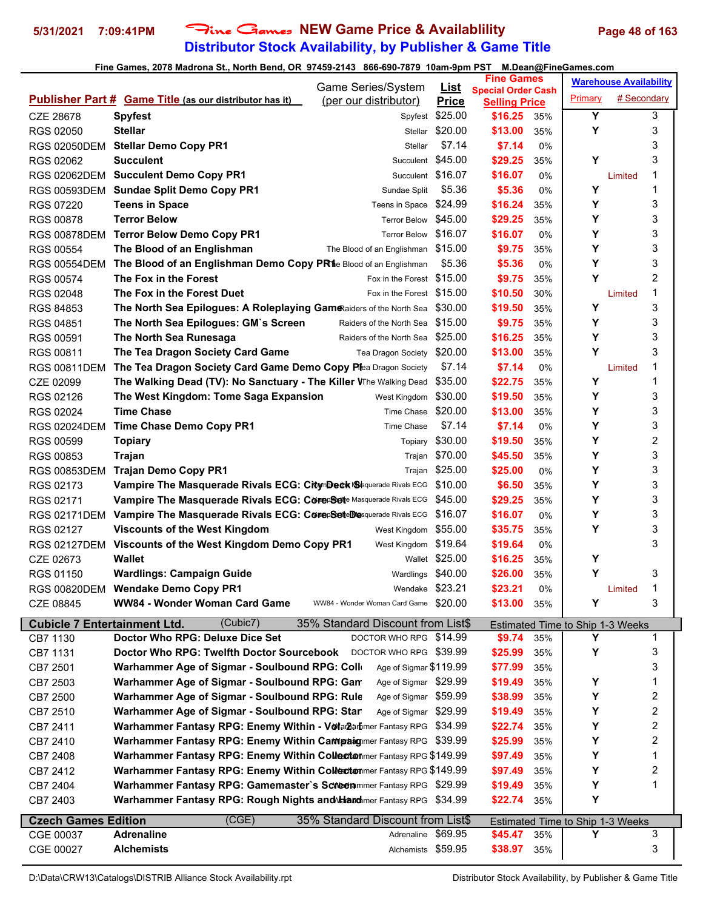# **Distributor Stock Availability, by Publisher & Game Title 5/31/2021 7:09:41PM** Fine Games **NEW Game Price & Availablility Page 48 of 163**

|                                     | Game Series/System                                                     |                                       | <u>List</u>    | <b>Fine Games</b><br><b>Special Order Cash</b> |     |                                         | <b>Warehouse Availability</b> |   |  |
|-------------------------------------|------------------------------------------------------------------------|---------------------------------------|----------------|------------------------------------------------|-----|-----------------------------------------|-------------------------------|---|--|
|                                     | <b>Publisher Part # Game Title (as our distributor has it)</b>         | (per our distributor)                 | <b>Price</b>   | <b>Selling Price</b>                           |     | Primary                                 | # Secondary                   |   |  |
| CZE 28678                           | <b>Spyfest</b>                                                         | Spyfest                               | \$25.00        | \$16.25                                        | 35% | Y                                       |                               | 3 |  |
| RGS 02050                           | <b>Stellar</b>                                                         | Stellar                               | \$20.00        | \$13.00                                        | 35% | Υ                                       |                               | 3 |  |
| <b>RGS 02050DEM</b>                 | <b>Stellar Demo Copy PR1</b>                                           | Stellar                               | \$7.14         | \$7.14                                         | 0%  |                                         |                               | 3 |  |
| RGS 02062                           | <b>Succulent</b>                                                       | Succulent                             | \$45.00        | \$29.25                                        | 35% | Υ                                       |                               | 3 |  |
| <b>RGS 02062DEM</b>                 | <b>Succulent Demo Copy PR1</b>                                         | Succulent                             | \$16.07        | \$16.07                                        | 0%  |                                         | Limited                       | 1 |  |
| <b>RGS 00593DEM</b>                 | <b>Sundae Split Demo Copy PR1</b>                                      | Sundae Split                          | \$5.36         | \$5.36                                         | 0%  | Y                                       |                               | 1 |  |
| RGS 07220                           | <b>Teens in Space</b>                                                  | Teens in Space \$24.99                |                | \$16.24                                        | 35% | Y                                       |                               | 3 |  |
| <b>RGS 00878</b>                    | <b>Terror Below</b>                                                    | <b>Terror Below</b>                   | \$45.00        | \$29.25                                        | 35% | Y                                       |                               | 3 |  |
|                                     | <b>Terror Below Demo Copy PR1</b>                                      | <b>Terror Below</b>                   | \$16.07        | \$16.07                                        |     | Y                                       |                               | 3 |  |
| <b>RGS 00878DEM</b>                 |                                                                        | The Blood of an Englishman \$15.00    |                | \$9.75                                         | 0%  | Υ                                       |                               | 3 |  |
| RGS 00554                           | The Blood of an Englishman                                             |                                       |                |                                                | 35% | Υ                                       |                               | 3 |  |
| <b>RGS 00554DEM</b>                 | The Blood of an Englishman Demo Copy PR1e Blood of an Englishman       |                                       | \$5.36         | \$5.36                                         | 0%  | Υ                                       |                               | 2 |  |
| RGS 00574                           | The Fox in the Forest                                                  | Fox in the Forest                     | \$15.00        | \$9.75                                         | 35% |                                         |                               |   |  |
| RGS 02048                           | The Fox in the Forest Duet                                             | Fox in the Forest \$15.00             |                | \$10.50                                        | 30% |                                         | Limited                       | 1 |  |
| RGS 84853                           | The North Sea Epilogues: A Roleplaying Gam Raiders of the North Sea    |                                       | \$30.00        | \$19.50                                        | 35% | Y                                       |                               | 3 |  |
| RGS 04851                           | The North Sea Epilogues: GM's Screen                                   | Raiders of the North Sea              | \$15.00        | \$9.75                                         | 35% | Y                                       |                               | 3 |  |
| RGS 00591                           | The North Sea Runesaga                                                 | Raiders of the North Sea              | \$25.00        | \$16.25                                        | 35% | Υ                                       |                               | 3 |  |
| RGS 00811                           | The Tea Dragon Society Card Game                                       | Tea Dragon Society                    | \$20.00        | \$13.00                                        | 35% | Y                                       |                               | 3 |  |
| <b>RGS 00811DEM</b>                 | The Tea Dragon Society Card Game Demo Copy Plea Dragon Society         |                                       | \$7.14         | \$7.14                                         | 0%  |                                         | Limited                       | 1 |  |
| CZE 02099                           | The Walking Dead (TV): No Sanctuary - The Killer VThe Walking Dead     |                                       | \$35.00        | \$22.75                                        | 35% | Y                                       |                               | 1 |  |
| RGS 02126                           | The West Kingdom: Tome Saga Expansion                                  | West Kingdom                          | \$30.00        | \$19.50                                        | 35% | Υ                                       |                               | 3 |  |
| RGS 02024                           | <b>Time Chase</b>                                                      | Time Chase                            | \$20.00        | \$13.00                                        | 35% | Y                                       |                               | 3 |  |
| <b>RGS 02024DEM</b>                 | Time Chase Demo Copy PR1                                               | Time Chase                            | \$7.14         | \$7.14                                         | 0%  | Υ                                       |                               | 3 |  |
| RGS 00599                           | <b>Topiary</b>                                                         | Topiary                               | \$30.00        | \$19.50                                        | 35% | Y                                       |                               | 2 |  |
| <b>RGS 00853</b>                    | <b>Trajan</b>                                                          | Trajan                                | \$70.00        | \$45.50                                        | 35% | Υ                                       |                               | 3 |  |
| <b>RGS 00853DEM</b>                 | <b>Trajan Demo Copy PR1</b>                                            | Trajan                                | \$25.00        | \$25.00                                        | 0%  | Y                                       |                               | 3 |  |
| RGS 02173                           | Vampire The Masquerade Rivals ECG: CitymDeck Susquerade Rivals ECG     |                                       | \$10.00        | \$6.50                                         | 35% | Y                                       |                               | 3 |  |
| RGS 02171                           | Vampire The Masquerade Rivals ECG: CorepSete Masquerade Rivals ECG     |                                       | \$45.00        | \$29.25                                        | 35% | Υ                                       |                               | 3 |  |
| <b>RGS 02171DEM</b>                 | Vampire The Masquerade Rivals ECG: CorepSeteDesquerade Rivals ECG      |                                       | \$16.07        | \$16.07                                        | 0%  | Y                                       |                               | 3 |  |
| RGS 02127                           | <b>Viscounts of the West Kingdom</b>                                   | West Kingdom                          | \$55.00        | \$35.75                                        | 35% | Υ                                       |                               | 3 |  |
| <b>RGS 02127DEM</b>                 | Viscounts of the West Kingdom Demo Copy PR1                            | West Kingdom                          | \$19.64        | \$19.64                                        | 0%  |                                         |                               | 3 |  |
| CZE 02673                           | <b>Wallet</b>                                                          |                                       | Wallet \$25.00 | \$16.25                                        | 35% | Y                                       |                               |   |  |
| RGS 01150                           | <b>Wardlings: Campaign Guide</b>                                       | Wardlings \$40.00                     |                | \$26.00                                        | 35% | Y                                       |                               | 3 |  |
| RGS 00820DEM                        | <b>Wendake Demo Copy PR1</b>                                           | Wendake \$23.21                       |                | \$23.21                                        | 0%  |                                         | Limited                       | 1 |  |
| CZE 08845                           | WW84 - Wonder Woman Card Game                                          | WW84 - Wonder Woman Card Game \$20.00 |                | \$13.00 35%                                    |     | Y                                       |                               | 3 |  |
| <b>Cubicle 7 Entertainment Ltd.</b> | (Cubic7)                                                               | 35% Standard Discount from List\$     |                |                                                |     | Estimated Time to Ship 1-3 Weeks        |                               |   |  |
| CB7 1130                            | Doctor Who RPG: Deluxe Dice Set                                        | DOCTOR WHO RPG \$14.99                |                | \$9.74                                         | 35% | Υ                                       |                               | 1 |  |
| CB7 1131                            | Doctor Who RPG: Twelfth Doctor Sourcebook DOCTOR WHO RPG \$39.99       |                                       |                | \$25.99                                        | 35% | Υ                                       |                               | 3 |  |
| CB7 2501                            | Warhammer Age of Sigmar - Soulbound RPG: Colle                         | Age of Sigmar \$119.99                |                | \$77.99                                        | 35% |                                         |                               | 3 |  |
| CB7 2503                            | Warhammer Age of Sigmar - Soulbound RPG: Gan                           | Age of Sigmar \$29.99                 |                | \$19.49                                        | 35% | Y                                       |                               | 1 |  |
| CB7 2500                            | Warhammer Age of Sigmar - Soulbound RPG: Rule                          | Age of Sigmar \$59.99                 |                | \$38.99                                        | 35% | Υ                                       |                               | 2 |  |
| CB7 2510                            | Warhammer Age of Sigmar - Soulbound RPG: Star                          | Age of Sigmar \$29.99                 |                | \$19.49                                        | 35% | Υ                                       |                               | 2 |  |
| CB7 2411                            | Warhammer Fantasy RPG: Enemy Within - Vola Barhmer Fantasy RPG \$34.99 |                                       |                | \$22.74                                        | 35% | Υ                                       |                               | 2 |  |
| CB7 2410                            | Warhammer Fantasy RPG: Enemy Within Campaigner Fantasy RPG \$39.99     |                                       |                | \$25.99                                        | 35% | Y                                       |                               | 2 |  |
| CB7 2408                            | Warhammer Fantasy RPG: Enemy Within Collectonmer Fantasy RPG \$149.99  |                                       |                | \$97.49                                        | 35% | Υ                                       |                               | 1 |  |
| CB7 2412                            | Warhammer Fantasy RPG: Enemy Within Collectonmer Fantasy RPG \$149.99  |                                       |                | \$97.49                                        | 35% | Y                                       |                               | 2 |  |
|                                     | Warhammer Fantasy RPG: Gamemaster's Screenmmer Fantasy RPG \$29.99     |                                       |                | \$19.49                                        | 35% | Y                                       |                               | 1 |  |
| CB7 2404                            | Warhammer Fantasy RPG: Rough Nights and Manumer Fantasy RPG \$34.99    |                                       |                | \$22.74                                        | 35% | Y                                       |                               |   |  |
| CB7 2403                            |                                                                        |                                       |                |                                                |     |                                         |                               |   |  |
| <b>Czech Games Edition</b>          | (CGE)                                                                  | 35% Standard Discount from List\$     |                |                                                |     | <b>Estimated Time to Ship 1-3 Weeks</b> |                               |   |  |
| CGE 00037                           | <b>Adrenaline</b>                                                      | Adrenaline \$69.95                    |                | \$45.47                                        | 35% | Υ                                       |                               | 3 |  |
| CGE 00027                           | <b>Alchemists</b>                                                      | Alchemists \$59.95                    |                | \$38.97                                        | 35% |                                         |                               | 3 |  |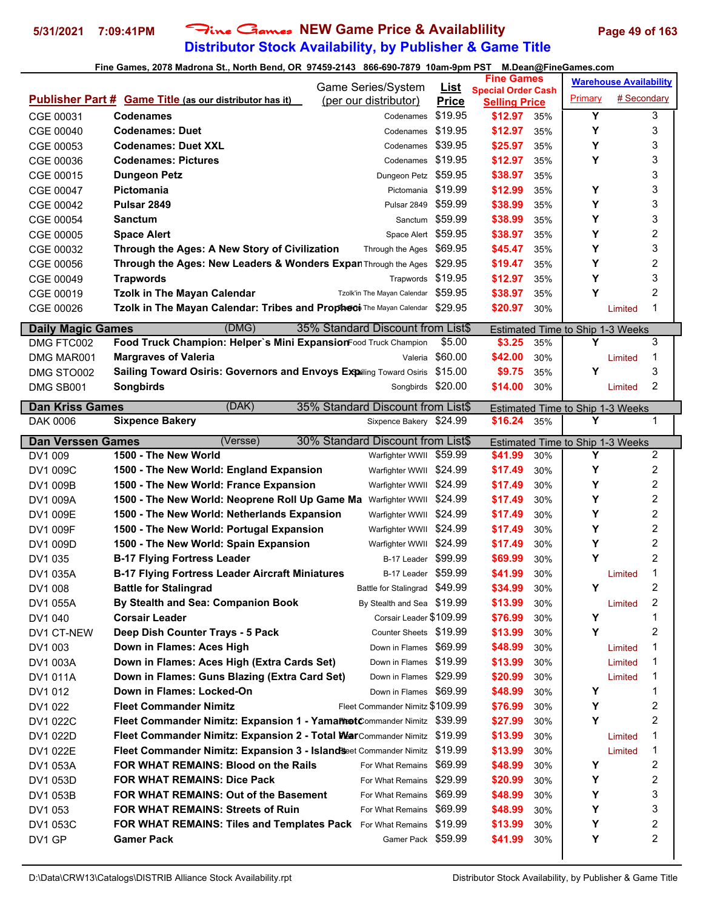# **Distributor Stock Availability, by Publisher & Game Title** 5/31/2021 7:09:41PM Fine Games NEW Game Price & Availablility Page 49 of 163

|                          |                                                                                              | Game Series/System                                |                             | <b>Fine Games</b>               |            |                                  | <b>Warehouse Availability</b> |                         |
|--------------------------|----------------------------------------------------------------------------------------------|---------------------------------------------------|-----------------------------|---------------------------------|------------|----------------------------------|-------------------------------|-------------------------|
|                          | <b>Publisher Part # Game Title (as our distributor has it)</b>                               | (per our distributor)                             | <u>List</u><br><b>Price</b> | <b>Special Order Cash</b>       |            | Primary                          | # Secondary                   |                         |
| CGE 00031                | <b>Codenames</b>                                                                             | Codenames                                         | \$19.95                     | <b>Selling Price</b><br>\$12.97 | 35%        | Y                                |                               | 3                       |
| CGE 00040                | <b>Codenames: Duet</b>                                                                       | Codenames                                         | \$19.95                     | \$12.97                         | 35%        | Υ                                |                               | 3                       |
| CGE 00053                | <b>Codenames: Duet XXL</b>                                                                   | Codenames                                         | \$39.95                     | \$25.97                         | 35%        | Y                                |                               | 3                       |
| CGE 00036                | <b>Codenames: Pictures</b>                                                                   | Codenames                                         | \$19.95                     | \$12.97                         | 35%        | Y                                |                               | 3                       |
|                          | <b>Dungeon Petz</b>                                                                          |                                                   | \$59.95                     | \$38.97                         |            |                                  |                               | 3                       |
| CGE 00015                | Pictomania                                                                                   | Dungeon Petz<br>Pictomania                        | \$19.99                     | \$12.99                         | 35%<br>35% | Υ                                |                               | 3                       |
| CGE 00047                | Pulsar 2849                                                                                  |                                                   | \$59.99                     | \$38.99                         |            | Υ                                |                               | 3                       |
| CGE 00042<br>CGE 00054   | <b>Sanctum</b>                                                                               | Pulsar 2849<br>Sanctum                            | \$59.99                     | \$38.99                         | 35%<br>35% | Υ                                |                               | 3                       |
| CGE 00005                | <b>Space Alert</b>                                                                           | Space Alert \$59.95                               |                             | \$38.97                         | 35%        | Υ                                |                               | 2                       |
| CGE 00032                | Through the Ages: A New Story of Civilization                                                | Through the Ages                                  | \$69.95                     | \$45.47                         | 35%        | Y                                |                               | 3                       |
| CGE 00056                | Through the Ages: New Leaders & Wonders Expan Through the Ages                               |                                                   | \$29.95                     | \$19.47                         | 35%        | Υ                                |                               | 2                       |
| CGE 00049                | <b>Trapwords</b>                                                                             | Trapwords                                         | \$19.95                     | \$12.97                         | 35%        | Υ                                |                               | 3                       |
| CGE 00019                | <b>Tzolk in The Mayan Calendar</b>                                                           | Tzolk'in The Mayan Calendar                       | \$59.95                     | \$38.97                         | 35%        | Υ                                |                               | 2                       |
| CGE 00026                | Tzolk in The Mayan Calendar: Tribes and Propheti The Mayan Calendar                          |                                                   | \$29.95                     | \$20.97                         | 30%        |                                  | Limited                       | 1                       |
|                          |                                                                                              |                                                   |                             |                                 |            |                                  |                               |                         |
| <b>Daily Magic Games</b> | (DMG)                                                                                        | 35% Standard Discount from List\$                 |                             |                                 |            | Estimated Time to Ship 1-3 Weeks |                               |                         |
| DMG FTC002               | Food Truck Champion: Helper's Mini ExpansionFood Truck Champion                              |                                                   | \$5.00                      | \$3.25                          | 35%        | Y                                |                               | 3                       |
| DMG MAR001               | <b>Margraves of Valeria</b>                                                                  | Valeria                                           | \$60.00                     | \$42.00                         | 30%        |                                  | Limited                       | 1                       |
| DMG STO002               | Sailing Toward Osiris: Governors and Envoys Expailing Toward Osiris                          |                                                   | \$15.00                     | \$9.75                          | 35%        | Υ                                |                               | 3                       |
| DMG SB001                | Songbirds                                                                                    | Songbirds \$20.00                                 |                             | \$14.00                         | 30%        |                                  | Limited                       | 2                       |
| <b>Dan Kriss Games</b>   | (DAK)                                                                                        | 35% Standard Discount from List\$                 |                             |                                 |            | Estimated Time to Ship 1-3 Weeks |                               |                         |
| DAK 0006                 | <b>Sixpence Bakery</b>                                                                       | Sixpence Bakery \$24.99                           |                             | \$16.24                         | 35%        | Υ                                |                               | 1                       |
| <b>Dan Verssen Games</b> | $\overline{\text{(Versse)}}$                                                                 | 30% Standard Discount from List\$                 |                             |                                 |            | Estimated Time to Ship 1-3 Weeks |                               |                         |
| DV1 009                  | 1500 - The New World                                                                         | Warfighter WWII                                   | \$59.99                     | \$41.99                         | 30%        | Υ                                |                               | 2                       |
|                          |                                                                                              |                                                   |                             |                                 |            |                                  |                               |                         |
|                          |                                                                                              |                                                   |                             |                                 |            |                                  |                               |                         |
| DV1 009C                 | 1500 - The New World: England Expansion                                                      | Warfighter WWII \$24.99                           |                             | \$17.49                         | 30%        | Υ                                |                               | 2                       |
| DV1 009B                 | 1500 - The New World: France Expansion                                                       | Warfighter WWII \$24.99                           |                             | \$17.49                         | 30%        | Υ                                |                               | $\overline{\mathbf{c}}$ |
| DV1 009A                 | 1500 - The New World: Neoprene Roll Up Game Ma Warfighter WWII                               |                                                   | \$24.99                     | \$17.49                         | 30%        | Υ                                |                               | 2                       |
| DV1 009E                 | 1500 - The New World: Netherlands Expansion                                                  | Warfighter WWII                                   | \$24.99                     | \$17.49                         | 30%        | Υ                                |                               | 2                       |
| <b>DV1 009F</b>          | 1500 - The New World: Portugal Expansion                                                     | Warfighter WWII \$24.99                           |                             | \$17.49                         | 30%        | Υ                                |                               | 2                       |
| DV1 009D                 | 1500 - The New World: Spain Expansion                                                        | Warfighter WWII                                   | \$24.99                     | \$17.49                         | 30%        | Υ<br>Y                           |                               | 2                       |
| DV1 035                  | <b>B-17 Flying Fortress Leader</b>                                                           | B-17 Leader<br>B-17 Leader \$59.99                | \$99.99                     | \$69.99<br>\$41.99              | 30%        |                                  | Limited                       | 2<br>1                  |
| DV1 035A                 | <b>B-17 Flying Fortress Leader Aircraft Miniatures</b>                                       |                                                   |                             |                                 | 30%        | Y                                |                               | 2                       |
| DV1 008<br>DV1 055A      | <b>Battle for Stalingrad</b>                                                                 | Battle for Stalingrad \$49.99                     |                             | \$34.99<br>\$13.99              | 30%<br>30% |                                  | Limited                       | 2                       |
|                          | By Stealth and Sea: Companion Book<br><b>Corsair Leader</b>                                  | By Stealth and Sea \$19.99                        |                             | \$76.99                         |            | Υ                                |                               | 1                       |
| DV1 040<br>DV1 CT-NEW    |                                                                                              | Corsair Leader \$109.99<br>Counter Sheets \$19.99 |                             |                                 | 30%<br>30% | Υ                                |                               | 2                       |
|                          | Deep Dish Counter Trays - 5 Pack<br>Down in Flames: Aces High                                | Down in Flames \$69.99                            |                             | \$13.99<br>\$48.99              | 30%        |                                  | Limited                       | 1                       |
| DV1 003<br>DV1 003A      |                                                                                              | Down in Flames \$19.99                            |                             | \$13.99                         | 30%        |                                  | Limited                       | 1                       |
| DV1 011A                 | Down in Flames: Aces High (Extra Cards Set)<br>Down in Flames: Guns Blazing (Extra Card Set) | Down in Flames \$29.99                            |                             | \$20.99                         | 30%        |                                  | Limited                       | 1                       |
| DV1 012                  | Down in Flames: Locked-On                                                                    | Down in Flames \$69.99                            |                             | \$48.99                         | 30%        | Y                                |                               | 1                       |
| DV1 022                  | <b>Fleet Commander Nimitz</b>                                                                | Fleet Commander Nimitz \$109.99                   |                             | \$76.99                         | 30%        | Υ                                |                               | 2                       |
| DV1 022C                 | Fleet Commander Nimitz: Expansion 1 - Yamannet Commander Nimitz \$39.99                      |                                                   |                             | \$27.99                         | 30%        | Y                                |                               | 2                       |
| DV1 022D                 | Fleet Commander Nimitz: Expansion 2 - Total WarCommander Nimitz \$19.99                      |                                                   |                             | \$13.99                         | 30%        |                                  | Limited                       | 1                       |
| DV1 022E                 | Fleet Commander Nimitz: Expansion 3 - Island Seet Commander Nimitz \$19.99                   |                                                   |                             | \$13.99                         | 30%        |                                  | Limited                       | 1                       |
| DV1 053A                 | FOR WHAT REMAINS: Blood on the Rails                                                         | For What Remains                                  | \$69.99                     | \$48.99                         | 30%        | Υ                                |                               | 2                       |
| DV1 053D                 | <b>FOR WHAT REMAINS: Dice Pack</b>                                                           | For What Remains                                  | \$29.99                     | \$20.99                         | 30%        | Υ                                |                               | 2                       |
| DV1 053B                 | FOR WHAT REMAINS: Out of the Basement                                                        | For What Remains                                  | \$69.99                     | \$48.99                         | 30%        | Υ                                |                               | 3                       |
| DV1 053                  | <b>FOR WHAT REMAINS: Streets of Ruin</b>                                                     | For What Remains                                  | \$69.99                     | \$48.99                         | 30%        | Υ                                |                               | 3                       |
| DV1 053C                 | FOR WHAT REMAINS: Tiles and Templates Pack For What Remains \$19.99                          |                                                   |                             | \$13.99                         | 30%        | Υ                                |                               | 2                       |
| DV1 GP                   | <b>Gamer Pack</b>                                                                            | Gamer Pack \$59.99                                |                             | \$41.99                         | 30%        | Υ                                |                               | 2                       |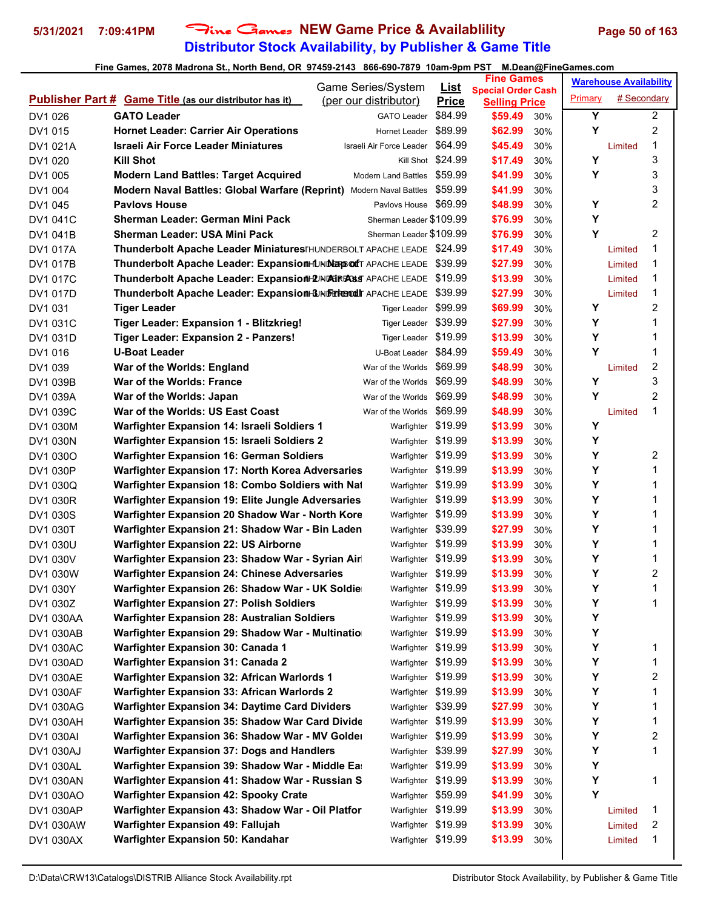# **Distributor Stock Availability, by Publisher & Game Title** 5/31/2021 7:09:41PM Fine Games NEW Game Price & Availablility Page 50 of 163

|                 |                                                                             | Game Series/System               | <u>List</u>       | <b>Fine Games</b>                                 |     |         | <b>Warehouse Availability</b> |   |
|-----------------|-----------------------------------------------------------------------------|----------------------------------|-------------------|---------------------------------------------------|-----|---------|-------------------------------|---|
|                 | <b>Publisher Part # Game Title (as our distributor has it)</b>              | (per our distributor)            | <b>Price</b>      | <b>Special Order Cash</b><br><b>Selling Price</b> |     | Primary | # Secondary                   |   |
| DV1 026         | <b>GATO Leader</b>                                                          | <b>GATO Leader</b>               | \$84.99           | \$59.49                                           | 30% | Y       |                               | 2 |
| DV1 015         | <b>Hornet Leader: Carrier Air Operations</b>                                | Hornet Leader                    | \$89.99           | \$62.99                                           | 30% | Y       |                               | 2 |
| DV1 021A        | Israeli Air Force Leader Miniatures                                         | Israeli Air Force Leader \$64.99 |                   | \$45.49                                           | 30% |         | Limited                       | 1 |
| DV1 020         | Kill Shot                                                                   |                                  | Kill Shot \$24.99 | \$17.49                                           | 30% | Y       |                               | 3 |
| DV1 005         | <b>Modern Land Battles: Target Acquired</b>                                 | <b>Modern Land Battles</b>       | \$59.99           | \$41.99                                           | 30% | Y       |                               | 3 |
| DV1 004         | Modern Naval Battles: Global Warfare (Reprint) Modern Naval Battles \$59.99 |                                  |                   | \$41.99                                           | 30% |         |                               | 3 |
| DV1 045         | <b>Pavlovs House</b>                                                        | Pavlovs House \$69.99            |                   | \$48.99                                           | 30% | Υ       |                               | 2 |
| DV1 041C        | Sherman Leader: German Mini Pack                                            | Sherman Leader \$109.99          |                   | \$76.99                                           | 30% | Υ       |                               |   |
| DV1 041B        | Sherman Leader: USA Mini Pack                                               | Sherman Leader \$109.99          |                   | \$76.99                                           | 30% | Y       |                               | 2 |
| DV1 017A        | Thunderbolt Apache Leader Miniatures FHUNDERBOLT APACHE LEADE \$24.99       |                                  |                   | \$17.49                                           | 30% |         | Limited                       | 1 |
| DV1 017B        | Thunderbolt Apache Leader: ExpansionHUNDER port APACHE LEADE \$39.99        |                                  |                   | \$27.99                                           | 30% |         | Limited                       | 1 |
| DV1 017C        | Thunderbolt Apache Leader: Expansion DINDERFASS APACHE LEADE \$19.99        |                                  |                   | \$13.99                                           | 30% |         | Limited                       | 1 |
| DV1 017D        | Thunderbolt Apache Leader: Expansion-GINERTERORD APACHE LEADE               |                                  | \$39.99           | \$27.99                                           | 30% |         | Limited                       | 1 |
| DV1 031         | <b>Tiger Leader</b>                                                         | Tiger Leader \$99.99             |                   | \$69.99                                           | 30% | Y       |                               | 2 |
| DV1 031C        | Tiger Leader: Expansion 1 - Blitzkrieg!                                     | Tiger Leader \$39.99             |                   | \$27.99                                           | 30% | Y       |                               | 1 |
| DV1 031D        | <b>Tiger Leader: Expansion 2 - Panzers!</b>                                 | Tiger Leader \$19.99             |                   | \$13.99                                           | 30% | Y       |                               | 1 |
| DV1 016         | <b>U-Boat Leader</b>                                                        | U-Boat Leader \$84.99            |                   | \$59.49                                           | 30% | Y       |                               | 1 |
| DV1 039         | War of the Worlds: England                                                  | War of the Worlds \$69.99        |                   | \$48.99                                           | 30% |         | Limited                       | 2 |
| DV1 039B        | War of the Worlds: France                                                   | War of the Worlds                | \$69.99           | \$48.99                                           | 30% | Y       |                               | 3 |
| DV1 039A        | War of the Worlds: Japan                                                    | War of the Worlds \$69.99        |                   | \$48.99                                           | 30% | Y       |                               | 2 |
| DV1 039C        | War of the Worlds: US East Coast                                            | War of the Worlds \$69.99        |                   | \$48.99                                           | 30% |         | Limited                       | 1 |
| DV1 030M        | Warfighter Expansion 14: Israeli Soldiers 1                                 | Warfighter \$19.99               |                   | \$13.99                                           | 30% | Y       |                               |   |
| DV1 030N        | Warfighter Expansion 15: Israeli Soldiers 2                                 | Warfighter \$19.99               |                   | \$13.99                                           | 30% | Y       |                               |   |
| DV1 030O        | <b>Warfighter Expansion 16: German Soldiers</b>                             | Warfighter \$19.99               |                   | \$13.99                                           | 30% | Y       |                               | 2 |
| DV1 030P        | Warfighter Expansion 17: North Korea Adversaries                            | Warfighter \$19.99               |                   | \$13.99                                           | 30% | Y       |                               | 1 |
| DV1 030Q        | Warfighter Expansion 18: Combo Soldiers with Nat                            | Warfighter \$19.99               |                   | \$13.99                                           | 30% | Y       |                               | 1 |
| DV1 030R        | Warfighter Expansion 19: Elite Jungle Adversaries                           | Warfighter \$19.99               |                   | \$13.99                                           | 30% | Y       |                               | 1 |
| <b>DV1 030S</b> | Warfighter Expansion 20 Shadow War - North Kore                             | Warfighter \$19.99               |                   | \$13.99                                           | 30% | Y       |                               | 1 |
| DV1 030T        | Warfighter Expansion 21: Shadow War - Bin Laden                             | Warfighter \$39.99               |                   | \$27.99                                           | 30% | Y       |                               | 1 |
| DV1 030U        | <b>Warfighter Expansion 22: US Airborne</b>                                 | Warfighter \$19.99               |                   | \$13.99                                           | 30% | Y       |                               | 1 |
| DV1 030V        | Warfighter Expansion 23: Shadow War - Syrian Air                            | Warfighter \$19.99               |                   | \$13.99                                           | 30% | Y       |                               | 1 |
| DV1 030W        | <b>Warfighter Expansion 24: Chinese Adversaries</b>                         | Warfighter \$19.99               |                   | \$13.99                                           | 30% | Υ       |                               | 2 |
| DV1 030Y        | Warfighter Expansion 26: Shadow War - UK Soldie                             | Warfighter \$19.99               |                   | \$13.99                                           | 30% | Υ       |                               | 1 |
| DV1 030Z        | <b>Warfighter Expansion 27: Polish Soldiers</b>                             | Warfighter \$19.99               |                   | \$13.99                                           | 30% | Y       |                               | 1 |
| DV1 030AA       | <b>Warfighter Expansion 28: Australian Soldiers</b>                         | Warfighter \$19.99               |                   | \$13.99                                           | 30% | Υ       |                               |   |
| DV1 030AB       | Warfighter Expansion 29: Shadow War - Multinatio                            | Warfighter \$19.99               |                   | \$13.99                                           | 30% | Υ       |                               |   |
| DV1 030AC       | <b>Warfighter Expansion 30: Canada 1</b>                                    | Warfighter \$19.99               |                   | \$13.99                                           | 30% | Υ       |                               | 1 |
| DV1 030AD       | <b>Warfighter Expansion 31: Canada 2</b>                                    | Warfighter \$19.99               |                   | \$13.99                                           | 30% | Υ       |                               | 1 |
| DV1 030AE       | Warfighter Expansion 32: African Warlords 1                                 | Warfighter \$19.99               |                   | \$13.99                                           | 30% | Y       |                               | 2 |
| DV1 030AF       | Warfighter Expansion 33: African Warlords 2                                 | Warfighter \$19.99               |                   | \$13.99                                           | 30% | Υ       |                               | 1 |
| DV1 030AG       | <b>Warfighter Expansion 34: Daytime Card Dividers</b>                       | Warfighter \$39.99               |                   | \$27.99                                           | 30% | Υ       |                               | 1 |
| DV1 030AH       | Warfighter Expansion 35: Shadow War Card Divide                             | Warfighter \$19.99               |                   | \$13.99                                           | 30% | Υ       |                               | 1 |
| DV1 030AI       | Warfighter Expansion 36: Shadow War - MV Golder                             | Warfighter \$19.99               |                   | \$13.99                                           | 30% | Υ       |                               | 2 |
| DV1 030AJ       | <b>Warfighter Expansion 37: Dogs and Handlers</b>                           | Warfighter \$39.99               |                   | \$27.99                                           | 30% | Υ       |                               | 1 |
| DV1 030AL       | Warfighter Expansion 39: Shadow War - Middle East                           | Warfighter \$19.99               |                   | \$13.99                                           | 30% | Υ       |                               |   |
| DV1 030AN       | Warfighter Expansion 41: Shadow War - Russian S                             | Warfighter \$19.99               |                   | \$13.99                                           | 30% | Y       |                               | 1 |
| DV1 030AO       | <b>Warfighter Expansion 42: Spooky Crate</b>                                | Warfighter \$59.99               |                   | \$41.99                                           | 30% | Y       |                               |   |
| DV1 030AP       | Warfighter Expansion 43: Shadow War - Oil Platfor                           | Warfighter \$19.99               |                   | \$13.99                                           | 30% |         | Limited                       | 1 |
| DV1 030AW       | <b>Warfighter Expansion 49: Fallujah</b>                                    | Warfighter \$19.99               |                   | \$13.99                                           | 30% |         | Limited                       | 2 |
| DV1 030AX       | Warfighter Expansion 50: Kandahar                                           | Warfighter \$19.99               |                   | \$13.99                                           | 30% |         | Limited                       | 1 |
|                 |                                                                             |                                  |                   |                                                   |     |         |                               |   |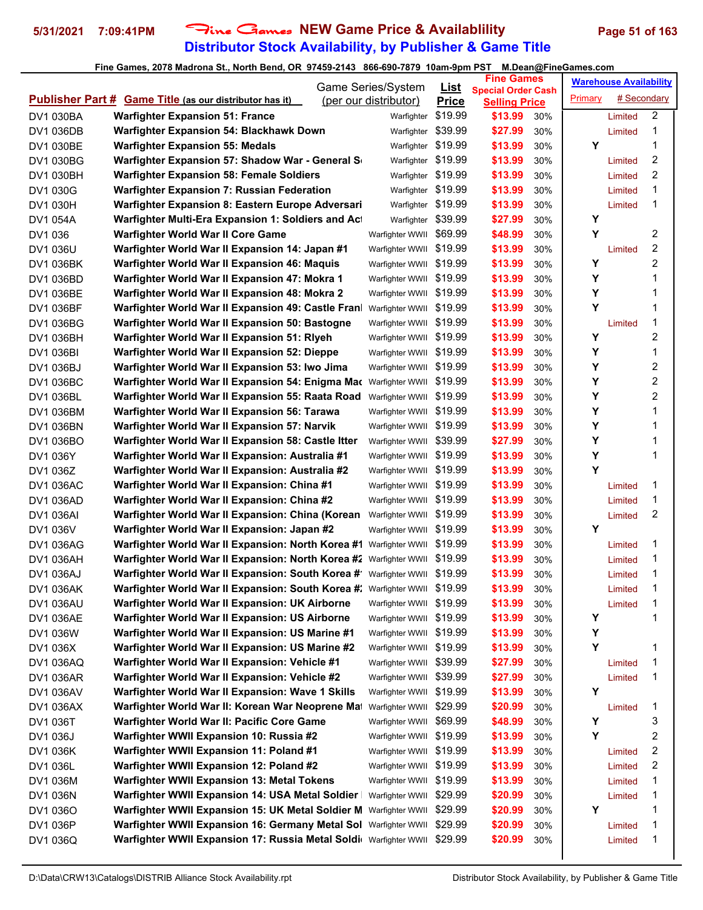# **Distributor Stock Availability, by Publisher & Game Title** 5/31/2021 7:09:41PM Fine Games NEW Game Price & Availablility Page 51 of 163

|                  |                                                                           | <b>Game Series/System</b> | <b>List</b>  | <b>Fine Games</b>               |     |         | <b>Warehouse Availability</b> |   |
|------------------|---------------------------------------------------------------------------|---------------------------|--------------|---------------------------------|-----|---------|-------------------------------|---|
|                  | <b>Publisher Part # Game Title (as our distributor has it)</b>            | (per our distributor)     | <b>Price</b> | <b>Special Order Cash</b>       |     | Primary | # Secondary                   |   |
| DV1 030BA        | <b>Warfighter Expansion 51: France</b>                                    | Warfighter                | \$19.99      | <b>Selling Price</b><br>\$13.99 | 30% |         | Limited                       | 2 |
| <b>DV1 036DB</b> | <b>Warfighter Expansion 54: Blackhawk Down</b>                            | Warfighter                | \$39.99      | \$27.99                         | 30% |         | Limited                       | 1 |
| DV1 030BE        | <b>Warfighter Expansion 55: Medals</b>                                    | Warfighter                | \$19.99      | \$13.99                         | 30% | Y       |                               | 1 |
| <b>DV1 030BG</b> | Warfighter Expansion 57: Shadow War - General S                           | Warfighter                | \$19.99      | \$13.99                         | 30% |         | Limited                       | 2 |
| DV1 030BH        | <b>Warfighter Expansion 58: Female Soldiers</b>                           | Warfighter                | \$19.99      | \$13.99                         | 30% |         | Limited                       | 2 |
| DV1 030G         | <b>Warfighter Expansion 7: Russian Federation</b>                         | Warfighter                | \$19.99      | \$13.99                         | 30% |         | Limited                       | 1 |
| DV1 030H         | Warfighter Expansion 8: Eastern Europe Adversari                          | Warfighter                | \$19.99      | \$13.99                         | 30% |         | Limited                       | 1 |
| DV1 054A         | Warfighter Multi-Era Expansion 1: Soldiers and Act                        | Warfighter                | \$39.99      | \$27.99                         | 30% | Y       |                               |   |
| DV1 036          | Warfighter World War II Core Game                                         | Warfighter WWII           | \$69.99      | \$48.99                         | 30% | Y       |                               | 2 |
| DV1 036U         | Warfighter World War II Expansion 14: Japan #1                            | Warfighter WWII           | \$19.99      | \$13.99                         | 30% |         | Limited                       | 2 |
| <b>DV1 036BK</b> | Warfighter World War II Expansion 46: Maquis                              | Warfighter WWII \$19.99   |              | \$13.99                         | 30% | Y       |                               | 2 |
| DV1 036BD        | Warfighter World War II Expansion 47: Mokra 1                             | Warfighter WWII           | \$19.99      | \$13.99                         | 30% | Y       |                               | 1 |
| DV1 036BE        | Warfighter World War II Expansion 48: Mokra 2                             | Warfighter WWII           | \$19.99      | \$13.99                         | 30% | Υ       |                               | 1 |
| <b>DV1 036BF</b> | Warfighter World War II Expansion 49: Castle Fran                         | Warfighter WWII           | \$19.99      | \$13.99                         | 30% | Y       |                               | 1 |
| DV1 036BG        | Warfighter World War II Expansion 50: Bastogne                            | Warfighter WWII           | \$19.99      | \$13.99                         | 30% |         | Limited                       | 1 |
| <b>DV1 036BH</b> | Warfighter World War II Expansion 51: Riyeh                               | Warfighter WWII           | \$19.99      | \$13.99                         | 30% | Y       |                               | 2 |
| DV1 036BI        | Warfighter World War II Expansion 52: Dieppe                              | Warfighter WWII           | \$19.99      | \$13.99                         | 30% | Υ       |                               | 1 |
| DV1 036BJ        | Warfighter World War II Expansion 53: Iwo Jima                            | Warfighter WWII           | \$19.99      | \$13.99                         | 30% | Υ       |                               | 2 |
| <b>DV1 036BC</b> | Warfighter World War II Expansion 54: Enigma Mac Warfighter WWII          |                           | \$19.99      | \$13.99                         | 30% | Y       |                               | 2 |
| DV1 036BL        | Warfighter World War II Expansion 55: Raata Road                          | Warfighter WWII           | \$19.99      | \$13.99                         | 30% | Υ       |                               | 2 |
| DV1 036BM        | Warfighter World War II Expansion 56: Tarawa                              | Warfighter WWII           | \$19.99      | \$13.99                         | 30% | Υ       |                               | 1 |
| DV1 036BN        | Warfighter World War II Expansion 57: Narvik                              | Warfighter WWII \$19.99   |              | \$13.99                         | 30% | Y       |                               | 1 |
| DV1 036BO        | Warfighter World War II Expansion 58: Castle Itter                        | Warfighter WWII           | \$39.99      | \$27.99                         | 30% | Y       |                               | 1 |
| DV1 036Y         | Warfighter World War II Expansion: Australia #1                           | Warfighter WWII           | \$19.99      | \$13.99                         | 30% | Υ       |                               | 1 |
| DV1 036Z         | Warfighter World War II Expansion: Australia #2                           | Warfighter WWII           | \$19.99      | \$13.99                         | 30% | Y       |                               |   |
| <b>DV1 036AC</b> | Warfighter World War II Expansion: China #1                               | Warfighter WWII           | \$19.99      | \$13.99                         | 30% |         | Limited                       | 1 |
| DV1 036AD        | Warfighter World War II Expansion: China #2                               | Warfighter WWII           | \$19.99      | \$13.99                         | 30% |         | Limited                       | 1 |
| DV1 036AI        | Warfighter World War II Expansion: China (Korean Warfighter WWII          |                           | \$19.99      | \$13.99                         | 30% |         | Limited                       | 2 |
| DV1 036V         | Warfighter World War II Expansion: Japan #2                               | Warfighter WWII           | \$19.99      | \$13.99                         | 30% | Y       |                               |   |
| <b>DV1 036AG</b> | Warfighter World War II Expansion: North Korea #1 Warfighter WWII         |                           | \$19.99      | \$13.99                         | 30% |         | Limited                       | 1 |
| DV1 036AH        | Warfighter World War II Expansion: North Korea #2 Warfighter WWII         |                           | \$19.99      | \$13.99                         | 30% |         | Limited                       | 1 |
| DV1 036AJ        | Warfighter World War II Expansion: South Korea # Warfighter WWII \$19.99  |                           |              | \$13.99                         | 30% |         | Limited                       | 1 |
| DV1 036AK        | Warfighter World War II Expansion: South Korea #: Warfighter WWII \$19.99 |                           |              | \$13.99                         | 30% |         | Limited                       | 1 |
| DV1 036AU        | Warfighter World War II Expansion: UK Airborne                            | Warfighter WWII \$19.99   |              | \$13.99                         | 30% |         | Limited                       | 1 |
| DV1 036AE        | Warfighter World War II Expansion: US Airborne                            | Warfighter WWII \$19.99   |              | \$13.99                         | 30% | Υ       |                               | 1 |
| DV1 036W         | Warfighter World War II Expansion: US Marine #1                           | Warfighter WWII \$19.99   |              | \$13.99                         | 30% | Υ       |                               |   |
| DV1 036X         | Warfighter World War II Expansion: US Marine #2                           | Warfighter WWII \$19.99   |              | \$13.99                         | 30% | Y       |                               | 1 |
| DV1 036AQ        | Warfighter World War II Expansion: Vehicle #1                             | Warfighter WWII           | \$39.99      | \$27.99                         | 30% |         | Limited                       | 1 |
| DV1 036AR        | Warfighter World War II Expansion: Vehicle #2                             | Warfighter WWII \$39.99   |              | \$27.99                         | 30% |         | Limited                       | 1 |
| DV1 036AV        | Warfighter World War II Expansion: Wave 1 Skills                          | Warfighter WWII \$19.99   |              | \$13.99                         | 30% | Υ       |                               |   |
| DV1 036AX        | Warfighter World War II: Korean War Neoprene Mat                          | Warfighter WWII           | \$29.99      | \$20.99                         | 30% |         | Limited                       | 1 |
| DV1 036T         | Warfighter World War II: Pacific Core Game                                | Warfighter WWII \$69.99   |              | \$48.99                         | 30% | Υ       |                               | 3 |
| DV1 036J         | Warfighter WWII Expansion 10: Russia #2                                   | Warfighter WWII \$19.99   |              | \$13.99                         | 30% | Y       |                               | 2 |
| DV1 036K         | Warfighter WWII Expansion 11: Poland #1                                   | Warfighter WWII \$19.99   |              | \$13.99                         | 30% |         | Limited                       | 2 |
| DV1 036L         | Warfighter WWII Expansion 12: Poland #2                                   | Warfighter WWII \$19.99   |              | \$13.99                         | 30% |         | Limited                       | 2 |
| DV1 036M         | <b>Warfighter WWII Expansion 13: Metal Tokens</b>                         | Warfighter WWII           | \$19.99      | \$13.99                         | 30% |         | Limited                       | 1 |
| DV1 036N         | Warfighter WWII Expansion 14: USA Metal Soldier                           | Warfighter WWII           | \$29.99      | \$20.99                         | 30% |         | Limited                       | 1 |
| DV1 036O         | Warfighter WWII Expansion 15: UK Metal Soldier M                          | Warfighter WWII           | \$29.99      | \$20.99                         | 30% | Υ       |                               | 1 |
| DV1 036P         | Warfighter WWII Expansion 16: Germany Metal Sol Warfighter WWII           |                           | \$29.99      | \$20.99                         | 30% |         | Limited                       | 1 |
| DV1 036Q         | Warfighter WWII Expansion 17: Russia Metal Soldi Warfighter WWII \$29.99  |                           |              | \$20.99                         | 30% |         | Limited                       | 1 |
|                  |                                                                           |                           |              |                                 |     |         |                               |   |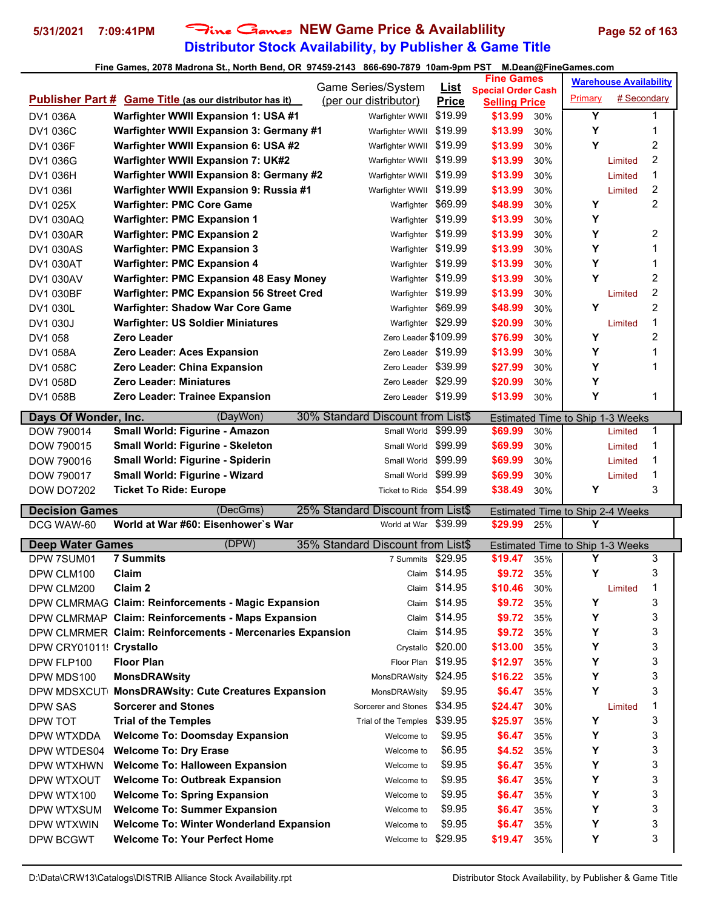# **Distributor Stock Availability, by Publisher & Game Title 5/31/2021 7:09:41PM** Fine Games **NEW Game Price & Availablility Page 52 of 163**

|                         |                                                                | Game Series/System                |                             | <b>Fine Games</b>               |     |                                              | <b>Warehouse Availability</b> |   |  |
|-------------------------|----------------------------------------------------------------|-----------------------------------|-----------------------------|---------------------------------|-----|----------------------------------------------|-------------------------------|---|--|
|                         | <b>Publisher Part # Game Title (as our distributor has it)</b> | (per our distributor)             | <u>List</u><br><b>Price</b> | <b>Special Order Cash</b>       |     | Primary                                      | # Secondary                   |   |  |
| DV1 036A                | Warfighter WWII Expansion 1: USA #1                            | Warfighter WWII                   | \$19.99                     | <b>Selling Price</b><br>\$13.99 | 30% | Y                                            |                               | 1 |  |
| DV1 036C                | Warfighter WWII Expansion 3: Germany #1                        | Warfighter WWII                   | \$19.99                     | \$13.99                         | 30% | Υ                                            |                               | 1 |  |
| DV1 036F                | Warfighter WWII Expansion 6: USA #2                            | Warfighter WWII                   | \$19.99                     | \$13.99                         | 30% | Y                                            |                               | 2 |  |
| DV1 036G                | <b>Warfighter WWII Expansion 7: UK#2</b>                       | Warfighter WWII                   | \$19.99                     | \$13.99                         | 30% |                                              | Limited                       | 2 |  |
| DV1 036H                | Warfighter WWII Expansion 8: Germany #2                        | Warfighter WWII                   | \$19.99                     | \$13.99                         | 30% |                                              | Limited                       | 1 |  |
| DV1 036I                | Warfighter WWII Expansion 9: Russia #1                         | Warfighter WWII                   | \$19.99                     | \$13.99                         | 30% |                                              | Limited                       | 2 |  |
| DV1 025X                | <b>Warfighter: PMC Core Game</b>                               | Warfighter                        | \$69.99                     | \$48.99                         | 30% | Y                                            |                               | 2 |  |
| DV1 030AQ               | <b>Warfighter: PMC Expansion 1</b>                             | Warfighter \$19.99                |                             | \$13.99                         | 30% | Υ                                            |                               |   |  |
| <b>DV1 030AR</b>        | <b>Warfighter: PMC Expansion 2</b>                             | Warfighter \$19.99                |                             | \$13.99                         | 30% | Υ                                            |                               | 2 |  |
| <b>DV1 030AS</b>        | <b>Warfighter: PMC Expansion 3</b>                             | Warfighter \$19.99                |                             | \$13.99                         | 30% | Υ                                            |                               | 1 |  |
| <b>DV1 030AT</b>        | <b>Warfighter: PMC Expansion 4</b>                             | Warfighter \$19.99                |                             | \$13.99                         | 30% | Υ                                            |                               | 1 |  |
| DV1 030AV               | <b>Warfighter: PMC Expansion 48 Easy Money</b>                 | Warfighter \$19.99                |                             | \$13.99                         | 30% | Y                                            |                               | 2 |  |
| DV1 030BF               | <b>Warfighter: PMC Expansion 56 Street Cred</b>                | Warfighter \$19.99                |                             | \$13.99                         | 30% |                                              | Limited                       | 2 |  |
| DV1 030L                | <b>Warfighter: Shadow War Core Game</b>                        | Warfighter \$69.99                |                             | \$48.99                         | 30% | Y                                            |                               | 2 |  |
| DV1 030J                | <b>Warfighter: US Soldier Miniatures</b>                       | Warfighter \$29.99                |                             | \$20.99                         | 30% |                                              | Limited                       | 1 |  |
| DV1 058                 | <b>Zero Leader</b>                                             | Zero Leader \$109.99              |                             | \$76.99                         | 30% | Υ                                            |                               | 2 |  |
| DV1 058A                | Zero Leader: Aces Expansion                                    | Zero Leader \$19.99               |                             | \$13.99                         | 30% | Y                                            |                               | 1 |  |
| <b>DV1 058C</b>         | Zero Leader: China Expansion                                   | Zero Leader \$39.99               |                             | \$27.99                         | 30% | Y                                            |                               | 1 |  |
| DV1 058D                | <b>Zero Leader: Miniatures</b>                                 | Zero Leader \$29.99               |                             | \$20.99                         | 30% | Y                                            |                               |   |  |
| DV1 058B                | <b>Zero Leader: Trainee Expansion</b>                          | Zero Leader \$19.99               |                             | \$13.99                         | 30% | Y                                            |                               | 1 |  |
|                         |                                                                |                                   |                             |                                 |     |                                              |                               |   |  |
| Days Of Wonder, Inc.    | (DayWon)                                                       | 30% Standard Discount from List\$ |                             |                                 |     | <b>Estimated Time to Ship 1-3 Weeks</b>      |                               |   |  |
| DOW 790014              | Small World: Figurine - Amazon                                 | Small World                       | \$99.99                     | \$69.99                         | 30% |                                              | Limited                       | 1 |  |
| DOW 790015              | <b>Small World: Figurine - Skeleton</b>                        | Small World                       | \$99.99                     | \$69.99                         | 30% |                                              | Limited                       | 1 |  |
| DOW 790016              | Small World: Figurine - Spiderin                               | Small World \$99.99               |                             |                                 | 30% |                                              | Limited                       | 1 |  |
|                         |                                                                |                                   |                             | \$69.99                         |     |                                              |                               |   |  |
| DOW 790017              | Small World: Figurine - Wizard                                 | Small World                       | \$99.99                     | \$69.99                         | 30% |                                              | Limited                       | 1 |  |
| <b>DOW DO7202</b>       | <b>Ticket To Ride: Europe</b>                                  | Ticket to Ride \$54.99            |                             | \$38.49                         | 30% | Υ                                            |                               | 3 |  |
| <b>Decision Games</b>   | (DecGms)                                                       | 25% Standard Discount from List\$ |                             |                                 |     | <b>Estimated Time to Ship 2-4 Weeks</b>      |                               |   |  |
| DCG WAW-60              | World at War #60: Eisenhower's War                             | World at War \$39.99              |                             | \$29.99                         | 25% | Υ                                            |                               |   |  |
| <b>Deep Water Games</b> | (DPW)                                                          | 35% Standard Discount from List\$ |                             |                                 |     |                                              |                               |   |  |
| DPW 7SUM01              | <b>7 Summits</b>                                               | 7 Summits                         | \$29.95                     | \$19.47                         | 35% | <b>Estimated Time to Ship 1-3 Weeks</b><br>Y |                               | 3 |  |
| DPW CLM100              | Claim                                                          |                                   | Claim \$14.95               | \$9.72                          | 35% | Υ                                            |                               | 3 |  |
| DPW CLM200              | Claim 2                                                        |                                   | Claim \$14.95               | \$10.46                         | 30% |                                              | Limited                       |   |  |
|                         | DPW CLMRMAG Claim: Reinforcements - Magic Expansion            |                                   | Claim \$14.95               | \$9.72                          | 35% | Υ                                            |                               | 3 |  |
|                         | DPW CLMRMAP Claim: Reinforcements - Maps Expansion             |                                   | Claim \$14.95               | \$9.72                          | 35% | Y                                            |                               | 3 |  |
|                         | DPW CLMRMER Claim: Reinforcements - Mercenaries Expansion      |                                   | Claim \$14.95               | \$9.72                          | 35% | Y                                            |                               | 3 |  |
| DPW CRY01011! Crystallo |                                                                | Crystallo                         | \$20.00                     | \$13.00                         | 35% | Y                                            |                               | 3 |  |
| DPW FLP100              | <b>Floor Plan</b>                                              | Floor Plan \$19.95                |                             | \$12.97                         | 35% | Υ                                            |                               | 3 |  |
| DPW MDS100              | <b>MonsDRAWsity</b>                                            | MonsDRAWsity \$24.95              |                             | \$16.22                         | 35% | Y                                            |                               | 3 |  |
|                         | DPW MDSXCUT MonsDRAWsity: Cute Creatures Expansion             | MonsDRAWsity                      | \$9.95                      | \$6.47                          | 35% | Y                                            |                               | 3 |  |
| DPW SAS                 | <b>Sorcerer and Stones</b>                                     | Sorcerer and Stones               | \$34.95                     | \$24.47                         | 30% |                                              | Limited                       | 1 |  |
| DPW TOT                 | <b>Trial of the Temples</b>                                    | Trial of the Temples              | \$39.95                     | \$25.97                         | 35% | Υ                                            |                               | 3 |  |
| DPW WTXDDA              | <b>Welcome To: Doomsday Expansion</b>                          | Welcome to                        | \$9.95                      | \$6.47                          | 35% | Υ                                            |                               | 3 |  |
| DPW WTDES04             | <b>Welcome To: Dry Erase</b>                                   | Welcome to                        | \$6.95                      | \$4.52                          | 35% | Y                                            |                               | 3 |  |
| DPW WTXHWN              | <b>Welcome To: Halloween Expansion</b>                         | Welcome to                        | \$9.95                      | \$6.47                          | 35% | Y                                            |                               | 3 |  |
| DPW WTXOUT              | <b>Welcome To: Outbreak Expansion</b>                          | Welcome to                        | \$9.95                      | \$6.47                          | 35% | Υ                                            |                               | 3 |  |
| DPW WTX100              | <b>Welcome To: Spring Expansion</b>                            | Welcome to                        | \$9.95                      | \$6.47                          | 35% | Υ                                            |                               | 3 |  |
| DPW WTXSUM              | <b>Welcome To: Summer Expansion</b>                            | Welcome to                        | \$9.95                      | \$6.47                          | 35% | Υ                                            |                               | 3 |  |
| DPW WTXWIN              | <b>Welcome To: Winter Wonderland Expansion</b>                 | Welcome to                        | \$9.95                      | \$6.47                          | 35% | Y                                            |                               | 3 |  |
| DPW BCGWT               | <b>Welcome To: Your Perfect Home</b>                           | Welcome to                        | \$29.95                     | \$19.47                         | 35% | Y                                            |                               | 3 |  |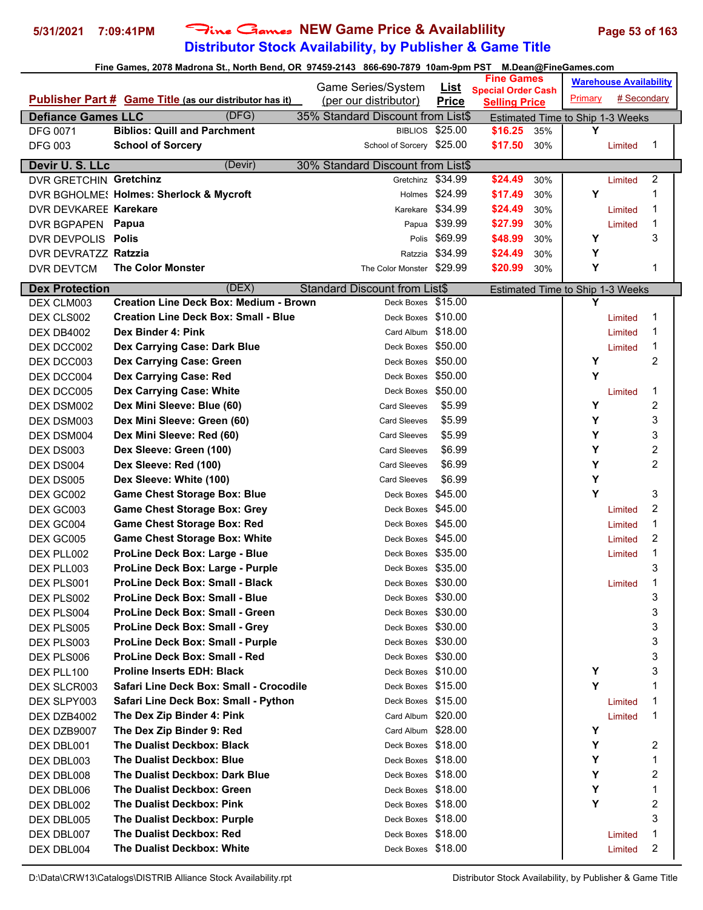# **Distributor Stock Availability, by Publisher & Game Title 5/31/2021 7:09:41PM** Fine Games **NEW Game Price & Availablility Page 53 of 163**

| Fine Games, 2078 Madrona St., North Bend, OR 97459-2143 866-690-7879 10am-9pm PST M.Dean@FineGames.com |                                                                            |                                                        |                        |                                                   |            |                                  |                               |                     |
|--------------------------------------------------------------------------------------------------------|----------------------------------------------------------------------------|--------------------------------------------------------|------------------------|---------------------------------------------------|------------|----------------------------------|-------------------------------|---------------------|
|                                                                                                        |                                                                            | Game Series/System                                     | <u>List</u>            | <b>Fine Games</b>                                 |            |                                  | <b>Warehouse Availability</b> |                     |
|                                                                                                        | Publisher Part # Game Title (as our distributor has it)                    | (per our distributor)                                  | <b>Price</b>           | <b>Special Order Cash</b><br><b>Selling Price</b> |            | Primary                          | # Secondary                   |                     |
| <b>Defiance Games LLC</b>                                                                              | (DFG)                                                                      | 35% Standard Discount from List\$                      |                        |                                                   |            | Estimated Time to Ship 1-3 Weeks |                               |                     |
| <b>DFG 0071</b>                                                                                        | <b>Biblios: Quill and Parchment</b>                                        |                                                        | <b>BIBLIOS \$25.00</b> | \$16.25                                           | 35%        | Υ                                |                               |                     |
| <b>DFG 003</b>                                                                                         | <b>School of Sorcery</b>                                                   | School of Sorcery \$25.00                              |                        | \$17.50                                           | 30%        |                                  | Limited                       | 1                   |
|                                                                                                        |                                                                            |                                                        |                        |                                                   |            |                                  |                               |                     |
| Devir U. S. LLc<br>DVR GRETCHIN Gretchinz                                                              | (Devir)                                                                    | 30% Standard Discount from List\$<br>Gretchinz \$34.99 |                        |                                                   |            |                                  |                               | 2                   |
|                                                                                                        |                                                                            |                                                        | Holmes \$24.99         | \$24.49                                           | 30%        | Y                                | Limited                       | 1                   |
|                                                                                                        | DVR BGHOLME: Holmes: Sherlock & Mycroft                                    |                                                        | Karekare \$34.99       | \$17.49                                           | 30%        |                                  |                               | 1                   |
| DVR DEVKAREE Karekare                                                                                  |                                                                            |                                                        | Papua \$39.99          | \$24.49<br>\$27.99                                | 30%        |                                  | Limited                       | 1                   |
| DVR BGPAPEN Papua<br>DVR DEVPOLIS Polis                                                                |                                                                            | Polis                                                  | \$69.99                | \$48.99                                           | 30%<br>30% | Υ                                | Limited                       | 3                   |
| DVR DEVRATZZ Ratzzia                                                                                   |                                                                            | Ratzzia                                                | \$34.99                | \$24.49                                           | 30%        | Υ                                |                               |                     |
| DVR DEVTCM                                                                                             | <b>The Color Monster</b>                                                   | The Color Monster                                      | \$29.99                | \$20.99                                           | 30%        | Υ                                |                               | 1                   |
|                                                                                                        |                                                                            |                                                        |                        |                                                   |            |                                  |                               |                     |
| <b>Dex Protection</b>                                                                                  | (DEX)                                                                      | <b>Standard Discount from List\$</b>                   |                        |                                                   |            | Estimated Time to Ship 1-3 Weeks |                               |                     |
| DEX CLM003                                                                                             | <b>Creation Line Deck Box: Medium - Brown</b>                              | Deck Boxes                                             | \$15.00                |                                                   |            | Υ                                |                               |                     |
| DEX CLS002                                                                                             | <b>Creation Line Deck Box: Small - Blue</b>                                | Deck Boxes                                             | \$10.00                |                                                   |            |                                  | Limited                       | 1                   |
| DEX DB4002                                                                                             | Dex Binder 4: Pink                                                         | Card Album                                             | \$18.00                |                                                   |            |                                  | Limited                       | 1                   |
| DEX DCC002                                                                                             | Dex Carrying Case: Dark Blue                                               | Deck Boxes                                             | \$50.00                |                                                   |            |                                  | Limited                       | 1                   |
| DEX DCC003                                                                                             | Dex Carrying Case: Green                                                   | Deck Boxes                                             | \$50.00                |                                                   |            | Y                                |                               | 2                   |
| DEX DCC004                                                                                             | Dex Carrying Case: Red                                                     | Deck Boxes                                             | \$50.00                |                                                   |            | Y                                |                               |                     |
| DEX DCC005                                                                                             | <b>Dex Carrying Case: White</b>                                            | Deck Boxes \$50.00                                     |                        |                                                   |            |                                  | Limited                       | 1                   |
| DEX DSM002                                                                                             | Dex Mini Sleeve: Blue (60)                                                 | <b>Card Sleeves</b>                                    | \$5.99                 |                                                   |            | Y<br>Y                           |                               | 2                   |
| DEX DSM003                                                                                             | Dex Mini Sleeve: Green (60)                                                | <b>Card Sleeves</b>                                    | \$5.99                 |                                                   |            |                                  |                               | 3                   |
| DEX DSM004                                                                                             | Dex Mini Sleeve: Red (60)                                                  | <b>Card Sleeves</b>                                    | \$5.99                 |                                                   |            | Y                                |                               | 3                   |
| DEX DS003                                                                                              | Dex Sleeve: Green (100)                                                    | <b>Card Sleeves</b>                                    | \$6.99                 |                                                   |            | Y<br>Υ                           |                               | 2<br>$\overline{c}$ |
| DEX DS004                                                                                              | Dex Sleeve: Red (100)                                                      | <b>Card Sleeves</b>                                    | \$6.99                 |                                                   |            | Υ                                |                               |                     |
| DEX DS005                                                                                              | Dex Sleeve: White (100)                                                    | <b>Card Sleeves</b>                                    | \$6.99<br>\$45.00      |                                                   |            | Y                                |                               | 3                   |
| DEX GC002                                                                                              | <b>Game Chest Storage Box: Blue</b>                                        | Deck Boxes                                             |                        |                                                   |            |                                  |                               | 2                   |
| DEX GC003                                                                                              | <b>Game Chest Storage Box: Grey</b>                                        | Deck Boxes<br>Deck Boxes \$45.00                       | \$45.00                |                                                   |            |                                  | Limited                       | 1                   |
| DEX GC004                                                                                              | <b>Game Chest Storage Box: Red</b>                                         |                                                        | \$45.00                |                                                   |            |                                  | Limited                       | 2                   |
| DEX GC005                                                                                              | <b>Game Chest Storage Box: White</b><br>ProLine Deck Box: Large - Blue     | Deck Boxes                                             | \$35.00                |                                                   |            |                                  | Limited                       | 1                   |
| DEX PLL002                                                                                             |                                                                            | Deck Boxes<br>Deck Boxes \$35.00                       |                        |                                                   |            |                                  | Limited                       | 3                   |
| DEX PLL003                                                                                             | ProLine Deck Box: Large - Purple<br><b>ProLine Deck Box: Small - Black</b> | Deck Boxes \$30.00                                     |                        |                                                   |            |                                  |                               | 1                   |
| DEX PLS001                                                                                             | <b>ProLine Deck Box: Small - Blue</b>                                      |                                                        | \$30.00                |                                                   |            |                                  | Limited                       | 3                   |
| DEX PLS002                                                                                             | <b>ProLine Deck Box: Small - Green</b>                                     | Deck Boxes<br>Deck Boxes \$30.00                       |                        |                                                   |            |                                  |                               | 3                   |
| DEX PLS004                                                                                             | <b>ProLine Deck Box: Small - Grey</b>                                      | Deck Boxes \$30.00                                     |                        |                                                   |            |                                  |                               | 3                   |
| DEX PLS005<br>DEX PLS003                                                                               | ProLine Deck Box: Small - Purple                                           | Deck Boxes \$30.00                                     |                        |                                                   |            |                                  |                               | 3                   |
| DEX PLS006                                                                                             | ProLine Deck Box: Small - Red                                              | Deck Boxes \$30.00                                     |                        |                                                   |            |                                  |                               | 3                   |
| DEX PLL100                                                                                             | <b>Proline Inserts EDH: Black</b>                                          | Deck Boxes \$10.00                                     |                        |                                                   |            | Υ                                |                               | 3                   |
| DEX SLCR003                                                                                            | Safari Line Deck Box: Small - Crocodile                                    | Deck Boxes \$15.00                                     |                        |                                                   |            | Y                                |                               | 1                   |
| DEX SLPY003                                                                                            | Safari Line Deck Box: Small - Python                                       | Deck Boxes \$15.00                                     |                        |                                                   |            |                                  | Limited                       | 1                   |
| DEX DZB4002                                                                                            | The Dex Zip Binder 4: Pink                                                 | Card Album \$20.00                                     |                        |                                                   |            |                                  | Limited                       | 1                   |
| DEX DZB9007                                                                                            | The Dex Zip Binder 9: Red                                                  | Card Album \$28.00                                     |                        |                                                   |            | Υ                                |                               |                     |
| DEX DBL001                                                                                             | <b>The Dualist Deckbox: Black</b>                                          | Deck Boxes \$18.00                                     |                        |                                                   |            | Υ                                |                               | 2                   |
| DEX DBL003                                                                                             | The Dualist Deckbox: Blue                                                  | Deck Boxes \$18.00                                     |                        |                                                   |            | Υ                                |                               | 1                   |
| DEX DBL008                                                                                             | The Dualist Deckbox: Dark Blue                                             | Deck Boxes \$18.00                                     |                        |                                                   |            | Υ                                |                               | 2                   |
| DEX DBL006                                                                                             | The Dualist Deckbox: Green                                                 | Deck Boxes \$18.00                                     |                        |                                                   |            | Υ                                |                               | 1                   |
| DEX DBL002                                                                                             | <b>The Dualist Deckbox: Pink</b>                                           | Deck Boxes \$18.00                                     |                        |                                                   |            | Y                                |                               | 2                   |
| DEX DBL005                                                                                             | <b>The Dualist Deckbox: Purple</b>                                         | Deck Boxes \$18.00                                     |                        |                                                   |            |                                  |                               | 3                   |
| DEX DBL007                                                                                             | The Dualist Deckbox: Red                                                   | Deck Boxes \$18.00                                     |                        |                                                   |            |                                  | Limited                       | 1                   |
|                                                                                                        |                                                                            |                                                        |                        |                                                   |            |                                  |                               |                     |

DEX DBL004 **The Dualist Deckbox: White Deck Boxes \$18.00** Deck Boxes \$18.00 Limited 2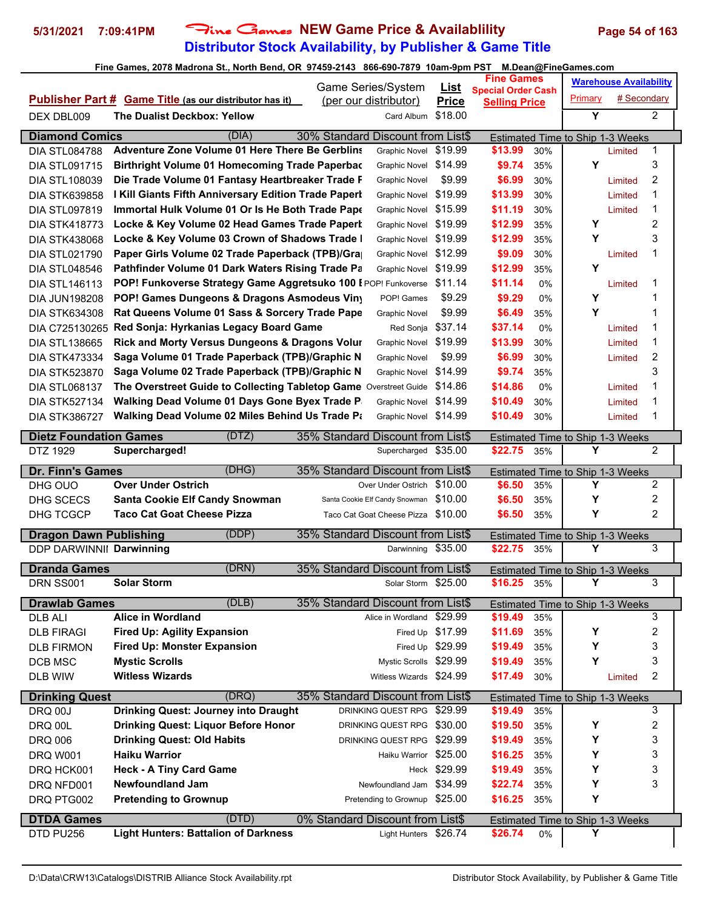# **Distributor Stock Availability, by Publisher & Game Title** 5/31/2021 7:09:41PM Fine Games NEW Game Price & Availablility Page 54 of 163

|                                |                                                                   | Game Series/System                                        | <b>List</b>      | <b>Fine Games</b>                                 |     |                                       | <b>Warehouse Availability</b> |                         |
|--------------------------------|-------------------------------------------------------------------|-----------------------------------------------------------|------------------|---------------------------------------------------|-----|---------------------------------------|-------------------------------|-------------------------|
|                                | <b>Publisher Part # Game Title (as our distributor has it)</b>    | (per our distributor)                                     | <b>Price</b>     | <b>Special Order Cash</b><br><b>Selling Price</b> |     | Primary                               | # Secondary                   |                         |
| DEX DBL009                     | The Dualist Deckbox: Yellow                                       | Card Album                                                | \$18.00          |                                                   |     | $\overline{\mathsf{Y}}$               |                               | $\overline{2}$          |
|                                |                                                                   |                                                           |                  |                                                   |     |                                       |                               |                         |
| <b>Diamond Comics</b>          | (DIA)                                                             | 30% Standard Discount from List\$                         |                  |                                                   |     | Estimated Time to Ship 1-3 Weeks      |                               |                         |
| <b>DIA STL084788</b>           | <b>Adventure Zone Volume 01 Here There Be Gerblins</b>            | <b>Graphic Novel</b>                                      | \$19.99          | \$13.99                                           | 30% |                                       | Limited                       | 1                       |
| <b>DIA STL091715</b>           | <b>Birthright Volume 01 Homecoming Trade Paperbac</b>             | Graphic Novel                                             | \$14.99          | \$9.74                                            | 35% | Y                                     |                               | 3                       |
| <b>DIA STL108039</b>           | Die Trade Volume 01 Fantasy Heartbreaker Trade F                  | <b>Graphic Novel</b>                                      | \$9.99           | \$6.99                                            | 30% |                                       | Limited                       | $\overline{c}$          |
| <b>DIA STK639858</b>           | I Kill Giants Fifth Anniversary Edition Trade Paperl              | <b>Graphic Novel</b>                                      | \$19.99          | \$13.99                                           | 30% |                                       | Limited                       | 1                       |
| <b>DIA STL097819</b>           | Immortal Hulk Volume 01 Or Is He Both Trade Pape                  | <b>Graphic Novel</b>                                      | \$15.99          | \$11.19                                           | 30% |                                       | Limited                       | $\mathbf 1$             |
| <b>DIA STK418773</b>           | Locke & Key Volume 02 Head Games Trade Papert                     | <b>Graphic Novel</b>                                      | \$19.99          | \$12.99                                           | 35% | Y                                     |                               | $\overline{\mathbf{c}}$ |
| <b>DIA STK438068</b>           | Locke & Key Volume 03 Crown of Shadows Trade I                    | <b>Graphic Novel</b>                                      | \$19.99          | \$12.99                                           | 35% | Y                                     |                               | 3                       |
| <b>DIA STL021790</b>           | Paper Girls Volume 02 Trade Paperback (TPB)/Gra                   | <b>Graphic Novel</b>                                      | \$12.99          | \$9.09                                            | 30% |                                       | Limited                       | 1                       |
| <b>DIA STL048546</b>           | Pathfinder Volume 01 Dark Waters Rising Trade Pa                  | <b>Graphic Novel</b>                                      | \$19.99          | \$12.99                                           | 35% | Y                                     |                               |                         |
| <b>DIA STL146113</b>           | POP! Funkoverse Strategy Game Aggretsuko 100 I POP! Funkoverse    |                                                           | \$11.14          | \$11.14                                           | 0%  |                                       | Limited                       | $\mathbf 1$             |
| <b>DIA JUN198208</b>           | POP! Games Dungeons & Dragons Asmodeus Viny                       | POP! Games                                                | \$9.29           | \$9.29                                            | 0%  | Y                                     |                               | $\mathbf 1$             |
| <b>DIA STK634308</b>           | Rat Queens Volume 01 Sass & Sorcery Trade Pape                    | <b>Graphic Novel</b>                                      | \$9.99           | \$6.49                                            | 35% | Υ                                     |                               | 1                       |
| DIA C725130265                 | Red Sonja: Hyrkanias Legacy Board Game                            | Red Sonja                                                 | \$37.14          | \$37.14                                           | 0%  |                                       | Limited                       | $\mathbf 1$             |
| <b>DIA STL138665</b>           | <b>Rick and Morty Versus Dungeons &amp; Dragons Volur</b>         | <b>Graphic Novel</b>                                      | \$19.99          | \$13.99                                           | 30% |                                       | Limited                       | $\mathbf 1$             |
| <b>DIA STK473334</b>           | Saga Volume 01 Trade Paperback (TPB)/Graphic N                    | <b>Graphic Novel</b>                                      | \$9.99           | \$6.99                                            | 30% |                                       | Limited                       | $\overline{c}$          |
| <b>DIA STK523870</b>           | Saga Volume 02 Trade Paperback (TPB)/Graphic N                    | Graphic Novel                                             | \$14.99          | \$9.74                                            | 35% |                                       |                               | 3                       |
| <b>DIA STL068137</b>           | The Overstreet Guide to Collecting Tabletop Game Overstreet Guide |                                                           | \$14.86          | \$14.86                                           | 0%  |                                       | Limited                       | 1                       |
| <b>DIA STK527134</b>           | Walking Dead Volume 01 Days Gone Byex Trade P                     | <b>Graphic Novel</b>                                      | \$14.99          | \$10.49                                           | 30% |                                       | Limited                       | $\mathbf 1$             |
| <b>DIA STK386727</b>           | Walking Dead Volume 02 Miles Behind Us Trade Pa                   | Graphic Novel \$14.99                                     |                  | \$10.49                                           | 30% |                                       | Limited                       | 1                       |
| <b>Dietz Foundation Games</b>  | (DTZ)                                                             | 35% Standard Discount from List\$                         |                  |                                                   |     | Estimated Time to Ship 1-3 Weeks      |                               |                         |
| DTZ 1929                       | Supercharged!                                                     | Supercharged                                              | \$35.00          | \$22.75                                           | 35% | Y                                     |                               | $\overline{2}$          |
|                                |                                                                   |                                                           |                  |                                                   |     |                                       |                               |                         |
| Dr. Finn's Games               | (DHG)                                                             | 35% Standard Discount from List\$                         |                  |                                                   |     | Estimated Time to Ship 1-3 Weeks      |                               |                         |
| DHG OUO                        | <b>Over Under Ostrich</b>                                         | Over Under Ostrich                                        | \$10.00          | \$6.50                                            | 35% | Y                                     |                               | 2                       |
| DHG SCECS                      | <b>Santa Cookie Elf Candy Snowman</b>                             | Santa Cookie Elf Candy Snowman                            | \$10.00          | \$6.50                                            | 35% | Y                                     |                               | 2                       |
| DHG TCGCP                      | <b>Taco Cat Goat Cheese Pizza</b>                                 | Taco Cat Goat Cheese Pizza                                | \$10.00          | \$6.50                                            | 35% | Y                                     |                               | 2                       |
|                                |                                                                   |                                                           |                  |                                                   |     |                                       |                               |                         |
| <b>Dragon Dawn Publishing</b>  | (DDP)                                                             | 35% Standard Discount from List\$                         |                  |                                                   |     | Estimated Time to Ship 1-3 Weeks      |                               |                         |
| DDP DARWINNII Darwinning       |                                                                   | Darwinning \$35.00                                        |                  | \$22.75 35%                                       |     | Y                                     |                               | 3                       |
| <b>Dranda Games</b>            | (DRN)                                                             | 35% Standard Discount from List\$                         |                  |                                                   |     | Estimated Time to Ship 1-3 Weeks      |                               |                         |
| DRN SS001                      | <b>Solar Storm</b>                                                | Solar Storm \$25.00                                       |                  | \$16.25                                           | 35% | Y                                     |                               | 3                       |
| <b>Drawlab Games</b>           | (DLB)                                                             | 35% Standard Discount from List\$                         |                  |                                                   |     | Estimated Time to Ship 1-3 Weeks      |                               |                         |
| DLB ALI                        | <b>Alice in Wordland</b>                                          | Alice in Wordland \$29.99                                 |                  | \$19.49                                           | 35% |                                       |                               | 3                       |
| <b>DLB FIRAGI</b>              | <b>Fired Up: Agility Expansion</b>                                |                                                           | Fired Up \$17.99 | \$11.69                                           | 35% | Υ                                     |                               | 2                       |
| <b>DLB FIRMON</b>              | <b>Fired Up: Monster Expansion</b>                                |                                                           | Fired Up \$29.99 | \$19.49                                           | 35% | Υ                                     |                               | 3                       |
| DCB MSC                        | <b>Mystic Scrolls</b>                                             | Mystic Scrolls \$29.99                                    |                  | \$19.49                                           | 35% | Υ                                     |                               | 3                       |
| DLB WIW                        | <b>Witless Wizards</b>                                            | Witless Wizards \$24.99                                   |                  | \$17.49                                           | 30% |                                       | Limited                       | 2                       |
| <b>Drinking Quest</b>          | (DRQ)                                                             | 35% Standard Discount from List\$                         |                  |                                                   |     | Estimated Time to Ship 1-3 Weeks      |                               |                         |
| <b>DRQ 00J</b>                 | <b>Drinking Quest: Journey into Draught</b>                       | DRINKING QUEST RPG \$29.99                                |                  | \$19.49                                           | 35% |                                       |                               | 3                       |
| DRQ 00L                        | <b>Drinking Quest: Liquor Before Honor</b>                        | DRINKING QUEST RPG \$30.00                                |                  | \$19.50                                           | 35% | Υ                                     |                               | 2                       |
| <b>DRQ 006</b>                 | <b>Drinking Quest: Old Habits</b>                                 | DRINKING QUEST RPG \$29.99                                |                  | \$19.49                                           | 35% | Υ                                     |                               | 3                       |
| <b>DRQ W001</b>                | <b>Haiku Warrior</b>                                              | Haiku Warrior \$25.00                                     |                  | \$16.25                                           | 35% | Υ                                     |                               | 3                       |
| DRQ HCK001                     | <b>Heck - A Tiny Card Game</b>                                    |                                                           | Heck \$29.99     | \$19.49                                           | 35% | Y                                     |                               | 3                       |
| DRQ NFD001                     | <b>Newfoundland Jam</b>                                           | Newfoundland Jam \$34.99                                  |                  | \$22.74                                           | 35% | Υ                                     |                               | 3                       |
| DRQ PTG002                     | <b>Pretending to Grownup</b>                                      | Pretending to Grownup \$25.00                             |                  | \$16.25                                           | 35% | Υ                                     |                               |                         |
|                                |                                                                   |                                                           |                  |                                                   |     |                                       |                               |                         |
| <b>DTDA Games</b><br>DTD PU256 | (DTD)<br><b>Light Hunters: Battalion of Darkness</b>              | 0% Standard Discount from List\$<br>Light Hunters \$26.74 |                  | \$26.74                                           | 0%  | Estimated Time to Ship 1-3 Weeks<br>Y |                               |                         |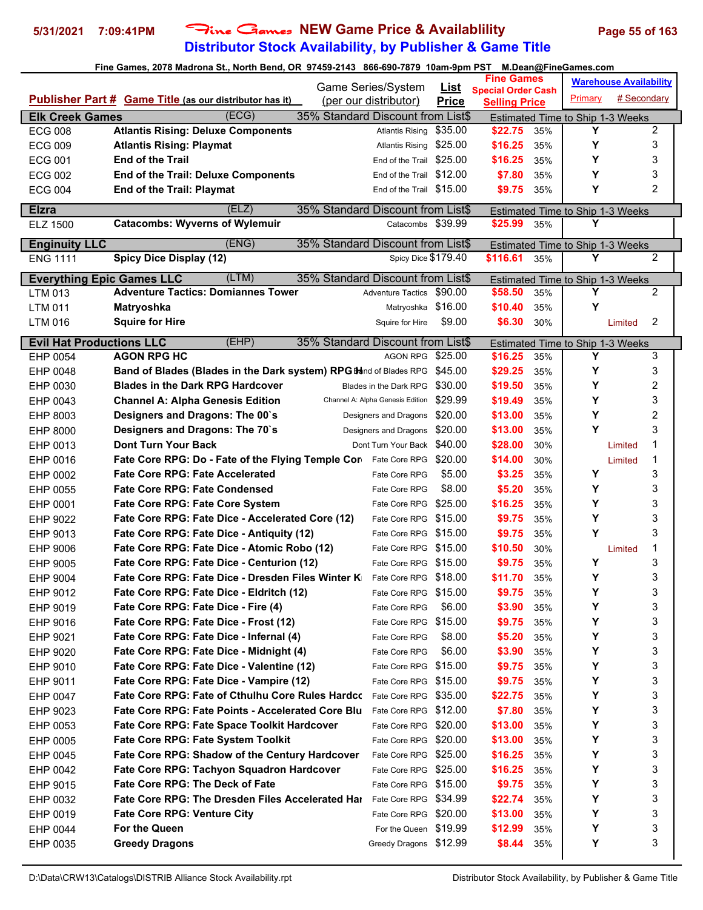# **Distributor Stock Availability, by Publisher & Game Title 5/31/2021 7:09:41PM** Fine Games **NEW Game Price & Availablility Page 55 of 163**

|                                  |                                                                                  | Game Series/System                |                             | <b>Fine Games</b>                                 |            |                                              | <b>Warehouse Availability</b> |                |
|----------------------------------|----------------------------------------------------------------------------------|-----------------------------------|-----------------------------|---------------------------------------------------|------------|----------------------------------------------|-------------------------------|----------------|
|                                  | <b>Publisher Part # Game Title (as our distributor has it)</b>                   | (per our distributor)             | <u>List</u><br><b>Price</b> | <b>Special Order Cash</b><br><b>Selling Price</b> |            | Primary                                      | # Secondary                   |                |
| <b>Elk Creek Games</b>           | (ECG)                                                                            | 35% Standard Discount from List\$ |                             |                                                   |            | Estimated Time to Ship 1-3 Weeks             |                               |                |
| <b>ECG 008</b>                   | <b>Atlantis Rising: Deluxe Components</b>                                        | <b>Atlantis Rising</b>            | \$35.00                     | \$22.75                                           | 35%        | Υ                                            |                               | $\overline{2}$ |
| <b>ECG 009</b>                   | <b>Atlantis Rising: Playmat</b>                                                  | <b>Atlantis Rising</b>            | \$25.00                     | \$16.25                                           | 35%        | Υ                                            |                               | 3              |
| <b>ECG 001</b>                   | <b>End of the Trail</b>                                                          | End of the Trail                  | \$25.00                     | \$16.25                                           | 35%        | Υ                                            |                               | 3              |
| <b>ECG 002</b>                   | <b>End of the Trail: Deluxe Components</b>                                       | End of the Trail \$12.00          |                             | \$7.80                                            | 35%        | Υ                                            |                               | 3              |
| <b>ECG 004</b>                   | <b>End of the Trail: Playmat</b>                                                 | End of the Trail \$15.00          |                             | \$9.75                                            | 35%        | Υ                                            |                               | $\overline{2}$ |
| <b>Elzra</b>                     | (ELZ)                                                                            | 35% Standard Discount from List\$ |                             |                                                   |            |                                              |                               |                |
| ELZ 1500                         | <b>Catacombs: Wyverns of Wylemuir</b>                                            | Catacombs \$39.99                 |                             | \$25.99                                           | 35%        | <b>Estimated Time to Ship 1-3 Weeks</b><br>Υ |                               |                |
|                                  |                                                                                  |                                   |                             |                                                   |            |                                              |                               |                |
| <b>Enginuity LLC</b>             | (ENG)                                                                            | 35% Standard Discount from List\$ |                             |                                                   |            | Estimated Time to Ship 1-3 Weeks<br>Y        |                               |                |
| <b>ENG 1111</b>                  | <b>Spicy Dice Display (12)</b>                                                   | Spicy Dice \$179.40               |                             | \$116.61                                          | 35%        |                                              |                               | $\overline{2}$ |
| <b>Everything Epic Games LLC</b> | (LTM)                                                                            | 35% Standard Discount from List\$ |                             |                                                   |            | Estimated Time to Ship 1-3 Weeks             |                               |                |
| LTM 013                          | <b>Adventure Tactics: Domiannes Tower</b>                                        | <b>Adventure Tactics</b>          | \$90.00                     | \$58.50                                           | 35%        | Y                                            |                               | $\overline{2}$ |
| LTM 011                          | Matryoshka                                                                       | Matryoshka \$16.00                |                             | \$10.40                                           | 35%        | Υ                                            |                               |                |
| LTM 016                          | <b>Squire for Hire</b>                                                           | Squire for Hire                   | \$9.00                      | \$6.30                                            | 30%        |                                              | Limited                       | 2              |
| <b>Evil Hat Productions LLC</b>  | (EHP)                                                                            | 35% Standard Discount from List\$ |                             |                                                   |            | Estimated Time to Ship 1-3 Weeks             |                               |                |
| EHP 0054                         | <b>AGON RPG HC</b>                                                               | <b>AGON RPG</b>                   | \$25.00                     | \$16.25                                           | 35%        | Υ                                            |                               | 3              |
| EHP 0048                         | <b>Band of Blades (Blades in the Dark system) RPG Bland of Blades RPG</b>        |                                   | \$45.00                     | \$29.25                                           | 35%        | Y                                            |                               | 3              |
| EHP 0030                         | <b>Blades in the Dark RPG Hardcover</b>                                          | Blades in the Dark RPG            | \$30.00                     | \$19.50                                           | 35%        | Υ                                            |                               | 2              |
| EHP 0043                         | <b>Channel A: Alpha Genesis Edition</b>                                          | Channel A: Alpha Genesis Edition  | \$29.99                     | \$19.49                                           | 35%        | Υ                                            |                               | 3              |
| EHP 8003                         | Designers and Dragons: The 00's                                                  | Designers and Dragons             | \$20.00                     | \$13.00                                           | 35%        | Y                                            |                               | 2              |
| EHP 8000                         | Designers and Dragons: The 70's                                                  | Designers and Dragons             | \$20.00                     | \$13.00                                           | 35%        | Υ                                            |                               | 3              |
| EHP 0013                         | <b>Dont Turn Your Back</b>                                                       | Dont Turn Your Back \$40.00       |                             | \$28.00                                           | 30%        |                                              | Limited                       | 1              |
| EHP 0016                         | Fate Core RPG: Do - Fate of the Flying Temple Cor                                | Fate Core RPG                     | \$20.00                     | \$14.00                                           | 30%        |                                              | Limited                       | 1              |
| EHP 0002                         | <b>Fate Core RPG: Fate Accelerated</b>                                           | Fate Core RPG                     | \$5.00                      | \$3.25                                            | 35%        | Υ                                            |                               | 3              |
| EHP 0055                         | <b>Fate Core RPG: Fate Condensed</b>                                             | Fate Core RPG                     | \$8.00                      | \$5.20                                            | 35%        | Υ                                            |                               | 3              |
| EHP 0001                         | <b>Fate Core RPG: Fate Core System</b>                                           | Fate Core RPG \$25.00             |                             | \$16.25                                           | 35%        | Υ                                            |                               | 3              |
| EHP 9022                         | Fate Core RPG: Fate Dice - Accelerated Core (12)                                 | Fate Core RPG                     | \$15.00                     | \$9.75                                            | 35%        | Υ                                            |                               | 3              |
| EHP 9013                         | Fate Core RPG: Fate Dice - Antiquity (12)                                        | Fate Core RPG                     | \$15.00                     | \$9.75                                            | 35%        | Y                                            |                               | 3              |
| EHP 9006                         | Fate Core RPG: Fate Dice - Atomic Robo (12)                                      | Fate Core RPG \$15.00             |                             | \$10.50                                           | 30%        |                                              | Limited                       | 1              |
| EHP 9005                         | Fate Core RPG: Fate Dice - Centurion (12)                                        | Fate Core RPG                     | \$15.00                     | \$9.75                                            | 35%        | Υ                                            |                               | 3              |
| EHP 9004                         | Fate Core RPG: Fate Dice - Dresden Files Winter K                                | Fate Core RPG \$18.00             |                             | \$11.70                                           | 35%        | Y                                            |                               | 3              |
| EHP 9012                         | Fate Core RPG: Fate Dice - Eldritch (12)                                         | Fate Core RPG                     | \$15.00                     | \$9.75                                            | 35%        | Υ                                            |                               | 3              |
| EHP 9019                         | Fate Core RPG: Fate Dice - Fire (4)                                              | Fate Core RPG                     | \$6.00                      | \$3.90                                            | 35%        | Υ                                            |                               | 3              |
| EHP 9016                         | Fate Core RPG: Fate Dice - Frost (12)<br>Fate Core RPG: Fate Dice - Infernal (4) | Fate Core RPG<br>Fate Core RPG    | \$15.00<br>\$8.00           | \$9.75                                            | 35%        | Υ<br>Υ                                       |                               | 3<br>3         |
| EHP 9021                         | Fate Core RPG: Fate Dice - Midnight (4)                                          | Fate Core RPG                     | \$6.00                      | \$5.20<br>\$3.90                                  | 35%<br>35% | Υ                                            |                               | 3              |
| EHP 9020<br>EHP 9010             | Fate Core RPG: Fate Dice - Valentine (12)                                        | Fate Core RPG \$15.00             |                             | \$9.75                                            | 35%        | Υ                                            |                               | 3              |
|                                  | Fate Core RPG: Fate Dice - Vampire (12)                                          | Fate Core RPG \$15.00             |                             | \$9.75                                            | 35%        | Υ                                            |                               | 3              |
| EHP 9011<br>EHP 0047             | Fate Core RPG: Fate of Cthulhu Core Rules Hardco                                 | Fate Core RPG \$35.00             |                             | \$22.75                                           | 35%        | Υ                                            |                               | 3              |
| EHP 9023                         | <b>Fate Core RPG: Fate Points - Accelerated Core Blu</b>                         | Fate Core RPG \$12.00             |                             | \$7.80                                            | 35%        | Υ                                            |                               | 3              |
| EHP 0053                         | <b>Fate Core RPG: Fate Space Toolkit Hardcover</b>                               | Fate Core RPG                     | \$20.00                     | \$13.00                                           | 35%        | Υ                                            |                               | 3              |
| EHP 0005                         | <b>Fate Core RPG: Fate System Toolkit</b>                                        | Fate Core RPG \$20.00             |                             | \$13.00                                           | 35%        | Υ                                            |                               | 3              |
| EHP 0045                         | <b>Fate Core RPG: Shadow of the Century Hardcover</b>                            | Fate Core RPG \$25.00             |                             | \$16.25                                           | 35%        | Υ                                            |                               | 3              |
| EHP 0042                         | <b>Fate Core RPG: Tachyon Squadron Hardcover</b>                                 | Fate Core RPG \$25.00             |                             | \$16.25                                           | 35%        | Υ                                            |                               | 3              |
| EHP 9015                         | <b>Fate Core RPG: The Deck of Fate</b>                                           | Fate Core RPG \$15.00             |                             | \$9.75                                            | 35%        | Υ                                            |                               | 3              |
| EHP 0032                         | <b>Fate Core RPG: The Dresden Files Accelerated Hai</b>                          | Fate Core RPG \$34.99             |                             | \$22.74                                           | 35%        | Υ                                            |                               | 3              |
| EHP 0019                         | <b>Fate Core RPG: Venture City</b>                                               | Fate Core RPG \$20.00             |                             | \$13.00                                           | 35%        | Υ                                            |                               | 3              |
| EHP 0044                         | For the Queen                                                                    | For the Queen \$19.99             |                             | \$12.99                                           | 35%        | Υ                                            |                               | 3              |
| EHP 0035                         | <b>Greedy Dragons</b>                                                            | Greedy Dragons \$12.99            |                             | \$8.44                                            | 35%        | Υ                                            |                               | 3              |
|                                  |                                                                                  |                                   |                             |                                                   |            |                                              |                               |                |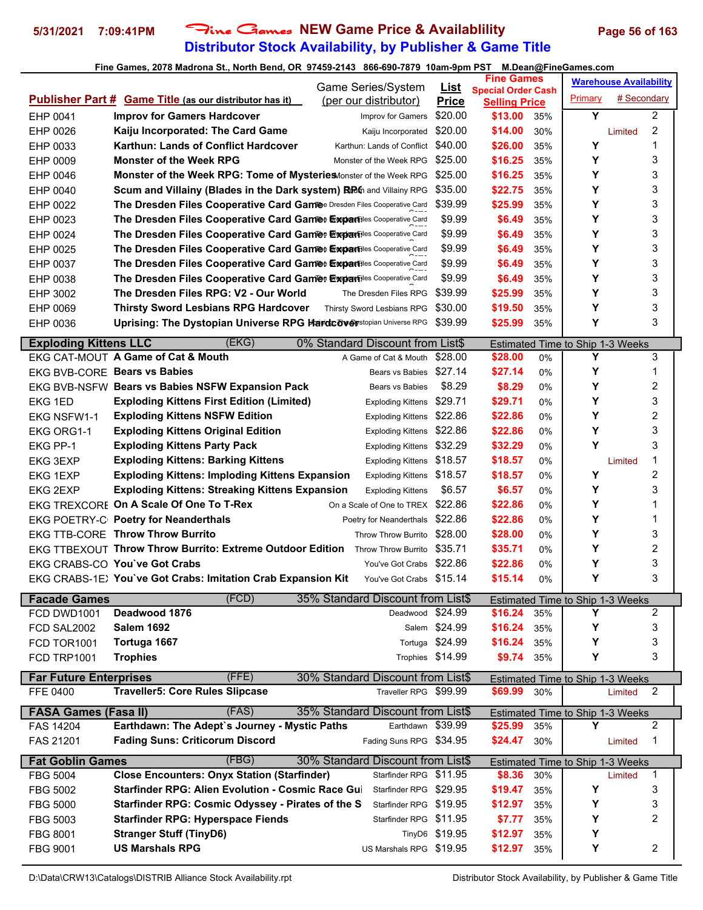# **Distributor Stock Availability, by Publisher & Game Title 5/31/2021 7:09:41PM** Fine Games **NEW Game Price & Availablility Page 56 of 163**

### **Fine Games, 2078 Madrona St., North Bend, OR 97459-2143 866-690-7879 10am-9pm PST M.Dean@FineGames.com**

|                                           |                                                                         | Game Series/System                                         | <u>List</u>      | <b>Fine Games</b>                                 |       |                                         | <b>Warehouse Availability</b> |                |
|-------------------------------------------|-------------------------------------------------------------------------|------------------------------------------------------------|------------------|---------------------------------------------------|-------|-----------------------------------------|-------------------------------|----------------|
|                                           | <b>Publisher Part # Game Title (as our distributor has it)</b>          | (per our distributor)                                      | <b>Price</b>     | <b>Special Order Cash</b><br><b>Selling Price</b> |       | Primary                                 | # Secondary                   |                |
| EHP 0041                                  | <b>Improv for Gamers Hardcover</b>                                      | Improv for Gamers                                          | \$20.00          | \$13.00                                           | 35%   | Y                                       |                               | 2              |
| EHP 0026                                  | Kaiju Incorporated: The Card Game                                       | Kaiju Incorporated                                         | \$20.00          | \$14.00                                           | 30%   |                                         | Limited                       | 2              |
| EHP 0033                                  | Karthun: Lands of Conflict Hardcover                                    | Karthun: Lands of Conflict                                 | \$40.00          | \$26.00                                           | 35%   | Y                                       |                               | 1              |
| EHP 0009                                  | <b>Monster of the Week RPG</b>                                          | Monster of the Week RPG                                    | \$25.00          | \$16.25                                           | 35%   | Υ                                       |                               | 3              |
| EHP 0046                                  | Monster of the Week RPG: Tome of Mysteries Monster of the Week RPG      |                                                            | \$25.00          | \$16.25                                           | 35%   | Υ                                       |                               | 3              |
| EHP 0040                                  | Scum and Villainy (Blades in the Dark system) RRIn and Villainy RPG     |                                                            | \$35.00          | \$22.75                                           | 35%   | Y                                       |                               | 3              |
| EHP 0022                                  | The Dresden Files Cooperative Card Gamee Dresden Files Cooperative Card |                                                            | \$39.99          | \$25.99                                           | 35%   | Υ                                       |                               | 3              |
| EHP 0023                                  | The Dresden Files Cooperative Card Gamee Expansiles Cooperative Card    |                                                            | \$9.99           | \$6.49                                            | 35%   | Y                                       |                               | 3              |
| EHP 0024                                  | The Dresden Files Cooperative Card Gamee Expansiles Cooperative Card    |                                                            | \$9.99           | \$6.49                                            | 35%   | Y                                       |                               | 3              |
| EHP 0025                                  | The Dresden Files Cooperative Card Gamee Expansiles Cooperative Card    |                                                            | \$9.99           | \$6.49                                            | 35%   | Y                                       |                               | 3              |
| EHP 0037                                  | The Dresden Files Cooperative Card Gamee Expansiles Cooperative Card    |                                                            | \$9.99           | \$6.49                                            | 35%   | Y                                       |                               | 3              |
| EHP 0038                                  | The Dresden Files Cooperative Card Gamee Expansiles Cooperative Card    |                                                            | \$9.99           | \$6.49                                            | 35%   | Υ                                       |                               | 3              |
| EHP 3002                                  | The Dresden Files RPG: V2 - Our World                                   | The Dresden Files RPG                                      | \$39.99          | \$25.99                                           | 35%   | Υ                                       |                               | 3              |
| EHP 0069                                  | <b>Thirsty Sword Lesbians RPG Hardcover</b>                             | Thirsty Sword Lesbians RPG                                 | \$30.00          | \$19.50                                           | 35%   | Υ                                       |                               | 3              |
| EHP 0036                                  | Uprising: The Dystopian Universe RPG Hardcoverstopian Universe RPG      |                                                            | \$39.99          | \$25.99                                           | 35%   | Υ                                       |                               | 3              |
|                                           |                                                                         |                                                            |                  |                                                   |       |                                         |                               |                |
| <b>Exploding Kittens LLC</b>              | (EKG)                                                                   | 0% Standard Discount from List\$                           |                  |                                                   |       | Estimated Time to Ship 1-3 Weeks        |                               |                |
|                                           | EKG CAT-MOUT A Game of Cat & Mouth                                      | A Game of Cat & Mouth \$28.00                              |                  | \$28.00                                           | 0%    | Y                                       |                               | 3              |
|                                           | EKG BVB-CORE Bears vs Babies                                            | Bears vs Babies                                            | \$27.14          | \$27.14                                           | 0%    | Y                                       |                               | 1              |
|                                           | EKG BVB-NSFW Bears vs Babies NSFW Expansion Pack                        | Bears vs Babies                                            | \$8.29           | \$8.29                                            | 0%    | Y                                       |                               | 2              |
| <b>EKG 1ED</b>                            | <b>Exploding Kittens First Edition (Limited)</b>                        | <b>Exploding Kittens</b>                                   | \$29.71          | \$29.71                                           | 0%    | Υ                                       |                               | 3              |
| <b>EKG NSFW1-1</b>                        | <b>Exploding Kittens NSFW Edition</b>                                   | <b>Exploding Kittens</b>                                   | \$22.86          | \$22.86                                           | $0\%$ | Υ                                       |                               | 2              |
| EKG ORG1-1                                | <b>Exploding Kittens Original Edition</b>                               | <b>Exploding Kittens</b>                                   | \$22.86          | \$22.86                                           | 0%    | Y                                       |                               | 3              |
| EKG PP-1                                  | <b>Exploding Kittens Party Pack</b>                                     | <b>Exploding Kittens</b>                                   | \$32.29          | \$32.29                                           | 0%    | Υ                                       |                               | 3              |
| <b>EKG 3EXP</b>                           | <b>Exploding Kittens: Barking Kittens</b>                               | <b>Exploding Kittens</b>                                   | \$18.57          | \$18.57                                           | 0%    |                                         | Limited                       | 1              |
| <b>EKG 1EXP</b>                           | <b>Exploding Kittens: Imploding Kittens Expansion</b>                   | <b>Exploding Kittens</b>                                   | \$18.57          | \$18.57                                           | 0%    | Y                                       |                               | 2              |
| <b>EKG 2EXP</b>                           | <b>Exploding Kittens: Streaking Kittens Expansion</b>                   | <b>Exploding Kittens</b>                                   | \$6.57           | \$6.57                                            | 0%    | Υ                                       |                               | 3              |
|                                           | EKG TREXCORE On A Scale Of One To T-Rex                                 | On a Scale of One to TREX \$22.86                          |                  | \$22.86                                           | 0%    | Υ                                       |                               | 1              |
|                                           | EKG POETRY-C Poetry for Neanderthals                                    | Poetry for Neanderthals                                    | \$22.86          | \$22.86                                           | $0\%$ | Υ                                       |                               | 1              |
|                                           | EKG TTB-CORE Throw Throw Burrito                                        | <b>Throw Throw Burrito</b>                                 | \$28.00          | \$28.00                                           | 0%    | Υ                                       |                               | 3              |
|                                           | EKG TTBEXOUT Throw Throw Burrito: Extreme Outdoor Edition               | Throw Throw Burrito                                        | \$35.71          | \$35.71                                           | 0%    | Y                                       |                               | 2              |
|                                           | EKG CRABS-CO You've Got Crabs                                           | You've Got Crabs \$22.86                                   |                  | \$22.86                                           | 0%    | Υ                                       |                               | 3              |
|                                           | EKG CRABS-1E) You've Got Crabs: Imitation Crab Expansion Kit            | You've Got Crabs \$15.14                                   |                  | \$15.14                                           | 0%    | Y                                       |                               | 3              |
| <b>Facade Games</b>                       | (FCD)                                                                   | 35% Standard Discount from List\$                          |                  |                                                   |       | Estimated Time to Ship 1-3 Weeks        |                               |                |
| FCD DWD1001                               | Deadwood 1876                                                           | Deadwood \$24.99                                           |                  | \$16.24                                           | 35%   | Υ                                       |                               | 2              |
| FCD SAL2002                               | <b>Salem 1692</b>                                                       |                                                            | Salem \$24.99    | \$16.24                                           | 35%   | Y                                       |                               | 3              |
| FCD TOR1001                               | Tortuga 1667                                                            |                                                            | Tortuga \$24.99  | \$16.24                                           | 35%   | Y                                       |                               | 3              |
| FCD TRP1001                               | <b>Trophies</b>                                                         |                                                            | Trophies \$14.99 | \$9.74                                            | 35%   | Υ                                       |                               | 3              |
|                                           | (FFE)                                                                   |                                                            |                  |                                                   |       |                                         |                               |                |
| <b>Far Future Enterprises</b><br>FFE 0400 | <b>Traveller5: Core Rules Slipcase</b>                                  | 30% Standard Discount from List\$<br>Traveller RPG \$99.99 |                  | \$69.99                                           | 30%   | <b>Estimated Time to Ship 1-3 Weeks</b> | Limited                       | 2              |
|                                           |                                                                         |                                                            |                  |                                                   |       |                                         |                               |                |
| <b>FASA Games (Fasa II)</b>               | (FAS)                                                                   | 35% Standard Discount from List\$                          |                  |                                                   |       | <b>Estimated Time to Ship 1-3 Weeks</b> |                               |                |
| FAS 14204                                 | Earthdawn: The Adept's Journey - Mystic Paths                           | Earthdawn \$39.99                                          |                  | \$25.99                                           | 35%   | Υ                                       |                               | $\overline{c}$ |
| FAS 21201                                 | <b>Fading Suns: Criticorum Discord</b>                                  | Fading Suns RPG \$34.95                                    |                  | \$24.47                                           | 30%   |                                         | Limited                       | 1              |
| <b>Fat Goblin Games</b>                   | (FBG)                                                                   | 30% Standard Discount from List\$                          |                  |                                                   |       | Estimated Time to Ship 1-3 Weeks        |                               |                |
| FBG 5004                                  | <b>Close Encounters: Onyx Station (Starfinder)</b>                      | Starfinder RPG \$11.95                                     |                  | \$8.36                                            | 30%   |                                         | Limited                       | 1              |
| FBG 5002                                  | Starfinder RPG: Alien Evolution - Cosmic Race Gui                       | Starfinder RPG \$29.95                                     |                  | \$19.47                                           | 35%   | Υ                                       |                               | 3              |
| <b>FBG 5000</b>                           | Starfinder RPG: Cosmic Odyssey - Pirates of the S                       | Starfinder RPG \$19.95                                     |                  | \$12.97                                           | 35%   | Υ                                       |                               | 3              |
| FBG 5003                                  | <b>Starfinder RPG: Hyperspace Fiends</b>                                | Starfinder RPG \$11.95                                     |                  | \$7.77                                            | 35%   | Υ                                       |                               | 2              |
| FBG 8001                                  | <b>Stranger Stuff (TinyD6)</b>                                          |                                                            | TinyD6 \$19.95   | \$12.97                                           | 35%   | Υ                                       |                               |                |
| FBG 9001                                  | <b>US Marshals RPG</b>                                                  | US Marshals RPG \$19.95                                    |                  | \$12.97                                           | 35%   | Υ                                       |                               | 2              |
|                                           |                                                                         |                                                            |                  |                                                   |       |                                         |                               |                |

D:\Data\CRW13\Catalogs\DISTRIB Alliance Stock Availability.rpt Distributor Stock Availability, by Publisher & Game Title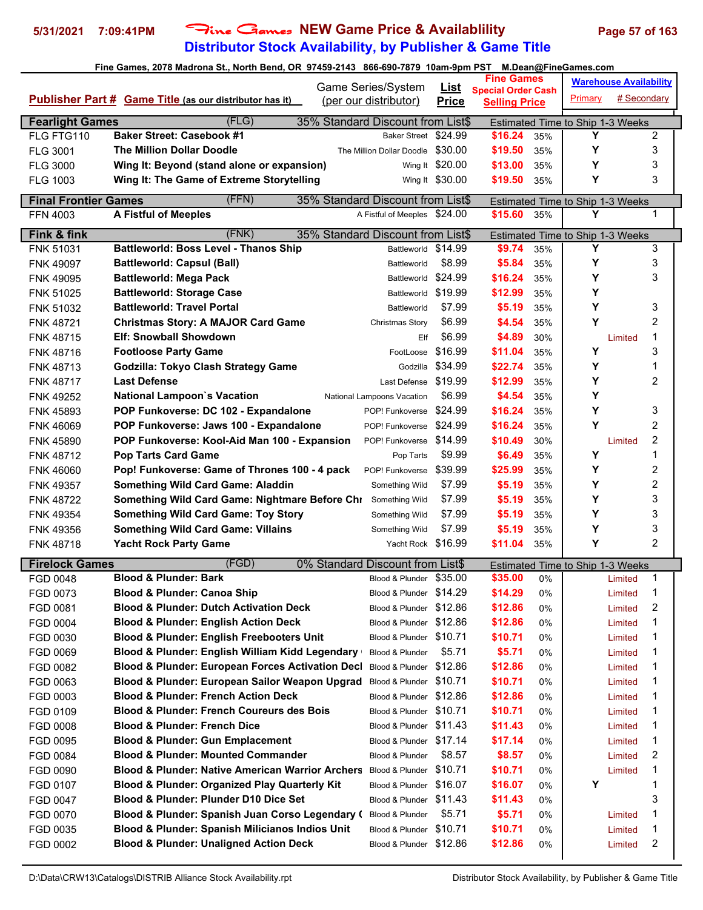# **Distributor Stock Availability, by Publisher & Game Title 5/31/2021 7:09:41PM** Fine Games **NEW Game Price & Availablility Page 57 of 163**

|                             |                                                                                     | Game Series/System                | <u>List</u>     | <b>Fine Games</b>                                 |     |                                         | <b>Warehouse Availability</b> |   |  |
|-----------------------------|-------------------------------------------------------------------------------------|-----------------------------------|-----------------|---------------------------------------------------|-----|-----------------------------------------|-------------------------------|---|--|
|                             | <b>Publisher Part # Game Title (as our distributor has it)</b>                      | (per our distributor)             | <b>Price</b>    | <b>Special Order Cash</b><br><b>Selling Price</b> |     | Primary                                 | # Secondary                   |   |  |
|                             |                                                                                     |                                   |                 |                                                   |     |                                         |                               |   |  |
| <b>Fearlight Games</b>      | (FLG)                                                                               | 35% Standard Discount from List\$ |                 |                                                   |     | Estimated Time to Ship 1-3 Weeks        |                               |   |  |
| FLG FTG110                  | <b>Baker Street: Casebook #1</b>                                                    | Baker Street \$24.99              |                 | \$16.24                                           | 35% | Y                                       |                               | 2 |  |
| <b>FLG 3001</b>             | <b>The Million Dollar Doodle</b>                                                    | The Million Dollar Doodle         | \$30.00         | \$19.50                                           | 35% | Y                                       |                               | 3 |  |
| <b>FLG 3000</b>             | Wing It: Beyond (stand alone or expansion)                                          |                                   | Wing It \$20.00 | \$13.00                                           | 35% | Υ                                       |                               | 3 |  |
| <b>FLG 1003</b>             | Wing It: The Game of Extreme Storytelling                                           |                                   | Wing It \$30.00 | \$19.50                                           | 35% | Y                                       |                               | 3 |  |
| <b>Final Frontier Games</b> | (FFN)                                                                               | 35% Standard Discount from List\$ |                 |                                                   |     | <b>Estimated Time to Ship 1-3 Weeks</b> |                               |   |  |
| FFN 4003                    | <b>A Fistful of Meeples</b>                                                         | A Fistful of Meeples \$24.00      |                 | \$15.60                                           | 35% | Υ                                       |                               | 1 |  |
| Fink & fink                 | (FNK)                                                                               | 35% Standard Discount from List\$ |                 |                                                   |     | Estimated Time to Ship 1-3 Weeks        |                               |   |  |
| FNK 51031                   | <b>Battleworld: Boss Level - Thanos Ship</b>                                        | Battleworld \$14.99               |                 | \$9.74                                            | 35% | Y                                       |                               | 3 |  |
| <b>FNK 49097</b>            | <b>Battleworld: Capsul (Ball)</b>                                                   | Battleworld                       | \$8.99          | \$5.84                                            | 35% | Y                                       |                               | 3 |  |
| <b>FNK 49095</b>            | <b>Battleworld: Mega Pack</b>                                                       | Battleworld \$24.99               |                 | \$16.24                                           | 35% | Y                                       |                               | 3 |  |
| <b>FNK 51025</b>            | <b>Battleworld: Storage Case</b>                                                    | Battleworld                       | \$19.99         | \$12.99                                           | 35% | Υ                                       |                               |   |  |
| <b>FNK 51032</b>            | <b>Battleworld: Travel Portal</b>                                                   | Battleworld                       | \$7.99          | \$5.19                                            | 35% | Y                                       |                               | 3 |  |
| <b>FNK 48721</b>            | <b>Christmas Story: A MAJOR Card Game</b>                                           | Christmas Story                   | \$6.99          | \$4.54                                            | 35% | Y                                       |                               | 2 |  |
| FNK 48715                   | <b>Elf: Snowball Showdown</b>                                                       | Elf                               | \$6.99          | \$4.89                                            | 30% |                                         | Limited                       | 1 |  |
| FNK 48716                   | <b>Footloose Party Game</b>                                                         | FootLoose                         | \$16.99         | \$11.04                                           | 35% | Y                                       |                               | 3 |  |
| <b>FNK 48713</b>            | Godzilla: Tokyo Clash Strategy Game                                                 | Godzilla                          | \$34.99         | \$22.74                                           | 35% | Y                                       |                               | 1 |  |
| <b>FNK 48717</b>            | <b>Last Defense</b>                                                                 | Last Defense                      | \$19.99         | \$12.99                                           | 35% | Y                                       |                               | 2 |  |
| <b>FNK 49252</b>            | <b>National Lampoon's Vacation</b>                                                  | National Lampoons Vacation        | \$6.99          | \$4.54                                            | 35% | Y                                       |                               |   |  |
| <b>FNK 45893</b>            | POP Funkoverse: DC 102 - Expandalone                                                | POP! Funkoverse                   | \$24.99         | \$16.24                                           | 35% | Y                                       |                               | 3 |  |
| <b>FNK 46069</b>            | POP Funkoverse: Jaws 100 - Expandalone                                              | POP! Funkoverse                   | \$24.99         | \$16.24                                           | 35% | Y                                       |                               | 2 |  |
| <b>FNK 45890</b>            | POP Funkoverse: Kool-Aid Man 100 - Expansion                                        | POP! Funkoverse                   | \$14.99         | \$10.49                                           | 30% |                                         | Limited                       | 2 |  |
| <b>FNK 48712</b>            | <b>Pop Tarts Card Game</b>                                                          | Pop Tarts                         | \$9.99          | \$6.49                                            | 35% | Υ                                       |                               | 1 |  |
| <b>FNK 46060</b>            | Pop! Funkoverse: Game of Thrones 100 - 4 pack                                       | POP! Funkoverse                   | \$39.99         | \$25.99                                           | 35% | Y                                       |                               | 2 |  |
| <b>FNK 49357</b>            | <b>Something Wild Card Game: Aladdin</b>                                            | Something Wild                    | \$7.99          | \$5.19                                            | 35% | Y                                       |                               | 2 |  |
| <b>FNK 48722</b>            | Something Wild Card Game: Nightmare Before Chi                                      | Something Wild                    | \$7.99          | \$5.19                                            | 35% | Y                                       |                               | 3 |  |
| <b>FNK 49354</b>            | <b>Something Wild Card Game: Toy Story</b>                                          | Something Wild                    | \$7.99          | \$5.19                                            | 35% | Y                                       |                               | 3 |  |
| FNK 49356                   | <b>Something Wild Card Game: Villains</b>                                           | Something Wild                    | \$7.99          | \$5.19                                            | 35% | Y                                       |                               | 3 |  |
| FNK 48718                   | <b>Yacht Rock Party Game</b>                                                        | Yacht Rock \$16.99                |                 | \$11.04                                           | 35% | Y                                       |                               | 2 |  |
| <b>Firelock Games</b>       | (FGD)                                                                               | 0% Standard Discount from List\$  |                 |                                                   |     | Estimated Time to Ship 1-3 Weeks        |                               |   |  |
| FGD 0048                    | <b>Blood &amp; Plunder: Bark</b>                                                    | Blood & Plunder \$35.00           |                 | \$35.00                                           | 0%  |                                         | Limited                       | 1 |  |
| FGD 0073                    | <b>Blood &amp; Plunder: Canoa Ship</b>                                              | Blood & Plunder \$14.29           |                 | \$14.29                                           | 0%  |                                         | Limited                       |   |  |
| FGD 0081                    | <b>Blood &amp; Plunder: Dutch Activation Deck</b>                                   | Blood & Plunder \$12.86           |                 | \$12.86                                           | 0%  |                                         | Limited                       | 2 |  |
| FGD 0004                    | <b>Blood &amp; Plunder: English Action Deck</b>                                     | Blood & Plunder \$12.86           |                 | \$12.86                                           | 0%  |                                         | Limited                       | 1 |  |
| FGD 0030                    | <b>Blood &amp; Plunder: English Freebooters Unit</b>                                | Blood & Plunder \$10.71           |                 | \$10.71                                           | 0%  |                                         | Limited                       | 1 |  |
| FGD 0069                    | Blood & Plunder: English William Kidd Legendary                                     | Blood & Plunder                   | \$5.71          | \$5.71                                            | 0%  |                                         | Limited                       | 1 |  |
| FGD 0082                    | <b>Blood &amp; Plunder: European Forces Activation Decl</b>                         | Blood & Plunder \$12.86           |                 | \$12.86                                           | 0%  |                                         | Limited                       | 1 |  |
| FGD 0063                    | Blood & Plunder: European Sailor Weapon Upgrad                                      | Blood & Plunder \$10.71           |                 | \$10.71                                           | 0%  |                                         | Limited                       | 1 |  |
| FGD 0003                    | <b>Blood &amp; Plunder: French Action Deck</b>                                      | Blood & Plunder \$12.86           |                 | \$12.86                                           | 0%  |                                         | Limited                       | 1 |  |
| FGD 0109                    | <b>Blood &amp; Plunder: French Coureurs des Bois</b>                                | Blood & Plunder \$10.71           |                 | \$10.71                                           | 0%  |                                         | Limited                       | 1 |  |
| FGD 0008                    | <b>Blood &amp; Plunder: French Dice</b>                                             | Blood & Plunder \$11.43           |                 | \$11.43                                           | 0%  |                                         | Limited                       | 1 |  |
| FGD 0095                    | <b>Blood &amp; Plunder: Gun Emplacement</b>                                         | Blood & Plunder \$17.14           |                 | \$17.14                                           | 0%  |                                         | Limited                       | 1 |  |
| FGD 0084                    | <b>Blood &amp; Plunder: Mounted Commander</b>                                       | Blood & Plunder                   | \$8.57          | \$8.57                                            | 0%  |                                         | Limited                       | 2 |  |
| FGD 0090                    | <b>Blood &amp; Plunder: Native American Warrior Archers</b> Blood & Plunder \$10.71 |                                   |                 | \$10.71                                           | 0%  |                                         | Limited                       | 1 |  |
| FGD 0107                    | <b>Blood &amp; Plunder: Organized Play Quarterly Kit</b>                            | Blood & Plunder \$16.07           |                 | \$16.07                                           | 0%  | Y                                       |                               | 1 |  |
| FGD 0047                    | Blood & Plunder: Plunder D10 Dice Set                                               | Blood & Plunder \$11.43           |                 | \$11.43                                           | 0%  |                                         |                               | 3 |  |
|                             | Blood & Plunder: Spanish Juan Corso Legendary (                                     | Blood & Plunder                   | \$5.71          | \$5.71                                            | 0%  |                                         |                               | 1 |  |
| FGD 0070                    | Blood & Plunder: Spanish Milicianos Indios Unit                                     | Blood & Plunder \$10.71           |                 | \$10.71                                           | 0%  |                                         | Limited<br>Limited            | 1 |  |
| FGD 0035                    | <b>Blood &amp; Plunder: Unaligned Action Deck</b>                                   | Blood & Plunder \$12.86           |                 | \$12.86                                           |     |                                         |                               | 2 |  |
| FGD 0002                    |                                                                                     |                                   |                 |                                                   | 0%  |                                         | Limited                       |   |  |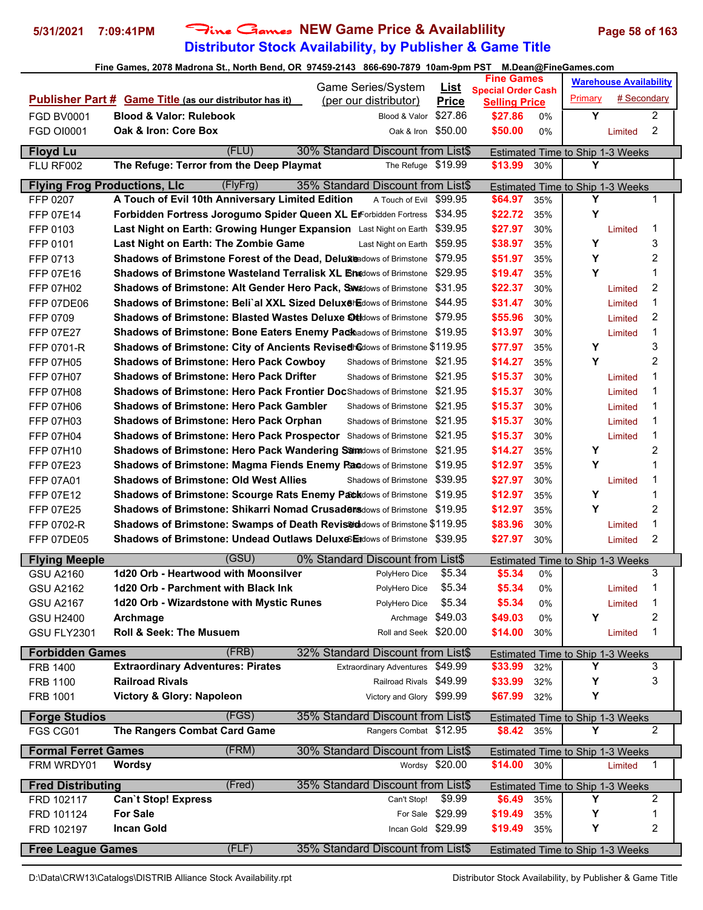## **Distributor Stock Availability, by Publisher & Game Title 5/31/2021 7:09:41PM** Fine Games **NEW Game Price & Availablility Page 58 of 163**

|                                     |                                                                                       |                                             |                         | <b>Fine Games</b>               |       |                                              | <b>Warehouse Availability</b> |                |
|-------------------------------------|---------------------------------------------------------------------------------------|---------------------------------------------|-------------------------|---------------------------------|-------|----------------------------------------------|-------------------------------|----------------|
|                                     | <b>Publisher Part # Game Title (as our distributor has it)</b>                        | Game Series/System<br>(per our distributor) | <u>List</u>             | <b>Special Order Cash</b>       |       | Primary                                      | # Secondary                   |                |
| <b>FGD BV0001</b>                   | <b>Blood &amp; Valor: Rulebook</b>                                                    | Blood & Valor                               | <b>Price</b><br>\$27.86 | <b>Selling Price</b><br>\$27.86 | $0\%$ | Y                                            |                               | $\overline{c}$ |
| <b>FGD OI0001</b>                   | Oak & Iron: Core Box                                                                  | Oak & Iron \$50,00                          |                         | \$50.00                         | 0%    |                                              | Limited                       | 2              |
|                                     |                                                                                       |                                             |                         |                                 |       |                                              |                               |                |
| <b>Floyd Lu</b>                     | (FLU)                                                                                 | 30% Standard Discount from List\$           |                         |                                 |       | Estimated Time to Ship 1-3 Weeks             |                               |                |
| FLU RF002                           | The Refuge: Terror from the Deep Playmat                                              | The Refuge \$19.99                          |                         | \$13.99                         | 30%   | Y                                            |                               |                |
| <b>Flying Frog Productions, LIc</b> | (FlyFrg)                                                                              | 35% Standard Discount from List\$           |                         |                                 |       | Estimated Time to Ship 1-3 Weeks             |                               |                |
| FFP 0207                            | A Touch of Evil 10th Anniversary Limited Edition                                      | A Touch of Evil                             | \$99.95                 | \$64.97                         | 35%   | Υ                                            |                               | 1              |
| FFP 07E14                           | Forbidden Fortress Jorogumo Spider Queen XL ErForbidden Fortress                      |                                             | \$34.95                 | \$22.72                         | 35%   | Υ                                            |                               |                |
| FFP 0103                            | Last Night on Earth: Growing Hunger Expansion Last Night on Earth                     |                                             | \$39.95                 | \$27.97                         | 30%   |                                              | Limited                       | 1              |
| FFP 0101                            | Last Night on Earth: The Zombie Game                                                  | Last Night on Earth \$59.95                 |                         | \$38.97                         | 35%   | Υ                                            |                               | 3              |
| FFP 0713                            | Shadows of Brimstone Forest of the Dead, Deluxmedows of Brimstone \$79.95             |                                             |                         | \$51.97                         | 35%   | Y                                            |                               | 2              |
| <b>FFP 07E16</b>                    | <b>Shadows of Brimstone Wasteland Terralisk XL Bnadows of Brimstone</b>               |                                             | \$29.95                 | \$19.47                         | 35%   | Y                                            |                               | 1              |
| <b>FFP 07H02</b>                    | Shadows of Brimstone: Alt Gender Hero Pack, Shedows of Brimstone                      |                                             | \$31.95                 | \$22.37                         | 30%   |                                              | Limited                       | 2              |
| FFP 07DE06                          | <b>Shadows of Brimstone: Beli`al XXL Sized Deluxe Edows of Brimstone</b>              |                                             | \$44.95                 | \$31.47                         | 30%   |                                              | Limited                       | 1              |
| FFP 0709                            | <b>Shadows of Brimstone: Blasted Wastes Deluxe Ortidows of Brimstone</b>              |                                             | \$79.95                 | \$55.96                         | 30%   |                                              | Limited                       | 2              |
| FFP 07E27                           | <b>Shadows of Brimstone: Bone Eaters Enemy Pack</b> adows of Brimstone                |                                             | \$19.95                 | \$13.97                         | 30%   |                                              | Limited                       | 1              |
| FFP 0701-R                          | Shadows of Brimstone: City of Ancients Revised Gdows of Brimstone \$119.95            |                                             |                         | \$77.97                         | 35%   | Υ                                            |                               | 3              |
| <b>FFP 07H05</b>                    | <b>Shadows of Brimstone: Hero Pack Cowboy</b>                                         | Shadows of Brimstone \$21.95                |                         | \$14.27                         | 35%   | Y                                            |                               | $\overline{c}$ |
| <b>FFP 07H07</b>                    | <b>Shadows of Brimstone: Hero Pack Drifter</b>                                        | Shadows of Brimstone \$21.95                |                         | \$15.37                         | 30%   |                                              | Limited                       | 1              |
| <b>FFP 07H08</b>                    | <b>Shadows of Brimstone: Hero Pack Frontier Doc</b> Shadows of Brimstone \$21.95      |                                             |                         | \$15.37                         | 30%   |                                              | Limited                       | 1              |
| <b>FFP 07H06</b>                    | <b>Shadows of Brimstone: Hero Pack Gambler</b>                                        | Shadows of Brimstone \$21.95                |                         | \$15.37                         | 30%   |                                              | Limited                       | 1              |
| <b>FFP 07H03</b>                    | <b>Shadows of Brimstone: Hero Pack Orphan</b>                                         | Shadows of Brimstone                        | \$21.95                 | \$15.37                         | 30%   |                                              | Limited                       | 1              |
| <b>FFP 07H04</b>                    | <b>Shadows of Brimstone: Hero Pack Prospector</b> Shadows of Brimstone                |                                             | \$21.95                 | \$15.37                         | 30%   |                                              | Limited                       | 1              |
| <b>FFP 07H10</b>                    | <b>Shadows of Brimstone: Hero Pack Wandering Samadows of Brimstone \$21.95</b>        |                                             |                         | \$14.27                         | 35%   | Υ                                            |                               | 2              |
| FFP 07E23                           | Shadows of Brimstone: Magma Fiends Enemy Panadows of Brimstone \$19.95                |                                             |                         | \$12.97                         | 35%   | Y                                            |                               | 1              |
| FFP 07A01                           | <b>Shadows of Brimstone: Old West Allies</b>                                          | Shadows of Brimstone \$39.95                |                         | \$27.97                         | 30%   |                                              | Limited                       | 1              |
| FFP 07E12                           | Shadows of Brimstone: Scourge Rats Enemy Path Nows of Brimstone \$19.95               |                                             |                         | \$12.97                         | 35%   | Y                                            |                               | 1              |
| FFP 07E25                           | <b>Shadows of Brimstone: Shikarri Nomad Crusadens</b> dows of Brimstone \$19.95       |                                             |                         | \$12.97                         | 35%   | Υ                                            |                               | 2              |
| FFP 0702-R                          | Shadows of Brimstone: Swamps of Death Revis <sup>8</sup> dadows of Brimstone \$119.95 |                                             |                         | \$83.96                         | 30%   |                                              | Limited                       | 1              |
| FFP 07DE05                          | Shadows of Brimstone: Undead Outlaws Deluxes Eddows of Brimstone \$39.95              |                                             |                         | \$27.97                         | 30%   |                                              | Limited                       | $\overline{2}$ |
| <b>Flying Meeple</b>                | (GSU)                                                                                 | 0% Standard Discount from List\$            |                         |                                 |       | Estimated Time to Ship 1-3 Weeks             |                               |                |
| GSU A2160                           | 1d20 Orb - Heartwood with Moonsilver                                                  | PolyHero Dice                               | \$5.34                  | \$5.34                          | 0%    |                                              |                               | 3              |
| <b>GSU A2162</b>                    | 1d20 Orb - Parchment with Black Ink                                                   | PolyHero Dice                               | \$5.34                  | \$5.34                          | 0%    |                                              | Limited                       | 1              |
| <b>GSU A2167</b>                    | 1d20 Orb - Wizardstone with Mystic Runes                                              | PolyHero Dice                               | \$5.34                  | \$5.34                          | 0%    |                                              | Limited                       | 1              |
| <b>GSU H2400</b>                    | Archmage                                                                              | Archmage \$49.03                            |                         | \$49.03                         | 0%    | Y                                            |                               | 2              |
| GSU FLY2301                         | <b>Roll &amp; Seek: The Musuem</b>                                                    | Roll and Seek \$20.00                       |                         | \$14.00                         | 30%   |                                              | Limited                       | 1              |
|                                     | (FRB)                                                                                 | 32% Standard Discount from List\$           |                         |                                 |       |                                              |                               |                |
| <b>Forbidden Games</b><br>FRB 1400  | <b>Extraordinary Adventures: Pirates</b>                                              | <b>Extraordinary Adventures</b>             | \$49.99                 | \$33.99                         | 32%   | <b>Estimated Time to Ship 1-3 Weeks</b><br>Y |                               | 3              |
| FRB 1100                            | <b>Railroad Rivals</b>                                                                | Railroad Rivals \$49.99                     |                         | \$33.99                         | 32%   | Y                                            |                               | 3              |
| FRB 1001                            | Victory & Glory: Napoleon                                                             | Victory and Glory \$99.99                   |                         | \$67.99                         | 32%   | Υ                                            |                               |                |
|                                     |                                                                                       |                                             |                         |                                 |       |                                              |                               |                |
| <b>Forge Studios</b>                | (FGS)                                                                                 | 35% Standard Discount from List\$           |                         |                                 |       | <b>Estimated Time to Ship 1-3 Weeks</b>      |                               |                |
| FGS CG01                            | The Rangers Combat Card Game                                                          | Rangers Combat \$12.95                      |                         | \$8.42 35%                      |       | Υ                                            |                               | $\overline{2}$ |
| <b>Formal Ferret Games</b>          | (FRM)                                                                                 | 30% Standard Discount from List\$           |                         |                                 |       | <b>Estimated Time to Ship 1-3 Weeks</b>      |                               |                |
| FRM WRDY01                          | <b>Wordsy</b>                                                                         |                                             | Wordsy \$20.00          | \$14.00                         | 30%   |                                              | Limited                       | $\mathbf{1}$   |
| <b>Fred Distributing</b>            | (Fred)                                                                                | 35% Standard Discount from List\$           |                         |                                 |       | Estimated Time to Ship 1-3 Weeks             |                               |                |
| FRD 102117                          | <b>Can't Stop! Express</b>                                                            | Can't Stop!                                 | \$9.99                  | \$6.49                          | 35%   | Υ                                            |                               | 2              |
| FRD 101124                          | <b>For Sale</b>                                                                       |                                             | For Sale \$29.99        | \$19.49                         | 35%   | Υ                                            |                               | 1              |
| FRD 102197                          | <b>Incan Gold</b>                                                                     | Incan Gold \$29.99                          |                         | \$19.49                         | 35%   | Υ                                            |                               | 2              |
|                                     |                                                                                       |                                             |                         |                                 |       |                                              |                               |                |
| <b>Free League Games</b>            | (FLF)                                                                                 | 35% Standard Discount from List\$           |                         |                                 |       | <b>Estimated Time to Ship 1-3 Weeks</b>      |                               |                |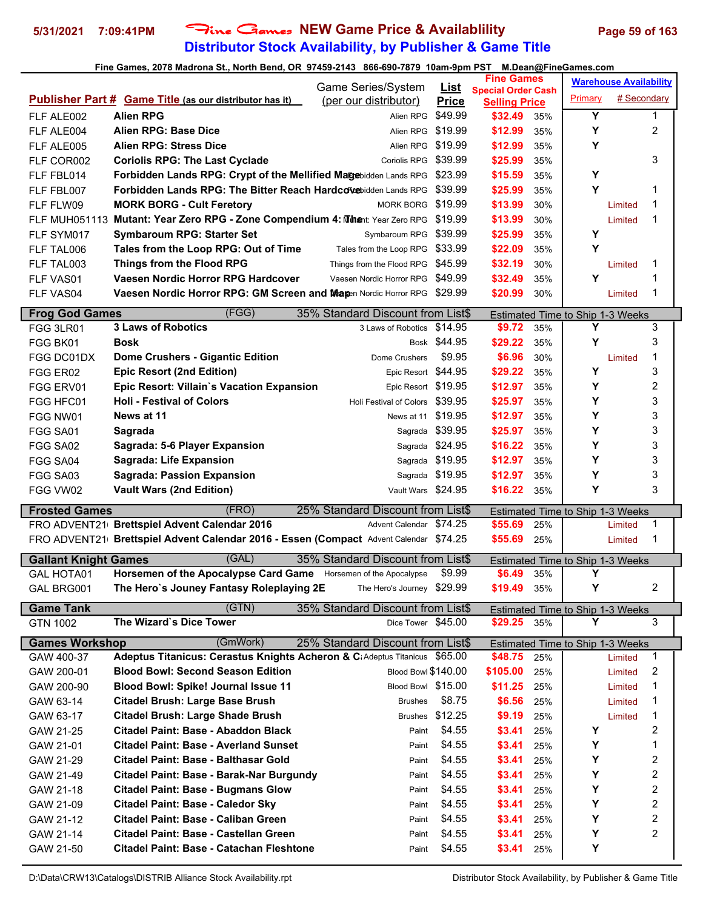# **Distributor Stock Availability, by Publisher & Game Title 5/31/2021 7:09:41PM** Fine Games **NEW Game Price & Availablility Page 59 of 163**

### **Fine Games, 2078 Madrona St., North Bend, OR 97459-2143 866-690-7879 10am-9pm PST M.Dean@FineGames.com**

|                             |                                                                                                                                       | Game Series/System                                           | <u>List</u>      | <b>Fine Games</b>                                 |            |                                  | <b>Warehouse Availability</b> |                         |  |
|-----------------------------|---------------------------------------------------------------------------------------------------------------------------------------|--------------------------------------------------------------|------------------|---------------------------------------------------|------------|----------------------------------|-------------------------------|-------------------------|--|
|                             | <b>Publisher Part # Game Title (as our distributor has it)</b>                                                                        | (per our distributor)                                        | <b>Price</b>     | <b>Special Order Cash</b><br><b>Selling Price</b> |            | Primary                          | # Secondary                   |                         |  |
| FLF ALE002                  | <b>Alien RPG</b>                                                                                                                      | Alien RPG                                                    | \$49.99          | \$32.49                                           | 35%        | Y                                |                               | 1                       |  |
| FLF ALE004                  | Alien RPG: Base Dice                                                                                                                  | Alien RPG \$19.99                                            |                  | \$12.99                                           | 35%        | Y                                |                               | 2                       |  |
| FLF ALE005                  | <b>Alien RPG: Stress Dice</b>                                                                                                         | Alien RPG                                                    | \$19.99          | \$12.99                                           | 35%        | Υ                                |                               |                         |  |
| FLF COR002                  | <b>Coriolis RPG: The Last Cyclade</b>                                                                                                 | Coriolis RPG \$39.99                                         |                  | \$25.99                                           | 35%        |                                  |                               | 3                       |  |
| FLF FBL014                  | Forbidden Lands RPG: Crypt of the Mellified Magebidden Lands RPG                                                                      |                                                              | \$23.99          | \$15.59                                           | 35%        | Υ                                |                               |                         |  |
| FLF FBL007                  | Forbidden Lands RPG: The Bitter Reach Hardcovebidden Lands RPG                                                                        |                                                              | \$39.99          | \$25.99                                           | 35%        | Y                                |                               | 1                       |  |
| FLF FLW09                   | <b>MORK BORG - Cult Feretory</b>                                                                                                      | MORK BORG \$19.99                                            |                  | \$13.99                                           | 30%        |                                  | Limited                       | 1                       |  |
|                             | FLF MUH051113 Mutant: Year Zero RPG - Zone Compendium 4: Mihent: Year Zero RPG \$19.99                                                |                                                              |                  | \$13.99                                           | 30%        |                                  | Limited                       | 1                       |  |
| FLF SYM017                  | <b>Symbaroum RPG: Starter Set</b>                                                                                                     | Symbaroum RPG \$39.99                                        |                  | \$25.99                                           | 35%        | Υ                                |                               |                         |  |
| FLF TAL006                  | Tales from the Loop RPG: Out of Time                                                                                                  | Tales from the Loop RPG \$33.99                              |                  | \$22.09                                           | 35%        | Y                                |                               |                         |  |
| FLF TAL003                  | Things from the Flood RPG                                                                                                             | Things from the Flood RPG \$45.99                            |                  | \$32.19                                           | 30%        |                                  | Limited                       | 1                       |  |
| FLF VAS01                   | Vaesen Nordic Horror RPG Hardcover                                                                                                    | Vaesen Nordic Horror RPG                                     | \$49.99          | \$32.49                                           | 35%        | Y                                |                               | 1                       |  |
| FLF VAS04                   | Vaesen Nordic Horror RPG: GM Screen and Mapen Nordic Horror RPG \$29.99                                                               |                                                              |                  | \$20.99                                           | 30%        |                                  | Limited                       | 1                       |  |
| <b>Frog God Games</b>       | (FGG)                                                                                                                                 | 35% Standard Discount from List\$                            |                  |                                                   |            | Estimated Time to Ship 1-3 Weeks |                               |                         |  |
| FGG 3LR01                   | <b>3 Laws of Robotics</b>                                                                                                             | 3 Laws of Robotics                                           | \$14.95          | \$9.72                                            | 35%        | Y                                |                               | 3                       |  |
| FGG BK01                    | Bosk                                                                                                                                  |                                                              | Bosk \$44.95     | \$29.22                                           | 35%        | Υ                                |                               | 3                       |  |
| FGG DC01DX                  | <b>Dome Crushers - Gigantic Edition</b>                                                                                               | Dome Crushers                                                | \$9.95           | \$6.96                                            | 30%        |                                  | Limited                       | 1                       |  |
| FGG ER02                    | <b>Epic Resort (2nd Edition)</b>                                                                                                      | Epic Resort \$44.95                                          |                  | \$29.22                                           | 35%        | Υ                                |                               | 3                       |  |
| FGG ERV01                   | Epic Resort: Villain's Vacation Expansion                                                                                             | Epic Resort \$19.95                                          |                  | \$12.97                                           | 35%        | Υ                                |                               | 2                       |  |
| FGG HFC01                   | <b>Holi - Festival of Colors</b>                                                                                                      | Holi Festival of Colors \$39.95                              |                  | \$25.97                                           | 35%        | Υ                                |                               | 3                       |  |
| FGG NW01                    | News at 11                                                                                                                            | News at 11                                                   | \$19.95          | \$12.97                                           | 35%        | Υ                                |                               | 3                       |  |
| FGG SA01                    | Sagrada                                                                                                                               |                                                              | Sagrada \$39.95  | \$25.97                                           | 35%        | Y                                |                               | 3                       |  |
| FGG SA02                    | Sagrada: 5-6 Player Expansion                                                                                                         |                                                              | Sagrada \$24.95  | \$16.22                                           | 35%        | Υ                                |                               | 3                       |  |
| FGG SA04                    | <b>Sagrada: Life Expansion</b>                                                                                                        |                                                              | Sagrada \$19.95  | \$12.97                                           | 35%        | Y                                |                               | 3                       |  |
|                             |                                                                                                                                       |                                                              |                  |                                                   |            |                                  |                               |                         |  |
| FGG SA03                    | <b>Sagrada: Passion Expansion</b>                                                                                                     |                                                              | Sagrada \$19.95  | \$12.97                                           | 35%        | Y                                |                               | 3                       |  |
| FGG VW02                    | <b>Vault Wars (2nd Edition)</b>                                                                                                       | Vault Wars \$24.95                                           |                  | \$16.22                                           | 35%        | Υ                                |                               | 3                       |  |
|                             | (FRO)                                                                                                                                 |                                                              |                  |                                                   |            |                                  |                               |                         |  |
| <b>Frosted Games</b>        |                                                                                                                                       | 25% Standard Discount from List\$<br>Advent Calendar \$74.25 |                  | \$55.69                                           | 25%        | Estimated Time to Ship 1-3 Weeks | Limited                       | 1                       |  |
|                             | FRO ADVENT21 Brettspiel Advent Calendar 2016<br>FRO ADVENT21 Brettspiel Advent Calendar 2016 - Essen (Compact Advent Calendar \$74.25 |                                                              |                  | \$55.69                                           | 25%        |                                  | Limited                       | 1                       |  |
|                             |                                                                                                                                       |                                                              |                  |                                                   |            |                                  |                               |                         |  |
| <b>Gallant Knight Games</b> | (GAL)                                                                                                                                 | 35% Standard Discount from List\$                            |                  |                                                   |            | Estimated Time to Ship 1-3 Weeks |                               |                         |  |
| <b>GAL HOTA01</b>           | Horsemen of the Apocalypse Card Game Horsemen of the Apocalypse                                                                       |                                                              | \$9.99           | \$6.49                                            | 35%        | Υ                                |                               |                         |  |
| GAL BRG001                  | The Hero`s Jouney Fantasy Roleplaying 2E                                                                                              | The Hero's Journey \$29.99                                   |                  | \$19.49                                           | 35%        | Y                                |                               | $\mathfrak{p}$          |  |
| <b>Game Tank</b>            | (GTN)                                                                                                                                 | 35% Standard Discount from List\$                            |                  |                                                   |            | Estimated Time to Ship 1-3 Weeks |                               |                         |  |
| GTN 1002                    | The Wizard's Dice Tower                                                                                                               | Dice Tower \$45.00                                           |                  | \$29.25                                           | 35%        | Υ                                |                               | 3                       |  |
| <b>Games Workshop</b>       | (GmWork)                                                                                                                              | 25% Standard Discount from List\$                            |                  |                                                   |            | Estimated Time to Ship 1-3 Weeks |                               |                         |  |
| GAW 400-37                  | Adeptus Titanicus: Cerastus Knights Acheron & C; Adeptus Titanicus \$65.00                                                            |                                                              |                  | \$48.75                                           | 25%        |                                  | Limited                       | $\mathbf{1}$            |  |
| GAW 200-01                  | <b>Blood Bowl: Second Season Edition</b>                                                                                              | Blood Bowl \$140.00                                          |                  | \$105.00                                          | 25%        |                                  | Limited                       | 2                       |  |
| GAW 200-90                  | Blood Bowl: Spike! Journal Issue 11                                                                                                   | Blood Bowl \$15.00                                           |                  | \$11.25                                           | 25%        |                                  | Limited                       | 1                       |  |
| GAW 63-14                   | Citadel Brush: Large Base Brush                                                                                                       | <b>Brushes</b>                                               | \$8.75           | \$6.56                                            | 25%        |                                  | Limited                       | 1                       |  |
| GAW 63-17                   | Citadel Brush: Large Shade Brush                                                                                                      | <b>Brushes</b>                                               | \$12.25          | \$9.19                                            | 25%        |                                  | Limited                       | 1                       |  |
| GAW 21-25                   | Citadel Paint: Base - Abaddon Black                                                                                                   | Paint                                                        | \$4.55           | \$3.41                                            | 25%        | Υ                                |                               | $\overline{\mathbf{c}}$ |  |
| GAW 21-01                   | <b>Citadel Paint: Base - Averland Sunset</b>                                                                                          | Paint                                                        | \$4.55           | \$3.41                                            | 25%        | Υ                                |                               | 1                       |  |
| GAW 21-29                   | Citadel Paint: Base - Balthasar Gold                                                                                                  | Paint                                                        | \$4.55           | \$3.41                                            | 25%        | Υ                                |                               | 2                       |  |
| GAW 21-49                   | Citadel Paint: Base - Barak-Nar Burgundy                                                                                              | Paint                                                        | \$4.55           | \$3.41                                            | 25%        | Υ                                |                               | 2                       |  |
| GAW 21-18                   | <b>Citadel Paint: Base - Bugmans Glow</b>                                                                                             | Paint                                                        | \$4.55           | \$3.41                                            | 25%        | Y                                |                               | $\overline{\mathbf{c}}$ |  |
| GAW 21-09                   | Citadel Paint: Base - Caledor Sky                                                                                                     | Paint                                                        | \$4.55           | \$3.41                                            | 25%        | Υ                                |                               | $\overline{\mathbf{c}}$ |  |
| GAW 21-12                   | Citadel Paint: Base - Caliban Green                                                                                                   | Paint                                                        | \$4.55           | \$3.41                                            | 25%        | Υ                                |                               | $\overline{c}$          |  |
| GAW 21-14<br>GAW 21-50      | Citadel Paint: Base - Castellan Green<br><b>Citadel Paint: Base - Catachan Fleshtone</b>                                              | Paint<br>Paint                                               | \$4.55<br>\$4.55 | \$3.41<br>\$3.41                                  | 25%<br>25% | Υ<br>Υ                           |                               | $\overline{2}$          |  |

D:\Data\CRW13\Catalogs\DISTRIB Alliance Stock Availability.rpt Distributor Stock Availability, by Publisher & Game Title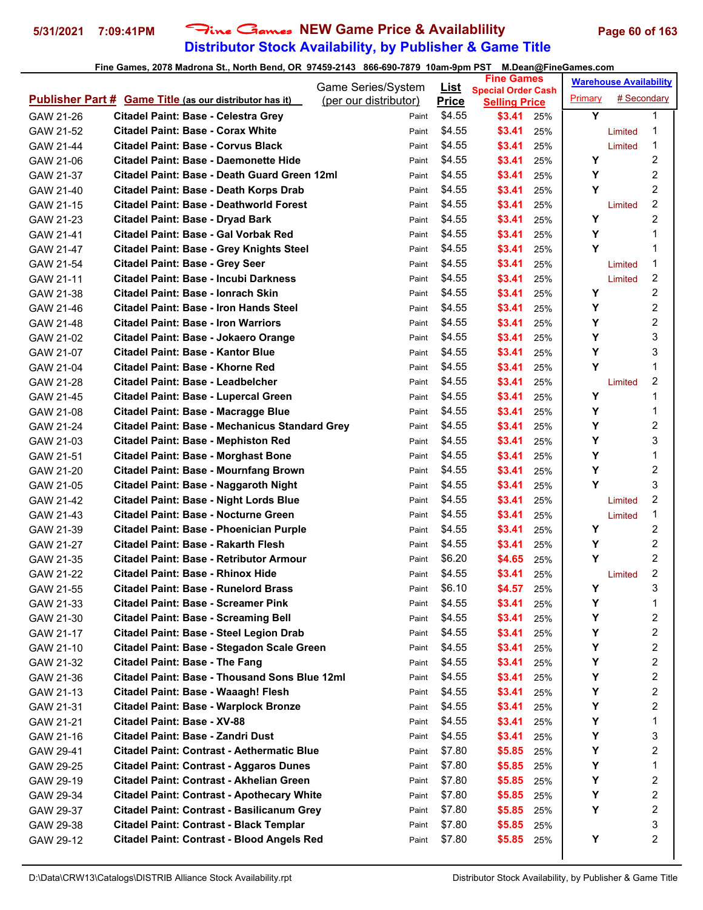# **Distributor Stock Availability, by Publisher & Game Title** 5/31/2021 7:09:41PM Fine Games NEW Game Price & Availablility Page 60 of 163

|                                                                    | Game Series/System    | List         | <b>Fine Games</b>                                 |     |         | <b>Warehouse Availability</b> |                |
|--------------------------------------------------------------------|-----------------------|--------------|---------------------------------------------------|-----|---------|-------------------------------|----------------|
| <b>Publisher Part # Game Title (as our distributor has it)</b>     | (per our distributor) | <b>Price</b> | <b>Special Order Cash</b><br><b>Selling Price</b> |     | Primary | # Secondary                   |                |
| GAW 21-26<br><b>Citadel Paint: Base - Celestra Grey</b>            | Paint                 | \$4.55       | \$3.41                                            | 25% | Y       |                               | 1              |
| Citadel Paint: Base - Corax White<br>GAW 21-52                     | Paint                 | \$4.55       | \$3.41                                            | 25% |         | Limited                       | 1              |
| Citadel Paint: Base - Corvus Black<br>GAW 21-44                    | Paint                 | \$4.55       | \$3.41                                            | 25% |         | Limited                       | 1              |
| <b>Citadel Paint: Base - Daemonette Hide</b><br>GAW 21-06          | Paint                 | \$4.55       | \$3.41                                            | 25% | Y       |                               | 2              |
| Citadel Paint: Base - Death Guard Green 12ml<br>GAW 21-37          | Paint                 | \$4.55       | \$3.41                                            | 25% | Y       |                               | 2              |
| Citadel Paint: Base - Death Korps Drab<br>GAW 21-40                | Paint                 | \$4.55       | \$3.41                                            | 25% | Y       |                               | $\overline{2}$ |
| <b>Citadel Paint: Base - Deathworld Forest</b><br>GAW 21-15        | Paint                 | \$4.55       | \$3.41                                            | 25% |         | Limited                       | 2              |
| <b>Citadel Paint: Base - Dryad Bark</b><br>GAW 21-23               | Paint                 | \$4.55       | \$3.41                                            | 25% | Υ       |                               | $\overline{2}$ |
| Citadel Paint: Base - Gal Vorbak Red<br>GAW 21-41                  | Paint                 | \$4.55       | \$3.41                                            | 25% | Y       |                               | 1              |
| <b>Citadel Paint: Base - Grey Knights Steel</b><br>GAW 21-47       | Paint                 | \$4.55       | \$3.41                                            | 25% | Y       |                               | 1              |
| <b>Citadel Paint: Base - Grey Seer</b><br>GAW 21-54                | Paint                 | \$4.55       | \$3.41                                            | 25% |         | Limited                       | 1              |
| Citadel Paint: Base - Incubi Darkness<br>GAW 21-11                 | Paint                 | \$4.55       | \$3.41                                            | 25% |         | Limited                       | 2              |
| Citadel Paint: Base - Ionrach Skin<br>GAW 21-38                    | Paint                 | \$4.55       | \$3.41                                            | 25% | Y       |                               | 2              |
| Citadel Paint: Base - Iron Hands Steel<br>GAW 21-46                | Paint                 | \$4.55       | \$3.41                                            | 25% | Y       |                               | 2              |
| <b>Citadel Paint: Base - Iron Warriors</b><br>GAW 21-48            | Paint                 | \$4.55       | \$3.41                                            | 25% | Y       |                               | 2              |
| Citadel Paint: Base - Jokaero Orange<br>GAW 21-02                  | Paint                 | \$4.55       | \$3.41                                            | 25% | Υ       |                               | 3              |
| Citadel Paint: Base - Kantor Blue<br>GAW 21-07                     | Paint                 | \$4.55       | \$3.41                                            | 25% | Υ       |                               | 3              |
| Citadel Paint: Base - Khorne Red<br>GAW 21-04                      | Paint                 | \$4.55       | \$3.41                                            | 25% | Υ       |                               | 1              |
| <b>Citadel Paint: Base - Leadbelcher</b><br>GAW 21-28              | Paint                 | \$4.55       | \$3.41                                            | 25% |         | Limited                       | 2              |
| Citadel Paint: Base - Lupercal Green<br>GAW 21-45                  | Paint                 | \$4.55       | \$3.41                                            | 25% | Υ       |                               | 1              |
| Citadel Paint: Base - Macragge Blue<br>GAW 21-08                   | Paint                 | \$4.55       | \$3.41                                            | 25% | Y       |                               | 1              |
| <b>Citadel Paint: Base - Mechanicus Standard Grey</b><br>GAW 21-24 | Paint                 | \$4.55       | \$3.41                                            | 25% | Υ       |                               | 2              |
| <b>Citadel Paint: Base - Mephiston Red</b><br>GAW 21-03            | Paint                 | \$4.55       | \$3.41                                            | 25% | Υ       |                               | 3              |
| <b>Citadel Paint: Base - Morghast Bone</b><br>GAW 21-51            | Paint                 | \$4.55       | \$3.41                                            | 25% | Υ       |                               | 1              |
| <b>Citadel Paint: Base - Mournfang Brown</b><br>GAW 21-20          | Paint                 | \$4.55       | \$3.41                                            | 25% | Y       |                               | 2              |
| Citadel Paint: Base - Naggaroth Night<br>GAW 21-05                 | Paint                 | \$4.55       | \$3.41                                            | 25% | Y       |                               | 3              |
| <b>Citadel Paint: Base - Night Lords Blue</b><br>GAW 21-42         | Paint                 | \$4.55       | \$3.41                                            | 25% |         | Limited                       | 2              |
| Citadel Paint: Base - Nocturne Green<br>GAW 21-43                  | Paint                 | \$4.55       | \$3.41                                            | 25% |         | Limited                       | 1              |
| <b>Citadel Paint: Base - Phoenician Purple</b><br>GAW 21-39        | Paint                 | \$4.55       | \$3.41                                            | 25% | Y       |                               | 2              |
| Citadel Paint: Base - Rakarth Flesh<br>GAW 21-27                   | Paint                 | \$4.55       | \$3.41                                            | 25% | Υ       |                               | 2              |
| Citadel Paint: Base - Retributor Armour<br>GAW 21-35               | Paint                 | \$6.20       | \$4.65                                            | 25% | Y       |                               | $\overline{2}$ |
| Citadel Paint: Base - Rhinox Hide<br>GAW 21-22                     | Paint                 | \$4.55       | \$3.41                                            | 25% |         | Limited                       | 2              |
| Citadel Paint: Base - Runelord Brass<br>GAW 21-55                  | Paint                 | \$6.10       | \$4.57                                            | 25% | Y       |                               | 3              |
| <b>Citadel Paint: Base - Screamer Pink</b><br>GAW 21-33            | Paint                 | \$4.55       | \$3.41                                            | 25% | Υ       |                               | 1              |
| <b>Citadel Paint: Base - Screaming Bell</b><br>GAW 21-30           | Paint                 | \$4.55       | \$3.41                                            | 25% | Υ       |                               | 2              |
| Citadel Paint: Base - Steel Legion Drab<br>GAW 21-17               | Paint                 | \$4.55       | \$3.41                                            | 25% | Υ       |                               | 2              |
| Citadel Paint: Base - Stegadon Scale Green<br>GAW 21-10            | Paint                 | \$4.55       | \$3.41                                            | 25% | Υ       |                               | 2              |
| <b>Citadel Paint: Base - The Fang</b><br>GAW 21-32                 | Paint                 | \$4.55       | \$3.41                                            | 25% | Υ       |                               | 2              |
| Citadel Paint: Base - Thousand Sons Blue 12ml<br>GAW 21-36         | Paint                 | \$4.55       | \$3.41                                            | 25% | Υ       |                               | 2              |
| Citadel Paint: Base - Waaagh! Flesh<br>GAW 21-13                   | Paint                 | \$4.55       | \$3.41                                            | 25% | Υ       |                               | 2              |
| <b>Citadel Paint: Base - Warplock Bronze</b><br>GAW 21-31          | Paint                 | \$4.55       | \$3.41                                            | 25% | Υ       |                               | 2              |
| Citadel Paint: Base - XV-88<br>GAW 21-21                           | Paint                 | \$4.55       | \$3.41                                            | 25% | Υ       |                               | 1              |
| Citadel Paint: Base - Zandri Dust<br>GAW 21-16                     | Paint                 | \$4.55       | \$3.41                                            | 25% | Υ       |                               | 3              |
| <b>Citadel Paint: Contrast - Aethermatic Blue</b><br>GAW 29-41     | Paint                 | \$7.80       | \$5.85                                            | 25% | Υ       |                               | 2              |
| <b>Citadel Paint: Contrast - Aggaros Dunes</b><br>GAW 29-25        | Paint                 | \$7.80       | \$5.85                                            | 25% | Υ       |                               | 1              |
| Citadel Paint: Contrast - Akhelian Green<br>GAW 29-19              | Paint                 | \$7.80       | \$5.85                                            | 25% | Υ       |                               | 2              |
| <b>Citadel Paint: Contrast - Apothecary White</b><br>GAW 29-34     | Paint                 | \$7.80       | \$5.85                                            | 25% | Υ       |                               | 2              |
| Citadel Paint: Contrast - Basilicanum Grey<br>GAW 29-37            | Paint                 | \$7.80       | \$5.85                                            | 25% | Υ       |                               | 2              |
| <b>Citadel Paint: Contrast - Black Templar</b><br>GAW 29-38        | Paint                 | \$7.80       | \$5.85                                            | 25% |         |                               | 3              |
| <b>Citadel Paint: Contrast - Blood Angels Red</b><br>GAW 29-12     | Paint                 | \$7.80       | \$5.85                                            | 25% | Υ       |                               | 2              |
|                                                                    |                       |              |                                                   |     |         |                               |                |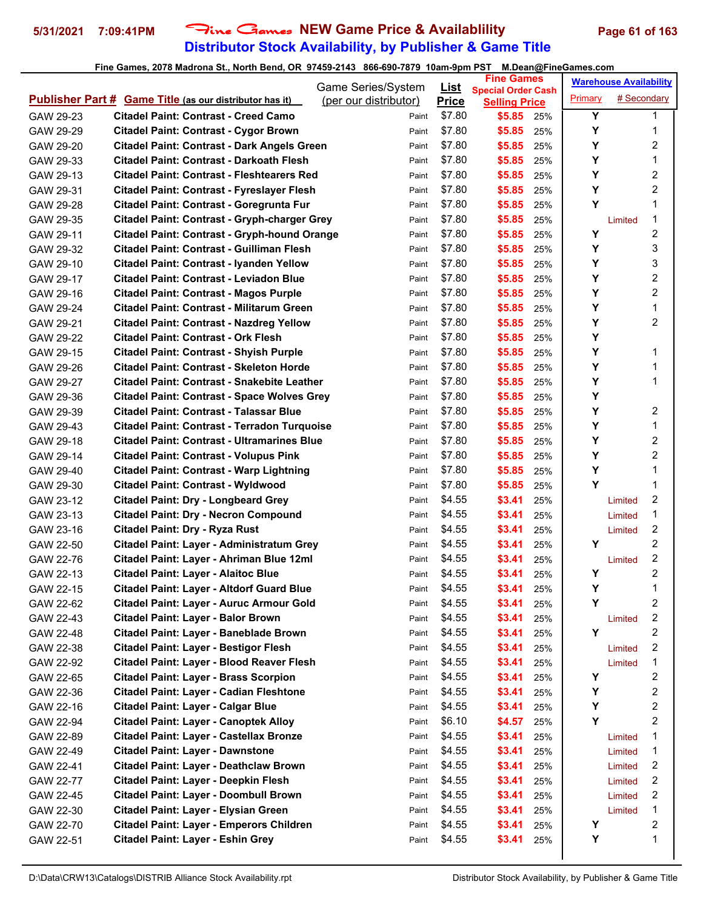# **Distributor Stock Availability, by Publisher & Game Title 5/31/2021 7:09:41PM** Fine Games **NEW Game Price & Availablility Page 61 of 163**

|                                                                  | Game Series/System    | <u>List</u>  | <b>Fine Games</b>                                 |         | <b>Warehouse Availability</b> |                |
|------------------------------------------------------------------|-----------------------|--------------|---------------------------------------------------|---------|-------------------------------|----------------|
| <b>Publisher Part # Game Title (as our distributor has it)</b>   | (per our distributor) | <b>Price</b> | <b>Special Order Cash</b><br><b>Selling Price</b> | Primary | # Secondary                   |                |
| GAW 29-23<br>Citadel Paint: Contrast - Creed Camo                | Paint                 | \$7.80       | \$5.85<br>25%                                     | Y       |                               | 1              |
| <b>Citadel Paint: Contrast - Cygor Brown</b><br>GAW 29-29        | Paint                 | \$7.80       | \$5.85<br>25%                                     | Y       |                               | 1              |
| Citadel Paint: Contrast - Dark Angels Green<br>GAW 29-20         | Paint                 | \$7.80       | \$5.85<br>25%                                     | Υ       |                               | $\overline{c}$ |
| <b>Citadel Paint: Contrast - Darkoath Flesh</b><br>GAW 29-33     | Paint                 | \$7.80       | \$5.85<br>25%                                     | Y       |                               | 1              |
| <b>Citadel Paint: Contrast - Fleshtearers Red</b><br>GAW 29-13   | Paint                 | \$7.80       | \$5.85<br>25%                                     | Y       |                               | 2              |
| Citadel Paint: Contrast - Fyreslayer Flesh<br>GAW 29-31          | Paint                 | \$7.80       | \$5.85<br>25%                                     | Υ       |                               | 2              |
| Citadel Paint: Contrast - Goregrunta Fur<br>GAW 29-28            | Paint                 | \$7.80       | \$5.85<br>25%                                     | Y       |                               | 1              |
| <b>Citadel Paint: Contrast - Gryph-charger Grey</b><br>GAW 29-35 | Paint                 | \$7.80       | \$5.85<br>25%                                     |         | Limited                       | 1              |
| <b>Citadel Paint: Contrast - Gryph-hound Orange</b><br>GAW 29-11 | Paint                 | \$7.80       | \$5.85<br>25%                                     | Y       |                               | 2              |
| <b>Citadel Paint: Contrast - Guilliman Flesh</b><br>GAW 29-32    | Paint                 | \$7.80       | \$5.85<br>25%                                     | Y       |                               | 3              |
| Citadel Paint: Contrast - Iyanden Yellow<br>GAW 29-10            | Paint                 | \$7.80       | \$5.85<br>25%                                     | Y       |                               | 3              |
| Citadel Paint: Contrast - Leviadon Blue<br>GAW 29-17             | Paint                 | \$7.80       | \$5.85<br>25%                                     | Y       |                               | 2              |
| <b>Citadel Paint: Contrast - Magos Purple</b><br>GAW 29-16       | Paint                 | \$7.80       | \$5.85<br>25%                                     | Y       |                               | 2              |
| Citadel Paint: Contrast - Militarum Green<br>GAW 29-24           | Paint                 | \$7.80       | \$5.85<br>25%                                     | Y       |                               | 1              |
| <b>Citadel Paint: Contrast - Nazdreg Yellow</b><br>GAW 29-21     | Paint                 | \$7.80       | \$5.85<br>25%                                     | Υ       |                               | $\overline{c}$ |
| <b>Citadel Paint: Contrast - Ork Flesh</b><br>GAW 29-22          | Paint                 | \$7.80       | \$5.85<br>25%                                     | Y       |                               |                |
| <b>Citadel Paint: Contrast - Shyish Purple</b><br>GAW 29-15      | Paint                 | \$7.80       | \$5.85<br>25%                                     | Y       |                               | 1              |
| <b>Citadel Paint: Contrast - Skeleton Horde</b><br>GAW 29-26     | Paint                 | \$7.80       | \$5.85<br>25%                                     | Y       |                               | 1              |
| <b>Citadel Paint: Contrast - Snakebite Leather</b><br>GAW 29-27  | Paint                 | \$7.80       | \$5.85<br>25%                                     | Y       |                               | 1              |
| <b>Citadel Paint: Contrast - Space Wolves Grey</b><br>GAW 29-36  | Paint                 | \$7.80       | \$5.85<br>25%                                     | Y       |                               |                |
| <b>Citadel Paint: Contrast - Talassar Blue</b><br>GAW 29-39      | Paint                 | \$7.80       | \$5.85<br>25%                                     | Y       |                               | 2              |
| <b>Citadel Paint: Contrast - Terradon Turquoise</b><br>GAW 29-43 | Paint                 | \$7.80       | \$5.85<br>25%                                     | Υ       |                               | 1              |
| Citadel Paint: Contrast - Ultramarines Blue<br>GAW 29-18         | Paint                 | \$7.80       | \$5.85<br>25%                                     | Y       |                               | 2              |
| <b>Citadel Paint: Contrast - Volupus Pink</b><br>GAW 29-14       | Paint                 | \$7.80       | \$5.85<br>25%                                     | Y       |                               | $\overline{2}$ |
| <b>Citadel Paint: Contrast - Warp Lightning</b><br>GAW 29-40     | Paint                 | \$7.80       | \$5.85<br>25%                                     | Y       |                               | 1              |
| <b>Citadel Paint: Contrast - Wyldwood</b><br>GAW 29-30           | Paint                 | \$7.80       | \$5.85<br>25%                                     | Y       |                               | 1              |
| <b>Citadel Paint: Dry - Longbeard Grey</b><br>GAW 23-12          | Paint                 | \$4.55       | \$3.41<br>25%                                     |         | Limited                       | 2              |
| <b>Citadel Paint: Dry - Necron Compound</b><br>GAW 23-13         | Paint                 | \$4.55       | \$3.41<br>25%                                     |         | Limited                       | 1              |
| Citadel Paint: Dry - Ryza Rust<br>GAW 23-16                      | Paint                 | \$4.55       | \$3.41<br>25%                                     |         | Limited                       | $\overline{c}$ |
| Citadel Paint: Layer - Administratum Grey<br>GAW 22-50           | Paint                 | \$4.55       | \$3.41<br>25%                                     | Υ       |                               | 2              |
| Citadel Paint: Layer - Ahriman Blue 12ml<br>GAW 22-76            | Paint                 | \$4.55       | \$3.41<br>25%                                     |         | Limited                       | 2              |
| GAW 22-13<br><b>Citadel Paint: Layer - Alaitoc Blue</b>          | Paint                 | \$4.55       | \$3.41<br>25%                                     | Y       |                               | 2              |
| <b>Citadel Paint: Layer - Altdorf Guard Blue</b><br>GAW 22-15    | Paint                 | \$4.55       | \$3.41<br>25%                                     | Y       |                               | 1              |
| GAW 22-62<br>Citadel Paint: Layer - Auruc Armour Gold            | Paint                 | \$4.55       | \$3.41<br>25%                                     | Y       |                               | 2              |
| Citadel Paint: Layer - Balor Brown<br>GAW 22-43                  | Paint                 | \$4.55       | \$3.41<br>25%                                     |         | Limited                       | 2              |
| Citadel Paint: Layer - Baneblade Brown<br>GAW 22-48              | Paint                 | \$4.55       | \$3.41<br>25%                                     | Y       |                               | 2              |
| <b>Citadel Paint: Layer - Bestigor Flesh</b><br>GAW 22-38        | Paint                 | \$4.55       | \$3.41<br>25%                                     |         | Limited                       | 2              |
| Citadel Paint: Layer - Blood Reaver Flesh<br>GAW 22-92           | Paint                 | \$4.55       | \$3.41<br>25%                                     |         | Limited                       | 1              |
| <b>Citadel Paint: Layer - Brass Scorpion</b><br>GAW 22-65        | Paint                 | \$4.55       | \$3.41<br>25%                                     | Y       |                               | 2              |
| Citadel Paint: Layer - Cadian Fleshtone<br>GAW 22-36             | Paint                 | \$4.55       | \$3.41<br>25%                                     | Υ       |                               | 2              |
| Citadel Paint: Layer - Calgar Blue<br>GAW 22-16                  | Paint                 | \$4.55       | \$3.41<br>25%                                     | Υ       |                               | 2              |
| <b>Citadel Paint: Layer - Canoptek Alloy</b><br>GAW 22-94        | Paint                 | \$6.10       | \$4.57<br>25%                                     | Y       |                               | 2              |
| Citadel Paint: Layer - Castellax Bronze<br>GAW 22-89             | Paint                 | \$4.55       | \$3.41<br>25%                                     |         | Limited                       | 1              |
| <b>Citadel Paint: Layer - Dawnstone</b><br>GAW 22-49             | Paint                 | \$4.55       | \$3.41<br>25%                                     |         | Limited                       | 1              |
| Citadel Paint: Layer - Deathclaw Brown<br>GAW 22-41              | Paint                 | \$4.55       | \$3.41<br>25%                                     |         | Limited                       | 2              |
| Citadel Paint: Layer - Deepkin Flesh<br>GAW 22-77                | Paint                 | \$4.55       | \$3.41<br>25%                                     |         | Limited                       | 2              |
| Citadel Paint: Layer - Doombull Brown<br>GAW 22-45               | Paint                 | \$4.55       | \$3.41<br>25%                                     |         | Limited                       | 2              |
| Citadel Paint: Layer - Elysian Green<br>GAW 22-30                | Paint                 | \$4.55       | \$3.41<br>25%                                     |         | Limited                       | 1              |
| Citadel Paint: Layer - Emperors Children<br>GAW 22-70            | Paint                 | \$4.55       | \$3.41<br>25%                                     | Y       |                               | 2              |
| Citadel Paint: Layer - Eshin Grey<br>GAW 22-51                   | Paint                 | \$4.55       | \$3.41<br>25%                                     | Y       |                               | 1              |
|                                                                  |                       |              |                                                   |         |                               |                |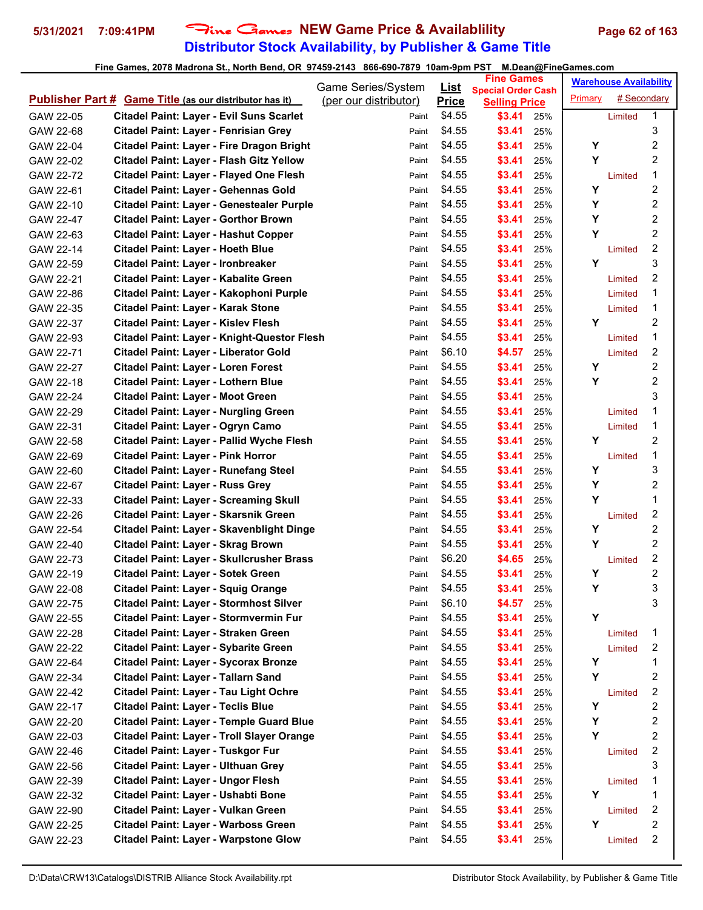# **Distributor Stock Availability, by Publisher & Game Title 5/31/2021 7:09:41PM** Fine Games **NEW Game Price & Availablility Page 62 of 163**

|                                                                | Game Series/System    | List         | <b>Fine Games</b>                                 |     |         | <b>Warehouse Availability</b> |                         |
|----------------------------------------------------------------|-----------------------|--------------|---------------------------------------------------|-----|---------|-------------------------------|-------------------------|
| <b>Publisher Part # Game Title (as our distributor has it)</b> | (per our distributor) | <b>Price</b> | <b>Special Order Cash</b><br><b>Selling Price</b> |     | Primary | # Secondary                   |                         |
| GAW 22-05<br><b>Citadel Paint: Layer - Evil Suns Scarlet</b>   | Paint                 | \$4.55       | \$3.41                                            | 25% |         | Limited                       | 1                       |
| Citadel Paint: Layer - Fenrisian Grey<br>GAW 22-68             | Paint                 | \$4.55       | \$3.41                                            | 25% |         |                               | 3                       |
| Citadel Paint: Layer - Fire Dragon Bright<br>GAW 22-04         | Paint                 | \$4.55       | \$3.41                                            | 25% | Υ       |                               | 2                       |
| Citadel Paint: Layer - Flash Gitz Yellow<br>GAW 22-02          | Paint                 | \$4.55       | \$3.41                                            | 25% | Y       |                               | 2                       |
| Citadel Paint: Layer - Flayed One Flesh<br>GAW 22-72           | Paint                 | \$4.55       | \$3.41                                            | 25% |         | Limited                       | 1                       |
| Citadel Paint: Layer - Gehennas Gold<br>GAW 22-61              | Paint                 | \$4.55       | \$3.41                                            | 25% | Y       |                               | 2                       |
| GAW 22-10<br>Citadel Paint: Layer - Genestealer Purple         | Paint                 | \$4.55       | \$3.41                                            | 25% | Y       |                               | 2                       |
| <b>Citadel Paint: Layer - Gorthor Brown</b><br>GAW 22-47       | Paint                 | \$4.55       | \$3.41                                            | 25% | Υ       |                               | $\overline{2}$          |
| Citadel Paint: Layer - Hashut Copper<br>GAW 22-63              | Paint                 | \$4.55       | \$3.41                                            | 25% | Y       |                               | 2                       |
| <b>Citadel Paint: Layer - Hoeth Blue</b><br>GAW 22-14          | Paint                 | \$4.55       | \$3.41                                            | 25% |         | Limited                       | 2                       |
| Citadel Paint: Layer - Ironbreaker<br>GAW 22-59                | Paint                 | \$4.55       | \$3.41                                            | 25% | Y       |                               | 3                       |
| Citadel Paint: Layer - Kabalite Green<br>GAW 22-21             | Paint                 | \$4.55       | \$3.41                                            | 25% |         | Limited                       | 2                       |
| Citadel Paint: Layer - Kakophoni Purple<br>GAW 22-86           | Paint                 | \$4.55       | \$3.41                                            | 25% |         | Limited                       | 1                       |
| GAW 22-35<br>Citadel Paint: Layer - Karak Stone                | Paint                 | \$4.55       | \$3.41                                            | 25% |         | Limited                       | 1                       |
| Citadel Paint: Layer - Kislev Flesh<br>GAW 22-37               | Paint                 | \$4.55       | \$3.41                                            | 25% | Υ       |                               | 2                       |
| Citadel Paint: Layer - Knight-Questor Flesh<br>GAW 22-93       | Paint                 | \$4.55       | \$3.41                                            | 25% |         | Limited                       | 1                       |
| Citadel Paint: Layer - Liberator Gold<br>GAW 22-71             | Paint                 | \$6.10       | \$4.57                                            | 25% |         | Limited                       | 2                       |
| GAW 22-27<br><b>Citadel Paint: Layer - Loren Forest</b>        | Paint                 | \$4.55       | \$3.41                                            | 25% | Υ       |                               | 2                       |
| GAW 22-18<br>Citadel Paint: Layer - Lothern Blue               | Paint                 | \$4.55       | \$3.41                                            | 25% | Y       |                               | 2                       |
| Citadel Paint: Layer - Moot Green<br>GAW 22-24                 | Paint                 | \$4.55       | \$3.41                                            | 25% |         |                               | 3                       |
| <b>Citadel Paint: Layer - Nurgling Green</b><br>GAW 22-29      | Paint                 | \$4.55       | \$3.41                                            | 25% |         | Limited                       | 1                       |
| Citadel Paint: Layer - Ogryn Camo<br>GAW 22-31                 | Paint                 | \$4.55       | \$3.41                                            | 25% |         | Limited                       | 1                       |
| Citadel Paint: Layer - Pallid Wyche Flesh<br>GAW 22-58         | Paint                 | \$4.55       | \$3.41                                            | 25% | Υ       |                               | 2                       |
| <b>Citadel Paint: Layer - Pink Horror</b><br>GAW 22-69         | Paint                 | \$4.55       | \$3.41                                            | 25% |         | Limited                       | 1                       |
| <b>Citadel Paint: Layer - Runefang Steel</b><br>GAW 22-60      | Paint                 | \$4.55       | \$3.41                                            | 25% | Υ       |                               | 3                       |
| <b>Citadel Paint: Layer - Russ Grey</b><br>GAW 22-67           | Paint                 | \$4.55       | \$3.41                                            | 25% | Y       |                               | 2                       |
| <b>Citadel Paint: Layer - Screaming Skull</b><br>GAW 22-33     | Paint                 | \$4.55       | \$3.41                                            | 25% | Y       |                               | 1                       |
| Citadel Paint: Layer - Skarsnik Green<br>GAW 22-26             | Paint                 | \$4.55       | \$3.41                                            | 25% |         | Limited                       | 2                       |
| GAW 22-54<br>Citadel Paint: Layer - Skavenblight Dinge         | Paint                 | \$4.55       | \$3.41                                            | 25% | Υ       |                               | 2                       |
| Citadel Paint: Layer - Skrag Brown<br>GAW 22-40                | Paint                 | \$4.55       | \$3.41                                            | 25% | Y       |                               | 2                       |
| Citadel Paint: Layer - Skullcrusher Brass<br>GAW 22-73         | Paint                 | \$6.20       | \$4.65                                            | 25% |         | Limited                       | 2                       |
| GAW 22-19<br>Citadel Paint: Layer - Sotek Green                | Paint                 | \$4.55       | \$3.41                                            | 25% | Υ       |                               | 2                       |
| GAW 22-08<br><b>Citadel Paint: Layer - Squig Orange</b>        | Paint                 | \$4.55       | \$3.41                                            | 25% | Y       |                               | 3                       |
| <b>Citadel Paint: Layer - Stormhost Silver</b><br>GAW 22-75    | Paint                 | \$6.10       | \$4.57                                            | 25% |         |                               | 3                       |
| Citadel Paint: Layer - Stormvermin Fur<br>GAW 22-55            | Paint                 | \$4.55       | \$3.41                                            | 25% | Υ       |                               |                         |
| Citadel Paint: Layer - Straken Green<br>GAW 22-28              | Paint                 | \$4.55       | \$3.41                                            | 25% |         | Limited                       | 1                       |
| Citadel Paint: Layer - Sybarite Green<br>GAW 22-22             | Paint                 | \$4.55       | \$3.41                                            | 25% |         | Limited                       | 2                       |
| <b>Citadel Paint: Layer - Sycorax Bronze</b><br>GAW 22-64      | Paint                 | \$4.55       | \$3.41                                            | 25% | Υ       |                               | 1                       |
| Citadel Paint: Layer - Tallarn Sand<br>GAW 22-34               | Paint                 | \$4.55       | \$3.41                                            | 25% | Υ       |                               | 2                       |
| Citadel Paint: Layer - Tau Light Ochre<br>GAW 22-42            | Paint                 | \$4.55       | \$3.41                                            | 25% |         | Limited                       | 2                       |
| <b>Citadel Paint: Layer - Teclis Blue</b><br>GAW 22-17         | Paint                 | \$4.55       | \$3.41                                            | 25% | Υ       |                               | 2                       |
| Citadel Paint: Layer - Temple Guard Blue<br>GAW 22-20          | Paint                 | \$4.55       | \$3.41                                            | 25% | Y       |                               | 2                       |
| Citadel Paint: Layer - Troll Slayer Orange<br>GAW 22-03        | Paint                 | \$4.55       | \$3.41                                            | 25% | Υ       |                               | 2                       |
| Citadel Paint: Layer - Tuskgor Fur<br>GAW 22-46                | Paint                 | \$4.55       | \$3.41                                            | 25% |         | Limited                       | $\overline{\mathbf{c}}$ |
| <b>Citadel Paint: Layer - Ulthuan Grey</b><br>GAW 22-56        | Paint                 | \$4.55       | \$3.41                                            | 25% |         |                               | 3                       |
| Citadel Paint: Layer - Ungor Flesh<br>GAW 22-39                | Paint                 | \$4.55       | \$3.41                                            | 25% |         | Limited                       | 1                       |
| Citadel Paint: Layer - Ushabti Bone<br>GAW 22-32               | Paint                 | \$4.55       | \$3.41                                            | 25% | Y       |                               | 1                       |
| Citadel Paint: Layer - Vulkan Green<br>GAW 22-90               | Paint                 | \$4.55       | \$3.41                                            | 25% |         | Limited                       | 2                       |
| <b>Citadel Paint: Layer - Warboss Green</b><br>GAW 22-25       | Paint                 | \$4.55       | \$3.41                                            | 25% | Υ       |                               | 2                       |
| <b>Citadel Paint: Layer - Warpstone Glow</b><br>GAW 22-23      | Paint                 | \$4.55       | \$3.41                                            | 25% |         | Limited                       | 2                       |
|                                                                |                       |              |                                                   |     |         |                               |                         |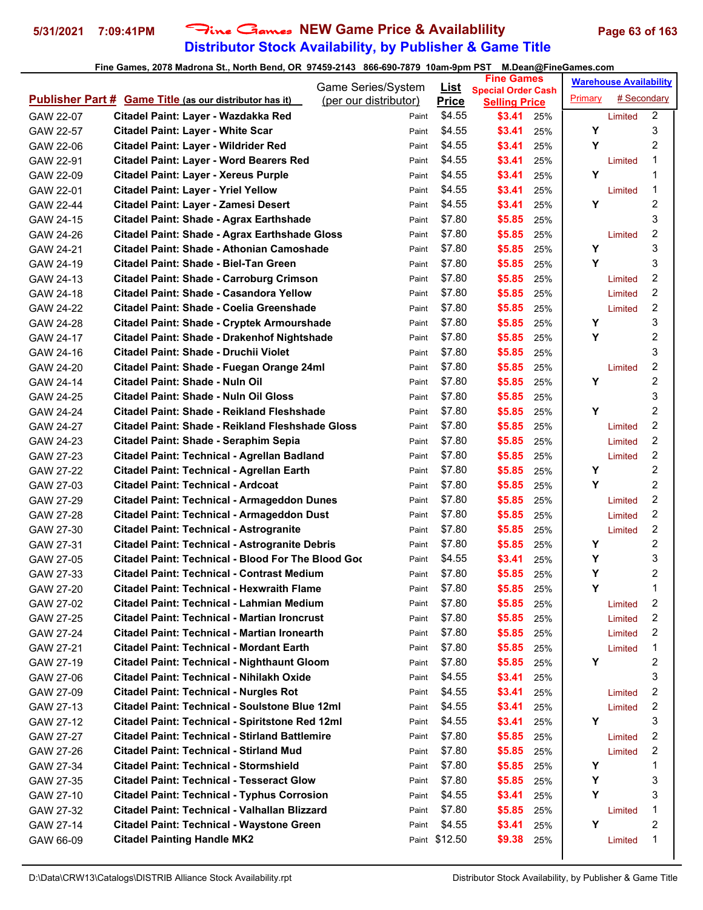# **Distributor Stock Availability, by Publisher & Game Title 5/31/2021 7:09:41PM** Fine Games **NEW Game Price & Availablility Page 63 of 163**

|                                                                     | Game Series/System    | <u>List</u>   | <b>Fine Games</b>                                 |     |         | <b>Warehouse Availability</b> |                         |
|---------------------------------------------------------------------|-----------------------|---------------|---------------------------------------------------|-----|---------|-------------------------------|-------------------------|
| <b>Publisher Part # Game Title (as our distributor has it)</b>      | (per our distributor) | <b>Price</b>  | <b>Special Order Cash</b><br><b>Selling Price</b> |     | Primary | # Secondary                   |                         |
| Citadel Paint: Layer - Wazdakka Red<br>GAW 22-07                    | Paint                 | \$4.55        | \$3.41                                            | 25% |         | Limited                       | $\overline{2}$          |
| Citadel Paint: Layer - White Scar<br>GAW 22-57                      | Paint                 | \$4.55        | \$3.41                                            | 25% | Y       |                               | 3                       |
| Citadel Paint: Layer - Wildrider Red<br>GAW 22-06                   | Paint                 | \$4.55        | \$3.41                                            | 25% | Υ       |                               | $\overline{2}$          |
| GAW 22-91<br><b>Citadel Paint: Layer - Word Bearers Red</b>         | Paint                 | \$4.55        | \$3.41                                            | 25% |         | Limited                       | 1                       |
| <b>Citadel Paint: Layer - Xereus Purple</b><br>GAW 22-09            | Paint                 | \$4.55        | \$3.41                                            | 25% | Υ       |                               | 1                       |
| <b>Citadel Paint: Layer - Yriel Yellow</b><br>GAW 22-01             | Paint                 | \$4.55        | \$3.41                                            | 25% |         | Limited                       | 1                       |
| Citadel Paint: Layer - Zamesi Desert<br>GAW 22-44                   | Paint                 | \$4.55        | \$3.41                                            | 25% | Y       |                               | $\boldsymbol{2}$        |
| <b>Citadel Paint: Shade - Agrax Earthshade</b><br>GAW 24-15         | Paint                 | \$7.80        | \$5.85                                            | 25% |         |                               | 3                       |
| <b>Citadel Paint: Shade - Agrax Earthshade Gloss</b><br>GAW 24-26   | Paint                 | \$7.80        | \$5.85                                            | 25% |         | Limited                       | 2                       |
| Citadel Paint: Shade - Athonian Camoshade<br>GAW 24-21              | Paint                 | \$7.80        | \$5.85                                            | 25% | Υ       |                               | 3                       |
| Citadel Paint: Shade - Biel-Tan Green<br>GAW 24-19                  | Paint                 | \$7.80        | \$5.85                                            | 25% | Y       |                               | 3                       |
| <b>Citadel Paint: Shade - Carroburg Crimson</b><br>GAW 24-13        | Paint                 | \$7.80        | \$5.85                                            | 25% |         | Limited                       | 2                       |
| <b>Citadel Paint: Shade - Casandora Yellow</b><br>GAW 24-18         | Paint                 | \$7.80        | \$5.85                                            | 25% |         | Limited                       | 2                       |
| Citadel Paint: Shade - Coelia Greenshade<br>GAW 24-22               | Paint                 | \$7.80        | \$5.85                                            | 25% |         | Limited                       | $\overline{c}$          |
| GAW 24-28<br>Citadel Paint: Shade - Cryptek Armourshade             | Paint                 | \$7.80        | \$5.85                                            | 25% | Y       |                               | 3                       |
| GAW 24-17<br><b>Citadel Paint: Shade - Drakenhof Nightshade</b>     | Paint                 | \$7.80        | \$5.85                                            | 25% | Y       |                               | 2                       |
| Citadel Paint: Shade - Druchii Violet<br>GAW 24-16                  | Paint                 | \$7.80        | \$5.85                                            | 25% |         |                               | 3                       |
| Citadel Paint: Shade - Fuegan Orange 24ml<br>GAW 24-20              | Paint                 | \$7.80        | \$5.85                                            | 25% |         | Limited                       | 2                       |
| <b>Citadel Paint: Shade - Nuln Oil</b><br>GAW 24-14                 | Paint                 | \$7.80        | \$5.85                                            | 25% | Υ       |                               | 2                       |
| Citadel Paint: Shade - Nuln Oil Gloss<br>GAW 24-25                  | Paint                 | \$7.80        | \$5.85                                            | 25% |         |                               | 3                       |
| Citadel Paint: Shade - Reikland Fleshshade<br>GAW 24-24             | Paint                 | \$7.80        | \$5.85                                            | 25% | Υ       |                               | $\overline{c}$          |
| Citadel Paint: Shade - Reikland Fleshshade Gloss<br>GAW 24-27       | Paint                 | \$7.80        | \$5.85                                            | 25% |         | Limited                       | $\overline{2}$          |
| Citadel Paint: Shade - Seraphim Sepia<br>GAW 24-23                  | Paint                 | \$7.80        | \$5.85                                            | 25% |         | Limited                       | 2                       |
| Citadel Paint: Technical - Agrellan Badland<br>GAW 27-23            | Paint                 | \$7.80        | \$5.85                                            | 25% |         | Limited                       | 2                       |
| Citadel Paint: Technical - Agrellan Earth<br>GAW 27-22              | Paint                 | \$7.80        | \$5.85                                            | 25% | Y       |                               | 2                       |
| Citadel Paint: Technical - Ardcoat<br>GAW 27-03                     | Paint                 | \$7.80        | \$5.85                                            | 25% | Υ       |                               | $\overline{2}$          |
| <b>Citadel Paint: Technical - Armageddon Dunes</b><br>GAW 27-29     | Paint                 | \$7.80        | \$5.85                                            | 25% |         | Limited                       | 2                       |
| GAW 27-28<br><b>Citadel Paint: Technical - Armageddon Dust</b>      | Paint                 | \$7.80        | \$5.85                                            | 25% |         | Limited                       | $\overline{c}$          |
| GAW 27-30<br><b>Citadel Paint: Technical - Astrogranite</b>         | Paint                 | \$7.80        | \$5.85                                            | 25% |         | Limited                       | 2                       |
| <b>Citadel Paint: Technical - Astrogranite Debris</b><br>GAW 27-31  | Paint                 | \$7.80        | \$5.85                                            | 25% | Y       |                               | 2                       |
| Citadel Paint: Technical - Blood For The Blood Goo<br>GAW 27-05     | Paint                 | \$4.55        | \$3.41                                            | 25% | Y       |                               | 3                       |
| <b>Citadel Paint: Technical - Contrast Medium</b><br>GAW 27-33      | Paint                 | \$7.80        | \$5.85                                            | 25% | Υ       |                               | $\overline{\mathbf{c}}$ |
| Citadel Paint: Technical - Hexwraith Flame<br>GAW 27-20             | Paint                 | \$7.80        | \$5.85                                            | 25% | Y       |                               | 1                       |
| GAW 27-02<br>Citadel Paint: Technical - Lahmian Medium              | Paint                 | \$7.80        | \$5.85                                            | 25% |         | Limited                       | 2                       |
| Citadel Paint: Technical - Martian Ironcrust<br>GAW 27-25           | Paint                 | \$7.80        | \$5.85                                            | 25% |         | Limited                       | 2                       |
| Citadel Paint: Technical - Martian Ironearth<br>GAW 27-24           | Paint                 | \$7.80        | \$5.85                                            | 25% |         | Limited                       | $\overline{c}$          |
| <b>Citadel Paint: Technical - Mordant Earth</b><br>GAW 27-21        | Paint                 | \$7.80        | \$5.85                                            | 25% |         | Limited                       | 1                       |
| <b>Citadel Paint: Technical - Nighthaunt Gloom</b><br>GAW 27-19     | Paint                 | \$7.80        | \$5.85                                            | 25% | Y       |                               | 2                       |
| Citadel Paint: Technical - Nihilakh Oxide<br>GAW 27-06              | Paint                 | \$4.55        | \$3.41                                            | 25% |         |                               | 3                       |
| <b>Citadel Paint: Technical - Nurgles Rot</b><br>GAW 27-09          | Paint                 | \$4.55        | \$3.41                                            | 25% |         | Limited                       | $\overline{\mathbf{c}}$ |
| <b>Citadel Paint: Technical - Soulstone Blue 12ml</b><br>GAW 27-13  | Paint                 | \$4.55        | \$3.41                                            | 25% |         | Limited                       | 2                       |
| <b>Citadel Paint: Technical - Spiritstone Red 12ml</b><br>GAW 27-12 | Paint                 | \$4.55        | \$3.41                                            | 25% | Y       |                               | 3                       |
| <b>Citadel Paint: Technical - Stirland Battlemire</b><br>GAW 27-27  | Paint                 | \$7.80        | \$5.85                                            | 25% |         | Limited                       | 2                       |
| <b>Citadel Paint: Technical - Stirland Mud</b><br>GAW 27-26         | Paint                 | \$7.80        | \$5.85                                            | 25% |         | Limited                       | $\overline{\mathbf{c}}$ |
| <b>Citadel Paint: Technical - Stormshield</b><br>GAW 27-34          | Paint                 | \$7.80        | \$5.85                                            | 25% | Y       |                               | 1                       |
| <b>Citadel Paint: Technical - Tesseract Glow</b><br>GAW 27-35       | Paint                 | \$7.80        | \$5.85                                            | 25% | Υ       |                               | 3                       |
| <b>Citadel Paint: Technical - Typhus Corrosion</b><br>GAW 27-10     | Paint                 | \$4.55        | \$3.41                                            | 25% | Y       |                               | 3                       |
| Citadel Paint: Technical - Valhallan Blizzard<br>GAW 27-32          | Paint                 | \$7.80        | \$5.85                                            | 25% |         | Limited                       | 1                       |
| Citadel Paint: Technical - Waystone Green<br>GAW 27-14              | Paint                 | \$4.55        | \$3.41                                            | 25% | Y       |                               | $\boldsymbol{2}$        |
| <b>Citadel Painting Handle MK2</b><br>GAW 66-09                     |                       | Paint \$12.50 | \$9.38                                            | 25% |         | Limited                       | 1                       |
|                                                                     |                       |               |                                                   |     |         |                               |                         |
|                                                                     |                       |               |                                                   |     |         |                               |                         |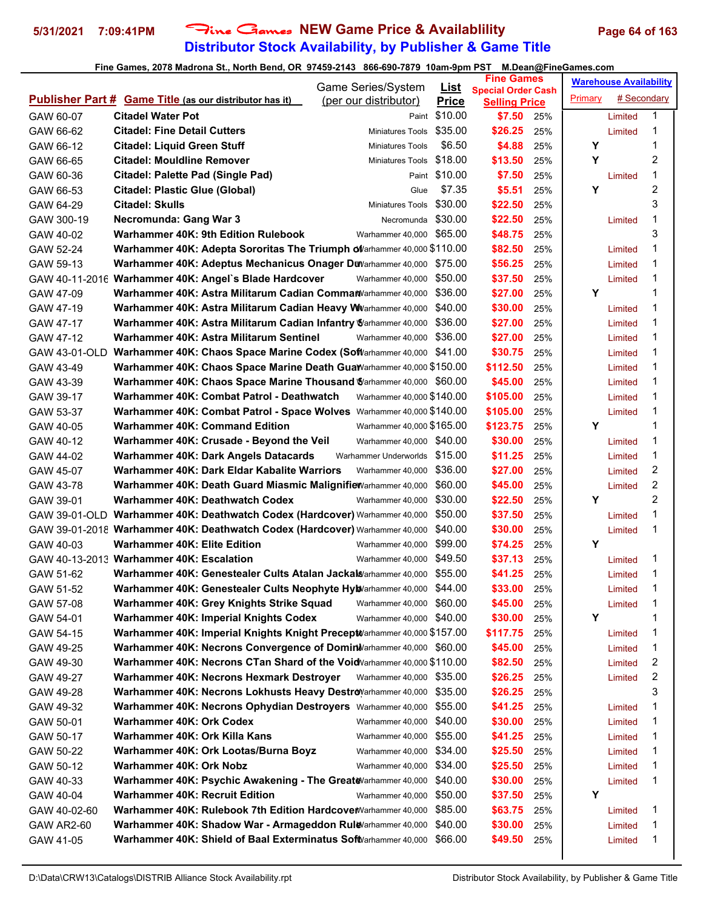# **Distributor Stock Availability, by Publisher & Game Title 5/31/2021 7:09:41PM** Fine Games **NEW Game Price & Availablility Page 64 of 163**

|               |                                                                             | Game Series/System            | <u>List</u>   | <b>Fine Games</b>                                 |     |         | <b>Warehouse Availability</b> |                |
|---------------|-----------------------------------------------------------------------------|-------------------------------|---------------|---------------------------------------------------|-----|---------|-------------------------------|----------------|
|               | <b>Publisher Part # Game Title (as our distributor has it)</b>              | (per our distributor)         | <b>Price</b>  | <b>Special Order Cash</b><br><b>Selling Price</b> |     | Primary | # Secondary                   |                |
| GAW 60-07     | <b>Citadel Water Pot</b>                                                    |                               | Paint \$10.00 | \$7.50                                            | 25% |         | Limited                       | 1              |
| GAW 66-62     | <b>Citadel: Fine Detail Cutters</b>                                         | Miniatures Tools              | \$35.00       | \$26.25                                           | 25% |         | Limited                       | 1              |
| GAW 66-12     | <b>Citadel: Liquid Green Stuff</b>                                          | <b>Miniatures Tools</b>       | \$6.50        | \$4.88                                            | 25% | Υ       |                               | 1              |
| GAW 66-65     | <b>Citadel: Mouldline Remover</b>                                           | Miniatures Tools              | \$18.00       | \$13.50                                           | 25% | Υ       |                               | 2              |
| GAW 60-36     | <b>Citadel: Palette Pad (Single Pad)</b>                                    |                               | Paint \$10.00 | \$7.50                                            | 25% |         | Limited                       | 1              |
| GAW 66-53     | <b>Citadel: Plastic Glue (Global)</b>                                       | Glue                          | \$7.35        | \$5.51                                            | 25% | Y       |                               | 2              |
| GAW 64-29     | <b>Citadel: Skulls</b>                                                      | Miniatures Tools              | \$30.00       | \$22.50                                           | 25% |         |                               | 3              |
| GAW 300-19    | <b>Necromunda: Gang War 3</b>                                               | Necromunda                    | \$30.00       | \$22.50                                           | 25% |         | Limited                       | 1              |
| GAW 40-02     | Warhammer 40K: 9th Edition Rulebook                                         | Warhammer 40,000              | \$65.00       | \$48.75                                           | 25% |         |                               | 3              |
| GAW 52-24     | Warhammer 40K: Adepta Sororitas The Triumph oVarhammer 40,000 \$110.00      |                               |               | \$82.50                                           | 25% |         | Limited                       | 1              |
| GAW 59-13     | Warhammer 40K: Adeptus Mechanicus Onager DWarhammer 40,000 \$75.00          |                               |               | \$56.25                                           | 25% |         | Limited                       | 1              |
|               | GAW 40-11-2016 Warhammer 40K: Angel's Blade Hardcover                       | Warhammer 40,000              | \$50.00       | \$37.50                                           | 25% |         | Limited                       | 1              |
| GAW 47-09     | Warhammer 40K: Astra Militarum Cadian CommanVarhammer 40,000                |                               | \$36.00       | \$27.00                                           | 25% | Y       |                               | 1              |
| GAW 47-19     | Warhammer 40K: Astra Militarum Cadian Heavy WVarhammer 40,000               |                               | \$40.00       | \$30.00                                           | 25% |         | Limited                       | 1              |
| GAW 47-17     | Warhammer 40K: Astra Militarum Cadian Infantry Warhammer 40,000             |                               | \$36.00       | \$27.00                                           | 25% |         | Limited                       | 1              |
| GAW 47-12     | Warhammer 40K: Astra Militarum Sentinel                                     | Warhammer 40,000              | \$36.00       | \$27.00                                           | 25% |         | Limited                       | 1              |
| GAW 43-01-OLD | Warhammer 40K: Chaos Space Marine Codex (SofWarhammer 40,000 \$41.00        |                               |               | \$30.75                                           | 25% |         | Limited                       | 1              |
| GAW 43-49     | Warhammer 40K: Chaos Space Marine Death Guawarhammer 40,000 \$150.00        |                               |               | \$112.50                                          | 25% |         | Limited                       | 1              |
| GAW 43-39     | Warhammer 40K: Chaos Space Marine Thousand Warhammer 40,000 \$60.00         |                               |               | \$45.00                                           | 25% |         | Limited                       | 1              |
| GAW 39-17     | Warhammer 40K: Combat Patrol - Deathwatch                                   | Warhammer 40,000 \$140,00     |               | \$105.00                                          | 25% |         | Limited                       | 1              |
| GAW 53-37     | Warhammer 40K: Combat Patrol - Space Wolves Warhammer 40,000 \$140.00       |                               |               | \$105.00                                          | 25% |         | Limited                       | 1              |
| GAW 40-05     | <b>Warhammer 40K: Command Edition</b>                                       | Warhammer 40,000 \$165.00     |               | \$123.75                                          | 25% | Υ       |                               | 1              |
| GAW 40-12     | Warhammer 40K: Crusade - Beyond the Veil                                    | Warhammer 40,000 \$40.00      |               | \$30.00                                           | 25% |         | Limited                       | 1              |
| GAW 44-02     | Warhammer 40K: Dark Angels Datacards                                        | Warhammer Underworlds \$15.00 |               | \$11.25                                           | 25% |         | Limited                       | 1              |
| GAW 45-07     | Warhammer 40K: Dark Eldar Kabalite Warriors                                 | Warhammer 40,000              | \$36.00       | \$27.00                                           | 25% |         | Limited                       | 2              |
| GAW 43-78     | Warhammer 40K: Death Guard Miasmic Malignifie Warhammer 40,000              |                               | \$60.00       | \$45.00                                           | 25% |         | Limited                       | $\overline{c}$ |
| GAW 39-01     | Warhammer 40K: Deathwatch Codex                                             | Warhammer 40,000              | \$30.00       | \$22.50                                           | 25% | Y       |                               | $\overline{c}$ |
|               | GAW 39-01-OLD Warhammer 40K: Deathwatch Codex (Hardcover) Warhammer 40,000  |                               | \$50.00       | \$37.50                                           | 25% |         | Limited                       | 1              |
|               | GAW 39-01-2018 Warhammer 40K: Deathwatch Codex (Hardcover) Warhammer 40,000 |                               | \$40.00       | \$30.00                                           | 25% |         | Limited                       | 1              |
| GAW 40-03     | <b>Warhammer 40K: Elite Edition</b>                                         | Warhammer 40,000              | \$99.00       | \$74.25                                           | 25% | Υ       |                               |                |
|               | GAW 40-13-2013 Warhammer 40K: Escalation                                    | Warhammer 40,000              | \$49.50       | \$37.13                                           | 25% |         | Limited                       | 1              |
| GAW 51-62     | Warhammer 40K: Genestealer Cults Atalan Jackal@arhammer 40,000              |                               | \$55.00       | \$41.25                                           | 25% |         | Limited                       | 1              |
| GAW 51-52     | Warhammer 40K: Genestealer Cults Neophyte Hylovarhammer 40,000 \$44.00      |                               |               | \$33.00                                           | 25% |         | Limited                       | 1              |
| GAW 57-08     | Warhammer 40K: Grey Knights Strike Squad                                    | Warhammer 40,000 \$60.00      |               | \$45.00                                           | 25% |         | Limited                       | 1              |
| GAW 54-01     | Warhammer 40K: Imperial Knights Codex                                       | Warhammer 40,000 \$40.00      |               | \$30.00                                           | 25% | Y       |                               | 1              |
| GAW 54-15     | Warhammer 40K: Imperial Knights Knight Precept Varhammer 40,000 \$157.00    |                               |               | \$117.75                                          | 25% |         | Limited                       | 1              |
| GAW 49-25     | Warhammer 40K: Necrons Convergence of Dominivarhammer 40,000 \$60.00        |                               |               | \$45.00                                           | 25% |         | Limited                       | 1              |
| GAW 49-30     | Warhammer 40K: Necrons CTan Shard of the VoidVarhammer 40,000 \$110.00      |                               |               | \$82.50                                           | 25% |         | Limited                       | 2              |
| GAW 49-27     | Warhammer 40K: Necrons Hexmark Destroyer                                    | Warhammer 40,000              | \$35.00       | \$26.25                                           | 25% |         | Limited                       | 2              |
| GAW 49-28     | Warhammer 40K: Necrons Lokhusts Heavy DestroVarhammer 40,000                |                               | \$35.00       | \$26.25                                           | 25% |         |                               | 3              |
| GAW 49-32     | Warhammer 40K: Necrons Ophydian Destroyers Warhammer 40,000                 |                               | \$55.00       | \$41.25                                           | 25% |         | Limited                       | 1              |
| GAW 50-01     | Warhammer 40K: Ork Codex                                                    | Warhammer 40,000              | \$40.00       | \$30.00                                           | 25% |         | Limited                       | 1              |
| GAW 50-17     | Warhammer 40K: Ork Killa Kans                                               | Warhammer 40,000 \$55.00      |               | \$41.25                                           | 25% |         | Limited                       | 1              |
| GAW 50-22     | Warhammer 40K: Ork Lootas/Burna Boyz                                        | Warhammer 40,000              | \$34.00       | \$25.50                                           | 25% |         | Limited                       | 1              |
| GAW 50-12     | Warhammer 40K: Ork Nobz                                                     | Warhammer 40,000              | \$34.00       | \$25.50                                           | 25% |         | Limited                       | 1              |
| GAW 40-33     | Warhammer 40K: Psychic Awakening - The GreateVarhammer 40,000               |                               | \$40.00       | \$30.00                                           | 25% |         | Limited                       | 1              |
| GAW 40-04     | <b>Warhammer 40K: Recruit Edition</b>                                       | Warhammer 40,000              | \$50.00       | \$37.50                                           | 25% | Y       |                               |                |
| GAW 40-02-60  | Warhammer 40K: Rulebook 7th Edition Hardcover Warhammer 40,000              |                               | \$85.00       | \$63.75                                           | 25% |         | Limited                       | 1              |
| GAW AR2-60    | Warhammer 40K: Shadow War - Armageddon Rule/arhammer 40,000                 |                               | \$40.00       | \$30.00                                           | 25% |         | Limited                       | 1              |
| GAW 41-05     | Warhammer 40K: Shield of Baal Exterminatus SoftVarhammer 40,000             |                               | \$66.00       | \$49.50                                           | 25% |         | Limited                       | 1              |
|               |                                                                             |                               |               |                                                   |     |         |                               |                |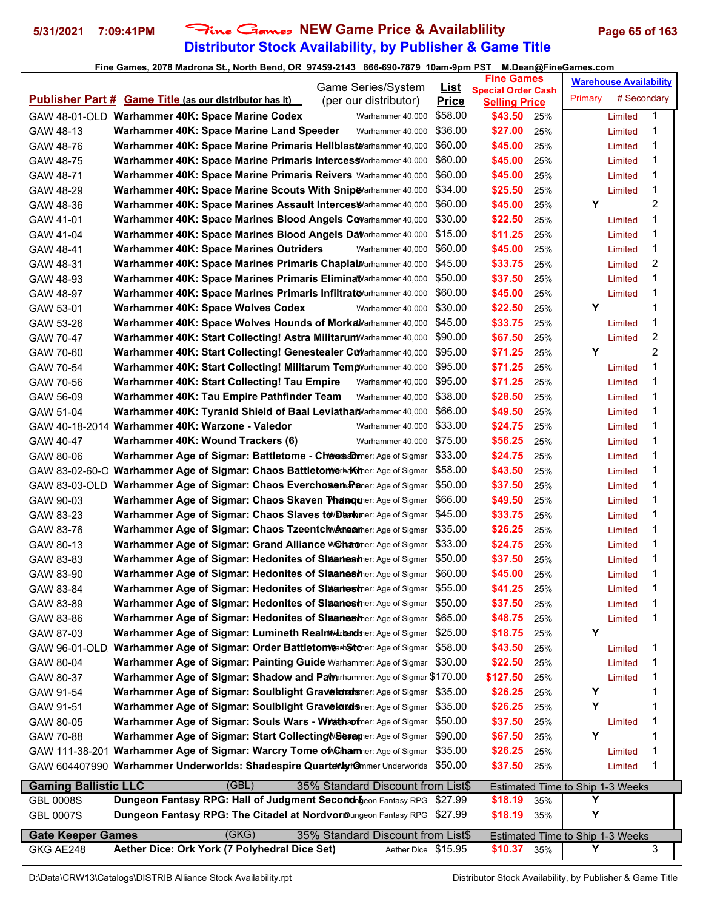# **Distributor Stock Availability, by Publisher & Game Title 5/31/2021 7:09:41PM** Fine Games **NEW Game Price & Availablility Page 65 of 163**

| Game Series/System                                                                                                       |              | <b>Fine Games</b>               | <b>Warehouse Availability</b>           |
|--------------------------------------------------------------------------------------------------------------------------|--------------|---------------------------------|-----------------------------------------|
| <b>Publisher Part # Game Title (as our distributor has it)</b>                                                           | <u>List</u>  | <b>Special Order Cash</b>       | # Secondary                             |
| (per our distributor)                                                                                                    | <b>Price</b> |                                 | Primary                                 |
| GAW 48-01-OLD Warhammer 40K: Space Marine Codex                                                                          | \$58.00      | <b>Selling Price</b><br>\$43.50 | 1                                       |
| Warhammer 40,000                                                                                                         | \$36.00      | 25%                             | Limited                                 |
| Warhammer 40,000                                                                                                         |              | \$27.00                         | 1                                       |
| Warhammer 40K: Space Marine Land Speeder<br>GAW 48-13<br>Warhammer 40K: Space Marine Primaris Hellblast Warhammer 40,000 | \$60.00      | 25%<br>\$45.00                  | Limited<br>1                            |
| GAW 48-76                                                                                                                |              | 25%                             | Limited<br>1                            |
| Warhammer 40K: Space Marine Primaris Intercess Varhammer 40,000<br>GAW 48-75                                             | \$60.00      | \$45.00<br>25%                  | Limited                                 |
| Warhammer 40K: Space Marine Primaris Reivers Warhammer 40,000                                                            | \$60.00      | \$45.00                         | 1                                       |
| GAW 48-71                                                                                                                |              | 25%                             | Limited                                 |
| Warhammer 40K: Space Marine Scouts With Snip & arhammer 40,000                                                           | \$34.00      | \$25.50                         | 1                                       |
| GAW 48-29                                                                                                                |              | 25%                             | Limited                                 |
| Warhammer 40K: Space Marines Assault Interces Syarhammer 40,000                                                          | \$60.00      | \$45.00                         | Y                                       |
| GAW 48-36                                                                                                                |              | 25%                             | 2                                       |
| GAW 41-01                                                                                                                | \$30.00      | \$22.50                         | 1                                       |
| Warhammer 40K: Space Marines Blood Angels Covarhammer 40,000                                                             |              | 25%                             | Limited                                 |
| Warhammer 40K: Space Marines Blood Angels DaVarhammer 40,000                                                             | \$15.00      | \$11.25                         | 1                                       |
| GAW 41-04                                                                                                                |              | 25%                             | Limited                                 |
| Warhammer 40K: Space Marines Outriders<br>GAW 48-41<br>Warhammer 40,000                                                  | \$60.00      | \$45.00<br>25%                  | 1<br>Limited                            |
| Warhammer 40K: Space Marines Primaris Chapla Warhammer 40,000                                                            | \$45.00      | \$33.75                         | 2                                       |
| GAW 48-31                                                                                                                |              | 25%                             | Limited                                 |
| Warhammer 40K: Space Marines Primaris EliminatVarhammer 40,000                                                           | \$50.00      | \$37.50                         | 1                                       |
| GAW 48-93                                                                                                                |              | 25%                             | Limited                                 |
| Warhammer 40K: Space Marines Primaris Infiltrato/arhammer 40,000                                                         | \$60.00      | \$45.00                         | 1                                       |
| GAW 48-97                                                                                                                |              | 25%                             | Limited                                 |
| Warhammer 40K: Space Wolves Codex<br>GAW 53-01<br>Warhammer 40,000                                                       | \$30.00      | \$22.50<br>25%                  | Y<br>1                                  |
| Warhammer 40K: Space Wolves Hounds of Morka Narhammer 40,000                                                             | \$45.00      | \$33.75                         | 1                                       |
| GAW 53-26                                                                                                                |              | 25%                             | Limited                                 |
| Warhammer 40K: Start Collecting! Astra Militarum Varhammer 40,000                                                        | \$90.00      | \$67.50                         | 2                                       |
| GAW 70-47                                                                                                                |              | 25%                             | Limited                                 |
| Warhammer 40K: Start Collecting! Genestealer Cullarhammer 40,000                                                         | \$95.00      | \$71.25                         | 2                                       |
| GAW 70-60                                                                                                                |              | 25%                             | Y                                       |
| Warhammer 40K: Start Collecting! Militarum Temp Varhammer 40,000                                                         | \$95.00      | \$71.25                         | 1                                       |
| GAW 70-54                                                                                                                |              | 25%                             | Limited                                 |
| Warhammer 40K: Start Collecting! Tau Empire<br>GAW 70-56<br>Warhammer 40,000                                             | \$95.00      | \$71.25<br>25%                  | 1<br>Limited                            |
| Warhammer 40K: Tau Empire Pathfinder Team<br>GAW 56-09<br>Warhammer 40,000                                               | \$38.00      | \$28.50<br>25%                  | 1<br>Limited                            |
| Warhammer 40K: Tyranid Shield of Baal Leviatha Warhammer 40,000                                                          | \$66.00      | \$49.50                         | 1                                       |
| GAW 51-04                                                                                                                |              | 25%                             | Limited                                 |
| Warhammer 40K: Warzone - Valedor<br>GAW 40-18-2014<br>Warhammer 40,000                                                   | \$33.00      | \$24.75<br>25%                  | 1<br>Limited                            |
| Warhammer 40K: Wound Trackers (6)<br>GAW 40-47<br>Warhammer 40,000                                                       | \$75.00      | \$56.25<br>25%                  | 1<br>Limited                            |
| Warhammer Age of Sigmar: Battletome - ChaosaDmer: Age of Sigmar \$33.00                                                  |              | \$24.75                         | 1                                       |
| GAW 80-06                                                                                                                |              | 25%                             | Limited                                 |
| Warhammer Age of Sigmar: Chaos Battletomerhakther: Age of Sigmar                                                         | \$58.00      | \$43.50                         | 1                                       |
| GAW 83-02-60-C                                                                                                           |              | 25%                             | Limited                                 |
| GAW 83-03-OLD Warhammer Age of Sigmar: Chaos Everchosen Praner: Age of Sigmar                                            | \$50.00      | \$37.50<br>25%                  | 1<br>Limited                            |
| Warhammer Age of Sigmar: Chaos Skaven Thanquier: Age of Sigmar                                                           | \$66.00      | \$49.50                         | 1                                       |
| GAW 90-03                                                                                                                |              | 25%                             | Limited                                 |
| Warhammer Age of Sigmar: Chaos Slaves to Dankmer: Age of Sigmar                                                          | \$45.00      | \$33.75                         | 1                                       |
| GAW 83-23                                                                                                                |              | 25%                             | Limited                                 |
| Warhammer Age of Sigmar: Chaos Tzeentch Areamer: Age of Sigmar                                                           | \$35.00      | \$26.25                         | 1                                       |
| GAW 83-76                                                                                                                |              | 25%                             | Limited                                 |
| Warhammer Age of Sigmar: Grand Alliance W@haomer: Age of Sigmar                                                          | \$33.00      | \$24.75                         | 1                                       |
| GAW 80-13                                                                                                                |              | 25%                             | Limited                                 |
| Warhammer Age of Sigmar: Hedonites of Slaanesher: Age of Sigmar                                                          | \$50.00      | \$37.50                         | 1                                       |
| GAW 83-83                                                                                                                |              | 25%                             | Limited                                 |
| Warhammer Age of Sigmar: Hedonites of Slaanesher: Age of Sigmar                                                          | \$60.00      | \$45.00                         | 1                                       |
| GAW 83-90                                                                                                                |              | 25%                             | Limited                                 |
| <b>Warhammer Age of Sigmar: Hedonites of Slaamesher: Age of Sigmar \$55.00</b>                                           |              | \$41.25                         | 1                                       |
| GAW 83-84                                                                                                                |              | 25%                             | Limited                                 |
| Warhammer Age of Sigmar: Hedonites of Slaanesher: Age of Sigmar \$50.00                                                  |              | \$37.50                         | 1                                       |
| GAW 83-89                                                                                                                |              | 25%                             | Limited                                 |
| Warhammer Age of Sigmar: Hedonites of Slaanesher: Age of Sigmar \$65.00                                                  |              | \$48.75                         | 1                                       |
| GAW 83-86                                                                                                                |              | 25%                             | Limited                                 |
| Warhammer Age of Sigmar: Lumineth RealmMarondsher: Age of Sigmar<br>GAW 87-03                                            | \$25.00      | \$18.75<br>25%                  | Υ                                       |
| Warhammer Age of Sigmar: Order BattletomearhStener: Age of Sigmar                                                        | \$58.00      | \$43.50                         | 1                                       |
| GAW 96-01-OLD                                                                                                            |              | 25%                             | Limited                                 |
| Warhammer Age of Sigmar: Painting Guide Warhammer: Age of Sigmar                                                         | \$30.00      | \$22.50                         | 1                                       |
| GAW 80-04                                                                                                                |              | 25%                             | Limited                                 |
| Warhammer Age of Sigmar: Shadow and Painerhammer: Age of Sigmar \$170.00                                                 |              | \$127.50                        | 1                                       |
| GAW 80-37                                                                                                                |              | 25%                             | Limited                                 |
| Warhammer Age of Sigmar: Soulblight Graveloralsmer: Age of Sigmar                                                        | \$35.00      | \$26.25                         | Y                                       |
| GAW 91-54                                                                                                                |              | 25%                             | 1                                       |
| Warhammer Age of Sigmar: Soulblight Graveloralsmer: Age of Sigmar                                                        | \$35.00      | \$26.25                         | Υ                                       |
| GAW 91-51                                                                                                                |              | 25%                             | 1                                       |
| Warhammer Age of Sigmar: Souls Wars - Wrathaofner: Age of Sigmar                                                         | \$50.00      | \$37.50                         | 1                                       |
| GAW 80-05                                                                                                                |              | 25%                             | Limited                                 |
| Warhammer Age of Sigmar: Start Collecting WSexamer: Age of Sigmar                                                        | \$90.00      | \$67.50                         | Y                                       |
| GAW 70-88                                                                                                                |              | 25%                             | 1                                       |
| Warhammer Age of Sigmar: Warcry Tome of Ghammer: Age of Sigmar                                                           | \$35.00      | \$26.25                         | 1                                       |
| GAW 111-38-201                                                                                                           |              | 25%                             | Limited                                 |
| GAW 604407990 Warhammer Underworlds: Shadespire Quartenlyi@mmer Underworlds \$50.00                                      |              | \$37.50<br>25%                  | 1<br>Limited                            |
| (GBL)<br><b>Gaming Ballistic LLC</b><br>35% Standard Discount from List\$                                                |              |                                 | <b>Estimated Time to Ship 1-3 Weeks</b> |
| Dungeon Fantasy RPG: Hall of Judgment Secondhigeon Fantasy RPG \$27.99<br><b>GBL 0008S</b>                               |              | \$18.19<br>35%                  | Y                                       |
| Dungeon Fantasy RPG: The Citadel at Nordvormungeon Fantasy RPG \$27.99<br><b>GBL 0007S</b>                               |              | \$18.19<br>35%                  | Υ                                       |
| (GKG)<br>35% Standard Discount from List\$<br><b>Gate Keeper Games</b>                                                   |              |                                 | <b>Estimated Time to Ship 1-3 Weeks</b> |
| Aether Dice: Ork York (7 Polyhedral Dice Set)<br>Aether Dice \$15.95<br>GKG AE248                                        |              | \$10.37<br>35%                  | 3<br>Y                                  |
|                                                                                                                          |              |                                 |                                         |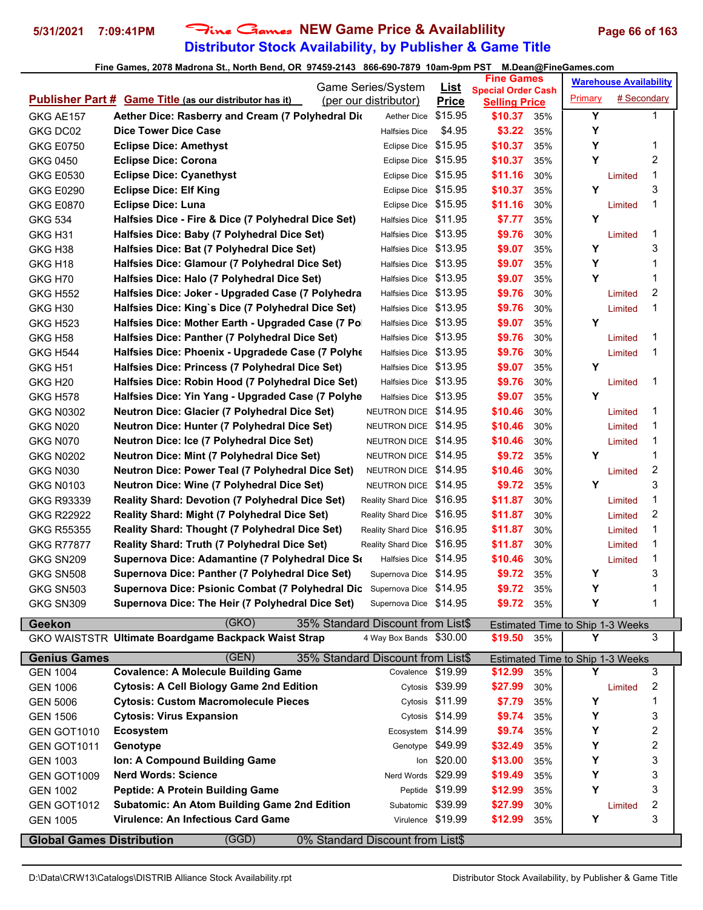# **Distributor Stock Availability, by Publisher & Game Title 5/31/2021 7:09:41PM** Fine Games **NEW Game Price & Availablility Page 66 of 163**

|                                  |                                                                                                                             | Game Series/System                                       | <u>List</u>       | <b>Fine Games</b>               |     |                                  | <b>Warehouse Availability</b> |   |
|----------------------------------|-----------------------------------------------------------------------------------------------------------------------------|----------------------------------------------------------|-------------------|---------------------------------|-----|----------------------------------|-------------------------------|---|
|                                  | <b>Publisher Part # Game Title (as our distributor has it)</b>                                                              | (per our distributor)                                    | <b>Price</b>      | <b>Special Order Cash</b>       |     | Primary                          | # Secondary                   |   |
| GKG AE157                        | Aether Dice: Rasberry and Cream (7 Polyhedral Dic                                                                           | Aether Dice                                              | \$15.95           | <b>Selling Price</b><br>\$10.37 | 35% | Y                                |                               | 1 |
| GKG DC02                         | <b>Dice Tower Dice Case</b>                                                                                                 | <b>Halfsies Dice</b>                                     | \$4.95            | \$3.22                          | 35% | Y                                |                               |   |
| <b>GKG E0750</b>                 | <b>Eclipse Dice: Amethyst</b>                                                                                               | Eclipse Dice                                             | \$15.95           | \$10.37                         | 35% | Υ                                |                               | 1 |
| GKG 0450                         | <b>Eclipse Dice: Corona</b>                                                                                                 | <b>Eclipse Dice</b>                                      | \$15.95           | \$10.37                         | 35% | Y                                |                               | 2 |
| <b>GKG E0530</b>                 | <b>Eclipse Dice: Cyanethyst</b>                                                                                             | Eclipse Dice                                             | \$15.95           | \$11.16                         | 30% |                                  | Limited                       | 1 |
| <b>GKG E0290</b>                 | <b>Eclipse Dice: Elf King</b>                                                                                               | Eclipse Dice \$15.95                                     |                   | \$10.37                         | 35% | Υ                                |                               | 3 |
| <b>GKG E0870</b>                 | <b>Eclipse Dice: Luna</b>                                                                                                   | Eclipse Dice \$15.95                                     |                   | \$11.16                         | 30% |                                  | Limited                       | 1 |
| <b>GKG 534</b>                   | Halfsies Dice - Fire & Dice (7 Polyhedral Dice Set)                                                                         | Halfsies Dice \$11.95                                    |                   | \$7.77                          | 35% | Y                                |                               |   |
| GKG H31                          | Halfsies Dice: Baby (7 Polyhedral Dice Set)                                                                                 | Halfsies Dice \$13.95                                    |                   | \$9.76                          | 30% |                                  | Limited                       | 1 |
| GKG H38                          | Halfsies Dice: Bat (7 Polyhedral Dice Set)                                                                                  | Halfsies Dice \$13.95                                    |                   | \$9.07                          | 35% | Υ                                |                               | 3 |
| GKG H <sub>18</sub>              | Halfsies Dice: Glamour (7 Polyhedral Dice Set)                                                                              | Halfsies Dice \$13.95                                    |                   | \$9.07                          | 35% | Y                                |                               | 1 |
| GKG H70                          | Halfsies Dice: Halo (7 Polyhedral Dice Set)                                                                                 | Halfsies Dice \$13.95                                    |                   | \$9.07                          | 35% | Y                                |                               | 1 |
| <b>GKG H552</b>                  | Halfsies Dice: Joker - Upgraded Case (7 Polyhedra                                                                           | Halfsies Dice \$13.95                                    |                   | \$9.76                          | 30% |                                  | Limited                       | 2 |
| GKG H <sub>30</sub>              | Halfsies Dice: King's Dice (7 Polyhedral Dice Set)                                                                          | Halfsies Dice \$13.95                                    |                   | \$9.76                          | 30% |                                  | Limited                       | 1 |
| <b>GKG H523</b>                  | Halfsies Dice: Mother Earth - Upgraded Case (7 Po.                                                                          | Halfsies Dice \$13.95                                    |                   | \$9.07                          | 35% | Y                                |                               |   |
| GKG H <sub>58</sub>              | Halfsies Dice: Panther (7 Polyhedral Dice Set)                                                                              | Halfsies Dice \$13.95                                    |                   | \$9.76                          | 30% |                                  | Limited                       | 1 |
| <b>GKG H544</b>                  | Halfsies Dice: Phoenix - Upgradede Case (7 Polyhe                                                                           | Halfsies Dice \$13.95                                    |                   | \$9.76                          | 30% |                                  | Limited                       | 1 |
| <b>GKG H51</b>                   | Halfsies Dice: Princess (7 Polyhedral Dice Set)                                                                             | Halfsies Dice \$13.95                                    |                   | \$9.07                          | 35% | Υ                                |                               |   |
| GKG H <sub>20</sub>              | Halfsies Dice: Robin Hood (7 Polyhedral Dice Set)                                                                           | Halfsies Dice \$13.95                                    |                   | \$9.76                          | 30% |                                  | Limited                       | 1 |
| <b>GKG H578</b>                  | Halfsies Dice: Yin Yang - Upgraded Case (7 Polyhe                                                                           | Halfsies Dice \$13.95                                    |                   | \$9.07                          | 35% | Y                                |                               |   |
| <b>GKG N0302</b>                 | <b>Neutron Dice: Glacier (7 Polyhedral Dice Set)</b>                                                                        | NEUTRON DICE \$14.95                                     |                   | \$10.46                         | 30% |                                  |                               | 1 |
| <b>GKG N020</b>                  | <b>Neutron Dice: Hunter (7 Polyhedral Dice Set)</b>                                                                         | NEUTRON DICE \$14.95                                     |                   | \$10.46                         | 30% |                                  | Limited<br>Limited            | 1 |
| GKG N070                         | <b>Neutron Dice: Ice (7 Polyhedral Dice Set)</b>                                                                            | NEUTRON DICE \$14.95                                     |                   | \$10.46                         | 30% |                                  | Limited                       | 1 |
| <b>GKG N0202</b>                 | <b>Neutron Dice: Mint (7 Polyhedral Dice Set)</b>                                                                           | NEUTRON DICE \$14.95                                     |                   | \$9.72                          | 35% | Υ                                |                               | 1 |
| <b>GKG N030</b>                  | Neutron Dice: Power Teal (7 Polyhedral Dice Set)                                                                            | NEUTRON DICE \$14.95                                     |                   | \$10.46                         | 30% |                                  |                               | 2 |
| <b>GKG N0103</b>                 | <b>Neutron Dice: Wine (7 Polyhedral Dice Set)</b>                                                                           | NEUTRON DICE \$14.95                                     |                   | \$9.72                          | 35% | Υ                                | Limited                       | 3 |
|                                  | <b>Reality Shard: Devotion (7 Polyhedral Dice Set)</b>                                                                      | Reality Shard Dice \$16.95                               |                   | \$11.87                         |     |                                  |                               | 1 |
| GKG R93339                       |                                                                                                                             |                                                          |                   |                                 | 30% |                                  | Limited                       | 2 |
| <b>GKG R22922</b>                | <b>Reality Shard: Might (7 Polyhedral Dice Set)</b><br><b>Reality Shard: Thought (7 Polyhedral Dice Set)</b>                | Reality Shard Dice \$16.95<br>Reality Shard Dice \$16.95 |                   | \$11.87<br>\$11.87              | 30% |                                  | Limited                       | 1 |
| <b>GKG R55355</b>                |                                                                                                                             | Reality Shard Dice \$16.95                               |                   |                                 | 30% |                                  | Limited                       | 1 |
| <b>GKG R77877</b>                | Reality Shard: Truth (7 Polyhedral Dice Set)<br>Supernova Dice: Adamantine (7 Polyhedral Dice Se                            | Halfsies Dice \$14.95                                    |                   | \$11.87<br>\$10.46              | 30% |                                  | Limited                       | 1 |
| GKG SN209                        |                                                                                                                             |                                                          |                   |                                 | 30% | Υ                                | Limited                       | 3 |
| GKG SN508                        | Supernova Dice: Panther (7 Polyhedral Dice Set)                                                                             | Supernova Dice \$14.95                                   |                   | \$9.72<br>\$9.72                | 35% | Y                                |                               | 1 |
| GKG SN503                        | Supernova Dice: Psionic Combat (7 Polyhedral Dic Supernova Dice \$14.95<br>Supernova Dice: The Heir (7 Polyhedral Dice Set) | Supernova Dice \$14.95                                   |                   |                                 | 35% | Υ                                |                               | 1 |
| GKG SN309                        |                                                                                                                             |                                                          |                   | \$9.72 35%                      |     |                                  |                               |   |
| <b>Geekon</b>                    | (GKO)                                                                                                                       | 35% Standard Discount from List\$                        |                   |                                 |     | Estimated Time to Ship 1-3 Weeks |                               |   |
|                                  | GKO WAISTSTR Ultimate Boardgame Backpack Waist Strap                                                                        | 4 Way Box Bands \$30.00                                  |                   | \$19.50 35%                     |     | Υ                                |                               | 3 |
| <b>Genius Games</b>              | (GEN)                                                                                                                       | 35% Standard Discount from List\$                        |                   |                                 |     | Estimated Time to Ship 1-3 Weeks |                               |   |
| <b>GEN 1004</b>                  | <b>Covalence: A Molecule Building Game</b>                                                                                  | Covalence \$19.99                                        |                   | \$12.99                         | 35% | Υ                                |                               | 3 |
| <b>GEN 1006</b>                  | <b>Cytosis: A Cell Biology Game 2nd Edition</b>                                                                             |                                                          | Cytosis \$39.99   | \$27.99                         | 30% |                                  | Limited                       | 2 |
| <b>GEN 5006</b>                  | <b>Cytosis: Custom Macromolecule Pieces</b>                                                                                 |                                                          | Cytosis \$11.99   | \$7.79                          | 35% | Υ                                |                               | 1 |
| <b>GEN 1506</b>                  | <b>Cytosis: Virus Expansion</b>                                                                                             |                                                          | Cytosis \$14.99   | \$9.74                          | 35% | Υ                                |                               | 3 |
| GEN GOT1010                      | <b>Ecosystem</b>                                                                                                            | Ecosystem \$14.99                                        |                   | \$9.74                          | 35% | Y                                |                               | 2 |
| GEN GOT1011                      | Genotype                                                                                                                    |                                                          | Genotype \$49.99  | \$32.49                         | 35% | Υ                                |                               | 2 |
| <b>GEN 1003</b>                  | Ion: A Compound Building Game                                                                                               |                                                          | lon \$20.00       | \$13.00                         | 35% | Y                                |                               | 3 |
| GEN GOT1009                      | <b>Nerd Words: Science</b>                                                                                                  | Nerd Words \$29.99                                       |                   | \$19.49                         | 35% | Υ                                |                               | 3 |
| <b>GEN 1002</b>                  | Peptide: A Protein Building Game                                                                                            |                                                          | Peptide \$19.99   | \$12.99                         | 35% | Y                                |                               | 3 |
| GEN GOT1012                      | <b>Subatomic: An Atom Building Game 2nd Edition</b>                                                                         | Subatomic \$39.99                                        |                   | \$27.99                         | 30% |                                  | Limited                       | 2 |
| <b>GEN 1005</b>                  | Virulence: An Infectious Card Game                                                                                          |                                                          | Virulence \$19.99 | \$12.99                         | 35% | Υ                                |                               | 3 |
| <b>Global Games Distribution</b> | (GGD)                                                                                                                       | 0% Standard Discount from List\$                         |                   |                                 |     |                                  |                               |   |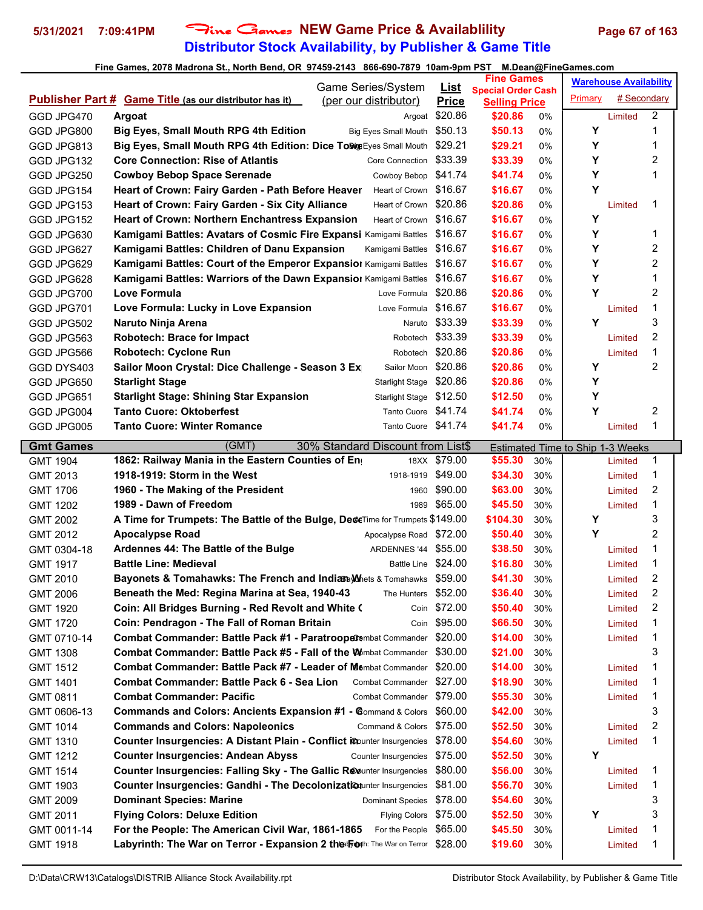# **Distributor Stock Availability, by Publisher & Game Title** 5/31/2021 7:09:41PM Fine Games NEW Game Price & Availablility Page 67 of 163

|                                     | Game Series/System                                                                      | <b>List</b>    | <b>Fine Games</b>                                 |     |         | <b>Warehouse Availability</b> |   |
|-------------------------------------|-----------------------------------------------------------------------------------------|----------------|---------------------------------------------------|-----|---------|-------------------------------|---|
|                                     | <b>Publisher Part # Game Title (as our distributor has it)</b><br>(per our distributor) | <b>Price</b>   | <b>Special Order Cash</b><br><b>Selling Price</b> |     | Primary | # Secondary                   |   |
| GGD JPG470                          | <b>Argoat</b>                                                                           | Argoat \$20.86 | \$20.86                                           | 0%  |         | Limited                       | 2 |
| GGD JPG800                          | <b>Big Eyes, Small Mouth RPG 4th Edition</b><br><b>Big Eyes Small Mouth</b>             | \$50.13        | \$50.13                                           | 0%  | Υ       |                               | 1 |
| GGD JPG813                          | Big Eyes, Small Mouth RPG 4th Edition: Dice To Wig Eyes Small Mouth                     | \$29.21        | \$29.21                                           | 0%  | Υ       |                               | 1 |
| GGD JPG132                          | <b>Core Connection: Rise of Atlantis</b><br>Core Connection                             | \$33.39        | \$33.39                                           | 0%  | Y       |                               | 2 |
| GGD JPG250                          | <b>Cowboy Bebop Space Serenade</b><br>Cowboy Bebop                                      | \$41.74        | \$41.74                                           | 0%  | Y       |                               | 1 |
| GGD JPG154                          | Heart of Crown: Fairy Garden - Path Before Heaver<br>Heart of Crown \$16.67             |                | \$16.67                                           | 0%  | Υ       |                               |   |
| GGD JPG153                          | Heart of Crown \$20.86<br>Heart of Crown: Fairy Garden - Six City Alliance              |                | \$20.86                                           | 0%  |         | Limited                       | 1 |
| GGD JPG152                          | Heart of Crown \$16.67<br><b>Heart of Crown: Northern Enchantress Expansion</b>         |                | \$16.67                                           | 0%  | Υ       |                               |   |
| GGD JPG630                          | Kamigami Battles: Avatars of Cosmic Fire Expansi Kamigami Battles                       | \$16.67        | \$16.67                                           | 0%  | Υ       |                               | 1 |
| GGD JPG627                          | Kamigami Battles: Children of Danu Expansion<br>Kamigami Battles                        | \$16.67        | \$16.67                                           | 0%  | Y       |                               | 2 |
| GGD JPG629                          | Kamigami Battles: Court of the Emperor Expansion Kamigami Battles                       | \$16.67        | \$16.67                                           | 0%  | Y       |                               | 2 |
| GGD JPG628                          | Kamigami Battles: Warriors of the Dawn Expansiol Kamigami Battles                       | \$16.67        | \$16.67                                           | 0%  | Υ       |                               | 1 |
| GGD JPG700                          | Love Formula<br>Love Formula                                                            | \$20.86        | \$20.86                                           | 0%  | Υ       |                               | 2 |
| GGD JPG701                          | Love Formula: Lucky in Love Expansion<br>Love Formula                                   | \$16.67        | \$16.67                                           | 0%  |         | Limited                       | 1 |
| GGD JPG502                          | Naruto Ninja Arena<br>Naruto                                                            | \$33.39        | \$33.39                                           | 0%  | Y       |                               | 3 |
| GGD JPG563                          | <b>Robotech: Brace for Impact</b><br>Robotech                                           | \$33.39        | \$33.39                                           | 0%  |         | Limited                       | 2 |
| GGD JPG566                          | <b>Robotech: Cyclone Run</b><br>Robotech                                                | \$20.86        | \$20.86                                           | 0%  |         | Limited                       | 1 |
| GGD DYS403                          | Sailor Moon Crystal: Dice Challenge - Season 3 Ex<br>Sailor Moon                        | \$20.86        | \$20.86                                           | 0%  | Υ       |                               | 2 |
| GGD JPG650                          | <b>Starlight Stage</b><br><b>Starlight Stage</b>                                        | \$20.86        | \$20.86                                           | 0%  | Υ       |                               |   |
| GGD JPG651                          | <b>Starlight Stage: Shining Star Expansion</b><br>Starlight Stage \$12.50               |                | \$12.50                                           | 0%  | Y       |                               |   |
| GGD JPG004                          | <b>Tanto Cuore: Oktoberfest</b><br>Tanto Cuore \$41.74                                  |                | \$41.74                                           | 0%  | Y       |                               | 2 |
| GGD JPG005                          | <b>Tanto Cuore: Winter Romance</b><br>Tanto Cuore \$41.74                               |                | \$41.74                                           | 0%  |         | Limited                       | 1 |
|                                     | (GMT)<br>30% Standard Discount from List\$                                              |                |                                                   |     |         |                               |   |
| <b>Gmt Games</b><br><b>GMT 1904</b> | 1862: Railway Mania in the Eastern Counties of Eng                                      | 18XX \$79.00   | Estimated Time to Ship 1-3 Weeks<br>\$55.30       | 30% |         | Limited                       | 1 |
| GMT 2013                            | 1918-1919: Storm in the West<br>1918-1919                                               | \$49.00        | \$34.30                                           | 30% |         | Limited                       | 1 |
| <b>GMT 1706</b>                     | 1960 - The Making of the President<br>1960                                              | \$90.00        | \$63.00                                           | 30% |         | Limited                       | 2 |
| <b>GMT 1202</b>                     | 1989 - Dawn of Freedom<br>1989                                                          | \$65.00        | \$45.50                                           | 30% |         | Limited                       | 1 |
| <b>GMT 2002</b>                     | A Time for Trumpets: The Battle of the Bulge, DeceTime for Trumpets \$149.00            |                | \$104.30                                          | 30% | Υ       |                               | 3 |
| <b>GMT 2012</b>                     | <b>Apocalypse Road</b><br>Apocalypse Road \$72.00                                       |                | \$50.40                                           | 30% | Y       |                               | 2 |
| GMT 0304-18                         | ARDENNES '44 \$55.00<br>Ardennes 44: The Battle of the Bulge                            |                | \$38.50                                           | 30% |         | Limited                       | 1 |
| <b>GMT 1917</b>                     | <b>Battle Line: Medieval</b><br><b>Battle Line</b>                                      | \$24.00        | \$16.80                                           | 30% |         | Limited                       | 1 |
| GMT 2010                            | Bayonets & Tomahawks: The French and IndiaBayMhets & Tomahawks \$59.00                  |                | \$41.30                                           | 30% |         | Limited                       | 2 |
| <b>GMT 2006</b>                     | Beneath the Med: Regina Marina at Sea, 1940-43<br>The Hunters                           | \$52.00        | \$36.40                                           | 30% |         | Limited                       | 2 |
| GMT 1920                            | Coin: All Bridges Burning - Red Revolt and White (<br>Coin                              | \$72.00        | \$50.40                                           | 30% |         | Limited                       | 2 |
| <b>GMT 1720</b>                     | Coin: Pendragon - The Fall of Roman Britain<br>Coin                                     | \$95.00        | \$66.50                                           | 30% |         | Limited                       | 1 |
| GMT 0710-14                         | Combat Commander: Battle Pack #1 - Paratroopet mbat Commander                           | \$20.00        | \$14.00                                           | 30% |         | Limited                       | 1 |
| GMT 1308                            | <b>Combat Commander: Battle Pack #5 - Fall of the W</b> embat Commander                 | \$30.00        | \$21.00                                           | 30% |         |                               | 3 |
| <b>GMT 1512</b>                     | Combat Commander: Battle Pack #7 - Leader of Membat Commander                           | \$20.00        | \$14.00                                           | 30% |         | Limited                       | 1 |
| GMT 1401                            | <b>Combat Commander: Battle Pack 6 - Sea Lion</b><br><b>Combat Commander</b>            | \$27.00        | \$18.90                                           | 30% |         | Limited                       | 1 |
| GMT 0811                            | <b>Combat Commander: Pacific</b><br>Combat Commander \$79.00                            |                | \$55.30                                           | 30% |         | Limited                       | 1 |
| GMT 0606-13                         |                                                                                         |                |                                                   |     |         |                               | 3 |
|                                     | <b>Commands and Colors: Ancients Expansion #1 - Command &amp; Colors</b>                | \$60.00        | \$42.00                                           | 30% |         |                               |   |
| GMT 1014                            | <b>Commands and Colors: Napoleonics</b><br>Command & Colors                             | \$75.00        | \$52.50                                           | 30% |         | Limited                       | 2 |
| <b>GMT 1310</b>                     | Counter Insurgencies: A Distant Plain - Conflict icounter Insurgencies                  | \$78.00        | \$54.60                                           | 30% |         | Limited                       | 1 |
| GMT 1212                            | <b>Counter Insurgencies: Andean Abyss</b><br>Counter Insurgencies                       | \$75.00        | \$52.50                                           | 30% | Υ       |                               |   |
| GMT 1514                            | Counter Insurgencies: Falling Sky - The Gallic Revunter Insurgencies                    | \$80.00        | \$56.00                                           | 30% |         | Limited                       | 1 |
| GMT 1903                            | Counter Insurgencies: Gandhi - The Decolonization unter Insurgencies                    | \$81.00        | \$56.70                                           | 30% |         | Limited                       | 1 |
| GMT 2009                            | <b>Dominant Species: Marine</b><br><b>Dominant Species</b>                              | \$78.00        | \$54.60                                           | 30% |         |                               | 3 |
| GMT 2011                            | <b>Flying Colors: Deluxe Edition</b><br><b>Flying Colors</b>                            | \$75.00        | \$52.50                                           | 30% | Υ       |                               | 3 |
| GMT 0011-14                         | For the People: The American Civil War, 1861-1865<br>For the People                     | \$65.00        | \$45.50                                           | 30% |         | Limited                       | 1 |
| GMT 1918                            | Labyrinth: The War on Terror - Expansion 2 the Foth: The War on Terror                  | \$28.00        | \$19.60                                           | 30% |         | Limited                       | 1 |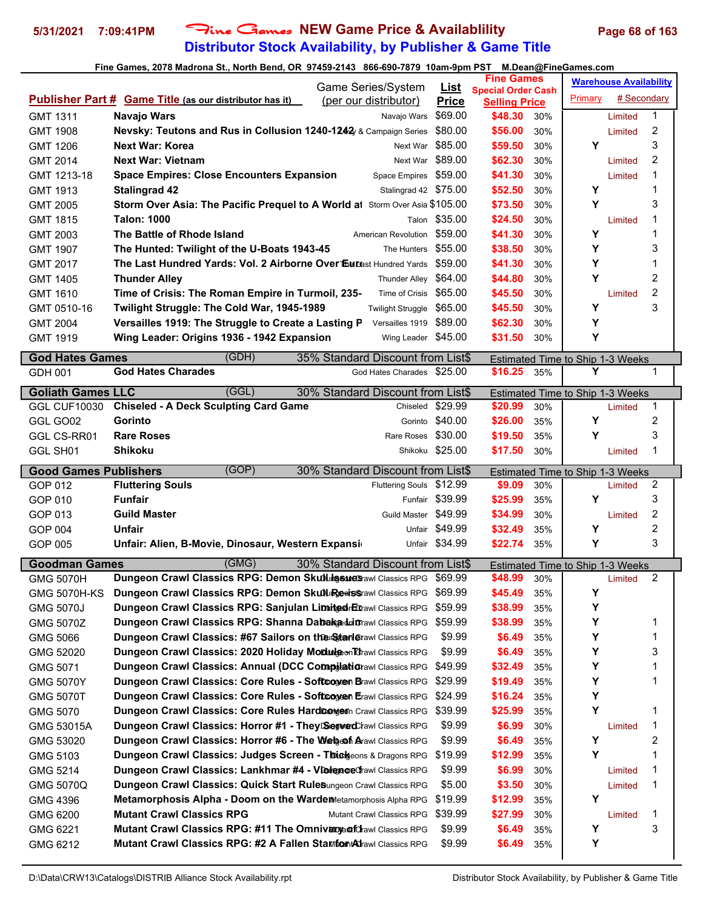# **Distributor Stock Availability, by Publisher & Game Title 5/31/2021 7:09:41PM** Fine Games **NEW Game Price & Availablility Page 68 of 163**

|                              | Game Series/System                                                                                                                              | <u>List</u>         | <b>Fine Games</b>                                 | <b>Warehouse Availability</b>           |
|------------------------------|-------------------------------------------------------------------------------------------------------------------------------------------------|---------------------|---------------------------------------------------|-----------------------------------------|
|                              | <b>Publisher Part # Game Title (as our distributor has it)</b><br>(per our distributor)                                                         | <b>Price</b>        | <b>Special Order Cash</b><br><b>Selling Price</b> | # Secondary<br>Primary                  |
| <b>GMT 1311</b>              | Navajo Wars<br>Navajo Wars                                                                                                                      | \$69.00             | \$48.30<br>30%                                    | 1<br>Limited                            |
| <b>GMT 1908</b>              | Nevsky: Teutons and Rus in Collusion 1240-1242 & Campaign Series \$80.00                                                                        |                     | \$56.00<br>30%                                    | 2<br>Limited                            |
| GMT 1206                     | <b>Next War: Korea</b><br>Next War                                                                                                              | \$85.00             | \$59.50<br>30%                                    | 3<br>Y                                  |
| <b>GMT 2014</b>              | <b>Next War: Vietnam</b><br>Next War                                                                                                            | \$89.00             | \$62.30<br>30%                                    | 2<br>Limited                            |
| GMT 1213-18                  | <b>Space Empires: Close Encounters Expansion</b><br>Space Empires                                                                               | \$59.00             | \$41.30<br>30%                                    | 1<br>Limited                            |
| GMT 1913                     | <b>Stalingrad 42</b><br>Stalingrad 42 \$75.00                                                                                                   |                     | \$52.50<br>30%                                    | Y<br>1                                  |
| <b>GMT 2005</b>              | Storm Over Asia: The Pacific Prequel to A World at Storm Over Asia \$105.00                                                                     |                     | \$73.50<br>30%                                    | Υ<br>3                                  |
| <b>GMT 1815</b>              | <b>Talon: 1000</b>                                                                                                                              | Talon \$35.00       | \$24.50<br>30%                                    | 1<br>Limited                            |
| GMT 2003                     | American Revolution \$59.00<br>The Battle of Rhode Island                                                                                       |                     | \$41.30<br>30%                                    | 1<br>Y                                  |
| <b>GMT 1907</b>              | The Hunted: Twilight of the U-Boats 1943-45                                                                                                     | The Hunters \$55.00 | \$38.50<br>30%                                    | 3<br>Y                                  |
| GMT 2017                     | <b>The Last Hundred Yards: Vol. 2 Airborne Over Eurast Hundred Yards</b> \$59.00                                                                |                     | \$41.30<br>30%                                    | 1<br>Y                                  |
| <b>GMT 1405</b>              | <b>Thunder Alley</b><br>Thunder Alley \$64.00                                                                                                   |                     | \$44.80<br>30%                                    | 2<br>Υ                                  |
| GMT 1610                     | Time of Crisis: The Roman Empire in Turmoil, 235-<br>Time of Crisis \$65.00                                                                     |                     | \$45.50<br>30%                                    | 2<br>Limited                            |
| GMT 0510-16                  | Twilight Struggle: The Cold War, 1945-1989<br>Twilight Struggle \$65.00                                                                         |                     | \$45.50<br>30%                                    | 3<br>Y                                  |
| <b>GMT 2004</b>              | Versailles 1919 \$89.00<br>Versailles 1919: The Struggle to Create a Lasting P                                                                  |                     | \$62.30<br>30%                                    | Υ                                       |
| <b>GMT 1919</b>              | Wing Leader: Origins 1936 - 1942 Expansion                                                                                                      | Wing Leader \$45.00 | \$31.50<br>30%                                    | Y                                       |
|                              |                                                                                                                                                 |                     |                                                   |                                         |
| <b>God Hates Games</b>       | (GDH)<br>35% Standard Discount from List\$                                                                                                      |                     |                                                   | Estimated Time to Ship 1-3 Weeks        |
| GDH 001                      | <b>God Hates Charades</b><br>God Hates Charades \$25.00                                                                                         |                     | \$16.25<br>35%                                    | Υ<br>1                                  |
| <b>Goliath Games LLC</b>     | (GGL)<br>30% Standard Discount from List\$                                                                                                      |                     |                                                   | <b>Estimated Time to Ship 1-3 Weeks</b> |
| <b>GGL CUF10030</b>          | <b>Chiseled - A Deck Sculpting Card Game</b><br>Chiseled                                                                                        | \$29.99             | \$20.99<br>30%                                    | 1<br>Limited                            |
| GGL GO02                     | Gorinto                                                                                                                                         | Gorinto \$40.00     | \$26.00<br>35%                                    | 2<br>Y                                  |
| GGL CS-RR01                  | <b>Rare Roses</b>                                                                                                                               | Rare Roses \$30.00  | \$19.50<br>35%                                    | 3<br>Y                                  |
| GGL SH01                     | <b>Shikoku</b>                                                                                                                                  | Shikoku \$25.00     | \$17.50<br>30%                                    | 1<br>Limited                            |
|                              |                                                                                                                                                 |                     |                                                   |                                         |
|                              |                                                                                                                                                 |                     |                                                   |                                         |
| <b>Good Games Publishers</b> | (GOP)<br>30% Standard Discount from List\$                                                                                                      |                     |                                                   | Estimated Time to Ship 1-3 Weeks        |
| GOP 012                      | <b>Fluttering Souls</b><br>Fluttering Souls \$12.99                                                                                             |                     | \$9.09<br>30%                                     | 2<br>Limited                            |
| GOP 010                      | <b>Funfair</b>                                                                                                                                  | Funfair \$39.99     | \$25.99<br>35%                                    | Y<br>3                                  |
| GOP 013                      | <b>Guild Master</b><br>Guild Master \$49.99                                                                                                     |                     | \$34.99<br>30%                                    | 2<br>Limited                            |
| GOP 004                      | <b>Unfair</b>                                                                                                                                   | Unfair \$49.99      | \$32.49<br>35%                                    | 2<br>Y                                  |
| GOP 005                      | Unfair: Alien, B-Movie, Dinosaur, Western Expansi                                                                                               | Unfair \$34.99      | \$22.74<br>35%                                    | 3<br>Y                                  |
| <b>Goodman Games</b>         | (GMG)<br>30% Standard Discount from List\$                                                                                                      |                     |                                                   | Estimated Time to Ship 1-3 Weeks        |
| <b>GMG 5070H</b>             | Dungeon Crawl Classics RPG: Demon Skullingsune Stawl Classics RPG \$69.99                                                                       |                     | \$48.99<br>30%                                    | 2<br>Limited                            |
| GMG 5070H-KS                 | Dungeon Crawl Classics RPG: Demon SkubLingeeissrawl Classics RPG                                                                                | \$69.99             | \$45.49<br>35%                                    | Υ                                       |
| <b>GMG 5070J</b>             | Dungeon Crawl Classics RPG: Sanjulan LimitedrEtrawl Classics RPG                                                                                | \$59.99             | \$38.99<br>35%                                    | Υ                                       |
| <b>GMG 5070Z</b>             | <b>Dungeon Crawl Classics RPG: Shanna Dabakaduinawl Classics RPG</b>                                                                            | \$59.99             | \$38.99<br>35%                                    | Υ<br>1                                  |
| GMG 5066                     | Dungeon Crawl Classics: #67 Sailors on the Stanlerawl Classics RPG                                                                              | \$9.99              | \$6.49<br>35%                                     | Υ<br>1                                  |
| GMG 52020                    | Dungeon Crawl Classics: 2020 Holiday Modulgeon Thawl Classics RPG                                                                               | \$9.99              | \$6.49<br>35%                                     | Y<br>3                                  |
| GMG 5071                     | Dungeon Crawl Classics: Annual (DCC Compilationawl Classics RPG \$49.99                                                                         |                     | \$32.49<br>35%                                    | Υ<br>1                                  |
| <b>GMG 5070Y</b>             | Dungeon Crawl Classics: Core Rules - Softcoyeen Brawl Classics RPG \$29.99                                                                      |                     | \$19.49<br>35%                                    | Υ<br>1                                  |
| <b>GMG 5070T</b>             | Dungeon Crawl Classics: Core Rules - Softwoyen Erawl Classics RPG \$24.99                                                                       |                     | \$16.24<br>35%                                    | Υ                                       |
| GMG 5070                     | <b>Dungeon Crawl Classics: Core Rules Hard Congern Crawl Classics RPG</b>                                                                       | \$39.99             | \$25.99<br>35%                                    | Y<br>1                                  |
| GMG 53015A                   | Dungeon Crawl Classics: Horror #1 - They Segved Chawl Classics RPG                                                                              | \$9.99              | \$6.99<br>30%                                     | 1<br>Limited                            |
| GMG 53020                    | Dungeon Crawl Classics: Horror #6 - The Web of Arawl Classics RPG                                                                               | \$9.99              | \$6.49<br>35%                                     | 2<br>Y                                  |
| GMG 5103                     | Dungeon Crawl Classics: Judges Screen - Thick eons & Dragons RPG \$19.99                                                                        |                     | \$12.99<br>35%                                    | Υ<br>1                                  |
| GMG 5214                     | Dungeon Crawl Classics: Lankhmar #4 - VlolenceChawl Classics RPG                                                                                | \$9.99              | \$6.99<br>30%                                     | 1<br>Limited                            |
| GMG 5070Q                    | Dungeon Crawl Classics: Quick Start RuleSungeon Crawl Classics RPG                                                                              | \$5.00              | \$3.50<br>30%                                     | 1<br>Limited                            |
| GMG 4396                     | <b>Metamorphosis Alpha - Doom on the Wardemetamorphosis Alpha RPG</b>                                                                           | \$19.99             | \$12.99<br>35%                                    | Y                                       |
| GMG 6200                     | <b>Mutant Crawl Classics RPG</b><br>Mutant Crawl Classics RPG \$39.99                                                                           |                     | \$27.99<br>30%                                    | 1<br>Limited                            |
| GMG 6221<br>GMG 6212         | <b>Mutant Crawl Classics RPG: #11 The Omnivanya of Chawl Classics RPG</b><br>Mutant Crawl Classics RPG: #2 A Fallen StaMfontAthawl Classics RPG | \$9.99<br>\$9.99    | \$6.49<br>35%<br>\$6.49<br>35%                    | 3<br>Υ<br>Υ                             |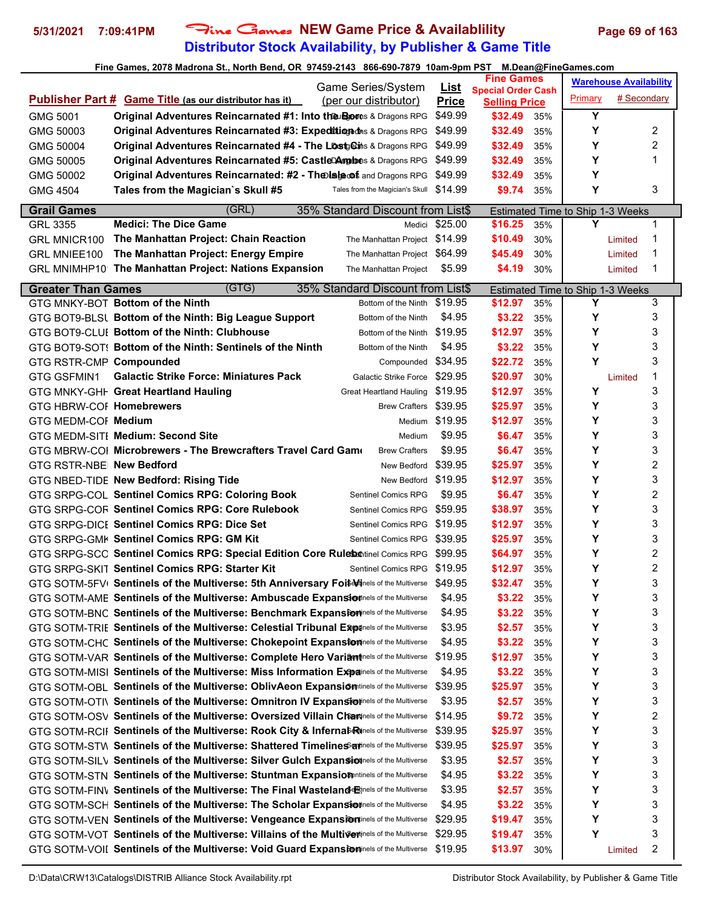### **Distributor Stock Availability, by Publisher & Game Title 5/31/2021 7:09:41PM** Fine Games **NEW Game Price & Availablility Page 69 of 163**

### **Fine Games, 2078 Madrona St., North Bend, OR 97459-2143 866-690-7879 10am-9pm PST M.Dean@FineGames.com Publisher Part # Game Title (as our distributor has it) List Price** Selling Price Primary **Warehouse Availability** # Secondary **Fine Games Special Order Cash** Game Series/System (per our distributor) **GMG 5001 Original Adventures Reincarnated #1: Into the Boots & Dragons RPG \$49.99 \$32.49 35% | Y** GMG 50003 **Original Adventures Reincarnated #3: Expedition of the Sangons RPG \$49.99 \$32.49 35% | Y 2** GMG 50004 **Original Adventures Reincarnated #4 - The Lost Cates** & Dragons RPG \$49.99 \$32.49 35% **Y** Y 2 GMG 50005 **Original Adventures Reincarnated #5: Castle Ambers & Dragons RPG \$49.99 \$32.49 35% | Y 1** GMG 50002 **Original Adventures Reincarnated: #2 - The Isle of Dread** Dungeons and Dragons RPG \$49.99 **\$32.49** 35% **Y** GMG 4504 **Tales from the Magician`s Skull #5** Tales from the Magician's Skull \$14.99 \$9.74 35% **Y** 3 **Grail Games** (GRL) 35% Standard Discount from List\$ Estimated Time to Ship 1-3 Weeks GRL 3355 **Medici: The Dice Game** Medici \$25.00 **\$16.25** 35% **Y** 1 GRL MNICR100 The Manhattan Project: Chain Reaction The Manhattan Project \$14.99 \$10.49 30% Limited 1 GRL MNIEE100 The Manhattan Project: Energy Empire The Manhattan Project \$64.99 **\$45.49** 30% Limited 1 GRL MNIMHP10 The Manhattan Project: Nations Expansion The Manhattan Project \$5.99 **\$4.19** 30% Limited 1 **Greater Than Games** (GTG) 35% Standard Discount from List\$ Estimated Time to Ship 1-3 Weeks GTG MNKY-BOT **Bottom of the Ninth** 3 **Bottom of the Ninth \$19.95 \$12.97** 35% **Y** 3 GTG BOT9-BLSI **Bottom of the Ninth: Big League Support** Bottom of the Ninth \$4.95 **\$3.22** 35% **Y** 3 GTG BOT9-CLUI **Bottom of the Ninth: Clubhouse** Bottom of the Ninth \$19.95 **\$12.97** 35% **Y** 3 GTG BOT9-SOT! Bottom of the Ninth: Sentinels of the Ninth Bottom of the Ninth \$4.95 **\$3.22** 35% **Y** 3 **GTG RSTR-CMP Compounded** 3 **Compounded \$34.95 \$22.72** 35% **Y** 3 GTG GSFMIN1 **Galactic Strike Force: Miniatures Pack** Galactic Strike Force \$29.95 **\$20.97** 30% Limited 1 GTG MNKY-GHF Great Heartland Hauling **Creat Heartland Hauling \$19.95 \$12.97** 35% **Y** 3 GTG HBRW-COF **Homebrewers** and the state and the state of the Same Crafters \$39.95 **\$25.97** 35% **Y** 3 GTG MEDM-CORE**Medium** Medium \$19.95 **\$12.97** 35% **Y** 3 GTG MEDM-SITE **Medium: Second Site** Medium \$9.95 **\$6.47** 35% **Y** 3 GTG MBRW-COI Microbrewers - The Brewcrafters Travel Card Gam Brew Crafters \$9.95 **\$6.47** 35% | Y 3 **GTG RSTR-NBE New Bedford** 2 **New Bedford \$39.95 <b>\$25.97** 35% | Y 2 GTG NBED-TIDE **New Bedford: Rising Tide** New Bedford \$19.95 **\$12.97** 35% **Y** 3 GTG SRPG-COL **Sentinel Comics RPG: Coloring Book** Sentinel Comics RPG \$9.95 **\$6.47** 35% | Y 2 GTG SRPG-COF **Sentinel Comics RPG: Core Rulebook** Sentinel Comics RPG \$59.95 **\$38.97** 35% **Y** 3 GTG SRPG-DICE Sentinel Comics RPG: Dice Set Sentinel Comics RPG \$19.95 **\$12.97** 35% **Y** 3 GTG SRPG-GMK Sentinel Comics RPG: GM Kit Sentinel Comics RPG \$39.95 **\$25.97** 35% **Y** 3 GTG SRPG-SCC Sentinel Comics RPG: Special Edition Core Rulebontinel Comics RPG \$99.95 \$64.97 35% | Y 2 GTG SRPG-SKIT **Sentinel Comics RPG: Starter Kit** Sentinel Comics RPG \$19.95 **\$12.97** 35% | Y 2 GTG SOTM-5FV<sub>I</sub> Sentinels of the Multiverse: 5th Anniversary Foi\$<sup>Minels of the Multiverse \$49.95 **\$32.47** 35% **Y** 3</sup> GTG SOTM-AME Sentinels of the Multiverse: Ambuscade Expansioninels of the Multiverse \$4.95 \$3.22 35% | Y 3 GTG SOTM-BNC Sentinels of the Multiverse: Benchmark Expansioninels of the Multiverse \$4.95 **\$3.22** 35% **Y** 3 GTG SOTM-TRIE Sentinels of the Multiverse: Celestial Tribunal Expirels of the Multiverse \$3.95 **\$2.57** 35% **Y** 3 GTG SOTM-CHC Sentinels of the Multiverse: Chokepoint Expansion The Multiverse \$4.95 \$3.22 35% **Y** 3 GTG SOTM-VAR **Sentinels of the Multiverse: Complete Hero Variant** inels of the Multiverse \$19.95 **\$12.97** 35% **Y** 3 GTG SOTM-MISI **Sentinels of the Multiverse: Miss Information Expainels of the Multiverse** \$4.95 **\$3.22** 35% **Y** 3 GTG SOTM-OBL Sentinels of the Multiverse: OblivAeon Expansion inels of the Multiverse \$39.95 **\$25.97** 35% **Y** 3 GTG SOTM-OTIV **Sentinels of the Multiverse: Omnitron IV Expansion** Interal of the Multiverse \$3.95 \$2.57 35% **Y** 3 GTG SOTM-OSV Sentinels of the Multiverse: Oversized Villain Charrinels of the Multiverse \$14.95 **\$9.72** 35% **Y** 2 GTG SOTM-RCIF Sentinels of the Multiverse: Rook City & Infernal Rinels of the Multiverse \$39.95 **\$25.97** 35% **Y** 3 GTG SOTM-STW **Sentinels of the Multiverse: Shattered Timelines and nels** of the Multiverse \$39.95 \$25.97 35% **Y** 3

GTG SOTM-SILV **Sentinels of the Multiverse: Silver Gulch Expansion** and the Multiverse \$3.95 \$2.57 35% **Y** 3 GTG SOTM-STN **Sentinels of the Multiverse: Stuntman Expansion** and the Multiverse \$4.95 \$3.22 35% **Y** 3 **GTG SOTM-FINV Sentinels of the Multiverse: The Final Wasteland Express of the Multiverse** \$3.95 **\$2.57** 35% **Y** 3 GTG SOTM-SCH **Sentinels of the Multiverse: The Scholar Expansion** inels of the Multiverse \$4.95 **\$3.22** 35% **Y** 3 GTG SOTM-VEN Sentinels of the Multiverse: Vengeance Expansion Tine Sof the Multiverse \$29.95 \$19.47 35% **Y** Y 3 GTG SOTM-VOT Sentinels of the Multiverse: Villains of the Multivertinels of the Multiverse \$29.95 \$19.47 35% **Y** Y 3 GTG SOTM-VOIL Sentinels of the Multiverse: Void Guard Expansioninels of the Multiverse \$19.95 \$13.97 30% Limited 2

D:\Data\CRW13\Catalogs\DISTRIB Alliance Stock Availability.rpt Distributor Stock Availability, by Publisher & Game Title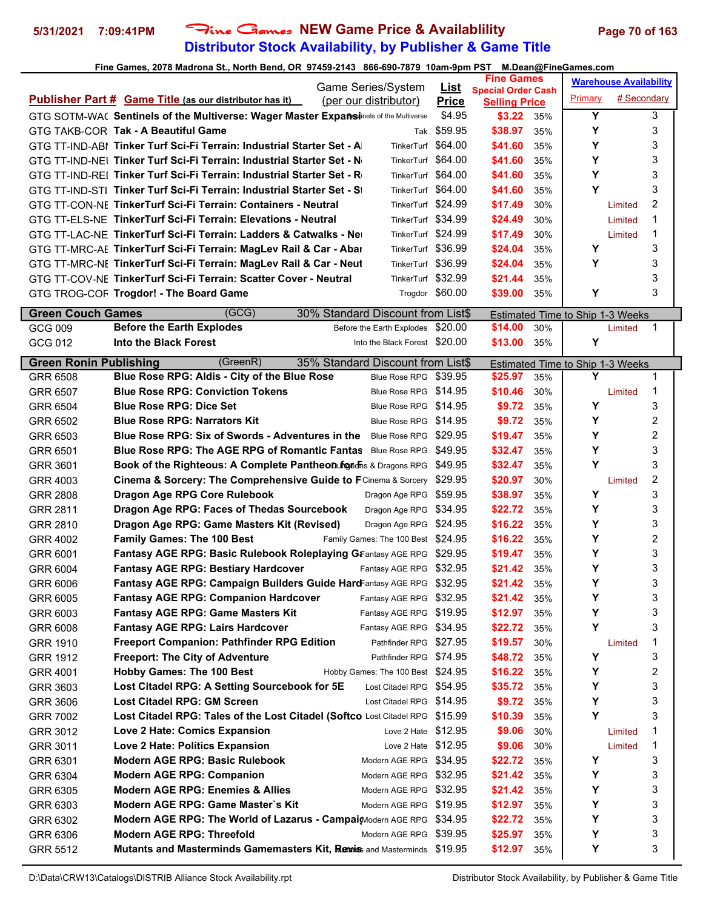# **Distributor Stock Availability, by Publisher & Game Title 5/31/2021 7:09:41PM** Fine Games **NEW Game Price & Availablility Page 70 of 163**

|                               |                                                                                      | Game Series/System                 | <u>List</u>     | <b>Fine Games</b>                                 |     |                                  | <b>Warehouse Availability</b> |                |  |
|-------------------------------|--------------------------------------------------------------------------------------|------------------------------------|-----------------|---------------------------------------------------|-----|----------------------------------|-------------------------------|----------------|--|
|                               | <b>Publisher Part # Game Title (as our distributor has it)</b>                       | (per our distributor)              | <b>Price</b>    | <b>Special Order Cash</b><br><b>Selling Price</b> |     | Primary                          | # Secondary                   |                |  |
|                               | GTG SOTM-WA( Sentinels of the Multiverse: Wager Master Expañsinels of the Multiverse |                                    | \$4.95          | \$3.22                                            | 35% | Y                                |                               | 3              |  |
|                               | GTG TAKB-COR Tak - A Beautiful Game                                                  | Tak                                | \$59.95         | \$38.97                                           | 35% | Υ                                |                               | 3              |  |
|                               | GTG TT-IND-ABI Tinker Turf Sci-Fi Terrain: Industrial Starter Set - A                | <b>TinkerTurf</b>                  | \$64.00         | \$41.60                                           | 35% | Υ                                |                               | 3              |  |
|                               | GTG TT-IND-NEL Tinker Turf Sci-Fi Terrain: Industrial Starter Set - N                | TinkerTurf                         | \$64.00         | \$41.60                                           | 35% | Υ                                |                               | 3              |  |
|                               | GTG TT-IND-REL Tinker Turf Sci-Fi Terrain: Industrial Starter Set - R                | TinkerTurf                         | \$64.00         | \$41.60                                           | 35% | Υ                                |                               | 3              |  |
|                               | GTG TT-IND-STI Tinker Turf Sci-Fi Terrain: Industrial Starter Set - St               | TinkerTurf \$64.00                 |                 | \$41.60                                           | 35% | Y                                |                               | 3              |  |
|                               | GTG TT-CON-NE TinkerTurf Sci-Fi Terrain: Containers - Neutral                        | TinkerTurf \$24.99                 |                 | \$17.49                                           | 30% |                                  | Limited                       | 2              |  |
|                               | GTG TT-ELS-NE TinkerTurf Sci-Fi Terrain: Elevations - Neutral                        | TinkerTurf \$34.99                 |                 | \$24.49                                           | 30% |                                  | Limited                       | 1              |  |
|                               | GTG TT-LAC-NE TinkerTurf Sci-Fi Terrain: Ladders & Catwalks - Ne                     | TinkerTurf \$24.99                 |                 | \$17.49                                           | 30% |                                  | Limited                       | 1              |  |
|                               | GTG TT-MRC-AE TinkerTurf Sci-Fi Terrain: MagLev Rail & Car - Abai                    | TinkerTurf \$36.99                 |                 | \$24.04                                           | 35% | Υ                                |                               | 3              |  |
|                               | GTG TT-MRC-NE TinkerTurf Sci-Fi Terrain: MagLev Rail & Car - Neut                    | TinkerTurf \$36.99                 |                 | \$24.04                                           | 35% | Y                                |                               | 3              |  |
|                               | GTG TT-COV-NE TinkerTurf Sci-Fi Terrain: Scatter Cover - Neutral                     | TinkerTurf \$32.99                 |                 | \$21.44                                           | 35% |                                  |                               | 3              |  |
|                               | GTG TROG-COF Trogdor! - The Board Game                                               |                                    | Trogdor \$60.00 | \$39.00                                           | 35% | Υ                                |                               | 3              |  |
|                               |                                                                                      |                                    |                 |                                                   |     |                                  |                               |                |  |
| <b>Green Couch Games</b>      | (GCG)                                                                                | 30% Standard Discount from List\$  |                 |                                                   |     | Estimated Time to Ship 1-3 Weeks |                               |                |  |
| GCG 009                       | <b>Before the Earth Explodes</b>                                                     | Before the Earth Explodes \$20.00  |                 | \$14.00                                           | 30% |                                  | Limited                       | 1              |  |
| GCG 012                       | Into the Black Forest                                                                | Into the Black Forest \$20.00      |                 | \$13.00                                           | 35% | Y                                |                               |                |  |
| <b>Green Ronin Publishing</b> | (GreenR)                                                                             | 35% Standard Discount from List\$  |                 |                                                   |     | Estimated Time to Ship 1-3 Weeks |                               |                |  |
| GRR 6508                      | Blue Rose RPG: Aldis - City of the Blue Rose                                         | Blue Rose RPG \$39.95              |                 | \$25.97                                           | 35% | Y                                |                               | 1              |  |
| GRR 6507                      | <b>Blue Rose RPG: Conviction Tokens</b>                                              | Blue Rose RPG \$14.95              |                 | \$10.46                                           | 30% |                                  | Limited                       | 1              |  |
| GRR 6504                      | <b>Blue Rose RPG: Dice Set</b>                                                       | Blue Rose RPG \$14.95              |                 | \$9.72                                            | 35% | Υ                                |                               | 3              |  |
| GRR 6502                      | <b>Blue Rose RPG: Narrators Kit</b>                                                  | Blue Rose RPG \$14.95              |                 | \$9.72                                            | 35% | Υ                                |                               | $\overline{c}$ |  |
| GRR 6503                      | Blue Rose RPG: Six of Swords - Adventures in the                                     | Blue Rose RPG \$29.95              |                 | \$19.47                                           | 35% | Y                                |                               | 2              |  |
| GRR 6501                      | <b>Blue Rose RPG: The AGE RPG of Romantic Fantas</b> Blue Rose RPG \$49.95           |                                    |                 | \$32.47                                           | 35% | Υ                                |                               | 3              |  |
| GRR 3601                      | Book of the Righteous: A Complete Pantheon of geofics & Dragons RPG \$49.95          |                                    |                 | \$32.47                                           | 35% | Y                                |                               | 3              |  |
| GRR 4003                      | Cinema & Sorcery: The Comprehensive Guide to FCinema & Sorcery \$29.95               |                                    |                 | \$20.97                                           | 30% |                                  | Limited                       | 2              |  |
| <b>GRR 2808</b>               | Dragon Age RPG Core Rulebook                                                         | Dragon Age RPG \$59.95             |                 | \$38.97                                           | 35% | Y                                |                               | 3              |  |
| GRR 2811                      | Dragon Age RPG: Faces of Thedas Sourcebook                                           | Dragon Age RPG \$34.95             |                 | \$22.72                                           | 35% | Y                                |                               | 3              |  |
| GRR 2810                      | Dragon Age RPG: Game Masters Kit (Revised)                                           | Dragon Age RPG \$24.95             |                 | \$16.22                                           | 35% | Υ                                |                               | 3              |  |
| <b>GRR 4002</b>               | <b>Family Games: The 100 Best</b>                                                    | Family Games: The 100 Best \$24.95 |                 | \$16.22                                           | 35% | Y                                |                               | 2              |  |
| GRR 6001                      | <b>Fantasy AGE RPG: Basic Rulebook Roleplaying GFantasy AGE RPG \$29.95</b>          |                                    |                 | \$19.47                                           | 35% | Y                                |                               | 3              |  |
| GRR 6004                      | <b>Fantasy AGE RPG: Bestiary Hardcover</b>                                           | Fantasy AGE RPG \$32.95            |                 | \$21.42                                           | 35% | Y                                |                               | 3              |  |
| GRR 6006                      | Fantasy AGE RPG: Campaign Builders Guide HardFantasy AGE RPG \$32.95                 |                                    |                 | \$21.42                                           | 35% | Y                                |                               | 3              |  |
| GRR 6005                      | <b>Fantasy AGE RPG: Companion Hardcover</b>                                          | Fantasy AGE RPG \$32.95            |                 | \$21.42                                           | 35% | Υ                                |                               | 3              |  |
| GRR 6003                      | <b>Fantasy AGE RPG: Game Masters Kit</b>                                             | Fantasy AGE RPG \$19.95            |                 | \$12.97                                           | 35% | Υ                                |                               | 3              |  |
| GRR 6008                      | <b>Fantasy AGE RPG: Lairs Hardcover</b>                                              | Fantasy AGE RPG \$34.95            |                 | \$22.72                                           | 35% | Y                                |                               | 3              |  |
| GRR 1910                      | <b>Freeport Companion: Pathfinder RPG Edition</b>                                    | Pathfinder RPG \$27.95             |                 | \$19.57                                           | 30% |                                  | Limited                       | 1              |  |
| <b>GRR 1912</b>               | <b>Freeport: The City of Adventure</b>                                               | Pathfinder RPG \$74.95             |                 | \$48.72                                           | 35% | Υ                                |                               | 3              |  |
| GRR 4001                      | <b>Hobby Games: The 100 Best</b>                                                     | Hobby Games: The 100 Best \$24.95  |                 | \$16.22                                           | 35% | Υ                                |                               | 2              |  |
| GRR 3603                      | Lost Citadel RPG: A Setting Sourcebook for 5E                                        | Lost Citadel RPG \$54.95           |                 | \$35.72                                           | 35% | Υ                                |                               | 3              |  |
| GRR 3606                      | Lost Citadel RPG: GM Screen                                                          | Lost Citadel RPG \$14.95           |                 | \$9.72                                            | 35% | Υ                                |                               | 3              |  |
| <b>GRR 7002</b>               | Lost Citadel RPG: Tales of the Lost Citadel (Softco Lost Citadel RPG \$15.99         |                                    |                 | \$10.39                                           | 35% | Υ                                |                               | 3              |  |
| GRR 3012                      | Love 2 Hate: Comics Expansion                                                        | Love 2 Hate $$12.95$               |                 | \$9.06                                            | 30% |                                  | Limited                       | 1              |  |
| GRR 3011                      | Love 2 Hate: Politics Expansion                                                      | Love 2 Hate $$12.95$               |                 | \$9.06                                            | 30% |                                  | Limited                       | 1              |  |
| GRR 6301                      | <b>Modern AGE RPG: Basic Rulebook</b>                                                | Modern AGE RPG \$34.95             |                 | \$22.72                                           | 35% | Y                                |                               | 3              |  |
| GRR 6304                      | <b>Modern AGE RPG: Companion</b>                                                     | Modern AGE RPG \$32.95             |                 | \$21.42                                           | 35% | Υ                                |                               | 3              |  |
| GRR 6305                      | <b>Modern AGE RPG: Enemies &amp; Allies</b>                                          | Modern AGE RPG \$32.95             |                 | \$21.42                                           | 35% | Υ                                |                               | 3              |  |
| GRR 6303                      | Modern AGE RPG: Game Master's Kit                                                    | Modern AGE RPG \$19.95             |                 | \$12.97                                           | 35% | Υ                                |                               | 3              |  |
| GRR 6302                      | Modern AGE RPG: The World of Lazarus - Campai Modern AGE RPG \$34.95                 |                                    |                 | \$22.72                                           | 35% | Υ                                |                               | 3              |  |
| GRR 6306                      | <b>Modern AGE RPG: Threefold</b>                                                     | Modern AGE RPG \$39.95             |                 | \$25.97                                           | 35% | Υ                                |                               | 3              |  |
| GRR 5512                      | Mutants and Masterminds Gamemasters Kit, Revis and Masterminds \$19.95               |                                    |                 | \$12.97                                           | 35% | Υ                                |                               | 3              |  |
|                               |                                                                                      |                                    |                 |                                                   |     |                                  |                               |                |  |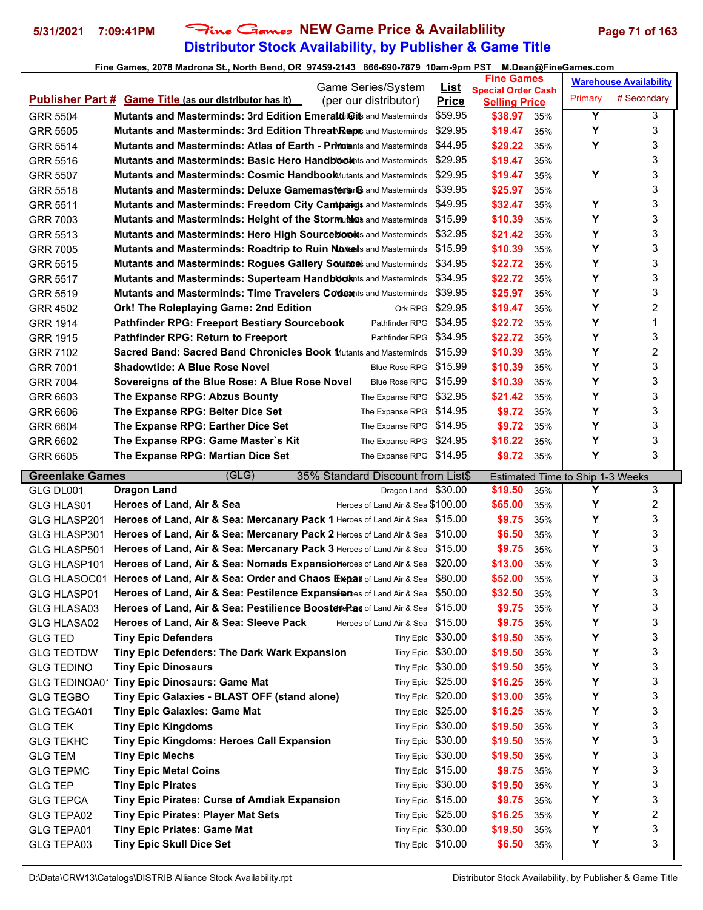# **Distributor Stock Availability, by Publisher & Game Title** 5/31/2021 7:09:41PM Fine Games NEW Game Price & Availablility Page 71 of 163

|                          | Game Series/System                                                                             | <u>List</u>                            | <b>Fine Games</b>                                 |         | <b>Warehouse Availability</b> |
|--------------------------|------------------------------------------------------------------------------------------------|----------------------------------------|---------------------------------------------------|---------|-------------------------------|
|                          | <b>Publisher Part # Game Title (as our distributor has it)</b><br>(per our distributor)        | <b>Price</b>                           | <b>Special Order Cash</b><br><b>Selling Price</b> | Primary | # Secondary                   |
| <b>GRR 5504</b>          | <b>Mutants and Masterminds: 3rd Edition Emerald to the Masterminds Containsting Management</b> | \$59.95                                | \$38.97<br>35%                                    | Υ       | 3                             |
| <b>GRR 5505</b>          | <b>Mutants and Masterminds: 3rd Edition Threat Repts</b> and Masterminds \$29.95               |                                        | \$19.47<br>35%                                    | Υ       | 3                             |
| <b>GRR 5514</b>          | <b>Mutants and Masterminds: Atlas of Earth - Primments and Masterminds</b>                     | \$44.95                                | \$29.22<br>35%                                    | Y       | 3                             |
| GRR 5516                 | <b>Mutants and Masterminds: Basic Hero Handbook</b> tis and Masterminds                        | \$29.95                                | \$19.47<br>35%                                    |         | 3                             |
| <b>GRR 5507</b>          | <b>Mutants and Masterminds: Cosmic Handbook</b> Mutants and Masterminds                        | \$29.95                                | \$19.47<br>35%                                    | Υ       | 3                             |
| GRR 5518                 | <b>Mutants and Masterminds: Deluxe Gamemasters Genal Masterminds \$39.95</b>                   |                                        | \$25.97<br>35%                                    |         | 3                             |
| <b>GRR 5511</b>          | Mutants and Masterminds: Freedom City Campaigs and Masterminds \$49.95                         |                                        | \$32.47<br>35%                                    | Υ       | 3                             |
| GRR 7003                 | Mutants and Masterminds: Height of the Stormundos and Masterminds \$15.99                      |                                        | \$10.39<br>35%                                    | Υ       | 3                             |
| GRR 5513                 | Mutants and Masterminds: Hero High Source blooks and Masterminds \$32.95                       |                                        | \$21.42<br>35%                                    | Υ       | 3                             |
| <b>GRR 7005</b>          | Mutants and Masterminds: Roadtrip to Ruin Noves and Masterminds \$15.99                        |                                        | \$10.39<br>35%                                    | Υ       | 3                             |
| <b>GRR 5515</b>          | <b>Mutants and Masterminds: Rogues Gallery Sources and Masterminds \$34.95</b>                 |                                        | \$22.72<br>35%                                    | Y       | 3                             |
| <b>GRR 5517</b>          | <b>Mutants and Masterminds: Superteam Handbook</b> nts and Masterminds                         | \$34.95                                | \$22.72<br>35%                                    | Y       | 3                             |
| GRR 5519                 | <b>Mutants and Masterminds: Time Travelers Codex</b> its and Masterminds                       | \$39.95                                | \$25.97<br>35%                                    | Y       | 3                             |
| <b>GRR 4502</b>          | Ork! The Roleplaying Game: 2nd Edition                                                         | Ork RPG \$29.95                        | \$19.47<br>35%                                    | Υ       | 2                             |
| <b>GRR 1914</b>          | Pathfinder RPG \$34.95<br><b>Pathfinder RPG: Freeport Bestiary Sourcebook</b>                  |                                        | \$22.72<br>35%                                    | Υ       | 1                             |
| <b>GRR 1915</b>          | <b>Pathfinder RPG: Return to Freeport</b><br>Pathfinder RPG \$34.95                            |                                        | \$22.72<br>35%                                    | Υ       | 3                             |
| GRR 7102                 | <b>Sacred Band: Sacred Band Chronicles Book Mutants and Masterminds \$15.99</b>                |                                        | \$10.39<br>35%                                    | Υ       | 2                             |
| <b>GRR 7001</b>          | <b>Shadowtide: A Blue Rose Novel</b><br>Blue Rose RPG \$15.99                                  |                                        | \$10.39<br>35%                                    | Y       | 3                             |
| <b>GRR 7004</b>          | Sovereigns of the Blue Rose: A Blue Rose Novel<br>Blue Rose RPG \$15.99                        |                                        | \$10.39<br>35%                                    | Y       | 3                             |
| GRR 6603                 | The Expanse RPG: Abzus Bounty<br>The Expanse RPG \$32.95                                       |                                        | \$21.42<br>35%                                    | Y       | 3                             |
| GRR 6606                 | The Expanse RPG: Belter Dice Set<br>The Expanse RPG \$14.95                                    |                                        | \$9.72<br>35%                                     | Υ       | 3                             |
| GRR 6604                 | The Expanse RPG: Earther Dice Set<br>The Expanse RPG \$14.95                                   |                                        | \$9.72<br>35%                                     | Y       | 3                             |
| GRR 6602                 | The Expanse RPG: Game Master's Kit<br>The Expanse RPG \$24.95                                  |                                        | \$16.22<br>35%                                    | Y       | 3                             |
| GRR 6605                 | The Expanse RPG: Martian Dice Set<br>The Expanse RPG \$14.95                                   |                                        | \$9.72<br>35%                                     | Y       | 3                             |
|                          |                                                                                                |                                        |                                                   |         |                               |
|                          |                                                                                                |                                        |                                                   |         |                               |
| <b>Greenlake Games</b>   | (GLG)<br>35% Standard Discount from List\$                                                     |                                        | Estimated Time to Ship 1-3 Weeks                  |         |                               |
| GLG DL001                | Dragon Land \$30.00<br>Dragon Land                                                             |                                        | \$19.50<br>35%                                    | Y       | 3                             |
| GLG HLAS01               | Heroes of Land Air & Sea \$100.00<br>Heroes of Land, Air & Sea                                 |                                        | \$65.00<br>35%                                    | Y       | 2                             |
| GLG HLASP201             | Heroes of Land, Air & Sea: Mercanary Pack 1 Heroes of Land Air & Sea \$15.00                   |                                        | \$9.75<br>35%                                     | Y       | 3                             |
| GLG HLASP301             | Heroes of Land, Air & Sea: Mercanary Pack 2 Heroes of Land Air & Sea \$10.00                   |                                        | \$6.50<br>35%                                     | Y       | 3                             |
| GLG HLASP501             | Heroes of Land, Air & Sea: Mercanary Pack 3 Heroes of Land Air & Sea \$15.00                   |                                        | \$9.75<br>35%                                     | Y       | 3                             |
| GLG HLASP101             | Heroes of Land, Air & Sea: Nomads Expansioneroes of Land Air & Sea \$20.00                     |                                        | \$13.00<br>35%                                    | Υ       | 3                             |
|                          | GLG HLASOC01 Heroes of Land, Air & Sea: Order and Chaos Exepas of Land Air & Sea \$80.00       |                                        | \$52.00<br>35%                                    | Υ       | 3                             |
| GLG HLASP01              | Heroes of Land, Air & Sea: Pestilence Expansiones of Land Air & Sea \$50.00                    |                                        | \$32.50<br>35%                                    | Y       | 3                             |
| GLG HLASA03              | Heroes of Land, Air & Sea: Pestilience BoostereRas of Land Air & Sea \$15.00                   |                                        | \$9.75<br>35%                                     | Y       | 3                             |
| GLG HLASA02              | Heroes of Land, Air & Sea: Sleeve Pack<br>Heroes of Land Air & Sea \$15.00                     |                                        | \$9.75<br>35%                                     | Y       | 3                             |
| <b>GLG TED</b>           | <b>Tiny Epic Defenders</b>                                                                     | Tiny Epic \$30.00                      | \$19.50<br>35%                                    | Y       | 3                             |
| <b>GLG TEDTDW</b>        | Tiny Epic Defenders: The Dark Wark Expansion                                                   | Tiny Epic \$30.00                      | \$19.50<br>35%                                    | Y       | 3                             |
| <b>GLG TEDINO</b>        | <b>Tiny Epic Dinosaurs</b>                                                                     | Tiny Epic \$30.00                      | \$19.50<br>35%                                    | Υ       | 3                             |
| GLG TEDINOA01            | <b>Tiny Epic Dinosaurs: Game Mat</b>                                                           | Tiny Epic \$25.00                      | \$16.25<br>35%                                    | Υ       | 3                             |
| <b>GLG TEGBO</b>         | Tiny Epic Galaxies - BLAST OFF (stand alone)                                                   | Tiny Epic \$20.00                      | \$13.00<br>35%                                    | Υ       | 3                             |
| <b>GLG TEGA01</b>        | <b>Tiny Epic Galaxies: Game Mat</b>                                                            | Tiny Epic \$25.00                      | \$16.25<br>35%                                    | Y       | 3                             |
| <b>GLG TEK</b>           | <b>Tiny Epic Kingdoms</b>                                                                      | Tiny Epic \$30.00                      | \$19.50<br>35%                                    | Υ       | 3                             |
| <b>GLG TEKHC</b>         | Tiny Epic Kingdoms: Heroes Call Expansion                                                      | Tiny Epic \$30.00                      | \$19.50<br>35%                                    | Y       | 3                             |
| <b>GLG TEM</b>           | <b>Tiny Epic Mechs</b>                                                                         | Tiny Epic \$30.00                      | \$19.50<br>35%                                    | Υ       | 3                             |
| <b>GLG TEPMC</b>         | <b>Tiny Epic Metal Coins</b>                                                                   | Tiny Epic \$15.00                      | \$9.75<br>35%                                     | Υ       | 3                             |
| <b>GLG TEP</b>           | <b>Tiny Epic Pirates</b>                                                                       | Tiny Epic \$30.00                      | \$19.50<br>35%                                    | Υ       | 3                             |
| <b>GLG TEPCA</b>         | Tiny Epic Pirates: Curse of Amdiak Expansion                                                   | Tiny Epic \$15.00                      | \$9.75<br>35%                                     | Υ       | 3                             |
| GLG TEPA02               | <b>Tiny Epic Pirates: Player Mat Sets</b>                                                      | Tiny Epic \$25.00                      | \$16.25<br>35%                                    | Y       | 2                             |
| GLG TEPA01<br>GLG TEPA03 | <b>Tiny Epic Priates: Game Mat</b><br><b>Tiny Epic Skull Dice Set</b>                          | Tiny Epic \$30.00<br>Tiny Epic \$10.00 | \$19.50<br>35%<br>\$6.50<br>35%                   | Υ<br>Υ  | 3<br>3                        |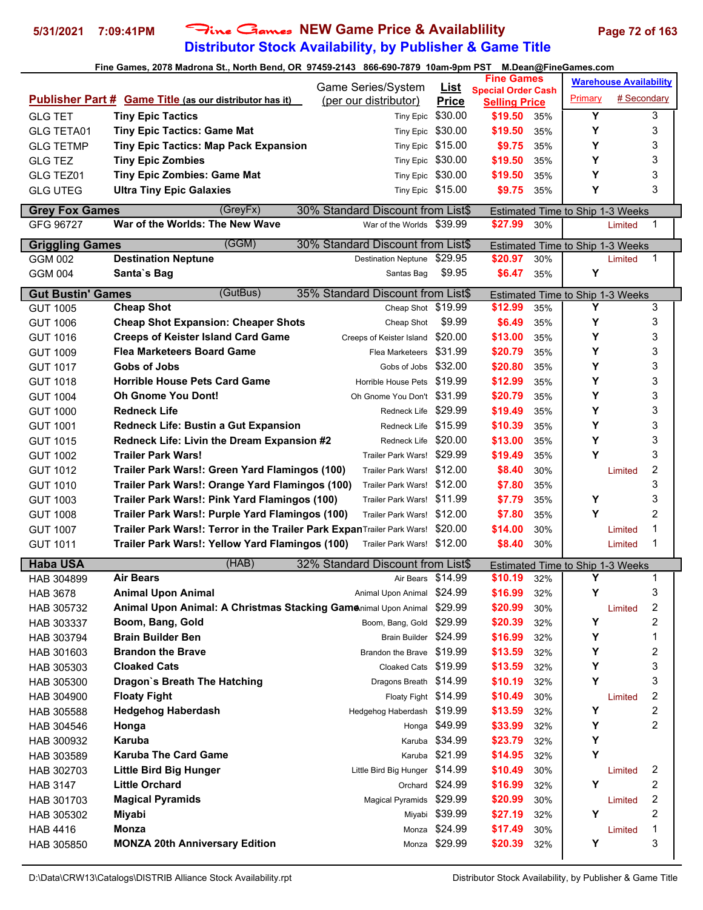# **Distributor Stock Availability, by Publisher & Game Title 5/31/2021 7:09:41PM** Fine Games **NEW Game Price & Availablility Page 72 of 163**

|                          |                                                                        |                                                                |                             | <b>Fine Games</b>               |     |                                  | <b>Warehouse Availability</b> |              |
|--------------------------|------------------------------------------------------------------------|----------------------------------------------------------------|-----------------------------|---------------------------------|-----|----------------------------------|-------------------------------|--------------|
|                          | Publisher Part # Game Title (as our distributor has it)                | Game Series/System<br>(per our distributor)                    | <b>List</b><br><b>Price</b> | <b>Special Order Cash</b>       |     | Primary                          | # Secondary                   |              |
| <b>GLG TET</b>           | <b>Tiny Epic Tactics</b>                                               | Tiny Epic                                                      | \$30.00                     | <b>Selling Price</b><br>\$19.50 | 35% | Y                                |                               | 3            |
| GLG TETA01               | <b>Tiny Epic Tactics: Game Mat</b>                                     | <b>Tiny Epic</b>                                               | \$30.00                     | \$19.50                         | 35% | Y                                |                               | 3            |
| <b>GLG TETMP</b>         | <b>Tiny Epic Tactics: Map Pack Expansion</b>                           | Tiny Epic \$15.00                                              |                             | \$9.75                          | 35% | Υ                                |                               | 3            |
| <b>GLG TEZ</b>           | <b>Tiny Epic Zombies</b>                                               | Tiny Epic                                                      | \$30.00                     | \$19.50                         | 35% | Υ                                |                               | 3            |
| GLG TEZ01                | <b>Tiny Epic Zombies: Game Mat</b>                                     | Tiny Epic \$30.00                                              |                             | \$19.50                         | 35% | Y                                |                               | 3            |
| <b>GLG UTEG</b>          | <b>Ultra Tiny Epic Galaxies</b>                                        | Tiny Epic \$15.00                                              |                             | \$9.75                          | 35% | Y                                |                               | 3            |
|                          |                                                                        |                                                                |                             |                                 |     |                                  |                               |              |
| <b>Grey Fox Games</b>    | (GreyFx)<br>War of the Worlds: The New Wave                            | 30% Standard Discount from List\$<br>War of the Worlds \$39.99 |                             | \$27.99                         |     | Estimated Time to Ship 1-3 Weeks |                               |              |
| GFG 96727                |                                                                        |                                                                |                             |                                 | 30% |                                  | Limited                       | 1            |
| <b>Griggling Games</b>   | (GGM)                                                                  | 30% Standard Discount from List\$                              |                             |                                 |     | Estimated Time to Ship 1-3 Weeks |                               |              |
| <b>GGM 002</b>           | <b>Destination Neptune</b>                                             | Destination Neptune \$29.95                                    |                             | \$20.97                         | 30% |                                  | Limited                       | $\mathbf{1}$ |
| <b>GGM 004</b>           | Santa's Bag                                                            | Santas Bag                                                     | \$9.95                      | \$6.47                          | 35% | Y                                |                               |              |
| <b>Gut Bustin' Games</b> | (GutBus)                                                               | 35% Standard Discount from List\$                              |                             |                                 |     | Estimated Time to Ship 1-3 Weeks |                               |              |
| <b>GUT 1005</b>          | <b>Cheap Shot</b>                                                      | Cheap Shot \$19.99                                             |                             | \$12.99                         | 35% | Y                                |                               | 3            |
| <b>GUT 1006</b>          | <b>Cheap Shot Expansion: Cheaper Shots</b>                             | Cheap Shot                                                     | \$9.99                      | \$6.49                          | 35% | Υ                                |                               | 3            |
| <b>GUT 1016</b>          | <b>Creeps of Keister Island Card Game</b>                              | Creeps of Keister Island                                       | \$20.00                     | \$13.00                         | 35% | Υ                                |                               | 3            |
| <b>GUT 1009</b>          | <b>Flea Marketeers Board Game</b>                                      | Flea Marketeers                                                | \$31.99                     | \$20.79                         | 35% | Υ                                |                               | 3            |
| <b>GUT 1017</b>          | Gobs of Jobs                                                           | Gobs of Jobs \$32.00                                           |                             | \$20.80                         | 35% | Υ                                |                               | 3            |
| <b>GUT 1018</b>          | <b>Horrible House Pets Card Game</b>                                   | Horrible House Pets \$19.99                                    |                             | \$12.99                         | 35% | Υ                                |                               | 3            |
| <b>GUT 1004</b>          | <b>Oh Gnome You Dont!</b>                                              | Oh Gnome You Don't \$31.99                                     |                             | \$20.79                         | 35% | Υ                                |                               | 3            |
| <b>GUT 1000</b>          | <b>Redneck Life</b>                                                    | Redneck Life \$29.99                                           |                             | \$19.49                         | 35% | Υ                                |                               | 3            |
| <b>GUT 1001</b>          | Redneck Life: Bustin a Gut Expansion                                   | Redneck Life \$15.99                                           |                             | \$10.39                         | 35% | Υ                                |                               | 3            |
| <b>GUT 1015</b>          | Redneck Life: Livin the Dream Expansion #2                             | Redneck Life \$20.00                                           |                             | \$13.00                         | 35% | Y                                |                               | 3            |
| <b>GUT 1002</b>          | <b>Trailer Park Wars!</b>                                              | Trailer Park Wars! \$29.99                                     |                             | \$19.49                         | 35% | Y                                |                               | 3            |
| <b>GUT 1012</b>          | Trailer Park Wars!: Green Yard Flamingos (100)                         | Trailer Park Wars! \$12.00                                     |                             | \$8.40                          | 30% |                                  | Limited                       | 2            |
| <b>GUT 1010</b>          | Trailer Park Wars!: Orange Yard Flamingos (100)                        | Trailer Park Wars! \$12.00                                     |                             | \$7.80                          | 35% |                                  |                               | 3            |
| <b>GUT 1003</b>          | Trailer Park Wars!: Pink Yard Flamingos (100)                          | Trailer Park Wars! \$11.99                                     |                             | \$7.79                          | 35% | Υ                                |                               | 3            |
| <b>GUT 1008</b>          | Trailer Park Wars!: Purple Yard Flamingos (100)                        | Trailer Park Wars! \$12.00                                     |                             | \$7.80                          | 35% | Υ                                |                               | 2            |
| <b>GUT 1007</b>          | Trailer Park Wars!: Terror in the Trailer Park ExpanTrailer Park Wars! |                                                                | \$20.00                     | \$14.00                         | 30% |                                  | Limited                       | 1            |
| <b>GUT 1011</b>          | Trailer Park Wars!: Yellow Yard Flamingos (100)                        | Trailer Park Wars! \$12.00                                     |                             | \$8.40                          | 30% |                                  | Limited                       | 1            |
| <b>Haba USA</b>          | (HAB)                                                                  | 32% Standard Discount from List\$                              |                             |                                 |     | Estimated Time to Ship 1-3 Weeks |                               |              |
| HAB 304899               | <b>Air Bears</b>                                                       | Air Bears \$14.99                                              |                             | \$10.19                         | 32% | Υ                                |                               | 1            |
| <b>HAB 3678</b>          | <b>Animal Upon Animal</b>                                              | Animal Upon Animal                                             | \$24.99                     | \$16.99                         | 32% | Υ                                |                               | 3            |
| HAB 305732               | Animal Upon Animal: A Christmas Stacking Gamenimal Upon Animal         |                                                                | \$29.99                     | \$20.99                         | 30% |                                  | Limited                       | 2            |
| HAB 303337               | Boom, Bang, Gold                                                       | Boom, Bang, Gold                                               | \$29.99                     | \$20.39                         | 32% | Y                                |                               | 2            |
| HAB 303794               | <b>Brain Builder Ben</b>                                               | Brain Builder \$24.99                                          |                             | \$16.99                         | 32% | Υ                                |                               | 1            |
| HAB 301603               | <b>Brandon the Brave</b>                                               | Brandon the Brave \$19.99                                      |                             | \$13.59                         | 32% | Υ                                |                               | 2            |
| HAB 305303               | <b>Cloaked Cats</b>                                                    | Cloaked Cats \$19.99                                           |                             | \$13.59                         | 32% | Υ                                |                               | 3            |
| HAB 305300               | Dragon's Breath The Hatching                                           | Dragons Breath \$14.99                                         |                             | \$10.19                         | 32% | Y                                |                               | 3            |
| HAB 304900               | <b>Floaty Fight</b>                                                    | Floaty Fight \$14.99                                           |                             | \$10.49                         | 30% |                                  | Limited                       | 2            |
| HAB 305588               | <b>Hedgehog Haberdash</b>                                              | Hedgehog Haberdash \$19.99                                     |                             | \$13.59                         | 32% | Υ                                |                               | 2            |
| HAB 304546               | Honga                                                                  |                                                                | Honga \$49.99               | \$33.99                         | 32% | Υ                                |                               | 2            |
| HAB 300932               | Karuba                                                                 |                                                                | Karuba \$34.99              | \$23.79                         | 32% | Υ                                |                               |              |
| HAB 303589               | <b>Karuba The Card Game</b>                                            |                                                                | Karuba \$21.99              | \$14.95                         | 32% | Y                                |                               |              |
| HAB 302703               | <b>Little Bird Big Hunger</b>                                          | Little Bird Big Hunger \$14.99                                 |                             | \$10.49                         | 30% |                                  | Limited                       | 2            |
| <b>HAB 3147</b>          | <b>Little Orchard</b>                                                  |                                                                | Orchard \$24.99             | \$16.99                         | 32% | Y                                |                               | 2            |
| HAB 301703               | <b>Magical Pyramids</b>                                                | <b>Magical Pyramids</b>                                        | \$29.99                     | \$20.99                         | 30% |                                  | Limited                       | 2            |
| HAB 305302               | Miyabi                                                                 |                                                                | Miyabi \$39.99              | \$27.19                         | 32% | Υ                                |                               | 2            |
| <b>HAB 4416</b>          | <b>Monza</b>                                                           |                                                                | Monza \$24.99               | \$17.49                         | 30% |                                  | Limited                       | 1            |
| HAB 305850               | <b>MONZA 20th Anniversary Edition</b>                                  |                                                                | Monza \$29.99               | \$20.39                         | 32% | Υ                                |                               | 3            |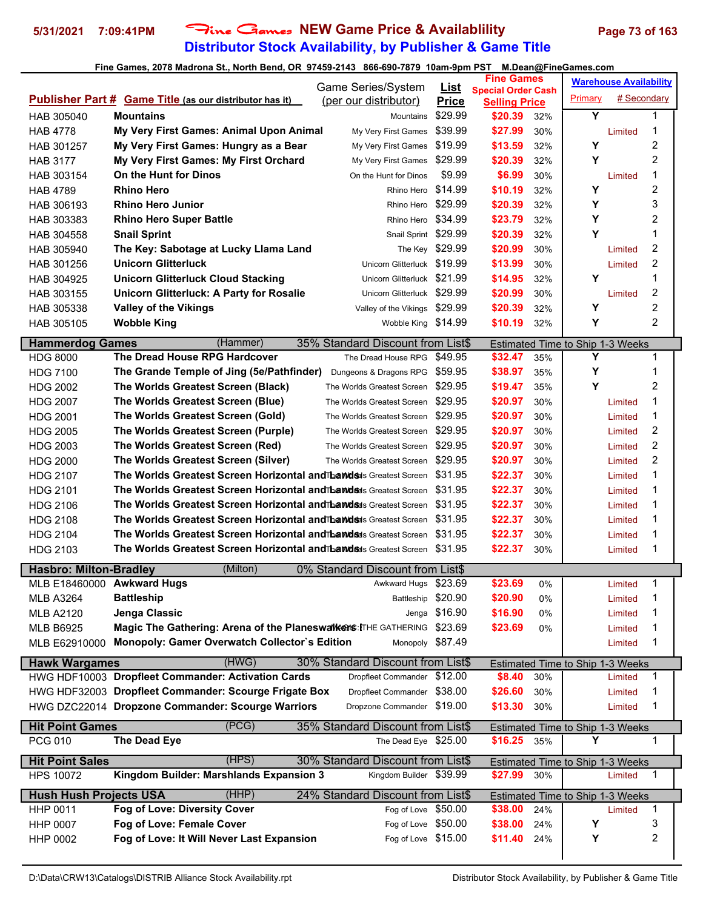# **Distributor Stock Availability, by Publisher & Game Title 5/31/2021 7:09:41PM** Fine Games **NEW Game Price & Availablility Page 73 of 163**

|                                            |                                                                           | Game Series/System                 |                             | <b>Fine Games</b>               |            |                                         | <b>Warehouse Availability</b> |                |  |
|--------------------------------------------|---------------------------------------------------------------------------|------------------------------------|-----------------------------|---------------------------------|------------|-----------------------------------------|-------------------------------|----------------|--|
|                                            | <b>Publisher Part # Game Title (as our distributor has it)</b>            | (per our distributor)              | <u>List</u><br><b>Price</b> | <b>Special Order Cash</b>       |            | Primary                                 | # Secondary                   |                |  |
| HAB 305040                                 | Mountains                                                                 | Mountains                          | \$29.99                     | <b>Selling Price</b><br>\$20.39 | 32%        | Y                                       |                               | 1              |  |
| <b>HAB 4778</b>                            | My Very First Games: Animal Upon Animal                                   | My Very First Games                | \$39.99                     | \$27.99                         | 30%        |                                         | Limited                       | 1              |  |
| HAB 301257                                 | My Very First Games: Hungry as a Bear                                     | My Very First Games                | \$19.99                     | \$13.59                         | 32%        | Υ                                       |                               | 2              |  |
| <b>HAB 3177</b>                            | My Very First Games: My First Orchard                                     | My Very First Games                | \$29.99                     | \$20.39                         | 32%        | Υ                                       |                               | 2              |  |
|                                            | On the Hunt for Dinos                                                     | On the Hunt for Dinos              | \$9.99                      | \$6.99                          | 30%        |                                         |                               | 1              |  |
| HAB 303154                                 | <b>Rhino Hero</b>                                                         | Rhino Hero                         | \$14.99                     | \$10.19                         | 32%        | Υ                                       | Limited                       | 2              |  |
| <b>HAB 4789</b><br>HAB 306193              | <b>Rhino Hero Junior</b>                                                  | Rhino Hero                         | \$29.99                     | \$20.39                         | 32%        | Y                                       |                               | 3              |  |
|                                            | <b>Rhino Hero Super Battle</b>                                            | Rhino Hero                         | \$34.99                     |                                 |            | Υ                                       |                               | 2              |  |
| HAB 303383                                 |                                                                           | Snail Sprint \$29.99               |                             | \$23.79<br>\$20.39              | 32%        | Y                                       |                               | 1              |  |
| HAB 304558                                 | <b>Snail Sprint</b><br>The Key: Sabotage at Lucky Llama Land              |                                    | The Key \$29.99             | \$20.99                         | 32%<br>30% |                                         | Limited                       | 2              |  |
| HAB 305940<br>HAB 301256                   | Unicorn Glitterluck                                                       | Unicorn Glitterluck \$19.99        |                             | \$13.99                         | 30%        |                                         | Limited                       | 2              |  |
|                                            |                                                                           | Unicorn Glitterluck \$21.99        |                             | \$14.95                         |            | Υ                                       |                               | 1              |  |
| HAB 304925                                 | <b>Unicorn Glitterluck Cloud Stacking</b>                                 | Unicorn Glitterluck \$29.99        |                             | \$20.99                         | 32%        |                                         |                               | 2              |  |
| HAB 303155                                 | Unicorn Glitterluck: A Party for Rosalie                                  |                                    |                             |                                 | 30%        | Υ                                       | Limited                       | $\overline{c}$ |  |
| HAB 305338                                 | <b>Valley of the Vikings</b>                                              | Valley of the Vikings              | \$29.99                     | \$20.39                         | 32%        |                                         |                               | 2              |  |
| HAB 305105                                 | <b>Wobble King</b>                                                        | Wobble King \$14.99                |                             | \$10.19                         | 32%        | Υ                                       |                               |                |  |
| <b>Hammerdog Games</b>                     | (Hammer)                                                                  | 35% Standard Discount from List\$  |                             |                                 |            | Estimated Time to Ship 1-3 Weeks        |                               |                |  |
| <b>HDG 8000</b>                            | The Dread House RPG Hardcover                                             | The Dread House RPG                | \$49.95                     | \$32.47                         | 35%        | Y                                       |                               | 1              |  |
| <b>HDG 7100</b>                            | The Grande Temple of Jing (5e/Pathfinder)                                 | Dungeons & Dragons RPG             | \$59.95                     | \$38.97                         | 35%        | Υ                                       |                               | 1              |  |
| <b>HDG 2002</b>                            | The Worlds Greatest Screen (Black)                                        | The Worlds Greatest Screen         | \$29.95                     | \$19.47                         | 35%        | Y                                       |                               | 2              |  |
| <b>HDG 2007</b>                            | The Worlds Greatest Screen (Blue)                                         | The Worlds Greatest Screen         | \$29.95                     | \$20.97                         | 30%        |                                         | Limited                       | 1              |  |
| <b>HDG 2001</b>                            | The Worlds Greatest Screen (Gold)                                         | The Worlds Greatest Screen         | \$29.95                     | \$20.97                         | 30%        |                                         | Limited                       | 1              |  |
| <b>HDG 2005</b>                            | The Worlds Greatest Screen (Purple)                                       | The Worlds Greatest Screen         | \$29.95                     | \$20.97                         | 30%        |                                         | Limited                       | 2              |  |
| <b>HDG 2003</b>                            | The Worlds Greatest Screen (Red)                                          | The Worlds Greatest Screen \$29.95 |                             | \$20.97                         | 30%        |                                         | Limited                       | $\overline{c}$ |  |
| <b>HDG 2000</b>                            | The Worlds Greatest Screen (Silver)                                       | The Worlds Greatest Screen         | \$29.95                     | \$20.97                         | 30%        |                                         | Limited                       | $\overline{c}$ |  |
| <b>HDG 2107</b>                            | The Worlds Greatest Screen Horizontal and Thandsds Greatest Screen        |                                    | \$31.95                     | \$22.37                         | 30%        |                                         | Limited                       | 1              |  |
| <b>HDG 2101</b>                            | <b>The Worlds Greatest Screen Horizontal andThawdsds</b> Greatest Screen  |                                    | \$31.95                     | \$22.37                         | 30%        |                                         | Limited                       | 1              |  |
| <b>HDG 2106</b>                            | <b>The Worlds Greatest Screen Horizontal andThawdsds</b> Greatest Screen  |                                    | \$31.95                     | \$22.37                         | 30%        |                                         | Limited                       | 1              |  |
| <b>HDG 2108</b>                            | <b>The Worlds Greatest Screen Horizontal and Thamdes</b> Greatest Screen  |                                    | \$31.95                     | \$22.37                         | 30%        |                                         | Limited                       | 1              |  |
| <b>HDG 2104</b>                            | <b>The Worlds Greatest Screen Horizontal and bands</b> us Greatest Screen |                                    | \$31.95                     | \$22.37                         | 30%        |                                         | Limited                       | 1              |  |
| HDG 2103                                   | The Worlds Greatest Screen Horizontal and Thands Greatest Screen \$31.95  |                                    |                             | \$22.37                         | 30%        |                                         | Limited                       | 1              |  |
| <b>Hasbro: Milton-Bradley</b>              | (Milton)                                                                  | 0% Standard Discount from List\$   |                             |                                 |            |                                         |                               |                |  |
| MLB E18460000 Awkward Hugs                 |                                                                           | Awkward Hugs \$23.69               |                             | \$23.69                         | 0%         |                                         | Limited                       | 1              |  |
| <b>MLB A3264</b>                           | <b>Battleship</b>                                                         | Battleship                         | \$20.90                     | \$20.90                         | 0%         |                                         | Limited                       | 1              |  |
| <b>MLB A2120</b>                           | Jenga Classic                                                             | Jenga                              | \$16.90                     | \$16.90                         | 0%         |                                         | Limited                       | 1              |  |
| <b>MLB B6925</b>                           | Magic The Gathering: Arena of the Planeswalkens: ITHE GATHERING           |                                    | \$23.69                     | \$23.69                         | 0%         |                                         | Limited                       | 1              |  |
| MLB E62910000                              | Monopoly: Gamer Overwatch Collector's Edition                             | Monopoly \$87.49                   |                             |                                 |            |                                         | Limited                       | 1              |  |
| <b>Hawk Wargames</b>                       | (HWG)                                                                     | 30% Standard Discount from List\$  |                             |                                 |            | Estimated Time to Ship 1-3 Weeks        |                               |                |  |
|                                            | HWG HDF10003 Dropfleet Commander: Activation Cards                        | Dropfleet Commander                | \$12.00                     | \$8.40                          | 30%        |                                         | Limited                       | $\mathbf{1}$   |  |
|                                            | HWG HDF32003 Dropfleet Commander: Scourge Frigate Box                     | Dropfleet Commander \$38.00        |                             | \$26.60                         | 30%        |                                         | Limited                       | 1              |  |
|                                            | HWG DZC22014 Dropzone Commander: Scourge Warriors                         | Dropzone Commander \$19.00         |                             | \$13.30                         | 30%        |                                         | Limited                       | 1              |  |
| <b>Hit Point Games</b>                     | (PCG)                                                                     | 35% Standard Discount from List\$  |                             |                                 |            | <b>Estimated Time to Ship 1-3 Weeks</b> |                               |                |  |
| <b>PCG 010</b>                             | The Dead Eye                                                              | The Dead Eye \$25.00               |                             | \$16.25                         | 35%        | Υ                                       |                               | $\mathbf{1}$   |  |
|                                            | (HPS)                                                                     | 30% Standard Discount from List\$  |                             |                                 |            |                                         |                               |                |  |
| <b>Hit Point Sales</b><br><b>HPS 10072</b> | Kingdom Builder: Marshlands Expansion 3                                   | Kingdom Builder \$39.99            |                             | \$27.99                         | 30%        | Estimated Time to Ship 1-3 Weeks        | Limited                       | $\mathbf{1}$   |  |
|                                            |                                                                           |                                    |                             |                                 |            |                                         |                               |                |  |
| <b>Hush Hush Projects USA</b>              | (HHP)                                                                     | 24% Standard Discount from List\$  |                             |                                 |            | <b>Estimated Time to Ship 1-3 Weeks</b> |                               |                |  |
| HHP 0011                                   | Fog of Love: Diversity Cover                                              | Fog of Love \$50.00                |                             | \$38.00                         | 24%        |                                         | Limited                       | 1              |  |
| <b>HHP 0007</b>                            | Fog of Love: Female Cover                                                 | Fog of Love \$50.00                |                             | \$38.00                         | 24%        | Υ                                       |                               | 3              |  |
| <b>HHP 0002</b>                            | Fog of Love: It Will Never Last Expansion                                 | Fog of Love \$15.00                |                             | \$11.40                         | 24%        | Υ                                       |                               | 2              |  |
|                                            |                                                                           |                                    |                             |                                 |            |                                         |                               |                |  |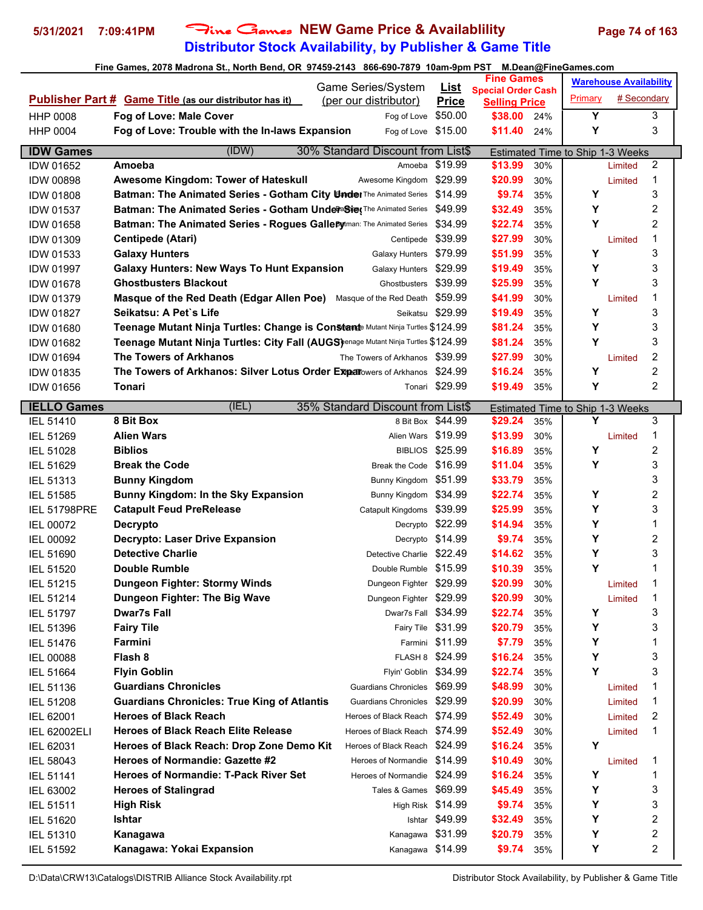# **Distributor Stock Availability, by Publisher & Game Title** 5/31/2021 7:09:41PM Fine Games NEW Game Price & Availablility Page 74 of 163

### **Fine Games, 2078 Madrona St., North Bend, OR 97459-2143 866-690-7879 10am-9pm PST M.Dean@FineGames.com**

|                     |                                                                                                                     | Game Series/System                    |                             | <b>Fine Games</b>               |            |                                  | <b>Warehouse Availability</b> |                         |
|---------------------|---------------------------------------------------------------------------------------------------------------------|---------------------------------------|-----------------------------|---------------------------------|------------|----------------------------------|-------------------------------|-------------------------|
|                     | <b>Publisher Part # Game Title (as our distributor has it)</b>                                                      | (per our distributor)                 | <b>List</b><br><b>Price</b> | <b>Special Order Cash</b>       |            | Primary                          | # Secondary                   |                         |
| <b>HHP 0008</b>     | Fog of Love: Male Cover                                                                                             | Fog of Love                           | \$50.00                     | <b>Selling Price</b><br>\$38.00 | 24%        | Υ                                |                               | 3                       |
| <b>HHP 0004</b>     | Fog of Love: Trouble with the In-laws Expansion                                                                     | Fog of Love \$15.00                   |                             | \$11.40                         | 24%        | Υ                                |                               | 3                       |
|                     |                                                                                                                     |                                       |                             |                                 |            |                                  |                               |                         |
| <b>IDW Games</b>    | (IDW)                                                                                                               | 30% Standard Discount from List\$     |                             |                                 |            | Estimated Time to Ship 1-3 Weeks |                               |                         |
| <b>IDW 01652</b>    | Amoeba                                                                                                              | Amoeba                                | \$19.99                     | \$13.99                         | 30%        |                                  | Limited                       | 2                       |
| <b>IDW 00898</b>    | Awesome Kingdom: Tower of Hateskull                                                                                 | Awesome Kingdom                       | \$29.99                     | \$20.99                         | 30%        |                                  | Limited                       | 1                       |
| <b>IDW 01808</b>    | <b>Batman: The Animated Series - Gotham City Under The Animated Series</b>                                          |                                       | \$14.99                     | \$9.74                          | 35%        | Υ                                |                               | 3                       |
| <b>IDW 01537</b>    | Batman: The Animated Series - Gotham UnderaSine The Animated Series                                                 |                                       | \$49.99<br>\$34.99          | \$32.49                         | 35%        | Υ<br>Υ                           |                               | 2<br>$\overline{c}$     |
| <b>IDW 01658</b>    | Batman: The Animated Series - Rogues Gallepytman: The Animated Series                                               |                                       | \$39.99                     | \$22.74<br>\$27.99              | 35%        |                                  |                               | 1                       |
| <b>IDW 01309</b>    | <b>Centipede (Atari)</b><br><b>Galaxy Hunters</b>                                                                   | Centipede                             | \$79.99                     | \$51.99                         | 30%<br>35% | Υ                                | Limited                       | 3                       |
| IDW 01533           |                                                                                                                     | <b>Galaxy Hunters</b>                 | \$29.99                     |                                 |            | Υ                                |                               | 3                       |
| <b>IDW 01997</b>    | <b>Galaxy Hunters: New Ways To Hunt Expansion</b><br><b>Ghostbusters Blackout</b>                                   | <b>Galaxy Hunters</b><br>Ghostbusters | \$39.99                     | \$19.49<br>\$25.99              | 35%        | Y                                |                               | 3                       |
| <b>IDW 01678</b>    | Masque of the Red Death (Edgar Allen Poe)                                                                           | Masque of the Red Death               | \$59.99                     | \$41.99                         | 35%<br>30% |                                  |                               | 1                       |
| <b>IDW 01379</b>    | Seikatsu: A Pet's Life                                                                                              |                                       | Seikatsu \$29.99            | \$19.49                         |            | Υ                                | Limited                       | 3                       |
| <b>IDW 01827</b>    |                                                                                                                     |                                       |                             | \$81.24                         | 35%<br>35% | Υ                                |                               | 3                       |
| <b>IDW 01680</b>    | Teenage Mutant Ninja Turtles: Change is Constante Mutant Ninja Turtles \$124.99                                     |                                       |                             |                                 |            | Y                                |                               |                         |
| <b>IDW 01682</b>    | Teenage Mutant Ninja Turtles: City Fall (AUGS) enage Mutant Ninja Turtles \$124.99<br><b>The Towers of Arkhanos</b> | The Towers of Arkhanos \$39.99        |                             | \$81.24                         | 35%        |                                  |                               | 3<br>2                  |
| <b>IDW 01694</b>    |                                                                                                                     |                                       |                             | \$27.99                         | 30%        | Υ                                | Limited                       | $\overline{c}$          |
| <b>IDW 01835</b>    | The Towers of Arkhanos: Silver Lotus Order Experiovers of Arkhanos                                                  |                                       | \$24.99                     | \$16.24                         | 35%        |                                  |                               | 2                       |
| <b>IDW 01656</b>    | Tonari                                                                                                              |                                       | Tonari \$29.99              | \$19.49                         | 35%        | Υ                                |                               |                         |
| <b>IELLO Games</b>  | (IEL)                                                                                                               | 35% Standard Discount from List\$     |                             |                                 |            | Estimated Time to Ship 1-3 Weeks |                               |                         |
| IEL 51410           | 8 Bit Box                                                                                                           |                                       | 8 Bit Box \$44.99           | \$29.24                         | 35%        | Υ                                |                               | 3                       |
| IEL 51269           | <b>Alien Wars</b>                                                                                                   | Alien Wars \$19.99                    |                             | \$13.99                         | 30%        |                                  | Limited                       | 1                       |
| <b>IEL 51028</b>    | <b>Biblios</b>                                                                                                      | <b>BIBLIOS</b>                        | \$25.99                     | \$16.89                         | 35%        | Υ                                |                               | 2                       |
| IEL 51629           | <b>Break the Code</b>                                                                                               | Break the Code \$16.99                |                             | \$11.04                         | 35%        | Υ                                |                               | 3                       |
| <b>IEL 51313</b>    | <b>Bunny Kingdom</b>                                                                                                | Bunny Kingdom \$51.99                 |                             | \$33.79                         | 35%        |                                  |                               | 3                       |
| <b>IEL 51585</b>    | Bunny Kingdom: In the Sky Expansion                                                                                 | Bunny Kingdom                         | \$34.99                     | \$22.74                         | 35%        | Υ                                |                               | $\overline{c}$          |
| <b>IEL 51798PRE</b> | <b>Catapult Feud PreRelease</b>                                                                                     | Catapult Kingdoms                     | \$39.99                     | \$25.99                         | 35%        | Y                                |                               | 3                       |
| IEL 00072           | <b>Decrypto</b>                                                                                                     |                                       | Decrypto \$22.99            | \$14.94                         | 35%        | Υ                                |                               | 1                       |
| <b>IEL 00092</b>    | <b>Decrypto: Laser Drive Expansion</b>                                                                              |                                       | Decrypto \$14.99            | \$9.74                          | 35%        | Υ                                |                               | 2                       |
| <b>IEL 51690</b>    | <b>Detective Charlie</b>                                                                                            | Detective Charlie \$22.49             |                             | \$14.62                         | 35%        | Υ                                |                               | 3                       |
| <b>IEL 51520</b>    | <b>Double Rumble</b>                                                                                                | Double Rumble \$15.99                 |                             | \$10.39                         | 35%        | Υ                                |                               | 1                       |
| <b>IEL 51215</b>    | Dungeon Fighter: Stormy Winds                                                                                       | Dungeon Fighter \$29.99               |                             | \$20.99                         | 30%        |                                  | Limited                       | 1                       |
| IEL 51214           | Dungeon Fighter: The Big Wave                                                                                       | Dungeon Fighter \$29.99               |                             | \$20.99                         | 30%        |                                  | Limited                       | 1                       |
| IEL 51797           | <b>Dwar7s Fall</b>                                                                                                  | Dwar7s Fall \$34.99                   |                             | \$22.74                         | 35%        | Υ                                |                               | 3                       |
| IEL 51396           | <b>Fairy Tile</b>                                                                                                   | Fairy Tile \$31.99                    |                             | \$20.79                         | 35%        | Y                                |                               | 3                       |
| IEL 51476           | Farmini                                                                                                             |                                       | Farmini \$11.99             | \$7.79                          | 35%        | Y                                |                               | 1                       |
| <b>IEL 00088</b>    | Flash 8                                                                                                             | FLASH 8 \$24.99                       |                             | \$16.24                         | 35%        | Υ                                |                               | 3                       |
| IEL 51664           | <b>Flyin Goblin</b>                                                                                                 | Flyin' Goblin \$34.99                 |                             | \$22.74                         | 35%        | Υ                                |                               | 3                       |
| IEL 51136           | <b>Guardians Chronicles</b>                                                                                         | Guardians Chronicles \$69.99          |                             | \$48.99                         | 30%        |                                  | Limited                       | 1                       |
| IEL 51208           | <b>Guardians Chronicles: True King of Atlantis</b>                                                                  | <b>Guardians Chronicles</b>           | \$29.99                     | \$20.99                         | 30%        |                                  | Limited                       | 1                       |
| IEL 62001           | <b>Heroes of Black Reach</b>                                                                                        | Heroes of Black Reach \$74.99         |                             | \$52.49                         | 30%        |                                  | Limited                       | 2                       |
| <b>IEL 62002ELI</b> | <b>Heroes of Black Reach Elite Release</b>                                                                          | Heroes of Black Reach \$74.99         |                             | \$52.49                         | 30%        |                                  | Limited                       | 1                       |
| IEL 62031           | Heroes of Black Reach: Drop Zone Demo Kit                                                                           | Heroes of Black Reach \$24.99         |                             | \$16.24                         | 35%        | Υ                                |                               |                         |
| IEL 58043           | Heroes of Normandie: Gazette #2                                                                                     | Heroes of Normandie \$14.99           |                             | \$10.49                         | 30%        |                                  | Limited                       | 1                       |
| IEL 51141           | <b>Heroes of Normandie: T-Pack River Set</b>                                                                        | Heroes of Normandie \$24.99           |                             | \$16.24                         | 35%        | Υ                                |                               | 1                       |
| IEL 63002           | <b>Heroes of Stalingrad</b>                                                                                         | Tales & Games \$69.99                 |                             | \$45.49                         | 35%        | Y                                |                               | 3                       |
| <b>IEL 51511</b>    | <b>High Risk</b>                                                                                                    | High Risk \$14.99                     |                             | \$9.74                          | 35%        | Y                                |                               | 3                       |
| IEL 51620           | <b>Ishtar</b>                                                                                                       |                                       | Ishtar \$49.99              | \$32.49                         | 35%        | Υ                                |                               | 2                       |
| IEL 51310           | Kanagawa                                                                                                            | Kanagawa \$31.99                      |                             | \$20.79                         | 35%        | Υ                                |                               | $\overline{\mathbf{c}}$ |
| IEL 51592           | Kanagawa: Yokai Expansion                                                                                           | Kanagawa \$14.99                      |                             | \$9.74                          | 35%        | Υ                                |                               | 2                       |

D:\Data\CRW13\Catalogs\DISTRIB Alliance Stock Availability.rpt Distributor Stock Availability, by Publisher & Game Title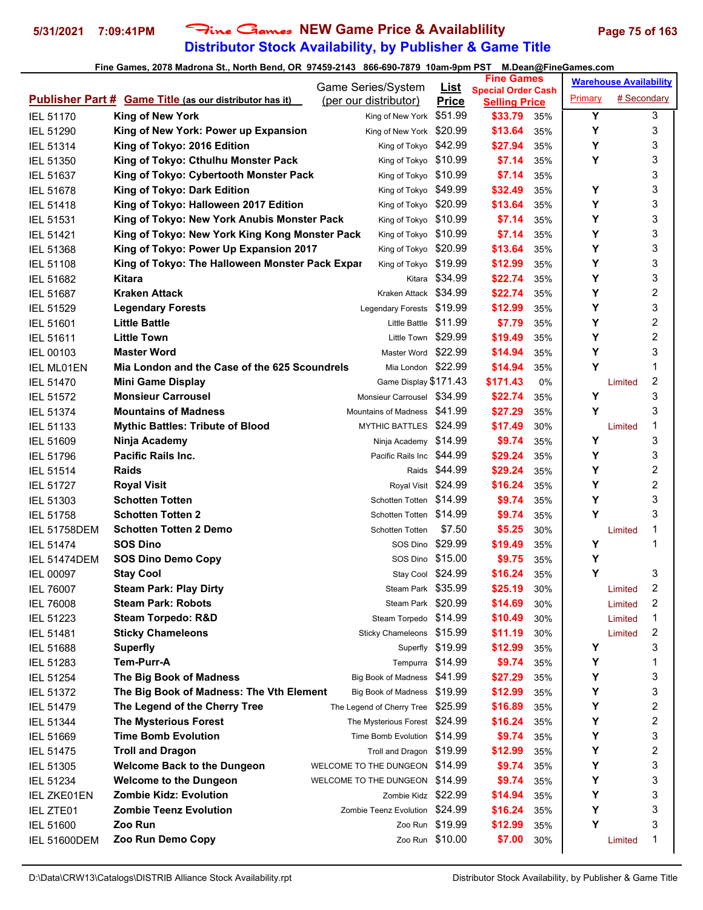# **Distributor Stock Availability, by Publisher & Game Title** 5/31/2021 7:09:41PM Fine Games NEW Game Price & Availablility Page 75 of 163

|                     |                                                                | Game Series/System                | <u>List</u>      | <b>Fine Games</b>                                 |            |         | <b>Warehouse Availability</b> |                         |
|---------------------|----------------------------------------------------------------|-----------------------------------|------------------|---------------------------------------------------|------------|---------|-------------------------------|-------------------------|
|                     | <b>Publisher Part # Game Title (as our distributor has it)</b> | (per our distributor)             | <b>Price</b>     | <b>Special Order Cash</b><br><b>Selling Price</b> |            | Primary | # Secondary                   |                         |
| <b>IEL 51170</b>    | <b>King of New York</b>                                        | King of New York \$51.99          |                  | \$33.79                                           | 35%        | Υ       |                               | 3                       |
| IEL 51290           | King of New York: Power up Expansion                           | King of New York \$20.99          |                  | \$13.64                                           | 35%        | Y       |                               | 3                       |
| IEL 51314           | King of Tokyo: 2016 Edition                                    | King of Tokyo \$42.99             |                  | \$27.94                                           | 35%        | Y       |                               | 3                       |
| <b>IEL 51350</b>    | King of Tokyo: Cthulhu Monster Pack                            | King of Tokyo \$10.99             |                  | \$7.14                                            | 35%        | Y       |                               | 3                       |
| <b>IEL 51637</b>    | King of Tokyo: Cybertooth Monster Pack                         | King of Tokyo \$10.99             |                  | \$7.14                                            | 35%        |         |                               | 3                       |
| <b>IEL 51678</b>    | King of Tokyo: Dark Edition                                    | King of Tokyo \$49.99             |                  | \$32.49                                           | 35%        | Υ       |                               | 3                       |
| <b>IEL 51418</b>    | King of Tokyo: Halloween 2017 Edition                          | King of Tokyo \$20.99             |                  | \$13.64                                           | 35%        | Υ       |                               | 3                       |
| <b>IEL 51531</b>    | King of Tokyo: New York Anubis Monster Pack                    | King of Tokyo \$10.99             |                  | \$7.14                                            | 35%        | Y       |                               | 3                       |
| <b>IEL 51421</b>    | King of Tokyo: New York King Kong Monster Pack                 | King of Tokyo \$10.99             |                  | \$7.14                                            | 35%        | Y       |                               | 3                       |
| IEL 51368           | King of Tokyo: Power Up Expansion 2017                         | King of Tokyo \$20.99             |                  | \$13.64                                           | 35%        | Y       |                               | 3                       |
| <b>IEL 51108</b>    | King of Tokyo: The Halloween Monster Pack Expar                | King of Tokyo \$19.99             |                  | \$12.99                                           | 35%        | Y       |                               | 3                       |
| <b>IEL 51682</b>    | Kitara                                                         |                                   | Kitara \$34.99   | \$22.74                                           | 35%        | Υ       |                               | 3                       |
| <b>IEL 51687</b>    | <b>Kraken Attack</b>                                           | Kraken Attack \$34.99             |                  | \$22.74                                           | 35%        | Y       |                               | 2                       |
| <b>IEL 51529</b>    | <b>Legendary Forests</b>                                       | Legendary Forests \$19.99         |                  | \$12.99                                           | 35%        | Υ       |                               | 3                       |
| <b>IEL 51601</b>    | <b>Little Battle</b>                                           | Little Battle \$11.99             |                  | \$7.79                                            | 35%        | Y       |                               | $\boldsymbol{2}$        |
| IEL 51611           | <b>Little Town</b>                                             | Little Town \$29.99               |                  | \$19.49                                           | 35%        | Y       |                               | 2                       |
| <b>IEL 00103</b>    | <b>Master Word</b>                                             | Master Word \$22.99               |                  | \$14.94                                           | 35%        | Y       |                               | 3                       |
| <b>IEL ML01EN</b>   | Mia London and the Case of the 625 Scoundrels                  | Mia London \$22.99                |                  | \$14.94                                           | 35%        | Y       |                               | 1                       |
| <b>IEL 51470</b>    | <b>Mini Game Display</b>                                       | Game Display \$171.43             |                  | \$171.43                                          | 0%         |         | Limited                       | 2                       |
| <b>IEL 51572</b>    | <b>Monsieur Carrousel</b>                                      | Monsieur Carrousel \$34.99        |                  | \$22.74                                           |            | Υ       |                               | 3                       |
|                     | <b>Mountains of Madness</b>                                    | Mountains of Madness \$41,99      |                  | \$27.29                                           | 35%<br>35% | Y       |                               | 3                       |
| <b>IEL 51374</b>    | <b>Mythic Battles: Tribute of Blood</b>                        | MYTHIC BATTLES \$24.99            |                  | \$17.49                                           | 30%        |         |                               | 1                       |
| <b>IEL 51133</b>    |                                                                | Ninja Academy \$14.99             |                  | \$9.74                                            |            | Υ       | Limited                       | 3                       |
| <b>IEL 51609</b>    | Ninja Academy<br><b>Pacific Rails Inc.</b>                     | Pacific Rails Inc \$44.99         |                  | \$29.24                                           | 35%        | Y       |                               | 3                       |
| <b>IEL 51796</b>    | <b>Raids</b>                                                   |                                   | Raids \$44.99    |                                                   | 35%        | Υ       |                               | 2                       |
| <b>IEL 51514</b>    |                                                                |                                   |                  | \$29.24                                           | 35%        | Y       |                               | $\overline{c}$          |
| <b>IEL 51727</b>    | <b>Royal Visit</b>                                             | Royal Visit \$24.99               |                  | \$16.24                                           | 35%        | Y       |                               |                         |
| IEL 51303           | <b>Schotten Totten</b>                                         | Schotten Totten \$14.99           |                  | \$9.74                                            | 35%        | Y       |                               | 3<br>3                  |
| <b>IEL 51758</b>    | <b>Schotten Totten 2</b>                                       | Schotten Totten \$14.99           |                  | \$9.74                                            | 35%        |         |                               |                         |
| <b>IEL 51758DEM</b> | <b>Schotten Totten 2 Demo</b>                                  | Schotten Totten                   | \$7.50           | \$5.25                                            | 30%        |         | Limited                       | 1                       |
| <b>IEL 51474</b>    | <b>SOS Dino</b>                                                | SOS Dino \$29.99                  |                  | \$19.49                                           | 35%        | Υ       |                               | 1                       |
| <b>IEL 51474DEM</b> | <b>SOS Dino Demo Copy</b>                                      | SOS Dino \$15.00                  |                  | \$9.75                                            | 35%        | Υ<br>Y  |                               | 3                       |
| <b>IEL 00097</b>    | <b>Stay Cool</b>                                               | Stay Cool \$24.99                 |                  | \$16.24                                           | 35%        |         |                               | 2                       |
| <b>IEL 76007</b>    | <b>Steam Park: Play Dirty</b>                                  | Steam Park \$35.99                |                  | \$25.19                                           | 30%        |         | Limited                       |                         |
| <b>IEL 76008</b>    | <b>Steam Park: Robots</b>                                      | Steam Park \$20.99                |                  | \$14.69                                           | 30%        |         | Limited                       | 2                       |
| IEL 51223           | <b>Steam Torpedo: R&amp;D</b>                                  | Steam Torpedo \$14.99             |                  | \$10.49                                           | 30%        |         | Limited                       | 1                       |
| <b>IEL 51481</b>    | <b>Sticky Chameleons</b>                                       | Sticky Chameleons \$15.99         |                  | \$11.19                                           | 30%        |         | Limited                       | 2                       |
| IEL 51688           | <b>Superfly</b>                                                |                                   | Superfly \$19.99 | \$12.99                                           | 35%        | Y       |                               | 3                       |
| IEL 51283           | Tem-Purr-A                                                     | Tempurra \$14.99                  |                  | \$9.74                                            | 35%        | Υ       |                               | 1                       |
| IEL 51254           | The Big Book of Madness                                        | Big Book of Madness \$41.99       |                  | \$27.29                                           | 35%        | Υ       |                               | 3                       |
| <b>IEL 51372</b>    | The Big Book of Madness: The Vth Element                       | Big Book of Madness \$19.99       |                  | \$12.99                                           | 35%        | Υ       |                               | 3                       |
| <b>IEL 51479</b>    | The Legend of the Cherry Tree                                  | The Legend of Cherry Tree \$25.99 |                  | \$16.89                                           | 35%        | Υ       |                               | $\overline{\mathbf{c}}$ |
| <b>IEL 51344</b>    | <b>The Mysterious Forest</b>                                   | The Mysterious Forest \$24.99     |                  | \$16.24                                           | 35%        | Υ       |                               | 2                       |
| IEL 51669           | <b>Time Bomb Evolution</b>                                     | Time Bomb Evolution \$14.99       |                  | \$9.74                                            | 35%        | Υ       |                               | 3                       |
| <b>IEL 51475</b>    | <b>Troll and Dragon</b>                                        | Troll and Dragon \$19.99          |                  | \$12.99                                           | 35%        | Υ       |                               | 2                       |
| IEL 51305           | <b>Welcome Back to the Dungeon</b>                             | WELCOME TO THE DUNGEON \$14.99    |                  | \$9.74                                            | 35%        | Y       |                               | 3                       |
| IEL 51234           | <b>Welcome to the Dungeon</b>                                  | WELCOME TO THE DUNGEON \$14.99    |                  | \$9.74                                            | 35%        | Υ       |                               | 3                       |
| <b>IEL ZKE01EN</b>  | <b>Zombie Kidz: Evolution</b>                                  | Zombie Kidz \$22.99               |                  | \$14.94                                           | 35%        | Υ       |                               | 3                       |
| IEL ZTE01           | <b>Zombie Teenz Evolution</b>                                  | Zombie Teenz Evolution \$24.99    |                  | \$16.24                                           | 35%        | Υ       |                               | 3                       |
| <b>IEL 51600</b>    | Zoo Run                                                        |                                   | Zoo Run \$19.99  | \$12.99                                           | 35%        | Υ       |                               | 3                       |
| <b>IEL 51600DEM</b> | Zoo Run Demo Copy                                              |                                   | Zoo Run \$10.00  | \$7.00                                            | 30%        |         | Limited                       | 1                       |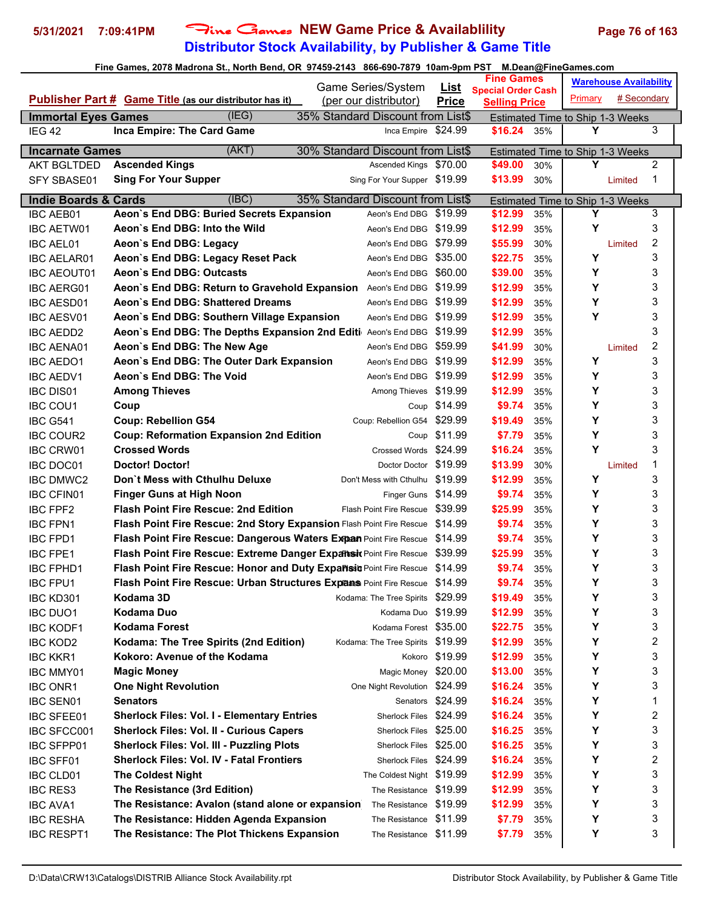# **Distributor Stock Availability, by Publisher & Game Title 5/31/2021 7:09:41PM** Fine Games **NEW Game Price & Availablility Page 76 of 163**

|                                 |                                                                      |                                             |                | <b>Fine Games</b>         |     |                                       | <b>Warehouse Availability</b> |                |
|---------------------------------|----------------------------------------------------------------------|---------------------------------------------|----------------|---------------------------|-----|---------------------------------------|-------------------------------|----------------|
|                                 | <b>Publisher Part # Game Title (as our distributor has it)</b>       | Game Series/System<br>(per our distributor) | <u>List</u>    | <b>Special Order Cash</b> |     | Primary                               | # Secondary                   |                |
| <b>Immortal Eyes Games</b>      | (IEG)<br>35% Standard Discount from List\$                           |                                             | <b>Price</b>   | <b>Selling Price</b>      |     |                                       |                               |                |
| IEG <sub>42</sub>               | Inca Empire: The Card Game                                           | Inca Empire \$24.99                         |                | \$16.24                   | 35% | Estimated Time to Ship 1-3 Weeks<br>Υ |                               | 3              |
|                                 |                                                                      |                                             |                |                           |     |                                       |                               |                |
| <b>Incarnate Games</b>          | (AKT)<br>30% Standard Discount from List\$                           |                                             |                |                           |     | Estimated Time to Ship 1-3 Weeks      |                               |                |
| <b>AKT BGLTDED</b>              | <b>Ascended Kings</b>                                                | Ascended Kings \$70.00                      |                | \$49.00                   | 30% | Y                                     |                               | $\overline{2}$ |
| <b>SFY SBASE01</b>              | <b>Sing For Your Supper</b>                                          | Sing For Your Supper \$19.99                |                | \$13.99                   | 30% |                                       | Limited                       | 1              |
| <b>Indie Boards &amp; Cards</b> | (IBC)<br>35% Standard Discount from List\$                           |                                             |                |                           |     | Estimated Time to Ship 1-3 Weeks      |                               |                |
| <b>IBC AEB01</b>                | Aeon's End DBG: Buried Secrets Expansion                             | Aeon's End DBG                              | \$19.99        | \$12.99                   | 35% | Y                                     |                               | 3              |
| <b>IBC AETW01</b>               | Aeon's End DBG: Into the Wild                                        | Aeon's End DBG \$19.99                      |                | \$12.99                   | 35% | Υ                                     |                               | 3              |
| <b>IBC AEL01</b>                | Aeon's End DBG: Legacy                                               | Aeon's End DBG \$79.99                      |                | \$55.99                   | 30% |                                       | Limited                       | 2              |
| <b>IBC AELAR01</b>              | Aeon's End DBG: Legacy Reset Pack                                    | Aeon's End DBG \$35.00                      |                | \$22.75                   | 35% | Υ                                     |                               | 3              |
| <b>IBC AEOUT01</b>              | Aeon's End DBG: Outcasts                                             | Aeon's End DBG \$60.00                      |                | \$39.00                   | 35% | Υ                                     |                               | 3              |
| <b>IBC AERG01</b>               | Aeon's End DBG: Return to Gravehold Expansion                        | Aeon's End DBG \$19.99                      |                | \$12.99                   | 35% | Y                                     |                               | 3              |
| <b>IBC AESD01</b>               | Aeon's End DBG: Shattered Dreams                                     | Aeon's End DBG \$19.99                      |                | \$12.99                   | 35% | Y                                     |                               | 3              |
| <b>IBC AESV01</b>               | Aeon's End DBG: Southern Village Expansion                           | Aeon's End DBG \$19.99                      |                | \$12.99                   | 35% | Y                                     |                               | 3              |
| <b>IBC AEDD2</b>                | Aeon's End DBG: The Depths Expansion 2nd Editi Aeon's End DBG        |                                             | \$19.99        | \$12.99                   | 35% |                                       |                               | 3              |
| <b>IBC AENA01</b>               | Aeon's End DBG: The New Age                                          | Aeon's End DBG                              | \$59.99        | \$41.99                   | 30% |                                       | Limited                       | 2              |
| <b>IBC AEDO1</b>                | Aeon's End DBG: The Outer Dark Expansion                             | Aeon's End DBG \$19.99                      |                | \$12.99                   | 35% | Υ                                     |                               | 3              |
| <b>IBC AEDV1</b>                | Aeon's End DBG: The Void                                             | Aeon's End DBG \$19.99                      |                | \$12.99                   | 35% | Y                                     |                               | 3              |
| <b>IBC DIS01</b>                | <b>Among Thieves</b>                                                 | Among Thieves                               | \$19.99        | \$12.99                   | 35% | Y                                     |                               | 3              |
| <b>IBC COU1</b>                 | Coup                                                                 |                                             | Coup \$14.99   | \$9.74                    | 35% | Y                                     |                               | 3              |
| <b>IBC G541</b>                 | <b>Coup: Rebellion G54</b>                                           | Coup: Rebellion G54                         | \$29.99        | \$19.49                   | 35% | Y                                     |                               | 3              |
| <b>IBC COUR2</b>                | <b>Coup: Reformation Expansion 2nd Edition</b>                       | Coup                                        | \$11.99        | \$7.79                    | 35% | Υ                                     |                               | 3              |
| <b>IBC CRW01</b>                | <b>Crossed Words</b>                                                 | Crossed Words \$24.99                       |                | \$16.24                   | 35% | Y                                     |                               | 3              |
| <b>IBC DOC01</b>                | <b>Doctor! Doctor!</b>                                               | Doctor Doctor \$19.99                       |                | \$13.99                   | 30% |                                       | Limited                       | 1              |
| <b>IBC DMWC2</b>                | Don't Mess with Cthulhu Deluxe                                       | Don't Mess with Cthulhu                     | \$19.99        | \$12.99                   | 35% | Υ                                     |                               | 3              |
| <b>IBC CFIN01</b>               | <b>Finger Guns at High Noon</b>                                      | Finger Guns                                 | \$14.99        | \$9.74                    | 35% | Υ                                     |                               | 3              |
| <b>IBC FPF2</b>                 | <b>Flash Point Fire Rescue: 2nd Edition</b>                          | <b>Flash Point Fire Rescue</b>              | \$39.99        | \$25.99                   | 35% | Υ                                     |                               | 3              |
| <b>IBC FPN1</b>                 | Flash Point Fire Rescue: 2nd Story Expansion Flash Point Fire Rescue |                                             | \$14.99        | \$9.74                    | 35% | Υ                                     |                               | 3              |
| <b>IBC FPD1</b>                 | Flash Point Fire Rescue: Dangerous Waters Expan Point Fire Rescue    |                                             | \$14.99        | \$9.74                    | 35% | Υ                                     |                               | 3              |
| <b>IBC FPE1</b>                 | Flash Point Fire Rescue: Extreme Danger Expansix Point Fire Rescue   |                                             | \$39.99        | \$25.99                   | 35% | Υ                                     |                               | 3              |
| <b>IBC FPHD1</b>                | Flash Point Fire Rescue: Honor and Duty Expartsit Point Fire Rescue  |                                             | \$14.99        | \$9.74                    | 35% | Υ                                     |                               | 3              |
| <b>IBC FPU1</b>                 | Flash Point Fire Rescue: Urban Structures Expans Point Fire Rescue   |                                             | \$14.99        | \$9.74                    | 35% | Y                                     |                               | 3              |
| IBC KD301                       | Kodama 3D                                                            | Kodama: The Tree Spirits                    | \$29.99        | \$19.49                   | 35% | Υ                                     |                               | 3              |
| <b>IBC DUO1</b>                 | Kodama Duo                                                           | Kodama Duo                                  | \$19.99        | \$12.99                   | 35% | Υ                                     |                               | 3              |
| <b>IBC KODF1</b>                | <b>Kodama Forest</b>                                                 | Kodama Forest \$35.00                       |                | \$22.75                   | 35% | Υ                                     |                               | 3              |
| <b>IBC KOD2</b>                 | Kodama: The Tree Spirits (2nd Edition)                               | Kodama: The Tree Spirits                    | \$19.99        | \$12.99                   | 35% | Υ                                     |                               | 2              |
| <b>IBC KKR1</b>                 | Kokoro: Avenue of the Kodama                                         |                                             | Kokoro \$19.99 | \$12.99                   | 35% | Υ                                     |                               | 3              |
| <b>IBC MMY01</b>                | <b>Magic Money</b>                                                   | Magic Money \$20.00                         |                | \$13.00                   | 35% | Υ                                     |                               | 3              |
| <b>IBC ONR1</b>                 | <b>One Night Revolution</b>                                          | One Night Revolution                        | \$24.99        | \$16.24                   | 35% | Υ                                     |                               | 3              |
| <b>IBC SEN01</b>                | <b>Senators</b>                                                      | Senators                                    | \$24.99        | \$16.24                   | 35% | Υ                                     |                               | 1              |
| <b>IBC SFEE01</b>               | <b>Sherlock Files: Vol. I - Elementary Entries</b>                   | Sherlock Files                              | \$24.99        | \$16.24                   | 35% | Υ                                     |                               | 2              |
| IBC SFCC001                     | <b>Sherlock Files: Vol. II - Curious Capers</b>                      | Sherlock Files                              | \$25.00        | \$16.25                   | 35% | Υ                                     |                               | 3              |
| <b>IBC SFPP01</b>               | <b>Sherlock Files: Vol. III - Puzzling Plots</b>                     | <b>Sherlock Files</b>                       | \$25.00        | \$16.25                   | 35% | Υ                                     |                               | 3              |
| <b>IBC SFF01</b>                | <b>Sherlock Files: Vol. IV - Fatal Frontiers</b>                     | Sherlock Files \$24.99                      |                | \$16.24                   | 35% | Υ                                     |                               | 2              |
| <b>IBC CLD01</b>                | <b>The Coldest Night</b>                                             | The Coldest Night \$19.99                   |                | \$12.99                   | 35% | Υ                                     |                               | 3              |
| <b>IBC RES3</b>                 | The Resistance (3rd Edition)                                         | The Resistance \$19.99                      |                | \$12.99                   | 35% | Υ                                     |                               | 3              |
| <b>IBC AVA1</b>                 | The Resistance: Avalon (stand alone or expansion)                    | The Resistance \$19.99                      |                | \$12.99                   | 35% | Υ                                     |                               | 3              |
| <b>IBC RESHA</b>                | The Resistance: Hidden Agenda Expansion                              | The Resistance                              | \$11.99        | \$7.79                    | 35% | Υ                                     |                               | 3              |
| <b>IBC RESPT1</b>               | The Resistance: The Plot Thickens Expansion                          | The Resistance                              | \$11.99        | \$7.79                    | 35% | Υ                                     |                               | 3              |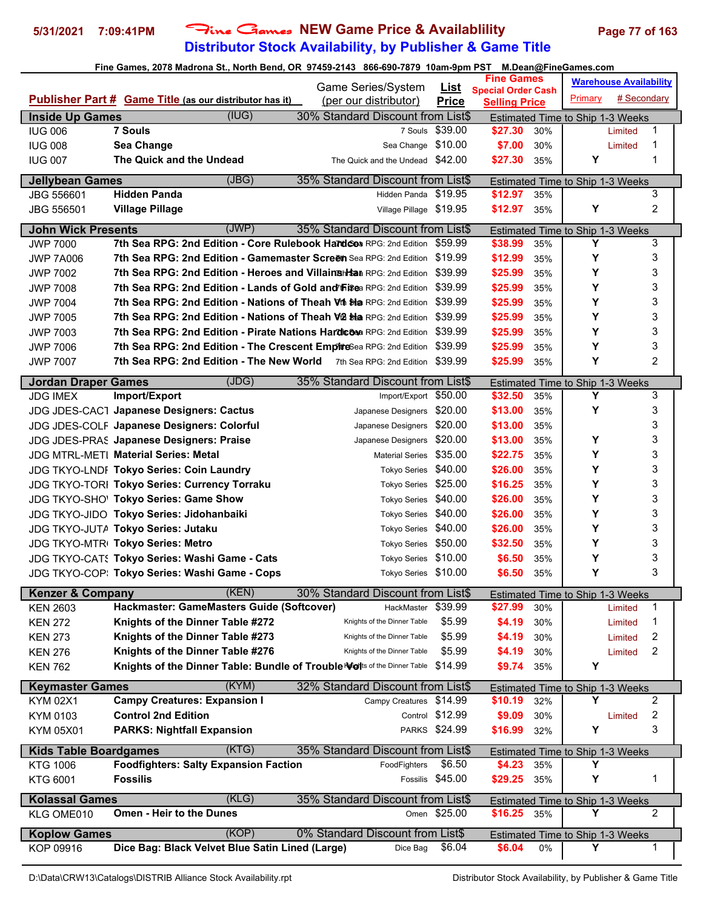# **Distributor Stock Availability, by Publisher & Game Title** 5/31/2021 7:09:41PM Fine Games NEW Game Price & Availablility Page 77 of 163

| Fine Games, 2078 Madrona St., North Bend, OR  97459-2143   866-690-7879  10am-9pm PST    M.Dean@FineGames.com |  |
|---------------------------------------------------------------------------------------------------------------|--|

| <b>Special Order Cash</b><br>Primary<br># Secondary<br>Publisher Part # Game Title (as our distributor has it)<br>(per our distributor)<br><b>Price</b><br><b>Selling Price</b><br>(IUG)<br>30% Standard Discount from List\$<br><b>Inside Up Games</b><br><b>Estimated Time to Ship 1-3 Weeks</b><br><b>7 Souls</b><br>\$39.00<br>\$27.30<br>1<br><b>IUG 006</b><br>7 Souls<br>30%<br>Limited<br>Sea Change<br>\$10.00<br>\$7.00<br>1<br><b>IUG 008</b><br>Sea Change<br>30%<br>Limited<br>The Quick and the Undead<br>Υ<br>1<br><b>IUG 007</b><br>The Quick and the Undead<br>\$42.00<br>\$27.30<br>35%<br>(JBG)<br><b>Jellybean Games</b><br>35% Standard Discount from List\$<br>Estimated Time to Ship 1-3 Weeks<br><b>Hidden Panda</b><br>Hidden Panda \$19.95<br>\$12.97<br>3<br>JBG 556601<br>35%<br>2<br>Y<br>JBG 556501<br><b>Village Pillage</b><br>Village Pillage \$19.95<br>\$12.97<br>35%<br>(JWP)<br><b>John Wick Presents</b><br>35% Standard Discount from List\$<br>Estimated Time to Ship 1-3 Weeks<br>Y<br>7th Sea RPG: 2nd Edition - Core Rulebook Hardcot RPG: 2nd Edition<br>3<br>\$38.99<br><b>JWP 7000</b><br>\$59.99<br>35%<br>Y<br>3<br><b>7th Sea RPG: 2nd Edition - Gamemaster Screen</b> Sea RPG: 2nd Edition \$19.99<br>\$12.99<br><b>JWP 7A006</b><br>35%<br>3<br>7th Sea RPG: 2nd Edition - Heroes and Villainsh Saa RPG: 2nd Edition \$39.99<br>Υ<br><b>JWP 7002</b><br>\$25.99<br>35%<br>3<br>\$39.99<br>\$25.99<br>Y<br>7th Sea RPG: 2nd Edition - Lands of Gold and hi\$ea RPG: 2nd Edition<br><b>JWP 7008</b><br>35%<br>Y<br>3<br>\$39.99<br>7th Sea RPG: 2nd Edition - Nations of Theah Vth Sta RPG: 2nd Edition<br>\$25.99<br><b>JWP 7004</b><br>35%<br>3<br>7th Sea RPG: 2nd Edition - Nations of Theah V2 Sta RPG: 2nd Edition<br>\$39.99<br>Υ<br><b>JWP 7005</b><br>\$25.99<br>35%<br>3<br>\$39.99<br>Υ<br><b>JWP 7003</b><br><b>7th Sea RPG: 2nd Edition - Pirate Nations Hardicosa RPG: 2nd Edition</b><br>\$25.99<br>35%<br>Y<br>3<br>7th Sea RPG: 2nd Edition - The Crescent EmpireSea RPG: 2nd Edition<br>\$39.99<br>\$25.99<br><b>JWP 7006</b><br>35%<br>Y<br>2<br>7th Sea RPG: 2nd Edition - The New World 7th Sea RPG: 2nd Edition \$39.99<br>\$25.99<br><b>JWP 7007</b><br>35%<br>(JDG)<br>35% Standard Discount from List\$<br><b>Jordan Draper Games</b><br>Estimated Time to Ship 1-3 Weeks<br>3<br>Import/Export \$50.00<br>\$32.50<br>Υ<br><b>JDG IMEX</b><br>Import/Export<br>35%<br>Y<br>3<br>Japanese Designers \$20.00<br>\$13.00<br><b>JDG JDES-CACT Japanese Designers: Cactus</b><br>35%<br>3<br>JDG JDES-COLF Japanese Designers: Colorful<br>\$20.00<br>\$13.00<br>35%<br>Japanese Designers<br>3<br>\$20.00<br>\$13.00<br>Υ<br><b>JDG JDES-PRAS Japanese Designers: Praise</b><br>Japanese Designers<br>35%<br>3<br>Y<br>JDG MTRL-METI Material Series: Metal<br>\$35.00<br>\$22.75<br><b>Material Series</b><br>35%<br>3<br>Υ<br>JDG TKYO-LNDF Tokyo Series: Coin Laundry<br>\$40.00<br>\$26.00<br><b>Tokyo Series</b><br>35%<br>3<br>\$25.00<br>Υ<br>JDG TKYO-TORI Tokyo Series: Currency Torraku<br>\$16.25<br><b>Tokyo Series</b><br>35%<br>3<br>Y<br>\$40.00<br>JDG TKYO-SHO' Tokyo Series: Game Show<br>\$26.00<br><b>Tokyo Series</b><br>35%<br>3<br>\$40.00<br>Υ<br>JDG TKYO-JIDO Tokyo Series: Jidohanbaiki<br>\$26.00<br><b>Tokyo Series</b><br>35%<br>3<br>Υ<br>\$40.00<br>\$26.00<br>JDG TKYO-JUTA Tokyo Series: Jutaku<br>35%<br><b>Tokyo Series</b><br>3<br>Y<br>\$50.00<br>\$32.50<br>JDG TKYO-MTRI Tokyo Series: Metro<br>35%<br><b>Tokyo Series</b><br>3<br>Y<br>JDG TKYO-CATS Tokyo Series: Washi Game - Cats<br>\$10.00<br>\$6.50<br><b>Tokyo Series</b><br>35%<br>3<br>Υ<br>JDG TKYO-COP: Tokyo Series: Washi Game - Cops<br>Tokyo Series \$10.00<br>\$6.50<br>35%<br>(KEN)<br>30% Standard Discount from List\$<br><b>Kenzer &amp; Company</b><br><b>Estimated Time to Ship 1-3 Weeks</b><br>Hackmaster: GameMasters Guide (Softcover)<br>\$39.99<br>\$27.99<br>1<br><b>KEN 2603</b><br>HackMaster<br>30%<br>Limited<br>\$5.99<br>Knights of the Dinner Table #272<br>Knights of the Dinner Table<br>\$4.19<br>1<br>30%<br><b>KEN 272</b><br>Limited<br>Knights of the Dinner Table #273<br>\$5.99<br>\$4.19<br>2<br>Knights of the Dinner Table<br>30%<br><b>KEN 273</b><br>Limited<br>Knights of the Dinner Table #276<br>\$5.99<br>2<br><b>KEN 276</b><br>Knights of the Dinner Table<br>\$4.19<br>30%<br>Limited<br>Knights of the Dinner Table: Bundle of Trouble Nots of the Dinner Table<br>\$14.99<br>Y<br><b>KEN 762</b><br>\$9.74<br>35%<br>(KYM)<br><b>Keymaster Games</b><br>32% Standard Discount from List\$<br>Estimated Time to Ship 1-3 Weeks<br><b>Campy Creatures: Expansion I</b><br>Υ<br>$\overline{2}$<br>\$14.99<br>\$10.19<br><b>KYM 02X1</b><br>32%<br>Campy Creatures<br><b>Control 2nd Edition</b><br>Control \$12.99<br>2<br>KYM 0103<br>\$9.09<br>30%<br>Limited<br>3<br>PARKS \$24.99<br>\$16.99<br>Υ<br><b>PARKS: Nightfall Expansion</b><br>KYM 05X01<br>32%<br>(KTG)<br>35% Standard Discount from List\$<br><b>Kids Table Boardgames</b><br><b>Estimated Time to Ship 1-3 Weeks</b><br><b>Foodfighters: Salty Expansion Faction</b><br>\$6.50<br><b>KTG 1006</b><br>FoodFighters<br>\$4.23<br>35%<br>Y<br>Fossilis \$45.00<br>\$29.25<br>Υ<br>1<br>KTG 6001<br><b>Fossilis</b><br>35%<br>(KLG)<br><b>Kolassal Games</b><br>35% Standard Discount from List\$<br>Estimated Time to Ship 1-3 Weeks<br><b>Omen - Heir to the Dunes</b><br>2<br>Omen \$25.00<br>\$16.25 35%<br>Y<br>KLG OME010<br>(KOP)<br><b>Koplow Games</b><br>0% Standard Discount from List\$<br><b>Estimated Time to Ship 1-3 Weeks</b><br>Dice Bag: Black Velvet Blue Satin Lined (Large)<br>KOP 09916<br>\$6.04<br>\$6.04<br>Y<br>1<br>Dice Bag<br>0% |  | Game Series/System | <b>List</b> | <b>Fine Games</b> | <b>Warehouse Availability</b> |  |
|------------------------------------------------------------------------------------------------------------------------------------------------------------------------------------------------------------------------------------------------------------------------------------------------------------------------------------------------------------------------------------------------------------------------------------------------------------------------------------------------------------------------------------------------------------------------------------------------------------------------------------------------------------------------------------------------------------------------------------------------------------------------------------------------------------------------------------------------------------------------------------------------------------------------------------------------------------------------------------------------------------------------------------------------------------------------------------------------------------------------------------------------------------------------------------------------------------------------------------------------------------------------------------------------------------------------------------------------------------------------------------------------------------------------------------------------------------------------------------------------------------------------------------------------------------------------------------------------------------------------------------------------------------------------------------------------------------------------------------------------------------------------------------------------------------------------------------------------------------------------------------------------------------------------------------------------------------------------------------------------------------------------------------------------------------------------------------------------------------------------------------------------------------------------------------------------------------------------------------------------------------------------------------------------------------------------------------------------------------------------------------------------------------------------------------------------------------------------------------------------------------------------------------------------------------------------------------------------------------------------------------------------------------------------------------------------------------------------------------------------------------------------------------------------------------------------------------------------------------------------------------------------------------------------------------------------------------------------------------------------------------------------------------------------------------------------------------------------------------------------------------------------------------------------------------------------------------------------------------------------------------------------------------------------------------------------------------------------------------------------------------------------------------------------------------------------------------------------------------------------------------------------------------------------------------------------------------------------------------------------------------------------------------------------------------------------------------------------------------------------------------------------------------------------------------------------------------------------------------------------------------------------------------------------------------------------------------------------------------------------------------------------------------------------------------------------------------------------------------------------------------------------------------------------------------------------------------------------------------------------------------------------------------------------------------------------------------------------------------------------------------------------------------------------------------------------------------------------------------------------------------------------------------------------------------------------------------------------------------------------------------------------------------------------------------------------------------------------------------------------------------------------------------------------------------------------------------------------------------------------------------------------------------------------------------------------------------------------------------------------------------------------------------------------------------------------------------------------------------------------------------------------------------------------------------------------------------------------------------------------------------------------------------------------------------------------------------------------------------------------------------------------------------------------------------------------------------------------------------------------------------------------------------------------------------------------------------------------------------------------------------------------------------------------------------------------------------------------------------------------------|--|--------------------|-------------|-------------------|-------------------------------|--|
|                                                                                                                                                                                                                                                                                                                                                                                                                                                                                                                                                                                                                                                                                                                                                                                                                                                                                                                                                                                                                                                                                                                                                                                                                                                                                                                                                                                                                                                                                                                                                                                                                                                                                                                                                                                                                                                                                                                                                                                                                                                                                                                                                                                                                                                                                                                                                                                                                                                                                                                                                                                                                                                                                                                                                                                                                                                                                                                                                                                                                                                                                                                                                                                                                                                                                                                                                                                                                                                                                                                                                                                                                                                                                                                                                                                                                                                                                                                                                                                                                                                                                                                                                                                                                                                                                                                                                                                                                                                                                                                                                                                                                                                                                                                                                                                                                                                                                                                                                                                                                                                                                                                                                                                                                                                                                                                                                                                                                                                                                                                                                                                                                                                                                                                                                      |  |                    |             |                   |                               |  |
|                                                                                                                                                                                                                                                                                                                                                                                                                                                                                                                                                                                                                                                                                                                                                                                                                                                                                                                                                                                                                                                                                                                                                                                                                                                                                                                                                                                                                                                                                                                                                                                                                                                                                                                                                                                                                                                                                                                                                                                                                                                                                                                                                                                                                                                                                                                                                                                                                                                                                                                                                                                                                                                                                                                                                                                                                                                                                                                                                                                                                                                                                                                                                                                                                                                                                                                                                                                                                                                                                                                                                                                                                                                                                                                                                                                                                                                                                                                                                                                                                                                                                                                                                                                                                                                                                                                                                                                                                                                                                                                                                                                                                                                                                                                                                                                                                                                                                                                                                                                                                                                                                                                                                                                                                                                                                                                                                                                                                                                                                                                                                                                                                                                                                                                                                      |  |                    |             |                   |                               |  |
|                                                                                                                                                                                                                                                                                                                                                                                                                                                                                                                                                                                                                                                                                                                                                                                                                                                                                                                                                                                                                                                                                                                                                                                                                                                                                                                                                                                                                                                                                                                                                                                                                                                                                                                                                                                                                                                                                                                                                                                                                                                                                                                                                                                                                                                                                                                                                                                                                                                                                                                                                                                                                                                                                                                                                                                                                                                                                                                                                                                                                                                                                                                                                                                                                                                                                                                                                                                                                                                                                                                                                                                                                                                                                                                                                                                                                                                                                                                                                                                                                                                                                                                                                                                                                                                                                                                                                                                                                                                                                                                                                                                                                                                                                                                                                                                                                                                                                                                                                                                                                                                                                                                                                                                                                                                                                                                                                                                                                                                                                                                                                                                                                                                                                                                                                      |  |                    |             |                   |                               |  |
|                                                                                                                                                                                                                                                                                                                                                                                                                                                                                                                                                                                                                                                                                                                                                                                                                                                                                                                                                                                                                                                                                                                                                                                                                                                                                                                                                                                                                                                                                                                                                                                                                                                                                                                                                                                                                                                                                                                                                                                                                                                                                                                                                                                                                                                                                                                                                                                                                                                                                                                                                                                                                                                                                                                                                                                                                                                                                                                                                                                                                                                                                                                                                                                                                                                                                                                                                                                                                                                                                                                                                                                                                                                                                                                                                                                                                                                                                                                                                                                                                                                                                                                                                                                                                                                                                                                                                                                                                                                                                                                                                                                                                                                                                                                                                                                                                                                                                                                                                                                                                                                                                                                                                                                                                                                                                                                                                                                                                                                                                                                                                                                                                                                                                                                                                      |  |                    |             |                   |                               |  |
|                                                                                                                                                                                                                                                                                                                                                                                                                                                                                                                                                                                                                                                                                                                                                                                                                                                                                                                                                                                                                                                                                                                                                                                                                                                                                                                                                                                                                                                                                                                                                                                                                                                                                                                                                                                                                                                                                                                                                                                                                                                                                                                                                                                                                                                                                                                                                                                                                                                                                                                                                                                                                                                                                                                                                                                                                                                                                                                                                                                                                                                                                                                                                                                                                                                                                                                                                                                                                                                                                                                                                                                                                                                                                                                                                                                                                                                                                                                                                                                                                                                                                                                                                                                                                                                                                                                                                                                                                                                                                                                                                                                                                                                                                                                                                                                                                                                                                                                                                                                                                                                                                                                                                                                                                                                                                                                                                                                                                                                                                                                                                                                                                                                                                                                                                      |  |                    |             |                   |                               |  |
|                                                                                                                                                                                                                                                                                                                                                                                                                                                                                                                                                                                                                                                                                                                                                                                                                                                                                                                                                                                                                                                                                                                                                                                                                                                                                                                                                                                                                                                                                                                                                                                                                                                                                                                                                                                                                                                                                                                                                                                                                                                                                                                                                                                                                                                                                                                                                                                                                                                                                                                                                                                                                                                                                                                                                                                                                                                                                                                                                                                                                                                                                                                                                                                                                                                                                                                                                                                                                                                                                                                                                                                                                                                                                                                                                                                                                                                                                                                                                                                                                                                                                                                                                                                                                                                                                                                                                                                                                                                                                                                                                                                                                                                                                                                                                                                                                                                                                                                                                                                                                                                                                                                                                                                                                                                                                                                                                                                                                                                                                                                                                                                                                                                                                                                                                      |  |                    |             |                   |                               |  |
|                                                                                                                                                                                                                                                                                                                                                                                                                                                                                                                                                                                                                                                                                                                                                                                                                                                                                                                                                                                                                                                                                                                                                                                                                                                                                                                                                                                                                                                                                                                                                                                                                                                                                                                                                                                                                                                                                                                                                                                                                                                                                                                                                                                                                                                                                                                                                                                                                                                                                                                                                                                                                                                                                                                                                                                                                                                                                                                                                                                                                                                                                                                                                                                                                                                                                                                                                                                                                                                                                                                                                                                                                                                                                                                                                                                                                                                                                                                                                                                                                                                                                                                                                                                                                                                                                                                                                                                                                                                                                                                                                                                                                                                                                                                                                                                                                                                                                                                                                                                                                                                                                                                                                                                                                                                                                                                                                                                                                                                                                                                                                                                                                                                                                                                                                      |  |                    |             |                   |                               |  |
|                                                                                                                                                                                                                                                                                                                                                                                                                                                                                                                                                                                                                                                                                                                                                                                                                                                                                                                                                                                                                                                                                                                                                                                                                                                                                                                                                                                                                                                                                                                                                                                                                                                                                                                                                                                                                                                                                                                                                                                                                                                                                                                                                                                                                                                                                                                                                                                                                                                                                                                                                                                                                                                                                                                                                                                                                                                                                                                                                                                                                                                                                                                                                                                                                                                                                                                                                                                                                                                                                                                                                                                                                                                                                                                                                                                                                                                                                                                                                                                                                                                                                                                                                                                                                                                                                                                                                                                                                                                                                                                                                                                                                                                                                                                                                                                                                                                                                                                                                                                                                                                                                                                                                                                                                                                                                                                                                                                                                                                                                                                                                                                                                                                                                                                                                      |  |                    |             |                   |                               |  |
|                                                                                                                                                                                                                                                                                                                                                                                                                                                                                                                                                                                                                                                                                                                                                                                                                                                                                                                                                                                                                                                                                                                                                                                                                                                                                                                                                                                                                                                                                                                                                                                                                                                                                                                                                                                                                                                                                                                                                                                                                                                                                                                                                                                                                                                                                                                                                                                                                                                                                                                                                                                                                                                                                                                                                                                                                                                                                                                                                                                                                                                                                                                                                                                                                                                                                                                                                                                                                                                                                                                                                                                                                                                                                                                                                                                                                                                                                                                                                                                                                                                                                                                                                                                                                                                                                                                                                                                                                                                                                                                                                                                                                                                                                                                                                                                                                                                                                                                                                                                                                                                                                                                                                                                                                                                                                                                                                                                                                                                                                                                                                                                                                                                                                                                                                      |  |                    |             |                   |                               |  |
|                                                                                                                                                                                                                                                                                                                                                                                                                                                                                                                                                                                                                                                                                                                                                                                                                                                                                                                                                                                                                                                                                                                                                                                                                                                                                                                                                                                                                                                                                                                                                                                                                                                                                                                                                                                                                                                                                                                                                                                                                                                                                                                                                                                                                                                                                                                                                                                                                                                                                                                                                                                                                                                                                                                                                                                                                                                                                                                                                                                                                                                                                                                                                                                                                                                                                                                                                                                                                                                                                                                                                                                                                                                                                                                                                                                                                                                                                                                                                                                                                                                                                                                                                                                                                                                                                                                                                                                                                                                                                                                                                                                                                                                                                                                                                                                                                                                                                                                                                                                                                                                                                                                                                                                                                                                                                                                                                                                                                                                                                                                                                                                                                                                                                                                                                      |  |                    |             |                   |                               |  |
|                                                                                                                                                                                                                                                                                                                                                                                                                                                                                                                                                                                                                                                                                                                                                                                                                                                                                                                                                                                                                                                                                                                                                                                                                                                                                                                                                                                                                                                                                                                                                                                                                                                                                                                                                                                                                                                                                                                                                                                                                                                                                                                                                                                                                                                                                                                                                                                                                                                                                                                                                                                                                                                                                                                                                                                                                                                                                                                                                                                                                                                                                                                                                                                                                                                                                                                                                                                                                                                                                                                                                                                                                                                                                                                                                                                                                                                                                                                                                                                                                                                                                                                                                                                                                                                                                                                                                                                                                                                                                                                                                                                                                                                                                                                                                                                                                                                                                                                                                                                                                                                                                                                                                                                                                                                                                                                                                                                                                                                                                                                                                                                                                                                                                                                                                      |  |                    |             |                   |                               |  |
|                                                                                                                                                                                                                                                                                                                                                                                                                                                                                                                                                                                                                                                                                                                                                                                                                                                                                                                                                                                                                                                                                                                                                                                                                                                                                                                                                                                                                                                                                                                                                                                                                                                                                                                                                                                                                                                                                                                                                                                                                                                                                                                                                                                                                                                                                                                                                                                                                                                                                                                                                                                                                                                                                                                                                                                                                                                                                                                                                                                                                                                                                                                                                                                                                                                                                                                                                                                                                                                                                                                                                                                                                                                                                                                                                                                                                                                                                                                                                                                                                                                                                                                                                                                                                                                                                                                                                                                                                                                                                                                                                                                                                                                                                                                                                                                                                                                                                                                                                                                                                                                                                                                                                                                                                                                                                                                                                                                                                                                                                                                                                                                                                                                                                                                                                      |  |                    |             |                   |                               |  |
|                                                                                                                                                                                                                                                                                                                                                                                                                                                                                                                                                                                                                                                                                                                                                                                                                                                                                                                                                                                                                                                                                                                                                                                                                                                                                                                                                                                                                                                                                                                                                                                                                                                                                                                                                                                                                                                                                                                                                                                                                                                                                                                                                                                                                                                                                                                                                                                                                                                                                                                                                                                                                                                                                                                                                                                                                                                                                                                                                                                                                                                                                                                                                                                                                                                                                                                                                                                                                                                                                                                                                                                                                                                                                                                                                                                                                                                                                                                                                                                                                                                                                                                                                                                                                                                                                                                                                                                                                                                                                                                                                                                                                                                                                                                                                                                                                                                                                                                                                                                                                                                                                                                                                                                                                                                                                                                                                                                                                                                                                                                                                                                                                                                                                                                                                      |  |                    |             |                   |                               |  |
|                                                                                                                                                                                                                                                                                                                                                                                                                                                                                                                                                                                                                                                                                                                                                                                                                                                                                                                                                                                                                                                                                                                                                                                                                                                                                                                                                                                                                                                                                                                                                                                                                                                                                                                                                                                                                                                                                                                                                                                                                                                                                                                                                                                                                                                                                                                                                                                                                                                                                                                                                                                                                                                                                                                                                                                                                                                                                                                                                                                                                                                                                                                                                                                                                                                                                                                                                                                                                                                                                                                                                                                                                                                                                                                                                                                                                                                                                                                                                                                                                                                                                                                                                                                                                                                                                                                                                                                                                                                                                                                                                                                                                                                                                                                                                                                                                                                                                                                                                                                                                                                                                                                                                                                                                                                                                                                                                                                                                                                                                                                                                                                                                                                                                                                                                      |  |                    |             |                   |                               |  |
|                                                                                                                                                                                                                                                                                                                                                                                                                                                                                                                                                                                                                                                                                                                                                                                                                                                                                                                                                                                                                                                                                                                                                                                                                                                                                                                                                                                                                                                                                                                                                                                                                                                                                                                                                                                                                                                                                                                                                                                                                                                                                                                                                                                                                                                                                                                                                                                                                                                                                                                                                                                                                                                                                                                                                                                                                                                                                                                                                                                                                                                                                                                                                                                                                                                                                                                                                                                                                                                                                                                                                                                                                                                                                                                                                                                                                                                                                                                                                                                                                                                                                                                                                                                                                                                                                                                                                                                                                                                                                                                                                                                                                                                                                                                                                                                                                                                                                                                                                                                                                                                                                                                                                                                                                                                                                                                                                                                                                                                                                                                                                                                                                                                                                                                                                      |  |                    |             |                   |                               |  |
|                                                                                                                                                                                                                                                                                                                                                                                                                                                                                                                                                                                                                                                                                                                                                                                                                                                                                                                                                                                                                                                                                                                                                                                                                                                                                                                                                                                                                                                                                                                                                                                                                                                                                                                                                                                                                                                                                                                                                                                                                                                                                                                                                                                                                                                                                                                                                                                                                                                                                                                                                                                                                                                                                                                                                                                                                                                                                                                                                                                                                                                                                                                                                                                                                                                                                                                                                                                                                                                                                                                                                                                                                                                                                                                                                                                                                                                                                                                                                                                                                                                                                                                                                                                                                                                                                                                                                                                                                                                                                                                                                                                                                                                                                                                                                                                                                                                                                                                                                                                                                                                                                                                                                                                                                                                                                                                                                                                                                                                                                                                                                                                                                                                                                                                                                      |  |                    |             |                   |                               |  |
|                                                                                                                                                                                                                                                                                                                                                                                                                                                                                                                                                                                                                                                                                                                                                                                                                                                                                                                                                                                                                                                                                                                                                                                                                                                                                                                                                                                                                                                                                                                                                                                                                                                                                                                                                                                                                                                                                                                                                                                                                                                                                                                                                                                                                                                                                                                                                                                                                                                                                                                                                                                                                                                                                                                                                                                                                                                                                                                                                                                                                                                                                                                                                                                                                                                                                                                                                                                                                                                                                                                                                                                                                                                                                                                                                                                                                                                                                                                                                                                                                                                                                                                                                                                                                                                                                                                                                                                                                                                                                                                                                                                                                                                                                                                                                                                                                                                                                                                                                                                                                                                                                                                                                                                                                                                                                                                                                                                                                                                                                                                                                                                                                                                                                                                                                      |  |                    |             |                   |                               |  |
|                                                                                                                                                                                                                                                                                                                                                                                                                                                                                                                                                                                                                                                                                                                                                                                                                                                                                                                                                                                                                                                                                                                                                                                                                                                                                                                                                                                                                                                                                                                                                                                                                                                                                                                                                                                                                                                                                                                                                                                                                                                                                                                                                                                                                                                                                                                                                                                                                                                                                                                                                                                                                                                                                                                                                                                                                                                                                                                                                                                                                                                                                                                                                                                                                                                                                                                                                                                                                                                                                                                                                                                                                                                                                                                                                                                                                                                                                                                                                                                                                                                                                                                                                                                                                                                                                                                                                                                                                                                                                                                                                                                                                                                                                                                                                                                                                                                                                                                                                                                                                                                                                                                                                                                                                                                                                                                                                                                                                                                                                                                                                                                                                                                                                                                                                      |  |                    |             |                   |                               |  |
|                                                                                                                                                                                                                                                                                                                                                                                                                                                                                                                                                                                                                                                                                                                                                                                                                                                                                                                                                                                                                                                                                                                                                                                                                                                                                                                                                                                                                                                                                                                                                                                                                                                                                                                                                                                                                                                                                                                                                                                                                                                                                                                                                                                                                                                                                                                                                                                                                                                                                                                                                                                                                                                                                                                                                                                                                                                                                                                                                                                                                                                                                                                                                                                                                                                                                                                                                                                                                                                                                                                                                                                                                                                                                                                                                                                                                                                                                                                                                                                                                                                                                                                                                                                                                                                                                                                                                                                                                                                                                                                                                                                                                                                                                                                                                                                                                                                                                                                                                                                                                                                                                                                                                                                                                                                                                                                                                                                                                                                                                                                                                                                                                                                                                                                                                      |  |                    |             |                   |                               |  |
|                                                                                                                                                                                                                                                                                                                                                                                                                                                                                                                                                                                                                                                                                                                                                                                                                                                                                                                                                                                                                                                                                                                                                                                                                                                                                                                                                                                                                                                                                                                                                                                                                                                                                                                                                                                                                                                                                                                                                                                                                                                                                                                                                                                                                                                                                                                                                                                                                                                                                                                                                                                                                                                                                                                                                                                                                                                                                                                                                                                                                                                                                                                                                                                                                                                                                                                                                                                                                                                                                                                                                                                                                                                                                                                                                                                                                                                                                                                                                                                                                                                                                                                                                                                                                                                                                                                                                                                                                                                                                                                                                                                                                                                                                                                                                                                                                                                                                                                                                                                                                                                                                                                                                                                                                                                                                                                                                                                                                                                                                                                                                                                                                                                                                                                                                      |  |                    |             |                   |                               |  |
|                                                                                                                                                                                                                                                                                                                                                                                                                                                                                                                                                                                                                                                                                                                                                                                                                                                                                                                                                                                                                                                                                                                                                                                                                                                                                                                                                                                                                                                                                                                                                                                                                                                                                                                                                                                                                                                                                                                                                                                                                                                                                                                                                                                                                                                                                                                                                                                                                                                                                                                                                                                                                                                                                                                                                                                                                                                                                                                                                                                                                                                                                                                                                                                                                                                                                                                                                                                                                                                                                                                                                                                                                                                                                                                                                                                                                                                                                                                                                                                                                                                                                                                                                                                                                                                                                                                                                                                                                                                                                                                                                                                                                                                                                                                                                                                                                                                                                                                                                                                                                                                                                                                                                                                                                                                                                                                                                                                                                                                                                                                                                                                                                                                                                                                                                      |  |                    |             |                   |                               |  |
|                                                                                                                                                                                                                                                                                                                                                                                                                                                                                                                                                                                                                                                                                                                                                                                                                                                                                                                                                                                                                                                                                                                                                                                                                                                                                                                                                                                                                                                                                                                                                                                                                                                                                                                                                                                                                                                                                                                                                                                                                                                                                                                                                                                                                                                                                                                                                                                                                                                                                                                                                                                                                                                                                                                                                                                                                                                                                                                                                                                                                                                                                                                                                                                                                                                                                                                                                                                                                                                                                                                                                                                                                                                                                                                                                                                                                                                                                                                                                                                                                                                                                                                                                                                                                                                                                                                                                                                                                                                                                                                                                                                                                                                                                                                                                                                                                                                                                                                                                                                                                                                                                                                                                                                                                                                                                                                                                                                                                                                                                                                                                                                                                                                                                                                                                      |  |                    |             |                   |                               |  |
|                                                                                                                                                                                                                                                                                                                                                                                                                                                                                                                                                                                                                                                                                                                                                                                                                                                                                                                                                                                                                                                                                                                                                                                                                                                                                                                                                                                                                                                                                                                                                                                                                                                                                                                                                                                                                                                                                                                                                                                                                                                                                                                                                                                                                                                                                                                                                                                                                                                                                                                                                                                                                                                                                                                                                                                                                                                                                                                                                                                                                                                                                                                                                                                                                                                                                                                                                                                                                                                                                                                                                                                                                                                                                                                                                                                                                                                                                                                                                                                                                                                                                                                                                                                                                                                                                                                                                                                                                                                                                                                                                                                                                                                                                                                                                                                                                                                                                                                                                                                                                                                                                                                                                                                                                                                                                                                                                                                                                                                                                                                                                                                                                                                                                                                                                      |  |                    |             |                   |                               |  |
|                                                                                                                                                                                                                                                                                                                                                                                                                                                                                                                                                                                                                                                                                                                                                                                                                                                                                                                                                                                                                                                                                                                                                                                                                                                                                                                                                                                                                                                                                                                                                                                                                                                                                                                                                                                                                                                                                                                                                                                                                                                                                                                                                                                                                                                                                                                                                                                                                                                                                                                                                                                                                                                                                                                                                                                                                                                                                                                                                                                                                                                                                                                                                                                                                                                                                                                                                                                                                                                                                                                                                                                                                                                                                                                                                                                                                                                                                                                                                                                                                                                                                                                                                                                                                                                                                                                                                                                                                                                                                                                                                                                                                                                                                                                                                                                                                                                                                                                                                                                                                                                                                                                                                                                                                                                                                                                                                                                                                                                                                                                                                                                                                                                                                                                                                      |  |                    |             |                   |                               |  |
|                                                                                                                                                                                                                                                                                                                                                                                                                                                                                                                                                                                                                                                                                                                                                                                                                                                                                                                                                                                                                                                                                                                                                                                                                                                                                                                                                                                                                                                                                                                                                                                                                                                                                                                                                                                                                                                                                                                                                                                                                                                                                                                                                                                                                                                                                                                                                                                                                                                                                                                                                                                                                                                                                                                                                                                                                                                                                                                                                                                                                                                                                                                                                                                                                                                                                                                                                                                                                                                                                                                                                                                                                                                                                                                                                                                                                                                                                                                                                                                                                                                                                                                                                                                                                                                                                                                                                                                                                                                                                                                                                                                                                                                                                                                                                                                                                                                                                                                                                                                                                                                                                                                                                                                                                                                                                                                                                                                                                                                                                                                                                                                                                                                                                                                                                      |  |                    |             |                   |                               |  |
|                                                                                                                                                                                                                                                                                                                                                                                                                                                                                                                                                                                                                                                                                                                                                                                                                                                                                                                                                                                                                                                                                                                                                                                                                                                                                                                                                                                                                                                                                                                                                                                                                                                                                                                                                                                                                                                                                                                                                                                                                                                                                                                                                                                                                                                                                                                                                                                                                                                                                                                                                                                                                                                                                                                                                                                                                                                                                                                                                                                                                                                                                                                                                                                                                                                                                                                                                                                                                                                                                                                                                                                                                                                                                                                                                                                                                                                                                                                                                                                                                                                                                                                                                                                                                                                                                                                                                                                                                                                                                                                                                                                                                                                                                                                                                                                                                                                                                                                                                                                                                                                                                                                                                                                                                                                                                                                                                                                                                                                                                                                                                                                                                                                                                                                                                      |  |                    |             |                   |                               |  |
|                                                                                                                                                                                                                                                                                                                                                                                                                                                                                                                                                                                                                                                                                                                                                                                                                                                                                                                                                                                                                                                                                                                                                                                                                                                                                                                                                                                                                                                                                                                                                                                                                                                                                                                                                                                                                                                                                                                                                                                                                                                                                                                                                                                                                                                                                                                                                                                                                                                                                                                                                                                                                                                                                                                                                                                                                                                                                                                                                                                                                                                                                                                                                                                                                                                                                                                                                                                                                                                                                                                                                                                                                                                                                                                                                                                                                                                                                                                                                                                                                                                                                                                                                                                                                                                                                                                                                                                                                                                                                                                                                                                                                                                                                                                                                                                                                                                                                                                                                                                                                                                                                                                                                                                                                                                                                                                                                                                                                                                                                                                                                                                                                                                                                                                                                      |  |                    |             |                   |                               |  |
|                                                                                                                                                                                                                                                                                                                                                                                                                                                                                                                                                                                                                                                                                                                                                                                                                                                                                                                                                                                                                                                                                                                                                                                                                                                                                                                                                                                                                                                                                                                                                                                                                                                                                                                                                                                                                                                                                                                                                                                                                                                                                                                                                                                                                                                                                                                                                                                                                                                                                                                                                                                                                                                                                                                                                                                                                                                                                                                                                                                                                                                                                                                                                                                                                                                                                                                                                                                                                                                                                                                                                                                                                                                                                                                                                                                                                                                                                                                                                                                                                                                                                                                                                                                                                                                                                                                                                                                                                                                                                                                                                                                                                                                                                                                                                                                                                                                                                                                                                                                                                                                                                                                                                                                                                                                                                                                                                                                                                                                                                                                                                                                                                                                                                                                                                      |  |                    |             |                   |                               |  |
|                                                                                                                                                                                                                                                                                                                                                                                                                                                                                                                                                                                                                                                                                                                                                                                                                                                                                                                                                                                                                                                                                                                                                                                                                                                                                                                                                                                                                                                                                                                                                                                                                                                                                                                                                                                                                                                                                                                                                                                                                                                                                                                                                                                                                                                                                                                                                                                                                                                                                                                                                                                                                                                                                                                                                                                                                                                                                                                                                                                                                                                                                                                                                                                                                                                                                                                                                                                                                                                                                                                                                                                                                                                                                                                                                                                                                                                                                                                                                                                                                                                                                                                                                                                                                                                                                                                                                                                                                                                                                                                                                                                                                                                                                                                                                                                                                                                                                                                                                                                                                                                                                                                                                                                                                                                                                                                                                                                                                                                                                                                                                                                                                                                                                                                                                      |  |                    |             |                   |                               |  |
|                                                                                                                                                                                                                                                                                                                                                                                                                                                                                                                                                                                                                                                                                                                                                                                                                                                                                                                                                                                                                                                                                                                                                                                                                                                                                                                                                                                                                                                                                                                                                                                                                                                                                                                                                                                                                                                                                                                                                                                                                                                                                                                                                                                                                                                                                                                                                                                                                                                                                                                                                                                                                                                                                                                                                                                                                                                                                                                                                                                                                                                                                                                                                                                                                                                                                                                                                                                                                                                                                                                                                                                                                                                                                                                                                                                                                                                                                                                                                                                                                                                                                                                                                                                                                                                                                                                                                                                                                                                                                                                                                                                                                                                                                                                                                                                                                                                                                                                                                                                                                                                                                                                                                                                                                                                                                                                                                                                                                                                                                                                                                                                                                                                                                                                                                      |  |                    |             |                   |                               |  |
|                                                                                                                                                                                                                                                                                                                                                                                                                                                                                                                                                                                                                                                                                                                                                                                                                                                                                                                                                                                                                                                                                                                                                                                                                                                                                                                                                                                                                                                                                                                                                                                                                                                                                                                                                                                                                                                                                                                                                                                                                                                                                                                                                                                                                                                                                                                                                                                                                                                                                                                                                                                                                                                                                                                                                                                                                                                                                                                                                                                                                                                                                                                                                                                                                                                                                                                                                                                                                                                                                                                                                                                                                                                                                                                                                                                                                                                                                                                                                                                                                                                                                                                                                                                                                                                                                                                                                                                                                                                                                                                                                                                                                                                                                                                                                                                                                                                                                                                                                                                                                                                                                                                                                                                                                                                                                                                                                                                                                                                                                                                                                                                                                                                                                                                                                      |  |                    |             |                   |                               |  |
|                                                                                                                                                                                                                                                                                                                                                                                                                                                                                                                                                                                                                                                                                                                                                                                                                                                                                                                                                                                                                                                                                                                                                                                                                                                                                                                                                                                                                                                                                                                                                                                                                                                                                                                                                                                                                                                                                                                                                                                                                                                                                                                                                                                                                                                                                                                                                                                                                                                                                                                                                                                                                                                                                                                                                                                                                                                                                                                                                                                                                                                                                                                                                                                                                                                                                                                                                                                                                                                                                                                                                                                                                                                                                                                                                                                                                                                                                                                                                                                                                                                                                                                                                                                                                                                                                                                                                                                                                                                                                                                                                                                                                                                                                                                                                                                                                                                                                                                                                                                                                                                                                                                                                                                                                                                                                                                                                                                                                                                                                                                                                                                                                                                                                                                                                      |  |                    |             |                   |                               |  |
|                                                                                                                                                                                                                                                                                                                                                                                                                                                                                                                                                                                                                                                                                                                                                                                                                                                                                                                                                                                                                                                                                                                                                                                                                                                                                                                                                                                                                                                                                                                                                                                                                                                                                                                                                                                                                                                                                                                                                                                                                                                                                                                                                                                                                                                                                                                                                                                                                                                                                                                                                                                                                                                                                                                                                                                                                                                                                                                                                                                                                                                                                                                                                                                                                                                                                                                                                                                                                                                                                                                                                                                                                                                                                                                                                                                                                                                                                                                                                                                                                                                                                                                                                                                                                                                                                                                                                                                                                                                                                                                                                                                                                                                                                                                                                                                                                                                                                                                                                                                                                                                                                                                                                                                                                                                                                                                                                                                                                                                                                                                                                                                                                                                                                                                                                      |  |                    |             |                   |                               |  |
|                                                                                                                                                                                                                                                                                                                                                                                                                                                                                                                                                                                                                                                                                                                                                                                                                                                                                                                                                                                                                                                                                                                                                                                                                                                                                                                                                                                                                                                                                                                                                                                                                                                                                                                                                                                                                                                                                                                                                                                                                                                                                                                                                                                                                                                                                                                                                                                                                                                                                                                                                                                                                                                                                                                                                                                                                                                                                                                                                                                                                                                                                                                                                                                                                                                                                                                                                                                                                                                                                                                                                                                                                                                                                                                                                                                                                                                                                                                                                                                                                                                                                                                                                                                                                                                                                                                                                                                                                                                                                                                                                                                                                                                                                                                                                                                                                                                                                                                                                                                                                                                                                                                                                                                                                                                                                                                                                                                                                                                                                                                                                                                                                                                                                                                                                      |  |                    |             |                   |                               |  |
|                                                                                                                                                                                                                                                                                                                                                                                                                                                                                                                                                                                                                                                                                                                                                                                                                                                                                                                                                                                                                                                                                                                                                                                                                                                                                                                                                                                                                                                                                                                                                                                                                                                                                                                                                                                                                                                                                                                                                                                                                                                                                                                                                                                                                                                                                                                                                                                                                                                                                                                                                                                                                                                                                                                                                                                                                                                                                                                                                                                                                                                                                                                                                                                                                                                                                                                                                                                                                                                                                                                                                                                                                                                                                                                                                                                                                                                                                                                                                                                                                                                                                                                                                                                                                                                                                                                                                                                                                                                                                                                                                                                                                                                                                                                                                                                                                                                                                                                                                                                                                                                                                                                                                                                                                                                                                                                                                                                                                                                                                                                                                                                                                                                                                                                                                      |  |                    |             |                   |                               |  |
|                                                                                                                                                                                                                                                                                                                                                                                                                                                                                                                                                                                                                                                                                                                                                                                                                                                                                                                                                                                                                                                                                                                                                                                                                                                                                                                                                                                                                                                                                                                                                                                                                                                                                                                                                                                                                                                                                                                                                                                                                                                                                                                                                                                                                                                                                                                                                                                                                                                                                                                                                                                                                                                                                                                                                                                                                                                                                                                                                                                                                                                                                                                                                                                                                                                                                                                                                                                                                                                                                                                                                                                                                                                                                                                                                                                                                                                                                                                                                                                                                                                                                                                                                                                                                                                                                                                                                                                                                                                                                                                                                                                                                                                                                                                                                                                                                                                                                                                                                                                                                                                                                                                                                                                                                                                                                                                                                                                                                                                                                                                                                                                                                                                                                                                                                      |  |                    |             |                   |                               |  |
|                                                                                                                                                                                                                                                                                                                                                                                                                                                                                                                                                                                                                                                                                                                                                                                                                                                                                                                                                                                                                                                                                                                                                                                                                                                                                                                                                                                                                                                                                                                                                                                                                                                                                                                                                                                                                                                                                                                                                                                                                                                                                                                                                                                                                                                                                                                                                                                                                                                                                                                                                                                                                                                                                                                                                                                                                                                                                                                                                                                                                                                                                                                                                                                                                                                                                                                                                                                                                                                                                                                                                                                                                                                                                                                                                                                                                                                                                                                                                                                                                                                                                                                                                                                                                                                                                                                                                                                                                                                                                                                                                                                                                                                                                                                                                                                                                                                                                                                                                                                                                                                                                                                                                                                                                                                                                                                                                                                                                                                                                                                                                                                                                                                                                                                                                      |  |                    |             |                   |                               |  |
|                                                                                                                                                                                                                                                                                                                                                                                                                                                                                                                                                                                                                                                                                                                                                                                                                                                                                                                                                                                                                                                                                                                                                                                                                                                                                                                                                                                                                                                                                                                                                                                                                                                                                                                                                                                                                                                                                                                                                                                                                                                                                                                                                                                                                                                                                                                                                                                                                                                                                                                                                                                                                                                                                                                                                                                                                                                                                                                                                                                                                                                                                                                                                                                                                                                                                                                                                                                                                                                                                                                                                                                                                                                                                                                                                                                                                                                                                                                                                                                                                                                                                                                                                                                                                                                                                                                                                                                                                                                                                                                                                                                                                                                                                                                                                                                                                                                                                                                                                                                                                                                                                                                                                                                                                                                                                                                                                                                                                                                                                                                                                                                                                                                                                                                                                      |  |                    |             |                   |                               |  |
|                                                                                                                                                                                                                                                                                                                                                                                                                                                                                                                                                                                                                                                                                                                                                                                                                                                                                                                                                                                                                                                                                                                                                                                                                                                                                                                                                                                                                                                                                                                                                                                                                                                                                                                                                                                                                                                                                                                                                                                                                                                                                                                                                                                                                                                                                                                                                                                                                                                                                                                                                                                                                                                                                                                                                                                                                                                                                                                                                                                                                                                                                                                                                                                                                                                                                                                                                                                                                                                                                                                                                                                                                                                                                                                                                                                                                                                                                                                                                                                                                                                                                                                                                                                                                                                                                                                                                                                                                                                                                                                                                                                                                                                                                                                                                                                                                                                                                                                                                                                                                                                                                                                                                                                                                                                                                                                                                                                                                                                                                                                                                                                                                                                                                                                                                      |  |                    |             |                   |                               |  |
|                                                                                                                                                                                                                                                                                                                                                                                                                                                                                                                                                                                                                                                                                                                                                                                                                                                                                                                                                                                                                                                                                                                                                                                                                                                                                                                                                                                                                                                                                                                                                                                                                                                                                                                                                                                                                                                                                                                                                                                                                                                                                                                                                                                                                                                                                                                                                                                                                                                                                                                                                                                                                                                                                                                                                                                                                                                                                                                                                                                                                                                                                                                                                                                                                                                                                                                                                                                                                                                                                                                                                                                                                                                                                                                                                                                                                                                                                                                                                                                                                                                                                                                                                                                                                                                                                                                                                                                                                                                                                                                                                                                                                                                                                                                                                                                                                                                                                                                                                                                                                                                                                                                                                                                                                                                                                                                                                                                                                                                                                                                                                                                                                                                                                                                                                      |  |                    |             |                   |                               |  |
|                                                                                                                                                                                                                                                                                                                                                                                                                                                                                                                                                                                                                                                                                                                                                                                                                                                                                                                                                                                                                                                                                                                                                                                                                                                                                                                                                                                                                                                                                                                                                                                                                                                                                                                                                                                                                                                                                                                                                                                                                                                                                                                                                                                                                                                                                                                                                                                                                                                                                                                                                                                                                                                                                                                                                                                                                                                                                                                                                                                                                                                                                                                                                                                                                                                                                                                                                                                                                                                                                                                                                                                                                                                                                                                                                                                                                                                                                                                                                                                                                                                                                                                                                                                                                                                                                                                                                                                                                                                                                                                                                                                                                                                                                                                                                                                                                                                                                                                                                                                                                                                                                                                                                                                                                                                                                                                                                                                                                                                                                                                                                                                                                                                                                                                                                      |  |                    |             |                   |                               |  |
|                                                                                                                                                                                                                                                                                                                                                                                                                                                                                                                                                                                                                                                                                                                                                                                                                                                                                                                                                                                                                                                                                                                                                                                                                                                                                                                                                                                                                                                                                                                                                                                                                                                                                                                                                                                                                                                                                                                                                                                                                                                                                                                                                                                                                                                                                                                                                                                                                                                                                                                                                                                                                                                                                                                                                                                                                                                                                                                                                                                                                                                                                                                                                                                                                                                                                                                                                                                                                                                                                                                                                                                                                                                                                                                                                                                                                                                                                                                                                                                                                                                                                                                                                                                                                                                                                                                                                                                                                                                                                                                                                                                                                                                                                                                                                                                                                                                                                                                                                                                                                                                                                                                                                                                                                                                                                                                                                                                                                                                                                                                                                                                                                                                                                                                                                      |  |                    |             |                   |                               |  |
|                                                                                                                                                                                                                                                                                                                                                                                                                                                                                                                                                                                                                                                                                                                                                                                                                                                                                                                                                                                                                                                                                                                                                                                                                                                                                                                                                                                                                                                                                                                                                                                                                                                                                                                                                                                                                                                                                                                                                                                                                                                                                                                                                                                                                                                                                                                                                                                                                                                                                                                                                                                                                                                                                                                                                                                                                                                                                                                                                                                                                                                                                                                                                                                                                                                                                                                                                                                                                                                                                                                                                                                                                                                                                                                                                                                                                                                                                                                                                                                                                                                                                                                                                                                                                                                                                                                                                                                                                                                                                                                                                                                                                                                                                                                                                                                                                                                                                                                                                                                                                                                                                                                                                                                                                                                                                                                                                                                                                                                                                                                                                                                                                                                                                                                                                      |  |                    |             |                   |                               |  |
|                                                                                                                                                                                                                                                                                                                                                                                                                                                                                                                                                                                                                                                                                                                                                                                                                                                                                                                                                                                                                                                                                                                                                                                                                                                                                                                                                                                                                                                                                                                                                                                                                                                                                                                                                                                                                                                                                                                                                                                                                                                                                                                                                                                                                                                                                                                                                                                                                                                                                                                                                                                                                                                                                                                                                                                                                                                                                                                                                                                                                                                                                                                                                                                                                                                                                                                                                                                                                                                                                                                                                                                                                                                                                                                                                                                                                                                                                                                                                                                                                                                                                                                                                                                                                                                                                                                                                                                                                                                                                                                                                                                                                                                                                                                                                                                                                                                                                                                                                                                                                                                                                                                                                                                                                                                                                                                                                                                                                                                                                                                                                                                                                                                                                                                                                      |  |                    |             |                   |                               |  |
|                                                                                                                                                                                                                                                                                                                                                                                                                                                                                                                                                                                                                                                                                                                                                                                                                                                                                                                                                                                                                                                                                                                                                                                                                                                                                                                                                                                                                                                                                                                                                                                                                                                                                                                                                                                                                                                                                                                                                                                                                                                                                                                                                                                                                                                                                                                                                                                                                                                                                                                                                                                                                                                                                                                                                                                                                                                                                                                                                                                                                                                                                                                                                                                                                                                                                                                                                                                                                                                                                                                                                                                                                                                                                                                                                                                                                                                                                                                                                                                                                                                                                                                                                                                                                                                                                                                                                                                                                                                                                                                                                                                                                                                                                                                                                                                                                                                                                                                                                                                                                                                                                                                                                                                                                                                                                                                                                                                                                                                                                                                                                                                                                                                                                                                                                      |  |                    |             |                   |                               |  |
|                                                                                                                                                                                                                                                                                                                                                                                                                                                                                                                                                                                                                                                                                                                                                                                                                                                                                                                                                                                                                                                                                                                                                                                                                                                                                                                                                                                                                                                                                                                                                                                                                                                                                                                                                                                                                                                                                                                                                                                                                                                                                                                                                                                                                                                                                                                                                                                                                                                                                                                                                                                                                                                                                                                                                                                                                                                                                                                                                                                                                                                                                                                                                                                                                                                                                                                                                                                                                                                                                                                                                                                                                                                                                                                                                                                                                                                                                                                                                                                                                                                                                                                                                                                                                                                                                                                                                                                                                                                                                                                                                                                                                                                                                                                                                                                                                                                                                                                                                                                                                                                                                                                                                                                                                                                                                                                                                                                                                                                                                                                                                                                                                                                                                                                                                      |  |                    |             |                   |                               |  |
|                                                                                                                                                                                                                                                                                                                                                                                                                                                                                                                                                                                                                                                                                                                                                                                                                                                                                                                                                                                                                                                                                                                                                                                                                                                                                                                                                                                                                                                                                                                                                                                                                                                                                                                                                                                                                                                                                                                                                                                                                                                                                                                                                                                                                                                                                                                                                                                                                                                                                                                                                                                                                                                                                                                                                                                                                                                                                                                                                                                                                                                                                                                                                                                                                                                                                                                                                                                                                                                                                                                                                                                                                                                                                                                                                                                                                                                                                                                                                                                                                                                                                                                                                                                                                                                                                                                                                                                                                                                                                                                                                                                                                                                                                                                                                                                                                                                                                                                                                                                                                                                                                                                                                                                                                                                                                                                                                                                                                                                                                                                                                                                                                                                                                                                                                      |  |                    |             |                   |                               |  |
|                                                                                                                                                                                                                                                                                                                                                                                                                                                                                                                                                                                                                                                                                                                                                                                                                                                                                                                                                                                                                                                                                                                                                                                                                                                                                                                                                                                                                                                                                                                                                                                                                                                                                                                                                                                                                                                                                                                                                                                                                                                                                                                                                                                                                                                                                                                                                                                                                                                                                                                                                                                                                                                                                                                                                                                                                                                                                                                                                                                                                                                                                                                                                                                                                                                                                                                                                                                                                                                                                                                                                                                                                                                                                                                                                                                                                                                                                                                                                                                                                                                                                                                                                                                                                                                                                                                                                                                                                                                                                                                                                                                                                                                                                                                                                                                                                                                                                                                                                                                                                                                                                                                                                                                                                                                                                                                                                                                                                                                                                                                                                                                                                                                                                                                                                      |  |                    |             |                   |                               |  |
|                                                                                                                                                                                                                                                                                                                                                                                                                                                                                                                                                                                                                                                                                                                                                                                                                                                                                                                                                                                                                                                                                                                                                                                                                                                                                                                                                                                                                                                                                                                                                                                                                                                                                                                                                                                                                                                                                                                                                                                                                                                                                                                                                                                                                                                                                                                                                                                                                                                                                                                                                                                                                                                                                                                                                                                                                                                                                                                                                                                                                                                                                                                                                                                                                                                                                                                                                                                                                                                                                                                                                                                                                                                                                                                                                                                                                                                                                                                                                                                                                                                                                                                                                                                                                                                                                                                                                                                                                                                                                                                                                                                                                                                                                                                                                                                                                                                                                                                                                                                                                                                                                                                                                                                                                                                                                                                                                                                                                                                                                                                                                                                                                                                                                                                                                      |  |                    |             |                   |                               |  |
|                                                                                                                                                                                                                                                                                                                                                                                                                                                                                                                                                                                                                                                                                                                                                                                                                                                                                                                                                                                                                                                                                                                                                                                                                                                                                                                                                                                                                                                                                                                                                                                                                                                                                                                                                                                                                                                                                                                                                                                                                                                                                                                                                                                                                                                                                                                                                                                                                                                                                                                                                                                                                                                                                                                                                                                                                                                                                                                                                                                                                                                                                                                                                                                                                                                                                                                                                                                                                                                                                                                                                                                                                                                                                                                                                                                                                                                                                                                                                                                                                                                                                                                                                                                                                                                                                                                                                                                                                                                                                                                                                                                                                                                                                                                                                                                                                                                                                                                                                                                                                                                                                                                                                                                                                                                                                                                                                                                                                                                                                                                                                                                                                                                                                                                                                      |  |                    |             |                   |                               |  |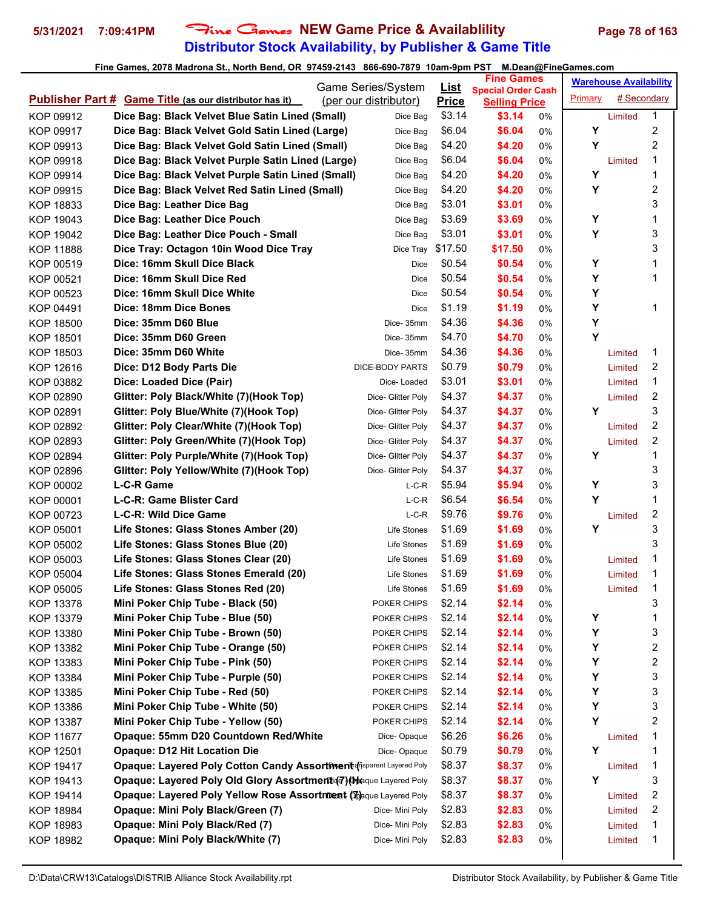# **Distributor Stock Availability, by Publisher & Game Title** 5/31/2021 7:09:41PM Fine Games NEW Game Price & Availablility Page 78 of 163

|                  |                                                                             | Game Series/System    | <u>List</u>  | <b>Fine Games</b>                                 |    |         | <b>Warehouse Availability</b> |                         |
|------------------|-----------------------------------------------------------------------------|-----------------------|--------------|---------------------------------------------------|----|---------|-------------------------------|-------------------------|
|                  | <b>Publisher Part # Game Title (as our distributor has it)</b>              | (per our distributor) | <b>Price</b> | <b>Special Order Cash</b><br><b>Selling Price</b> |    | Primary | # Secondary                   |                         |
| KOP 09912        | Dice Bag: Black Velvet Blue Satin Lined (Small)                             | Dice Bag              | \$3.14       | \$3.14                                            | 0% |         | Limited                       | 1                       |
| KOP 09917        | Dice Bag: Black Velvet Gold Satin Lined (Large)                             | Dice Bag              | \$6.04       | \$6.04                                            | 0% | Υ       |                               | 2                       |
| KOP 09913        | Dice Bag: Black Velvet Gold Satin Lined (Small)                             | Dice Bag              | \$4.20       | \$4.20                                            | 0% | Υ       |                               | $\overline{\mathbf{c}}$ |
| KOP 09918        | Dice Bag: Black Velvet Purple Satin Lined (Large)                           | Dice Bag              | \$6.04       | \$6.04                                            | 0% |         | Limited                       | 1                       |
| KOP 09914        | Dice Bag: Black Velvet Purple Satin Lined (Small)                           | Dice Bag              | \$4.20       | \$4.20                                            | 0% | Υ       |                               | 1                       |
| KOP 09915        | Dice Bag: Black Velvet Red Satin Lined (Small)                              | Dice Bag              | \$4.20       | \$4.20                                            | 0% | Y       |                               | 2                       |
| <b>KOP 18833</b> | Dice Bag: Leather Dice Bag                                                  | Dice Bag              | \$3.01       | \$3.01                                            | 0% |         |                               | 3                       |
| <b>KOP 19043</b> | Dice Bag: Leather Dice Pouch                                                | Dice Bag              | \$3.69       | \$3.69                                            | 0% | Υ       |                               | 1                       |
| KOP 19042        | Dice Bag: Leather Dice Pouch - Small                                        | Dice Bag              | \$3.01       | \$3.01                                            | 0% | Y       |                               | 3                       |
| <b>KOP 11888</b> | Dice Tray: Octagon 10in Wood Dice Tray                                      | Dice Tray             | \$17.50      | \$17.50                                           | 0% |         |                               | 3                       |
| KOP 00519        | Dice: 16mm Skull Dice Black                                                 | Dice                  | \$0.54       | \$0.54                                            | 0% | Υ       |                               | 1                       |
| KOP 00521        | Dice: 16mm Skull Dice Red                                                   | Dice                  | \$0.54       | \$0.54                                            | 0% | Υ       |                               | 1                       |
| KOP 00523        | Dice: 16mm Skull Dice White                                                 | Dice                  | \$0.54       | \$0.54                                            | 0% | Y       |                               |                         |
| KOP 04491        | Dice: 18mm Dice Bones                                                       | Dice                  | \$1.19       | \$1.19                                            | 0% | Υ       |                               | 1                       |
| <b>KOP 18500</b> | Dice: 35mm D60 Blue                                                         | Dice-35mm             | \$4.36       | \$4.36                                            | 0% | Υ       |                               |                         |
| <b>KOP 18501</b> | Dice: 35mm D60 Green                                                        | Dice-35mm             | \$4.70       | \$4.70                                            | 0% | Υ       |                               |                         |
| KOP 18503        | Dice: 35mm D60 White                                                        | Dice-35mm             | \$4.36       | \$4.36                                            | 0% |         | Limited                       | 1                       |
| KOP 12616        | Dice: D12 Body Parts Die                                                    | DICE-BODY PARTS       | \$0.79       | \$0.79                                            | 0% |         | Limited                       | 2                       |
| KOP 03882        | Dice: Loaded Dice (Pair)                                                    | Dice-Loaded           | \$3.01       | \$3.01                                            | 0% |         | Limited                       | 1                       |
| KOP 02890        | Glitter: Poly Black/White (7)(Hook Top)                                     | Dice- Glitter Poly    | \$4.37       | \$4.37                                            | 0% |         | Limited                       | 2                       |
| KOP 02891        | Glitter: Poly Blue/White (7)(Hook Top)                                      | Dice- Glitter Poly    | \$4.37       | \$4.37                                            | 0% | Υ       |                               | 3                       |
| KOP 02892        | Glitter: Poly Clear/White (7)(Hook Top)                                     | Dice- Glitter Poly    | \$4.37       | \$4.37                                            | 0% |         | Limited                       | $\overline{c}$          |
| KOP 02893        | Glitter: Poly Green/White (7)(Hook Top)                                     | Dice- Glitter Poly    | \$4.37       | \$4.37                                            | 0% |         | Limited                       | 2                       |
| KOP 02894        | Glitter: Poly Purple/White (7)(Hook Top)                                    | Dice- Glitter Poly    | \$4.37       | \$4.37                                            | 0% | Υ       |                               | 1                       |
| KOP 02896        | Glitter: Poly Yellow/White (7)(Hook Top)                                    | Dice- Glitter Poly    | \$4.37       | \$4.37                                            | 0% |         |                               | 3                       |
| KOP 00002        | L-C-R Game                                                                  | L-C-R                 | \$5.94       | \$5.94                                            | 0% | Υ       |                               | 3                       |
| KOP 00001        | L-C-R: Game Blister Card                                                    | L-C-R                 | \$6.54       | \$6.54                                            | 0% | Υ       |                               | 1                       |
| KOP 00723        | L-C-R: Wild Dice Game                                                       | $L-C-R$               | \$9.76       | \$9.76                                            | 0% |         | Limited                       | 2                       |
| KOP 05001        | Life Stones: Glass Stones Amber (20)                                        | Life Stones           | \$1.69       | \$1.69                                            | 0% | Y       |                               | 3                       |
| KOP 05002        | Life Stones: Glass Stones Blue (20)                                         | Life Stones           | \$1.69       | \$1.69                                            | 0% |         |                               | 3                       |
| KOP 05003        | Life Stones: Glass Stones Clear (20)                                        | Life Stones           | \$1.69       | \$1.69                                            | 0% |         | Limited                       | 1                       |
| KOP 05004        | Life Stones: Glass Stones Emerald (20)                                      | Life Stones           | \$1.69       | \$1.69                                            | 0% |         | Limited                       | 1                       |
| KOP 05005        | Life Stones: Glass Stones Red (20)                                          | Life Stones           | \$1.69       | \$1.69                                            | 0% |         | Limited                       | 1                       |
| KOP 13378        | Mini Poker Chip Tube - Black (50)                                           | POKER CHIPS           | \$2.14       | \$2.14                                            | 0% |         |                               | 3                       |
| KOP 13379        | Mini Poker Chip Tube - Blue (50)                                            | POKER CHIPS           | \$2.14       | \$2.14                                            | 0% | Υ       |                               | 1                       |
| KOP 13380        | Mini Poker Chip Tube - Brown (50)                                           | POKER CHIPS           | \$2.14       | \$2.14                                            | 0% | Υ       |                               | 3                       |
| KOP 13382        | Mini Poker Chip Tube - Orange (50)                                          | POKER CHIPS           | \$2.14       | \$2.14                                            | 0% | Υ       |                               | 2                       |
| KOP 13383        | Mini Poker Chip Tube - Pink (50)                                            | POKER CHIPS           | \$2.14       | \$2.14                                            | 0% | Υ       |                               | $\overline{\mathbf{c}}$ |
| <b>KOP 13384</b> | Mini Poker Chip Tube - Purple (50)                                          | POKER CHIPS           | \$2.14       | \$2.14                                            | 0% | Υ       |                               | 3                       |
| KOP 13385        | Mini Poker Chip Tube - Red (50)                                             | POKER CHIPS           | \$2.14       | \$2.14                                            | 0% | Υ       |                               | 3                       |
| KOP 13386        | Mini Poker Chip Tube - White (50)                                           | POKER CHIPS           | \$2.14       | \$2.14                                            | 0% | Υ       |                               | 3                       |
| KOP 13387        | Mini Poker Chip Tube - Yellow (50)                                          | POKER CHIPS           | \$2.14       | \$2.14                                            | 0% | Y       |                               | 2                       |
| <b>KOP 11677</b> | Opaque: 55mm D20 Countdown Red/White                                        | Dice-Opaque           | \$6.26       | \$6.26                                            | 0% |         | Limited                       | 1                       |
| KOP 12501        | <b>Opaque: D12 Hit Location Die</b>                                         | Dice-Opaque           | \$0.79       | \$0.79                                            | 0% | Υ       |                               | 1                       |
| KOP 19417        | <b>Opaque: Layered Poly Cotton Candy Assortment of Sparent Layered Poly</b> |                       | \$8.37       | \$8.37                                            | 0% |         | Limited                       | 1                       |
| KOP 19413        | Opaque: Layered Poly Old Glory Assortment (7) (blaque Layered Poly          |                       | \$8.37       | \$8.37                                            | 0% | Υ       |                               | 3                       |
| KOP 19414        | Opaque: Layered Poly Yellow Rose Assortment (Tpaque Layered Poly            |                       | \$8.37       | \$8.37                                            | 0% |         | Limited                       | 2                       |
| <b>KOP 18984</b> | Opaque: Mini Poly Black/Green (7)                                           | Dice- Mini Poly       | \$2.83       | \$2.83                                            | 0% |         | Limited                       | 2                       |
| KOP 18983        | Opaque: Mini Poly Black/Red (7)                                             | Dice- Mini Poly       | \$2.83       | \$2.83                                            | 0% |         | Limited                       | 1                       |
| KOP 18982        | Opaque: Mini Poly Black/White (7)                                           | Dice- Mini Poly       | \$2.83       | \$2.83                                            | 0% |         | Limited                       | 1                       |
|                  |                                                                             |                       |              |                                                   |    |         |                               |                         |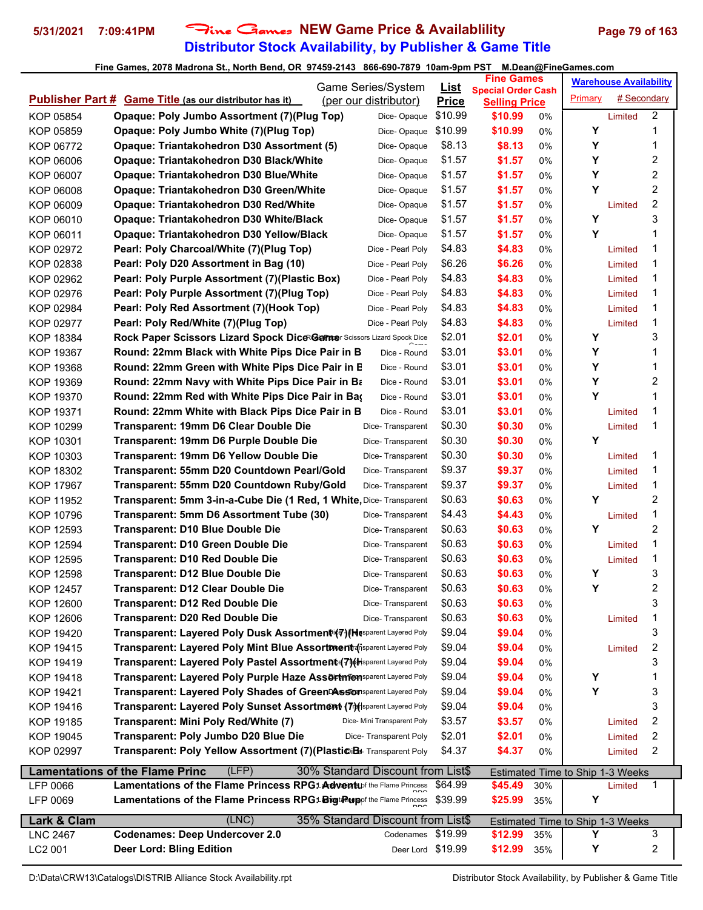# **Distributor Stock Availability, by Publisher & Game Title** 5/31/2021 7:09:41PM Fine Games NEW Game Price & Availablility Page 79 of 163

|                        |                                                                                                                 | Game Series/System                   | <u>List</u>      | <b>Fine Games</b>               |          |                                         | <b>Warehouse Availability</b> |                  |  |
|------------------------|-----------------------------------------------------------------------------------------------------------------|--------------------------------------|------------------|---------------------------------|----------|-----------------------------------------|-------------------------------|------------------|--|
|                        | <b>Publisher Part # Game Title (as our distributor has it)</b>                                                  | (per our distributor)                | <b>Price</b>     | <b>Special Order Cash</b>       |          | <b>Primary</b>                          | # Secondary                   |                  |  |
| KOP 05854              | Opaque: Poly Jumbo Assortment (7) (Plug Top)                                                                    | Dice-Opaque                          | \$10.99          | <b>Selling Price</b><br>\$10.99 | 0%       |                                         | Limited                       | $\overline{2}$   |  |
| KOP 05859              | Opaque: Poly Jumbo White (7)(Plug Top)                                                                          | Dice-Opaque                          | \$10.99          | \$10.99                         | 0%       | Υ                                       |                               | 1                |  |
| KOP 06772              | Opaque: Triantakohedron D30 Assortment (5)                                                                      | Dice-Opaque                          | \$8.13           | \$8.13                          | 0%       | Y                                       |                               | 1                |  |
| KOP 06006              | <b>Opaque: Triantakohedron D30 Black/White</b>                                                                  | Dice-Opaque                          | \$1.57           | \$1.57                          | 0%       | Y                                       |                               | 2                |  |
| KOP 06007              | Opaque: Triantakohedron D30 Blue/White                                                                          | Dice-Opaque                          | \$1.57           | \$1.57                          | 0%       | Υ                                       |                               | $\boldsymbol{2}$ |  |
| KOP 06008              | <b>Opaque: Triantakohedron D30 Green/White</b>                                                                  | Dice-Opaque                          | \$1.57           | \$1.57                          | 0%       | Y                                       |                               | 2                |  |
| KOP 06009              | Opaque: Triantakohedron D30 Red/White                                                                           | Dice-Opaque                          | \$1.57           | \$1.57                          | 0%       |                                         | Limited                       | 2                |  |
| KOP 06010              | <b>Opaque: Triantakohedron D30 White/Black</b>                                                                  | Dice-Opaque                          | \$1.57           | \$1.57                          | 0%       | Y                                       |                               | 3                |  |
| KOP 06011              | <b>Opaque: Triantakohedron D30 Yellow/Black</b>                                                                 | Dice-Opaque                          | \$1.57           | \$1.57                          | 0%       | Y                                       |                               | 1                |  |
| KOP 02972              | Pearl: Poly Charcoal/White (7)(Plug Top)                                                                        | Dice - Pearl Poly                    | \$4.83           | \$4.83                          | 0%       |                                         | Limited                       | 1                |  |
| KOP 02838              | Pearl: Poly D20 Assortment in Bag (10)                                                                          | Dice - Pearl Poly                    | \$6.26           | \$6.26                          | 0%       |                                         | Limited                       | 1                |  |
| KOP 02962              | Pearl: Poly Purple Assortment (7)(Plastic Box)                                                                  | Dice - Pearl Poly                    | \$4.83           | \$4.83                          | 0%       |                                         | Limited                       | 1                |  |
| KOP 02976              | Pearl: Poly Purple Assortment (7)(Plug Top)                                                                     | Dice - Pearl Poly                    | \$4.83           | \$4.83                          | 0%       |                                         | Limited                       | 1                |  |
| KOP 02984              | Pearl: Poly Red Assortment (7)(Hook Top)                                                                        | Dice - Pearl Poly                    | \$4.83           | \$4.83                          | 0%       |                                         | Limited                       | 1                |  |
| KOP 02977              | Pearl: Poly Red/White (7)(Plug Top)                                                                             | Dice - Pearl Poly                    | \$4.83           | \$4.83                          | 0%       |                                         | Limited                       | 1                |  |
| <b>KOP 18384</b>       | Rock Paper Scissors Lizard Spock DiceRGamer Scissors Lizard Spock Dice                                          |                                      | \$2.01           | \$2.01                          | 0%       | Υ                                       |                               | 3                |  |
| KOP 19367              | Round: 22mm Black with White Pips Dice Pair in B                                                                | Dice - Round                         | \$3.01           | \$3.01                          | 0%       | Υ                                       |                               | 1                |  |
| <b>KOP 19368</b>       | Round: 22mm Green with White Pips Dice Pair in E                                                                | Dice - Round                         | \$3.01           | \$3.01                          | 0%       | Υ                                       |                               | 1                |  |
| KOP 19369              | Round: 22mm Navy with White Pips Dice Pair in Ba                                                                | Dice - Round                         | \$3.01           | \$3.01                          | 0%       | Υ                                       |                               | 2                |  |
| <b>KOP 19370</b>       | Round: 22mm Red with White Pips Dice Pair in Bag                                                                | Dice - Round                         | \$3.01           | \$3.01                          |          | Y                                       |                               | 1                |  |
|                        | Round: 22mm White with Black Pips Dice Pair in B                                                                |                                      | \$3.01           | \$3.01                          | 0%       |                                         |                               | 1                |  |
| KOP 19371              | <b>Transparent: 19mm D6 Clear Double Die</b>                                                                    | Dice - Round                         | \$0.30           | \$0.30                          | 0%<br>0% |                                         | Limited<br>Limited            | 1                |  |
| KOP 10299<br>KOP 10301 | Transparent: 19mm D6 Purple Double Die                                                                          | Dice-Transparent                     | \$0.30           | \$0.30                          |          | Y                                       |                               |                  |  |
|                        | <b>Transparent: 19mm D6 Yellow Double Die</b>                                                                   | Dice-Transparent                     | \$0.30           | \$0.30                          | 0%       |                                         |                               | 1                |  |
| KOP 10303              | Transparent: 55mm D20 Countdown Pearl/Gold                                                                      | Dice-Transparent<br>Dice-Transparent | \$9.37           | \$9.37                          | 0%       |                                         | Limited                       | 1                |  |
| KOP 18302              |                                                                                                                 |                                      | \$9.37           | \$9.37                          | 0%       |                                         | Limited                       | 1                |  |
| <b>KOP 17967</b>       | Transparent: 55mm D20 Countdown Ruby/Gold                                                                       | Dice-Transparent                     | \$0.63           |                                 | 0%       | Y                                       | Limited                       | 2                |  |
| <b>KOP 11952</b>       | Transparent: 5mm 3-in-a-Cube Die (1 Red, 1 White, Dice- Transparent                                             |                                      | \$4.43           | \$0.63                          | 0%       |                                         |                               | 1                |  |
| KOP 10796<br>KOP 12593 | Transparent: 5mm D6 Assortment Tube (30)                                                                        | Dice-Transparent                     | \$0.63           | \$4.43<br>\$0.63                | 0%       | Υ                                       | Limited                       | $\overline{c}$   |  |
|                        | <b>Transparent: D10 Blue Double Die</b>                                                                         | Dice-Transparent                     | \$0.63           |                                 | 0%       |                                         |                               | 1                |  |
| <b>KOP 12594</b>       | <b>Transparent: D10 Green Double Die</b><br><b>Transparent: D10 Red Double Die</b>                              | Dice-Transparent                     | \$0.63           | \$0.63                          | 0%       |                                         | Limited                       | 1                |  |
| KOP 12595              |                                                                                                                 | Dice-Transparent                     | \$0.63           | \$0.63                          | 0%       | Υ                                       | Limited                       | 3                |  |
| <b>KOP 12598</b>       | <b>Transparent: D12 Blue Double Die</b>                                                                         | Dice-Transparent                     |                  | \$0.63                          | 0%       | Υ                                       |                               | 2                |  |
| KOP 12457              | <b>Transparent: D12 Clear Double Die</b>                                                                        | Dice- Transparent                    | \$0.63<br>\$0.63 | \$0.63                          | 0%       |                                         |                               | 3                |  |
| KOP 12600              | <b>Transparent: D12 Red Double Die</b>                                                                          | Dice-Transparent                     | \$0.63           | \$0.63<br>\$0.63                | 0%       |                                         |                               | 1                |  |
| KOP 12606              | <b>Transparent: D20 Red Double Die</b><br>Transparent: Layered Poly Dusk Assortment (7) (Hasparent Layered Poly | Dice-Transparent                     |                  |                                 | 0%       |                                         | Limited                       |                  |  |
| KOP 19420              | Transparent: Layered Poly Mint Blue Assortment of isparent Layered Poly                                         |                                      | \$9.04<br>\$9.04 | \$9.04<br>\$9.04                | 0%       |                                         |                               | 3<br>2           |  |
| KOP 19415              | Transparent: Layered Poly Pastel Assortment (7) (thsparent Layered Poly                                         |                                      | \$9.04           |                                 | 0%       |                                         | Limited                       | 3                |  |
| KOP 19419              | Transparent: Layered Poly Purple Haze Assortmensparent Layered Poly                                             |                                      | \$9.04           | \$9.04                          | 0%       |                                         |                               | 1                |  |
| KOP 19418              |                                                                                                                 |                                      |                  | \$9.04                          | 0%       | Y<br>Υ                                  |                               |                  |  |
| KOP 19421              | Transparent: Layered Poly Shades of Green <sup>DA</sup> ssion sparent Layered Poly                              |                                      | \$9.04           | \$9.04                          | 0%       |                                         |                               | 3                |  |
| KOP 19416              | Transparent: Layered Poly Sunset Assortment (Thisparent Layered Poly                                            |                                      | \$9.04           | \$9.04                          | 0%       |                                         |                               | 3                |  |
| KOP 19185              | Transparent: Mini Poly Red/White (7)                                                                            | Dice- Mini Transparent Poly          | \$3.57           | \$3.57                          | 0%       |                                         | Limited                       | 2                |  |
| KOP 19045              | Transparent: Poly Jumbo D20 Blue Die                                                                            | Dice-Transparent Poly                | \$2.01           | \$2.01                          | 0%       |                                         | Limited                       | 2                |  |
| KOP 02997              | Transparent: Poly Yellow Assortment (7) (PlasticiBs Transparent Poly                                            |                                      | \$4.37           | \$4.37                          | 0%       |                                         | Limited                       | 2                |  |
|                        | (LFP)<br><b>Lamentations of the Flame Princ</b>                                                                 | 30% Standard Discount from List\$    |                  |                                 |          | <b>Estimated Time to Ship 1-3 Weeks</b> |                               |                  |  |
| LFP 0066               | Lamentations of the Flame Princess RPG14 dventuof the Flame Princess                                            |                                      | \$64.99          | \$45.49                         | 30%      |                                         | Limited                       | 1                |  |
| LFP 0069               | Lamentations of the Flame Princess RPG1-Bigt Rup of the Flame Princess                                          |                                      | \$39.99          | \$25.99                         | 35%      | Υ                                       |                               |                  |  |
| Lark & Clam            | (LNC)                                                                                                           | 35% Standard Discount from List\$    |                  |                                 |          | <b>Estimated Time to Ship 1-3 Weeks</b> |                               |                  |  |
| <b>LNC 2467</b>        | <b>Codenames: Deep Undercover 2.0</b>                                                                           | Codenames \$19.99                    |                  | \$12.99                         | 35%      | Y                                       |                               | 3                |  |
| LC2 001                | <b>Deer Lord: Bling Edition</b>                                                                                 | Deer Lord \$19.99                    |                  | \$12.99                         | 35%      | Υ                                       |                               | 2                |  |
|                        |                                                                                                                 |                                      |                  |                                 |          |                                         |                               |                  |  |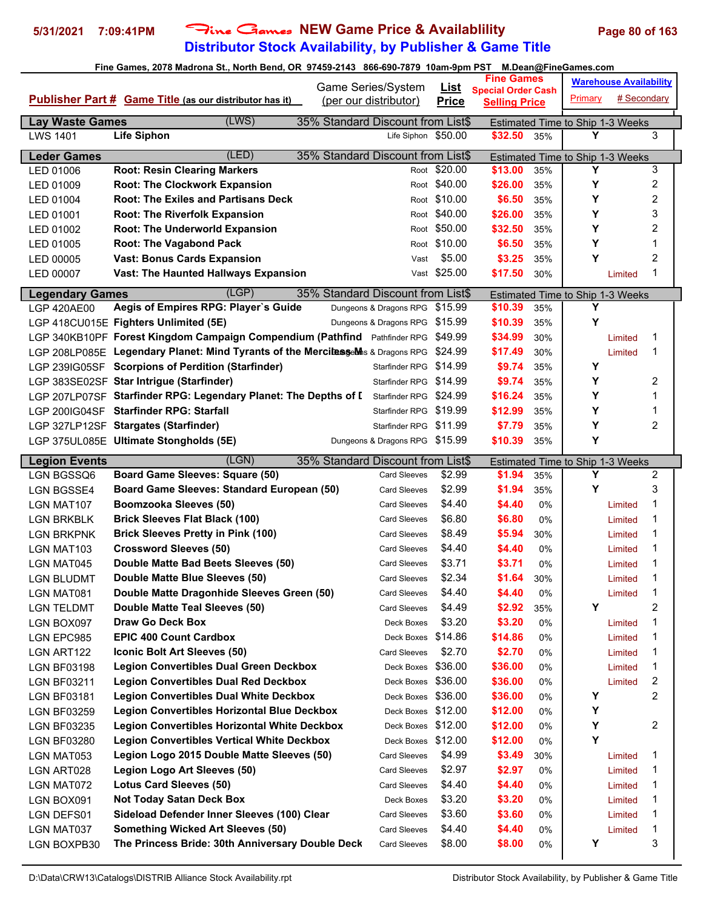# **Distributor Stock Availability, by Publisher & Game Title 5/31/2021 7:09:41PM** Fine Games **NEW Game Price & Availablility Page 80 of 163**

|                                           | ا (5 ـ 10 ـ 1011) 1- 100-2010 100-2010 100-2010 100-2010 100-2010 100-2010 100-2010 100-2010 100-20 | Game Series/System                        |                             | <b>Fine Games</b>                                 |            | <b>M.Dean@FineGameS.COM</b><br><b>Warehouse Availability</b> |                    |                         |
|-------------------------------------------|-----------------------------------------------------------------------------------------------------|-------------------------------------------|-----------------------------|---------------------------------------------------|------------|--------------------------------------------------------------|--------------------|-------------------------|
|                                           | Publisher Part # Game Title (as our distributor has it)                                             | (per our distributor)                     | <u>List</u><br><b>Price</b> | <b>Special Order Cash</b><br><b>Selling Price</b> |            | Primary                                                      | # Secondary        |                         |
|                                           |                                                                                                     |                                           |                             |                                                   |            |                                                              |                    |                         |
| <b>Lay Waste Games</b><br><b>LWS 1401</b> | (LWS)<br><b>Life Siphon</b>                                                                         | 35% Standard Discount from List\$         | Life Siphon \$50.00         | \$32.50                                           | 35%        | Estimated Time to Ship 1-3 Weeks<br>Υ                        |                    | 3                       |
|                                           |                                                                                                     |                                           |                             |                                                   |            |                                                              |                    |                         |
| <b>Leder Games</b>                        | (LED)                                                                                               | 35% Standard Discount from List\$         |                             |                                                   |            | Estimated Time to Ship 1-3 Weeks                             |                    |                         |
| LED 01006                                 | <b>Root: Resin Clearing Markers</b>                                                                 |                                           | Root \$20.00                | \$13.00                                           | 35%        | Y                                                            |                    | 3                       |
| LED 01009                                 | <b>Root: The Clockwork Expansion</b>                                                                |                                           | Root \$40.00                | \$26.00                                           | 35%        | Υ                                                            |                    | $\overline{\mathbf{c}}$ |
| LED 01004                                 | <b>Root: The Exiles and Partisans Deck</b>                                                          |                                           | Root \$10.00                | \$6.50                                            | 35%        | Y                                                            |                    | $\boldsymbol{2}$        |
| LED 01001                                 | <b>Root: The Riverfolk Expansion</b>                                                                |                                           | Root \$40.00                | \$26.00                                           | 35%        | Y                                                            |                    | 3                       |
| LED 01002                                 | <b>Root: The Underworld Expansion</b>                                                               |                                           | Root \$50.00                | \$32.50                                           | 35%        | Y                                                            |                    | 2<br>$\mathbf 1$        |
| LED 01005                                 | <b>Root: The Vagabond Pack</b>                                                                      |                                           | Root \$10.00                | \$6.50                                            | 35%        | Y<br>Υ                                                       |                    |                         |
| LED 00005                                 | <b>Vast: Bonus Cards Expansion</b>                                                                  | Vast                                      | \$5.00<br>Vast \$25.00      | \$3.25<br>\$17.50                                 | 35%<br>30% |                                                              |                    | 2<br>$\mathbf 1$        |
| LED 00007                                 | <b>Vast: The Haunted Hallways Expansion</b>                                                         |                                           |                             |                                                   |            |                                                              | Limited            |                         |
| <b>Legendary Games</b>                    | (LEP)                                                                                               | 35% Standard Discount from List\$         |                             |                                                   |            | Estimated Time to Ship 1-3 Weeks                             |                    |                         |
| <b>LGP 420AE00</b>                        | Aegis of Empires RPG: Player's Guide                                                                | Dungeons & Dragons RPG \$15.99            |                             | \$10.39                                           | 35%        | Y                                                            |                    |                         |
|                                           | LGP 418CU015E Fighters Unlimited (5E)                                                               | Dungeons & Dragons RPG \$15.99            |                             | \$10.39                                           | 35%        | Υ                                                            |                    |                         |
|                                           | LGP 340KB10PF Forest Kingdom Campaign Compendium (Pathfind Pathfinder RPG \$49.99                   |                                           |                             | \$34.99                                           | 30%        |                                                              | Limited            | 1                       |
|                                           | LGP 208LP085E Legendary Planet: Mind Tyrants of the MercilesseMhs & Dragons RPG                     |                                           | \$24.99                     | \$17.49                                           | 30%        |                                                              | Limited            | 1                       |
|                                           | LGP 239IG05SF Scorpions of Perdition (Starfinder)                                                   | Starfinder RPG                            | \$14.99                     | \$9.74                                            | 35%        | Y                                                            |                    |                         |
|                                           | LGP 383SE02SF Star Intrigue (Starfinder)                                                            | Starfinder RPG \$14.99                    |                             | \$9.74                                            | 35%        | Y                                                            |                    | 2                       |
|                                           | LGP 207LP07SF Starfinder RPG: Legendary Planet: The Depths of I                                     | Starfinder RPG \$24.99                    |                             | \$16.24                                           | 35%        | Y                                                            |                    | 1                       |
|                                           | LGP 200IG04SF Starfinder RPG: Starfall                                                              | Starfinder RPG                            | \$19.99                     | \$12.99                                           | 35%        | Υ                                                            |                    | 1                       |
|                                           | LGP 327LP12SF Stargates (Starfinder)                                                                | Starfinder RPG                            | \$11.99                     | \$7.79                                            | 35%        | Υ                                                            |                    | $\overline{2}$          |
|                                           | LGP 375UL085E Ultimate Stongholds (5E)                                                              | Dungeons & Dragons RPG \$15.99            |                             | \$10.39                                           | 35%        | Y                                                            |                    |                         |
| <b>Legion Events</b>                      | (LGN)                                                                                               | 35% Standard Discount from List\$         |                             |                                                   |            | Estimated Time to Ship 1-3 Weeks                             |                    |                         |
| LGN BGSSQ6                                | <b>Board Game Sleeves: Square (50)</b>                                                              | <b>Card Sleeves</b>                       | \$2.99                      | \$1.94                                            | 35%        | Y                                                            |                    | 2                       |
| <b>LGN BGSSE4</b>                         | Board Game Sleeves: Standard European (50)                                                          | <b>Card Sleeves</b>                       | \$2.99                      | \$1.94                                            | 35%        | Y                                                            |                    | 3                       |
| LGN MAT107                                | Boomzooka Sleeves (50)                                                                              | <b>Card Sleeves</b>                       | \$4.40                      | \$4.40                                            | 0%         |                                                              | Limited            | 1                       |
| <b>LGN BRKBLK</b>                         | <b>Brick Sleeves Flat Black (100)</b>                                                               | <b>Card Sleeves</b>                       | \$6.80                      | \$6.80                                            | 0%         |                                                              | Limited            | $\mathbf 1$             |
| <b>LGN BRKPNK</b>                         | <b>Brick Sleeves Pretty in Pink (100)</b>                                                           | <b>Card Sleeves</b>                       | \$8.49                      | \$5.94                                            | 30%        |                                                              | Limited            | 1                       |
| LGN MAT103                                | <b>Crossword Sleeves (50)</b>                                                                       | <b>Card Sleeves</b>                       | \$4.40                      | \$4.40                                            | 0%         |                                                              | Limited            | 1                       |
| <b>LGN MAT045</b>                         | Double Matte Bad Beets Sleeves (50)                                                                 | <b>Card Sleeves</b>                       | \$3.71                      | \$3.71                                            | 0%         |                                                              | Limited            | $\mathbf 1$             |
| <b>LGN BLUDMT</b>                         | Double Matte Blue Sleeves (50)                                                                      | <b>Card Sleeves</b>                       | \$2.34                      | \$1.64                                            | 30%        |                                                              | Limited            | $\mathbf 1$             |
| LGN MAT081                                | Double Matte Dragonhide Sleeves Green (50)                                                          | <b>Card Sleeves</b>                       | \$4.40                      | \$4.40                                            | 0%         |                                                              | Limited            | 1                       |
| <b>LGN TELDMT</b>                         | Double Matte Teal Sleeves (50)                                                                      | Card Sleeves                              | \$4.49                      | \$2.92                                            | 35%        | Y                                                            |                    | $\overline{\mathbf{c}}$ |
| LGN BOX097                                | Draw Go Deck Box<br><b>EPIC 400 Count Cardbox</b>                                                   | Deck Boxes                                | \$3.20                      | \$3.20                                            | 0%         |                                                              | Limited            | $\mathbf 1$             |
| LGN EPC985                                | Iconic Bolt Art Sleeves (50)                                                                        | Deck Boxes                                | \$14.86<br>\$2.70           | \$14.86<br>\$2.70                                 | 0%         |                                                              | Limited<br>Limited | 1<br>1                  |
| LGN ART122                                | <b>Legion Convertibles Dual Green Deckbox</b>                                                       | <b>Card Sleeves</b><br>Deck Boxes \$36.00 |                             | \$36.00                                           | 0%         |                                                              |                    | 1                       |
| <b>LGN BF03198</b><br><b>LGN BF03211</b>  | <b>Legion Convertibles Dual Red Deckbox</b>                                                         | Deck Boxes \$36.00                        |                             | \$36.00                                           | 0%<br>0%   |                                                              | Limited<br>Limited | 2                       |
| <b>LGN BF03181</b>                        | <b>Legion Convertibles Dual White Deckbox</b>                                                       | Deck Boxes                                | \$36.00                     | \$36.00                                           | 0%         | Y                                                            |                    | 2                       |
| <b>LGN BF03259</b>                        | <b>Legion Convertibles Horizontal Blue Deckbox</b>                                                  | Deck Boxes                                | \$12.00                     | \$12.00                                           | 0%         | Y                                                            |                    |                         |
| <b>LGN BF03235</b>                        | <b>Legion Convertibles Horizontal White Deckbox</b>                                                 | Deck Boxes                                | \$12.00                     | \$12.00                                           | 0%         | Υ                                                            |                    | $\overline{2}$          |
| <b>LGN BF03280</b>                        | <b>Legion Convertibles Vertical White Deckbox</b>                                                   | Deck Boxes                                | \$12.00                     | \$12.00                                           | 0%         | Y                                                            |                    |                         |
| LGN MAT053                                | Legion Logo 2015 Double Matte Sleeves (50)                                                          | <b>Card Sleeves</b>                       | \$4.99                      | \$3.49                                            | 30%        |                                                              | Limited            | 1                       |
| LGN ART028                                | Legion Logo Art Sleeves (50)                                                                        | Card Sleeves                              | \$2.97                      | \$2.97                                            | 0%         |                                                              | Limited            | 1                       |
| LGN MAT072                                | <b>Lotus Card Sleeves (50)</b>                                                                      | <b>Card Sleeves</b>                       | \$4.40                      | \$4.40                                            | 0%         |                                                              | Limited            | 1                       |
| LGN BOX091                                | <b>Not Today Satan Deck Box</b>                                                                     | Deck Boxes                                | \$3.20                      | \$3.20                                            | 0%         |                                                              | Limited            | $\mathbf 1$             |
| LGN DEFS01                                | Sideload Defender Inner Sleeves (100) Clear                                                         | <b>Card Sleeves</b>                       | \$3.60                      | \$3.60                                            | 0%         |                                                              | Limited            | 1                       |
| LGN MAT037                                | <b>Something Wicked Art Sleeves (50)</b>                                                            | <b>Card Sleeves</b>                       | \$4.40                      | \$4.40                                            | 0%         |                                                              | Limited            | 1                       |
| LGN BOXPB30                               | The Princess Bride: 30th Anniversary Double Deck                                                    | <b>Card Sleeves</b>                       | \$8.00                      | \$8.00                                            | 0%         | Y                                                            |                    | 3                       |
|                                           |                                                                                                     |                                           |                             |                                                   |            |                                                              |                    |                         |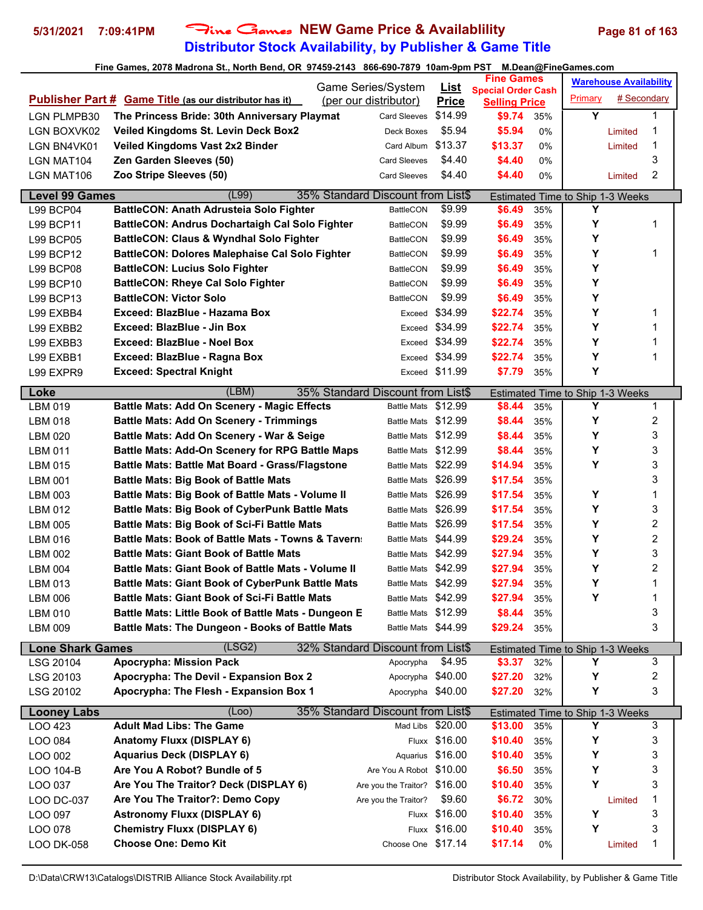# **Distributor Stock Availability, by Publisher & Game Title 5/31/2021 7:09:41PM** Fine Games **NEW Game Price & Availablility Page 81 of 163**

|                               |                                                                | Game Series/System                                    | <u>List</u>    | <b>Fine Games</b>                                 |            |                                              | <b>Warehouse Availability</b> |   |
|-------------------------------|----------------------------------------------------------------|-------------------------------------------------------|----------------|---------------------------------------------------|------------|----------------------------------------------|-------------------------------|---|
|                               | <b>Publisher Part # Game Title (as our distributor has it)</b> | (per our distributor)                                 | <b>Price</b>   | <b>Special Order Cash</b><br><b>Selling Price</b> |            | Primary                                      | # Secondary                   |   |
| <b>LGN PLMPB30</b>            | The Princess Bride: 30th Anniversary Playmat                   | <b>Card Sleeves</b>                                   | \$14.99        | \$9.74                                            | 35%        | Y                                            |                               | 1 |
| LGN BOXVK02                   | Veiled Kingdoms St. Levin Deck Box2                            | Deck Boxes                                            | \$5.94         | \$5.94                                            | 0%         |                                              | Limited                       | 1 |
| LGN BN4VK01                   | Veiled Kingdoms Vast 2x2 Binder                                | Card Album                                            | \$13.37        | \$13.37                                           | 0%         |                                              | Limited                       | 1 |
| LGN MAT104                    | Zen Garden Sleeves (50)                                        | <b>Card Sleeves</b>                                   | \$4.40         | \$4.40                                            | 0%         |                                              |                               | 3 |
| LGN MAT106                    | Zoo Stripe Sleeves (50)                                        | <b>Card Sleeves</b>                                   | \$4.40         | \$4.40                                            | 0%         |                                              | Limited                       | 2 |
|                               |                                                                |                                                       |                |                                                   |            |                                              |                               |   |
| <b>Level 99 Games</b>         | (L99)                                                          | 35% Standard Discount from List\$                     |                |                                                   |            | Estimated Time to Ship 1-3 Weeks             |                               |   |
| <b>L99 BCP04</b>              | <b>BattleCON: Anath Adrusteia Solo Fighter</b>                 | <b>BattleCON</b>                                      | \$9.99         | \$6.49                                            | 35%        | Y                                            |                               |   |
| <b>L99 BCP11</b>              | <b>BattleCON: Andrus Dochartaigh Cal Solo Fighter</b>          | <b>BattleCON</b>                                      | \$9.99         | \$6.49                                            | 35%        | Υ                                            |                               | 1 |
| <b>L99 BCP05</b>              | BattleCON: Claus & Wyndhal Solo Fighter                        | BattleCON                                             | \$9.99         | \$6.49                                            | 35%        | Υ                                            |                               |   |
| L99 BCP12                     | <b>BattleCON: Dolores Malephaise Cal Solo Fighter</b>          | <b>BattleCON</b>                                      | \$9.99         | \$6.49                                            | 35%        | Υ                                            |                               | 1 |
| <b>L99 BCP08</b>              | <b>BattleCON: Lucius Solo Fighter</b>                          | BattleCON                                             | \$9.99         | \$6.49                                            | 35%        | Υ                                            |                               |   |
| L99 BCP10                     | <b>BattleCON: Rheye Cal Solo Fighter</b>                       | <b>BattleCON</b>                                      | \$9.99         | \$6.49                                            | 35%        | Y                                            |                               |   |
| L99 BCP13                     | <b>BattleCON: Victor Solo</b>                                  | <b>BattleCON</b>                                      | \$9.99         | \$6.49                                            | 35%        | Y                                            |                               |   |
| L99 EXBB4                     | Exceed: BlazBlue - Hazama Box                                  | Exceed                                                | \$34.99        | \$22.74                                           | 35%        | Υ                                            |                               | 1 |
| L99 EXBB2                     | Exceed: BlazBlue - Jin Box                                     | Exceed                                                | \$34.99        | \$22.74                                           | 35%        | Υ                                            |                               | 1 |
| L99 EXBB3                     | Exceed: BlazBlue - Noel Box                                    | Exceed                                                | \$34.99        | \$22.74                                           | 35%        | Υ                                            |                               | 1 |
| L99 EXBB1                     | Exceed: BlazBlue - Ragna Box                                   | Exceed                                                | \$34.99        | \$22.74                                           | 35%        | Y                                            |                               | 1 |
| L99 EXPR9                     | <b>Exceed: Spectral Knight</b>                                 |                                                       | Exceed \$11.99 | \$7.79                                            | 35%        | Υ                                            |                               |   |
| Loke                          | (LBM)                                                          | 35% Standard Discount from List\$                     |                |                                                   |            | Estimated Time to Ship 1-3 Weeks             |                               |   |
| LBM 019                       | <b>Battle Mats: Add On Scenery - Magic Effects</b>             | <b>Battle Mats</b>                                    | \$12.99        | \$8.44                                            | 35%        | Υ                                            |                               | 1 |
| <b>LBM 018</b>                | <b>Battle Mats: Add On Scenery - Trimmings</b>                 | Battle Mats \$12.99                                   |                | \$8.44                                            | 35%        | Y                                            |                               | 2 |
| LBM 020                       | Battle Mats: Add On Scenery - War & Seige                      | <b>Battle Mats</b>                                    | \$12.99        | \$8.44                                            | 35%        | Υ                                            |                               | 3 |
| <b>LBM 011</b>                | <b>Battle Mats: Add-On Scenery for RPG Battle Maps</b>         | <b>Battle Mats</b>                                    | \$12.99        | \$8.44                                            | 35%        | Υ                                            |                               | 3 |
| LBM 015                       | <b>Battle Mats: Battle Mat Board - Grass/Flagstone</b>         | <b>Battle Mats</b>                                    | \$22.99        | \$14.94                                           | 35%        | Y                                            |                               | 3 |
| <b>LBM 001</b>                | <b>Battle Mats: Big Book of Battle Mats</b>                    | Battle Mats \$26.99                                   |                | \$17.54                                           | 35%        |                                              |                               | 3 |
| LBM 003                       | <b>Battle Mats: Big Book of Battle Mats - Volume II</b>        | Battle Mats \$26.99                                   |                | \$17.54                                           | 35%        | Υ                                            |                               | 1 |
| <b>LBM 012</b>                | <b>Battle Mats: Big Book of CyberPunk Battle Mats</b>          | <b>Battle Mats</b>                                    | \$26.99        | \$17.54                                           | 35%        | Y                                            |                               | 3 |
| LBM 005                       | <b>Battle Mats: Big Book of Sci-Fi Battle Mats</b>             | <b>Battle Mats</b>                                    | \$26.99        | \$17.54                                           | 35%        | Υ                                            |                               | 2 |
| LBM 016                       | Battle Mats: Book of Battle Mats - Towns & Tavern:             | <b>Battle Mats</b>                                    | \$44.99        | \$29.24                                           | 35%        | Y                                            |                               | 2 |
| <b>LBM 002</b>                | <b>Battle Mats: Giant Book of Battle Mats</b>                  | <b>Battle Mats</b>                                    | \$42.99        | \$27.94                                           | 35%        | Υ                                            |                               | 3 |
| LBM 004                       | Battle Mats: Giant Book of Battle Mats - Volume II             | <b>Battle Mats</b>                                    | \$42.99        | \$27.94                                           | 35%        | Υ                                            |                               | 2 |
| LBM 013                       | <b>Battle Mats: Giant Book of CyberPunk Battle Mats</b>        | Battle Mats \$42.99                                   |                | \$27.94                                           | 35%        | Y                                            |                               | 1 |
| LBM 006                       | <b>Battle Mats: Giant Book of Sci-Fi Battle Mats</b>           | Battle Mats \$42.99                                   |                | \$27.94                                           | 35%        | Υ                                            |                               | 1 |
| <b>LBM 010</b>                | Battle Mats: Little Book of Battle Mats - Dungeon E            | <b>Battle Mats</b>                                    | \$12.99        | \$8.44                                            | 35%        |                                              |                               | 3 |
| LBM 009                       | <b>Battle Mats: The Dungeon - Books of Battle Mats</b>         | Battle Mats \$44.99                                   |                | \$29.24                                           | 35%        |                                              |                               | 3 |
| <b>Lone Shark Games</b>       | (LSG2)                                                         | 32% Standard Discount from List\$                     |                |                                                   |            | Estimated Time to Ship 1-3 Weeks             |                               |   |
| LSG 20104                     | <b>Apocrypha: Mission Pack</b>                                 | Apocrypha                                             | \$4.95         | \$3.37                                            | 32%        | Y                                            |                               | 3 |
| LSG 20103                     | Apocrypha: The Devil - Expansion Box 2                         | Apocrypha \$40.00                                     |                | \$27.20                                           | 32%        | Y                                            |                               | 2 |
| LSG 20102                     | Apocrypha: The Flesh - Expansion Box 1                         | Apocrypha \$40.00                                     |                | \$27.20                                           | 32%        | Υ                                            |                               | 3 |
|                               |                                                                |                                                       |                |                                                   |            |                                              |                               |   |
| <b>Looney Labs</b><br>LOO 423 | (Loo)<br><b>Adult Mad Libs: The Game</b>                       | 35% Standard Discount from List\$<br>Mad Libs \$20.00 |                | \$13.00                                           | 35%        | <b>Estimated Time to Ship 1-3 Weeks</b><br>Y |                               | 3 |
|                               | <b>Anatomy Fluxx (DISPLAY 6)</b>                               |                                                       | Fluxx \$16.00  | \$10.40                                           |            | Υ                                            |                               | 3 |
| LOO 084<br>LOO 002            | <b>Aquarius Deck (DISPLAY 6)</b>                               | Aquarius                                              | \$16.00        | \$10.40                                           | 35%<br>35% | Υ                                            |                               | 3 |
|                               | Are You A Robot? Bundle of 5                                   | Are You A Robot \$10.00                               |                | \$6.50                                            | 35%        | Υ                                            |                               | 3 |
| LOO 104-B<br>LOO 037          | Are You The Traitor? Deck (DISPLAY 6)                          | Are you the Traitor? \$16.00                          |                | \$10.40                                           |            | Y                                            |                               | 3 |
|                               | Are You The Traitor?: Demo Copy                                | Are you the Traitor?                                  | \$9.60         | \$6.72                                            | 35%        |                                              |                               | 1 |
| LOO DC-037                    | <b>Astronomy Fluxx (DISPLAY 6)</b>                             |                                                       | Fluxx \$16.00  | \$10.40                                           | 30%        | Υ                                            | Limited                       | 3 |
| LOO 097                       | <b>Chemistry Fluxx (DISPLAY 6)</b>                             |                                                       | \$16.00        |                                                   | 35%        | Y                                            |                               | 3 |
| LOO 078                       | <b>Choose One: Demo Kit</b>                                    | Fluxx<br>Choose One \$17.14                           |                | \$10.40                                           | 35%        |                                              |                               |   |
| <b>LOO DK-058</b>             |                                                                |                                                       |                | \$17.14                                           | 0%         |                                              | Limited                       | 1 |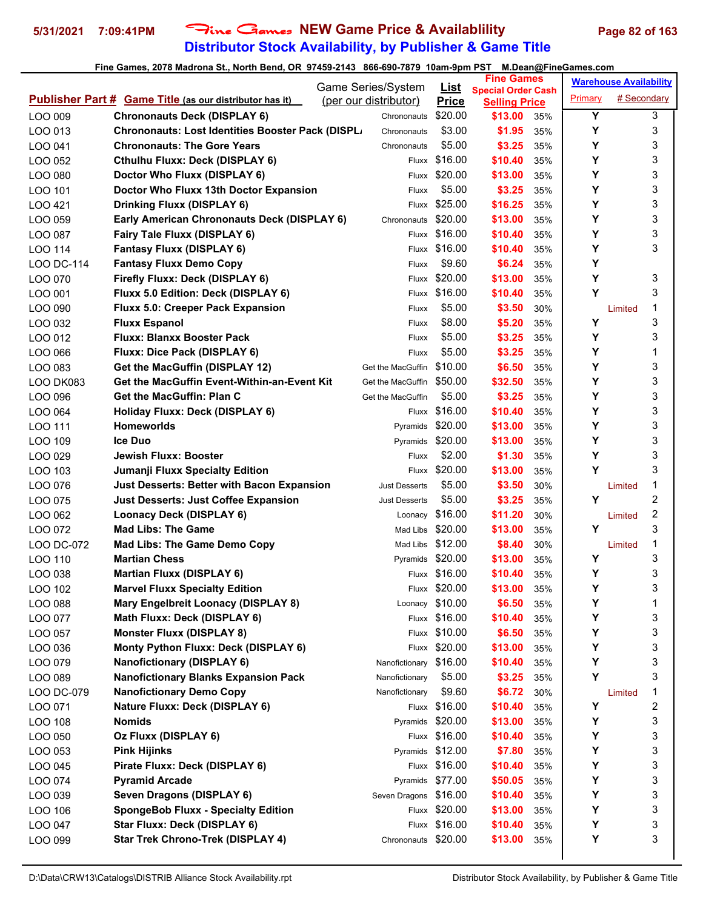# **Distributor Stock Availability, by Publisher & Game Title 5/31/2021 7:09:41PM** Fine Games **NEW Game Price & Availablility Page 82 of 163**

|            |                                                                | Game Series/System     | List            | <b>Fine Games</b>                                 |     |         | <b>Warehouse Availability</b> |   |
|------------|----------------------------------------------------------------|------------------------|-----------------|---------------------------------------------------|-----|---------|-------------------------------|---|
|            | <b>Publisher Part # Game Title (as our distributor has it)</b> | (per our distributor)  | <b>Price</b>    | <b>Special Order Cash</b><br><b>Selling Price</b> |     | Primary | # Secondary                   |   |
| LOO 009    | <b>Chrononauts Deck (DISPLAY 6)</b>                            | Chrononauts            | \$20.00         | \$13.00                                           | 35% | Y       |                               | 3 |
| LOO 013    | Chrononauts: Lost Identities Booster Pack (DISPL.              | Chrononauts            | \$3.00          | \$1.95                                            | 35% | Υ       |                               | 3 |
| LOO 041    | <b>Chrononauts: The Gore Years</b>                             | Chrononauts            | \$5.00          | \$3.25                                            | 35% | Υ       |                               | 3 |
| LOO 052    | <b>Cthulhu Fluxx: Deck (DISPLAY 6)</b>                         | Fluxx                  | \$16.00         | \$10.40                                           | 35% | Y       |                               | 3 |
| LOO 080    | Doctor Who Fluxx (DISPLAY 6)                                   | Fluxx                  | \$20.00         | \$13.00                                           | 35% | Y       |                               | 3 |
| LOO 101    | Doctor Who Fluxx 13th Doctor Expansion                         | Fluxx                  | \$5.00          | \$3.25                                            | 35% | Y       |                               | 3 |
| LOO 421    | <b>Drinking Fluxx (DISPLAY 6)</b>                              | Fluxx                  | \$25.00         | \$16.25                                           | 35% | Y       |                               | 3 |
| LOO 059    | Early American Chrononauts Deck (DISPLAY 6)                    | Chrononauts            | \$20.00         | \$13.00                                           | 35% | Υ       |                               | 3 |
| LOO 087    | Fairy Tale Fluxx (DISPLAY 6)                                   |                        | Fluxx \$16.00   | \$10.40                                           | 35% | Υ       |                               | 3 |
| LOO 114    | <b>Fantasy Fluxx (DISPLAY 6)</b>                               |                        | Fluxx \$16.00   | \$10.40                                           | 35% | Υ       |                               | 3 |
| LOO DC-114 | <b>Fantasy Fluxx Demo Copy</b>                                 | Fluxx                  | \$9.60          | \$6.24                                            | 35% | Y       |                               |   |
| LOO 070    | Firefly Fluxx: Deck (DISPLAY 6)                                | Fluxx                  | \$20.00         | \$13.00                                           | 35% | Y       |                               | 3 |
| LOO 001    | Fluxx 5.0 Edition: Deck (DISPLAY 6)                            |                        | Fluxx \$16.00   | \$10.40                                           | 35% | Υ       |                               | 3 |
| LOO 090    | Fluxx 5.0: Creeper Pack Expansion                              | Fluxx                  | \$5.00          | \$3.50                                            | 30% |         | Limited                       | 1 |
| LOO 032    | <b>Fluxx Espanol</b>                                           | Fluxx                  | \$8.00          | \$5.20                                            | 35% | Y       |                               | 3 |
| LOO 012    | <b>Fluxx: Blanxx Booster Pack</b>                              | Fluxx                  | \$5.00          | \$3.25                                            | 35% | Υ       |                               | 3 |
| LOO 066    | Fluxx: Dice Pack (DISPLAY 6)                                   | Fluxx                  | \$5.00          | \$3.25                                            | 35% | Υ       |                               | 1 |
| LOO 083    | Get the MacGuffin (DISPLAY 12)                                 | Get the MacGuffin      | \$10.00         | \$6.50                                            | 35% | Υ       |                               | 3 |
| LOO DK083  | Get the MacGuffin Event-Within-an-Event Kit                    | Get the MacGuffin      | \$50.00         | \$32.50                                           | 35% | Υ       |                               | 3 |
| LOO 096    | Get the MacGuffin: Plan C                                      | Get the MacGuffin      | \$5.00          | \$3.25                                            | 35% | Y       |                               | 3 |
| LOO 064    | Holiday Fluxx: Deck (DISPLAY 6)                                |                        | Fluxx \$16.00   | \$10.40                                           | 35% | Y       |                               | 3 |
| LOO 111    | <b>Homeworlds</b>                                              | Pyramids               | \$20.00         | \$13.00                                           | 35% | Υ       |                               | 3 |
| LOO 109    | <b>Ice Duo</b>                                                 | Pyramids \$20.00       |                 | \$13.00                                           | 35% | Y       |                               | 3 |
| LOO 029    | Jewish Fluxx: Booster                                          | Fluxx                  | \$2.00          | \$1.30                                            | 35% | Υ       |                               | 3 |
| LOO 103    | Jumanji Fluxx Specialty Edition                                | Fluxx                  | \$20.00         | \$13.00                                           | 35% | Y       |                               | 3 |
| LOO 076    | <b>Just Desserts: Better with Bacon Expansion</b>              | <b>Just Desserts</b>   | \$5.00          | \$3.50                                            | 30% |         | Limited                       | 1 |
| LOO 075    | <b>Just Desserts: Just Coffee Expansion</b>                    | <b>Just Desserts</b>   | \$5.00          | \$3.25                                            | 35% | Y       |                               | 2 |
| LOO 062    | Loonacy Deck (DISPLAY 6)                                       | Loonacy                | \$16.00         | \$11.20                                           | 30% |         | Limited                       | 2 |
| LOO 072    | <b>Mad Libs: The Game</b>                                      | Mad Libs               | \$20.00         | \$13.00                                           | 35% | Y       |                               | 3 |
| LOO DC-072 | <b>Mad Libs: The Game Demo Copy</b>                            | Mad Libs \$12.00       |                 | \$8.40                                            | 30% |         | Limited                       | 1 |
| LOO 110    | <b>Martian Chess</b>                                           | Pyramids \$20.00       |                 | \$13.00                                           | 35% | Υ       |                               | 3 |
| LOO 038    | <b>Martian Fluxx (DISPLAY 6)</b>                               |                        | Fluxx \$16.00   | \$10.40                                           | 35% | Υ       |                               | 3 |
| LOO 102    | <b>Marvel Fluxx Specialty Edition</b>                          |                        | Fluxx \$20.00   | \$13.00                                           | 35% | Υ       |                               | 3 |
| LOO 088    | Mary Engelbreit Loonacy (DISPLAY 8)                            |                        | Loonacy \$10.00 | \$6.50                                            | 35% | Υ       |                               | 1 |
| LOO 077    | Math Fluxx: Deck (DISPLAY 6)                                   |                        | Fluxx \$16.00   | \$10.40                                           | 35% | Υ       |                               | 3 |
| LOO 057    | <b>Monster Fluxx (DISPLAY 8)</b>                               |                        | Fluxx \$10.00   | \$6.50                                            | 35% | Υ       |                               | 3 |
| LOO 036    | Monty Python Fluxx: Deck (DISPLAY 6)                           |                        | Fluxx \$20.00   | \$13.00                                           | 35% | Υ       |                               | 3 |
| LOO 079    | <b>Nanofictionary (DISPLAY 6)</b>                              | Nanofictionary \$16.00 |                 | \$10.40                                           | 35% | Υ       |                               | 3 |
| LOO 089    | <b>Nanofictionary Blanks Expansion Pack</b>                    | Nanofictionary         | \$5.00          | \$3.25                                            | 35% | Y       |                               | 3 |
| LOO DC-079 | <b>Nanofictionary Demo Copy</b>                                | Nanofictionary         | \$9.60          | \$6.72                                            | 30% |         | Limited                       | 1 |
| LOO 071    | Nature Fluxx: Deck (DISPLAY 6)                                 |                        | Fluxx \$16.00   | \$10.40                                           | 35% | Υ       |                               | 2 |
| LOO 108    | <b>Nomids</b>                                                  | Pyramids \$20.00       |                 | \$13.00                                           | 35% | Υ       |                               | 3 |
| LOO 050    | Oz Fluxx (DISPLAY 6)                                           |                        | Fluxx \$16.00   | \$10.40                                           | 35% | Υ       |                               | 3 |
| LOO 053    | <b>Pink Hijinks</b>                                            | Pyramids \$12.00       |                 | \$7.80                                            | 35% | Υ       |                               | 3 |
| LOO 045    | Pirate Fluxx: Deck (DISPLAY 6)                                 |                        | Fluxx \$16.00   | \$10.40                                           | 35% | Υ       |                               | 3 |
| LOO 074    | <b>Pyramid Arcade</b>                                          | Pyramids \$77.00       |                 | \$50.05                                           | 35% | Υ       |                               | 3 |
| LOO 039    | Seven Dragons (DISPLAY 6)                                      | Seven Dragons \$16.00  |                 | \$10.40                                           | 35% | Υ       |                               | 3 |
| LOO 106    | <b>SpongeBob Fluxx - Specialty Edition</b>                     |                        | Fluxx \$20.00   | \$13.00                                           | 35% | Υ       |                               | 3 |
| LOO 047    | Star Fluxx: Deck (DISPLAY 6)                                   |                        | Fluxx \$16.00   | \$10.40                                           | 35% | Υ       |                               | 3 |
| LOO 099    | <b>Star Trek Chrono-Trek (DISPLAY 4)</b>                       | Chrononauts \$20.00    |                 | \$13.00                                           | 35% | Υ       |                               | 3 |
|            |                                                                |                        |                 |                                                   |     |         |                               |   |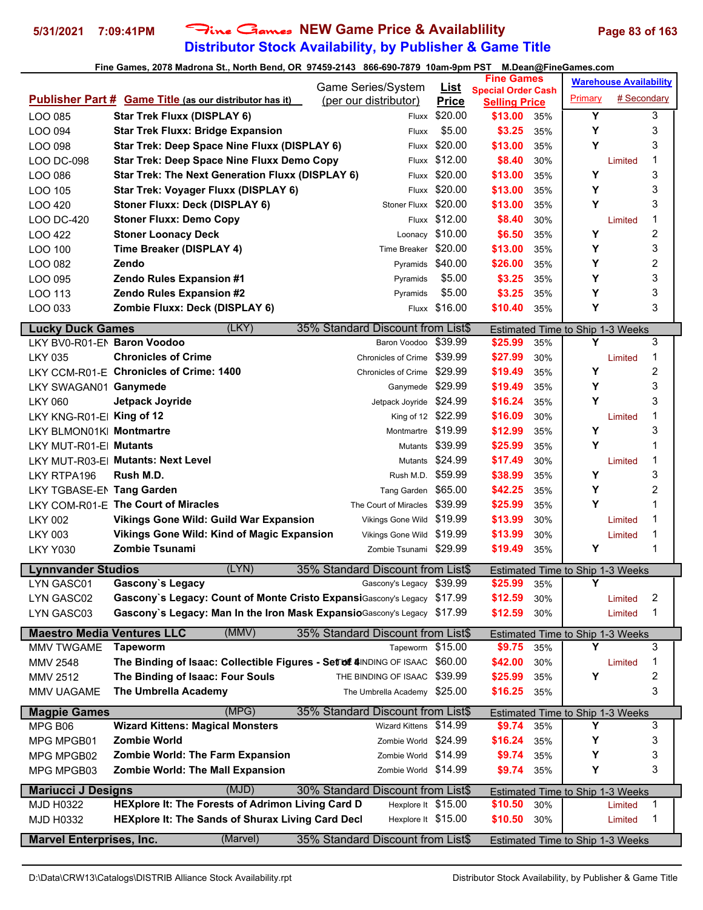## **Distributor Stock Availability, by Publisher & Game Title 5/31/2021 7:09:41PM** Fine Games **NEW Game Price & Availablility Page 83 of 163**

|                                   |                                                                          |                                             |                             | <b>Fine Games</b>               |     |                                         | <b>Warehouse Availability</b> |                         |
|-----------------------------------|--------------------------------------------------------------------------|---------------------------------------------|-----------------------------|---------------------------------|-----|-----------------------------------------|-------------------------------|-------------------------|
|                                   | Publisher Part # Game Title (as our distributor has it)                  | Game Series/System<br>(per our distributor) | <b>List</b><br><b>Price</b> | <b>Special Order Cash</b>       |     | Primary                                 | # Secondary                   |                         |
| LOO 085                           | <b>Star Trek Fluxx (DISPLAY 6)</b>                                       | Fluxx                                       | \$20.00                     | <b>Selling Price</b><br>\$13.00 | 35% | Υ                                       |                               | 3                       |
| LOO 094                           | <b>Star Trek Fluxx: Bridge Expansion</b>                                 | Fluxx                                       | \$5.00                      | \$3.25                          | 35% | Υ                                       |                               | 3                       |
| LOO 098                           | Star Trek: Deep Space Nine Fluxx (DISPLAY 6)                             |                                             | Fluxx \$20.00               | \$13.00                         | 35% | Υ                                       |                               | 3                       |
| LOO DC-098                        | <b>Star Trek: Deep Space Nine Fluxx Demo Copy</b>                        |                                             | Fluxx \$12.00               | \$8.40                          | 30% |                                         | Limited                       | 1                       |
| LOO 086                           | Star Trek: The Next Generation Fluxx (DISPLAY 6)                         | Fluxx                                       | \$20.00                     | \$13.00                         | 35% | Υ                                       |                               | 3                       |
| LOO 105                           | Star Trek: Voyager Fluxx (DISPLAY 6)                                     | Fluxx                                       | \$20.00                     | \$13.00                         | 35% | Υ                                       |                               | 3                       |
| LOO 420                           | Stoner Fluxx: Deck (DISPLAY 6)                                           | <b>Stoner Fluxx</b>                         | \$20.00                     | \$13.00                         | 35% | Υ                                       |                               | 3                       |
| <b>LOO DC-420</b>                 | <b>Stoner Fluxx: Demo Copy</b>                                           |                                             | Fluxx \$12.00               | \$8.40                          | 30% |                                         | Limited                       | 1                       |
| LOO 422                           | <b>Stoner Loonacy Deck</b>                                               | Loonacy                                     | \$10.00                     | \$6.50                          | 35% | Υ                                       |                               | $\boldsymbol{2}$        |
| LOO 100                           | Time Breaker (DISPLAY 4)                                                 | Time Breaker                                | \$20.00                     | \$13.00                         | 35% | Υ                                       |                               | 3                       |
| LOO 082                           | Zendo                                                                    | Pyramids \$40.00                            |                             | \$26.00                         | 35% | Υ                                       |                               | $\overline{c}$          |
| LOO 095                           | Zendo Rules Expansion #1                                                 | Pyramids                                    | \$5.00                      | \$3.25                          | 35% | Y                                       |                               | 3                       |
| LOO 113                           | <b>Zendo Rules Expansion #2</b>                                          | Pyramids                                    | \$5.00                      | \$3.25                          | 35% | Y                                       |                               | 3                       |
| LOO 033                           | Zombie Fluxx: Deck (DISPLAY 6)                                           |                                             | Fluxx \$16.00               | \$10.40                         | 35% | Υ                                       |                               | 3                       |
|                                   |                                                                          |                                             |                             |                                 |     |                                         |                               |                         |
| <b>Lucky Duck Games</b>           | (LKY)                                                                    | 35% Standard Discount from List\$           |                             |                                 |     | Estimated Time to Ship 1-3 Weeks        |                               |                         |
| LKY BV0-R01-EN Baron Voodoo       |                                                                          | Baron Voodoo                                | \$39.99                     | \$25.99                         | 35% | Υ                                       |                               | 3                       |
| <b>LKY 035</b>                    | <b>Chronicles of Crime</b>                                               | <b>Chronicles of Crime</b>                  | \$39.99                     | \$27.99                         | 30% |                                         | Limited                       | 1                       |
|                                   | LKY CCM-R01-E Chronicles of Crime: 1400                                  | <b>Chronicles of Crime</b>                  | \$29.99                     | \$19.49                         | 35% | Υ                                       |                               | 2                       |
| LKY SWAGAN01 Ganymede             |                                                                          | Ganymede \$29.99                            |                             | \$19.49                         | 35% | Υ                                       |                               | 3                       |
| <b>LKY 060</b>                    | Jetpack Joyride                                                          | Jetpack Joyride \$24.99                     |                             | \$16.24                         | 35% | Y                                       |                               | 3                       |
| LKY KNG-R01-E King of 12          |                                                                          | King of 12 \$22.99                          |                             | \$16.09                         | 30% |                                         | Limited                       | 1                       |
| LKY BLMON01K Montmartre           |                                                                          | Montmartre                                  | \$19.99                     | \$12.99                         | 35% | Υ                                       |                               | 3                       |
| LKY MUT-R01-EI Mutants            |                                                                          | Mutants                                     | \$39.99                     | \$25.99                         | 35% | Υ                                       |                               | 1                       |
|                                   | LKY MUT-R03-E  Mutants: Next Level                                       | Mutants                                     | \$24.99                     | \$17.49                         | 30% |                                         | Limited                       | 1                       |
| LKY RTPA196                       | Rush M.D.                                                                | Rush M.D.                                   | \$59.99                     | \$38.99                         | 35% | Υ                                       |                               | 3                       |
| LKY TGBASE-EN Tang Garden         |                                                                          | Tang Garden \$65.00                         |                             | \$42.25                         | 35% | Υ                                       |                               | 2                       |
|                                   | LKY COM-R01-E The Court of Miracles                                      | The Court of Miracles                       | \$39.99                     | \$25.99                         | 35% | Y                                       |                               | 1                       |
| <b>LKY 002</b>                    | Vikings Gone Wild: Guild War Expansion                                   | Vikings Gone Wild \$19.99                   |                             | \$13.99                         | 30% |                                         | Limited                       | 1                       |
| <b>LKY 003</b>                    | Vikings Gone Wild: Kind of Magic Expansion                               | Vikings Gone Wild                           | \$19.99                     | \$13.99                         | 30% |                                         | Limited                       | 1                       |
| <b>LKY Y030</b>                   | <b>Zombie Tsunami</b>                                                    | Zombie Tsunami \$29.99                      |                             | \$19.49                         | 35% | Υ                                       |                               | 1                       |
| <b>Lynnvander Studios</b>         | (LYN)                                                                    | 35% Standard Discount from List\$           |                             |                                 |     | Estimated Time to Ship 1-3 Weeks        |                               |                         |
| LYN GASC01                        | Gascony's Legacy                                                         | Gascony's Legacy \$39.99                    |                             | \$25.99                         | 35% | Υ                                       |                               |                         |
| LYN GASC02                        | Gascony's Legacy: Count of Monte Cristo ExpansiGascony's Legacy \$17.99  |                                             |                             | \$12.59                         | 30% |                                         | Limited                       | $\overline{\mathbf{c}}$ |
| LYN GASC03                        | Gascony's Legacy: Man In the Iron Mask Expansio Gascony's Legacy \$17.99 |                                             |                             | \$12.59                         | 30% |                                         | Limited                       | 1                       |
| <b>Maestro Media Ventures LLC</b> | (MMV)                                                                    | 35% Standard Discount from List\$           |                             |                                 |     | Estimated Time to Ship 1-3 Weeks        |                               |                         |
| MMV TWGAME                        | <b>Tapeworm</b>                                                          | Tapeworm                                    | \$15.00                     | \$9.75                          | 35% | Y                                       |                               | 3                       |
| MMV 2548                          | The Binding of Isaac: Collectible Figures - Set of 4INDING OF ISAAC      |                                             | \$60.00                     | \$42.00                         | 30% |                                         | Limited                       | 1                       |
| MMV 2512                          | The Binding of Isaac: Four Souls                                         | THE BINDING OF ISAAC                        | \$39.99                     | \$25.99                         | 35% | Υ                                       |                               | 2                       |
| MMV UAGAME                        | The Umbrella Academy                                                     | The Umbrella Academy \$25.00                |                             | \$16.25                         | 35% |                                         |                               | 3                       |
| <b>Magpie Games</b>               | (MPG)                                                                    | 35% Standard Discount from List\$           |                             |                                 |     | Estimated Time to Ship 1-3 Weeks        |                               |                         |
| MPG B06                           | <b>Wizard Kittens: Magical Monsters</b>                                  | Wizard Kittens \$14.99                      |                             | \$9.74                          | 35% | Y                                       |                               | 3                       |
| MPG MPGB01                        | Zombie World                                                             | Zombie World \$24.99                        |                             | \$16.24                         | 35% | Υ                                       |                               | 3                       |
| MPG MPGB02                        | Zombie World: The Farm Expansion                                         | Zombie World \$14.99                        |                             | \$9.74                          | 35% | Υ                                       |                               | 3                       |
| MPG MPGB03                        | <b>Zombie World: The Mall Expansion</b>                                  | Zombie World \$14.99                        |                             | \$9.74                          | 35% | Υ                                       |                               | 3                       |
| <b>Mariucci J Designs</b>         | (MJD)                                                                    | 30% Standard Discount from List\$           |                             |                                 |     |                                         |                               |                         |
| MJD H0322                         | HEXplore It: The Forests of Adrimon Living Card D                        | Hexplore It \$15.00                         |                             | \$10.50                         | 30% | <b>Estimated Time to Ship 1-3 Weeks</b> | Limited                       | $\mathbf{1}$            |
| <b>MJD H0332</b>                  | HEXplore It: The Sands of Shurax Living Card Decl                        | Hexplore It \$15.00                         |                             | \$10.50                         | 30% |                                         | Limited                       | 1                       |
|                                   |                                                                          |                                             |                             |                                 |     |                                         |                               |                         |
| <b>Marvel Enterprises, Inc.</b>   | (Marvel)                                                                 | 35% Standard Discount from List\$           |                             |                                 |     | <b>Estimated Time to Ship 1-3 Weeks</b> |                               |                         |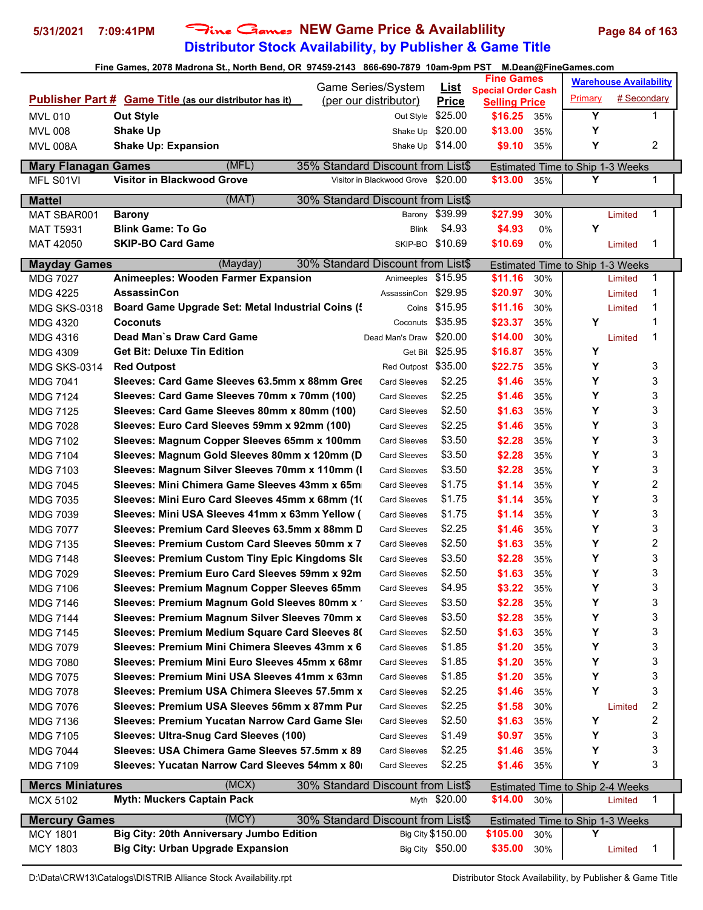# **Distributor Stock Availability, by Publisher & Game Title** 5/31/2021 7:09:41PM Fine Games NEW Game Price & Availablility Page 84 of 163

| $\frac{1}{2}$ and $\frac{1}{2}$ and $\frac{1}{2}$ and $\frac{1}{2}$ and $\frac{1}{2}$ are solved in the second of $\frac{1}{2}$ and $\frac{1}{2}$ and $\frac{1}{2}$ and $\frac{1}{2}$ and $\frac{1}{2}$ and $\frac{1}{2}$ are solved in the second of $\frac{1}{2}$ and $\frac{1$<br>Game Series/System |                                                                |                                    | <b>Fine Games</b>           |                           |       | <b>Warehouse Availability</b>    |             |   |
|---------------------------------------------------------------------------------------------------------------------------------------------------------------------------------------------------------------------------------------------------------------------------------------------------------|----------------------------------------------------------------|------------------------------------|-----------------------------|---------------------------|-------|----------------------------------|-------------|---|
|                                                                                                                                                                                                                                                                                                         | <b>Publisher Part # Game Title (as our distributor has it)</b> | (per our distributor)              | <u>List</u><br><b>Price</b> | <b>Special Order Cash</b> |       | Primary                          | # Secondary |   |
|                                                                                                                                                                                                                                                                                                         |                                                                |                                    | \$25.00                     | <b>Selling Price</b>      |       | $\overline{\mathbf{Y}}$          |             | 1 |
| <b>MVL 010</b>                                                                                                                                                                                                                                                                                          | <b>Out Style</b><br><b>Shake Up</b>                            | Out Style<br>Shake Up \$20.00      |                             | \$16.25<br>\$13.00        | 35%   | Υ                                |             |   |
| <b>MVL 008</b>                                                                                                                                                                                                                                                                                          | <b>Shake Up: Expansion</b>                                     |                                    |                             | \$9.10                    | 35%   | Υ                                |             | 2 |
| <b>MVL 008A</b>                                                                                                                                                                                                                                                                                         |                                                                | Shake Up \$14.00                   |                             |                           | 35%   |                                  |             |   |
| <b>Mary Flanagan Games</b>                                                                                                                                                                                                                                                                              | (MFL)                                                          | 35% Standard Discount from List\$  |                             |                           |       | Estimated Time to Ship 1-3 Weeks |             |   |
| MFL S01VI                                                                                                                                                                                                                                                                                               | Visitor in Blackwood Grove                                     | Visitor in Blackwood Grove \$20.00 |                             | \$13.00                   | 35%   | Υ                                |             | 1 |
| <b>Mattel</b>                                                                                                                                                                                                                                                                                           | (MAT)                                                          | 30% Standard Discount from List\$  |                             |                           |       |                                  |             |   |
| MAT SBAR001                                                                                                                                                                                                                                                                                             | <b>Barony</b>                                                  |                                    | Barony \$39.99              | \$27.99                   | 30%   |                                  | Limited     | 1 |
| <b>MAT T5931</b>                                                                                                                                                                                                                                                                                        | <b>Blink Game: To Go</b>                                       | Blink                              | \$4.93                      | \$4.93                    | 0%    | Y                                |             |   |
| MAT 42050                                                                                                                                                                                                                                                                                               | <b>SKIP-BO Card Game</b>                                       |                                    | SKIP-BO \$10.69             | \$10.69                   | $0\%$ |                                  | Limited     | 1 |
| <b>Mayday Games</b>                                                                                                                                                                                                                                                                                     | (Mayday)                                                       | 30% Standard Discount from List\$  |                             |                           |       | Estimated Time to Ship 1-3 Weeks |             |   |
| <b>MDG 7027</b>                                                                                                                                                                                                                                                                                         | Animeeples: Wooden Farmer Expansion                            | Animeeples \$15.95                 |                             | \$11.16                   | 30%   |                                  | Limited     | 1 |
| <b>MDG 4225</b>                                                                                                                                                                                                                                                                                         | AssassinCon                                                    | AssassinCon \$29.95                |                             | \$20.97                   | 30%   |                                  | Limited     | 1 |
| <b>MDG SKS-0318</b>                                                                                                                                                                                                                                                                                     | Board Game Upgrade Set: Metal Industrial Coins (               |                                    | Coins \$15.95               | \$11.16                   | 30%   |                                  | Limited     | 1 |
| <b>MDG 4320</b>                                                                                                                                                                                                                                                                                         | <b>Coconuts</b>                                                |                                    | Coconuts \$35.95            | \$23.37                   | 35%   | Υ                                |             | 1 |
| <b>MDG 4316</b>                                                                                                                                                                                                                                                                                         | Dead Man`s Draw Card Game                                      | Dead Man's Draw \$20.00            |                             | \$14.00                   | 30%   |                                  | Limited     | 1 |
| <b>MDG 4309</b>                                                                                                                                                                                                                                                                                         | <b>Get Bit: Deluxe Tin Edition</b>                             |                                    | Get Bit \$25.95             | \$16.87                   | 35%   | Υ                                |             |   |
| <b>MDG SKS-0314</b>                                                                                                                                                                                                                                                                                     | <b>Red Outpost</b>                                             | Red Outpost \$35.00                |                             | \$22.75                   | 35%   | Υ                                |             | 3 |
| <b>MDG 7041</b>                                                                                                                                                                                                                                                                                         | Sleeves: Card Game Sleeves 63.5mm x 88mm Gree                  | <b>Card Sleeves</b>                | \$2.25                      | \$1.46                    | 35%   | Υ                                |             | 3 |
| <b>MDG 7124</b>                                                                                                                                                                                                                                                                                         | Sleeves: Card Game Sleeves 70mm x 70mm (100)                   | <b>Card Sleeves</b>                | \$2.25                      | \$1.46                    | 35%   | Υ                                |             | 3 |
| <b>MDG 7125</b>                                                                                                                                                                                                                                                                                         | Sleeves: Card Game Sleeves 80mm x 80mm (100)                   | <b>Card Sleeves</b>                | \$2.50                      | \$1.63                    | 35%   | Y                                |             | 3 |
| <b>MDG 7028</b>                                                                                                                                                                                                                                                                                         | Sleeves: Euro Card Sleeves 59mm x 92mm (100)                   | <b>Card Sleeves</b>                | \$2.25                      | \$1.46                    | 35%   | Y                                |             | 3 |
| <b>MDG 7102</b>                                                                                                                                                                                                                                                                                         | Sleeves: Magnum Copper Sleeves 65mm x 100mm                    | <b>Card Sleeves</b>                | \$3.50                      | \$2.28                    | 35%   | Y                                |             | 3 |
| <b>MDG 7104</b>                                                                                                                                                                                                                                                                                         | Sleeves: Magnum Gold Sleeves 80mm x 120mm (D                   | <b>Card Sleeves</b>                | \$3.50                      | \$2.28                    | 35%   | Y                                |             | 3 |
| <b>MDG 7103</b>                                                                                                                                                                                                                                                                                         | Sleeves: Magnum Silver Sleeves 70mm x 110mm (I                 | <b>Card Sleeves</b>                | \$3.50                      | \$2.28                    | 35%   | Υ                                |             | 3 |
| <b>MDG 7045</b>                                                                                                                                                                                                                                                                                         | Sleeves: Mini Chimera Game Sleeves 43mm x 65m                  | <b>Card Sleeves</b>                | \$1.75                      | \$1.14                    | 35%   | Υ                                |             | 2 |
| <b>MDG 7035</b>                                                                                                                                                                                                                                                                                         | Sleeves: Mini Euro Card Sleeves 45mm x 68mm (1)                | <b>Card Sleeves</b>                | \$1.75                      | \$1.14                    | 35%   | Υ                                |             | 3 |
| <b>MDG 7039</b>                                                                                                                                                                                                                                                                                         | Sleeves: Mini USA Sleeves 41mm x 63mm Yellow (                 | <b>Card Sleeves</b>                | \$1.75                      | \$1.14                    | 35%   | Y                                |             | 3 |
| <b>MDG 7077</b>                                                                                                                                                                                                                                                                                         | Sleeves: Premium Card Sleeves 63.5mm x 88mm D                  | <b>Card Sleeves</b>                | \$2.25                      | \$1.46                    | 35%   | Y                                |             | 3 |
| <b>MDG 7135</b>                                                                                                                                                                                                                                                                                         | Sleeves: Premium Custom Card Sleeves 50mm x 7                  | <b>Card Sleeves</b>                | \$2.50                      | \$1.63                    | 35%   | Υ                                |             | 2 |
| <b>MDG 7148</b>                                                                                                                                                                                                                                                                                         | Sleeves: Premium Custom Tiny Epic Kingdoms Sle                 | <b>Card Sleeves</b>                | \$3.50                      | \$2.28                    | 35%   | Υ                                |             | 3 |
| <b>MDG 7029</b>                                                                                                                                                                                                                                                                                         | Sleeves: Premium Euro Card Sleeves 59mm x 92m                  | <b>Card Sleeves</b>                | \$2.50                      | \$1.63                    | 35%   | Υ                                |             | 3 |
| MDG 7106                                                                                                                                                                                                                                                                                                | Sleeves: Premium Magnum Copper Sleeves 65mm                    | <b>Card Sleeves</b>                | \$4.95                      | \$3.22                    | 35%   | Υ                                |             | 3 |
| <b>MDG 7146</b>                                                                                                                                                                                                                                                                                         | Sleeves: Premium Magnum Gold Sleeves 80mm x '                  | <b>Card Sleeves</b>                | \$3.50                      | \$2.28                    | 35%   | Υ                                |             | 3 |
| <b>MDG 7144</b>                                                                                                                                                                                                                                                                                         | Sleeves: Premium Magnum Silver Sleeves 70mm x                  | <b>Card Sleeves</b>                | \$3.50                      | \$2.28                    | 35%   | Υ                                |             | 3 |
| <b>MDG 7145</b>                                                                                                                                                                                                                                                                                         | Sleeves: Premium Medium Square Card Sleeves 8(                 | <b>Card Sleeves</b>                | \$2.50                      | \$1.63                    | 35%   | Υ                                |             | 3 |
| <b>MDG 7079</b>                                                                                                                                                                                                                                                                                         | Sleeves: Premium Mini Chimera Sleeves 43mm x 6                 | <b>Card Sleeves</b>                | \$1.85                      | \$1.20                    | 35%   | Υ                                |             | 3 |
| <b>MDG 7080</b>                                                                                                                                                                                                                                                                                         | Sleeves: Premium Mini Euro Sleeves 45mm x 68mr                 | <b>Card Sleeves</b>                | \$1.85                      | \$1.20                    | 35%   | Υ                                |             | 3 |
| <b>MDG 7075</b>                                                                                                                                                                                                                                                                                         | Sleeves: Premium Mini USA Sleeves 41mm x 63mn                  | <b>Card Sleeves</b>                | \$1.85                      | \$1.20                    | 35%   | Υ                                |             | 3 |
| <b>MDG 7078</b>                                                                                                                                                                                                                                                                                         | Sleeves: Premium USA Chimera Sleeves 57.5mm x                  | <b>Card Sleeves</b>                | \$2.25                      | \$1.46                    | 35%   | Υ                                |             | 3 |
| <b>MDG 7076</b>                                                                                                                                                                                                                                                                                         | Sleeves: Premium USA Sleeves 56mm x 87mm Pur                   | <b>Card Sleeves</b>                | \$2.25                      | \$1.58                    | 30%   |                                  | Limited     | 2 |
| <b>MDG 7136</b>                                                                                                                                                                                                                                                                                         | Sleeves: Premium Yucatan Narrow Card Game Sle                  | <b>Card Sleeves</b>                | \$2.50                      | \$1.63                    | 35%   | Υ                                |             | 2 |
| <b>MDG 7105</b>                                                                                                                                                                                                                                                                                         | Sleeves: Ultra-Snug Card Sleeves (100)                         | <b>Card Sleeves</b>                | \$1.49                      | \$0.97                    | 35%   | Y                                |             | 3 |
| <b>MDG 7044</b>                                                                                                                                                                                                                                                                                         | Sleeves: USA Chimera Game Sleeves 57.5mm x 89                  | <b>Card Sleeves</b>                | \$2.25                      | \$1.46                    | 35%   | Υ                                |             | 3 |
| <b>MDG 7109</b>                                                                                                                                                                                                                                                                                         | Sleeves: Yucatan Narrow Card Sleeves 54mm x 80                 | <b>Card Sleeves</b>                | \$2.25                      | \$1.46                    | 35%   | Υ                                |             | 3 |
| <b>Mercs Miniatures</b>                                                                                                                                                                                                                                                                                 | (MCX)                                                          | 30% Standard Discount from List\$  |                             |                           |       | Estimated Time to Ship 2-4 Weeks |             |   |
| <b>MCX 5102</b>                                                                                                                                                                                                                                                                                         | <b>Myth: Muckers Captain Pack</b>                              |                                    | Myth \$20.00                | \$14.00                   | 30%   |                                  | Limited     | 1 |
|                                                                                                                                                                                                                                                                                                         |                                                                |                                    |                             |                           |       |                                  |             |   |
| <b>Mercury Games</b>                                                                                                                                                                                                                                                                                    | (MCY)                                                          | 30% Standard Discount from List\$  |                             |                           |       | Estimated Time to Ship 1-3 Weeks |             |   |
| <b>MCY 1801</b>                                                                                                                                                                                                                                                                                         | Big City: 20th Anniversary Jumbo Edition                       |                                    | Big City \$150.00           | \$105.00                  | 30%   | Y                                |             |   |
| <b>MCY 1803</b>                                                                                                                                                                                                                                                                                         | <b>Big City: Urban Upgrade Expansion</b>                       |                                    | Big City \$50.00            | \$35.00                   | 30%   |                                  | Limited     | 1 |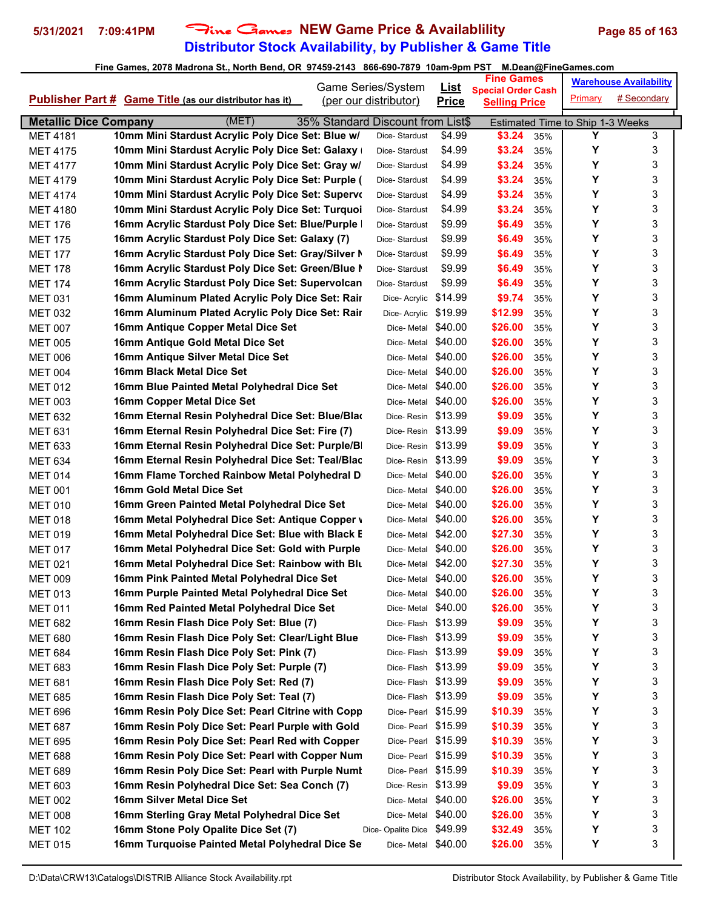# **Distributor Stock Availability, by Publisher & Game Title** 5/31/2021 7:09:41PM Fine Games NEW Game Price & Availablility Page 85 of 163

|                                    |                                                                                                       | Game Series/System                | <u>List</u>  | Fine Games                                        |            |                                       | <b>Warehouse Availability</b> |
|------------------------------------|-------------------------------------------------------------------------------------------------------|-----------------------------------|--------------|---------------------------------------------------|------------|---------------------------------------|-------------------------------|
|                                    | <b>Publisher Part # Game Title (as our distributor has it)</b>                                        | (per our distributor)             | <b>Price</b> | <b>Special Order Cash</b><br><b>Selling Price</b> |            | Primary                               | # Secondary                   |
|                                    |                                                                                                       |                                   |              |                                                   |            |                                       |                               |
| <b>Metallic Dice Company</b>       | (MET)                                                                                                 | 35% Standard Discount from List\$ | \$4.99       |                                                   |            | Estimated Time to Ship 1-3 Weeks<br>Y | 3                             |
| <b>MET 4181</b><br><b>MET 4175</b> | 10mm Mini Stardust Acrylic Poly Dice Set: Blue w/                                                     | Dice-Stardust<br>Dice-Stardust    | \$4.99       | \$3.24<br>\$3.24                                  | 35%<br>35% | Υ                                     | 3                             |
| <b>MET 4177</b>                    | 10mm Mini Stardust Acrylic Poly Dice Set: Galaxy<br>10mm Mini Stardust Acrylic Poly Dice Set: Gray w/ | Dice-Stardust                     | \$4.99       | \$3.24                                            | 35%        | Υ                                     | 3                             |
| <b>MET 4179</b>                    | 10mm Mini Stardust Acrylic Poly Dice Set: Purple (                                                    | Dice-Stardust                     | \$4.99       | \$3.24                                            | 35%        | Υ                                     | 3                             |
| <b>MET 4174</b>                    | 10mm Mini Stardust Acrylic Poly Dice Set: Supervo                                                     | Dice-Stardust                     | \$4.99       | \$3.24                                            | 35%        | Υ                                     | 3                             |
| <b>MET 4180</b>                    | 10mm Mini Stardust Acrylic Poly Dice Set: Turquoi                                                     | Dice-Stardust                     | \$4.99       | \$3.24                                            | 35%        | Υ                                     | 3                             |
| <b>MET 176</b>                     | 16mm Acrylic Stardust Poly Dice Set: Blue/Purple                                                      | Dice-Stardust                     | \$9.99       | \$6.49                                            | 35%        | Υ                                     | 3                             |
| <b>MET 175</b>                     | 16mm Acrylic Stardust Poly Dice Set: Galaxy (7)                                                       | Dice-Stardust                     | \$9.99       | \$6.49                                            | 35%        | Υ                                     | 3                             |
| <b>MET 177</b>                     | 16mm Acrylic Stardust Poly Dice Set: Gray/Silver N                                                    | Dice-Stardust                     | \$9.99       | \$6.49                                            | 35%        | Υ                                     | 3                             |
| <b>MET 178</b>                     | 16mm Acrylic Stardust Poly Dice Set: Green/Blue N                                                     | Dice-Stardust                     | \$9.99       | \$6.49                                            | 35%        | Y                                     | 3                             |
| <b>MET 174</b>                     | 16mm Acrylic Stardust Poly Dice Set: Supervolcan                                                      | Dice-Stardust                     | \$9.99       | \$6.49                                            | 35%        | Υ                                     | 3                             |
| <b>MET 031</b>                     | 16mm Aluminum Plated Acrylic Poly Dice Set: Rair                                                      | Dice- Acrylic                     | \$14.99      | \$9.74                                            | 35%        | Υ                                     | 3                             |
| <b>MET 032</b>                     | 16mm Aluminum Plated Acrylic Poly Dice Set: Rair                                                      | Dice- Acrylic                     | \$19.99      | \$12.99                                           | 35%        | Y                                     | 3                             |
| <b>MET 007</b>                     | 16mm Antique Copper Metal Dice Set                                                                    | Dice-Metal \$40.00                |              | \$26.00                                           | 35%        | Υ                                     | 3                             |
| <b>MET 005</b>                     | 16mm Antique Gold Metal Dice Set                                                                      | Dice-Metal                        | \$40.00      | \$26.00                                           | 35%        | Y                                     | 3                             |
| <b>MET 006</b>                     | 16mm Antique Silver Metal Dice Set                                                                    | Dice-Metal \$40.00                |              | \$26.00                                           | 35%        | Υ                                     | 3                             |
| <b>MET 004</b>                     | 16mm Black Metal Dice Set                                                                             | Dice- Metal                       | \$40.00      | \$26.00                                           | 35%        | Υ                                     | 3                             |
| <b>MET 012</b>                     | 16mm Blue Painted Metal Polyhedral Dice Set                                                           | Dice- Metal                       | \$40.00      | \$26.00                                           | 35%        | Υ                                     | 3                             |
| <b>MET 003</b>                     | 16mm Copper Metal Dice Set                                                                            | Dice-Metal                        | \$40.00      | \$26.00                                           | 35%        | Υ                                     | 3                             |
| <b>MET 632</b>                     | 16mm Eternal Resin Polyhedral Dice Set: Blue/Blad                                                     | Dice-Resin                        | \$13.99      | \$9.09                                            | 35%        | Y                                     | 3                             |
| <b>MET 631</b>                     | 16mm Eternal Resin Polyhedral Dice Set: Fire (7)                                                      | Dice-Resin \$13.99                |              | \$9.09                                            | 35%        | Υ                                     | 3                             |
| <b>MET 633</b>                     | 16mm Eternal Resin Polyhedral Dice Set: Purple/B                                                      | Dice-Resin \$13.99                |              | \$9.09                                            | 35%        | Υ                                     | 3                             |
| <b>MET 634</b>                     | 16mm Eternal Resin Polyhedral Dice Set: Teal/Blac                                                     | Dice-Resin                        | \$13.99      | \$9.09                                            | 35%        | Υ                                     | 3                             |
| <b>MET 014</b>                     | 16mm Flame Torched Rainbow Metal Polyhedral D                                                         | Dice-Metal                        | \$40.00      | \$26.00                                           | 35%        | Υ                                     | 3                             |
| <b>MET 001</b>                     | 16mm Gold Metal Dice Set                                                                              | Dice-Metal                        | \$40.00      | \$26.00                                           | 35%        | Υ                                     | 3                             |
| <b>MET 010</b>                     | 16mm Green Painted Metal Polyhedral Dice Set                                                          | Dice- Metal                       | \$40.00      | \$26.00                                           | 35%        | Υ                                     | 3                             |
| <b>MET 018</b>                     | 16mm Metal Polyhedral Dice Set: Antique Copper \                                                      | Dice-Metal                        | \$40.00      | \$26.00                                           | 35%        | Y                                     | 3                             |
| <b>MET 019</b>                     | 16mm Metal Polyhedral Dice Set: Blue with Black E                                                     | Dice-Metal \$42.00                |              | \$27.30                                           | 35%        | Υ                                     | 3                             |
| <b>MET 017</b>                     | 16mm Metal Polyhedral Dice Set: Gold with Purple                                                      | Dice-Metal \$40.00                |              | \$26.00                                           | 35%        | Y                                     | 3                             |
| <b>MET 021</b>                     | 16mm Metal Polyhedral Dice Set: Rainbow with Blu                                                      | Dice-Metal \$42.00                |              | \$27.30                                           | 35%        | Υ                                     | 3                             |
| <b>MET 009</b>                     | 16mm Pink Painted Metal Polyhedral Dice Set                                                           | Dice-Metal \$40.00                |              | \$26.00                                           | 35%        | Υ                                     | 3                             |
| <b>MET 013</b>                     | 16mm Purple Painted Metal Polyhedral Dice Set                                                         | Dice-Metal \$40.00                |              | \$26.00                                           | 35%        | Y                                     | 3                             |
| <b>MET 011</b>                     | 16mm Red Painted Metal Polyhedral Dice Set                                                            | Dice- Metal                       | \$40.00      | \$26.00                                           | 35%        | Υ                                     | 3                             |
| <b>MET 682</b>                     | 16mm Resin Flash Dice Poly Set: Blue (7)                                                              | Dice-Flash \$13.99                |              | \$9.09                                            | 35%        | Υ                                     | 3                             |
| <b>MET 680</b>                     | 16mm Resin Flash Dice Poly Set: Clear/Light Blue                                                      | Dice-Flash \$13.99                |              | \$9.09                                            | 35%        | Υ                                     | 3                             |
| <b>MET 684</b>                     | 16mm Resin Flash Dice Poly Set: Pink (7)                                                              | Dice-Flash \$13.99                |              | \$9.09                                            | 35%        | Υ                                     | 3                             |
| <b>MET 683</b>                     | 16mm Resin Flash Dice Poly Set: Purple (7)                                                            | Dice-Flash \$13.99                |              | \$9.09                                            | 35%        | Υ                                     | 3                             |
| <b>MET 681</b>                     | 16mm Resin Flash Dice Poly Set: Red (7)                                                               | Dice-Flash \$13.99                |              | \$9.09                                            | 35%        | Υ                                     | 3                             |
| <b>MET 685</b>                     | 16mm Resin Flash Dice Poly Set: Teal (7)                                                              | Dice-Flash \$13.99                |              | \$9.09                                            | 35%        | Υ                                     | 3                             |
| <b>MET 696</b>                     | 16mm Resin Poly Dice Set: Pearl Citrine with Copp                                                     | Dice-Pearl \$15.99                |              | \$10.39                                           | 35%        | Υ                                     | 3                             |
| <b>MET 687</b>                     | 16mm Resin Poly Dice Set: Pearl Purple with Gold                                                      | Dice-Pearl \$15.99                |              | \$10.39                                           | 35%        | Υ                                     | 3                             |
| <b>MET 695</b>                     | 16mm Resin Poly Dice Set: Pearl Red with Copper                                                       | Dice-Pearl \$15.99                |              | \$10.39                                           | 35%        | Υ                                     | 3                             |
| <b>MET 688</b>                     | 16mm Resin Poly Dice Set: Pearl with Copper Num                                                       | Dice-Pearl \$15.99                |              | \$10.39                                           | 35%        | Υ                                     | 3                             |
| <b>MET 689</b>                     | 16mm Resin Poly Dice Set: Pearl with Purple Numl                                                      | Dice-Pearl \$15.99                |              | \$10.39                                           | 35%        | Υ                                     | 3                             |
| <b>MET 603</b>                     | 16mm Resin Polyhedral Dice Set: Sea Conch (7)                                                         | Dice-Resin                        | \$13.99      | \$9.09                                            | 35%        | Υ                                     | 3                             |
| <b>MET 002</b>                     | 16mm Silver Metal Dice Set                                                                            | Dice-Metal \$40.00                |              | \$26.00                                           | 35%        | Y                                     | 3                             |
| <b>MET 008</b>                     | 16mm Sterling Gray Metal Polyhedral Dice Set                                                          | Dice-Metal                        | \$40.00      | \$26.00                                           | 35%        | Υ                                     | 3                             |
| <b>MET 102</b>                     | 16mm Stone Poly Opalite Dice Set (7)                                                                  | Dice-Opalite Dice                 | \$49.99      | \$32.49                                           | 35%        | Υ                                     | 3                             |
| <b>MET 015</b>                     | 16mm Turquoise Painted Metal Polyhedral Dice Se                                                       | Dice-Metal \$40.00                |              | \$26.00                                           | 35%        | Υ                                     | 3                             |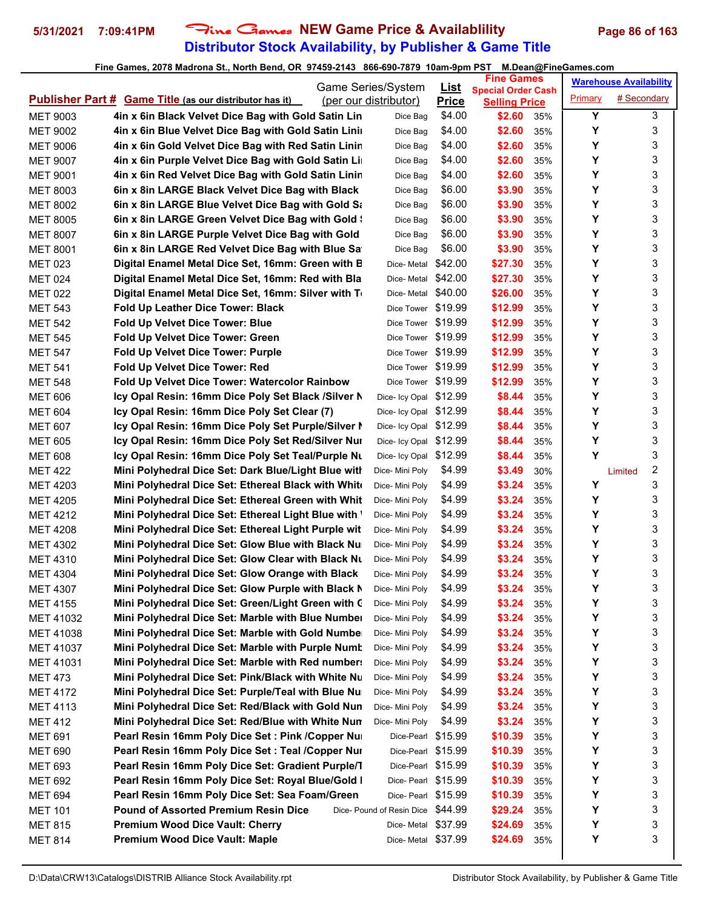# **Distributor Stock Availability, by Publisher & Game Title** 5/31/2021 7:09:41PM Fine Games NEW Game Price & Availablility Page 86 of 163

|                                   |                                                                                                         | Game Series/System                 |                             | <b>Fine Games</b>              |            |         | <b>Warehouse Availability</b> |
|-----------------------------------|---------------------------------------------------------------------------------------------------------|------------------------------------|-----------------------------|--------------------------------|------------|---------|-------------------------------|
|                                   | <b>Publisher Part # Game Title (as our distributor has it)</b>                                          | (per our distributor)              | <u>List</u><br><b>Price</b> | <b>Special Order Cash</b>      |            | Primary | # Secondary                   |
| <b>MET 9003</b>                   | 4in x 6in Black Velvet Dice Bag with Gold Satin Lin                                                     | Dice Bag                           | \$4.00                      | <b>Selling Price</b><br>\$2.60 | 35%        | Y       | 3                             |
| <b>MET 9002</b>                   | 4in x 6in Blue Velvet Dice Bag with Gold Satin Linir                                                    | Dice Bag                           | \$4.00                      | \$2.60                         | 35%        | Υ       | 3                             |
| <b>MET 9006</b>                   | 4in x 6in Gold Velvet Dice Bag with Red Satin Linin                                                     | Dice Bag                           | \$4.00                      | \$2.60                         | 35%        | Υ       | 3                             |
| <b>MET 9007</b>                   | 4in x 6in Purple Velvet Dice Bag with Gold Satin Lin                                                    | Dice Bag                           | \$4.00                      | \$2.60                         | 35%        | Y       | 3                             |
| <b>MET 9001</b>                   | 4in x 6in Red Velvet Dice Bag with Gold Satin Linin                                                     | Dice Bag                           | \$4.00                      | \$2.60                         | 35%        | Υ       | 3                             |
| <b>MET 8003</b>                   | 6in x 8in LARGE Black Velvet Dice Bag with Black                                                        | Dice Bag                           | \$6.00                      | \$3.90                         | 35%        | Υ       | 3                             |
| <b>MET 8002</b>                   | 6in x 8in LARGE Blue Velvet Dice Bag with Gold Sa                                                       | Dice Bag                           | \$6.00                      | \$3.90                         | 35%        | Υ       | 3                             |
| <b>MET 8005</b>                   | 6in x 8in LARGE Green Velvet Dice Bag with Gold \                                                       | Dice Bag                           | \$6.00                      | \$3.90                         | 35%        | Y       | 3                             |
| <b>MET 8007</b>                   | 6in x 8in LARGE Purple Velvet Dice Bag with Gold                                                        | Dice Bag                           | \$6.00                      | \$3.90                         | 35%        | Υ       | 3                             |
| <b>MET 8001</b>                   | 6in x 8in LARGE Red Velvet Dice Bag with Blue Sa                                                        | Dice Bag                           | \$6.00                      | \$3.90                         | 35%        | Υ       | 3                             |
| <b>MET 023</b>                    | Digital Enamel Metal Dice Set, 16mm: Green with B                                                       | Dice- Metal                        | \$42.00                     | \$27.30                        | 35%        | Y       | 3                             |
| <b>MET 024</b>                    | Digital Enamel Metal Dice Set, 16mm: Red with Bla                                                       | Dice- Metal                        | \$42.00                     | \$27.30                        | 35%        | Υ       | 3                             |
| <b>MET 022</b>                    | Digital Enamel Metal Dice Set, 16mm: Silver with To                                                     | Dice- Metal                        | \$40.00                     | \$26.00                        | 35%        | Υ       | 3                             |
| <b>MET 543</b>                    | <b>Fold Up Leather Dice Tower: Black</b>                                                                | Dice Tower                         | \$19.99                     | \$12.99                        | 35%        | Y       | 3                             |
| <b>MET 542</b>                    | <b>Fold Up Velvet Dice Tower: Blue</b>                                                                  | Dice Tower                         | \$19.99                     | \$12.99                        | 35%        | Y       | 3                             |
| <b>MET 545</b>                    | Fold Up Velvet Dice Tower: Green                                                                        | Dice Tower \$19.99                 |                             | \$12.99                        | 35%        | Υ       | 3                             |
| <b>MET 547</b>                    | Fold Up Velvet Dice Tower: Purple                                                                       | Dice Tower \$19.99                 |                             | \$12.99                        | 35%        | Υ       | 3                             |
| <b>MET 541</b>                    | Fold Up Velvet Dice Tower: Red                                                                          | Dice Tower                         | \$19.99                     | \$12.99                        | 35%        | Υ       | 3                             |
| <b>MET 548</b>                    | <b>Fold Up Velvet Dice Tower: Watercolor Rainbow</b>                                                    | Dice Tower \$19.99                 |                             | \$12.99                        | 35%        | Υ       | 3                             |
| <b>MET 606</b>                    | Icy Opal Resin: 16mm Dice Poly Set Black /Silver N                                                      | Dice- Icy Opal \$12.99             |                             | \$8.44                         | 35%        | Υ       | 3                             |
| <b>MET 604</b>                    | Icy Opal Resin: 16mm Dice Poly Set Clear (7)                                                            | Dice- Icy Opal \$12.99             |                             | \$8.44                         | 35%        | Y       | 3                             |
| <b>MET 607</b>                    | Icy Opal Resin: 16mm Dice Poly Set Purple/Silver I                                                      | Dice- Icy Opal \$12.99             |                             | \$8.44                         | 35%        | Υ       | 3                             |
| <b>MET 605</b>                    | Icy Opal Resin: 16mm Dice Poly Set Red/Silver Nur                                                       | Dice- Icy Opal \$12.99             |                             | \$8.44                         | 35%        | Υ       | 3                             |
| <b>MET 608</b>                    | Icy Opal Resin: 16mm Dice Poly Set Teal/Purple Nu                                                       | Dice- Icy Opal \$12.99             |                             | \$8.44                         | 35%        | Υ       | 3                             |
| <b>MET 422</b>                    | Mini Polyhedral Dice Set: Dark Blue/Light Blue with                                                     | Dice- Mini Poly                    | \$4.99                      | \$3.49                         | 30%        |         | $\boldsymbol{2}$<br>Limited   |
| <b>MET 4203</b>                   | Mini Polyhedral Dice Set: Ethereal Black with White                                                     | Dice- Mini Poly                    | \$4.99                      | \$3.24                         | 35%        | Υ       | 3                             |
| <b>MET 4205</b>                   | Mini Polyhedral Dice Set: Ethereal Green with Whit                                                      | Dice- Mini Poly                    | \$4.99                      | \$3.24                         | 35%        | Υ       | 3                             |
| <b>MET 4212</b>                   | Mini Polyhedral Dice Set: Ethereal Light Blue with \                                                    | Dice- Mini Poly                    | \$4.99                      | \$3.24                         | 35%        | Y       | 3                             |
| <b>MET 4208</b>                   | Mini Polyhedral Dice Set: Ethereal Light Purple wit                                                     | Dice- Mini Poly                    | \$4.99                      | \$3.24                         | 35%        | Y       | 3                             |
| <b>MET 4302</b>                   | Mini Polyhedral Dice Set: Glow Blue with Black Nu                                                       | Dice- Mini Poly                    | \$4.99                      | \$3.24                         | 35%        | Υ       | 3                             |
| <b>MET 4310</b>                   | <b>Mini Polyhedral Dice Set: Glow Clear with Black Nu</b>                                               | Dice- Mini Poly                    | \$4.99                      | \$3.24                         | 35%        | Υ       | 3                             |
| <b>MET 4304</b>                   | Mini Polyhedral Dice Set: Glow Orange with Black                                                        | Dice- Mini Poly                    | \$4.99                      | \$3.24                         | 35%        | Υ       | 3                             |
| <b>MET 4307</b>                   | Mini Polyhedral Dice Set: Glow Purple with Black N                                                      | Dice- Mini Poly                    | \$4.99                      | \$3.24                         | 35%        | Υ       | 3                             |
| <b>MET 4155</b>                   | Mini Polyhedral Dice Set: Green/Light Green with C                                                      | Dice- Mini Poly                    | \$4.99                      | \$3.24                         | 35%        | Υ       | 3                             |
| MET 41032                         | Mini Polyhedral Dice Set: Marble with Blue Number                                                       | Dice- Mini Poly                    | \$4.99                      | \$3.24                         | 35%        | Υ       | 3                             |
| MET 41038                         | Mini Polyhedral Dice Set: Marble with Gold Numbe                                                        | Dice- Mini Poly                    | \$4.99                      | \$3.24                         | 35%        | Υ       | 3                             |
| MET 41037                         | Mini Polyhedral Dice Set: Marble with Purple Numt                                                       | Dice- Mini Poly                    | \$4.99                      | \$3.24                         | 35%        | Υ       | 3                             |
| <b>MET 41031</b>                  | Mini Polyhedral Dice Set: Marble with Red numbers<br>Mini Polyhedral Dice Set: Pink/Black with White Nu | Dice- Mini Poly                    | \$4.99                      | \$3.24                         | 35%        | Υ       | 3<br>3                        |
| <b>MET 473</b>                    | Mini Polyhedral Dice Set: Purple/Teal with Blue Nu                                                      | Dice- Mini Poly<br>Dice- Mini Poly | \$4.99<br>\$4.99            | \$3.24<br>\$3.24               | 35%        | Υ<br>Υ  | 3                             |
| <b>MET 4172</b>                   | Mini Polyhedral Dice Set: Red/Black with Gold Nun                                                       | Dice- Mini Poly                    | \$4.99                      | \$3.24                         | 35%<br>35% | Υ       | 3                             |
| <b>MET 4113</b><br><b>MET 412</b> | Mini Polyhedral Dice Set: Red/Blue with White Nun                                                       | Dice- Mini Poly                    | \$4.99                      | \$3.24                         | 35%        | Υ       | 3                             |
|                                   | Pearl Resin 16mm Poly Dice Set: Pink / Copper Nu                                                        | Dice-Pearl \$15.99                 |                             | \$10.39                        | 35%        | Υ       | 3                             |
| <b>MET 691</b><br><b>MET 690</b>  | Pearl Resin 16mm Poly Dice Set: Teal /Copper Nur                                                        | Dice-Pearl \$15.99                 |                             | \$10.39                        | 35%        | Υ       | 3                             |
| <b>MET 693</b>                    | Pearl Resin 16mm Poly Dice Set: Gradient Purple/1                                                       | Dice-Pearl \$15.99                 |                             | \$10.39                        | 35%        | Υ       | 3                             |
| <b>MET 692</b>                    | Pearl Resin 16mm Poly Dice Set: Royal Blue/Gold I                                                       | Dice-Pearl \$15.99                 |                             | \$10.39                        | 35%        | Υ       | 3                             |
| <b>MET 694</b>                    | Pearl Resin 16mm Poly Dice Set: Sea Foam/Green                                                          | Dice-Pearl \$15.99                 |                             | \$10.39                        | 35%        | Υ       | 3                             |
| <b>MET 101</b>                    | <b>Pound of Assorted Premium Resin Dice</b>                                                             | Dice- Pound of Resin Dice          | \$44.99                     | \$29.24                        | 35%        | Υ       | 3                             |
| <b>MET 815</b>                    | <b>Premium Wood Dice Vault: Cherry</b>                                                                  | Dice-Metal \$37.99                 |                             | \$24.69                        | 35%        | Υ       | 3                             |
| <b>MET 814</b>                    | <b>Premium Wood Dice Vault: Maple</b>                                                                   | Dice-Metal \$37.99                 |                             | \$24.69                        | 35%        | Υ       | 3                             |
|                                   |                                                                                                         |                                    |                             |                                |            |         |                               |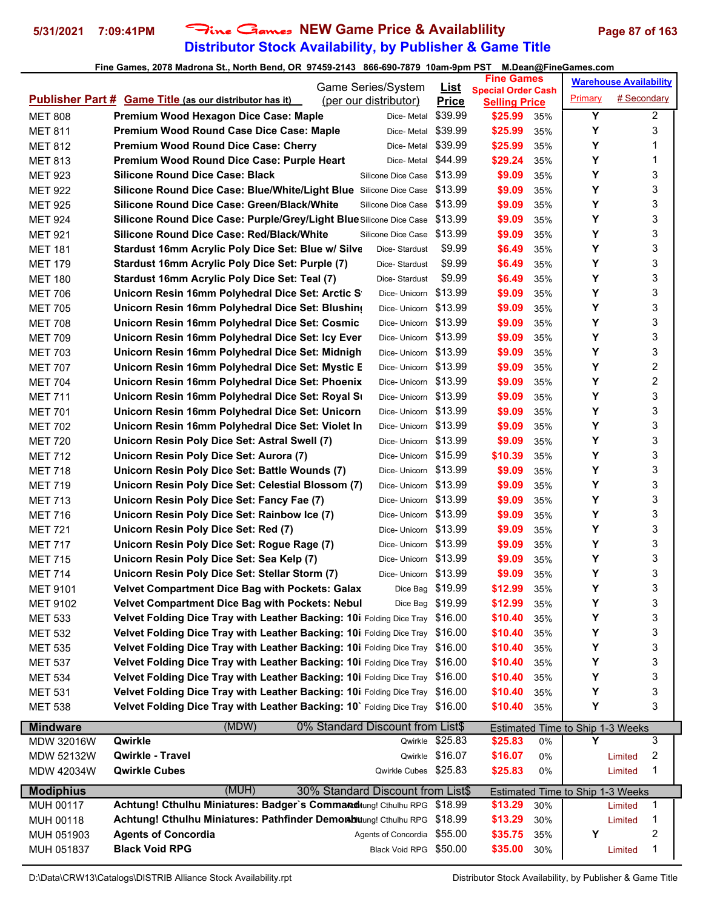# **Distributor Stock Availability, by Publisher & Game Title** 5/31/2021 7:09:41PM Fine Games NEW Game Price & Availablility Page 87 of 163

|                                  |                                                                              | Game Series/System                |                             | <b>Fine Games</b>                                 |     |                                         | <b>Warehouse Availability</b> |
|----------------------------------|------------------------------------------------------------------------------|-----------------------------------|-----------------------------|---------------------------------------------------|-----|-----------------------------------------|-------------------------------|
|                                  | <b>Publisher Part # Game Title (as our distributor has it)</b>               | (per our distributor)             | <u>List</u><br><b>Price</b> | <b>Special Order Cash</b><br><b>Selling Price</b> |     | Primary                                 | # Secondary                   |
| <b>MET 808</b>                   | Premium Wood Hexagon Dice Case: Maple                                        | Dice-Metal                        | \$39.99                     | \$25.99                                           | 35% | Y                                       | $\overline{2}$                |
| <b>MET 811</b>                   | Premium Wood Round Case Dice Case: Maple                                     | Dice- Metal                       | \$39.99                     | \$25.99                                           | 35% | Υ                                       | 3                             |
| <b>MET 812</b>                   | <b>Premium Wood Round Dice Case: Cherry</b>                                  | Dice-Metal                        | \$39.99                     | \$25.99                                           | 35% | Υ                                       | 1                             |
| <b>MET 813</b>                   | Premium Wood Round Dice Case: Purple Heart                                   | Dice-Metal                        | \$44.99                     | \$29.24                                           | 35% | Y                                       | 1                             |
| <b>MET 923</b>                   | <b>Silicone Round Dice Case: Black</b>                                       | Silicone Dice Case                | \$13.99                     | \$9.09                                            | 35% | Υ                                       | 3                             |
| <b>MET 922</b>                   | Silicone Round Dice Case: Blue/White/Light Blue Silicone Dice Case \$13.99   |                                   |                             | \$9.09                                            | 35% | Υ                                       | 3                             |
| <b>MET 925</b>                   | Silicone Round Dice Case: Green/Black/White                                  | Silicone Dice Case \$13.99        |                             | \$9.09                                            | 35% | Υ                                       | 3                             |
| <b>MET 924</b>                   | Silicone Round Dice Case: Purple/Grey/Light Blue Silicone Dice Case \$13.99  |                                   |                             | \$9.09                                            | 35% | Υ                                       | 3                             |
| <b>MET 921</b>                   | <b>Silicone Round Dice Case: Red/Black/White</b>                             | Silicone Dice Case \$13.99        |                             | \$9.09                                            | 35% | Υ                                       | 3                             |
| <b>MET 181</b>                   | Stardust 16mm Acrylic Poly Dice Set: Blue w/ Silve                           | Dice-Stardust                     | \$9.99                      | \$6.49                                            | 35% | Y                                       | 3                             |
| <b>MET 179</b>                   | Stardust 16mm Acrylic Poly Dice Set: Purple (7)                              | Dice-Stardust                     | \$9.99                      | \$6.49                                            | 35% | Υ                                       | 3                             |
| <b>MET 180</b>                   | Stardust 16mm Acrylic Poly Dice Set: Teal (7)                                | Dice-Stardust                     | \$9.99                      | \$6.49                                            | 35% | Υ                                       | 3                             |
| <b>MET 706</b>                   | Unicorn Resin 16mm Polyhedral Dice Set: Arctic S                             | Dice-Unicorn \$13.99              |                             | \$9.09                                            | 35% | Υ                                       | 3                             |
| <b>MET 705</b>                   | Unicorn Resin 16mm Polyhedral Dice Set: Blushing                             | Dice-Unicorn \$13.99              |                             | \$9.09                                            | 35% | Υ                                       | 3                             |
|                                  | Unicorn Resin 16mm Polyhedral Dice Set: Cosmic                               | Dice-Unicorn \$13.99              |                             | \$9.09                                            | 35% | Υ                                       | 3                             |
| <b>MET 708</b><br><b>MET 709</b> | Unicorn Resin 16mm Polyhedral Dice Set: Icy Ever                             | Dice-Unicorn \$13.99              |                             | \$9.09                                            |     | Y                                       | 3                             |
|                                  |                                                                              | Dice-Unicorn \$13.99              |                             |                                                   | 35% | Y                                       | 3                             |
| <b>MET 703</b>                   | Unicorn Resin 16mm Polyhedral Dice Set: Midnigh                              |                                   |                             | \$9.09                                            | 35% | Υ                                       | $\overline{c}$                |
| <b>MET 707</b>                   | Unicorn Resin 16mm Polyhedral Dice Set: Mystic E                             | Dice-Unicorn \$13.99              |                             | \$9.09                                            | 35% |                                         |                               |
| <b>MET 704</b>                   | Unicorn Resin 16mm Polyhedral Dice Set: Phoenix                              | Dice-Unicorn \$13.99              |                             | \$9.09                                            | 35% | Υ                                       | $\overline{c}$                |
| <b>MET 711</b>                   | Unicorn Resin 16mm Polyhedral Dice Set: Royal Su                             | Dice-Unicorn \$13.99              |                             | \$9.09                                            | 35% | Υ                                       | 3                             |
| <b>MET 701</b>                   | Unicorn Resin 16mm Polyhedral Dice Set: Unicorn                              | Dice-Unicorn \$13.99              |                             | \$9.09                                            | 35% | Υ                                       | 3                             |
| <b>MET 702</b>                   | Unicorn Resin 16mm Polyhedral Dice Set: Violet In                            | Dice-Unicorn \$13.99              |                             | \$9.09                                            | 35% | Υ                                       | 3                             |
| <b>MET 720</b>                   | Unicorn Resin Poly Dice Set: Astral Swell (7)                                | Dice-Unicorn \$13.99              |                             | \$9.09                                            | 35% | Υ                                       | 3                             |
| <b>MET 712</b>                   | Unicorn Resin Poly Dice Set: Aurora (7)                                      | Dice-Unicorn \$15.99              |                             | \$10.39                                           | 35% | Y                                       | 3                             |
| <b>MET 718</b>                   | Unicorn Resin Poly Dice Set: Battle Wounds (7)                               | Dice-Unicorn \$13.99              |                             | \$9.09                                            | 35% | Υ                                       | 3                             |
| <b>MET 719</b>                   | Unicorn Resin Poly Dice Set: Celestial Blossom (7)                           | Dice-Unicorn \$13.99              |                             | \$9.09                                            | 35% | Υ                                       | 3                             |
| <b>MET 713</b>                   | Unicorn Resin Poly Dice Set: Fancy Fae (7)                                   | Dice-Unicorn \$13.99              |                             | \$9.09                                            | 35% | Υ                                       | 3                             |
| <b>MET 716</b>                   | Unicorn Resin Poly Dice Set: Rainbow Ice (7)                                 | Dice-Unicorn \$13.99              |                             | \$9.09                                            | 35% | Υ                                       | 3                             |
| <b>MET 721</b>                   | Unicorn Resin Poly Dice Set: Red (7)                                         | Dice-Unicorn \$13.99              |                             | \$9.09                                            | 35% | Υ                                       | 3                             |
| <b>MET 717</b>                   | Unicorn Resin Poly Dice Set: Rogue Rage (7)                                  | Dice-Unicorn \$13.99              |                             | \$9.09                                            | 35% | Υ                                       | 3                             |
| <b>MET 715</b>                   | Unicorn Resin Poly Dice Set: Sea Kelp (7)                                    | Dice-Unicorn \$13.99              |                             | \$9.09                                            | 35% | Υ                                       | 3                             |
| <b>MET 714</b>                   | Unicorn Resin Poly Dice Set: Stellar Storm (7)                               | Dice- Unicorn \$13.99             |                             | \$9.09                                            | 35% | Y                                       | 3                             |
| <b>MET 9101</b>                  | <b>Velvet Compartment Dice Bag with Pockets: Galax</b>                       | Dice Bag \$19.99                  |                             | \$12.99                                           | 35% | Υ                                       | 3                             |
| MET 9102                         | <b>Velvet Compartment Dice Bag with Pockets: Nebul</b>                       | Dice Bag \$19.99                  |                             | \$12.99                                           | 35% | Υ                                       | 3                             |
| <b>MET 533</b>                   | Velvet Folding Dice Tray with Leather Backing: 10i Folding Dice Tray \$16.00 |                                   |                             | \$10.40                                           | 35% | Υ                                       | 3                             |
| <b>MET 532</b>                   | Velvet Folding Dice Tray with Leather Backing: 10i Folding Dice Tray \$16.00 |                                   |                             | \$10.40                                           | 35% | Υ                                       | 3                             |
| <b>MET 535</b>                   | Velvet Folding Dice Tray with Leather Backing: 10i Folding Dice Tray \$16.00 |                                   |                             | \$10.40                                           | 35% | Υ                                       | 3                             |
| <b>MET 537</b>                   | Velvet Folding Dice Tray with Leather Backing: 10i Folding Dice Tray         |                                   | \$16.00                     | \$10.40                                           | 35% | Y                                       | 3                             |
| <b>MET 534</b>                   | Velvet Folding Dice Tray with Leather Backing: 10i Folding Dice Tray         |                                   | \$16.00                     | \$10.40                                           | 35% | Υ                                       | 3                             |
| <b>MET 531</b>                   | Velvet Folding Dice Tray with Leather Backing: 10i Folding Dice Tray         |                                   | \$16.00                     | \$10.40                                           | 35% | Υ                                       | 3                             |
| <b>MET 538</b>                   | Velvet Folding Dice Tray with Leather Backing: 10` Folding Dice Tray \$16.00 |                                   |                             | \$10.40                                           | 35% | Υ                                       | 3                             |
| <b>Mindware</b>                  | (MDW)                                                                        | 0% Standard Discount from List\$  |                             |                                                   |     | <b>Estimated Time to Ship 1-3 Weeks</b> |                               |
| <b>MDW 32016W</b>                | Qwirkle                                                                      |                                   | Qwirkle \$25.83             | \$25.83                                           | 0%  | Υ                                       | 3                             |
| <b>MDW 52132W</b>                | Qwirkle - Travel                                                             |                                   | Qwirkle \$16.07             | \$16.07                                           | 0%  |                                         | 2<br>Limited                  |
| MDW 42034W                       | <b>Qwirkle Cubes</b>                                                         | Qwirkle Cubes \$25.83             |                             | \$25.83                                           | 0%  |                                         | 1<br>Limited                  |
| <b>Modiphius</b>                 | (MUH)                                                                        | 30% Standard Discount from List\$ |                             |                                                   |     | <b>Estimated Time to Ship 1-3 Weeks</b> |                               |
| MUH 00117                        | Achtung! Cthulhu Miniatures: Badger's Command tung! Cthulhu RPG \$18.99      |                                   |                             | \$13.29                                           | 30% |                                         | 1<br>Limited                  |
| MUH 00118                        | Achtung! Cthulhu Miniatures: Pathfinder Demonbitung! Cthulhu RPG \$18.99     |                                   |                             | \$13.29                                           | 30% |                                         | 1<br>Limited                  |
| MUH 051903                       | <b>Agents of Concordia</b>                                                   | Agents of Concordia \$55.00       |                             | \$35.75                                           | 35% | Υ                                       | 2                             |
| MUH 051837                       | <b>Black Void RPG</b>                                                        | Black Void RPG \$50.00            |                             | \$35.00                                           | 30% |                                         | 1<br>Limited                  |
|                                  |                                                                              |                                   |                             |                                                   |     |                                         |                               |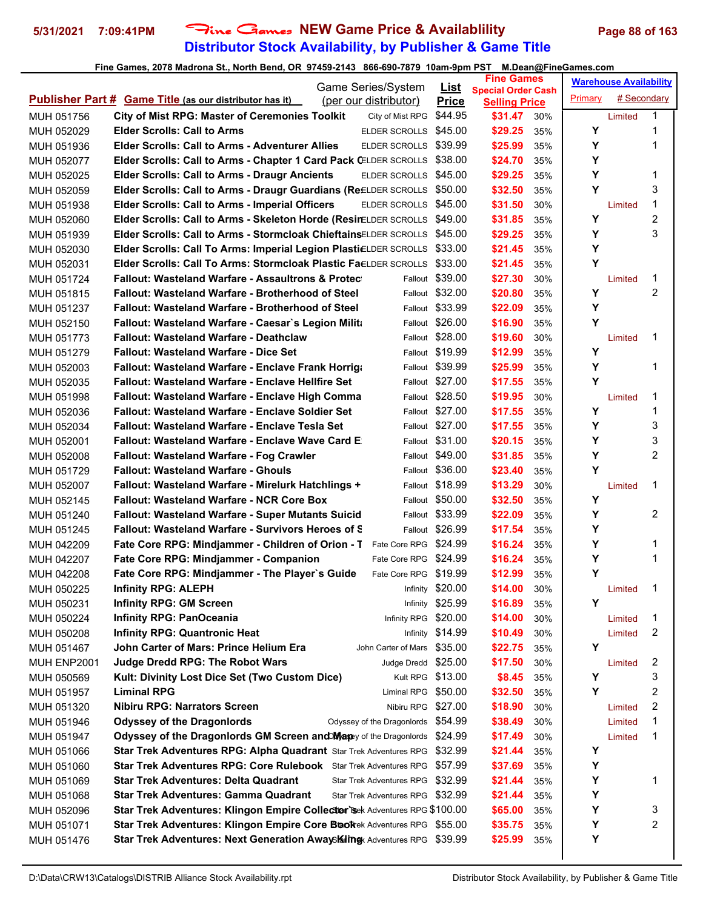# **Distributor Stock Availability, by Publisher & Game Title** 5/31/2021 7:09:41PM Fine Games NEW Game Price & Availablility Page 88 of 163

|             |                                                                              | Game Series/System                 | <b>List</b>      | <b>Fine Games</b>                                 |     |         | <b>Warehouse Availability</b> |                |
|-------------|------------------------------------------------------------------------------|------------------------------------|------------------|---------------------------------------------------|-----|---------|-------------------------------|----------------|
|             | <b>Publisher Part # Game Title (as our distributor has it)</b>               | (per our distributor)              | <b>Price</b>     | <b>Special Order Cash</b><br><b>Selling Price</b> |     | Primary | # Secondary                   |                |
| MUH 051756  | <b>City of Mist RPG: Master of Ceremonies Toolkit</b>                        | City of Mist RPG                   | \$44.95          | \$31.47                                           | 30% |         | Limited                       | 1              |
| MUH 052029  | <b>Elder Scrolls: Call to Arms</b>                                           | ELDER SCROLLS \$45.00              |                  | \$29.25                                           | 35% | Υ       |                               | 1              |
| MUH 051936  | <b>Elder Scrolls: Call to Arms - Adventurer Allies</b>                       | ELDER SCROLLS \$39.99              |                  | \$25.99                                           | 35% | Υ       |                               | 1              |
| MUH 052077  | Elder Scrolls: Call to Arms - Chapter 1 Card Pack CELDER SCROLLS \$38.00     |                                    |                  | \$24.70                                           | 35% | Y       |                               |                |
| MUH 052025  | <b>Elder Scrolls: Call to Arms - Draugr Ancients</b>                         | ELDER SCROLLS \$45.00              |                  | \$29.25                                           | 35% | Y       |                               | 1              |
| MUH 052059  | Elder Scrolls: Call to Arms - Draugr Guardians (ReELDER SCROLLS \$50.00      |                                    |                  | \$32.50                                           | 35% | Y       |                               | 3              |
| MUH 051938  | <b>Elder Scrolls: Call to Arms - Imperial Officers</b>                       | ELDER SCROLLS \$45.00              |                  | \$31.50                                           | 30% |         | Limited                       | 1              |
| MUH 052060  | Elder Scrolls: Call to Arms - Skeleton Horde (ResinELDER SCROLLS \$49.00     |                                    |                  | \$31.85                                           | 35% | Y       |                               | $\overline{c}$ |
| MUH 051939  | <b>Elder Scrolls: Call to Arms - Stormcloak ChieftainsELDER SCROLLS</b>      |                                    | \$45.00          | \$29.25                                           | 35% | Y       |                               | 3              |
| MUH 052030  | Elder Scrolls: Call To Arms: Imperial Legion PlastiELDER SCROLLS             |                                    | \$33.00          | \$21.45                                           | 35% | Y       |                               |                |
| MUH 052031  | Elder Scrolls: Call To Arms: Stormcloak Plastic Fa∈LDER SCROLLS              |                                    | \$33.00          | \$21.45                                           | 35% | Y       |                               |                |
| MUH 051724  | <b>Fallout: Wasteland Warfare - Assaultrons &amp; Protect</b>                | Fallout                            | \$39.00          | \$27.30                                           | 30% |         | Limited                       | 1              |
| MUH 051815  | Fallout: Wasteland Warfare - Brotherhood of Steel                            |                                    | Fallout \$32.00  | \$20.80                                           | 35% | Υ       |                               | 2              |
| MUH 051237  | <b>Fallout: Wasteland Warfare - Brotherhood of Steel</b>                     |                                    | Fallout \$33.99  | \$22.09                                           | 35% | Υ       |                               |                |
| MUH 052150  | Fallout: Wasteland Warfare - Caesar's Legion Milita                          |                                    | Fallout \$26.00  | \$16.90                                           | 35% | Y       |                               |                |
| MUH 051773  | Fallout: Wasteland Warfare - Deathclaw                                       |                                    | Fallout \$28.00  | \$19.60                                           | 30% |         | Limited                       | 1              |
| MUH 051279  | <b>Fallout: Wasteland Warfare - Dice Set</b>                                 |                                    | Fallout \$19.99  | \$12.99                                           | 35% | Y       |                               |                |
| MUH 052003  | <b>Fallout: Wasteland Warfare - Enclave Frank Horrigg</b>                    |                                    | Fallout \$39.99  | \$25.99                                           | 35% | Υ       |                               | 1              |
| MUH 052035  | <b>Fallout: Wasteland Warfare - Enclave Hellfire Set</b>                     |                                    | Fallout \$27.00  | \$17.55                                           | 35% | Υ       |                               |                |
| MUH 051998  | <b>Fallout: Wasteland Warfare - Enclave High Comma</b>                       |                                    | Fallout \$28.50  | \$19.95                                           | 30% |         | Limited                       | 1              |
| MUH 052036  | <b>Fallout: Wasteland Warfare - Enclave Soldier Set</b>                      |                                    | Fallout \$27.00  | \$17.55                                           | 35% | Y       |                               | 1              |
| MUH 052034  | Fallout: Wasteland Warfare - Enclave Tesla Set                               |                                    | Fallout \$27.00  | \$17.55                                           | 35% | Y       |                               | 3              |
| MUH 052001  | Fallout: Wasteland Warfare - Enclave Wave Card E                             |                                    | Fallout \$31.00  | \$20.15                                           | 35% | Y       |                               | 3              |
| MUH 052008  | Fallout: Wasteland Warfare - Fog Crawler                                     |                                    | Fallout \$49.00  | \$31.85                                           | 35% | Υ       |                               | 2              |
| MUH 051729  | <b>Fallout: Wasteland Warfare - Ghouls</b>                                   |                                    | Fallout \$36.00  | \$23.40                                           | 35% | Y       |                               |                |
| MUH 052007  | Fallout: Wasteland Warfare - Mirelurk Hatchlings +                           |                                    | Fallout \$18.99  | \$13.29                                           | 30% |         | Limited                       | 1              |
| MUH 052145  | <b>Fallout: Wasteland Warfare - NCR Core Box</b>                             |                                    | Fallout \$50.00  | \$32.50                                           | 35% | Υ       |                               |                |
| MUH 051240  | <b>Fallout: Wasteland Warfare - Super Mutants Suicid</b>                     |                                    | Fallout \$33.99  | \$22.09                                           | 35% | Y       |                               | $\overline{2}$ |
| MUH 051245  | <b>Fallout: Wasteland Warfare - Survivors Heroes of S</b>                    |                                    | Fallout \$26.99  | \$17.54                                           | 35% | Y       |                               |                |
| MUH 042209  | Fate Core RPG: Mindjammer - Children of Orion - T                            | Fate Core RPG \$24.99              |                  | \$16.24                                           | 35% | Y       |                               | 1              |
| MUH 042207  | Fate Core RPG: Mindjammer - Companion                                        | Fate Core RPG \$24.99              |                  | \$16.24                                           | 35% | Υ       |                               | 1              |
| MUH 042208  | Fate Core RPG: Mindjammer - The Player's Guide                               | Fate Core RPG \$19.99              |                  | \$12.99                                           | 35% | Y       |                               |                |
| MUH 050225  | <b>Infinity RPG: ALEPH</b>                                                   |                                    | Infinity \$20.00 | \$14.00                                           | 30% |         | Limited                       | 1              |
| MUH 050231  | <b>Infinity RPG: GM Screen</b>                                               |                                    | Infinity \$25.99 | \$16.89                                           | 35% | Y       |                               |                |
| MUH 050224  | <b>Infinity RPG: PanOceania</b>                                              | Infinity RPG \$20.00               |                  | \$14.00                                           | 30% |         | Limited                       | 1              |
| MUH 050208  | <b>Infinity RPG: Quantronic Heat</b>                                         |                                    | Infinity \$14.99 | \$10.49                                           | 30% |         | Limited                       | 2              |
| MUH 051467  | John Carter of Mars: Prince Helium Era                                       | John Carter of Mars \$35.00        |                  | \$22.75                                           | 35% | Υ       |                               |                |
| MUH ENP2001 | <b>Judge Dredd RPG: The Robot Wars</b>                                       | Judge Dredd \$25.00                |                  | \$17.50                                           | 30% |         | Limited                       | 2              |
| MUH 050569  | Kult: Divinity Lost Dice Set (Two Custom Dice)                               | Kult RPG \$13.00                   |                  | \$8.45                                            | 35% | Y       |                               | 3              |
| MUH 051957  | <b>Liminal RPG</b>                                                           | Liminal RPG \$50.00                |                  | \$32.50                                           | 35% | Υ       |                               | 2              |
| MUH 051320  | <b>Nibiru RPG: Narrators Screen</b>                                          | Nibiru RPG                         | \$27.00          | \$18.90                                           | 30% |         | Limited                       | 2              |
| MUH 051946  | <b>Odyssey of the Dragonlords</b>                                            | Odyssey of the Dragonlords \$54.99 |                  | \$38.49                                           | 30% |         | Limited                       | 1              |
| MUH 051947  | Odyssey of the Dragonlords GM Screen and Map of the Dragonlords \$24.99      |                                    |                  | \$17.49                                           | 30% |         | Limited                       | 1              |
| MUH 051066  | Star Trek Adventures RPG: Alpha Quadrant Star Trek Adventures RPG            |                                    | \$32.99          | \$21.44                                           | 35% | Υ       |                               |                |
| MUH 051060  | <b>Star Trek Adventures RPG: Core Rulebook</b> Star Trek Adventures RPG      |                                    | \$57.99          | \$37.69                                           | 35% | Υ       |                               |                |
| MUH 051069  | <b>Star Trek Adventures: Delta Quadrant</b>                                  | Star Trek Adventures RPG           | \$32.99          | \$21.44                                           | 35% | Υ       |                               | 1              |
| MUH 051068  | <b>Star Trek Adventures: Gamma Quadrant</b>                                  | Star Trek Adventures RPG \$32.99   |                  | \$21.44                                           | 35% | Υ       |                               |                |
| MUH 052096  | Star Trek Adventures: Klingon Empire Collector's Rek Adventures RPG \$100.00 |                                    |                  | \$65.00                                           | 35% | Υ       |                               | 3              |
| MUH 051071  | Star Trek Adventures: Klingon Empire Core Bookek Adventures RPG \$55.00      |                                    |                  | \$35.75                                           | 35% | Υ       |                               | 2              |
| MUH 051476  | Star Trek Adventures: Next Generation AwaySKiling Adventures RPG \$39.99     |                                    |                  | \$25.99                                           | 35% | Y       |                               |                |
|             |                                                                              |                                    |                  |                                                   |     |         |                               |                |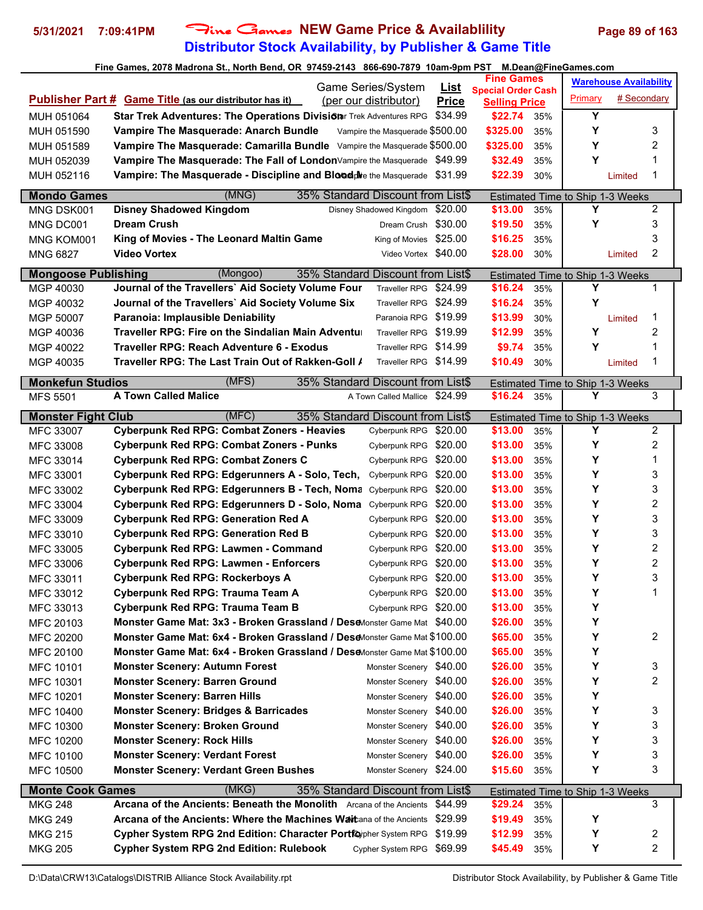### **Distributor Stock Availability, by Publisher & Game Title 5/31/2021 7:09:41PM** Fine Games **NEW Game Price & Availablility Page 89 of 163**

| Fine Games, 2078 Madrona St., North Bend, OR 97459-2143 866-690-7879 10am-9pm PST M.Dean@FineGames.com |                                                                             |                                                    |              |                      |     |                                  |                               |                |
|--------------------------------------------------------------------------------------------------------|-----------------------------------------------------------------------------|----------------------------------------------------|--------------|----------------------|-----|----------------------------------|-------------------------------|----------------|
| <b>Fine Games</b><br>Game Series/System<br><u>List</u><br><b>Special Order Cash</b>                    |                                                                             |                                                    |              |                      |     |                                  | <b>Warehouse Availability</b> |                |
|                                                                                                        | <b>Publisher Part # Game Title (as our distributor has it)</b>              | (per our distributor)                              | <b>Price</b> | <b>Selling Price</b> |     | Primary                          | # Secondary                   |                |
| MUH 051064                                                                                             | Star Trek Adventures: The Operations Division Trek Adventures RPG           |                                                    | \$34.99      | \$22.74 35%          |     | Y                                |                               |                |
| MUH 051590                                                                                             | Vampire The Masquerade: Anarch Bundle                                       | Vampire the Masquerade \$500.00                    |              | \$325.00             | 35% | Y                                |                               | 3              |
| MUH 051589                                                                                             | Vampire The Masquerade: Camarilla Bundle Vampire the Masquerade \$500.00    |                                                    |              | \$325.00             | 35% | Y                                |                               | 2              |
|                                                                                                        | Vampire The Masquerade: The Fall of LondonVampire the Masquerade \$49.99    |                                                    |              | \$32.49              | 35% | Y                                |                               |                |
| MUH 052039                                                                                             |                                                                             |                                                    |              |                      |     |                                  |                               | 1              |
| MUH 052116                                                                                             | Vampire: The Masquerade - Discipline and Bloed plre the Masquerade \$31.99  |                                                    |              | \$22.39              | 30% |                                  | Limited                       |                |
| <b>Mondo Games</b>                                                                                     | (MNG)                                                                       | 35% Standard Discount from List\$                  |              |                      |     | Estimated Time to Ship 1-3 Weeks |                               |                |
| MNG DSK001                                                                                             | <b>Disney Shadowed Kingdom</b>                                              | Disney Shadowed Kingdom \$20.00                    |              | \$13.00              | 35% | Υ                                |                               | $\overline{2}$ |
| MNG DC001                                                                                              | <b>Dream Crush</b>                                                          | Dream Crush \$30.00                                |              | \$19.50              | 35% | Υ                                |                               | 3              |
| MNG KOM001                                                                                             | King of Movies - The Leonard Maltin Game                                    | King of Movies \$25.00                             |              | \$16.25              | 35% |                                  |                               | 3              |
| <b>MNG 6827</b>                                                                                        | <b>Video Vortex</b>                                                         | Video Vortex \$40.00                               |              | \$28.00              | 30% |                                  | Limited                       | 2              |
| <b>Mongoose Publishing</b>                                                                             | (Mongoo)                                                                    | 35% Standard Discount from List\$                  |              |                      |     | Estimated Time to Ship 1-3 Weeks |                               |                |
| MGP 40030                                                                                              | Journal of the Travellers' Aid Society Volume Four                          | Traveller RPG \$24.99                              |              | \$16.24              | 35% | Υ                                |                               | 1              |
| MGP 40032                                                                                              | Journal of the Travellers' Aid Society Volume Six                           | Traveller RPG \$24.99                              |              | \$16.24              | 35% | Y                                |                               |                |
| MGP 50007                                                                                              | Paranoia: Implausible Deniability                                           | Paranoia RPG \$19.99                               |              | \$13.99              | 30% |                                  | Limited                       | 1              |
| MGP 40036                                                                                              | Traveller RPG: Fire on the Sindalian Main Adventu⊧                          | Traveller RPG \$19.99                              |              | \$12.99              | 35% | Y                                |                               | 2              |
| MGP 40022                                                                                              | Traveller RPG: Reach Adventure 6 - Exodus                                   | Traveller RPG \$14.99                              |              | \$9.74               | 35% | Y                                |                               |                |
| MGP 40035                                                                                              | Traveller RPG: The Last Train Out of Rakken-Goll /                          | Traveller RPG \$14.99                              |              | \$10.49              | 30% |                                  | Limited                       | 1              |
|                                                                                                        |                                                                             |                                                    |              |                      |     |                                  |                               |                |
| <b>Monkefun Studios</b>                                                                                | (MFS)                                                                       | 35% Standard Discount from List\$                  |              |                      |     | Estimated Time to Ship 1-3 Weeks |                               |                |
| <b>MFS 5501</b>                                                                                        | <b>A Town Called Malice</b>                                                 | A Town Called Mallice \$24.99                      |              | \$16.24              | 35% | Y                                |                               | 3              |
| <b>Monster Fight Club</b>                                                                              | (MFC)                                                                       | 35% Standard Discount from List\$                  |              |                      |     | Estimated Time to Ship 1-3 Weeks |                               |                |
| MFC 33007                                                                                              | <b>Cyberpunk Red RPG: Combat Zoners - Heavies</b>                           | Cyberpunk RPG \$20.00                              |              | \$13.00              | 35% | Υ                                |                               | 2              |
| <b>MFC 33008</b>                                                                                       | <b>Cyberpunk Red RPG: Combat Zoners - Punks</b>                             | Cyberpunk RPG \$20.00                              |              | \$13.00              | 35% | Y                                |                               | 2              |
| MFC 33014                                                                                              | <b>Cyberpunk Red RPG: Combat Zoners C</b>                                   | Cyberpunk RPG \$20.00                              |              | \$13.00              | 35% | Y                                |                               |                |
| MFC 33001                                                                                              | Cyberpunk Red RPG: Edgerunners A - Solo, Tech,                              | Cyberpunk RPG \$20.00                              |              | \$13.00              | 35% | Y                                |                               | 3              |
| MFC 33002                                                                                              | Cyberpunk Red RPG: Edgerunners B - Tech, Noma                               | Cyberpunk RPG \$20.00                              |              | \$13.00              | 35% | Y                                |                               | 3              |
| MFC 33004                                                                                              | Cyberpunk Red RPG: Edgerunners D - Solo, Noma                               | Cyberpunk RPG \$20.00                              |              | \$13.00              | 35% | Y                                |                               | 2              |
| MFC 33009                                                                                              | <b>Cyberpunk Red RPG: Generation Red A</b>                                  | Cyberpunk RPG \$20.00                              |              | \$13.00              | 35% | Υ                                |                               | 3              |
| MFC 33010                                                                                              | <b>Cyberpunk Red RPG: Generation Red B</b>                                  | Cyberpunk RPG \$20.00                              |              | \$13.00              | 35% | Υ                                |                               | 3              |
| MFC 33005                                                                                              | Cyberpunk Red RPG: Lawmen - Command                                         | Cyberpunk RPG \$20.00                              |              | \$13.00              | 35% | Υ                                |                               | 2              |
| MFC 33006                                                                                              | <b>Cyberpunk Red RPG: Lawmen - Enforcers</b>                                | Cyberpunk RPG \$20.00                              |              | \$13.00              | 35% | Y                                |                               | 2              |
| MFC 33011                                                                                              | <b>Cyberpunk Red RPG: Rockerboys A</b>                                      | Cyberpunk RPG \$20.00                              |              | \$13.00              | 35% | Y                                |                               | 3              |
| MFC 33012                                                                                              | Cyberpunk Red RPG: Trauma Team A                                            | Cyberpunk RPG \$20.00                              |              | \$13.00              | 35% | Y                                |                               | 1              |
| MFC 33013                                                                                              | Cyberpunk Red RPG: Trauma Team B                                            | Cyberpunk RPG \$20.00                              |              | \$13.00              | 35% | Y                                |                               |                |
| MFC 20103                                                                                              | Monster Game Mat: 3x3 - Broken Grassland / DeseMonster Game Mat \$40.00     |                                                    |              | \$26.00              | 35% | Υ                                |                               |                |
| MFC 20200                                                                                              | Monster Game Mat: 6x4 - Broken Grassland / DeseMonster Game Mat \$100.00    |                                                    |              | \$65.00              | 35% | Υ                                |                               | 2              |
| MFC 20100                                                                                              | Monster Game Mat: 6x4 - Broken Grassland / Dese Monster Game Mat \$100.00   |                                                    |              | \$65.00              | 35% | Y                                |                               |                |
| MFC 10101                                                                                              | <b>Monster Scenery: Autumn Forest</b>                                       | Monster Scenery \$40.00                            |              | \$26.00              | 35% | Υ                                |                               | 3              |
| MFC 10301                                                                                              | <b>Monster Scenery: Barren Ground</b>                                       | Monster Scenery \$40.00                            |              | \$26.00              |     | Y                                |                               | 2              |
|                                                                                                        |                                                                             |                                                    |              | \$26.00              | 35% | Y                                |                               |                |
| MFC 10201                                                                                              | <b>Monster Scenery: Barren Hills</b>                                        | Monster Scenery \$40.00<br>Monster Scenery \$40.00 |              |                      | 35% |                                  |                               | 3              |
| MFC 10400                                                                                              | <b>Monster Scenery: Bridges &amp; Barricades</b>                            |                                                    |              | \$26.00              | 35% | Y                                |                               |                |
| MFC 10300                                                                                              | <b>Monster Scenery: Broken Ground</b>                                       | Monster Scenery \$40.00                            |              | \$26.00              | 35% | Υ                                |                               | 3              |
| MFC 10200                                                                                              | <b>Monster Scenery: Rock Hills</b>                                          | Monster Scenery \$40.00                            |              | \$26.00              | 35% | Υ                                |                               | 3              |
| MFC 10100                                                                                              | <b>Monster Scenery: Verdant Forest</b>                                      | Monster Scenery \$40.00                            |              | \$26.00              | 35% | Υ                                |                               | 3              |
| MFC 10500                                                                                              | <b>Monster Scenery: Verdant Green Bushes</b>                                | Monster Scenery \$24.00                            |              | \$15.60              | 35% | Y                                |                               | 3              |
| <b>Monte Cook Games</b>                                                                                | (MKG)                                                                       | 35% Standard Discount from List\$                  |              |                      |     | Estimated Time to Ship 1-3 Weeks |                               |                |
| <b>MKG 248</b>                                                                                         | Arcana of the Ancients: Beneath the Monolith Arcana of the Ancients \$44.99 |                                                    |              | \$29.24              | 35% |                                  |                               | 3              |
| <b>MKG 249</b>                                                                                         | Arcana of the Ancients: Where the Machines Waitana of the Ancients \$29.99  |                                                    |              | \$19.49              | 35% | Y                                |                               |                |
| <b>MKG 215</b>                                                                                         | Cypher System RPG 2nd Edition: Character Portfoypher System RPG \$19.99     |                                                    |              | \$12.99              | 35% | Υ                                |                               | 2              |
| <b>MKG 205</b>                                                                                         | <b>Cypher System RPG 2nd Edition: Rulebook</b>                              | Cypher System RPG \$69.99                          |              | \$45.49              | 35% | Υ                                |                               | 2              |
|                                                                                                        |                                                                             |                                                    |              |                      |     |                                  |                               |                |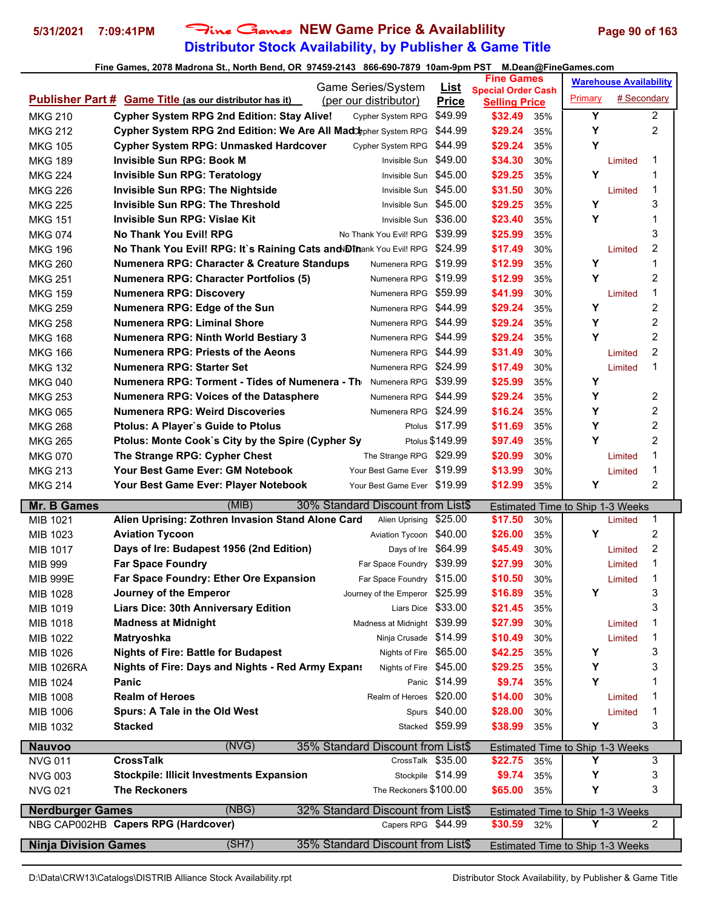### **Distributor Stock Availability, by Publisher & Game Title 5/31/2021 7:09:41PM** Fine Games **NEW Game Price & Availablility Page 90 of 163**

### **Fine Games, 2078 Madrona St., North Bend, OR 97459-2143 866-690-7879 10am-9pm PST M.Dean@FineGames.com**

|                                  | Game Series/System                                                                      | <u>List</u>       | <b>Fine Games</b>                                 | <b>Warehouse Availability</b>           |
|----------------------------------|-----------------------------------------------------------------------------------------|-------------------|---------------------------------------------------|-----------------------------------------|
|                                  | <b>Publisher Part # Game Title (as our distributor has it)</b><br>(per our distributor) | <b>Price</b>      | <b>Special Order Cash</b><br><b>Selling Price</b> | Primary<br># Secondary                  |
| <b>MKG 210</b>                   | <b>Cypher System RPG 2nd Edition: Stay Alive!</b><br>Cypher System RPG                  | \$49.99           | \$32.49<br>35%                                    | Y<br>$\overline{2}$                     |
| <b>MKG 212</b>                   | Cypher System RPG 2nd Edition: We Are All MadClypher System RPG                         | \$44.99           | \$29.24<br>35%                                    | Y<br>$\overline{c}$                     |
| <b>MKG 105</b>                   | <b>Cypher System RPG: Unmasked Hardcover</b><br>Cypher System RPG                       | \$44.99           | \$29.24<br>35%                                    | Υ                                       |
| <b>MKG 189</b>                   | <b>Invisible Sun RPG: Book M</b><br>Invisible Sun                                       | \$49.00           | \$34.30<br>30%                                    | 1<br>Limited                            |
| <b>MKG 224</b>                   | <b>Invisible Sun RPG: Teratology</b><br>Invisible Sun                                   | \$45.00           | \$29.25<br>35%                                    | Υ<br>1                                  |
| <b>MKG 226</b>                   | <b>Invisible Sun RPG: The Nightside</b><br>Invisible Sun \$45.00                        |                   | \$31.50<br>30%                                    | 1<br>Limited                            |
| MKG 225                          | Invisible Sun RPG: The Threshold<br>Invisible Sun \$45.00                               |                   | \$29.25<br>35%                                    | Υ<br>3                                  |
| <b>MKG 151</b>                   | Invisible Sun RPG: Vislae Kit<br>Invisible Sun \$36.00                                  |                   | \$23.40<br>35%                                    | Y<br>1                                  |
| <b>MKG 074</b>                   | <b>No Thank You Evil! RPG</b><br>No Thank You Evil! RPG \$39.99                         |                   | \$25.99<br>35%                                    | 3                                       |
| <b>MKG 196</b>                   | No Thank You Evil! RPG: It's Raining Cats and Dinank You Evil! RPG                      | \$24.99           | \$17.49<br>30%                                    | $\overline{c}$<br>Limited               |
| <b>MKG 260</b>                   | Numenera RPG: Character & Creature Standups<br>Numenera RPG                             | \$19.99           | \$12.99<br>35%                                    | $\overline{1}$<br>Υ                     |
| <b>MKG 251</b>                   | <b>Numenera RPG: Character Portfolios (5)</b><br>Numenera RPG                           | \$19.99           | \$12.99<br>35%                                    | $\overline{c}$<br>Y                     |
| <b>MKG 159</b>                   | <b>Numenera RPG: Discovery</b><br>Numenera RPG                                          | \$59.99           | \$41.99<br>30%                                    | $\mathbf 1$<br>Limited                  |
| <b>MKG 259</b>                   | Numenera RPG: Edge of the Sun<br>Numenera RPG \$44.99                                   |                   | \$29.24<br>35%                                    | Υ<br>$\overline{c}$                     |
| <b>MKG 258</b>                   | Numenera RPG: Liminal Shore<br>Numenera RPG \$44.99                                     |                   | \$29.24<br>35%                                    | $\overline{c}$<br>Υ                     |
| <b>MKG 168</b>                   | <b>Numenera RPG: Ninth World Bestiary 3</b><br>Numenera RPG \$44.99                     |                   | \$29.24<br>35%                                    | Y<br>$\overline{2}$                     |
|                                  | <b>Numenera RPG: Priests of the Aeons</b><br>Numenera RPG \$44.99                       |                   | \$31.49<br>30%                                    | $\overline{2}$                          |
| <b>MKG 166</b>                   | Numenera RPG: Starter Set<br>Numenera RPG \$24.99                                       |                   | \$17.49<br>30%                                    | Limited<br>1<br>Limited                 |
| <b>MKG 132</b><br><b>MKG 040</b> | Numenera RPG: Torment - Tides of Numenera - Th<br>Numenera RPG \$39.99                  |                   | \$25.99                                           | Υ                                       |
|                                  |                                                                                         |                   | 35%                                               | Y<br>2                                  |
| <b>MKG 253</b>                   | <b>Numenera RPG: Voices of the Datasphere</b><br>Numenera RPG \$44.99                   |                   | \$29.24<br>35%                                    | Y                                       |
| <b>MKG 065</b>                   | <b>Numenera RPG: Weird Discoveries</b><br>Numenera RPG \$24.99                          |                   | \$16.24<br>35%                                    | $\overline{c}$<br>$\overline{2}$<br>Υ   |
| <b>MKG 268</b>                   | Ptolus: A Player's Guide to Ptolus                                                      | Ptolus \$17.99    | \$11.69<br>35%                                    |                                         |
| <b>MKG 265</b>                   | Ptolus: Monte Cook's City by the Spire (Cypher Sy                                       | Ptolus \$149.99   | \$97.49<br>35%                                    | Y<br>$\overline{2}$                     |
| <b>MKG 070</b>                   | The Strange RPG: Cypher Chest<br>The Strange RPG \$29.99                                |                   | \$20.99<br>30%                                    | 1<br>Limited                            |
| <b>MKG 213</b>                   | Your Best Game Ever: GM Notebook<br>Your Best Game Ever \$19.99                         |                   | \$13.99<br>30%                                    | 1<br>Limited                            |
| <b>MKG 214</b>                   | Your Best Game Ever: Player Notebook<br>Your Best Game Ever \$19.99                     |                   | \$12.99<br>35%                                    | $\overline{c}$<br>Υ                     |
| <b>Mr. B Games</b>               | (MIB)<br>30% Standard Discount from List\$                                              |                   |                                                   | Estimated Time to Ship 1-3 Weeks        |
| MIB 1021                         | Alien Uprising: Zothren Invasion Stand Alone Card<br>Alien Uprising                     | \$25.00           | \$17.50<br>30%                                    | 1<br>Limited                            |
| MIB 1023                         | <b>Aviation Tycoon</b><br>Aviation Tycoon \$40.00                                       |                   | \$26.00<br>35%                                    | Y<br>$\overline{c}$                     |
| MIB 1017                         | Days of Ire \$64.99<br>Days of Ire: Budapest 1956 (2nd Edition)                         |                   | \$45.49<br>30%                                    | $\overline{c}$<br>Limited               |
| MIB 999                          | <b>Far Space Foundry</b><br>Far Space Foundry \$39.99                                   |                   | \$27.99<br>30%                                    | $\mathbf 1$<br>Limited                  |
| <b>MIB 999E</b>                  | Far Space Foundry: Ether Ore Expansion<br>Far Space Foundry \$15.00                     |                   | \$10.50<br>30%                                    | $\mathbf 1$<br>Limited                  |
| MIB 1028                         | Journey of the Emperor<br>Journey of the Emperor \$25.99                                |                   | \$16.89<br>35%                                    | Υ<br>3                                  |
| MIB 1019                         | <b>Liars Dice: 30th Anniversary Edition</b><br>Liars Dice \$33.00                       |                   | \$21.45<br>35%                                    | 3                                       |
| MIB 1018                         | Madness at Midnight \$39.99<br><b>Madness at Midnight</b>                               |                   | \$27.99<br>30%                                    | 1<br>Limited                            |
| MIB 1022                         | Matryoshka<br>Ninja Crusade \$14.99                                                     |                   | \$10.49<br>30%                                    | 1<br>Limited                            |
| MIB 1026                         | <b>Nights of Fire: Battle for Budapest</b><br>Nights of Fire \$65.00                    |                   | \$42.25<br>35%                                    | 3<br>Υ                                  |
| <b>MIB 1026RA</b>                | Nights of Fire \$45.00<br><b>Nights of Fire: Days and Nights - Red Army Expans</b>      |                   | \$29.25<br>35%                                    | 3<br>Υ                                  |
| MIB 1024                         | Panic                                                                                   | Panic \$14.99     | \$9.74<br>35%                                     | Y<br>1                                  |
| MIB 1008                         | <b>Realm of Heroes</b><br>Realm of Heroes \$20.00                                       |                   | \$14.00<br>30%                                    | 1<br>Limited                            |
| MIB 1006                         | Spurs: A Tale in the Old West                                                           | Spurs \$40.00     | \$28.00<br>30%                                    | 1<br>Limited                            |
| MIB 1032                         | <b>Stacked</b>                                                                          | Stacked \$59.99   | \$38.99<br>35%                                    | Υ<br>3                                  |
| <b>Nauvoo</b>                    | (NVG)<br>35% Standard Discount from List\$                                              |                   |                                                   | Estimated Time to Ship 1-3 Weeks        |
| <b>NVG 011</b>                   | <b>CrossTalk</b><br>CrossTalk \$35.00                                                   |                   | \$22.75<br>35%                                    | Y<br>3                                  |
| <b>NVG 003</b>                   | <b>Stockpile: Illicit Investments Expansion</b>                                         | Stockpile \$14.99 | \$9.74<br>35%                                     | 3<br>Υ                                  |
| <b>NVG 021</b>                   | <b>The Reckoners</b><br>The Reckoners \$100.00                                          |                   | \$65.00<br>35%                                    | Y<br>3                                  |
|                                  |                                                                                         |                   |                                                   |                                         |
| <b>Nerdburger Games</b>          | (NBG)<br>32% Standard Discount from List\$                                              |                   |                                                   | Estimated Time to Ship 1-3 Weeks        |
|                                  | NBG CAP002HB Capers RPG (Hardcover)<br>Capers RPG \$44.99                               |                   | \$30.59 32%                                       | Y<br>$\overline{2}$                     |
| <b>Ninja Division Games</b>      | (SH7)<br>35% Standard Discount from List\$                                              |                   |                                                   | <b>Estimated Time to Ship 1-3 Weeks</b> |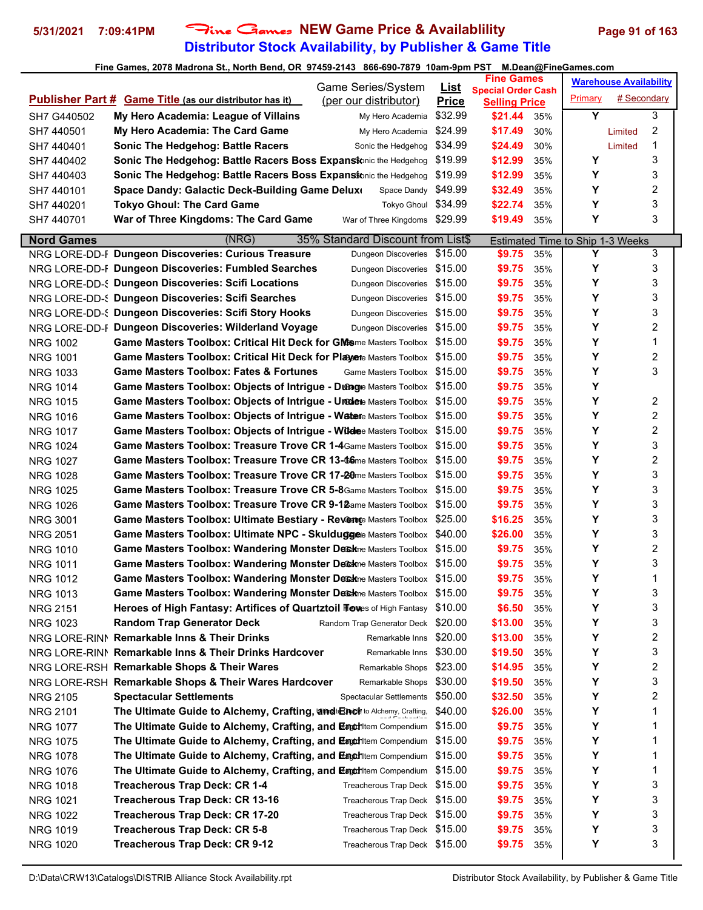# **Distributor Stock Availability, by Publisher & Game Title** 5/31/2021 7:09:41PM Fine Games NEW Game Price & Availablility Page 91 of 163

|                   | Game Series/System                                                                      | <u>List</u>  | <b>Fine Games</b>                                 |         | <b>Warehouse Availability</b> |
|-------------------|-----------------------------------------------------------------------------------------|--------------|---------------------------------------------------|---------|-------------------------------|
|                   | <b>Publisher Part # Game Title (as our distributor has it)</b><br>(per our distributor) | <b>Price</b> | <b>Special Order Cash</b><br><b>Selling Price</b> | Primary | # Secondary                   |
| SH7 G440502       | My Hero Academia: League of Villains<br>My Hero Academia                                | \$32.99      | \$21.44<br>35%                                    | Y       | 3                             |
| SH7 440501        | My Hero Academia: The Card Game<br>My Hero Academia                                     | \$24.99      | \$17.49<br>30%                                    |         | 2<br>Limited                  |
| SH7 440401        | <b>Sonic The Hedgehog: Battle Racers</b><br>Sonic the Hedgehog                          | \$34.99      | \$24.49<br>30%                                    |         | 1<br>Limited                  |
| SH7 440402        | Sonic The Hedgehog: Battle Racers Boss Expansionic the Hedgehog                         | \$19.99      | \$12.99<br>35%                                    | Y       | 3                             |
| SH7 440403        | Sonic The Hedgehog: Battle Racers Boss Expansionic the Hedgehog                         | \$19.99      | \$12.99<br>35%                                    | Y       | 3                             |
| SH7 440101        | Space Dandy: Galactic Deck-Building Game Deluxo<br>Space Dandy                          | \$49.99      | \$32.49<br>35%                                    | Υ       | 2                             |
| SH7 440201        | <b>Tokyo Ghoul: The Card Game</b><br>Tokyo Ghoul \$34.99                                |              | \$22.74<br>35%                                    | Y       | 3                             |
| SH7 440701        | War of Three Kingdoms \$29.99<br>War of Three Kingdoms: The Card Game                   |              | \$19.49<br>35%                                    | Y       | 3                             |
| <b>Nord Games</b> | (NRG)<br>35% Standard Discount from List\$                                              |              | Estimated Time to Ship 1-3 Weeks                  |         |                               |
|                   | NRG LORE-DD-F Dungeon Discoveries: Curious Treasure<br>Dungeon Discoveries              | \$15.00      | \$9.75<br>35%                                     | Y       | 3                             |
|                   | NRG LORE-DD-F Dungeon Discoveries: Fumbled Searches<br>Dungeon Discoveries \$15.00      |              | \$9.75<br>35%                                     | Υ       | 3                             |
|                   | NRG LORE-DD-< Dungeon Discoveries: Scifi Locations<br>Dungeon Discoveries \$15.00       |              | \$9.75<br>35%                                     | Υ       | 3                             |
|                   | NRG LORE-DD-{ Dungeon Discoveries: Scifi Searches<br>Dungeon Discoveries \$15.00        |              | \$9.75<br>35%                                     | Υ       | 3                             |
|                   | NRG LORE-DD-{ Dungeon Discoveries: Scifi Story Hooks<br>Dungeon Discoveries             | \$15.00      | \$9.75<br>35%                                     | Υ       | 3                             |
|                   | NRG LORE-DD-F Dungeon Discoveries: Wilderland Voyage<br>Dungeon Discoveries             | \$15.00      | \$9.75<br>35%                                     | Υ       | 2                             |
| <b>NRG 1002</b>   | <b>Game Masters Toolbox: Critical Hit Deck for GMs</b> me Masters Toolbox \$15.00       |              | \$9.75<br>35%                                     | Υ       | 1                             |
| <b>NRG 1001</b>   | Game Masters Toolbox: Critical Hit Deck for Playene Masters Toolbox \$15.00             |              | \$9.75<br>35%                                     | Υ       | 2                             |
| <b>NRG 1033</b>   | <b>Game Masters Toolbox: Fates &amp; Fortunes</b><br>Game Masters Toolbox \$15.00       |              | \$9.75<br>35%                                     | Y       | 3                             |
| <b>NRG 1014</b>   | Game Masters Toolbox: Objects of Intrigue - Duange Masters Toolbox \$15.00              |              | \$9.75<br>35%                                     | Υ       |                               |
| <b>NRG 1015</b>   | <b>Game Masters Toolbox: Objects of Intrigue - Uredete Masters Toolbox \$15.00</b>      |              | \$9.75<br>35%                                     | Υ       | 2                             |
| <b>NRG 1016</b>   | Game Masters Toolbox: Objects of Intrigue - Watere Masters Toolbox \$15.00              |              | \$9.75<br>35%                                     | Υ       | 2                             |
| <b>NRG 1017</b>   | <b>Game Masters Toolbox: Objects of Intrigue - Wildee Masters Toolbox \$15.00</b>       |              | \$9.75<br>35%                                     | Υ       | 2                             |
| <b>NRG 1024</b>   | <b>Game Masters Toolbox: Treasure Trove CR 1-4</b> Game Masters Toolbox \$15.00         |              | \$9.75<br>35%                                     | Υ       | 3                             |
| <b>NRG 1027</b>   | Game Masters Toolbox: Treasure Trove CR 13-66me Masters Toolbox \$15.00                 |              | \$9.75<br>35%                                     | Υ       | 2                             |
| <b>NRG 1028</b>   | Game Masters Toolbox: Treasure Trove CR 17-20me Masters Toolbox \$15.00                 |              | \$9.75<br>35%                                     | Y       | 3                             |
| <b>NRG 1025</b>   | <b>Game Masters Toolbox: Treasure Trove CR 5-8</b> Game Masters Toolbox \$15.00         |              | \$9.75<br>35%                                     | Υ       | 3                             |
| <b>NRG 1026</b>   | Game Masters Toolbox: Treasure Trove CR 9-12ame Masters Toolbox \$15.00                 |              | \$9.75<br>35%                                     | Υ       | 3                             |
| <b>NRG 3001</b>   | Game Masters Toolbox: Ultimate Bestiary - Revence Masters Toolbox                       | \$25.00      | \$16.25<br>35%                                    | Υ       | 3                             |
| <b>NRG 2051</b>   | Game Masters Toolbox: Ultimate NPC - Skulduggee Masters Toolbox \$40.00                 |              | \$26.00<br>35%                                    | Υ       | 3                             |
| <b>NRG 1010</b>   | Game Masters Toolbox: Wandering Monster Deckne Masters Toolbox \$15.00                  |              | \$9.75<br>35%                                     | Υ       | 2                             |
| <b>NRG 1011</b>   | Game Masters Toolbox: Wandering Monster Deckne Masters Toolbox \$15.00                  |              | \$9.75<br>35%                                     | Υ       | 3                             |
| <b>NRG 1012</b>   | <b>Game Masters Toolbox: Wandering Monster De&amp;kne Masters Toolbox \$15.00</b>       |              | \$9.75<br>35%                                     | Υ       | 1                             |
| <b>NRG 1013</b>   | Game Masters Toolbox: Wandering Monster Deckne Masters Toolbox \$15.00                  |              | \$9.75<br>35%                                     | Y       | 3                             |
| <b>NRG 2151</b>   | Heroes of High Fantasy: Artifices of Quartztoil Flowes of High Fantasy                  | \$10.00      | \$6.50<br>35%                                     | Υ       | 3                             |
| <b>NRG 1023</b>   | <b>Random Trap Generator Deck</b><br>Random Trap Generator Deck                         | \$20.00      | \$13.00<br>35%                                    | Υ       | 3                             |
|                   | NRG LORE-RINI Remarkable Inns & Their Drinks<br>Remarkable Inns \$20.00                 |              | \$13.00<br>35%                                    | Υ       | 2                             |
|                   | NRG LORE-RINI Remarkable Inns & Their Drinks Hardcover<br>Remarkable Inns               | \$30.00      | \$19.50<br>35%                                    | Υ       | 3                             |
|                   | NRG LORE-RSH Remarkable Shops & Their Wares<br>Remarkable Shops                         | \$23.00      | \$14.95<br>35%                                    | Υ       | 2                             |
|                   | NRG LORE-RSH Remarkable Shops & Their Wares Hardcover<br>Remarkable Shops               | \$30.00      | \$19.50<br>35%                                    | Υ       | 3                             |
| <b>NRG 2105</b>   | <b>Spectacular Settlements</b><br><b>Spectacular Settlements</b>                        | \$50.00      | \$32.50<br>35%                                    | Υ       | 2                             |
| <b>NRG 2101</b>   | The Ultimate Guide to Alchemy, Crafting, and Encle to Alchemy, Crafting,                | \$40.00      | \$26.00<br>35%                                    | Υ       | 1                             |
| <b>NRG 1077</b>   | The Ultimate Guide to Alchemy, Crafting, and EngerItem Compendium                       | \$15.00      | \$9.75<br>35%                                     | Υ       | 1                             |
| <b>NRG 1075</b>   | The Ultimate Guide to Alchemy, Crafting, and EngerItem Compendium                       | \$15.00      | \$9.75<br>35%                                     | Υ       | 1                             |
| <b>NRG 1078</b>   | <b>The Ultimate Guide to Alchemy, Crafting, and Execution Compendium</b>                | \$15.00      | \$9.75<br>35%                                     | Υ       | 1                             |
| <b>NRG 1076</b>   | The Ultimate Guide to Alchemy, Crafting, and Engeritem Compendium                       | \$15.00      | \$9.75<br>35%                                     | Υ       | 1                             |
| <b>NRG 1018</b>   | <b>Treacherous Trap Deck: CR 1-4</b><br>Treacherous Trap Deck \$15.00                   |              | \$9.75<br>35%                                     | Υ       | 3                             |
| <b>NRG 1021</b>   | Treacherous Trap Deck: CR 13-16<br>Treacherous Trap Deck \$15.00                        |              | \$9.75<br>35%                                     | Υ       | 3                             |
| <b>NRG 1022</b>   | Treacherous Trap Deck: CR 17-20<br>Treacherous Trap Deck \$15.00                        |              | \$9.75<br>35%                                     | Υ       | 3                             |
| <b>NRG 1019</b>   | Treacherous Trap Deck: CR 5-8<br>Treacherous Trap Deck \$15.00                          |              | \$9.75<br>35%                                     | Υ       | 3                             |
| <b>NRG 1020</b>   | Treacherous Trap Deck: CR 9-12<br>Treacherous Trap Deck \$15.00                         |              | \$9.75<br>35%                                     | Y       | 3                             |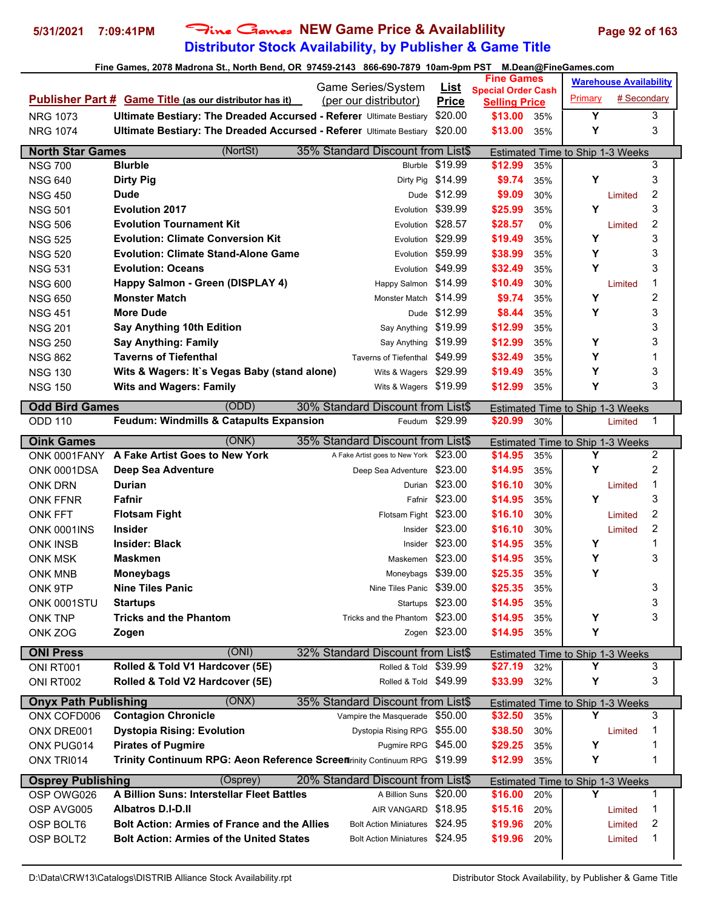# **Distributor Stock Availability, by Publisher & Game Title 5/31/2021 7:09:41PM** Fine Games **NEW Game Price & Availablility Page 92 of 163**

|                                            | $\frac{1}{2}$ and $\frac{1}{2}$ and $\frac{1}{2}$ , the contract of $\frac{1}{2}$ and $\frac{1}{2}$ and $\frac{1}{2}$ and $\frac{1}{2}$ and $\frac{1}{2}$ and $\frac{1}{2}$ and $\frac{1}{2}$ and $\frac{1}{2}$ and $\frac{1}{2}$ and $\frac{1}{2}$ and $\frac{1}{2}$ and $\frac{1}{2}$ an |                                                                     |                   | m.pean@rmpoames.com<br><b>Fine Games</b>           | <b>Warehouse Availability</b> |             |                |
|--------------------------------------------|--------------------------------------------------------------------------------------------------------------------------------------------------------------------------------------------------------------------------------------------------------------------------------------------|---------------------------------------------------------------------|-------------------|----------------------------------------------------|-------------------------------|-------------|----------------|
|                                            |                                                                                                                                                                                                                                                                                            | Game Series/System                                                  |                   | <b>List</b> Special Order Cash                     |                               |             |                |
|                                            | <b>Publisher Part # Game Title (as our distributor has it)</b>                                                                                                                                                                                                                             | (per our distributor)                                               | <b>Price</b>      | <b>Selling Price</b>                               | Primary                       | # Secondary |                |
| <b>NRG 1073</b>                            | Ultimate Bestiary: The Dreaded Accursed - Referer Ultimate Bestiary                                                                                                                                                                                                                        |                                                                     | \$20.00           | \$13.00<br>35%                                     | Y                             |             | 3              |
| <b>NRG 1074</b>                            | Ultimate Bestiary: The Dreaded Accursed - Referer Ultimate Bestiary \$20.00                                                                                                                                                                                                                |                                                                     |                   | \$13.00<br>35%                                     | Υ                             |             | 3              |
| <b>North Star Games</b>                    | (NortSt)                                                                                                                                                                                                                                                                                   | 35% Standard Discount from List\$                                   |                   | Estimated Time to Ship 1-3 Weeks                   |                               |             |                |
| <b>NSG 700</b>                             | <b>Blurble</b>                                                                                                                                                                                                                                                                             |                                                                     | Blurble \$19.99   | \$12.99<br>35%                                     |                               |             | 3              |
| <b>NSG 640</b>                             | <b>Dirty Pig</b>                                                                                                                                                                                                                                                                           | Dirty Pig                                                           | \$14.99           | \$9.74<br>35%                                      | Υ                             |             | 3              |
| <b>NSG 450</b>                             | <b>Dude</b>                                                                                                                                                                                                                                                                                |                                                                     | Dude \$12.99      | \$9.09<br>30%                                      |                               | Limited     | $\overline{2}$ |
| <b>NSG 501</b>                             | <b>Evolution 2017</b>                                                                                                                                                                                                                                                                      |                                                                     | Evolution \$39.99 | \$25.99<br>35%                                     | Υ                             |             | 3              |
| <b>NSG 506</b>                             | <b>Evolution Tournament Kit</b>                                                                                                                                                                                                                                                            | Evolution                                                           | \$28.57           | \$28.57<br>0%                                      |                               | Limited     | 2              |
| <b>NSG 525</b>                             | <b>Evolution: Climate Conversion Kit</b>                                                                                                                                                                                                                                                   | Evolution                                                           | \$29.99           | \$19.49<br>35%                                     | Υ                             |             | 3              |
| <b>NSG 520</b>                             | <b>Evolution: Climate Stand-Alone Game</b>                                                                                                                                                                                                                                                 |                                                                     | Evolution \$59.99 | \$38.99<br>35%                                     | Υ                             |             | 3              |
| <b>NSG 531</b>                             | <b>Evolution: Oceans</b>                                                                                                                                                                                                                                                                   |                                                                     | Evolution \$49.99 | \$32.49<br>35%                                     | Υ                             |             | 3              |
| <b>NSG 600</b>                             | Happy Salmon - Green (DISPLAY 4)                                                                                                                                                                                                                                                           | Happy Salmon \$14.99                                                |                   | \$10.49<br>30%                                     |                               | Limited     | 1              |
| <b>NSG 650</b>                             | <b>Monster Match</b>                                                                                                                                                                                                                                                                       | Monster Match \$14.99                                               |                   | \$9.74<br>35%                                      | Υ                             |             | $\overline{c}$ |
| <b>NSG 451</b>                             | <b>More Dude</b>                                                                                                                                                                                                                                                                           |                                                                     | Dude \$12.99      | \$8.44<br>35%                                      | Υ                             |             | 3              |
| <b>NSG 201</b>                             | Say Anything 10th Edition                                                                                                                                                                                                                                                                  | Say Anything \$19.99                                                |                   | \$12.99<br>35%                                     |                               |             | 3              |
| <b>NSG 250</b>                             | <b>Say Anything: Family</b>                                                                                                                                                                                                                                                                | Say Anything \$19.99                                                |                   | \$12.99                                            | Υ                             |             | 3              |
|                                            | <b>Taverns of Tiefenthal</b>                                                                                                                                                                                                                                                               | Taverns of Tiefenthal \$49.99                                       |                   | 35%<br>\$32.49<br>35%                              | Υ                             |             | 1              |
| <b>NSG 862</b>                             |                                                                                                                                                                                                                                                                                            |                                                                     |                   |                                                    |                               |             |                |
| <b>NSG 130</b>                             | Wits & Wagers: It's Vegas Baby (stand alone)                                                                                                                                                                                                                                               | Wits & Wagers \$29.99                                               |                   | \$19.49<br>35%                                     | Υ                             |             | 3              |
| <b>NSG 150</b>                             | <b>Wits and Wagers: Family</b>                                                                                                                                                                                                                                                             | Wits & Wagers \$19.99                                               |                   | \$12.99<br>35%                                     | Υ                             |             | 3              |
| <b>Odd Bird Games</b>                      | (ODD)                                                                                                                                                                                                                                                                                      | 30% Standard Discount from List\$                                   |                   | Estimated Time to Ship 1-3 Weeks                   |                               |             |                |
| <b>ODD 110</b>                             | Feudum: Windmills & Catapults Expansion                                                                                                                                                                                                                                                    |                                                                     | Feudum \$29.99    | \$20.99<br>30%                                     |                               | Limited     | 1              |
| <b>Oink Games</b>                          | (ONK)                                                                                                                                                                                                                                                                                      | 35% Standard Discount from List\$                                   |                   | Estimated Time to Ship 1-3 Weeks                   |                               |             |                |
|                                            | ONK 0001FANY A Fake Artist Goes to New York                                                                                                                                                                                                                                                | A Fake Artist goes to New York \$23.00                              |                   | \$14.95<br>35%                                     | Y                             |             | $\overline{2}$ |
| ONK 0001DSA                                | Deep Sea Adventure                                                                                                                                                                                                                                                                         | Deep Sea Adventure \$23.00                                          |                   | \$14.95<br>35%                                     | Υ                             |             | $\overline{c}$ |
| <b>ONK DRN</b>                             | <b>Durian</b>                                                                                                                                                                                                                                                                              |                                                                     | Durian \$23.00    | \$16.10<br>30%                                     |                               | Limited     | 1              |
| <b>ONK FFNR</b>                            | Fafnir                                                                                                                                                                                                                                                                                     |                                                                     | Fafnir \$23.00    | \$14.95<br>35%                                     | Υ                             |             | 3              |
| <b>ONK FFT</b>                             | <b>Flotsam Fight</b>                                                                                                                                                                                                                                                                       | Flotsam Fight                                                       | \$23.00           | \$16.10<br>30%                                     |                               | Limited     | 2              |
| ONK 0001INS                                | <b>Insider</b>                                                                                                                                                                                                                                                                             |                                                                     | Insider $$23.00$  | \$16.10<br>30%                                     |                               | Limited     | 2              |
| <b>ONK INSB</b>                            | <b>Insider: Black</b>                                                                                                                                                                                                                                                                      |                                                                     | Insider $$23.00$  | \$14.95<br>35%                                     | Υ                             |             | 1              |
| <b>ONK MSK</b>                             | <b>Maskmen</b>                                                                                                                                                                                                                                                                             | Maskemen \$23.00                                                    |                   | \$14.95<br>35%                                     | Υ                             |             | 3              |
| <b>ONK MNB</b>                             | <b>Moneybags</b>                                                                                                                                                                                                                                                                           | Moneybags \$39.00                                                   |                   | \$25.35<br>35%                                     | Υ                             |             |                |
| ONK 9TP                                    | <b>Nine Tiles Panic</b>                                                                                                                                                                                                                                                                    | Nine Tiles Panic \$39.00                                            |                   | \$25.35<br>35%                                     |                               |             | 3              |
| ONK 0001STU                                | <b>Startups</b>                                                                                                                                                                                                                                                                            |                                                                     | Startups \$23.00  | \$14.95<br>35%                                     |                               |             | 3              |
| <b>ONK TNP</b>                             | <b>Tricks and the Phantom</b>                                                                                                                                                                                                                                                              | Tricks and the Phantom \$23.00                                      |                   | \$14.95<br>35%                                     | Υ                             |             | 3              |
| ONK ZOG                                    | Zogen                                                                                                                                                                                                                                                                                      |                                                                     | Zogen \$23.00     | \$14.95<br>35%                                     | Υ                             |             |                |
| <b>ONI Press</b>                           | (ONI)                                                                                                                                                                                                                                                                                      | 32% Standard Discount from List\$                                   |                   |                                                    |                               |             |                |
| ONI RT001                                  | Rolled & Told V1 Hardcover (5E)                                                                                                                                                                                                                                                            | Rolled & Told \$39.99                                               |                   | Estimated Time to Ship 1-3 Weeks<br>\$27.19<br>32% | Υ                             |             | 3              |
| ONI RT002                                  | Rolled & Told V2 Hardcover (5E)                                                                                                                                                                                                                                                            | Rolled & Told \$49.99                                               |                   | \$33.99<br>32%                                     | Υ                             |             | 3              |
|                                            |                                                                                                                                                                                                                                                                                            |                                                                     |                   |                                                    |                               |             |                |
| <b>Onyx Path Publishing</b><br>ONX COFD006 | (ONX)<br><b>Contagion Chronicle</b>                                                                                                                                                                                                                                                        | 35% Standard Discount from List\$<br>Vampire the Masquerade \$50.00 |                   | Estimated Time to Ship 1-3 Weeks<br>\$32.50<br>35% | Y                             |             | 3              |
|                                            |                                                                                                                                                                                                                                                                                            | Dystopia Rising RPG \$55.00                                         |                   |                                                    |                               |             |                |
| ONX DRE001                                 | <b>Dystopia Rising: Evolution</b>                                                                                                                                                                                                                                                          | Pugmire RPG \$45.00                                                 |                   | \$38.50<br>30%                                     | Υ                             | Limited     | 1<br>1         |
| ONX PUG014                                 | <b>Pirates of Pugmire</b>                                                                                                                                                                                                                                                                  |                                                                     |                   | \$29.25<br>35%                                     |                               |             |                |
| ONX TRI014                                 | Trinity Continuum RPG: Aeon Reference Screeminity Continuum RPG \$19.99                                                                                                                                                                                                                    |                                                                     |                   | \$12.99<br>35%                                     | Υ                             |             | 1              |
| <b>Osprey Publishing</b>                   | (Osprey)                                                                                                                                                                                                                                                                                   | 20% Standard Discount from List\$                                   |                   | Estimated Time to Ship 1-3 Weeks                   |                               |             |                |
| OSP OWG026                                 | A Billion Suns: Interstellar Fleet Battles                                                                                                                                                                                                                                                 | A Billion Suns \$20.00                                              |                   | \$16.00<br>20%                                     | Y                             |             | 1              |
| OSP AVG005                                 | <b>Albatros D.I-D.II</b>                                                                                                                                                                                                                                                                   | AIR VANGARD \$18.95                                                 |                   | \$15.16<br>20%                                     |                               | Limited     | 1              |
| OSP BOLT6                                  | <b>Bolt Action: Armies of France and the Allies</b>                                                                                                                                                                                                                                        | <b>Bolt Action Miniatures</b>                                       | \$24.95           | \$19.96<br>20%                                     |                               | Limited     | 2              |
| OSP BOLT2                                  | <b>Bolt Action: Armies of the United States</b>                                                                                                                                                                                                                                            | <b>Bolt Action Miniatures</b>                                       | \$24.95           | \$19.96<br>20%                                     |                               | Limited     | 1              |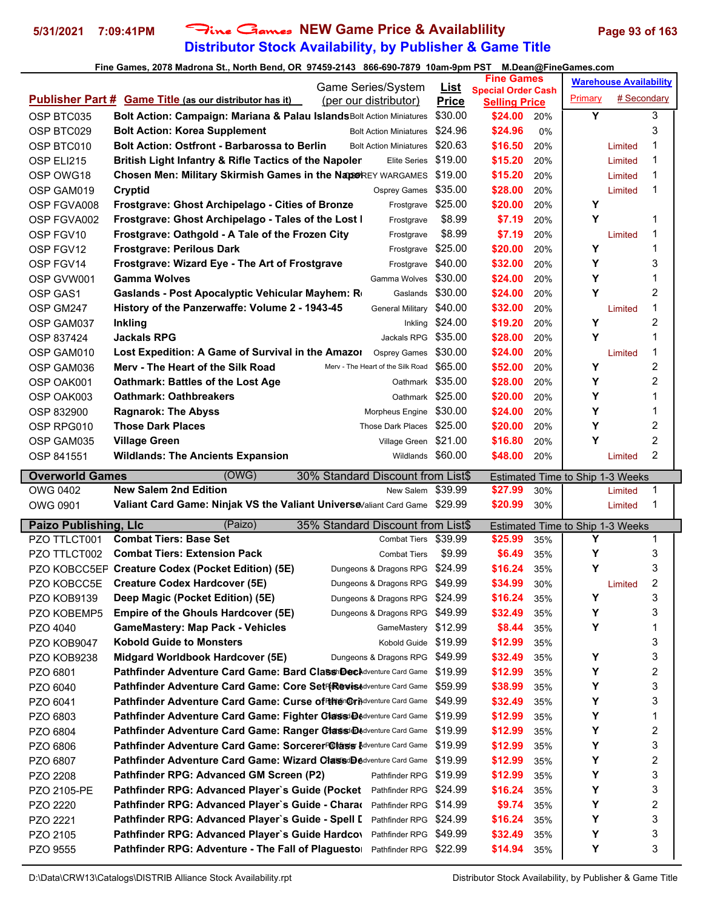### **Distributor Stock Availability, by Publisher & Game Title 5/31/2021 7:09:41PM** Fine Games **NEW Game Price & Availablility Page 93 of 163**

|                              |                                                                                                                                                |                         | <b>Fine Games</b>               |            |                                       | <b>Warehouse Availability</b> |                         |  |
|------------------------------|------------------------------------------------------------------------------------------------------------------------------------------------|-------------------------|---------------------------------|------------|---------------------------------------|-------------------------------|-------------------------|--|
|                              | Game Series/System                                                                                                                             | <u>List</u>             | <b>Special Order Cash</b>       |            | Primary                               | # Secondary                   |                         |  |
|                              | <b>Publisher Part # Game Title (as our distributor has it)</b><br>(per our distributor)                                                        | <b>Price</b><br>\$30.00 | <b>Selling Price</b><br>\$24.00 |            | Y                                     |                               | 3                       |  |
| OSP BTC035<br>OSP BTC029     | Bolt Action: Campaign: Mariana & Palau Islands Bolt Action Miniatures<br><b>Bolt Action: Korea Supplement</b><br><b>Bolt Action Miniatures</b> | \$24.96                 | \$24.96                         | 20%<br>0%  |                                       |                               | 3                       |  |
|                              | <b>Bolt Action: Ostfront - Barbarossa to Berlin</b><br><b>Bolt Action Miniatures</b>                                                           | \$20.63                 | \$16.50                         | 20%        |                                       |                               | 1                       |  |
| OSP BTC010                   | British Light Infantry & Rifle Tactics of the Napoler<br><b>Elite Series</b>                                                                   | \$19.00                 | \$15.20                         |            |                                       | Limited<br>Limited            | $\mathbf 1$             |  |
| OSP ELI215                   |                                                                                                                                                | \$19.00                 |                                 | 20%        |                                       |                               | 1                       |  |
| OSP OWG18                    | Chosen Men: Military Skirmish Games in the NaporREY WARGAMES                                                                                   | \$35.00                 | \$15.20<br>\$28.00              | 20%        |                                       | Limited                       | 1                       |  |
| OSP GAM019                   | <b>Cryptid</b><br><b>Osprey Games</b>                                                                                                          | \$25.00                 | \$20.00                         | 20%<br>20% | Υ                                     | Limited                       |                         |  |
| OSP FGVA008                  | <b>Frostgrave: Ghost Archipelago - Cities of Bronze</b><br>Frostgrave<br>Frostgrave: Ghost Archipelago - Tales of the Lost I                   | \$8.99                  | \$7.19                          |            | Y                                     |                               | -1                      |  |
| OSP FGVA002<br>OSP FGV10     | Frostgrave<br>Frostgrave: Oathgold - A Tale of the Frozen City                                                                                 | \$8.99                  | \$7.19                          | 20%<br>20% |                                       |                               | 1                       |  |
|                              | Frostgrave<br><b>Frostgrave: Perilous Dark</b>                                                                                                 | \$25.00                 | \$20.00                         | 20%        | Υ                                     | Limited                       | $\mathbf 1$             |  |
| OSP FGV12<br>OSP FGV14       | Frostgrave<br>Frostgrave: Wizard Eye - The Art of Frostgrave<br>Frostgrave                                                                     | \$40.00                 | \$32.00                         | 20%        | Υ                                     |                               | 3                       |  |
| OSP GVW001                   | <b>Gamma Wolves</b><br>Gamma Wolves                                                                                                            | \$30.00                 | \$24.00                         | 20%        | Y                                     |                               | 1                       |  |
|                              | Gaslands                                                                                                                                       | \$30.00                 | \$24.00                         |            | Y                                     |                               | $\overline{2}$          |  |
| OSP GAS1                     | Gaslands - Post Apocalyptic Vehicular Mayhem: R                                                                                                |                         |                                 | 20%        |                                       |                               | $\mathbf 1$             |  |
| OSP GM247                    | History of the Panzerwaffe: Volume 2 - 1943-45<br><b>General Military</b>                                                                      | \$40.00                 | \$32.00                         | 20%        |                                       | Limited                       |                         |  |
| OSP GAM037                   | <b>Inkling</b><br>Inkling                                                                                                                      | \$24.00                 | \$19.20                         | 20%        | Υ                                     |                               | $\overline{2}$<br>1     |  |
| OSP 837424                   | <b>Jackals RPG</b><br>Jackals RPG                                                                                                              | \$35.00                 | \$28.00                         | 20%        | Υ                                     |                               |                         |  |
| OSP GAM010                   | Lost Expedition: A Game of Survival in the Amazor<br><b>Osprey Games</b>                                                                       | \$30.00                 | \$24.00                         | 20%        |                                       | Limited                       | $\mathbf 1$             |  |
| OSP GAM036                   | Merv - The Heart of the Silk Road<br>Merv - The Heart of the Silk Road                                                                         | \$65.00                 | \$52.00                         | 20%        | Υ                                     |                               | $\overline{c}$          |  |
| OSP OAK001                   | <b>Oathmark: Battles of the Lost Age</b><br>Oathmark                                                                                           | \$35.00                 | \$28.00                         | 20%        | Υ                                     |                               | $\overline{c}$          |  |
| OSP OAK003                   | <b>Oathmark: Oathbreakers</b><br>Oathmark \$25.00                                                                                              |                         | \$20.00                         | 20%        | Y                                     |                               | 1                       |  |
| OSP 832900                   | <b>Ragnarok: The Abyss</b><br>Morpheus Engine \$30.00                                                                                          |                         | \$24.00                         | 20%        | Υ                                     |                               | 1                       |  |
| OSP RPG010                   | <b>Those Dark Places</b><br>Those Dark Places \$25.00                                                                                          |                         | \$20.00                         | 20%        | Y                                     |                               | $\overline{c}$          |  |
| OSP GAM035                   | Village Green \$21.00<br><b>Village Green</b>                                                                                                  |                         | \$16.80                         | 20%        | Υ                                     |                               | $\overline{c}$          |  |
| OSP 841551                   | Wildlands \$60.00<br><b>Wildlands: The Ancients Expansion</b>                                                                                  |                         | \$48.00                         | 20%        |                                       | Limited                       | $\overline{2}$          |  |
|                              |                                                                                                                                                |                         |                                 |            |                                       |                               |                         |  |
| <b>Overworld Games</b>       | (OWG)<br>30% Standard Discount from List\$                                                                                                     |                         |                                 |            | Estimated Time to Ship 1-3 Weeks      |                               |                         |  |
| OWG 0402                     | <b>New Salem 2nd Edition</b><br>New Salem                                                                                                      | \$39.99                 | \$27.99                         | 30%        |                                       | Limited                       | 1                       |  |
| OWG 0901                     | Valiant Card Game: Ninjak VS the Valiant Universe Valiant Card Game \$29.99                                                                    |                         | \$20.99                         | 30%        |                                       | Limited                       | 1                       |  |
|                              | (Paizo)<br>35% Standard Discount from List\$                                                                                                   |                         |                                 |            |                                       |                               |                         |  |
| <b>Paizo Publishing, Llc</b> | <b>Combat Tiers: Base Set</b><br><b>Combat Tiers</b>                                                                                           | \$39.99                 | \$25.99                         | 35%        | Estimated Time to Ship 1-3 Weeks<br>Υ |                               | 1                       |  |
| PZO TTLCT001<br>PZO TTLCT002 | <b>Combat Tiers: Extension Pack</b><br><b>Combat Tiers</b>                                                                                     | \$9.99                  | \$6.49                          | 35%        | Υ                                     |                               | 3                       |  |
|                              | PZO KOBCC5EF Creature Codex (Pocket Edition) (5E)<br>Dungeons & Dragons RPG                                                                    | \$24.99                 | \$16.24                         | 35%        | Y                                     |                               | 3                       |  |
| PZO KOBCC5E                  | <b>Creature Codex Hardcover (5E)</b><br>Dungeons & Dragons RPG                                                                                 | \$49.99                 | \$34.99                         | 30%        |                                       | Limited                       | $\overline{2}$          |  |
|                              | Dungeons & Dragons RPG                                                                                                                         | \$24.99                 |                                 |            | Υ                                     |                               |                         |  |
| PZO KOB9139                  | Deep Magic (Pocket Edition) (5E)<br>Dungeons & Dragons RPG                                                                                     | \$49.99                 | \$16.24                         | 35%<br>35% | Υ                                     |                               | 3<br>3                  |  |
| PZO KOBEMP5<br>PZO 4040      | <b>Empire of the Ghouls Hardcover (5E)</b><br><b>GameMastery: Map Pack - Vehicles</b><br>GameMastery                                           | \$12.99                 | \$32.49<br>\$8.44               | 35%        | Υ                                     |                               | 1                       |  |
| PZO KOB9047                  | <b>Kobold Guide to Monsters</b><br>Kobold Guide                                                                                                | \$19.99                 | \$12.99                         | 35%        |                                       |                               | 3                       |  |
|                              | Midgard Worldbook Hardcover (5E)<br>Dungeons & Dragons RPG                                                                                     | \$49.99                 |                                 | 35%        | Υ                                     |                               | 3                       |  |
| PZO KOB9238                  | Pathfinder Adventure Card Game: Bard Classi DecAdventure Card Game                                                                             | \$19.99                 | \$32.49                         | 35%        | Υ                                     |                               |                         |  |
| PZO 6801<br>PZO 6040         | Pathfinder Adventure Card Game: Core SetF(RevisAdventure Card Game                                                                             | \$59.99                 | \$12.99<br>\$38.99              | 35%        | Υ                                     |                               | 2<br>3                  |  |
|                              | Pathfinder Adventure Card Game: Curse of Hiten Grindventure Card Game                                                                          | \$49.99                 |                                 |            |                                       |                               |                         |  |
| PZO 6041                     | Pathfinder Adventure Card Game: Fighter Classde Adventure Card Game                                                                            | \$19.99                 | \$32.49                         | 35%        | Υ                                     |                               | 3<br>1                  |  |
| PZO 6803<br>PZO 6804         | Pathfinder Adventure Card Game: Ranger Classi DAdventure Card Game                                                                             | \$19.99                 | \$12.99<br>\$12.99              | 35%<br>35% | Υ<br>Υ                                |                               | $\overline{\mathbf{c}}$ |  |
| PZO 6806                     | Pathfinder Adventure Card Game: SorcererF@lass Adventure Card Game                                                                             | \$19.99                 | \$12.99                         | 35%        | Υ                                     |                               | 3                       |  |
| PZO 6807                     | Pathfinder Adventure Card Game: Wizard ClassdDedventure Card Game                                                                              | \$19.99                 | \$12.99                         | 35%        | Υ                                     |                               | $\overline{\mathbf{c}}$ |  |
| PZO 2208                     | Pathfinder RPG: Advanced GM Screen (P2)<br>Pathfinder RPG                                                                                      | \$19.99                 | \$12.99                         | 35%        | Υ                                     |                               | 3                       |  |
|                              | Pathfinder RPG: Advanced Player's Guide (Pocket<br>Pathfinder RPG                                                                              | \$24.99                 | \$16.24                         | 35%        | Υ                                     |                               | 3                       |  |
| PZO 2105-PE<br>PZO 2220      | Pathfinder RPG \$14.99<br>Pathfinder RPG: Advanced Player's Guide - Charae                                                                     |                         | \$9.74                          | 35%        | Υ                                     |                               | $\overline{\mathbf{c}}$ |  |
| PZO 2221                     | Pathfinder RPG: Advanced Player's Guide - Spell I<br>Pathfinder RPG \$24.99                                                                    |                         | \$16.24                         | 35%        | Υ                                     |                               | 3                       |  |
| PZO 2105                     | Pathfinder RPG: Advanced Player's Guide Hardcov<br>Pathfinder RPG                                                                              | \$49.99                 | \$32.49                         | 35%        | Υ                                     |                               | 3                       |  |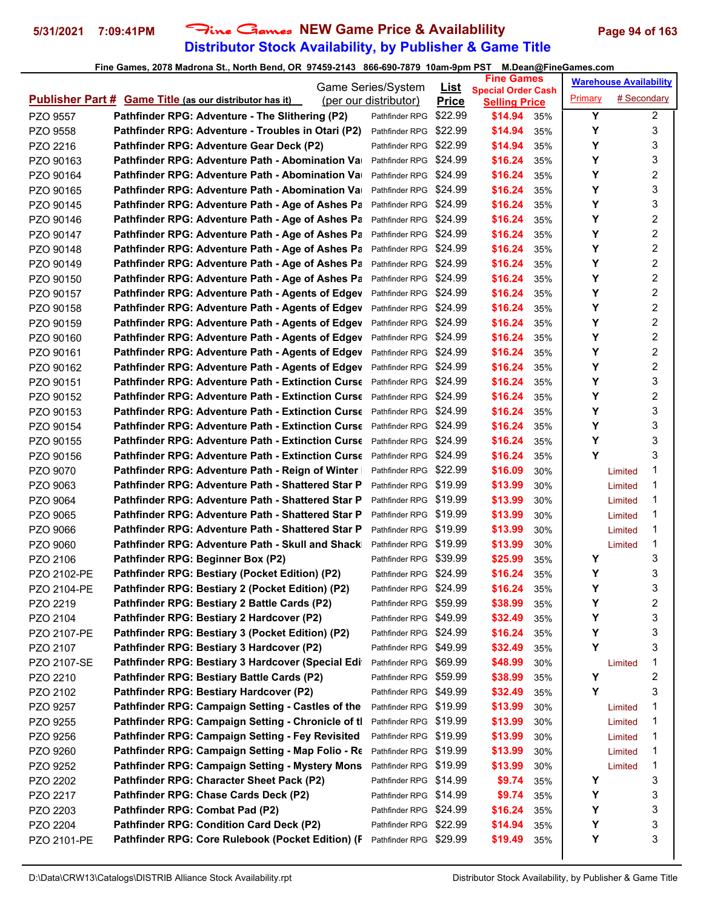# **Distributor Stock Availability, by Publisher & Game Title** 5/31/2021 7:09:41PM Fine Games NEW Game Price & Availablility Page 94 of 163

|                      |                                                                                       | Game Series/System                               | <u>List</u>  | <b>Fine Games</b>                                 |            |         | <b>Warehouse Availability</b> |                  |
|----------------------|---------------------------------------------------------------------------------------|--------------------------------------------------|--------------|---------------------------------------------------|------------|---------|-------------------------------|------------------|
|                      | <b>Publisher Part # Game Title (as our distributor has it)</b>                        | (per our distributor)                            | <b>Price</b> | <b>Special Order Cash</b><br><b>Selling Price</b> |            | Primary | # Secondary                   |                  |
| PZO 9557             | Pathfinder RPG: Adventure - The Slithering (P2)                                       | Pathfinder RPG                                   | \$22.99      | \$14.94                                           | 35%        | Y       |                               | $\overline{2}$   |
| PZO 9558             | Pathfinder RPG: Adventure - Troubles in Otari (P2)                                    | Pathfinder RPG                                   | \$22.99      | \$14.94                                           | 35%        | Υ       |                               | 3                |
| PZO 2216             | Pathfinder RPG: Adventure Gear Deck (P2)                                              | Pathfinder RPG \$22.99                           |              | \$14.94                                           | 35%        | Υ       |                               | 3                |
| PZO 90163            | Pathfinder RPG: Adventure Path - Abomination Va⊧                                      | Pathfinder RPG \$24.99                           |              | \$16.24                                           | 35%        | Υ       |                               | 3                |
| PZO 90164            | Pathfinder RPG: Adventure Path - Abomination Va⊧                                      | Pathfinder RPG                                   | \$24.99      | \$16.24                                           | 35%        | Υ       |                               | 2                |
| PZO 90165            | Pathfinder RPG: Adventure Path - Abomination Va                                       | Pathfinder RPG                                   | \$24.99      | \$16.24                                           | 35%        | Υ       |                               | 3                |
| PZO 90145            | Pathfinder RPG: Adventure Path - Age of Ashes Pa                                      | Pathfinder RPG \$24.99                           |              | \$16.24                                           | 35%        | Υ       |                               | 3                |
| PZO 90146            | Pathfinder RPG: Adventure Path - Age of Ashes Pa                                      | Pathfinder RPG \$24.99                           |              | \$16.24                                           | 35%        | Υ       |                               | $\boldsymbol{2}$ |
| PZO 90147            | Pathfinder RPG: Adventure Path - Age of Ashes Pa                                      | Pathfinder RPG \$24.99                           |              | \$16.24                                           | 35%        | Υ       |                               | 2                |
| PZO 90148            | Pathfinder RPG: Adventure Path - Age of Ashes Pa                                      | Pathfinder RPG \$24.99                           |              | \$16.24                                           | 35%        | Υ       |                               | 2                |
| PZO 90149            | Pathfinder RPG: Adventure Path - Age of Ashes Pa                                      | Pathfinder RPG \$24.99                           |              | \$16.24                                           | 35%        | Υ       |                               | 2                |
| PZO 90150            | Pathfinder RPG: Adventure Path - Age of Ashes Pa                                      | Pathfinder RPG                                   | \$24.99      | \$16.24                                           | 35%        | Υ       |                               | 2                |
| PZO 90157            | Pathfinder RPG: Adventure Path - Agents of Edgev                                      | Pathfinder RPG                                   | \$24.99      | \$16.24                                           | 35%        | Υ       |                               | 2                |
| PZO 90158            | Pathfinder RPG: Adventure Path - Agents of Edgev                                      | Pathfinder RPG                                   | \$24.99      | \$16.24                                           | 35%        | Υ       |                               | 2                |
| PZO 90159            | Pathfinder RPG: Adventure Path - Agents of Edgev                                      | Pathfinder RPG \$24.99                           |              | \$16.24                                           | 35%        | Υ       |                               | $\overline{c}$   |
| PZO 90160            | Pathfinder RPG: Adventure Path - Agents of Edgev                                      | Pathfinder RPG \$24.99                           |              | \$16.24                                           | 35%        | Υ       |                               | 2                |
| PZO 90161            | Pathfinder RPG: Adventure Path - Agents of Edgev                                      | Pathfinder RPG \$24.99                           |              | \$16.24                                           | 35%        | Υ       |                               | 2                |
| PZO 90162            | Pathfinder RPG: Adventure Path - Agents of Edgev                                      | Pathfinder RPG \$24.99                           |              | \$16.24                                           | 35%        | Υ       |                               | 2                |
| PZO 90151            | <b>Pathfinder RPG: Adventure Path - Extinction Curse</b>                              | Pathfinder RPG                                   | \$24.99      | \$16.24                                           | 35%        | Υ       |                               | 3                |
| PZO 90152            | <b>Pathfinder RPG: Adventure Path - Extinction Curse</b>                              | Pathfinder RPG                                   | \$24.99      | \$16.24                                           | 35%        | Υ       |                               | 2                |
| PZO 90153            | <b>Pathfinder RPG: Adventure Path - Extinction Curse</b>                              | Pathfinder RPG                                   | \$24.99      | \$16.24                                           | 35%        | Υ       |                               | 3                |
| PZO 90154            | <b>Pathfinder RPG: Adventure Path - Extinction Curse</b>                              | Pathfinder RPG \$24.99                           |              | \$16.24                                           | 35%        | Υ       |                               | 3                |
| PZO 90155            | <b>Pathfinder RPG: Adventure Path - Extinction Curse</b>                              | Pathfinder RPG \$24.99                           |              | \$16.24                                           | 35%        | Υ       |                               | 3                |
| PZO 90156            | <b>Pathfinder RPG: Adventure Path - Extinction Curse</b>                              | Pathfinder RPG                                   | \$24.99      | \$16.24                                           | 35%        | Υ       |                               | 3                |
| PZO 9070             | Pathfinder RPG: Adventure Path - Reign of Winter                                      | Pathfinder RPG \$22.99                           |              | \$16.09                                           | 30%        |         | Limited                       | 1                |
| PZO 9063             | Pathfinder RPG: Adventure Path - Shattered Star P                                     | Pathfinder RPG                                   | \$19.99      | \$13.99                                           | 30%        |         | Limited                       | 1                |
| PZO 9064             | Pathfinder RPG: Adventure Path - Shattered Star P                                     | Pathfinder RPG                                   | \$19.99      | \$13.99                                           | 30%        |         | Limited                       | 1                |
| PZO 9065             | Pathfinder RPG: Adventure Path - Shattered Star P                                     | Pathfinder RPG                                   | \$19.99      | \$13.99                                           | 30%        |         | Limited                       | 1                |
| PZO 9066             | Pathfinder RPG: Adventure Path - Shattered Star P                                     | Pathfinder RPG \$19.99                           |              | \$13.99                                           | 30%        |         | Limited                       | 1                |
| PZO 9060             | Pathfinder RPG: Adventure Path - Skull and Shack                                      | Pathfinder RPG \$19.99                           |              | \$13.99                                           | 30%        |         | Limited                       | 1                |
| PZO 2106             | Pathfinder RPG: Beginner Box (P2)                                                     | Pathfinder RPG \$39.99                           |              | \$25.99                                           | 35%        | Y       |                               | 3                |
| PZO 2102-PE          | Pathfinder RPG: Bestiary (Pocket Edition) (P2)                                        | Pathfinder RPG \$24.99                           |              | \$16.24                                           | 35%        | Υ       |                               | 3                |
| PZO 2104-PE          | Pathfinder RPG: Bestiary 2 (Pocket Edition) (P2)                                      | Pathfinder RPG \$24.99                           |              | \$16.24                                           | 35%        | Y       |                               | 3                |
| PZO 2219             | Pathfinder RPG: Bestiary 2 Battle Cards (P2)                                          | Pathfinder RPG \$59.99                           |              | \$38.99                                           | 35%        | Υ       |                               | 2                |
| PZO 2104             | Pathfinder RPG: Bestiary 2 Hardcover (P2)                                             | Pathfinder RPG \$49.99                           |              | \$32.49                                           | 35%        | Υ       |                               | 3                |
| PZO 2107-PE          | Pathfinder RPG: Bestiary 3 (Pocket Edition) (P2)                                      | Pathfinder RPG \$24.99                           |              | \$16.24                                           | 35%        | Y<br>Y  |                               | 3                |
| PZO 2107             | Pathfinder RPG: Bestiary 3 Hardcover (P2)                                             | Pathfinder RPG \$49.99                           |              | \$32.49                                           | 35%        |         |                               | 3                |
| PZO 2107-SE          | Pathfinder RPG: Bestiary 3 Hardcover (Special Edi                                     | Pathfinder RPG \$69.99                           |              | \$48.99                                           | 30%        | Y       | Limited                       | 1<br>2           |
| PZO 2210<br>PZO 2102 | Pathfinder RPG: Bestiary Battle Cards (P2)<br>Pathfinder RPG: Bestiary Hardcover (P2) | Pathfinder RPG \$59.99<br>Pathfinder RPG \$49.99 |              | \$38.99<br>\$32.49                                | 35%<br>35% | Υ       |                               | 3                |
| PZO 9257             | Pathfinder RPG: Campaign Setting - Castles of the                                     | Pathfinder RPG \$19.99                           |              | \$13.99                                           |            |         | Limited                       | 1                |
| PZO 9255             | Pathfinder RPG: Campaign Setting - Chronicle of tl                                    | Pathfinder RPG \$19.99                           |              | \$13.99                                           | 30%<br>30% |         | Limited                       | 1                |
| PZO 9256             | Pathfinder RPG: Campaign Setting - Fey Revisited                                      | Pathfinder RPG \$19.99                           |              | \$13.99                                           | 30%        |         | Limited                       | 1                |
| PZO 9260             | Pathfinder RPG: Campaign Setting - Map Folio - Re                                     | Pathfinder RPG \$19.99                           |              | \$13.99                                           | 30%        |         | Limited                       | 1                |
| PZO 9252             | Pathfinder RPG: Campaign Setting - Mystery Mons                                       | Pathfinder RPG \$19.99                           |              | \$13.99                                           | 30%        |         | Limited                       | 1                |
| PZO 2202             | Pathfinder RPG: Character Sheet Pack (P2)                                             | Pathfinder RPG \$14.99                           |              | \$9.74                                            | 35%        | Y       |                               | 3                |
| PZO 2217             | Pathfinder RPG: Chase Cards Deck (P2)                                                 | Pathfinder RPG \$14.99                           |              | \$9.74                                            | 35%        | Υ       |                               | 3                |
| PZO 2203             | Pathfinder RPG: Combat Pad (P2)                                                       | Pathfinder RPG \$24.99                           |              | \$16.24                                           | 35%        | Y       |                               | 3                |
| PZO 2204             | Pathfinder RPG: Condition Card Deck (P2)                                              | Pathfinder RPG \$22.99                           |              | \$14.94                                           | 35%        | Υ       |                               | 3                |
| PZO 2101-PE          | Pathfinder RPG: Core Rulebook (Pocket Edition) (F                                     | Pathfinder RPG \$29.99                           |              | \$19.49                                           | 35%        | Y       |                               | 3                |
|                      |                                                                                       |                                                  |              |                                                   |            |         |                               |                  |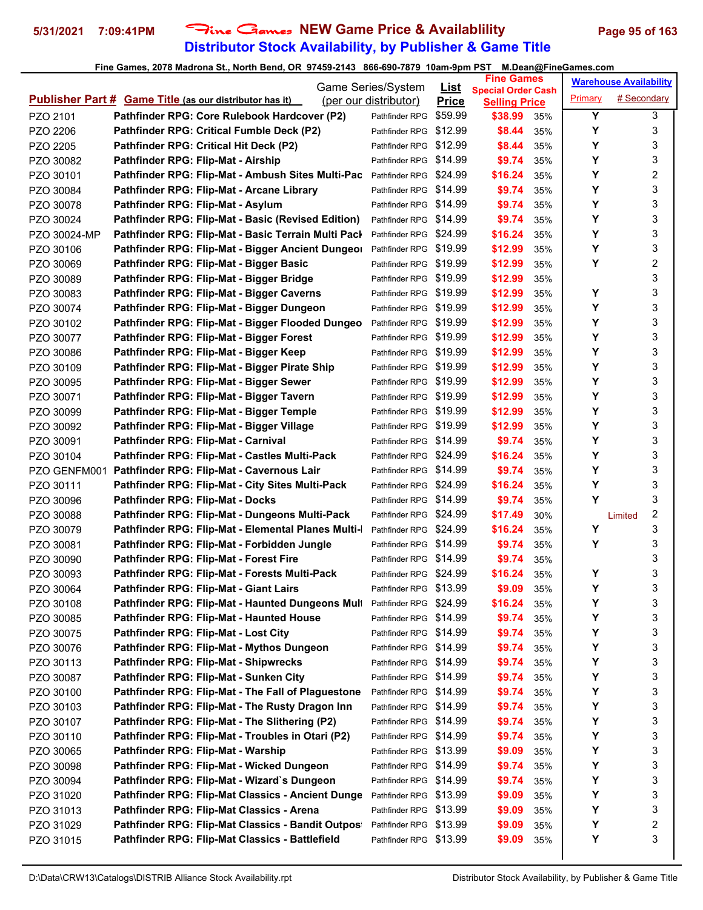# **Distributor Stock Availability, by Publisher & Game Title** 5/31/2021 7:09:41PM Fine Games NEW Game Price & Availablility Page 95 of 163

|              |                                                                | Game Series/System     | <u>List</u>  | <b>Fine Games</b>                                 |     |         | <b>Warehouse Availability</b> |                  |
|--------------|----------------------------------------------------------------|------------------------|--------------|---------------------------------------------------|-----|---------|-------------------------------|------------------|
|              | <b>Publisher Part # Game Title (as our distributor has it)</b> | (per our distributor)  | <b>Price</b> | <b>Special Order Cash</b><br><b>Selling Price</b> |     | Primary | # Secondary                   |                  |
| PZO 2101     | Pathfinder RPG: Core Rulebook Hardcover (P2)                   | Pathfinder RPG         | \$59.99      | \$38.99                                           | 35% | Y       |                               | 3                |
| PZO 2206     | Pathfinder RPG: Critical Fumble Deck (P2)                      | Pathfinder RPG \$12.99 |              | \$8.44                                            | 35% | Y       |                               | 3                |
| PZO 2205     | Pathfinder RPG: Critical Hit Deck (P2)                         | Pathfinder RPG \$12.99 |              | \$8.44                                            | 35% | Y       |                               | 3                |
| PZO 30082    | Pathfinder RPG: Flip-Mat - Airship                             | Pathfinder RPG \$14.99 |              | \$9.74                                            | 35% | Y       |                               | 3                |
| PZO 30101    | Pathfinder RPG: Flip-Mat - Ambush Sites Multi-Pac              | Pathfinder RPG \$24.99 |              | \$16.24                                           | 35% | Y       |                               | 2                |
| PZO 30084    | Pathfinder RPG: Flip-Mat - Arcane Library                      | Pathfinder RPG \$14.99 |              | \$9.74                                            | 35% | Y       |                               | 3                |
| PZO 30078    | Pathfinder RPG: Flip-Mat - Asylum                              | Pathfinder RPG \$14.99 |              | \$9.74                                            | 35% | Υ       |                               | 3                |
| PZO 30024    | Pathfinder RPG: Flip-Mat - Basic (Revised Edition)             | Pathfinder RPG \$14.99 |              | \$9.74                                            | 35% | Y       |                               | 3                |
| PZO 30024-MP | Pathfinder RPG: Flip-Mat - Basic Terrain Multi Pacl            | Pathfinder RPG \$24.99 |              | \$16.24                                           | 35% | Y       |                               | 3                |
| PZO 30106    | Pathfinder RPG: Flip-Mat - Bigger Ancient Dungeor              | Pathfinder RPG \$19.99 |              | \$12.99                                           | 35% | Y       |                               | 3                |
| PZO 30069    | Pathfinder RPG: Flip-Mat - Bigger Basic                        | Pathfinder RPG \$19.99 |              | \$12.99                                           | 35% | Y       |                               | 2                |
| PZO 30089    | Pathfinder RPG: Flip-Mat - Bigger Bridge                       | Pathfinder RPG \$19.99 |              | \$12.99                                           | 35% |         |                               | 3                |
| PZO 30083    | Pathfinder RPG: Flip-Mat - Bigger Caverns                      | Pathfinder RPG \$19.99 |              | \$12.99                                           | 35% | Υ       |                               | 3                |
| PZO 30074    | Pathfinder RPG: Flip-Mat - Bigger Dungeon                      | Pathfinder RPG \$19.99 |              | \$12.99                                           | 35% | Y       |                               | 3                |
| PZO 30102    | Pathfinder RPG: Flip-Mat - Bigger Flooded Dungeo               | Pathfinder RPG \$19.99 |              | \$12.99                                           | 35% | Y       |                               | 3                |
| PZO 30077    | Pathfinder RPG: Flip-Mat - Bigger Forest                       | Pathfinder RPG \$19.99 |              | \$12.99                                           | 35% | Y       |                               | 3                |
| PZO 30086    | Pathfinder RPG: Flip-Mat - Bigger Keep                         | Pathfinder RPG \$19.99 |              | \$12.99                                           | 35% | Υ       |                               | 3                |
| PZO 30109    | Pathfinder RPG: Flip-Mat - Bigger Pirate Ship                  | Pathfinder RPG \$19.99 |              | \$12.99                                           | 35% | Υ       |                               | 3                |
| PZO 30095    | Pathfinder RPG: Flip-Mat - Bigger Sewer                        | Pathfinder RPG \$19.99 |              | \$12.99                                           | 35% | Y       |                               | 3                |
| PZO 30071    | Pathfinder RPG: Flip-Mat - Bigger Tavern                       | Pathfinder RPG \$19.99 |              | \$12.99                                           | 35% | Υ       |                               | 3                |
| PZO 30099    | Pathfinder RPG: Flip-Mat - Bigger Temple                       | Pathfinder RPG \$19.99 |              | \$12.99                                           | 35% | Υ       |                               | 3                |
| PZO 30092    | Pathfinder RPG: Flip-Mat - Bigger Village                      | Pathfinder RPG \$19.99 |              | \$12.99                                           | 35% | Y       |                               | 3                |
| PZO 30091    | Pathfinder RPG: Flip-Mat - Carnival                            | Pathfinder RPG \$14.99 |              | \$9.74                                            | 35% | Y       |                               | 3                |
| PZO 30104    | Pathfinder RPG: Flip-Mat - Castles Multi-Pack                  | Pathfinder RPG \$24.99 |              | \$16.24                                           | 35% | Y       |                               | 3                |
| PZO GENFM001 | Pathfinder RPG: Flip-Mat - Cavernous Lair                      | Pathfinder RPG \$14.99 |              | \$9.74                                            | 35% | Υ       |                               | 3                |
| PZO 30111    | Pathfinder RPG: Flip-Mat - City Sites Multi-Pack               | Pathfinder RPG \$24.99 |              | \$16.24                                           | 35% | Y       |                               | 3                |
| PZO 30096    | Pathfinder RPG: Flip-Mat - Docks                               | Pathfinder RPG \$14.99 |              | \$9.74                                            | 35% | Y       |                               | 3                |
| PZO 30088    | Pathfinder RPG: Flip-Mat - Dungeons Multi-Pack                 | Pathfinder RPG \$24.99 |              | \$17.49                                           | 30% |         | Limited                       | $\boldsymbol{2}$ |
| PZO 30079    | Pathfinder RPG: Flip-Mat - Elemental Planes Multi-             | Pathfinder RPG \$24.99 |              | \$16.24                                           | 35% | Υ       |                               | 3                |
| PZO 30081    | Pathfinder RPG: Flip-Mat - Forbidden Jungle                    | Pathfinder RPG \$14.99 |              | \$9.74                                            | 35% | Y       |                               | 3                |
| PZO 30090    | Pathfinder RPG: Flip-Mat - Forest Fire                         | Pathfinder RPG \$14.99 |              | \$9.74                                            | 35% |         |                               | 3                |
| PZO 30093    | Pathfinder RPG: Flip-Mat - Forests Multi-Pack                  | Pathfinder RPG \$24.99 |              | \$16.24                                           | 35% | Υ       |                               | 3                |
| PZO 30064    | Pathfinder RPG: Flip-Mat - Giant Lairs                         | Pathfinder RPG \$13.99 |              | \$9.09                                            | 35% | Υ       |                               | 3                |
| PZO 30108    | Pathfinder RPG: Flip-Mat - Haunted Dungeons Mult               | Pathfinder RPG \$24.99 |              | \$16.24                                           | 35% | Υ       |                               | 3                |
| PZO 30085    | Pathfinder RPG: Flip-Mat - Haunted House                       | Pathfinder RPG \$14.99 |              | \$9.74                                            | 35% | Υ       |                               | 3                |
| PZO 30075    | Pathfinder RPG: Flip-Mat - Lost City                           | Pathfinder RPG \$14.99 |              | \$9.74                                            | 35% | Y       |                               | 3                |
| PZO 30076    | Pathfinder RPG: Flip-Mat - Mythos Dungeon                      | Pathfinder RPG \$14.99 |              | \$9.74                                            | 35% | Y       |                               | 3                |
| PZO 30113    | <b>Pathfinder RPG: Flip-Mat - Shipwrecks</b>                   | Pathfinder RPG \$14.99 |              | \$9.74                                            | 35% | Y       |                               | 3                |
| PZO 30087    | Pathfinder RPG: Flip-Mat - Sunken City                         | Pathfinder RPG \$14.99 |              | \$9.74                                            | 35% | Y       |                               | 3                |
| PZO 30100    | Pathfinder RPG: Flip-Mat - The Fall of Plaguestone             | Pathfinder RPG \$14.99 |              | \$9.74                                            | 35% | Υ       |                               | 3                |
| PZO 30103    | Pathfinder RPG: Flip-Mat - The Rusty Dragon Inn                | Pathfinder RPG \$14.99 |              | \$9.74                                            | 35% | Y       |                               | 3                |
| PZO 30107    | Pathfinder RPG: Flip-Mat - The Slithering (P2)                 | Pathfinder RPG \$14.99 |              | \$9.74                                            | 35% | Y       |                               | 3                |
| PZO 30110    | Pathfinder RPG: Flip-Mat - Troubles in Otari (P2)              | Pathfinder RPG \$14.99 |              | \$9.74                                            | 35% | Y       |                               | 3                |
| PZO 30065    | Pathfinder RPG: Flip-Mat - Warship                             | Pathfinder RPG \$13.99 |              | \$9.09                                            | 35% | Υ       |                               | 3                |
| PZO 30098    | Pathfinder RPG: Flip-Mat - Wicked Dungeon                      | Pathfinder RPG \$14.99 |              | \$9.74                                            | 35% | Y       |                               | 3                |
| PZO 30094    | Pathfinder RPG: Flip-Mat - Wizard's Dungeon                    | Pathfinder RPG \$14.99 |              | \$9.74                                            | 35% | Υ       |                               | 3                |
| PZO 31020    | Pathfinder RPG: Flip-Mat Classics - Ancient Dunge              | Pathfinder RPG \$13.99 |              | \$9.09                                            | 35% | Υ       |                               | 3                |
| PZO 31013    | Pathfinder RPG: Flip-Mat Classics - Arena                      | Pathfinder RPG \$13.99 |              | \$9.09                                            | 35% | Y       |                               | 3                |
| PZO 31029    | Pathfinder RPG: Flip-Mat Classics - Bandit Outpos              | Pathfinder RPG \$13.99 |              | \$9.09                                            | 35% | Υ       |                               | 2                |
| PZO 31015    | Pathfinder RPG: Flip-Mat Classics - Battlefield                | Pathfinder RPG \$13.99 |              | \$9.09                                            | 35% | Υ       |                               | 3                |
|              |                                                                |                        |              |                                                   |     |         |                               |                  |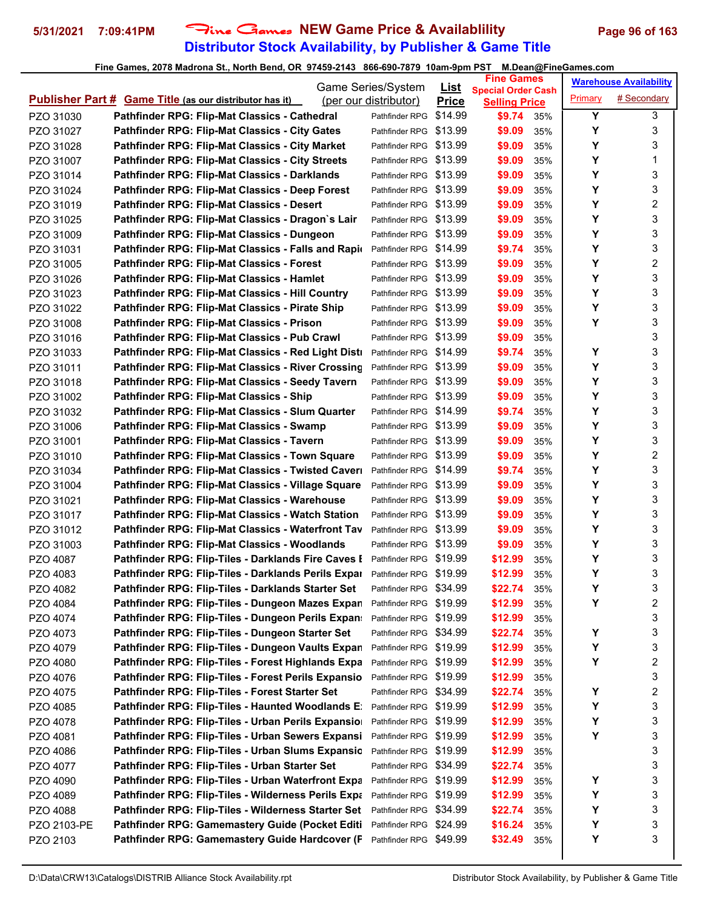# **Distributor Stock Availability, by Publisher & Game Title 5/31/2021 7:09:41PM** Fine Games **NEW Game Price & Availablility Page 96 of 163**

| <b>Special Order Cash</b><br># Secondary<br>Primary<br><b>Publisher Part # Game Title (as our distributor has it)</b><br>(per our distributor)<br><b>Price</b><br><b>Selling Price</b><br>Y<br>3<br>Pathfinder RPG: Flip-Mat Classics - Cathedral<br>\$14.99<br>PZO 31030<br>\$9.74<br>Pathfinder RPG<br>35%<br>3<br>Y<br>Pathfinder RPG: Flip-Mat Classics - City Gates<br>Pathfinder RPG \$13.99<br>\$9.09<br>PZO 31027<br>35%<br>Y<br>3<br>Pathfinder RPG: Flip-Mat Classics - City Market<br>Pathfinder RPG \$13.99<br>\$9.09<br>35%<br>PZO 31028<br>Y<br>1<br><b>Pathfinder RPG: Flip-Mat Classics - City Streets</b><br>PZO 31007<br>Pathfinder RPG \$13.99<br>\$9.09<br>35%<br>3<br>Y<br>Pathfinder RPG: Flip-Mat Classics - Darklands<br>Pathfinder RPG \$13.99<br>\$9.09<br>PZO 31014<br>35%<br>Y<br>3<br>Pathfinder RPG: Flip-Mat Classics - Deep Forest<br>\$9.09<br>Pathfinder RPG \$13.99<br>PZO 31024<br>35%<br>Υ<br>2<br>\$9.09<br><b>Pathfinder RPG: Flip-Mat Classics - Desert</b><br>Pathfinder RPG \$13.99<br>PZO 31019<br>35%<br>3<br>Y<br>Pathfinder RPG: Flip-Mat Classics - Dragon's Lair<br>Pathfinder RPG \$13.99<br>PZO 31025<br>\$9.09<br>35%<br>3<br>Y<br>\$9.09<br>Pathfinder RPG: Flip-Mat Classics - Dungeon<br>Pathfinder RPG \$13.99<br>PZO 31009<br>35%<br>Y<br>3<br>Pathfinder RPG: Flip-Mat Classics - Falls and Rapio<br>Pathfinder RPG \$14.99<br>\$9.74<br>PZO 31031<br>35%<br>2<br>Y<br><b>Pathfinder RPG: Flip-Mat Classics - Forest</b><br>PZO 31005<br>Pathfinder RPG \$13.99<br>\$9.09<br>35%<br>3<br>Y<br>Pathfinder RPG: Flip-Mat Classics - Hamlet<br>Pathfinder RPG \$13.99<br>PZO 31026<br>\$9.09<br>35%<br>Υ<br>3<br>Pathfinder RPG: Flip-Mat Classics - Hill Country<br>Pathfinder RPG \$13.99<br>\$9.09<br>PZO 31023<br>35%<br>Υ<br>3<br>Pathfinder RPG: Flip-Mat Classics - Pirate Ship<br>\$9.09<br>PZO 31022<br>Pathfinder RPG \$13.99<br>35%<br>Υ<br>3<br>Pathfinder RPG: Flip-Mat Classics - Prison<br>Pathfinder RPG \$13.99<br>PZO 31008<br>\$9.09<br>35%<br>3<br>PZO 31016<br>Pathfinder RPG: Flip-Mat Classics - Pub Crawl<br>Pathfinder RPG \$13.99<br>\$9.09<br>35%<br>3<br>Υ<br>Pathfinder RPG: Flip-Mat Classics - Red Light Disti<br>Pathfinder RPG \$14.99<br>\$9.74<br>PZO 31033<br>35%<br>Y<br>3<br>Pathfinder RPG: Flip-Mat Classics - River Crossing<br>\$9.09<br>PZO 31011<br>Pathfinder RPG \$13.99<br>35%<br>3<br>Y<br>Pathfinder RPG: Flip-Mat Classics - Seedy Tavern<br>Pathfinder RPG \$13.99<br>\$9.09<br>PZO 31018<br>35%<br>Υ<br>3<br>Pathfinder RPG: Flip-Mat Classics - Ship<br>Pathfinder RPG \$13.99<br>\$9.09<br>PZO 31002<br>35%<br>Υ<br>3<br>Pathfinder RPG: Flip-Mat Classics - Slum Quarter<br>\$9.74<br>Pathfinder RPG \$14.99<br>PZO 31032<br>35%<br>Y<br>3<br>Pathfinder RPG: Flip-Mat Classics - Swamp<br>Pathfinder RPG \$13.99<br>\$9.09<br>PZO 31006<br>35%<br>3<br>Y<br>Pathfinder RPG: Flip-Mat Classics - Tavern<br>\$9.09<br>PZO 31001<br>Pathfinder RPG \$13.99<br>35%<br>2<br>Υ<br>Pathfinder RPG: Flip-Mat Classics - Town Square<br>Pathfinder RPG \$13.99<br>\$9.09<br>PZO 31010<br>35%<br>3<br>Υ<br>Pathfinder RPG: Flip-Mat Classics - Twisted Caver<br>\$9.74<br>PZO 31034<br>Pathfinder RPG \$14.99<br>35%<br>3<br>Y<br>Pathfinder RPG: Flip-Mat Classics - Village Square<br>PZO 31004<br>Pathfinder RPG \$13.99<br>\$9.09<br>35%<br>Υ<br>3<br>Pathfinder RPG: Flip-Mat Classics - Warehouse<br>PZO 31021<br>Pathfinder RPG \$13.99<br>\$9.09<br>35%<br>3<br>Υ<br>Pathfinder RPG \$13.99<br><b>Pathfinder RPG: Flip-Mat Classics - Watch Station</b><br>\$9.09<br>PZO 31017<br>35%<br>Y<br>3<br>Pathfinder RPG: Flip-Mat Classics - Waterfront Tav<br>Pathfinder RPG \$13.99<br>\$9.09<br>PZO 31012<br>35%<br>Y<br>3<br>Pathfinder RPG: Flip-Mat Classics - Woodlands<br>Pathfinder RPG \$13.99<br>PZO 31003<br>\$9.09<br>35%<br>3<br>Υ<br>PZO 4087<br>Pathfinder RPG: Flip-Tiles - Darklands Fire Caves I<br>Pathfinder RPG \$19.99<br>\$12.99<br>35%<br>Υ<br>3<br>\$12.99<br>Pathfinder RPG: Flip-Tiles - Darklands Perils Expar<br>Pathfinder RPG \$19.99<br>PZO 4083<br>35%<br>3<br>Y<br>Pathfinder RPG \$34.99<br>\$22.74<br>35%<br>Pathfinder RPG: Flip-Tiles - Darklands Starter Set<br>PZO 4082<br>2<br>Υ<br>Pathfinder RPG: Flip-Tiles - Dungeon Mazes Expan<br>Pathfinder RPG \$19.99<br>\$12.99<br>PZO 4084<br>35%<br>3<br>Pathfinder RPG: Flip-Tiles - Dungeon Perils Expan:<br>\$12.99<br>Pathfinder RPG \$19.99<br>PZO 4074<br>35%<br>Υ<br>3<br>Pathfinder RPG: Flip-Tiles - Dungeon Starter Set<br>Pathfinder RPG \$34.99<br>\$22.74<br>PZO 4073<br>35%<br>Υ<br>3<br>Pathfinder RPG: Flip-Tiles - Dungeon Vaults Expan<br>\$12.99<br>PZO 4079<br>Pathfinder RPG \$19.99<br>35%<br>2<br>Υ<br>Pathfinder RPG: Flip-Tiles - Forest Highlands Expa<br>PZO 4080<br>Pathfinder RPG \$19.99<br>\$12.99<br>35%<br>3<br>Pathfinder RPG: Flip-Tiles - Forest Perils Expansio<br>Pathfinder RPG \$19.99<br>\$12.99<br>PZO 4076<br>35%<br>$\overline{\mathbf{c}}$<br>Υ<br>Pathfinder RPG: Flip-Tiles - Forest Starter Set<br>Pathfinder RPG \$34.99<br>\$22.74<br>PZO 4075<br>35%<br>3<br>Υ<br>Pathfinder RPG: Flip-Tiles - Haunted Woodlands E:<br>\$12.99<br>PZO 4085<br>Pathfinder RPG<br>\$19.99<br>35%<br>3<br>Υ<br>Pathfinder RPG \$19.99<br>\$12.99<br>Pathfinder RPG: Flip-Tiles - Urban Perils Expansio<br>PZO 4078<br>35%<br>Υ<br>3<br>Pathfinder RPG: Flip-Tiles - Urban Sewers Expansi<br>Pathfinder RPG \$19.99<br>\$12.99<br>PZO 4081<br>35%<br>3<br>Pathfinder RPG: Flip-Tiles - Urban Slums Expansic<br>Pathfinder RPG \$19.99<br>\$12.99<br>PZO 4086<br>35%<br>3<br>Pathfinder RPG: Flip-Tiles - Urban Starter Set<br>Pathfinder RPG \$34.99<br>PZO 4077<br>\$22.74<br>35%<br>3<br>PZO 4090<br>Pathfinder RPG: Flip-Tiles - Urban Waterfront Expa<br>Pathfinder RPG \$19.99<br>\$12.99<br>Y<br>35%<br>3<br>Pathfinder RPG: Flip-Tiles - Wilderness Perils Expa<br>Υ<br>Pathfinder RPG<br>\$19.99<br>\$12.99<br>PZO 4089<br>35%<br>Υ<br>3<br>Pathfinder RPG: Flip-Tiles - Wilderness Starter Set<br>\$22.74<br>PZO 4088<br>Pathfinder RPG<br>\$34.99<br>35%<br>3<br>Υ<br>Pathfinder RPG: Gamemastery Guide (Pocket Editi<br>\$16.24<br>Pathfinder RPG<br>\$24.99<br>PZO 2103-PE<br>35%<br>3<br>Y<br>Pathfinder RPG: Gamemastery Guide Hardcover (F<br>\$32.49<br>Pathfinder RPG \$49.99<br>PZO 2103<br>35% |  | Game Series/System | <u>List</u> | <b>Fine Games</b> |  | <b>Warehouse Availability</b> |
|----------------------------------------------------------------------------------------------------------------------------------------------------------------------------------------------------------------------------------------------------------------------------------------------------------------------------------------------------------------------------------------------------------------------------------------------------------------------------------------------------------------------------------------------------------------------------------------------------------------------------------------------------------------------------------------------------------------------------------------------------------------------------------------------------------------------------------------------------------------------------------------------------------------------------------------------------------------------------------------------------------------------------------------------------------------------------------------------------------------------------------------------------------------------------------------------------------------------------------------------------------------------------------------------------------------------------------------------------------------------------------------------------------------------------------------------------------------------------------------------------------------------------------------------------------------------------------------------------------------------------------------------------------------------------------------------------------------------------------------------------------------------------------------------------------------------------------------------------------------------------------------------------------------------------------------------------------------------------------------------------------------------------------------------------------------------------------------------------------------------------------------------------------------------------------------------------------------------------------------------------------------------------------------------------------------------------------------------------------------------------------------------------------------------------------------------------------------------------------------------------------------------------------------------------------------------------------------------------------------------------------------------------------------------------------------------------------------------------------------------------------------------------------------------------------------------------------------------------------------------------------------------------------------------------------------------------------------------------------------------------------------------------------------------------------------------------------------------------------------------------------------------------------------------------------------------------------------------------------------------------------------------------------------------------------------------------------------------------------------------------------------------------------------------------------------------------------------------------------------------------------------------------------------------------------------------------------------------------------------------------------------------------------------------------------------------------------------------------------------------------------------------------------------------------------------------------------------------------------------------------------------------------------------------------------------------------------------------------------------------------------------------------------------------------------------------------------------------------------------------------------------------------------------------------------------------------------------------------------------------------------------------------------------------------------------------------------------------------------------------------------------------------------------------------------------------------------------------------------------------------------------------------------------------------------------------------------------------------------------------------------------------------------------------------------------------------------------------------------------------------------------------------------------------------------------------------------------------------------------------------------------------------------------------------------------------------------------------------------------------------------------------------------------------------------------------------------------------------------------------------------------------------------------------------------------------------------------------------------------------------------------------------------------------------------------------------------------------------------------------------------------------------------------------------------------------------------------------------------------------------------------------------------------------------------------------------------------------------------------------------------------------------------------------------------------------------------------------------------------------------------------------------------------------------------------------------------------------------------------------------------------------------------------------------------------------------------------------------------------------------------------------------------------------------------------------------------------------------------------------------------------------------------------------------------------------------------------------------------------------------------------------------------------------------------------------------------------------|--|--------------------|-------------|-------------------|--|-------------------------------|
|                                                                                                                                                                                                                                                                                                                                                                                                                                                                                                                                                                                                                                                                                                                                                                                                                                                                                                                                                                                                                                                                                                                                                                                                                                                                                                                                                                                                                                                                                                                                                                                                                                                                                                                                                                                                                                                                                                                                                                                                                                                                                                                                                                                                                                                                                                                                                                                                                                                                                                                                                                                                                                                                                                                                                                                                                                                                                                                                                                                                                                                                                                                                                                                                                                                                                                                                                                                                                                                                                                                                                                                                                                                                                                                                                                                                                                                                                                                                                                                                                                                                                                                                                                                                                                                                                                                                                                                                                                                                                                                                                                                                                                                                                                                                                                                                                                                                                                                                                                                                                                                                                                                                                                                                                                                                                                                                                                                                                                                                                                                                                                                                                                                                                                                                                                                                                                                                                                                                                                                                                                                                                                                                                                                                                                                                                                                                              |  |                    |             |                   |  |                               |
|                                                                                                                                                                                                                                                                                                                                                                                                                                                                                                                                                                                                                                                                                                                                                                                                                                                                                                                                                                                                                                                                                                                                                                                                                                                                                                                                                                                                                                                                                                                                                                                                                                                                                                                                                                                                                                                                                                                                                                                                                                                                                                                                                                                                                                                                                                                                                                                                                                                                                                                                                                                                                                                                                                                                                                                                                                                                                                                                                                                                                                                                                                                                                                                                                                                                                                                                                                                                                                                                                                                                                                                                                                                                                                                                                                                                                                                                                                                                                                                                                                                                                                                                                                                                                                                                                                                                                                                                                                                                                                                                                                                                                                                                                                                                                                                                                                                                                                                                                                                                                                                                                                                                                                                                                                                                                                                                                                                                                                                                                                                                                                                                                                                                                                                                                                                                                                                                                                                                                                                                                                                                                                                                                                                                                                                                                                                                              |  |                    |             |                   |  |                               |
|                                                                                                                                                                                                                                                                                                                                                                                                                                                                                                                                                                                                                                                                                                                                                                                                                                                                                                                                                                                                                                                                                                                                                                                                                                                                                                                                                                                                                                                                                                                                                                                                                                                                                                                                                                                                                                                                                                                                                                                                                                                                                                                                                                                                                                                                                                                                                                                                                                                                                                                                                                                                                                                                                                                                                                                                                                                                                                                                                                                                                                                                                                                                                                                                                                                                                                                                                                                                                                                                                                                                                                                                                                                                                                                                                                                                                                                                                                                                                                                                                                                                                                                                                                                                                                                                                                                                                                                                                                                                                                                                                                                                                                                                                                                                                                                                                                                                                                                                                                                                                                                                                                                                                                                                                                                                                                                                                                                                                                                                                                                                                                                                                                                                                                                                                                                                                                                                                                                                                                                                                                                                                                                                                                                                                                                                                                                                              |  |                    |             |                   |  |                               |
|                                                                                                                                                                                                                                                                                                                                                                                                                                                                                                                                                                                                                                                                                                                                                                                                                                                                                                                                                                                                                                                                                                                                                                                                                                                                                                                                                                                                                                                                                                                                                                                                                                                                                                                                                                                                                                                                                                                                                                                                                                                                                                                                                                                                                                                                                                                                                                                                                                                                                                                                                                                                                                                                                                                                                                                                                                                                                                                                                                                                                                                                                                                                                                                                                                                                                                                                                                                                                                                                                                                                                                                                                                                                                                                                                                                                                                                                                                                                                                                                                                                                                                                                                                                                                                                                                                                                                                                                                                                                                                                                                                                                                                                                                                                                                                                                                                                                                                                                                                                                                                                                                                                                                                                                                                                                                                                                                                                                                                                                                                                                                                                                                                                                                                                                                                                                                                                                                                                                                                                                                                                                                                                                                                                                                                                                                                                                              |  |                    |             |                   |  |                               |
|                                                                                                                                                                                                                                                                                                                                                                                                                                                                                                                                                                                                                                                                                                                                                                                                                                                                                                                                                                                                                                                                                                                                                                                                                                                                                                                                                                                                                                                                                                                                                                                                                                                                                                                                                                                                                                                                                                                                                                                                                                                                                                                                                                                                                                                                                                                                                                                                                                                                                                                                                                                                                                                                                                                                                                                                                                                                                                                                                                                                                                                                                                                                                                                                                                                                                                                                                                                                                                                                                                                                                                                                                                                                                                                                                                                                                                                                                                                                                                                                                                                                                                                                                                                                                                                                                                                                                                                                                                                                                                                                                                                                                                                                                                                                                                                                                                                                                                                                                                                                                                                                                                                                                                                                                                                                                                                                                                                                                                                                                                                                                                                                                                                                                                                                                                                                                                                                                                                                                                                                                                                                                                                                                                                                                                                                                                                                              |  |                    |             |                   |  |                               |
|                                                                                                                                                                                                                                                                                                                                                                                                                                                                                                                                                                                                                                                                                                                                                                                                                                                                                                                                                                                                                                                                                                                                                                                                                                                                                                                                                                                                                                                                                                                                                                                                                                                                                                                                                                                                                                                                                                                                                                                                                                                                                                                                                                                                                                                                                                                                                                                                                                                                                                                                                                                                                                                                                                                                                                                                                                                                                                                                                                                                                                                                                                                                                                                                                                                                                                                                                                                                                                                                                                                                                                                                                                                                                                                                                                                                                                                                                                                                                                                                                                                                                                                                                                                                                                                                                                                                                                                                                                                                                                                                                                                                                                                                                                                                                                                                                                                                                                                                                                                                                                                                                                                                                                                                                                                                                                                                                                                                                                                                                                                                                                                                                                                                                                                                                                                                                                                                                                                                                                                                                                                                                                                                                                                                                                                                                                                                              |  |                    |             |                   |  |                               |
|                                                                                                                                                                                                                                                                                                                                                                                                                                                                                                                                                                                                                                                                                                                                                                                                                                                                                                                                                                                                                                                                                                                                                                                                                                                                                                                                                                                                                                                                                                                                                                                                                                                                                                                                                                                                                                                                                                                                                                                                                                                                                                                                                                                                                                                                                                                                                                                                                                                                                                                                                                                                                                                                                                                                                                                                                                                                                                                                                                                                                                                                                                                                                                                                                                                                                                                                                                                                                                                                                                                                                                                                                                                                                                                                                                                                                                                                                                                                                                                                                                                                                                                                                                                                                                                                                                                                                                                                                                                                                                                                                                                                                                                                                                                                                                                                                                                                                                                                                                                                                                                                                                                                                                                                                                                                                                                                                                                                                                                                                                                                                                                                                                                                                                                                                                                                                                                                                                                                                                                                                                                                                                                                                                                                                                                                                                                                              |  |                    |             |                   |  |                               |
|                                                                                                                                                                                                                                                                                                                                                                                                                                                                                                                                                                                                                                                                                                                                                                                                                                                                                                                                                                                                                                                                                                                                                                                                                                                                                                                                                                                                                                                                                                                                                                                                                                                                                                                                                                                                                                                                                                                                                                                                                                                                                                                                                                                                                                                                                                                                                                                                                                                                                                                                                                                                                                                                                                                                                                                                                                                                                                                                                                                                                                                                                                                                                                                                                                                                                                                                                                                                                                                                                                                                                                                                                                                                                                                                                                                                                                                                                                                                                                                                                                                                                                                                                                                                                                                                                                                                                                                                                                                                                                                                                                                                                                                                                                                                                                                                                                                                                                                                                                                                                                                                                                                                                                                                                                                                                                                                                                                                                                                                                                                                                                                                                                                                                                                                                                                                                                                                                                                                                                                                                                                                                                                                                                                                                                                                                                                                              |  |                    |             |                   |  |                               |
|                                                                                                                                                                                                                                                                                                                                                                                                                                                                                                                                                                                                                                                                                                                                                                                                                                                                                                                                                                                                                                                                                                                                                                                                                                                                                                                                                                                                                                                                                                                                                                                                                                                                                                                                                                                                                                                                                                                                                                                                                                                                                                                                                                                                                                                                                                                                                                                                                                                                                                                                                                                                                                                                                                                                                                                                                                                                                                                                                                                                                                                                                                                                                                                                                                                                                                                                                                                                                                                                                                                                                                                                                                                                                                                                                                                                                                                                                                                                                                                                                                                                                                                                                                                                                                                                                                                                                                                                                                                                                                                                                                                                                                                                                                                                                                                                                                                                                                                                                                                                                                                                                                                                                                                                                                                                                                                                                                                                                                                                                                                                                                                                                                                                                                                                                                                                                                                                                                                                                                                                                                                                                                                                                                                                                                                                                                                                              |  |                    |             |                   |  |                               |
|                                                                                                                                                                                                                                                                                                                                                                                                                                                                                                                                                                                                                                                                                                                                                                                                                                                                                                                                                                                                                                                                                                                                                                                                                                                                                                                                                                                                                                                                                                                                                                                                                                                                                                                                                                                                                                                                                                                                                                                                                                                                                                                                                                                                                                                                                                                                                                                                                                                                                                                                                                                                                                                                                                                                                                                                                                                                                                                                                                                                                                                                                                                                                                                                                                                                                                                                                                                                                                                                                                                                                                                                                                                                                                                                                                                                                                                                                                                                                                                                                                                                                                                                                                                                                                                                                                                                                                                                                                                                                                                                                                                                                                                                                                                                                                                                                                                                                                                                                                                                                                                                                                                                                                                                                                                                                                                                                                                                                                                                                                                                                                                                                                                                                                                                                                                                                                                                                                                                                                                                                                                                                                                                                                                                                                                                                                                                              |  |                    |             |                   |  |                               |
|                                                                                                                                                                                                                                                                                                                                                                                                                                                                                                                                                                                                                                                                                                                                                                                                                                                                                                                                                                                                                                                                                                                                                                                                                                                                                                                                                                                                                                                                                                                                                                                                                                                                                                                                                                                                                                                                                                                                                                                                                                                                                                                                                                                                                                                                                                                                                                                                                                                                                                                                                                                                                                                                                                                                                                                                                                                                                                                                                                                                                                                                                                                                                                                                                                                                                                                                                                                                                                                                                                                                                                                                                                                                                                                                                                                                                                                                                                                                                                                                                                                                                                                                                                                                                                                                                                                                                                                                                                                                                                                                                                                                                                                                                                                                                                                                                                                                                                                                                                                                                                                                                                                                                                                                                                                                                                                                                                                                                                                                                                                                                                                                                                                                                                                                                                                                                                                                                                                                                                                                                                                                                                                                                                                                                                                                                                                                              |  |                    |             |                   |  |                               |
|                                                                                                                                                                                                                                                                                                                                                                                                                                                                                                                                                                                                                                                                                                                                                                                                                                                                                                                                                                                                                                                                                                                                                                                                                                                                                                                                                                                                                                                                                                                                                                                                                                                                                                                                                                                                                                                                                                                                                                                                                                                                                                                                                                                                                                                                                                                                                                                                                                                                                                                                                                                                                                                                                                                                                                                                                                                                                                                                                                                                                                                                                                                                                                                                                                                                                                                                                                                                                                                                                                                                                                                                                                                                                                                                                                                                                                                                                                                                                                                                                                                                                                                                                                                                                                                                                                                                                                                                                                                                                                                                                                                                                                                                                                                                                                                                                                                                                                                                                                                                                                                                                                                                                                                                                                                                                                                                                                                                                                                                                                                                                                                                                                                                                                                                                                                                                                                                                                                                                                                                                                                                                                                                                                                                                                                                                                                                              |  |                    |             |                   |  |                               |
|                                                                                                                                                                                                                                                                                                                                                                                                                                                                                                                                                                                                                                                                                                                                                                                                                                                                                                                                                                                                                                                                                                                                                                                                                                                                                                                                                                                                                                                                                                                                                                                                                                                                                                                                                                                                                                                                                                                                                                                                                                                                                                                                                                                                                                                                                                                                                                                                                                                                                                                                                                                                                                                                                                                                                                                                                                                                                                                                                                                                                                                                                                                                                                                                                                                                                                                                                                                                                                                                                                                                                                                                                                                                                                                                                                                                                                                                                                                                                                                                                                                                                                                                                                                                                                                                                                                                                                                                                                                                                                                                                                                                                                                                                                                                                                                                                                                                                                                                                                                                                                                                                                                                                                                                                                                                                                                                                                                                                                                                                                                                                                                                                                                                                                                                                                                                                                                                                                                                                                                                                                                                                                                                                                                                                                                                                                                                              |  |                    |             |                   |  |                               |
|                                                                                                                                                                                                                                                                                                                                                                                                                                                                                                                                                                                                                                                                                                                                                                                                                                                                                                                                                                                                                                                                                                                                                                                                                                                                                                                                                                                                                                                                                                                                                                                                                                                                                                                                                                                                                                                                                                                                                                                                                                                                                                                                                                                                                                                                                                                                                                                                                                                                                                                                                                                                                                                                                                                                                                                                                                                                                                                                                                                                                                                                                                                                                                                                                                                                                                                                                                                                                                                                                                                                                                                                                                                                                                                                                                                                                                                                                                                                                                                                                                                                                                                                                                                                                                                                                                                                                                                                                                                                                                                                                                                                                                                                                                                                                                                                                                                                                                                                                                                                                                                                                                                                                                                                                                                                                                                                                                                                                                                                                                                                                                                                                                                                                                                                                                                                                                                                                                                                                                                                                                                                                                                                                                                                                                                                                                                                              |  |                    |             |                   |  |                               |
|                                                                                                                                                                                                                                                                                                                                                                                                                                                                                                                                                                                                                                                                                                                                                                                                                                                                                                                                                                                                                                                                                                                                                                                                                                                                                                                                                                                                                                                                                                                                                                                                                                                                                                                                                                                                                                                                                                                                                                                                                                                                                                                                                                                                                                                                                                                                                                                                                                                                                                                                                                                                                                                                                                                                                                                                                                                                                                                                                                                                                                                                                                                                                                                                                                                                                                                                                                                                                                                                                                                                                                                                                                                                                                                                                                                                                                                                                                                                                                                                                                                                                                                                                                                                                                                                                                                                                                                                                                                                                                                                                                                                                                                                                                                                                                                                                                                                                                                                                                                                                                                                                                                                                                                                                                                                                                                                                                                                                                                                                                                                                                                                                                                                                                                                                                                                                                                                                                                                                                                                                                                                                                                                                                                                                                                                                                                                              |  |                    |             |                   |  |                               |
|                                                                                                                                                                                                                                                                                                                                                                                                                                                                                                                                                                                                                                                                                                                                                                                                                                                                                                                                                                                                                                                                                                                                                                                                                                                                                                                                                                                                                                                                                                                                                                                                                                                                                                                                                                                                                                                                                                                                                                                                                                                                                                                                                                                                                                                                                                                                                                                                                                                                                                                                                                                                                                                                                                                                                                                                                                                                                                                                                                                                                                                                                                                                                                                                                                                                                                                                                                                                                                                                                                                                                                                                                                                                                                                                                                                                                                                                                                                                                                                                                                                                                                                                                                                                                                                                                                                                                                                                                                                                                                                                                                                                                                                                                                                                                                                                                                                                                                                                                                                                                                                                                                                                                                                                                                                                                                                                                                                                                                                                                                                                                                                                                                                                                                                                                                                                                                                                                                                                                                                                                                                                                                                                                                                                                                                                                                                                              |  |                    |             |                   |  |                               |
|                                                                                                                                                                                                                                                                                                                                                                                                                                                                                                                                                                                                                                                                                                                                                                                                                                                                                                                                                                                                                                                                                                                                                                                                                                                                                                                                                                                                                                                                                                                                                                                                                                                                                                                                                                                                                                                                                                                                                                                                                                                                                                                                                                                                                                                                                                                                                                                                                                                                                                                                                                                                                                                                                                                                                                                                                                                                                                                                                                                                                                                                                                                                                                                                                                                                                                                                                                                                                                                                                                                                                                                                                                                                                                                                                                                                                                                                                                                                                                                                                                                                                                                                                                                                                                                                                                                                                                                                                                                                                                                                                                                                                                                                                                                                                                                                                                                                                                                                                                                                                                                                                                                                                                                                                                                                                                                                                                                                                                                                                                                                                                                                                                                                                                                                                                                                                                                                                                                                                                                                                                                                                                                                                                                                                                                                                                                                              |  |                    |             |                   |  |                               |
|                                                                                                                                                                                                                                                                                                                                                                                                                                                                                                                                                                                                                                                                                                                                                                                                                                                                                                                                                                                                                                                                                                                                                                                                                                                                                                                                                                                                                                                                                                                                                                                                                                                                                                                                                                                                                                                                                                                                                                                                                                                                                                                                                                                                                                                                                                                                                                                                                                                                                                                                                                                                                                                                                                                                                                                                                                                                                                                                                                                                                                                                                                                                                                                                                                                                                                                                                                                                                                                                                                                                                                                                                                                                                                                                                                                                                                                                                                                                                                                                                                                                                                                                                                                                                                                                                                                                                                                                                                                                                                                                                                                                                                                                                                                                                                                                                                                                                                                                                                                                                                                                                                                                                                                                                                                                                                                                                                                                                                                                                                                                                                                                                                                                                                                                                                                                                                                                                                                                                                                                                                                                                                                                                                                                                                                                                                                                              |  |                    |             |                   |  |                               |
|                                                                                                                                                                                                                                                                                                                                                                                                                                                                                                                                                                                                                                                                                                                                                                                                                                                                                                                                                                                                                                                                                                                                                                                                                                                                                                                                                                                                                                                                                                                                                                                                                                                                                                                                                                                                                                                                                                                                                                                                                                                                                                                                                                                                                                                                                                                                                                                                                                                                                                                                                                                                                                                                                                                                                                                                                                                                                                                                                                                                                                                                                                                                                                                                                                                                                                                                                                                                                                                                                                                                                                                                                                                                                                                                                                                                                                                                                                                                                                                                                                                                                                                                                                                                                                                                                                                                                                                                                                                                                                                                                                                                                                                                                                                                                                                                                                                                                                                                                                                                                                                                                                                                                                                                                                                                                                                                                                                                                                                                                                                                                                                                                                                                                                                                                                                                                                                                                                                                                                                                                                                                                                                                                                                                                                                                                                                                              |  |                    |             |                   |  |                               |
|                                                                                                                                                                                                                                                                                                                                                                                                                                                                                                                                                                                                                                                                                                                                                                                                                                                                                                                                                                                                                                                                                                                                                                                                                                                                                                                                                                                                                                                                                                                                                                                                                                                                                                                                                                                                                                                                                                                                                                                                                                                                                                                                                                                                                                                                                                                                                                                                                                                                                                                                                                                                                                                                                                                                                                                                                                                                                                                                                                                                                                                                                                                                                                                                                                                                                                                                                                                                                                                                                                                                                                                                                                                                                                                                                                                                                                                                                                                                                                                                                                                                                                                                                                                                                                                                                                                                                                                                                                                                                                                                                                                                                                                                                                                                                                                                                                                                                                                                                                                                                                                                                                                                                                                                                                                                                                                                                                                                                                                                                                                                                                                                                                                                                                                                                                                                                                                                                                                                                                                                                                                                                                                                                                                                                                                                                                                                              |  |                    |             |                   |  |                               |
|                                                                                                                                                                                                                                                                                                                                                                                                                                                                                                                                                                                                                                                                                                                                                                                                                                                                                                                                                                                                                                                                                                                                                                                                                                                                                                                                                                                                                                                                                                                                                                                                                                                                                                                                                                                                                                                                                                                                                                                                                                                                                                                                                                                                                                                                                                                                                                                                                                                                                                                                                                                                                                                                                                                                                                                                                                                                                                                                                                                                                                                                                                                                                                                                                                                                                                                                                                                                                                                                                                                                                                                                                                                                                                                                                                                                                                                                                                                                                                                                                                                                                                                                                                                                                                                                                                                                                                                                                                                                                                                                                                                                                                                                                                                                                                                                                                                                                                                                                                                                                                                                                                                                                                                                                                                                                                                                                                                                                                                                                                                                                                                                                                                                                                                                                                                                                                                                                                                                                                                                                                                                                                                                                                                                                                                                                                                                              |  |                    |             |                   |  |                               |
|                                                                                                                                                                                                                                                                                                                                                                                                                                                                                                                                                                                                                                                                                                                                                                                                                                                                                                                                                                                                                                                                                                                                                                                                                                                                                                                                                                                                                                                                                                                                                                                                                                                                                                                                                                                                                                                                                                                                                                                                                                                                                                                                                                                                                                                                                                                                                                                                                                                                                                                                                                                                                                                                                                                                                                                                                                                                                                                                                                                                                                                                                                                                                                                                                                                                                                                                                                                                                                                                                                                                                                                                                                                                                                                                                                                                                                                                                                                                                                                                                                                                                                                                                                                                                                                                                                                                                                                                                                                                                                                                                                                                                                                                                                                                                                                                                                                                                                                                                                                                                                                                                                                                                                                                                                                                                                                                                                                                                                                                                                                                                                                                                                                                                                                                                                                                                                                                                                                                                                                                                                                                                                                                                                                                                                                                                                                                              |  |                    |             |                   |  |                               |
|                                                                                                                                                                                                                                                                                                                                                                                                                                                                                                                                                                                                                                                                                                                                                                                                                                                                                                                                                                                                                                                                                                                                                                                                                                                                                                                                                                                                                                                                                                                                                                                                                                                                                                                                                                                                                                                                                                                                                                                                                                                                                                                                                                                                                                                                                                                                                                                                                                                                                                                                                                                                                                                                                                                                                                                                                                                                                                                                                                                                                                                                                                                                                                                                                                                                                                                                                                                                                                                                                                                                                                                                                                                                                                                                                                                                                                                                                                                                                                                                                                                                                                                                                                                                                                                                                                                                                                                                                                                                                                                                                                                                                                                                                                                                                                                                                                                                                                                                                                                                                                                                                                                                                                                                                                                                                                                                                                                                                                                                                                                                                                                                                                                                                                                                                                                                                                                                                                                                                                                                                                                                                                                                                                                                                                                                                                                                              |  |                    |             |                   |  |                               |
|                                                                                                                                                                                                                                                                                                                                                                                                                                                                                                                                                                                                                                                                                                                                                                                                                                                                                                                                                                                                                                                                                                                                                                                                                                                                                                                                                                                                                                                                                                                                                                                                                                                                                                                                                                                                                                                                                                                                                                                                                                                                                                                                                                                                                                                                                                                                                                                                                                                                                                                                                                                                                                                                                                                                                                                                                                                                                                                                                                                                                                                                                                                                                                                                                                                                                                                                                                                                                                                                                                                                                                                                                                                                                                                                                                                                                                                                                                                                                                                                                                                                                                                                                                                                                                                                                                                                                                                                                                                                                                                                                                                                                                                                                                                                                                                                                                                                                                                                                                                                                                                                                                                                                                                                                                                                                                                                                                                                                                                                                                                                                                                                                                                                                                                                                                                                                                                                                                                                                                                                                                                                                                                                                                                                                                                                                                                                              |  |                    |             |                   |  |                               |
|                                                                                                                                                                                                                                                                                                                                                                                                                                                                                                                                                                                                                                                                                                                                                                                                                                                                                                                                                                                                                                                                                                                                                                                                                                                                                                                                                                                                                                                                                                                                                                                                                                                                                                                                                                                                                                                                                                                                                                                                                                                                                                                                                                                                                                                                                                                                                                                                                                                                                                                                                                                                                                                                                                                                                                                                                                                                                                                                                                                                                                                                                                                                                                                                                                                                                                                                                                                                                                                                                                                                                                                                                                                                                                                                                                                                                                                                                                                                                                                                                                                                                                                                                                                                                                                                                                                                                                                                                                                                                                                                                                                                                                                                                                                                                                                                                                                                                                                                                                                                                                                                                                                                                                                                                                                                                                                                                                                                                                                                                                                                                                                                                                                                                                                                                                                                                                                                                                                                                                                                                                                                                                                                                                                                                                                                                                                                              |  |                    |             |                   |  |                               |
|                                                                                                                                                                                                                                                                                                                                                                                                                                                                                                                                                                                                                                                                                                                                                                                                                                                                                                                                                                                                                                                                                                                                                                                                                                                                                                                                                                                                                                                                                                                                                                                                                                                                                                                                                                                                                                                                                                                                                                                                                                                                                                                                                                                                                                                                                                                                                                                                                                                                                                                                                                                                                                                                                                                                                                                                                                                                                                                                                                                                                                                                                                                                                                                                                                                                                                                                                                                                                                                                                                                                                                                                                                                                                                                                                                                                                                                                                                                                                                                                                                                                                                                                                                                                                                                                                                                                                                                                                                                                                                                                                                                                                                                                                                                                                                                                                                                                                                                                                                                                                                                                                                                                                                                                                                                                                                                                                                                                                                                                                                                                                                                                                                                                                                                                                                                                                                                                                                                                                                                                                                                                                                                                                                                                                                                                                                                                              |  |                    |             |                   |  |                               |
|                                                                                                                                                                                                                                                                                                                                                                                                                                                                                                                                                                                                                                                                                                                                                                                                                                                                                                                                                                                                                                                                                                                                                                                                                                                                                                                                                                                                                                                                                                                                                                                                                                                                                                                                                                                                                                                                                                                                                                                                                                                                                                                                                                                                                                                                                                                                                                                                                                                                                                                                                                                                                                                                                                                                                                                                                                                                                                                                                                                                                                                                                                                                                                                                                                                                                                                                                                                                                                                                                                                                                                                                                                                                                                                                                                                                                                                                                                                                                                                                                                                                                                                                                                                                                                                                                                                                                                                                                                                                                                                                                                                                                                                                                                                                                                                                                                                                                                                                                                                                                                                                                                                                                                                                                                                                                                                                                                                                                                                                                                                                                                                                                                                                                                                                                                                                                                                                                                                                                                                                                                                                                                                                                                                                                                                                                                                                              |  |                    |             |                   |  |                               |
|                                                                                                                                                                                                                                                                                                                                                                                                                                                                                                                                                                                                                                                                                                                                                                                                                                                                                                                                                                                                                                                                                                                                                                                                                                                                                                                                                                                                                                                                                                                                                                                                                                                                                                                                                                                                                                                                                                                                                                                                                                                                                                                                                                                                                                                                                                                                                                                                                                                                                                                                                                                                                                                                                                                                                                                                                                                                                                                                                                                                                                                                                                                                                                                                                                                                                                                                                                                                                                                                                                                                                                                                                                                                                                                                                                                                                                                                                                                                                                                                                                                                                                                                                                                                                                                                                                                                                                                                                                                                                                                                                                                                                                                                                                                                                                                                                                                                                                                                                                                                                                                                                                                                                                                                                                                                                                                                                                                                                                                                                                                                                                                                                                                                                                                                                                                                                                                                                                                                                                                                                                                                                                                                                                                                                                                                                                                                              |  |                    |             |                   |  |                               |
|                                                                                                                                                                                                                                                                                                                                                                                                                                                                                                                                                                                                                                                                                                                                                                                                                                                                                                                                                                                                                                                                                                                                                                                                                                                                                                                                                                                                                                                                                                                                                                                                                                                                                                                                                                                                                                                                                                                                                                                                                                                                                                                                                                                                                                                                                                                                                                                                                                                                                                                                                                                                                                                                                                                                                                                                                                                                                                                                                                                                                                                                                                                                                                                                                                                                                                                                                                                                                                                                                                                                                                                                                                                                                                                                                                                                                                                                                                                                                                                                                                                                                                                                                                                                                                                                                                                                                                                                                                                                                                                                                                                                                                                                                                                                                                                                                                                                                                                                                                                                                                                                                                                                                                                                                                                                                                                                                                                                                                                                                                                                                                                                                                                                                                                                                                                                                                                                                                                                                                                                                                                                                                                                                                                                                                                                                                                                              |  |                    |             |                   |  |                               |
|                                                                                                                                                                                                                                                                                                                                                                                                                                                                                                                                                                                                                                                                                                                                                                                                                                                                                                                                                                                                                                                                                                                                                                                                                                                                                                                                                                                                                                                                                                                                                                                                                                                                                                                                                                                                                                                                                                                                                                                                                                                                                                                                                                                                                                                                                                                                                                                                                                                                                                                                                                                                                                                                                                                                                                                                                                                                                                                                                                                                                                                                                                                                                                                                                                                                                                                                                                                                                                                                                                                                                                                                                                                                                                                                                                                                                                                                                                                                                                                                                                                                                                                                                                                                                                                                                                                                                                                                                                                                                                                                                                                                                                                                                                                                                                                                                                                                                                                                                                                                                                                                                                                                                                                                                                                                                                                                                                                                                                                                                                                                                                                                                                                                                                                                                                                                                                                                                                                                                                                                                                                                                                                                                                                                                                                                                                                                              |  |                    |             |                   |  |                               |
|                                                                                                                                                                                                                                                                                                                                                                                                                                                                                                                                                                                                                                                                                                                                                                                                                                                                                                                                                                                                                                                                                                                                                                                                                                                                                                                                                                                                                                                                                                                                                                                                                                                                                                                                                                                                                                                                                                                                                                                                                                                                                                                                                                                                                                                                                                                                                                                                                                                                                                                                                                                                                                                                                                                                                                                                                                                                                                                                                                                                                                                                                                                                                                                                                                                                                                                                                                                                                                                                                                                                                                                                                                                                                                                                                                                                                                                                                                                                                                                                                                                                                                                                                                                                                                                                                                                                                                                                                                                                                                                                                                                                                                                                                                                                                                                                                                                                                                                                                                                                                                                                                                                                                                                                                                                                                                                                                                                                                                                                                                                                                                                                                                                                                                                                                                                                                                                                                                                                                                                                                                                                                                                                                                                                                                                                                                                                              |  |                    |             |                   |  |                               |
|                                                                                                                                                                                                                                                                                                                                                                                                                                                                                                                                                                                                                                                                                                                                                                                                                                                                                                                                                                                                                                                                                                                                                                                                                                                                                                                                                                                                                                                                                                                                                                                                                                                                                                                                                                                                                                                                                                                                                                                                                                                                                                                                                                                                                                                                                                                                                                                                                                                                                                                                                                                                                                                                                                                                                                                                                                                                                                                                                                                                                                                                                                                                                                                                                                                                                                                                                                                                                                                                                                                                                                                                                                                                                                                                                                                                                                                                                                                                                                                                                                                                                                                                                                                                                                                                                                                                                                                                                                                                                                                                                                                                                                                                                                                                                                                                                                                                                                                                                                                                                                                                                                                                                                                                                                                                                                                                                                                                                                                                                                                                                                                                                                                                                                                                                                                                                                                                                                                                                                                                                                                                                                                                                                                                                                                                                                                                              |  |                    |             |                   |  |                               |
|                                                                                                                                                                                                                                                                                                                                                                                                                                                                                                                                                                                                                                                                                                                                                                                                                                                                                                                                                                                                                                                                                                                                                                                                                                                                                                                                                                                                                                                                                                                                                                                                                                                                                                                                                                                                                                                                                                                                                                                                                                                                                                                                                                                                                                                                                                                                                                                                                                                                                                                                                                                                                                                                                                                                                                                                                                                                                                                                                                                                                                                                                                                                                                                                                                                                                                                                                                                                                                                                                                                                                                                                                                                                                                                                                                                                                                                                                                                                                                                                                                                                                                                                                                                                                                                                                                                                                                                                                                                                                                                                                                                                                                                                                                                                                                                                                                                                                                                                                                                                                                                                                                                                                                                                                                                                                                                                                                                                                                                                                                                                                                                                                                                                                                                                                                                                                                                                                                                                                                                                                                                                                                                                                                                                                                                                                                                                              |  |                    |             |                   |  |                               |
|                                                                                                                                                                                                                                                                                                                                                                                                                                                                                                                                                                                                                                                                                                                                                                                                                                                                                                                                                                                                                                                                                                                                                                                                                                                                                                                                                                                                                                                                                                                                                                                                                                                                                                                                                                                                                                                                                                                                                                                                                                                                                                                                                                                                                                                                                                                                                                                                                                                                                                                                                                                                                                                                                                                                                                                                                                                                                                                                                                                                                                                                                                                                                                                                                                                                                                                                                                                                                                                                                                                                                                                                                                                                                                                                                                                                                                                                                                                                                                                                                                                                                                                                                                                                                                                                                                                                                                                                                                                                                                                                                                                                                                                                                                                                                                                                                                                                                                                                                                                                                                                                                                                                                                                                                                                                                                                                                                                                                                                                                                                                                                                                                                                                                                                                                                                                                                                                                                                                                                                                                                                                                                                                                                                                                                                                                                                                              |  |                    |             |                   |  |                               |
|                                                                                                                                                                                                                                                                                                                                                                                                                                                                                                                                                                                                                                                                                                                                                                                                                                                                                                                                                                                                                                                                                                                                                                                                                                                                                                                                                                                                                                                                                                                                                                                                                                                                                                                                                                                                                                                                                                                                                                                                                                                                                                                                                                                                                                                                                                                                                                                                                                                                                                                                                                                                                                                                                                                                                                                                                                                                                                                                                                                                                                                                                                                                                                                                                                                                                                                                                                                                                                                                                                                                                                                                                                                                                                                                                                                                                                                                                                                                                                                                                                                                                                                                                                                                                                                                                                                                                                                                                                                                                                                                                                                                                                                                                                                                                                                                                                                                                                                                                                                                                                                                                                                                                                                                                                                                                                                                                                                                                                                                                                                                                                                                                                                                                                                                                                                                                                                                                                                                                                                                                                                                                                                                                                                                                                                                                                                                              |  |                    |             |                   |  |                               |
|                                                                                                                                                                                                                                                                                                                                                                                                                                                                                                                                                                                                                                                                                                                                                                                                                                                                                                                                                                                                                                                                                                                                                                                                                                                                                                                                                                                                                                                                                                                                                                                                                                                                                                                                                                                                                                                                                                                                                                                                                                                                                                                                                                                                                                                                                                                                                                                                                                                                                                                                                                                                                                                                                                                                                                                                                                                                                                                                                                                                                                                                                                                                                                                                                                                                                                                                                                                                                                                                                                                                                                                                                                                                                                                                                                                                                                                                                                                                                                                                                                                                                                                                                                                                                                                                                                                                                                                                                                                                                                                                                                                                                                                                                                                                                                                                                                                                                                                                                                                                                                                                                                                                                                                                                                                                                                                                                                                                                                                                                                                                                                                                                                                                                                                                                                                                                                                                                                                                                                                                                                                                                                                                                                                                                                                                                                                                              |  |                    |             |                   |  |                               |
|                                                                                                                                                                                                                                                                                                                                                                                                                                                                                                                                                                                                                                                                                                                                                                                                                                                                                                                                                                                                                                                                                                                                                                                                                                                                                                                                                                                                                                                                                                                                                                                                                                                                                                                                                                                                                                                                                                                                                                                                                                                                                                                                                                                                                                                                                                                                                                                                                                                                                                                                                                                                                                                                                                                                                                                                                                                                                                                                                                                                                                                                                                                                                                                                                                                                                                                                                                                                                                                                                                                                                                                                                                                                                                                                                                                                                                                                                                                                                                                                                                                                                                                                                                                                                                                                                                                                                                                                                                                                                                                                                                                                                                                                                                                                                                                                                                                                                                                                                                                                                                                                                                                                                                                                                                                                                                                                                                                                                                                                                                                                                                                                                                                                                                                                                                                                                                                                                                                                                                                                                                                                                                                                                                                                                                                                                                                                              |  |                    |             |                   |  |                               |
|                                                                                                                                                                                                                                                                                                                                                                                                                                                                                                                                                                                                                                                                                                                                                                                                                                                                                                                                                                                                                                                                                                                                                                                                                                                                                                                                                                                                                                                                                                                                                                                                                                                                                                                                                                                                                                                                                                                                                                                                                                                                                                                                                                                                                                                                                                                                                                                                                                                                                                                                                                                                                                                                                                                                                                                                                                                                                                                                                                                                                                                                                                                                                                                                                                                                                                                                                                                                                                                                                                                                                                                                                                                                                                                                                                                                                                                                                                                                                                                                                                                                                                                                                                                                                                                                                                                                                                                                                                                                                                                                                                                                                                                                                                                                                                                                                                                                                                                                                                                                                                                                                                                                                                                                                                                                                                                                                                                                                                                                                                                                                                                                                                                                                                                                                                                                                                                                                                                                                                                                                                                                                                                                                                                                                                                                                                                                              |  |                    |             |                   |  |                               |
|                                                                                                                                                                                                                                                                                                                                                                                                                                                                                                                                                                                                                                                                                                                                                                                                                                                                                                                                                                                                                                                                                                                                                                                                                                                                                                                                                                                                                                                                                                                                                                                                                                                                                                                                                                                                                                                                                                                                                                                                                                                                                                                                                                                                                                                                                                                                                                                                                                                                                                                                                                                                                                                                                                                                                                                                                                                                                                                                                                                                                                                                                                                                                                                                                                                                                                                                                                                                                                                                                                                                                                                                                                                                                                                                                                                                                                                                                                                                                                                                                                                                                                                                                                                                                                                                                                                                                                                                                                                                                                                                                                                                                                                                                                                                                                                                                                                                                                                                                                                                                                                                                                                                                                                                                                                                                                                                                                                                                                                                                                                                                                                                                                                                                                                                                                                                                                                                                                                                                                                                                                                                                                                                                                                                                                                                                                                                              |  |                    |             |                   |  |                               |
|                                                                                                                                                                                                                                                                                                                                                                                                                                                                                                                                                                                                                                                                                                                                                                                                                                                                                                                                                                                                                                                                                                                                                                                                                                                                                                                                                                                                                                                                                                                                                                                                                                                                                                                                                                                                                                                                                                                                                                                                                                                                                                                                                                                                                                                                                                                                                                                                                                                                                                                                                                                                                                                                                                                                                                                                                                                                                                                                                                                                                                                                                                                                                                                                                                                                                                                                                                                                                                                                                                                                                                                                                                                                                                                                                                                                                                                                                                                                                                                                                                                                                                                                                                                                                                                                                                                                                                                                                                                                                                                                                                                                                                                                                                                                                                                                                                                                                                                                                                                                                                                                                                                                                                                                                                                                                                                                                                                                                                                                                                                                                                                                                                                                                                                                                                                                                                                                                                                                                                                                                                                                                                                                                                                                                                                                                                                                              |  |                    |             |                   |  |                               |
|                                                                                                                                                                                                                                                                                                                                                                                                                                                                                                                                                                                                                                                                                                                                                                                                                                                                                                                                                                                                                                                                                                                                                                                                                                                                                                                                                                                                                                                                                                                                                                                                                                                                                                                                                                                                                                                                                                                                                                                                                                                                                                                                                                                                                                                                                                                                                                                                                                                                                                                                                                                                                                                                                                                                                                                                                                                                                                                                                                                                                                                                                                                                                                                                                                                                                                                                                                                                                                                                                                                                                                                                                                                                                                                                                                                                                                                                                                                                                                                                                                                                                                                                                                                                                                                                                                                                                                                                                                                                                                                                                                                                                                                                                                                                                                                                                                                                                                                                                                                                                                                                                                                                                                                                                                                                                                                                                                                                                                                                                                                                                                                                                                                                                                                                                                                                                                                                                                                                                                                                                                                                                                                                                                                                                                                                                                                                              |  |                    |             |                   |  |                               |
|                                                                                                                                                                                                                                                                                                                                                                                                                                                                                                                                                                                                                                                                                                                                                                                                                                                                                                                                                                                                                                                                                                                                                                                                                                                                                                                                                                                                                                                                                                                                                                                                                                                                                                                                                                                                                                                                                                                                                                                                                                                                                                                                                                                                                                                                                                                                                                                                                                                                                                                                                                                                                                                                                                                                                                                                                                                                                                                                                                                                                                                                                                                                                                                                                                                                                                                                                                                                                                                                                                                                                                                                                                                                                                                                                                                                                                                                                                                                                                                                                                                                                                                                                                                                                                                                                                                                                                                                                                                                                                                                                                                                                                                                                                                                                                                                                                                                                                                                                                                                                                                                                                                                                                                                                                                                                                                                                                                                                                                                                                                                                                                                                                                                                                                                                                                                                                                                                                                                                                                                                                                                                                                                                                                                                                                                                                                                              |  |                    |             |                   |  |                               |
|                                                                                                                                                                                                                                                                                                                                                                                                                                                                                                                                                                                                                                                                                                                                                                                                                                                                                                                                                                                                                                                                                                                                                                                                                                                                                                                                                                                                                                                                                                                                                                                                                                                                                                                                                                                                                                                                                                                                                                                                                                                                                                                                                                                                                                                                                                                                                                                                                                                                                                                                                                                                                                                                                                                                                                                                                                                                                                                                                                                                                                                                                                                                                                                                                                                                                                                                                                                                                                                                                                                                                                                                                                                                                                                                                                                                                                                                                                                                                                                                                                                                                                                                                                                                                                                                                                                                                                                                                                                                                                                                                                                                                                                                                                                                                                                                                                                                                                                                                                                                                                                                                                                                                                                                                                                                                                                                                                                                                                                                                                                                                                                                                                                                                                                                                                                                                                                                                                                                                                                                                                                                                                                                                                                                                                                                                                                                              |  |                    |             |                   |  |                               |
|                                                                                                                                                                                                                                                                                                                                                                                                                                                                                                                                                                                                                                                                                                                                                                                                                                                                                                                                                                                                                                                                                                                                                                                                                                                                                                                                                                                                                                                                                                                                                                                                                                                                                                                                                                                                                                                                                                                                                                                                                                                                                                                                                                                                                                                                                                                                                                                                                                                                                                                                                                                                                                                                                                                                                                                                                                                                                                                                                                                                                                                                                                                                                                                                                                                                                                                                                                                                                                                                                                                                                                                                                                                                                                                                                                                                                                                                                                                                                                                                                                                                                                                                                                                                                                                                                                                                                                                                                                                                                                                                                                                                                                                                                                                                                                                                                                                                                                                                                                                                                                                                                                                                                                                                                                                                                                                                                                                                                                                                                                                                                                                                                                                                                                                                                                                                                                                                                                                                                                                                                                                                                                                                                                                                                                                                                                                                              |  |                    |             |                   |  |                               |
|                                                                                                                                                                                                                                                                                                                                                                                                                                                                                                                                                                                                                                                                                                                                                                                                                                                                                                                                                                                                                                                                                                                                                                                                                                                                                                                                                                                                                                                                                                                                                                                                                                                                                                                                                                                                                                                                                                                                                                                                                                                                                                                                                                                                                                                                                                                                                                                                                                                                                                                                                                                                                                                                                                                                                                                                                                                                                                                                                                                                                                                                                                                                                                                                                                                                                                                                                                                                                                                                                                                                                                                                                                                                                                                                                                                                                                                                                                                                                                                                                                                                                                                                                                                                                                                                                                                                                                                                                                                                                                                                                                                                                                                                                                                                                                                                                                                                                                                                                                                                                                                                                                                                                                                                                                                                                                                                                                                                                                                                                                                                                                                                                                                                                                                                                                                                                                                                                                                                                                                                                                                                                                                                                                                                                                                                                                                                              |  |                    |             |                   |  |                               |
|                                                                                                                                                                                                                                                                                                                                                                                                                                                                                                                                                                                                                                                                                                                                                                                                                                                                                                                                                                                                                                                                                                                                                                                                                                                                                                                                                                                                                                                                                                                                                                                                                                                                                                                                                                                                                                                                                                                                                                                                                                                                                                                                                                                                                                                                                                                                                                                                                                                                                                                                                                                                                                                                                                                                                                                                                                                                                                                                                                                                                                                                                                                                                                                                                                                                                                                                                                                                                                                                                                                                                                                                                                                                                                                                                                                                                                                                                                                                                                                                                                                                                                                                                                                                                                                                                                                                                                                                                                                                                                                                                                                                                                                                                                                                                                                                                                                                                                                                                                                                                                                                                                                                                                                                                                                                                                                                                                                                                                                                                                                                                                                                                                                                                                                                                                                                                                                                                                                                                                                                                                                                                                                                                                                                                                                                                                                                              |  |                    |             |                   |  |                               |
|                                                                                                                                                                                                                                                                                                                                                                                                                                                                                                                                                                                                                                                                                                                                                                                                                                                                                                                                                                                                                                                                                                                                                                                                                                                                                                                                                                                                                                                                                                                                                                                                                                                                                                                                                                                                                                                                                                                                                                                                                                                                                                                                                                                                                                                                                                                                                                                                                                                                                                                                                                                                                                                                                                                                                                                                                                                                                                                                                                                                                                                                                                                                                                                                                                                                                                                                                                                                                                                                                                                                                                                                                                                                                                                                                                                                                                                                                                                                                                                                                                                                                                                                                                                                                                                                                                                                                                                                                                                                                                                                                                                                                                                                                                                                                                                                                                                                                                                                                                                                                                                                                                                                                                                                                                                                                                                                                                                                                                                                                                                                                                                                                                                                                                                                                                                                                                                                                                                                                                                                                                                                                                                                                                                                                                                                                                                                              |  |                    |             |                   |  |                               |
|                                                                                                                                                                                                                                                                                                                                                                                                                                                                                                                                                                                                                                                                                                                                                                                                                                                                                                                                                                                                                                                                                                                                                                                                                                                                                                                                                                                                                                                                                                                                                                                                                                                                                                                                                                                                                                                                                                                                                                                                                                                                                                                                                                                                                                                                                                                                                                                                                                                                                                                                                                                                                                                                                                                                                                                                                                                                                                                                                                                                                                                                                                                                                                                                                                                                                                                                                                                                                                                                                                                                                                                                                                                                                                                                                                                                                                                                                                                                                                                                                                                                                                                                                                                                                                                                                                                                                                                                                                                                                                                                                                                                                                                                                                                                                                                                                                                                                                                                                                                                                                                                                                                                                                                                                                                                                                                                                                                                                                                                                                                                                                                                                                                                                                                                                                                                                                                                                                                                                                                                                                                                                                                                                                                                                                                                                                                                              |  |                    |             |                   |  |                               |
|                                                                                                                                                                                                                                                                                                                                                                                                                                                                                                                                                                                                                                                                                                                                                                                                                                                                                                                                                                                                                                                                                                                                                                                                                                                                                                                                                                                                                                                                                                                                                                                                                                                                                                                                                                                                                                                                                                                                                                                                                                                                                                                                                                                                                                                                                                                                                                                                                                                                                                                                                                                                                                                                                                                                                                                                                                                                                                                                                                                                                                                                                                                                                                                                                                                                                                                                                                                                                                                                                                                                                                                                                                                                                                                                                                                                                                                                                                                                                                                                                                                                                                                                                                                                                                                                                                                                                                                                                                                                                                                                                                                                                                                                                                                                                                                                                                                                                                                                                                                                                                                                                                                                                                                                                                                                                                                                                                                                                                                                                                                                                                                                                                                                                                                                                                                                                                                                                                                                                                                                                                                                                                                                                                                                                                                                                                                                              |  |                    |             |                   |  |                               |
|                                                                                                                                                                                                                                                                                                                                                                                                                                                                                                                                                                                                                                                                                                                                                                                                                                                                                                                                                                                                                                                                                                                                                                                                                                                                                                                                                                                                                                                                                                                                                                                                                                                                                                                                                                                                                                                                                                                                                                                                                                                                                                                                                                                                                                                                                                                                                                                                                                                                                                                                                                                                                                                                                                                                                                                                                                                                                                                                                                                                                                                                                                                                                                                                                                                                                                                                                                                                                                                                                                                                                                                                                                                                                                                                                                                                                                                                                                                                                                                                                                                                                                                                                                                                                                                                                                                                                                                                                                                                                                                                                                                                                                                                                                                                                                                                                                                                                                                                                                                                                                                                                                                                                                                                                                                                                                                                                                                                                                                                                                                                                                                                                                                                                                                                                                                                                                                                                                                                                                                                                                                                                                                                                                                                                                                                                                                                              |  |                    |             |                   |  |                               |
|                                                                                                                                                                                                                                                                                                                                                                                                                                                                                                                                                                                                                                                                                                                                                                                                                                                                                                                                                                                                                                                                                                                                                                                                                                                                                                                                                                                                                                                                                                                                                                                                                                                                                                                                                                                                                                                                                                                                                                                                                                                                                                                                                                                                                                                                                                                                                                                                                                                                                                                                                                                                                                                                                                                                                                                                                                                                                                                                                                                                                                                                                                                                                                                                                                                                                                                                                                                                                                                                                                                                                                                                                                                                                                                                                                                                                                                                                                                                                                                                                                                                                                                                                                                                                                                                                                                                                                                                                                                                                                                                                                                                                                                                                                                                                                                                                                                                                                                                                                                                                                                                                                                                                                                                                                                                                                                                                                                                                                                                                                                                                                                                                                                                                                                                                                                                                                                                                                                                                                                                                                                                                                                                                                                                                                                                                                                                              |  |                    |             |                   |  |                               |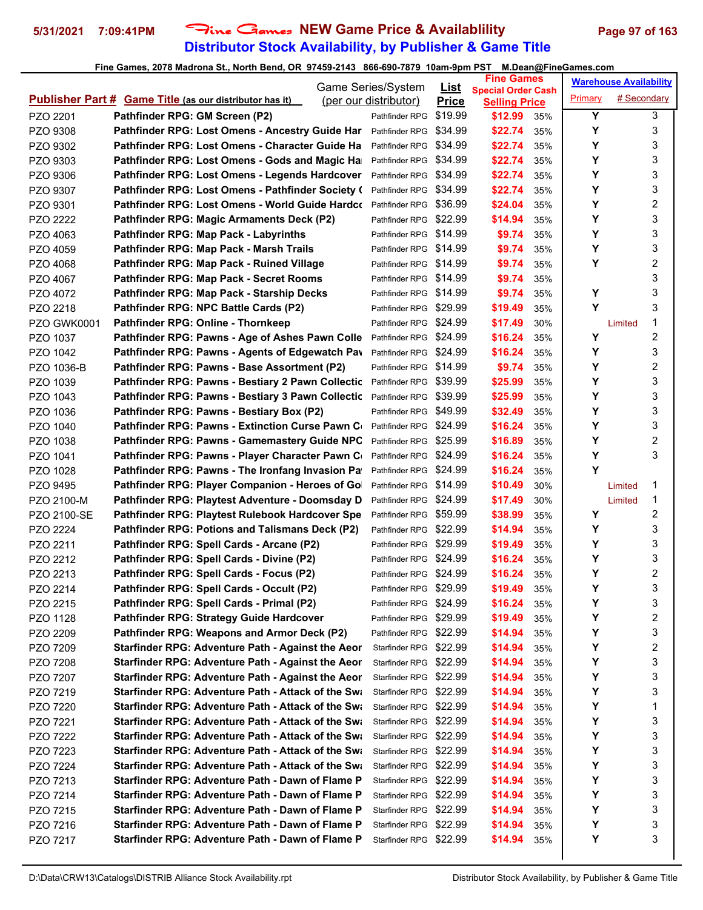# **Distributor Stock Availability, by Publisher & Game Title** 5/31/2021 7:09:41PM Fine Games NEW Game Price & Availablility Page 97 of 163

|                    |                                                                | Game Series/System     |                             | <b>Fine Games</b>                                 |     |         | <b>Warehouse Availability</b> |   |
|--------------------|----------------------------------------------------------------|------------------------|-----------------------------|---------------------------------------------------|-----|---------|-------------------------------|---|
|                    | <b>Publisher Part # Game Title (as our distributor has it)</b> | (per our distributor)  | <u>List</u><br><b>Price</b> | <b>Special Order Cash</b><br><b>Selling Price</b> |     | Primary | # Secondary                   |   |
| PZO 2201           | Pathfinder RPG: GM Screen (P2)                                 | Pathfinder RPG         | \$19.99                     | \$12.99                                           | 35% | Υ       |                               | 3 |
| PZO 9308           | Pathfinder RPG: Lost Omens - Ancestry Guide Har                | Pathfinder RPG         | \$34.99                     | \$22.74                                           | 35% | Υ       |                               | 3 |
| PZO 9302           | Pathfinder RPG: Lost Omens - Character Guide Ha                | Pathfinder RPG         | \$34.99                     | \$22.74                                           | 35% | Υ       |                               | 3 |
| PZO 9303           | Pathfinder RPG: Lost Omens - Gods and Magic Ha                 | Pathfinder RPG         | \$34.99                     | \$22.74                                           | 35% | Υ       |                               | 3 |
| PZO 9306           | Pathfinder RPG: Lost Omens - Legends Hardcover                 | Pathfinder RPG         | \$34.99                     | \$22.74                                           | 35% | Υ       |                               | 3 |
| PZO 9307           | Pathfinder RPG: Lost Omens - Pathfinder Society (              | Pathfinder RPG         | \$34.99                     | \$22.74                                           | 35% | Υ       |                               | 3 |
| PZO 9301           | Pathfinder RPG: Lost Omens - World Guide Hardco                | Pathfinder RPG         | \$36.99                     | \$24.04                                           | 35% | Υ       |                               | 2 |
| PZO 2222           | Pathfinder RPG: Magic Armaments Deck (P2)                      | Pathfinder RPG \$22.99 |                             | \$14.94                                           | 35% | Υ       |                               | 3 |
| PZO 4063           | <b>Pathfinder RPG: Map Pack - Labyrinths</b>                   | Pathfinder RPG \$14.99 |                             | \$9.74                                            | 35% | Υ       |                               | 3 |
| PZO 4059           | Pathfinder RPG: Map Pack - Marsh Trails                        | Pathfinder RPG \$14.99 |                             | \$9.74                                            | 35% | Υ       |                               | 3 |
| PZO 4068           | Pathfinder RPG: Map Pack - Ruined Village                      | Pathfinder RPG \$14.99 |                             | \$9.74                                            | 35% | Υ       |                               | 2 |
| PZO 4067           | Pathfinder RPG: Map Pack - Secret Rooms                        | Pathfinder RPG \$14.99 |                             | \$9.74                                            | 35% |         |                               | 3 |
| PZO 4072           | Pathfinder RPG: Map Pack - Starship Decks                      | Pathfinder RPG \$14.99 |                             | \$9.74                                            | 35% | Υ       |                               | 3 |
| PZO 2218           | Pathfinder RPG: NPC Battle Cards (P2)                          | Pathfinder RPG \$29.99 |                             | \$19.49                                           | 35% | Y       |                               | 3 |
| <b>PZO GWK0001</b> | Pathfinder RPG: Online - Thornkeep                             | Pathfinder RPG \$24.99 |                             | \$17.49                                           | 30% |         | Limited                       | 1 |
| PZO 1037           | Pathfinder RPG: Pawns - Age of Ashes Pawn Colle                | Pathfinder RPG \$24.99 |                             | \$16.24                                           | 35% | Υ       |                               | 2 |
| PZO 1042           | Pathfinder RPG: Pawns - Agents of Edgewatch Pav                | Pathfinder RPG \$24.99 |                             | \$16.24                                           | 35% | Υ       |                               | 3 |
| PZO 1036-B         | Pathfinder RPG: Pawns - Base Assortment (P2)                   | Pathfinder RPG \$14.99 |                             | \$9.74                                            | 35% | Υ       |                               | 2 |
| PZO 1039           | Pathfinder RPG: Pawns - Bestiary 2 Pawn Collectic              | Pathfinder RPG         | \$39.99                     | \$25.99                                           | 35% | Υ       |                               | 3 |
| PZO 1043           | Pathfinder RPG: Pawns - Bestiary 3 Pawn Collectic              | Pathfinder RPG \$39.99 |                             | \$25.99                                           | 35% | Y       |                               | 3 |
| PZO 1036           | Pathfinder RPG: Pawns - Bestiary Box (P2)                      | Pathfinder RPG \$49.99 |                             | \$32.49                                           | 35% | Υ       |                               | 3 |
| PZO 1040           | <b>Pathfinder RPG: Pawns - Extinction Curse Pawn Compation</b> | Pathfinder RPG \$24.99 |                             | \$16.24                                           | 35% | Υ       |                               | 3 |
| PZO 1038           | Pathfinder RPG: Pawns - Gamemastery Guide NPC                  | Pathfinder RPG \$25.99 |                             | \$16.89                                           | 35% | Υ       |                               | 2 |
| PZO 1041           | Pathfinder RPG: Pawns - Player Character Pawn C                | Pathfinder RPG         | \$24.99                     | \$16.24                                           | 35% | Υ       |                               | 3 |
| PZO 1028           | Pathfinder RPG: Pawns - The Ironfang Invasion Pa               | Pathfinder RPG         | \$24.99                     | \$16.24                                           | 35% | Υ       |                               |   |
| PZO 9495           | Pathfinder RPG: Player Companion - Heroes of Go                | Pathfinder RPG         | \$14.99                     | \$10.49                                           | 30% |         | Limited                       | 1 |
| PZO 2100-M         | Pathfinder RPG: Playtest Adventure - Doomsday D                | Pathfinder RPG         | \$24.99                     | \$17.49                                           | 30% |         | Limited                       | 1 |
| PZO 2100-SE        | Pathfinder RPG: Playtest Rulebook Hardcover Spe                | Pathfinder RPG         | \$59.99                     | \$38.99                                           | 35% | Υ       |                               | 2 |
| PZO 2224           | Pathfinder RPG: Potions and Talismans Deck (P2)                | Pathfinder RPG \$22.99 |                             | \$14.94                                           | 35% | Υ       |                               | 3 |
| PZO 2211           | Pathfinder RPG: Spell Cards - Arcane (P2)                      | Pathfinder RPG \$29.99 |                             | \$19.49                                           | 35% | Υ       |                               | 3 |
| PZO 2212           | Pathfinder RPG: Spell Cards - Divine (P2)                      | Pathfinder RPG \$24.99 |                             | \$16.24                                           | 35% | Υ       |                               | 3 |
| PZO 2213           | Pathfinder RPG: Spell Cards - Focus (P2)                       | Pathfinder RPG \$24.99 |                             | \$16.24                                           | 35% | Υ       |                               | 2 |
| PZO 2214           | Pathfinder RPG: Spell Cards - Occult (P2)                      | Pathfinder RPG \$29.99 |                             | \$19.49                                           | 35% | Υ       |                               | 3 |
| PZO 2215           | Pathfinder RPG: Spell Cards - Primal (P2)                      | Pathfinder RPG \$24.99 |                             | \$16.24                                           | 35% | Υ       |                               | 3 |
| PZO 1128           | Pathfinder RPG: Strategy Guide Hardcover                       | Pathfinder RPG \$29.99 |                             | \$19.49                                           | 35% | Υ       |                               | 2 |
| PZO 2209           | Pathfinder RPG: Weapons and Armor Deck (P2)                    | Pathfinder RPG \$22.99 |                             | \$14.94                                           | 35% | Υ       |                               | 3 |
| PZO 7209           | Starfinder RPG: Adventure Path - Against the Aeor              | Starfinder RPG \$22.99 |                             | \$14.94                                           | 35% | Υ       |                               | 2 |
| PZO 7208           | Starfinder RPG: Adventure Path - Against the Aeor              | Starfinder RPG \$22.99 |                             | \$14.94                                           | 35% | Υ       |                               | 3 |
| PZO 7207           | Starfinder RPG: Adventure Path - Against the Aeor              | Starfinder RPG \$22.99 |                             | \$14.94                                           | 35% | Y       |                               | 3 |
| PZO 7219           | Starfinder RPG: Adventure Path - Attack of the Swa             | Starfinder RPG \$22.99 |                             | \$14.94                                           | 35% | Υ       |                               | 3 |
| PZO 7220           | Starfinder RPG: Adventure Path - Attack of the Swi             | Starfinder RPG         | \$22.99                     | \$14.94                                           | 35% | Υ       |                               | 1 |
| PZO 7221           | Starfinder RPG: Adventure Path - Attack of the Swi             | Starfinder RPG \$22.99 |                             | \$14.94                                           | 35% | Υ       |                               | 3 |
| PZO 7222           | Starfinder RPG: Adventure Path - Attack of the Swi             | Starfinder RPG \$22.99 |                             | \$14.94                                           | 35% | Υ       |                               | 3 |
| PZO 7223           | Starfinder RPG: Adventure Path - Attack of the Swi             | Starfinder RPG \$22.99 |                             | \$14.94                                           | 35% | Υ       |                               | 3 |
| PZO 7224           | Starfinder RPG: Adventure Path - Attack of the Swa             | Starfinder RPG \$22.99 |                             | \$14.94                                           | 35% | Υ       |                               | 3 |
| PZO 7213           | Starfinder RPG: Adventure Path - Dawn of Flame P               | Starfinder RPG \$22.99 |                             | \$14.94                                           | 35% | Y       |                               | 3 |
| PZO 7214           | Starfinder RPG: Adventure Path - Dawn of Flame P               | Starfinder RPG         | \$22.99                     | \$14.94                                           | 35% | Υ       |                               | 3 |
| PZO 7215           | Starfinder RPG: Adventure Path - Dawn of Flame P               | Starfinder RPG \$22.99 |                             | \$14.94                                           | 35% | Υ       |                               | 3 |
| PZO 7216           | Starfinder RPG: Adventure Path - Dawn of Flame P               | Starfinder RPG \$22.99 |                             | \$14.94                                           | 35% | Υ       |                               | 3 |
| PZO 7217           | Starfinder RPG: Adventure Path - Dawn of Flame P               | Starfinder RPG \$22.99 |                             | \$14.94                                           | 35% | Υ       |                               | 3 |
|                    |                                                                |                        |                             |                                                   |     |         |                               |   |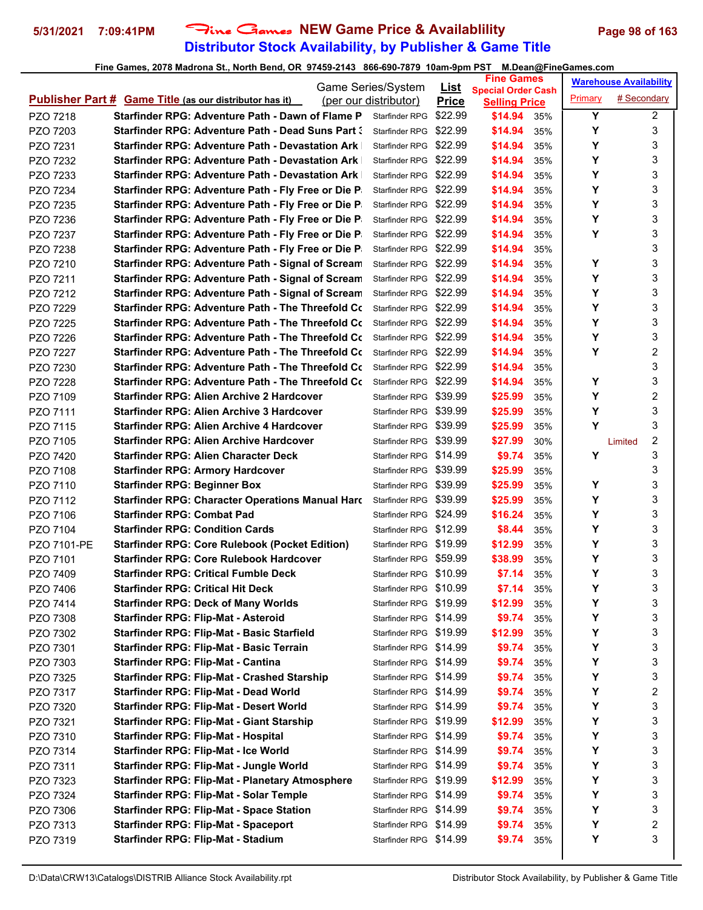# **Distributor Stock Availability, by Publisher & Game Title** 5/31/2021 7:09:41PM Fine Games NEW Game Price & Availablility Page 98 of 163

|             |                                                                | Game Series/System     |                             | <b>Fine Games</b>                                 |     |         | <b>Warehouse Availability</b> |   |
|-------------|----------------------------------------------------------------|------------------------|-----------------------------|---------------------------------------------------|-----|---------|-------------------------------|---|
|             | <b>Publisher Part # Game Title (as our distributor has it)</b> | (per our distributor)  | <u>List</u><br><b>Price</b> | <b>Special Order Cash</b><br><b>Selling Price</b> |     | Primary | # Secondary                   |   |
| PZO 7218    | Starfinder RPG: Adventure Path - Dawn of Flame P               | Starfinder RPG         | \$22.99                     | \$14.94                                           | 35% | Y       |                               | 2 |
| PZO 7203    | Starfinder RPG: Adventure Path - Dead Suns Part :              | Starfinder RPG         | \$22.99                     | \$14.94                                           | 35% | Y       |                               | 3 |
| PZO 7231    | <b>Starfinder RPG: Adventure Path - Devastation Ark</b>        | Starfinder RPG \$22.99 |                             | \$14.94                                           | 35% | Y       |                               | 3 |
| PZO 7232    | <b>Starfinder RPG: Adventure Path - Devastation Ark</b>        | Starfinder RPG \$22.99 |                             | \$14.94                                           | 35% | Y       |                               | 3 |
| PZO 7233    | <b>Starfinder RPG: Adventure Path - Devastation Ark</b>        | Starfinder RPG         | \$22.99                     | \$14.94                                           | 35% | Υ       |                               | 3 |
| PZO 7234    | Starfinder RPG: Adventure Path - Fly Free or Die P.            | Starfinder RPG \$22.99 |                             | \$14.94                                           | 35% | Y       |                               | 3 |
| PZO 7235    | Starfinder RPG: Adventure Path - Fly Free or Die P             | Starfinder RPG \$22.99 |                             | \$14.94                                           | 35% | Y       |                               | 3 |
| PZO 7236    | Starfinder RPG: Adventure Path - Fly Free or Die P.            | Starfinder RPG \$22.99 |                             | \$14.94                                           | 35% | Υ       |                               | 3 |
| PZO 7237    | Starfinder RPG: Adventure Path - Fly Free or Die P.            | Starfinder RPG \$22.99 |                             | \$14.94                                           | 35% | Y       |                               | 3 |
| PZO 7238    | Starfinder RPG: Adventure Path - Fly Free or Die P.            | Starfinder RPG \$22.99 |                             | \$14.94                                           | 35% |         |                               | 3 |
| PZO 7210    | Starfinder RPG: Adventure Path - Signal of Scream              | Starfinder RPG \$22.99 |                             | \$14.94                                           | 35% | Υ       |                               | 3 |
| PZO 7211    | Starfinder RPG: Adventure Path - Signal of Scream              | Starfinder RPG         | \$22.99                     | \$14.94                                           | 35% | Υ       |                               | 3 |
| PZO 7212    | Starfinder RPG: Adventure Path - Signal of Scream              | Starfinder RPG \$22.99 |                             | \$14.94                                           | 35% | Y       |                               | 3 |
| PZO 7229    | Starfinder RPG: Adventure Path - The Threefold C $\mathsf c$   | Starfinder RPG         | \$22.99                     | \$14.94                                           | 35% | Y       |                               | 3 |
| PZO 7225    | Starfinder RPG: Adventure Path - The Threefold C $\mathsf c$   | Starfinder RPG         | \$22.99                     | \$14.94                                           | 35% | Y       |                               | 3 |
| PZO 7226    | Starfinder RPG: Adventure Path - The Threefold Co              | Starfinder RPG         | \$22.99                     | \$14.94                                           | 35% | Υ       |                               | 3 |
| PZO 7227    | Starfinder RPG: Adventure Path - The Threefold C $\epsilon$    | Starfinder RPG         | \$22.99                     | \$14.94                                           | 35% | Y       |                               | 2 |
| PZO 7230    | Starfinder RPG: Adventure Path - The Threefold Co              | <b>Starfinder RPG</b>  | \$22.99                     | \$14.94                                           | 35% |         |                               | 3 |
| PZO 7228    | <b>Starfinder RPG: Adventure Path - The Threefold Co.</b>      | Starfinder RPG         | \$22.99                     | \$14.94                                           | 35% | Υ       |                               | 3 |
| PZO 7109    | <b>Starfinder RPG: Alien Archive 2 Hardcover</b>               | Starfinder RPG \$39.99 |                             | \$25.99                                           | 35% | Υ       |                               | 2 |
| PZO 7111    | <b>Starfinder RPG: Alien Archive 3 Hardcover</b>               | Starfinder RPG \$39.99 |                             | \$25.99                                           | 35% | Υ       |                               | 3 |
| PZO 7115    | Starfinder RPG: Alien Archive 4 Hardcover                      | Starfinder RPG \$39.99 |                             | \$25.99                                           | 35% | Y       |                               | 3 |
| PZO 7105    | Starfinder RPG: Alien Archive Hardcover                        | Starfinder RPG \$39.99 |                             | \$27.99                                           | 30% |         | Limited                       | 2 |
| PZO 7420    | Starfinder RPG: Alien Character Deck                           | Starfinder RPG \$14.99 |                             | \$9.74                                            | 35% | Y       |                               | 3 |
| PZO 7108    | <b>Starfinder RPG: Armory Hardcover</b>                        | Starfinder RPG \$39.99 |                             | \$25.99                                           | 35% |         |                               | 3 |
| PZO 7110    | <b>Starfinder RPG: Beginner Box</b>                            | Starfinder RPG \$39.99 |                             | \$25.99                                           | 35% | Y       |                               | 3 |
| PZO 7112    | <b>Starfinder RPG: Character Operations Manual Hard</b>        | Starfinder RPG \$39.99 |                             | \$25.99                                           | 35% | Y       |                               | 3 |
| PZO 7106    | <b>Starfinder RPG: Combat Pad</b>                              | Starfinder RPG \$24.99 |                             | \$16.24                                           | 35% | Υ       |                               | 3 |
| PZO 7104    | <b>Starfinder RPG: Condition Cards</b>                         | Starfinder RPG \$12.99 |                             | \$8.44                                            | 35% | Υ       |                               | 3 |
| PZO 7101-PE | <b>Starfinder RPG: Core Rulebook (Pocket Edition)</b>          | Starfinder RPG \$19.99 |                             | \$12.99                                           | 35% | Y       |                               | 3 |
| PZO 7101    | <b>Starfinder RPG: Core Rulebook Hardcover</b>                 | Starfinder RPG \$59.99 |                             | \$38.99                                           | 35% | Υ       |                               | 3 |
| PZO 7409    | <b>Starfinder RPG: Critical Fumble Deck</b>                    | Starfinder RPG \$10.99 |                             | \$7.14                                            | 35% | Υ       |                               | 3 |
| PZO 7406    | <b>Starfinder RPG: Critical Hit Deck</b>                       | Starfinder RPG \$10.99 |                             | \$7.14                                            | 35% | Υ       |                               | 3 |
| PZO 7414    | <b>Starfinder RPG: Deck of Many Worlds</b>                     | Starfinder RPG \$19.99 |                             | \$12.99                                           | 35% | Υ       |                               | 3 |
| PZO 7308    | <b>Starfinder RPG: Flip-Mat - Asteroid</b>                     | Starfinder RPG \$14.99 |                             | \$9.74                                            | 35% | Υ       |                               | 3 |
| PZO 7302    | Starfinder RPG: Flip-Mat - Basic Starfield                     | Starfinder RPG \$19.99 |                             | \$12.99                                           | 35% | Υ       |                               | 3 |
| PZO 7301    | Starfinder RPG: Flip-Mat - Basic Terrain                       | Starfinder RPG \$14.99 |                             | \$9.74                                            | 35% | Υ       |                               | 3 |
| PZO 7303    | <b>Starfinder RPG: Flip-Mat - Cantina</b>                      | Starfinder RPG \$14.99 |                             | \$9.74                                            | 35% | Υ       |                               | 3 |
| PZO 7325    | <b>Starfinder RPG: Flip-Mat - Crashed Starship</b>             | Starfinder RPG \$14.99 |                             | \$9.74                                            | 35% | Υ       |                               | 3 |
| PZO 7317    | Starfinder RPG: Flip-Mat - Dead World                          | Starfinder RPG \$14.99 |                             | \$9.74                                            | 35% | Υ       |                               | 2 |
| PZO 7320    | <b>Starfinder RPG: Flip-Mat - Desert World</b>                 | Starfinder RPG \$14.99 |                             | \$9.74                                            | 35% | Υ       |                               | 3 |
| PZO 7321    | <b>Starfinder RPG: Flip-Mat - Giant Starship</b>               | Starfinder RPG \$19.99 |                             | \$12.99                                           | 35% | Υ       |                               | 3 |
| PZO 7310    | Starfinder RPG: Flip-Mat - Hospital                            | Starfinder RPG \$14.99 |                             | \$9.74                                            | 35% | Υ       |                               | 3 |
| PZO 7314    | Starfinder RPG: Flip-Mat - Ice World                           | Starfinder RPG \$14.99 |                             | \$9.74                                            | 35% | Υ       |                               | 3 |
| PZO 7311    | Starfinder RPG: Flip-Mat - Jungle World                        | Starfinder RPG \$14.99 |                             | \$9.74                                            | 35% | Υ       |                               | 3 |
| PZO 7323    | <b>Starfinder RPG: Flip-Mat - Planetary Atmosphere</b>         | Starfinder RPG \$19.99 |                             | \$12.99                                           | 35% | Υ       |                               | 3 |
| PZO 7324    | <b>Starfinder RPG: Flip-Mat - Solar Temple</b>                 | Starfinder RPG \$14.99 |                             | \$9.74                                            | 35% | Υ       |                               | 3 |
| PZO 7306    | <b>Starfinder RPG: Flip-Mat - Space Station</b>                | Starfinder RPG \$14.99 |                             | \$9.74                                            | 35% | Υ       |                               | 3 |
| PZO 7313    | <b>Starfinder RPG: Flip-Mat - Spaceport</b>                    | Starfinder RPG \$14.99 |                             | \$9.74                                            | 35% | Υ       |                               | 2 |
| PZO 7319    | Starfinder RPG: Flip-Mat - Stadium                             | Starfinder RPG \$14.99 |                             | \$9.74                                            | 35% | Υ       |                               | 3 |
|             |                                                                |                        |                             |                                                   |     |         |                               |   |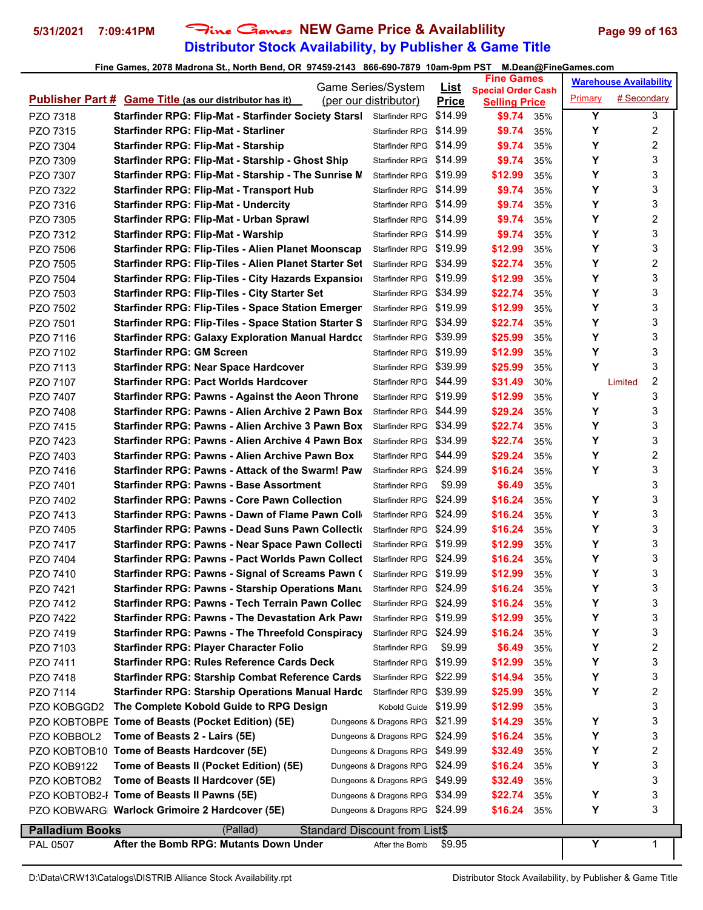# **Distributor Stock Availability, by Publisher & Game Title** 5/31/2021 7:09:41PM Fine Games NEW Game Price & Availablility Page 99 of 163

|                        |                                                                         | Game Series/System             | <u>List</u>  | <b>Fine Games</b>                                 |            |                | <b>Warehouse Availability</b> |                         |
|------------------------|-------------------------------------------------------------------------|--------------------------------|--------------|---------------------------------------------------|------------|----------------|-------------------------------|-------------------------|
|                        | <b>Publisher Part # Game Title (as our distributor has it)</b>          | (per our distributor)          | <b>Price</b> | <b>Special Order Cash</b><br><b>Selling Price</b> |            | <b>Primary</b> | # Secondary                   |                         |
| PZO 7318               | Starfinder RPG: Flip-Mat - Starfinder Society Starsl                    | Starfinder RPG                 | \$14.99      | \$9.74                                            | 35%        | Y              |                               | 3                       |
| PZO 7315               | <b>Starfinder RPG: Flip-Mat - Starliner</b>                             | Starfinder RPG \$14.99         |              | \$9.74                                            | 35%        | Υ              |                               | $\overline{c}$          |
| PZO 7304               | Starfinder RPG: Flip-Mat - Starship                                     | Starfinder RPG \$14.99         |              | \$9.74                                            | 35%        | Y              |                               | $\overline{c}$          |
| PZO 7309               | Starfinder RPG: Flip-Mat - Starship - Ghost Ship                        | Starfinder RPG \$14.99         |              | \$9.74                                            | 35%        | Y              |                               | 3                       |
| PZO 7307               | Starfinder RPG: Flip-Mat - Starship - The Sunrise N                     | Starfinder RPG \$19.99         |              | \$12.99                                           | 35%        | Υ              |                               | 3                       |
| PZO 7322               | <b>Starfinder RPG: Flip-Mat - Transport Hub</b>                         | Starfinder RPG \$14.99         |              | \$9.74                                            | 35%        | Y              |                               | 3                       |
| PZO 7316               | <b>Starfinder RPG: Flip-Mat - Undercity</b>                             | Starfinder RPG \$14.99         |              | \$9.74                                            | 35%        | Υ              |                               | 3                       |
| PZO 7305               | Starfinder RPG: Flip-Mat - Urban Sprawl                                 | Starfinder RPG \$14.99         |              | \$9.74                                            | 35%        | Υ              |                               | $\overline{c}$          |
| PZO 7312               | <b>Starfinder RPG: Flip-Mat - Warship</b>                               | Starfinder RPG \$14.99         |              | \$9.74                                            | 35%        | Y              |                               | 3                       |
| PZO 7506               | <b>Starfinder RPG: Flip-Tiles - Alien Planet Moonscap</b>               | Starfinder RPG \$19.99         |              | \$12.99                                           | 35%        | Υ              |                               | 3                       |
| PZO 7505               | Starfinder RPG: Flip-Tiles - Alien Planet Starter Set                   | Starfinder RPG \$34.99         |              | \$22.74                                           | 35%        | Υ              |                               | $\overline{c}$          |
| PZO 7504               | Starfinder RPG: Flip-Tiles - City Hazards Expansion                     | Starfinder RPG \$19.99         |              | \$12.99                                           | 35%        | Y              |                               | 3                       |
| PZO 7503               | <b>Starfinder RPG: Flip-Tiles - City Starter Set</b>                    | Starfinder RPG \$34.99         |              | \$22.74                                           | 35%        | Υ              |                               | 3                       |
| PZO 7502               | <b>Starfinder RPG: Flip-Tiles - Space Station Emerger</b>               | Starfinder RPG \$19.99         |              | \$12.99                                           | 35%        | Υ              |                               | 3                       |
| PZO 7501               | <b>Starfinder RPG: Flip-Tiles - Space Station Starter S</b>             | Starfinder RPG \$34.99         |              | \$22.74                                           | 35%        | Υ              |                               | 3                       |
| PZO 7116               | <b>Starfinder RPG: Galaxy Exploration Manual Hardco</b>                 | Starfinder RPG \$39.99         |              | \$25.99                                           | 35%        | Y              |                               | 3                       |
| PZO 7102               | <b>Starfinder RPG: GM Screen</b>                                        | Starfinder RPG \$19.99         |              | \$12.99                                           | 35%        | Y              |                               | 3                       |
| PZO 7113               | <b>Starfinder RPG: Near Space Hardcover</b>                             | Starfinder RPG \$39.99         |              | \$25.99                                           | 35%        | Y              |                               | 3                       |
| PZO 7107               | <b>Starfinder RPG: Pact Worlds Hardcover</b>                            | Starfinder RPG \$44.99         |              | \$31.49                                           | 30%        |                | Limited                       | 2                       |
| PZO 7407               | <b>Starfinder RPG: Pawns - Against the Aeon Throne</b>                  | Starfinder RPG \$19.99         |              | \$12.99                                           | 35%        | Υ              |                               | 3                       |
| PZO 7408               | Starfinder RPG: Pawns - Alien Archive 2 Pawn Box                        | Starfinder RPG \$44.99         |              | \$29.24                                           | 35%        | Υ              |                               | 3                       |
| PZO 7415               | Starfinder RPG: Pawns - Alien Archive 3 Pawn Box                        | Starfinder RPG \$34.99         |              | \$22.74                                           | 35%        | Υ              |                               | 3                       |
| PZO 7423               | Starfinder RPG: Pawns - Alien Archive 4 Pawn Box                        | Starfinder RPG \$34.99         |              | \$22.74                                           | 35%        | Υ              |                               | 3                       |
| PZO 7403               | <b>Starfinder RPG: Pawns - Alien Archive Pawn Box</b>                   | Starfinder RPG \$44.99         |              | \$29.24                                           | 35%        | Υ              |                               | $\overline{c}$          |
| PZO 7416               | Starfinder RPG: Pawns - Attack of the Swarm! Paw                        | Starfinder RPG \$24.99         |              | \$16.24                                           | 35%        | Υ              |                               | 3                       |
| PZO 7401               | <b>Starfinder RPG: Pawns - Base Assortment</b>                          | Starfinder RPG                 | \$9.99       | \$6.49                                            | 35%        |                |                               | 3                       |
| PZO 7402               | <b>Starfinder RPG: Pawns - Core Pawn Collection</b>                     | Starfinder RPG                 | \$24.99      | \$16.24                                           | 35%        | Υ              |                               | 3                       |
| PZO 7413               | Starfinder RPG: Pawns - Dawn of Flame Pawn Coll                         | Starfinder RPG \$24.99         |              | \$16.24                                           | 35%        | Υ              |                               | 3                       |
| PZO 7405               | Starfinder RPG: Pawns - Dead Suns Pawn Collection                       | Starfinder RPG \$24.99         |              | \$16.24                                           | 35%        | Υ              |                               | 3                       |
| PZO 7417               | Starfinder RPG: Pawns - Near Space Pawn Collecti                        | Starfinder RPG \$19.99         |              | \$12.99                                           | 35%        | Y              |                               | 3                       |
| PZO 7404               | Starfinder RPG: Pawns - Pact Worlds Pawn Collect                        | Starfinder RPG \$24.99         |              | \$16.24                                           | 35%        | Υ              |                               | 3                       |
| PZO 7410               | Starfinder RPG: Pawns - Signal of Screams Pawn (                        | Starfinder RPG \$19.99         |              | \$12.99                                           | 35%        | Y              |                               | 3                       |
| PZO 7421               | Starfinder RPG: Pawns - Starship Operations Mant Starfinder RPG \$24.99 |                                |              | \$16.24                                           | 35%        | Y              |                               | 3                       |
| PZO 7412               | Starfinder RPG: Pawns - Tech Terrain Pawn Collec                        | Starfinder RPG \$24.99         |              | \$16.24                                           | 35%        | Υ              |                               | 3                       |
| PZO 7422               | <b>Starfinder RPG: Pawns - The Devastation Ark Pawr</b>                 | Starfinder RPG \$19.99         |              | \$12.99                                           | 35%        | Υ              |                               | 3                       |
| PZO 7419               | <b>Starfinder RPG: Pawns - The Threefold Conspiracy</b>                 | Starfinder RPG \$24.99         |              | \$16.24                                           | 35%        | Υ              |                               | 3                       |
|                        | <b>Starfinder RPG: Player Character Folio</b>                           | Starfinder RPG                 | \$9.99       | \$6.49                                            | 35%        | Υ              |                               | $\overline{\mathbf{c}}$ |
| PZO 7103<br>PZO 7411   | <b>Starfinder RPG: Rules Reference Cards Deck</b>                       | Starfinder RPG \$19.99         |              | \$12.99                                           | 35%        | Υ              |                               | 3                       |
| PZO 7418               | <b>Starfinder RPG: Starship Combat Reference Cards</b>                  | Starfinder RPG \$22.99         |              | \$14.94                                           | 35%        | Υ              |                               | 3                       |
| PZO 7114               | <b>Starfinder RPG: Starship Operations Manual Hardc</b>                 | Starfinder RPG                 | \$39.99      | \$25.99                                           | 35%        | Υ              |                               | 2                       |
| PZO KOBGGD2            | The Complete Kobold Guide to RPG Design                                 | Kobold Guide \$19.99           |              | \$12.99                                           | 35%        |                |                               | 3                       |
|                        | PZO KOBTOBPE Tome of Beasts (Pocket Edition) (5E)                       | Dungeons & Dragons RPG \$21.99 |              | \$14.29                                           | 35%        | Υ              |                               | 3                       |
|                        | Tome of Beasts 2 - Lairs (5E)                                           | Dungeons & Dragons RPG         | \$24.99      |                                                   |            | Υ              |                               | 3                       |
| PZO KOBBOL2            | PZO KOBTOB10 Tome of Beasts Hardcover (5E)                              | Dungeons & Dragons RPG         | \$49.99      | \$16.24<br>\$32.49                                | 35%<br>35% | Υ              |                               | 2                       |
|                        | Tome of Beasts II (Pocket Edition) (5E)                                 | Dungeons & Dragons RPG         | \$24.99      | \$16.24                                           | 35%        | Υ              |                               | 3                       |
| <b>PZO KOB9122</b>     | Tome of Beasts II Hardcover (5E)                                        | Dungeons & Dragons RPG         | \$49.99      | \$32.49                                           |            |                |                               | 3                       |
| PZO KOBTOB2            | PZO KOBTOB2-I Tome of Beasts II Pawns (5E)                              | Dungeons & Dragons RPG         | \$34.99      | \$22.74                                           | 35%        | Υ              |                               | 3                       |
|                        | PZO KOBWARG Warlock Grimoire 2 Hardcover (5E)                           | Dungeons & Dragons RPG         | \$24.99      | \$16.24                                           | 35%<br>35% | Υ              |                               | 3                       |
|                        |                                                                         |                                |              |                                                   |            |                |                               |                         |
| <b>Palladium Books</b> | (Pallad)                                                                | Standard Discount from List\$  |              |                                                   |            |                |                               |                         |
| PAL 0507               | After the Bomb RPG: Mutants Down Under                                  | After the Bomb                 | \$9.95       |                                                   |            | Υ              |                               | 1                       |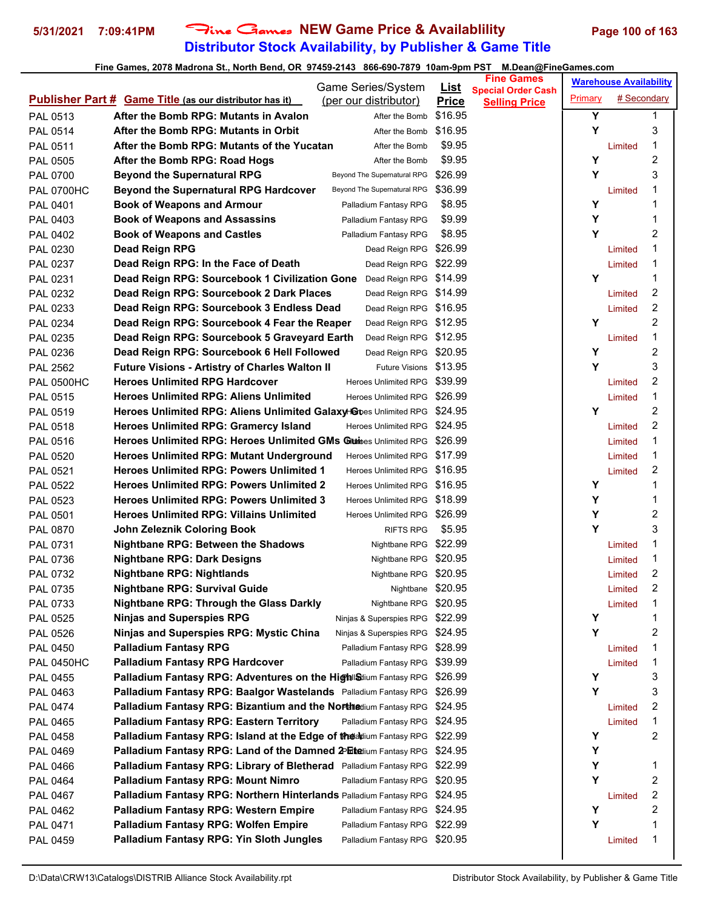# **Distributor Stock Availability, by Publisher & Game Title 5/31/2021 7:09:41PM** Fine Games **NEW Game Price & Availablility Page 100 of 163**

|                   |                                                                          | Game Series/System            | <u>List</u>  | <b>Fine Games</b>                                 |         | <b>Warehouse Availability</b> |                |
|-------------------|--------------------------------------------------------------------------|-------------------------------|--------------|---------------------------------------------------|---------|-------------------------------|----------------|
|                   | <b>Publisher Part # Game Title (as our distributor has it)</b>           | (per our distributor)         | <b>Price</b> | <b>Special Order Cash</b><br><b>Selling Price</b> | Primary | # Secondary                   |                |
| PAL 0513          | After the Bomb RPG: Mutants in Avalon                                    | After the Bomb                | \$16.95      |                                                   | Y       |                               | 1              |
| PAL 0514          | After the Bomb RPG: Mutants in Orbit                                     | After the Bomb                | \$16.95      |                                                   | Υ       |                               | 3              |
| PAL 0511          | After the Bomb RPG: Mutants of the Yucatan                               | After the Bomb                | \$9.95       |                                                   |         | Limited                       | 1              |
| PAL 0505          | After the Bomb RPG: Road Hogs                                            | After the Bomb                | \$9.95       |                                                   | Υ       |                               | 2              |
| PAL 0700          | <b>Beyond the Supernatural RPG</b>                                       | Beyond The Supernatural RPG   | \$26.99      |                                                   | Υ       |                               | 3              |
| <b>PAL 0700HC</b> | <b>Beyond the Supernatural RPG Hardcover</b>                             | Beyond The Supernatural RPG   | \$36.99      |                                                   |         | Limited                       | 1              |
| PAL 0401          | <b>Book of Weapons and Armour</b>                                        | Palladium Fantasy RPG         | \$8.95       |                                                   | Υ       |                               | 1              |
| PAL 0403          | <b>Book of Weapons and Assassins</b>                                     | Palladium Fantasy RPG         | \$9.99       |                                                   | Υ       |                               | 1              |
| PAL 0402          | <b>Book of Weapons and Castles</b>                                       | Palladium Fantasy RPG         | \$8.95       |                                                   | Υ       |                               | 2              |
| PAL 0230          | Dead Reign RPG                                                           | Dead Reign RPG \$26.99        |              |                                                   |         | Limited                       | 1              |
| PAL 0237          | Dead Reign RPG: In the Face of Death                                     | Dead Reign RPG \$22.99        |              |                                                   |         | Limited                       | 1              |
| PAL 0231          | Dead Reign RPG: Sourcebook 1 Civilization Gone                           | Dead Reign RPG                | \$14.99      |                                                   | Υ       |                               | 1              |
| PAL 0232          | Dead Reign RPG: Sourcebook 2 Dark Places                                 | Dead Reign RPG \$14.99        |              |                                                   |         | Limited                       | 2              |
| PAL 0233          | Dead Reign RPG: Sourcebook 3 Endless Dead                                | Dead Reign RPG \$16.95        |              |                                                   |         | Limited                       | 2              |
| PAL 0234          | Dead Reign RPG: Sourcebook 4 Fear the Reaper                             | Dead Reign RPG \$12.95        |              |                                                   | Υ       |                               | $\overline{c}$ |
| PAL 0235          | Dead Reign RPG: Sourcebook 5 Graveyard Earth                             | Dead Reign RPG \$12.95        |              |                                                   |         | Limited                       | 1              |
| PAL 0236          | Dead Reign RPG: Sourcebook 6 Hell Followed                               | Dead Reign RPG \$20.95        |              |                                                   | Υ       |                               | 2              |
| <b>PAL 2562</b>   | <b>Future Visions - Artistry of Charles Walton II</b>                    | Future Visions \$13.95        |              |                                                   | Υ       |                               | 3              |
| <b>PAL 0500HC</b> | <b>Heroes Unlimited RPG Hardcover</b>                                    | <b>Heroes Unlimited RPG</b>   | \$39.99      |                                                   |         | Limited                       | 2              |
| <b>PAL 0515</b>   | <b>Heroes Unlimited RPG: Aliens Unlimited</b>                            | Heroes Unlimited RPG \$26.99  |              |                                                   |         | Limited                       | 1              |
| PAL 0519          | Heroes Unlimited RPG: Aliens Unlimited Galaxy-Goes Unlimited RPG         |                               | \$24.95      |                                                   | Υ       |                               | 2              |
| PAL 0518          | <b>Heroes Unlimited RPG: Gramercy Island</b>                             | <b>Heroes Unlimited RPG</b>   | \$24.95      |                                                   |         | Limited                       | 2              |
| PAL 0516          | Heroes Unlimited RPG: Heroes Unlimited GMs Gitatioes Unlimited RPG       |                               | \$26.99      |                                                   |         | Limited                       | 1              |
| <b>PAL 0520</b>   | <b>Heroes Unlimited RPG: Mutant Underground</b>                          | <b>Heroes Unlimited RPG</b>   | \$17.99      |                                                   |         | Limited                       | 1              |
| PAL 0521          | <b>Heroes Unlimited RPG: Powers Unlimited 1</b>                          | <b>Heroes Unlimited RPG</b>   | \$16.95      |                                                   |         | Limited                       | 2              |
| PAL 0522          | <b>Heroes Unlimited RPG: Powers Unlimited 2</b>                          | <b>Heroes Unlimited RPG</b>   | \$16.95      |                                                   | Y       |                               | 1              |
| PAL 0523          | <b>Heroes Unlimited RPG: Powers Unlimited 3</b>                          | <b>Heroes Unlimited RPG</b>   | \$18.99      |                                                   | Υ       |                               | 1              |
| PAL 0501          | <b>Heroes Unlimited RPG: Villains Unlimited</b>                          | Heroes Unlimited RPG          | \$26.99      |                                                   | Υ       |                               | 2              |
| PAL 0870          | John Zeleznik Coloring Book                                              | <b>RIFTS RPG</b>              | \$5.95       |                                                   | Y       |                               | 3              |
| PAL 0731          | <b>Nightbane RPG: Between the Shadows</b>                                | Nightbane RPG \$22.99         |              |                                                   |         | Limited                       | 1              |
| PAL 0736          | <b>Nightbane RPG: Dark Designs</b>                                       | Nightbane RPG \$20.95         |              |                                                   |         | Limited                       | 1              |
| PAL 0732          | <b>Nightbane RPG: Nightlands</b>                                         | Nightbane RPG \$20.95         |              |                                                   |         | Limited                       | 2              |
| PAL 0735          | <b>Nightbane RPG: Survival Guide</b>                                     | Nightbane \$20.95             |              |                                                   |         | Limited                       | $\overline{2}$ |
| PAL 0733          | <b>Nightbane RPG: Through the Glass Darkly</b>                           | Nightbane RPG \$20.95         |              |                                                   |         | Limited                       | 1              |
| PAL 0525          | <b>Ninjas and Superspies RPG</b>                                         | Ninjas & Superspies RPG       | \$22.99      |                                                   | Y       |                               | 1              |
| <b>PAL 0526</b>   | Ninjas and Superspies RPG: Mystic China                                  | Ninjas & Superspies RPG       | \$24.95      |                                                   | Υ       |                               | 2              |
| PAL 0450          | <b>Palladium Fantasy RPG</b>                                             | Palladium Fantasy RPG \$28.99 |              |                                                   |         | Limited                       | 1              |
| <b>PAL 0450HC</b> | <b>Palladium Fantasy RPG Hardcover</b>                                   | Palladium Fantasy RPG         | \$39.99      |                                                   |         | Limited                       | 1              |
| PAL 0455          | <b>Palladium Fantasy RPG: Adventures on the Highlandium Fantasy RPG</b>  |                               | \$26.99      |                                                   | Y       |                               | 3              |
| PAL 0463          | Palladium Fantasy RPG: Baalgor Wastelands Palladium Fantasy RPG          |                               | \$26.99      |                                                   | Υ       |                               | 3              |
| <b>PAL 0474</b>   | Palladium Fantasy RPG: Bizantium and the Northedium Fantasy RPG          |                               | \$24.95      |                                                   |         | Limited                       | 2              |
| <b>PAL 0465</b>   | <b>Palladium Fantasy RPG: Eastern Territory</b>                          | Palladium Fantasy RPG         | \$24.95      |                                                   |         | Limited                       | 1              |
| PAL 0458          | Palladium Fantasy RPG: Island at the Edge of the addium Fantasy RPG      |                               | \$22.99      |                                                   | Y       |                               | 2              |
| PAL 0469          | Palladium Fantasy RPG: Land of the Damned 2PEtedium Fantasy RPG          |                               | \$24.95      |                                                   | Υ       |                               |                |
| <b>PAL 0466</b>   | Palladium Fantasy RPG: Library of Bletherad Palladium Fantasy RPG        |                               | \$22.99      |                                                   | Υ       |                               | 1              |
| PAL 0464          | <b>Palladium Fantasy RPG: Mount Nimro</b>                                | Palladium Fantasy RPG         | \$20.95      |                                                   | Υ       |                               | 2              |
| PAL 0467          | <b>Palladium Fantasy RPG: Northern Hinterlands Palladium Fantasy RPG</b> |                               | \$24.95      |                                                   |         | Limited                       | 2              |
| PAL 0462          | <b>Palladium Fantasy RPG: Western Empire</b>                             | Palladium Fantasy RPG         | \$24.95      |                                                   | Υ       |                               | 2              |
| <b>PAL 0471</b>   | Palladium Fantasy RPG: Wolfen Empire                                     | Palladium Fantasy RPG         | \$22.99      |                                                   | Υ       |                               | 1              |
| PAL 0459          | Palladium Fantasy RPG: Yin Sloth Jungles                                 | Palladium Fantasy RPG         | \$20.95      |                                                   |         | Limited                       | 1              |
|                   |                                                                          |                               |              |                                                   |         |                               |                |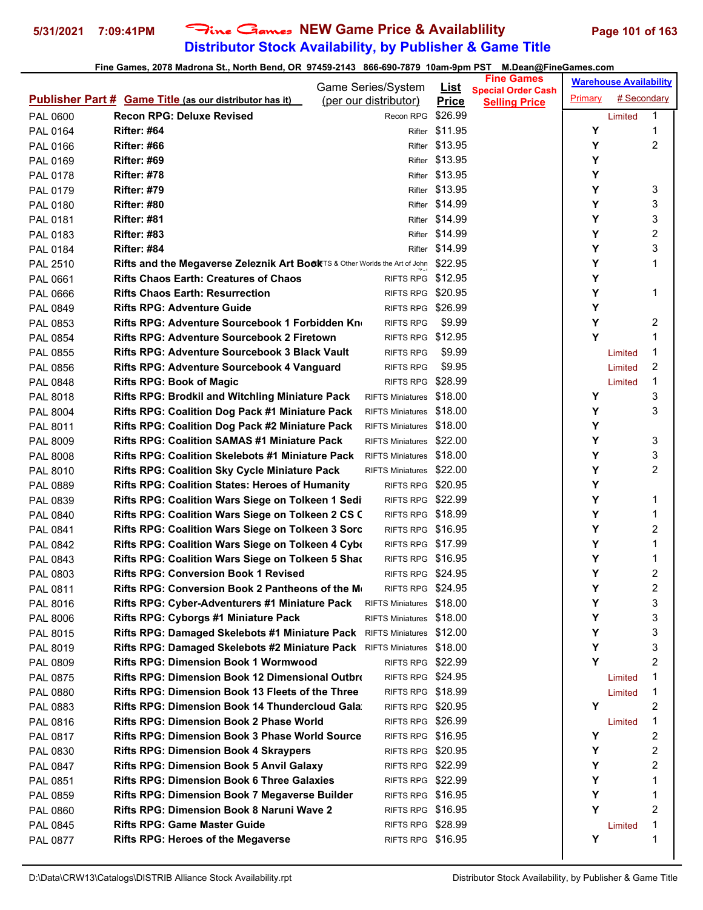# **Distributor Stock Availability, by Publisher & Game Title 5/31/2021 7:09:41PM** Fine Games **NEW Game Price & Availablility Page 101 of 163**

|                 |                                                                                    | Game Series/System       | <u>List</u>    | <b>Fine Games</b>                                 |         | <b>Warehouse Availability</b> |                |
|-----------------|------------------------------------------------------------------------------------|--------------------------|----------------|---------------------------------------------------|---------|-------------------------------|----------------|
|                 | <b>Publisher Part # Game Title (as our distributor has it)</b>                     | (per our distributor)    | <b>Price</b>   | <b>Special Order Cash</b><br><b>Selling Price</b> | Primary | # Secondary                   |                |
| PAL 0600        | <b>Recon RPG: Deluxe Revised</b>                                                   | Recon RPG                | \$26.99        |                                                   |         | Limited                       | 1              |
| PAL 0164        | <b>Rifter: #64</b>                                                                 |                          | Rifter \$11.95 |                                                   | Υ       |                               | 1              |
| PAL 0166        | <b>Rifter: #66</b>                                                                 |                          | Rifter \$13.95 |                                                   | Υ       |                               | $\overline{c}$ |
| PAL 0169        | <b>Rifter: #69</b>                                                                 |                          | Rifter \$13.95 |                                                   | Υ       |                               |                |
| PAL 0178        | <b>Rifter: #78</b>                                                                 |                          | Rifter \$13.95 |                                                   | Υ       |                               |                |
| PAL 0179        | <b>Rifter: #79</b>                                                                 |                          | Rifter \$13.95 |                                                   | Υ       |                               | 3              |
| PAL 0180        | <b>Rifter: #80</b>                                                                 |                          | Rifter \$14.99 |                                                   | Υ       |                               | 3              |
| PAL 0181        | <b>Rifter: #81</b>                                                                 |                          | Rifter \$14.99 |                                                   | Υ       |                               | 3              |
| PAL 0183        | <b>Rifter: #83</b>                                                                 |                          | Rifter \$14.99 |                                                   | Υ       |                               | $\overline{c}$ |
| PAL 0184        | <b>Rifter: #84</b>                                                                 |                          | Rifter \$14.99 |                                                   | Υ       |                               | 3              |
| PAL 2510        | Rifts and the Megaverse Zeleznik Art BookTS & Other Worlds the Art of John \$22.95 |                          |                |                                                   | Υ       |                               | 1              |
| PAL 0661        | <b>Rifts Chaos Earth: Creatures of Chaos</b>                                       | RIFTS RPG \$12.95        |                |                                                   | Υ       |                               |                |
| <b>PAL 0666</b> | <b>Rifts Chaos Earth: Resurrection</b>                                             | RIFTS RPG \$20.95        |                |                                                   | Υ       |                               | 1              |
| PAL 0849        | <b>Rifts RPG: Adventure Guide</b>                                                  | RIFTS RPG \$26.99        |                |                                                   | Υ       |                               |                |
| PAL 0853        | <b>Rifts RPG: Adventure Sourcebook 1 Forbidden Kn</b>                              | <b>RIFTS RPG</b>         | \$9.99         |                                                   | Υ       |                               | 2              |
| PAL 0854        | Rifts RPG: Adventure Sourcebook 2 Firetown                                         | RIFTS RPG \$12.95        |                |                                                   | Y       |                               | 1              |
| PAL 0855        | Rifts RPG: Adventure Sourcebook 3 Black Vault                                      | <b>RIFTS RPG</b>         | \$9.99         |                                                   |         | Limited                       | 1              |
| PAL 0856        | <b>Rifts RPG: Adventure Sourcebook 4 Vanguard</b>                                  | <b>RIFTS RPG</b>         | \$9.95         |                                                   |         | Limited                       | 2              |
| PAL 0848        | <b>Rifts RPG: Book of Magic</b>                                                    | <b>RIFTS RPG</b>         | \$28.99        |                                                   |         | Limited                       | 1              |
| <b>PAL 8018</b> | <b>Rifts RPG: Brodkil and Witchling Miniature Pack</b>                             | RIFTS Miniatures \$18.00 |                |                                                   | Y       |                               | 3              |
| <b>PAL 8004</b> | Rifts RPG: Coalition Dog Pack #1 Miniature Pack                                    | RIFTS Miniatures \$18.00 |                |                                                   | Υ       |                               | 3              |
| PAL 8011        | <b>Rifts RPG: Coalition Dog Pack #2 Miniature Pack</b>                             | RIFTS Miniatures \$18.00 |                |                                                   | Υ       |                               |                |
| <b>PAL 8009</b> | <b>Rifts RPG: Coalition SAMAS #1 Miniature Pack</b>                                | RIFTS Miniatures \$22.00 |                |                                                   | Υ       |                               | 3              |
| <b>PAL 8008</b> | <b>Rifts RPG: Coalition Skelebots #1 Miniature Pack</b>                            | RIFTS Miniatures \$18.00 |                |                                                   | Υ       |                               | 3              |
| PAL 8010        | <b>Rifts RPG: Coalition Sky Cycle Miniature Pack</b>                               | RIFTS Miniatures \$22.00 |                |                                                   | Υ       |                               | $\overline{c}$ |
| PAL 0889        | <b>Rifts RPG: Coalition States: Heroes of Humanity</b>                             | RIFTS RPG \$20.95        |                |                                                   | Υ       |                               |                |
| PAL 0839        | Rifts RPG: Coalition Wars Siege on Tolkeen 1 Sedi                                  | RIFTS RPG \$22.99        |                |                                                   | Υ       |                               | 1              |
| PAL 0840        | Rifts RPG: Coalition Wars Siege on Tolkeen 2 CS C                                  | RIFTS RPG \$18.99        |                |                                                   | Υ       |                               | 1              |
| PAL 0841        | <b>Rifts RPG: Coalition Wars Siege on Tolkeen 3 Sorc</b>                           | RIFTS RPG \$16.95        |                |                                                   | Υ       |                               | 2              |
| PAL 0842        | Rifts RPG: Coalition Wars Siege on Tolkeen 4 Cybe                                  | RIFTS RPG \$17.99        |                |                                                   | Υ       |                               | 1              |
| PAL 0843        | Rifts RPG: Coalition Wars Siege on Tolkeen 5 Shad                                  | RIFTS RPG \$16.95        |                |                                                   | Υ       |                               | 1              |
| PAL 0803        | <b>Rifts RPG: Conversion Book 1 Revised</b>                                        | RIFTS RPG \$24.95        |                |                                                   | Υ       |                               | 2              |
| PAL 0811        | Rifts RPG: Conversion Book 2 Pantheons of the M∈                                   | RIFTS RPG \$24.95        |                |                                                   | Υ       |                               | $\mathfrak{p}$ |
| <b>PAL 8016</b> | Rifts RPG: Cyber-Adventurers #1 Miniature Pack RIFTS Miniatures \$18.00            |                          |                |                                                   | Υ       |                               | 3              |
| PAL 8006        | <b>Rifts RPG: Cyborgs #1 Miniature Pack</b>                                        | RIFTS Miniatures \$18.00 |                |                                                   | Υ       |                               | 3              |
| PAL 8015        | <b>Rifts RPG: Damaged Skelebots #1 Miniature Pack</b> RIFTS Miniatures \$12.00     |                          |                |                                                   | Υ       |                               | 3              |
| PAL 8019        | <b>Rifts RPG: Damaged Skelebots #2 Miniature Pack</b> RIFTS Miniatures \$18.00     |                          |                |                                                   | Υ       |                               | 3              |
| PAL 0809        | <b>Rifts RPG: Dimension Book 1 Wormwood</b>                                        | RIFTS RPG \$22.99        |                |                                                   | Υ       |                               | 2              |
| PAL 0875        | <b>Rifts RPG: Dimension Book 12 Dimensional Outbre</b>                             | <b>RIFTS RPG \$24.95</b> |                |                                                   |         | Limited                       | 1              |
| PAL 0880        | <b>Rifts RPG: Dimension Book 13 Fleets of the Three</b>                            | RIFTS RPG \$18.99        |                |                                                   |         | Limited                       | 1              |
| PAL 0883        | <b>Rifts RPG: Dimension Book 14 Thundercloud Gala</b>                              | RIFTS RPG \$20.95        |                |                                                   | Y       |                               | 2              |
| PAL 0816        | <b>Rifts RPG: Dimension Book 2 Phase World</b>                                     | RIFTS RPG \$26.99        |                |                                                   |         | Limited                       | 1              |
| PAL 0817        | <b>Rifts RPG: Dimension Book 3 Phase World Source</b>                              | RIFTS RPG \$16.95        |                |                                                   | Y       |                               | 2              |
| PAL 0830        | <b>Rifts RPG: Dimension Book 4 Skraypers</b>                                       | RIFTS RPG \$20.95        |                |                                                   | Υ       |                               | 2              |
| PAL 0847        | <b>Rifts RPG: Dimension Book 5 Anvil Galaxy</b>                                    | RIFTS RPG \$22.99        |                |                                                   | Y       |                               | 2              |
| PAL 0851        | <b>Rifts RPG: Dimension Book 6 Three Galaxies</b>                                  | RIFTS RPG \$22.99        |                |                                                   | Y       |                               | 1              |
| PAL 0859        | Rifts RPG: Dimension Book 7 Megaverse Builder                                      | RIFTS RPG \$16.95        |                |                                                   | Υ       |                               | 1              |
| PAL 0860        | <b>Rifts RPG: Dimension Book 8 Naruni Wave 2</b>                                   | RIFTS RPG \$16.95        |                |                                                   | Υ       |                               | 2              |
| PAL 0845        | <b>Rifts RPG: Game Master Guide</b>                                                | RIFTS RPG \$28.99        |                |                                                   |         | Limited                       | 1              |
| PAL 0877        | <b>Rifts RPG: Heroes of the Megaverse</b>                                          | RIFTS RPG \$16.95        |                |                                                   | Υ       |                               | 1              |
|                 |                                                                                    |                          |                |                                                   |         |                               |                |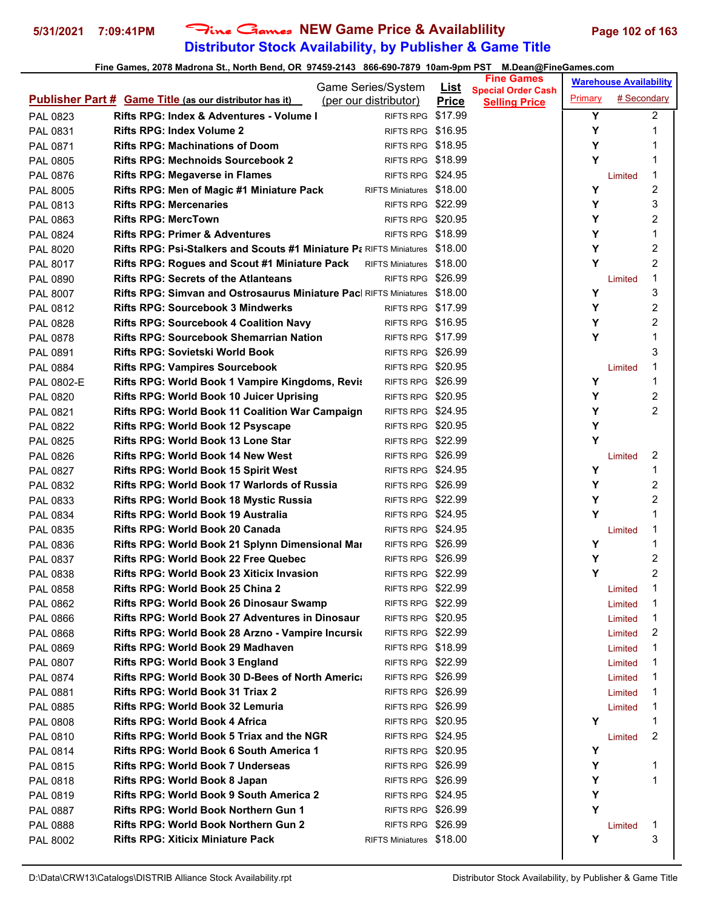# **Distributor Stock Availability, by Publisher & Game Title 5/31/2021 7:09:41PM** Fine Games **NEW Game Price & Availablility Page 102 of 163**

|                 |                                                                                    | Game Series/System       | <u>List</u>  | <b>Fine Games</b>                                 |         | <b>Warehouse Availability</b> |                  |
|-----------------|------------------------------------------------------------------------------------|--------------------------|--------------|---------------------------------------------------|---------|-------------------------------|------------------|
|                 | <b>Publisher Part # Game Title (as our distributor has it)</b>                     | (per our distributor)    | <b>Price</b> | <b>Special Order Cash</b><br><b>Selling Price</b> | Primary | # Secondary                   |                  |
| PAL 0823        | Rifts RPG: Index & Adventures - Volume I                                           | RIFTS RPG \$17.99        |              |                                                   | Y       |                               | $\overline{2}$   |
| PAL 0831        | <b>Rifts RPG: Index Volume 2</b>                                                   | RIFTS RPG \$16.95        |              |                                                   | Y       |                               | 1                |
| <b>PAL 0871</b> | <b>Rifts RPG: Machinations of Doom</b>                                             | RIFTS RPG \$18.95        |              |                                                   | Y       |                               | 1                |
| PAL 0805        | <b>Rifts RPG: Mechnoids Sourcebook 2</b>                                           | RIFTS RPG \$18.99        |              |                                                   | Υ       |                               | 1                |
| PAL 0876        | <b>Rifts RPG: Megaverse in Flames</b>                                              | RIFTS RPG \$24.95        |              |                                                   |         | Limited                       | 1                |
| <b>PAL 8005</b> | Rifts RPG: Men of Magic #1 Miniature Pack                                          | RIFTS Miniatures \$18.00 |              |                                                   | Y       |                               | $\boldsymbol{2}$ |
| PAL 0813        | <b>Rifts RPG: Mercenaries</b>                                                      | RIFTS RPG \$22.99        |              |                                                   | Y       |                               | 3                |
| PAL 0863        | <b>Rifts RPG: MercTown</b>                                                         | RIFTS RPG \$20.95        |              |                                                   | Y       |                               | 2                |
| PAL 0824        | <b>Rifts RPG: Primer &amp; Adventures</b>                                          | RIFTS RPG \$18.99        |              |                                                   | Y       |                               | 1                |
| PAL 8020        | <b>Rifts RPG: Psi-Stalkers and Scouts #1 Miniature P: RIFTS Miniatures \$18.00</b> |                          |              |                                                   | Y       |                               | $\overline{c}$   |
| <b>PAL 8017</b> | <b>Rifts RPG: Rogues and Scout #1 Miniature Pack</b>                               | RIFTS Miniatures \$18.00 |              |                                                   | Y       |                               | 2                |
| PAL 0890        | <b>Rifts RPG: Secrets of the Atlanteans</b>                                        | RIFTS RPG \$26.99        |              |                                                   |         | Limited                       | 1                |
| <b>PAL 8007</b> | <b>Rifts RPG: Simvan and Ostrosaurus Miniature Pac RIFTS Miniatures \$18.00</b>    |                          |              |                                                   | Y       |                               | 3                |
| PAL 0812        | <b>Rifts RPG: Sourcebook 3 Mindwerks</b>                                           | RIFTS RPG \$17.99        |              |                                                   | Y       |                               | 2                |
| PAL 0828        | <b>Rifts RPG: Sourcebook 4 Coalition Navy</b>                                      | RIFTS RPG \$16.95        |              |                                                   | Y       |                               | $\overline{2}$   |
| PAL 0878        | <b>Rifts RPG: Sourcebook Shemarrian Nation</b>                                     | RIFTS RPG \$17.99        |              |                                                   | Y       |                               | 1                |
| PAL 0891        | Rifts RPG: Sovietski World Book                                                    | RIFTS RPG \$26.99        |              |                                                   |         |                               | 3                |
| <b>PAL 0884</b> | <b>Rifts RPG: Vampires Sourcebook</b>                                              | RIFTS RPG \$20.95        |              |                                                   |         | Limited                       | 1                |
| PAL 0802-E      | Rifts RPG: World Book 1 Vampire Kingdoms, Revis                                    | RIFTS RPG \$26.99        |              |                                                   | Υ       |                               | 1                |
| PAL 0820        | <b>Rifts RPG: World Book 10 Juicer Uprising</b>                                    | RIFTS RPG \$20.95        |              |                                                   | Y       |                               | 2                |
| PAL 0821        | <b>Rifts RPG: World Book 11 Coalition War Campaign</b>                             | RIFTS RPG \$24.95        |              |                                                   | Y       |                               | $\overline{2}$   |
| PAL 0822        | <b>Rifts RPG: World Book 12 Psyscape</b>                                           | RIFTS RPG \$20.95        |              |                                                   | Υ       |                               |                  |
| PAL 0825        | Rifts RPG: World Book 13 Lone Star                                                 | RIFTS RPG \$22.99        |              |                                                   | Y       |                               |                  |
| PAL 0826        | Rifts RPG: World Book 14 New West                                                  | RIFTS RPG \$26.99        |              |                                                   |         | Limited                       | 2                |
| PAL 0827        | <b>Rifts RPG: World Book 15 Spirit West</b>                                        | RIFTS RPG \$24.95        |              |                                                   | Υ       |                               | 1                |
| PAL 0832        | Rifts RPG: World Book 17 Warlords of Russia                                        | RIFTS RPG \$26.99        |              |                                                   | Y       |                               | 2                |
| PAL 0833        | <b>Rifts RPG: World Book 18 Mystic Russia</b>                                      | RIFTS RPG \$22.99        |              |                                                   | Y       |                               | 2                |
| PAL 0834        | Rifts RPG: World Book 19 Australia                                                 | RIFTS RPG \$24.95        |              |                                                   | Y       |                               | 1                |
| <b>PAL 0835</b> | Rifts RPG: World Book 20 Canada                                                    | RIFTS RPG \$24.95        |              |                                                   |         | Limited                       | 1                |
| PAL 0836        | Rifts RPG: World Book 21 Splynn Dimensional Mar                                    | RIFTS RPG \$26.99        |              |                                                   | Y       |                               | 1                |
| PAL 0837        | <b>Rifts RPG: World Book 22 Free Quebec</b>                                        | RIFTS RPG \$26.99        |              |                                                   | Υ       |                               | 2                |
| PAL 0838        | <b>Rifts RPG: World Book 23 Xiticix Invasion</b>                                   | RIFTS RPG \$22.99        |              |                                                   | Y       |                               | 2                |
| PAL 0858        | Rifts RPG: World Book 25 China 2                                                   | RIFTS RPG \$22.99        |              |                                                   |         | Limited                       | 1                |
| <b>PAL 0862</b> | <b>Rifts RPG: World Book 26 Dinosaur Swamp</b>                                     | RIFTS RPG \$22.99        |              |                                                   |         | Limited                       | 1                |
| PAL 0866        | <b>Rifts RPG: World Book 27 Adventures in Dinosaur</b>                             | RIFTS RPG \$20.95        |              |                                                   |         | Limited                       | 1                |
| PAL 0868        | Rifts RPG: World Book 28 Arzno - Vampire Incursion                                 | RIFTS RPG \$22.99        |              |                                                   |         | Limited                       | 2                |
| PAL 0869        | Rifts RPG: World Book 29 Madhaven                                                  | RIFTS RPG \$18.99        |              |                                                   |         | Limited                       | 1                |
| PAL 0807        | <b>Rifts RPG: World Book 3 England</b>                                             | RIFTS RPG \$22.99        |              |                                                   |         | Limited                       | 1                |
| PAL 0874        | Rifts RPG: World Book 30 D-Bees of North Americ                                    | RIFTS RPG \$26.99        |              |                                                   |         | Limited                       | 1                |
| PAL 0881        | <b>Rifts RPG: World Book 31 Triax 2</b>                                            | RIFTS RPG \$26.99        |              |                                                   |         | Limited                       | 1                |
| PAL 0885        | <b>Rifts RPG: World Book 32 Lemuria</b>                                            | RIFTS RPG \$26.99        |              |                                                   |         | Limited                       | 1                |
| PAL 0808        | <b>Rifts RPG: World Book 4 Africa</b>                                              | RIFTS RPG \$20.95        |              |                                                   | Υ       |                               | 1                |
| PAL 0810        | <b>Rifts RPG: World Book 5 Triax and the NGR</b>                                   | RIFTS RPG \$24.95        |              |                                                   |         | Limited                       | 2                |
| PAL 0814        | <b>Rifts RPG: World Book 6 South America 1</b>                                     | RIFTS RPG \$20.95        |              |                                                   | Υ       |                               |                  |
| PAL 0815        | <b>Rifts RPG: World Book 7 Underseas</b>                                           | RIFTS RPG \$26.99        |              |                                                   | Υ       |                               | 1                |
| PAL 0818        | Rifts RPG: World Book 8 Japan                                                      | RIFTS RPG \$26.99        |              |                                                   | Υ       |                               | 1                |
| PAL 0819        | <b>Rifts RPG: World Book 9 South America 2</b>                                     | RIFTS RPG \$24.95        |              |                                                   | Υ       |                               |                  |
| PAL 0887        | Rifts RPG: World Book Northern Gun 1                                               | RIFTS RPG \$26.99        |              |                                                   | Y       |                               |                  |
| PAL 0888        | <b>Rifts RPG: World Book Northern Gun 2</b>                                        | RIFTS RPG \$26.99        |              |                                                   |         | Limited                       | 1                |
| PAL 8002        | <b>Rifts RPG: Xiticix Miniature Pack</b>                                           | RIFTS Miniatures \$18.00 |              |                                                   | Υ       |                               | 3                |
|                 |                                                                                    |                          |              |                                                   |         |                               |                  |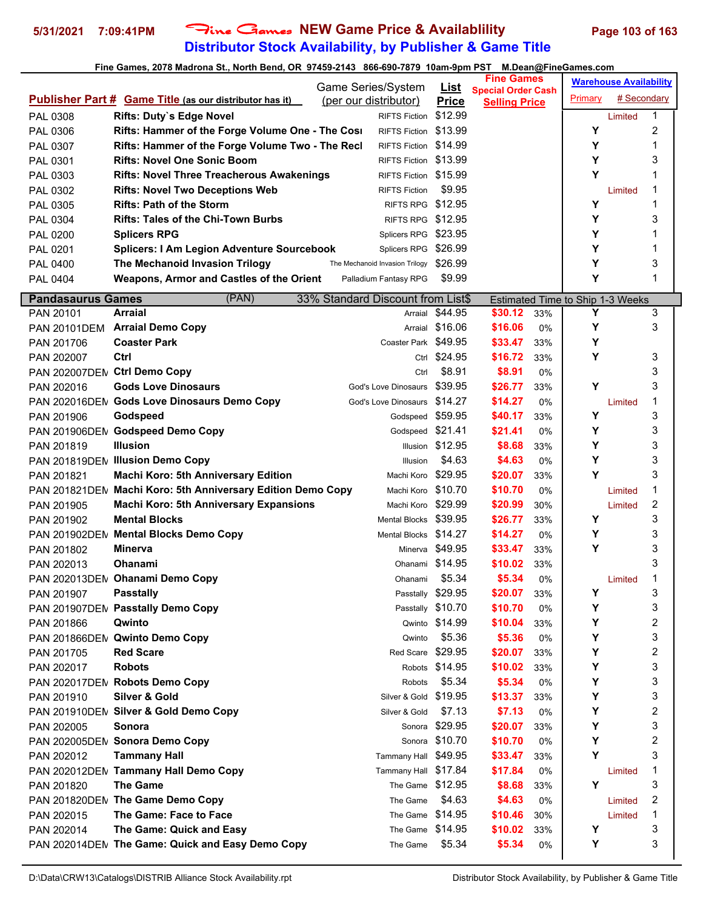# **Distributor Stock Availability, by Publisher & Game Title 5/31/2021 7:09:41PM** Fine Games **NEW Game Price & Availablility Page 103 of 163**

|                          |                                                                | <b>Game Series/System</b>         | <u>List</u>       | <b>Fine Games</b>                                 |     |                                       | <b>Warehouse Availability</b> |        |
|--------------------------|----------------------------------------------------------------|-----------------------------------|-------------------|---------------------------------------------------|-----|---------------------------------------|-------------------------------|--------|
|                          | <b>Publisher Part # Game Title (as our distributor has it)</b> | (per our distributor)             | <b>Price</b>      | <b>Special Order Cash</b><br><b>Selling Price</b> |     | Primary                               | # Secondary                   |        |
| PAL 0308                 | Rifts: Duty's Edge Novel                                       | <b>RIFTS Fiction</b>              | \$12.99           |                                                   |     |                                       | Limited                       | 1      |
| PAL 0306                 | Rifts: Hammer of the Forge Volume One - The Cosi               | RIFTS Fiction \$13.99             |                   |                                                   |     | Y                                     |                               | 2      |
| PAL 0307                 | Rifts: Hammer of the Forge Volume Two - The Recl               | RIFTS Fiction \$14.99             |                   |                                                   |     | Υ                                     |                               | 1      |
| PAL 0301                 | <b>Rifts: Novel One Sonic Boom</b>                             | RIFTS Fiction \$13.99             |                   |                                                   |     | Υ                                     |                               | 3      |
| PAL 0303                 | <b>Rifts: Novel Three Treacherous Awakenings</b>               | RIFTS Fiction \$15.99             |                   |                                                   |     | Υ                                     |                               | 1      |
| PAL 0302                 | <b>Rifts: Novel Two Deceptions Web</b>                         | <b>RIFTS Fiction</b>              | \$9.95            |                                                   |     |                                       | Limited                       | 1      |
| PAL 0305                 | <b>Rifts: Path of the Storm</b>                                | RIFTS RPG \$12.95                 |                   |                                                   |     | Υ                                     |                               | 1      |
| PAL 0304                 | <b>Rifts: Tales of the Chi-Town Burbs</b>                      | RIFTS RPG \$12.95                 |                   |                                                   |     | Υ                                     |                               | 3      |
| <b>PAL 0200</b>          | <b>Splicers RPG</b>                                            | Splicers RPG \$23.95              |                   |                                                   |     | Y                                     |                               | 1      |
| PAL 0201                 | <b>Splicers: I Am Legion Adventure Sourcebook</b>              | Splicers RPG                      | \$26.99           |                                                   |     | Y                                     |                               | 1      |
| PAL 0400                 | The Mechanoid Invasion Trilogy                                 | The Mechanoid Invasion Trilogy    | \$26.99           |                                                   |     | Υ                                     |                               | 3      |
| PAL 0404                 | Weapons, Armor and Castles of the Orient                       | Palladium Fantasy RPG             | \$9.99            |                                                   |     | Y                                     |                               | 1      |
|                          |                                                                |                                   |                   |                                                   |     |                                       |                               |        |
| <b>Pandasaurus Games</b> | (PAN)<br><b>Arraial</b>                                        | 33% Standard Discount from List\$ |                   |                                                   |     | Estimated Time to Ship 1-3 Weeks<br>Y |                               |        |
| PAN 20101                |                                                                | Arraial                           | \$44.95           | \$30.12<br>\$16.06                                | 33% |                                       |                               | 3<br>3 |
|                          | PAN 20101DEM Arraial Demo Copy                                 |                                   | Arraial \$16.06   |                                                   | 0%  | Y                                     |                               |        |
| PAN 201706               | <b>Coaster Park</b>                                            | Coaster Park \$49.95              |                   | \$33.47                                           | 33% | Υ                                     |                               |        |
| PAN 202007               | Ctrl                                                           |                                   | Ctrl \$24.95      | \$16.72                                           | 33% | Y                                     |                               | 3      |
| <b>PAN 202007DEN</b>     | <b>Ctrl Demo Copy</b>                                          | Ctrl                              | \$8.91            | \$8.91                                            | 0%  |                                       |                               | 3      |
| PAN 202016               | <b>Gods Love Dinosaurs</b>                                     | God's Love Dinosaurs              | \$39.95           | \$26.77                                           | 33% | Υ                                     |                               | 3      |
|                          | PAN 202016DEN Gods Love Dinosaurs Demo Copy                    | God's Love Dinosaurs              | \$14.27           | \$14.27                                           | 0%  |                                       | Limited                       | 1      |
| PAN 201906               | Godspeed                                                       | Godspeed \$59.95                  |                   | \$40.17                                           | 33% | Υ                                     |                               | 3      |
|                          | PAN 201906DEN Godspeed Demo Copy                               | Godspeed \$21.41                  |                   | \$21.41                                           | 0%  | Υ                                     |                               | 3      |
| PAN 201819               | <b>Illusion</b>                                                |                                   | Illusion \$12.95  | \$8.68                                            | 33% | Υ                                     |                               | 3      |
|                          | PAN 201819DEN Illusion Demo Copy                               | Illusion                          | \$4.63            | \$4.63                                            | 0%  | Y                                     |                               | 3      |
| PAN 201821               | <b>Machi Koro: 5th Anniversary Edition</b>                     | Machi Koro \$29.95                |                   | \$20.07                                           | 33% | Υ                                     |                               | 3      |
|                          | PAN 201821DEM Machi Koro: 5th Anniversary Edition Demo Copy    | Machi Koro                        | \$10.70           | \$10.70                                           | 0%  |                                       | Limited                       | 1      |
| PAN 201905               | <b>Machi Koro: 5th Anniversary Expansions</b>                  | Machi Koro                        | \$29.99           | \$20.99                                           | 30% |                                       | Limited                       | 2      |
| PAN 201902               | <b>Mental Blocks</b>                                           | <b>Mental Blocks</b>              | \$39.95           | \$26.77                                           | 33% | Υ                                     |                               | 3      |
|                          | PAN 201902DEN Mental Blocks Demo Copy                          | Mental Blocks \$14.27             |                   | \$14.27                                           | 0%  | Y                                     |                               | 3      |
| PAN 201802               | <b>Minerva</b>                                                 |                                   | Minerva \$49.95   | \$33.47                                           | 33% | Y                                     |                               | 3      |
| PAN 202013               | Ohanami                                                        | Ohanami \$14.95                   |                   | \$10.02                                           | 33% |                                       |                               | 3      |
|                          | PAN 202013DEN Ohanami Demo Copy                                | Ohanami                           | \$5.34            | \$5.34                                            | 0%  |                                       | Limited                       | 1      |
| PAN 201907               | <b>Passtally</b>                                               |                                   | Passtally \$29.95 | \$20.07                                           | 33% | Υ                                     |                               | 3      |
|                          | PAN 201907DEN Passtally Demo Copy                              |                                   | Passtally \$10.70 | \$10.70                                           | 0%  | Υ                                     |                               | 3      |
| PAN 201866               | Qwinto                                                         | Qwinto                            | \$14.99           | \$10.04                                           | 33% | Υ                                     |                               | 2      |
|                          | PAN 201866DEM Qwinto Demo Copy                                 | Qwinto                            | \$5.36            | \$5.36                                            | 0%  | Υ                                     |                               | 3      |
| PAN 201705               | <b>Red Scare</b>                                               | Red Scare \$29.95                 |                   | \$20.07                                           | 33% | Υ                                     |                               | 2      |
| PAN 202017               | <b>Robots</b>                                                  |                                   | Robots \$14.95    | \$10.02                                           | 33% | Υ                                     |                               | 3      |
| PAN 202017DEM            | <b>Robots Demo Copy</b>                                        | Robots                            | \$5.34            | \$5.34                                            | 0%  | Υ                                     |                               | 3      |
| PAN 201910               | <b>Silver &amp; Gold</b>                                       | Silver & Gold \$19.95             |                   | \$13.37                                           | 33% | Υ                                     |                               | 3      |
|                          | PAN 201910DEN Silver & Gold Demo Copy                          | Silver & Gold                     | \$7.13            | \$7.13                                            | 0%  | Υ                                     |                               | 2      |
| PAN 202005               | Sonora                                                         | Sonora                            | \$29.95           | \$20.07                                           | 33% | Υ                                     |                               | 3      |
|                          | PAN 202005DEM Sonora Demo Copy                                 |                                   | Sonora \$10.70    | \$10.70                                           | 0%  | Υ                                     |                               | 2      |
| PAN 202012               | <b>Tammany Hall</b>                                            | Tammany Hall \$49.95              |                   | \$33.47                                           | 33% | Y                                     |                               | 3      |
|                          | PAN 202012DEN Tammany Hall Demo Copy                           | Tammany Hall \$17.84              |                   | \$17.84                                           | 0%  |                                       | Limited                       | 1      |
| PAN 201820               | <b>The Game</b>                                                | The Game \$12.95                  |                   | \$8.68                                            | 33% | Y                                     |                               | 3      |
|                          | PAN 201820DEN The Game Demo Copy                               | The Game                          | \$4.63            | \$4.63                                            | 0%  |                                       | Limited                       | 2      |
| PAN 202015               | The Game: Face to Face                                         | The Game \$14.95                  |                   | \$10.46                                           | 30% |                                       | Limited                       | 1      |
| PAN 202014               | The Game: Quick and Easy                                       | The Game \$14.95                  |                   | \$10.02                                           | 33% | Υ                                     |                               | 3      |
|                          | PAN 202014DEN The Game: Quick and Easy Demo Copy               | The Game                          | \$5.34            | \$5.34                                            | 0%  | Υ                                     |                               | 3      |
|                          |                                                                |                                   |                   |                                                   |     |                                       |                               |        |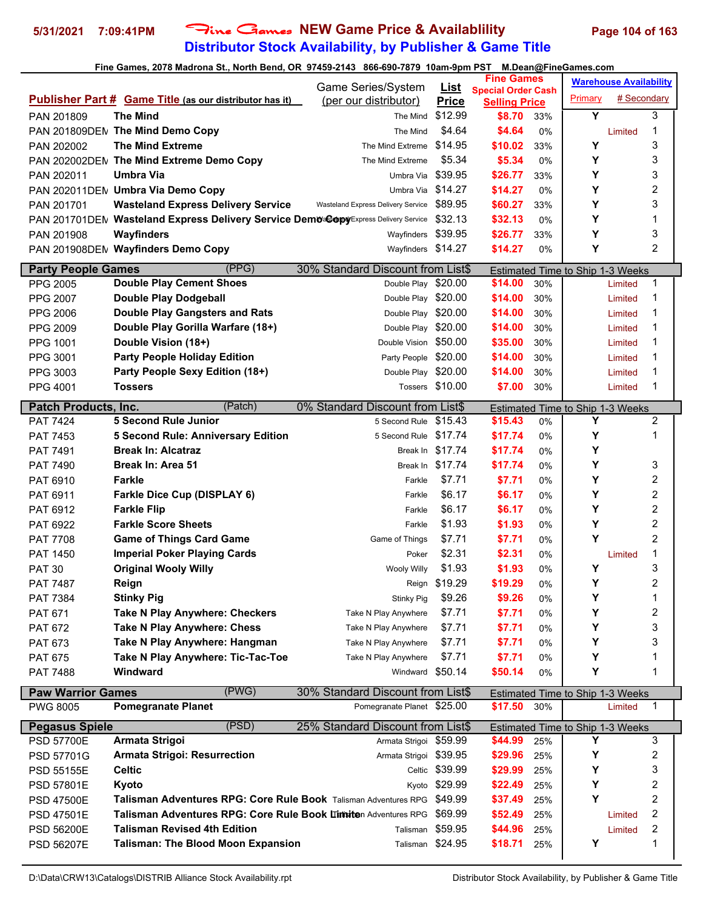# **Distributor Stock Availability, by Publisher & Game Title 5/31/2021 7:09:41PM** Fine Games **NEW Game Price & Availablility Page 104 of 163**

|                             |                                                                                     | Game Series/System                 | <u>List</u>      | <b>Fine Games</b>                                 |           |                                  | <b>Warehouse Availability</b> |                  |  |
|-----------------------------|-------------------------------------------------------------------------------------|------------------------------------|------------------|---------------------------------------------------|-----------|----------------------------------|-------------------------------|------------------|--|
|                             | <b>Publisher Part # Game Title (as our distributor has it)</b>                      | (per our distributor)              | <b>Price</b>     | <b>Special Order Cash</b><br><b>Selling Price</b> |           | Primary                          | # Secondary                   |                  |  |
| PAN 201809                  | The Mind                                                                            | The Mind                           | \$12.99          | \$8.70                                            | 33%       | Y                                |                               | 3                |  |
|                             | PAN 201809DEN The Mind Demo Copy                                                    | The Mind                           | \$4.64           | \$4.64                                            | 0%        |                                  | Limited                       | 1                |  |
| PAN 202002                  | <b>The Mind Extreme</b>                                                             | The Mind Extreme                   | \$14.95          | \$10.02                                           | 33%       | Υ                                |                               | 3                |  |
|                             | PAN 202002DEN The Mind Extreme Demo Copy                                            | The Mind Extreme                   | \$5.34           | \$5.34                                            | 0%        | Υ                                |                               | 3                |  |
| PAN 202011                  | <b>Umbra Via</b>                                                                    | Umbra Via                          | \$39.95          | \$26.77                                           | 33%       | Υ                                |                               | 3                |  |
|                             | PAN 202011DEN Umbra Via Demo Copy                                                   | Umbra Via                          | \$14.27          | \$14.27                                           | 0%        | Υ                                |                               | 2                |  |
| PAN 201701                  | <b>Wasteland Express Delivery Service</b>                                           | Wasteland Express Delivery Service | \$89.95          | \$60.27                                           | 33%       | Y                                |                               | 3                |  |
|                             | PAN 201701DEN Wasteland Express Delivery Service DemO'SODPVExpress Delivery Service |                                    | \$32.13          | \$32.13                                           | 0%        | Υ                                |                               | 1                |  |
|                             | Wayfinders                                                                          |                                    | \$39.95          | \$26.77                                           |           | Υ                                |                               | 3                |  |
| PAN 201908                  | PAN 201908DEN Wayfinders Demo Copy                                                  | Wayfinders<br>Wayfinders \$14.27   |                  | \$14.27                                           | 33%<br>0% | Υ                                |                               | $\overline{2}$   |  |
|                             |                                                                                     |                                    |                  |                                                   |           |                                  |                               |                  |  |
| <b>Party People Games</b>   | (PPG)                                                                               | 30% Standard Discount from List\$  |                  |                                                   |           | Estimated Time to Ship 1-3 Weeks |                               |                  |  |
| <b>PPG 2005</b>             | <b>Double Play Cement Shoes</b>                                                     | Double Play \$20.00                |                  | \$14.00                                           | 30%       |                                  | Limited                       | 1                |  |
| <b>PPG 2007</b>             | <b>Double Play Dodgeball</b>                                                        | Double Play \$20.00                |                  | \$14.00                                           | 30%       |                                  | Limited                       | 1                |  |
| PPG 2006                    | <b>Double Play Gangsters and Rats</b>                                               | Double Play \$20.00                |                  | \$14.00                                           | 30%       |                                  | Limited                       | 1                |  |
| <b>PPG 2009</b>             | Double Play Gorilla Warfare (18+)                                                   | Double Play \$20.00                |                  | \$14.00                                           | 30%       |                                  | Limited                       | 1                |  |
| PPG 1001                    | Double Vision (18+)                                                                 | Double Vision \$50.00              |                  | \$35.00                                           | 30%       |                                  | Limited                       | 1                |  |
| PPG 3001                    | <b>Party People Holiday Edition</b>                                                 | Party People \$20.00               |                  | \$14.00                                           | 30%       |                                  | Limited                       | 1                |  |
| PPG 3003                    | Party People Sexy Edition (18+)                                                     | Double Play \$20.00                |                  | \$14.00                                           | 30%       |                                  | Limited                       | 1                |  |
| PPG 4001                    | Tossers                                                                             |                                    | Tossers \$10.00  | \$7.00                                            | 30%       |                                  | Limited                       | 1                |  |
| <b>Patch Products, Inc.</b> | (Patch)                                                                             | 0% Standard Discount from List\$   |                  |                                                   |           | Estimated Time to Ship 1-3 Weeks |                               |                  |  |
| <b>PAT 7424</b>             | <b>5 Second Rule Junior</b>                                                         | 5 Second Rule                      | \$15.43          | \$15.43                                           | 0%        | Y                                |                               | 2                |  |
| PAT 7453                    | <b>5 Second Rule: Anniversary Edition</b>                                           | 5 Second Rule \$17.74              |                  | \$17.74                                           | 0%        | Υ                                |                               | 1                |  |
| PAT 7491                    | <b>Break In: Alcatraz</b>                                                           | Break In                           | \$17.74          | \$17.74                                           | 0%        | Υ                                |                               |                  |  |
| PAT 7490                    | <b>Break In: Area 51</b>                                                            | Break In                           | \$17.74          | \$17.74                                           | 0%        | Υ                                |                               | 3                |  |
| PAT 6910                    | <b>Farkle</b>                                                                       | Farkle                             | \$7.71           | \$7.71                                            | 0%        | Υ                                |                               | 2                |  |
| PAT 6911                    | <b>Farkle Dice Cup (DISPLAY 6)</b>                                                  | Farkle                             | \$6.17           | \$6.17                                            | 0%        | Υ                                |                               | 2                |  |
| PAT 6912                    | <b>Farkle Flip</b>                                                                  | Farkle                             | \$6.17           | \$6.17                                            | 0%        | Υ                                |                               | $\overline{c}$   |  |
| PAT 6922                    | <b>Farkle Score Sheets</b>                                                          | Farkle                             | \$1.93           | \$1.93                                            | 0%        | Υ                                |                               | 2                |  |
| <b>PAT 7708</b>             | <b>Game of Things Card Game</b>                                                     | Game of Things                     | \$7.71           | \$7.71                                            | 0%        | Υ                                |                               | $\overline{c}$   |  |
| PAT 1450                    | <b>Imperial Poker Playing Cards</b>                                                 | Poker                              | \$2.31           | \$2.31                                            | 0%        |                                  | Limited                       | 1                |  |
| <b>PAT 30</b>               | <b>Original Wooly Willy</b>                                                         | <b>Wooly Willy</b>                 | \$1.93           | \$1.93                                            | 0%        | Υ                                |                               | 3                |  |
| <b>PAT 7487</b>             | Reign                                                                               | Reign                              | \$19.29          | \$19.29                                           | 0%        | Υ                                |                               | $\overline{2}$   |  |
| <b>PAT 7384</b>             | <b>Stinky Pig</b>                                                                   | Stinky Pig                         | \$9.26           | \$9.26                                            | 0%        | Υ                                |                               | 1                |  |
| <b>PAT 671</b>              | <b>Take N Play Anywhere: Checkers</b>                                               | Take N Play Anywhere               | \$7.71           | \$7.71                                            | 0%        | Υ                                |                               | 2                |  |
| <b>PAT 672</b>              | <b>Take N Play Anywhere: Chess</b>                                                  | Take N Play Anywhere               | \$7.71           | \$7.71                                            | 0%        | Υ                                |                               | 3                |  |
| PAT 673                     | Take N Play Anywhere: Hangman                                                       | Take N Play Anywhere               | \$7.71           | \$7.71                                            | 0%        | Υ                                |                               | 3                |  |
| <b>PAT 675</b>              | Take N Play Anywhere: Tic-Tac-Toe                                                   | Take N Play Anywhere               | \$7.71           | \$7.71                                            | 0%        | Υ                                |                               | 1                |  |
| <b>PAT 7488</b>             | Windward                                                                            | Windward                           | \$50.14          | \$50.14                                           | 0%        | Υ                                |                               | 1                |  |
|                             |                                                                                     |                                    |                  |                                                   |           |                                  |                               |                  |  |
| <b>Paw Warrior Games</b>    | (PWG)                                                                               | 30% Standard Discount from List\$  |                  |                                                   |           | Estimated Time to Ship 1-3 Weeks |                               |                  |  |
| <b>PWG 8005</b>             | <b>Pomegranate Planet</b>                                                           | Pomegranate Planet \$25.00         |                  | \$17.50                                           | 30%       |                                  | Limited                       | 1                |  |
| <b>Pegasus Spiele</b>       | (PSD)                                                                               | 25% Standard Discount from List\$  |                  |                                                   |           | Estimated Time to Ship 1-3 Weeks |                               |                  |  |
| <b>PSD 57700E</b>           | Armata Strigoi                                                                      | Armata Strigoi \$59.99             |                  | \$44.99                                           | 25%       | Y                                |                               | 3                |  |
| PSD 57701G                  | <b>Armata Strigoi: Resurrection</b>                                                 | Armata Strigoi \$39.95             |                  | \$29.96                                           | 25%       | Y                                |                               | 2                |  |
| PSD 55155E                  | <b>Celtic</b>                                                                       |                                    | Celtic \$39.99   | \$29.99                                           | 25%       | Υ                                |                               | 3                |  |
| PSD 57801E                  | Kyoto                                                                               | Kyoto                              | \$29.99          | \$22.49                                           | 25%       | Υ                                |                               | 2                |  |
| <b>PSD 47500E</b>           | Talisman Adventures RPG: Core Rule Book Talisman Adventures RPG                     |                                    | \$49.99          | \$37.49                                           | 25%       | Y                                |                               | 2                |  |
| PSD 47501E                  | Talisman Adventures RPG: Core Rule Book Limiten Adventures RPG                      |                                    | \$69.99          | \$52.49                                           | 25%       |                                  | Limited                       | $\boldsymbol{2}$ |  |
| <b>PSD 56200E</b>           | <b>Talisman Revised 4th Edition</b>                                                 | Talisman                           | \$59.95          | \$44.96                                           | 25%       |                                  | Limited                       | 2                |  |
| <b>PSD 56207E</b>           | <b>Talisman: The Blood Moon Expansion</b>                                           |                                    | Talisman \$24.95 | \$18.71                                           | 25%       | Υ                                |                               | 1                |  |
|                             |                                                                                     |                                    |                  |                                                   |           |                                  |                               |                  |  |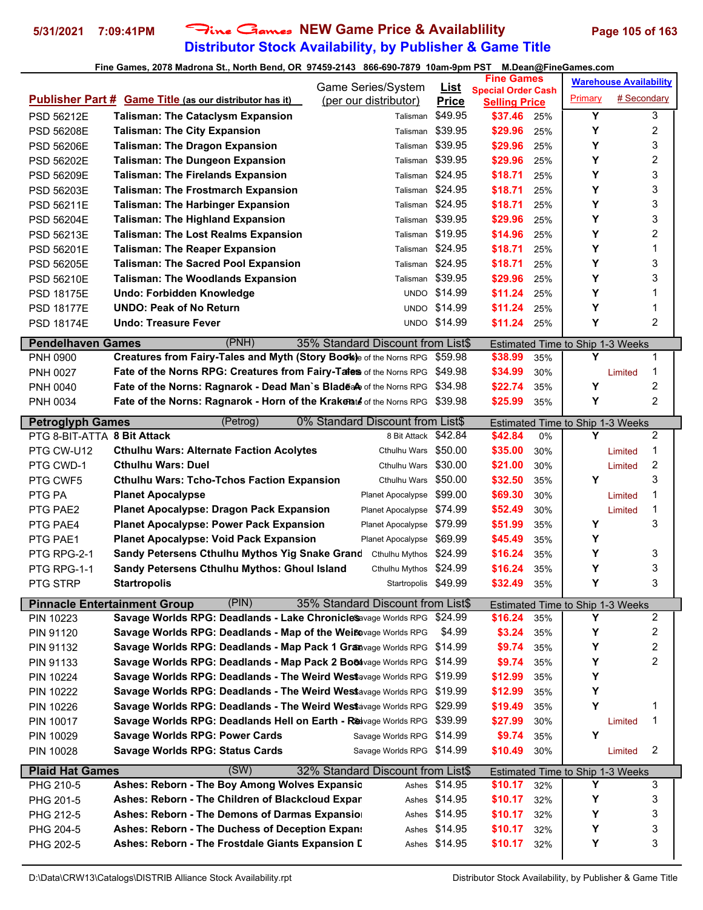# **Distributor Stock Availability, by Publisher & Game Title 5/31/2021 7:09:41PM** Fine Games **NEW Game Price & Availablility Page 105 of 163**

|                             |                                                                            | Game Series/System                | <b>List</b>         | <b>Fine Games</b>                                 |     |         | <b>Warehouse Availability</b>           |                |
|-----------------------------|----------------------------------------------------------------------------|-----------------------------------|---------------------|---------------------------------------------------|-----|---------|-----------------------------------------|----------------|
|                             | <b>Publisher Part # Game Title (as our distributor has it)</b>             | (per our distributor)             | <b>Price</b>        | <b>Special Order Cash</b><br><b>Selling Price</b> |     | Primary | # Secondary                             |                |
| PSD 56212E                  | <b>Talisman: The Cataclysm Expansion</b>                                   | Talisman                          | \$49.95             | \$37.46                                           | 25% | Y       |                                         | 3              |
| PSD 56208E                  | <b>Talisman: The City Expansion</b>                                        | Talisman                          | \$39.95             | \$29.96                                           | 25% | Υ       |                                         | 2              |
| <b>PSD 56206E</b>           | <b>Talisman: The Dragon Expansion</b>                                      | Talisman                          | \$39.95             | \$29.96                                           | 25% | Y       |                                         | 3              |
| <b>PSD 56202E</b>           | <b>Talisman: The Dungeon Expansion</b>                                     | Talisman                          | \$39.95             | \$29.96                                           | 25% | Y       |                                         | 2              |
| PSD 56209E                  | <b>Talisman: The Firelands Expansion</b>                                   | Talisman                          | \$24.95             | \$18.71                                           | 25% | Y       |                                         | 3              |
| PSD 56203E                  | <b>Talisman: The Frostmarch Expansion</b>                                  | Talisman                          | \$24.95             | \$18.71                                           | 25% | Υ       |                                         | 3              |
| PSD 56211E                  | <b>Talisman: The Harbinger Expansion</b>                                   | Talisman                          | \$24.95             | \$18.71                                           | 25% | Y       |                                         | 3              |
| PSD 56204E                  | <b>Talisman: The Highland Expansion</b>                                    | Talisman                          | \$39.95             | \$29.96                                           | 25% | Υ       |                                         | 3              |
| PSD 56213E                  | <b>Talisman: The Lost Realms Expansion</b>                                 | Talisman                          | \$19.95             | \$14.96                                           | 25% | Y       |                                         | 2              |
| PSD 56201E                  | <b>Talisman: The Reaper Expansion</b>                                      | Talisman                          | \$24.95             | \$18.71                                           | 25% | Y       |                                         | 1              |
| <b>PSD 56205E</b>           | <b>Talisman: The Sacred Pool Expansion</b>                                 | Talisman                          | \$24.95             | \$18.71                                           | 25% | Y       |                                         | 3              |
| PSD 56210E                  | <b>Talisman: The Woodlands Expansion</b>                                   | Talisman                          | \$39.95             | \$29.96                                           | 25% | Υ       |                                         | 3              |
| PSD 18175E                  | Undo: Forbidden Knowledge                                                  | <b>UNDO</b>                       | \$14.99             | \$11.24                                           | 25% | Y       |                                         | 1              |
| <b>PSD 18177E</b>           | <b>UNDO: Peak of No Return</b>                                             |                                   | <b>UNDO \$14.99</b> | \$11.24                                           | 25% | Y       |                                         | 1              |
| PSD 18174E                  | Undo: Treasure Fever                                                       |                                   | UNDO \$14.99        | \$11.24                                           | 25% | Y       |                                         | $\overline{c}$ |
|                             |                                                                            |                                   |                     |                                                   |     |         |                                         |                |
| <b>Pendelhaven Games</b>    | (PNH)                                                                      | 35% Standard Discount from List\$ |                     |                                                   |     | Y       | Estimated Time to Ship 1-3 Weeks        |                |
| PNH 0900                    | Creatures from Fairy-Tales and Myth (Story Book)e of the Norns RPG \$59.98 |                                   | \$49.98             | \$38.99                                           | 35% |         |                                         | 1<br>1         |
| <b>PNH 0027</b>             | Fate of the Norns RPG: Creatures from Fairy-Tales of the Norns RPG         |                                   | \$34.98             | \$34.99                                           | 30% | Υ       | Limited                                 | 2              |
| <b>PNH 0040</b>             | Fate of the Norns: Ragnarok - Dead Man's Bladea of the Norns RPG           |                                   |                     | \$22.74                                           | 35% | Y       |                                         | $\overline{2}$ |
| PNH 0034                    | Fate of the Norns: Ragnarok - Horn of the Krakelate of the Norns RPG       |                                   | \$39.98             | \$25.99                                           | 35% |         |                                         |                |
| <b>Petroglyph Games</b>     | (Petrog)                                                                   | 0% Standard Discount from List\$  |                     |                                                   |     |         | Estimated Time to Ship 1-3 Weeks        |                |
| PTG 8-BIT-ATTA 8 Bit Attack |                                                                            | 8 Bit Attack \$42.84              |                     | \$42.84                                           | 0%  | Y       |                                         | $\overline{2}$ |
| PTG CW-U12                  | <b>Cthulhu Wars: Alternate Faction Acolytes</b>                            | Cthulhu Wars                      | \$50.00             | \$35.00                                           | 30% |         | Limited                                 | 1              |
| PTG CWD-1                   | <b>Cthulhu Wars: Duel</b>                                                  | Cthulhu Wars                      | \$30.00             | \$21.00                                           | 30% |         | Limited                                 | 2              |
| PTG CWF5                    | <b>Cthulhu Wars: Tcho-Tchos Faction Expansion</b>                          | Cthulhu Wars \$50.00              |                     | \$32.50                                           | 35% | Υ       |                                         | 3              |
| PTG PA                      | <b>Planet Apocalypse</b>                                                   | Planet Apocalypse                 | \$99.00             | \$69.30                                           | 30% |         | Limited                                 | 1              |
| PTG PAE2                    | <b>Planet Apocalypse: Dragon Pack Expansion</b>                            | Planet Apocalypse                 | \$74.99             | \$52.49                                           | 30% |         | Limited                                 | 1              |
| PTG PAE4                    | <b>Planet Apocalypse: Power Pack Expansion</b>                             | Planet Apocalypse                 | \$79.99             | \$51.99                                           | 35% | Y       |                                         | 3              |
| PTG PAE1                    | <b>Planet Apocalypse: Void Pack Expansion</b>                              | Planet Apocalypse                 | \$69.99             | \$45.49                                           | 35% | Υ       |                                         |                |
| PTG RPG-2-1                 | Sandy Petersens Cthulhu Mythos Yig Snake Grand                             | Cthulhu Mythos                    | \$24.99             | \$16.24                                           | 35% | Υ       |                                         | 3              |
| PTG RPG-1-1                 | Sandy Petersens Cthulhu Mythos: Ghoul Island                               | Cthulhu Mythos                    | \$24.99             | \$16.24                                           | 35% | Υ       |                                         | 3              |
| PTG STRP                    | <b>Startropolis</b>                                                        | Startropolis \$49.99              |                     | \$32.49                                           | 35% | Υ       |                                         | 3              |
|                             | (PIN)<br><b>Pinnacle Entertainment Group</b>                               | 35% Standard Discount from List\$ |                     |                                                   |     |         | Estimated Time to Ship 1-3 Weeks        |                |
| PIN 10223                   | Savage Worlds RPG: Deadlands - Lake ChronicleSavage Worlds RPG             |                                   | \$24.99             | \$16.24                                           | 35% | Υ       |                                         | 2              |
| PIN 91120                   | Savage Worlds RPG: Deadlands - Map of the Weißevage Worlds RPG             |                                   | \$4.99              | \$3.24                                            | 35% | Υ       |                                         | 2              |
| PIN 91132                   | Savage Worlds RPG: Deadlands - Map Pack 1 Granavage Worlds RPG             |                                   | \$14.99             | \$9.74                                            | 35% | Y       |                                         | 2              |
| PIN 91133                   | Savage Worlds RPG: Deadlands - Map Pack 2 Bo&vage Worlds RPG               |                                   | \$14.99             | \$9.74                                            | 35% | Υ       |                                         | 2              |
| <b>PIN 10224</b>            | Savage Worlds RPG: Deadlands - The Weird Westavage Worlds RPG              |                                   | \$19.99             | \$12.99                                           | 35% | Υ       |                                         |                |
| <b>PIN 10222</b>            | Savage Worlds RPG: Deadlands - The Weird Westavage Worlds RPG              |                                   | \$19.99             | \$12.99                                           | 35% | Υ       |                                         |                |
| <b>PIN 10226</b>            | Savage Worlds RPG: Deadlands - The Weird Westavage Worlds RPG              |                                   | \$29.99             | \$19.49                                           | 35% | Υ       |                                         | 1              |
| <b>PIN 10017</b>            | Savage Worlds RPG: Deadlands Hell on Earth - Reavage Worlds RPG            |                                   | \$39.99             | \$27.99                                           | 30% |         | Limited                                 | 1              |
| <b>PIN 10029</b>            | <b>Savage Worlds RPG: Power Cards</b>                                      | Savage Worlds RPG                 | \$14.99             | \$9.74                                            | 35% | Υ       |                                         |                |
| PIN 10028                   | <b>Savage Worlds RPG: Status Cards</b>                                     | Savage Worlds RPG \$14.99         |                     | \$10.49                                           | 30% |         | Limited                                 | 2              |
| <b>Plaid Hat Games</b>      | (SW)                                                                       | 32% Standard Discount from List\$ |                     |                                                   |     |         | <b>Estimated Time to Ship 1-3 Weeks</b> |                |
| PHG 210-5                   | Ashes: Reborn - The Boy Among Wolves Expansic                              | Ashes                             | \$14.95             | \$10.17                                           | 32% | Υ       |                                         | 3              |
| PHG 201-5                   | Ashes: Reborn - The Children of Blackcloud Expar                           | Ashes                             | \$14.95             | \$10.17                                           | 32% | Υ       |                                         | 3              |
| PHG 212-5                   | Ashes: Reborn - The Demons of Darmas Expansio                              | Ashes                             | \$14.95             | \$10.17                                           | 32% | Υ       |                                         | 3              |
| PHG 204-5                   | Ashes: Reborn - The Duchess of Deception Expans                            | Ashes                             | \$14.95             | \$10.17                                           | 32% | Υ       |                                         | 3              |
| PHG 202-5                   | Ashes: Reborn - The Frostdale Giants Expansion D                           | Ashes                             | \$14.95             | \$10.17                                           | 32% | Υ       |                                         | 3              |
|                             |                                                                            |                                   |                     |                                                   |     |         |                                         |                |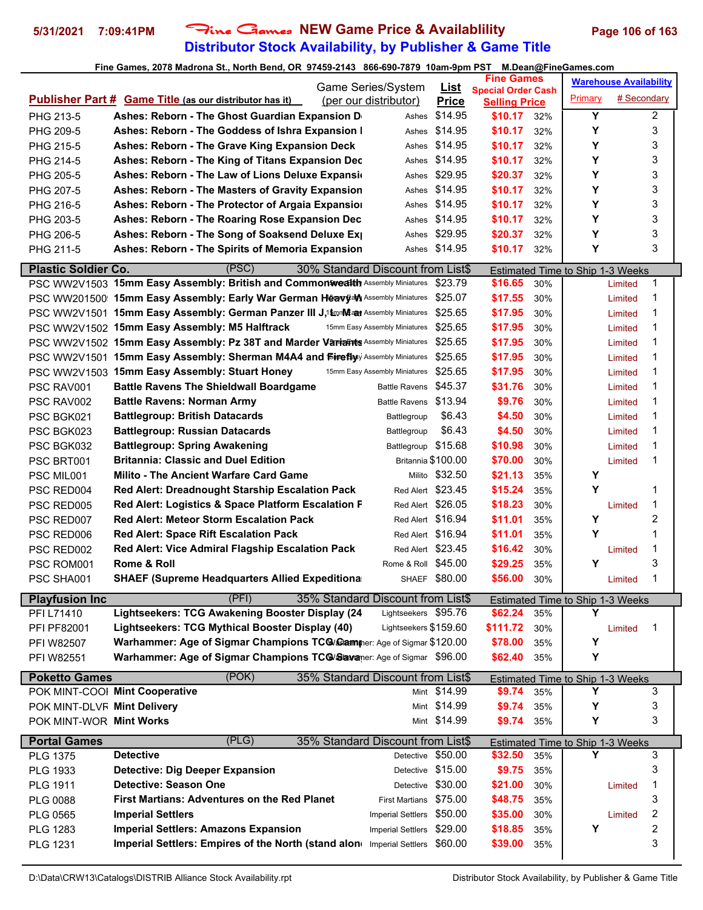# **Distributor Stock Availability, by Publisher & Game Title 5/31/2021 7:09:41PM** Fine Games **NEW Game Price & Availablility Page 106 of 163**

|                             |                                                                                     | Game Series/System            |                             | <b>Fine Games</b>                                 |            |                                         | <b>Warehouse Availability</b> |                         |  |
|-----------------------------|-------------------------------------------------------------------------------------|-------------------------------|-----------------------------|---------------------------------------------------|------------|-----------------------------------------|-------------------------------|-------------------------|--|
|                             | <b>Publisher Part # Game Title (as our distributor has it)</b>                      | (per our distributor)         | <u>List</u><br><b>Price</b> | <b>Special Order Cash</b><br><b>Selling Price</b> |            | Primary                                 | # Secondary                   |                         |  |
| PHG 213-5                   | Ashes: Reborn - The Ghost Guardian Expansion D                                      | Ashes                         | \$14.95                     | \$10.17                                           | 32%        | Υ                                       |                               | $\overline{\mathbf{c}}$ |  |
| PHG 209-5                   | Ashes: Reborn - The Goddess of Ishra Expansion I                                    | Ashes                         | \$14.95                     | \$10.17                                           | 32%        | Υ                                       |                               | 3                       |  |
| PHG 215-5                   | Ashes: Reborn - The Grave King Expansion Deck                                       | Ashes                         | \$14.95                     | \$10.17                                           | 32%        | Υ                                       |                               | 3                       |  |
| PHG 214-5                   | Ashes: Reborn - The King of Titans Expansion Dec                                    | Ashes                         | \$14.95                     | \$10.17                                           | 32%        | Υ                                       |                               | 3                       |  |
| PHG 205-5                   | Ashes: Reborn - The Law of Lions Deluxe Expansion                                   | Ashes                         | \$29.95                     | \$20.37                                           | 32%        | Υ                                       |                               | 3                       |  |
| PHG 207-5                   | Ashes: Reborn - The Masters of Gravity Expansion                                    | Ashes                         | \$14.95                     | \$10.17                                           | 32%        | Υ                                       |                               | 3                       |  |
| PHG 216-5                   | Ashes: Reborn - The Protector of Argaia Expansion                                   | Ashes                         | \$14.95                     | \$10.17                                           | 32%        | Υ                                       |                               | 3                       |  |
| PHG 203-5                   | Ashes: Reborn - The Roaring Rose Expansion Dec                                      | Ashes                         | \$14.95                     | \$10.17                                           | 32%        | Υ                                       |                               | 3                       |  |
| PHG 206-5                   | Ashes: Reborn - The Song of Soaksend Deluxe Ex                                      | Ashes                         | \$29.95                     | \$20.37                                           | 32%        | Υ                                       |                               | 3                       |  |
| PHG 211-5                   | Ashes: Reborn - The Spirits of Memoria Expansion                                    | Ashes                         | \$14.95                     | \$10.17                                           | 32%        | Υ                                       |                               | 3                       |  |
| <b>Plastic Soldier Co.</b>  | (PSC)<br>30% Standard Discount from List\$                                          |                               |                             |                                                   |            |                                         |                               |                         |  |
|                             | PSC WW2V1503 15mm Easy Assembly: British and Commonwealth Assembly Miniatures       |                               | \$23.79                     | \$16.65                                           | 30%        | Estimated Time to Ship 1-3 Weeks        | Limited                       | 1                       |  |
|                             | PSC WW201500 15mm Easy Assembly: Early War German Heavyaly Assembly Miniatures      |                               | \$25.07                     | \$17.55                                           | 30%        |                                         | Limited                       | 1                       |  |
|                             | PSC WW2V1501 15mm Easy Assembly: German Panzer III J,1\$mmMEany Assembly Miniatures |                               | \$25.65                     | \$17.95                                           | 30%        |                                         | Limited                       | 1                       |  |
|                             | PSC WW2V1502 15mm Easy Assembly: M5 Halftrack                                       | 15mm Easy Assembly Miniatures | \$25.65                     | \$17.95                                           | 30%        |                                         | Limited                       | 1                       |  |
|                             | PSC WW2V1502 15mm Easy Assembly: Pz 38T and Marder Variatts Assembly Miniatures     |                               | \$25.65                     | \$17.95                                           | 30%        |                                         | Limited                       | 1                       |  |
|                             | PSC WW2V1501 15mm Easy Assembly: Sherman M4A4 and Fireflayy Assembly Miniatures     |                               | \$25.65                     | \$17.95                                           | 30%        |                                         | Limited                       | 1                       |  |
|                             | PSC WW2V1503 15mm Easy Assembly: Stuart Honey                                       | 15mm Easy Assembly Miniatures | \$25.65                     | \$17.95                                           | 30%        |                                         | Limited                       | 1                       |  |
| PSC RAV001                  | <b>Battle Ravens The Shieldwall Boardgame</b>                                       | <b>Battle Ravens</b>          | \$45.37                     | \$31.76                                           | 30%        |                                         | Limited                       | 1                       |  |
| PSC RAV002                  | <b>Battle Ravens: Norman Army</b>                                                   | <b>Battle Ravens</b>          | \$13.94                     | \$9.76                                            | 30%        |                                         | Limited                       | 1                       |  |
| PSC BGK021                  | <b>Battlegroup: British Datacards</b>                                               | Battlegroup                   | \$6.43                      | \$4.50                                            | 30%        |                                         | Limited                       | 1                       |  |
| PSC BGK023                  | <b>Battlegroup: Russian Datacards</b>                                               | Battlegroup                   | \$6.43                      | \$4.50                                            | 30%        |                                         | Limited                       | 1                       |  |
| PSC BGK032                  | <b>Battlegroup: Spring Awakening</b>                                                | Battlegroup                   | \$15.68                     | \$10.98                                           | 30%        |                                         | Limited                       | 1                       |  |
| PSC BRT001                  | <b>Britannia: Classic and Duel Edition</b>                                          |                               | Britannia \$100.00          | \$70.00                                           | 30%        |                                         | Limited                       | 1                       |  |
| PSC MIL001                  | Milito - The Ancient Warfare Card Game                                              | Milito                        | \$32.50                     | \$21.13                                           | 35%        | Υ                                       |                               |                         |  |
| PSC RED004                  | <b>Red Alert: Dreadnought Starship Escalation Pack</b>                              |                               | Red Alert \$23.45           | \$15.24                                           | 35%        | Υ                                       |                               | 1                       |  |
| PSC RED005                  | Red Alert: Logistics & Space Platform Escalation F                                  |                               | Red Alert \$26.05           | \$18.23                                           | 30%        |                                         | Limited                       | 1                       |  |
| PSC RED007                  | <b>Red Alert: Meteor Storm Escalation Pack</b>                                      |                               | Red Alert \$16.94           | \$11.01                                           | 35%        | Υ                                       |                               | 2                       |  |
| PSC RED006                  | <b>Red Alert: Space Rift Escalation Pack</b>                                        |                               | Red Alert \$16.94           | \$11.01                                           | 35%        | Y                                       |                               | 1                       |  |
| PSC RED002                  | Red Alert: Vice Admiral Flagship Escalation Pack                                    |                               | Red Alert \$23.45           | \$16.42                                           | 30%        |                                         | Limited                       | 1                       |  |
| PSC ROM001                  | Rome & Roll                                                                         | Rome & Roll                   | \$45.00                     | \$29.25                                           | 35%        | Υ                                       |                               | 3                       |  |
| PSC SHA001                  | <b>SHAEF (Supreme Headquarters Allied Expeditiona</b>                               |                               | SHAEF \$80.00               | \$56.00                                           | 30%        |                                         | Limited                       | 1                       |  |
| <b>Playfusion Inc</b>       | (PFI)<br>35% Standard Discount from List\$                                          |                               |                             |                                                   |            | <b>Estimated Time to Ship 1-3 Weeks</b> |                               |                         |  |
| PFI L71410                  | Lightseekers: TCG Awakening Booster Display (24                                     | Lightseekers \$95.76          |                             | \$62.24                                           | 35%        | Y                                       |                               |                         |  |
| PFI PF82001                 | Lightseekers: TCG Mythical Booster Display (40)                                     | Lightseekers \$159.60         |                             | \$111.72                                          | 30%        |                                         | Limited                       | 1                       |  |
| PFI W82507                  | Warhammer: Age of Sigmar Champions TC@/Camminer: Age of Sigmar \$120.00             |                               |                             | \$78.00                                           | 35%        | Υ                                       |                               |                         |  |
| PFI W82551                  | Warhammer: Age of Sigmar Champions TC@/Savaner: Age of Sigmar \$96.00               |                               |                             | \$62.40                                           | 35%        | Υ                                       |                               |                         |  |
| <b>Poketto Games</b>        | (POK)<br>35% Standard Discount from List\$                                          |                               |                             |                                                   |            |                                         |                               |                         |  |
|                             | POK MINT-COOI Mint Cooperative                                                      |                               | Mint \$14.99                | \$9.74                                            | 35%        | Estimated Time to Ship 1-3 Weeks<br>Υ   |                               | 3                       |  |
| POK MINT-DLVF Mint Delivery |                                                                                     |                               | Mint \$14.99                | \$9.74                                            | 35%        | Υ                                       |                               | 3                       |  |
| POK MINT-WOR Mint Works     |                                                                                     |                               | Mint \$14.99                | \$9.74                                            | 35%        | Y                                       |                               | 3                       |  |
|                             |                                                                                     |                               |                             |                                                   |            |                                         |                               |                         |  |
| <b>Portal Games</b>         | (PLG)<br>35% Standard Discount from List\$                                          |                               |                             |                                                   |            | Estimated Time to Ship 1-3 Weeks<br>Υ   |                               |                         |  |
| <b>PLG 1375</b>             | <b>Detective</b>                                                                    |                               | Detective \$50.00           | \$32.50                                           | 35%        |                                         |                               | 3                       |  |
| PLG 1933                    | <b>Detective: Dig Deeper Expansion</b>                                              | Detective                     | \$15.00                     | \$9.75                                            | 35%        |                                         |                               | 3                       |  |
| <b>PLG 1911</b>             | <b>Detective: Season One</b><br><b>First Martians: Adventures on the Red Planet</b> | Detective                     | \$30.00<br>\$75.00          | \$21.00                                           | 30%        |                                         | Limited                       | 1<br>3                  |  |
| <b>PLG 0088</b>             |                                                                                     | <b>First Martians</b>         |                             | \$48.75                                           | 35%        |                                         |                               |                         |  |
| PLG 0565                    | <b>Imperial Settlers</b><br><b>Imperial Settlers: Amazons Expansion</b>             | <b>Imperial Settlers</b>      | \$50.00<br>\$29.00          | \$35.00                                           | 30%        | Υ                                       | Limited                       | 2<br>2                  |  |
| PLG 1283                    | Imperial Settlers: Empires of the North (stand alon Imperial Settlers               | <b>Imperial Settlers</b>      | \$60.00                     | \$18.85<br>\$39.00                                | 35%<br>35% |                                         |                               | 3                       |  |
| <b>PLG 1231</b>             |                                                                                     |                               |                             |                                                   |            |                                         |                               |                         |  |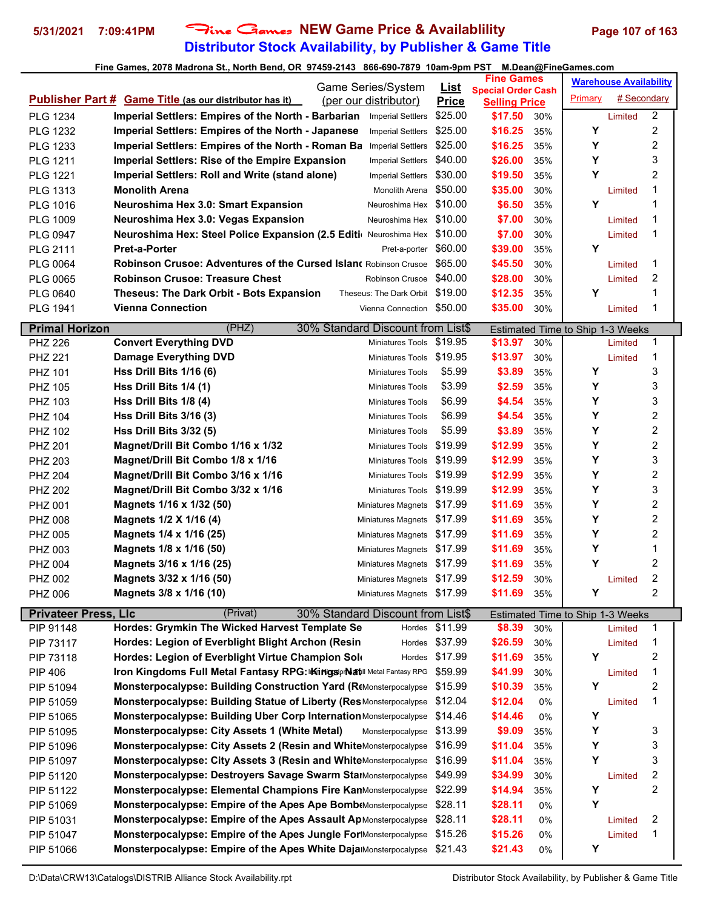# **Distributor Stock Availability, by Publisher & Game Title 5/31/2021 7:09:41PM** Fine Games **NEW Game Price & Availablility Page 107 of 163**

| Game Series/System<br><u>List</u><br><b>Special Order Cash</b><br>Primary<br><b>Publisher Part # Game Title (as our distributor has it)</b><br>(per our distributor)<br><b>Price</b><br><b>Selling Price</b><br>\$25.00<br><b>PLG 1234</b><br><b>Imperial Settlers: Empires of the North - Barbarian</b><br>\$17.50<br><b>Imperial Settlers</b><br>30%<br>Limited | <b>Warehouse Availability</b> |
|-------------------------------------------------------------------------------------------------------------------------------------------------------------------------------------------------------------------------------------------------------------------------------------------------------------------------------------------------------------------|-------------------------------|
|                                                                                                                                                                                                                                                                                                                                                                   | # Secondary                   |
|                                                                                                                                                                                                                                                                                                                                                                   | 2                             |
| \$25.00<br>Υ<br>Imperial Settlers: Empires of the North - Japanese<br>\$16.25<br>35%<br>PLG 1232<br><b>Imperial Settlers</b>                                                                                                                                                                                                                                      | 2                             |
| Υ<br>\$25.00<br>\$16.25<br>PLG 1233<br>Imperial Settlers: Empires of the North - Roman Ba<br><b>Imperial Settlers</b><br>35%                                                                                                                                                                                                                                      | 2                             |
| Y<br>\$40.00<br><b>PLG 1211</b><br><b>Imperial Settlers: Rise of the Empire Expansion</b><br>\$26.00<br>35%<br><b>Imperial Settlers</b>                                                                                                                                                                                                                           | 3                             |
| Y<br>\$30.00<br>\$19.50<br>Imperial Settlers: Roll and Write (stand alone)<br><b>PLG 1221</b><br><b>Imperial Settlers</b><br>35%                                                                                                                                                                                                                                  | 2                             |
| <b>Monolith Arena</b><br>\$35.00<br>\$50.00<br>PLG 1313<br>30%<br>Monolith Arena<br>Limited                                                                                                                                                                                                                                                                       | 1                             |
| Y<br>\$6.50<br>Neuroshima Hex 3.0: Smart Expansion<br>\$10.00<br><b>PLG 1016</b><br>35%<br>Neuroshima Hex                                                                                                                                                                                                                                                         | 1                             |
| Neuroshima Hex \$10.00<br><b>PLG 1009</b><br>Neuroshima Hex 3.0: Vegas Expansion<br>\$7.00<br>30%<br>Limited                                                                                                                                                                                                                                                      | 1                             |
| \$7.00<br>Neuroshima Hex: Steel Police Expansion (2.5 Editi Neuroshima Hex \$10.00<br><b>PLG 0947</b><br>30%<br>Limited                                                                                                                                                                                                                                           | 1                             |
| Y<br><b>Pret-a-Porter</b><br>\$60.00<br>\$39.00<br>PLG 2111<br>35%<br>Pret-a-porter                                                                                                                                                                                                                                                                               |                               |
| \$65.00<br><b>PLG 0064</b><br><b>Robinson Crusoe: Adventures of the Cursed Islan( Robinson Crusoe)</b><br>\$45.50<br>30%<br>Limited                                                                                                                                                                                                                               | 1                             |
| <b>PLG 0065</b><br><b>Robinson Crusoe: Treasure Chest</b><br>Robinson Crusoe<br>\$40.00<br>\$28.00<br>30%<br>Limited                                                                                                                                                                                                                                              | 2                             |
| Y<br><b>Theseus: The Dark Orbit - Bots Expansion</b><br>Theseus: The Dark Orbit \$19.00<br>\$12.35<br><b>PLG 0640</b><br>35%                                                                                                                                                                                                                                      | 1                             |
| \$35.00<br><b>Vienna Connection</b><br>Vienna Connection \$50.00<br>30%<br><b>PLG 1941</b><br>Limited                                                                                                                                                                                                                                                             | 1                             |
|                                                                                                                                                                                                                                                                                                                                                                   |                               |
| (PHZ)<br><b>Primal Horizon</b><br>30% Standard Discount from List\$<br>Estimated Time to Ship 1-3 Weeks                                                                                                                                                                                                                                                           |                               |
| <b>Convert Everything DVD</b><br>\$19.95<br>\$13.97<br>Miniatures Tools<br>30%<br><b>PHZ 226</b><br>Limited                                                                                                                                                                                                                                                       | 1                             |
| \$13.97<br><b>Damage Everything DVD</b><br>\$19.95<br><b>PHZ 221</b><br>30%<br>Limited<br>Miniatures Tools                                                                                                                                                                                                                                                        | 1                             |
| \$3.89<br>Υ<br>\$5.99<br>35%<br>PHZ 101<br>Hss Drill Bits $1/16(6)$<br>Miniatures Tools                                                                                                                                                                                                                                                                           | 3                             |
| \$3.99<br>\$2.59<br>Υ<br><b>PHZ 105</b><br>Hss Drill Bits 1/4 (1)<br>35%<br><b>Miniatures Tools</b>                                                                                                                                                                                                                                                               | 3                             |
| \$6.99<br>\$4.54<br>Υ<br>Hss Drill Bits 1/8 (4)<br>PHZ 103<br>35%<br>Miniatures Tools                                                                                                                                                                                                                                                                             | 3                             |
| Y<br><b>Hss Drill Bits 3/16 (3)</b><br>\$6.99<br>\$4.54<br>PHZ 104<br>35%<br><b>Miniatures Tools</b>                                                                                                                                                                                                                                                              | 2                             |
| Υ<br>\$5.99<br>\$3.89<br><b>Hss Drill Bits 3/32 (5)</b><br>35%<br><b>PHZ 102</b><br><b>Miniatures Tools</b>                                                                                                                                                                                                                                                       | 2                             |
| Υ<br>\$19.99<br>\$12.99<br>Magnet/Drill Bit Combo 1/16 x 1/32<br><b>PHZ 201</b><br>35%<br><b>Miniatures Tools</b>                                                                                                                                                                                                                                                 | 2                             |
| Y<br>\$19.99<br>\$12.99<br>PHZ 203<br>Magnet/Drill Bit Combo 1/8 x 1/16<br>35%<br>Miniatures Tools                                                                                                                                                                                                                                                                | 3                             |
| Υ<br>\$19.99<br>\$12.99<br>35%<br><b>PHZ 204</b><br>Magnet/Drill Bit Combo 3/16 x 1/16<br><b>Miniatures Tools</b>                                                                                                                                                                                                                                                 | 2                             |
| Υ<br>Miniatures Tools \$19.99<br>\$12.99<br><b>PHZ 202</b><br>Magnet/Drill Bit Combo 3/32 x 1/16<br>35%                                                                                                                                                                                                                                                           | 3                             |
| Υ<br>PHZ 001<br>\$17.99<br>\$11.69<br>Magnets 1/16 x 1/32 (50)<br>35%<br>Miniatures Magnets                                                                                                                                                                                                                                                                       | 2                             |
| Υ<br>Magnets 1/2 X 1/16 (4)<br>\$17.99<br>\$11.69<br><b>PHZ 008</b><br><b>Miniatures Magnets</b><br>35%                                                                                                                                                                                                                                                           | 2                             |
| Υ<br>\$11.69<br>Magnets 1/4 x 1/16 (25)<br>\$17.99<br>35%<br><b>PHZ 005</b><br><b>Miniatures Magnets</b>                                                                                                                                                                                                                                                          | 2                             |
| Υ<br>Miniatures Magnets \$17.99<br>Magnets 1/8 x 1/16 (50)<br>\$11.69<br>35%<br>PHZ 003                                                                                                                                                                                                                                                                           | 1                             |
| Y<br>Magnets 3/16 x 1/16 (25)<br>\$17.99<br>\$11.69<br><b>PHZ 004</b><br><b>Miniatures Magnets</b><br>35%                                                                                                                                                                                                                                                         | 2                             |
| \$12.59<br>Magnets 3/32 x 1/16 (50)<br>Miniatures Magnets \$17.99<br>30%<br>PHZ 002<br>Limited                                                                                                                                                                                                                                                                    | 2                             |
| <b>PHZ 006</b><br>Magnets 3/8 x 1/16 (10)<br>Miniatures Magnets \$17.99<br>\$11.69<br>35%<br>Υ                                                                                                                                                                                                                                                                    | 2                             |
| 30% Standard Discount from List\$<br><b>Privateer Press, LIc</b><br>(Privat)<br><b>Estimated Time to Ship 1-3 Weeks</b>                                                                                                                                                                                                                                           |                               |
| Hordes: Grymkin The Wicked Harvest Template Se<br>\$11.99<br>\$8.39<br>PIP 91148<br>30%<br>Hordes<br>Limited                                                                                                                                                                                                                                                      | 1                             |
| Hordes: Legion of Everblight Blight Archon (Resin<br>\$37.99<br>\$26.59<br>PIP 73117<br>30%<br>Hordes<br>Limited                                                                                                                                                                                                                                                  | 1                             |
|                                                                                                                                                                                                                                                                                                                                                                   |                               |
| Hordes: Legion of Everblight Virtue Champion Sold<br>\$17.99<br>Υ<br>PIP 73118<br>\$11.69<br>35%<br>Hordes                                                                                                                                                                                                                                                        | 2                             |
| \$59.99<br><b>PIP 406</b><br>Iron Kingdoms Full Metal Fantasy RPG: Kingsor Natl Metal Fantasy RPG<br>\$41.99<br>30%<br>Limited                                                                                                                                                                                                                                    | 1                             |
| Y<br>Monsterpocalypse: Building Construction Yard (R(Monsterpocalypse<br>\$15.99<br>\$10.39<br>PIP 51094<br>35%                                                                                                                                                                                                                                                   | 2                             |
| \$12.04<br>\$12.04<br><b>Monsterpocalypse: Building Statue of Liberty (ResMonsterpocalypse</b><br>PIP 51059<br>0%<br>Limited                                                                                                                                                                                                                                      | 1                             |
| Υ<br>Monsterpocalypse: Building Uber Corp Internation Monsterpocalypse<br>\$14.46<br>0%<br>PIP 51065<br>\$14.46                                                                                                                                                                                                                                                   |                               |
| Υ<br>Monsterpocalypse: City Assets 1 (White Metal)<br>\$13.99<br>Monsterpocalypse<br>\$9.09<br>35%<br>PIP 51095                                                                                                                                                                                                                                                   | 3                             |
| Υ<br>Monsterpocalypse: City Assets 2 (Resin and WhiteMonsterpocalypse<br>\$11.04<br>PIP 51096<br>\$16.99<br>35%                                                                                                                                                                                                                                                   | 3                             |
| Υ<br>Monsterpocalypse: City Assets 3 (Resin and WhiteMonsterpocalypse<br>\$11.04<br>\$16.99<br>PIP 51097<br>35%                                                                                                                                                                                                                                                   | 3                             |
| Monsterpocalypse: Destroyers Savage Swarm StalMonsterpocalypse<br>\$49.99<br>\$34.99<br>PIP 51120<br>30%<br>Limited                                                                                                                                                                                                                                               | 2                             |
| \$22.99<br>\$14.94<br>Υ<br>Monsterpocalypse: Elemental Champions Fire KanMonsterpocalypse<br>PIP 51122<br>35%                                                                                                                                                                                                                                                     | 2                             |
| Y<br>\$28.11<br>\$28.11<br><b>Monsterpocalypse: Empire of the Apes Ape Bomb</b> Monsterpocalypse<br>PIP 51069<br>0%                                                                                                                                                                                                                                               |                               |
| \$28.11<br>PIP 51031<br>Monsterpocalypse: Empire of the Apes Assault ApMonsterpocalypse<br>\$28.11<br>0%<br>Limited                                                                                                                                                                                                                                               | 2                             |
| \$15.26<br>Monsterpocalypse: Empire of the Apes Jungle ForMonsterpocalypse<br>\$15.26<br>PIP 51047<br>Limited<br>0%                                                                                                                                                                                                                                               | 1                             |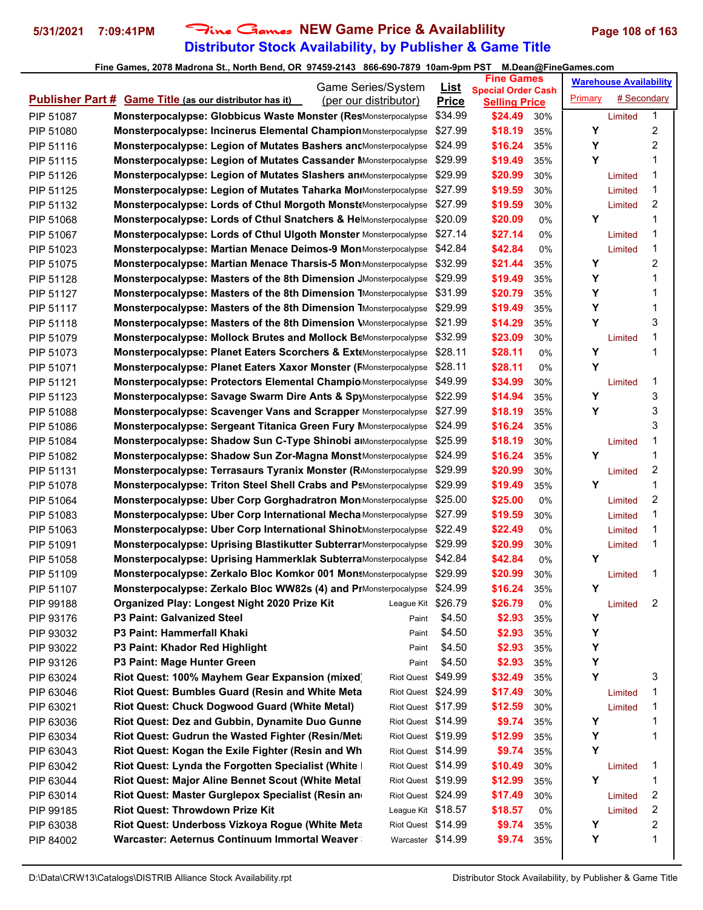# **Distributor Stock Availability, by Publisher & Game Title 5/31/2021 7:09:41PM** Fine Games **NEW Game Price & Availablility Page 108 of 163**

|           | Game Series/System                                                                      | <u>List</u>        | <b>Fine Games</b>                                 |         | <b>Warehouse Availability</b> |                |  |
|-----------|-----------------------------------------------------------------------------------------|--------------------|---------------------------------------------------|---------|-------------------------------|----------------|--|
|           | <b>Publisher Part # Game Title (as our distributor has it)</b><br>(per our distributor) | <b>Price</b>       | <b>Special Order Cash</b><br><b>Selling Price</b> | Primary | # Secondary                   |                |  |
| PIP 51087 | <b>Monsterpocalypse: Globbicus Waste Monster (ResMonsterpocalypse</b>                   | \$34.99            | \$24.49<br>30%                                    |         | Limited                       | 1              |  |
| PIP 51080 | Monsterpocalypse: Incinerus Elemental Champion Monsterpocalypse                         | \$27.99            | \$18.19<br>35%                                    | Υ       |                               | 2              |  |
| PIP 51116 | Monsterpocalypse: Legion of Mutates Bashers ancMonsterpocalypse                         | \$24.99            | \$16.24<br>35%                                    | Υ       |                               | 2              |  |
| PIP 51115 | <b>Monsterpocalypse: Legion of Mutates Cassander Monsterpocalypse</b>                   | \$29.99            | \$19.49<br>35%                                    | Υ       |                               | 1              |  |
| PIP 51126 | Monsterpocalypse: Legion of Mutates Slashers an Monsterpocalypse                        | \$29.99            | \$20.99<br>30%                                    |         | Limited                       | 1              |  |
| PIP 51125 | Monsterpocalypse: Legion of Mutates Taharka MoIMonsterpocalypse                         | \$27.99            | \$19.59<br>30%                                    |         | Limited                       | 1              |  |
| PIP 51132 | <b>Monsterpocalypse: Lords of Cthul Morgoth Monst</b> Monsterpocalypse                  | \$27.99            | \$19.59<br>30%                                    |         | Limited                       | 2              |  |
| PIP 51068 | Monsterpocalypse: Lords of Cthul Snatchers & HelMonsterpocalypse                        | \$20.09            | \$20.09<br>0%                                     | Υ       |                               | 1              |  |
| PIP 51067 | <b>Monsterpocalypse: Lords of Cthul Ulgoth Monster Monsterpocalypse</b>                 | \$27.14            | \$27.14<br>0%                                     |         | Limited                       | 1              |  |
| PIP 51023 | Monsterpocalypse: Martian Menace Deimos-9 MonMonsterpocalypse                           | \$42.84            | \$42.84<br>0%                                     |         | Limited                       | 1              |  |
| PIP 51075 | Monsterpocalypse: Martian Menace Tharsis-5 Mon Monsterpocalypse                         | \$32.99            | \$21.44<br>35%                                    | Y       |                               | 2              |  |
| PIP 51128 | Monsterpocalypse: Masters of the 8th Dimension JMonsterpocalypse                        | \$29.99            | \$19.49<br>35%                                    | Υ       |                               | 1              |  |
| PIP 51127 | Monsterpocalypse: Masters of the 8th Dimension 7Monsterpocalypse                        | \$31.99            | \$20.79<br>35%                                    | Υ       |                               | 1              |  |
| PIP 51117 | <b>Monsterpocalypse: Masters of the 8th Dimension TMonsterpocalypse</b>                 | \$29.99            | \$19.49<br>35%                                    | Υ       |                               | 1              |  |
| PIP 51118 | <b>Monsterpocalypse: Masters of the 8th Dimension \</b> Monsterpocalypse                | \$21.99            | \$14.29<br>35%                                    | Υ       |                               | 3              |  |
| PIP 51079 | <b>Monsterpocalypse: Mollock Brutes and Mollock BeMonsterpocalypse</b>                  | \$32.99            | \$23.09<br>30%                                    |         | Limited                       | 1              |  |
| PIP 51073 | Monsterpocalypse: Planet Eaters Scorchers & Ext(Monsterpocalypse                        | \$28.11            | \$28.11<br>0%                                     | Υ       |                               | 1              |  |
| PIP 51071 | <b>Monsterpocalypse: Planet Eaters Xaxor Monster (FMonsterpocalypse</b>                 | \$28.11            | \$28.11<br>0%                                     | Y       |                               |                |  |
| PIP 51121 | Monsterpocalypse: Protectors Elemental Champio Monsterpocalypse                         | \$49.99            | \$34.99<br>30%                                    |         | Limited                       | 1              |  |
| PIP 51123 | Monsterpocalypse: Savage Swarm Dire Ants & SpyMonsterpocalypse                          | \$22.99            | \$14.94<br>35%                                    | Υ       |                               | 3              |  |
| PIP 51088 | Monsterpocalypse: Scavenger Vans and Scrapper Monsterpocalypse                          | \$27.99            | \$18.19<br>35%                                    | Y       |                               | 3              |  |
| PIP 51086 | <b>Monsterpocalypse: Sergeant Titanica Green Fury MMonsterpocalypse</b>                 | \$24.99            | \$16.24<br>35%                                    |         |                               | 3              |  |
| PIP 51084 | Monsterpocalypse: Shadow Sun C-Type Shinobi alMonsterpocalypse                          | \$25.99            | \$18.19<br>30%                                    |         | Limited                       | 1              |  |
| PIP 51082 | Monsterpocalypse: Shadow Sun Zor-Magna Monst Monsterpocalypse                           | \$24.99            | \$16.24<br>35%                                    | Υ       |                               | 1              |  |
| PIP 51131 | <b>Monsterpocalypse: Terrasaurs Tyranix Monster (R</b> iMonsterpocalypse                | \$29.99            | \$20.99<br>30%                                    |         | Limited                       | 2              |  |
| PIP 51078 | <b>Monsterpocalypse: Triton Steel Shell Crabs and PsMonsterpocalypse</b>                | \$29.99            | \$19.49<br>35%                                    | Y       |                               | 1              |  |
| PIP 51064 | Monsterpocalypse: Uber Corp Gorghadratron Mon Monsterpocalypse                          | \$25.00            | \$25.00<br>0%                                     |         | Limited                       | 2              |  |
| PIP 51083 | <b>Monsterpocalypse: Uber Corp International Mecha Monsterpocalypse</b>                 | \$27.99            | \$19.59<br>30%                                    |         | Limited                       | 1              |  |
| PIP 51063 | <b>Monsterpocalypse: Uber Corp International Shinot</b> Monsterpocalypse                | \$22.49            | \$22.49<br>0%                                     |         | Limited                       | 1              |  |
| PIP 51091 | Monsterpocalypse: Uprising Blastikutter SubterrarMonsterpocalypse                       | \$29.99            | \$20.99<br>30%                                    |         | Limited                       | 1              |  |
| PIP 51058 | <b>Monsterpocalypse: Uprising Hammerklak Subterra</b> Monsterpocalypse                  | \$42.84            | \$42.84<br>0%                                     | Υ       |                               |                |  |
| PIP 51109 | Monsterpocalypse: Zerkalo Bloc Komkor 001 MonsMonsterpocalypse                          | \$29.99            | \$20.99<br>30%                                    |         | Limited                       | 1              |  |
| PIP 51107 | Monsterpocalypse: Zerkalo Bloc WW82s (4) and PrMonsterpocalypse \$24.99                 |                    | \$16.24<br>35%                                    | Υ       |                               |                |  |
| PIP 99188 | Organized Play: Longest Night 2020 Prize Kit                                            | League Kit \$26.79 | \$26.79<br>0%                                     |         | Limited                       | $\overline{2}$ |  |
| PIP 93176 | P3 Paint: Galvanized Steel<br>Paint                                                     | \$4.50             | \$2.93<br>35%                                     | Υ       |                               |                |  |
| PIP 93032 | P3 Paint: Hammerfall Khaki<br>Paint                                                     | \$4.50             | \$2.93<br>35%                                     | Υ       |                               |                |  |
| PIP 93022 | P3 Paint: Khador Red Highlight<br>Paint                                                 | \$4.50             | \$2.93<br>35%                                     | Υ       |                               |                |  |
| PIP 93126 | P3 Paint: Mage Hunter Green<br>Paint                                                    | \$4.50             | \$2.93<br>35%                                     | Υ       |                               |                |  |
| PIP 63024 | Riot Quest: 100% Mayhem Gear Expansion (mixed)                                          | Riot Quest \$49.99 | \$32.49<br>35%                                    | Y       |                               | 3              |  |
| PIP 63046 | Riot Quest: Bumbles Guard (Resin and White Meta                                         | Riot Quest \$24.99 | \$17.49<br>30%                                    |         | Limited                       | 1              |  |
| PIP 63021 | Riot Quest: Chuck Dogwood Guard (White Metal)                                           | Riot Quest \$17.99 | \$12.59<br>30%                                    |         | Limited                       | 1              |  |
| PIP 63036 | Riot Quest: Dez and Gubbin, Dynamite Duo Gunne                                          | Riot Quest \$14.99 | \$9.74<br>35%                                     | Υ       |                               | 1              |  |
| PIP 63034 | Riot Quest: Gudrun the Wasted Fighter (Resin/Meta                                       | Riot Quest \$19.99 | \$12.99<br>35%                                    | Υ       |                               | 1              |  |
| PIP 63043 | Riot Quest: Kogan the Exile Fighter (Resin and Wh                                       | Riot Quest \$14.99 | \$9.74<br>35%                                     | Υ       |                               |                |  |
| PIP 63042 | Riot Quest: Lynda the Forgotten Specialist (White                                       | Riot Quest \$14.99 | \$10.49<br>30%                                    |         | Limited                       | 1              |  |
| PIP 63044 | Riot Quest: Major Aline Bennet Scout (White Metal                                       | Riot Quest \$19.99 | \$12.99<br>35%                                    | Υ       |                               | 1              |  |
| PIP 63014 | Riot Quest: Master Gurglepox Specialist (Resin and                                      | Riot Quest \$24.99 | \$17.49<br>30%                                    |         | Limited                       | 2              |  |
| PIP 99185 | <b>Riot Quest: Throwdown Prize Kit</b>                                                  | League Kit \$18.57 | \$18.57<br>0%                                     |         | Limited                       | 2              |  |
| PIP 63038 | Riot Quest: Underboss Vizkoya Rogue (White Meta                                         | Riot Quest \$14.99 | \$9.74<br>35%                                     | Υ       |                               | 2              |  |
| PIP 84002 | Warcaster: Aeternus Continuum Immortal Weaver                                           | Warcaster \$14.99  | \$9.74<br>35%                                     | Υ       |                               | 1              |  |
|           |                                                                                         |                    |                                                   |         |                               |                |  |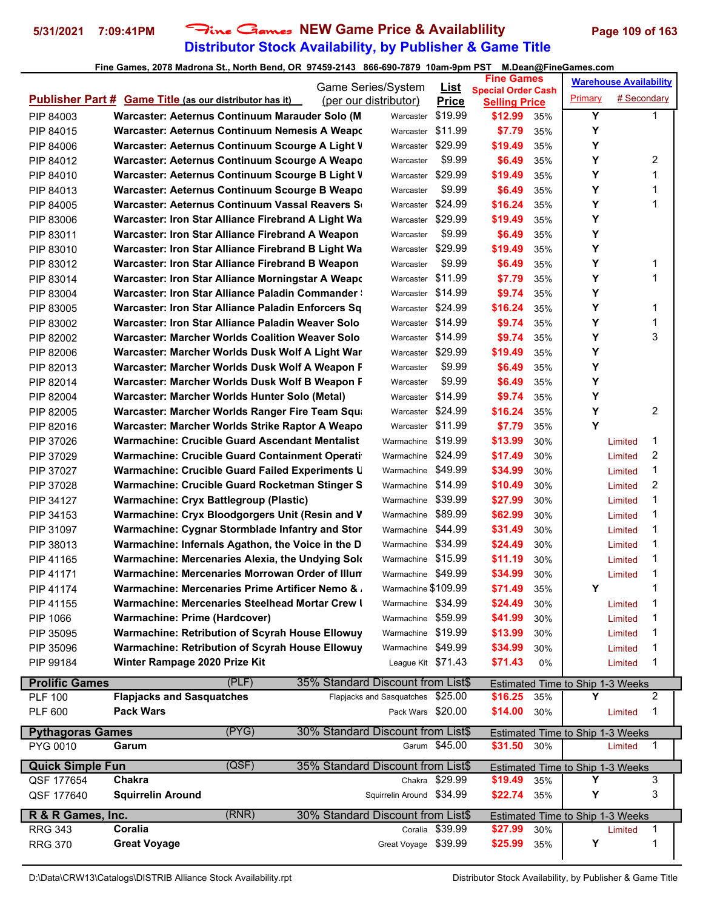## **Distributor Stock Availability, by Publisher & Game Title 5/31/2021 7:09:41PM** Fine Games **NEW Game Price & Availablility Page 109 of 163**

|                         |                                                                | Game Series/System                | <u>List</u>    | <b>Fine Games</b>                                 |            | <b>Warehouse Availability</b>           |                    |                |  |
|-------------------------|----------------------------------------------------------------|-----------------------------------|----------------|---------------------------------------------------|------------|-----------------------------------------|--------------------|----------------|--|
|                         | <b>Publisher Part # Game Title (as our distributor has it)</b> | (per our distributor)             | <b>Price</b>   | <b>Special Order Cash</b><br><b>Selling Price</b> |            | Primary                                 | # Secondary        |                |  |
| PIP 84003               | Warcaster: Aeternus Continuum Marauder Solo (M                 | Warcaster                         | \$19.99        | \$12.99                                           | 35%        | Y                                       |                    | 1              |  |
| PIP 84015               | Warcaster: Aeternus Continuum Nemesis A Weapon                 | Warcaster                         | \$11.99        | \$7.79                                            | 35%        | Y                                       |                    |                |  |
| PIP 84006               | Warcaster: Aeternus Continuum Scourge A Light V                | Warcaster                         | \$29.99        | \$19.49                                           | 35%        | Y                                       |                    |                |  |
| PIP 84012               | Warcaster: Aeternus Continuum Scourge A Weapo                  | Warcaster                         | \$9.99         | \$6.49                                            | 35%        | Y                                       |                    | 2              |  |
| PIP 84010               | Warcaster: Aeternus Continuum Scourge B Light V                | Warcaster                         | \$29.99        | \$19.49                                           | 35%        | Y                                       |                    | 1              |  |
| PIP 84013               | Warcaster: Aeternus Continuum Scourge B Weapo                  | Warcaster                         | \$9.99         | \$6.49                                            | 35%        | Y                                       |                    | 1              |  |
| PIP 84005               | Warcaster: Aeternus Continuum Vassal Reavers S                 | Warcaster                         | \$24.99        | \$16.24                                           | 35%        | Y                                       |                    | 1              |  |
| PIP 83006               | Warcaster: Iron Star Alliance Firebrand A Light Wa             | Warcaster \$29.99                 |                | \$19.49                                           | 35%        | Y                                       |                    |                |  |
| PIP 83011               | Warcaster: Iron Star Alliance Firebrand A Weapon               | Warcaster                         | \$9.99         | \$6.49                                            | 35%        | Y                                       |                    |                |  |
| PIP 83010               | Warcaster: Iron Star Alliance Firebrand B Light Wa             | Warcaster \$29.99                 |                | \$19.49                                           | 35%        | Y                                       |                    |                |  |
| PIP 83012               | Warcaster: Iron Star Alliance Firebrand B Weapon               | Warcaster                         | \$9.99         | \$6.49                                            | 35%        | Y                                       |                    | 1              |  |
| PIP 83014               | Warcaster: Iron Star Alliance Morningstar A Weapo              | Warcaster                         | \$11.99        | \$7.79                                            | 35%        | Y                                       |                    | 1              |  |
| PIP 83004               | <b>Warcaster: Iron Star Alliance Paladin Commander:</b>        | Warcaster \$14.99                 |                | \$9.74                                            | 35%        | Y                                       |                    |                |  |
| PIP 83005               | Warcaster: Iron Star Alliance Paladin Enforcers Sq             | Warcaster \$24.99                 |                | \$16.24                                           | 35%        | Y                                       |                    | 1              |  |
| PIP 83002               | Warcaster: Iron Star Alliance Paladin Weaver Solo              | Warcaster \$14.99                 |                | \$9.74                                            | 35%        | Y                                       |                    | 1              |  |
| PIP 82002               | Warcaster: Marcher Worlds Coalition Weaver Solo                | Warcaster \$14.99                 |                | \$9.74                                            | 35%        | Y                                       |                    | 3              |  |
| PIP 82006               | Warcaster: Marcher Worlds Dusk Wolf A Light War                | Warcaster \$29.99                 |                | \$19.49                                           | 35%        | Y                                       |                    |                |  |
| PIP 82013               | Warcaster: Marcher Worlds Dusk Wolf A Weapon F                 | Warcaster                         | \$9.99         | \$6.49                                            | 35%        | Y                                       |                    |                |  |
| PIP 82014               | Warcaster: Marcher Worlds Dusk Wolf B Weapon F                 | Warcaster                         | \$9.99         | \$6.49                                            | 35%        | Y                                       |                    |                |  |
| PIP 82004               | Warcaster: Marcher Worlds Hunter Solo (Metal)                  | Warcaster \$14.99                 |                | \$9.74                                            | 35%        | Y                                       |                    |                |  |
| PIP 82005               | Warcaster: Marcher Worlds Ranger Fire Team Squa                | Warcaster \$24.99                 |                | \$16.24                                           | 35%        | Y                                       |                    | 2              |  |
| PIP 82016               | Warcaster: Marcher Worlds Strike Raptor A Weapo                | Warcaster \$11.99                 |                | \$7.79                                            | 35%        | Y                                       |                    |                |  |
| PIP 37026               | Warmachine: Crucible Guard Ascendant Mentalist                 | Warmachine \$19.99                |                | \$13.99                                           | 30%        |                                         |                    | 1              |  |
| PIP 37029               | <b>Warmachine: Crucible Guard Containment Operati</b>          | Warmachine \$24.99                |                | \$17.49                                           | 30%        |                                         | Limited<br>Limited | $\overline{c}$ |  |
|                         | Warmachine: Crucible Guard Failed Experiments U                | Warmachine \$49.99                |                | \$34.99                                           |            |                                         |                    | 1              |  |
| PIP 37027               | Warmachine: Crucible Guard Rocketman Stinger S                 | Warmachine \$14.99                |                | \$10.49                                           | 30%<br>30% |                                         | Limited            | 2              |  |
| PIP 37028               |                                                                | Warmachine \$39.99                |                |                                                   |            |                                         | Limited            | 1              |  |
| PIP 34127               | <b>Warmachine: Cryx Battlegroup (Plastic)</b>                  | Warmachine \$89.99                |                | \$27.99                                           | 30%        |                                         | Limited            | 1              |  |
| PIP 34153               | Warmachine: Cryx Bloodgorgers Unit (Resin and V                |                                   |                | \$62.99                                           | 30%        |                                         | Limited            |                |  |
| PIP 31097               | Warmachine: Cygnar Stormblade Infantry and Stor                | Warmachine \$44.99                |                | \$31.49                                           | 30%        |                                         | Limited            | 1              |  |
| PIP 38013               | Warmachine: Infernals Agathon, the Voice in the D              | Warmachine \$34.99                |                | \$24.49                                           | 30%        |                                         | Limited            | 1              |  |
| PIP 41165               | Warmachine: Mercenaries Alexia, the Undying Solo               | Warmachine \$15.99                |                | \$11.19                                           | 30%        |                                         | Limited            | 1              |  |
| PIP 41171               | Warmachine: Mercenaries Morrowan Order of Illun                | Warmachine \$49.99                |                | \$34.99                                           | 30%        |                                         | Limited            | 1              |  |
| PIP 41174               | Warmachine: Mercenaries Prime Artificer Nemo & .               | Warmachine \$109.99               |                | \$71.49                                           | 35%        | Y                                       |                    | 1              |  |
| PIP 41155               | Warmachine: Mercenaries Steelhead Mortar Crew I                | Warmachine \$34.99                |                | \$24.49                                           | 30%        |                                         | Limited            | 1              |  |
| PIP 1066                | Warmachine: Prime (Hardcover)                                  | Warmachine \$59.99                |                | \$41.99                                           | 30%        |                                         | Limited            | 1              |  |
| PIP 35095               | Warmachine: Retribution of Scyrah House Ellowuy                | Warmachine \$19.99                |                | \$13.99                                           | 30%        |                                         | Limited            | 1              |  |
| PIP 35096               | Warmachine: Retribution of Scyrah House Ellowuy                | Warmachine \$49.99                |                | \$34.99                                           | 30%        |                                         | Limited            | 1              |  |
| PIP 99184               | Winter Rampage 2020 Prize Kit                                  | League Kit \$71.43                |                | \$71.43                                           | 0%         |                                         | Limited            | 1              |  |
| <b>Prolific Games</b>   | (PLE)                                                          | 35% Standard Discount from List\$ |                |                                                   |            | Estimated Time to Ship 1-3 Weeks        |                    |                |  |
| <b>PLF 100</b>          | <b>Flapjacks and Sasquatches</b>                               | Flapjacks and Sasquatches \$25.00 |                | \$16.25                                           | 35%        | Y                                       |                    | 2              |  |
| <b>PLF 600</b>          | <b>Pack Wars</b>                                               | Pack Wars \$20.00                 |                | \$14.00                                           | 30%        |                                         | Limited            | 1              |  |
| <b>Pythagoras Games</b> | (PYG)                                                          | 30% Standard Discount from List\$ |                |                                                   |            | Estimated Time to Ship 1-3 Weeks        |                    |                |  |
| PYG 0010                | Garum                                                          |                                   | Garum \$45.00  | \$31.50                                           | 30%        |                                         | Limited            | 1              |  |
| <b>Quick Simple Fun</b> | (QSF)                                                          | 35% Standard Discount from List\$ |                |                                                   |            | Estimated Time to Ship 1-3 Weeks        |                    |                |  |
| QSF 177654              | Chakra                                                         |                                   | Chakra \$29.99 | \$19.49                                           | 35%        | Y                                       |                    | 3              |  |
| QSF 177640              | <b>Squirrelin Around</b>                                       | Squirrelin Around \$34.99         |                | \$22.74                                           | 35%        | Υ                                       |                    | 3              |  |
| R & R Games, Inc.       | (RNR)                                                          | 30% Standard Discount from List\$ |                |                                                   |            |                                         |                    |                |  |
| <b>RRG 343</b>          | Coralia                                                        | Coralia                           | \$39.99        | \$27.99                                           | 30%        | <b>Estimated Time to Ship 1-3 Weeks</b> | Limited            | 1              |  |
| <b>RRG 370</b>          | <b>Great Voyage</b>                                            | Great Voyage \$39.99              |                | \$25.99                                           | 35%        | Υ                                       |                    | 1              |  |
|                         |                                                                |                                   |                |                                                   |            |                                         |                    |                |  |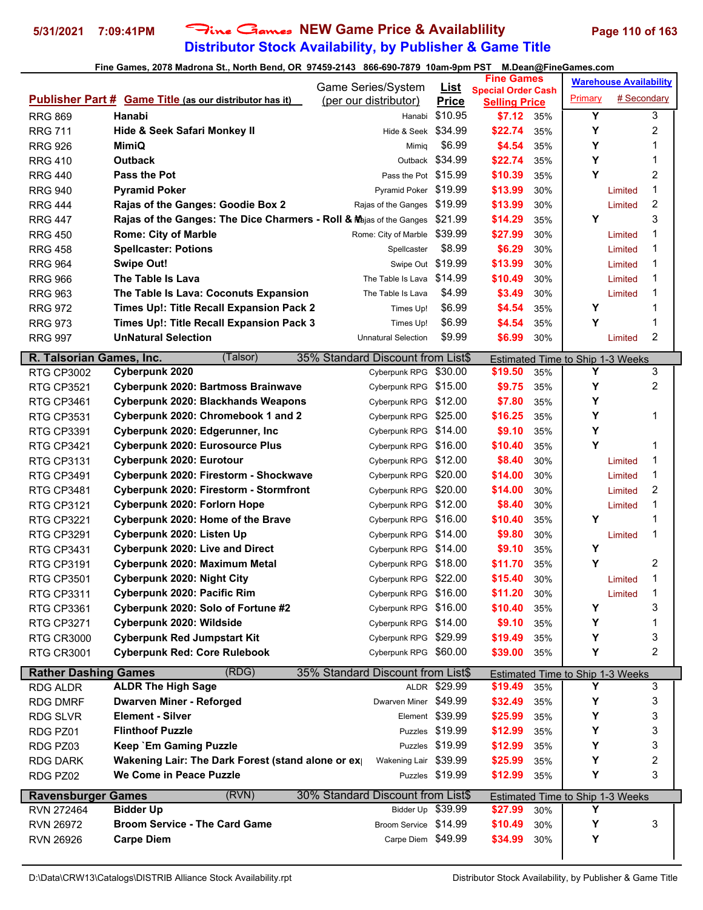# **Distributor Stock Availability, by Publisher & Game Title 5/31/2021 7:09:41PM** Fine Games **NEW Game Price & Availablility Page 110 of 163**

|                             |                                                                     | Game Series/System                | <b>List</b>     | <b>Fine Games</b>                                 |     |                                       | <b>Warehouse Availability</b> |   |  |
|-----------------------------|---------------------------------------------------------------------|-----------------------------------|-----------------|---------------------------------------------------|-----|---------------------------------------|-------------------------------|---|--|
|                             | <b>Publisher Part # Game Title (as our distributor has it)</b>      | (per our distributor)             | <b>Price</b>    | <b>Special Order Cash</b><br><b>Selling Price</b> |     | Primary                               | # Secondary                   |   |  |
| <b>RRG 869</b>              | Hanabi                                                              | Hanabi                            | \$10.95         | \$7.12                                            | 35% | Y                                     |                               | 3 |  |
| <b>RRG 711</b>              | Hide & Seek Safari Monkey II                                        | Hide & Seek \$34.99               |                 | \$22.74                                           | 35% | Υ                                     |                               | 2 |  |
| <b>RRG 926</b>              | <b>MimiQ</b>                                                        | Mimiq                             | \$6.99          | \$4.54                                            | 35% | Y                                     |                               | 1 |  |
| <b>RRG 410</b>              | <b>Outback</b>                                                      | Outback                           | \$34.99         | \$22.74                                           | 35% | Υ                                     |                               | 1 |  |
| <b>RRG 440</b>              | <b>Pass the Pot</b>                                                 | Pass the Pot \$15.99              |                 | \$10.39                                           | 35% | Y                                     |                               | 2 |  |
| <b>RRG 940</b>              | <b>Pyramid Poker</b>                                                | Pyramid Poker \$19.99             |                 | \$13.99                                           | 30% |                                       | Limited                       | 1 |  |
| <b>RRG 444</b>              | Rajas of the Ganges: Goodie Box 2                                   | Rajas of the Ganges \$19.99       |                 | \$13.99                                           | 30% |                                       | Limited                       | 2 |  |
| <b>RRG 447</b>              | Rajas of the Ganges: The Dice Charmers - Roll & Majas of the Ganges |                                   | \$21.99         | \$14.29                                           | 35% | Y                                     |                               | 3 |  |
| <b>RRG 450</b>              | <b>Rome: City of Marble</b>                                         | Rome: City of Marble              | \$39.99         | \$27.99                                           | 30% |                                       | Limited                       | 1 |  |
| <b>RRG 458</b>              | <b>Spellcaster: Potions</b>                                         | Spellcaster                       | \$8.99          | \$6.29                                            | 30% |                                       | Limited                       | 1 |  |
| <b>RRG 964</b>              | <b>Swipe Out!</b>                                                   | Swipe Out \$19.99                 |                 | \$13.99                                           | 30% |                                       | Limited                       | 1 |  |
| <b>RRG 966</b>              | The Table Is Lava                                                   | The Table Is Lava \$14.99         |                 | \$10.49                                           | 30% |                                       | Limited                       | 1 |  |
| <b>RRG 963</b>              | The Table Is Lava: Coconuts Expansion                               | The Table Is Lava                 | \$4.99          | \$3.49                                            | 30% |                                       | Limited                       | 1 |  |
| <b>RRG 972</b>              | Times Up!: Title Recall Expansion Pack 2                            | Times Up!                         | \$6.99          | \$4.54                                            | 35% | Y                                     |                               | 1 |  |
| <b>RRG 973</b>              | Times Up!: Title Recall Expansion Pack 3                            | Times Up!                         | \$6.99          | \$4.54                                            | 35% | Y                                     |                               | 1 |  |
| <b>RRG 997</b>              | <b>UnNatural Selection</b>                                          | <b>Unnatural Selection</b>        | \$9.99          | \$6.99                                            | 30% |                                       | Limited                       | 2 |  |
|                             |                                                                     |                                   |                 |                                                   |     |                                       |                               |   |  |
| R. Talsorian Games, Inc.    | (Talsor)                                                            | 35% Standard Discount from List\$ |                 |                                                   |     | Estimated Time to Ship 1-3 Weeks      |                               |   |  |
| <b>RTG CP3002</b>           | Cyberpunk 2020                                                      | Cyberpunk RPG                     | \$30.00         | \$19.50                                           | 35% | Υ                                     |                               | 3 |  |
| <b>RTG CP3521</b>           | Cyberpunk 2020: Bartmoss Brainwave                                  | Cyberpunk RPG                     | \$15.00         | \$9.75                                            | 35% | Υ                                     |                               | 2 |  |
| <b>RTG CP3461</b>           | Cyberpunk 2020: Blackhands Weapons                                  | Cyberpunk RPG                     | \$12.00         | \$7.80                                            | 35% | Υ                                     |                               |   |  |
| <b>RTG CP3531</b>           | Cyberpunk 2020: Chromebook 1 and 2                                  | Cyberpunk RPG                     | \$25.00         | \$16.25                                           | 35% | Υ                                     |                               | 1 |  |
| <b>RTG CP3391</b>           | Cyberpunk 2020: Edgerunner, Inc.                                    | Cyberpunk RPG                     | \$14.00         | \$9.10                                            | 35% | Υ                                     |                               |   |  |
| <b>RTG CP3421</b>           | <b>Cyberpunk 2020: Eurosource Plus</b>                              | Cyberpunk RPG                     | \$16.00         | \$10.40                                           | 35% | Y                                     |                               | 1 |  |
| <b>RTG CP3131</b>           | Cyberpunk 2020: Eurotour                                            | Cyberpunk RPG                     | \$12.00         | \$8.40                                            | 30% |                                       | Limited                       | 1 |  |
| <b>RTG CP3491</b>           | Cyberpunk 2020: Firestorm - Shockwave                               | Cyberpunk RPG                     | \$20.00         | \$14.00                                           | 30% |                                       | Limited                       | 1 |  |
| <b>RTG CP3481</b>           | Cyberpunk 2020: Firestorm - Stormfront                              | Cyberpunk RPG                     | \$20.00         | \$14.00                                           | 30% |                                       | Limited                       | 2 |  |
| <b>RTG CP3121</b>           | Cyberpunk 2020: Forlorn Hope                                        | Cyberpunk RPG                     | \$12.00         | \$8.40                                            | 30% |                                       | Limited                       | 1 |  |
| <b>RTG CP3221</b>           | Cyberpunk 2020: Home of the Brave                                   | Cyberpunk RPG                     | \$16.00         | \$10.40                                           | 35% | Υ                                     |                               | 1 |  |
| <b>RTG CP3291</b>           | Cyberpunk 2020: Listen Up                                           | Cyberpunk RPG                     | \$14.00         | \$9.80                                            | 30% |                                       | Limited                       | 1 |  |
| <b>RTG CP3431</b>           | <b>Cyberpunk 2020: Live and Direct</b>                              | Cyberpunk RPG                     | \$14.00         | \$9.10                                            | 35% | Y                                     |                               |   |  |
| <b>RTG CP3191</b>           | Cyberpunk 2020: Maximum Metal                                       | Cyberpunk RPG \$18.00             |                 | \$11.70                                           | 35% | Y                                     |                               | 2 |  |
| <b>RTG CP3501</b>           | Cyberpunk 2020: Night City                                          | Cyberpunk RPG \$22.00             |                 | \$15.40                                           | 30% |                                       | Limited                       | 1 |  |
| <b>RTG CP3311</b>           | Cyberpunk 2020: Pacific Rim                                         | Cyberpunk RPG \$16.00             |                 | \$11.20                                           | 30% |                                       | Limited                       | 1 |  |
| <b>RTG CP3361</b>           | Cyberpunk 2020: Solo of Fortune #2                                  | Cyberpunk RPG \$16.00             |                 | \$10.40                                           | 35% | Y                                     |                               | 3 |  |
| <b>RTG CP3271</b>           | Cyberpunk 2020: Wildside                                            | Cyberpunk RPG \$14.00             |                 | \$9.10                                            | 35% | Y                                     |                               | 1 |  |
| <b>RTG CR3000</b>           | <b>Cyberpunk Red Jumpstart Kit</b>                                  | Cyberpunk RPG \$29.99             |                 | \$19.49                                           | 35% | Y                                     |                               | 3 |  |
| <b>RTG CR3001</b>           | <b>Cyberpunk Red: Core Rulebook</b>                                 | Cyberpunk RPG \$60.00             |                 | \$39.00                                           | 35% | Υ                                     |                               | 2 |  |
| <b>Rather Dashing Games</b> | (RDG)                                                               | 35% Standard Discount from List\$ |                 |                                                   |     | Estimated Time to Ship 1-3 Weeks      |                               |   |  |
| RDG ALDR                    | <b>ALDR The High Sage</b>                                           |                                   | ALDR \$29.99    | \$19.49                                           | 35% | Y                                     |                               | 3 |  |
| <b>RDG DMRF</b>             | <b>Dwarven Miner - Reforged</b>                                     | Dwarven Miner \$49.99             |                 | \$32.49                                           | 35% | Y                                     |                               | 3 |  |
| <b>RDG SLVR</b>             | <b>Element - Silver</b>                                             |                                   | Element \$39.99 | \$25.99                                           | 35% | Υ                                     |                               | 3 |  |
| RDG PZ01                    | <b>Flinthoof Puzzle</b>                                             |                                   | Puzzles \$19.99 | \$12.99                                           | 35% | Υ                                     |                               | 3 |  |
| RDG PZ03                    | Keep `Em Gaming Puzzle                                              |                                   | Puzzles \$19.99 | \$12.99                                           | 35% | Υ                                     |                               | 3 |  |
| <b>RDG DARK</b>             | Wakening Lair: The Dark Forest (stand alone or ex                   | Wakening Lair \$39.99             |                 | \$25.99                                           | 35% | Y                                     |                               | 2 |  |
| RDG PZ02                    | We Come in Peace Puzzle                                             |                                   | Puzzles \$19.99 | \$12.99                                           | 35% | Υ                                     |                               | 3 |  |
| <b>Ravensburger Games</b>   | (RVN)                                                               | 30% Standard Discount from List\$ |                 |                                                   |     |                                       |                               |   |  |
| RVN 272464                  | <b>Bidder Up</b>                                                    | Bidder Up \$39.99                 |                 | \$27.99                                           | 30% | Estimated Time to Ship 1-3 Weeks<br>Y |                               |   |  |
| RVN 26972                   | <b>Broom Service - The Card Game</b>                                | Broom Service \$14.99             |                 | \$10.49                                           | 30% | Υ                                     |                               | 3 |  |
| <b>RVN 26926</b>            | <b>Carpe Diem</b>                                                   | Carpe Diem \$49.99                |                 | \$34.99                                           | 30% | Y                                     |                               |   |  |
|                             |                                                                     |                                   |                 |                                                   |     |                                       |                               |   |  |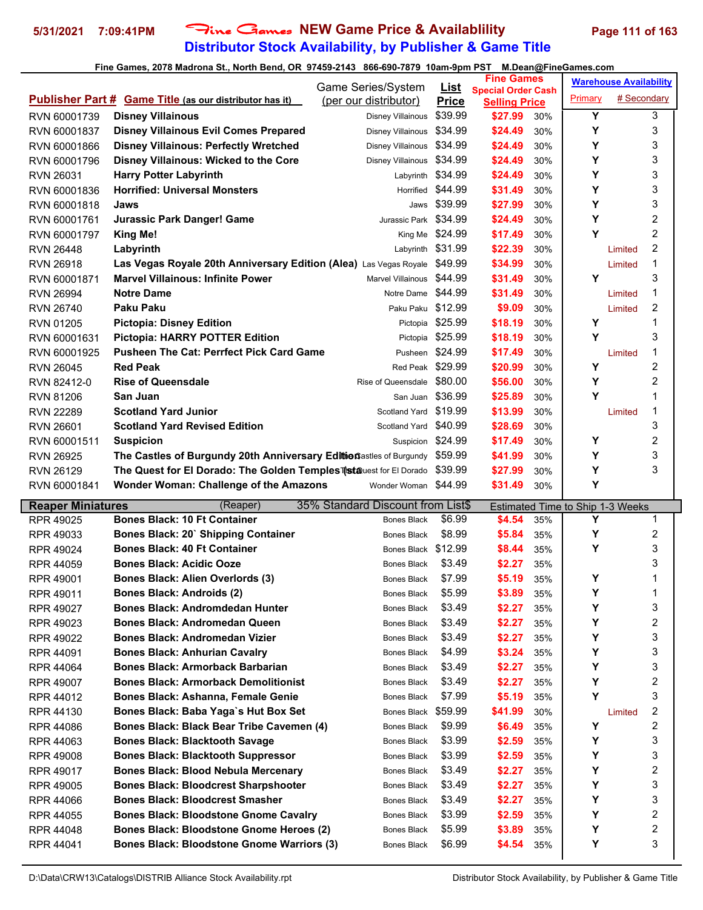## **Distributor Stock Availability, by Publisher & Game Title 5/31/2021 7:09:41PM** Fine Games **NEW Game Price & Availablility Page 111 of 163**

#### **Fine Games, 2078 Madrona St., North Bend, OR 97459-2143 866-690-7879 10am-9pm PST M.Dean@FineGames.com**

|                          | $\frac{1}{2}$ and compare the contract of the contract of the contract of the contract of the spin $\sim$ |                                   |                  | <b>Fine Games</b>         |     |                                  | <b>Warehouse Availability</b> |                |
|--------------------------|-----------------------------------------------------------------------------------------------------------|-----------------------------------|------------------|---------------------------|-----|----------------------------------|-------------------------------|----------------|
|                          |                                                                                                           | Game Series/System                | <u>List</u>      | <b>Special Order Cash</b> |     |                                  |                               |                |
|                          | <b>Publisher Part # Game Title (as our distributor has it)</b>                                            | (per our distributor)             | <b>Price</b>     | <b>Selling Price</b>      |     | Primary                          | # Secondary                   |                |
| RVN 60001739             | <b>Disney Villainous</b>                                                                                  | <b>Disney Villainous</b>          | \$39.99          | \$27.99                   | 30% | $\overline{\mathsf{Y}}$          |                               | 3              |
| RVN 60001837             | <b>Disney Villainous Evil Comes Prepared</b>                                                              | Disney Villainous                 | \$34.99          | \$24.49                   | 30% | Y                                |                               | 3              |
| RVN 60001866             | <b>Disney Villainous: Perfectly Wretched</b>                                                              | Disney Villainous \$34.99         |                  | \$24.49                   | 30% | Y                                |                               | 3              |
| RVN 60001796             | <b>Disney Villainous: Wicked to the Core</b>                                                              | Disney Villainous                 | \$34.99          | \$24.49                   | 30% | Υ                                |                               | 3              |
| <b>RVN 26031</b>         | <b>Harry Potter Labyrinth</b>                                                                             | Labyrinth                         | \$34.99          | \$24.49                   | 30% | Y                                |                               | 3              |
| RVN 60001836             | <b>Horrified: Universal Monsters</b>                                                                      | Horrified                         | \$44.99          | \$31.49                   | 30% | Y                                |                               | 3              |
| RVN 60001818             | Jaws                                                                                                      | Jaws                              | \$39.99          | \$27.99                   | 30% | Y                                |                               | 3              |
| RVN 60001761             | <b>Jurassic Park Danger! Game</b>                                                                         | Jurassic Park \$34.99             |                  | \$24.49                   | 30% | Y                                |                               | 2              |
| RVN 60001797             | <b>King Me!</b>                                                                                           |                                   | King Me \$24.99  | \$17.49                   | 30% | Υ                                |                               | $\overline{2}$ |
| <b>RVN 26448</b>         | Labyrinth                                                                                                 | Labyrinth \$31.99                 |                  | \$22.39                   | 30% |                                  | Limited                       | $\overline{2}$ |
| <b>RVN 26918</b>         | Las Vegas Royale 20th Anniversary Edition (Alea) Las Vegas Royale                                         |                                   | \$49.99          | \$34.99                   | 30% |                                  | Limited                       | 1              |
| RVN 60001871             | <b>Marvel Villainous: Infinite Power</b>                                                                  | Marvel Villainous                 | \$44.99          | \$31.49                   | 30% | Y                                |                               | 3              |
| <b>RVN 26994</b>         | <b>Notre Dame</b>                                                                                         | Notre Dame \$44.99                |                  | \$31.49                   | 30% |                                  | Limited                       | 1              |
| <b>RVN 26740</b>         | <b>Paku Paku</b>                                                                                          | Paku Paku \$12.99                 |                  | \$9.09                    | 30% |                                  | Limited                       | $\overline{c}$ |
| <b>RVN 01205</b>         | <b>Pictopia: Disney Edition</b>                                                                           |                                   | Pictopia \$25.99 | \$18.19                   | 30% | Υ                                |                               | 1              |
| RVN 60001631             | <b>Pictopia: HARRY POTTER Edition</b>                                                                     |                                   | Pictopia \$25.99 | \$18.19                   | 30% | Y                                |                               | 3              |
| RVN 60001925             | <b>Pusheen The Cat: Perrfect Pick Card Game</b>                                                           | Pusheen                           | \$24.99          | \$17.49                   | 30% |                                  | Limited                       | 1              |
| <b>RVN 26045</b>         | <b>Red Peak</b>                                                                                           | Red Peak \$29.99                  |                  | \$20.99                   | 30% | Υ                                |                               | $\overline{c}$ |
| RVN 82412-0              | <b>Rise of Queensdale</b>                                                                                 | Rise of Queensdale                | \$80.00          | \$56.00                   | 30% | Y                                |                               | $\overline{c}$ |
| <b>RVN 81206</b>         | San Juan                                                                                                  | San Juan                          | \$36.99          | \$25.89                   | 30% | Y                                |                               | 1              |
| <b>RVN 22289</b>         | <b>Scotland Yard Junior</b>                                                                               | Scotland Yard                     | \$19.99          | \$13.99                   | 30% |                                  | Limited                       | 1              |
| <b>RVN 26601</b>         | <b>Scotland Yard Revised Edition</b>                                                                      | Scotland Yard                     | \$40.99          | \$28.69                   | 30% |                                  |                               | 3              |
| RVN 60001511             | <b>Suspicion</b>                                                                                          | Suspicion \$24.99                 |                  | \$17.49                   | 30% | Υ                                |                               | $\overline{c}$ |
| <b>RVN 26925</b>         | The Castles of Burgundy 20th Anniversary Editionastles of Burgundy                                        |                                   | \$59.99          | \$41.99                   | 30% | Y                                |                               | 3              |
| <b>RVN 26129</b>         | The Quest for El Dorado: The Golden Temples Tatauest for El Dorado                                        |                                   | \$39.99          | \$27.99                   | 30% | Y                                |                               | 3              |
| RVN 60001841             | <b>Wonder Woman: Challenge of the Amazons</b>                                                             | Wonder Woman \$44.99              |                  | \$31.49                   | 30% | Υ                                |                               |                |
| <b>Reaper Miniatures</b> | (Reaper)                                                                                                  | 35% Standard Discount from List\$ |                  |                           |     | Estimated Time to Ship 1-3 Weeks |                               |                |
| RPR 49025                | <b>Bones Black: 10 Ft Container</b>                                                                       | <b>Bones Black</b>                | \$6.99           | \$4.54                    | 35% | Υ                                |                               | 1              |
| RPR 49033                | Bones Black: 20` Shipping Container                                                                       | <b>Bones Black</b>                | \$8.99           | \$5.84                    | 35% | Υ                                |                               | 2              |
| <b>RPR 49024</b>         | <b>Bones Black: 40 Ft Container</b>                                                                       | Bones Black \$12.99               |                  | \$8.44                    | 35% | Y                                |                               | 3              |
| <b>RPR 44059</b>         | <b>Bones Black: Acidic Ooze</b>                                                                           | <b>Bones Black</b>                | \$3.49           | \$2.27                    | 35% |                                  |                               | 3              |
| RPR 49001                | <b>Bones Black: Alien Overlords (3)</b>                                                                   | Bones Black                       | \$7.99           | \$5.19                    | 35% | Υ                                |                               | 1              |
| RPR 49011                | <b>Bones Black: Androids (2)</b>                                                                          | Bones Black                       | \$5.99           | \$3.89                    | 35% | Υ                                |                               | 1              |
| RPR 49027                | <b>Bones Black: Andromdedan Hunter</b>                                                                    | <b>Bones Black</b>                | \$3.49           | \$2.27                    | 35% | Υ                                |                               | 3              |
| RPR 49023                | <b>Bones Black: Andromedan Queen</b>                                                                      | Bones Black                       | \$3.49           | \$2.27                    | 35% | Υ                                |                               | 2              |
| RPR 49022                | <b>Bones Black: Andromedan Vizier</b>                                                                     | Bones Black                       | \$3.49           | \$2.27                    | 35% | Υ                                |                               | 3              |
| RPR 44091                | <b>Bones Black: Anhurian Cavalry</b>                                                                      | <b>Bones Black</b>                | \$4.99           | \$3.24                    | 35% | Υ                                |                               | 3              |
| RPR 44064                | <b>Bones Black: Armorback Barbarian</b>                                                                   | <b>Bones Black</b>                | \$3.49           | \$2.27                    | 35% | Υ                                |                               | 3              |

RPR 49007 **Bones Black: Armorback Demolitionist** Bones Black \$3.49 **\$2.27** 35% **Y** 2 RPR 44012 **Bones Black: Ashanna, Female Genie** Bones Black \$7.99 **\$5.19** 35% **Y** 3 RPR 44130 **Bones Black: Baba Yaga`s Hut Box Set** Bones Black \$59.99 **\$41.99** 30% Limited 2 RPR 44086 **Bones Black: Black Bear Tribe Cavemen (4)** Bones Black \$9.99 **\$6.49** 35% **Y** 2 RPR 44063 **Bones Black: Blacktooth Savage** Bones Black \$3.99 **\$2.59** 35% **Y** 3 RPR 49008 **Bones Black: Blacktooth Suppressor** Bones Black \$3.99 **\$2.59** 35% **Y** 3 RPR 49017 **Bones Black: Blood Nebula Mercenary** Bones Black \$3.49 **\$2.27** 35% **Y** 2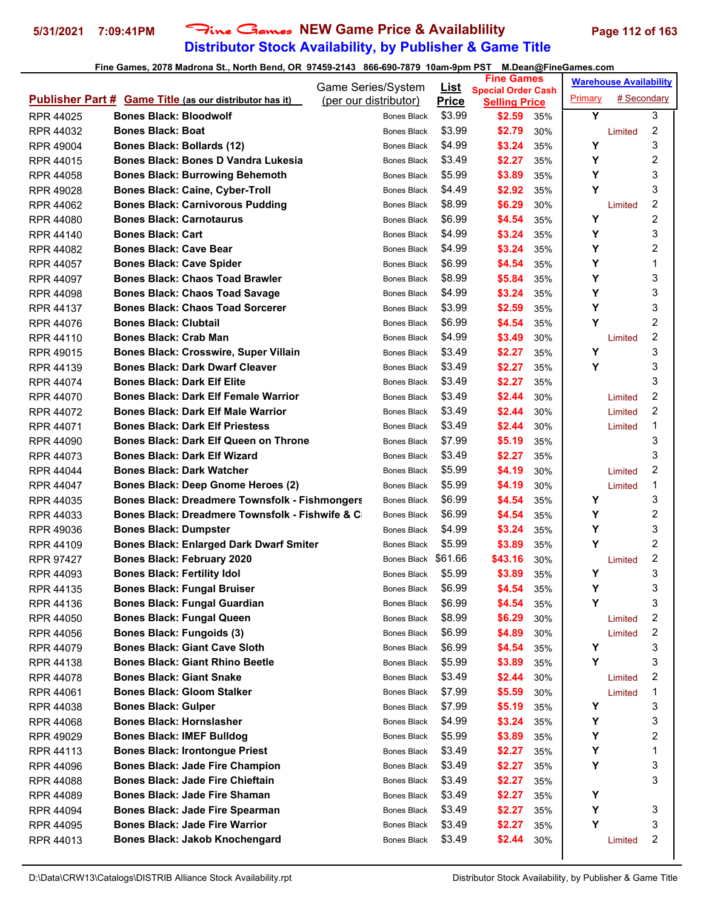# **Distributor Stock Availability, by Publisher & Game Title 5/31/2021 7:09:41PM** Fine Games **NEW Game Price & Availablility Page 112 of 163**

|                  |                                                                | Game Series/System    | <u>List</u>  | <b>Fine Games</b>                                 |     |         | <b>Warehouse Availability</b> |                |
|------------------|----------------------------------------------------------------|-----------------------|--------------|---------------------------------------------------|-----|---------|-------------------------------|----------------|
|                  | <b>Publisher Part # Game Title (as our distributor has it)</b> | (per our distributor) | <b>Price</b> | <b>Special Order Cash</b><br><b>Selling Price</b> |     | Primary | # Secondary                   |                |
| RPR 44025        | <b>Bones Black: Bloodwolf</b>                                  | Bones Black           | \$3.99       | \$2.59                                            | 35% | Y       |                               | 3              |
| <b>RPR 44032</b> | <b>Bones Black: Boat</b>                                       | Bones Black           | \$3.99       | \$2.79                                            | 30% |         | Limited                       | 2              |
| <b>RPR 49004</b> | <b>Bones Black: Bollards (12)</b>                              | Bones Black           | \$4.99       | \$3.24                                            | 35% | Υ       |                               | 3              |
| <b>RPR 44015</b> | <b>Bones Black: Bones D Vandra Lukesia</b>                     | Bones Black           | \$3.49       | \$2.27                                            | 35% | Υ       |                               | 2              |
| RPR 44058        | <b>Bones Black: Burrowing Behemoth</b>                         | <b>Bones Black</b>    | \$5.99       | \$3.89                                            | 35% | Υ       |                               | 3              |
| RPR 49028        | <b>Bones Black: Caine, Cyber-Troll</b>                         | Bones Black           | \$4.49       | \$2.92                                            | 35% | Y       |                               | 3              |
| RPR 44062        | <b>Bones Black: Carnivorous Pudding</b>                        | Bones Black           | \$8.99       | \$6.29                                            | 30% |         | Limited                       | 2              |
| <b>RPR 44080</b> | <b>Bones Black: Carnotaurus</b>                                | Bones Black           | \$6.99       | \$4.54                                            | 35% | Υ       |                               | 2              |
| RPR 44140        | <b>Bones Black: Cart</b>                                       | Bones Black           | \$4.99       | \$3.24                                            | 35% | Υ       |                               | 3              |
| <b>RPR 44082</b> | <b>Bones Black: Cave Bear</b>                                  | Bones Black           | \$4.99       | \$3.24                                            | 35% | Υ       |                               | 2              |
| <b>RPR 44057</b> | <b>Bones Black: Cave Spider</b>                                | Bones Black           | \$6.99       | \$4.54                                            | 35% | Υ       |                               | 1              |
| RPR 44097        | <b>Bones Black: Chaos Toad Brawler</b>                         | Bones Black           | \$8.99       | \$5.84                                            | 35% | Υ       |                               | 3              |
| <b>RPR 44098</b> | <b>Bones Black: Chaos Toad Savage</b>                          | Bones Black           | \$4.99       | \$3.24                                            | 35% | Υ       |                               | 3              |
| RPR 44137        | <b>Bones Black: Chaos Toad Sorcerer</b>                        | Bones Black           | \$3.99       | \$2.59                                            | 35% | Υ       |                               | 3              |
| RPR 44076        | <b>Bones Black: Clubtail</b>                                   | <b>Bones Black</b>    | \$6.99       | \$4.54                                            | 35% | Y       |                               | $\overline{2}$ |
| RPR 44110        | <b>Bones Black: Crab Man</b>                                   | Bones Black           | \$4.99       | \$3.49                                            | 30% |         | Limited                       | 2              |
| RPR 49015        | <b>Bones Black: Crosswire, Super Villain</b>                   | Bones Black           | \$3.49       | \$2.27                                            | 35% | Υ       |                               | 3              |
| RPR 44139        | <b>Bones Black: Dark Dwarf Cleaver</b>                         | Bones Black           | \$3.49       | \$2.27                                            | 35% | Υ       |                               | 3              |
| RPR 44074        | <b>Bones Black: Dark Elf Elite</b>                             | <b>Bones Black</b>    | \$3.49       | \$2.27                                            | 35% |         |                               | 3              |
| <b>RPR 44070</b> | <b>Bones Black: Dark Elf Female Warrior</b>                    | Bones Black           | \$3.49       | \$2.44                                            | 30% |         | Limited                       | 2              |
| <b>RPR 44072</b> | <b>Bones Black: Dark Elf Male Warrior</b>                      | Bones Black           | \$3.49       | \$2.44                                            | 30% |         | Limited                       | 2              |
| RPR 44071        | <b>Bones Black: Dark Elf Priestess</b>                         | Bones Black           | \$3.49       | \$2.44                                            | 30% |         | Limited                       | 1              |
| RPR 44090        | <b>Bones Black: Dark Elf Queen on Throne</b>                   | Bones Black           | \$7.99       | \$5.19                                            | 35% |         |                               | 3              |
| <b>RPR 44073</b> | <b>Bones Black: Dark Elf Wizard</b>                            | Bones Black           | \$3.49       | \$2.27                                            | 35% |         |                               | 3              |
| <b>RPR 44044</b> | <b>Bones Black: Dark Watcher</b>                               | Bones Black           | \$5.99       | \$4.19                                            | 30% |         | Limited                       | 2              |
| <b>RPR 44047</b> | Bones Black: Deep Gnome Heroes (2)                             | Bones Black           | \$5.99       | \$4.19                                            | 30% |         | Limited                       | 1              |
| RPR 44035        | <b>Bones Black: Dreadmere Townsfolk - Fishmongers</b>          | Bones Black           | \$6.99       | \$4.54                                            | 35% | Υ       |                               | 3              |
| RPR 44033        | <b>Bones Black: Dreadmere Townsfolk - Fishwife &amp; C</b>     | Bones Black           | \$6.99       | \$4.54                                            | 35% | Υ       |                               | 2              |
| <b>RPR 49036</b> | <b>Bones Black: Dumpster</b>                                   | Bones Black           | \$4.99       | \$3.24                                            | 35% | Υ       |                               | 3              |
| RPR 44109        | <b>Bones Black: Enlarged Dark Dwarf Smiter</b>                 | Bones Black           | \$5.99       | \$3.89                                            | 35% | Υ       |                               | 2              |
| <b>RPR 97427</b> | <b>Bones Black: February 2020</b>                              | Bones Black \$61.66   |              | \$43.16                                           | 30% |         | Limited                       | 2              |
| <b>RPR 44093</b> | <b>Bones Black: Fertility Idol</b>                             | Bones Black           | \$5.99       | \$3.89                                            | 35% | Υ       |                               | 3              |
| RPR 44135        | <b>Bones Black: Fungal Bruiser</b>                             | Bones Black \$6.99    |              | \$4.54                                            | 35% | Υ       |                               | 3              |
| RPR 44136        | <b>Bones Black: Fungal Guardian</b>                            | Bones Black           | \$6.99       | \$4.54                                            | 35% | Υ       |                               | 3              |
| <b>RPR 44050</b> | <b>Bones Black: Fungal Queen</b>                               | Bones Black           | \$8.99       | \$6.29                                            | 30% |         | Limited                       | 2              |
| RPR 44056        | <b>Bones Black: Fungoids (3)</b>                               | Bones Black           | \$6.99       | \$4.89                                            | 30% |         | Limited                       | 2              |
| <b>RPR 44079</b> | <b>Bones Black: Giant Cave Sloth</b>                           | Bones Black           | \$6.99       | \$4.54                                            | 35% | Υ       |                               | 3              |
| RPR 44138        | <b>Bones Black: Giant Rhino Beetle</b>                         | Bones Black           | \$5.99       | \$3.89                                            | 35% | Υ       |                               | 3              |
| <b>RPR 44078</b> | <b>Bones Black: Giant Snake</b>                                | Bones Black           | \$3.49       | \$2.44                                            | 30% |         | Limited                       | 2              |
| RPR 44061        | <b>Bones Black: Gloom Stalker</b>                              | Bones Black           | \$7.99       | \$5.59                                            | 30% |         | Limited                       | 1              |
| <b>RPR 44038</b> | <b>Bones Black: Gulper</b>                                     | Bones Black           | \$7.99       | \$5.19                                            | 35% | Υ       |                               | 3              |
| RPR 44068        | <b>Bones Black: Hornslasher</b>                                | Bones Black           | \$4.99       | \$3.24                                            | 35% | Υ       |                               | 3              |
| RPR 49029        | <b>Bones Black: IMEF Bulldog</b>                               | Bones Black           | \$5.99       | \$3.89                                            | 35% | Υ       |                               | 2              |
| RPR 44113        | <b>Bones Black: Irontongue Priest</b>                          | Bones Black           | \$3.49       | \$2.27                                            | 35% | Υ       |                               | 1              |
| RPR 44096        | <b>Bones Black: Jade Fire Champion</b>                         | Bones Black           | \$3.49       | \$2.27                                            | 35% | Υ       |                               | 3              |
| RPR 44088        | <b>Bones Black: Jade Fire Chieftain</b>                        | Bones Black           | \$3.49       | \$2.27                                            | 35% |         |                               | 3              |
| <b>RPR 44089</b> | <b>Bones Black: Jade Fire Shaman</b>                           | Bones Black           | \$3.49       | \$2.27                                            | 35% | Y       |                               |                |
| <b>RPR 44094</b> | <b>Bones Black: Jade Fire Spearman</b>                         | Bones Black           | \$3.49       | \$2.27                                            | 35% | Υ       |                               | 3              |
| RPR 44095        | <b>Bones Black: Jade Fire Warrior</b>                          | Bones Black           | \$3.49       | \$2.27                                            | 35% | Υ       |                               | 3              |
| RPR 44013        | <b>Bones Black: Jakob Knochengard</b>                          | Bones Black           | \$3.49       | \$2.44                                            | 30% |         | Limited                       | 2              |
|                  |                                                                |                       |              |                                                   |     |         |                               |                |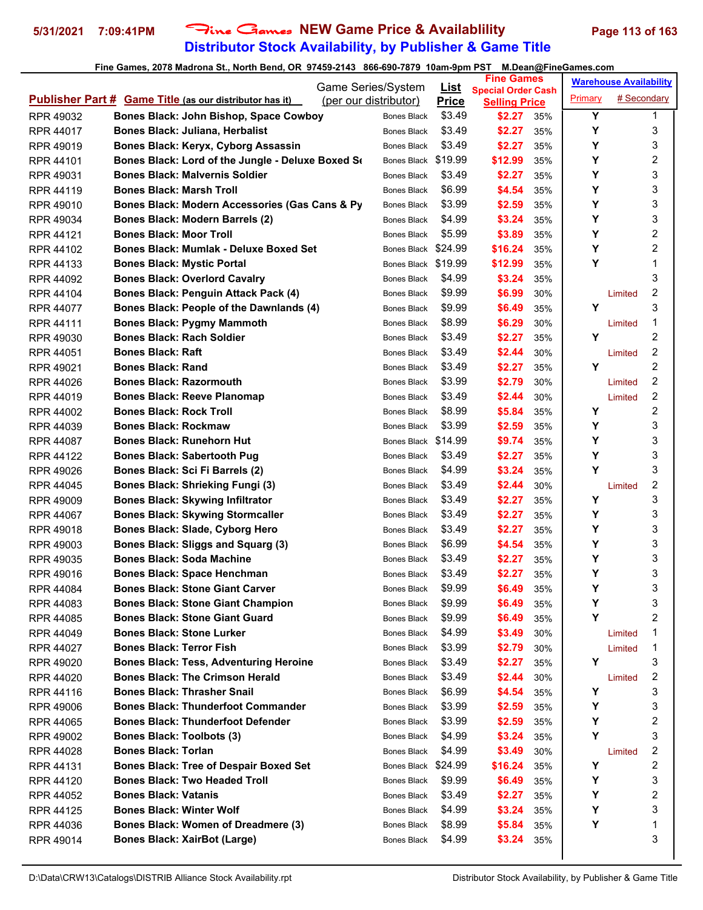# **Distributor Stock Availability, by Publisher & Game Title 5/31/2021 7:09:41PM** Fine Games **NEW Game Price & Availablility Page 113 of 163**

|                  |                                                                | Game Series/System    |                     | <u>List</u>  | <b>Fine Games</b>                                 |     |         | <b>Warehouse Availability</b> |   |
|------------------|----------------------------------------------------------------|-----------------------|---------------------|--------------|---------------------------------------------------|-----|---------|-------------------------------|---|
|                  | <b>Publisher Part # Game Title (as our distributor has it)</b> | (per our distributor) |                     | <b>Price</b> | <b>Special Order Cash</b><br><b>Selling Price</b> |     | Primary | # Secondary                   |   |
| <b>RPR 49032</b> | Bones Black: John Bishop, Space Cowboy                         |                       | <b>Bones Black</b>  | \$3.49       | \$2.27                                            | 35% | Y       |                               | 1 |
| <b>RPR 44017</b> | <b>Bones Black: Juliana, Herbalist</b>                         |                       | <b>Bones Black</b>  | \$3.49       | \$2.27                                            | 35% | Υ       |                               | 3 |
| <b>RPR 49019</b> | Bones Black: Keryx, Cyborg Assassin                            |                       | <b>Bones Black</b>  | \$3.49       | \$2.27                                            | 35% | Υ       |                               | 3 |
| RPR 44101        | Bones Black: Lord of the Jungle - Deluxe Boxed Se              |                       | Bones Black         | \$19.99      | \$12.99                                           | 35% | Y       |                               | 2 |
| RPR 49031        | <b>Bones Black: Malvernis Soldier</b>                          |                       | <b>Bones Black</b>  | \$3.49       | \$2.27                                            | 35% | Υ       |                               | 3 |
| <b>RPR 44119</b> | <b>Bones Black: Marsh Troll</b>                                |                       | Bones Black         | \$6.99       | \$4.54                                            | 35% | Y       |                               | 3 |
| <b>RPR 49010</b> | Bones Black: Modern Accessories (Gas Cans & Py                 |                       | Bones Black         | \$3.99       | \$2.59                                            | 35% | Υ       |                               | 3 |
| <b>RPR 49034</b> | <b>Bones Black: Modern Barrels (2)</b>                         |                       | <b>Bones Black</b>  | \$4.99       | \$3.24                                            | 35% | Υ       |                               | 3 |
| RPR 44121        | <b>Bones Black: Moor Troll</b>                                 |                       | <b>Bones Black</b>  | \$5.99       | \$3.89                                            | 35% | Y       |                               | 2 |
| RPR 44102        | <b>Bones Black: Mumlak - Deluxe Boxed Set</b>                  |                       | Bones Black \$24.99 |              | \$16.24                                           | 35% | Y       |                               | 2 |
| RPR 44133        | <b>Bones Black: Mystic Portal</b>                              |                       | Bones Black \$19.99 |              | \$12.99                                           | 35% | Y       |                               | 1 |
| <b>RPR 44092</b> | <b>Bones Black: Overlord Cavalry</b>                           |                       | <b>Bones Black</b>  | \$4.99       | \$3.24                                            | 35% |         |                               | 3 |
| <b>RPR 44104</b> | <b>Bones Black: Penguin Attack Pack (4)</b>                    |                       | Bones Black         | \$9.99       | \$6.99                                            | 30% |         | Limited                       | 2 |
| <b>RPR 44077</b> | Bones Black: People of the Dawnlands (4)                       |                       | <b>Bones Black</b>  | \$9.99       | \$6.49                                            | 35% | Y       |                               | 3 |
| <b>RPR 44111</b> | <b>Bones Black: Pygmy Mammoth</b>                              |                       | <b>Bones Black</b>  | \$8.99       | \$6.29                                            | 30% |         | Limited                       | 1 |
| RPR 49030        | <b>Bones Black: Rach Soldier</b>                               |                       | <b>Bones Black</b>  | \$3.49       | \$2.27                                            | 35% | Υ       |                               | 2 |
| RPR 44051        | <b>Bones Black: Raft</b>                                       |                       | <b>Bones Black</b>  | \$3.49       | \$2.44                                            | 30% |         | Limited                       | 2 |
| RPR 49021        | <b>Bones Black: Rand</b>                                       |                       | <b>Bones Black</b>  | \$3.49       | \$2.27                                            | 35% | Υ       |                               | 2 |
| <b>RPR 44026</b> | <b>Bones Black: Razormouth</b>                                 |                       | <b>Bones Black</b>  | \$3.99       | \$2.79                                            | 30% |         | Limited                       | 2 |
| <b>RPR 44019</b> | <b>Bones Black: Reeve Planomap</b>                             |                       | Bones Black         | \$3.49       | \$2.44                                            | 30% |         | Limited                       | 2 |
| <b>RPR 44002</b> | <b>Bones Black: Rock Troll</b>                                 |                       | Bones Black         | \$8.99       | \$5.84                                            | 35% | Υ       |                               | 2 |
| <b>RPR 44039</b> | <b>Bones Black: Rockmaw</b>                                    |                       | <b>Bones Black</b>  | \$3.99       | \$2.59                                            | 35% | Y       |                               | 3 |
| <b>RPR 44087</b> | <b>Bones Black: Runehorn Hut</b>                               |                       | Bones Black \$14.99 |              | \$9.74                                            | 35% | Y       |                               | 3 |
| RPR 44122        | <b>Bones Black: Sabertooth Pug</b>                             |                       | <b>Bones Black</b>  | \$3.49       | \$2.27                                            | 35% | Y       |                               | 3 |
| <b>RPR 49026</b> | Bones Black: Sci Fi Barrels (2)                                |                       | <b>Bones Black</b>  | \$4.99       | \$3.24                                            | 35% | Y       |                               | 3 |
| RPR 44045        | <b>Bones Black: Shrieking Fungi (3)</b>                        |                       | <b>Bones Black</b>  | \$3.49       | \$2.44                                            | 30% |         | Limited                       | 2 |
| <b>RPR 49009</b> | <b>Bones Black: Skywing Infiltrator</b>                        |                       | Bones Black         | \$3.49       | \$2.27                                            | 35% | Y       |                               | 3 |
| RPR 44067        | <b>Bones Black: Skywing Stormcaller</b>                        |                       | Bones Black         | \$3.49       | \$2.27                                            | 35% | Υ       |                               | 3 |
| <b>RPR 49018</b> | <b>Bones Black: Slade, Cyborg Hero</b>                         |                       | <b>Bones Black</b>  | \$3.49       | \$2.27                                            | 35% | Y       |                               | 3 |
| <b>RPR 49003</b> | Bones Black: Sliggs and Squarg (3)                             |                       | Bones Black         | \$6.99       | \$4.54                                            | 35% | Y       |                               | 3 |
| <b>RPR 49035</b> | <b>Bones Black: Soda Machine</b>                               |                       | Bones Black         | \$3.49       | \$2.27                                            | 35% | Υ       |                               | 3 |
| <b>RPR 49016</b> | <b>Bones Black: Space Henchman</b>                             |                       | <b>Bones Black</b>  | \$3.49       | \$2.27                                            | 35% | Υ       |                               | 3 |
| RPR 44084        | <b>Bones Black: Stone Giant Carver</b>                         |                       | Bones Black         | \$9.99       | \$6.49                                            | 35% | Υ       |                               | 3 |
| RPR 44083        | <b>Bones Black: Stone Giant Champion</b>                       |                       | Bones Black         | \$9.99       | \$6.49                                            | 35% | Υ       |                               | 3 |
| <b>RPR 44085</b> | <b>Bones Black: Stone Giant Guard</b>                          |                       | Bones Black         | \$9.99       | \$6.49                                            | 35% | Υ       |                               | 2 |
| <b>RPR 44049</b> | <b>Bones Black: Stone Lurker</b>                               |                       | Bones Black         | \$4.99       | \$3.49                                            | 30% |         | Limited                       | 1 |
| <b>RPR 44027</b> | <b>Bones Black: Terror Fish</b>                                |                       | Bones Black         | \$3.99       | \$2.79                                            | 30% |         | Limited                       | 1 |
| RPR 49020        | <b>Bones Black: Tess, Adventuring Heroine</b>                  |                       | Bones Black         | \$3.49       | \$2.27                                            | 35% | Y       |                               | 3 |
| <b>RPR 44020</b> | <b>Bones Black: The Crimson Herald</b>                         |                       | <b>Bones Black</b>  | \$3.49       | \$2.44                                            | 30% |         | Limited                       | 2 |
| RPR 44116        | <b>Bones Black: Thrasher Snail</b>                             |                       | <b>Bones Black</b>  | \$6.99       | \$4.54                                            | 35% | Y       |                               | 3 |
| <b>RPR 49006</b> | <b>Bones Black: Thunderfoot Commander</b>                      |                       | Bones Black         | \$3.99       | \$2.59                                            | 35% | Υ       |                               | 3 |
| RPR 44065        | <b>Bones Black: Thunderfoot Defender</b>                       |                       | Bones Black         | \$3.99       | \$2.59                                            | 35% | Υ       |                               | 2 |
| RPR 49002        | <b>Bones Black: Toolbots (3)</b>                               |                       | Bones Black         | \$4.99       | \$3.24                                            | 35% | Y       |                               | 3 |
| <b>RPR 44028</b> | <b>Bones Black: Torlan</b>                                     |                       | <b>Bones Black</b>  | \$4.99       | \$3.49                                            | 30% |         | Limited                       | 2 |
| RPR 44131        | <b>Bones Black: Tree of Despair Boxed Set</b>                  |                       | Bones Black \$24.99 |              | \$16.24                                           | 35% | Υ       |                               | 2 |
| RPR 44120        | <b>Bones Black: Two Headed Troll</b>                           |                       | <b>Bones Black</b>  | \$9.99       | \$6.49                                            | 35% | Y       |                               | 3 |
| <b>RPR 44052</b> | <b>Bones Black: Vatanis</b>                                    |                       | <b>Bones Black</b>  | \$3.49       | \$2.27                                            | 35% | Υ       |                               | 2 |
| <b>RPR 44125</b> | <b>Bones Black: Winter Wolf</b>                                |                       | Bones Black         | \$4.99       | \$3.24                                            | 35% | Υ       |                               | 3 |
| <b>RPR 44036</b> | Bones Black: Women of Dreadmere (3)                            |                       | Bones Black         | \$8.99       | \$5.84                                            | 35% | Υ       |                               | 1 |
| RPR 49014        | <b>Bones Black: XairBot (Large)</b>                            |                       | Bones Black         | \$4.99       | \$3.24                                            | 35% |         |                               | 3 |
|                  |                                                                |                       |                     |              |                                                   |     |         |                               |   |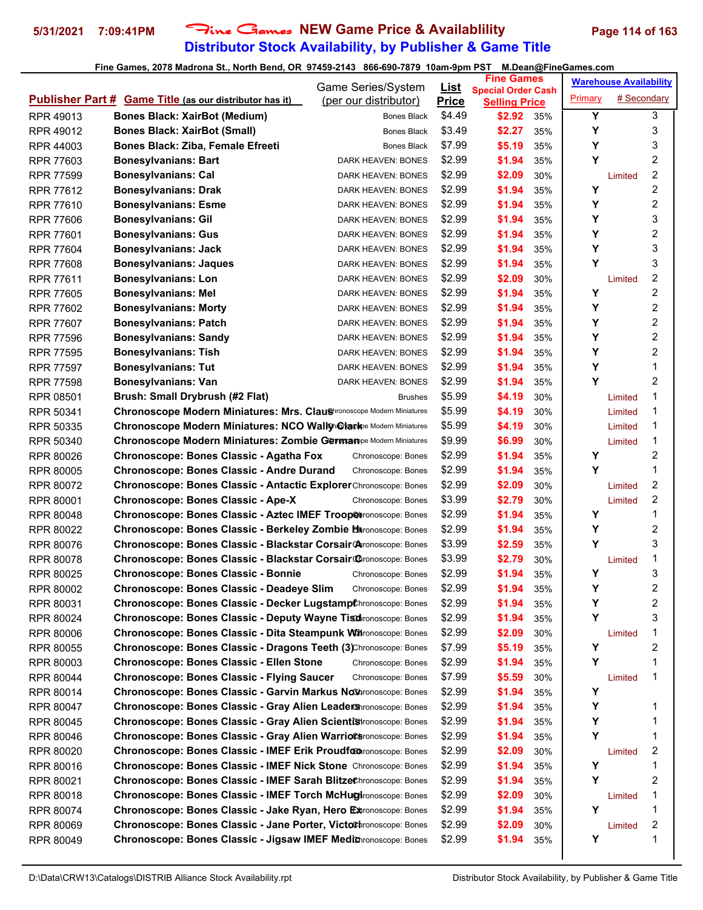# **Distributor Stock Availability, by Publisher & Game Title 5/31/2021 7:09:41PM** Fine Games **NEW Game Price & Availablility Page 114 of 163**

|                  |                                                                            | Game Series/System        | <u>List</u>  | <b>Fine Games</b>                                 |     | <b>Warehouse Availability</b> |             |                         |
|------------------|----------------------------------------------------------------------------|---------------------------|--------------|---------------------------------------------------|-----|-------------------------------|-------------|-------------------------|
|                  | <b>Publisher Part # Game Title (as our distributor has it)</b>             | (per our distributor)     | <b>Price</b> | <b>Special Order Cash</b><br><b>Selling Price</b> |     | Primary                       | # Secondary |                         |
| RPR 49013        | <b>Bones Black: XairBot (Medium)</b>                                       | Bones Black               | \$4.49       | \$2.92                                            | 35% | Y                             |             | 3                       |
| RPR 49012        | <b>Bones Black: XairBot (Small)</b>                                        | Bones Black               | \$3.49       | \$2.27                                            | 35% | Y                             |             | 3                       |
| <b>RPR 44003</b> | Bones Black: Ziba, Female Efreeti                                          | Bones Black               | \$7.99       | \$5.19                                            | 35% | Υ                             |             | 3                       |
| <b>RPR 77603</b> | <b>Bonesylvanians: Bart</b>                                                | DARK HEAVEN: BONES        | \$2.99       | \$1.94                                            | 35% | Υ                             |             | 2                       |
| <b>RPR 77599</b> | <b>Bonesylvanians: Cal</b>                                                 | DARK HEAVEN: BONES        | \$2.99       | \$2.09                                            | 30% |                               | Limited     | $\overline{\mathbf{c}}$ |
| RPR 77612        | <b>Bonesylvanians: Drak</b>                                                | DARK HEAVEN: BONES        | \$2.99       | \$1.94                                            | 35% | Υ                             |             | 2                       |
| <b>RPR 77610</b> | <b>Bonesylvanians: Esme</b>                                                | DARK HEAVEN: BONES        | \$2.99       | \$1.94                                            | 35% | Y                             |             | 2                       |
| <b>RPR 77606</b> | <b>Bonesylvanians: Gil</b>                                                 | DARK HEAVEN: BONES        | \$2.99       | \$1.94                                            | 35% | Y                             |             | 3                       |
| <b>RPR 77601</b> | <b>Bonesylvanians: Gus</b>                                                 | DARK HEAVEN: BONES        | \$2.99       | \$1.94                                            | 35% | Y                             |             | 2                       |
| <b>RPR 77604</b> | <b>Bonesylvanians: Jack</b>                                                | DARK HEAVEN: BONES        | \$2.99       | \$1.94                                            | 35% | Y                             |             | 3                       |
| <b>RPR 77608</b> | <b>Bonesylvanians: Jaques</b>                                              | DARK HEAVEN: BONES        | \$2.99       | \$1.94                                            | 35% | Υ                             |             | 3                       |
| <b>RPR 77611</b> | <b>Bonesylvanians: Lon</b>                                                 | DARK HEAVEN: BONES        | \$2.99       | \$2.09                                            | 30% |                               | Limited     | $\overline{\mathbf{c}}$ |
| <b>RPR 77605</b> | <b>Bonesylvanians: Mel</b>                                                 | DARK HEAVEN: BONES        | \$2.99       | \$1.94                                            | 35% | Υ                             |             | 2                       |
| <b>RPR 77602</b> | <b>Bonesylvanians: Morty</b>                                               | DARK HEAVEN: BONES        | \$2.99       | \$1.94                                            | 35% | Y                             |             | 2                       |
| RPR 77607        | <b>Bonesylvanians: Patch</b>                                               | DARK HEAVEN: BONES        | \$2.99       | \$1.94                                            | 35% | Y                             |             | 2                       |
| <b>RPR 77596</b> | <b>Bonesylvanians: Sandy</b>                                               | DARK HEAVEN: BONES        | \$2.99       | \$1.94                                            | 35% | Y                             |             | 2                       |
| <b>RPR 77595</b> | <b>Bonesylvanians: Tish</b>                                                | DARK HEAVEN: BONES        | \$2.99       | \$1.94                                            | 35% | Y                             |             | $\overline{2}$          |
| <b>RPR 77597</b> | <b>Bonesylvanians: Tut</b>                                                 | <b>DARK HEAVEN: BONES</b> | \$2.99       | \$1.94                                            | 35% | Υ                             |             | 1                       |
| <b>RPR 77598</b> | <b>Bonesylvanians: Van</b>                                                 | <b>DARK HEAVEN: BONES</b> | \$2.99       | \$1.94                                            | 35% | Y                             |             | 2                       |
| RPR 08501        | Brush: Small Drybrush (#2 Flat)                                            | <b>Brushes</b>            | \$5.99       | \$4.19                                            | 30% |                               | Limited     | 1                       |
| RPR 50341        | Chronoscope Modern Miniatures: Mrs. Claushronoscope Modern Miniatures      |                           | \$5.99       | \$4.19                                            | 30% |                               | Limited     | 1                       |
| RPR 50335        | <b>Chronoscope Modern Miniatures: NCO Wallyh@lark</b> ee Modern Miniatures |                           | \$5.99       | \$4.19                                            | 30% |                               | Limited     | 1                       |
| RPR 50340        | <b>Chronoscope Modern Miniatures: Zombie Germanpe Modern Miniatures</b>    |                           | \$9.99       | \$6.99                                            | 30% |                               | Limited     | 1                       |
| RPR 80026        | Chronoscope: Bones Classic - Agatha Fox                                    | Chronoscope: Bones        | \$2.99       | \$1.94                                            | 35% | Y                             |             | 2                       |
| <b>RPR 80005</b> | <b>Chronoscope: Bones Classic - Andre Durand</b>                           | Chronoscope: Bones        | \$2.99       | \$1.94                                            | 35% | Υ                             |             | 1                       |
| RPR 80072        | Chronoscope: Bones Classic - Antactic ExplorerChronoscope: Bones           |                           | \$2.99       | \$2.09                                            | 30% |                               | Limited     | 2                       |
| <b>RPR 80001</b> | Chronoscope: Bones Classic - Ape-X                                         | Chronoscope: Bones        | \$3.99       | \$2.79                                            | 30% |                               | Limited     | 2                       |
| <b>RPR 80048</b> | Chronoscope: Bones Classic - Aztec IMEF Troop@tronoscope: Bones            |                           | \$2.99       | \$1.94                                            | 35% | Y                             |             | 1                       |
| RPR 80022        | <b>Chronoscope: Bones Classic - Berkeley Zombie Haronoscope: Bones</b>     |                           | \$2.99       | \$1.94                                            | 35% | Y                             |             | $\overline{c}$          |
| RPR 80076        | Chronoscope: Bones Classic - Blackstar Corsair@Aronoscope: Bones           |                           | \$3.99       | \$2.59                                            | 35% | Y                             |             | 3                       |
| RPR 80078        | Chronoscope: Bones Classic - Blackstar Corsair@ronoscope: Bones            |                           | \$3.99       | \$2.79                                            | 30% |                               | Limited     | 1                       |
| <b>RPR 80025</b> | <b>Chronoscope: Bones Classic - Bonnie</b>                                 | Chronoscope: Bones        | \$2.99       | \$1.94                                            | 35% | Υ                             |             | 3                       |
| RPR 80002        | <b>Chronoscope: Bones Classic - Deadeve Slim</b>                           | Chronoscope: Bones        | \$2.99       | \$1.94                                            | 35% | Y                             |             | $\mathfrak{p}$          |
| RPR 80031        | <b>Chronoscope: Bones Classic - Decker Lugstampt</b> hronoscope: Bones     |                           | \$2.99       | \$1.94                                            | 35% | Υ                             |             | $\overline{\mathbf{c}}$ |
| RPR 80024        | Chronoscope: Bones Classic - Deputy Wayne Tischronoscope: Bones            |                           | \$2.99       | \$1.94                                            | 35% | Υ                             |             | 3                       |
| RPR 80006        | <b>Chronoscope: Bones Classic - Dita Steampunk Witronoscope: Bones</b>     |                           | \$2.99       | \$2.09                                            | 30% |                               | Limited     | 1                       |
| RPR 80055        | Chronoscope: Bones Classic - Dragons Teeth (3)Chronoscope: Bones           |                           | \$7.99       | \$5.19                                            | 35% | Υ                             |             | 2                       |
| RPR 80003        | <b>Chronoscope: Bones Classic - Ellen Stone</b>                            | Chronoscope: Bones        | \$2.99       | \$1.94                                            | 35% | Y                             |             | 1                       |
| RPR 80044        | <b>Chronoscope: Bones Classic - Flying Saucer</b>                          | Chronoscope: Bones        | \$7.99       | \$5.59                                            | 30% |                               | Limited     | 1                       |
| RPR 80014        | Chronoscope: Bones Classic - Garvin Markus Nothronoscope: Bones            |                           | \$2.99       | \$1.94                                            | 35% | Υ                             |             |                         |
| RPR 80047        | Chronoscope: Bones Classic - Gray Alien Leader Shronoscope: Bones          |                           | \$2.99       | \$1.94                                            | 35% | Y                             |             | 1                       |
| RPR 80045        | Chronoscope: Bones Classic - Gray Alien Scientistronoscope: Bones          |                           | \$2.99       | \$1.94                                            | 35% | Υ                             |             | 1                       |
| RPR 80046        | <b>Chronoscope: Bones Classic - Gray Alien WarrioCs</b> ronoscope: Bones   |                           | \$2.99       | \$1.94                                            | 35% | Y                             |             | 1                       |
| RPR 80020        | Chronoscope: Bones Classic - IMEF Erik Proudfocorronoscope: Bones          |                           | \$2.99       | \$2.09                                            | 30% |                               | Limited     | 2                       |
| RPR 80016        | Chronoscope: Bones Classic - IMEF Nick Stone Chronoscope: Bones            |                           | \$2.99       | \$1.94                                            | 35% | Υ                             |             | 1                       |
| RPR 80021        | Chronoscope: Bones Classic - IMEF Sarah BlitzeChronoscope: Bones           |                           | \$2.99       | \$1.94                                            | 35% | Y                             |             | 2                       |
| RPR 80018        | <b>Chronoscope: Bones Classic - IMEF Torch McHughronoscope: Bones</b>      |                           | \$2.99       | \$2.09                                            | 30% |                               | Limited     | 1                       |
| RPR 80074        | Chronoscope: Bones Classic - Jake Ryan, Hero Extronoscope: Bones           |                           | \$2.99       | \$1.94                                            | 35% | Y                             |             | 1                       |
| RPR 80069        | Chronoscope: Bones Classic - Jane Porter, Victothronoscope: Bones          |                           | \$2.99       | \$2.09                                            | 30% |                               | Limited     | 2                       |
| RPR 80049        | Chronoscope: Bones Classic - Jigsaw IMEF Medichronoscope: Bones            |                           | \$2.99       | \$1.94                                            | 35% | Υ                             |             | 1                       |
|                  |                                                                            |                           |              |                                                   |     |                               |             |                         |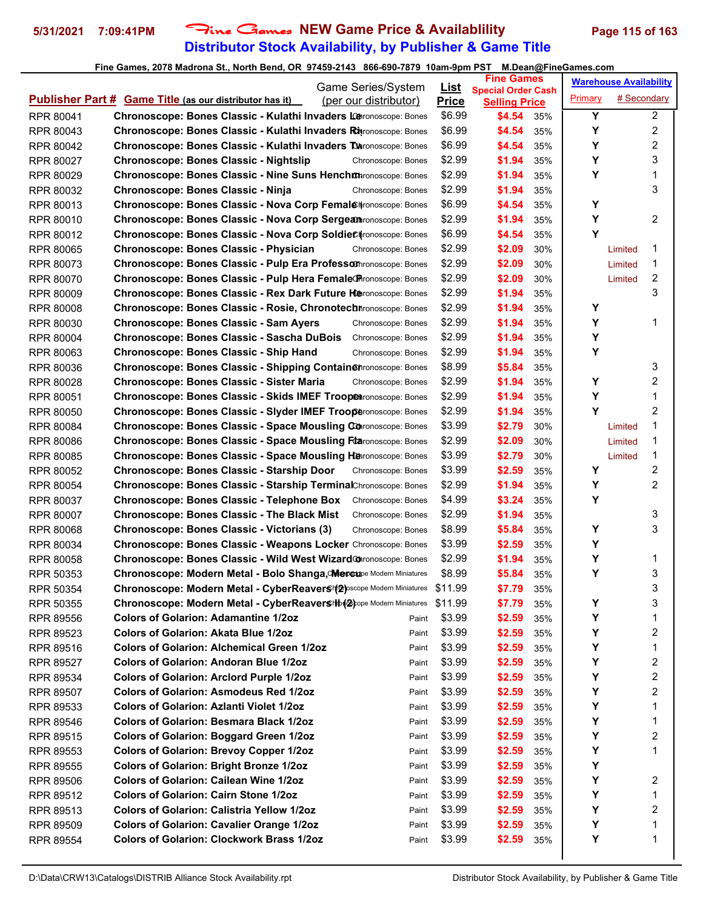# **Distributor Stock Availability, by Publisher & Game Title 5/31/2021 7:09:41PM** Fine Games **NEW Game Price & Availablility Page 115 of 163**

|                  |                                                                                     | Game Series/System    | <u>List</u>      | <b>Fine Games</b>                                 |     |                | <b>Warehouse Availability</b> |                |
|------------------|-------------------------------------------------------------------------------------|-----------------------|------------------|---------------------------------------------------|-----|----------------|-------------------------------|----------------|
|                  | <b>Publisher Part # Game Title (as our distributor has it)</b>                      | (per our distributor) | <b>Price</b>     | <b>Special Order Cash</b><br><b>Selling Price</b> |     | <b>Primary</b> | # Secondary                   |                |
| RPR 80041        | Chronoscope: Bones Classic - Kulathi Invaders Leronoscope: Bones                    |                       | \$6.99           | \$4.54                                            | 35% | Y              |                               | $\overline{a}$ |
| RPR 80043        | <b>Chronoscope: Bones Classic - Kulathi Invaders Rh</b> ronoscope: Bones            |                       | \$6.99           | \$4.54                                            | 35% | Υ              |                               | 2              |
| RPR 80042        | <b>Chronoscope: Bones Classic - Kulathi Invaders Tonronoscope: Bones</b>            |                       | \$6.99           | \$4.54                                            | 35% | Υ              |                               | 2              |
| RPR 80027        | <b>Chronoscope: Bones Classic - Nightslip</b>                                       | Chronoscope: Bones    | \$2.99           | \$1.94                                            | 35% | Υ              |                               | 3              |
| RPR 80029        | Chronoscope: Bones Classic - Nine Suns Henchothronoscope: Bones                     |                       | \$2.99           | \$1.94                                            | 35% | Υ              |                               | 1              |
| RPR 80032        | Chronoscope: Bones Classic - Ninja                                                  | Chronoscope: Bones    | \$2.99           | \$1.94                                            | 35% |                |                               | 3              |
| RPR 80013        | <b>Chronoscope: Bones Classic - Nova Corp Femal@Hronoscope: Bones</b>               |                       | \$6.99           | \$4.54                                            | 35% | Υ              |                               |                |
| RPR 80010        | Chronoscope: Bones Classic - Nova Corp Sergeanronoscope: Bones                      |                       | \$2.99           | \$1.94                                            | 35% | Υ              |                               | 2              |
| RPR 80012        | Chronoscope: Bones Classic - Nova Corp SoldieC#ronoscope: Bones                     |                       | \$6.99           | \$4.54                                            | 35% | Y              |                               |                |
| <b>RPR 80065</b> | Chronoscope: Bones Classic - Physician                                              | Chronoscope: Bones    | \$2.99           | \$2.09                                            | 30% |                | Limited                       | 1              |
| RPR 80073        | Chronoscope: Bones Classic - Pulp Era Professom ronoscope: Bones                    |                       | \$2.99           | \$2.09                                            | 30% |                | Limited                       | 1              |
| RPR 80070        | Chronoscope: Bones Classic - Pulp Hera Female@Pronoscope: Bones                     |                       | \$2.99           | \$2.09                                            | 30% |                | Limited                       | 2              |
| <b>RPR 80009</b> | <b>Chronoscope: Bones Classic - Rex Dark Future Heronoscope: Bones</b>              |                       | \$2.99           | \$1.94                                            | 35% |                |                               | 3              |
| <b>RPR 80008</b> | <b>Chronoscope: Bones Classic - Rosie, Chronotech Arconoscope: Bones</b>            |                       | \$2.99           | \$1.94                                            | 35% | Υ              |                               |                |
| RPR 80030        | <b>Chronoscope: Bones Classic - Sam Ayers</b>                                       | Chronoscope: Bones    | \$2.99           | \$1.94                                            | 35% | Υ              |                               | 1              |
| <b>RPR 80004</b> | <b>Chronoscope: Bones Classic - Sascha DuBois</b>                                   | Chronoscope: Bones    | \$2.99           | \$1.94                                            | 35% | Υ              |                               |                |
| RPR 80063        | Chronoscope: Bones Classic - Ship Hand                                              | Chronoscope: Bones    | \$2.99           | \$1.94                                            | 35% | Υ              |                               |                |
| RPR 80036        | <b>Chronoscope: Bones Classic - Shipping Containenronoscope: Bones</b>              |                       | \$8.99           | \$5.84                                            | 35% |                |                               | 3              |
| RPR 80028        | <b>Chronoscope: Bones Classic - Sister Maria</b>                                    |                       | \$2.99           | \$1.94                                            | 35% | Υ              |                               | 2              |
|                  | Chronoscope: Bones Classic - Skids IMEF Troop@tronoscope: Bones                     | Chronoscope: Bones    | \$2.99           | \$1.94                                            | 35% | Υ              |                               | 1              |
| RPR 80051        | Chronoscope: Bones Classic - Slyder IMEF Trooperonoscope: Bones                     |                       | \$2.99           | \$1.94                                            | 35% | Y              |                               | 2              |
| RPR 80050        |                                                                                     |                       | \$3.99           | \$2.79                                            | 30% |                |                               | 1              |
| RPR 80084        | <b>Chronoscope: Bones Classic - Space Mousling Conronoscope: Bones</b>              |                       |                  |                                                   |     |                | Limited                       | 1              |
| <b>RPR 80086</b> | <b>Chronoscope: Bones Classic - Space Mousling Ftaronoscope: Bones</b>              |                       | \$2.99           | \$2.09                                            | 30% |                | Limited                       | 1              |
| <b>RPR 80085</b> | Chronoscope: Bones Classic - Space Mousling Herronoscope: Bones                     |                       | \$3.99           | \$2.79                                            | 30% | Υ              | Limited                       |                |
| RPR 80052        | Chronoscope: Bones Classic - Starship Door                                          | Chronoscope: Bones    | \$3.99           | \$2.59                                            | 35% | Y              |                               | 2<br>2         |
| <b>RPR 80054</b> | Chronoscope: Bones Classic - Starship TerminalChronoscope: Bones                    |                       | \$2.99           | \$1.94                                            | 35% | Υ              |                               |                |
| RPR 80037        | <b>Chronoscope: Bones Classic - Telephone Box</b>                                   | Chronoscope: Bones    | \$4.99<br>\$2.99 | \$3.24                                            | 35% |                |                               | 3              |
| RPR 80007        | <b>Chronoscope: Bones Classic - The Black Mist</b>                                  | Chronoscope: Bones    |                  | \$1.94                                            | 35% | Υ              |                               | 3              |
| RPR 80068        | Chronoscope: Bones Classic - Victorians (3)                                         | Chronoscope: Bones    | \$8.99           | \$5.84                                            | 35% | Υ              |                               |                |
| RPR 80034        | Chronoscope: Bones Classic - Weapons Locker Chronoscope: Bones                      |                       | \$3.99           | \$2.59                                            | 35% |                |                               | 1              |
| RPR 80058        | Chronoscope: Bones Classic - Wild West Wizard Coronoscope: Bones                    |                       | \$2.99<br>\$8.99 | \$1.94<br>\$5.84                                  | 35% | Υ<br>Υ         |                               | 3              |
| RPR 50353        | Chronoscope: Modern Metal - Bolo Shanga, CMercupe Modern Miniatures                 |                       |                  | \$7.79                                            | 35% |                |                               | 3              |
| RPR 50354        | Chronoscope: Modern Metal - CyberReavers (2) pscope Modern Miniatures               |                       | \$11.99          |                                                   | 35% |                |                               |                |
| RPR 50355        | Chronoscope: Modern Metal - CyberReavers IIIp( $\circledast$ pope Modern Miniatures |                       | \$11.99          | \$7.79                                            | 35% | Υ              |                               | 3              |
| <b>RPR 89556</b> | <b>Colors of Golarion: Adamantine 1/2oz</b>                                         | Paint                 | \$3.99           | \$2.59                                            | 35% | Υ              |                               | 1              |
| RPR 89523        | <b>Colors of Golarion: Akata Blue 1/2oz</b>                                         | Paint                 | \$3.99           | \$2.59                                            | 35% | Υ              |                               | 2              |
| RPR 89516        | <b>Colors of Golarion: Alchemical Green 1/2oz</b>                                   | Paint                 | \$3.99           | \$2.59                                            | 35% | Υ              |                               | 1              |
| RPR 89527        | <b>Colors of Golarion: Andoran Blue 1/2oz</b>                                       | Paint                 | \$3.99           | \$2.59                                            | 35% | Υ              |                               | 2              |
| RPR 89534        | <b>Colors of Golarion: Arclord Purple 1/2oz</b>                                     | Paint                 | \$3.99           | \$2.59                                            | 35% | Υ              |                               | 2              |
| RPR 89507        | <b>Colors of Golarion: Asmodeus Red 1/2oz</b>                                       | Paint                 | \$3.99           | \$2.59                                            | 35% | Υ              |                               | 2              |
| RPR 89533        | <b>Colors of Golarion: Azlanti Violet 1/2oz</b>                                     | Paint                 | \$3.99           | \$2.59                                            | 35% | Υ              |                               | 1              |
| RPR 89546        | <b>Colors of Golarion: Besmara Black 1/2oz</b>                                      | Paint                 | \$3.99           | \$2.59                                            | 35% | Υ              |                               | 1              |
| RPR 89515        | <b>Colors of Golarion: Boggard Green 1/2oz</b>                                      | Paint                 | \$3.99           | \$2.59                                            | 35% | Υ              |                               | 2              |
| RPR 89553        | <b>Colors of Golarion: Brevoy Copper 1/2oz</b>                                      | Paint                 | \$3.99           | \$2.59                                            | 35% | Υ              |                               | 1              |
| RPR 89555        | <b>Colors of Golarion: Bright Bronze 1/2oz</b>                                      | Paint                 | \$3.99           | \$2.59                                            | 35% | Υ              |                               |                |
| RPR 89506        | <b>Colors of Golarion: Cailean Wine 1/2oz</b>                                       | Paint                 | \$3.99           | \$2.59                                            | 35% | Υ              |                               | 2              |
| RPR 89512        | <b>Colors of Golarion: Cairn Stone 1/2oz</b>                                        | Paint                 | \$3.99           | \$2.59                                            | 35% | Υ              |                               | 1              |
| RPR 89513        | <b>Colors of Golarion: Calistria Yellow 1/202</b>                                   | Paint                 | \$3.99           | \$2.59                                            | 35% | Υ              |                               | 2              |
| RPR 89509        | <b>Colors of Golarion: Cavalier Orange 1/2oz</b>                                    | Paint                 | \$3.99           | \$2.59                                            | 35% | Υ              |                               | 1              |
| RPR 89554        | <b>Colors of Golarion: Clockwork Brass 1/2oz</b>                                    | Paint                 | \$3.99           | \$2.59                                            | 35% | Υ              |                               | 1              |
|                  |                                                                                     |                       |                  |                                                   |     |                |                               |                |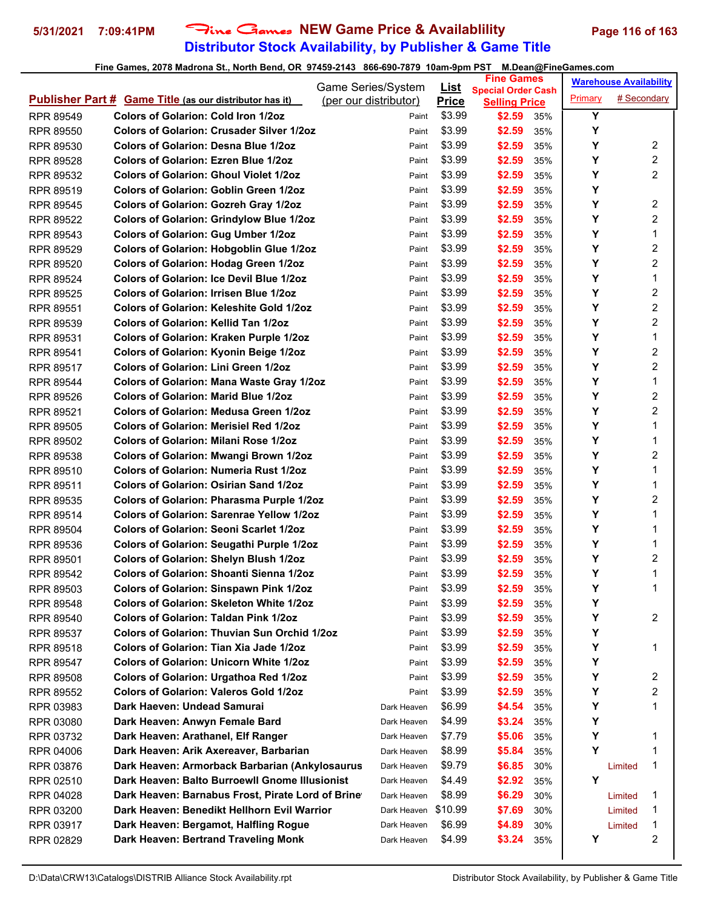# **Distributor Stock Availability, by Publisher & Game Title 5/31/2021 7:09:41PM** Fine Games **NEW Game Price & Availablility Page 116 of 163**

|                  |                                                                | Game Series/System    | <u>List</u>  | <b>Fine Games</b>                                 |     |         | <b>Warehouse Availability</b> |                |
|------------------|----------------------------------------------------------------|-----------------------|--------------|---------------------------------------------------|-----|---------|-------------------------------|----------------|
|                  | <b>Publisher Part # Game Title (as our distributor has it)</b> | (per our distributor) | <b>Price</b> | <b>Special Order Cash</b><br><b>Selling Price</b> |     | Primary | # Secondary                   |                |
| RPR 89549        | <b>Colors of Golarion: Cold Iron 1/2oz</b>                     | Paint                 | \$3.99       | \$2.59                                            | 35% | Y       |                               |                |
| RPR 89550        | <b>Colors of Golarion: Crusader Silver 1/2oz</b>               | Paint                 | \$3.99       | \$2.59                                            | 35% | Y       |                               |                |
| RPR 89530        | <b>Colors of Golarion: Desna Blue 1/2oz</b>                    | Paint                 | \$3.99       | \$2.59                                            | 35% | Υ       |                               | 2              |
| RPR 89528        | <b>Colors of Golarion: Ezren Blue 1/2oz</b>                    | Paint                 | \$3.99       | \$2.59                                            | 35% | Υ       |                               | 2              |
| RPR 89532        | <b>Colors of Golarion: Ghoul Violet 1/2oz</b>                  | Paint                 | \$3.99       | \$2.59                                            | 35% | Y       |                               | $\overline{2}$ |
| RPR 89519        | <b>Colors of Golarion: Goblin Green 1/2oz</b>                  | Paint                 | \$3.99       | \$2.59                                            | 35% | Υ       |                               |                |
| <b>RPR 89545</b> | <b>Colors of Golarion: Gozreh Gray 1/2oz</b>                   | Paint                 | \$3.99       | \$2.59                                            | 35% | Y       |                               | 2              |
| RPR 89522        | <b>Colors of Golarion: Grindylow Blue 1/2oz</b>                | Paint                 | \$3.99       | \$2.59                                            | 35% | Y       |                               | $\overline{2}$ |
| RPR 89543        | <b>Colors of Golarion: Gug Umber 1/2oz</b>                     | Paint                 | \$3.99       | \$2.59                                            | 35% | Y       |                               | 1              |
| <b>RPR 89529</b> | Colors of Golarion: Hobgoblin Glue 1/2oz                       | Paint                 | \$3.99       | \$2.59                                            | 35% | Y       |                               | $\overline{c}$ |
| RPR 89520        | <b>Colors of Golarion: Hodag Green 1/2oz</b>                   | Paint                 | \$3.99       | \$2.59                                            | 35% | Y       |                               | 2              |
| RPR 89524        | <b>Colors of Golarion: Ice Devil Blue 1/2oz</b>                | Paint                 | \$3.99       | \$2.59                                            | 35% | Y       |                               | 1              |
| <b>RPR 89525</b> | <b>Colors of Golarion: Irrisen Blue 1/2oz</b>                  | Paint                 | \$3.99       | \$2.59                                            | 35% | Υ       |                               | $\overline{c}$ |
| <b>RPR 89551</b> | <b>Colors of Golarion: Keleshite Gold 1/2oz</b>                | Paint                 | \$3.99       | \$2.59                                            | 35% | Υ       |                               | 2              |
| <b>RPR 89539</b> | <b>Colors of Golarion: Kellid Tan 1/2oz</b>                    | Paint                 | \$3.99       | \$2.59                                            | 35% | Υ       |                               | $\overline{2}$ |
| RPR 89531        | <b>Colors of Golarion: Kraken Purple 1/2oz</b>                 | Paint                 | \$3.99       | \$2.59                                            | 35% | Y       |                               | 1              |
| RPR 89541        | <b>Colors of Golarion: Kyonin Beige 1/2oz</b>                  | Paint                 | \$3.99       | \$2.59                                            | 35% | Y       |                               | $\overline{c}$ |
| RPR 89517        | Colors of Golarion: Lini Green 1/2oz                           | Paint                 | \$3.99       | \$2.59                                            | 35% | Υ       |                               | 2              |
| RPR 89544        | <b>Colors of Golarion: Mana Waste Gray 1/2oz</b>               | Paint                 | \$3.99       | \$2.59                                            | 35% | Y       |                               | 1              |
| RPR 89526        | <b>Colors of Golarion: Marid Blue 1/2oz</b>                    | Paint                 | \$3.99       | \$2.59                                            | 35% | Υ       |                               | 2              |
| RPR 89521        | <b>Colors of Golarion: Medusa Green 1/2oz</b>                  | Paint                 | \$3.99       | \$2.59                                            | 35% | Y       |                               | 2              |
| RPR 89505        | <b>Colors of Golarion: Merisiel Red 1/2oz</b>                  | Paint                 | \$3.99       | \$2.59                                            | 35% | Υ       |                               | 1              |
| <b>RPR 89502</b> | <b>Colors of Golarion: Milani Rose 1/2oz</b>                   | Paint                 | \$3.99       | \$2.59                                            | 35% | Y       |                               | 1              |
| RPR 89538        | <b>Colors of Golarion: Mwangi Brown 1/2oz</b>                  | Paint                 | \$3.99       | \$2.59                                            | 35% | Υ       |                               | $\overline{c}$ |
| RPR 89510        | <b>Colors of Golarion: Numeria Rust 1/2oz</b>                  | Paint                 | \$3.99       | \$2.59                                            | 35% | Υ       |                               | 1              |
| RPR 89511        | <b>Colors of Golarion: Osirian Sand 1/2oz</b>                  | Paint                 | \$3.99       | \$2.59                                            | 35% | Y       |                               | 1              |
| <b>RPR 89535</b> | Colors of Golarion: Pharasma Purple 1/2oz                      | Paint                 | \$3.99       | \$2.59                                            | 35% | Υ       |                               | 2              |
| RPR 89514        | <b>Colors of Golarion: Sarenrae Yellow 1/2oz</b>               | Paint                 | \$3.99       | \$2.59                                            | 35% | Υ       |                               | 1              |
| RPR 89504        | <b>Colors of Golarion: Seoni Scarlet 1/2oz</b>                 | Paint                 | \$3.99       | \$2.59                                            | 35% | Υ       |                               | 1              |
| RPR 89536        | Colors of Golarion: Seugathi Purple 1/2oz                      | Paint                 | \$3.99       | \$2.59                                            | 35% | Y       |                               | 1              |
| <b>RPR 89501</b> | <b>Colors of Golarion: Shelyn Blush 1/2oz</b>                  | Paint                 | \$3.99       | \$2.59                                            | 35% | Y       |                               | 2              |
| RPR 89542        | Colors of Golarion: Shoanti Sienna 1/2oz                       | Paint                 | \$3.99       | \$2.59                                            | 35% | Υ       |                               | 1              |
| RPR 89503        | <b>Colors of Golarion: Sinspawn Pink 1/2oz</b>                 | Paint                 | \$3.99       | \$2.59                                            | 35% | Υ       |                               | 1              |
| <b>RPR 89548</b> | <b>Colors of Golarion: Skeleton White 1/2oz</b>                | Paint                 | \$3.99       | \$2.59                                            | 35% | Υ       |                               |                |
| RPR 89540        | <b>Colors of Golarion: Taldan Pink 1/2oz</b>                   | Paint                 | \$3.99       | \$2.59                                            | 35% | Υ       |                               | 2              |
| RPR 89537        | <b>Colors of Golarion: Thuvian Sun Orchid 1/20z</b>            | Paint                 | \$3.99       | \$2.59                                            | 35% | Y       |                               |                |
| RPR 89518        | Colors of Golarion: Tian Xia Jade 1/2oz                        | Paint                 | \$3.99       | \$2.59                                            | 35% | Y       |                               | 1              |
| RPR 89547        | <b>Colors of Golarion: Unicorn White 1/2oz</b>                 | Paint                 | \$3.99       | \$2.59                                            | 35% | Υ       |                               |                |
| RPR 89508        | Colors of Golarion: Urgathoa Red 1/2oz                         | Paint                 | \$3.99       | \$2.59                                            | 35% | Y       |                               | 2              |
| <b>RPR 89552</b> | <b>Colors of Golarion: Valeros Gold 1/2oz</b>                  | Paint                 | \$3.99       | \$2.59                                            | 35% | Υ       |                               | 2              |
| RPR 03983        | Dark Haeven: Undead Samurai                                    | Dark Heaven           | \$6.99       | \$4.54                                            | 35% | Y       |                               | 1              |
| RPR 03080        | Dark Heaven: Anwyn Female Bard                                 | Dark Heaven           | \$4.99       | \$3.24                                            | 35% | Υ       |                               |                |
| RPR 03732        | Dark Heaven: Arathanel, Elf Ranger                             | Dark Heaven           | \$7.79       | \$5.06                                            | 35% | Y       |                               | 1              |
| RPR 04006        | Dark Heaven: Arik Axereaver, Barbarian                         | Dark Heaven           | \$8.99       | \$5.84                                            | 35% | Y       |                               | 1              |
| RPR 03876        | Dark Heaven: Armorback Barbarian (Ankylosaurus                 | Dark Heaven           | \$9.79       | \$6.85                                            | 30% |         | Limited                       | 1              |
| RPR 02510        | Dark Heaven: Balto Burroewll Gnome Illusionist                 | Dark Heaven           | \$4.49       | \$2.92                                            | 35% | Υ       |                               |                |
| RPR 04028        | Dark Heaven: Barnabus Frost, Pirate Lord of Brine              | Dark Heaven           | \$8.99       | \$6.29                                            | 30% |         | Limited                       | 1              |
| RPR 03200        | Dark Heaven: Benedikt Hellhorn Evil Warrior                    | Dark Heaven \$10.99   |              | \$7.69                                            | 30% |         | Limited                       | 1              |
| RPR 03917        | Dark Heaven: Bergamot, Halfling Rogue                          | Dark Heaven           | \$6.99       | \$4.89                                            | 30% |         | Limited                       | 1              |
| RPR 02829        | Dark Heaven: Bertrand Traveling Monk                           | Dark Heaven           | \$4.99       | \$3.24                                            | 35% | Υ       |                               | 2              |
|                  |                                                                |                       |              |                                                   |     |         |                               |                |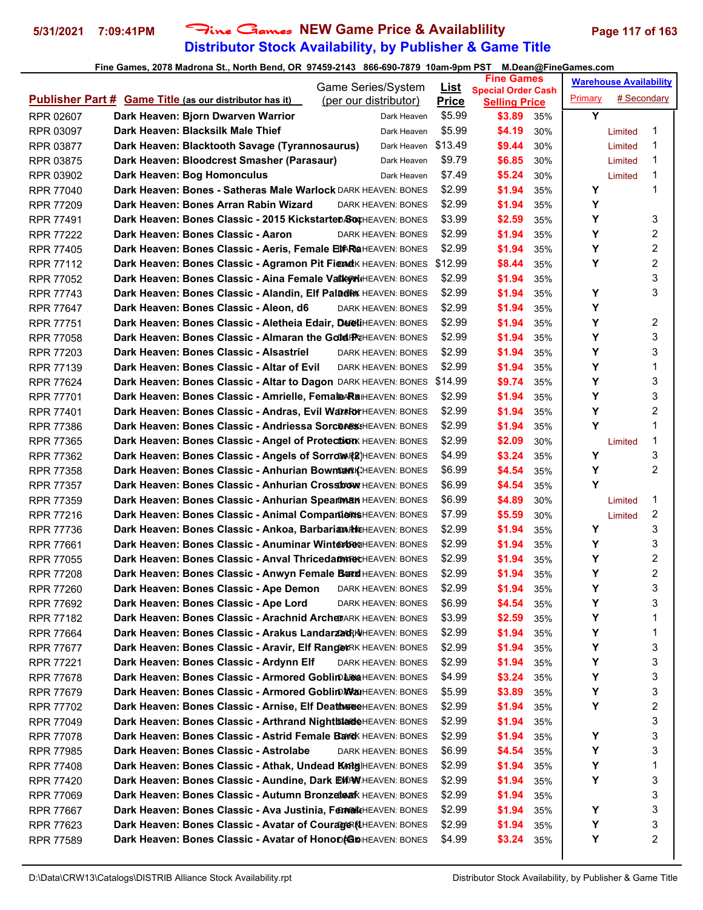# **Distributor Stock Availability, by Publisher & Game Title 5/31/2021 7:09:41PM** Fine Games **NEW Game Price & Availablility Page 117 of 163**

| Game Series/System                                                                          | <u>List</u>  | <b>Fine Games</b>                                 |         | <b>Warehouse Availability</b> |
|---------------------------------------------------------------------------------------------|--------------|---------------------------------------------------|---------|-------------------------------|
| <b>Publisher Part # Game Title (as our distributor has it)</b><br>(per our distributor)     | <b>Price</b> | <b>Special Order Cash</b><br><b>Selling Price</b> | Primary | # Secondary                   |
| Dark Heaven: Bjorn Dwarven Warrior<br>RPR 02607<br>Dark Heaven                              | \$5.99       | \$3.89<br>35%                                     | Y       |                               |
| Dark Heaven: Blacksilk Male Thief<br>Dark Heaven<br>RPR 03097                               | \$5.99       | \$4.19<br>30%                                     |         | 1<br>Limited                  |
| Dark Heaven: Blacktooth Savage (Tyrannosaurus)<br>Dark Heaven \$13.49<br>RPR 03877          |              | \$9.44<br>30%                                     |         | 1<br>Limited                  |
| Dark Heaven: Bloodcrest Smasher (Parasaur)<br>RPR 03875<br>Dark Heaven                      | \$9.79       | \$6.85<br>30%                                     |         | 1<br>Limited                  |
| Dark Heaven: Bog Homonculus<br>RPR 03902<br>Dark Heaven                                     | \$7.49       | \$5.24<br>30%                                     |         | 1<br>Limited                  |
| Dark Heaven: Bones - Satheras Male Warlock DARK HEAVEN: BONES<br><b>RPR 77040</b>           | \$2.99       | \$1.94<br>35%                                     | Υ       | 1                             |
| Dark Heaven: Bones Arran Rabin Wizard<br><b>RPR 77209</b><br><b>DARK HEAVEN: BONES</b>      | \$2.99       | \$1.94<br>35%                                     | Y       |                               |
| Dark Heaven: Bones Classic - 2015 KickstarteD&WHEAVEN: BONES<br><b>RPR 77491</b>            | \$3.99       | \$2.59<br>35%                                     | Y       | 3                             |
| Dark Heaven: Bones Classic - Aaron<br>RPR 77222<br>DARK HEAVEN: BONES                       | \$2.99       | \$1.94<br>35%                                     | Υ       | 2                             |
| Dark Heaven: Bones Classic - Aeris, Female EDAR@HEAVEN: BONES<br><b>RPR 77405</b>           | \$2.99       | \$1.94<br>35%                                     | Υ       | $\overline{\mathbf{c}}$       |
| Dark Heaven: Bones Classic - Agramon Pit Fiend K HEAVEN: BONES<br><b>RPR 77112</b>          | \$12.99      | \$8.44<br>35%                                     | Y       | 2                             |
| Dark Heaven: Bones Classic - Aina Female Valky MiHEAVEN: BONES<br><b>RPR 77052</b>          | \$2.99       | \$1.94<br>35%                                     |         | 3                             |
| Dark Heaven: Bones Classic - Alandin, Elf Paladin HEAVEN: BONES<br><b>RPR 77743</b>         | \$2.99       | \$1.94<br>35%                                     | Υ       | 3                             |
| Dark Heaven: Bones Classic - Aleon, d6<br><b>RPR 77647</b><br><b>DARK HEAVEN: BONES</b>     | \$2.99       | \$1.94<br>35%                                     | Υ       |                               |
| Dark Heaven: Bones Classic - Aletheia Edair, DAR HIHEAVEN: BONES<br><b>RPR 77751</b>        | \$2.99       | \$1.94<br>35%                                     | Υ       | 2                             |
| Dark Heaven: Bones Classic - Almaran the Gold FREAVEN: BONES<br><b>RPR 77058</b>            | \$2.99       | \$1.94<br>35%                                     | Y       | 3                             |
| Dark Heaven: Bones Classic - Alsastriel<br><b>RPR 77203</b><br>DARK HEAVEN: BONES           | \$2.99       | \$1.94<br>35%                                     | Υ       | 3                             |
| Dark Heaven: Bones Classic - Altar of Evil<br><b>RPR 77139</b><br><b>DARK HEAVEN: BONES</b> | \$2.99       | \$1.94<br>35%                                     | Υ       | 1                             |
| Dark Heaven: Bones Classic - Altar to Dagon DARK HEAVEN: BONES<br><b>RPR 77624</b>          | \$14.99      | \$9.74<br>35%                                     | Y       | 3                             |
| Dark Heaven: Bones Classic - Amrielle, Femal@ARaHEAVEN: BONES<br><b>RPR 77701</b>           | \$2.99       | \$1.94<br>35%                                     | Υ       | 3                             |
| Dark Heaven: Bones Classic - Andras, Evil Warkor HEAVEN: BONES<br><b>RPR 77401</b>          | \$2.99       | \$1.94<br>35%                                     | Υ       | 2                             |
| Dark Heaven: Bones Classic - Andriessa Sorceres: HEAVEN: BONES<br><b>RPR 77386</b>          | \$2.99       | \$1.94<br>35%                                     | Y       | 1                             |
| Dark Heaven: Bones Classic - Angel of Protection HEAVEN: BONES<br><b>RPR 77365</b>          | \$2.99       | \$2.09<br>30%                                     |         | 1<br>Limited                  |
| Dark Heaven: Bones Classic - Angels of Sorrow Reven: BONES<br><b>RPR 77362</b>              | \$4.99       | \$3.24<br>35%                                     | Υ       | 3                             |
| Dark Heaven: Bones Classic - Anhurian Bowman KiHEAVEN: BONES<br><b>RPR 77358</b>            | \$6.99       | \$4.54<br>35%                                     | Υ       | 2                             |
| Dark Heaven: Bones Classic - Anhurian Crossbow HEAVEN: BONES<br><b>RPR 77357</b>            | \$6.99       | \$4.54<br>35%                                     | Y       |                               |
| Dark Heaven: Bones Classic - Anhurian Spearthan HEAVEN: BONES<br><b>RPR 77359</b>           | \$6.99       | \$4.89<br>30%                                     |         | 1<br>Limited                  |
| Dark Heaven: Bones Classic - Animal Companion SHEAVEN: BONES<br><b>RPR 77216</b>            | \$7.99       | \$5.59<br>30%                                     |         | 2<br>Limited                  |
| Dark Heaven: Bones Classic - Ankoa, Barbarian Hikheaven: BONES<br><b>RPR 77736</b>          | \$2.99       | \$1.94<br>35%                                     | Y       | 3                             |
| Dark Heaven: Bones Classic - Anuminar WinterbechEAVEN: BONES<br><b>RPR 77661</b>            | \$2.99       | \$1.94<br>35%                                     | Υ       | 3                             |
| Dark Heaven: Bones Classic - Anval Thricedam NOCHEAVEN: BONES<br><b>RPR 77055</b>           | \$2.99       | \$1.94<br>35%                                     | Υ       | 2                             |
| Dark Heaven: Bones Classic - Anwyn Female Bard HEAVEN: BONES<br><b>RPR 77208</b>            | \$2.99       | \$1.94<br>35%                                     | Υ       | 2                             |
| Dark Heaven: Bones Classic - Ape Demon DARK HEAVEN: BONES<br>RPR 77260                      | \$2.99       | \$1.94<br>35%                                     | Υ       | 3                             |
| Dark Heaven: Bones Classic - Ape Lord<br>RPR 77692<br>DARK HEAVEN: BONES                    | \$6.99       | \$4.54<br>35%                                     | Υ       | 3                             |
| Dark Heaven: Bones Classic - Arachnid ArcheDARK HEAVEN: BONES<br>RPR 77182                  | \$3.99       | \$2.59<br>35%                                     | Υ       | 1                             |
| Dark Heaven: Bones Classic - Arakus Landarzad; NHEAVEN: BONES<br><b>RPR 77664</b>           | \$2.99       | \$1.94<br>35%                                     | Υ       | 1                             |
| Dark Heaven: Bones Classic - Aravir, Elf RangexRK HEAVEN: BONES<br>RPR 77677                | \$2.99       | \$1.94<br>35%                                     | Υ       | 3                             |
| Dark Heaven: Bones Classic - Ardynn Elf<br>RPR 77221<br>DARK HEAVEN: BONES                  | \$2.99       | \$1.94<br>35%                                     | Υ       | 3                             |
| Dark Heaven: Bones Classic - Armored Goblin LeaHEAVEN: BONES<br>RPR 77678                   | \$4.99       | \$3.24<br>35%                                     | Υ       | 3                             |
| Dark Heaven: Bones Classic - Armored Goblin WanHEAVEN: BONES<br>RPR 77679                   | \$5.99       | \$3.89<br>35%                                     | Υ       | 3                             |
| Dark Heaven: Bones Classic - Arnise, Elf DeathseeHEAVEN: BONES<br>RPR 77702                 | \$2.99       | \$1.94<br>35%                                     | Υ       | $\overline{\mathbf{c}}$       |
| Dark Heaven: Bones Classic - Arthrand NightblardeHEAVEN: BONES<br>RPR 77049                 | \$2.99       | \$1.94<br>35%                                     |         | 3                             |
| Dark Heaven: Bones Classic - Astrid Female Bank HEAVEN: BONES<br>RPR 77078                  | \$2.99       | \$1.94<br>35%                                     | Υ       | 3                             |
| Dark Heaven: Bones Classic - Astrolabe<br>RPR 77985<br>DARK HEAVEN: BONES                   | \$6.99       | \$4.54<br>35%                                     | Υ       | 3                             |
| Dark Heaven: Bones Classic - Athak, Undead KARig HEAVEN: BONES<br>RPR 77408                 | \$2.99       | \$1.94<br>35%                                     | Υ       | 1                             |
| Dark Heaven: Bones Classic - Aundine, Dark EXRW HEAVEN: BONES<br>RPR 77420                  | \$2.99       | \$1.94<br>35%                                     | Υ       | 3                             |
| Dark Heaven: Bones Classic - Autumn Bronzelear HEAVEN: BONES<br>RPR 77069                   | \$2.99       | \$1.94<br>35%                                     |         | 3                             |
| Dark Heaven: Bones Classic - Ava Justinia, FemakHEAVEN: BONES<br>RPR 77667                  | \$2.99       | \$1.94<br>35%                                     | Υ       | 3                             |
| Dark Heaven: Bones Classic - Avatar of CourageR(IHEAVEN: BONES<br>RPR 77623                 | \$2.99       | \$1.94<br>35%                                     | Υ       | 3                             |
| Dark Heaven: Bones Classic - Avatar of HonoD(GoHEAVEN: BONES<br><b>RPR 77589</b>            | \$4.99       | \$3.24<br>35%                                     | Y       | 2                             |
|                                                                                             |              |                                                   |         |                               |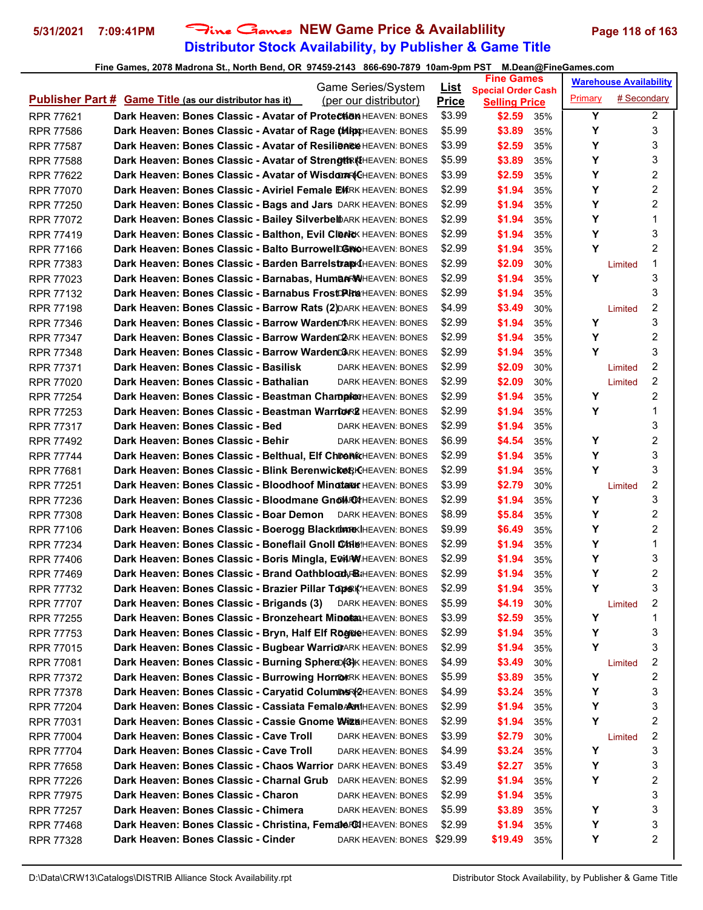# **Distributor Stock Availability, by Publisher & Game Title 5/31/2021 7:09:41PM** Fine Games **NEW Game Price & Availablility Page 118 of 163**

| Game Series/System                                                                        | <u>List</u>  | <b>Fine Games</b>                     |         | <b>Warehouse Availability</b> |
|-------------------------------------------------------------------------------------------|--------------|---------------------------------------|---------|-------------------------------|
| <b>Publisher Part # Game Title (as our distributor has it)</b><br>(per our distributor)   | <b>Price</b> | <b>Special Order Cash</b>             | Primary | # Secondary                   |
| Dark Heaven: Bones Classic - Avatar of Protection HEAVEN: BONES<br>RPR 77621              | \$3.99       | <b>Selling Price</b><br>\$2.59<br>35% | Y       | $\overline{2}$                |
| <b>Dark Heaven: Bones Classic - Avatar of Rage (MRAXHEAVEN: BONES</b><br><b>RPR 77586</b> | \$5.99       | \$3.89<br>35%                         | Υ       | 3                             |
| Dark Heaven: Bones Classic - Avatar of Resilience HEAVEN: BONES<br><b>RPR 77587</b>       | \$3.99       | \$2.59<br>35%                         | Υ       | 3                             |
| Dark Heaven: Bones Classic - Avatar of StrengthRKIHEAVEN: BONES<br><b>RPR 77588</b>       | \$5.99       | \$3.89<br>35%                         | Y       | 3                             |
| Dark Heaven: Bones Classic - Avatar of Wisdom ACHEAVEN: BONES<br><b>RPR 77622</b>         | \$3.99       | \$2.59<br>35%                         | Y       | 2                             |
| Dark Heaven: Bones Classic - Aviriel Female EXRK HEAVEN: BONES<br><b>RPR 77070</b>        | \$2.99       | \$1.94<br>35%                         | Υ       | 2                             |
| Dark Heaven: Bones Classic - Bags and Jars DARK HEAVEN: BONES<br><b>RPR 77250</b>         | \$2.99       | \$1.94<br>35%                         | Υ       | 2                             |
| Dark Heaven: Bones Classic - Bailey SilverbelbARK HEAVEN: BONES<br><b>RPR 77072</b>       | \$2.99       | \$1.94<br>35%                         | Υ       | 1                             |
| Dark Heaven: Bones Classic - Balthon, Evil Cleric HEAVEN: BONES<br><b>RPR 77419</b>       | \$2.99       | \$1.94<br>35%                         | Υ       | 3                             |
| Dark Heaven: Bones Classic - Balto BurrowelDGNOHEAVEN: BONES<br><b>RPR 77166</b>          | \$2.99       | \$1.94<br>35%                         | Y       | $\overline{c}$                |
| Dark Heaven: Bones Classic - Barden Barrelstrar KHEAVEN: BONES<br><b>RPR 77383</b>        | \$2.99       | \$2.09<br>30%                         |         | 1<br>Limited                  |
| Dark Heaven: Bones Classic - Barnabas, HumanRWHEAVEN: BONES<br>RPR 77023                  | \$2.99       | \$1.94<br>35%                         | Y       | 3                             |
| <b>Dark Heaven: Bones Classic - Barnabus FrostDAire HEAVEN: BONES</b><br><b>RPR 77132</b> | \$2.99       | \$1.94<br>35%                         |         | 3                             |
| Dark Heaven: Bones Classic - Barrow Rats (2) DARK HEAVEN: BONES<br><b>RPR 77198</b>       | \$4.99       | \$3.49<br>30%                         |         | 2<br>Limited                  |
| Dark Heaven: Bones Classic - Barrow WardenDARK HEAVEN: BONES<br><b>RPR 77346</b>          | \$2.99       | \$1.94<br>35%                         | Y       | 3                             |
| Dark Heaven: Bones Classic - Barrow Warden PARK HEAVEN: BONES<br><b>RPR 77347</b>         | \$2.99       | \$1.94<br>35%                         | Υ       | 2                             |
| Dark Heaven: Bones Classic - Barrow WardenD&RK HEAVEN: BONES<br><b>RPR 77348</b>          | \$2.99       | \$1.94<br>35%                         | Y       | 3                             |
| Dark Heaven: Bones Classic - Basilisk<br><b>RPR 77371</b><br><b>DARK HEAVEN: BONES</b>    | \$2.99       | \$2.09<br>30%                         |         | 2<br>Limited                  |
| Dark Heaven: Bones Classic - Bathalian<br><b>RPR 77020</b><br>DARK HEAVEN: BONES          | \$2.99       | \$2.09<br>30%                         |         | 2<br>Limited                  |
| Dark Heaven: Bones Classic - Beastman Champiton HEAVEN: BONES<br><b>RPR 77254</b>         | \$2.99       | \$1.94<br>35%                         | Υ       | 2                             |
| Dark Heaven: Bones Classic - Beastman Warrtor& HEAVEN: BONES<br><b>RPR 77253</b>          | \$2.99       | \$1.94<br>35%                         | Y       | 1                             |
| Dark Heaven: Bones Classic - Bed<br><b>RPR 77317</b><br>DARK HEAVEN: BONES                | \$2.99       | \$1.94<br>35%                         |         | 3                             |
| Dark Heaven: Bones Classic - Behir<br><b>RPR 77492</b><br>DARK HEAVEN: BONES              | \$6.99       | \$4.54<br>35%                         | Y       | 2                             |
| Dark Heaven: Bones Classic - Belthual, Elf ChrenkHEAVEN: BONES<br><b>RPR 77744</b>        | \$2.99       | \$1.94<br>35%                         | Υ       | 3                             |
| Dark Heaven: Bones Classic - Blink Berenwicker KHEAVEN: BONES<br><b>RPR 77681</b>         | \$2.99       | \$1.94<br>35%                         | Y       | 3                             |
| Dark Heaven: Bones Classic - Bloodhoof Minoter HEAVEN: BONES<br><b>RPR 77251</b>          | \$3.99       | \$2.79<br>30%                         |         | 2<br>Limited                  |
| Dark Heaven: Bones Classic - Bloodmane Gnol RatHEAVEN: BONES<br><b>RPR 77236</b>          | \$2.99       | \$1.94<br>35%                         | Υ       | 3                             |
| <b>Dark Heaven: Bones Classic - Boar Demon</b> DARK HEAVEN: BONES<br><b>RPR 77308</b>     | \$8.99       | \$5.84<br>35%                         | Y       | 2                             |
| Dark Heaven: Bones Classic - Boerogg Blackrom REAVEN: BONES<br><b>RPR 77106</b>           | \$9.99       | \$6.49<br>35%                         | Υ       | 2                             |
| Dark Heaven: Bones Classic - Boneflail Gnoll CARISHEAVEN: BONES<br><b>RPR 77234</b>       | \$2.99       | \$1.94<br>35%                         | Υ       | 1                             |
| Dark Heaven: Bones Classic - Boris Mingla, EDIAWHEAVEN: BONES<br><b>RPR 77406</b>         | \$2.99       | \$1.94<br>35%                         | Υ       | 3                             |
| Dark Heaven: Bones Classic - Brand Oathblood, FBI: HEAVEN: BONES<br><b>RPR 77469</b>      | \$2.99       | \$1.94<br>35%                         | Υ       | 2                             |
| Dark Heaven: Bones Classic - Brazier Pillar Tops K'HEAVEN: BONES<br>RPR 77732             | \$2.99       | \$1.94<br>35%                         | Y       | 3                             |
| Dark Heaven: Bones Classic - Brigands (3) DARK HEAVEN: BONES<br><b>RPR 77707</b>          | \$5.99       | \$4.19<br>30%                         |         | 2<br>Limited                  |
| Dark Heaven: Bones Classic - Bronzeheart Minet MHEAVEN: BONES<br>RPR 77255                | \$3.99       | \$2.59<br>35%                         | Υ       | 1                             |
| Dark Heaven: Bones Classic - Bryn, Half Elf RogRieHEAVEN: BONES<br>RPR 77753              | \$2.99       | \$1.94<br>35%                         | Y       | 3                             |
| Dark Heaven: Bones Classic - Bugbear WarriorARK HEAVEN: BONES<br>RPR 77015                | \$2.99       | \$1.94<br>35%                         | Y       | 3                             |
| Dark Heaven: Bones Classic - Burning Sphere (33)K HEAVEN: BONES<br>RPR 77081              | \$4.99       | \$3.49<br>30%                         |         | 2<br>Limited                  |
| Dark Heaven: Bones Classic - Burrowing HorrokRK HEAVEN: BONES<br>RPR 77372                | \$5.99       | \$3.89<br>35%                         | Υ       | 2                             |
| Dark Heaven: Bones Classic - Caryatid ColumDSR(2HEAVEN: BONES<br>RPR 77378                | \$4.99       | \$3.24<br>35%                         | Υ       | 3                             |
| Dark Heaven: Bones Classic - Cassiata FemalDARMIHEAVEN: BONES<br><b>RPR 77204</b>         | \$2.99       | \$1.94<br>35%                         | Υ       | 3                             |
| Dark Heaven: Bones Classic - Cassie Gnome Wiza HEAVEN: BONES<br>RPR 77031                 | \$2.99       | \$1.94<br>35%                         | Y       | 2                             |
| Dark Heaven: Bones Classic - Cave Troll<br><b>RPR 77004</b><br>DARK HEAVEN: BONES         | \$3.99       | \$2.79<br>30%                         |         | 2<br>Limited                  |
| Dark Heaven: Bones Classic - Cave Troll<br>RPR 77704<br>DARK HEAVEN: BONES                | \$4.99       | \$3.24<br>35%                         | Υ       | 3                             |
| Dark Heaven: Bones Classic - Chaos Warrior DARK HEAVEN: BONES<br>RPR 77658                | \$3.49       | \$2.27<br>35%                         | Υ       | 3                             |
| Dark Heaven: Bones Classic - Charnal Grub<br>RPR 77226<br>DARK HEAVEN: BONES              | \$2.99       | \$1.94<br>35%                         | Υ       | 2                             |
| Dark Heaven: Bones Classic - Charon<br><b>RPR 77975</b><br>DARK HEAVEN: BONES             | \$2.99       | \$1.94<br>35%                         |         | 3                             |
| Dark Heaven: Bones Classic - Chimera<br>RPR 77257<br>DARK HEAVEN: BONES                   | \$5.99       | \$3.89<br>35%                         | Υ       | 3                             |
| Dark Heaven: Bones Classic - Christina, Femater@HEAVEN: BONES<br>RPR 77468                | \$2.99       | \$1.94<br>35%                         | Υ       | 3                             |
| Dark Heaven: Bones Classic - Cinder<br>DARK HEAVEN: BONES<br>RPR 77328                    | \$29.99      | \$19.49<br>35%                        | Y       | 2                             |
|                                                                                           |              |                                       |         |                               |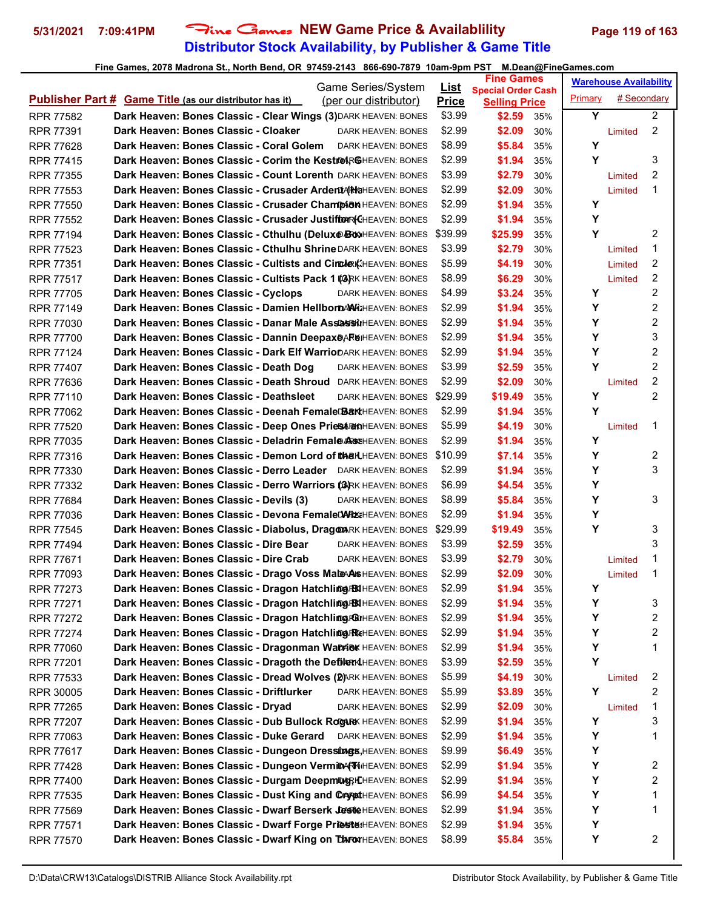# **Distributor Stock Availability, by Publisher & Game Title 5/31/2021 7:09:41PM** Fine Games **NEW Game Price & Availablility Page 119 of 163**

| Game Series/System                                                                                                                                 |                             | <b>Fine Games</b>                     | <b>Warehouse Availability</b> |
|----------------------------------------------------------------------------------------------------------------------------------------------------|-----------------------------|---------------------------------------|-------------------------------|
| <b>Publisher Part # Game Title (as our distributor has it)</b><br>(per our distributor)                                                            | <u>List</u><br><b>Price</b> | <b>Special Order Cash</b>             | # Secondary<br>Primary        |
| <b>RPR 77582</b><br>Dark Heaven: Bones Classic - Clear Wings (3) DARK HEAVEN: BONES                                                                | \$3.99                      | <b>Selling Price</b><br>\$2.59<br>35% | Y<br>$\overline{2}$           |
| Dark Heaven: Bones Classic - Cloaker<br>DARK HEAVEN: BONES<br><b>RPR 77391</b>                                                                     | \$2.99                      | \$2.09<br>30%                         | $\overline{2}$<br>Limited     |
| Dark Heaven: Bones Classic - Coral Golem<br><b>RPR 77628</b><br>DARK HEAVEN: BONES                                                                 | \$8.99                      | \$5.84<br>35%                         | Y                             |
| <b>RPR 77415</b><br>Dark Heaven: Bones Classic - Corim the Kestre RGHEAVEN: BONES                                                                  | \$2.99                      | \$1.94<br>35%                         | 3<br>Υ                        |
| <b>Dark Heaven: Bones Classic - Count Lorenth DARK HEAVEN: BONES</b><br><b>RPR 77355</b>                                                           | \$3.99                      | \$2.79<br>30%                         | 2<br>Limited                  |
| Dark Heaven: Bones Classic - Crusader ArdentARK HEAVEN: BONES<br><b>RPR 77553</b>                                                                  | \$2.99                      | \$2.09<br>30%                         | 1<br>Limited                  |
| Dark Heaven: Bones Classic - Crusader Champion HEAVEN: BONES<br><b>RPR 77550</b>                                                                   | \$2.99                      | \$1.94<br>35%                         | Υ                             |
| Dark Heaven: Bones Classic - Crusader JustifterR(CHEAVEN: BONES<br><b>RPR 77552</b>                                                                | \$2.99                      | \$1.94<br>35%                         | Υ                             |
| Dark Heaven: Bones Classic - Cthulhu (Delux@BoxHEAVEN: BONES<br><b>RPR 77194</b>                                                                   | \$39.99                     | \$25.99<br>35%                        | Y<br>2                        |
| Dark Heaven: Bones Classic - Cthulhu Shrine DARK HEAVEN: BONES<br><b>RPR 77523</b>                                                                 | \$3.99                      | \$2.79<br>30%                         | 1<br>Limited                  |
| Dark Heaven: Bones Classic - Cultists and Circler KHEAVEN: BONES<br><b>RPR 77351</b>                                                               | \$5.99                      | \$4.19<br>30%                         | $\overline{c}$<br>Limited     |
|                                                                                                                                                    | \$8.99                      | \$6.29                                | 2                             |
| Dark Heaven: Bones Classic - Cultists Pack 1 (@RK HEAVEN: BONES<br><b>RPR 77517</b>                                                                | \$4.99                      | 30%<br>\$3.24                         | Limited<br>2<br>Y             |
| Dark Heaven: Bones Classic - Cyclops<br><b>RPR 77705</b><br>DARK HEAVEN: BONES<br>Dark Heaven: Bones Classic - Damien HellbornAWi: HEAVEN: BONES   | \$2.99                      | 35%                                   | Υ<br>2                        |
| <b>RPR 77149</b>                                                                                                                                   |                             | \$1.94<br>35%                         | 2                             |
| Dark Heaven: Bones Classic - Danar Male AssassinHEAVEN: BONES<br><b>RPR 77030</b>                                                                  | \$2.99                      | \$1.94<br>35%                         | Υ<br>3                        |
| Dark Heaven: Bones Classic - Dannin Deepax@ARGIHEAVEN: BONES<br><b>RPR 77700</b><br>Dark Heaven: Bones Classic - Dark Elf WarrioDARK HEAVEN: BONES | \$2.99                      | \$1.94<br>35%                         | Υ<br>2<br>Υ                   |
| RPR 77124                                                                                                                                          | \$2.99                      | \$1.94<br>35%                         |                               |
| Dark Heaven: Bones Classic - Death Dog<br><b>RPR 77407</b><br>DARK HEAVEN: BONES                                                                   | \$3.99                      | \$2.59<br>35%                         | Y<br>2                        |
| Dark Heaven: Bones Classic - Death Shroud DARK HEAVEN: BONES<br><b>RPR 77636</b>                                                                   | \$2.99                      | \$2.09<br>30%                         | 2<br>Limited                  |
| Dark Heaven: Bones Classic - Deathsleet<br>DARK HEAVEN: BONES \$29.99<br><b>RPR 77110</b>                                                          |                             | \$19.49<br>35%                        | $\overline{2}$<br>Y           |
| Dark Heaven: Bones Classic - Deenah FemaleDBarkHEAVEN: BONES<br><b>RPR 77062</b>                                                                   | \$2.99                      | \$1.94<br>35%                         | Y                             |
| Dark Heaven: Bones Classic - Deep Ones PriestranHEAVEN: BONES<br><b>RPR 77520</b>                                                                  | \$5.99                      | \$4.19<br>30%                         | 1<br>Limited                  |
| <b>Dark Heaven: Bones Classic - Deladrin Femal@A&amp;</b> KHEAVEN: BONES<br><b>RPR 77035</b>                                                       | \$2.99                      | \$1.94<br>35%                         | Y                             |
| Dark Heaven: Bones Classic - Demon Lord of the KHEAVEN: BONES<br><b>RPR 77316</b>                                                                  | \$10.99                     | \$7.14<br>35%                         | Υ<br>2                        |
| Dark Heaven: Bones Classic - Derro Leader DARK HEAVEN: BONES<br><b>RPR 77330</b>                                                                   | \$2.99                      | \$1.94<br>35%                         | Υ<br>3                        |
| Dark Heaven: Bones Classic - Derro Warriors (&RK HEAVEN: BONES<br><b>RPR 77332</b>                                                                 | \$6.99                      | \$4.54<br>35%                         | Υ                             |
| Dark Heaven: Bones Classic - Devils (3)<br><b>RPR 77684</b><br>DARK HEAVEN: BONES                                                                  | \$8.99                      | \$5.84<br>35%                         | Υ<br>3                        |
| Dark Heaven: Bones Classic - Devona FemaleDARIZEHEAVEN: BONES<br><b>RPR 77036</b>                                                                  | \$2.99                      | \$1.94<br>35%                         | Υ                             |
| Dark Heaven: Bones Classic - Diabolus, Dragon RK HEAVEN: BONES<br><b>RPR 77545</b>                                                                 | \$29.99                     | \$19.49<br>35%                        | Υ<br>3                        |
| Dark Heaven: Bones Classic - Dire Bear<br><b>RPR 77494</b><br><b>DARK HEAVEN: BONES</b>                                                            | \$3.99                      | \$2.59<br>35%                         | 3                             |
| Dark Heaven: Bones Classic - Dire Crab<br>RPR 77671<br>DARK HEAVEN: BONES                                                                          | \$3.99                      | \$2.79<br>30%                         | 1<br>Limited                  |
| Dark Heaven: Bones Classic - Drago Voss MaleAASHEAVEN: BONES<br><b>RPR 77093</b>                                                                   | \$2.99                      | \$2.09<br>30%                         | 1<br>Limited                  |
| Dark Heaven: Bones Classic - Dragon Hatchling FBIHEAVEN: BONES<br>RPR 77273                                                                        | \$2.99                      | \$1.94<br>35%                         | Y                             |
| Dark Heaven: Bones Classic - Dragon Hatchling BIHEAVEN: BONES<br>RPR 77271                                                                         | \$2.99                      | \$1.94<br>35%                         | 3<br>Y                        |
| Dark Heaven: Bones Classic - Dragon Hatchling FOUHEAVEN: BONES<br>RPR 77272                                                                        | \$2.99                      | \$1.94<br>35%                         | 2<br>Υ                        |
| Dark Heaven: Bones Classic - Dragon Hatchling FRECHEAVEN: BONES<br><b>RPR 77274</b>                                                                | \$2.99                      | \$1.94<br>35%                         | $\overline{\mathbf{c}}$<br>Υ  |
| Dark Heaven: Bones Classic - Dragonman Wanniek HEAVEN: BONES<br>RPR 77060                                                                          | \$2.99                      | \$1.94<br>35%                         | Υ<br>1                        |
| Dark Heaven: Bones Classic - Dragoth the Defilend HEAVEN: BONES<br>RPR 77201                                                                       | \$3.99                      | \$2.59<br>35%                         | Y                             |
| Dark Heaven: Bones Classic - Dread Wolves (2)ARK HEAVEN: BONES<br>RPR 77533                                                                        | \$5.99                      | \$4.19<br>30%                         | 2<br>Limited                  |
| Dark Heaven: Bones Classic - Driftlurker<br>DARK HEAVEN: BONES<br><b>RPR 30005</b>                                                                 | \$5.99                      | \$3.89<br>35%                         | Y<br>2                        |
| Dark Heaven: Bones Classic - Dryad<br>RPR 77265<br>DARK HEAVEN: BONES                                                                              | \$2.99                      | \$2.09<br>30%                         | 1<br>Limited                  |
| Dark Heaven: Bones Classic - Dub Bullock Rogure HEAVEN: BONES<br>RPR 77207                                                                         | \$2.99                      | \$1.94<br>35%                         | 3<br>Y                        |
| Dark Heaven: Bones Classic - Duke Gerard DARK HEAVEN: BONES<br>RPR 77063                                                                           | \$2.99                      | \$1.94<br>35%                         | Υ<br>1                        |
| Dark Heaven: Bones Classic - Dungeon Dressings, HEAVEN: BONES<br>RPR 77617                                                                         | \$9.99                      | \$6.49<br>35%                         | Υ                             |
| Dark Heaven: Bones Classic - Dungeon VermiDA(WHEAVEN: BONES<br>RPR 77428                                                                           | \$2.99                      | \$1.94<br>35%                         | Υ<br>2                        |
| Dark Heaven: Bones Classic - Durgam DeepmDGRIK HEAVEN: BONES<br><b>RPR 77400</b>                                                                   | \$2.99                      | \$1.94<br>35%                         | 2<br>Υ                        |
| Dark Heaven: Bones Classic - Dust King and OrypotHEAVEN: BONES<br>RPR 77535                                                                        | \$6.99                      | \$4.54<br>35%                         | Υ<br>1                        |
| Dark Heaven: Bones Classic - Dwarf Berserk JosteHEAVEN: BONES<br><b>RPR 77569</b>                                                                  | \$2.99                      | \$1.94<br>35%                         | Υ<br>1                        |
| Dark Heaven: Bones Classic - Dwarf Forge Prieste: HEAVEN: BONES<br><b>RPR 77571</b>                                                                | \$2.99                      | \$1.94<br>35%                         | Υ                             |
| Dark Heaven: Bones Classic - Dwarf King on DARWHEAVEN: BONES<br><b>RPR 77570</b>                                                                   | \$8.99                      | \$5.84<br>35%                         | 2<br>Υ                        |
|                                                                                                                                                    |                             |                                       |                               |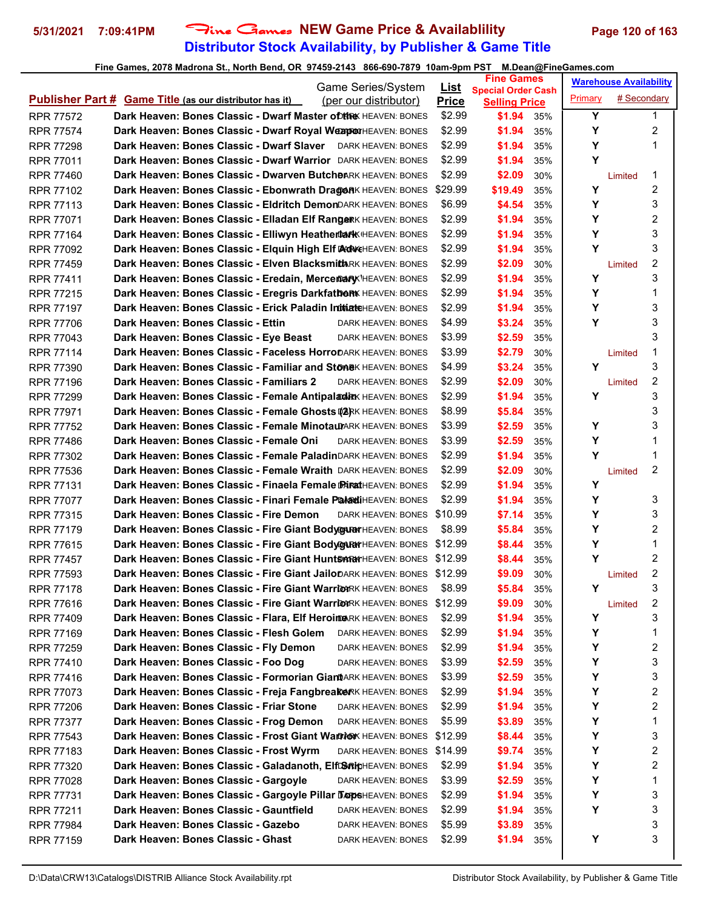# **Distributor Stock Availability, by Publisher & Game Title 5/31/2021 7:09:41PM** Fine Games **NEW Game Price & Availablility Page 120 of 163**

| Game Series/System                                                                        | <u>List</u>  | <b>Fine Games</b>                                 |         | <b>Warehouse Availability</b> |
|-------------------------------------------------------------------------------------------|--------------|---------------------------------------------------|---------|-------------------------------|
| <b>Publisher Part # Game Title (as our distributor has it)</b><br>(per our distributor)   | <b>Price</b> | <b>Special Order Cash</b><br><b>Selling Price</b> | Primary | # Secondary                   |
| <b>Dark Heaven: Bones Classic - Dwarf Master of the HEAVEN: BONES</b><br>RPR 77572        | \$2.99       | \$1.94<br>35%                                     | Y       | 1                             |
| Dark Heaven: Bones Classic - Dwarf Royal WeapoxHEAVEN: BONES<br><b>RPR 77574</b>          | \$2.99       | \$1.94<br>35%                                     | Υ       | 2                             |
| Dark Heaven: Bones Classic - Dwarf Slaver DARK HEAVEN: BONES<br><b>RPR 77298</b>          | \$2.99       | \$1.94<br>35%                                     | Υ       | 1                             |
| Dark Heaven: Bones Classic - Dwarf Warrior DARK HEAVEN: BONES<br><b>RPR 77011</b>         | \$2.99       | \$1.94<br>35%                                     | Υ       |                               |
| Dark Heaven: Bones Classic - Dwarven Butcheark HEAVEN: BONES<br><b>RPR 77460</b>          | \$2.99       | \$2.09<br>30%                                     |         | 1<br>Limited                  |
| Dark Heaven: Bones Classic - Ebonwrath DragenK HEAVEN: BONES<br>RPR 77102                 | \$29.99      | \$19.49<br>35%                                    | Y       | 2                             |
| Dark Heaven: Bones Classic - Eldritch DemonDARK HEAVEN: BONES<br><b>RPR 77113</b>         | \$6.99       | \$4.54<br>35%                                     | Y       | 3                             |
| Dark Heaven: Bones Classic - Elladan Elf RangerK HEAVEN: BONES<br><b>RPR 77071</b>        | \$2.99       | \$1.94<br>35%                                     | Y       | 2                             |
| Dark Heaven: Bones Classic - Elliwyn Heathertark HEAVEN: BONES<br><b>RPR 77164</b>        | \$2.99       | \$1.94<br>35%                                     | Υ       | 3                             |
| Dark Heaven: Bones Classic - Elquin High Elf AdveHEAVEN: BONES<br><b>RPR 77092</b>        | \$2.99       | \$1.94<br>35%                                     | Y       | 3                             |
| Dark Heaven: Bones Classic - Elven BlacksmithRK HEAVEN: BONES<br><b>RPR 77459</b>         | \$2.99       | \$2.09<br>30%                                     |         | 2<br>Limited                  |
| Dark Heaven: Bones Classic - Eredain, Mercemary HEAVEN: BONES<br><b>RPR 77411</b>         | \$2.99       | \$1.94<br>35%                                     | Y       | 3                             |
| Dark Heaven: Bones Classic - Eregris Darkfatber HEAVEN: BONES<br>RPR 77215                | \$2.99       | \$1.94<br>35%                                     | Υ       | 1                             |
| Dark Heaven: Bones Classic - Erick Paladin InitiateHEAVEN: BONES<br><b>RPR 77197</b>      | \$2.99       | \$1.94<br>35%                                     | Y       | 3                             |
| Dark Heaven: Bones Classic - Ettin<br><b>RPR 77706</b><br>DARK HEAVEN: BONES              | \$4.99       | \$3.24<br>35%                                     | Υ       | 3                             |
| Dark Heaven: Bones Classic - Eye Beast<br><b>RPR 77043</b><br>DARK HEAVEN: BONES          | \$3.99       | \$2.59<br>35%                                     |         | 3                             |
| Dark Heaven: Bones Classic - Faceless HorroDARK HEAVEN: BONES<br><b>RPR 77114</b>         | \$3.99       | \$2.79<br>30%                                     |         | 1<br>Limited                  |
| Dark Heaven: Bones Classic - Familiar and StoneK HEAVEN: BONES<br><b>RPR 77390</b>        | \$4.99       | \$3.24<br>35%                                     | Υ       | 3                             |
| Dark Heaven: Bones Classic - Familiars 2<br><b>RPR 77196</b><br>DARK HEAVEN: BONES        | \$2.99       | \$2.09<br>30%                                     |         | 2<br>Limited                  |
| Dark Heaven: Bones Classic - Female AntipaladirK HEAVEN: BONES<br><b>RPR 77299</b>        | \$2.99       | \$1.94<br>35%                                     | Υ       | 3                             |
| Dark Heaven: Bones Classic - Female Ghosts @ 2RK HEAVEN: BONES<br><b>RPR 77971</b>        | \$8.99       | \$5.84<br>35%                                     |         | 3                             |
| Dark Heaven: Bones Classic - Female MinotaurARK HEAVEN: BONES<br><b>RPR 77752</b>         | \$3.99       | \$2.59<br>35%                                     | Υ       | 3                             |
| Dark Heaven: Bones Classic - Female Oni<br><b>RPR 77486</b><br>DARK HEAVEN: BONES         | \$3.99       | \$2.59<br>35%                                     | Υ       | 1                             |
| Dark Heaven: Bones Classic - Female PaladinDARK HEAVEN: BONES<br><b>RPR 77302</b>         | \$2.99       | \$1.94<br>35%                                     | Y       | 1                             |
| Dark Heaven: Bones Classic - Female Wraith DARK HEAVEN: BONES<br><b>RPR 77536</b>         | \$2.99       | \$2.09<br>30%                                     |         | 2<br>Limited                  |
| Dark Heaven: Bones Classic - Finaela Female PARA HEAVEN: BONES<br><b>RPR 77131</b>        | \$2.99       | \$1.94<br>35%                                     | Y       |                               |
| Dark Heaven: Bones Classic - Finari Female PaladiHEAVEN: BONES<br><b>RPR 77077</b>        | \$2.99       | \$1.94<br>35%                                     | Υ       | 3                             |
| Dark Heaven: Bones Classic - Fire Demon<br>DARK HEAVEN: BONES \$10.99<br><b>RPR 77315</b> |              | \$7.14<br>35%                                     | Y       | 3                             |
| Dark Heaven: Bones Classic - Fire Giant Bodygurer HEAVEN: BONES<br><b>RPR 77179</b>       | \$8.99       | \$5.84<br>35%                                     | Υ       | 2                             |
| Dark Heaven: Bones Classic - Fire Giant Body GARY HEAVEN: BONES<br><b>RPR 77615</b>       | \$12.99      | \$8.44<br>35%                                     | Υ       | 1                             |
| <b>Dark Heaven: Bones Classic - Fire Giant HuntSARK</b> HEAVEN: BONES<br><b>RPR 77457</b> | \$12.99      | \$8.44<br>35%                                     | Y       | 2                             |
| Dark Heaven: Bones Classic - Fire Giant JailoDARK HEAVEN: BONES<br><b>RPR 77593</b>       | \$12.99      | \$9.09<br>30%                                     |         | 2<br>Limited                  |
| <b>Dark Heaven: Bones Classic - Fire Giant Warrion</b> RK HEAVEN: BONES<br>RPR 77178      | \$8.99       | \$5.84<br>35%                                     | Y       | 3                             |
| Dark Heaven: Bones Classic - Fire Giant WarrionRK HEAVEN: BONES<br><b>RPR 77616</b>       | \$12.99      | \$9.09<br>30%                                     |         | 2<br>Limited                  |
| Dark Heaven: Bones Classic - Flara, Elf HeroineRK HEAVEN: BONES<br><b>RPR 77409</b>       | \$2.99       | \$1.94<br>35%                                     | Υ       | 3                             |
| Dark Heaven: Bones Classic - Flesh Golem<br>RPR 77169<br>DARK HEAVEN: BONES               | \$2.99       | \$1.94<br>35%                                     | Υ       | 1                             |
| Dark Heaven: Bones Classic - Fly Demon<br>RPR 77259<br>DARK HEAVEN: BONES                 | \$2.99       | \$1.94<br>35%                                     | Υ       | 2                             |
| Dark Heaven: Bones Classic - Foo Dog<br>RPR 77410<br>DARK HEAVEN: BONES                   | \$3.99       | \$2.59<br>35%                                     | Υ       | 3                             |
| Dark Heaven: Bones Classic - Formorian GiantARK HEAVEN: BONES<br><b>RPR 77416</b>         | \$3.99       | \$2.59<br>35%                                     | Υ       | 3                             |
| Dark Heaven: Bones Classic - Freja FangbreakerK HEAVEN: BONES<br>RPR 77073                | \$2.99       | \$1.94<br>35%                                     | Υ       | 2                             |
| Dark Heaven: Bones Classic - Friar Stone<br>RPR 77206<br>DARK HEAVEN: BONES               | \$2.99       | \$1.94<br>35%                                     | Υ       | 2                             |
| Dark Heaven: Bones Classic - Frog Demon<br><b>RPR 77377</b><br>DARK HEAVEN: BONES         | \$5.99       | \$3.89<br>35%                                     | Υ       | 1                             |
| Dark Heaven: Bones Classic - Frost Giant WarthorK HEAVEN: BONES<br>RPR 77543              | \$12.99      | \$8.44<br>35%                                     | Υ       | 3                             |
| Dark Heaven: Bones Classic - Frost Wyrm<br>RPR 77183<br>DARK HEAVEN: BONES                | \$14.99      | \$9.74<br>35%                                     | Y       | 2                             |
| Dark Heaven: Bones Classic - Galadanoth, Elft&RipHEAVEN: BONES<br>RPR 77320               | \$2.99       | \$1.94<br>35%                                     | Υ       | $\overline{\mathbf{c}}$       |
| Dark Heaven: Bones Classic - Gargoyle<br>RPR 77028<br>DARK HEAVEN: BONES                  | \$3.99       | \$2.59<br>35%                                     | Υ       | 1                             |
| Dark Heaven: Bones Classic - Gargoyle Pillar DapsHEAVEN: BONES<br>RPR 77731               | \$2.99       | \$1.94<br>35%                                     | Υ       | 3                             |
| Dark Heaven: Bones Classic - Gauntfield<br>RPR 77211<br>DARK HEAVEN: BONES                | \$2.99       | \$1.94<br>35%                                     | Υ       | 3                             |
| Dark Heaven: Bones Classic - Gazebo<br><b>RPR 77984</b><br>DARK HEAVEN: BONES             | \$5.99       | \$3.89<br>35%                                     |         | 3                             |
| Dark Heaven: Bones Classic - Ghast<br>RPR 77159<br>DARK HEAVEN: BONES                     | \$2.99       | \$1.94<br>35%                                     | Y       | 3                             |
|                                                                                           |              |                                                   |         |                               |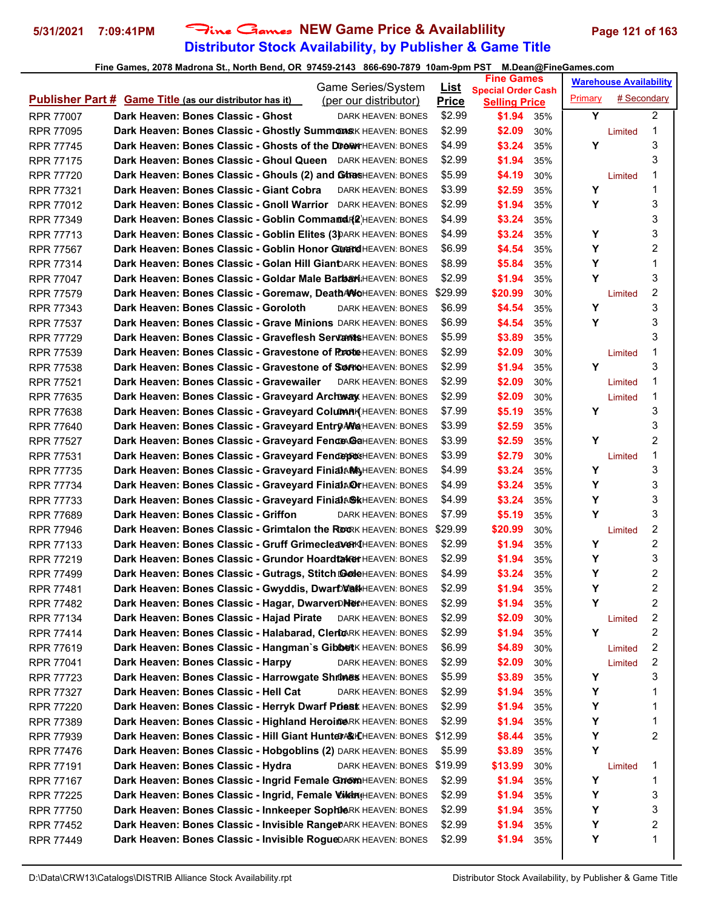# **Distributor Stock Availability, by Publisher & Game Title 5/31/2021 7:09:41PM** Fine Games **NEW Game Price & Availablility Page 121 of 163**

| Game Series/System                                                                                                                                      | <u>List</u>  | <b>Fine Games</b>         | <b>Warehouse Availability</b>      |
|---------------------------------------------------------------------------------------------------------------------------------------------------------|--------------|---------------------------|------------------------------------|
| <b>Publisher Part # Game Title (as our distributor has it)</b>                                                                                          | <b>Price</b> | <b>Special Order Cash</b> | # Secondary                        |
| (per our distributor)                                                                                                                                   |              | <b>Selling Price</b>      | Primary                            |
| Dark Heaven: Bones Classic - Ghost<br><b>RPR 77007</b><br>DARK HEAVEN: BONES                                                                            | \$2.99       | \$1.94<br>35%             | Y<br>$\overline{2}$                |
| Dark Heaven: Bones Classic - Ghostly SummonsK HEAVEN: BONES                                                                                             | \$2.99       | \$2.09                    | 1                                  |
| <b>RPR 77095</b>                                                                                                                                        |              | 30%                       | Limited                            |
| Dark Heaven: Bones Classic - Ghosts of the DDORWYHEAVEN: BONES                                                                                          | \$4.99       | \$3.24                    | 3                                  |
| <b>RPR 77745</b>                                                                                                                                        |              | 35%                       | Y                                  |
| Dark Heaven: Bones Classic - Ghoul Queen DARK HEAVEN: BONES<br><b>RPR 77175</b>                                                                         | \$2.99       | \$1.94<br>35%             | 3                                  |
| Dark Heaven: Bones Classic - Ghouls (2) and GARASHEAVEN: BONES<br><b>RPR 77720</b>                                                                      | \$5.99       | \$4.19<br>30%             | 1                                  |
| Dark Heaven: Bones Classic - Giant Cobra<br>DARK HEAVEN: BONES                                                                                          | \$3.99       | \$2.59                    | Limited<br>Y<br>1                  |
| <b>RPR 77321</b><br>Dark Heaven: Bones Classic - Gnoll Warrior DARK HEAVEN: BONES<br><b>RPR 77012</b>                                                   | \$2.99       | 35%<br>\$1.94<br>35%      | 3<br>Υ                             |
| Dark Heaven: Bones Classic - Goblin Command F& HEAVEN: BONES                                                                                            | \$4.99       |                           | 3                                  |
| <b>RPR 77349</b>                                                                                                                                        | \$4.99       | \$3.24<br>35%             | 3<br>Y                             |
| Dark Heaven: Bones Classic - Goblin Elites (3) DARK HEAVEN: BONES<br><b>RPR 77713</b><br>Dark Heaven: Bones Classic - Goblin Honor Gurand HEAVEN: BONES | \$6.99       | \$3.24<br>35%             | $\overline{c}$<br>Y                |
| <b>RPR 77567</b>                                                                                                                                        |              | \$4.54                    | Y                                  |
| Dark Heaven: Bones Classic - Golan Hill GianDARK HEAVEN: BONES                                                                                          |              | 35%                       | 1                                  |
| <b>RPR 77314</b>                                                                                                                                        | \$8.99       | \$5.84<br>35%             | Y<br>3                             |
| Dark Heaven: Bones Classic - Goldar Male Barbari HEAVEN: BONES<br><b>RPR 77047</b>                                                                      | \$2.99       | \$1.94<br>35%             | 2                                  |
| Dark Heaven: Bones Classic - Goremaw, DeathANOHEAVEN: BONES<br><b>RPR 77579</b>                                                                         | \$29.99      | \$20.99<br>30%            | Limited                            |
| Dark Heaven: Bones Classic - Goroloth<br><b>RPR 77343</b><br><b>DARK HEAVEN: BONES</b>                                                                  | \$6.99       | \$4.54<br>35%             | Υ<br>3                             |
| Dark Heaven: Bones Classic - Grave Minions DARK HEAVEN: BONES                                                                                           | \$6.99       | \$4.54                    | 3                                  |
| <b>RPR 77537</b>                                                                                                                                        |              | 35%                       | Y                                  |
| Dark Heaven: Bones Classic - Graveflesh ServamtsHEAVEN: BONES<br><b>RPR 77729</b>                                                                       | \$5.99       | \$3.89<br>35%             | 3                                  |
| Dark Heaven: Bones Classic - Gravestone of PAGRINHEAVEN: BONES                                                                                          | \$2.99       | \$2.09                    | 1                                  |
| <b>RPR 77539</b>                                                                                                                                        |              | 30%                       | Limited                            |
| Dark Heaven: Bones Classic - Gravestone of SOM THOMEAVEN: BONES                                                                                         | \$2.99       | \$1.94                    | 3                                  |
| <b>RPR 77538</b>                                                                                                                                        |              | 35%                       | Y                                  |
| Dark Heaven: Bones Classic - Gravewailer<br><b>RPR 77521</b><br>DARK HEAVEN: BONES                                                                      | \$2.99       | \$2.09<br>30%             | 1<br>Limited                       |
| Dark Heaven: Bones Classic - Graveyard Archway HEAVEN: BONES                                                                                            | \$2.99       | \$2.09                    | 1                                  |
| <b>RPR 77635</b>                                                                                                                                        |              | 30%                       | Limited                            |
| Dark Heaven: Bones Classic - Graveyard Column R(HEAVEN: BONES                                                                                           | \$7.99       | \$5.19                    | 3                                  |
| <b>RPR 77638</b>                                                                                                                                        |              | 35%                       | Υ                                  |
| Dark Heaven: Bones Classic - Graveyard Entry AN a HEAVEN: BONES<br><b>RPR 77640</b>                                                                     | \$3.99       | \$2.59<br>35%             | 3                                  |
| Dark Heaven: Bones Classic - Graveyard Fence BaHEAVEN: BONES                                                                                            | \$3.99       | \$2.59                    | 2                                  |
| <b>RPR 77527</b>                                                                                                                                        |              | 35%                       | Υ                                  |
| Dark Heaven: Bones Classic - Graveyard FenceproseHEAVEN: BONES                                                                                          | \$3.99       | \$2.79                    | 1                                  |
| <b>RPR 77531</b>                                                                                                                                        |              | 30%                       | Limited                            |
| Dark Heaven: Bones Classic - Graveyard FinialAM HEAVEN: BONES                                                                                           | \$4.99       | \$3.24                    | 3                                  |
| <b>RPR 77735</b>                                                                                                                                        |              | 35%                       | Y                                  |
| Dark Heaven: Bones Classic - Graveyard FinialARYHEAVEN: BONES                                                                                           | \$4.99       | \$3.24                    | 3                                  |
| <b>RPR 77734</b>                                                                                                                                        |              | 35%                       | Υ                                  |
| Dark Heaven: Bones Classic - Graveyard FinialASKHEAVEN: BONES                                                                                           | \$4.99       | \$3.24                    | Υ                                  |
| <b>RPR 77733</b>                                                                                                                                        |              | 35%                       | 3                                  |
| Dark Heaven: Bones Classic - Griffon<br><b>RPR 77689</b><br>DARK HEAVEN: BONES                                                                          | \$7.99       | \$5.19<br>35%             | 3<br>Y                             |
| Dark Heaven: Bones Classic - Grimtalon the ROORK HEAVEN: BONES                                                                                          | \$29.99      | \$20.99                   | 2                                  |
| <b>RPR 77946</b>                                                                                                                                        |              | 30%                       | Limited                            |
| Dark Heaven: Bones Classic - Gruff Grimecleaver KHEAVEN: BONES                                                                                          | \$2.99       | \$1.94                    | $\overline{\mathbf{c}}$            |
| <b>RPR 77133</b>                                                                                                                                        |              | 35%                       | Υ                                  |
| Dark Heaven: Bones Classic - Grundor Hoardtaker HEAVEN: BONES                                                                                           | \$2.99       | \$1.94                    | 3                                  |
| <b>RPR 77219</b>                                                                                                                                        |              | 35%                       | Υ                                  |
| Dark Heaven: Bones Classic - Gutrags, Stitch @@MeHEAVEN: BONES                                                                                          | \$4.99       | \$3.24                    | 2                                  |
| <b>RPR 77499</b>                                                                                                                                        |              | 35%                       | Υ                                  |
| Dark Heaven: Bones Classic - Gwyddis, Dwarblau Heaven: BONES                                                                                            | \$2.99       | \$1.94                    | $\overline{c}$                     |
| RPR 77481                                                                                                                                               |              | 35%                       | Υ                                  |
| Dark Heaven: Bones Classic - Hagar, DwarverDNerHEAVEN: BONES                                                                                            | \$2.99       | \$1.94                    | 2                                  |
| <b>RPR 77482</b>                                                                                                                                        |              | 35%                       | Υ                                  |
| Dark Heaven: Bones Classic - Hajad Pirate<br>DARK HEAVEN: BONES<br>RPR 77134                                                                            | \$2.99       | \$2.09<br>30%             | 2<br>Limited                       |
| Dark Heaven: Bones Classic - Halabarad, ClertoRK HEAVEN: BONES                                                                                          | \$2.99       | \$1.94                    | Y                                  |
| <b>RPR 77414</b>                                                                                                                                        |              | 35%                       | 2                                  |
| Dark Heaven: Bones Classic - Hangman's GibbetK HEAVEN: BONES                                                                                            | \$6.99       | \$4.89                    | 2                                  |
| RPR 77619                                                                                                                                               |              | 30%                       | Limited                            |
| Dark Heaven: Bones Classic - Harpy<br><b>RPR 77041</b><br>DARK HEAVEN: BONES                                                                            | \$2.99       | \$2.09<br>30%             | $\overline{\mathbf{c}}$<br>Limited |
| Dark Heaven: Bones Classic - Harrowgate Shrunes HEAVEN: BONES                                                                                           | \$5.99       | \$3.89                    | 3                                  |
| RPR 77723                                                                                                                                               |              | 35%                       | Y                                  |
| Dark Heaven: Bones Classic - Hell Cat<br>DARK HEAVEN: BONES<br>RPR 77327                                                                                | \$2.99       | \$1.94<br>35%             | Υ<br>1                             |
| Dark Heaven: Bones Classic - Herryk Dwarf Priest HEAVEN: BONES                                                                                          | \$2.99       | \$1.94                    | Υ                                  |
| RPR 77220                                                                                                                                               |              | 35%                       | 1                                  |
| Dark Heaven: Bones Classic - Highland HeroimeRK HEAVEN: BONES                                                                                           | \$2.99       | \$1.94                    | Υ                                  |
| RPR 77389                                                                                                                                               |              | 35%                       | 1                                  |
| Dark Heaven: Bones Classic - Hill Giant Hunter & KHEAVEN: BONES                                                                                         | \$12.99      | \$8.44                    | Υ                                  |
| <b>RPR 77939</b>                                                                                                                                        |              | 35%                       | 2                                  |
| Dark Heaven: Bones Classic - Hobgoblins (2) DARK HEAVEN: BONES<br>RPR 77476                                                                             | \$5.99       | \$3.89<br>35%             | Y                                  |
| Dark Heaven: Bones Classic - Hydra<br>DARK HEAVEN: BONES<br>RPR 77191                                                                                   | \$19.99      | \$13.99<br>30%            | 1<br>Limited                       |
| Dark Heaven: Bones Classic - Ingrid Female GMOMAHEAVEN: BONES                                                                                           | \$2.99       | \$1.94                    | 1                                  |
| RPR 77167                                                                                                                                               |              | 35%                       | Y                                  |
| Dark Heaven: Bones Classic - Ingrid, Female ViktniHEAVEN: BONES                                                                                         | \$2.99       | \$1.94                    | 3                                  |
| RPR 77225                                                                                                                                               |              | 35%                       | Υ                                  |
| Dark Heaven: Bones Classic - Innkeeper SophieRK HEAVEN: BONES                                                                                           | \$2.99       | \$1.94                    | Υ                                  |
| RPR 77750                                                                                                                                               |              | 35%                       | 3                                  |
| Dark Heaven: Bones Classic - Invisible RangeDARK HEAVEN: BONES                                                                                          | \$2.99       | \$1.94                    | 2                                  |
| RPR 77452                                                                                                                                               |              | 35%                       | Υ                                  |
| Dark Heaven: Bones Classic - Invisible RogueDARK HEAVEN: BONES                                                                                          | \$2.99       | \$1.94                    | Υ                                  |
| <b>RPR 77449</b>                                                                                                                                        |              | 35%                       | 1                                  |
|                                                                                                                                                         |              |                           |                                    |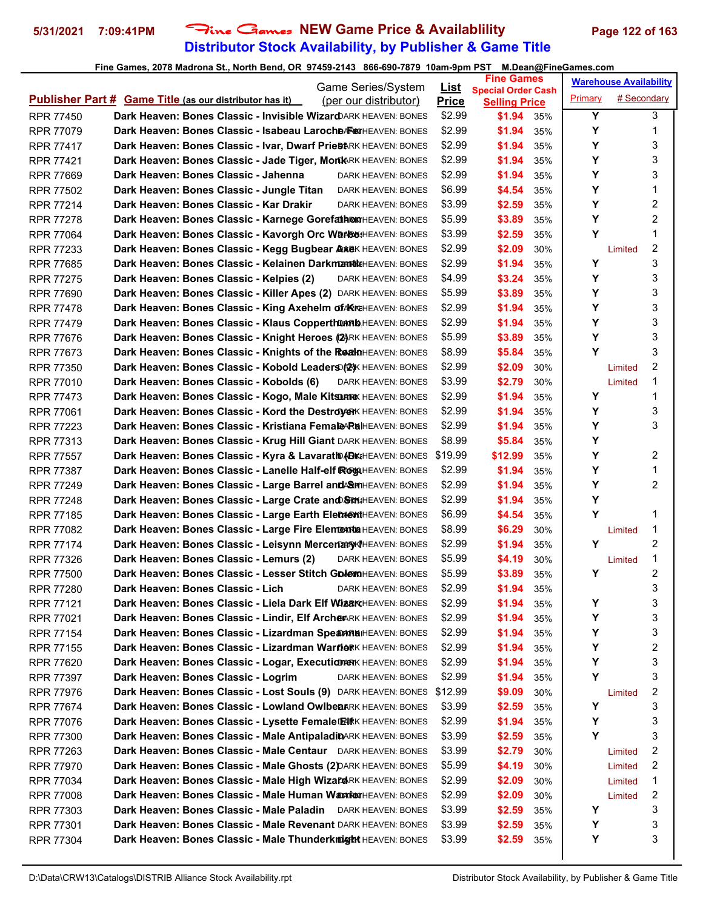# **Distributor Stock Availability, by Publisher & Game Title 5/31/2021 7:09:41PM** Fine Games **NEW Game Price & Availablility Page 122 of 163**

| Game Series/System                                                                                                                                                       | <u>List</u>      | <b>Fine Games</b>                                 | <b>Warehouse Availability</b> |                         |
|--------------------------------------------------------------------------------------------------------------------------------------------------------------------------|------------------|---------------------------------------------------|-------------------------------|-------------------------|
| <b>Publisher Part # Game Title (as our distributor has it)</b><br>(per our distributor)                                                                                  | <b>Price</b>     | <b>Special Order Cash</b><br><b>Selling Price</b> | Primary                       | # Secondary             |
| Dark Heaven: Bones Classic - Invisible Wizard ARK HEAVEN: BONES<br><b>RPR 77450</b>                                                                                      | \$2.99           | \$1.94<br>35%                                     | Y                             | 3                       |
| Dark Heaven: Bones Classic - Isabeau LarocheARexHEAVEN: BONES<br><b>RPR 77079</b>                                                                                        | \$2.99           | \$1.94<br>35%                                     | Y                             | 1                       |
| Dark Heaven: Bones Classic - Ivar, Dwarf PriestRK HEAVEN: BONES<br><b>RPR 77417</b>                                                                                      | \$2.99           | \$1.94<br>35%                                     | Υ                             | 3                       |
| Dark Heaven: Bones Classic - Jade Tiger, MonkARK HEAVEN: BONES<br><b>RPR 77421</b>                                                                                       | \$2.99           | \$1.94<br>35%                                     | Y                             | 3                       |
| Dark Heaven: Bones Classic - Jahenna<br><b>RPR 77669</b><br>DARK HEAVEN: BONES                                                                                           | \$2.99           | \$1.94<br>35%                                     | Υ                             | 3                       |
| Dark Heaven: Bones Classic - Jungle Titan<br><b>RPR 77502</b><br>DARK HEAVEN: BONES                                                                                      | \$6.99           | \$4.54<br>35%                                     | Υ                             | 1                       |
| Dark Heaven: Bones Classic - Kar Drakir<br><b>RPR 77214</b><br>DARK HEAVEN: BONES                                                                                        | \$3.99           | \$2.59<br>35%                                     | Υ                             | 2                       |
| Dark Heaven: Bones Classic - Karnege GorefathenHEAVEN: BONES<br><b>RPR 77278</b>                                                                                         | \$5.99           | \$3.89<br>35%                                     | Υ                             | $\overline{c}$          |
| Dark Heaven: Bones Classic - Kavorgh Orc Warkes: HEAVEN: BONES<br><b>RPR 77064</b>                                                                                       | \$3.99           | \$2.59<br>35%                                     | Y                             | 1                       |
| Dark Heaven: Bones Classic - Kegg Bugbear AxeK HEAVEN: BONES<br><b>RPR 77233</b>                                                                                         | \$2.99           | \$2.09<br>30%                                     | Limited                       | $\overline{\mathbf{c}}$ |
| Dark Heaven: Bones Classic - Kelainen Darkmantk HEAVEN: BONES<br><b>RPR 77685</b>                                                                                        | \$2.99           | \$1.94<br>35%                                     | Y                             | 3                       |
| Dark Heaven: Bones Classic - Kelpies (2)<br><b>RPR 77275</b><br>DARK HEAVEN: BONES                                                                                       | \$4.99           | \$3.24<br>35%                                     | Υ                             | 3                       |
| Dark Heaven: Bones Classic - Killer Apes (2) DARK HEAVEN: BONES<br><b>RPR 77690</b>                                                                                      | \$5.99           | \$3.89<br>35%                                     | Y                             | 3                       |
| Dark Heaven: Bones Classic - King Axehelm of MKRHEAVEN: BONES<br><b>RPR 77478</b>                                                                                        | \$2.99           | \$1.94<br>35%                                     | Υ                             | 3                       |
| Dark Heaven: Bones Classic - Klaus Copperthum bHEAVEN: BONES<br><b>RPR 77479</b>                                                                                         | \$2.99           | \$1.94<br>35%                                     | Υ                             | 3                       |
| Dark Heaven: Bones Classic - Knight Heroes (2) RK HEAVEN: BONES<br><b>RPR 77676</b>                                                                                      | \$5.99           | \$3.89<br>35%                                     | Υ                             | 3                       |
|                                                                                                                                                                          | \$8.99           |                                                   | Y                             | 3                       |
| Dark Heaven: Bones Classic - Knights of the RealnHEAVEN: BONES<br><b>RPR 77673</b><br>Dark Heaven: Bones Classic - Kobold Leaders (2) K HEAVEN: BONES                    | \$2.99           | \$5.84<br>35%                                     |                               | 2                       |
| <b>RPR 77350</b><br>Dark Heaven: Bones Classic - Kobolds (6)                                                                                                             |                  | \$2.09<br>30%                                     | Limited                       | 1                       |
| <b>RPR 77010</b><br>DARK HEAVEN: BONES                                                                                                                                   | \$3.99<br>\$2.99 | \$2.79<br>30%                                     | Limited<br>Υ                  | 1                       |
| Dark Heaven: Bones Classic - Kogo, Male Kitsun KHEAVEN: BONES<br><b>RPR 77473</b><br>Dark Heaven: Bones Classic - Kord the DestroyerK HEAVEN: BONES                      | \$2.99           | \$1.94<br>35%<br>\$1.94                           | Y                             | 3                       |
| <b>RPR 77061</b><br>Dark Heaven: Bones Classic - Kristiana Femal AR HEAVEN: BONES<br><b>RPR 77223</b>                                                                    | \$2.99           | 35%<br>\$1.94<br>35%                              | Υ                             | 3                       |
|                                                                                                                                                                          | \$8.99           |                                                   | Y                             |                         |
| Dark Heaven: Bones Classic - Krug Hill Giant DARK HEAVEN: BONES<br><b>RPR 77313</b>                                                                                      | \$19.99          | \$5.84<br>35%                                     | Υ                             | 2                       |
| Dark Heaven: Bones Classic - Kyra & Lavarath (BKHEAVEN: BONES<br><b>RPR 77557</b>                                                                                        |                  | \$12.99<br>35%                                    | Υ                             | 1                       |
| Dark Heaven: Bones Classic - Lanelle Half-elf ROGUHEAVEN: BONES<br><b>RPR 77387</b>                                                                                      | \$2.99<br>\$2.99 | \$1.94<br>35%<br>\$1.94                           | Y                             | 2                       |
| Dark Heaven: Bones Classic - Large Barrel and SMHEAVEN: BONES<br><b>RPR 77249</b><br>Dark Heaven: Bones Classic - Large Crate and SRM; HEAVEN: BONES<br><b>RPR 77248</b> | \$2.99           | 35%<br>\$1.94                                     | Υ                             |                         |
| Dark Heaven: Bones Classic - Large Earth ElementHEAVEN: BONES<br><b>RPR 77185</b>                                                                                        | \$6.99           | 35%<br>\$4.54<br>35%                              | Y                             | 1                       |
| Dark Heaven: Bones Classic - Large Fire Element HEAVEN: BONES<br><b>RPR 77082</b>                                                                                        | \$8.99           | \$6.29<br>30%                                     | Limited                       | 1                       |
| Dark Heaven: Bones Classic - Leisynn Mercenary IHEAVEN: BONES<br><b>RPR 77174</b>                                                                                        | \$2.99           | \$1.94<br>35%                                     | Y                             | 2                       |
| Dark Heaven: Bones Classic - Lemurs (2)<br>RPR 77326<br>DARK HEAVEN: BONES                                                                                               | \$5.99           | \$4.19<br>30%                                     | Limited                       | 1                       |
| Dark Heaven: Bones Classic - Lesser Stitch GDA MAHEAVEN: BONES<br><b>RPR 77500</b>                                                                                       | \$5.99           | \$3.89<br>35%                                     | Y                             | 2                       |
| Dark Heaven: Bones Classic - Lich<br>RPR 77280<br>DARK HEAVEN: BONES                                                                                                     | \$2.99           | \$1.94<br>35%                                     |                               | 3                       |
| Dark Heaven: Bones Classic - Liela Dark Elf WizarCHEAVEN: BONES<br><b>RPR 77121</b>                                                                                      | \$2.99           | \$1.94<br>35%                                     | Υ                             | 3                       |
| Dark Heaven: Bones Classic - Lindir, Elf ArcheARK HEAVEN: BONES<br>RPR 77021                                                                                             | \$2.99           | \$1.94<br>35%                                     | Υ                             | 3                       |
| Dark Heaven: Bones Classic - Lizardman Spean RaiHEAVEN: BONES<br><b>RPR 77154</b>                                                                                        | \$2.99           | \$1.94<br>35%                                     | Υ                             | 3                       |
| Dark Heaven: Bones Classic - Lizardman WarnerK HEAVEN: BONES<br>RPR 77155                                                                                                | \$2.99           | \$1.94<br>35%                                     | Υ                             | 2                       |
| Dark Heaven: Bones Classic - Logar, ExecutionerK HEAVEN: BONES<br>RPR 77620                                                                                              | \$2.99           | \$1.94<br>35%                                     | Υ                             | 3                       |
| Dark Heaven: Bones Classic - Logrim<br>RPR 77397<br>DARK HEAVEN: BONES                                                                                                   | \$2.99           | \$1.94<br>35%                                     | Υ                             | 3                       |
| Dark Heaven: Bones Classic - Lost Souls (9) DARK HEAVEN: BONES<br>RPR 77976                                                                                              | \$12.99          | \$9.09<br>30%                                     | Limited                       | $\overline{\mathbf{c}}$ |
| Dark Heaven: Bones Classic - Lowland OwlbearRK HEAVEN: BONES<br><b>RPR 77674</b>                                                                                         | \$3.99           | \$2.59<br>35%                                     | Y                             | 3                       |
| Dark Heaven: Bones Classic - Lysette Female ENRK HEAVEN: BONES<br>RPR 77076                                                                                              | \$2.99           | \$1.94<br>35%                                     | Υ                             | 3                       |
| Dark Heaven: Bones Classic - Male AntipaladinARK HEAVEN: BONES<br>RPR 77300                                                                                              | \$3.99           | \$2.59<br>35%                                     | Y                             | 3                       |
| Dark Heaven: Bones Classic - Male Centaur DARK HEAVEN: BONES<br>RPR 77263                                                                                                | \$3.99           | \$2.79<br>30%                                     | Limited                       | 2                       |
| Dark Heaven: Bones Classic - Male Ghosts (2) DARK HEAVEN: BONES<br>RPR 77970                                                                                             | \$5.99           | \$4.19<br>30%                                     | Limited                       | 2                       |
| Dark Heaven: Bones Classic - Male High WizardRK HEAVEN: BONES<br>RPR 77034                                                                                               | \$2.99           | \$2.09<br>30%                                     | Limited                       | 1                       |
| Dark Heaven: Bones Classic - Male Human Wark WHEAVEN: BONES<br>RPR 77008                                                                                                 | \$2.99           | \$2.09<br>30%                                     | Limited                       | 2                       |
| Dark Heaven: Bones Classic - Male Paladin DARK HEAVEN: BONES<br>RPR 77303                                                                                                | \$3.99           | \$2.59<br>35%                                     | Y                             | 3                       |
| Dark Heaven: Bones Classic - Male Revenant DARK HEAVEN: BONES<br>RPR 77301                                                                                               | \$3.99           | \$2.59<br>35%                                     | Y                             | 3                       |
| Dark Heaven: Bones Classic - Male Thunderkrügt HEAVEN: BONES<br>RPR 77304                                                                                                | \$3.99           | \$2.59<br>35%                                     | Υ                             | 3                       |
|                                                                                                                                                                          |                  |                                                   |                               |                         |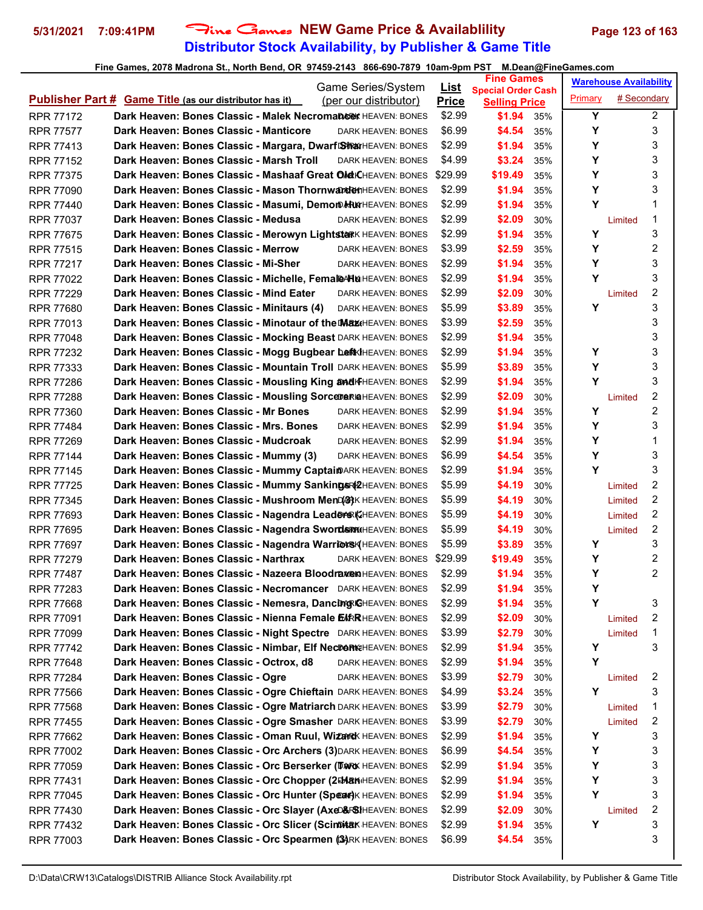# **Distributor Stock Availability, by Publisher & Game Title 5/31/2021 7:09:41PM** Fine Games **NEW Game Price & Availablility Page 123 of 163**

|                  |                                                                       | Game Series/System    | <u>List</u>  | <b>Fine Games</b>                                 |     |         | <b>Warehouse Availability</b> |                |
|------------------|-----------------------------------------------------------------------|-----------------------|--------------|---------------------------------------------------|-----|---------|-------------------------------|----------------|
|                  | <b>Publisher Part # Game Title (as our distributor has it)</b>        | (per our distributor) | <b>Price</b> | <b>Special Order Cash</b><br><b>Selling Price</b> |     | Primary | # Secondary                   |                |
| RPR 77172        | <b>Dark Heaven: Bones Classic - Malek Necromangex</b> HEAVEN: BONES   |                       | \$2.99       | \$1.94                                            | 35% | Y       |                               | $\overline{2}$ |
| <b>RPR 77577</b> | Dark Heaven: Bones Classic - Manticore                                | DARK HEAVEN: BONES    | \$6.99       | \$4.54                                            | 35% | Υ       |                               | 3              |
| <b>RPR 77413</b> | Dark Heaven: Bones Classic - Margara, Dwarf SharkHEAVEN: BONES        |                       | \$2.99       | \$1.94                                            | 35% | Υ       |                               | 3              |
| <b>RPR 77152</b> | Dark Heaven: Bones Classic - Marsh Troll                              | DARK HEAVEN: BONES    | \$4.99       | \$3.24                                            | 35% | Υ       |                               | 3              |
| RPR 77375        | Dark Heaven: Bones Classic - Mashaaf Great OlokCHEAVEN: BONES         |                       | \$29.99      | \$19.49                                           | 35% | Y       |                               | 3              |
| <b>RPR 77090</b> | <b>Dark Heaven: Bones Classic - Mason Thornwarden</b> HEAVEN: BONES   |                       | \$2.99       | \$1.94                                            | 35% | Υ       |                               | 3              |
| <b>RPR 77440</b> | Dark Heaven: Bones Classic - Masumi, Demom HurHEAVEN: BONES           |                       | \$2.99       | \$1.94                                            | 35% | Y       |                               | 1              |
| <b>RPR 77037</b> | Dark Heaven: Bones Classic - Medusa                                   | DARK HEAVEN: BONES    | \$2.99       | \$2.09                                            | 30% |         | Limited                       | 1              |
| <b>RPR 77675</b> | Dark Heaven: Bones Classic - Merowyn Lightstark HEAVEN: BONES         |                       | \$2.99       | \$1.94                                            | 35% | Y       |                               | 3              |
| <b>RPR 77515</b> | Dark Heaven: Bones Classic - Merrow                                   | DARK HEAVEN: BONES    | \$3.99       | \$2.59                                            | 35% | Υ       |                               | 2              |
| <b>RPR 77217</b> | Dark Heaven: Bones Classic - Mi-Sher                                  | DARK HEAVEN: BONES    | \$2.99       | \$1.94                                            | 35% | Υ       |                               | 3              |
| <b>RPR 77022</b> | Dark Heaven: Bones Classic - Michelle, Female Halle HEAVEN: BONES     |                       | \$2.99       | \$1.94                                            | 35% | Y       |                               | 3              |
| <b>RPR 77229</b> | Dark Heaven: Bones Classic - Mind Eater                               | DARK HEAVEN: BONES    | \$2.99       | \$2.09                                            | 30% |         | Limited                       | 2              |
| <b>RPR 77680</b> | Dark Heaven: Bones Classic - Minitaurs (4)                            | DARK HEAVEN: BONES    | \$5.99       | \$3.89                                            | 35% | Y       |                               | 3              |
| <b>RPR 77013</b> | <b>Dark Heaven: Bones Classic - Minotaur of the Max</b> HEAVEN: BONES |                       | \$3.99       | \$2.59                                            | 35% |         |                               | 3              |
| <b>RPR 77048</b> | Dark Heaven: Bones Classic - Mocking Beast DARK HEAVEN: BONES         |                       | \$2.99       | \$1.94                                            | 35% |         |                               | 3              |
| RPR 77232        | Dark Heaven: Bones Classic - Mogg Bugbear LeftKIHEAVEN: BONES         |                       | \$2.99       | \$1.94                                            | 35% | Υ       |                               | 3              |
| <b>RPR 77333</b> | Dark Heaven: Bones Classic - Mountain Troll DARK HEAVEN: BONES        |                       | \$5.99       | \$3.89                                            | 35% | Υ       |                               | 3              |
| <b>RPR 77286</b> | Dark Heaven: Bones Classic - Mousling King and HEAVEN: BONES          |                       | \$2.99       | \$1.94                                            | 35% | Y       |                               | 3              |
| <b>RPR 77288</b> | Dark Heaven: Bones Classic - Mousling SorceDeRIAHEAVEN: BONES         |                       | \$2.99       | \$2.09                                            | 30% |         | Limited                       | 2              |
| <b>RPR 77360</b> | Dark Heaven: Bones Classic - Mr Bones                                 | DARK HEAVEN: BONES    | \$2.99       | \$1.94                                            | 35% | Y       |                               | 2              |
| <b>RPR 77484</b> | Dark Heaven: Bones Classic - Mrs. Bones                               | DARK HEAVEN: BONES    | \$2.99       | \$1.94                                            | 35% | Υ       |                               | 3              |
| <b>RPR 77269</b> | Dark Heaven: Bones Classic - Mudcroak                                 | DARK HEAVEN: BONES    | \$2.99       | \$1.94                                            | 35% | Υ       |                               | 1              |
| <b>RPR 77144</b> | Dark Heaven: Bones Classic - Mummy (3)                                | DARK HEAVEN: BONES    | \$6.99       | \$4.54                                            | 35% | Υ       |                               | 3              |
| <b>RPR 77145</b> | Dark Heaven: Bones Classic - Mummy CaptaimARK HEAVEN: BONES           |                       | \$2.99       | \$1.94                                            | 35% | Y       |                               | 3              |
| <b>RPR 77725</b> | Dark Heaven: Bones Classic - Mummy Sankings (2HEAVEN: BONES           |                       | \$5.99       | \$4.19                                            | 30% |         | Limited                       | $\overline{c}$ |
| <b>RPR 77345</b> | Dark Heaven: Bones Classic - Mushroom MenD(S) K HEAVEN: BONES         |                       | \$5.99       | \$4.19                                            | 30% |         | Limited                       | 2              |
| <b>RPR 77693</b> | Dark Heaven: Bones Classic - Nagendra Leader & KHEAVEN: BONES         |                       | \$5.99       | \$4.19                                            | 30% |         | Limited                       | 2              |
| <b>RPR 77695</b> | Dark Heaven: Bones Classic - Nagendra Swords RAGHEAVEN: BONES         |                       | \$5.99       | \$4.19                                            | 30% |         | Limited                       | $\overline{c}$ |
| <b>RPR 77697</b> | Dark Heaven: Bones Classic - Nagendra Warriox SK HEAVEN: BONES        |                       | \$5.99       | \$3.89                                            | 35% | Y       |                               | 3              |
| <b>RPR 77279</b> | Dark Heaven: Bones Classic - Narthrax                                 | DARK HEAVEN: BONES    | \$29.99      | \$19.49                                           | 35% | Υ       |                               | 2              |
| <b>RPR 77487</b> | Dark Heaven: Bones Classic - Nazeera Bloodrawen HEAVEN: BONES         |                       | \$2.99       | \$1.94                                            | 35% | Υ       |                               | 2              |
| RPR 77283        | <b>Dark Heaven: Bones Classic - Necromancer</b> DARK HEAVEN: BONES    |                       | \$2.99       | \$1.94                                            | 35% | Υ       |                               |                |
| <b>RPR 77668</b> | Dark Heaven: Bones Classic - Nemesra, Dancing CHEAVEN: BONES          |                       | \$2.99       | \$1.94                                            | 35% | Υ       |                               | 3              |
| RPR 77091        | Dark Heaven: Bones Classic - Nienna Female EARRHEAVEN: BONES          |                       | \$2.99       | \$2.09                                            | 30% |         | Limited                       | 2              |
| <b>RPR 77099</b> | Dark Heaven: Bones Classic - Night Spectre DARK HEAVEN: BONES         |                       | \$3.99       | \$2.79                                            | 30% |         | Limited                       | 1              |
| RPR 77742        | Dark Heaven: Bones Classic - Nimbar, Elf NecDORIXHEAVEN: BONES        |                       | \$2.99       | \$1.94                                            | 35% | Y       |                               | 3              |
| <b>RPR 77648</b> | Dark Heaven: Bones Classic - Octrox, d8                               | DARK HEAVEN: BONES    | \$2.99       | \$1.94                                            | 35% | Y       |                               |                |
| <b>RPR 77284</b> | Dark Heaven: Bones Classic - Ogre                                     | DARK HEAVEN: BONES    | \$3.99       | \$2.79                                            | 30% |         | Limited                       | 2              |
| <b>RPR 77566</b> | Dark Heaven: Bones Classic - Ogre Chieftain DARK HEAVEN: BONES        |                       | \$4.99       | \$3.24                                            | 35% | Y       |                               | 3              |
| RPR 77568        | Dark Heaven: Bones Classic - Ogre Matriarch DARK HEAVEN: BONES        |                       | \$3.99       | \$2.79                                            | 30% |         | Limited                       | 1              |
| RPR 77455        | Dark Heaven: Bones Classic - Ogre Smasher DARK HEAVEN: BONES          |                       | \$3.99       | \$2.79                                            | 30% |         | Limited                       | 2              |
| RPR 77662        | Dark Heaven: Bones Classic - Oman Ruul, Wizarrek HEAVEN: BONES        |                       | \$2.99       | \$1.94                                            | 35% | Y       |                               | 3              |
| RPR 77002        | Dark Heaven: Bones Classic - Orc Archers (3) DARK HEAVEN: BONES       |                       | \$6.99       | \$4.54                                            | 35% | Υ       |                               | 3              |
| RPR 77059        | Dark Heaven: Bones Classic - Orc Berserker (DAPOK HEAVEN: BONES       |                       | \$2.99       | \$1.94                                            | 35% | Υ       |                               | 3              |
| RPR 77431        | Dark Heaven: Bones Classic - Orc Chopper (2EMAMIHEAVEN: BONES         |                       | \$2.99       | \$1.94                                            | 35% | Υ       |                               | 3              |
| RPR 77045        | Dark Heaven: Bones Classic - Orc Hunter (Spear) K HEAVEN: BONES       |                       | \$2.99       | \$1.94                                            | 35% | Υ       |                               | 3              |
| <b>RPR 77430</b> | Dark Heaven: Bones Classic - Orc Slayer (Axex RiHEAVEN: BONES         |                       | \$2.99       | \$2.09                                            | 30% |         | Limited                       | 2              |
| RPR 77432        | Dark Heaven: Bones Classic - Orc Slicer (Scinditar HEAVEN: BONES      |                       | \$2.99       | \$1.94                                            | 35% | Y       |                               | 3              |
| RPR 77003        | Dark Heaven: Bones Classic - Orc Spearmen (3) RK HEAVEN: BONES        |                       | \$6.99       | \$4.54                                            | 35% |         |                               | 3              |
|                  |                                                                       |                       |              |                                                   |     |         |                               |                |
|                  |                                                                       |                       |              |                                                   |     |         |                               |                |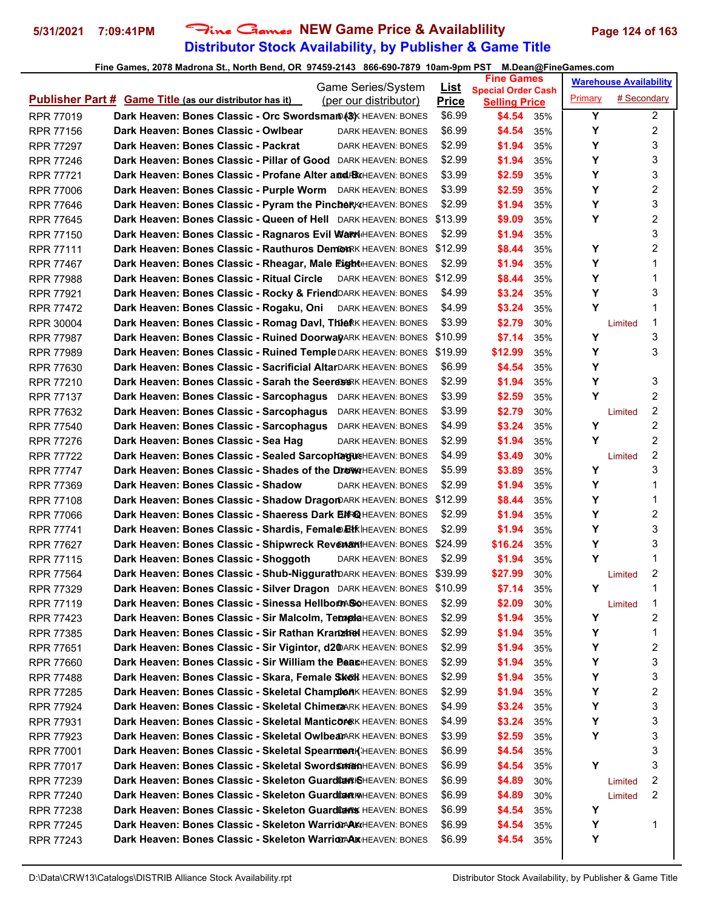# **Distributor Stock Availability, by Publisher & Game Title 5/31/2021 7:09:41PM** Fine Games **NEW Game Price & Availablility Page 124 of 163**

| <b>Game Series/System</b>                                                                 |                             | <b>Fine Games</b>                                 | <b>Warehouse Availability</b> |                         |
|-------------------------------------------------------------------------------------------|-----------------------------|---------------------------------------------------|-------------------------------|-------------------------|
| <b>Publisher Part # Game Title (as our distributor has it)</b><br>(per our distributor)   | <u>List</u><br><b>Price</b> | <b>Special Order Cash</b><br><b>Selling Price</b> | Primary                       | # Secondary             |
| Dark Heaven: Bones Classic - Orc Swordsman (&) HEAVEN: BONES<br><b>RPR 77019</b>          | \$6.99                      | \$4.54<br>35%                                     | Y                             | 2                       |
| Dark Heaven: Bones Classic - Owlbear<br><b>RPR 77156</b><br>DARK HEAVEN: BONES            | \$6.99                      | \$4.54<br>35%                                     | Υ                             | 2                       |
| Dark Heaven: Bones Classic - Packrat<br><b>RPR 77297</b><br>DARK HEAVEN: BONES            | \$2.99                      | \$1.94<br>35%                                     | Υ                             | 3                       |
| Dark Heaven: Bones Classic - Pillar of Good DARK HEAVEN: BONES<br><b>RPR 77246</b>        | \$2.99                      | \$1.94<br>35%                                     | Υ                             | 3                       |
| Dark Heaven: Bones Classic - Profane Alter and BXHEAVEN: BONES<br>RPR 77721               | \$3.99                      | \$2.59<br>35%                                     | Υ                             | 3                       |
| Dark Heaven: Bones Classic - Purple Worm DARK HEAVEN: BONES<br><b>RPR 77006</b>           | \$3.99                      | \$2.59<br>35%                                     | Y                             | 2                       |
| Dark Heaven: Bones Classic - Pyram the Pincber KIHEAVEN: BONES<br><b>RPR 77646</b>        | \$2.99                      | \$1.94<br>35%                                     | Y                             | 3                       |
| Dark Heaven: Bones Classic - Queen of Hell DARK HEAVEN: BONES<br><b>RPR 77645</b>         | \$13.99                     | \$9.09<br>35%                                     | Υ                             | 2                       |
| Dark Heaven: Bones Classic - Ragnaros Evil WarriHEAVEN: BONES<br><b>RPR 77150</b>         | \$2.99                      | \$1.94<br>35%                                     |                               | 3                       |
| Dark Heaven: Bones Classic - Rauthuros DemoARK HEAVEN: BONES \$12.99<br><b>RPR 77111</b>  |                             | \$8.44<br>35%                                     | Y                             | 2                       |
| Dark Heaven: Bones Classic - Rheagar, Male Eight HEAVEN: BONES<br><b>RPR 77467</b>        | \$2.99                      | \$1.94<br>35%                                     | Υ                             | 1                       |
| Dark Heaven: Bones Classic - Ritual Circle<br><b>RPR 77988</b><br>DARK HEAVEN: BONES      | \$12.99                     | \$8.44<br>35%                                     | Υ                             | 1                       |
| Dark Heaven: Bones Classic - Rocky & FriendDARK HEAVEN: BONES<br><b>RPR 77921</b>         | \$4.99                      | \$3.24<br>35%                                     | Y                             | 3                       |
| Dark Heaven: Bones Classic - Rogaku, Oni<br><b>RPR 77472</b><br>DARK HEAVEN: BONES        | \$4.99                      | \$3.24<br>35%                                     | Y                             | 1                       |
| Dark Heaven: Bones Classic - Romag Davl, Thie RK HEAVEN: BONES<br>RPR 30004               | \$3.99                      | \$2.79<br>30%                                     | Limited                       | 1                       |
| Dark Heaven: Bones Classic - Ruined DoorwayARK HEAVEN: BONES<br><b>RPR 77987</b>          | \$10.99                     | \$7.14<br>35%                                     | Υ                             | 3                       |
| Dark Heaven: Bones Classic - Ruined Temple DARK HEAVEN: BONES<br><b>RPR 77989</b>         | \$19.99                     | \$12.99<br>35%                                    | Υ                             | 3                       |
| Dark Heaven: Bones Classic - Sacrificial AltarDARK HEAVEN: BONES<br>RPR 77630             | \$6.99                      | \$4.54<br>35%                                     | Υ                             |                         |
| Dark Heaven: Bones Classic - Sarah the Seeres BKK HEAVEN: BONES<br><b>RPR 77210</b>       | \$2.99                      | \$1.94<br>35%                                     | Υ                             | 3                       |
| Dark Heaven: Bones Classic - Sarcophagus DARK HEAVEN: BONES<br><b>RPR 77137</b>           | \$3.99                      | \$2.59<br>35%                                     | Y                             | 2                       |
| Dark Heaven: Bones Classic - Sarcophagus<br><b>RPR 77632</b><br>DARK HEAVEN: BONES        | \$3.99                      | \$2.79<br>30%                                     | Limited                       | 2                       |
| Dark Heaven: Bones Classic - Sarcophagus<br><b>RPR 77540</b><br>DARK HEAVEN: BONES        | \$4.99                      | \$3.24<br>35%                                     | Υ                             | $\overline{c}$          |
| Dark Heaven: Bones Classic - Sea Hag<br><b>RPR 77276</b><br>DARK HEAVEN: BONES            | \$2.99                      | \$1.94<br>35%                                     | Y                             | 2                       |
| Dark Heaven: Bones Classic - Sealed SarcophagusHEAVEN: BONES<br><b>RPR 77722</b>          | \$4.99                      | \$3.49<br>30%                                     | Limited                       | 2                       |
| Dark Heaven: Bones Classic - Shades of the DrewHEAVEN: BONES<br><b>RPR 77747</b>          | \$5.99                      | \$3.89<br>35%                                     | Υ                             | 3                       |
| Dark Heaven: Bones Classic - Shadow<br><b>RPR 77369</b><br><b>DARK HEAVEN: BONES</b>      | \$2.99                      | \$1.94<br>35%                                     | Υ                             | 1                       |
| Dark Heaven: Bones Classic - Shadow DragorDARK HEAVEN: BONES<br><b>RPR 77108</b>          | \$12.99                     | \$8.44<br>35%                                     | Υ                             | 1                       |
| Dark Heaven: Bones Classic - Shaeress Dark EMRQ HEAVEN: BONES<br><b>RPR 77066</b>         | \$2.99                      | \$1.94<br>35%                                     | Υ                             | 2                       |
| Dark Heaven: Bones Classic - Shardis, Femal@EHKIHEAVEN: BONES<br><b>RPR 77741</b>         | \$2.99                      | \$1.94<br>35%                                     | Y                             | 3                       |
| Dark Heaven: Bones Classic - Shipwreck RevenamiHEAVEN: BONES<br><b>RPR 77627</b>          | \$24.99                     | \$16.24<br>35%                                    | Υ                             | 3                       |
| Dark Heaven: Bones Classic - Shoggoth<br><b>RPR 77115</b><br>DARK HEAVEN: BONES           | \$2.99                      | \$1.94<br>35%                                     | Υ                             | 1                       |
| Dark Heaven: Bones Classic - Shub-NiggurathDARK HEAVEN: BONES \$39.99<br><b>RPR 77564</b> |                             | \$27.99<br>30%                                    | Limited                       | 2                       |
| Dark Heaven: Bones Classic - Silver Dragon DARK HEAVEN: BONES \$10.99<br>RPR 77329        |                             | \$7.14<br>35%                                     | Υ                             | 1                       |
| Dark Heaven: Bones Classic - Sinessa Hellbom SoHEAVEN: BONES<br><b>RPR 77119</b>          | \$2.99                      | \$2.09<br>30%                                     | Limited                       | 1                       |
| Dark Heaven: Bones Classic - Sir Malcolm, TemplaHEAVEN: BONES<br>RPR 77423                | \$2.99                      | \$1.94<br>35%                                     | Υ                             | 2                       |
| Dark Heaven: Bones Classic - Sir Rathan Kranzhed HEAVEN: BONES<br>RPR 77385               | \$2.99                      | \$1.94<br>35%                                     | Υ                             | 1                       |
| Dark Heaven: Bones Classic - Sir Vigintor, d2@ARK HEAVEN: BONES<br>RPR 77651              | \$2.99                      | \$1.94<br>35%                                     | Υ                             | 2                       |
| Dark Heaven: Bones Classic - Sir William the Beat HEAVEN: BONES<br>RPR 77660              | \$2.99                      | \$1.94<br>35%                                     | Υ                             | 3                       |
| Dark Heaven: Bones Classic - Skara, Female Skok HEAVEN: BONES<br><b>RPR 77488</b>         | \$2.99                      | \$1.94<br>35%                                     | Υ                             | 3                       |
| Dark Heaven: Bones Classic - Skeletal ChamptonK HEAVEN: BONES<br>RPR 77285                | \$2.99                      | \$1.94<br>35%                                     | Υ                             | $\overline{\mathbf{c}}$ |
| Dark Heaven: Bones Classic - Skeletal ChimeraARK HEAVEN: BONES<br><b>RPR 77924</b>        | \$4.99                      | \$3.24<br>35%                                     | Υ                             | 3                       |
| Dark Heaven: Bones Classic - Skeletal ManticoreK HEAVEN: BONES<br>RPR 77931               | \$4.99                      | \$3.24<br>35%                                     | Υ                             | 3                       |
| Dark Heaven: Bones Classic - Skeletal OwlbearARK HEAVEN: BONES<br>RPR 77923               | \$3.99                      | \$2.59<br>35%                                     | Υ                             | 3                       |
| Dark Heaven: Bones Classic - Skeletal Spearmen (HEAVEN: BONES<br><b>RPR 77001</b>         | \$6.99                      | \$4.54<br>35%                                     |                               | 3                       |
| Dark Heaven: Bones Classic - Skeletal SwordsmanHEAVEN: BONES<br>RPR 77017                 | \$6.99                      | \$4.54<br>35%                                     | Υ                             | 3                       |
| Dark Heaven: Bones Classic - Skeleton Guardia R&HEAVEN: BONES<br>RPR 77239                | \$6.99                      | \$4.89<br>30%                                     | Limited                       | 2                       |
| Dark Heaven: Bones Classic - Skeleton Guardia RMHEAVEN: BONES<br>RPR 77240                | \$6.99                      | \$4.89<br>30%                                     | Limited                       | 2                       |
| Dark Heaven: Bones Classic - Skeleton Guardians HEAVEN: BONES<br>RPR 77238                | \$6.99                      | \$4.54<br>35%                                     | Υ                             |                         |
| Dark Heaven: Bones Classic - Skeleton Warrior AKHEAVEN: BONES<br>RPR 77245                | \$6.99                      | \$4.54<br>35%                                     | Υ                             | 1                       |
| Dark Heaven: Bones Classic - Skeleton WarriorAAXHEAVEN: BONES<br>RPR 77243                | \$6.99                      | \$4.54<br>35%                                     | Υ                             |                         |
|                                                                                           |                             |                                                   |                               |                         |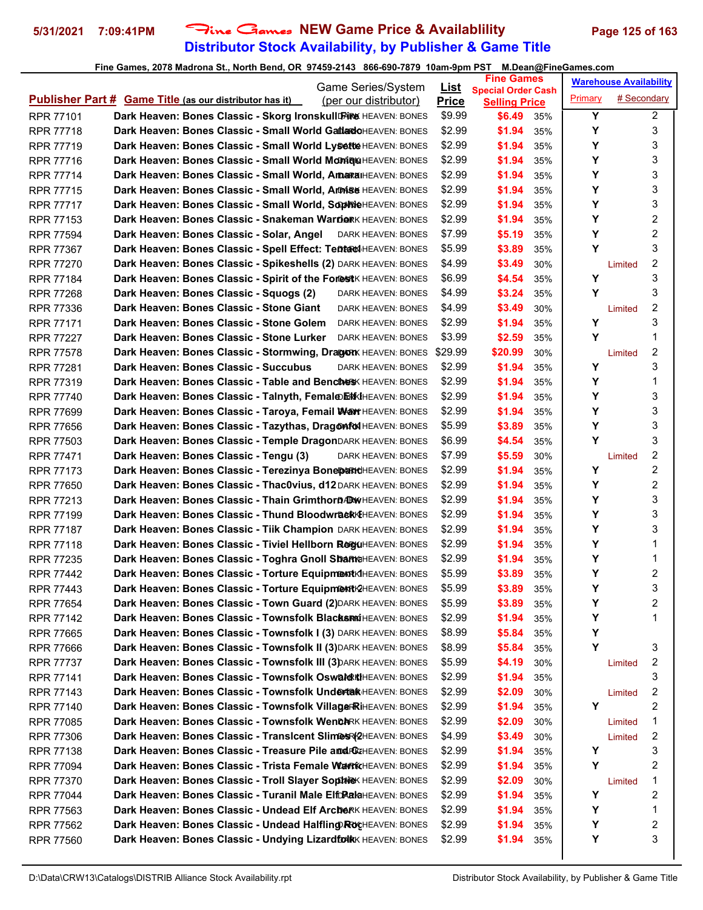# **Distributor Stock Availability, by Publisher & Game Title 5/31/2021 7:09:41PM** Fine Games **NEW Game Price & Availablility Page 125 of 163**

|                                      | Game Series/System                                                                      | <u>List</u>  | <b>Fine Games</b>                                 | <b>Warehouse Availability</b> |                         |
|--------------------------------------|-----------------------------------------------------------------------------------------|--------------|---------------------------------------------------|-------------------------------|-------------------------|
|                                      | <b>Publisher Part # Game Title (as our distributor has it)</b><br>(per our distributor) | <b>Price</b> | <b>Special Order Cash</b><br><b>Selling Price</b> | # Secondary<br>Primary        |                         |
| <b>RPR 77101</b>                     | Dark Heaven: Bones Classic - Skorg Ironskull Fire HEAVEN: BONES                         | \$9.99       | \$6.49<br>35%                                     | Y                             | $\overline{2}$          |
| <b>RPR 77718</b>                     | Dark Heaven: Bones Classic - Small World GatlartoHEAVEN: BONES                          | \$2.99       | \$1.94<br>35%                                     | Y                             | 3                       |
| <b>RPR 77719</b>                     | Dark Heaven: Bones Classic - Small World Lysette HEAVEN: BONES                          | \$2.99       | \$1.94<br>35%                                     | Υ                             | 3                       |
| <b>RPR 77716</b>                     | Dark Heaven: Bones Classic - Small World Monique HEAVEN: BONES                          | \$2.99       | \$1.94<br>35%                                     | Y                             | 3                       |
| <b>RPR 77714</b>                     | Dark Heaven: Bones Classic - Small World, AmaraiHEAVEN: BONES                           | \$2.99       | \$1.94<br>35%                                     | Υ                             | 3                       |
| <b>RPR 77715</b>                     | Dark Heaven: Bones Classic - Small World, Armise HEAVEN: BONES                          | \$2.99       | \$1.94<br>35%                                     | Υ                             | 3                       |
| <b>RPR 77717</b>                     | Dark Heaven: Bones Classic - Small World, SophieHEAVEN: BONES                           | \$2.99       | \$1.94<br>35%                                     | Υ                             | 3                       |
| <b>RPR 77153</b>                     | Dark Heaven: Bones Classic - Snakeman Warrier HEAVEN: BONES                             | \$2.99       | \$1.94<br>35%                                     | Υ                             | 2                       |
| <b>RPR 77594</b>                     | Dark Heaven: Bones Classic - Solar, Angel<br>DARK HEAVEN: BONES                         | \$7.99       | \$5.19<br>35%                                     | Y                             | 2                       |
| <b>RPR 77367</b>                     | Dark Heaven: Bones Classic - Spell Effect: Tentad HEAVEN: BONES                         | \$5.99       | \$3.89<br>35%                                     | Y                             | 3                       |
| <b>RPR 77270</b>                     | Dark Heaven: Bones Classic - Spikeshells (2) DARK HEAVEN: BONES                         | \$4.99       | \$3.49<br>30%                                     | Limited                       | 2                       |
| <b>RPR 77184</b>                     | Dark Heaven: Bones Classic - Spirit of the Forest K HEAVEN: BONES                       | \$6.99       | \$4.54<br>35%                                     | Y                             | 3                       |
| <b>RPR 77268</b>                     | Dark Heaven: Bones Classic - Squogs (2)<br>DARK HEAVEN: BONES                           | \$4.99       | \$3.24<br>35%                                     | Y                             | 3                       |
| <b>RPR 77336</b>                     | Dark Heaven: Bones Classic - Stone Giant<br>DARK HEAVEN: BONES                          | \$4.99       | \$3.49<br>30%                                     | Limited                       | 2                       |
| <b>RPR 77171</b>                     | Dark Heaven: Bones Classic - Stone Golem<br>DARK HEAVEN: BONES                          | \$2.99       | \$1.94<br>35%                                     | Υ                             | 3                       |
| <b>RPR 77227</b>                     | Dark Heaven: Bones Classic - Stone Lurker<br>DARK HEAVEN: BONES                         | \$3.99       | \$2.59<br>35%                                     | Y                             | 1                       |
| <b>RPR 77578</b>                     | Dark Heaven: Bones Classic - Stormwing, Dragon HEAVEN: BONES                            | \$29.99      | \$20.99<br>30%                                    | Limited                       | 2                       |
| <b>RPR 77281</b>                     | Dark Heaven: Bones Classic - Succubus<br>DARK HEAVEN: BONES                             | \$2.99       | \$1.94<br>35%                                     | Y                             | 3                       |
| <b>RPR 77319</b>                     | Dark Heaven: Bones Classic - Table and Benches HEAVEN: BONES                            | \$2.99       | \$1.94<br>35%                                     | Y                             | 1                       |
| <b>RPR 77740</b>                     | Dark Heaven: Bones Classic - Talnyth, Femal@E#KIHEAVEN: BONES                           | \$2.99       | \$1.94<br>35%                                     | Υ                             | 3                       |
| <b>RPR 77699</b>                     | Dark Heaven: Bones Classic - Taroya, Femail WarrHEAVEN: BONES                           | \$2.99       | \$1.94<br>35%                                     | Υ                             | 3                       |
| <b>RPR 77656</b>                     | Dark Heaven: Bones Classic - Tazythas, Dragonfol HEAVEN: BONES                          | \$5.99       | \$3.89<br>35%                                     | Υ                             | 3                       |
| <b>RPR 77503</b>                     | Dark Heaven: Bones Classic - Temple DragonDARK HEAVEN: BONES                            | \$6.99       | \$4.54<br>35%                                     | Y                             | 3                       |
| <b>RPR 77471</b>                     | Dark Heaven: Bones Classic - Tengu (3)<br>DARK HEAVEN: BONES                            | \$7.99       | \$5.59<br>30%                                     | Limited                       | 2                       |
| <b>RPR 77173</b>                     | Dark Heaven: Bones Classic - Terezinya BonepartdHEAVEN: BONES                           | \$2.99       | \$1.94<br>35%                                     | Y                             | 2                       |
| <b>RPR 77650</b>                     | Dark Heaven: Bones Classic - Thac0vius, d12DARK HEAVEN: BONES                           | \$2.99       | \$1.94<br>35%                                     | Υ                             | 2                       |
| <b>RPR 77213</b>                     | Dark Heaven: Bones Classic - Thain Grimthorn DRWHEAVEN: BONES                           | \$2.99       | \$1.94<br>35%                                     | Υ                             | 3                       |
| <b>RPR 77199</b>                     | Dark Heaven: Bones Classic - Thund BloodwraskKHEAVEN: BONES                             | \$2.99       | \$1.94<br>35%                                     | Υ                             | 3                       |
| <b>RPR 77187</b>                     | Dark Heaven: Bones Classic - Tiik Champion DARK HEAVEN: BONES                           | \$2.99       | \$1.94<br>35%                                     | Υ                             | 3                       |
| <b>RPR 77118</b>                     | Dark Heaven: Bones Classic - Tiviel Hellborn ReguHEAVEN: BONES                          | \$2.99       | \$1.94<br>35%                                     | Υ                             | 1                       |
| RPR 77235                            | Dark Heaven: Bones Classic - Toghra Gnoll ShameHEAVEN: BONES                            | \$2.99       | \$1.94<br>35%                                     | Υ                             | 1                       |
| <b>RPR 77442</b>                     | Dark Heaven: Bones Classic - Torture Equipment KIHEAVEN: BONES                          | \$5.99       | \$3.89<br>35%                                     | Υ                             | 2                       |
| RPR 77443                            | Dark Heaven: Bones Classic - Torture Equipment RHEAVEN: BONES                           | \$5.99       | \$3.89<br>35%                                     | Υ                             | 3                       |
| RPR 77654                            | Dark Heaven: Bones Classic - Town Guard (2) DARK HEAVEN: BONES                          | \$5.99       | \$3.89<br>35%                                     | Υ                             | 2                       |
| <b>RPR 77142</b>                     | Dark Heaven: Bones Classic - Townsfolk Blacks Minter Aven: BONES                        | \$2.99       | \$1.94<br>35%                                     | Υ                             | 1                       |
|                                      | Dark Heaven: Bones Classic - Townsfolk I (3) DARK HEAVEN: BONES                         | \$8.99       |                                                   | Υ                             |                         |
| <b>RPR 77665</b><br>RPR 77666        | Dark Heaven: Bones Classic - Townsfolk II (3) DARK HEAVEN: BONES                        | \$8.99       | \$5.84<br>35%<br>\$5.84<br>35%                    | Y                             | 3                       |
| <b>RPR 77737</b>                     | Dark Heaven: Bones Classic - Townsfolk III (3) DARK HEAVEN: BONES                       | \$5.99       | \$4.19<br>30%                                     |                               | 2                       |
|                                      | Dark Heaven: Bones Classic - Townsfolk Osward KiHEAVEN: BONES                           | \$2.99       | \$1.94<br>35%                                     | Limited                       | 3                       |
| <b>RPR 77141</b><br><b>RPR 77143</b> | Dark Heaven: Bones Classic - Townsfolk Undertak HEAVEN: BONES                           | \$2.99       | \$2.09<br>30%                                     | Limited                       | $\overline{\mathbf{c}}$ |
|                                      | Dark Heaven: Bones Classic - Townsfolk VillageRRiHEAVEN: BONES                          | \$2.99       | \$1.94<br>35%                                     | Y                             | 2                       |
| RPR 77140                            | Dark Heaven: Bones Classic - Townsfolk WenchRK HEAVEN: BONES                            | \$2.99       | \$2.09                                            |                               | 1                       |
| RPR 77085                            |                                                                                         |              | 30%                                               | Limited                       |                         |
| RPR 77306                            | Dark Heaven: Bones Classic - Transicent Slimes (2HEAVEN: BONES                          | \$4.99       | \$3.49<br>30%                                     | Limited<br>Υ                  | 2<br>3                  |
| RPR 77138                            | Dark Heaven: Bones Classic - Treasure Pile and RGCHEAVEN: BONES                         | \$2.99       | \$1.94<br>35%                                     |                               | 2                       |
| RPR 77094                            | Dark Heaven: Bones Classic - Trista Female WarrKHEAVEN: BONES                           | \$2.99       | \$1.94<br>35%                                     | Υ                             |                         |
| RPR 77370                            | Dark Heaven: Bones Classic - Troll Slayer Sophie HEAVEN: BONES                          | \$2.99       | \$2.09<br>30%                                     | Limited                       | 1                       |
| <b>RPR 77044</b>                     | Dark Heaven: Bones Classic - Turanil Male Elft RalaHEAVEN: BONES                        | \$2.99       | \$1.94<br>35%                                     | Y                             | 2                       |
| RPR 77563                            | Dark Heaven: Bones Classic - Undead Elf Archark HEAVEN: BONES                           | \$2.99       | \$1.94<br>35%                                     | Υ                             | 1                       |
| RPR 77562                            | Dark Heaven: Bones Classic - Undead Halfling RocHEAVEN: BONES                           | \$2.99       | \$1.94<br>35%                                     | Y<br>Υ                        | 2<br>3                  |
| RPR 77560                            | Dark Heaven: Bones Classic - Undying LizardfolkK HEAVEN: BONES                          | \$2.99       | \$1.94<br>35%                                     |                               |                         |
|                                      |                                                                                         |              |                                                   |                               |                         |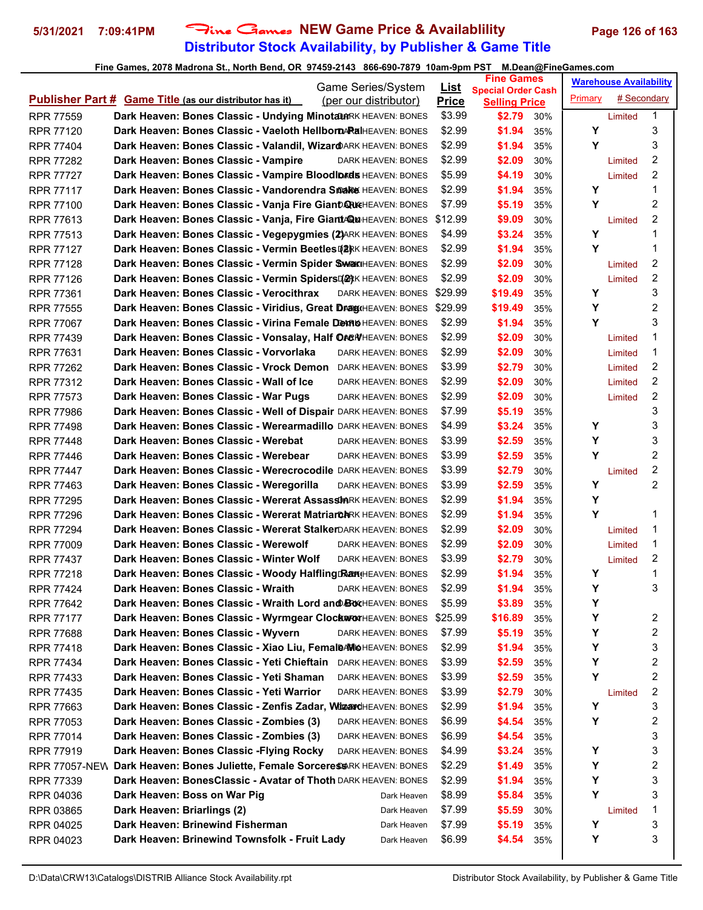# **Distributor Stock Availability, by Publisher & Game Title 5/31/2021 7:09:41PM** Fine Games **NEW Game Price & Availablility Page 126 of 163**

|                                                                                        | Game Series/System        | <u>List</u>  | <b>Fine Games</b>                                 |     |         | <b>Warehouse Availability</b> |   |
|----------------------------------------------------------------------------------------|---------------------------|--------------|---------------------------------------------------|-----|---------|-------------------------------|---|
| <b>Publisher Part # Game Title (as our distributor has it)</b>                         | (per our distributor)     | <b>Price</b> | <b>Special Order Cash</b><br><b>Selling Price</b> |     | Primary | # Secondary                   |   |
| Dark Heaven: Bones Classic - Undying MinotaurRK HEAVEN: BONES<br><b>RPR 77559</b>      |                           | \$3.99       | \$2.79                                            | 30% |         | Limited                       | 1 |
| Dark Heaven: Bones Classic - Vaeloth HellbornARalHEAVEN: BONES<br><b>RPR 77120</b>     |                           | \$2.99       | \$1.94                                            | 35% | Υ       |                               | 3 |
| Dark Heaven: Bones Classic - Valandil, WizardARK HEAVEN: BONES<br><b>RPR 77404</b>     |                           | \$2.99       | \$1.94                                            | 35% | Y       |                               | 3 |
| Dark Heaven: Bones Classic - Vampire<br><b>RPR 77282</b>                               | <b>DARK HEAVEN: BONES</b> | \$2.99       | \$2.09                                            | 30% |         | Limited                       | 2 |
| Dark Heaven: Bones Classic - Vampire Bloodlords HEAVEN: BONES<br><b>RPR 77727</b>      |                           | \$5.99       | \$4.19                                            | 30% |         | Limited                       | 2 |
| Dark Heaven: Bones Classic - Vandorendra Snake HEAVEN: BONES<br><b>RPR 77117</b>       |                           | \$2.99       | \$1.94                                            | 35% | Y       |                               | 1 |
| Dark Heaven: Bones Classic - Vanja Fire Giant QueHEAVEN: BONES<br><b>RPR 77100</b>     |                           | \$7.99       | \$5.19                                            | 35% | Υ       |                               | 2 |
| Dark Heaven: Bones Classic - Vanja, Fire Giant/QuHEAVEN: BONES<br><b>RPR 77613</b>     |                           | \$12.99      | \$9.09                                            | 30% |         | Limited                       | 2 |
| Dark Heaven: Bones Classic - Vegepygmies (2) ARK HEAVEN: BONES<br><b>RPR 77513</b>     |                           | \$4.99       | \$3.24                                            | 35% | Υ       |                               | 1 |
| Dark Heaven: Bones Classic - Vermin Beetles [2]RK HEAVEN: BONES<br><b>RPR 77127</b>    |                           | \$2.99       | \$1.94                                            | 35% | Y       |                               | 1 |
| Dark Heaven: Bones Classic - Vermin Spider SwarlHEAVEN: BONES<br><b>RPR 77128</b>      |                           | \$2.99       | \$2.09                                            | 30% |         | Limited                       | 2 |
| Dark Heaven: Bones Classic - Vermin SpidersDark HEAVEN: BONES<br><b>RPR 77126</b>      |                           | \$2.99       | \$2.09                                            | 30% |         | Limited                       | 2 |
| Dark Heaven: Bones Classic - Verocithrax<br><b>RPR 77361</b>                           | DARK HEAVEN: BONES        | \$29.99      | \$19.49                                           | 35% | Y       |                               | 3 |
| Dark Heaven: Bones Classic - Viridius, Great DraguHEAVEN: BONES<br><b>RPR 77555</b>    |                           | \$29.99      | \$19.49                                           | 35% | Y       |                               | 2 |
| Dark Heaven: Bones Classic - Virina Female DembiHEAVEN: BONES<br><b>RPR 77067</b>      |                           | \$2.99       | \$1.94                                            | 35% | Y       |                               | 3 |
| Dark Heaven: Bones Classic - Vonsalay, Half OreWHEAVEN: BONES<br><b>RPR 77439</b>      |                           | \$2.99       | \$2.09                                            | 30% |         | Limited                       | 1 |
| Dark Heaven: Bones Classic - Vorvorlaka<br>RPR 77631                                   | <b>DARK HEAVEN: BONES</b> | \$2.99       | \$2.09                                            | 30% |         | Limited                       | 1 |
| Dark Heaven: Bones Classic - Vrock Demon<br><b>RPR 77262</b>                           | <b>DARK HEAVEN: BONES</b> | \$3.99       | \$2.79                                            | 30% |         | Limited                       | 2 |
| Dark Heaven: Bones Classic - Wall of Ice<br><b>RPR 77312</b>                           | DARK HEAVEN: BONES        | \$2.99       | \$2.09                                            | 30% |         | Limited                       | 2 |
| Dark Heaven: Bones Classic - War Pugs<br><b>RPR 77573</b>                              | DARK HEAVEN: BONES        | \$2.99       | \$2.09                                            | 30% |         | Limited                       | 2 |
| Dark Heaven: Bones Classic - Well of Dispair DARK HEAVEN: BONES<br><b>RPR 77986</b>    |                           | \$7.99       | \$5.19                                            | 35% |         |                               | 3 |
| Dark Heaven: Bones Classic - Werearmadillo DARK HEAVEN: BONES<br><b>RPR 77498</b>      |                           | \$4.99       | \$3.24                                            | 35% | Y       |                               | 3 |
| Dark Heaven: Bones Classic - Werebat<br><b>RPR 77448</b>                               | DARK HEAVEN: BONES        | \$3.99       | \$2.59                                            | 35% | Υ       |                               | 3 |
| Dark Heaven: Bones Classic - Werebear<br><b>RPR 77446</b>                              | DARK HEAVEN: BONES        | \$3.99       | \$2.59                                            | 35% | Y       |                               | 2 |
| Dark Heaven: Bones Classic - Werecrocodile DARK HEAVEN: BONES<br><b>RPR 77447</b>      |                           | \$3.99       | \$2.79                                            | 30% |         | Limited                       | 2 |
| Dark Heaven: Bones Classic - Weregorilla<br>RPR 77463                                  | DARK HEAVEN: BONES        | \$3.99       | \$2.59                                            | 35% | Y       |                               | 2 |
| Dark Heaven: Bones Classic - Wererat Assassin RK HEAVEN: BONES<br><b>RPR 77295</b>     |                           | \$2.99       | \$1.94                                            | 35% | Y       |                               |   |
| Dark Heaven: Bones Classic - Wererat MatriarchRK HEAVEN: BONES<br><b>RPR 77296</b>     |                           | \$2.99       | \$1.94                                            | 35% | Y       |                               | 1 |
| Dark Heaven: Bones Classic - Wererat StalkerDARK HEAVEN: BONES<br><b>RPR 77294</b>     |                           | \$2.99       | \$2.09                                            | 30% |         | Limited                       | 1 |
| Dark Heaven: Bones Classic - Werewolf<br><b>RPR 77009</b>                              | DARK HEAVEN: BONES        | \$2.99       | \$2.09                                            | 30% |         | Limited                       | 1 |
| Dark Heaven: Bones Classic - Winter Wolf<br><b>RPR 77437</b>                           | <b>DARK HEAVEN: BONES</b> | \$3.99       | \$2.79                                            | 30% |         | Limited                       | 2 |
| Dark Heaven: Bones Classic - Woody Halfling Ran HEAVEN: BONES<br><b>RPR 77218</b>      |                           | \$2.99       | \$1.94                                            | 35% | Y       |                               | 1 |
| Dark Heaven: Bones Classic - Wraith<br><b>RPR 77424</b>                                | <b>DARK HEAVEN: BONES</b> | \$2.99       | \$1.94                                            | 35% | Υ       |                               | 3 |
| Dark Heaven: Bones Classic - Wraith Lord and BOXHEAVEN: BONES<br>RPR 77642             |                           | \$5.99       | \$3.89                                            | 35% | Υ       |                               |   |
| Dark Heaven: Bones Classic - Wyrmgear ClockwronHEAVEN: BONES<br><b>RPR 77177</b>       |                           | \$25.99      | \$16.89                                           | 35% | Υ       |                               | 2 |
| Dark Heaven: Bones Classic - Wyvern<br><b>RPR 77688</b>                                | DARK HEAVEN: BONES        | \$7.99       | \$5.19                                            | 35% | Υ       |                               | 2 |
| Dark Heaven: Bones Classic - Xiao Liu, FemaleAMOHEAVEN: BONES<br>RPR 77418             |                           | \$2.99       | \$1.94                                            | 35% | Υ       |                               | 3 |
| Dark Heaven: Bones Classic - Yeti Chieftain<br>RPR 77434                               | <b>DARK HEAVEN: BONES</b> | \$3.99       | \$2.59                                            | 35% | Υ       |                               | 2 |
| Dark Heaven: Bones Classic - Yeti Shaman<br>RPR 77433                                  | DARK HEAVEN: BONES        | \$3.99       | \$2.59                                            | 35% | Υ       |                               | 2 |
| Dark Heaven: Bones Classic - Yeti Warrior<br>RPR 77435                                 | DARK HEAVEN: BONES        | \$3.99       | \$2.79                                            | 30% |         | Limited                       | 2 |
| Dark Heaven: Bones Classic - Zenfis Zadar. WizardHEAVEN: BONES<br>RPR 77663            |                           | \$2.99       | \$1.94                                            | 35% | Y       |                               | 3 |
| Dark Heaven: Bones Classic - Zombies (3)<br>RPR 77053                                  | DARK HEAVEN: BONES        | \$6.99       | \$4.54                                            | 35% | Y       |                               | 2 |
| Dark Heaven: Bones Classic - Zombies (3)<br>RPR 77014                                  | DARK HEAVEN: BONES        | \$6.99       | \$4.54                                            | 35% |         |                               | 3 |
| Dark Heaven: Bones Classic - Flying Rocky<br>RPR 77919                                 | DARK HEAVEN: BONES        | \$4.99       | \$3.24                                            | 35% | Υ       |                               | 3 |
| Dark Heaven: Bones Juliette, Female SorceressARK HEAVEN: BONES<br><b>RPR 77057-NEW</b> |                           | \$2.29       | \$1.49                                            | 35% | Υ       |                               | 2 |
| Dark Heaven: BonesClassic - Avatar of Thoth DARK HEAVEN: BONES<br>RPR 77339            |                           | \$2.99       | \$1.94                                            | 35% | Υ       |                               | 3 |
| Dark Heaven: Boss on War Pig<br>RPR 04036                                              | Dark Heaven               | \$8.99       | \$5.84                                            | 35% | Y       |                               | 3 |
| Dark Heaven: Briarlings (2)<br>RPR 03865                                               | Dark Heaven               | \$7.99       | \$5.59                                            | 30% |         | Limited                       | 1 |
| Dark Heaven: Brinewind Fisherman<br>RPR 04025                                          | Dark Heaven               | \$7.99       | \$5.19                                            | 35% | Y       |                               | 3 |
| Dark Heaven: Brinewind Townsfolk - Fruit Lady<br>RPR 04023                             | Dark Heaven               | \$6.99       | \$4.54                                            | 35% | Y       |                               | 3 |
|                                                                                        |                           |              |                                                   |     |         |                               |   |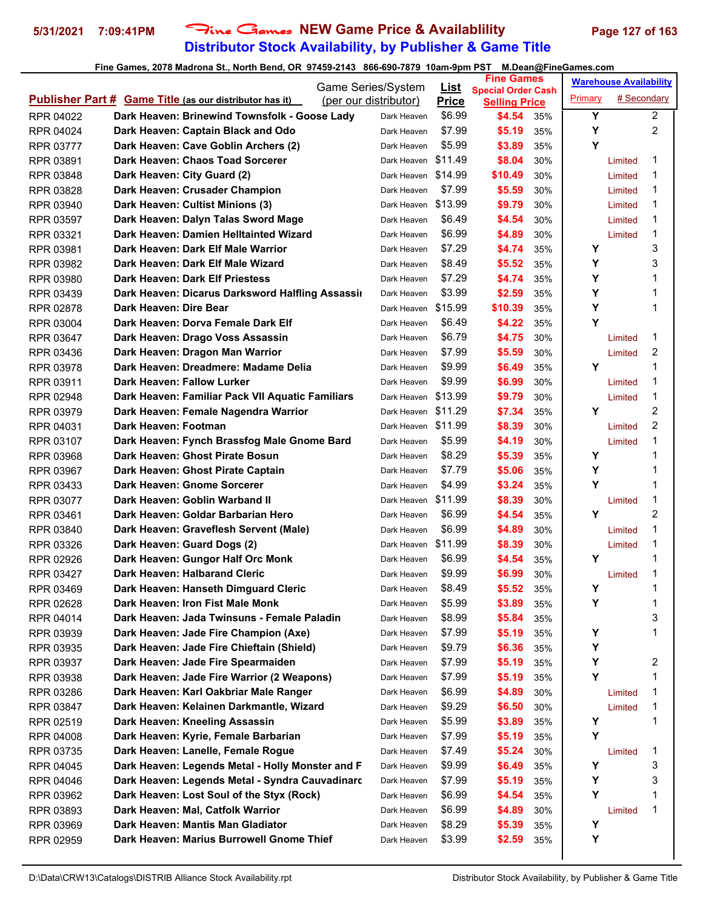# **Distributor Stock Availability, by Publisher & Game Title 5/31/2021 7:09:41PM** Fine Games **NEW Game Price & Availablility Page 127 of 163**

| <b>Special Order Cash</b><br># Secondary<br>Primary<br><b>Publisher Part # Game Title (as our distributor has it)</b><br>(per our distributor)<br><b>Price</b><br><b>Selling Price</b><br>Y<br>$\overline{2}$<br>\$6.99<br>Dark Heaven: Brinewind Townsfolk - Goose Lady<br>\$4.54<br>RPR 04022<br>Dark Heaven<br>35%<br>$\overline{2}$<br>Y<br>\$7.99<br>Dark Heaven: Captain Black and Odo<br>\$5.19<br>35%<br>RPR 04024<br>Dark Heaven<br>Y<br>Dark Heaven: Cave Goblin Archers (2)<br>\$5.99<br>\$3.89<br>35%<br>RPR 03777<br>Dark Heaven<br>Dark Heaven: Chaos Toad Sorcerer<br>\$11.49<br>1<br>\$8.04<br>RPR 03891<br>Dark Heaven<br>30%<br>Limited<br>Dark Heaven: City Guard (2)<br>Dark Heaven \$14.99<br>\$10.49<br>1<br>30%<br>RPR 03848<br>Limited<br>Dark Heaven: Crusader Champion<br>\$7.99<br>\$5.59<br>30%<br>1<br>RPR 03828<br>Dark Heaven<br>Limited<br>Dark Heaven \$13.99<br>Dark Heaven: Cultist Minions (3)<br>\$9.79<br>1<br>30%<br>RPR 03940<br>Limited<br>\$6.49<br>1<br>Dark Heaven: Dalyn Talas Sword Mage<br>\$4.54<br>RPR 03597<br>Dark Heaven<br>30%<br>Limited<br>1<br>\$6.99<br>\$4.89<br>Dark Heaven: Damien Helltainted Wizard<br>30%<br>RPR 03321<br>Dark Heaven<br>Limited<br>3<br>Y<br>Dark Heaven: Dark Elf Male Warrior<br>\$7.29<br>\$4.74<br>35%<br>RPR 03981<br>Dark Heaven<br>3<br>\$8.49<br>Y<br>Dark Heaven: Dark Elf Male Wizard<br>\$5.52<br>RPR 03982<br>Dark Heaven<br>35%<br>Y<br>Dark Heaven: Dark Elf Priestess<br>\$7.29<br>\$4.74<br>1<br>RPR 03980<br>35%<br>Dark Heaven<br>Y<br>Dark Heaven: Dicarus Darksword Halfling Assassii<br>\$3.99<br>\$2.59<br>1<br>35%<br>RPR 03439<br>Dark Heaven<br>Y<br>Dark Heaven: Dire Bear<br>Dark Heaven \$15.99<br>\$10.39<br>1<br>35%<br>RPR 02878<br>Y<br>\$6.49<br>Dark Heaven: Dorva Female Dark Elf<br>\$4.22<br>35%<br>RPR 03004<br>Dark Heaven<br>\$6.79<br>1<br>Dark Heaven: Drago Voss Assassin<br>\$4.75<br>RPR 03647<br>30%<br>Dark Heaven<br>Limited<br>2<br>\$7.99<br>\$5.59<br>Dark Heaven: Dragon Man Warrior<br>30%<br>RPR 03436<br>Dark Heaven<br>Limited<br>Y<br>1<br>Dark Heaven: Dreadmere: Madame Delia<br>\$9.99<br>\$6.49<br>RPR 03978<br>Dark Heaven<br>35%<br>Dark Heaven: Fallow Lurker<br>\$9.99<br>\$6.99<br>30%<br>1<br>RPR 03911<br>Dark Heaven<br>Limited<br>Dark Heaven \$13.99<br>1<br>Dark Heaven: Familiar Pack VII Aquatic Familiars<br>\$9.79<br>30%<br>RPR 02948<br>Limited<br>$\overline{c}$<br>Υ<br>Dark Heaven \$11.29<br>\$7.34<br>Dark Heaven: Female Nagendra Warrior<br>35%<br>RPR 03979<br>$\overline{2}$<br>Dark Heaven: Footman<br>Dark Heaven \$11.99<br>\$8.39<br>30%<br>RPR 04031<br>Limited<br>1<br>\$5.99<br>Dark Heaven: Fynch Brassfog Male Gnome Bard<br>\$4.19<br>RPR 03107<br>Dark Heaven<br>30%<br>Limited<br>1<br>\$8.29<br>Y<br>Dark Heaven: Ghost Pirate Bosun<br>\$5.39<br>Dark Heaven<br>35%<br>RPR 03968<br>Y<br>Dark Heaven: Ghost Pirate Captain<br>\$7.79<br>\$5.06<br>1<br>RPR 03967<br>Dark Heaven<br>35%<br>Dark Heaven: Gnome Sorcerer<br>\$4.99<br>Υ<br>1<br>\$3.24<br>35%<br>RPR 03433<br>Dark Heaven<br>1<br>Dark Heaven: Goblin Warband II<br>Dark Heaven \$11.99<br>\$8.39<br>RPR 03077<br>30%<br>Limited<br>$\overline{c}$<br>\$6.99<br>Υ<br>Dark Heaven: Goldar Barbarian Hero<br>\$4.54<br>35%<br>RPR 03461<br>Dark Heaven<br>1<br>\$6.99<br>\$4.89<br>Dark Heaven: Graveflesh Servent (Male)<br>30%<br>RPR 03840<br>Dark Heaven<br>Limited<br>Dark Heaven \$11.99<br>1<br>Dark Heaven: Guard Dogs (2)<br>\$8.39<br>30%<br>RPR 03326<br>Limited<br>1<br>\$6.99<br>Dark Heaven: Gungor Half Orc Monk<br>\$4.54<br>Y<br>RPR 02926<br>35%<br>Dark Heaven<br>Dark Heaven: Halbarand Cleric<br>\$6.99<br>\$9.99<br>1<br>RPR 03427<br>Dark Heaven<br>30%<br>Limited<br>\$5.52<br>\$8.49<br>35%<br>Y<br>Dark Heaven: Hanseth Dimguard Cleric<br>1<br>RPR 03469<br>Dark Heaven<br>Y<br>1<br>\$5.99<br>Dark Heaven: Iron Fist Male Monk<br>\$3.89<br>RPR 02628<br>35%<br>Dark Heaven<br>3<br>\$8.99<br>\$5.84<br>Dark Heaven: Jada Twinsuns - Female Paladin<br>RPR 04014<br>Dark Heaven<br>35%<br>Υ<br>Dark Heaven: Jade Fire Champion (Axe)<br>\$7.99<br>\$5.19<br>1<br>RPR 03939<br>Dark Heaven<br>35%<br>Υ<br>Dark Heaven: Jade Fire Chieftain (Shield)<br>\$9.79<br>\$6.36<br>RPR 03935<br>35%<br>Dark Heaven<br>2<br>Y<br>Dark Heaven: Jade Fire Spearmaiden<br>\$7.99<br>RPR 03937<br>\$5.19<br>Dark Heaven<br>35%<br>Υ<br>Dark Heaven: Jade Fire Warrior (2 Weapons)<br>\$7.99<br>1<br>\$5.19<br>RPR 03938<br>Dark Heaven<br>35%<br>Dark Heaven: Karl Oakbriar Male Ranger<br>\$6.99<br>\$4.89<br>1<br>RPR 03286<br>Dark Heaven<br>30%<br>Limited<br>Dark Heaven: Kelainen Darkmantle, Wizard<br>\$9.29<br>1<br>RPR 03847<br>\$6.50<br>30%<br>Limited<br>Dark Heaven<br>Dark Heaven: Kneeling Assassin<br>\$5.99<br>\$3.89<br>Y<br>1<br>RPR 02519<br>Dark Heaven<br>35%<br>Y<br>Dark Heaven: Kyrie, Female Barbarian<br>\$7.99<br>\$5.19<br>RPR 04008<br>Dark Heaven<br>35%<br>Dark Heaven: Lanelle, Female Rogue<br>\$5.24<br>1<br>\$7.49<br>RPR 03735<br>30%<br>Dark Heaven<br>Limited<br>3<br>Dark Heaven: Legends Metal - Holly Monster and F<br>\$9.99<br>Υ<br>\$6.49<br>35%<br>RPR 04045<br>Dark Heaven<br>3<br>Dark Heaven: Legends Metal - Syndra Cauvadinarc<br>\$7.99<br>Υ<br>\$5.19<br>RPR 04046<br>Dark Heaven<br>35%<br>Y<br>Dark Heaven: Lost Soul of the Styx (Rock)<br>\$6.99<br>\$4.54<br>1<br>RPR 03962<br>Dark Heaven<br>35%<br>Dark Heaven: Mal, Catfolk Warrior<br>\$6.99<br>\$4.89<br>1<br>RPR 03893<br>30%<br>Dark Heaven<br>Limited<br>Υ<br>Dark Heaven: Mantis Man Gladiator<br>\$8.29<br>\$5.39<br>35%<br>RPR 03969<br>Dark Heaven<br>Y<br>Dark Heaven: Marius Burrowell Gnome Thief<br>\$3.99<br>\$2.59<br>RPR 02959<br>Dark Heaven<br>35% |  | Game Series/System | <u>List</u> | <b>Fine Games</b> |  | <b>Warehouse Availability</b> |  |
|--------------------------------------------------------------------------------------------------------------------------------------------------------------------------------------------------------------------------------------------------------------------------------------------------------------------------------------------------------------------------------------------------------------------------------------------------------------------------------------------------------------------------------------------------------------------------------------------------------------------------------------------------------------------------------------------------------------------------------------------------------------------------------------------------------------------------------------------------------------------------------------------------------------------------------------------------------------------------------------------------------------------------------------------------------------------------------------------------------------------------------------------------------------------------------------------------------------------------------------------------------------------------------------------------------------------------------------------------------------------------------------------------------------------------------------------------------------------------------------------------------------------------------------------------------------------------------------------------------------------------------------------------------------------------------------------------------------------------------------------------------------------------------------------------------------------------------------------------------------------------------------------------------------------------------------------------------------------------------------------------------------------------------------------------------------------------------------------------------------------------------------------------------------------------------------------------------------------------------------------------------------------------------------------------------------------------------------------------------------------------------------------------------------------------------------------------------------------------------------------------------------------------------------------------------------------------------------------------------------------------------------------------------------------------------------------------------------------------------------------------------------------------------------------------------------------------------------------------------------------------------------------------------------------------------------------------------------------------------------------------------------------------------------------------------------------------------------------------------------------------------------------------------------------------------------------------------------------------------------------------------------------------------------------------------------------------------------------------------------------------------------------------------------------------------------------------------------------------------------------------------------------------------------------------------------------------------------------------------------------------------------------------------------------------------------------------------------------------------------------------------------------------------------------------------------------------------------------------------------------------------------------------------------------------------------------------------------------------------------------------------------------------------------------------------------------------------------------------------------------------------------------------------------------------------------------------------------------------------------------------------------------------------------------------------------------------------------------------------------------------------------------------------------------------------------------------------------------------------------------------------------------------------------------------------------------------------------------------------------------------------------------------------------------------------------------------------------------------------------------------------------------------------------------------------------------------------------------------------------------------------------------------------------------------------------------------------------------------------------------------------------------------------------------------------------------------------------------------------------------------------------------------------------------------------------------------------------------------------------------------------------------------------------------------------------------------------------------------------------------------------------------------------------------------------------------------------------------------------------------------------------------------------------------------------------------------------------------------------------------------------------------------------------------------------------------------------------------------------------------------|--|--------------------|-------------|-------------------|--|-------------------------------|--|
|                                                                                                                                                                                                                                                                                                                                                                                                                                                                                                                                                                                                                                                                                                                                                                                                                                                                                                                                                                                                                                                                                                                                                                                                                                                                                                                                                                                                                                                                                                                                                                                                                                                                                                                                                                                                                                                                                                                                                                                                                                                                                                                                                                                                                                                                                                                                                                                                                                                                                                                                                                                                                                                                                                                                                                                                                                                                                                                                                                                                                                                                                                                                                                                                                                                                                                                                                                                                                                                                                                                                                                                                                                                                                                                                                                                                                                                                                                                                                                                                                                                                                                                                                                                                                                                                                                                                                                                                                                                                                                                                                                                                                                                                                                                                                                                                                                                                                                                                                                                                                                                                                                                                                                                                                                                                                                                                                                                                                                                                                                                                                                                                                                                                                                                                                  |  |                    |             |                   |  |                               |  |
|                                                                                                                                                                                                                                                                                                                                                                                                                                                                                                                                                                                                                                                                                                                                                                                                                                                                                                                                                                                                                                                                                                                                                                                                                                                                                                                                                                                                                                                                                                                                                                                                                                                                                                                                                                                                                                                                                                                                                                                                                                                                                                                                                                                                                                                                                                                                                                                                                                                                                                                                                                                                                                                                                                                                                                                                                                                                                                                                                                                                                                                                                                                                                                                                                                                                                                                                                                                                                                                                                                                                                                                                                                                                                                                                                                                                                                                                                                                                                                                                                                                                                                                                                                                                                                                                                                                                                                                                                                                                                                                                                                                                                                                                                                                                                                                                                                                                                                                                                                                                                                                                                                                                                                                                                                                                                                                                                                                                                                                                                                                                                                                                                                                                                                                                                  |  |                    |             |                   |  |                               |  |
|                                                                                                                                                                                                                                                                                                                                                                                                                                                                                                                                                                                                                                                                                                                                                                                                                                                                                                                                                                                                                                                                                                                                                                                                                                                                                                                                                                                                                                                                                                                                                                                                                                                                                                                                                                                                                                                                                                                                                                                                                                                                                                                                                                                                                                                                                                                                                                                                                                                                                                                                                                                                                                                                                                                                                                                                                                                                                                                                                                                                                                                                                                                                                                                                                                                                                                                                                                                                                                                                                                                                                                                                                                                                                                                                                                                                                                                                                                                                                                                                                                                                                                                                                                                                                                                                                                                                                                                                                                                                                                                                                                                                                                                                                                                                                                                                                                                                                                                                                                                                                                                                                                                                                                                                                                                                                                                                                                                                                                                                                                                                                                                                                                                                                                                                                  |  |                    |             |                   |  |                               |  |
|                                                                                                                                                                                                                                                                                                                                                                                                                                                                                                                                                                                                                                                                                                                                                                                                                                                                                                                                                                                                                                                                                                                                                                                                                                                                                                                                                                                                                                                                                                                                                                                                                                                                                                                                                                                                                                                                                                                                                                                                                                                                                                                                                                                                                                                                                                                                                                                                                                                                                                                                                                                                                                                                                                                                                                                                                                                                                                                                                                                                                                                                                                                                                                                                                                                                                                                                                                                                                                                                                                                                                                                                                                                                                                                                                                                                                                                                                                                                                                                                                                                                                                                                                                                                                                                                                                                                                                                                                                                                                                                                                                                                                                                                                                                                                                                                                                                                                                                                                                                                                                                                                                                                                                                                                                                                                                                                                                                                                                                                                                                                                                                                                                                                                                                                                  |  |                    |             |                   |  |                               |  |
|                                                                                                                                                                                                                                                                                                                                                                                                                                                                                                                                                                                                                                                                                                                                                                                                                                                                                                                                                                                                                                                                                                                                                                                                                                                                                                                                                                                                                                                                                                                                                                                                                                                                                                                                                                                                                                                                                                                                                                                                                                                                                                                                                                                                                                                                                                                                                                                                                                                                                                                                                                                                                                                                                                                                                                                                                                                                                                                                                                                                                                                                                                                                                                                                                                                                                                                                                                                                                                                                                                                                                                                                                                                                                                                                                                                                                                                                                                                                                                                                                                                                                                                                                                                                                                                                                                                                                                                                                                                                                                                                                                                                                                                                                                                                                                                                                                                                                                                                                                                                                                                                                                                                                                                                                                                                                                                                                                                                                                                                                                                                                                                                                                                                                                                                                  |  |                    |             |                   |  |                               |  |
|                                                                                                                                                                                                                                                                                                                                                                                                                                                                                                                                                                                                                                                                                                                                                                                                                                                                                                                                                                                                                                                                                                                                                                                                                                                                                                                                                                                                                                                                                                                                                                                                                                                                                                                                                                                                                                                                                                                                                                                                                                                                                                                                                                                                                                                                                                                                                                                                                                                                                                                                                                                                                                                                                                                                                                                                                                                                                                                                                                                                                                                                                                                                                                                                                                                                                                                                                                                                                                                                                                                                                                                                                                                                                                                                                                                                                                                                                                                                                                                                                                                                                                                                                                                                                                                                                                                                                                                                                                                                                                                                                                                                                                                                                                                                                                                                                                                                                                                                                                                                                                                                                                                                                                                                                                                                                                                                                                                                                                                                                                                                                                                                                                                                                                                                                  |  |                    |             |                   |  |                               |  |
|                                                                                                                                                                                                                                                                                                                                                                                                                                                                                                                                                                                                                                                                                                                                                                                                                                                                                                                                                                                                                                                                                                                                                                                                                                                                                                                                                                                                                                                                                                                                                                                                                                                                                                                                                                                                                                                                                                                                                                                                                                                                                                                                                                                                                                                                                                                                                                                                                                                                                                                                                                                                                                                                                                                                                                                                                                                                                                                                                                                                                                                                                                                                                                                                                                                                                                                                                                                                                                                                                                                                                                                                                                                                                                                                                                                                                                                                                                                                                                                                                                                                                                                                                                                                                                                                                                                                                                                                                                                                                                                                                                                                                                                                                                                                                                                                                                                                                                                                                                                                                                                                                                                                                                                                                                                                                                                                                                                                                                                                                                                                                                                                                                                                                                                                                  |  |                    |             |                   |  |                               |  |
|                                                                                                                                                                                                                                                                                                                                                                                                                                                                                                                                                                                                                                                                                                                                                                                                                                                                                                                                                                                                                                                                                                                                                                                                                                                                                                                                                                                                                                                                                                                                                                                                                                                                                                                                                                                                                                                                                                                                                                                                                                                                                                                                                                                                                                                                                                                                                                                                                                                                                                                                                                                                                                                                                                                                                                                                                                                                                                                                                                                                                                                                                                                                                                                                                                                                                                                                                                                                                                                                                                                                                                                                                                                                                                                                                                                                                                                                                                                                                                                                                                                                                                                                                                                                                                                                                                                                                                                                                                                                                                                                                                                                                                                                                                                                                                                                                                                                                                                                                                                                                                                                                                                                                                                                                                                                                                                                                                                                                                                                                                                                                                                                                                                                                                                                                  |  |                    |             |                   |  |                               |  |
|                                                                                                                                                                                                                                                                                                                                                                                                                                                                                                                                                                                                                                                                                                                                                                                                                                                                                                                                                                                                                                                                                                                                                                                                                                                                                                                                                                                                                                                                                                                                                                                                                                                                                                                                                                                                                                                                                                                                                                                                                                                                                                                                                                                                                                                                                                                                                                                                                                                                                                                                                                                                                                                                                                                                                                                                                                                                                                                                                                                                                                                                                                                                                                                                                                                                                                                                                                                                                                                                                                                                                                                                                                                                                                                                                                                                                                                                                                                                                                                                                                                                                                                                                                                                                                                                                                                                                                                                                                                                                                                                                                                                                                                                                                                                                                                                                                                                                                                                                                                                                                                                                                                                                                                                                                                                                                                                                                                                                                                                                                                                                                                                                                                                                                                                                  |  |                    |             |                   |  |                               |  |
|                                                                                                                                                                                                                                                                                                                                                                                                                                                                                                                                                                                                                                                                                                                                                                                                                                                                                                                                                                                                                                                                                                                                                                                                                                                                                                                                                                                                                                                                                                                                                                                                                                                                                                                                                                                                                                                                                                                                                                                                                                                                                                                                                                                                                                                                                                                                                                                                                                                                                                                                                                                                                                                                                                                                                                                                                                                                                                                                                                                                                                                                                                                                                                                                                                                                                                                                                                                                                                                                                                                                                                                                                                                                                                                                                                                                                                                                                                                                                                                                                                                                                                                                                                                                                                                                                                                                                                                                                                                                                                                                                                                                                                                                                                                                                                                                                                                                                                                                                                                                                                                                                                                                                                                                                                                                                                                                                                                                                                                                                                                                                                                                                                                                                                                                                  |  |                    |             |                   |  |                               |  |
|                                                                                                                                                                                                                                                                                                                                                                                                                                                                                                                                                                                                                                                                                                                                                                                                                                                                                                                                                                                                                                                                                                                                                                                                                                                                                                                                                                                                                                                                                                                                                                                                                                                                                                                                                                                                                                                                                                                                                                                                                                                                                                                                                                                                                                                                                                                                                                                                                                                                                                                                                                                                                                                                                                                                                                                                                                                                                                                                                                                                                                                                                                                                                                                                                                                                                                                                                                                                                                                                                                                                                                                                                                                                                                                                                                                                                                                                                                                                                                                                                                                                                                                                                                                                                                                                                                                                                                                                                                                                                                                                                                                                                                                                                                                                                                                                                                                                                                                                                                                                                                                                                                                                                                                                                                                                                                                                                                                                                                                                                                                                                                                                                                                                                                                                                  |  |                    |             |                   |  |                               |  |
|                                                                                                                                                                                                                                                                                                                                                                                                                                                                                                                                                                                                                                                                                                                                                                                                                                                                                                                                                                                                                                                                                                                                                                                                                                                                                                                                                                                                                                                                                                                                                                                                                                                                                                                                                                                                                                                                                                                                                                                                                                                                                                                                                                                                                                                                                                                                                                                                                                                                                                                                                                                                                                                                                                                                                                                                                                                                                                                                                                                                                                                                                                                                                                                                                                                                                                                                                                                                                                                                                                                                                                                                                                                                                                                                                                                                                                                                                                                                                                                                                                                                                                                                                                                                                                                                                                                                                                                                                                                                                                                                                                                                                                                                                                                                                                                                                                                                                                                                                                                                                                                                                                                                                                                                                                                                                                                                                                                                                                                                                                                                                                                                                                                                                                                                                  |  |                    |             |                   |  |                               |  |
|                                                                                                                                                                                                                                                                                                                                                                                                                                                                                                                                                                                                                                                                                                                                                                                                                                                                                                                                                                                                                                                                                                                                                                                                                                                                                                                                                                                                                                                                                                                                                                                                                                                                                                                                                                                                                                                                                                                                                                                                                                                                                                                                                                                                                                                                                                                                                                                                                                                                                                                                                                                                                                                                                                                                                                                                                                                                                                                                                                                                                                                                                                                                                                                                                                                                                                                                                                                                                                                                                                                                                                                                                                                                                                                                                                                                                                                                                                                                                                                                                                                                                                                                                                                                                                                                                                                                                                                                                                                                                                                                                                                                                                                                                                                                                                                                                                                                                                                                                                                                                                                                                                                                                                                                                                                                                                                                                                                                                                                                                                                                                                                                                                                                                                                                                  |  |                    |             |                   |  |                               |  |
|                                                                                                                                                                                                                                                                                                                                                                                                                                                                                                                                                                                                                                                                                                                                                                                                                                                                                                                                                                                                                                                                                                                                                                                                                                                                                                                                                                                                                                                                                                                                                                                                                                                                                                                                                                                                                                                                                                                                                                                                                                                                                                                                                                                                                                                                                                                                                                                                                                                                                                                                                                                                                                                                                                                                                                                                                                                                                                                                                                                                                                                                                                                                                                                                                                                                                                                                                                                                                                                                                                                                                                                                                                                                                                                                                                                                                                                                                                                                                                                                                                                                                                                                                                                                                                                                                                                                                                                                                                                                                                                                                                                                                                                                                                                                                                                                                                                                                                                                                                                                                                                                                                                                                                                                                                                                                                                                                                                                                                                                                                                                                                                                                                                                                                                                                  |  |                    |             |                   |  |                               |  |
|                                                                                                                                                                                                                                                                                                                                                                                                                                                                                                                                                                                                                                                                                                                                                                                                                                                                                                                                                                                                                                                                                                                                                                                                                                                                                                                                                                                                                                                                                                                                                                                                                                                                                                                                                                                                                                                                                                                                                                                                                                                                                                                                                                                                                                                                                                                                                                                                                                                                                                                                                                                                                                                                                                                                                                                                                                                                                                                                                                                                                                                                                                                                                                                                                                                                                                                                                                                                                                                                                                                                                                                                                                                                                                                                                                                                                                                                                                                                                                                                                                                                                                                                                                                                                                                                                                                                                                                                                                                                                                                                                                                                                                                                                                                                                                                                                                                                                                                                                                                                                                                                                                                                                                                                                                                                                                                                                                                                                                                                                                                                                                                                                                                                                                                                                  |  |                    |             |                   |  |                               |  |
|                                                                                                                                                                                                                                                                                                                                                                                                                                                                                                                                                                                                                                                                                                                                                                                                                                                                                                                                                                                                                                                                                                                                                                                                                                                                                                                                                                                                                                                                                                                                                                                                                                                                                                                                                                                                                                                                                                                                                                                                                                                                                                                                                                                                                                                                                                                                                                                                                                                                                                                                                                                                                                                                                                                                                                                                                                                                                                                                                                                                                                                                                                                                                                                                                                                                                                                                                                                                                                                                                                                                                                                                                                                                                                                                                                                                                                                                                                                                                                                                                                                                                                                                                                                                                                                                                                                                                                                                                                                                                                                                                                                                                                                                                                                                                                                                                                                                                                                                                                                                                                                                                                                                                                                                                                                                                                                                                                                                                                                                                                                                                                                                                                                                                                                                                  |  |                    |             |                   |  |                               |  |
|                                                                                                                                                                                                                                                                                                                                                                                                                                                                                                                                                                                                                                                                                                                                                                                                                                                                                                                                                                                                                                                                                                                                                                                                                                                                                                                                                                                                                                                                                                                                                                                                                                                                                                                                                                                                                                                                                                                                                                                                                                                                                                                                                                                                                                                                                                                                                                                                                                                                                                                                                                                                                                                                                                                                                                                                                                                                                                                                                                                                                                                                                                                                                                                                                                                                                                                                                                                                                                                                                                                                                                                                                                                                                                                                                                                                                                                                                                                                                                                                                                                                                                                                                                                                                                                                                                                                                                                                                                                                                                                                                                                                                                                                                                                                                                                                                                                                                                                                                                                                                                                                                                                                                                                                                                                                                                                                                                                                                                                                                                                                                                                                                                                                                                                                                  |  |                    |             |                   |  |                               |  |
|                                                                                                                                                                                                                                                                                                                                                                                                                                                                                                                                                                                                                                                                                                                                                                                                                                                                                                                                                                                                                                                                                                                                                                                                                                                                                                                                                                                                                                                                                                                                                                                                                                                                                                                                                                                                                                                                                                                                                                                                                                                                                                                                                                                                                                                                                                                                                                                                                                                                                                                                                                                                                                                                                                                                                                                                                                                                                                                                                                                                                                                                                                                                                                                                                                                                                                                                                                                                                                                                                                                                                                                                                                                                                                                                                                                                                                                                                                                                                                                                                                                                                                                                                                                                                                                                                                                                                                                                                                                                                                                                                                                                                                                                                                                                                                                                                                                                                                                                                                                                                                                                                                                                                                                                                                                                                                                                                                                                                                                                                                                                                                                                                                                                                                                                                  |  |                    |             |                   |  |                               |  |
|                                                                                                                                                                                                                                                                                                                                                                                                                                                                                                                                                                                                                                                                                                                                                                                                                                                                                                                                                                                                                                                                                                                                                                                                                                                                                                                                                                                                                                                                                                                                                                                                                                                                                                                                                                                                                                                                                                                                                                                                                                                                                                                                                                                                                                                                                                                                                                                                                                                                                                                                                                                                                                                                                                                                                                                                                                                                                                                                                                                                                                                                                                                                                                                                                                                                                                                                                                                                                                                                                                                                                                                                                                                                                                                                                                                                                                                                                                                                                                                                                                                                                                                                                                                                                                                                                                                                                                                                                                                                                                                                                                                                                                                                                                                                                                                                                                                                                                                                                                                                                                                                                                                                                                                                                                                                                                                                                                                                                                                                                                                                                                                                                                                                                                                                                  |  |                    |             |                   |  |                               |  |
|                                                                                                                                                                                                                                                                                                                                                                                                                                                                                                                                                                                                                                                                                                                                                                                                                                                                                                                                                                                                                                                                                                                                                                                                                                                                                                                                                                                                                                                                                                                                                                                                                                                                                                                                                                                                                                                                                                                                                                                                                                                                                                                                                                                                                                                                                                                                                                                                                                                                                                                                                                                                                                                                                                                                                                                                                                                                                                                                                                                                                                                                                                                                                                                                                                                                                                                                                                                                                                                                                                                                                                                                                                                                                                                                                                                                                                                                                                                                                                                                                                                                                                                                                                                                                                                                                                                                                                                                                                                                                                                                                                                                                                                                                                                                                                                                                                                                                                                                                                                                                                                                                                                                                                                                                                                                                                                                                                                                                                                                                                                                                                                                                                                                                                                                                  |  |                    |             |                   |  |                               |  |
|                                                                                                                                                                                                                                                                                                                                                                                                                                                                                                                                                                                                                                                                                                                                                                                                                                                                                                                                                                                                                                                                                                                                                                                                                                                                                                                                                                                                                                                                                                                                                                                                                                                                                                                                                                                                                                                                                                                                                                                                                                                                                                                                                                                                                                                                                                                                                                                                                                                                                                                                                                                                                                                                                                                                                                                                                                                                                                                                                                                                                                                                                                                                                                                                                                                                                                                                                                                                                                                                                                                                                                                                                                                                                                                                                                                                                                                                                                                                                                                                                                                                                                                                                                                                                                                                                                                                                                                                                                                                                                                                                                                                                                                                                                                                                                                                                                                                                                                                                                                                                                                                                                                                                                                                                                                                                                                                                                                                                                                                                                                                                                                                                                                                                                                                                  |  |                    |             |                   |  |                               |  |
|                                                                                                                                                                                                                                                                                                                                                                                                                                                                                                                                                                                                                                                                                                                                                                                                                                                                                                                                                                                                                                                                                                                                                                                                                                                                                                                                                                                                                                                                                                                                                                                                                                                                                                                                                                                                                                                                                                                                                                                                                                                                                                                                                                                                                                                                                                                                                                                                                                                                                                                                                                                                                                                                                                                                                                                                                                                                                                                                                                                                                                                                                                                                                                                                                                                                                                                                                                                                                                                                                                                                                                                                                                                                                                                                                                                                                                                                                                                                                                                                                                                                                                                                                                                                                                                                                                                                                                                                                                                                                                                                                                                                                                                                                                                                                                                                                                                                                                                                                                                                                                                                                                                                                                                                                                                                                                                                                                                                                                                                                                                                                                                                                                                                                                                                                  |  |                    |             |                   |  |                               |  |
|                                                                                                                                                                                                                                                                                                                                                                                                                                                                                                                                                                                                                                                                                                                                                                                                                                                                                                                                                                                                                                                                                                                                                                                                                                                                                                                                                                                                                                                                                                                                                                                                                                                                                                                                                                                                                                                                                                                                                                                                                                                                                                                                                                                                                                                                                                                                                                                                                                                                                                                                                                                                                                                                                                                                                                                                                                                                                                                                                                                                                                                                                                                                                                                                                                                                                                                                                                                                                                                                                                                                                                                                                                                                                                                                                                                                                                                                                                                                                                                                                                                                                                                                                                                                                                                                                                                                                                                                                                                                                                                                                                                                                                                                                                                                                                                                                                                                                                                                                                                                                                                                                                                                                                                                                                                                                                                                                                                                                                                                                                                                                                                                                                                                                                                                                  |  |                    |             |                   |  |                               |  |
|                                                                                                                                                                                                                                                                                                                                                                                                                                                                                                                                                                                                                                                                                                                                                                                                                                                                                                                                                                                                                                                                                                                                                                                                                                                                                                                                                                                                                                                                                                                                                                                                                                                                                                                                                                                                                                                                                                                                                                                                                                                                                                                                                                                                                                                                                                                                                                                                                                                                                                                                                                                                                                                                                                                                                                                                                                                                                                                                                                                                                                                                                                                                                                                                                                                                                                                                                                                                                                                                                                                                                                                                                                                                                                                                                                                                                                                                                                                                                                                                                                                                                                                                                                                                                                                                                                                                                                                                                                                                                                                                                                                                                                                                                                                                                                                                                                                                                                                                                                                                                                                                                                                                                                                                                                                                                                                                                                                                                                                                                                                                                                                                                                                                                                                                                  |  |                    |             |                   |  |                               |  |
|                                                                                                                                                                                                                                                                                                                                                                                                                                                                                                                                                                                                                                                                                                                                                                                                                                                                                                                                                                                                                                                                                                                                                                                                                                                                                                                                                                                                                                                                                                                                                                                                                                                                                                                                                                                                                                                                                                                                                                                                                                                                                                                                                                                                                                                                                                                                                                                                                                                                                                                                                                                                                                                                                                                                                                                                                                                                                                                                                                                                                                                                                                                                                                                                                                                                                                                                                                                                                                                                                                                                                                                                                                                                                                                                                                                                                                                                                                                                                                                                                                                                                                                                                                                                                                                                                                                                                                                                                                                                                                                                                                                                                                                                                                                                                                                                                                                                                                                                                                                                                                                                                                                                                                                                                                                                                                                                                                                                                                                                                                                                                                                                                                                                                                                                                  |  |                    |             |                   |  |                               |  |
|                                                                                                                                                                                                                                                                                                                                                                                                                                                                                                                                                                                                                                                                                                                                                                                                                                                                                                                                                                                                                                                                                                                                                                                                                                                                                                                                                                                                                                                                                                                                                                                                                                                                                                                                                                                                                                                                                                                                                                                                                                                                                                                                                                                                                                                                                                                                                                                                                                                                                                                                                                                                                                                                                                                                                                                                                                                                                                                                                                                                                                                                                                                                                                                                                                                                                                                                                                                                                                                                                                                                                                                                                                                                                                                                                                                                                                                                                                                                                                                                                                                                                                                                                                                                                                                                                                                                                                                                                                                                                                                                                                                                                                                                                                                                                                                                                                                                                                                                                                                                                                                                                                                                                                                                                                                                                                                                                                                                                                                                                                                                                                                                                                                                                                                                                  |  |                    |             |                   |  |                               |  |
|                                                                                                                                                                                                                                                                                                                                                                                                                                                                                                                                                                                                                                                                                                                                                                                                                                                                                                                                                                                                                                                                                                                                                                                                                                                                                                                                                                                                                                                                                                                                                                                                                                                                                                                                                                                                                                                                                                                                                                                                                                                                                                                                                                                                                                                                                                                                                                                                                                                                                                                                                                                                                                                                                                                                                                                                                                                                                                                                                                                                                                                                                                                                                                                                                                                                                                                                                                                                                                                                                                                                                                                                                                                                                                                                                                                                                                                                                                                                                                                                                                                                                                                                                                                                                                                                                                                                                                                                                                                                                                                                                                                                                                                                                                                                                                                                                                                                                                                                                                                                                                                                                                                                                                                                                                                                                                                                                                                                                                                                                                                                                                                                                                                                                                                                                  |  |                    |             |                   |  |                               |  |
|                                                                                                                                                                                                                                                                                                                                                                                                                                                                                                                                                                                                                                                                                                                                                                                                                                                                                                                                                                                                                                                                                                                                                                                                                                                                                                                                                                                                                                                                                                                                                                                                                                                                                                                                                                                                                                                                                                                                                                                                                                                                                                                                                                                                                                                                                                                                                                                                                                                                                                                                                                                                                                                                                                                                                                                                                                                                                                                                                                                                                                                                                                                                                                                                                                                                                                                                                                                                                                                                                                                                                                                                                                                                                                                                                                                                                                                                                                                                                                                                                                                                                                                                                                                                                                                                                                                                                                                                                                                                                                                                                                                                                                                                                                                                                                                                                                                                                                                                                                                                                                                                                                                                                                                                                                                                                                                                                                                                                                                                                                                                                                                                                                                                                                                                                  |  |                    |             |                   |  |                               |  |
|                                                                                                                                                                                                                                                                                                                                                                                                                                                                                                                                                                                                                                                                                                                                                                                                                                                                                                                                                                                                                                                                                                                                                                                                                                                                                                                                                                                                                                                                                                                                                                                                                                                                                                                                                                                                                                                                                                                                                                                                                                                                                                                                                                                                                                                                                                                                                                                                                                                                                                                                                                                                                                                                                                                                                                                                                                                                                                                                                                                                                                                                                                                                                                                                                                                                                                                                                                                                                                                                                                                                                                                                                                                                                                                                                                                                                                                                                                                                                                                                                                                                                                                                                                                                                                                                                                                                                                                                                                                                                                                                                                                                                                                                                                                                                                                                                                                                                                                                                                                                                                                                                                                                                                                                                                                                                                                                                                                                                                                                                                                                                                                                                                                                                                                                                  |  |                    |             |                   |  |                               |  |
|                                                                                                                                                                                                                                                                                                                                                                                                                                                                                                                                                                                                                                                                                                                                                                                                                                                                                                                                                                                                                                                                                                                                                                                                                                                                                                                                                                                                                                                                                                                                                                                                                                                                                                                                                                                                                                                                                                                                                                                                                                                                                                                                                                                                                                                                                                                                                                                                                                                                                                                                                                                                                                                                                                                                                                                                                                                                                                                                                                                                                                                                                                                                                                                                                                                                                                                                                                                                                                                                                                                                                                                                                                                                                                                                                                                                                                                                                                                                                                                                                                                                                                                                                                                                                                                                                                                                                                                                                                                                                                                                                                                                                                                                                                                                                                                                                                                                                                                                                                                                                                                                                                                                                                                                                                                                                                                                                                                                                                                                                                                                                                                                                                                                                                                                                  |  |                    |             |                   |  |                               |  |
|                                                                                                                                                                                                                                                                                                                                                                                                                                                                                                                                                                                                                                                                                                                                                                                                                                                                                                                                                                                                                                                                                                                                                                                                                                                                                                                                                                                                                                                                                                                                                                                                                                                                                                                                                                                                                                                                                                                                                                                                                                                                                                                                                                                                                                                                                                                                                                                                                                                                                                                                                                                                                                                                                                                                                                                                                                                                                                                                                                                                                                                                                                                                                                                                                                                                                                                                                                                                                                                                                                                                                                                                                                                                                                                                                                                                                                                                                                                                                                                                                                                                                                                                                                                                                                                                                                                                                                                                                                                                                                                                                                                                                                                                                                                                                                                                                                                                                                                                                                                                                                                                                                                                                                                                                                                                                                                                                                                                                                                                                                                                                                                                                                                                                                                                                  |  |                    |             |                   |  |                               |  |
|                                                                                                                                                                                                                                                                                                                                                                                                                                                                                                                                                                                                                                                                                                                                                                                                                                                                                                                                                                                                                                                                                                                                                                                                                                                                                                                                                                                                                                                                                                                                                                                                                                                                                                                                                                                                                                                                                                                                                                                                                                                                                                                                                                                                                                                                                                                                                                                                                                                                                                                                                                                                                                                                                                                                                                                                                                                                                                                                                                                                                                                                                                                                                                                                                                                                                                                                                                                                                                                                                                                                                                                                                                                                                                                                                                                                                                                                                                                                                                                                                                                                                                                                                                                                                                                                                                                                                                                                                                                                                                                                                                                                                                                                                                                                                                                                                                                                                                                                                                                                                                                                                                                                                                                                                                                                                                                                                                                                                                                                                                                                                                                                                                                                                                                                                  |  |                    |             |                   |  |                               |  |
|                                                                                                                                                                                                                                                                                                                                                                                                                                                                                                                                                                                                                                                                                                                                                                                                                                                                                                                                                                                                                                                                                                                                                                                                                                                                                                                                                                                                                                                                                                                                                                                                                                                                                                                                                                                                                                                                                                                                                                                                                                                                                                                                                                                                                                                                                                                                                                                                                                                                                                                                                                                                                                                                                                                                                                                                                                                                                                                                                                                                                                                                                                                                                                                                                                                                                                                                                                                                                                                                                                                                                                                                                                                                                                                                                                                                                                                                                                                                                                                                                                                                                                                                                                                                                                                                                                                                                                                                                                                                                                                                                                                                                                                                                                                                                                                                                                                                                                                                                                                                                                                                                                                                                                                                                                                                                                                                                                                                                                                                                                                                                                                                                                                                                                                                                  |  |                    |             |                   |  |                               |  |
|                                                                                                                                                                                                                                                                                                                                                                                                                                                                                                                                                                                                                                                                                                                                                                                                                                                                                                                                                                                                                                                                                                                                                                                                                                                                                                                                                                                                                                                                                                                                                                                                                                                                                                                                                                                                                                                                                                                                                                                                                                                                                                                                                                                                                                                                                                                                                                                                                                                                                                                                                                                                                                                                                                                                                                                                                                                                                                                                                                                                                                                                                                                                                                                                                                                                                                                                                                                                                                                                                                                                                                                                                                                                                                                                                                                                                                                                                                                                                                                                                                                                                                                                                                                                                                                                                                                                                                                                                                                                                                                                                                                                                                                                                                                                                                                                                                                                                                                                                                                                                                                                                                                                                                                                                                                                                                                                                                                                                                                                                                                                                                                                                                                                                                                                                  |  |                    |             |                   |  |                               |  |
|                                                                                                                                                                                                                                                                                                                                                                                                                                                                                                                                                                                                                                                                                                                                                                                                                                                                                                                                                                                                                                                                                                                                                                                                                                                                                                                                                                                                                                                                                                                                                                                                                                                                                                                                                                                                                                                                                                                                                                                                                                                                                                                                                                                                                                                                                                                                                                                                                                                                                                                                                                                                                                                                                                                                                                                                                                                                                                                                                                                                                                                                                                                                                                                                                                                                                                                                                                                                                                                                                                                                                                                                                                                                                                                                                                                                                                                                                                                                                                                                                                                                                                                                                                                                                                                                                                                                                                                                                                                                                                                                                                                                                                                                                                                                                                                                                                                                                                                                                                                                                                                                                                                                                                                                                                                                                                                                                                                                                                                                                                                                                                                                                                                                                                                                                  |  |                    |             |                   |  |                               |  |
|                                                                                                                                                                                                                                                                                                                                                                                                                                                                                                                                                                                                                                                                                                                                                                                                                                                                                                                                                                                                                                                                                                                                                                                                                                                                                                                                                                                                                                                                                                                                                                                                                                                                                                                                                                                                                                                                                                                                                                                                                                                                                                                                                                                                                                                                                                                                                                                                                                                                                                                                                                                                                                                                                                                                                                                                                                                                                                                                                                                                                                                                                                                                                                                                                                                                                                                                                                                                                                                                                                                                                                                                                                                                                                                                                                                                                                                                                                                                                                                                                                                                                                                                                                                                                                                                                                                                                                                                                                                                                                                                                                                                                                                                                                                                                                                                                                                                                                                                                                                                                                                                                                                                                                                                                                                                                                                                                                                                                                                                                                                                                                                                                                                                                                                                                  |  |                    |             |                   |  |                               |  |
|                                                                                                                                                                                                                                                                                                                                                                                                                                                                                                                                                                                                                                                                                                                                                                                                                                                                                                                                                                                                                                                                                                                                                                                                                                                                                                                                                                                                                                                                                                                                                                                                                                                                                                                                                                                                                                                                                                                                                                                                                                                                                                                                                                                                                                                                                                                                                                                                                                                                                                                                                                                                                                                                                                                                                                                                                                                                                                                                                                                                                                                                                                                                                                                                                                                                                                                                                                                                                                                                                                                                                                                                                                                                                                                                                                                                                                                                                                                                                                                                                                                                                                                                                                                                                                                                                                                                                                                                                                                                                                                                                                                                                                                                                                                                                                                                                                                                                                                                                                                                                                                                                                                                                                                                                                                                                                                                                                                                                                                                                                                                                                                                                                                                                                                                                  |  |                    |             |                   |  |                               |  |
|                                                                                                                                                                                                                                                                                                                                                                                                                                                                                                                                                                                                                                                                                                                                                                                                                                                                                                                                                                                                                                                                                                                                                                                                                                                                                                                                                                                                                                                                                                                                                                                                                                                                                                                                                                                                                                                                                                                                                                                                                                                                                                                                                                                                                                                                                                                                                                                                                                                                                                                                                                                                                                                                                                                                                                                                                                                                                                                                                                                                                                                                                                                                                                                                                                                                                                                                                                                                                                                                                                                                                                                                                                                                                                                                                                                                                                                                                                                                                                                                                                                                                                                                                                                                                                                                                                                                                                                                                                                                                                                                                                                                                                                                                                                                                                                                                                                                                                                                                                                                                                                                                                                                                                                                                                                                                                                                                                                                                                                                                                                                                                                                                                                                                                                                                  |  |                    |             |                   |  |                               |  |
|                                                                                                                                                                                                                                                                                                                                                                                                                                                                                                                                                                                                                                                                                                                                                                                                                                                                                                                                                                                                                                                                                                                                                                                                                                                                                                                                                                                                                                                                                                                                                                                                                                                                                                                                                                                                                                                                                                                                                                                                                                                                                                                                                                                                                                                                                                                                                                                                                                                                                                                                                                                                                                                                                                                                                                                                                                                                                                                                                                                                                                                                                                                                                                                                                                                                                                                                                                                                                                                                                                                                                                                                                                                                                                                                                                                                                                                                                                                                                                                                                                                                                                                                                                                                                                                                                                                                                                                                                                                                                                                                                                                                                                                                                                                                                                                                                                                                                                                                                                                                                                                                                                                                                                                                                                                                                                                                                                                                                                                                                                                                                                                                                                                                                                                                                  |  |                    |             |                   |  |                               |  |
|                                                                                                                                                                                                                                                                                                                                                                                                                                                                                                                                                                                                                                                                                                                                                                                                                                                                                                                                                                                                                                                                                                                                                                                                                                                                                                                                                                                                                                                                                                                                                                                                                                                                                                                                                                                                                                                                                                                                                                                                                                                                                                                                                                                                                                                                                                                                                                                                                                                                                                                                                                                                                                                                                                                                                                                                                                                                                                                                                                                                                                                                                                                                                                                                                                                                                                                                                                                                                                                                                                                                                                                                                                                                                                                                                                                                                                                                                                                                                                                                                                                                                                                                                                                                                                                                                                                                                                                                                                                                                                                                                                                                                                                                                                                                                                                                                                                                                                                                                                                                                                                                                                                                                                                                                                                                                                                                                                                                                                                                                                                                                                                                                                                                                                                                                  |  |                    |             |                   |  |                               |  |
|                                                                                                                                                                                                                                                                                                                                                                                                                                                                                                                                                                                                                                                                                                                                                                                                                                                                                                                                                                                                                                                                                                                                                                                                                                                                                                                                                                                                                                                                                                                                                                                                                                                                                                                                                                                                                                                                                                                                                                                                                                                                                                                                                                                                                                                                                                                                                                                                                                                                                                                                                                                                                                                                                                                                                                                                                                                                                                                                                                                                                                                                                                                                                                                                                                                                                                                                                                                                                                                                                                                                                                                                                                                                                                                                                                                                                                                                                                                                                                                                                                                                                                                                                                                                                                                                                                                                                                                                                                                                                                                                                                                                                                                                                                                                                                                                                                                                                                                                                                                                                                                                                                                                                                                                                                                                                                                                                                                                                                                                                                                                                                                                                                                                                                                                                  |  |                    |             |                   |  |                               |  |
|                                                                                                                                                                                                                                                                                                                                                                                                                                                                                                                                                                                                                                                                                                                                                                                                                                                                                                                                                                                                                                                                                                                                                                                                                                                                                                                                                                                                                                                                                                                                                                                                                                                                                                                                                                                                                                                                                                                                                                                                                                                                                                                                                                                                                                                                                                                                                                                                                                                                                                                                                                                                                                                                                                                                                                                                                                                                                                                                                                                                                                                                                                                                                                                                                                                                                                                                                                                                                                                                                                                                                                                                                                                                                                                                                                                                                                                                                                                                                                                                                                                                                                                                                                                                                                                                                                                                                                                                                                                                                                                                                                                                                                                                                                                                                                                                                                                                                                                                                                                                                                                                                                                                                                                                                                                                                                                                                                                                                                                                                                                                                                                                                                                                                                                                                  |  |                    |             |                   |  |                               |  |
|                                                                                                                                                                                                                                                                                                                                                                                                                                                                                                                                                                                                                                                                                                                                                                                                                                                                                                                                                                                                                                                                                                                                                                                                                                                                                                                                                                                                                                                                                                                                                                                                                                                                                                                                                                                                                                                                                                                                                                                                                                                                                                                                                                                                                                                                                                                                                                                                                                                                                                                                                                                                                                                                                                                                                                                                                                                                                                                                                                                                                                                                                                                                                                                                                                                                                                                                                                                                                                                                                                                                                                                                                                                                                                                                                                                                                                                                                                                                                                                                                                                                                                                                                                                                                                                                                                                                                                                                                                                                                                                                                                                                                                                                                                                                                                                                                                                                                                                                                                                                                                                                                                                                                                                                                                                                                                                                                                                                                                                                                                                                                                                                                                                                                                                                                  |  |                    |             |                   |  |                               |  |
|                                                                                                                                                                                                                                                                                                                                                                                                                                                                                                                                                                                                                                                                                                                                                                                                                                                                                                                                                                                                                                                                                                                                                                                                                                                                                                                                                                                                                                                                                                                                                                                                                                                                                                                                                                                                                                                                                                                                                                                                                                                                                                                                                                                                                                                                                                                                                                                                                                                                                                                                                                                                                                                                                                                                                                                                                                                                                                                                                                                                                                                                                                                                                                                                                                                                                                                                                                                                                                                                                                                                                                                                                                                                                                                                                                                                                                                                                                                                                                                                                                                                                                                                                                                                                                                                                                                                                                                                                                                                                                                                                                                                                                                                                                                                                                                                                                                                                                                                                                                                                                                                                                                                                                                                                                                                                                                                                                                                                                                                                                                                                                                                                                                                                                                                                  |  |                    |             |                   |  |                               |  |
|                                                                                                                                                                                                                                                                                                                                                                                                                                                                                                                                                                                                                                                                                                                                                                                                                                                                                                                                                                                                                                                                                                                                                                                                                                                                                                                                                                                                                                                                                                                                                                                                                                                                                                                                                                                                                                                                                                                                                                                                                                                                                                                                                                                                                                                                                                                                                                                                                                                                                                                                                                                                                                                                                                                                                                                                                                                                                                                                                                                                                                                                                                                                                                                                                                                                                                                                                                                                                                                                                                                                                                                                                                                                                                                                                                                                                                                                                                                                                                                                                                                                                                                                                                                                                                                                                                                                                                                                                                                                                                                                                                                                                                                                                                                                                                                                                                                                                                                                                                                                                                                                                                                                                                                                                                                                                                                                                                                                                                                                                                                                                                                                                                                                                                                                                  |  |                    |             |                   |  |                               |  |
|                                                                                                                                                                                                                                                                                                                                                                                                                                                                                                                                                                                                                                                                                                                                                                                                                                                                                                                                                                                                                                                                                                                                                                                                                                                                                                                                                                                                                                                                                                                                                                                                                                                                                                                                                                                                                                                                                                                                                                                                                                                                                                                                                                                                                                                                                                                                                                                                                                                                                                                                                                                                                                                                                                                                                                                                                                                                                                                                                                                                                                                                                                                                                                                                                                                                                                                                                                                                                                                                                                                                                                                                                                                                                                                                                                                                                                                                                                                                                                                                                                                                                                                                                                                                                                                                                                                                                                                                                                                                                                                                                                                                                                                                                                                                                                                                                                                                                                                                                                                                                                                                                                                                                                                                                                                                                                                                                                                                                                                                                                                                                                                                                                                                                                                                                  |  |                    |             |                   |  |                               |  |
|                                                                                                                                                                                                                                                                                                                                                                                                                                                                                                                                                                                                                                                                                                                                                                                                                                                                                                                                                                                                                                                                                                                                                                                                                                                                                                                                                                                                                                                                                                                                                                                                                                                                                                                                                                                                                                                                                                                                                                                                                                                                                                                                                                                                                                                                                                                                                                                                                                                                                                                                                                                                                                                                                                                                                                                                                                                                                                                                                                                                                                                                                                                                                                                                                                                                                                                                                                                                                                                                                                                                                                                                                                                                                                                                                                                                                                                                                                                                                                                                                                                                                                                                                                                                                                                                                                                                                                                                                                                                                                                                                                                                                                                                                                                                                                                                                                                                                                                                                                                                                                                                                                                                                                                                                                                                                                                                                                                                                                                                                                                                                                                                                                                                                                                                                  |  |                    |             |                   |  |                               |  |
|                                                                                                                                                                                                                                                                                                                                                                                                                                                                                                                                                                                                                                                                                                                                                                                                                                                                                                                                                                                                                                                                                                                                                                                                                                                                                                                                                                                                                                                                                                                                                                                                                                                                                                                                                                                                                                                                                                                                                                                                                                                                                                                                                                                                                                                                                                                                                                                                                                                                                                                                                                                                                                                                                                                                                                                                                                                                                                                                                                                                                                                                                                                                                                                                                                                                                                                                                                                                                                                                                                                                                                                                                                                                                                                                                                                                                                                                                                                                                                                                                                                                                                                                                                                                                                                                                                                                                                                                                                                                                                                                                                                                                                                                                                                                                                                                                                                                                                                                                                                                                                                                                                                                                                                                                                                                                                                                                                                                                                                                                                                                                                                                                                                                                                                                                  |  |                    |             |                   |  |                               |  |
|                                                                                                                                                                                                                                                                                                                                                                                                                                                                                                                                                                                                                                                                                                                                                                                                                                                                                                                                                                                                                                                                                                                                                                                                                                                                                                                                                                                                                                                                                                                                                                                                                                                                                                                                                                                                                                                                                                                                                                                                                                                                                                                                                                                                                                                                                                                                                                                                                                                                                                                                                                                                                                                                                                                                                                                                                                                                                                                                                                                                                                                                                                                                                                                                                                                                                                                                                                                                                                                                                                                                                                                                                                                                                                                                                                                                                                                                                                                                                                                                                                                                                                                                                                                                                                                                                                                                                                                                                                                                                                                                                                                                                                                                                                                                                                                                                                                                                                                                                                                                                                                                                                                                                                                                                                                                                                                                                                                                                                                                                                                                                                                                                                                                                                                                                  |  |                    |             |                   |  |                               |  |
|                                                                                                                                                                                                                                                                                                                                                                                                                                                                                                                                                                                                                                                                                                                                                                                                                                                                                                                                                                                                                                                                                                                                                                                                                                                                                                                                                                                                                                                                                                                                                                                                                                                                                                                                                                                                                                                                                                                                                                                                                                                                                                                                                                                                                                                                                                                                                                                                                                                                                                                                                                                                                                                                                                                                                                                                                                                                                                                                                                                                                                                                                                                                                                                                                                                                                                                                                                                                                                                                                                                                                                                                                                                                                                                                                                                                                                                                                                                                                                                                                                                                                                                                                                                                                                                                                                                                                                                                                                                                                                                                                                                                                                                                                                                                                                                                                                                                                                                                                                                                                                                                                                                                                                                                                                                                                                                                                                                                                                                                                                                                                                                                                                                                                                                                                  |  |                    |             |                   |  |                               |  |
|                                                                                                                                                                                                                                                                                                                                                                                                                                                                                                                                                                                                                                                                                                                                                                                                                                                                                                                                                                                                                                                                                                                                                                                                                                                                                                                                                                                                                                                                                                                                                                                                                                                                                                                                                                                                                                                                                                                                                                                                                                                                                                                                                                                                                                                                                                                                                                                                                                                                                                                                                                                                                                                                                                                                                                                                                                                                                                                                                                                                                                                                                                                                                                                                                                                                                                                                                                                                                                                                                                                                                                                                                                                                                                                                                                                                                                                                                                                                                                                                                                                                                                                                                                                                                                                                                                                                                                                                                                                                                                                                                                                                                                                                                                                                                                                                                                                                                                                                                                                                                                                                                                                                                                                                                                                                                                                                                                                                                                                                                                                                                                                                                                                                                                                                                  |  |                    |             |                   |  |                               |  |
|                                                                                                                                                                                                                                                                                                                                                                                                                                                                                                                                                                                                                                                                                                                                                                                                                                                                                                                                                                                                                                                                                                                                                                                                                                                                                                                                                                                                                                                                                                                                                                                                                                                                                                                                                                                                                                                                                                                                                                                                                                                                                                                                                                                                                                                                                                                                                                                                                                                                                                                                                                                                                                                                                                                                                                                                                                                                                                                                                                                                                                                                                                                                                                                                                                                                                                                                                                                                                                                                                                                                                                                                                                                                                                                                                                                                                                                                                                                                                                                                                                                                                                                                                                                                                                                                                                                                                                                                                                                                                                                                                                                                                                                                                                                                                                                                                                                                                                                                                                                                                                                                                                                                                                                                                                                                                                                                                                                                                                                                                                                                                                                                                                                                                                                                                  |  |                    |             |                   |  |                               |  |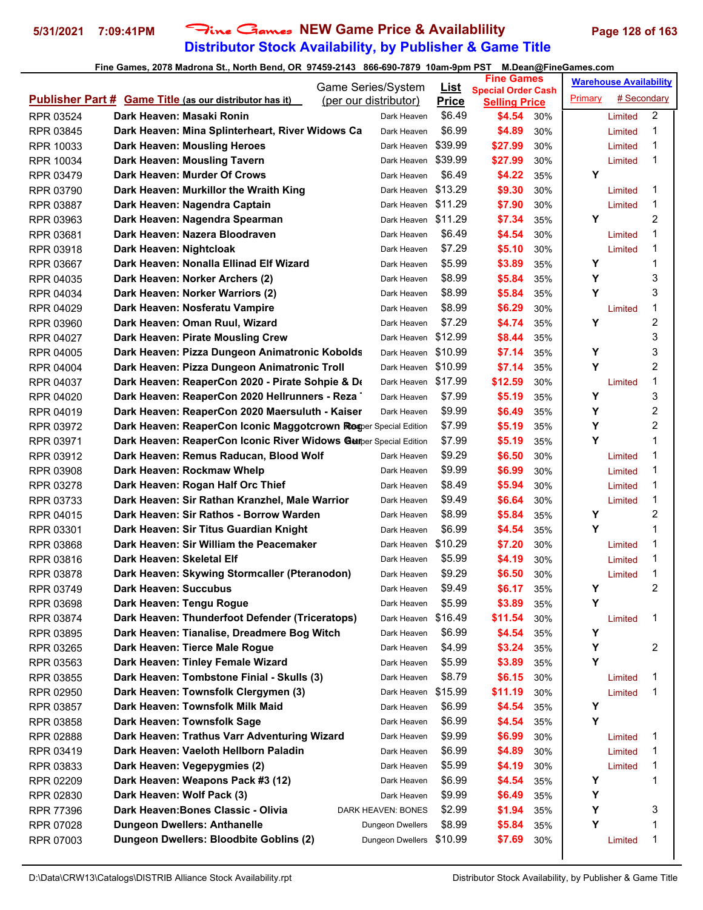# **Distributor Stock Availability, by Publisher & Game Title 5/31/2021 7:09:41PM** Fine Games **NEW Game Price & Availablility Page 128 of 163**

| Game Series/System |                                                                   | <u>List</u>           | <b>Fine Games</b> |                                                   |     | <b>Warehouse Availability</b> |             |                |
|--------------------|-------------------------------------------------------------------|-----------------------|-------------------|---------------------------------------------------|-----|-------------------------------|-------------|----------------|
|                    | <b>Publisher Part # Game Title (as our distributor has it)</b>    | (per our distributor) | <b>Price</b>      | <b>Special Order Cash</b><br><b>Selling Price</b> |     | Primary                       | # Secondary |                |
| RPR 03524          | Dark Heaven: Masaki Ronin                                         | Dark Heaven           | \$6.49            | \$4.54                                            | 30% |                               | Limited     | $\overline{2}$ |
| RPR 03845          | Dark Heaven: Mina Splinterheart, River Widows Ca                  | Dark Heaven           | \$6.99            | \$4.89                                            | 30% |                               | Limited     | 1              |
| RPR 10033          | Dark Heaven: Mousling Heroes                                      | Dark Heaven           | \$39.99           | \$27.99                                           | 30% |                               | Limited     | 1              |
| <b>RPR 10034</b>   | Dark Heaven: Mousling Tavern                                      | Dark Heaven           | \$39.99           | \$27.99                                           | 30% |                               | Limited     | 1              |
| RPR 03479          | Dark Heaven: Murder Of Crows                                      | Dark Heaven           | \$6.49            | \$4.22                                            | 35% | Y                             |             |                |
| RPR 03790          | Dark Heaven: Murkillor the Wraith King                            | Dark Heaven \$13.29   |                   | \$9.30                                            | 30% |                               | Limited     | 1              |
| RPR 03887          | Dark Heaven: Nagendra Captain                                     | Dark Heaven \$11.29   |                   | \$7.90                                            | 30% |                               | Limited     | 1              |
| RPR 03963          | Dark Heaven: Nagendra Spearman                                    | Dark Heaven \$11.29   |                   | \$7.34                                            | 35% | Υ                             |             | $\overline{2}$ |
| RPR 03681          | Dark Heaven: Nazera Bloodraven                                    | Dark Heaven           | \$6.49            | \$4.54                                            | 30% |                               | Limited     | 1              |
| RPR 03918          | Dark Heaven: Nightcloak                                           | Dark Heaven           | \$7.29            | \$5.10                                            | 30% |                               | Limited     | 1              |
| RPR 03667          | Dark Heaven: Nonalla Ellinad Elf Wizard                           | Dark Heaven           | \$5.99            | \$3.89                                            | 35% | Y                             |             | 1              |
| RPR 04035          | Dark Heaven: Norker Archers (2)                                   | Dark Heaven           | \$8.99            | \$5.84                                            | 35% | Y                             |             | 3              |
| RPR 04034          | Dark Heaven: Norker Warriors (2)                                  | Dark Heaven           | \$8.99            | \$5.84                                            | 35% | Y                             |             | 3              |
| RPR 04029          | Dark Heaven: Nosferatu Vampire                                    | Dark Heaven           | \$8.99            | \$6.29                                            | 30% |                               | Limited     | 1              |
| RPR 03960          | Dark Heaven: Oman Ruul, Wizard                                    | Dark Heaven           | \$7.29            | \$4.74                                            | 35% | Y                             |             | $\overline{c}$ |
| RPR 04027          | Dark Heaven: Pirate Mousling Crew                                 | Dark Heaven \$12.99   |                   | \$8.44                                            | 35% |                               |             | 3              |
| RPR 04005          | Dark Heaven: Pizza Dungeon Animatronic Kobolds                    | Dark Heaven \$10.99   |                   | \$7.14                                            | 35% | Υ                             |             | 3              |
| RPR 04004          | Dark Heaven: Pizza Dungeon Animatronic Troll                      | Dark Heaven \$10.99   |                   | \$7.14                                            | 35% | Y                             |             | 2              |
| RPR 04037          | Dark Heaven: ReaperCon 2020 - Pirate Sohpie & De                  | Dark Heaven           | \$17.99           | \$12.59                                           | 30% |                               | Limited     | 1              |
| RPR 04020          | Dark Heaven: ReaperCon 2020 Hellrunners - Reza                    | Dark Heaven           | \$7.99            | \$5.19                                            | 35% | Υ                             |             | 3              |
| RPR 04019          | Dark Heaven: ReaperCon 2020 Maersuluth - Kaiser                   | Dark Heaven           | \$9.99            | \$6.49                                            | 35% | Y                             |             | 2              |
| RPR 03972          | Dark Heaven: ReaperCon Iconic Maggotcrown Resper Special Edition  |                       | \$7.99            | \$5.19                                            | 35% | Y                             |             | $\overline{c}$ |
| RPR 03971          | Dark Heaven: ReaperCon Iconic River Widows Gunper Special Edition |                       | \$7.99            | \$5.19                                            | 35% | Y                             |             | 1              |
| RPR 03912          | Dark Heaven: Remus Raducan, Blood Wolf                            | Dark Heaven           | \$9.29            | \$6.50                                            | 30% |                               | Limited     | 1              |
| RPR 03908          | Dark Heaven: Rockmaw Whelp                                        | Dark Heaven           | \$9.99            | \$6.99                                            | 30% |                               | Limited     | 1              |
| RPR 03278          | Dark Heaven: Rogan Half Orc Thief                                 | Dark Heaven           | \$8.49            | \$5.94                                            | 30% |                               | Limited     | 1              |
| RPR 03733          | Dark Heaven: Sir Rathan Kranzhel, Male Warrior                    | Dark Heaven           | \$9.49            | \$6.64                                            | 30% |                               | Limited     | 1              |
| RPR 04015          | Dark Heaven: Sir Rathos - Borrow Warden                           | Dark Heaven           | \$8.99            | \$5.84                                            | 35% | Y                             |             | 2              |
| RPR 03301          | Dark Heaven: Sir Titus Guardian Knight                            | Dark Heaven           | \$6.99            | \$4.54                                            | 35% | Y                             |             | 1              |
| RPR 03868          | Dark Heaven: Sir William the Peacemaker                           | Dark Heaven \$10.29   |                   | \$7.20                                            | 30% |                               | Limited     | 1              |
| RPR 03816          | Dark Heaven: Skeletal Elf                                         | Dark Heaven           | \$5.99            | \$4.19                                            | 30% |                               | Limited     | 1              |
| RPR 03878          | Dark Heaven: Skywing Stormcaller (Pteranodon)                     | Dark Heaven           | \$9.29            | \$6.50                                            | 30% |                               | Limited     | 1              |
| RPR 03749          | Dark Heaven: Succubus                                             | Dark Heaven           | \$9.49            | \$6.17                                            | 35% | Y                             |             | $\mathfrak{p}$ |
| RPR 03698          | Dark Heaven: Tengu Rogue                                          | Dark Heaven           | \$5.99            | \$3.89                                            | 35% | Y                             |             |                |
| RPR 03874          | Dark Heaven: Thunderfoot Defender (Triceratops)                   | Dark Heaven \$16.49   |                   | \$11.54                                           | 30% |                               | Limited     | 1              |
| RPR 03895          | Dark Heaven: Tianalise, Dreadmere Bog Witch                       | Dark Heaven           | \$6.99            | \$4.54                                            | 35% | Υ                             |             |                |
| RPR 03265          | Dark Heaven: Tierce Male Rogue                                    | Dark Heaven           | \$4.99            | \$3.24                                            | 35% | Υ                             |             | 2              |
| RPR 03563          | Dark Heaven: Tinley Female Wizard                                 | Dark Heaven           | \$5.99            | \$3.89                                            | 35% | Y                             |             |                |
| RPR 03855          | Dark Heaven: Tombstone Finial - Skulls (3)                        | Dark Heaven           | \$8.79            | \$6.15                                            | 30% |                               | Limited     | 1              |
| RPR 02950          | Dark Heaven: Townsfolk Clergymen (3)                              | Dark Heaven           | \$15.99           | \$11.19                                           | 30% |                               | Limited     | 1              |
| RPR 03857          | Dark Heaven: Townsfolk Milk Maid                                  | Dark Heaven           | \$6.99            | \$4.54                                            | 35% | Υ                             |             |                |
| RPR 03858          | Dark Heaven: Townsfolk Sage                                       | Dark Heaven           | \$6.99            | \$4.54                                            | 35% | Υ                             |             |                |
| RPR 02888          | Dark Heaven: Trathus Varr Adventuring Wizard                      | Dark Heaven           | \$9.99            | \$6.99                                            | 30% |                               | Limited     | 1              |
| RPR 03419          | Dark Heaven: Vaeloth Hellborn Paladin                             | Dark Heaven           | \$6.99            | \$4.89                                            | 30% |                               | Limited     | 1              |
| RPR 03833          | Dark Heaven: Vegepygmies (2)                                      | Dark Heaven           | \$5.99            | \$4.19                                            | 30% |                               | Limited     | 1              |
| RPR 02209          | Dark Heaven: Weapons Pack #3 (12)                                 | Dark Heaven           | \$6.99            | \$4.54                                            | 35% | Υ                             |             | 1              |
| RPR 02830          | Dark Heaven: Wolf Pack (3)                                        | Dark Heaven           | \$9.99            | \$6.49                                            | 35% | Υ                             |             |                |
| <b>RPR 77396</b>   | Dark Heaven: Bones Classic - Olivia                               | DARK HEAVEN: BONES    | \$2.99            | \$1.94                                            | 35% | Y                             |             | 3              |
| RPR 07028          | <b>Dungeon Dwellers: Anthanelle</b>                               | Dungeon Dwellers      | \$8.99            | \$5.84                                            | 35% | Υ                             |             | 1              |
| RPR 07003          | Dungeon Dwellers: Bloodbite Goblins (2)                           | Dungeon Dwellers      | \$10.99           | \$7.69                                            | 30% |                               | Limited     | 1              |
|                    |                                                                   |                       |                   |                                                   |     |                               |             |                |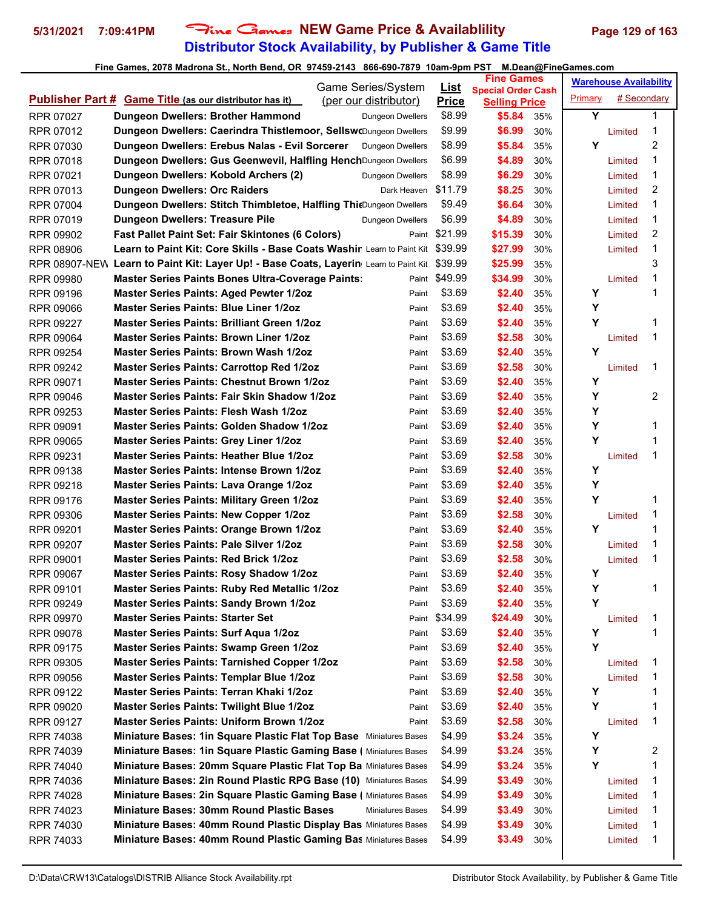# **Distributor Stock Availability, by Publisher & Game Title 5/31/2021 7:09:41PM** Fine Games **NEW Game Price & Availablility Page 129 of 163**

| Game Series/System     |                                                                                                       | <b>List</b>             | <b>Fine Games</b><br><b>Special Order Cash</b> |                      | <b>Warehouse Availability</b> |         |             |                |
|------------------------|-------------------------------------------------------------------------------------------------------|-------------------------|------------------------------------------------|----------------------|-------------------------------|---------|-------------|----------------|
|                        | <b>Publisher Part # Game Title (as our distributor has it)</b>                                        | (per our distributor)   | <b>Price</b>                                   | <b>Selling Price</b> |                               | Primary | # Secondary |                |
| RPR 07027              | Dungeon Dwellers: Brother Hammond                                                                     | Dungeon Dwellers        | \$8.99                                         | \$5.84               | 35%                           | Y       |             | 1              |
| RPR 07012              | Dungeon Dwellers: Caerindra Thistlemoor, Sellsw(Dungeon Dwellers                                      |                         | \$9.99                                         | \$6.99               | 30%                           |         | Limited     | 1              |
| RPR 07030              | Dungeon Dwellers: Erebus Nalas - Evil Sorcerer                                                        | <b>Dungeon Dwellers</b> | \$8.99                                         | \$5.84               | 35%                           | Y       |             | $\overline{c}$ |
| RPR 07018              | Dungeon Dwellers: Gus Geenwevil, Halfling HenchDungeon Dwellers                                       |                         | \$6.99                                         | \$4.89               | 30%                           |         | Limited     | 1              |
| RPR 07021              | Dungeon Dwellers: Kobold Archers (2)                                                                  | <b>Dungeon Dwellers</b> | \$8.99                                         | \$6.29               | 30%                           |         | Limited     | 1              |
| RPR 07013              | <b>Dungeon Dwellers: Orc Raiders</b>                                                                  | Dark Heaven \$11.79     |                                                | \$8.25               | 30%                           |         | Limited     | 2              |
| <b>RPR 07004</b>       | Dungeon Dwellers: Stitch Thimbletoe, Halfling ThiOungeon Dwellers                                     |                         | \$9.49                                         | \$6.64               | 30%                           |         | Limited     | 1              |
| RPR 07019              | <b>Dungeon Dwellers: Treasure Pile</b>                                                                | Dungeon Dwellers        | \$6.99                                         | \$4.89               | 30%                           |         | Limited     | 1              |
| RPR 09902              | <b>Fast Pallet Paint Set: Fair Skintones (6 Colors)</b>                                               |                         | Paint \$21.99                                  | \$15.39              | 30%                           |         | Limited     | 2              |
| <b>RPR 08906</b>       | Learn to Paint Kit: Core Skills - Base Coats Washir Learn to Paint Kit \$39.99                        |                         |                                                | \$27.99              | 30%                           |         | Limited     | 1              |
|                        | RPR 08907-NEW Learn to Paint Kit: Layer Up! - Base Coats, Layerin Learn to Paint Kit                  |                         | \$39.99                                        | \$25.99              | 35%                           |         |             | 3              |
| RPR 09980              | <b>Master Series Paints Bones Ultra-Coverage Paints:</b>                                              |                         | Paint \$49.99                                  | \$34.99              | 30%                           |         | Limited     | 1              |
|                        | Master Series Paints: Aged Pewter 1/2oz                                                               | Paint                   | \$3.69                                         | \$2.40               | 35%                           | Υ       |             | 1              |
| RPR 09196<br>RPR 09066 | <b>Master Series Paints: Blue Liner 1/2oz</b>                                                         |                         | \$3.69                                         | \$2.40               | 35%                           | Y       |             |                |
|                        | <b>Master Series Paints: Brilliant Green 1/2oz</b>                                                    | Paint                   | \$3.69                                         |                      | 35%                           | Y       |             | 1              |
| RPR 09227              | <b>Master Series Paints: Brown Liner 1/2oz</b>                                                        | Paint                   | \$3.69                                         | \$2.40               |                               |         |             | 1              |
| RPR 09064              | Master Series Paints: Brown Wash 1/2oz                                                                | Paint<br>Paint          | \$3.69                                         | \$2.58<br>\$2.40     | 30%<br>35%                    | Y       | Limited     |                |
| RPR 09254              |                                                                                                       |                         | \$3.69                                         |                      |                               |         |             | 1              |
| RPR 09242              | <b>Master Series Paints: Carrottop Red 1/2oz</b><br><b>Master Series Paints: Chestnut Brown 1/2oz</b> | Paint                   |                                                | \$2.58               | 30%                           |         | Limited     |                |
| RPR 09071              | Master Series Paints: Fair Skin Shadow 1/2oz                                                          | Paint                   | \$3.69<br>\$3.69                               | \$2.40               | 35%                           | Υ<br>Y  |             | $\overline{2}$ |
| RPR 09046              |                                                                                                       | Paint                   |                                                | \$2.40               | 35%                           | Υ       |             |                |
| RPR 09253              | Master Series Paints: Flesh Wash 1/2oz                                                                | Paint                   | \$3.69                                         | \$2.40               | 35%                           | Y       |             |                |
| RPR 09091              | <b>Master Series Paints: Golden Shadow 1/2oz</b>                                                      | Paint                   | \$3.69                                         | \$2.40               | 35%                           |         |             | 1              |
| RPR 09065              | <b>Master Series Paints: Grey Liner 1/2oz</b>                                                         | Paint                   | \$3.69                                         | \$2.40               | 35%                           | Y       |             | 1              |
| RPR 09231              | <b>Master Series Paints: Heather Blue 1/2oz</b>                                                       | Paint                   | \$3.69                                         | \$2.58               | 30%                           |         | Limited     | 1              |
| RPR 09138              | <b>Master Series Paints: Intense Brown 1/2oz</b>                                                      | Paint                   | \$3.69                                         | \$2.40               | 35%                           | Y       |             |                |
| RPR 09218              | <b>Master Series Paints: Lava Orange 1/2oz</b>                                                        | Paint                   | \$3.69                                         | \$2.40               | 35%                           | Y       |             |                |
| RPR 09176              | <b>Master Series Paints: Military Green 1/2oz</b>                                                     | Paint                   | \$3.69                                         | \$2.40               | 35%                           | Y       |             | 1              |
| RPR 09306              | <b>Master Series Paints: New Copper 1/2oz</b>                                                         | Paint                   | \$3.69                                         | \$2.58               | 30%                           |         | Limited     | 1              |
| RPR 09201              | <b>Master Series Paints: Orange Brown 1/2oz</b>                                                       | Paint                   | \$3.69                                         | \$2.40               | 35%                           | Y       |             | 1              |
| RPR 09207              | <b>Master Series Paints: Pale Silver 1/2oz</b>                                                        | Paint                   | \$3.69                                         | \$2.58               | 30%                           |         | Limited     | 1              |
| RPR 09001              | <b>Master Series Paints: Red Brick 1/2oz</b>                                                          | Paint                   | \$3.69                                         | \$2.58               | 30%                           |         | Limited     | 1              |
| RPR 09067              | <b>Master Series Paints: Rosy Shadow 1/2oz</b>                                                        | Paint                   | \$3.69                                         | \$2.40               | 35%                           | Y       |             |                |
| RPR 09101              | <b>Master Series Paints: Ruby Red Metallic 1/2oz</b>                                                  | Paint                   | \$3.69                                         | \$2.40               | 35%                           | Y       |             | 1              |
| RPR 09249              | <b>Master Series Paints: Sandy Brown 1/2oz</b>                                                        | Paint                   | \$3.69                                         | \$2.40               | 35%                           | Y       |             |                |
| RPR 09970              | <b>Master Series Paints: Starter Set</b>                                                              |                         | Paint \$34.99                                  | \$24.49              | 30%                           |         | Limited     | 1              |
| RPR 09078              | <b>Master Series Paints: Surf Aqua 1/2oz</b>                                                          | Paint                   | \$3.69                                         | \$2.40               | 35%                           | Υ       |             | 1              |
| RPR 09175              | <b>Master Series Paints: Swamp Green 1/2oz</b>                                                        | Paint                   | \$3.69                                         | \$2.40               | 35%                           | Y       |             |                |
| RPR 09305              | <b>Master Series Paints: Tarnished Copper 1/2oz</b>                                                   | Paint                   | \$3.69                                         | \$2.58               | 30%                           |         | Limited     | 1              |
| RPR 09056              | Master Series Paints: Templar Blue 1/2oz                                                              | Paint                   | \$3.69                                         | \$2.58               | 30%                           |         | Limited     | 1              |
| RPR 09122              | Master Series Paints: Terran Khaki 1/2oz                                                              | Paint                   | \$3.69                                         | \$2.40               | 35%                           | Υ       |             | 1              |
| RPR 09020              | <b>Master Series Paints: Twilight Blue 1/2oz</b>                                                      | Paint                   | \$3.69                                         | \$2.40               | 35%                           | Y       |             | 1              |
| RPR 09127              | <b>Master Series Paints: Uniform Brown 1/2oz</b>                                                      | Paint                   | \$3.69                                         | \$2.58               | 30%                           |         | Limited     | 1              |
| RPR 74038              | Miniature Bases: 1in Square Plastic Flat Top Base Miniatures Bases                                    |                         | \$4.99                                         | \$3.24               | 35%                           | Y       |             |                |
| RPR 74039              | Miniature Bases: 1in Square Plastic Gaming Base ( Miniatures Bases                                    |                         | \$4.99                                         | \$3.24               | 35%                           | Υ       |             | 2              |
| RPR 74040              | Miniature Bases: 20mm Square Plastic Flat Top Ba Miniatures Bases                                     |                         | \$4.99                                         | \$3.24               | 35%                           | Y       |             | 1              |
| RPR 74036              | Miniature Bases: 2in Round Plastic RPG Base (10) Miniatures Bases                                     |                         | \$4.99                                         | \$3.49               | 30%                           |         | Limited     | 1              |
| RPR 74028              | Miniature Bases: 2in Square Plastic Gaming Base ( Miniatures Bases                                    |                         | \$4.99                                         | \$3.49               | 30%                           |         | Limited     | 1              |
| RPR 74023              | <b>Miniature Bases: 30mm Round Plastic Bases</b>                                                      | <b>Miniatures Bases</b> | \$4.99                                         | \$3.49               | 30%                           |         | Limited     | 1              |
| RPR 74030              | Miniature Bases: 40mm Round Plastic Display Bas Miniatures Bases                                      |                         | \$4.99                                         | \$3.49               | 30%                           |         | Limited     | 1              |
| RPR 74033              | Miniature Bases: 40mm Round Plastic Gaming Bas Miniatures Bases                                       |                         | \$4.99                                         | \$3.49               | 30%                           |         | Limited     | 1              |
|                        |                                                                                                       |                         |                                                |                      |                               |         |             |                |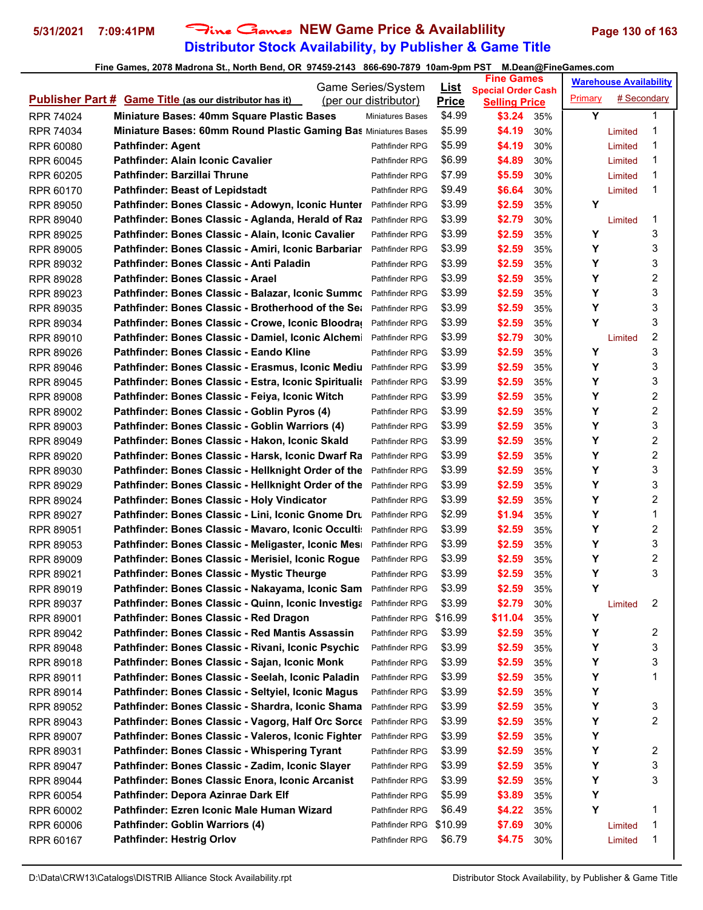# **Distributor Stock Availability, by Publisher & Game Title 5/31/2021 7:09:41PM** Fine Games **NEW Game Price & Availablility Page 130 of 163**

|                  |                                                                    | <b>Game Series/System</b> | <u>List</u>             | <b>Fine Games</b> |                                                   |     | <b>Warehouse Availability</b> |             |   |
|------------------|--------------------------------------------------------------------|---------------------------|-------------------------|-------------------|---------------------------------------------------|-----|-------------------------------|-------------|---|
|                  | <b>Publisher Part # Game Title (as our distributor has it)</b>     |                           | (per our distributor)   | <b>Price</b>      | <b>Special Order Cash</b><br><b>Selling Price</b> |     | Primary                       | # Secondary |   |
| <b>RPR 74024</b> | <b>Miniature Bases: 40mm Square Plastic Bases</b>                  |                           | <b>Miniatures Bases</b> | \$4.99            | \$3.24                                            | 35% | Y                             |             | 1 |
| <b>RPR 74034</b> | Miniature Bases: 60mm Round Plastic Gaming Bas Miniatures Bases    |                           |                         | \$5.99            | \$4.19                                            | 30% |                               | Limited     | 1 |
| RPR 60080        | <b>Pathfinder: Agent</b>                                           |                           | Pathfinder RPG          | \$5.99            | \$4.19                                            | 30% |                               | Limited     | 1 |
| RPR 60045        | Pathfinder: Alain Iconic Cavalier                                  |                           | Pathfinder RPG          | \$6.99            | \$4.89                                            | 30% |                               | Limited     | 1 |
| RPR 60205        | Pathfinder: Barzillai Thrune                                       |                           | Pathfinder RPG          | \$7.99            | \$5.59                                            | 30% |                               | Limited     | 1 |
| RPR 60170        | <b>Pathfinder: Beast of Lepidstadt</b>                             |                           | Pathfinder RPG          | \$9.49            | \$6.64                                            | 30% |                               | Limited     | 1 |
| <b>RPR 89050</b> | Pathfinder: Bones Classic - Adowyn, Iconic Hunter                  |                           | Pathfinder RPG          | \$3.99            | \$2.59                                            | 35% | Υ                             |             |   |
| RPR 89040        | Pathfinder: Bones Classic - Aglanda, Herald of Raz                 |                           | Pathfinder RPG          | \$3.99            | \$2.79                                            | 30% |                               | Limited     | 1 |
| RPR 89025        | Pathfinder: Bones Classic - Alain, Iconic Cavalier                 |                           | Pathfinder RPG          | \$3.99            | \$2.59                                            | 35% | Υ                             |             | 3 |
| <b>RPR 89005</b> | Pathfinder: Bones Classic - Amiri, Iconic Barbariar                |                           | Pathfinder RPG          | \$3.99            | \$2.59                                            | 35% | Υ                             |             | 3 |
| RPR 89032        | Pathfinder: Bones Classic - Anti Paladin                           |                           | Pathfinder RPG          | \$3.99            | \$2.59                                            | 35% | Υ                             |             | 3 |
| RPR 89028        | Pathfinder: Bones Classic - Arael                                  |                           | Pathfinder RPG          | \$3.99            | \$2.59                                            | 35% | Υ                             |             | 2 |
| RPR 89023        | Pathfinder: Bones Classic - Balazar, Iconic Summo                  |                           | Pathfinder RPG          | \$3.99            | \$2.59                                            | 35% | Y                             |             | 3 |
| RPR 89035        | <b>Pathfinder: Bones Classic - Brotherhood of the Set</b>          |                           | Pathfinder RPG          | \$3.99            | \$2.59                                            | 35% | Y                             |             | 3 |
| RPR 89034        | Pathfinder: Bones Classic - Crowe, Iconic Bloodra                  |                           | Pathfinder RPG          | \$3.99            | \$2.59                                            | 35% | Υ                             |             | 3 |
| RPR 89010        | Pathfinder: Bones Classic - Damiel, Iconic Alchemi                 |                           | Pathfinder RPG          | \$3.99            | \$2.79                                            | 30% |                               | Limited     | 2 |
| RPR 89026        | Pathfinder: Bones Classic - Eando Kline                            |                           | Pathfinder RPG          | \$3.99            | \$2.59                                            | 35% | Υ                             |             | 3 |
| RPR 89046        | Pathfinder: Bones Classic - Erasmus, Iconic Mediu                  |                           | Pathfinder RPG          | \$3.99            | \$2.59                                            | 35% | Υ                             |             | 3 |
| <b>RPR 89045</b> | Pathfinder: Bones Classic - Estra, Iconic Spiritualis              |                           | Pathfinder RPG          | \$3.99            | \$2.59                                            | 35% | Υ                             |             | 3 |
| <b>RPR 89008</b> | Pathfinder: Bones Classic - Feiya, Iconic Witch                    |                           | Pathfinder RPG          | \$3.99            | \$2.59                                            | 35% | Υ                             |             | 2 |
| RPR 89002        | Pathfinder: Bones Classic - Goblin Pyros (4)                       |                           | Pathfinder RPG          | \$3.99            | \$2.59                                            | 35% | Υ                             |             | 2 |
| RPR 89003        | Pathfinder: Bones Classic - Goblin Warriors (4)                    |                           | Pathfinder RPG          | \$3.99            | \$2.59                                            | 35% | Y                             |             | 3 |
| <b>RPR 89049</b> | Pathfinder: Bones Classic - Hakon, Iconic Skald                    |                           | Pathfinder RPG          | \$3.99            | \$2.59                                            | 35% | Υ                             |             | 2 |
| RPR 89020        | Pathfinder: Bones Classic - Harsk, Iconic Dwarf Ra                 |                           | Pathfinder RPG          | \$3.99            | \$2.59                                            | 35% | Υ                             |             | 2 |
| RPR 89030        | Pathfinder: Bones Classic - Hellknight Order of the                |                           | Pathfinder RPG          | \$3.99            | \$2.59                                            | 35% | Υ                             |             | 3 |
| RPR 89029        | Pathfinder: Bones Classic - Hellknight Order of the                |                           | Pathfinder RPG          | \$3.99            | \$2.59                                            | 35% | Υ                             |             | 3 |
| <b>RPR 89024</b> | Pathfinder: Bones Classic - Holy Vindicator                        |                           | Pathfinder RPG          | \$3.99            | \$2.59                                            | 35% | Y                             |             | 2 |
| RPR 89027        | Pathfinder: Bones Classic - Lini, Iconic Gnome Dru                 |                           | Pathfinder RPG          | \$2.99            | \$1.94                                            | 35% | Υ                             |             | 1 |
| RPR 89051        | Pathfinder: Bones Classic - Mavaro, Iconic Occulti:                |                           | Pathfinder RPG          | \$3.99            | \$2.59                                            | 35% | Y                             |             | 2 |
| RPR 89053        | Pathfinder: Bones Classic - Meligaster, Iconic Mesi                |                           | Pathfinder RPG          | \$3.99            | \$2.59                                            | 35% | Υ                             |             | 3 |
| RPR 89009        | Pathfinder: Bones Classic - Merisiel, Iconic Rogue                 |                           | Pathfinder RPG          | \$3.99            | \$2.59                                            | 35% | Υ                             |             | 2 |
| RPR 89021        | Pathfinder: Bones Classic - Mystic Theurge                         |                           | Pathfinder RPG          | \$3.99            | \$2.59                                            | 35% | Υ                             |             | 3 |
| RPR 89019        | Pathfinder: Bones Classic - Nakayama, Iconic Sam                   |                           | Pathfinder RPG          | \$3.99            | \$2.59                                            | 35% | Υ                             |             |   |
| RPR 89037        | Pathfinder: Bones Classic - Quinn, Iconic Investiga Pathfinder RPG |                           |                         | \$3.99            | \$2.79                                            | 30% |                               | Limited     | 2 |
| RPR 89001        | Pathfinder: Bones Classic - Red Dragon                             |                           | Pathfinder RPG \$16.99  |                   | \$11.04                                           | 35% | Υ                             |             |   |
| RPR 89042        | Pathfinder: Bones Classic - Red Mantis Assassin                    |                           | Pathfinder RPG          | \$3.99            | \$2.59                                            | 35% | Υ                             |             | 2 |
| RPR 89048        | Pathfinder: Bones Classic - Rivani, Iconic Psychic                 |                           | Pathfinder RPG          | \$3.99            | \$2.59                                            | 35% | Υ                             |             | 3 |
| RPR 89018        | Pathfinder: Bones Classic - Sajan, Iconic Monk                     |                           | Pathfinder RPG          | \$3.99            | \$2.59                                            | 35% | Υ                             |             | 3 |
| RPR 89011        | Pathfinder: Bones Classic - Seelah, Iconic Paladin                 |                           | Pathfinder RPG          | \$3.99            | \$2.59                                            | 35% | Υ                             |             | 1 |
| RPR 89014        | Pathfinder: Bones Classic - Seltyiel, Iconic Magus                 |                           | Pathfinder RPG          | \$3.99            | \$2.59                                            | 35% | Υ                             |             |   |
| RPR 89052        | Pathfinder: Bones Classic - Shardra, Iconic Shama                  |                           | Pathfinder RPG          | \$3.99            | \$2.59                                            | 35% | Υ                             |             | 3 |
| RPR 89043        | Pathfinder: Bones Classic - Vagorg, Half Orc Sorce                 |                           | Pathfinder RPG          | \$3.99            | \$2.59                                            | 35% | Υ                             |             | 2 |
| RPR 89007        | Pathfinder: Bones Classic - Valeros, Iconic Fighter                |                           | Pathfinder RPG          | \$3.99            | \$2.59                                            | 35% | Υ                             |             |   |
| RPR 89031        | Pathfinder: Bones Classic - Whispering Tyrant                      |                           | Pathfinder RPG          | \$3.99            | \$2.59                                            | 35% | Υ                             |             | 2 |
| RPR 89047        | Pathfinder: Bones Classic - Zadim, Iconic Slayer                   |                           | Pathfinder RPG          | \$3.99            | \$2.59                                            | 35% | Υ                             |             | 3 |
| RPR 89044        | Pathfinder: Bones Classic Enora, Iconic Arcanist                   |                           | Pathfinder RPG          | \$3.99            | \$2.59                                            | 35% | Υ                             |             | 3 |
| RPR 60054        | Pathfinder: Depora Azinrae Dark Elf                                |                           | Pathfinder RPG          | \$5.99            | \$3.89                                            | 35% | Υ                             |             |   |
| RPR 60002        | Pathfinder: Ezren Iconic Male Human Wizard                         |                           | Pathfinder RPG          | \$6.49            | \$4.22                                            | 35% | Υ                             |             | 1 |
| RPR 60006        | Pathfinder: Goblin Warriors (4)                                    |                           | Pathfinder RPG \$10.99  |                   | \$7.69                                            | 30% |                               | Limited     | 1 |
| RPR 60167        | <b>Pathfinder: Hestrig Orlov</b>                                   |                           | Pathfinder RPG          | \$6.79            | \$4.75                                            | 30% |                               | Limited     | 1 |
|                  |                                                                    |                           |                         |                   |                                                   |     |                               |             |   |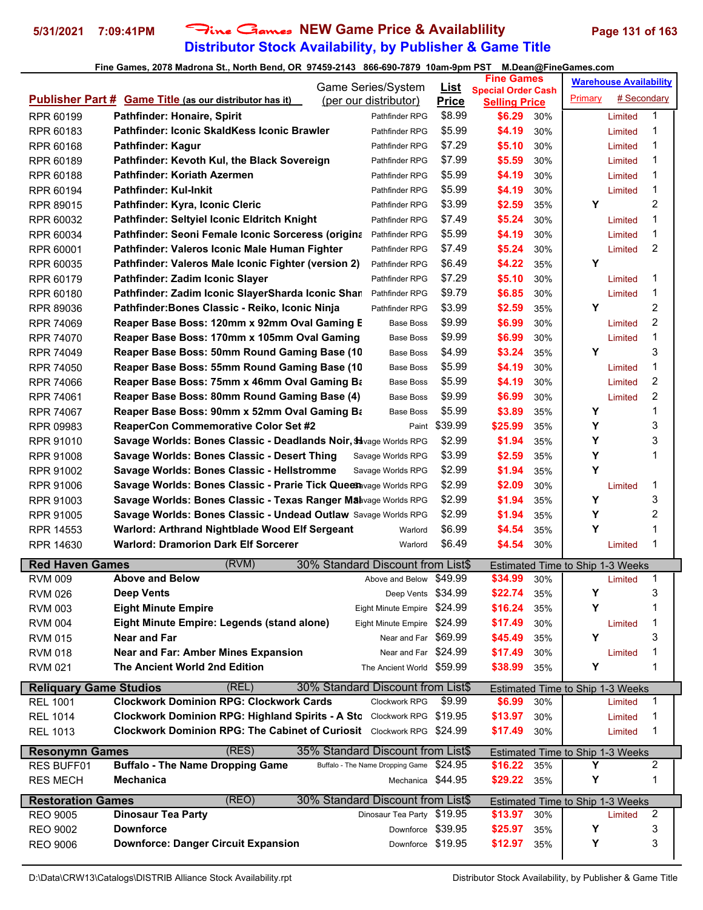## **Distributor Stock Availability, by Publisher & Game Title 5/31/2021 7:09:41PM** Fine Games **NEW Game Price & Availablility Page 131 of 163**

|                               |                                                                              | Game Series/System                | <u>List</u>   | <b>Fine Games</b>                                 |     |                                         | <b>Warehouse Availability</b> |                |
|-------------------------------|------------------------------------------------------------------------------|-----------------------------------|---------------|---------------------------------------------------|-----|-----------------------------------------|-------------------------------|----------------|
|                               | <b>Publisher Part # Game Title (as our distributor has it)</b>               | (per our distributor)             | <b>Price</b>  | <b>Special Order Cash</b><br><b>Selling Price</b> |     | Primary                                 | # Secondary                   |                |
| RPR 60199                     | Pathfinder: Honaire, Spirit                                                  | Pathfinder RPG                    | \$8.99        | \$6.29                                            | 30% |                                         | Limited                       | 1              |
| RPR 60183                     | Pathfinder: Iconic SkaldKess Iconic Brawler                                  | Pathfinder RPG                    | \$5.99        | \$4.19                                            | 30% |                                         | Limited                       | 1              |
| RPR 60168                     | Pathfinder: Kagur                                                            | Pathfinder RPG                    | \$7.29        | \$5.10                                            | 30% |                                         | Limited                       | 1              |
| RPR 60189                     | Pathfinder: Kevoth Kul, the Black Sovereign                                  | Pathfinder RPG                    | \$7.99        | \$5.59                                            | 30% |                                         | Limited                       | 1              |
| RPR 60188                     | Pathfinder: Koriath Azermen                                                  | Pathfinder RPG                    | \$5.99        | \$4.19                                            | 30% |                                         |                               | 1              |
|                               | <b>Pathfinder: Kul-Inkit</b>                                                 | Pathfinder RPG                    | \$5.99        | \$4.19                                            | 30% |                                         | Limited                       | 1              |
| RPR 60194<br>RPR 89015        | Pathfinder: Kyra, Iconic Cleric                                              | Pathfinder RPG                    | \$3.99        | \$2.59                                            | 35% | Υ                                       | Limited                       | 2              |
| RPR 60032                     | Pathfinder: Seltyiel Iconic Eldritch Knight                                  | Pathfinder RPG                    | \$7.49        | \$5.24                                            | 30% |                                         | Limited                       | 1              |
| RPR 60034                     | Pathfinder: Seoni Female Iconic Sorceress (origina                           | Pathfinder RPG                    | \$5.99        | \$4.19                                            | 30% |                                         | Limited                       | 1              |
| RPR 60001                     | Pathfinder: Valeros Iconic Male Human Fighter                                | Pathfinder RPG                    | \$7.49        | \$5.24                                            | 30% |                                         | Limited                       | $\overline{2}$ |
| RPR 60035                     | Pathfinder: Valeros Male Iconic Fighter (version 2)                          | Pathfinder RPG                    | \$6.49        | \$4.22                                            | 35% | Y                                       |                               |                |
| RPR 60179                     | Pathfinder: Zadim Iconic Slayer                                              | Pathfinder RPG                    | \$7.29        | \$5.10                                            | 30% |                                         | Limited                       | 1              |
| RPR 60180                     | Pathfinder: Zadim Iconic SlayerSharda Iconic Shar                            | Pathfinder RPG                    | \$9.79        | \$6.85                                            | 30% |                                         | Limited                       | 1              |
| RPR 89036                     | Pathfinder: Bones Classic - Reiko, Iconic Ninja                              | Pathfinder RPG                    | \$3.99        | \$2.59                                            | 35% | Y                                       |                               | 2              |
| <b>RPR 74069</b>              | Reaper Base Boss: 120mm x 92mm Oval Gaming E                                 | Base Boss                         | \$9.99        | \$6.99                                            | 30% |                                         | Limited                       | $\overline{2}$ |
| <b>RPR 74070</b>              | Reaper Base Boss: 170mm x 105mm Oval Gaming                                  | Base Boss                         | \$9.99        | \$6.99                                            | 30% |                                         | Limited                       | 1              |
| RPR 74049                     | Reaper Base Boss: 50mm Round Gaming Base (10                                 | Base Boss                         | \$4.99        | \$3.24                                            | 35% | Y                                       |                               | 3              |
| <b>RPR 74050</b>              | Reaper Base Boss: 55mm Round Gaming Base (10                                 | <b>Base Boss</b>                  | \$5.99        | \$4.19                                            | 30% |                                         | Limited                       | 1              |
| <b>RPR 74066</b>              | Reaper Base Boss: 75mm x 46mm Oval Gaming Ba                                 | <b>Base Boss</b>                  | \$5.99        | \$4.19                                            | 30% |                                         | Limited                       | 2              |
| <b>RPR 74061</b>              | Reaper Base Boss: 80mm Round Gaming Base (4)                                 | Base Boss                         | \$9.99        | \$6.99                                            | 30% |                                         | Limited                       | 2              |
| RPR 74067                     | Reaper Base Boss: 90mm x 52mm Oval Gaming Ba                                 | Base Boss                         | \$5.99        | \$3.89                                            | 35% | Y                                       |                               | 1              |
| RPR 09983                     | <b>ReaperCon Commemorative Color Set #2</b>                                  |                                   | Paint \$39.99 | \$25.99                                           | 35% | Y                                       |                               | 3              |
| RPR 91010                     | Savage Worlds: Bones Classic - Deadlands Noir, \$ vage Worlds RPG            |                                   | \$2.99        | \$1.94                                            | 35% | Υ                                       |                               | 3              |
| RPR 91008                     | Savage Worlds: Bones Classic - Desert Thing                                  | Savage Worlds RPG                 | \$3.99        | \$2.59                                            | 35% | Y                                       |                               | 1              |
| RPR 91002                     | Savage Worlds: Bones Classic - Hellstromme                                   | Savage Worlds RPG                 | \$2.99        | \$1.94                                            | 35% | Υ                                       |                               |                |
| RPR 91006                     | Savage Worlds: Bones Classic - Prarie Tick Quees avage Worlds RPG            |                                   | \$2.99        | \$2.09                                            | 30% |                                         | Limited                       | 1              |
| RPR 91003                     | Savage Worlds: Bones Classic - Texas Ranger Mabvage Worlds RPG               |                                   | \$2.99        | \$1.94                                            | 35% | Y                                       |                               | 3              |
| <b>RPR 91005</b>              | Savage Worlds: Bones Classic - Undead Outlaw Savage Worlds RPG               |                                   | \$2.99        | \$1.94                                            | 35% | Y                                       |                               | 2              |
| <b>RPR 14553</b>              | Warlord: Arthrand Nightblade Wood Elf Sergeant                               | Warlord                           | \$6.99        | \$4.54                                            | 35% | Y                                       |                               | 1              |
| RPR 14630                     | <b>Warlord: Dramorion Dark Elf Sorcerer</b>                                  | Warlord                           | \$6.49        | \$4.54                                            | 30% |                                         | Limited                       | 1              |
|                               |                                                                              |                                   |               |                                                   |     |                                         |                               |                |
| <b>Red Haven Games</b>        | (RVM)                                                                        | 30% Standard Discount from List\$ |               |                                                   |     | <b>Estimated Time to Ship 1-3 Weeks</b> |                               |                |
| <b>RVM 009</b>                | <b>Above and Below</b>                                                       | Above and Below \$49.99           |               | \$34.99                                           | 30% |                                         | Limited                       | 1              |
| <b>RVM 026</b>                | Deep Vents                                                                   | Deep Vents \$34.99                |               | \$22.74                                           | 35% | Y                                       |                               | 3<br>1         |
| <b>RVM 003</b>                | <b>Eight Minute Empire</b>                                                   | Eight Minute Empire \$24.99       |               | \$16.24                                           | 35% | Y                                       |                               |                |
| <b>RVM 004</b>                | Eight Minute Empire: Legends (stand alone)                                   | Eight Minute Empire \$24.99       |               | \$17.49                                           | 30% |                                         | Limited                       | 1              |
| <b>RVM 015</b>                | <b>Near and Far</b>                                                          | Near and Far \$69.99              |               | \$45.49                                           | 35% | Υ                                       |                               | 3              |
| <b>RVM 018</b>                | <b>Near and Far: Amber Mines Expansion</b>                                   | Near and Far \$24.99              |               | \$17.49                                           | 30% |                                         | Limited                       | 1              |
| <b>RVM 021</b>                | The Ancient World 2nd Edition                                                | The Ancient World \$59.99         |               | \$38.99                                           | 35% | Υ                                       |                               | 1              |
| <b>Reliquary Game Studios</b> | (REL)                                                                        | 30% Standard Discount from List\$ |               |                                                   |     | <b>Estimated Time to Ship 1-3 Weeks</b> |                               |                |
| <b>REL 1001</b>               | <b>Clockwork Dominion RPG: Clockwork Cards</b>                               | Clockwork RPG                     | \$9.99        | \$6.99                                            | 30% |                                         | Limited                       | 1              |
| <b>REL 1014</b>               | Clockwork Dominion RPG: Highland Spirits - A Sto Clockwork RPG \$19.95       |                                   |               | \$13.97                                           | 30% |                                         | Limited                       | 1              |
| <b>REL 1013</b>               | <b>Clockwork Dominion RPG: The Cabinet of Curiosit</b> Clockwork RPG \$24.99 |                                   |               | \$17.49                                           | 30% |                                         | Limited                       | 1              |
| <b>Resonymn Games</b>         | (RES)                                                                        | 35% Standard Discount from List\$ |               |                                                   |     | Estimated Time to Ship 1-3 Weeks        |                               |                |
| <b>RES BUFF01</b>             | <b>Buffalo - The Name Dropping Game</b>                                      | Buffalo - The Name Dropping Game  | \$24.95       | \$16.22                                           | 35% | Y                                       |                               | 2              |
| <b>RES MECH</b>               | <b>Mechanica</b>                                                             | Mechanica \$44.95                 |               | \$29.22                                           | 35% | Υ                                       |                               | 1              |
| <b>Restoration Games</b>      | (REO)                                                                        | 30% Standard Discount from List\$ |               |                                                   |     | Estimated Time to Ship 1-3 Weeks        |                               |                |
| <b>REO 9005</b>               | <b>Dinosaur Tea Party</b>                                                    | Dinosaur Tea Party \$19.95        |               | \$13.97                                           | 30% |                                         | Limited                       | 2              |
| <b>REO 9002</b>               | <b>Downforce</b>                                                             | Downforce \$39.95                 |               | \$25.97                                           | 35% | Y                                       |                               | 3              |
| <b>REO 9006</b>               | <b>Downforce: Danger Circuit Expansion</b>                                   | Downforce \$19.95                 |               | \$12.97                                           | 35% | Υ                                       |                               | 3              |
|                               |                                                                              |                                   |               |                                                   |     |                                         |                               |                |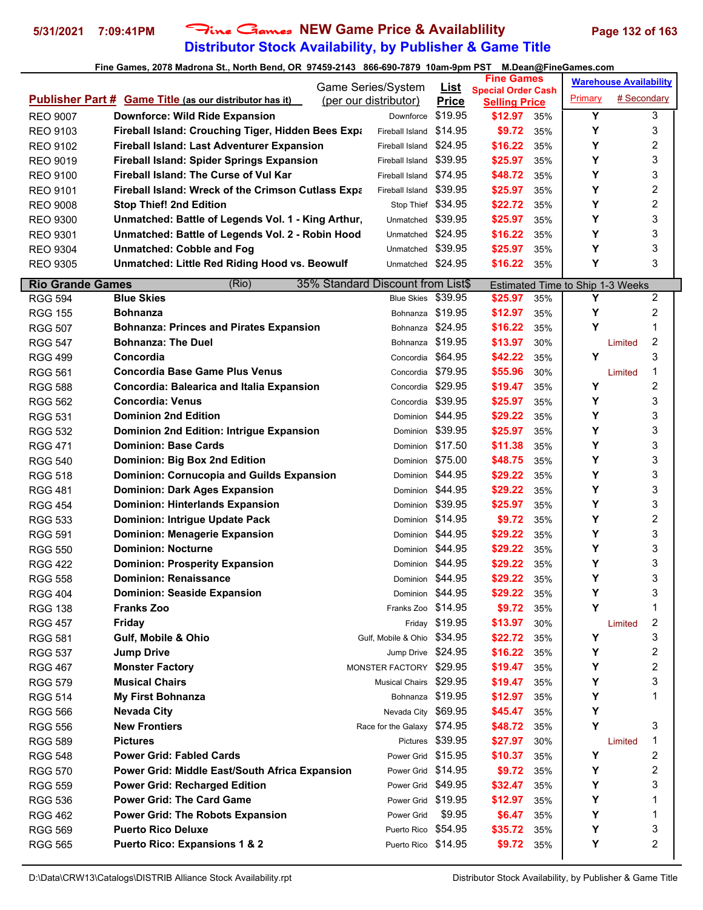# **Distributor Stock Availability, by Publisher & Game Title 5/31/2021 7:09:41PM** Fine Games **NEW Game Price & Availablility Page 132 of 163**

|                         |                                                                | <b>Game Series/System</b>         | <u>List</u>        | <b>Fine Games</b>                                 |     |                                       | <b>Warehouse Availability</b> |   |
|-------------------------|----------------------------------------------------------------|-----------------------------------|--------------------|---------------------------------------------------|-----|---------------------------------------|-------------------------------|---|
|                         | <b>Publisher Part # Game Title (as our distributor has it)</b> | (per our distributor)             | <b>Price</b>       | <b>Special Order Cash</b><br><b>Selling Price</b> |     | Primary                               | # Secondary                   |   |
| <b>REO 9007</b>         | <b>Downforce: Wild Ride Expansion</b>                          | Downforce                         | \$19.95            | \$12.97                                           | 35% | Y                                     |                               | 3 |
| <b>REO 9103</b>         | Fireball Island: Crouching Tiger, Hidden Bees Expa             | Fireball Island                   | \$14.95            | \$9.72                                            | 35% | Υ                                     |                               | 3 |
| <b>REO 9102</b>         | <b>Fireball Island: Last Adventurer Expansion</b>              | Fireball Island                   | \$24.95            | \$16.22                                           | 35% | Υ                                     |                               | 2 |
| <b>REO 9019</b>         | <b>Fireball Island: Spider Springs Expansion</b>               | Fireball Island                   | \$39.95            | \$25.97                                           | 35% | Υ                                     |                               | 3 |
| <b>REO 9100</b>         | <b>Fireball Island: The Curse of Vul Kar</b>                   | Fireball Island                   | \$74.95            | \$48.72                                           | 35% | Υ                                     |                               | 3 |
| <b>REO 9101</b>         | <b>Fireball Island: Wreck of the Crimson Cutlass Expanding</b> | Fireball Island                   | \$39.95            | \$25.97                                           | 35% | Y                                     |                               | 2 |
| <b>REO 9008</b>         | <b>Stop Thief! 2nd Edition</b>                                 |                                   | Stop Thief \$34.95 | \$22.72                                           | 35% | Υ                                     |                               | 2 |
| <b>REO 9300</b>         | Unmatched: Battle of Legends Vol. 1 - King Arthur,             | Unmatched                         | \$39.95            | \$25.97                                           | 35% | Υ                                     |                               | 3 |
| <b>REO 9301</b>         | Unmatched: Battle of Legends Vol. 2 - Robin Hood               | Unmatched                         | \$24.95            | \$16.22                                           | 35% | Υ                                     |                               | 3 |
| <b>REO 9304</b>         | <b>Unmatched: Cobble and Fog</b>                               | Unmatched \$39.95                 |                    | \$25.97                                           | 35% | Y                                     |                               | 3 |
| <b>REO 9305</b>         | Unmatched: Little Red Riding Hood vs. Beowulf                  | Unmatched \$24.95                 |                    | \$16.22                                           | 35% | Υ                                     |                               | 3 |
| <b>Rio Grande Games</b> | (Rio)                                                          | 35% Standard Discount from List\$ |                    |                                                   |     |                                       |                               |   |
| <b>RGG 594</b>          | <b>Blue Skies</b>                                              | <b>Blue Skies</b>                 | \$39.95            | \$25.97                                           | 35% | Estimated Time to Ship 1-3 Weeks<br>Υ |                               | 2 |
| <b>RGG 155</b>          | <b>Bohnanza</b>                                                | Bohnanza                          | \$19.95            | \$12.97                                           | 35% | Υ                                     |                               | 2 |
| <b>RGG 507</b>          | <b>Bohnanza: Princes and Pirates Expansion</b>                 |                                   | Bohnanza \$24.95   | \$16.22                                           | 35% | Υ                                     |                               | 1 |
| <b>RGG 547</b>          | <b>Bohnanza: The Duel</b>                                      |                                   | Bohnanza \$19.95   | \$13.97                                           | 30% |                                       | Limited                       | 2 |
| <b>RGG 499</b>          | Concordia                                                      |                                   | Concordia \$64.95  | \$42.22                                           | 35% | Y                                     |                               | 3 |
| <b>RGG 561</b>          | <b>Concordia Base Game Plus Venus</b>                          |                                   | Concordia \$79.95  | \$55.96                                           | 30% |                                       | Limited                       | 1 |
| <b>RGG 588</b>          | Concordia: Balearica and Italia Expansion                      |                                   | Concordia \$29.95  | \$19.47                                           | 35% | Y                                     |                               | 2 |
| <b>RGG 562</b>          | <b>Concordia: Venus</b>                                        |                                   | Concordia \$39.95  | \$25.97                                           | 35% | Υ                                     |                               | 3 |
| <b>RGG 531</b>          | <b>Dominion 2nd Edition</b>                                    |                                   | Dominion \$44.95   | \$29.22                                           | 35% | Y                                     |                               | 3 |
| <b>RGG 532</b>          | Dominion 2nd Edition: Intrigue Expansion                       |                                   | Dominion \$39.95   | \$25.97                                           | 35% | Υ                                     |                               | 3 |
| <b>RGG 471</b>          | <b>Dominion: Base Cards</b>                                    |                                   | Dominion \$17.50   | \$11.38                                           | 35% | Υ                                     |                               | 3 |
| <b>RGG 540</b>          | Dominion: Big Box 2nd Edition                                  |                                   | Dominion \$75.00   | \$48.75                                           | 35% | Y                                     |                               | 3 |
| <b>RGG 518</b>          | <b>Dominion: Cornucopia and Guilds Expansion</b>               | Dominion                          | \$44.95            | \$29.22                                           | 35% | Υ                                     |                               | 3 |
| <b>RGG 481</b>          | <b>Dominion: Dark Ages Expansion</b>                           |                                   | Dominion \$44.95   | \$29.22                                           | 35% | Y                                     |                               | 3 |
| <b>RGG 454</b>          | <b>Dominion: Hinterlands Expansion</b>                         | Dominion                          | \$39.95            | \$25.97                                           | 35% | Υ                                     |                               | 3 |
| <b>RGG 533</b>          | <b>Dominion: Intrigue Update Pack</b>                          |                                   | Dominion \$14.95   | \$9.72                                            | 35% | Υ                                     |                               | 2 |
| <b>RGG 591</b>          | <b>Dominion: Menagerie Expansion</b>                           |                                   | Dominion \$44.95   | \$29.22                                           | 35% | Υ                                     |                               | 3 |
| <b>RGG 550</b>          | <b>Dominion: Nocturne</b>                                      |                                   | Dominion \$44.95   | \$29.22                                           | 35% | Υ                                     |                               | 3 |
| <b>RGG 422</b>          | <b>Dominion: Prosperity Expansion</b>                          |                                   | Dominion \$44.95   | \$29.22                                           | 35% | Y                                     |                               | 3 |
| <b>RGG 558</b>          | <b>Dominion: Renaissance</b>                                   |                                   | Dominion \$44.95   | \$29.22                                           | 35% | Υ                                     |                               | 3 |
| <b>RGG 404</b>          | <b>Dominion: Seaside Expansion</b>                             |                                   | Dominion \$44.95   | \$29.22                                           | 35% | Υ                                     |                               | 3 |
| <b>RGG 138</b>          | <b>Franks Zoo</b>                                              | Franks Zoo \$14.95                |                    | \$9.72                                            | 35% | Υ                                     |                               | 1 |
| <b>RGG 457</b>          | Friday                                                         |                                   | Friday \$19.95     | \$13.97                                           | 30% |                                       | Limited                       | 2 |
| <b>RGG 581</b>          | Gulf, Mobile & Ohio                                            | Gulf, Mobile & Ohio \$34.95       |                    | \$22.72                                           | 35% | Υ                                     |                               | 3 |
| <b>RGG 537</b>          | <b>Jump Drive</b>                                              | Jump Drive \$24.95                |                    | \$16.22                                           | 35% | Υ                                     |                               | 2 |
| <b>RGG 467</b>          | <b>Monster Factory</b>                                         | MONSTER FACTORY \$29.95           |                    | \$19.47                                           | 35% | Υ                                     |                               | 2 |
| <b>RGG 579</b>          | <b>Musical Chairs</b>                                          | Musical Chairs \$29.95            |                    | \$19.47                                           | 35% | Y                                     |                               | 3 |
| <b>RGG 514</b>          | <b>My First Bohnanza</b>                                       |                                   | Bohnanza \$19.95   | \$12.97                                           | 35% | Υ                                     |                               | 1 |
| <b>RGG 566</b>          | <b>Nevada City</b>                                             | Nevada City \$69.95               |                    | \$45.47                                           | 35% | Υ                                     |                               |   |
| <b>RGG 556</b>          | <b>New Frontiers</b>                                           | Race for the Galaxy \$74.95       |                    | \$48.72                                           | 35% | Y                                     |                               | 3 |
| <b>RGG 589</b>          | <b>Pictures</b>                                                |                                   | Pictures \$39.95   | \$27.97                                           | 30% |                                       | Limited                       | 1 |
| <b>RGG 548</b>          | <b>Power Grid: Fabled Cards</b>                                | Power Grid \$15.95                |                    | \$10.37                                           | 35% | Υ                                     |                               | 2 |
| <b>RGG 570</b>          | Power Grid: Middle East/South Africa Expansion                 | Power Grid \$14.95                |                    | \$9.72                                            | 35% | Υ                                     |                               | 2 |
| <b>RGG 559</b>          | <b>Power Grid: Recharged Edition</b>                           | Power Grid \$49.95                |                    | \$32.47                                           | 35% | Y                                     |                               | 3 |
| <b>RGG 536</b>          | <b>Power Grid: The Card Game</b>                               |                                   | Power Grid \$19.95 | \$12.97                                           | 35% | Y                                     |                               | 1 |
| <b>RGG 462</b>          | <b>Power Grid: The Robots Expansion</b>                        | Power Grid                        | \$9.95             | \$6.47                                            | 35% | Υ                                     |                               | 1 |
| <b>RGG 569</b>          | <b>Puerto Rico Deluxe</b>                                      | Puerto Rico \$54.95               |                    | \$35.72                                           | 35% | Υ                                     |                               | 3 |
| <b>RGG 565</b>          | <b>Puerto Rico: Expansions 1 &amp; 2</b>                       | Puerto Rico \$14.95               |                    | \$9.72                                            | 35% | Υ                                     |                               | 2 |
|                         |                                                                |                                   |                    |                                                   |     |                                       |                               |   |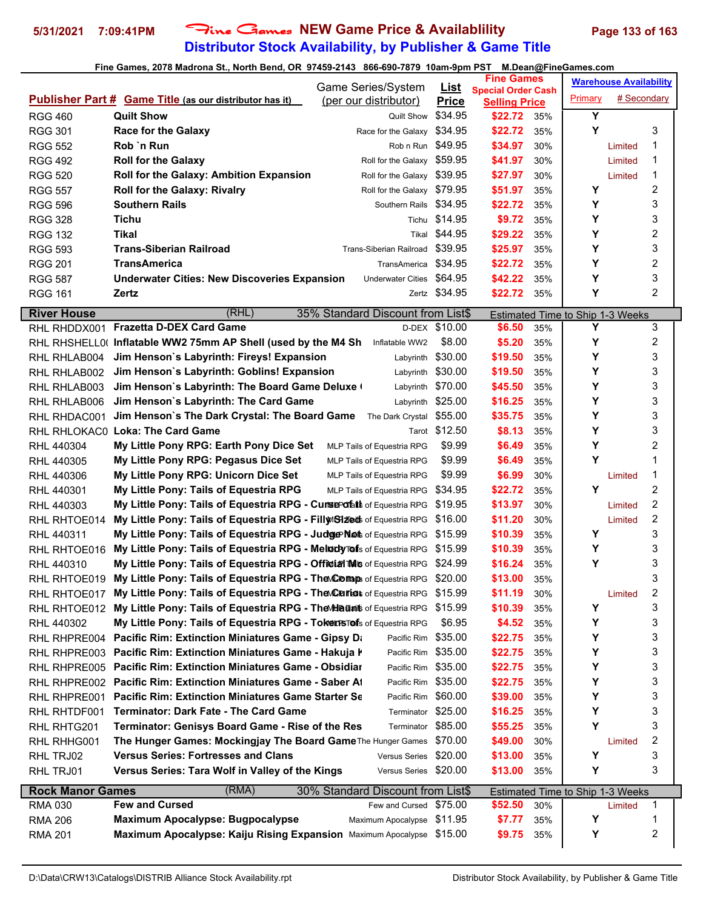## **Distributor Stock Availability, by Publisher & Game Title 5/31/2021 7:09:41PM** Fine Games **NEW Game Price & Availablility Page 133 of 163**

|                          |                                                                                                            | <b>Game Series/System</b>                                | <b>List</b>             | <b>Fine Games</b>                |            |         | <b>Warehouse Availability</b> |        |
|--------------------------|------------------------------------------------------------------------------------------------------------|----------------------------------------------------------|-------------------------|----------------------------------|------------|---------|-------------------------------|--------|
|                          | <b>Publisher Part # Game Title (as our distributor has it)</b>                                             | (per our distributor)                                    | <b>Price</b>            | <b>Special Order Cash</b>        |            | Primary | # Secondary                   |        |
| <b>RGG 460</b>           | <b>Quilt Show</b>                                                                                          | <b>Quilt Show</b>                                        | \$34.95                 | <b>Selling Price</b><br>\$22.72  | 35%        | Υ       |                               |        |
| <b>RGG 301</b>           | <b>Race for the Galaxy</b>                                                                                 | Race for the Galaxy                                      | \$34.95                 | \$22.72                          | 35%        | Y       |                               | 3      |
| <b>RGG 552</b>           | Rob `n Run                                                                                                 | Rob n Run                                                | \$49.95                 | \$34.97                          | 30%        |         | Limited                       | 1      |
| <b>RGG 492</b>           | <b>Roll for the Galaxy</b>                                                                                 | Roll for the Galaxy                                      | \$59.95                 | \$41.97                          | 30%        |         | Limited                       | 1      |
| <b>RGG 520</b>           | Roll for the Galaxy: Ambition Expansion                                                                    | Roll for the Galaxy                                      | \$39.95                 | \$27.97                          | 30%        |         | Limited                       | 1      |
| <b>RGG 557</b>           | <b>Roll for the Galaxy: Rivalry</b>                                                                        | Roll for the Galaxy \$79.95                              |                         | \$51.97                          | 35%        | Y       |                               | 2      |
| <b>RGG 596</b>           | <b>Southern Rails</b>                                                                                      | Southern Rails                                           | \$34.95                 | \$22.72                          | 35%        | Y       |                               | 3      |
| <b>RGG 328</b>           | Tichu                                                                                                      | Tichu                                                    | \$14.95                 | \$9.72                           | 35%        | Y       |                               | 3      |
| <b>RGG 132</b>           | Tikal                                                                                                      | Tikal                                                    | \$44.95                 | \$29.22                          | 35%        | Y       |                               | 2      |
| <b>RGG 593</b>           | <b>Trans-Siberian Railroad</b>                                                                             | Trans-Siberian Railroad                                  | \$39.95                 | \$25.97                          | 35%        | Y       |                               | 3      |
| <b>RGG 201</b>           | <b>TransAmerica</b>                                                                                        | <b>TransAmerica</b>                                      | \$34.95                 | \$22.72                          | 35%        | Y       |                               | 2      |
| <b>RGG 587</b>           | <b>Underwater Cities: New Discoveries Expansion</b>                                                        | <b>Underwater Cities</b>                                 | \$64.95                 | \$42.22                          | 35%        | Y       |                               | 3      |
| <b>RGG 161</b>           | Zertz                                                                                                      |                                                          | Zertz \$34.95           | \$22.72                          | 35%        | Y       |                               | 2      |
|                          |                                                                                                            |                                                          |                         |                                  |            |         |                               |        |
| <b>River House</b>       | (RHL)                                                                                                      | 35% Standard Discount from List\$                        |                         | Estimated Time to Ship 1-3 Weeks |            |         |                               |        |
| RHL RHDDX001             | <b>Frazetta D-DEX Card Game</b>                                                                            |                                                          | D-DEX \$10.00<br>\$8.00 | \$6.50                           | 35%        | Y<br>Y  |                               | 3<br>2 |
| RHL RHLAB004             | RHL RHSHELL0( Inflatable WW2 75mm AP Shell (used by the M4 Sh<br>Jim Henson's Labyrinth: Fireys! Expansion | Inflatable WW2<br>Labyrinth                              | \$30.00                 | \$5.20<br>\$19.50                | 35%<br>35% | Y       |                               | 3      |
|                          | Jim Henson's Labyrinth: Goblins! Expansion                                                                 |                                                          | \$30.00                 |                                  |            | Y       |                               | 3      |
| RHL RHLAB002             | Jim Henson's Labyrinth: The Board Game Deluxe (                                                            | Labyrinth                                                | \$70.00                 | \$19.50                          | 35%        | Υ       |                               | 3      |
| RHL RHLAB003             | Jim Henson's Labyrinth: The Card Game                                                                      | Labyrinth                                                | \$25.00                 | \$45.50                          | 35%        | Y       |                               | 3      |
| RHL RHLAB006             |                                                                                                            | Labyrinth                                                | \$55.00                 | \$16.25<br>\$35.75               | 35%        | Y       |                               | 3      |
| RHL RHDAC001             | Jim Henson's The Dark Crystal: The Board Game<br>RHL RHLOKAC0 Loka: The Card Game                          | The Dark Crystal                                         | Tarot \$12.50           |                                  | 35%<br>35% | Y       |                               | 3      |
|                          |                                                                                                            |                                                          | \$9.99                  | \$8.13                           |            | Y       |                               | 2      |
| RHL 440304               | My Little Pony RPG: Earth Pony Dice Set<br>My Little Pony RPG: Pegasus Dice Set                            | MLP Tails of Equestria RPG<br>MLP Tails of Equestria RPG | \$9.99                  | \$6.49<br>\$6.49                 | 35%<br>35% | Υ       |                               | 1      |
| RHL 440305               | My Little Pony RPG: Unicorn Dice Set                                                                       |                                                          | \$9.99                  | \$6.99                           | 30%        |         |                               | 1      |
| RHL 440306<br>RHL 440301 | My Little Pony: Tails of Equestria RPG                                                                     | MLP Tails of Equestria RPG<br>MLP Tails of Equestria RPG | \$34.95                 | \$22.72                          | 35%        | Y       | Limited                       | 2      |
| RHL 440303               | My Little Pony: Tails of Equestria RPG - Curse of at of Equestria RPG                                      |                                                          | \$19.95                 | \$13.97                          | 30%        |         |                               | 2      |
| RHL RHTOE014             | My Little Pony: Tails of Equestria RPG - Filly Sized of Equestria RPG                                      |                                                          | \$16.00                 | \$11.20                          | 30%        |         | Limited<br>Limited            | 2      |
| RHL 440311               | My Little Pony: Tails of Equestria RPG - Judge Not of Equestria RPG                                        |                                                          | \$15.99                 | \$10.39                          | 35%        | Y       |                               | 3      |
| RHL RHTOE016             | My Little Pony: Tails of Equestria RPG - MeloclyTefs of Equestria RPG                                      |                                                          | \$15.99                 | \$10.39                          | 35%        | Υ       |                               | 3      |
| RHL 440310               | My Little Pony: Tails of Equestria RPG - Official Mis of Equestria RPG                                     |                                                          | \$24.99                 | \$16.24                          | 35%        | Y       |                               | 3      |
| RHL RHTOE019             | My Little Pony: Tails of Equestria RPG - The Comp of Equestria RPG                                         |                                                          | \$20.00                 | \$13.00                          | 35%        |         |                               | 3      |
| RHL RHTOE017             | My Little Pony: Tails of Equestria RPG - The Curiot of Equestria RPG                                       |                                                          | \$15.99                 | \$11.19                          | 30%        |         | Limited                       | 2      |
| RHL RHTOE012             | My Little Pony: Tails of Equestria RPG - The Maunt of Equestria RPG                                        |                                                          | \$15.99                 | \$10.39                          | 35%        | Y       |                               | 3      |
| RHL 440302               | My Little Pony: Tails of Equestria RPG - TokersTefs of Equestria RPG                                       |                                                          | \$6.95                  | \$4.52                           | 35%        | Y       |                               | 3      |
| RHL RHPRE004             | Pacific Rim: Extinction Miniatures Game - Gipsy Da                                                         | Pacific Rim \$35.00                                      |                         | \$22.75                          | 35%        | Y       |                               | 3      |
| RHL RHPRE003             | Pacific Rim: Extinction Miniatures Game - Hakuja K                                                         | Pacific Rim                                              | \$35.00                 | \$22.75                          | 35%        | Y       |                               | 3      |
| RHL RHPRE005             | <b>Pacific Rim: Extinction Miniatures Game - Obsidiar</b>                                                  | Pacific Rim                                              | \$35.00                 | \$22.75                          | 35%        | Y       |                               | 3      |
| RHL RHPRE002             | <b>Pacific Rim: Extinction Miniatures Game - Saber At</b>                                                  | Pacific Rim \$35.00                                      |                         | \$22.75                          | 35%        | Y       |                               | 3      |
| RHL RHPRE001             | <b>Pacific Rim: Extinction Miniatures Game Starter Se</b>                                                  | Pacific Rim                                              | \$60.00                 | \$39.00                          | 35%        | Υ       |                               | 3      |
| RHL RHTDF001             | <b>Terminator: Dark Fate - The Card Game</b>                                                               | Terminator                                               | \$25.00                 | \$16.25                          | 35%        | Y       |                               | 3      |
| RHL RHTG201              | Terminator: Genisys Board Game - Rise of the Res                                                           | Terminator \$85.00                                       |                         | \$55.25                          | 35%        | Y       |                               | 3      |
| RHL RHHG001              | The Hunger Games: Mockingjay The Board Game The Hunger Games                                               |                                                          | \$70.00                 | \$49.00                          | 30%        |         | Limited                       | 2      |
| RHL TRJ02                | <b>Versus Series: Fortresses and Clans</b>                                                                 | <b>Versus Series</b>                                     | \$20.00                 | \$13.00                          | 35%        | Y       |                               | 3      |
| RHL TRJ01                | Versus Series: Tara Wolf in Valley of the Kings                                                            | Versus Series \$20.00                                    |                         | \$13.00                          | 35%        | Y       |                               | 3      |
|                          |                                                                                                            |                                                          |                         |                                  |            |         |                               |        |
| <b>Rock Manor Games</b>  | (RMA)<br><b>Few and Cursed</b>                                                                             | 30% Standard Discount from List\$<br>Few and Cursed      | \$75.00                 | Estimated Time to Ship 1-3 Weeks |            |         |                               |        |
| <b>RMA 030</b>           |                                                                                                            |                                                          |                         | \$52.50                          | 30%        |         | Limited                       | 1      |
| <b>RMA 206</b>           | <b>Maximum Apocalypse: Bugpocalypse</b>                                                                    | Maximum Apocalypse                                       | \$11.95                 | \$7.77                           | 35%        | Υ       |                               | 1      |
| <b>RMA 201</b>           | Maximum Apocalypse: Kaiju Rising Expansion Maximum Apocalypse \$15.00                                      |                                                          |                         | \$9.75                           | 35%        | Y       |                               | 2      |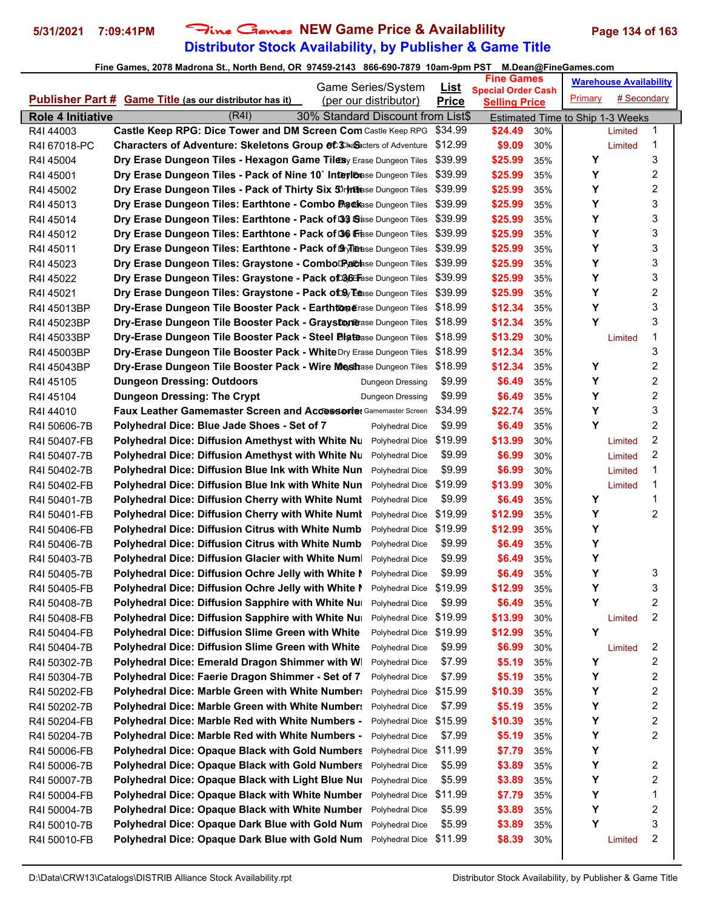# **Distributor Stock Availability, by Publisher & Game Title 5/31/2021 7:09:41PM** Fine Games **NEW Game Price & Availablility Page 134 of 163**

|                              | Game Series/System                                                               |                                    |                             | <b>Fine Games</b>                                 |            |                                  | <b>Warehouse Availability</b> |   |  |
|------------------------------|----------------------------------------------------------------------------------|------------------------------------|-----------------------------|---------------------------------------------------|------------|----------------------------------|-------------------------------|---|--|
|                              | Publisher Part # Game Title (as our distributor has it)<br>(per our distributor) |                                    | <u>List</u><br><b>Price</b> | <b>Special Order Cash</b><br><b>Selling Price</b> |            | Primary                          | # Secondary                   |   |  |
| <b>Role 4 Initiative</b>     | (R4I)<br>30% Standard Discount from List\$                                       |                                    |                             |                                                   |            |                                  |                               |   |  |
| R4I 44003                    | Castle Keep RPG: Dice Tower and DM Screen Com Castle Keep RPG                    |                                    | \$34.99                     | \$24.49                                           | 30%        | Estimated Time to Ship 1-3 Weeks | Limited                       | 1 |  |
| R4I 67018-PC                 | <b>Characters of Adventure: Skeletons Group of Chalacters of Adventure</b>       |                                    | \$12.99                     | \$9.09                                            | 30%        |                                  | Limited                       | 1 |  |
| R4I 45004                    | Dry Erase Dungeon Tiles - Hexagon Game Tilesy Erase Dungeon Tiles                |                                    | \$39.99                     | \$25.99                                           | 35%        | Υ                                |                               | 3 |  |
| R4I 45001                    | Dry Erase Dungeon Tiles - Pack of Nine 10` Inteylbase Dungeon Tiles              |                                    | \$39.99                     | \$25.99                                           | 35%        | Y                                |                               | 2 |  |
| R4I 45002                    | Dry Erase Dungeon Tiles - Pack of Thirty Six 5 ryndese Dungeon Tiles             |                                    | \$39.99                     | \$25.99                                           | 35%        | Υ                                |                               | 2 |  |
| R4I 45013                    | Dry Erase Dungeon Tiles: Earthtone - Combo Packase Dungeon Tiles                 |                                    | \$39.99                     | \$25.99                                           | 35%        | Υ                                |                               | 3 |  |
| R4I 45014                    | Dry Erase Dungeon Tiles: Earthtone - Pack of 33 Sase Dungeon Tiles               |                                    | \$39.99                     | \$25.99                                           | 35%        | Y                                |                               | 3 |  |
| R4I 45012                    | Dry Erase Dungeon Tiles: Earthtone - Pack of 36 Frase Dungeon Tiles              |                                    | \$39.99                     | \$25.99                                           | 35%        | Υ                                |                               | 3 |  |
| R4I 45011                    | Dry Erase Dungeon Tiles: Earthtone - Pack of Sylense Dungeon Tiles               |                                    | \$39.99                     | \$25.99                                           | 35%        | Υ                                |                               | 3 |  |
| R4I 45023                    | Dry Erase Dungeon Tiles: Graystone - Combol Pachse Dungeon Tiles                 |                                    | \$39.99                     | \$25.99                                           | 35%        | Υ                                |                               | 3 |  |
| R4I 45022                    | Dry Erase Dungeon Tiles: Graystone - Pack of 036 Erase Dungeon Tiles             |                                    | \$39.99                     | \$25.99                                           | 35%        | Υ                                |                               | 3 |  |
| R4I 45021                    | Dry Erase Dungeon Tiles: Graystone - Pack of Day Eease Dungeon Tiles             |                                    | \$39.99                     | \$25.99                                           | 35%        | Υ                                |                               | 2 |  |
| R4I 45013BP                  | Dry-Erase Dungeon Tile Booster Pack - Earthtomerase Dungeon Tiles                |                                    | \$18.99                     | \$12.34                                           | 35%        | Υ                                |                               | 3 |  |
| R4I 45023BP                  | Dry-Erase Dungeon Tile Booster Pack - Graystone ase Dungeon Tiles                |                                    | \$18.99                     | \$12.34                                           | 35%        | Υ                                |                               | 3 |  |
| R4I 45033BP                  | Dry-Erase Dungeon Tile Booster Pack - Steel Diatease Dungeon Tiles               |                                    | \$18.99                     | \$13.29                                           | 30%        |                                  | Limited                       | 1 |  |
| R4I 45003BP                  | Dry-Erase Dungeon Tile Booster Pack - White Dry Erase Dungeon Tiles              |                                    | \$18.99                     | \$12.34                                           | 35%        |                                  |                               | 3 |  |
| R4I 45043BP                  | Dry-Erase Dungeon Tile Booster Pack - Wire Mesthase Dungeon Tiles                |                                    | \$18.99                     | \$12.34                                           | 35%        | Y                                |                               | 2 |  |
| R4I 45105                    | <b>Dungeon Dressing: Outdoors</b>                                                | Dungeon Dressing                   | \$9.99                      | \$6.49                                            | 35%        | Υ                                |                               | 2 |  |
| R4I 45104                    | <b>Dungeon Dressing: The Crypt</b>                                               | <b>Dungeon Dressing</b>            | \$9.99                      | \$6.49                                            | 35%        | Υ                                |                               | 2 |  |
| R4I 44010                    | <b>Faux Leather Gamemaster Screen and Accessorie: Gamemaster Screen</b>          |                                    | \$34.99                     | \$22.74                                           | 35%        | Υ                                |                               | 3 |  |
| R4I 50606-7B                 | Polyhedral Dice: Blue Jade Shoes - Set of 7                                      | Polyhedral Dice                    | \$9.99                      | \$6.49                                            | 35%        | Υ                                |                               | 2 |  |
| R4I 50407-FB                 | <b>Polyhedral Dice: Diffusion Amethyst with White Nu</b>                         | Polyhedral Dice                    | \$19.99                     | \$13.99                                           | 30%        |                                  | Limited                       | 2 |  |
| R4I 50407-7B                 | <b>Polyhedral Dice: Diffusion Amethyst with White Nu</b>                         | Polyhedral Dice                    | \$9.99                      | \$6.99                                            | 30%        |                                  | Limited                       | 2 |  |
| R4I 50402-7B                 | Polyhedral Dice: Diffusion Blue Ink with White Nun                               | Polyhedral Dice                    | \$9.99                      | \$6.99                                            | 30%        |                                  | Limited                       | 1 |  |
| R4I 50402-FB                 | Polyhedral Dice: Diffusion Blue Ink with White Nun                               | Polyhedral Dice                    | \$19.99                     | \$13.99                                           | 30%        |                                  | Limited                       | 1 |  |
| R4I 50401-7B                 | <b>Polyhedral Dice: Diffusion Cherry with White Numl</b>                         | Polyhedral Dice                    | \$9.99                      | \$6.49                                            | 35%        | Υ                                |                               | 1 |  |
| R4I 50401-FB                 | <b>Polyhedral Dice: Diffusion Cherry with White Numl</b>                         | Polyhedral Dice                    | \$19.99                     | \$12.99                                           | 35%        | Y                                |                               | 2 |  |
| R4I 50406-FB                 | <b>Polyhedral Dice: Diffusion Citrus with White Numb</b>                         | Polyhedral Dice                    | \$19.99                     | \$12.99                                           | 35%        | Υ                                |                               |   |  |
| R4I 50406-7B                 | <b>Polyhedral Dice: Diffusion Citrus with White Numb</b>                         | Polyhedral Dice                    | \$9.99                      | \$6.49                                            | 35%        | Υ                                |                               |   |  |
| R4I 50403-7B                 | Polyhedral Dice: Diffusion Glacier with White Num                                | Polyhedral Dice                    | \$9.99                      | \$6.49                                            | 35%        | Υ                                |                               |   |  |
| R4I 50405-7B                 | Polyhedral Dice: Diffusion Ochre Jelly with White N                              | Polyhedral Dice                    | \$9.99                      | \$6.49                                            | 35%        | Υ                                |                               | 3 |  |
| R4I 50405-FB                 | Polyhedral Dice: Diffusion Ochre Jelly with White I                              | Polyhedral Dice                    | \$19.99                     | \$12.99                                           | 35%        | Y                                |                               | 3 |  |
| R4I 50408-7B                 | Polyhedral Dice: Diffusion Sapphire with White Nu                                | Polyhedral Dice                    | \$9.99                      | \$6.49                                            | 35%        | Υ                                |                               | 2 |  |
| R4I 50408-FB                 | Polyhedral Dice: Diffusion Sapphire with White Nu                                | Polyhedral Dice                    | \$19.99                     | \$13.99                                           | 30%        |                                  | Limited                       | 2 |  |
| R4I 50404-FB                 | Polyhedral Dice: Diffusion Slime Green with White                                | Polyhedral Dice                    | \$19.99                     | \$12.99                                           | 35%        | Y                                |                               |   |  |
| R4I 50404-7B                 | <b>Polyhedral Dice: Diffusion Slime Green with White</b>                         | Polyhedral Dice                    | \$9.99                      | \$6.99                                            | 30%        |                                  | Limited                       | 2 |  |
| R4I 50302-7B                 | Polyhedral Dice: Emerald Dragon Shimmer with W                                   | Polyhedral Dice                    | \$7.99                      | \$5.19                                            | 35%        | Y                                |                               | 2 |  |
| R4I 50304-7B                 | Polyhedral Dice: Faerie Dragon Shimmer - Set of 7                                | Polyhedral Dice                    | \$7.99                      | \$5.19                                            | 35%        | Υ                                |                               | 2 |  |
| R4I 50202-FB                 | Polyhedral Dice: Marble Green with White Number:                                 | Polyhedral Dice                    | \$15.99                     | \$10.39                                           | 35%        | Υ                                |                               | 2 |  |
| R4I 50202-7B                 | <b>Polyhedral Dice: Marble Green with White Number:</b>                          | Polyhedral Dice                    | \$7.99                      | \$5.19                                            | 35%        | Y                                |                               | 2 |  |
| R4I 50204-FB                 | Polyhedral Dice: Marble Red with White Numbers -                                 | Polyhedral Dice                    | \$15.99                     | \$10.39                                           | 35%        | Υ                                |                               | 2 |  |
|                              | Polyhedral Dice: Marble Red with White Numbers -                                 | Polyhedral Dice                    | \$7.99                      | \$5.19                                            | 35%        | Υ                                |                               | 2 |  |
| R4I 50204-7B<br>R4I 50006-FB | <b>Polyhedral Dice: Opaque Black with Gold Numbers</b>                           | Polyhedral Dice                    | \$11.99                     | \$7.79                                            | 35%        | Υ                                |                               |   |  |
| R4I 50006-7B                 | <b>Polyhedral Dice: Opaque Black with Gold Numbers</b>                           | Polyhedral Dice                    | \$5.99                      | \$3.89                                            | 35%        | Υ                                |                               | 2 |  |
| R4I 50007-7B                 | Polyhedral Dice: Opaque Black with Light Blue Nur                                | Polyhedral Dice                    | \$5.99                      | \$3.89                                            | 35%        | Υ                                |                               | 2 |  |
| R4I 50004-FB                 | Polyhedral Dice: Opaque Black with White Number                                  | Polyhedral Dice                    | \$11.99                     | \$7.79                                            | 35%        | Υ                                |                               | 1 |  |
|                              | Polyhedral Dice: Opaque Black with White Number                                  |                                    | \$5.99                      | \$3.89                                            |            | Υ                                |                               | 2 |  |
| R4I 50004-7B                 | Polyhedral Dice: Opaque Dark Blue with Gold Num                                  | Polyhedral Dice<br>Polyhedral Dice | \$5.99                      | \$3.89                                            | 35%        | Υ                                |                               | 3 |  |
| R4I 50010-7B<br>R4I 50010-FB | Polyhedral Dice: Opaque Dark Blue with Gold Num                                  | Polyhedral Dice                    | \$11.99                     | \$8.39                                            | 35%<br>30% |                                  | Limited                       | 2 |  |
|                              |                                                                                  |                                    |                             |                                                   |            |                                  |                               |   |  |
|                              |                                                                                  |                                    |                             |                                                   |            |                                  |                               |   |  |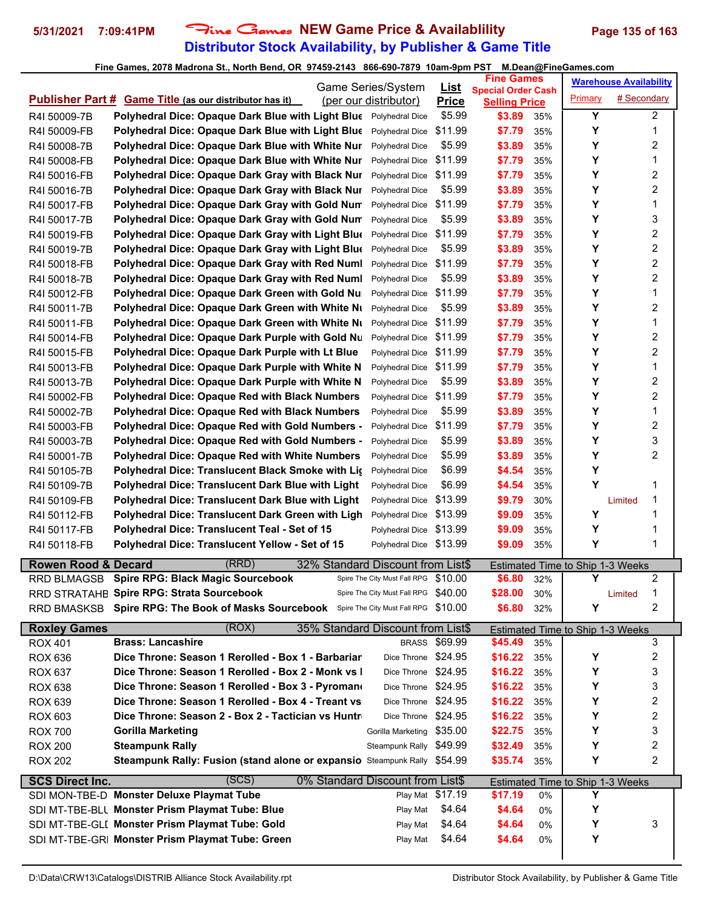## **Distributor Stock Availability, by Publisher & Game Title 5/31/2021 7:09:41PM** Fine Games **NEW Game Price & Availablility Page 135 of 163**

|                                  |                                                                                          | Game Series/System                   | <u>List</u>      | <b>Fine Games</b>                                 |     |         | <b>Warehouse Availability</b>           |                         |
|----------------------------------|------------------------------------------------------------------------------------------|--------------------------------------|------------------|---------------------------------------------------|-----|---------|-----------------------------------------|-------------------------|
|                                  | Publisher Part # Game Title (as our distributor has it)                                  | (per our distributor)                | <b>Price</b>     | <b>Special Order Cash</b><br><b>Selling Price</b> |     | Primary | # Secondary                             |                         |
| R4I 50009-7B                     | Polyhedral Dice: Opaque Dark Blue with Light Blue Polyhedral Dice                        |                                      | \$5.99           | \$3.89                                            | 35% | Y       |                                         | $\overline{2}$          |
| R4I 50009-FB                     | Polyhedral Dice: Opaque Dark Blue with Light Blue                                        | Polyhedral Dice                      | \$11.99          | \$7.79                                            | 35% | Υ       |                                         | 1                       |
| R4I 50008-7B                     | Polyhedral Dice: Opaque Dark Blue with White Nur                                         | Polyhedral Dice                      | \$5.99           | \$3.89                                            | 35% | Υ       |                                         | $\overline{\mathbf{c}}$ |
| R4I 50008-FB                     | Polyhedral Dice: Opaque Dark Blue with White Nur                                         | Polyhedral Dice                      | \$11.99          | \$7.79                                            | 35% | Υ       |                                         | 1                       |
| R4I 50016-FB                     | Polyhedral Dice: Opaque Dark Gray with Black Nur                                         | Polyhedral Dice                      | \$11.99          | \$7.79                                            | 35% | Y       |                                         | 2                       |
| R4I 50016-7B                     | Polyhedral Dice: Opaque Dark Gray with Black Nur                                         | Polyhedral Dice                      | \$5.99           | \$3.89                                            | 35% | Y       |                                         | 2                       |
| R4I 50017-FB                     | Polyhedral Dice: Opaque Dark Gray with Gold Num                                          | Polyhedral Dice                      | \$11.99          | \$7.79                                            | 35% | Y       |                                         | 1                       |
| R4I 50017-7B                     | Polyhedral Dice: Opaque Dark Gray with Gold Num                                          | Polyhedral Dice                      | \$5.99           | \$3.89                                            | 35% | Υ       |                                         | 3                       |
| R4I 50019-FB                     | Polyhedral Dice: Opaque Dark Gray with Light Blue                                        | Polyhedral Dice                      | \$11.99          | \$7.79                                            | 35% | Υ       |                                         | 2                       |
| R4I 50019-7B                     | Polyhedral Dice: Opaque Dark Gray with Light Blue                                        | Polyhedral Dice                      | \$5.99           | \$3.89                                            | 35% | Y       |                                         | $\overline{c}$          |
| R4I 50018-FB                     | Polyhedral Dice: Opaque Dark Gray with Red Numl                                          | Polyhedral Dice                      | \$11.99          | \$7.79                                            | 35% | Υ       |                                         | 2                       |
| R4I 50018-7B                     | Polyhedral Dice: Opaque Dark Gray with Red Numl                                          | Polyhedral Dice                      | \$5.99           | \$3.89                                            | 35% | Y       |                                         | 2                       |
| R4I 50012-FB                     | Polyhedral Dice: Opaque Dark Green with Gold Nu                                          | Polyhedral Dice                      | \$11.99          | \$7.79                                            | 35% | Υ       |                                         | 1                       |
| R4I 50011-7B                     | Polyhedral Dice: Opaque Dark Green with White Ni                                         | Polyhedral Dice                      | \$5.99           | \$3.89                                            | 35% | Y       |                                         | 2                       |
| R4I 50011-FB                     | Polyhedral Dice: Opaque Dark Green with White Nu                                         | Polyhedral Dice                      | \$11.99          | \$7.79                                            | 35% | Υ       |                                         | 1                       |
| R4I 50014-FB                     | Polyhedral Dice: Opaque Dark Purple with Gold Nu                                         | Polyhedral Dice                      | \$11.99          | \$7.79                                            | 35% | Υ       |                                         | 2                       |
| R4I 50015-FB                     | Polyhedral Dice: Opaque Dark Purple with Lt Blue                                         | Polyhedral Dice                      | \$11.99          | \$7.79                                            | 35% | Y       |                                         | $\overline{c}$          |
| R4I 50013-FB                     | Polyhedral Dice: Opaque Dark Purple with White N                                         | Polyhedral Dice                      | \$11.99          | \$7.79                                            | 35% | Υ       |                                         | 1                       |
| R4I 50013-7B                     | Polyhedral Dice: Opaque Dark Purple with White N                                         | Polyhedral Dice                      | \$5.99           | \$3.89                                            | 35% | Y       |                                         | 2                       |
| R4I 50002-FB                     | <b>Polyhedral Dice: Opaque Red with Black Numbers</b>                                    | Polyhedral Dice                      | \$11.99          | \$7.79                                            | 35% | Υ       |                                         | 2                       |
| R4I 50002-7B                     | Polyhedral Dice: Opaque Red with Black Numbers                                           | Polyhedral Dice                      | \$5.99           | \$3.89                                            | 35% | Y       |                                         | 1                       |
| R4I 50003-FB                     | Polyhedral Dice: Opaque Red with Gold Numbers -                                          | Polyhedral Dice                      | \$11.99          | \$7.79                                            | 35% | Υ       |                                         | $\overline{c}$          |
| R4I 50003-7B                     | <b>Polyhedral Dice: Opaque Red with Gold Numbers -</b>                                   | Polyhedral Dice                      | \$5.99           | \$3.89                                            | 35% | Υ       |                                         | 3                       |
| R4I 50001-7B                     | <b>Polyhedral Dice: Opaque Red with White Numbers</b>                                    | Polyhedral Dice                      | \$5.99           | \$3.89                                            | 35% | Υ       |                                         | 2                       |
| R4I 50105-7B                     | Polyhedral Dice: Translucent Black Smoke with Lig                                        | Polyhedral Dice                      | \$6.99           | \$4.54                                            | 35% | Υ       |                                         |                         |
| R4I 50109-7B                     | Polyhedral Dice: Translucent Dark Blue with Light                                        | Polyhedral Dice                      | \$6.99           | \$4.54                                            | 35% | Υ       |                                         | 1                       |
| R4I 50109-FB                     | Polyhedral Dice: Translucent Dark Blue with Light                                        | Polyhedral Dice                      | \$13.99          | \$9.79                                            | 30% |         | Limited                                 | 1                       |
| R4I 50112-FB                     | Polyhedral Dice: Translucent Dark Green with Ligh                                        | Polyhedral Dice                      | \$13.99          | \$9.09                                            | 35% | Υ       |                                         | 1                       |
| R4I 50117-FB                     | Polyhedral Dice: Translucent Teal - Set of 15                                            | Polyhedral Dice                      | \$13.99          | \$9.09                                            | 35% | Υ       |                                         | 1                       |
| R4I 50118-FB                     | Polyhedral Dice: Translucent Yellow - Set of 15                                          | Polyhedral Dice \$13.99              |                  | \$9.09                                            | 35% | Y       |                                         | 1                       |
| <b>Rowen Rood &amp; Decard</b>   | (RRD)<br>32% Standard Discount from List\$                                               |                                      |                  |                                                   |     |         | <b>Estimated Time to Ship 1-3 Weeks</b> |                         |
|                                  | RRD BLMAGSB Spire RPG: Black Magic Sourcebook                                            | Spire The City Must Fall RPG \$10.00 |                  | \$6.80                                            | 32% | Υ       |                                         | 2                       |
|                                  | RRD STRATAHE Spire RPG: Strata Sourcebook                                                | Spire The City Must Fall RPG \$40.00 |                  | \$28.00                                           | 30% |         | Limited                                 | 1                       |
|                                  | RRD BMASKSB Spire RPG: The Book of Masks Sourcebook Spire The City Must Fall RPG \$10.00 |                                      |                  | \$6.80                                            | 32% | Y       |                                         | 2                       |
|                                  | (ROX)                                                                                    |                                      |                  |                                                   |     |         |                                         |                         |
| <b>Roxley Games</b>              | 35% Standard Discount from List\$<br><b>Brass: Lancashire</b>                            |                                      | BRASS \$69.99    | \$45.49                                           | 35% |         | Estimated Time to Ship 1-3 Weeks        | 3                       |
| <b>ROX 401</b><br><b>ROX 636</b> | Dice Throne: Season 1 Rerolled - Box 1 - Barbariar                                       | Dice Throne                          | \$24.95          | \$16.22                                           | 35% | Υ       |                                         | 2                       |
| <b>ROX 637</b>                   | Dice Throne: Season 1 Rerolled - Box 2 - Monk vs I                                       | Dice Throne \$24.95                  |                  | \$16.22                                           | 35% | Υ       |                                         | 3                       |
| <b>ROX 638</b>                   | Dice Throne: Season 1 Rerolled - Box 3 - Pyromano                                        | Dice Throne \$24.95                  |                  | \$16.22                                           | 35% | Υ       |                                         | 3                       |
| <b>ROX 639</b>                   | Dice Throne: Season 1 Rerolled - Box 4 - Treant vs                                       | Dice Throne \$24.95                  |                  | \$16.22                                           | 35% | Υ       |                                         | 2                       |
| <b>ROX 603</b>                   | Dice Throne: Season 2 - Box 2 - Tactician vs Huntr                                       | Dice Throne \$24.95                  |                  | \$16.22                                           | 35% | Υ       |                                         | $\boldsymbol{2}$        |
| <b>ROX 700</b>                   | <b>Gorilla Marketing</b>                                                                 | Gorilla Marketing                    | \$35.00          | \$22.75                                           | 35% | Υ       |                                         | 3                       |
|                                  | <b>Steampunk Rally</b>                                                                   | Steampunk Rally \$49.99              |                  | \$32.49                                           | 35% | Υ       |                                         | 2                       |
| <b>ROX 200</b><br><b>ROX 202</b> | Steampunk Rally: Fusion (stand alone or expansio Steampunk Rally \$54.99                 |                                      |                  | \$35.74                                           | 35% | Υ       |                                         | 2                       |
|                                  |                                                                                          |                                      |                  |                                                   |     |         |                                         |                         |
| <b>SCS Direct Inc.</b>           | (SCS)<br>0% Standard Discount from List\$                                                |                                      |                  |                                                   |     |         | <b>Estimated Time to Ship 1-3 Weeks</b> |                         |
|                                  | SDI MON-TBE-D Monster Deluxe Playmat Tube                                                |                                      | Play Mat \$17.19 | \$17.19                                           | 0%  | Υ       |                                         |                         |
|                                  | SDI MT-TBE-BLL Monster Prism Playmat Tube: Blue                                          | Play Mat                             | \$4.64           | \$4.64                                            | 0%  | Υ       |                                         |                         |
|                                  | SDI MT-TBE-GLI Monster Prism Playmat Tube: Gold                                          | Play Mat                             | \$4.64           | \$4.64                                            | 0%  | Υ       |                                         | 3                       |
|                                  | SDI MT-TBE-GRI Monster Prism Playmat Tube: Green                                         | Play Mat                             | \$4.64           | \$4.64                                            | 0%  | Υ       |                                         |                         |
|                                  |                                                                                          |                                      |                  |                                                   |     |         |                                         |                         |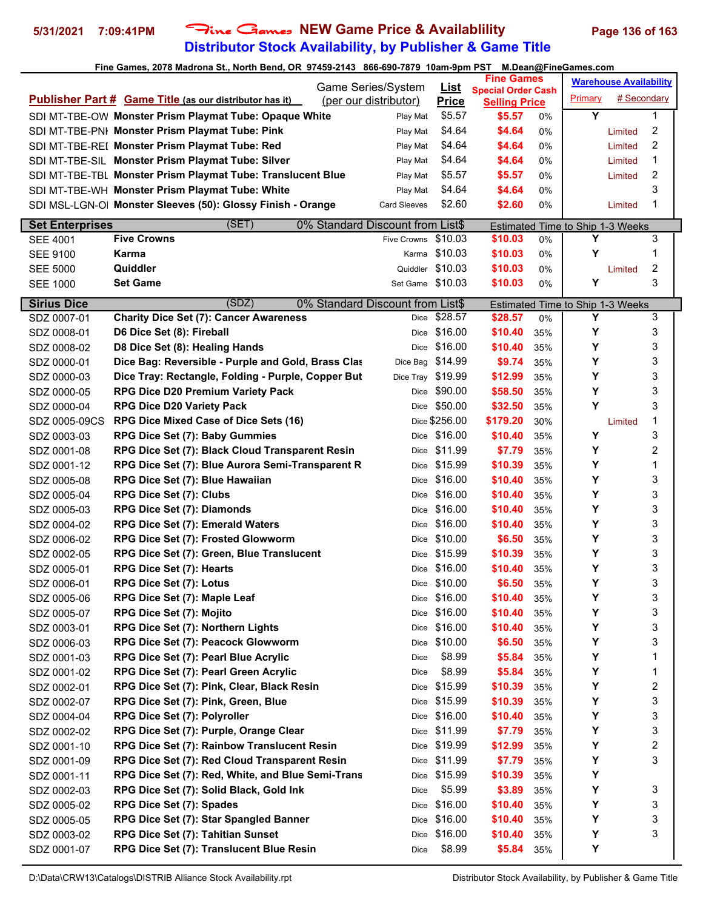## **Distributor Stock Availability, by Publisher & Game Title 5/31/2021 7:09:41PM** Fine Games **NEW Game Price & Availablility Page 136 of 163**

| Game Series/System     |                                                                |                                  | <u>List</u>   | <b>Fine Games</b>                                 |       |                                         | <b>Warehouse Availability</b> |                |
|------------------------|----------------------------------------------------------------|----------------------------------|---------------|---------------------------------------------------|-------|-----------------------------------------|-------------------------------|----------------|
|                        | <b>Publisher Part # Game Title (as our distributor has it)</b> | (per our distributor)            | <b>Price</b>  | <b>Special Order Cash</b><br><b>Selling Price</b> |       | Primary                                 | # Secondary                   |                |
|                        | SDI MT-TBE-OW Monster Prism Playmat Tube: Opaque White         | Play Mat                         | \$5.57        | \$5.57                                            | $0\%$ | Y                                       |                               | 1              |
|                        | SDI MT-TBE-PNI Monster Prism Playmat Tube: Pink                | Play Mat                         | \$4.64        | \$4.64                                            | 0%    |                                         | Limited                       | 2              |
|                        | SDI MT-TBE-REI Monster Prism Playmat Tube: Red                 | Play Mat                         | \$4.64        | \$4.64                                            | 0%    |                                         | Limited                       | 2              |
|                        | SDI MT-TBE-SIL Monster Prism Playmat Tube: Silver              | Play Mat                         | \$4.64        | \$4.64                                            | 0%    |                                         | Limited                       | 1              |
|                        | SDI MT-TBE-TBL Monster Prism Playmat Tube: Translucent Blue    | Play Mat                         | \$5.57        | \$5.57                                            | 0%    |                                         | Limited                       | 2              |
|                        | SDI MT-TBE-WH Monster Prism Playmat Tube: White                | Play Mat                         | \$4.64        | \$4.64                                            | 0%    |                                         |                               | 3              |
|                        | SDI MSL-LGN-O  Monster Sleeves (50): Glossy Finish - Orange    | <b>Card Sleeves</b>              | \$2.60        | \$2.60                                            | 0%    |                                         | Limited                       | 1              |
| <b>Set Enterprises</b> | (SET)                                                          | 0% Standard Discount from List\$ |               |                                                   |       | <b>Estimated Time to Ship 1-3 Weeks</b> |                               |                |
| <b>SEE 4001</b>        | <b>Five Crowns</b>                                             | Five Crowns \$10.03              |               | \$10.03                                           | 0%    | Y                                       |                               | 3              |
| <b>SEE 9100</b>        | Karma                                                          |                                  | Karma \$10.03 | \$10.03                                           | 0%    | Υ                                       |                               | 1              |
| <b>SEE 5000</b>        | Quiddler                                                       | Quiddler                         | \$10.03       | \$10.03                                           | 0%    |                                         | Limited                       | $\overline{c}$ |
| <b>SEE 1000</b>        | <b>Set Game</b>                                                | Set Game \$10.03                 |               | \$10.03                                           | 0%    | Y                                       |                               | 3              |
| <b>Sirius Dice</b>     | (SDZ)                                                          | 0% Standard Discount from List\$ |               |                                                   |       | Estimated Time to Ship 1-3 Weeks        |                               |                |
| SDZ 0007-01            | <b>Charity Dice Set (7): Cancer Awareness</b>                  |                                  | Dice \$28.57  | \$28.57                                           | 0%    | Υ                                       |                               | 3              |
| SDZ 0008-01            | D6 Dice Set (8): Fireball                                      |                                  | Dice \$16.00  | \$10.40                                           | 35%   | Υ                                       |                               | 3              |
| SDZ 0008-02            | D8 Dice Set (8): Healing Hands                                 |                                  | Dice \$16.00  | \$10.40                                           | 35%   | Y                                       |                               | 3              |
| SDZ 0000-01            | Dice Bag: Reversible - Purple and Gold, Brass Clas             | Dice Bag \$14.99                 |               | \$9.74                                            | 35%   | Υ                                       |                               | 3              |
| SDZ 0000-03            | Dice Tray: Rectangle, Folding - Purple, Copper But             | Dice Tray \$19.99                |               | \$12.99                                           | 35%   | Y                                       |                               | 3              |
| SDZ 0000-05            | <b>RPG Dice D20 Premium Variety Pack</b>                       | Dice                             | \$90.00       | \$58.50                                           | 35%   | Υ                                       |                               | 3              |
| SDZ 0000-04            | <b>RPG Dice D20 Variety Pack</b>                               |                                  | Dice \$50.00  | \$32.50                                           | 35%   | Y                                       |                               | 3              |
| SDZ 0005-09CS          | RPG Dice Mixed Case of Dice Sets (16)                          |                                  | Dice \$256.00 | \$179.20                                          | 30%   |                                         | Limited                       | 1              |
| SDZ 0003-03            | RPG Dice Set (7): Baby Gummies                                 |                                  | Dice \$16.00  | \$10.40                                           | 35%   | Υ                                       |                               | 3              |
| SDZ 0001-08            | RPG Dice Set (7): Black Cloud Transparent Resin                |                                  | Dice \$11.99  | \$7.79                                            | 35%   | Υ                                       |                               | 2              |
| SDZ 0001-12            | RPG Dice Set (7): Blue Aurora Semi-Transparent R               |                                  | Dice \$15.99  | \$10.39                                           | 35%   | Υ                                       |                               | 1              |
| SDZ 0005-08            | RPG Dice Set (7): Blue Hawaiian                                |                                  | Dice \$16.00  | \$10.40                                           | 35%   | Y                                       |                               | 3              |
| SDZ 0005-04            | RPG Dice Set (7): Clubs                                        |                                  | Dice \$16.00  | \$10.40                                           | 35%   | Υ                                       |                               | 3              |
| SDZ 0005-03            | RPG Dice Set (7): Diamonds                                     |                                  | Dice \$16.00  | \$10.40                                           | 35%   | Υ                                       |                               | 3              |
| SDZ 0004-02            | RPG Dice Set (7): Emerald Waters                               |                                  | Dice \$16.00  | \$10.40                                           | 35%   | Y                                       |                               | 3              |
| SDZ 0006-02            | RPG Dice Set (7): Frosted Glowworm                             |                                  | Dice \$10.00  | \$6.50                                            | 35%   | Y                                       |                               | 3              |
| SDZ 0002-05            | RPG Dice Set (7): Green, Blue Translucent                      | Dice                             | \$15.99       | \$10.39                                           | 35%   | Υ                                       |                               | 3              |
| SDZ 0005-01            | <b>RPG Dice Set (7): Hearts</b>                                |                                  | Dice \$16.00  | \$10.40                                           | 35%   | Υ                                       |                               | 3              |
| SDZ 0006-01            | RPG Dice Set (7): Lotus                                        |                                  | Dice \$10.00  | \$6.50                                            | 35%   | Y                                       |                               | 3              |
| SDZ 0005-06            | RPG Dice Set (7): Maple Leaf                                   | Dice                             | \$16.00       | \$10.40                                           | 35%   | Υ                                       |                               | 3              |
| SDZ 0005-07            | RPG Dice Set (7): Mojito                                       |                                  | Dice \$16.00  | \$10.40                                           | 35%   | Υ                                       |                               | 3              |
| SDZ 0003-01            | RPG Dice Set (7): Northern Lights                              | Dice                             | \$16.00       | \$10.40                                           | 35%   | Υ                                       |                               | 3              |
| SDZ 0006-03            | RPG Dice Set (7): Peacock Glowworm                             |                                  | Dice \$10.00  | \$6.50                                            | 35%   | Υ                                       |                               | 3              |
| SDZ 0001-03            | RPG Dice Set (7): Pearl Blue Acrylic                           | Dice                             | \$8.99        | \$5.84                                            | 35%   | Υ                                       |                               | 1              |
| SDZ 0001-02            | RPG Dice Set (7): Pearl Green Acrylic                          | Dice                             | \$8.99        | \$5.84                                            | 35%   | Υ                                       |                               | 1              |
| SDZ 0002-01            | RPG Dice Set (7): Pink, Clear, Black Resin                     |                                  | Dice \$15.99  | \$10.39                                           | 35%   | Υ                                       |                               | 2              |
| SDZ 0002-07            | RPG Dice Set (7): Pink, Green, Blue                            |                                  | Dice \$15.99  | \$10.39                                           | 35%   | Υ                                       |                               | 3              |
| SDZ 0004-04            | RPG Dice Set (7): Polyroller                                   |                                  | Dice \$16.00  | \$10.40                                           | 35%   | Y                                       |                               | 3              |
| SDZ 0002-02            | RPG Dice Set (7): Purple, Orange Clear                         |                                  | Dice \$11.99  | \$7.79                                            | 35%   | Υ                                       |                               | 3              |
| SDZ 0001-10            | RPG Dice Set (7): Rainbow Translucent Resin                    |                                  | Dice \$19.99  | \$12.99                                           | 35%   | Υ                                       |                               | 2              |
| SDZ 0001-09            | RPG Dice Set (7): Red Cloud Transparent Resin                  |                                  | Dice \$11.99  | \$7.79                                            | 35%   | Υ                                       |                               | 3              |
| SDZ 0001-11            | RPG Dice Set (7): Red, White, and Blue Semi-Trans              |                                  | Dice \$15.99  | \$10.39                                           | 35%   | Υ                                       |                               |                |
| SDZ 0002-03            | RPG Dice Set (7): Solid Black, Gold Ink                        | Dice                             | \$5.99        | \$3.89                                            | 35%   | Υ                                       |                               | 3              |
| SDZ 0005-02            | <b>RPG Dice Set (7): Spades</b>                                |                                  | Dice \$16.00  | \$10.40                                           | 35%   | Y                                       |                               | 3              |
| SDZ 0005-05            | RPG Dice Set (7): Star Spangled Banner                         |                                  | Dice \$16.00  | \$10.40                                           | 35%   | Y                                       |                               | 3              |
| SDZ 0003-02            | RPG Dice Set (7): Tahitian Sunset                              | Dice                             | \$16.00       | \$10.40                                           | 35%   | Υ                                       |                               | 3              |
| SDZ 0001-07            | RPG Dice Set (7): Translucent Blue Resin                       | Dice                             | \$8.99        | \$5.84                                            | 35%   | Υ                                       |                               |                |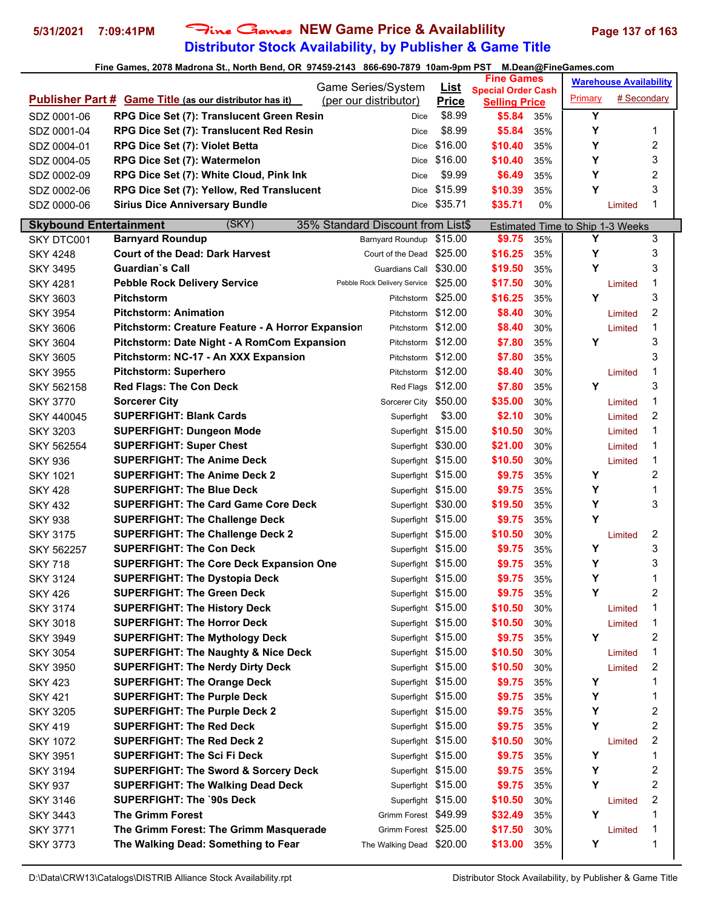# **Distributor Stock Availability, by Publisher & Game Title 5/31/2021 7:09:41PM** Fine Games **NEW Game Price & Availablility Page 137 of 163**

|                               |                                                                   | Game Series/System                |                                    |                             | <b>Fine Games</b>              |            |                                       | <b>Warehouse Availability</b> |                |
|-------------------------------|-------------------------------------------------------------------|-----------------------------------|------------------------------------|-----------------------------|--------------------------------|------------|---------------------------------------|-------------------------------|----------------|
|                               | <b>Publisher Part # Game Title (as our distributor has it)</b>    | (per our distributor)             |                                    | <u>List</u><br><b>Price</b> | <b>Special Order Cash</b>      |            | Primary                               | # Secondary                   |                |
| SDZ 0001-06                   | RPG Dice Set (7): Translucent Green Resin                         |                                   | Dice                               | \$8.99                      | <b>Selling Price</b><br>\$5.84 | 35%        | Υ                                     |                               |                |
| SDZ 0001-04                   | RPG Dice Set (7): Translucent Red Resin                           |                                   | <b>Dice</b>                        | \$8.99                      | \$5.84                         | 35%        | Υ                                     |                               | 1              |
| SDZ 0004-01                   | RPG Dice Set (7): Violet Betta                                    |                                   | Dice                               | \$16.00                     | \$10.40                        | 35%        | Y                                     |                               | 2              |
| SDZ 0004-05                   | RPG Dice Set (7): Watermelon                                      |                                   | <b>Dice</b>                        | \$16.00                     | \$10.40                        | 35%        | Y                                     |                               | 3              |
| SDZ 0002-09                   | RPG Dice Set (7): White Cloud, Pink Ink                           |                                   | Dice                               | \$9.99                      | \$6.49                         | 35%        | Y                                     |                               | 2              |
| SDZ 0002-06                   | RPG Dice Set (7): Yellow, Red Translucent                         |                                   | <b>Dice</b>                        | \$15.99                     | \$10.39                        | 35%        | Y                                     |                               | 3              |
| SDZ 0000-06                   | <b>Sirius Dice Anniversary Bundle</b>                             |                                   | Dice                               | \$35.71                     | \$35.71                        | 0%         |                                       | Limited                       | $\mathbf 1$    |
|                               |                                                                   |                                   |                                    |                             |                                |            |                                       |                               |                |
| <b>Skybound Entertainment</b> | (SKY)                                                             | 35% Standard Discount from List\$ |                                    |                             |                                |            | Estimated Time to Ship 1-3 Weeks<br>Y |                               |                |
| SKY DTC001                    | <b>Barnyard Roundup</b><br><b>Court of the Dead: Dark Harvest</b> |                                   | Barnyard Roundup                   | \$15.00                     | \$9.75<br>\$16.25              | 35%        | Υ                                     |                               | 3              |
| <b>SKY 4248</b>               |                                                                   |                                   | Court of the Dead                  | \$25.00                     |                                | 35%        | Y                                     |                               | 3<br>3         |
| <b>SKY 3495</b>               | Guardian`s Call                                                   |                                   | Guardians Call \$30.00             |                             | \$19.50                        | 35%        |                                       |                               | 1              |
| <b>SKY 4281</b>               | <b>Pebble Rock Delivery Service</b>                               | Pebble Rock Delivery Service      |                                    | \$25.00<br>\$25.00          | \$17.50                        | 30%        | Υ                                     | Limited                       | 3              |
| <b>SKY 3603</b>               | <b>Pitchstorm</b><br><b>Pitchstorm: Animation</b>                 |                                   | Pitchstorm                         | \$12.00                     | \$16.25<br>\$8.40              | 35%        |                                       |                               | 2              |
| <b>SKY 3954</b>               |                                                                   |                                   | Pitchstorm                         | \$12.00                     |                                | 30%        |                                       | Limited                       | 1              |
| <b>SKY 3606</b>               | Pitchstorm: Creature Feature - A Horror Expansion                 |                                   | Pitchstorm                         | \$12.00                     | \$8.40<br>\$7.80               | 30%        | Υ                                     | Limited                       | 3              |
| <b>SKY 3604</b>               | Pitchstorm: Date Night - A RomCom Expansion                       |                                   | Pitchstorm                         | \$12.00                     | \$7.80                         | 35%        |                                       |                               | 3              |
| <b>SKY 3605</b>               | Pitchstorm: NC-17 - An XXX Expansion                              |                                   | Pitchstorm                         | \$12.00                     |                                | 35%        |                                       |                               | 1              |
| <b>SKY 3955</b>               | <b>Pitchstorm: Superhero</b><br><b>Red Flags: The Con Deck</b>    |                                   | Pitchstorm                         | \$12.00                     | \$8.40<br>\$7.80               | 30%        | Y                                     | Limited                       | 3              |
| SKY 562158<br><b>SKY 3770</b> | <b>Sorcerer City</b>                                              |                                   | Red Flags<br>Sorcerer City \$50.00 |                             | \$35.00                        | 35%<br>30% |                                       |                               | 1              |
|                               | <b>SUPERFIGHT: Blank Cards</b>                                    |                                   |                                    | \$3.00                      | \$2.10                         | 30%        |                                       | Limited                       | 2              |
| SKY 440045                    |                                                                   |                                   | Superfight<br>Superfight \$15.00   |                             | \$10.50                        | 30%        |                                       | Limited                       | 1              |
| <b>SKY 3203</b><br>SKY 562554 | <b>SUPERFIGHT: Dungeon Mode</b><br><b>SUPERFIGHT: Super Chest</b> |                                   | Superfight \$30.00                 |                             | \$21.00                        | 30%        |                                       | Limited<br>Limited            | 1              |
| <b>SKY 936</b>                | <b>SUPERFIGHT: The Anime Deck</b>                                 |                                   | Superfight \$15.00                 |                             | \$10.50                        | 30%        |                                       | Limited                       | 1              |
| <b>SKY 1021</b>               | <b>SUPERFIGHT: The Anime Deck 2</b>                               |                                   | Superfight \$15.00                 |                             | \$9.75                         | 35%        | Υ                                     |                               | $\overline{c}$ |
| <b>SKY 428</b>                | <b>SUPERFIGHT: The Blue Deck</b>                                  |                                   | Superfight \$15.00                 |                             | \$9.75                         | 35%        | Υ                                     |                               | 1              |
| <b>SKY 432</b>                | <b>SUPERFIGHT: The Card Game Core Deck</b>                        |                                   | Superfight \$30.00                 |                             | \$19.50                        | 35%        | Y                                     |                               | 3              |
| <b>SKY 938</b>                | <b>SUPERFIGHT: The Challenge Deck</b>                             |                                   | Superfight \$15.00                 |                             | \$9.75                         | 35%        | Y                                     |                               |                |
| <b>SKY 3175</b>               | <b>SUPERFIGHT: The Challenge Deck 2</b>                           |                                   | Superfight \$15.00                 |                             | \$10.50                        | 30%        |                                       | Limited                       | 2              |
| SKY 562257                    | <b>SUPERFIGHT: The Con Deck</b>                                   |                                   | Superfight \$15.00                 |                             | \$9.75                         | 35%        | Υ                                     |                               | 3              |
| <b>SKY 718</b>                | <b>SUPERFIGHT: The Core Deck Expansion One</b>                    |                                   | Superfight \$15.00                 |                             | \$9.75                         | 35%        | Y                                     |                               | 3              |
| <b>SKY 3124</b>               | <b>SUPERFIGHT: The Dystopia Deck</b>                              |                                   | Superfight \$15.00                 |                             | \$9.75                         | 35%        | Y                                     |                               | $\mathbf 1$    |
| <b>SKY 426</b>                | <b>SUPERFIGHT: The Green Deck</b>                                 |                                   | Superfight \$15.00                 |                             | \$9.75                         | 35%        | Υ                                     |                               | 2              |
| <b>SKY 3174</b>               | <b>SUPERFIGHT: The History Deck</b>                               |                                   | Superfight \$15.00                 |                             | \$10.50                        | 30%        |                                       | Limited                       | 1              |
| <b>SKY 3018</b>               | <b>SUPERFIGHT: The Horror Deck</b>                                |                                   | Superfight \$15.00                 |                             | \$10.50                        | 30%        |                                       | Limited                       | 1              |
| <b>SKY 3949</b>               | <b>SUPERFIGHT: The Mythology Deck</b>                             |                                   | Superfight \$15.00                 |                             | \$9.75                         | 35%        | Υ                                     |                               | 2              |
| <b>SKY 3054</b>               | <b>SUPERFIGHT: The Naughty &amp; Nice Deck</b>                    |                                   | Superfight \$15.00                 |                             | \$10.50                        | 30%        |                                       | Limited                       | 1              |
| <b>SKY 3950</b>               | <b>SUPERFIGHT: The Nerdy Dirty Deck</b>                           |                                   | Superfight \$15.00                 |                             | \$10.50                        | 30%        |                                       | Limited                       | 2              |
| <b>SKY 423</b>                | <b>SUPERFIGHT: The Orange Deck</b>                                |                                   | Superfight \$15.00                 |                             | \$9.75                         | 35%        | Υ                                     |                               | 1              |
| <b>SKY 421</b>                | <b>SUPERFIGHT: The Purple Deck</b>                                |                                   | Superfight \$15.00                 |                             | \$9.75                         | 35%        | Υ                                     |                               | 1              |
| <b>SKY 3205</b>               | <b>SUPERFIGHT: The Purple Deck 2</b>                              |                                   | Superfight \$15.00                 |                             | \$9.75                         | 35%        | Υ                                     |                               | 2              |
| <b>SKY 419</b>                | <b>SUPERFIGHT: The Red Deck</b>                                   |                                   | Superfight \$15.00                 |                             | \$9.75                         | 35%        | Υ                                     |                               | 2              |
| <b>SKY 1072</b>               | <b>SUPERFIGHT: The Red Deck 2</b>                                 |                                   | Superfight \$15.00                 |                             | \$10.50                        | 30%        |                                       | Limited                       | 2              |
| <b>SKY 3951</b>               | <b>SUPERFIGHT: The Sci Fi Deck</b>                                |                                   | Superfight \$15.00                 |                             | \$9.75                         | 35%        | Υ                                     |                               | 1              |
| <b>SKY 3194</b>               | <b>SUPERFIGHT: The Sword &amp; Sorcery Deck</b>                   |                                   | Superfight \$15.00                 |                             | \$9.75                         | 35%        | Υ                                     |                               | 2              |
| <b>SKY 937</b>                | <b>SUPERFIGHT: The Walking Dead Deck</b>                          |                                   | Superfight \$15.00                 |                             | \$9.75                         | 35%        | Υ                                     |                               | 2              |
| <b>SKY 3146</b>               | <b>SUPERFIGHT: The `90s Deck</b>                                  |                                   | Superfight \$15.00                 |                             | \$10.50                        | 30%        |                                       | Limited                       | 2              |
| <b>SKY 3443</b>               | The Grimm Forest                                                  |                                   | Grimm Forest \$49.99               |                             | \$32.49                        | 35%        | Y                                     |                               | 1              |
| <b>SKY 3771</b>               | The Grimm Forest: The Grimm Masquerade                            |                                   | Grimm Forest \$25.00               |                             | \$17.50                        | 30%        |                                       | Limited                       | 1              |
| <b>SKY 3773</b>               | The Walking Dead: Something to Fear                               |                                   | The Walking Dead \$20.00           |                             | \$13.00                        | 35%        | Y                                     |                               | 1              |
|                               |                                                                   |                                   |                                    |                             |                                |            |                                       |                               |                |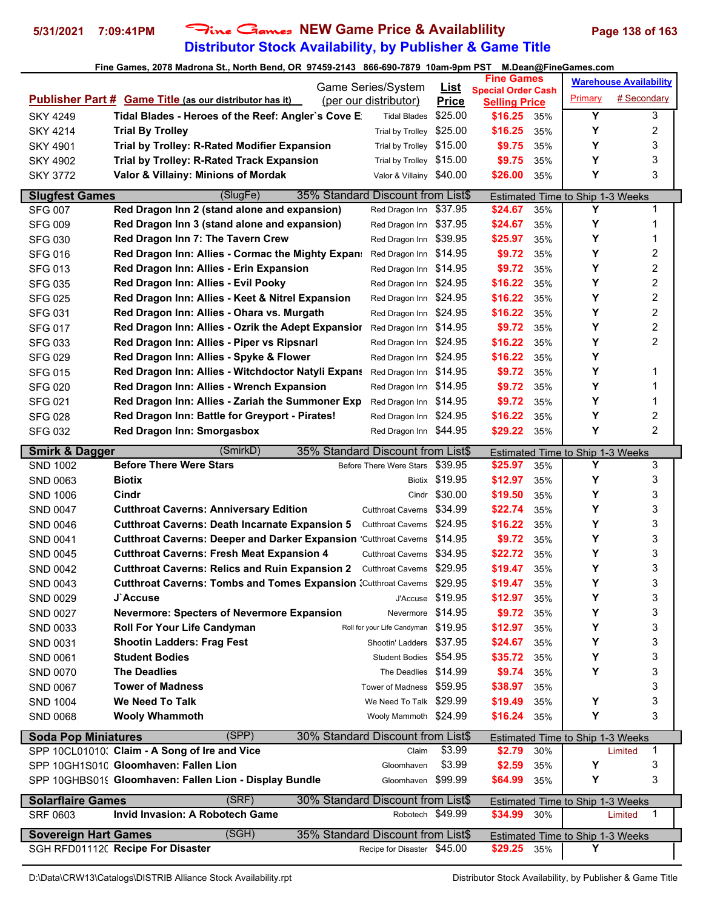# **Distributor Stock Availability, by Publisher & Game Title 5/31/2021 7:09:41PM** Fine Games **NEW Game Price & Availablility Page 138 of 163**

| Game Series/System<br><b>Special Order Cash</b><br># Secondary<br>Primary<br><b>Publisher Part # Game Title (as our distributor has it)</b><br>(per our distributor)<br><b>Price</b><br><b>Selling Price</b><br>Y<br>3<br>Tidal Blades - Heroes of the Reef: Angler's Cove E<br>\$25.00<br><b>SKY 4249</b><br>\$16.25<br><b>Tidal Blades</b><br>35%<br>Υ<br>2<br><b>Trial By Trolley</b><br>\$25.00<br>\$16.25<br><b>SKY 4214</b><br>Trial by Trolley<br>35%<br>Υ<br>3<br>Trial by Trolley: R-Rated Modifier Expansion<br>\$9.75<br><b>SKY 4901</b><br>\$15.00<br>Trial by Trolley<br>35%<br>3<br>Υ<br>Trial by Trolley \$15.00<br><b>Trial by Trolley: R-Rated Track Expansion</b><br>\$9.75<br><b>SKY 4902</b><br>35%<br>3<br>Υ<br>Valor & Villainy: Minions of Mordak<br>Valor & Villainy \$40.00<br>\$26.00<br><b>SKY 3772</b><br>35%<br>(SlugFe)<br>35% Standard Discount from List\$<br><b>Slugfest Games</b><br>Estimated Time to Ship 1-3 Weeks<br>Y<br>1<br>Red Dragon Inn 2 (stand alone and expansion)<br>Red Dragon Inn \$37.95<br>\$24.67<br>35%<br><b>SFG 007</b><br>Υ<br>1<br><b>SFG 009</b><br>Red Dragon Inn 3 (stand alone and expansion)<br>\$37.95<br>\$24.67<br>Red Dragon Inn<br>35%<br>Υ<br>\$39.95<br>1<br>Red Dragon Inn 7: The Tavern Crew<br>\$25.97<br><b>SFG 030</b><br>Red Dragon Inn<br>35%<br>Υ<br>2<br>Red Dragon Inn: Allies - Cormac the Mighty Expan:<br>\$9.72<br><b>SFG 016</b><br>\$14.95<br>35%<br>Red Dragon Inn<br>2<br>Υ<br><b>SFG 013</b><br>Red Dragon Inn: Allies - Erin Expansion<br>\$14.95<br>\$9.72<br>Red Dragon Inn<br>35%<br>2<br>Υ<br>Red Dragon Inn: Allies - Evil Pooky<br><b>SFG 035</b><br>\$24.95<br>\$16.22<br>Red Dragon Inn<br>35%<br>2<br>Υ<br>Red Dragon Inn: Allies - Keet & Nitrel Expansion<br>Red Dragon Inn \$24.95<br>\$16.22<br><b>SFG 025</b><br>35%<br>Υ<br>2<br>Red Dragon Inn: Allies - Ohara vs. Murgath<br>Red Dragon Inn \$24.95<br>\$16.22<br><b>SFG 031</b><br>35%<br>$\overline{c}$<br>Υ<br><b>SFG 017</b><br>Red Dragon Inn: Allies - Ozrik the Adept Expansior<br>Red Dragon Inn \$14.95<br>\$9.72<br>35%<br>2<br>Υ<br>\$16.22<br>Red Dragon Inn: Allies - Piper vs Ripsnarl<br>Red Dragon Inn \$24.95<br><b>SFG 033</b><br>35%<br>Υ<br>Red Dragon Inn: Allies - Spyke & Flower<br>\$16.22<br><b>SFG 029</b><br>Red Dragon Inn \$24.95<br>35%<br>Υ<br>Red Dragon Inn: Allies - Witchdoctor Natyli Expans<br>\$9.72<br>1<br><b>SFG 015</b><br>\$14.95<br>Red Dragon Inn<br>35%<br>Υ<br>1<br><b>SFG 020</b><br>Red Dragon Inn: Allies - Wrench Expansion<br>Red Dragon Inn<br>\$14.95<br>\$9.72<br>35%<br>Υ<br>1<br>Red Dragon Inn: Allies - Zariah the Summoner Exp<br>\$14.95<br>\$9.72<br><b>SFG 021</b><br>Red Dragon Inn<br>35%<br>2<br>Υ<br>Red Dragon Inn: Battle for Greyport - Pirates!<br>\$24.95<br>\$16.22<br>Red Dragon Inn<br><b>SFG 028</b><br>35%<br>2<br>Υ<br><b>SFG 032</b><br><b>Red Dragon Inn: Smorgasbox</b><br>Red Dragon Inn \$44.95<br>\$29.22<br>35%<br>(SmirkD)<br>35% Standard Discount from List\$<br><b>Smirk &amp; Dagger</b><br>Estimated Time to Ship 1-3 Weeks<br><b>Before There Were Stars</b><br>Y<br>\$39.95<br>3<br>Before There Were Stars<br>\$25.97<br><b>SND 1002</b><br>35%<br>Υ<br>3<br><b>Biotix</b><br>Biotix \$19.95<br>\$12.97<br>SND 0063<br>35%<br>3<br>Cindr \$30.00<br>Υ<br>Cindr<br>\$19.50<br><b>SND 1006</b><br>35%<br>3<br>Υ<br><b>Cutthroat Caverns: Anniversary Edition</b><br>\$34.99<br>\$22.74<br><b>SND 0047</b><br><b>Cutthroat Caverns</b><br>35%<br>Υ<br>3<br><b>Cutthroat Caverns: Death Incarnate Expansion 5</b><br>\$16.22<br><b>SND 0046</b><br><b>Cutthroat Caverns</b><br>\$24.95<br>35%<br>Υ<br>3<br><b>Cutthroat Caverns: Deeper and Darker Expansion 'Cutthroat Caverns</b><br>\$9.72<br>\$14.95<br>SND 0041<br>35%<br>3<br>Υ<br><b>Cutthroat Caverns: Fresh Meat Expansion 4</b><br>\$34.95<br>\$22.72<br><b>SND 0045</b><br><b>Cutthroat Caverns</b><br>35%<br>3<br>Υ<br>\$29.95<br>\$19.47<br><b>Cutthroat Caverns: Relics and Ruin Expansion 2</b><br><b>SND 0042</b><br><b>Cutthroat Caverns</b><br>35%<br>3<br>Y<br>\$19.47<br><b>Cutthroat Caverns: Tombs and Tomes Expansion (Cutthroat Caverns)</b><br>\$29.95<br>SND 0043<br>35%<br>3<br>J'Accuse \$19.95<br>\$12.97<br>Y<br>SND 0029<br>J`Accuse<br>35%<br>3<br>\$14.95<br>SND 0027<br>\$9.72<br>Y<br><b>Nevermore: Specters of Nevermore Expansion</b><br>Nevermore<br>35%<br>3<br>Roll for your Life Candyman \$19.95<br>Υ<br><b>Roll For Your Life Candyman</b><br>\$12.97<br>SND 0033<br>35%<br>Υ<br>3<br><b>Shootin Ladders: Frag Fest</b><br>Shootin' Ladders \$37.95<br>\$24.67<br>SND 0031<br>35%<br>3<br><b>Student Bodies</b><br>Student Bodies \$54.95<br>\$35.72<br>Υ<br><b>SND 0061</b><br>35%<br>3<br><b>The Deadlies</b><br>The Deadlies \$14.99<br>\$9.74<br>Y<br><b>SND 0070</b><br>35%<br>3<br><b>Tower of Madness</b><br>Tower of Madness \$59.95<br>\$38.97<br><b>SND 0067</b><br>35%<br>3<br>We Need To Talk<br>Υ<br>We Need To Talk \$29.99<br>\$19.49<br><b>SND 1004</b><br>35%<br>3<br>\$16.24<br>Υ<br><b>SND 0068</b><br><b>Wooly Whammoth</b><br>Wooly Mammoth \$24.99<br>35%<br>(SPP)<br><b>Soda Pop Miniatures</b><br>30% Standard Discount from List\$<br>Estimated Time to Ship 1-3 Weeks<br>SPP 10CL01010: Claim - A Song of Ire and Vice<br>\$3.99<br>\$2.79<br>Claim<br>30%<br>Limited<br>1<br>\$3.99<br>SPP 10GH1S010 Gloomhaven: Fallen Lion<br>Y<br>3<br>\$2.59<br>Gloomhaven<br>35%<br>3<br>SPP 10GHBS019 Gloomhaven: Fallen Lion - Display Bundle<br>Gloomhaven \$99.99<br>\$64.99<br>Υ<br>35%<br>(SRF)<br><b>Solarflaire Games</b><br>30% Standard Discount from List\$<br>Estimated Time to Ship 1-3 Weeks<br>Invid Invasion: A Robotech Game<br>\$34.99<br>SRF 0603<br>Robotech \$49.99<br>$\mathbf{1}$<br>30%<br>Limited<br>(SGH)<br>35% Standard Discount from List\$<br><b>Sovereign Hart Games</b><br>Estimated Time to Ship 1-3 Weeks<br>SGH RFD01112( Recipe For Disaster<br>Y<br>Recipe for Disaster \$45.00<br>\$29.25 35% |  |             | <b>Fine Games</b> |  | <b>Warehouse Availability</b> |
|-----------------------------------------------------------------------------------------------------------------------------------------------------------------------------------------------------------------------------------------------------------------------------------------------------------------------------------------------------------------------------------------------------------------------------------------------------------------------------------------------------------------------------------------------------------------------------------------------------------------------------------------------------------------------------------------------------------------------------------------------------------------------------------------------------------------------------------------------------------------------------------------------------------------------------------------------------------------------------------------------------------------------------------------------------------------------------------------------------------------------------------------------------------------------------------------------------------------------------------------------------------------------------------------------------------------------------------------------------------------------------------------------------------------------------------------------------------------------------------------------------------------------------------------------------------------------------------------------------------------------------------------------------------------------------------------------------------------------------------------------------------------------------------------------------------------------------------------------------------------------------------------------------------------------------------------------------------------------------------------------------------------------------------------------------------------------------------------------------------------------------------------------------------------------------------------------------------------------------------------------------------------------------------------------------------------------------------------------------------------------------------------------------------------------------------------------------------------------------------------------------------------------------------------------------------------------------------------------------------------------------------------------------------------------------------------------------------------------------------------------------------------------------------------------------------------------------------------------------------------------------------------------------------------------------------------------------------------------------------------------------------------------------------------------------------------------------------------------------------------------------------------------------------------------------------------------------------------------------------------------------------------------------------------------------------------------------------------------------------------------------------------------------------------------------------------------------------------------------------------------------------------------------------------------------------------------------------------------------------------------------------------------------------------------------------------------------------------------------------------------------------------------------------------------------------------------------------------------------------------------------------------------------------------------------------------------------------------------------------------------------------------------------------------------------------------------------------------------------------------------------------------------------------------------------------------------------------------------------------------------------------------------------------------------------------------------------------------------------------------------------------------------------------------------------------------------------------------------------------------------------------------------------------------------------------------------------------------------------------------------------------------------------------------------------------------------------------------------------------------------------------------------------------------------------------------------------------------------------------------------------------------------------------------------------------------------------------------------------------------------------------------------------------------------------------------------------------------------------------------------------------------------------------------------------------------------------------------------------------------------------------------------------------------------------------------------------------------------------------------------------------------------------------------------------------------------------------------------------------------------------------------------------------------------------------------------------------------------------------------------------------------------------------------------------------------------------------------------------------------------------------------------------------------------------------------------------------------------------------------------------------------------------------------------------------------------------------------------------------------------------|--|-------------|-------------------|--|-------------------------------|
|                                                                                                                                                                                                                                                                                                                                                                                                                                                                                                                                                                                                                                                                                                                                                                                                                                                                                                                                                                                                                                                                                                                                                                                                                                                                                                                                                                                                                                                                                                                                                                                                                                                                                                                                                                                                                                                                                                                                                                                                                                                                                                                                                                                                                                                                                                                                                                                                                                                                                                                                                                                                                                                                                                                                                                                                                                                                                                                                                                                                                                                                                                                                                                                                                                                                                                                                                                                                                                                                                                                                                                                                                                                                                                                                                                                                                                                                                                                                                                                                                                                                                                                                                                                                                                                                                                                                                                                                                                                                                                                                                                                                                                                                                                                                                                                                                                                                                                                                                                                                                                                                                                                                                                                                                                                                                                                                                                                                                                                                                                                                                                                                                                                                                                                                                                                                                                                                                                                                                                                                     |  | <u>List</u> |                   |  |                               |
|                                                                                                                                                                                                                                                                                                                                                                                                                                                                                                                                                                                                                                                                                                                                                                                                                                                                                                                                                                                                                                                                                                                                                                                                                                                                                                                                                                                                                                                                                                                                                                                                                                                                                                                                                                                                                                                                                                                                                                                                                                                                                                                                                                                                                                                                                                                                                                                                                                                                                                                                                                                                                                                                                                                                                                                                                                                                                                                                                                                                                                                                                                                                                                                                                                                                                                                                                                                                                                                                                                                                                                                                                                                                                                                                                                                                                                                                                                                                                                                                                                                                                                                                                                                                                                                                                                                                                                                                                                                                                                                                                                                                                                                                                                                                                                                                                                                                                                                                                                                                                                                                                                                                                                                                                                                                                                                                                                                                                                                                                                                                                                                                                                                                                                                                                                                                                                                                                                                                                                                                     |  |             |                   |  |                               |
|                                                                                                                                                                                                                                                                                                                                                                                                                                                                                                                                                                                                                                                                                                                                                                                                                                                                                                                                                                                                                                                                                                                                                                                                                                                                                                                                                                                                                                                                                                                                                                                                                                                                                                                                                                                                                                                                                                                                                                                                                                                                                                                                                                                                                                                                                                                                                                                                                                                                                                                                                                                                                                                                                                                                                                                                                                                                                                                                                                                                                                                                                                                                                                                                                                                                                                                                                                                                                                                                                                                                                                                                                                                                                                                                                                                                                                                                                                                                                                                                                                                                                                                                                                                                                                                                                                                                                                                                                                                                                                                                                                                                                                                                                                                                                                                                                                                                                                                                                                                                                                                                                                                                                                                                                                                                                                                                                                                                                                                                                                                                                                                                                                                                                                                                                                                                                                                                                                                                                                                                     |  |             |                   |  |                               |
|                                                                                                                                                                                                                                                                                                                                                                                                                                                                                                                                                                                                                                                                                                                                                                                                                                                                                                                                                                                                                                                                                                                                                                                                                                                                                                                                                                                                                                                                                                                                                                                                                                                                                                                                                                                                                                                                                                                                                                                                                                                                                                                                                                                                                                                                                                                                                                                                                                                                                                                                                                                                                                                                                                                                                                                                                                                                                                                                                                                                                                                                                                                                                                                                                                                                                                                                                                                                                                                                                                                                                                                                                                                                                                                                                                                                                                                                                                                                                                                                                                                                                                                                                                                                                                                                                                                                                                                                                                                                                                                                                                                                                                                                                                                                                                                                                                                                                                                                                                                                                                                                                                                                                                                                                                                                                                                                                                                                                                                                                                                                                                                                                                                                                                                                                                                                                                                                                                                                                                                                     |  |             |                   |  |                               |
|                                                                                                                                                                                                                                                                                                                                                                                                                                                                                                                                                                                                                                                                                                                                                                                                                                                                                                                                                                                                                                                                                                                                                                                                                                                                                                                                                                                                                                                                                                                                                                                                                                                                                                                                                                                                                                                                                                                                                                                                                                                                                                                                                                                                                                                                                                                                                                                                                                                                                                                                                                                                                                                                                                                                                                                                                                                                                                                                                                                                                                                                                                                                                                                                                                                                                                                                                                                                                                                                                                                                                                                                                                                                                                                                                                                                                                                                                                                                                                                                                                                                                                                                                                                                                                                                                                                                                                                                                                                                                                                                                                                                                                                                                                                                                                                                                                                                                                                                                                                                                                                                                                                                                                                                                                                                                                                                                                                                                                                                                                                                                                                                                                                                                                                                                                                                                                                                                                                                                                                                     |  |             |                   |  |                               |
|                                                                                                                                                                                                                                                                                                                                                                                                                                                                                                                                                                                                                                                                                                                                                                                                                                                                                                                                                                                                                                                                                                                                                                                                                                                                                                                                                                                                                                                                                                                                                                                                                                                                                                                                                                                                                                                                                                                                                                                                                                                                                                                                                                                                                                                                                                                                                                                                                                                                                                                                                                                                                                                                                                                                                                                                                                                                                                                                                                                                                                                                                                                                                                                                                                                                                                                                                                                                                                                                                                                                                                                                                                                                                                                                                                                                                                                                                                                                                                                                                                                                                                                                                                                                                                                                                                                                                                                                                                                                                                                                                                                                                                                                                                                                                                                                                                                                                                                                                                                                                                                                                                                                                                                                                                                                                                                                                                                                                                                                                                                                                                                                                                                                                                                                                                                                                                                                                                                                                                                                     |  |             |                   |  |                               |
|                                                                                                                                                                                                                                                                                                                                                                                                                                                                                                                                                                                                                                                                                                                                                                                                                                                                                                                                                                                                                                                                                                                                                                                                                                                                                                                                                                                                                                                                                                                                                                                                                                                                                                                                                                                                                                                                                                                                                                                                                                                                                                                                                                                                                                                                                                                                                                                                                                                                                                                                                                                                                                                                                                                                                                                                                                                                                                                                                                                                                                                                                                                                                                                                                                                                                                                                                                                                                                                                                                                                                                                                                                                                                                                                                                                                                                                                                                                                                                                                                                                                                                                                                                                                                                                                                                                                                                                                                                                                                                                                                                                                                                                                                                                                                                                                                                                                                                                                                                                                                                                                                                                                                                                                                                                                                                                                                                                                                                                                                                                                                                                                                                                                                                                                                                                                                                                                                                                                                                                                     |  |             |                   |  |                               |
|                                                                                                                                                                                                                                                                                                                                                                                                                                                                                                                                                                                                                                                                                                                                                                                                                                                                                                                                                                                                                                                                                                                                                                                                                                                                                                                                                                                                                                                                                                                                                                                                                                                                                                                                                                                                                                                                                                                                                                                                                                                                                                                                                                                                                                                                                                                                                                                                                                                                                                                                                                                                                                                                                                                                                                                                                                                                                                                                                                                                                                                                                                                                                                                                                                                                                                                                                                                                                                                                                                                                                                                                                                                                                                                                                                                                                                                                                                                                                                                                                                                                                                                                                                                                                                                                                                                                                                                                                                                                                                                                                                                                                                                                                                                                                                                                                                                                                                                                                                                                                                                                                                                                                                                                                                                                                                                                                                                                                                                                                                                                                                                                                                                                                                                                                                                                                                                                                                                                                                                                     |  |             |                   |  |                               |
|                                                                                                                                                                                                                                                                                                                                                                                                                                                                                                                                                                                                                                                                                                                                                                                                                                                                                                                                                                                                                                                                                                                                                                                                                                                                                                                                                                                                                                                                                                                                                                                                                                                                                                                                                                                                                                                                                                                                                                                                                                                                                                                                                                                                                                                                                                                                                                                                                                                                                                                                                                                                                                                                                                                                                                                                                                                                                                                                                                                                                                                                                                                                                                                                                                                                                                                                                                                                                                                                                                                                                                                                                                                                                                                                                                                                                                                                                                                                                                                                                                                                                                                                                                                                                                                                                                                                                                                                                                                                                                                                                                                                                                                                                                                                                                                                                                                                                                                                                                                                                                                                                                                                                                                                                                                                                                                                                                                                                                                                                                                                                                                                                                                                                                                                                                                                                                                                                                                                                                                                     |  |             |                   |  |                               |
|                                                                                                                                                                                                                                                                                                                                                                                                                                                                                                                                                                                                                                                                                                                                                                                                                                                                                                                                                                                                                                                                                                                                                                                                                                                                                                                                                                                                                                                                                                                                                                                                                                                                                                                                                                                                                                                                                                                                                                                                                                                                                                                                                                                                                                                                                                                                                                                                                                                                                                                                                                                                                                                                                                                                                                                                                                                                                                                                                                                                                                                                                                                                                                                                                                                                                                                                                                                                                                                                                                                                                                                                                                                                                                                                                                                                                                                                                                                                                                                                                                                                                                                                                                                                                                                                                                                                                                                                                                                                                                                                                                                                                                                                                                                                                                                                                                                                                                                                                                                                                                                                                                                                                                                                                                                                                                                                                                                                                                                                                                                                                                                                                                                                                                                                                                                                                                                                                                                                                                                                     |  |             |                   |  |                               |
|                                                                                                                                                                                                                                                                                                                                                                                                                                                                                                                                                                                                                                                                                                                                                                                                                                                                                                                                                                                                                                                                                                                                                                                                                                                                                                                                                                                                                                                                                                                                                                                                                                                                                                                                                                                                                                                                                                                                                                                                                                                                                                                                                                                                                                                                                                                                                                                                                                                                                                                                                                                                                                                                                                                                                                                                                                                                                                                                                                                                                                                                                                                                                                                                                                                                                                                                                                                                                                                                                                                                                                                                                                                                                                                                                                                                                                                                                                                                                                                                                                                                                                                                                                                                                                                                                                                                                                                                                                                                                                                                                                                                                                                                                                                                                                                                                                                                                                                                                                                                                                                                                                                                                                                                                                                                                                                                                                                                                                                                                                                                                                                                                                                                                                                                                                                                                                                                                                                                                                                                     |  |             |                   |  |                               |
|                                                                                                                                                                                                                                                                                                                                                                                                                                                                                                                                                                                                                                                                                                                                                                                                                                                                                                                                                                                                                                                                                                                                                                                                                                                                                                                                                                                                                                                                                                                                                                                                                                                                                                                                                                                                                                                                                                                                                                                                                                                                                                                                                                                                                                                                                                                                                                                                                                                                                                                                                                                                                                                                                                                                                                                                                                                                                                                                                                                                                                                                                                                                                                                                                                                                                                                                                                                                                                                                                                                                                                                                                                                                                                                                                                                                                                                                                                                                                                                                                                                                                                                                                                                                                                                                                                                                                                                                                                                                                                                                                                                                                                                                                                                                                                                                                                                                                                                                                                                                                                                                                                                                                                                                                                                                                                                                                                                                                                                                                                                                                                                                                                                                                                                                                                                                                                                                                                                                                                                                     |  |             |                   |  |                               |
|                                                                                                                                                                                                                                                                                                                                                                                                                                                                                                                                                                                                                                                                                                                                                                                                                                                                                                                                                                                                                                                                                                                                                                                                                                                                                                                                                                                                                                                                                                                                                                                                                                                                                                                                                                                                                                                                                                                                                                                                                                                                                                                                                                                                                                                                                                                                                                                                                                                                                                                                                                                                                                                                                                                                                                                                                                                                                                                                                                                                                                                                                                                                                                                                                                                                                                                                                                                                                                                                                                                                                                                                                                                                                                                                                                                                                                                                                                                                                                                                                                                                                                                                                                                                                                                                                                                                                                                                                                                                                                                                                                                                                                                                                                                                                                                                                                                                                                                                                                                                                                                                                                                                                                                                                                                                                                                                                                                                                                                                                                                                                                                                                                                                                                                                                                                                                                                                                                                                                                                                     |  |             |                   |  |                               |
|                                                                                                                                                                                                                                                                                                                                                                                                                                                                                                                                                                                                                                                                                                                                                                                                                                                                                                                                                                                                                                                                                                                                                                                                                                                                                                                                                                                                                                                                                                                                                                                                                                                                                                                                                                                                                                                                                                                                                                                                                                                                                                                                                                                                                                                                                                                                                                                                                                                                                                                                                                                                                                                                                                                                                                                                                                                                                                                                                                                                                                                                                                                                                                                                                                                                                                                                                                                                                                                                                                                                                                                                                                                                                                                                                                                                                                                                                                                                                                                                                                                                                                                                                                                                                                                                                                                                                                                                                                                                                                                                                                                                                                                                                                                                                                                                                                                                                                                                                                                                                                                                                                                                                                                                                                                                                                                                                                                                                                                                                                                                                                                                                                                                                                                                                                                                                                                                                                                                                                                                     |  |             |                   |  |                               |
|                                                                                                                                                                                                                                                                                                                                                                                                                                                                                                                                                                                                                                                                                                                                                                                                                                                                                                                                                                                                                                                                                                                                                                                                                                                                                                                                                                                                                                                                                                                                                                                                                                                                                                                                                                                                                                                                                                                                                                                                                                                                                                                                                                                                                                                                                                                                                                                                                                                                                                                                                                                                                                                                                                                                                                                                                                                                                                                                                                                                                                                                                                                                                                                                                                                                                                                                                                                                                                                                                                                                                                                                                                                                                                                                                                                                                                                                                                                                                                                                                                                                                                                                                                                                                                                                                                                                                                                                                                                                                                                                                                                                                                                                                                                                                                                                                                                                                                                                                                                                                                                                                                                                                                                                                                                                                                                                                                                                                                                                                                                                                                                                                                                                                                                                                                                                                                                                                                                                                                                                     |  |             |                   |  |                               |
|                                                                                                                                                                                                                                                                                                                                                                                                                                                                                                                                                                                                                                                                                                                                                                                                                                                                                                                                                                                                                                                                                                                                                                                                                                                                                                                                                                                                                                                                                                                                                                                                                                                                                                                                                                                                                                                                                                                                                                                                                                                                                                                                                                                                                                                                                                                                                                                                                                                                                                                                                                                                                                                                                                                                                                                                                                                                                                                                                                                                                                                                                                                                                                                                                                                                                                                                                                                                                                                                                                                                                                                                                                                                                                                                                                                                                                                                                                                                                                                                                                                                                                                                                                                                                                                                                                                                                                                                                                                                                                                                                                                                                                                                                                                                                                                                                                                                                                                                                                                                                                                                                                                                                                                                                                                                                                                                                                                                                                                                                                                                                                                                                                                                                                                                                                                                                                                                                                                                                                                                     |  |             |                   |  |                               |
|                                                                                                                                                                                                                                                                                                                                                                                                                                                                                                                                                                                                                                                                                                                                                                                                                                                                                                                                                                                                                                                                                                                                                                                                                                                                                                                                                                                                                                                                                                                                                                                                                                                                                                                                                                                                                                                                                                                                                                                                                                                                                                                                                                                                                                                                                                                                                                                                                                                                                                                                                                                                                                                                                                                                                                                                                                                                                                                                                                                                                                                                                                                                                                                                                                                                                                                                                                                                                                                                                                                                                                                                                                                                                                                                                                                                                                                                                                                                                                                                                                                                                                                                                                                                                                                                                                                                                                                                                                                                                                                                                                                                                                                                                                                                                                                                                                                                                                                                                                                                                                                                                                                                                                                                                                                                                                                                                                                                                                                                                                                                                                                                                                                                                                                                                                                                                                                                                                                                                                                                     |  |             |                   |  |                               |
|                                                                                                                                                                                                                                                                                                                                                                                                                                                                                                                                                                                                                                                                                                                                                                                                                                                                                                                                                                                                                                                                                                                                                                                                                                                                                                                                                                                                                                                                                                                                                                                                                                                                                                                                                                                                                                                                                                                                                                                                                                                                                                                                                                                                                                                                                                                                                                                                                                                                                                                                                                                                                                                                                                                                                                                                                                                                                                                                                                                                                                                                                                                                                                                                                                                                                                                                                                                                                                                                                                                                                                                                                                                                                                                                                                                                                                                                                                                                                                                                                                                                                                                                                                                                                                                                                                                                                                                                                                                                                                                                                                                                                                                                                                                                                                                                                                                                                                                                                                                                                                                                                                                                                                                                                                                                                                                                                                                                                                                                                                                                                                                                                                                                                                                                                                                                                                                                                                                                                                                                     |  |             |                   |  |                               |
|                                                                                                                                                                                                                                                                                                                                                                                                                                                                                                                                                                                                                                                                                                                                                                                                                                                                                                                                                                                                                                                                                                                                                                                                                                                                                                                                                                                                                                                                                                                                                                                                                                                                                                                                                                                                                                                                                                                                                                                                                                                                                                                                                                                                                                                                                                                                                                                                                                                                                                                                                                                                                                                                                                                                                                                                                                                                                                                                                                                                                                                                                                                                                                                                                                                                                                                                                                                                                                                                                                                                                                                                                                                                                                                                                                                                                                                                                                                                                                                                                                                                                                                                                                                                                                                                                                                                                                                                                                                                                                                                                                                                                                                                                                                                                                                                                                                                                                                                                                                                                                                                                                                                                                                                                                                                                                                                                                                                                                                                                                                                                                                                                                                                                                                                                                                                                                                                                                                                                                                                     |  |             |                   |  |                               |
|                                                                                                                                                                                                                                                                                                                                                                                                                                                                                                                                                                                                                                                                                                                                                                                                                                                                                                                                                                                                                                                                                                                                                                                                                                                                                                                                                                                                                                                                                                                                                                                                                                                                                                                                                                                                                                                                                                                                                                                                                                                                                                                                                                                                                                                                                                                                                                                                                                                                                                                                                                                                                                                                                                                                                                                                                                                                                                                                                                                                                                                                                                                                                                                                                                                                                                                                                                                                                                                                                                                                                                                                                                                                                                                                                                                                                                                                                                                                                                                                                                                                                                                                                                                                                                                                                                                                                                                                                                                                                                                                                                                                                                                                                                                                                                                                                                                                                                                                                                                                                                                                                                                                                                                                                                                                                                                                                                                                                                                                                                                                                                                                                                                                                                                                                                                                                                                                                                                                                                                                     |  |             |                   |  |                               |
|                                                                                                                                                                                                                                                                                                                                                                                                                                                                                                                                                                                                                                                                                                                                                                                                                                                                                                                                                                                                                                                                                                                                                                                                                                                                                                                                                                                                                                                                                                                                                                                                                                                                                                                                                                                                                                                                                                                                                                                                                                                                                                                                                                                                                                                                                                                                                                                                                                                                                                                                                                                                                                                                                                                                                                                                                                                                                                                                                                                                                                                                                                                                                                                                                                                                                                                                                                                                                                                                                                                                                                                                                                                                                                                                                                                                                                                                                                                                                                                                                                                                                                                                                                                                                                                                                                                                                                                                                                                                                                                                                                                                                                                                                                                                                                                                                                                                                                                                                                                                                                                                                                                                                                                                                                                                                                                                                                                                                                                                                                                                                                                                                                                                                                                                                                                                                                                                                                                                                                                                     |  |             |                   |  |                               |
|                                                                                                                                                                                                                                                                                                                                                                                                                                                                                                                                                                                                                                                                                                                                                                                                                                                                                                                                                                                                                                                                                                                                                                                                                                                                                                                                                                                                                                                                                                                                                                                                                                                                                                                                                                                                                                                                                                                                                                                                                                                                                                                                                                                                                                                                                                                                                                                                                                                                                                                                                                                                                                                                                                                                                                                                                                                                                                                                                                                                                                                                                                                                                                                                                                                                                                                                                                                                                                                                                                                                                                                                                                                                                                                                                                                                                                                                                                                                                                                                                                                                                                                                                                                                                                                                                                                                                                                                                                                                                                                                                                                                                                                                                                                                                                                                                                                                                                                                                                                                                                                                                                                                                                                                                                                                                                                                                                                                                                                                                                                                                                                                                                                                                                                                                                                                                                                                                                                                                                                                     |  |             |                   |  |                               |
|                                                                                                                                                                                                                                                                                                                                                                                                                                                                                                                                                                                                                                                                                                                                                                                                                                                                                                                                                                                                                                                                                                                                                                                                                                                                                                                                                                                                                                                                                                                                                                                                                                                                                                                                                                                                                                                                                                                                                                                                                                                                                                                                                                                                                                                                                                                                                                                                                                                                                                                                                                                                                                                                                                                                                                                                                                                                                                                                                                                                                                                                                                                                                                                                                                                                                                                                                                                                                                                                                                                                                                                                                                                                                                                                                                                                                                                                                                                                                                                                                                                                                                                                                                                                                                                                                                                                                                                                                                                                                                                                                                                                                                                                                                                                                                                                                                                                                                                                                                                                                                                                                                                                                                                                                                                                                                                                                                                                                                                                                                                                                                                                                                                                                                                                                                                                                                                                                                                                                                                                     |  |             |                   |  |                               |
|                                                                                                                                                                                                                                                                                                                                                                                                                                                                                                                                                                                                                                                                                                                                                                                                                                                                                                                                                                                                                                                                                                                                                                                                                                                                                                                                                                                                                                                                                                                                                                                                                                                                                                                                                                                                                                                                                                                                                                                                                                                                                                                                                                                                                                                                                                                                                                                                                                                                                                                                                                                                                                                                                                                                                                                                                                                                                                                                                                                                                                                                                                                                                                                                                                                                                                                                                                                                                                                                                                                                                                                                                                                                                                                                                                                                                                                                                                                                                                                                                                                                                                                                                                                                                                                                                                                                                                                                                                                                                                                                                                                                                                                                                                                                                                                                                                                                                                                                                                                                                                                                                                                                                                                                                                                                                                                                                                                                                                                                                                                                                                                                                                                                                                                                                                                                                                                                                                                                                                                                     |  |             |                   |  |                               |
|                                                                                                                                                                                                                                                                                                                                                                                                                                                                                                                                                                                                                                                                                                                                                                                                                                                                                                                                                                                                                                                                                                                                                                                                                                                                                                                                                                                                                                                                                                                                                                                                                                                                                                                                                                                                                                                                                                                                                                                                                                                                                                                                                                                                                                                                                                                                                                                                                                                                                                                                                                                                                                                                                                                                                                                                                                                                                                                                                                                                                                                                                                                                                                                                                                                                                                                                                                                                                                                                                                                                                                                                                                                                                                                                                                                                                                                                                                                                                                                                                                                                                                                                                                                                                                                                                                                                                                                                                                                                                                                                                                                                                                                                                                                                                                                                                                                                                                                                                                                                                                                                                                                                                                                                                                                                                                                                                                                                                                                                                                                                                                                                                                                                                                                                                                                                                                                                                                                                                                                                     |  |             |                   |  |                               |
|                                                                                                                                                                                                                                                                                                                                                                                                                                                                                                                                                                                                                                                                                                                                                                                                                                                                                                                                                                                                                                                                                                                                                                                                                                                                                                                                                                                                                                                                                                                                                                                                                                                                                                                                                                                                                                                                                                                                                                                                                                                                                                                                                                                                                                                                                                                                                                                                                                                                                                                                                                                                                                                                                                                                                                                                                                                                                                                                                                                                                                                                                                                                                                                                                                                                                                                                                                                                                                                                                                                                                                                                                                                                                                                                                                                                                                                                                                                                                                                                                                                                                                                                                                                                                                                                                                                                                                                                                                                                                                                                                                                                                                                                                                                                                                                                                                                                                                                                                                                                                                                                                                                                                                                                                                                                                                                                                                                                                                                                                                                                                                                                                                                                                                                                                                                                                                                                                                                                                                                                     |  |             |                   |  |                               |
|                                                                                                                                                                                                                                                                                                                                                                                                                                                                                                                                                                                                                                                                                                                                                                                                                                                                                                                                                                                                                                                                                                                                                                                                                                                                                                                                                                                                                                                                                                                                                                                                                                                                                                                                                                                                                                                                                                                                                                                                                                                                                                                                                                                                                                                                                                                                                                                                                                                                                                                                                                                                                                                                                                                                                                                                                                                                                                                                                                                                                                                                                                                                                                                                                                                                                                                                                                                                                                                                                                                                                                                                                                                                                                                                                                                                                                                                                                                                                                                                                                                                                                                                                                                                                                                                                                                                                                                                                                                                                                                                                                                                                                                                                                                                                                                                                                                                                                                                                                                                                                                                                                                                                                                                                                                                                                                                                                                                                                                                                                                                                                                                                                                                                                                                                                                                                                                                                                                                                                                                     |  |             |                   |  |                               |
|                                                                                                                                                                                                                                                                                                                                                                                                                                                                                                                                                                                                                                                                                                                                                                                                                                                                                                                                                                                                                                                                                                                                                                                                                                                                                                                                                                                                                                                                                                                                                                                                                                                                                                                                                                                                                                                                                                                                                                                                                                                                                                                                                                                                                                                                                                                                                                                                                                                                                                                                                                                                                                                                                                                                                                                                                                                                                                                                                                                                                                                                                                                                                                                                                                                                                                                                                                                                                                                                                                                                                                                                                                                                                                                                                                                                                                                                                                                                                                                                                                                                                                                                                                                                                                                                                                                                                                                                                                                                                                                                                                                                                                                                                                                                                                                                                                                                                                                                                                                                                                                                                                                                                                                                                                                                                                                                                                                                                                                                                                                                                                                                                                                                                                                                                                                                                                                                                                                                                                                                     |  |             |                   |  |                               |
|                                                                                                                                                                                                                                                                                                                                                                                                                                                                                                                                                                                                                                                                                                                                                                                                                                                                                                                                                                                                                                                                                                                                                                                                                                                                                                                                                                                                                                                                                                                                                                                                                                                                                                                                                                                                                                                                                                                                                                                                                                                                                                                                                                                                                                                                                                                                                                                                                                                                                                                                                                                                                                                                                                                                                                                                                                                                                                                                                                                                                                                                                                                                                                                                                                                                                                                                                                                                                                                                                                                                                                                                                                                                                                                                                                                                                                                                                                                                                                                                                                                                                                                                                                                                                                                                                                                                                                                                                                                                                                                                                                                                                                                                                                                                                                                                                                                                                                                                                                                                                                                                                                                                                                                                                                                                                                                                                                                                                                                                                                                                                                                                                                                                                                                                                                                                                                                                                                                                                                                                     |  |             |                   |  |                               |
|                                                                                                                                                                                                                                                                                                                                                                                                                                                                                                                                                                                                                                                                                                                                                                                                                                                                                                                                                                                                                                                                                                                                                                                                                                                                                                                                                                                                                                                                                                                                                                                                                                                                                                                                                                                                                                                                                                                                                                                                                                                                                                                                                                                                                                                                                                                                                                                                                                                                                                                                                                                                                                                                                                                                                                                                                                                                                                                                                                                                                                                                                                                                                                                                                                                                                                                                                                                                                                                                                                                                                                                                                                                                                                                                                                                                                                                                                                                                                                                                                                                                                                                                                                                                                                                                                                                                                                                                                                                                                                                                                                                                                                                                                                                                                                                                                                                                                                                                                                                                                                                                                                                                                                                                                                                                                                                                                                                                                                                                                                                                                                                                                                                                                                                                                                                                                                                                                                                                                                                                     |  |             |                   |  |                               |
|                                                                                                                                                                                                                                                                                                                                                                                                                                                                                                                                                                                                                                                                                                                                                                                                                                                                                                                                                                                                                                                                                                                                                                                                                                                                                                                                                                                                                                                                                                                                                                                                                                                                                                                                                                                                                                                                                                                                                                                                                                                                                                                                                                                                                                                                                                                                                                                                                                                                                                                                                                                                                                                                                                                                                                                                                                                                                                                                                                                                                                                                                                                                                                                                                                                                                                                                                                                                                                                                                                                                                                                                                                                                                                                                                                                                                                                                                                                                                                                                                                                                                                                                                                                                                                                                                                                                                                                                                                                                                                                                                                                                                                                                                                                                                                                                                                                                                                                                                                                                                                                                                                                                                                                                                                                                                                                                                                                                                                                                                                                                                                                                                                                                                                                                                                                                                                                                                                                                                                                                     |  |             |                   |  |                               |
|                                                                                                                                                                                                                                                                                                                                                                                                                                                                                                                                                                                                                                                                                                                                                                                                                                                                                                                                                                                                                                                                                                                                                                                                                                                                                                                                                                                                                                                                                                                                                                                                                                                                                                                                                                                                                                                                                                                                                                                                                                                                                                                                                                                                                                                                                                                                                                                                                                                                                                                                                                                                                                                                                                                                                                                                                                                                                                                                                                                                                                                                                                                                                                                                                                                                                                                                                                                                                                                                                                                                                                                                                                                                                                                                                                                                                                                                                                                                                                                                                                                                                                                                                                                                                                                                                                                                                                                                                                                                                                                                                                                                                                                                                                                                                                                                                                                                                                                                                                                                                                                                                                                                                                                                                                                                                                                                                                                                                                                                                                                                                                                                                                                                                                                                                                                                                                                                                                                                                                                                     |  |             |                   |  |                               |
|                                                                                                                                                                                                                                                                                                                                                                                                                                                                                                                                                                                                                                                                                                                                                                                                                                                                                                                                                                                                                                                                                                                                                                                                                                                                                                                                                                                                                                                                                                                                                                                                                                                                                                                                                                                                                                                                                                                                                                                                                                                                                                                                                                                                                                                                                                                                                                                                                                                                                                                                                                                                                                                                                                                                                                                                                                                                                                                                                                                                                                                                                                                                                                                                                                                                                                                                                                                                                                                                                                                                                                                                                                                                                                                                                                                                                                                                                                                                                                                                                                                                                                                                                                                                                                                                                                                                                                                                                                                                                                                                                                                                                                                                                                                                                                                                                                                                                                                                                                                                                                                                                                                                                                                                                                                                                                                                                                                                                                                                                                                                                                                                                                                                                                                                                                                                                                                                                                                                                                                                     |  |             |                   |  |                               |
|                                                                                                                                                                                                                                                                                                                                                                                                                                                                                                                                                                                                                                                                                                                                                                                                                                                                                                                                                                                                                                                                                                                                                                                                                                                                                                                                                                                                                                                                                                                                                                                                                                                                                                                                                                                                                                                                                                                                                                                                                                                                                                                                                                                                                                                                                                                                                                                                                                                                                                                                                                                                                                                                                                                                                                                                                                                                                                                                                                                                                                                                                                                                                                                                                                                                                                                                                                                                                                                                                                                                                                                                                                                                                                                                                                                                                                                                                                                                                                                                                                                                                                                                                                                                                                                                                                                                                                                                                                                                                                                                                                                                                                                                                                                                                                                                                                                                                                                                                                                                                                                                                                                                                                                                                                                                                                                                                                                                                                                                                                                                                                                                                                                                                                                                                                                                                                                                                                                                                                                                     |  |             |                   |  |                               |
|                                                                                                                                                                                                                                                                                                                                                                                                                                                                                                                                                                                                                                                                                                                                                                                                                                                                                                                                                                                                                                                                                                                                                                                                                                                                                                                                                                                                                                                                                                                                                                                                                                                                                                                                                                                                                                                                                                                                                                                                                                                                                                                                                                                                                                                                                                                                                                                                                                                                                                                                                                                                                                                                                                                                                                                                                                                                                                                                                                                                                                                                                                                                                                                                                                                                                                                                                                                                                                                                                                                                                                                                                                                                                                                                                                                                                                                                                                                                                                                                                                                                                                                                                                                                                                                                                                                                                                                                                                                                                                                                                                                                                                                                                                                                                                                                                                                                                                                                                                                                                                                                                                                                                                                                                                                                                                                                                                                                                                                                                                                                                                                                                                                                                                                                                                                                                                                                                                                                                                                                     |  |             |                   |  |                               |
|                                                                                                                                                                                                                                                                                                                                                                                                                                                                                                                                                                                                                                                                                                                                                                                                                                                                                                                                                                                                                                                                                                                                                                                                                                                                                                                                                                                                                                                                                                                                                                                                                                                                                                                                                                                                                                                                                                                                                                                                                                                                                                                                                                                                                                                                                                                                                                                                                                                                                                                                                                                                                                                                                                                                                                                                                                                                                                                                                                                                                                                                                                                                                                                                                                                                                                                                                                                                                                                                                                                                                                                                                                                                                                                                                                                                                                                                                                                                                                                                                                                                                                                                                                                                                                                                                                                                                                                                                                                                                                                                                                                                                                                                                                                                                                                                                                                                                                                                                                                                                                                                                                                                                                                                                                                                                                                                                                                                                                                                                                                                                                                                                                                                                                                                                                                                                                                                                                                                                                                                     |  |             |                   |  |                               |
|                                                                                                                                                                                                                                                                                                                                                                                                                                                                                                                                                                                                                                                                                                                                                                                                                                                                                                                                                                                                                                                                                                                                                                                                                                                                                                                                                                                                                                                                                                                                                                                                                                                                                                                                                                                                                                                                                                                                                                                                                                                                                                                                                                                                                                                                                                                                                                                                                                                                                                                                                                                                                                                                                                                                                                                                                                                                                                                                                                                                                                                                                                                                                                                                                                                                                                                                                                                                                                                                                                                                                                                                                                                                                                                                                                                                                                                                                                                                                                                                                                                                                                                                                                                                                                                                                                                                                                                                                                                                                                                                                                                                                                                                                                                                                                                                                                                                                                                                                                                                                                                                                                                                                                                                                                                                                                                                                                                                                                                                                                                                                                                                                                                                                                                                                                                                                                                                                                                                                                                                     |  |             |                   |  |                               |
|                                                                                                                                                                                                                                                                                                                                                                                                                                                                                                                                                                                                                                                                                                                                                                                                                                                                                                                                                                                                                                                                                                                                                                                                                                                                                                                                                                                                                                                                                                                                                                                                                                                                                                                                                                                                                                                                                                                                                                                                                                                                                                                                                                                                                                                                                                                                                                                                                                                                                                                                                                                                                                                                                                                                                                                                                                                                                                                                                                                                                                                                                                                                                                                                                                                                                                                                                                                                                                                                                                                                                                                                                                                                                                                                                                                                                                                                                                                                                                                                                                                                                                                                                                                                                                                                                                                                                                                                                                                                                                                                                                                                                                                                                                                                                                                                                                                                                                                                                                                                                                                                                                                                                                                                                                                                                                                                                                                                                                                                                                                                                                                                                                                                                                                                                                                                                                                                                                                                                                                                     |  |             |                   |  |                               |
|                                                                                                                                                                                                                                                                                                                                                                                                                                                                                                                                                                                                                                                                                                                                                                                                                                                                                                                                                                                                                                                                                                                                                                                                                                                                                                                                                                                                                                                                                                                                                                                                                                                                                                                                                                                                                                                                                                                                                                                                                                                                                                                                                                                                                                                                                                                                                                                                                                                                                                                                                                                                                                                                                                                                                                                                                                                                                                                                                                                                                                                                                                                                                                                                                                                                                                                                                                                                                                                                                                                                                                                                                                                                                                                                                                                                                                                                                                                                                                                                                                                                                                                                                                                                                                                                                                                                                                                                                                                                                                                                                                                                                                                                                                                                                                                                                                                                                                                                                                                                                                                                                                                                                                                                                                                                                                                                                                                                                                                                                                                                                                                                                                                                                                                                                                                                                                                                                                                                                                                                     |  |             |                   |  |                               |
|                                                                                                                                                                                                                                                                                                                                                                                                                                                                                                                                                                                                                                                                                                                                                                                                                                                                                                                                                                                                                                                                                                                                                                                                                                                                                                                                                                                                                                                                                                                                                                                                                                                                                                                                                                                                                                                                                                                                                                                                                                                                                                                                                                                                                                                                                                                                                                                                                                                                                                                                                                                                                                                                                                                                                                                                                                                                                                                                                                                                                                                                                                                                                                                                                                                                                                                                                                                                                                                                                                                                                                                                                                                                                                                                                                                                                                                                                                                                                                                                                                                                                                                                                                                                                                                                                                                                                                                                                                                                                                                                                                                                                                                                                                                                                                                                                                                                                                                                                                                                                                                                                                                                                                                                                                                                                                                                                                                                                                                                                                                                                                                                                                                                                                                                                                                                                                                                                                                                                                                                     |  |             |                   |  |                               |
|                                                                                                                                                                                                                                                                                                                                                                                                                                                                                                                                                                                                                                                                                                                                                                                                                                                                                                                                                                                                                                                                                                                                                                                                                                                                                                                                                                                                                                                                                                                                                                                                                                                                                                                                                                                                                                                                                                                                                                                                                                                                                                                                                                                                                                                                                                                                                                                                                                                                                                                                                                                                                                                                                                                                                                                                                                                                                                                                                                                                                                                                                                                                                                                                                                                                                                                                                                                                                                                                                                                                                                                                                                                                                                                                                                                                                                                                                                                                                                                                                                                                                                                                                                                                                                                                                                                                                                                                                                                                                                                                                                                                                                                                                                                                                                                                                                                                                                                                                                                                                                                                                                                                                                                                                                                                                                                                                                                                                                                                                                                                                                                                                                                                                                                                                                                                                                                                                                                                                                                                     |  |             |                   |  |                               |
|                                                                                                                                                                                                                                                                                                                                                                                                                                                                                                                                                                                                                                                                                                                                                                                                                                                                                                                                                                                                                                                                                                                                                                                                                                                                                                                                                                                                                                                                                                                                                                                                                                                                                                                                                                                                                                                                                                                                                                                                                                                                                                                                                                                                                                                                                                                                                                                                                                                                                                                                                                                                                                                                                                                                                                                                                                                                                                                                                                                                                                                                                                                                                                                                                                                                                                                                                                                                                                                                                                                                                                                                                                                                                                                                                                                                                                                                                                                                                                                                                                                                                                                                                                                                                                                                                                                                                                                                                                                                                                                                                                                                                                                                                                                                                                                                                                                                                                                                                                                                                                                                                                                                                                                                                                                                                                                                                                                                                                                                                                                                                                                                                                                                                                                                                                                                                                                                                                                                                                                                     |  |             |                   |  |                               |
|                                                                                                                                                                                                                                                                                                                                                                                                                                                                                                                                                                                                                                                                                                                                                                                                                                                                                                                                                                                                                                                                                                                                                                                                                                                                                                                                                                                                                                                                                                                                                                                                                                                                                                                                                                                                                                                                                                                                                                                                                                                                                                                                                                                                                                                                                                                                                                                                                                                                                                                                                                                                                                                                                                                                                                                                                                                                                                                                                                                                                                                                                                                                                                                                                                                                                                                                                                                                                                                                                                                                                                                                                                                                                                                                                                                                                                                                                                                                                                                                                                                                                                                                                                                                                                                                                                                                                                                                                                                                                                                                                                                                                                                                                                                                                                                                                                                                                                                                                                                                                                                                                                                                                                                                                                                                                                                                                                                                                                                                                                                                                                                                                                                                                                                                                                                                                                                                                                                                                                                                     |  |             |                   |  |                               |
|                                                                                                                                                                                                                                                                                                                                                                                                                                                                                                                                                                                                                                                                                                                                                                                                                                                                                                                                                                                                                                                                                                                                                                                                                                                                                                                                                                                                                                                                                                                                                                                                                                                                                                                                                                                                                                                                                                                                                                                                                                                                                                                                                                                                                                                                                                                                                                                                                                                                                                                                                                                                                                                                                                                                                                                                                                                                                                                                                                                                                                                                                                                                                                                                                                                                                                                                                                                                                                                                                                                                                                                                                                                                                                                                                                                                                                                                                                                                                                                                                                                                                                                                                                                                                                                                                                                                                                                                                                                                                                                                                                                                                                                                                                                                                                                                                                                                                                                                                                                                                                                                                                                                                                                                                                                                                                                                                                                                                                                                                                                                                                                                                                                                                                                                                                                                                                                                                                                                                                                                     |  |             |                   |  |                               |
|                                                                                                                                                                                                                                                                                                                                                                                                                                                                                                                                                                                                                                                                                                                                                                                                                                                                                                                                                                                                                                                                                                                                                                                                                                                                                                                                                                                                                                                                                                                                                                                                                                                                                                                                                                                                                                                                                                                                                                                                                                                                                                                                                                                                                                                                                                                                                                                                                                                                                                                                                                                                                                                                                                                                                                                                                                                                                                                                                                                                                                                                                                                                                                                                                                                                                                                                                                                                                                                                                                                                                                                                                                                                                                                                                                                                                                                                                                                                                                                                                                                                                                                                                                                                                                                                                                                                                                                                                                                                                                                                                                                                                                                                                                                                                                                                                                                                                                                                                                                                                                                                                                                                                                                                                                                                                                                                                                                                                                                                                                                                                                                                                                                                                                                                                                                                                                                                                                                                                                                                     |  |             |                   |  |                               |
|                                                                                                                                                                                                                                                                                                                                                                                                                                                                                                                                                                                                                                                                                                                                                                                                                                                                                                                                                                                                                                                                                                                                                                                                                                                                                                                                                                                                                                                                                                                                                                                                                                                                                                                                                                                                                                                                                                                                                                                                                                                                                                                                                                                                                                                                                                                                                                                                                                                                                                                                                                                                                                                                                                                                                                                                                                                                                                                                                                                                                                                                                                                                                                                                                                                                                                                                                                                                                                                                                                                                                                                                                                                                                                                                                                                                                                                                                                                                                                                                                                                                                                                                                                                                                                                                                                                                                                                                                                                                                                                                                                                                                                                                                                                                                                                                                                                                                                                                                                                                                                                                                                                                                                                                                                                                                                                                                                                                                                                                                                                                                                                                                                                                                                                                                                                                                                                                                                                                                                                                     |  |             |                   |  |                               |
|                                                                                                                                                                                                                                                                                                                                                                                                                                                                                                                                                                                                                                                                                                                                                                                                                                                                                                                                                                                                                                                                                                                                                                                                                                                                                                                                                                                                                                                                                                                                                                                                                                                                                                                                                                                                                                                                                                                                                                                                                                                                                                                                                                                                                                                                                                                                                                                                                                                                                                                                                                                                                                                                                                                                                                                                                                                                                                                                                                                                                                                                                                                                                                                                                                                                                                                                                                                                                                                                                                                                                                                                                                                                                                                                                                                                                                                                                                                                                                                                                                                                                                                                                                                                                                                                                                                                                                                                                                                                                                                                                                                                                                                                                                                                                                                                                                                                                                                                                                                                                                                                                                                                                                                                                                                                                                                                                                                                                                                                                                                                                                                                                                                                                                                                                                                                                                                                                                                                                                                                     |  |             |                   |  |                               |
|                                                                                                                                                                                                                                                                                                                                                                                                                                                                                                                                                                                                                                                                                                                                                                                                                                                                                                                                                                                                                                                                                                                                                                                                                                                                                                                                                                                                                                                                                                                                                                                                                                                                                                                                                                                                                                                                                                                                                                                                                                                                                                                                                                                                                                                                                                                                                                                                                                                                                                                                                                                                                                                                                                                                                                                                                                                                                                                                                                                                                                                                                                                                                                                                                                                                                                                                                                                                                                                                                                                                                                                                                                                                                                                                                                                                                                                                                                                                                                                                                                                                                                                                                                                                                                                                                                                                                                                                                                                                                                                                                                                                                                                                                                                                                                                                                                                                                                                                                                                                                                                                                                                                                                                                                                                                                                                                                                                                                                                                                                                                                                                                                                                                                                                                                                                                                                                                                                                                                                                                     |  |             |                   |  |                               |
|                                                                                                                                                                                                                                                                                                                                                                                                                                                                                                                                                                                                                                                                                                                                                                                                                                                                                                                                                                                                                                                                                                                                                                                                                                                                                                                                                                                                                                                                                                                                                                                                                                                                                                                                                                                                                                                                                                                                                                                                                                                                                                                                                                                                                                                                                                                                                                                                                                                                                                                                                                                                                                                                                                                                                                                                                                                                                                                                                                                                                                                                                                                                                                                                                                                                                                                                                                                                                                                                                                                                                                                                                                                                                                                                                                                                                                                                                                                                                                                                                                                                                                                                                                                                                                                                                                                                                                                                                                                                                                                                                                                                                                                                                                                                                                                                                                                                                                                                                                                                                                                                                                                                                                                                                                                                                                                                                                                                                                                                                                                                                                                                                                                                                                                                                                                                                                                                                                                                                                                                     |  |             |                   |  |                               |
|                                                                                                                                                                                                                                                                                                                                                                                                                                                                                                                                                                                                                                                                                                                                                                                                                                                                                                                                                                                                                                                                                                                                                                                                                                                                                                                                                                                                                                                                                                                                                                                                                                                                                                                                                                                                                                                                                                                                                                                                                                                                                                                                                                                                                                                                                                                                                                                                                                                                                                                                                                                                                                                                                                                                                                                                                                                                                                                                                                                                                                                                                                                                                                                                                                                                                                                                                                                                                                                                                                                                                                                                                                                                                                                                                                                                                                                                                                                                                                                                                                                                                                                                                                                                                                                                                                                                                                                                                                                                                                                                                                                                                                                                                                                                                                                                                                                                                                                                                                                                                                                                                                                                                                                                                                                                                                                                                                                                                                                                                                                                                                                                                                                                                                                                                                                                                                                                                                                                                                                                     |  |             |                   |  |                               |
|                                                                                                                                                                                                                                                                                                                                                                                                                                                                                                                                                                                                                                                                                                                                                                                                                                                                                                                                                                                                                                                                                                                                                                                                                                                                                                                                                                                                                                                                                                                                                                                                                                                                                                                                                                                                                                                                                                                                                                                                                                                                                                                                                                                                                                                                                                                                                                                                                                                                                                                                                                                                                                                                                                                                                                                                                                                                                                                                                                                                                                                                                                                                                                                                                                                                                                                                                                                                                                                                                                                                                                                                                                                                                                                                                                                                                                                                                                                                                                                                                                                                                                                                                                                                                                                                                                                                                                                                                                                                                                                                                                                                                                                                                                                                                                                                                                                                                                                                                                                                                                                                                                                                                                                                                                                                                                                                                                                                                                                                                                                                                                                                                                                                                                                                                                                                                                                                                                                                                                                                     |  |             |                   |  |                               |
|                                                                                                                                                                                                                                                                                                                                                                                                                                                                                                                                                                                                                                                                                                                                                                                                                                                                                                                                                                                                                                                                                                                                                                                                                                                                                                                                                                                                                                                                                                                                                                                                                                                                                                                                                                                                                                                                                                                                                                                                                                                                                                                                                                                                                                                                                                                                                                                                                                                                                                                                                                                                                                                                                                                                                                                                                                                                                                                                                                                                                                                                                                                                                                                                                                                                                                                                                                                                                                                                                                                                                                                                                                                                                                                                                                                                                                                                                                                                                                                                                                                                                                                                                                                                                                                                                                                                                                                                                                                                                                                                                                                                                                                                                                                                                                                                                                                                                                                                                                                                                                                                                                                                                                                                                                                                                                                                                                                                                                                                                                                                                                                                                                                                                                                                                                                                                                                                                                                                                                                                     |  |             |                   |  |                               |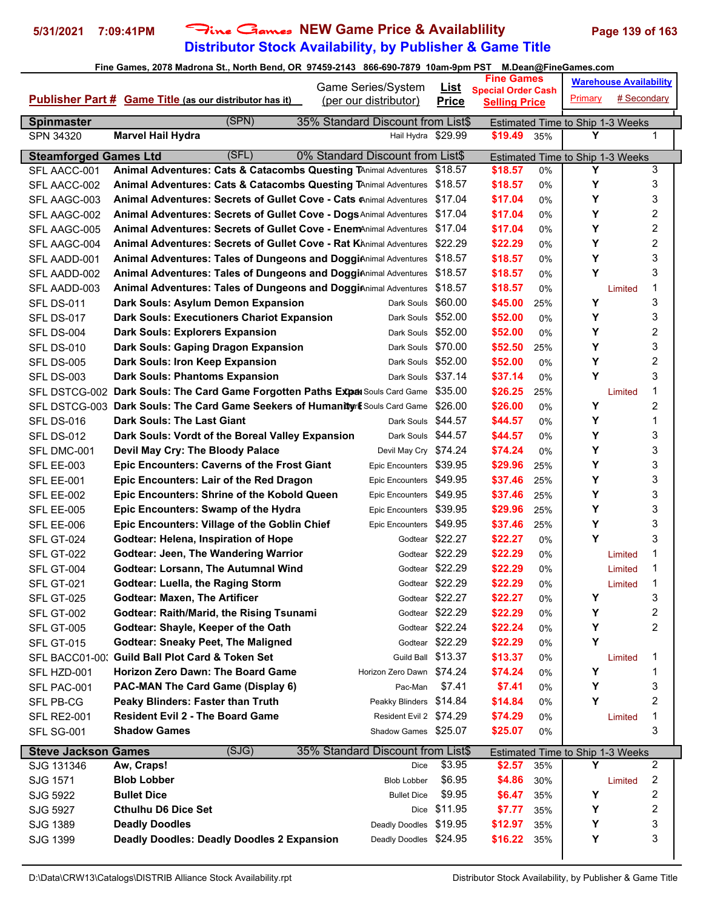## **Distributor Stock Availability, by Publisher & Game Title 5/31/2021 7:09:41PM** Fine Games **NEW Game Price & Availablility Page 139 of 163**

|                                | $\frac{1}{2}$ and $\frac{1}{2}$ and $\frac{1}{2}$ and $\frac{1}{2}$ and $\frac{1}{2}$ and $\frac{1}{2}$ and $\frac{1}{2}$ and $\frac{1}{2}$ and $\frac{1}{2}$ and $\frac{1}{2}$ and $\frac{1}{2}$ and $\frac{1}{2}$ and $\frac{1}{2}$ and $\frac{1}{2}$ and $\frac{1}{2}$ and $\frac{1}{2}$ a | Game Series/System                                      | <u>List</u>     | <b>Fine Games</b>                                 |       | וווסטופטוונשט וווסטמוווסטונטווו       | <b>Warehouse Availability</b> |   |
|--------------------------------|-----------------------------------------------------------------------------------------------------------------------------------------------------------------------------------------------------------------------------------------------------------------------------------------------|---------------------------------------------------------|-----------------|---------------------------------------------------|-------|---------------------------------------|-------------------------------|---|
|                                | <b>Publisher Part # Game Title (as our distributor has it)</b>                                                                                                                                                                                                                                | (per our distributor)                                   | <b>Price</b>    | <b>Special Order Cash</b><br><b>Selling Price</b> |       | <b>Primary</b>                        | # Secondary                   |   |
|                                | (SPN)                                                                                                                                                                                                                                                                                         |                                                         |                 |                                                   |       |                                       |                               |   |
| <b>Spinmaster</b><br>SPN 34320 | <b>Marvel Hail Hydra</b>                                                                                                                                                                                                                                                                      | 35% Standard Discount from List\$<br>Hail Hydra \$29.99 |                 | \$19.49                                           | 35%   | Estimated Time to Ship 1-3 Weeks<br>Υ |                               | 1 |
|                                |                                                                                                                                                                                                                                                                                               |                                                         |                 |                                                   |       |                                       |                               |   |
| <b>Steamforged Games Ltd</b>   | (SFL)                                                                                                                                                                                                                                                                                         | 0% Standard Discount from List\$                        |                 |                                                   |       | Estimated Time to Ship 1-3 Weeks      |                               |   |
| SFL AACC-001                   | <b>Animal Adventures: Cats &amp; Catacombs Questing TAnimal Adventures</b>                                                                                                                                                                                                                    |                                                         | \$18.57         | \$18.57                                           | 0%    | Y                                     |                               | 3 |
| SFL AACC-002                   | Animal Adventures: Cats & Catacombs Questing TAnimal Adventures \$18.57                                                                                                                                                                                                                       |                                                         |                 | \$18.57                                           | 0%    | Υ                                     |                               | 3 |
| SFL AAGC-003                   | Animal Adventures: Secrets of Gullet Cove - Cats Animal Adventures \$17.04                                                                                                                                                                                                                    |                                                         |                 | \$17.04                                           | 0%    | Υ                                     |                               | 3 |
| SFL AAGC-002                   | Animal Adventures: Secrets of Gullet Cove - Dogs Animal Adventures \$17.04                                                                                                                                                                                                                    |                                                         |                 | \$17.04                                           | 0%    | Y                                     |                               | 2 |
| SFL AAGC-005                   | Animal Adventures: Secrets of Gullet Cove - EnemAnimal Adventures \$17.04                                                                                                                                                                                                                     |                                                         |                 | \$17.04                                           | $0\%$ | Υ                                     |                               | 2 |
| SFL AAGC-004                   | <b>Animal Adventures: Secrets of Gullet Cove - Rat KAnimal Adventures</b>                                                                                                                                                                                                                     |                                                         | \$22.29         | \$22.29                                           | 0%    | Υ                                     |                               | 2 |
| SFL AADD-001                   | <b>Animal Adventures: Tales of Dungeons and DoggiAnimal Adventures</b>                                                                                                                                                                                                                        |                                                         | \$18.57         | \$18.57                                           | $0\%$ | Υ                                     |                               | 3 |
| SFL AADD-002                   | <b>Animal Adventures: Tales of Dungeons and DoggiAnimal Adventures</b>                                                                                                                                                                                                                        |                                                         | \$18.57         | \$18.57                                           | 0%    | Y                                     |                               | 3 |
| SFL AADD-003                   | <b>Animal Adventures: Tales of Dungeons and DoggiAnimal Adventures</b>                                                                                                                                                                                                                        |                                                         | \$18.57         | \$18.57                                           | 0%    |                                       | Limited                       | 1 |
| <b>SFL DS-011</b>              | Dark Souls: Asylum Demon Expansion                                                                                                                                                                                                                                                            | Dark Souls                                              | \$60.00         | \$45.00                                           | 25%   | Υ                                     |                               | 3 |
| <b>SFL DS-017</b>              | <b>Dark Souls: Executioners Chariot Expansion</b>                                                                                                                                                                                                                                             | Dark Souls \$52.00                                      |                 | \$52.00                                           | 0%    | Υ                                     |                               | 3 |
| <b>SFL DS-004</b>              | <b>Dark Souls: Explorers Expansion</b>                                                                                                                                                                                                                                                        | Dark Souls \$52.00                                      |                 | \$52.00                                           | $0\%$ | Y                                     |                               | 2 |
| <b>SFL DS-010</b>              | Dark Souls: Gaping Dragon Expansion                                                                                                                                                                                                                                                           | Dark Souls \$70.00                                      |                 | \$52.50                                           | 25%   | Y                                     |                               | 3 |
| <b>SFL DS-005</b>              | Dark Souls: Iron Keep Expansion                                                                                                                                                                                                                                                               | Dark Souls \$52.00                                      |                 | \$52.00                                           | $0\%$ | Y                                     |                               | 2 |
| <b>SFL DS-003</b>              | <b>Dark Souls: Phantoms Expansion</b>                                                                                                                                                                                                                                                         | Dark Souls \$37.14                                      |                 | \$37.14                                           | 0%    | Υ                                     |                               | 3 |
|                                | SFL DSTCG-002 Dark Souls: The Card Game Forgotten Paths Expax Souls Card Game \$35.00                                                                                                                                                                                                         |                                                         |                 | \$26.25                                           | 25%   |                                       | Limited                       | 1 |
|                                | SFL DSTCG-003 Dark Souls: The Card Game Seekers of Humanity of Souls Card Game \$26.00                                                                                                                                                                                                        |                                                         |                 | \$26.00                                           | 0%    | Υ                                     |                               | 2 |
| <b>SFL DS-016</b>              | <b>Dark Souls: The Last Giant</b>                                                                                                                                                                                                                                                             | Dark Souls \$44.57                                      |                 | \$44.57                                           | 0%    | Υ                                     |                               | 1 |
| <b>SFL DS-012</b>              | Dark Souls: Vordt of the Boreal Valley Expansion                                                                                                                                                                                                                                              | Dark Souls \$44.57                                      |                 | \$44.57                                           | 0%    | Y                                     |                               | 3 |
| SFL DMC-001                    | Devil May Cry: The Bloody Palace                                                                                                                                                                                                                                                              | Devil May Cry \$74.24                                   |                 | \$74.24                                           | 0%    | Υ                                     |                               | 3 |
| <b>SFL EE-003</b>              | <b>Epic Encounters: Caverns of the Frost Giant</b>                                                                                                                                                                                                                                            | Epic Encounters \$39.95                                 |                 | \$29.96                                           | 25%   | Υ                                     |                               | 3 |
| SFL EE-001                     | Epic Encounters: Lair of the Red Dragon                                                                                                                                                                                                                                                       | Epic Encounters \$49.95                                 |                 | \$37.46                                           | 25%   | Y                                     |                               | 3 |
| SFL EE-002                     | Epic Encounters: Shrine of the Kobold Queen                                                                                                                                                                                                                                                   | Epic Encounters \$49.95                                 |                 | \$37.46                                           | 25%   | Υ                                     |                               | 3 |
| <b>SFL EE-005</b>              | Epic Encounters: Swamp of the Hydra                                                                                                                                                                                                                                                           | Epic Encounters \$39.95                                 |                 | \$29.96                                           | 25%   | Y                                     |                               | 3 |
| SFL EE-006                     | <b>Epic Encounters: Village of the Goblin Chief</b>                                                                                                                                                                                                                                           | Epic Encounters \$49.95                                 |                 | \$37.46                                           | 25%   | Υ                                     |                               | 3 |
| SFL GT-024                     | Godtear: Helena, Inspiration of Hope                                                                                                                                                                                                                                                          |                                                         | Godtear \$22.27 | \$22.27                                           | 0%    | Y                                     |                               | 3 |
| <b>SFL GT-022</b>              | <b>Godtear: Jeen, The Wandering Warrior</b>                                                                                                                                                                                                                                                   |                                                         | Godtear \$22.29 | \$22.29                                           | 0%    |                                       | Limited                       | 1 |
| SFL GT-004                     | <b>Godtear: Lorsann, The Autumnal Wind</b>                                                                                                                                                                                                                                                    |                                                         | Godtear \$22.29 | \$22.29                                           | 0%    |                                       | Limited                       | 1 |
| SFL GT-021                     | <b>Godtear: Luella, the Raging Storm</b>                                                                                                                                                                                                                                                      |                                                         | Godtear \$22.29 | \$22.29                                           | 0%    |                                       | Limited                       | 1 |
| <b>SFL GT-025</b>              | <b>Godtear: Maxen, The Artificer</b>                                                                                                                                                                                                                                                          |                                                         | Godtear \$22.27 | \$22.27                                           | 0%    | Υ                                     |                               | 3 |
| SFL GT-002                     | <b>Godtear: Raith/Marid, the Rising Tsunami</b>                                                                                                                                                                                                                                               |                                                         | Godtear \$22.29 | \$22.29                                           | 0%    | Y                                     |                               | 2 |
| SFL GT-005                     | Godtear: Shayle, Keeper of the Oath                                                                                                                                                                                                                                                           |                                                         | Godtear \$22.24 | \$22.24                                           | 0%    | Υ                                     |                               | 2 |
| <b>SFL GT-015</b>              | <b>Godtear: Sneaky Peet, The Maligned</b>                                                                                                                                                                                                                                                     |                                                         | Godtear \$22.29 | \$22.29                                           | 0%    | Υ                                     |                               |   |
|                                | SFL BACC01-00: Guild Ball Plot Card & Token Set                                                                                                                                                                                                                                               | Guild Ball \$13.37                                      |                 | \$13.37                                           | 0%    |                                       | Limited                       | 1 |
| SFL HZD-001                    | Horizon Zero Dawn: The Board Game                                                                                                                                                                                                                                                             | Horizon Zero Dawn \$74.24                               |                 | \$74.24                                           | 0%    | Υ                                     |                               | 1 |
| SFL PAC-001                    | PAC-MAN The Card Game (Display 6)                                                                                                                                                                                                                                                             | Pac-Man                                                 | \$7.41          | \$7.41                                            | 0%    | Y                                     |                               | 3 |
| SFL PB-CG                      | Peaky Blinders: Faster than Truth                                                                                                                                                                                                                                                             | Peakky Blinders \$14.84                                 |                 | \$14.84                                           | 0%    | Y                                     |                               | 2 |
| <b>SFL RE2-001</b>             | <b>Resident Evil 2 - The Board Game</b>                                                                                                                                                                                                                                                       | Resident Evil 2 \$74.29                                 |                 | \$74.29                                           | 0%    |                                       | Limited                       | 1 |
| SFL SG-001                     | <b>Shadow Games</b>                                                                                                                                                                                                                                                                           | Shadow Games \$25.07                                    |                 | \$25.07                                           | 0%    |                                       |                               | 3 |
| <b>Steve Jackson Games</b>     | (SJG)                                                                                                                                                                                                                                                                                         | 35% Standard Discount from List\$                       |                 |                                                   |       | Estimated Time to Ship 1-3 Weeks      |                               |   |
| SJG 131346                     | Aw, Craps!                                                                                                                                                                                                                                                                                    | Dice                                                    | \$3.95          | \$2.57                                            | 35%   | Y                                     |                               | 2 |
| SJG 1571                       | <b>Blob Lobber</b>                                                                                                                                                                                                                                                                            | <b>Blob Lobber</b>                                      | \$6.95          | \$4.86                                            | 30%   |                                       | Limited                       | 2 |
| SJG 5922                       | <b>Bullet Dice</b>                                                                                                                                                                                                                                                                            | <b>Bullet Dice</b>                                      | \$9.95          | \$6.47                                            | 35%   | Y                                     |                               | 2 |
| SJG 5927                       | <b>Cthulhu D6 Dice Set</b>                                                                                                                                                                                                                                                                    |                                                         | Dice \$11.95    | \$7.77                                            | 35%   | Y                                     |                               | 2 |
| SJG 1389                       | <b>Deadly Doodles</b>                                                                                                                                                                                                                                                                         | Deadly Doodles                                          | \$19.95         | \$12.97                                           | 35%   | Y                                     |                               | 3 |
| SJG 1399                       | <b>Deadly Doodles: Deadly Doodles 2 Expansion</b>                                                                                                                                                                                                                                             | Deadly Doodles \$24.95                                  |                 | \$16.22                                           | 35%   | Υ                                     |                               | 3 |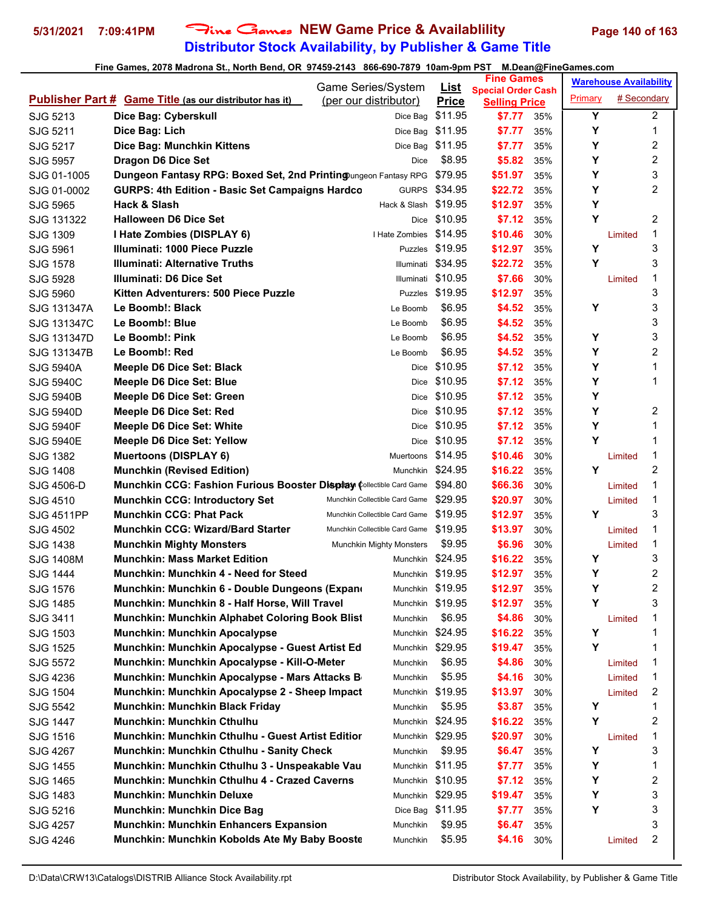# **Distributor Stock Availability, by Publisher & Game Title 5/31/2021 7:09:41PM** Fine Games **NEW Game Price & Availablility Page 140 of 163**

| Game Series/System<br><u>List</u><br><b>Special Order Cash</b><br># Secondary<br>Primary<br><b>Publisher Part # Game Title (as our distributor has it)</b><br>(per our distributor)<br><b>Price</b><br><b>Selling Price</b><br>Y<br>2<br>\$11.95<br>SJG 5213<br>Dice Bag: Cyberskull<br>\$7.77<br>Dice Bag<br>35%<br>Υ<br>1<br>\$11.95<br>Dice Bag: Lich<br>\$7.77<br>SJG 5211<br>Dice Bag<br>35%<br>2<br>Υ<br>\$11.95<br>SJG 5217<br>Dice Bag: Munchkin Kittens<br>\$7.77<br>Dice Bag<br>35%<br>2<br>\$8.95<br>Y<br><b>Dragon D6 Dice Set</b><br>\$5.82<br>35%<br><b>SJG 5957</b><br>Dice<br>3<br>Y<br>Dungeon Fantasy RPG: Boxed Set, 2nd Printing ungeon Fantasy RPG<br>\$79.95<br>\$51.97<br>SJG 01-1005<br>35%<br>Υ<br>2<br><b>GURPS: 4th Edition - Basic Set Campaigns Hardco</b><br>\$34.95<br>\$22.72<br>SJG 01-0002<br><b>GURPS</b><br>35%<br>Y<br>Hack & Slash<br>\$19.95<br>\$12.97<br>35%<br>SJG 5965<br>Hack & Slash<br>Y<br>$\overline{2}$<br>\$10.95<br><b>Halloween D6 Dice Set</b><br>\$7.12<br>SJG 131322<br>35%<br>Dice<br>1<br>\$14.95<br>I Hate Zombies (DISPLAY 6)<br>\$10.46<br>SJG 1309<br>I Hate Zombies<br>30%<br>Limited<br>3<br>Y<br>Illuminati: 1000 Piece Puzzle<br>Puzzles \$19.95<br>SJG 5961<br>\$12.97<br>35%<br>3<br>Υ<br>SJG 1578<br><b>Illuminati: Alternative Truths</b><br>\$34.95<br>\$22.72<br>35%<br>Illuminati<br>1<br>SJG 5928<br>Illuminati: D6 Dice Set<br>\$10.95<br>\$7.66<br>30%<br>Illuminati<br>Limited<br>3<br>Puzzles \$19.95<br>Kitten Adventurers: 500 Piece Puzzle<br>\$12.97<br>SJG 5960<br>35%<br>3<br>Υ<br>Le Boomb!: Black<br>\$6.95<br>\$4.52<br>35%<br>SJG 131347A<br>Le Boomb<br>3<br>\$6.95<br>\$4.52<br>Le Boomb!: Blue<br>35%<br>SJG 131347C<br>Le Boomb<br>3<br>\$6.95<br>Y<br>Le Boomb!: Pink<br>\$4.52<br>SJG 131347D<br>Le Boomb<br>35%<br>2<br>\$6.95<br>Y<br>Le Boomb!: Red<br>\$4.52<br>SJG 131347B<br>Le Boomb<br>35%<br>Υ<br>Meeple D6 Dice Set: Black<br>\$10.95<br>\$7.12<br>35%<br>1<br><b>SJG 5940A</b><br>Dice<br>Υ<br>\$10.95<br>\$7.12<br><b>SJG 5940C</b><br>Meeple D6 Dice Set: Blue<br>1<br>35%<br>Dice<br>Υ<br>\$10.95<br>\$7.12<br>Meeple D6 Dice Set: Green<br><b>SJG 5940B</b><br>35%<br>Dice<br>Y<br>$\overline{c}$<br>\$7.12<br>Meeple D6 Dice Set: Red<br>\$10.95<br>35%<br><b>SJG 5940D</b><br>Dice<br>Y<br><b>Meeple D6 Dice Set: White</b><br>\$10.95<br>\$7.12<br>1<br>35%<br><b>SJG 5940F</b><br>Dice<br>Y<br>\$10.95<br>1<br><b>Meeple D6 Dice Set: Yellow</b><br>\$7.12<br><b>SJG 5940E</b><br>35%<br>Dice<br>\$14.95<br>1<br><b>Muertoons (DISPLAY 6)</b><br>\$10.46<br>SJG 1382<br>Muertoons<br>30%<br>Limited<br>$\overline{2}$<br>Y<br><b>Munchkin (Revised Edition)</b><br>\$24.95<br>\$16.22<br>SJG 1408<br>35%<br>Munchkin<br>1<br><b>Munchkin CCG: Fashion Furious Booster Display Collectible Card Game</b><br>\$94.80<br>\$66.36<br>SJG 4506-D<br>30%<br>Limited<br>1<br>SJG 4510<br><b>Munchkin CCG: Introductory Set</b><br>\$29.95<br>\$20.97<br>Munchkin Collectible Card Game<br>30%<br>Limited<br>3<br>Y<br><b>Munchkin CCG: Phat Pack</b><br>\$19.95<br>\$12.97<br><b>SJG 4511PP</b><br>Munchkin Collectible Card Game<br>35%<br><b>Munchkin CCG: Wizard/Bard Starter</b><br>\$19.95<br>\$13.97<br>1<br>SJG 4502<br>Munchkin Collectible Card Game<br>30%<br>Limited<br>1<br>\$9.95<br><b>Munchkin Mighty Monsters</b><br>\$6.96<br>SJG 1438<br>30%<br>Limited<br>Munchkin Mighty Monsters<br>3<br>\$24.95<br><b>SJG 1408M</b><br><b>Munchkin: Mass Market Edition</b><br>\$16.22<br>Υ<br>Munchkin<br>35%<br>2<br>Y<br><b>Munchkin: Munchkin 4 - Need for Steed</b><br>Munchkin \$19.95<br>\$12.97<br><b>SJG 1444</b><br>35%<br>Y<br>2<br>\$12.97<br>Munchkin \$19.95<br>35%<br>SJG 1576<br>Munchkin: Munchkin 6 - Double Dungeons (Expane<br>3<br>Υ<br>Munchkin: Munchkin 8 - Half Horse, Will Travel<br>Munchkin \$19.95<br>\$12.97<br>SJG 1485<br>35%<br>\$6.95<br>Munchkin: Munchkin Alphabet Coloring Book Blist<br>\$4.86<br>1<br>SJG 3411<br>30%<br>Munchkin<br>Limited<br>Y<br><b>Munchkin: Munchkin Apocalypse</b><br>Munchkin \$24.95<br>\$16.22<br>1<br>SJG 1503<br>35%<br>Y<br>Munchkin: Munchkin Apocalypse - Guest Artist Ed<br>Munchkin \$29.95<br>\$19.47<br>1<br>35%<br>SJG 1525<br>\$6.95<br>Munchkin: Munchkin Apocalypse - Kill-O-Meter<br>1<br>SJG 5572<br>Munchkin<br>\$4.86<br>30%<br>Limited<br>\$5.95<br>Munchkin: Munchkin Apocalypse - Mars Attacks B<br>\$4.16<br>1<br>SJG 4236<br>Munchkin<br>30%<br>Limited<br>Munchkin: Munchkin Apocalypse 2 - Sheep Impact<br>\$19.95<br>\$13.97<br>2<br>SJG 1504<br>Munchkin<br>30%<br>Limited<br>\$5.95<br>Υ<br>1<br><b>Munchkin: Munchkin Black Friday</b><br>\$3.87<br>SJG 5542<br>35%<br>Munchkin<br>2<br>Munchkin \$24.95<br>Y<br><b>Munchkin: Munchkin Cthulhu</b><br>\$16.22<br>SJG 1447<br>35%<br>\$29.95<br>1<br>Munchkin: Munchkin Cthulhu - Guest Artist Editior<br>\$20.97<br>SJG 1516<br>Munchkin<br>30%<br>Limited<br>3<br>Y<br>Munchkin: Munchkin Cthulhu - Sanity Check<br>\$9.95<br>\$6.47<br>SJG 4267<br>Munchkin<br>35%<br>Munchkin: Munchkin Cthulhu 3 - Unspeakable Vau<br>Munchkin \$11.95<br>\$7.77<br>Y<br>1<br>SJG 1455<br>35%<br>$\overline{\mathbf{c}}$<br>Munchkin: Munchkin Cthulhu 4 - Crazed Caverns<br>Υ<br>Munchkin \$10.95<br>\$7.12<br>SJG 1465<br>35%<br>Y<br>3<br><b>Munchkin: Munchkin Deluxe</b><br>Munchkin \$29.95<br>\$19.47<br>SJG 1483<br>35%<br>Υ<br>3<br><b>Munchkin: Munchkin Dice Bag</b><br>Dice Bag \$11.95<br>\$7.77<br>SJG 5216<br>35%<br>3<br>\$9.95<br><b>Munchkin: Munchkin Enhancers Expansion</b><br>\$6.47<br>SJG 4257<br>Munchkin<br>35%<br>$\overline{c}$<br>\$5.95<br>Munchkin: Munchkin Kobolds Ate My Baby Booste<br>\$4.16<br>SJG 4246<br>Munchkin<br>30%<br>Limited |  |  |  | <b>Fine Games</b> |  | <b>Warehouse Availability</b> |  |  |
|----------------------------------------------------------------------------------------------------------------------------------------------------------------------------------------------------------------------------------------------------------------------------------------------------------------------------------------------------------------------------------------------------------------------------------------------------------------------------------------------------------------------------------------------------------------------------------------------------------------------------------------------------------------------------------------------------------------------------------------------------------------------------------------------------------------------------------------------------------------------------------------------------------------------------------------------------------------------------------------------------------------------------------------------------------------------------------------------------------------------------------------------------------------------------------------------------------------------------------------------------------------------------------------------------------------------------------------------------------------------------------------------------------------------------------------------------------------------------------------------------------------------------------------------------------------------------------------------------------------------------------------------------------------------------------------------------------------------------------------------------------------------------------------------------------------------------------------------------------------------------------------------------------------------------------------------------------------------------------------------------------------------------------------------------------------------------------------------------------------------------------------------------------------------------------------------------------------------------------------------------------------------------------------------------------------------------------------------------------------------------------------------------------------------------------------------------------------------------------------------------------------------------------------------------------------------------------------------------------------------------------------------------------------------------------------------------------------------------------------------------------------------------------------------------------------------------------------------------------------------------------------------------------------------------------------------------------------------------------------------------------------------------------------------------------------------------------------------------------------------------------------------------------------------------------------------------------------------------------------------------------------------------------------------------------------------------------------------------------------------------------------------------------------------------------------------------------------------------------------------------------------------------------------------------------------------------------------------------------------------------------------------------------------------------------------------------------------------------------------------------------------------------------------------------------------------------------------------------------------------------------------------------------------------------------------------------------------------------------------------------------------------------------------------------------------------------------------------------------------------------------------------------------------------------------------------------------------------------------------------------------------------------------------------------------------------------------------------------------------------------------------------------------------------------------------------------------------------------------------------------------------------------------------------------------------------------------------------------------------------------------------------------------------------------------------------------------------------------------------------------------------------------------------------------------------------------------------------------------------------------------------------------------------------------------------------------------------------------------------------------------------------------------------------------------------------------------------------------------------------------------------------------------------------------------------------------------------------------------------------------------------------------------------------------------------------------------------------------------------------------------------------------------------------------------------------------------------------------------------------------------------------------------------------------------------------------------------------------------------------------------------------------------------------------------------------------------------------------|--|--|--|-------------------|--|-------------------------------|--|--|
|                                                                                                                                                                                                                                                                                                                                                                                                                                                                                                                                                                                                                                                                                                                                                                                                                                                                                                                                                                                                                                                                                                                                                                                                                                                                                                                                                                                                                                                                                                                                                                                                                                                                                                                                                                                                                                                                                                                                                                                                                                                                                                                                                                                                                                                                                                                                                                                                                                                                                                                                                                                                                                                                                                                                                                                                                                                                                                                                                                                                                                                                                                                                                                                                                                                                                                                                                                                                                                                                                                                                                                                                                                                                                                                                                                                                                                                                                                                                                                                                                                                                                                                                                                                                                                                                                                                                                                                                                                                                                                                                                                                                                                                                                                                                                                                                                                                                                                                                                                                                                                                                                                                                                                                                                                                                                                                                                                                                                                                                                                                                                                                                                                                                                                                            |  |  |  |                   |  |                               |  |  |
|                                                                                                                                                                                                                                                                                                                                                                                                                                                                                                                                                                                                                                                                                                                                                                                                                                                                                                                                                                                                                                                                                                                                                                                                                                                                                                                                                                                                                                                                                                                                                                                                                                                                                                                                                                                                                                                                                                                                                                                                                                                                                                                                                                                                                                                                                                                                                                                                                                                                                                                                                                                                                                                                                                                                                                                                                                                                                                                                                                                                                                                                                                                                                                                                                                                                                                                                                                                                                                                                                                                                                                                                                                                                                                                                                                                                                                                                                                                                                                                                                                                                                                                                                                                                                                                                                                                                                                                                                                                                                                                                                                                                                                                                                                                                                                                                                                                                                                                                                                                                                                                                                                                                                                                                                                                                                                                                                                                                                                                                                                                                                                                                                                                                                                                            |  |  |  |                   |  |                               |  |  |
|                                                                                                                                                                                                                                                                                                                                                                                                                                                                                                                                                                                                                                                                                                                                                                                                                                                                                                                                                                                                                                                                                                                                                                                                                                                                                                                                                                                                                                                                                                                                                                                                                                                                                                                                                                                                                                                                                                                                                                                                                                                                                                                                                                                                                                                                                                                                                                                                                                                                                                                                                                                                                                                                                                                                                                                                                                                                                                                                                                                                                                                                                                                                                                                                                                                                                                                                                                                                                                                                                                                                                                                                                                                                                                                                                                                                                                                                                                                                                                                                                                                                                                                                                                                                                                                                                                                                                                                                                                                                                                                                                                                                                                                                                                                                                                                                                                                                                                                                                                                                                                                                                                                                                                                                                                                                                                                                                                                                                                                                                                                                                                                                                                                                                                                            |  |  |  |                   |  |                               |  |  |
|                                                                                                                                                                                                                                                                                                                                                                                                                                                                                                                                                                                                                                                                                                                                                                                                                                                                                                                                                                                                                                                                                                                                                                                                                                                                                                                                                                                                                                                                                                                                                                                                                                                                                                                                                                                                                                                                                                                                                                                                                                                                                                                                                                                                                                                                                                                                                                                                                                                                                                                                                                                                                                                                                                                                                                                                                                                                                                                                                                                                                                                                                                                                                                                                                                                                                                                                                                                                                                                                                                                                                                                                                                                                                                                                                                                                                                                                                                                                                                                                                                                                                                                                                                                                                                                                                                                                                                                                                                                                                                                                                                                                                                                                                                                                                                                                                                                                                                                                                                                                                                                                                                                                                                                                                                                                                                                                                                                                                                                                                                                                                                                                                                                                                                                            |  |  |  |                   |  |                               |  |  |
|                                                                                                                                                                                                                                                                                                                                                                                                                                                                                                                                                                                                                                                                                                                                                                                                                                                                                                                                                                                                                                                                                                                                                                                                                                                                                                                                                                                                                                                                                                                                                                                                                                                                                                                                                                                                                                                                                                                                                                                                                                                                                                                                                                                                                                                                                                                                                                                                                                                                                                                                                                                                                                                                                                                                                                                                                                                                                                                                                                                                                                                                                                                                                                                                                                                                                                                                                                                                                                                                                                                                                                                                                                                                                                                                                                                                                                                                                                                                                                                                                                                                                                                                                                                                                                                                                                                                                                                                                                                                                                                                                                                                                                                                                                                                                                                                                                                                                                                                                                                                                                                                                                                                                                                                                                                                                                                                                                                                                                                                                                                                                                                                                                                                                                                            |  |  |  |                   |  |                               |  |  |
|                                                                                                                                                                                                                                                                                                                                                                                                                                                                                                                                                                                                                                                                                                                                                                                                                                                                                                                                                                                                                                                                                                                                                                                                                                                                                                                                                                                                                                                                                                                                                                                                                                                                                                                                                                                                                                                                                                                                                                                                                                                                                                                                                                                                                                                                                                                                                                                                                                                                                                                                                                                                                                                                                                                                                                                                                                                                                                                                                                                                                                                                                                                                                                                                                                                                                                                                                                                                                                                                                                                                                                                                                                                                                                                                                                                                                                                                                                                                                                                                                                                                                                                                                                                                                                                                                                                                                                                                                                                                                                                                                                                                                                                                                                                                                                                                                                                                                                                                                                                                                                                                                                                                                                                                                                                                                                                                                                                                                                                                                                                                                                                                                                                                                                                            |  |  |  |                   |  |                               |  |  |
|                                                                                                                                                                                                                                                                                                                                                                                                                                                                                                                                                                                                                                                                                                                                                                                                                                                                                                                                                                                                                                                                                                                                                                                                                                                                                                                                                                                                                                                                                                                                                                                                                                                                                                                                                                                                                                                                                                                                                                                                                                                                                                                                                                                                                                                                                                                                                                                                                                                                                                                                                                                                                                                                                                                                                                                                                                                                                                                                                                                                                                                                                                                                                                                                                                                                                                                                                                                                                                                                                                                                                                                                                                                                                                                                                                                                                                                                                                                                                                                                                                                                                                                                                                                                                                                                                                                                                                                                                                                                                                                                                                                                                                                                                                                                                                                                                                                                                                                                                                                                                                                                                                                                                                                                                                                                                                                                                                                                                                                                                                                                                                                                                                                                                                                            |  |  |  |                   |  |                               |  |  |
|                                                                                                                                                                                                                                                                                                                                                                                                                                                                                                                                                                                                                                                                                                                                                                                                                                                                                                                                                                                                                                                                                                                                                                                                                                                                                                                                                                                                                                                                                                                                                                                                                                                                                                                                                                                                                                                                                                                                                                                                                                                                                                                                                                                                                                                                                                                                                                                                                                                                                                                                                                                                                                                                                                                                                                                                                                                                                                                                                                                                                                                                                                                                                                                                                                                                                                                                                                                                                                                                                                                                                                                                                                                                                                                                                                                                                                                                                                                                                                                                                                                                                                                                                                                                                                                                                                                                                                                                                                                                                                                                                                                                                                                                                                                                                                                                                                                                                                                                                                                                                                                                                                                                                                                                                                                                                                                                                                                                                                                                                                                                                                                                                                                                                                                            |  |  |  |                   |  |                               |  |  |
|                                                                                                                                                                                                                                                                                                                                                                                                                                                                                                                                                                                                                                                                                                                                                                                                                                                                                                                                                                                                                                                                                                                                                                                                                                                                                                                                                                                                                                                                                                                                                                                                                                                                                                                                                                                                                                                                                                                                                                                                                                                                                                                                                                                                                                                                                                                                                                                                                                                                                                                                                                                                                                                                                                                                                                                                                                                                                                                                                                                                                                                                                                                                                                                                                                                                                                                                                                                                                                                                                                                                                                                                                                                                                                                                                                                                                                                                                                                                                                                                                                                                                                                                                                                                                                                                                                                                                                                                                                                                                                                                                                                                                                                                                                                                                                                                                                                                                                                                                                                                                                                                                                                                                                                                                                                                                                                                                                                                                                                                                                                                                                                                                                                                                                                            |  |  |  |                   |  |                               |  |  |
|                                                                                                                                                                                                                                                                                                                                                                                                                                                                                                                                                                                                                                                                                                                                                                                                                                                                                                                                                                                                                                                                                                                                                                                                                                                                                                                                                                                                                                                                                                                                                                                                                                                                                                                                                                                                                                                                                                                                                                                                                                                                                                                                                                                                                                                                                                                                                                                                                                                                                                                                                                                                                                                                                                                                                                                                                                                                                                                                                                                                                                                                                                                                                                                                                                                                                                                                                                                                                                                                                                                                                                                                                                                                                                                                                                                                                                                                                                                                                                                                                                                                                                                                                                                                                                                                                                                                                                                                                                                                                                                                                                                                                                                                                                                                                                                                                                                                                                                                                                                                                                                                                                                                                                                                                                                                                                                                                                                                                                                                                                                                                                                                                                                                                                                            |  |  |  |                   |  |                               |  |  |
|                                                                                                                                                                                                                                                                                                                                                                                                                                                                                                                                                                                                                                                                                                                                                                                                                                                                                                                                                                                                                                                                                                                                                                                                                                                                                                                                                                                                                                                                                                                                                                                                                                                                                                                                                                                                                                                                                                                                                                                                                                                                                                                                                                                                                                                                                                                                                                                                                                                                                                                                                                                                                                                                                                                                                                                                                                                                                                                                                                                                                                                                                                                                                                                                                                                                                                                                                                                                                                                                                                                                                                                                                                                                                                                                                                                                                                                                                                                                                                                                                                                                                                                                                                                                                                                                                                                                                                                                                                                                                                                                                                                                                                                                                                                                                                                                                                                                                                                                                                                                                                                                                                                                                                                                                                                                                                                                                                                                                                                                                                                                                                                                                                                                                                                            |  |  |  |                   |  |                               |  |  |
|                                                                                                                                                                                                                                                                                                                                                                                                                                                                                                                                                                                                                                                                                                                                                                                                                                                                                                                                                                                                                                                                                                                                                                                                                                                                                                                                                                                                                                                                                                                                                                                                                                                                                                                                                                                                                                                                                                                                                                                                                                                                                                                                                                                                                                                                                                                                                                                                                                                                                                                                                                                                                                                                                                                                                                                                                                                                                                                                                                                                                                                                                                                                                                                                                                                                                                                                                                                                                                                                                                                                                                                                                                                                                                                                                                                                                                                                                                                                                                                                                                                                                                                                                                                                                                                                                                                                                                                                                                                                                                                                                                                                                                                                                                                                                                                                                                                                                                                                                                                                                                                                                                                                                                                                                                                                                                                                                                                                                                                                                                                                                                                                                                                                                                                            |  |  |  |                   |  |                               |  |  |
|                                                                                                                                                                                                                                                                                                                                                                                                                                                                                                                                                                                                                                                                                                                                                                                                                                                                                                                                                                                                                                                                                                                                                                                                                                                                                                                                                                                                                                                                                                                                                                                                                                                                                                                                                                                                                                                                                                                                                                                                                                                                                                                                                                                                                                                                                                                                                                                                                                                                                                                                                                                                                                                                                                                                                                                                                                                                                                                                                                                                                                                                                                                                                                                                                                                                                                                                                                                                                                                                                                                                                                                                                                                                                                                                                                                                                                                                                                                                                                                                                                                                                                                                                                                                                                                                                                                                                                                                                                                                                                                                                                                                                                                                                                                                                                                                                                                                                                                                                                                                                                                                                                                                                                                                                                                                                                                                                                                                                                                                                                                                                                                                                                                                                                                            |  |  |  |                   |  |                               |  |  |
|                                                                                                                                                                                                                                                                                                                                                                                                                                                                                                                                                                                                                                                                                                                                                                                                                                                                                                                                                                                                                                                                                                                                                                                                                                                                                                                                                                                                                                                                                                                                                                                                                                                                                                                                                                                                                                                                                                                                                                                                                                                                                                                                                                                                                                                                                                                                                                                                                                                                                                                                                                                                                                                                                                                                                                                                                                                                                                                                                                                                                                                                                                                                                                                                                                                                                                                                                                                                                                                                                                                                                                                                                                                                                                                                                                                                                                                                                                                                                                                                                                                                                                                                                                                                                                                                                                                                                                                                                                                                                                                                                                                                                                                                                                                                                                                                                                                                                                                                                                                                                                                                                                                                                                                                                                                                                                                                                                                                                                                                                                                                                                                                                                                                                                                            |  |  |  |                   |  |                               |  |  |
|                                                                                                                                                                                                                                                                                                                                                                                                                                                                                                                                                                                                                                                                                                                                                                                                                                                                                                                                                                                                                                                                                                                                                                                                                                                                                                                                                                                                                                                                                                                                                                                                                                                                                                                                                                                                                                                                                                                                                                                                                                                                                                                                                                                                                                                                                                                                                                                                                                                                                                                                                                                                                                                                                                                                                                                                                                                                                                                                                                                                                                                                                                                                                                                                                                                                                                                                                                                                                                                                                                                                                                                                                                                                                                                                                                                                                                                                                                                                                                                                                                                                                                                                                                                                                                                                                                                                                                                                                                                                                                                                                                                                                                                                                                                                                                                                                                                                                                                                                                                                                                                                                                                                                                                                                                                                                                                                                                                                                                                                                                                                                                                                                                                                                                                            |  |  |  |                   |  |                               |  |  |
|                                                                                                                                                                                                                                                                                                                                                                                                                                                                                                                                                                                                                                                                                                                                                                                                                                                                                                                                                                                                                                                                                                                                                                                                                                                                                                                                                                                                                                                                                                                                                                                                                                                                                                                                                                                                                                                                                                                                                                                                                                                                                                                                                                                                                                                                                                                                                                                                                                                                                                                                                                                                                                                                                                                                                                                                                                                                                                                                                                                                                                                                                                                                                                                                                                                                                                                                                                                                                                                                                                                                                                                                                                                                                                                                                                                                                                                                                                                                                                                                                                                                                                                                                                                                                                                                                                                                                                                                                                                                                                                                                                                                                                                                                                                                                                                                                                                                                                                                                                                                                                                                                                                                                                                                                                                                                                                                                                                                                                                                                                                                                                                                                                                                                                                            |  |  |  |                   |  |                               |  |  |
|                                                                                                                                                                                                                                                                                                                                                                                                                                                                                                                                                                                                                                                                                                                                                                                                                                                                                                                                                                                                                                                                                                                                                                                                                                                                                                                                                                                                                                                                                                                                                                                                                                                                                                                                                                                                                                                                                                                                                                                                                                                                                                                                                                                                                                                                                                                                                                                                                                                                                                                                                                                                                                                                                                                                                                                                                                                                                                                                                                                                                                                                                                                                                                                                                                                                                                                                                                                                                                                                                                                                                                                                                                                                                                                                                                                                                                                                                                                                                                                                                                                                                                                                                                                                                                                                                                                                                                                                                                                                                                                                                                                                                                                                                                                                                                                                                                                                                                                                                                                                                                                                                                                                                                                                                                                                                                                                                                                                                                                                                                                                                                                                                                                                                                                            |  |  |  |                   |  |                               |  |  |
|                                                                                                                                                                                                                                                                                                                                                                                                                                                                                                                                                                                                                                                                                                                                                                                                                                                                                                                                                                                                                                                                                                                                                                                                                                                                                                                                                                                                                                                                                                                                                                                                                                                                                                                                                                                                                                                                                                                                                                                                                                                                                                                                                                                                                                                                                                                                                                                                                                                                                                                                                                                                                                                                                                                                                                                                                                                                                                                                                                                                                                                                                                                                                                                                                                                                                                                                                                                                                                                                                                                                                                                                                                                                                                                                                                                                                                                                                                                                                                                                                                                                                                                                                                                                                                                                                                                                                                                                                                                                                                                                                                                                                                                                                                                                                                                                                                                                                                                                                                                                                                                                                                                                                                                                                                                                                                                                                                                                                                                                                                                                                                                                                                                                                                                            |  |  |  |                   |  |                               |  |  |
|                                                                                                                                                                                                                                                                                                                                                                                                                                                                                                                                                                                                                                                                                                                                                                                                                                                                                                                                                                                                                                                                                                                                                                                                                                                                                                                                                                                                                                                                                                                                                                                                                                                                                                                                                                                                                                                                                                                                                                                                                                                                                                                                                                                                                                                                                                                                                                                                                                                                                                                                                                                                                                                                                                                                                                                                                                                                                                                                                                                                                                                                                                                                                                                                                                                                                                                                                                                                                                                                                                                                                                                                                                                                                                                                                                                                                                                                                                                                                                                                                                                                                                                                                                                                                                                                                                                                                                                                                                                                                                                                                                                                                                                                                                                                                                                                                                                                                                                                                                                                                                                                                                                                                                                                                                                                                                                                                                                                                                                                                                                                                                                                                                                                                                                            |  |  |  |                   |  |                               |  |  |
|                                                                                                                                                                                                                                                                                                                                                                                                                                                                                                                                                                                                                                                                                                                                                                                                                                                                                                                                                                                                                                                                                                                                                                                                                                                                                                                                                                                                                                                                                                                                                                                                                                                                                                                                                                                                                                                                                                                                                                                                                                                                                                                                                                                                                                                                                                                                                                                                                                                                                                                                                                                                                                                                                                                                                                                                                                                                                                                                                                                                                                                                                                                                                                                                                                                                                                                                                                                                                                                                                                                                                                                                                                                                                                                                                                                                                                                                                                                                                                                                                                                                                                                                                                                                                                                                                                                                                                                                                                                                                                                                                                                                                                                                                                                                                                                                                                                                                                                                                                                                                                                                                                                                                                                                                                                                                                                                                                                                                                                                                                                                                                                                                                                                                                                            |  |  |  |                   |  |                               |  |  |
|                                                                                                                                                                                                                                                                                                                                                                                                                                                                                                                                                                                                                                                                                                                                                                                                                                                                                                                                                                                                                                                                                                                                                                                                                                                                                                                                                                                                                                                                                                                                                                                                                                                                                                                                                                                                                                                                                                                                                                                                                                                                                                                                                                                                                                                                                                                                                                                                                                                                                                                                                                                                                                                                                                                                                                                                                                                                                                                                                                                                                                                                                                                                                                                                                                                                                                                                                                                                                                                                                                                                                                                                                                                                                                                                                                                                                                                                                                                                                                                                                                                                                                                                                                                                                                                                                                                                                                                                                                                                                                                                                                                                                                                                                                                                                                                                                                                                                                                                                                                                                                                                                                                                                                                                                                                                                                                                                                                                                                                                                                                                                                                                                                                                                                                            |  |  |  |                   |  |                               |  |  |
|                                                                                                                                                                                                                                                                                                                                                                                                                                                                                                                                                                                                                                                                                                                                                                                                                                                                                                                                                                                                                                                                                                                                                                                                                                                                                                                                                                                                                                                                                                                                                                                                                                                                                                                                                                                                                                                                                                                                                                                                                                                                                                                                                                                                                                                                                                                                                                                                                                                                                                                                                                                                                                                                                                                                                                                                                                                                                                                                                                                                                                                                                                                                                                                                                                                                                                                                                                                                                                                                                                                                                                                                                                                                                                                                                                                                                                                                                                                                                                                                                                                                                                                                                                                                                                                                                                                                                                                                                                                                                                                                                                                                                                                                                                                                                                                                                                                                                                                                                                                                                                                                                                                                                                                                                                                                                                                                                                                                                                                                                                                                                                                                                                                                                                                            |  |  |  |                   |  |                               |  |  |
|                                                                                                                                                                                                                                                                                                                                                                                                                                                                                                                                                                                                                                                                                                                                                                                                                                                                                                                                                                                                                                                                                                                                                                                                                                                                                                                                                                                                                                                                                                                                                                                                                                                                                                                                                                                                                                                                                                                                                                                                                                                                                                                                                                                                                                                                                                                                                                                                                                                                                                                                                                                                                                                                                                                                                                                                                                                                                                                                                                                                                                                                                                                                                                                                                                                                                                                                                                                                                                                                                                                                                                                                                                                                                                                                                                                                                                                                                                                                                                                                                                                                                                                                                                                                                                                                                                                                                                                                                                                                                                                                                                                                                                                                                                                                                                                                                                                                                                                                                                                                                                                                                                                                                                                                                                                                                                                                                                                                                                                                                                                                                                                                                                                                                                                            |  |  |  |                   |  |                               |  |  |
|                                                                                                                                                                                                                                                                                                                                                                                                                                                                                                                                                                                                                                                                                                                                                                                                                                                                                                                                                                                                                                                                                                                                                                                                                                                                                                                                                                                                                                                                                                                                                                                                                                                                                                                                                                                                                                                                                                                                                                                                                                                                                                                                                                                                                                                                                                                                                                                                                                                                                                                                                                                                                                                                                                                                                                                                                                                                                                                                                                                                                                                                                                                                                                                                                                                                                                                                                                                                                                                                                                                                                                                                                                                                                                                                                                                                                                                                                                                                                                                                                                                                                                                                                                                                                                                                                                                                                                                                                                                                                                                                                                                                                                                                                                                                                                                                                                                                                                                                                                                                                                                                                                                                                                                                                                                                                                                                                                                                                                                                                                                                                                                                                                                                                                                            |  |  |  |                   |  |                               |  |  |
|                                                                                                                                                                                                                                                                                                                                                                                                                                                                                                                                                                                                                                                                                                                                                                                                                                                                                                                                                                                                                                                                                                                                                                                                                                                                                                                                                                                                                                                                                                                                                                                                                                                                                                                                                                                                                                                                                                                                                                                                                                                                                                                                                                                                                                                                                                                                                                                                                                                                                                                                                                                                                                                                                                                                                                                                                                                                                                                                                                                                                                                                                                                                                                                                                                                                                                                                                                                                                                                                                                                                                                                                                                                                                                                                                                                                                                                                                                                                                                                                                                                                                                                                                                                                                                                                                                                                                                                                                                                                                                                                                                                                                                                                                                                                                                                                                                                                                                                                                                                                                                                                                                                                                                                                                                                                                                                                                                                                                                                                                                                                                                                                                                                                                                                            |  |  |  |                   |  |                               |  |  |
|                                                                                                                                                                                                                                                                                                                                                                                                                                                                                                                                                                                                                                                                                                                                                                                                                                                                                                                                                                                                                                                                                                                                                                                                                                                                                                                                                                                                                                                                                                                                                                                                                                                                                                                                                                                                                                                                                                                                                                                                                                                                                                                                                                                                                                                                                                                                                                                                                                                                                                                                                                                                                                                                                                                                                                                                                                                                                                                                                                                                                                                                                                                                                                                                                                                                                                                                                                                                                                                                                                                                                                                                                                                                                                                                                                                                                                                                                                                                                                                                                                                                                                                                                                                                                                                                                                                                                                                                                                                                                                                                                                                                                                                                                                                                                                                                                                                                                                                                                                                                                                                                                                                                                                                                                                                                                                                                                                                                                                                                                                                                                                                                                                                                                                                            |  |  |  |                   |  |                               |  |  |
|                                                                                                                                                                                                                                                                                                                                                                                                                                                                                                                                                                                                                                                                                                                                                                                                                                                                                                                                                                                                                                                                                                                                                                                                                                                                                                                                                                                                                                                                                                                                                                                                                                                                                                                                                                                                                                                                                                                                                                                                                                                                                                                                                                                                                                                                                                                                                                                                                                                                                                                                                                                                                                                                                                                                                                                                                                                                                                                                                                                                                                                                                                                                                                                                                                                                                                                                                                                                                                                                                                                                                                                                                                                                                                                                                                                                                                                                                                                                                                                                                                                                                                                                                                                                                                                                                                                                                                                                                                                                                                                                                                                                                                                                                                                                                                                                                                                                                                                                                                                                                                                                                                                                                                                                                                                                                                                                                                                                                                                                                                                                                                                                                                                                                                                            |  |  |  |                   |  |                               |  |  |
|                                                                                                                                                                                                                                                                                                                                                                                                                                                                                                                                                                                                                                                                                                                                                                                                                                                                                                                                                                                                                                                                                                                                                                                                                                                                                                                                                                                                                                                                                                                                                                                                                                                                                                                                                                                                                                                                                                                                                                                                                                                                                                                                                                                                                                                                                                                                                                                                                                                                                                                                                                                                                                                                                                                                                                                                                                                                                                                                                                                                                                                                                                                                                                                                                                                                                                                                                                                                                                                                                                                                                                                                                                                                                                                                                                                                                                                                                                                                                                                                                                                                                                                                                                                                                                                                                                                                                                                                                                                                                                                                                                                                                                                                                                                                                                                                                                                                                                                                                                                                                                                                                                                                                                                                                                                                                                                                                                                                                                                                                                                                                                                                                                                                                                                            |  |  |  |                   |  |                               |  |  |
|                                                                                                                                                                                                                                                                                                                                                                                                                                                                                                                                                                                                                                                                                                                                                                                                                                                                                                                                                                                                                                                                                                                                                                                                                                                                                                                                                                                                                                                                                                                                                                                                                                                                                                                                                                                                                                                                                                                                                                                                                                                                                                                                                                                                                                                                                                                                                                                                                                                                                                                                                                                                                                                                                                                                                                                                                                                                                                                                                                                                                                                                                                                                                                                                                                                                                                                                                                                                                                                                                                                                                                                                                                                                                                                                                                                                                                                                                                                                                                                                                                                                                                                                                                                                                                                                                                                                                                                                                                                                                                                                                                                                                                                                                                                                                                                                                                                                                                                                                                                                                                                                                                                                                                                                                                                                                                                                                                                                                                                                                                                                                                                                                                                                                                                            |  |  |  |                   |  |                               |  |  |
|                                                                                                                                                                                                                                                                                                                                                                                                                                                                                                                                                                                                                                                                                                                                                                                                                                                                                                                                                                                                                                                                                                                                                                                                                                                                                                                                                                                                                                                                                                                                                                                                                                                                                                                                                                                                                                                                                                                                                                                                                                                                                                                                                                                                                                                                                                                                                                                                                                                                                                                                                                                                                                                                                                                                                                                                                                                                                                                                                                                                                                                                                                                                                                                                                                                                                                                                                                                                                                                                                                                                                                                                                                                                                                                                                                                                                                                                                                                                                                                                                                                                                                                                                                                                                                                                                                                                                                                                                                                                                                                                                                                                                                                                                                                                                                                                                                                                                                                                                                                                                                                                                                                                                                                                                                                                                                                                                                                                                                                                                                                                                                                                                                                                                                                            |  |  |  |                   |  |                               |  |  |
|                                                                                                                                                                                                                                                                                                                                                                                                                                                                                                                                                                                                                                                                                                                                                                                                                                                                                                                                                                                                                                                                                                                                                                                                                                                                                                                                                                                                                                                                                                                                                                                                                                                                                                                                                                                                                                                                                                                                                                                                                                                                                                                                                                                                                                                                                                                                                                                                                                                                                                                                                                                                                                                                                                                                                                                                                                                                                                                                                                                                                                                                                                                                                                                                                                                                                                                                                                                                                                                                                                                                                                                                                                                                                                                                                                                                                                                                                                                                                                                                                                                                                                                                                                                                                                                                                                                                                                                                                                                                                                                                                                                                                                                                                                                                                                                                                                                                                                                                                                                                                                                                                                                                                                                                                                                                                                                                                                                                                                                                                                                                                                                                                                                                                                                            |  |  |  |                   |  |                               |  |  |
|                                                                                                                                                                                                                                                                                                                                                                                                                                                                                                                                                                                                                                                                                                                                                                                                                                                                                                                                                                                                                                                                                                                                                                                                                                                                                                                                                                                                                                                                                                                                                                                                                                                                                                                                                                                                                                                                                                                                                                                                                                                                                                                                                                                                                                                                                                                                                                                                                                                                                                                                                                                                                                                                                                                                                                                                                                                                                                                                                                                                                                                                                                                                                                                                                                                                                                                                                                                                                                                                                                                                                                                                                                                                                                                                                                                                                                                                                                                                                                                                                                                                                                                                                                                                                                                                                                                                                                                                                                                                                                                                                                                                                                                                                                                                                                                                                                                                                                                                                                                                                                                                                                                                                                                                                                                                                                                                                                                                                                                                                                                                                                                                                                                                                                                            |  |  |  |                   |  |                               |  |  |
|                                                                                                                                                                                                                                                                                                                                                                                                                                                                                                                                                                                                                                                                                                                                                                                                                                                                                                                                                                                                                                                                                                                                                                                                                                                                                                                                                                                                                                                                                                                                                                                                                                                                                                                                                                                                                                                                                                                                                                                                                                                                                                                                                                                                                                                                                                                                                                                                                                                                                                                                                                                                                                                                                                                                                                                                                                                                                                                                                                                                                                                                                                                                                                                                                                                                                                                                                                                                                                                                                                                                                                                                                                                                                                                                                                                                                                                                                                                                                                                                                                                                                                                                                                                                                                                                                                                                                                                                                                                                                                                                                                                                                                                                                                                                                                                                                                                                                                                                                                                                                                                                                                                                                                                                                                                                                                                                                                                                                                                                                                                                                                                                                                                                                                                            |  |  |  |                   |  |                               |  |  |
|                                                                                                                                                                                                                                                                                                                                                                                                                                                                                                                                                                                                                                                                                                                                                                                                                                                                                                                                                                                                                                                                                                                                                                                                                                                                                                                                                                                                                                                                                                                                                                                                                                                                                                                                                                                                                                                                                                                                                                                                                                                                                                                                                                                                                                                                                                                                                                                                                                                                                                                                                                                                                                                                                                                                                                                                                                                                                                                                                                                                                                                                                                                                                                                                                                                                                                                                                                                                                                                                                                                                                                                                                                                                                                                                                                                                                                                                                                                                                                                                                                                                                                                                                                                                                                                                                                                                                                                                                                                                                                                                                                                                                                                                                                                                                                                                                                                                                                                                                                                                                                                                                                                                                                                                                                                                                                                                                                                                                                                                                                                                                                                                                                                                                                                            |  |  |  |                   |  |                               |  |  |
|                                                                                                                                                                                                                                                                                                                                                                                                                                                                                                                                                                                                                                                                                                                                                                                                                                                                                                                                                                                                                                                                                                                                                                                                                                                                                                                                                                                                                                                                                                                                                                                                                                                                                                                                                                                                                                                                                                                                                                                                                                                                                                                                                                                                                                                                                                                                                                                                                                                                                                                                                                                                                                                                                                                                                                                                                                                                                                                                                                                                                                                                                                                                                                                                                                                                                                                                                                                                                                                                                                                                                                                                                                                                                                                                                                                                                                                                                                                                                                                                                                                                                                                                                                                                                                                                                                                                                                                                                                                                                                                                                                                                                                                                                                                                                                                                                                                                                                                                                                                                                                                                                                                                                                                                                                                                                                                                                                                                                                                                                                                                                                                                                                                                                                                            |  |  |  |                   |  |                               |  |  |
|                                                                                                                                                                                                                                                                                                                                                                                                                                                                                                                                                                                                                                                                                                                                                                                                                                                                                                                                                                                                                                                                                                                                                                                                                                                                                                                                                                                                                                                                                                                                                                                                                                                                                                                                                                                                                                                                                                                                                                                                                                                                                                                                                                                                                                                                                                                                                                                                                                                                                                                                                                                                                                                                                                                                                                                                                                                                                                                                                                                                                                                                                                                                                                                                                                                                                                                                                                                                                                                                                                                                                                                                                                                                                                                                                                                                                                                                                                                                                                                                                                                                                                                                                                                                                                                                                                                                                                                                                                                                                                                                                                                                                                                                                                                                                                                                                                                                                                                                                                                                                                                                                                                                                                                                                                                                                                                                                                                                                                                                                                                                                                                                                                                                                                                            |  |  |  |                   |  |                               |  |  |
|                                                                                                                                                                                                                                                                                                                                                                                                                                                                                                                                                                                                                                                                                                                                                                                                                                                                                                                                                                                                                                                                                                                                                                                                                                                                                                                                                                                                                                                                                                                                                                                                                                                                                                                                                                                                                                                                                                                                                                                                                                                                                                                                                                                                                                                                                                                                                                                                                                                                                                                                                                                                                                                                                                                                                                                                                                                                                                                                                                                                                                                                                                                                                                                                                                                                                                                                                                                                                                                                                                                                                                                                                                                                                                                                                                                                                                                                                                                                                                                                                                                                                                                                                                                                                                                                                                                                                                                                                                                                                                                                                                                                                                                                                                                                                                                                                                                                                                                                                                                                                                                                                                                                                                                                                                                                                                                                                                                                                                                                                                                                                                                                                                                                                                                            |  |  |  |                   |  |                               |  |  |
|                                                                                                                                                                                                                                                                                                                                                                                                                                                                                                                                                                                                                                                                                                                                                                                                                                                                                                                                                                                                                                                                                                                                                                                                                                                                                                                                                                                                                                                                                                                                                                                                                                                                                                                                                                                                                                                                                                                                                                                                                                                                                                                                                                                                                                                                                                                                                                                                                                                                                                                                                                                                                                                                                                                                                                                                                                                                                                                                                                                                                                                                                                                                                                                                                                                                                                                                                                                                                                                                                                                                                                                                                                                                                                                                                                                                                                                                                                                                                                                                                                                                                                                                                                                                                                                                                                                                                                                                                                                                                                                                                                                                                                                                                                                                                                                                                                                                                                                                                                                                                                                                                                                                                                                                                                                                                                                                                                                                                                                                                                                                                                                                                                                                                                                            |  |  |  |                   |  |                               |  |  |
|                                                                                                                                                                                                                                                                                                                                                                                                                                                                                                                                                                                                                                                                                                                                                                                                                                                                                                                                                                                                                                                                                                                                                                                                                                                                                                                                                                                                                                                                                                                                                                                                                                                                                                                                                                                                                                                                                                                                                                                                                                                                                                                                                                                                                                                                                                                                                                                                                                                                                                                                                                                                                                                                                                                                                                                                                                                                                                                                                                                                                                                                                                                                                                                                                                                                                                                                                                                                                                                                                                                                                                                                                                                                                                                                                                                                                                                                                                                                                                                                                                                                                                                                                                                                                                                                                                                                                                                                                                                                                                                                                                                                                                                                                                                                                                                                                                                                                                                                                                                                                                                                                                                                                                                                                                                                                                                                                                                                                                                                                                                                                                                                                                                                                                                            |  |  |  |                   |  |                               |  |  |
|                                                                                                                                                                                                                                                                                                                                                                                                                                                                                                                                                                                                                                                                                                                                                                                                                                                                                                                                                                                                                                                                                                                                                                                                                                                                                                                                                                                                                                                                                                                                                                                                                                                                                                                                                                                                                                                                                                                                                                                                                                                                                                                                                                                                                                                                                                                                                                                                                                                                                                                                                                                                                                                                                                                                                                                                                                                                                                                                                                                                                                                                                                                                                                                                                                                                                                                                                                                                                                                                                                                                                                                                                                                                                                                                                                                                                                                                                                                                                                                                                                                                                                                                                                                                                                                                                                                                                                                                                                                                                                                                                                                                                                                                                                                                                                                                                                                                                                                                                                                                                                                                                                                                                                                                                                                                                                                                                                                                                                                                                                                                                                                                                                                                                                                            |  |  |  |                   |  |                               |  |  |
|                                                                                                                                                                                                                                                                                                                                                                                                                                                                                                                                                                                                                                                                                                                                                                                                                                                                                                                                                                                                                                                                                                                                                                                                                                                                                                                                                                                                                                                                                                                                                                                                                                                                                                                                                                                                                                                                                                                                                                                                                                                                                                                                                                                                                                                                                                                                                                                                                                                                                                                                                                                                                                                                                                                                                                                                                                                                                                                                                                                                                                                                                                                                                                                                                                                                                                                                                                                                                                                                                                                                                                                                                                                                                                                                                                                                                                                                                                                                                                                                                                                                                                                                                                                                                                                                                                                                                                                                                                                                                                                                                                                                                                                                                                                                                                                                                                                                                                                                                                                                                                                                                                                                                                                                                                                                                                                                                                                                                                                                                                                                                                                                                                                                                                                            |  |  |  |                   |  |                               |  |  |
|                                                                                                                                                                                                                                                                                                                                                                                                                                                                                                                                                                                                                                                                                                                                                                                                                                                                                                                                                                                                                                                                                                                                                                                                                                                                                                                                                                                                                                                                                                                                                                                                                                                                                                                                                                                                                                                                                                                                                                                                                                                                                                                                                                                                                                                                                                                                                                                                                                                                                                                                                                                                                                                                                                                                                                                                                                                                                                                                                                                                                                                                                                                                                                                                                                                                                                                                                                                                                                                                                                                                                                                                                                                                                                                                                                                                                                                                                                                                                                                                                                                                                                                                                                                                                                                                                                                                                                                                                                                                                                                                                                                                                                                                                                                                                                                                                                                                                                                                                                                                                                                                                                                                                                                                                                                                                                                                                                                                                                                                                                                                                                                                                                                                                                                            |  |  |  |                   |  |                               |  |  |
|                                                                                                                                                                                                                                                                                                                                                                                                                                                                                                                                                                                                                                                                                                                                                                                                                                                                                                                                                                                                                                                                                                                                                                                                                                                                                                                                                                                                                                                                                                                                                                                                                                                                                                                                                                                                                                                                                                                                                                                                                                                                                                                                                                                                                                                                                                                                                                                                                                                                                                                                                                                                                                                                                                                                                                                                                                                                                                                                                                                                                                                                                                                                                                                                                                                                                                                                                                                                                                                                                                                                                                                                                                                                                                                                                                                                                                                                                                                                                                                                                                                                                                                                                                                                                                                                                                                                                                                                                                                                                                                                                                                                                                                                                                                                                                                                                                                                                                                                                                                                                                                                                                                                                                                                                                                                                                                                                                                                                                                                                                                                                                                                                                                                                                                            |  |  |  |                   |  |                               |  |  |
|                                                                                                                                                                                                                                                                                                                                                                                                                                                                                                                                                                                                                                                                                                                                                                                                                                                                                                                                                                                                                                                                                                                                                                                                                                                                                                                                                                                                                                                                                                                                                                                                                                                                                                                                                                                                                                                                                                                                                                                                                                                                                                                                                                                                                                                                                                                                                                                                                                                                                                                                                                                                                                                                                                                                                                                                                                                                                                                                                                                                                                                                                                                                                                                                                                                                                                                                                                                                                                                                                                                                                                                                                                                                                                                                                                                                                                                                                                                                                                                                                                                                                                                                                                                                                                                                                                                                                                                                                                                                                                                                                                                                                                                                                                                                                                                                                                                                                                                                                                                                                                                                                                                                                                                                                                                                                                                                                                                                                                                                                                                                                                                                                                                                                                                            |  |  |  |                   |  |                               |  |  |
|                                                                                                                                                                                                                                                                                                                                                                                                                                                                                                                                                                                                                                                                                                                                                                                                                                                                                                                                                                                                                                                                                                                                                                                                                                                                                                                                                                                                                                                                                                                                                                                                                                                                                                                                                                                                                                                                                                                                                                                                                                                                                                                                                                                                                                                                                                                                                                                                                                                                                                                                                                                                                                                                                                                                                                                                                                                                                                                                                                                                                                                                                                                                                                                                                                                                                                                                                                                                                                                                                                                                                                                                                                                                                                                                                                                                                                                                                                                                                                                                                                                                                                                                                                                                                                                                                                                                                                                                                                                                                                                                                                                                                                                                                                                                                                                                                                                                                                                                                                                                                                                                                                                                                                                                                                                                                                                                                                                                                                                                                                                                                                                                                                                                                                                            |  |  |  |                   |  |                               |  |  |
|                                                                                                                                                                                                                                                                                                                                                                                                                                                                                                                                                                                                                                                                                                                                                                                                                                                                                                                                                                                                                                                                                                                                                                                                                                                                                                                                                                                                                                                                                                                                                                                                                                                                                                                                                                                                                                                                                                                                                                                                                                                                                                                                                                                                                                                                                                                                                                                                                                                                                                                                                                                                                                                                                                                                                                                                                                                                                                                                                                                                                                                                                                                                                                                                                                                                                                                                                                                                                                                                                                                                                                                                                                                                                                                                                                                                                                                                                                                                                                                                                                                                                                                                                                                                                                                                                                                                                                                                                                                                                                                                                                                                                                                                                                                                                                                                                                                                                                                                                                                                                                                                                                                                                                                                                                                                                                                                                                                                                                                                                                                                                                                                                                                                                                                            |  |  |  |                   |  |                               |  |  |
|                                                                                                                                                                                                                                                                                                                                                                                                                                                                                                                                                                                                                                                                                                                                                                                                                                                                                                                                                                                                                                                                                                                                                                                                                                                                                                                                                                                                                                                                                                                                                                                                                                                                                                                                                                                                                                                                                                                                                                                                                                                                                                                                                                                                                                                                                                                                                                                                                                                                                                                                                                                                                                                                                                                                                                                                                                                                                                                                                                                                                                                                                                                                                                                                                                                                                                                                                                                                                                                                                                                                                                                                                                                                                                                                                                                                                                                                                                                                                                                                                                                                                                                                                                                                                                                                                                                                                                                                                                                                                                                                                                                                                                                                                                                                                                                                                                                                                                                                                                                                                                                                                                                                                                                                                                                                                                                                                                                                                                                                                                                                                                                                                                                                                                                            |  |  |  |                   |  |                               |  |  |
|                                                                                                                                                                                                                                                                                                                                                                                                                                                                                                                                                                                                                                                                                                                                                                                                                                                                                                                                                                                                                                                                                                                                                                                                                                                                                                                                                                                                                                                                                                                                                                                                                                                                                                                                                                                                                                                                                                                                                                                                                                                                                                                                                                                                                                                                                                                                                                                                                                                                                                                                                                                                                                                                                                                                                                                                                                                                                                                                                                                                                                                                                                                                                                                                                                                                                                                                                                                                                                                                                                                                                                                                                                                                                                                                                                                                                                                                                                                                                                                                                                                                                                                                                                                                                                                                                                                                                                                                                                                                                                                                                                                                                                                                                                                                                                                                                                                                                                                                                                                                                                                                                                                                                                                                                                                                                                                                                                                                                                                                                                                                                                                                                                                                                                                            |  |  |  |                   |  |                               |  |  |
|                                                                                                                                                                                                                                                                                                                                                                                                                                                                                                                                                                                                                                                                                                                                                                                                                                                                                                                                                                                                                                                                                                                                                                                                                                                                                                                                                                                                                                                                                                                                                                                                                                                                                                                                                                                                                                                                                                                                                                                                                                                                                                                                                                                                                                                                                                                                                                                                                                                                                                                                                                                                                                                                                                                                                                                                                                                                                                                                                                                                                                                                                                                                                                                                                                                                                                                                                                                                                                                                                                                                                                                                                                                                                                                                                                                                                                                                                                                                                                                                                                                                                                                                                                                                                                                                                                                                                                                                                                                                                                                                                                                                                                                                                                                                                                                                                                                                                                                                                                                                                                                                                                                                                                                                                                                                                                                                                                                                                                                                                                                                                                                                                                                                                                                            |  |  |  |                   |  |                               |  |  |
|                                                                                                                                                                                                                                                                                                                                                                                                                                                                                                                                                                                                                                                                                                                                                                                                                                                                                                                                                                                                                                                                                                                                                                                                                                                                                                                                                                                                                                                                                                                                                                                                                                                                                                                                                                                                                                                                                                                                                                                                                                                                                                                                                                                                                                                                                                                                                                                                                                                                                                                                                                                                                                                                                                                                                                                                                                                                                                                                                                                                                                                                                                                                                                                                                                                                                                                                                                                                                                                                                                                                                                                                                                                                                                                                                                                                                                                                                                                                                                                                                                                                                                                                                                                                                                                                                                                                                                                                                                                                                                                                                                                                                                                                                                                                                                                                                                                                                                                                                                                                                                                                                                                                                                                                                                                                                                                                                                                                                                                                                                                                                                                                                                                                                                                            |  |  |  |                   |  |                               |  |  |
|                                                                                                                                                                                                                                                                                                                                                                                                                                                                                                                                                                                                                                                                                                                                                                                                                                                                                                                                                                                                                                                                                                                                                                                                                                                                                                                                                                                                                                                                                                                                                                                                                                                                                                                                                                                                                                                                                                                                                                                                                                                                                                                                                                                                                                                                                                                                                                                                                                                                                                                                                                                                                                                                                                                                                                                                                                                                                                                                                                                                                                                                                                                                                                                                                                                                                                                                                                                                                                                                                                                                                                                                                                                                                                                                                                                                                                                                                                                                                                                                                                                                                                                                                                                                                                                                                                                                                                                                                                                                                                                                                                                                                                                                                                                                                                                                                                                                                                                                                                                                                                                                                                                                                                                                                                                                                                                                                                                                                                                                                                                                                                                                                                                                                                                            |  |  |  |                   |  |                               |  |  |
|                                                                                                                                                                                                                                                                                                                                                                                                                                                                                                                                                                                                                                                                                                                                                                                                                                                                                                                                                                                                                                                                                                                                                                                                                                                                                                                                                                                                                                                                                                                                                                                                                                                                                                                                                                                                                                                                                                                                                                                                                                                                                                                                                                                                                                                                                                                                                                                                                                                                                                                                                                                                                                                                                                                                                                                                                                                                                                                                                                                                                                                                                                                                                                                                                                                                                                                                                                                                                                                                                                                                                                                                                                                                                                                                                                                                                                                                                                                                                                                                                                                                                                                                                                                                                                                                                                                                                                                                                                                                                                                                                                                                                                                                                                                                                                                                                                                                                                                                                                                                                                                                                                                                                                                                                                                                                                                                                                                                                                                                                                                                                                                                                                                                                                                            |  |  |  |                   |  |                               |  |  |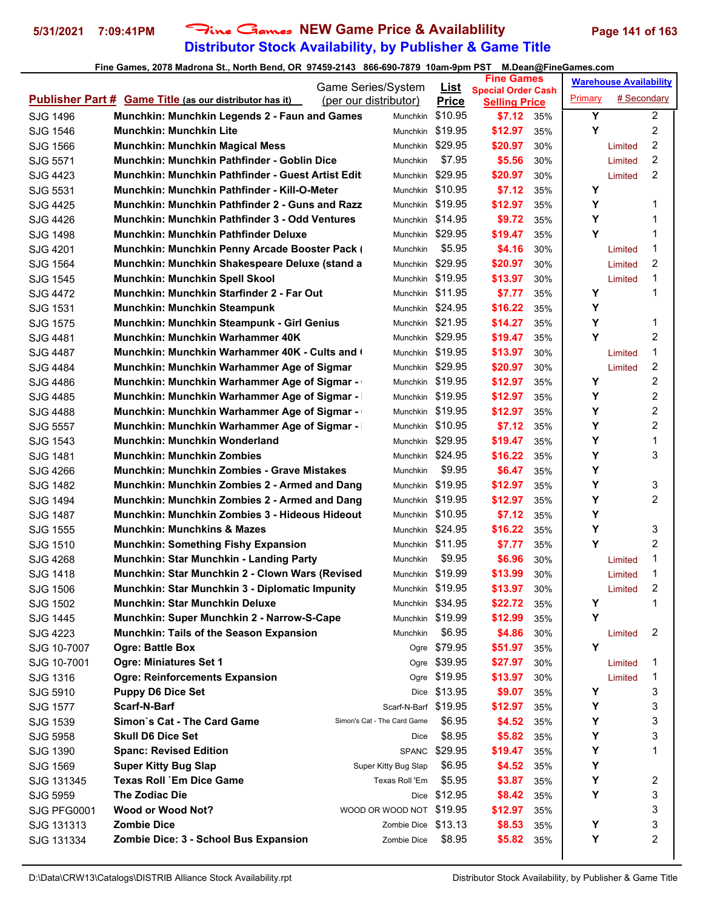# **Distributor Stock Availability, by Publisher & Game Title 5/31/2021 7:09:41PM** Fine Games **NEW Game Price & Availablility Page 141 of 163**

|                      |                                                                | Game Series/System          |                      | <u>List</u>      | <b>Fine Games</b>                                 |     |         | <b>Warehouse Availability</b> |                |
|----------------------|----------------------------------------------------------------|-----------------------------|----------------------|------------------|---------------------------------------------------|-----|---------|-------------------------------|----------------|
|                      | <b>Publisher Part # Game Title (as our distributor has it)</b> | (per our distributor)       |                      | <b>Price</b>     | <b>Special Order Cash</b><br><b>Selling Price</b> |     | Primary | # Secondary                   |                |
| SJG 1496             | Munchkin: Munchkin Legends 2 - Faun and Games                  |                             | <b>Munchkin</b>      | \$10.95          | \$7.12                                            | 35% | Y       |                               | $\overline{2}$ |
| SJG 1546             | Munchkin: Munchkin Lite                                        |                             | Munchkin             | \$19.95          | \$12.97                                           | 35% | Y       |                               | $\overline{c}$ |
| SJG 1566             | <b>Munchkin: Munchkin Magical Mess</b>                         |                             | Munchkin \$29.95     |                  | \$20.97                                           | 30% |         | Limited                       | $\overline{c}$ |
| SJG 5571             | Munchkin: Munchkin Pathfinder - Goblin Dice                    |                             | Munchkin             | \$7.95           | \$5.56                                            | 30% |         | Limited                       | 2              |
| SJG 4423             | Munchkin: Munchkin Pathfinder - Guest Artist Edit              |                             | <b>Munchkin</b>      | \$29.95          | \$20.97                                           | 30% |         | Limited                       | $\overline{2}$ |
| SJG 5531             | Munchkin: Munchkin Pathfinder - Kill-O-Meter                   |                             | Munchkin \$10.95     |                  | \$7.12                                            | 35% | Υ       |                               |                |
| SJG 4425             | Munchkin: Munchkin Pathfinder 2 - Guns and Razz                |                             | Munchkin \$19.95     |                  | \$12.97                                           | 35% | Y       |                               | 1              |
| SJG 4426             | Munchkin: Munchkin Pathfinder 3 - Odd Ventures                 |                             | Munchkin \$14.95     |                  | \$9.72                                            | 35% | Υ       |                               | 1              |
| SJG 1498             | Munchkin: Munchkin Pathfinder Deluxe                           |                             | Munchkin \$29.95     |                  | \$19.47                                           | 35% | Y       |                               | 1              |
| SJG 4201             | Munchkin: Munchkin Penny Arcade Booster Pack (                 |                             | Munchkin             | \$5.95           | \$4.16                                            | 30% |         | Limited                       | 1              |
| SJG 1564             | Munchkin: Munchkin Shakespeare Deluxe (stand a                 |                             | Munchkin \$29.95     |                  | \$20.97                                           | 30% |         | Limited                       | 2              |
| SJG 1545             | Munchkin: Munchkin Spell Skool                                 |                             | Munchkin             | \$19.95          | \$13.97                                           | 30% |         | Limited                       | 1              |
| SJG 4472             | Munchkin: Munchkin Starfinder 2 - Far Out                      |                             | Munchkin \$11.95     |                  | \$7.77                                            | 35% | Υ       |                               | 1              |
| SJG 1531             | Munchkin: Munchkin Steampunk                                   |                             | Munchkin \$24.95     |                  | \$16.22                                           | 35% | Y       |                               |                |
| <b>SJG 1575</b>      | Munchkin: Munchkin Steampunk - Girl Genius                     |                             | Munchkin \$21.95     |                  | \$14.27                                           | 35% | Y       |                               | 1              |
| SJG 4481             | Munchkin: Munchkin Warhammer 40K                               |                             | Munchkin             | \$29.95          | \$19.47                                           | 35% | Y       |                               | 2              |
| <b>SJG 4487</b>      | <b>Munchkin: Munchkin Warhammer 40K - Cults and (</b>          |                             | Munchkin \$19.95     |                  | \$13.97                                           | 30% |         | Limited                       | 1              |
| SJG 4484             | Munchkin: Munchkin Warhammer Age of Sigmar                     |                             | Munchkin             | \$29.95          | \$20.97                                           | 30% |         | Limited                       | 2              |
| <b>SJG 4486</b>      | Munchkin: Munchkin Warhammer Age of Sigmar -                   |                             | Munchkin             | \$19.95          | \$12.97                                           | 35% | Υ       |                               | 2              |
| SJG 4485             | Munchkin: Munchkin Warhammer Age of Sigmar -                   |                             | Munchkin \$19.95     |                  | \$12.97                                           | 35% | Υ       |                               | 2              |
| SJG 4488             | Munchkin: Munchkin Warhammer Age of Sigmar -                   |                             | Munchkin \$19.95     |                  | \$12.97                                           | 35% | Y       |                               | 2              |
| SJG 5557             | <b>Munchkin: Munchkin Warhammer Age of Sigmar -</b>            |                             | Munchkin \$10.95     |                  | \$7.12                                            | 35% | Y       |                               | $\overline{2}$ |
| <b>SJG 1543</b>      | Munchkin: Munchkin Wonderland                                  |                             | Munchkin             | \$29.95          | \$19.47                                           | 35% | Y       |                               | $\mathbf{1}$   |
| SJG 1481             | Munchkin: Munchkin Zombies                                     |                             | Munchkin \$24.95     |                  | \$16.22                                           | 35% | Y       |                               | 3              |
| SJG 4266             | Munchkin: Munchkin Zombies - Grave Mistakes                    |                             | Munchkin             | \$9.95           | \$6.47                                            | 35% | Υ       |                               |                |
| SJG 1482             | Munchkin: Munchkin Zombies 2 - Armed and Dang                  |                             | <b>Munchkin</b>      | \$19.95          | \$12.97                                           | 35% | Y       |                               | 3              |
| SJG 1494             | Munchkin: Munchkin Zombies 2 - Armed and Dang                  |                             | Munchkin \$19.95     |                  | \$12.97                                           | 35% | Y       |                               | $\overline{2}$ |
| <b>SJG 1487</b>      | Munchkin: Munchkin Zombies 3 - Hideous Hideout                 |                             |                      | Munchkin \$10.95 | \$7.12                                            | 35% | Υ       |                               |                |
| SJG 1555             | Munchkin: Munchkins & Mazes                                    |                             | Munchkin \$24.95     |                  | \$16.22                                           | 35% | Y       |                               | 3              |
| SJG 1510             | <b>Munchkin: Something Fishy Expansion</b>                     |                             | Munchkin \$11.95     |                  | \$7.77                                            | 35% | Y       |                               | 2              |
| SJG 4268             | Munchkin: Star Munchkin - Landing Party                        |                             | Munchkin             | \$9.95           | \$6.96                                            | 30% |         | Limited                       | 1              |
| SJG 1418             | Munchkin: Star Munchkin 2 - Clown Wars (Revised                |                             | Munchkin \$19.99     |                  | \$13.99                                           | 30% |         | Limited                       | 1              |
| SJG 1506             | Munchkin: Star Munchkin 3 - Diplomatic Impunity                |                             | Munchkin \$19.95     |                  | \$13.97                                           | 30% |         | Limited                       | 2              |
| SJG 1502             | <b>Munchkin: Star Munchkin Deluxe</b>                          |                             | Munchkin \$34.95     |                  | \$22.72                                           | 35% | Y       |                               | 1              |
| SJG 1445             | Munchkin: Super Munchkin 2 - Narrow-S-Cape                     |                             | Munchkin \$19.99     |                  | \$12.99                                           | 35% | Y       |                               |                |
| SJG 4223             | Munchkin: Tails of the Season Expansion                        |                             | Munchkin             | \$6.95           | \$4.86                                            | 30% |         | Limited                       | 2              |
| SJG 10-7007          | <b>Ogre: Battle Box</b>                                        |                             |                      | Ogre \$79.95     | \$51.97                                           | 35% | Y       |                               |                |
| SJG 10-7001          | Ogre: Miniatures Set 1                                         |                             |                      | Ogre \$39.95     | \$27.97                                           | 30% |         | Limited                       | 1              |
| SJG 1316             | <b>Ogre: Reinforcements Expansion</b>                          |                             |                      | Ogre \$19.95     | \$13.97                                           | 30% |         | Limited                       | 1              |
| SJG 5910             | <b>Puppy D6 Dice Set</b>                                       |                             | Dice                 | \$13.95          | \$9.07                                            | 35% | Υ       |                               | 3              |
| <b>SJG 1577</b>      | Scarf-N-Barf                                                   |                             | Scarf-N-Barf \$19.95 |                  | \$12.97                                           | 35% | Y       |                               | 3              |
| SJG 1539             | Simon's Cat - The Card Game                                    | Simon's Cat - The Card Game |                      | \$6.95           | \$4.52                                            | 35% | Y       |                               | 3              |
|                      | <b>Skull D6 Dice Set</b>                                       |                             |                      | \$8.95           | \$5.82                                            | 35% | Y       |                               | 3              |
| SJG 5958<br>SJG 1390 | <b>Spanc: Revised Edition</b>                                  |                             | Dice                 | SPANC \$29.95    | \$19.47                                           | 35% | Υ       |                               | 1              |
|                      | <b>Super Kitty Bug Slap</b>                                    |                             | Super Kitty Bug Slap | \$6.95           | \$4.52                                            | 35% | Y       |                               |                |
| SJG 1569             | <b>Texas Roll `Em Dice Game</b>                                |                             | Texas Roll 'Em       | \$5.95           | \$3.87                                            |     | Y       |                               | 2              |
| SJG 131345           | The Zodiac Die                                                 |                             |                      | Dice \$12.95     | \$8.42                                            | 35% | Y       |                               | 3              |
| SJG 5959             | <b>Wood or Wood Not?</b>                                       | WOOD OR WOOD NOT \$19.95    |                      |                  | \$12.97                                           | 35% |         |                               | 3              |
| SJG PFG0001          | <b>Zombie Dice</b>                                             |                             | Zombie Dice \$13.13  |                  |                                                   | 35% | Υ       |                               | 3              |
| SJG 131313           | Zombie Dice: 3 - School Bus Expansion                          |                             | Zombie Dice          | \$8.95           | \$8.53<br>\$5.82                                  | 35% | Y       |                               | $\overline{2}$ |
| SJG 131334           |                                                                |                             |                      |                  |                                                   | 35% |         |                               |                |
|                      |                                                                |                             |                      |                  |                                                   |     |         |                               |                |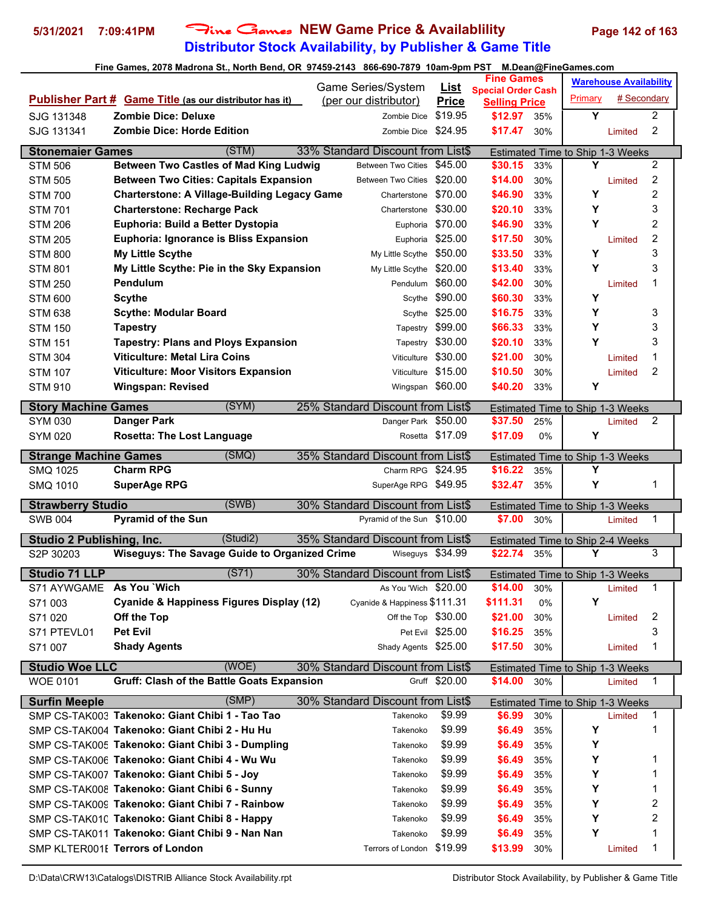# **Distributor Stock Availability, by Publisher & Game Title 5/31/2021 7:09:41PM** Fine Games **NEW Game Price & Availablility Page 142 of 163**

|                                  |                                                                | Game Series/System                |                         | <b>Fine Games</b>               |       |                                  | <b>Warehouse Availability</b> |                |
|----------------------------------|----------------------------------------------------------------|-----------------------------------|-------------------------|---------------------------------|-------|----------------------------------|-------------------------------|----------------|
|                                  | <b>Publisher Part # Game Title (as our distributor has it)</b> | (per our distributor)             | <u>List</u>             | <b>Special Order Cash</b>       |       | Primary                          | # Secondary                   |                |
| SJG 131348                       | <b>Zombie Dice: Deluxe</b>                                     | Zombie Dice                       | <b>Price</b><br>\$19.95 | <b>Selling Price</b><br>\$12.97 | 35%   | Υ                                |                               | $\overline{c}$ |
| SJG 131341                       | <b>Zombie Dice: Horde Edition</b>                              | Zombie Dice \$24.95               |                         | \$17.47                         | 30%   |                                  | Limited                       | $\overline{c}$ |
|                                  |                                                                |                                   |                         |                                 |       |                                  |                               |                |
| <b>Stonemaier Games</b>          | (STM)                                                          | 33% Standard Discount from List\$ |                         |                                 |       | Estimated Time to Ship 1-3 Weeks |                               |                |
| <b>STM 506</b>                   | <b>Between Two Castles of Mad King Ludwig</b>                  | <b>Between Two Cities</b>         | \$45.00                 | \$30.15                         | 33%   | Υ                                |                               | $\overline{2}$ |
| <b>STM 505</b>                   | <b>Between Two Cities: Capitals Expansion</b>                  | Between Two Cities \$20.00        |                         | \$14.00                         | 30%   |                                  | Limited                       | 2              |
| <b>STM 700</b>                   | <b>Charterstone: A Village-Building Legacy Game</b>            | Charterstone                      | \$70.00                 | \$46.90                         | 33%   | Υ                                |                               | 2              |
| <b>STM 701</b>                   | <b>Charterstone: Recharge Pack</b>                             | Charterstone \$30.00              |                         | \$20.10                         | 33%   | Υ                                |                               | 3              |
| <b>STM 206</b>                   | Euphoria: Build a Better Dystopia                              |                                   | Euphoria \$70.00        | \$46.90                         | 33%   | Y                                |                               | $\overline{2}$ |
| <b>STM 205</b>                   | <b>Euphoria: Ignorance is Bliss Expansion</b>                  |                                   | Euphoria \$25.00        | \$17.50                         | 30%   |                                  | Limited                       | $\overline{c}$ |
| <b>STM 800</b>                   | My Little Scythe                                               | My Little Scythe \$50.00          |                         | \$33.50                         | 33%   | Y                                |                               | 3              |
| <b>STM 801</b>                   | My Little Scythe: Pie in the Sky Expansion                     | My Little Scythe \$20.00          |                         | \$13.40                         | 33%   | Υ                                |                               | 3              |
| <b>STM 250</b>                   | <b>Pendulum</b>                                                | Pendulum                          | \$60.00                 | \$42.00                         | 30%   |                                  | Limited                       | 1              |
| <b>STM 600</b>                   | <b>Scythe</b>                                                  | Scythe                            | \$90.00                 | \$60.30                         | 33%   | Y                                |                               |                |
| <b>STM 638</b>                   | <b>Scythe: Modular Board</b>                                   |                                   | Scythe \$25.00          | \$16.75                         | 33%   | Υ                                |                               | 3              |
| <b>STM 150</b>                   | <b>Tapestry</b>                                                | Tapestry                          | \$99.00                 | \$66.33                         | 33%   | Υ                                |                               | 3              |
| <b>STM 151</b>                   | <b>Tapestry: Plans and Ploys Expansion</b>                     |                                   | Tapestry \$30.00        | \$20.10                         | 33%   | Y                                |                               | 3              |
| <b>STM 304</b>                   | <b>Viticulture: Metal Lira Coins</b>                           | Viticulture                       | \$30.00                 | \$21.00                         | 30%   |                                  | Limited                       | 1              |
| <b>STM 107</b>                   | <b>Viticulture: Moor Visitors Expansion</b>                    | Viticulture \$15.00               |                         | \$10.50                         | 30%   |                                  | Limited                       | $\overline{2}$ |
| <b>STM 910</b>                   | <b>Wingspan: Revised</b>                                       | Wingspan \$60.00                  |                         | \$40.20                         | 33%   | Y                                |                               |                |
| <b>Story Machine Games</b>       | (SYM)                                                          | 25% Standard Discount from List\$ |                         |                                 |       | Estimated Time to Ship 1-3 Weeks |                               |                |
| <b>SYM 030</b>                   | Danger Park                                                    | Danger Park \$50.00               |                         | \$37.50                         | 25%   |                                  | Limited                       | 2              |
| <b>SYM 020</b>                   | <b>Rosetta: The Lost Language</b>                              |                                   | Rosetta \$17.09         | \$17.09                         | $0\%$ | Y                                |                               |                |
| <b>Strange Machine Games</b>     | (SMQ)                                                          | 35% Standard Discount from List\$ |                         |                                 |       | Estimated Time to Ship 1-3 Weeks |                               |                |
| <b>SMQ 1025</b>                  | <b>Charm RPG</b>                                               | Charm RPG \$24.95                 |                         | \$16.22                         | 35%   | Y                                |                               |                |
| <b>SMQ 1010</b>                  | <b>SuperAge RPG</b>                                            | SuperAge RPG \$49.95              |                         | \$32.47                         | 35%   | Υ                                |                               | 1              |
| <b>Strawberry Studio</b>         | (SWB)                                                          | 30% Standard Discount from List\$ |                         |                                 |       | Estimated Time to Ship 1-3 Weeks |                               |                |
| <b>SWB 004</b>                   | <b>Pyramid of the Sun</b>                                      | Pyramid of the Sun \$10.00        |                         | \$7.00                          | 30%   |                                  | Limited                       | 1              |
|                                  |                                                                |                                   |                         |                                 |       |                                  |                               |                |
| <b>Studio 2 Publishing, Inc.</b> | (Studi2)                                                       | 35% Standard Discount from List\$ |                         |                                 |       | Estimated Time to Ship 2-4 Weeks |                               |                |
| S2P 30203                        | <b>Wiseguys: The Savage Guide to Organized Crime</b>           | Wiseguys \$34.99                  |                         | \$22.74                         | 35%   | Y                                |                               | 3              |
| <b>Studio 71 LLP</b>             | (S71)                                                          | 30% Standard Discount from List\$ |                         |                                 |       | Estimated Time to Ship 1-3 Weeks |                               |                |
| S71 AYWGAME As You `Wich         |                                                                | As You 'Wich \$20.00              |                         | \$14.00                         | 30%   |                                  | Limited                       | 1              |
| S71 003                          | Cyanide & Happiness Figures Display (12)                       | Cyanide & Happiness \$111.31      |                         | \$111.31                        | 0%    | Υ                                |                               |                |
| S71 020                          | Off the Top                                                    | Off the Top \$30.00               |                         | \$21.00                         | 30%   |                                  | Limited                       | 2              |
| S71 PTEVL01                      | <b>Pet Evil</b>                                                |                                   | Pet Evil \$25.00        | \$16.25                         | 35%   |                                  |                               | 3              |
| S71 007                          | <b>Shady Agents</b>                                            | Shady Agents \$25.00              |                         | \$17.50                         | 30%   |                                  | Limited                       | 1              |
| <b>Studio Woe LLC</b>            | (WOE)                                                          | 30% Standard Discount from List\$ |                         |                                 |       | Estimated Time to Ship 1-3 Weeks |                               |                |
| <b>WOE 0101</b>                  | <b>Gruff: Clash of the Battle Goats Expansion</b>              |                                   | Gruff \$20.00           | \$14.00                         | 30%   |                                  | Limited                       | 1              |
| <b>Surfin Meeple</b>             | (SMP)                                                          | 30% Standard Discount from List\$ |                         |                                 |       | Estimated Time to Ship 1-3 Weeks |                               |                |
|                                  | SMP CS-TAK003 Takenoko: Giant Chibi 1 - Tao Tao                | Takenoko                          | \$9.99                  | \$6.99                          | 30%   |                                  | Limited                       | 1              |
|                                  | SMP CS-TAK004 Takenoko: Giant Chibi 2 - Hu Hu                  | Takenoko                          | \$9.99                  | \$6.49                          | 35%   | Y                                |                               | 1              |
|                                  | SMP CS-TAK005 Takenoko: Giant Chibi 3 - Dumpling               | Takenoko                          | \$9.99                  | \$6.49                          | 35%   | Y                                |                               |                |
|                                  | SMP CS-TAK006 Takenoko: Giant Chibi 4 - Wu Wu                  | Takenoko                          | \$9.99                  | \$6.49                          | 35%   | Y                                |                               | 1              |
|                                  | SMP CS-TAK007 Takenoko: Giant Chibi 5 - Joy                    | Takenoko                          | \$9.99                  | \$6.49                          | 35%   | Υ                                |                               | 1              |
|                                  | SMP CS-TAK008 Takenoko: Giant Chibi 6 - Sunny                  | Takenoko                          | \$9.99                  | \$6.49                          | 35%   | Y                                |                               | 1              |
|                                  | SMP CS-TAK009 Takenoko: Giant Chibi 7 - Rainbow                | Takenoko                          | \$9.99                  | \$6.49                          | 35%   | Y                                |                               | 2              |
|                                  | SMP CS-TAK010 Takenoko: Giant Chibi 8 - Happy                  | Takenoko                          | \$9.99                  | \$6.49                          | 35%   | Y                                |                               | 2              |
|                                  | SMP CS-TAK011 Takenoko: Giant Chibi 9 - Nan Nan                | Takenoko                          | \$9.99                  | \$6.49                          | 35%   | Υ                                |                               | 1              |
|                                  | SMP KLTER001E Terrors of London                                | Terrors of London \$19.99         |                         | \$13.99                         | 30%   |                                  | Limited                       | 1              |
|                                  |                                                                |                                   |                         |                                 |       |                                  |                               |                |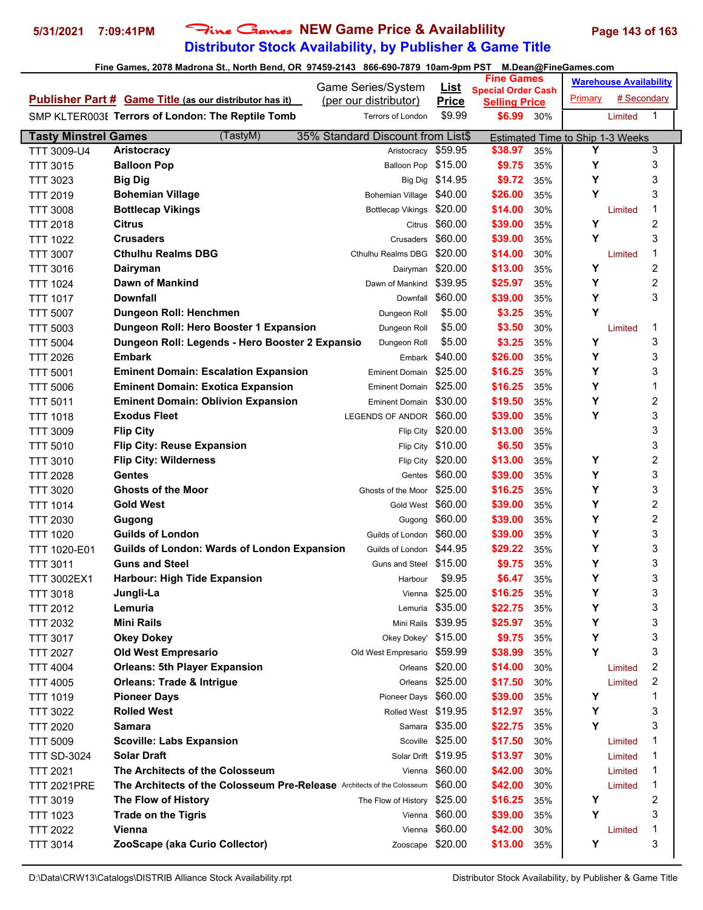# **Distributor Stock Availability, by Publisher & Game Title 5/31/2021 7:09:41PM** Fine Games **NEW Game Price & Availablility Page 143 of 163**

|                             |                                                                                | <b>Game Series/System</b>            | <u>List</u>      | <b>Fine Games</b>                                 |     |                                  | <b>Warehouse Availability</b> |   |  |
|-----------------------------|--------------------------------------------------------------------------------|--------------------------------------|------------------|---------------------------------------------------|-----|----------------------------------|-------------------------------|---|--|
|                             | <b>Publisher Part # Game Title (as our distributor has it)</b>                 | (per our distributor)                | <b>Price</b>     | <b>Special Order Cash</b><br><b>Selling Price</b> |     | Primary                          | # Secondary                   |   |  |
|                             | SMP KLTER003E Terrors of London: The Reptile Tomb                              | <b>Terrors of London</b>             | \$9.99           | \$6.99                                            | 30% |                                  | Limited                       | 1 |  |
| <b>Tasty Minstrel Games</b> | (TastyM)                                                                       | 35% Standard Discount from List\$    |                  |                                                   |     | Estimated Time to Ship 1-3 Weeks |                               |   |  |
| TTT 3009-U4                 | Aristocracy                                                                    | Aristocracy                          | \$59.95          | \$38.97                                           | 35% | Y                                |                               | 3 |  |
| <b>TTT 3015</b>             | <b>Balloon Pop</b>                                                             | Balloon Pop \$15.00                  |                  | \$9.75                                            | 35% | Υ                                |                               | 3 |  |
| <b>TTT 3023</b>             | <b>Big Dig</b>                                                                 |                                      | Big Dig \$14.95  | \$9.72                                            | 35% | Υ                                |                               | 3 |  |
| <b>TTT 2019</b>             | <b>Bohemian Village</b>                                                        | Bohemian Village \$40.00             |                  | \$26.00                                           | 35% | Y                                |                               | 3 |  |
| <b>TTT 3008</b>             | <b>Bottlecap Vikings</b>                                                       | <b>Bottlecap Vikings</b>             | \$20.00          | \$14.00                                           | 30% |                                  | Limited                       | 1 |  |
| <b>TTT 2018</b>             | Citrus                                                                         |                                      | Citrus \$60.00   | \$39.00                                           | 35% | Υ                                |                               | 2 |  |
| TTT 1022                    | <b>Crusaders</b>                                                               | Crusaders                            | \$60.00          | \$39.00                                           | 35% | Y                                |                               | 3 |  |
| <b>TTT 3007</b>             | <b>Cthulhu Realms DBG</b>                                                      | Cthulhu Realms DBG                   | \$20.00          | \$14.00                                           | 30% |                                  | Limited                       | 1 |  |
| <b>TTT 3016</b>             | Dairyman                                                                       | Dairyman \$20.00                     |                  | \$13.00                                           | 35% | Υ                                |                               | 2 |  |
| <b>TTT 1024</b>             | Dawn of Mankind                                                                | Dawn of Mankind                      | \$39.95          | \$25.97                                           | 35% | Y                                |                               | 2 |  |
| <b>TTT 1017</b>             | <b>Downfall</b>                                                                | Downfall                             | \$60.00          | \$39.00                                           | 35% | Y                                |                               | 3 |  |
| <b>TTT 5007</b>             | Dungeon Roll: Henchmen                                                         | Dungeon Roll                         | \$5.00           | \$3.25                                            | 35% | Y                                |                               |   |  |
| <b>TTT 5003</b>             | Dungeon Roll: Hero Booster 1 Expansion                                         | Dungeon Roll                         | \$5.00           | \$3.50                                            | 30% |                                  | Limited                       | 1 |  |
| <b>TTT 5004</b>             | Dungeon Roll: Legends - Hero Booster 2 Expansio                                | Dungeon Roll                         | \$5.00           | \$3.25                                            | 35% | Υ                                |                               | 3 |  |
| <b>TTT 2026</b>             | <b>Embark</b>                                                                  |                                      | Embark \$40.00   | \$26.00                                           | 35% | Y                                |                               | 3 |  |
| <b>TTT 5001</b>             | <b>Eminent Domain: Escalation Expansion</b>                                    | <b>Eminent Domain</b>                | \$25.00          | \$16.25                                           | 35% | Υ                                |                               | 3 |  |
| <b>TTT 5006</b>             | <b>Eminent Domain: Exotica Expansion</b>                                       | Eminent Domain \$25.00               |                  | \$16.25                                           | 35% | Υ                                |                               | 1 |  |
| <b>TTT 5011</b>             | <b>Eminent Domain: Oblivion Expansion</b>                                      | <b>Eminent Domain</b>                | \$30.00          | \$19.50                                           | 35% | Υ                                |                               | 2 |  |
| <b>TTT 1018</b>             | <b>Exodus Fleet</b>                                                            | LEGENDS OF ANDOR                     | \$60.00          | \$39.00                                           | 35% | Y                                |                               | 3 |  |
| TTT 3009                    | <b>Flip City</b>                                                               | Flip City                            | \$20.00          | \$13.00                                           | 35% |                                  |                               | 3 |  |
| <b>TTT 5010</b>             | <b>Flip City: Reuse Expansion</b>                                              | Flip City                            | \$10.00          | \$6.50                                            | 35% |                                  |                               | 3 |  |
|                             | <b>Flip City: Wilderness</b>                                                   | Flip City                            | \$20.00          | \$13.00                                           | 35% | Υ                                |                               | 2 |  |
| <b>TTT 3010</b>             | <b>Gentes</b>                                                                  |                                      | \$60.00          | \$39.00                                           | 35% | Y                                |                               | 3 |  |
| <b>TTT 2028</b>             | <b>Ghosts of the Moor</b>                                                      | Gentes<br>Ghosts of the Moor \$25.00 |                  |                                                   | 35% | Υ                                |                               | 3 |  |
| <b>TTT 3020</b>             |                                                                                | Gold West \$60.00                    |                  | \$16.25                                           |     | Υ                                |                               | 2 |  |
| <b>TTT 1014</b>             | <b>Gold West</b>                                                               |                                      | \$60.00          | \$39.00                                           | 35% | Υ                                |                               | 2 |  |
| <b>TTT 2030</b>             | Gugong<br><b>Guilds of London</b>                                              | Gugong                               |                  | \$39.00                                           | 35% | Υ                                |                               |   |  |
| <b>TTT 1020</b>             |                                                                                | Guilds of London \$60.00             |                  | \$39.00                                           | 35% |                                  |                               | 3 |  |
| TTT 1020-E01                | Guilds of London: Wards of London Expansion                                    | Guilds of London \$44.95             |                  | \$29.22                                           | 35% | Υ                                |                               | 3 |  |
| <b>TTT 3011</b>             | <b>Guns and Steel</b>                                                          | Guns and Steel                       | \$15.00          | \$9.75                                            | 35% | Υ                                |                               | 3 |  |
| <b>TTT 3002EX1</b>          | Harbour: High Tide Expansion                                                   | Harbour                              | \$9.95           | \$6.47                                            | 35% | Υ                                |                               | 3 |  |
| TTT 3018                    | Jungli-La                                                                      | Vienna                               | \$25.00          | \$16.25                                           | 35% | Υ                                |                               | 3 |  |
| <b>TTT 2012</b>             | Lemuria                                                                        | Lemuria                              | \$35.00          | \$22.75                                           | 35% | Y                                |                               | 3 |  |
| <b>TTT 2032</b>             | <b>Mini Rails</b>                                                              | Mini Rails                           | \$39.95          | \$25.97                                           | 35% | Υ                                |                               | 3 |  |
| <b>TTT 3017</b>             | <b>Okey Dokey</b>                                                              | Okey Dokey' \$15.00                  |                  | \$9.75                                            | 35% | Υ                                |                               | 3 |  |
| <b>TTT 2027</b>             | <b>Old West Empresario</b>                                                     | Old West Empresario \$59.99          |                  | \$38.99                                           | 35% | Y                                |                               | 3 |  |
| <b>TTT 4004</b>             | <b>Orleans: 5th Player Expansion</b>                                           |                                      | Orleans \$20.00  | \$14.00                                           | 30% |                                  | Limited                       | 2 |  |
| <b>TTT 4005</b>             | <b>Orleans: Trade &amp; Intrigue</b>                                           |                                      | Orleans \$25.00  | \$17.50                                           | 30% |                                  | Limited                       | 2 |  |
| <b>TTT 1019</b>             | <b>Pioneer Days</b>                                                            | Pioneer Days \$60.00                 |                  | \$39.00                                           | 35% | Υ                                |                               | 1 |  |
| <b>TTT 3022</b>             | <b>Rolled West</b>                                                             | Rolled West \$19.95                  |                  | \$12.97                                           | 35% | Y                                |                               | 3 |  |
| <b>TTT 2020</b>             | Samara                                                                         | Samara                               | \$35.00          | \$22.75                                           | 35% | Υ                                |                               | 3 |  |
| <b>TTT 5009</b>             | <b>Scoville: Labs Expansion</b>                                                |                                      | Scoville \$25.00 | \$17.50                                           | 30% |                                  | Limited                       | 1 |  |
| <b>TTT SD-3024</b>          | <b>Solar Draft</b>                                                             | Solar Drift \$19.95                  |                  | \$13.97                                           | 30% |                                  | Limited                       | 1 |  |
| <b>TTT 2021</b>             | The Architects of the Colosseum                                                | Vienna                               | \$60.00          | \$42.00                                           | 30% |                                  | Limited                       | 1 |  |
| <b>TTT 2021PRE</b>          | <b>The Architects of the Colosseum Pre-Release</b> Architects of the Colosseum |                                      | \$60.00          | \$42.00                                           | 30% |                                  | Limited                       | 1 |  |
| <b>TTT 3019</b>             | The Flow of History                                                            | The Flow of History                  | \$25.00          | \$16.25                                           | 35% | Υ                                |                               | 2 |  |
| <b>TTT 1023</b>             | <b>Trade on the Tigris</b>                                                     | Vienna                               | \$60.00          | \$39.00                                           | 35% | Υ                                |                               | 3 |  |
| <b>TTT 2022</b>             | Vienna                                                                         | Vienna                               | \$60.00          | \$42.00                                           | 30% |                                  | Limited                       | 1 |  |
| <b>TTT 3014</b>             | ZooScape (aka Curio Collector)                                                 | Zooscape \$20.00                     |                  | \$13.00                                           | 35% | Υ                                |                               | 3 |  |
|                             |                                                                                |                                      |                  |                                                   |     |                                  |                               |   |  |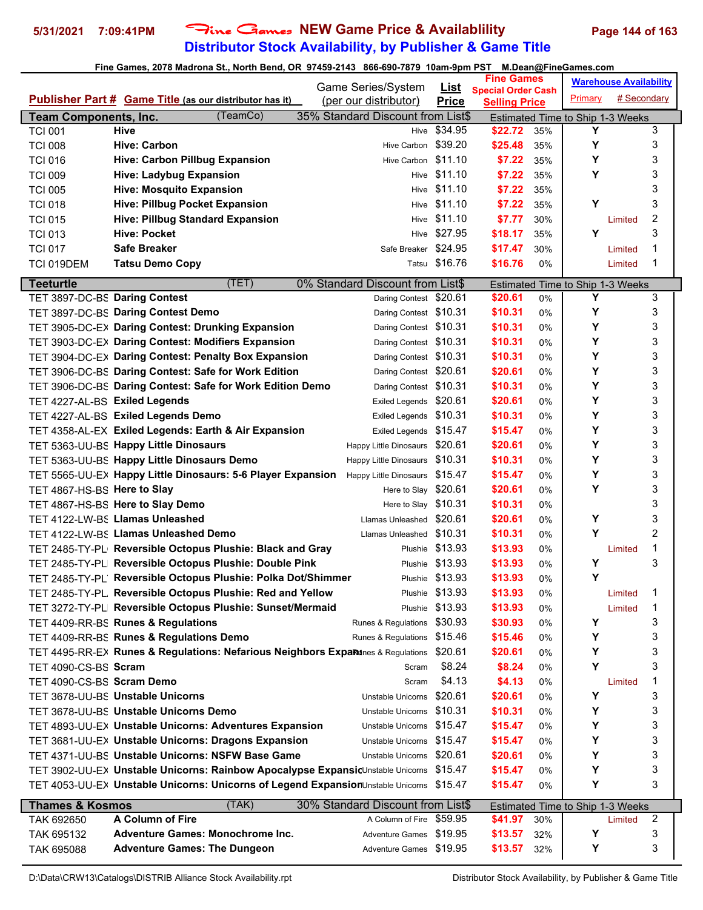# **Distributor Stock Availability, by Publisher & Game Title 5/31/2021 7:09:41PM** Fine Games **NEW Game Price & Availablility Page 144 of 163**

|                               |                                                                                         | Game Series/System                                            |                             | <b>Fine Games</b>         |     |                                       | <b>Warehouse Availability</b> |   |
|-------------------------------|-----------------------------------------------------------------------------------------|---------------------------------------------------------------|-----------------------------|---------------------------|-----|---------------------------------------|-------------------------------|---|
|                               | <b>Publisher Part # Game Title (as our distributor has it)</b>                          | (per our distributor)                                         | <u>List</u><br><b>Price</b> | <b>Special Order Cash</b> |     | Primary                               | # Secondary                   |   |
| <b>Team Components, Inc.</b>  | (TeamCo)                                                                                | 35% Standard Discount from List\$                             |                             | <b>Selling Price</b>      |     |                                       |                               |   |
| <b>TCI 001</b>                | <b>Hive</b>                                                                             | Hive                                                          | \$34.95                     | \$22.72                   | 35% | Estimated Time to Ship 1-3 Weeks<br>Y |                               | 3 |
| <b>TCI 008</b>                | <b>Hive: Carbon</b>                                                                     | Hive Carbon                                                   | \$39.20                     | \$25.48                   | 35% | Υ                                     |                               | 3 |
| <b>TCI 016</b>                | <b>Hive: Carbon Pillbug Expansion</b>                                                   | Hive Carbon                                                   | \$11.10                     | \$7.22                    | 35% | Y                                     |                               | 3 |
| <b>TCI 009</b>                | <b>Hive: Ladybug Expansion</b>                                                          | Hive                                                          | \$11.10                     | \$7.22                    | 35% | Y                                     |                               | 3 |
| <b>TCI 005</b>                | <b>Hive: Mosquito Expansion</b>                                                         |                                                               | Hive \$11.10                | \$7.22                    | 35% |                                       |                               | 3 |
| <b>TCI 018</b>                | <b>Hive: Pillbug Pocket Expansion</b>                                                   | Hive                                                          | \$11.10                     | \$7.22                    | 35% | Y                                     |                               | 3 |
| <b>TCI 015</b>                | <b>Hive: Pillbug Standard Expansion</b>                                                 |                                                               | Hive \$11.10                | \$7.77                    | 30% |                                       | Limited                       | 2 |
| <b>TCI 013</b>                | <b>Hive: Pocket</b>                                                                     |                                                               | Hive \$27.95                | \$18.17                   | 35% | Υ                                     |                               | 3 |
|                               | <b>Safe Breaker</b>                                                                     | Safe Breaker \$24.95                                          |                             | \$17.47                   | 30% |                                       | Limited                       | 1 |
| <b>TCI 017</b>                |                                                                                         |                                                               | Tatsu \$16.76               | \$16.76                   | 0%  |                                       |                               | 1 |
| TCI 019DEM                    | <b>Tatsu Demo Copy</b>                                                                  |                                                               |                             |                           |     |                                       | Limited                       |   |
| <b>Teeturtle</b>              | (TET)                                                                                   | 0% Standard Discount from List\$                              |                             |                           |     | Estimated Time to Ship 1-3 Weeks      |                               |   |
| TET 3897-DC-BS Daring Contest |                                                                                         | Daring Contest \$20.61                                        |                             | \$20.61                   | 0%  | Y                                     |                               | 3 |
|                               | TET 3897-DC-BS Daring Contest Demo                                                      | Daring Contest \$10.31                                        |                             | \$10.31                   | 0%  | Υ                                     |                               | 3 |
|                               | TET 3905-DC-EX Daring Contest: Drunking Expansion                                       | Daring Contest \$10.31                                        |                             | \$10.31                   | 0%  | Υ                                     |                               | 3 |
|                               | TET 3903-DC-EX Daring Contest: Modifiers Expansion                                      | Daring Contest \$10.31                                        |                             | \$10.31                   | 0%  | Υ                                     |                               | 3 |
|                               | TET 3904-DC-E> Daring Contest: Penalty Box Expansion                                    | Daring Contest \$10.31                                        |                             | \$10.31                   | 0%  | Y                                     |                               | 3 |
|                               | TET 3906-DC-BS Daring Contest: Safe for Work Edition                                    | Daring Contest \$20.61                                        |                             | \$20.61                   | 0%  | Υ                                     |                               | 3 |
|                               | TET 3906-DC-BS Daring Contest: Safe for Work Edition Demo                               | Daring Contest \$10.31                                        |                             | \$10.31                   | 0%  | Y                                     |                               | 3 |
| TET 4227-AL-BS Exiled Legends |                                                                                         | <b>Exiled Legends</b>                                         | \$20.61                     | \$20.61                   | 0%  | Υ                                     |                               | 3 |
|                               | TET 4227-AL-BS Exiled Legends Demo                                                      | Exiled Legends \$10.31                                        |                             | \$10.31                   | 0%  | Υ                                     |                               | 3 |
|                               | TET 4358-AL-EX Exiled Legends: Earth & Air Expansion                                    | Exiled Legends \$15.47                                        |                             | \$15.47                   | 0%  | Υ                                     |                               | 3 |
|                               | TET 5363-UU-BS Happy Little Dinosaurs                                                   | Happy Little Dinosaurs \$20.61                                |                             | \$20.61                   | 0%  | Y                                     |                               | 3 |
|                               | TET 5363-UU-BS Happy Little Dinosaurs Demo                                              | Happy Little Dinosaurs                                        | \$10.31                     | \$10.31                   | 0%  | Y                                     |                               | 3 |
|                               | TET 5565-UU-EX Happy Little Dinosaurs: 5-6 Player Expansion                             | <b>Happy Little Dinosaurs</b>                                 | \$15.47                     | \$15.47                   | 0%  | Y                                     |                               | 3 |
| TET 4867-HS-BS Here to Slay   |                                                                                         | Here to Slay                                                  | \$20.61                     | \$20.61                   | 0%  | Y                                     |                               | 3 |
|                               | TET 4867-HS-BS Here to Slay Demo                                                        | Here to Slay \$10.31                                          |                             | \$10.31                   | 0%  |                                       |                               | 3 |
|                               | TET 4122-LW-BS Llamas Unleashed                                                         | Llamas Unleashed \$20.61                                      |                             | \$20.61                   | 0%  | Υ                                     |                               | 3 |
|                               | TET 4122-LW-BS Llamas Unleashed Demo                                                    | Llamas Unleashed \$10.31                                      |                             | \$10.31                   | 0%  | Υ                                     |                               | 2 |
|                               | TET 2485-TY-PL Reversible Octopus Plushie: Black and Gray                               |                                                               | Plushie \$13.93             | \$13.93                   | 0%  |                                       | Limited                       | 1 |
|                               | TET 2485-TY-PL Reversible Octopus Plushie: Double Pink                                  | Plushie                                                       | \$13.93                     | \$13.93                   | 0%  | Υ                                     |                               | 3 |
|                               | TET 2485-TY-PL Reversible Octopus Plushie: Polka Dot/Shimmer                            |                                                               | Plushie \$13.93             | \$13.93                   | 0%  | Υ                                     |                               |   |
|                               | TET 2485-TY-PL Reversible Octopus Plushie: Red and Yellow                               | Plushie                                                       | \$13.93                     | \$13.93                   | 0%  |                                       | Limited                       | 1 |
|                               | TET 3272-TY-PL Reversible Octopus Plushie: Sunset/Mermaid                               | Plushie                                                       | \$13.93                     | \$13.93                   | 0%  |                                       | Limited                       | 1 |
|                               | TET 4409-RR-BS Runes & Regulations                                                      | Runes & Regulations                                           | \$30.93                     | \$30.93                   | 0%  | Υ                                     |                               | 3 |
|                               | TET 4409-RR-BS Runes & Regulations Demo                                                 | Runes & Regulations \$15.46                                   |                             | \$15.46                   | 0%  | Υ                                     |                               | 3 |
|                               | TET 4495-RR-EX Runes & Regulations: Nefarious Neighbors Expartnes & Regulations         |                                                               | \$20.61                     | \$20.61                   | 0%  | Υ                                     |                               | 3 |
| TET 4090-CS-BS Scram          |                                                                                         | Scram                                                         | \$8.24                      | \$8.24                    | 0%  | Υ                                     |                               | 3 |
| TET 4090-CS-BS Scram Demo     |                                                                                         | Scram                                                         | \$4.13                      | \$4.13                    | 0%  |                                       | Limited                       | 1 |
|                               | TET 3678-UU-BS Unstable Unicorns                                                        | Unstable Unicorns                                             | \$20.61                     | \$20.61                   | 0%  | Υ                                     |                               | 3 |
|                               | TET 3678-UU-BS Unstable Unicorns Demo                                                   | Unstable Unicorns                                             | \$10.31                     | \$10.31                   | 0%  | Υ                                     |                               | 3 |
|                               | TET 4893-UU-E> Unstable Unicorns: Adventures Expansion                                  | Unstable Unicorns \$15.47                                     |                             | \$15.47                   | 0%  | Υ                                     |                               | 3 |
|                               | TET 3681-UU-E> Unstable Unicorns: Dragons Expansion                                     | Unstable Unicorns \$15.47                                     |                             | \$15.47                   | 0%  | Υ                                     |                               | 3 |
|                               | TET 4371-UU-BS Unstable Unicorns: NSFW Base Game                                        | Unstable Unicorns                                             | \$20.61                     | \$20.61                   | 0%  | Υ                                     |                               | 3 |
|                               | TET 3902-UU-EX Unstable Unicorns: Rainbow Apocalypse ExpansicUnstable Unicorns \$15.47  |                                                               |                             | \$15.47                   | 0%  | Υ                                     |                               | 3 |
|                               | TET 4053-UU-EX Unstable Unicorns: Unicorns of Legend ExpansionUnstable Unicorns \$15.47 |                                                               |                             | \$15.47                   | 0%  | Υ                                     |                               | 3 |
|                               |                                                                                         |                                                               |                             |                           |     |                                       |                               |   |
| <b>Thames &amp; Kosmos</b>    | (TAK)<br>A Column of Fire                                                               | 30% Standard Discount from List\$<br>A Column of Fire \$59.95 |                             |                           |     | Estimated Time to Ship 1-3 Weeks      |                               | 2 |
| TAK 692650                    |                                                                                         |                                                               |                             | \$41.97                   | 30% |                                       | Limited                       |   |
| TAK 695132                    | <b>Adventure Games: Monochrome Inc.</b>                                                 | Adventure Games \$19.95                                       |                             | \$13.57                   | 32% | Y                                     |                               | 3 |
| TAK 695088                    | <b>Adventure Games: The Dungeon</b>                                                     | Adventure Games \$19.95                                       |                             | \$13.57                   | 32% | Υ                                     |                               | 3 |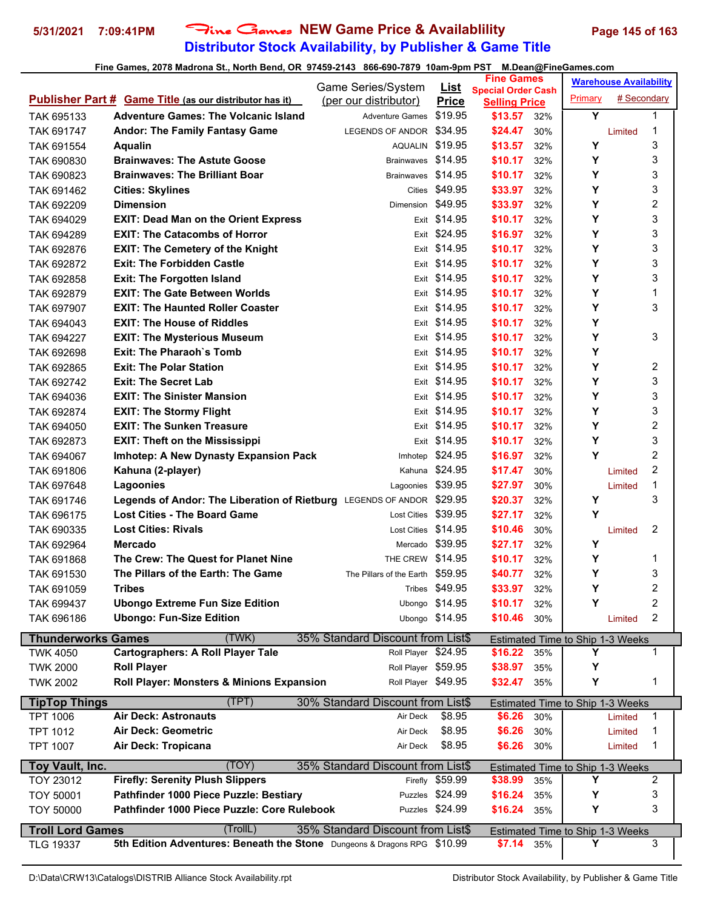# **Distributor Stock Availability, by Publisher & Game Title 5/31/2021 7:09:41PM** Fine Games **NEW Game Price & Availablility Page 145 of 163**

|                           |                                                                          | Game Series/System                | <u>List</u>                     | <b>Fine Games</b>                                 |     | <b>Warehouse Availability</b>           |             |                |
|---------------------------|--------------------------------------------------------------------------|-----------------------------------|---------------------------------|---------------------------------------------------|-----|-----------------------------------------|-------------|----------------|
|                           | <b>Publisher Part # Game Title (as our distributor has it)</b>           | (per our distributor)             | <b>Price</b>                    | <b>Special Order Cash</b><br><b>Selling Price</b> |     | Primary                                 | # Secondary |                |
| TAK 695133                | <b>Adventure Games: The Volcanic Island</b>                              | <b>Adventure Games</b>            | \$19.95                         | \$13.57                                           | 32% | Y                                       |             | 1              |
| TAK 691747                | <b>Andor: The Family Fantasy Game</b>                                    | LEGENDS OF ANDOR \$34.95          |                                 | \$24.47                                           | 30% |                                         | Limited     | 1              |
| TAK 691554                | <b>Aqualin</b>                                                           | AQUALIN \$19.95                   |                                 | \$13.57                                           | 32% | Υ                                       |             | 3              |
| TAK 690830                | <b>Brainwaves: The Astute Goose</b>                                      | <b>Brainwaves</b>                 | \$14.95                         | \$10.17                                           | 32% | Υ                                       |             | 3              |
| TAK 690823                | <b>Brainwaves: The Brilliant Boar</b>                                    | Brainwaves \$14.95                |                                 | \$10.17                                           | 32% | Y                                       |             | 3              |
| TAK 691462                | <b>Cities: Skylines</b>                                                  |                                   | Cities \$49.95                  | \$33.97                                           | 32% | Y                                       |             | 3              |
| TAK 692209                | <b>Dimension</b>                                                         | Dimension \$49.95                 |                                 | \$33.97                                           | 32% | Y                                       |             | 2              |
| TAK 694029                | <b>EXIT: Dead Man on the Orient Express</b>                              |                                   | Exit \$14.95                    | \$10.17                                           | 32% | Υ                                       |             | 3              |
| TAK 694289                | <b>EXIT: The Catacombs of Horror</b>                                     |                                   | Exit \$24.95                    | \$16.97                                           | 32% | Υ                                       |             | 3              |
| TAK 692876                | <b>EXIT: The Cemetery of the Knight</b>                                  |                                   | Exit \$14.95                    | \$10.17                                           | 32% | Y                                       |             | 3              |
| TAK 692872                | <b>Exit: The Forbidden Castle</b>                                        |                                   | Exit \$14.95                    | \$10.17                                           | 32% | Y                                       |             | 3              |
| TAK 692858                | <b>Exit: The Forgotten Island</b>                                        |                                   | Exit \$14.95                    | \$10.17                                           | 32% | Y                                       |             | 3              |
| TAK 692879                | <b>EXIT: The Gate Between Worlds</b>                                     |                                   | Exit \$14.95                    | \$10.17                                           | 32% | Y                                       |             | 1              |
| TAK 697907                | <b>EXIT: The Haunted Roller Coaster</b>                                  |                                   | Exit \$14.95                    | \$10.17                                           | 32% | Y                                       |             | 3              |
| TAK 694043                | <b>EXIT: The House of Riddles</b>                                        |                                   | Exit \$14.95                    | \$10.17                                           | 32% | Υ                                       |             |                |
| TAK 694227                | <b>EXIT: The Mysterious Museum</b>                                       |                                   | Exit \$14.95                    | \$10.17                                           | 32% | Υ                                       |             | 3              |
| TAK 692698                | <b>Exit: The Pharaoh's Tomb</b>                                          |                                   | Exit \$14.95                    | \$10.17                                           | 32% | Y                                       |             |                |
|                           | <b>Exit: The Polar Station</b>                                           |                                   | Exit \$14.95                    | \$10.17                                           | 32% | Υ                                       |             | 2              |
| TAK 692865                | <b>Exit: The Secret Lab</b>                                              |                                   | Exit \$14.95                    | \$10.17                                           | 32% | Υ                                       |             | 3              |
| TAK 692742                | <b>EXIT: The Sinister Mansion</b>                                        |                                   | Exit \$14.95                    | \$10.17                                           |     | Y                                       |             | 3              |
| TAK 694036                |                                                                          |                                   | Exit \$14.95                    | \$10.17                                           | 32% | Y                                       |             | 3              |
| TAK 692874                | <b>EXIT: The Stormy Flight</b><br><b>EXIT: The Sunken Treasure</b>       |                                   | Exit \$14.95                    | \$10.17                                           | 32% | Υ                                       |             | $\overline{2}$ |
| TAK 694050                |                                                                          |                                   |                                 |                                                   | 32% |                                         |             | 3              |
| TAK 692873                | <b>EXIT: Theft on the Mississippi</b>                                    |                                   | Exit \$14.95<br>Imhotep \$24.95 | \$10.17                                           | 32% | Υ<br>Y                                  |             | $\overline{2}$ |
| TAK 694067                | <b>Imhotep: A New Dynasty Expansion Pack</b>                             |                                   |                                 | \$16.97                                           | 32% |                                         |             |                |
| TAK 691806                | Kahuna (2-player)                                                        |                                   | Kahuna \$24.95                  | \$17.47                                           | 30% |                                         | Limited     | 2              |
| TAK 697648                | Lagoonies                                                                | Lagoonies                         | \$39.95                         | \$27.97                                           | 30% |                                         | Limited     | 1              |
| TAK 691746                | Legends of Andor: The Liberation of Rietburg LEGENDS OF ANDOR            |                                   | \$29.95                         | \$20.37                                           | 32% | Υ                                       |             | 3              |
| TAK 696175                | <b>Lost Cities - The Board Game</b>                                      | <b>Lost Cities</b>                | \$39.95                         | \$27.17                                           | 32% | Y                                       |             |                |
| TAK 690335                | <b>Lost Cities: Rivals</b>                                               | Lost Cities \$14.95               |                                 | \$10.46                                           | 30% |                                         | Limited     | 2              |
| TAK 692964                | <b>Mercado</b>                                                           |                                   | Mercado \$39.95                 | \$27.17                                           | 32% | Υ                                       |             |                |
| TAK 691868                | The Crew: The Quest for Planet Nine                                      | THE CREW \$14.95                  |                                 | \$10.17                                           | 32% | Υ                                       |             | 1              |
| TAK 691530                | The Pillars of the Earth: The Game                                       | The Pillars of the Earth \$59.95  |                                 | \$40.77                                           | 32% | Y                                       |             | 3              |
| TAK 691059                | Tribes                                                                   |                                   | Tribes \$49.95                  | \$33.97                                           | 32% | Υ                                       |             | 2              |
| TAK 699437                | <b>Ubongo Extreme Fun Size Edition</b>                                   |                                   | Ubongo \$14.95                  | \$10.17                                           | 32% | Y                                       |             | 2              |
| TAK 696186                | <b>Ubongo: Fun-Size Edition</b>                                          |                                   | Ubongo \$14.95                  | \$10.46                                           | 30% |                                         | Limited     | 2              |
| <b>Thunderworks Games</b> | (TWK)                                                                    | 35% Standard Discount from List\$ |                                 |                                                   |     | Estimated Time to Ship 1-3 Weeks        |             |                |
| <b>TWK 4050</b>           | <b>Cartographers: A Roll Player Tale</b>                                 | Roll Player \$24.95               |                                 | \$16.22                                           | 35% | Y                                       |             | 1              |
| <b>TWK 2000</b>           | <b>Roll Player</b>                                                       | Roll Player \$59.95               |                                 | \$38.97                                           | 35% | Υ                                       |             |                |
| <b>TWK 2002</b>           | Roll Player: Monsters & Minions Expansion                                | Roll Player \$49.95               |                                 | \$32.47                                           | 35% | Υ                                       |             | 1              |
| <b>TipTop Things</b>      | (TPT)                                                                    | 30% Standard Discount from List\$ |                                 |                                                   |     | Estimated Time to Ship 1-3 Weeks        |             |                |
| <b>TPT 1006</b>           | <b>Air Deck: Astronauts</b>                                              | Air Deck                          | \$8.95                          | \$6.26                                            | 30% |                                         | Limited     | 1              |
| <b>TPT 1012</b>           | <b>Air Deck: Geometric</b>                                               | Air Deck                          | \$8.95                          | \$6.26                                            | 30% |                                         | Limited     | 1              |
| <b>TPT 1007</b>           | Air Deck: Tropicana                                                      | Air Deck                          | \$8.95                          | \$6.26                                            | 30% |                                         | Limited     | 1              |
|                           |                                                                          |                                   |                                 |                                                   |     |                                         |             |                |
| Toy Vault, Inc.           | (TOY)                                                                    | 35% Standard Discount from List\$ |                                 |                                                   |     | <b>Estimated Time to Ship 1-3 Weeks</b> |             |                |
| <b>TOY 23012</b>          | <b>Firefly: Serenity Plush Slippers</b>                                  |                                   | Firefly \$59.99                 | \$38.99                                           | 35% | Y                                       |             | 2              |
| <b>TOY 50001</b>          | Pathfinder 1000 Piece Puzzle: Bestiary                                   |                                   | Puzzles \$24.99                 | \$16.24                                           | 35% | Υ                                       |             | 3              |
| <b>TOY 50000</b>          | Pathfinder 1000 Piece Puzzle: Core Rulebook                              |                                   | Puzzles \$24.99                 | \$16.24                                           | 35% | Υ                                       |             | 3              |
| <b>Troll Lord Games</b>   | (TrollL)                                                                 | 35% Standard Discount from List\$ |                                 |                                                   |     | Estimated Time to Ship 1-3 Weeks        |             |                |
| <b>TLG 19337</b>          | 5th Edition Adventures: Beneath the Stone Dungeons & Dragons RPG \$10.99 |                                   |                                 | $$7.14$ 35%                                       |     | Y                                       |             | 3              |
|                           |                                                                          |                                   |                                 |                                                   |     |                                         |             |                |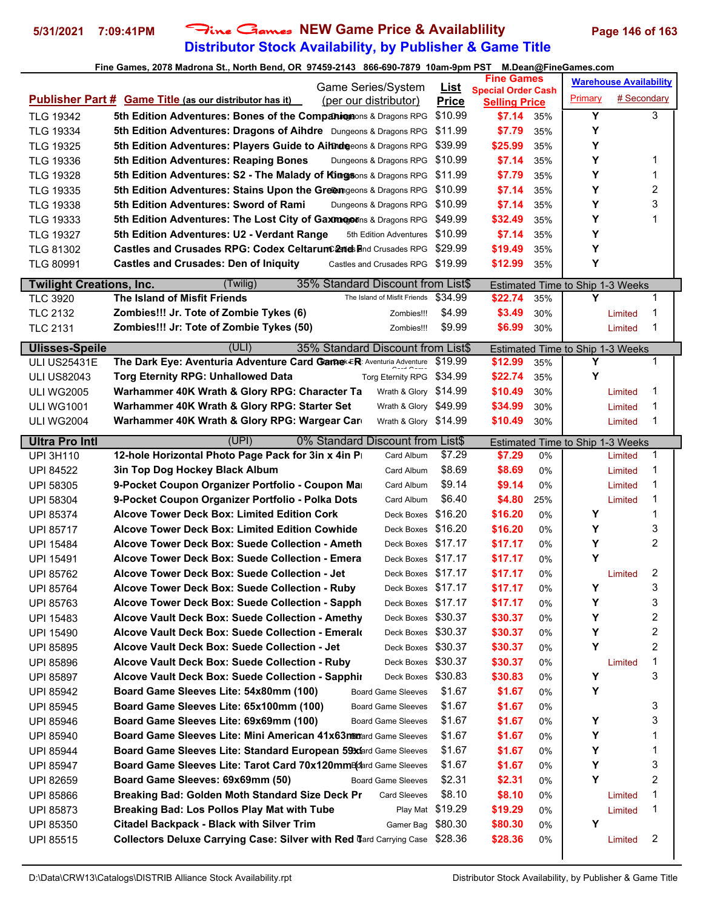# **Distributor Stock Availability, by Publisher & Game Title 5/31/2021 7:09:41PM** Fine Games **NEW Game Price & Availablility Page 146 of 163**

|                                      | Game Series/System                                                                                            | <u>List</u>      | <b>Fine Games</b>                                 | <b>Warehouse Availability</b>                     |  |  |
|--------------------------------------|---------------------------------------------------------------------------------------------------------------|------------------|---------------------------------------------------|---------------------------------------------------|--|--|
|                                      | <b>Publisher Part # Game Title (as our distributor has it)</b><br>(per our distributor)                       | <b>Price</b>     | <b>Special Order Cash</b><br><b>Selling Price</b> | Primary<br># Secondary                            |  |  |
| <b>TLG 19342</b>                     | 5th Edition Adventures: Bones of the Companionens & Dragons RPG                                               | \$10.99          | \$7.14<br>35%                                     | Y<br>3                                            |  |  |
| <b>TLG 19334</b>                     | 5th Edition Adventures: Dragons of Aihdre Dungeons & Dragons RPG                                              | \$11.99          | \$7.79<br>35%                                     | Υ                                                 |  |  |
| <b>TLG 19325</b>                     | 5th Edition Adventures: Players Guide to Aihndeeons & Dragons RPG                                             | \$39.99          | \$25.99<br>35%                                    | Υ                                                 |  |  |
| <b>TLG 19336</b>                     | 5th Edition Adventures: Reaping Bones<br>Dungeons & Dragons RPG                                               | \$10.99          | \$7.14<br>35%                                     | Υ<br>1                                            |  |  |
| <b>TLG 19328</b>                     | 5th Edition Adventures: S2 - The Malady of Kingsons & Dragons RPG                                             | \$11.99          | \$7.79<br>35%                                     | Υ<br>1                                            |  |  |
| <b>TLG 19335</b>                     | 5th Edition Adventures: Stains Upon the Greemgeons & Dragons RPG                                              | \$10.99          | \$7.14<br>35%                                     | Υ<br>2                                            |  |  |
| <b>TLG 19338</b>                     | 5th Edition Adventures: Sword of Rami<br>Dungeons & Dragons RPG                                               | \$10.99          | \$7.14<br>35%                                     | Υ<br>3                                            |  |  |
| <b>TLG 19333</b>                     | 5th Edition Adventures: The Lost City of Gaxmopons & Dragons RPG                                              | \$49.99          | \$32.49<br>35%                                    | Υ<br>1                                            |  |  |
| <b>TLG 19327</b>                     | 5th Edition Adventures: U2 - Verdant Range<br>5th Edition Adventures                                          | \$10.99          | \$7.14<br>35%                                     | Υ                                                 |  |  |
| <b>TLG 81302</b>                     | <b>Castles and Crusades RPG: Codex CeltarumCands and Crusades RPG</b>                                         | \$29.99          | \$19.49<br>35%                                    | Υ                                                 |  |  |
| <b>TLG 80991</b>                     | <b>Castles and Crusades: Den of Iniquity</b><br>Castles and Crusades RPG \$19.99                              |                  | \$12.99<br>35%                                    | Υ                                                 |  |  |
| <b>Twilight Creations, Inc.</b>      | 35% Standard Discount from List\$<br>(Twilig)                                                                 |                  |                                                   | <b>Estimated Time to Ship 1-3 Weeks</b>           |  |  |
| <b>TLC 3920</b>                      | The Island of Misfit Friends<br>The Island of Misfit Friends                                                  | \$34.99          | \$22.74<br>35%                                    | Y<br>1                                            |  |  |
| <b>TLC 2132</b>                      | Zombies!!! Jr. Tote of Zombie Tykes (6)<br>Zombies!!!                                                         | \$4.99           | \$3.49<br>30%                                     | 1<br>Limited                                      |  |  |
| <b>TLC 2131</b>                      | Zombies!!! Jr: Tote of Zombie Tykes (50)<br>Zombies!!!                                                        | \$9.99           | \$6.99<br>30%                                     | 1<br>Limited                                      |  |  |
| <b>Ulisses-Speile</b>                | (ULI)<br>35% Standard Discount from List\$                                                                    |                  |                                                   |                                                   |  |  |
| <b>ULI US25431E</b>                  | The Dark Eye: Aventuria Adventure Card Game ER: Aventuria Adventure                                           | \$19.99          | \$12.99<br>35%                                    | <b>Estimated Time to Ship 1-3 Weeks</b><br>Υ<br>1 |  |  |
| <b>ULI US82043</b>                   | <b>Torg Eternity RPG: Unhallowed Data</b><br><b>Torg Eternity RPG</b>                                         | \$34.99          | \$22.74<br>35%                                    | Υ                                                 |  |  |
| <b>ULI WG2005</b>                    | Warhammer 40K Wrath & Glory RPG: Character Ta<br>Wrath & Glory \$14.99                                        |                  | \$10.49<br>30%                                    | 1<br>Limited                                      |  |  |
| <b>ULI WG1001</b>                    | Warhammer 40K Wrath & Glory RPG: Starter Set<br>Wrath & Glory \$49.99                                         |                  | \$34.99<br>30%                                    | 1<br>Limited                                      |  |  |
| <b>ULI WG2004</b>                    | Warhammer 40K Wrath & Glory RPG: Wargear Card<br>Wrath & Glory \$14.99                                        |                  | \$10.49<br>30%                                    | 1<br>Limited                                      |  |  |
|                                      |                                                                                                               |                  |                                                   |                                                   |  |  |
| <b>Ultra Pro Intl</b>                | (UPI)<br>0% Standard Discount from List\$<br>12-hole Horizontal Photo Page Pack for 3in x 4in P<br>Card Album | \$7.29           | \$7.29<br>0%                                      | Estimated Time to Ship 1-3 Weeks<br>1             |  |  |
| <b>UPI 3H110</b><br><b>UPI 84522</b> | 3in Top Dog Hockey Black Album<br>Card Album                                                                  | \$8.69           | \$8.69<br>0%                                      | Limited<br>1<br>Limited                           |  |  |
| <b>UPI 58305</b>                     | 9-Pocket Coupon Organizer Portfolio - Coupon Mar<br>Card Album                                                | \$9.14           | \$9.14<br>0%                                      | 1<br>Limited                                      |  |  |
| <b>UPI 58304</b>                     | 9-Pocket Coupon Organizer Portfolio - Polka Dots<br>Card Album                                                | \$6.40           | \$4.80<br>25%                                     | 1<br>Limited                                      |  |  |
| <b>UPI 85374</b>                     | <b>Alcove Tower Deck Box: Limited Edition Cork</b><br>Deck Boxes                                              | \$16.20          | \$16.20<br>0%                                     | Υ<br>1                                            |  |  |
| <b>UPI 85717</b>                     | Alcove Tower Deck Box: Limited Edition Cowhide<br>Deck Boxes                                                  | \$16.20          | \$16.20<br>0%                                     | Υ<br>3                                            |  |  |
| <b>UPI 15484</b>                     | Alcove Tower Deck Box: Suede Collection - Ameth<br>Deck Boxes                                                 | \$17.17          | \$17.17<br>0%                                     | Υ<br>2                                            |  |  |
| <b>UPI 15491</b>                     | Alcove Tower Deck Box: Suede Collection - Emera<br>Deck Boxes                                                 | \$17.17          | \$17.17<br>0%                                     | Y                                                 |  |  |
| <b>UPI 85762</b>                     | Alcove Tower Deck Box: Suede Collection - Jet<br>Deck Boxes \$17.17                                           |                  | \$17.17<br>0%                                     | 2<br>Limited                                      |  |  |
| <b>UPI 85764</b>                     | Alcove Tower Deck Box: Suede Collection - Ruby<br>Deck Boxes \$17.17                                          |                  | \$17.17<br>0%                                     | 3<br>Υ                                            |  |  |
| UPI 85763                            | Deck Boxes \$17.17<br>Alcove Tower Deck Box: Suede Collection - Sapph                                         |                  | \$17.17<br>0%                                     | 3<br>Υ                                            |  |  |
| <b>UPI 15483</b>                     | Alcove Vault Deck Box: Suede Collection - Amethy<br>Deck Boxes \$30.37                                        |                  | \$30.37<br>0%                                     | 2<br>Υ                                            |  |  |
| UPI 15490                            | Alcove Vault Deck Box: Suede Collection - Emerald<br>Deck Boxes \$30.37                                       |                  | \$30.37<br>0%                                     | Υ<br>2                                            |  |  |
| UPI 85895                            | Alcove Vault Deck Box: Suede Collection - Jet<br>Deck Boxes                                                   | \$30.37          | \$30.37<br>0%                                     | Υ<br>2                                            |  |  |
| UPI 85896                            | Alcove Vault Deck Box: Suede Collection - Ruby<br>Deck Boxes                                                  | \$30.37          | \$30.37<br>0%                                     | 1<br>Limited                                      |  |  |
| <b>UPI 85897</b>                     | Alcove Vault Deck Box: Suede Collection - Sapphir<br>Deck Boxes                                               | \$30.83          | \$30.83<br>0%                                     | 3<br>Υ                                            |  |  |
| UPI 85942                            | Board Game Sleeves Lite: 54x80mm (100)<br><b>Board Game Sleeves</b>                                           | \$1.67           | \$1.67<br>0%                                      | Υ                                                 |  |  |
| UPI 85945                            | Board Game Sleeves Lite: 65x100mm (100)<br><b>Board Game Sleeves</b>                                          | \$1.67           | \$1.67<br>0%                                      | 3                                                 |  |  |
| UPI 85946                            | Board Game Sleeves Lite: 69x69mm (100)<br><b>Board Game Sleeves</b>                                           | \$1.67           | \$1.67<br>0%                                      | Υ<br>3                                            |  |  |
| UPI 85940                            | Board Game Sleeves Lite: Mini American 41x63ntmard Game Sleeves                                               | \$1.67           | \$1.67<br>0%                                      | Υ<br>1                                            |  |  |
| UPI 85944                            | Board Game Sleeves Lite: Standard European 593dard Game Sleeves                                               | \$1.67           | \$1.67<br>0%                                      | Υ<br>1                                            |  |  |
| UPI 85947                            | Board Game Sleeves Lite: Tarot Card 70x120mmB(dard Game Sleeves                                               | \$1.67           | \$1.67<br>0%                                      | 3<br>Y                                            |  |  |
| UPI 82659                            | Board Game Sleeves: 69x69mm (50)<br><b>Board Game Sleeves</b>                                                 | \$2.31           | \$2.31<br>0%                                      | Υ<br>2                                            |  |  |
| <b>UPI 85866</b>                     | Breaking Bad: Golden Moth Standard Size Deck Pr<br><b>Card Sleeves</b>                                        | \$8.10           | \$8.10<br>0%                                      | 1<br>Limited                                      |  |  |
| UPI 85873                            | Breaking Bad: Los Pollos Play Mat with Tube                                                                   | Play Mat \$19.29 | \$19.29<br>0%                                     | 1<br>Limited                                      |  |  |
| UPI 85350                            | <b>Citadel Backpack - Black with Silver Trim</b><br>Gamer Bag                                                 | \$80.30          | \$80.30<br>0%                                     | Y                                                 |  |  |
| UPI 85515                            | Collectors Deluxe Carrying Case: Silver with Red Tard Carrying Case \$28.36                                   |                  | \$28.36<br>0%                                     | 2<br>Limited                                      |  |  |
|                                      |                                                                                                               |                  |                                                   |                                                   |  |  |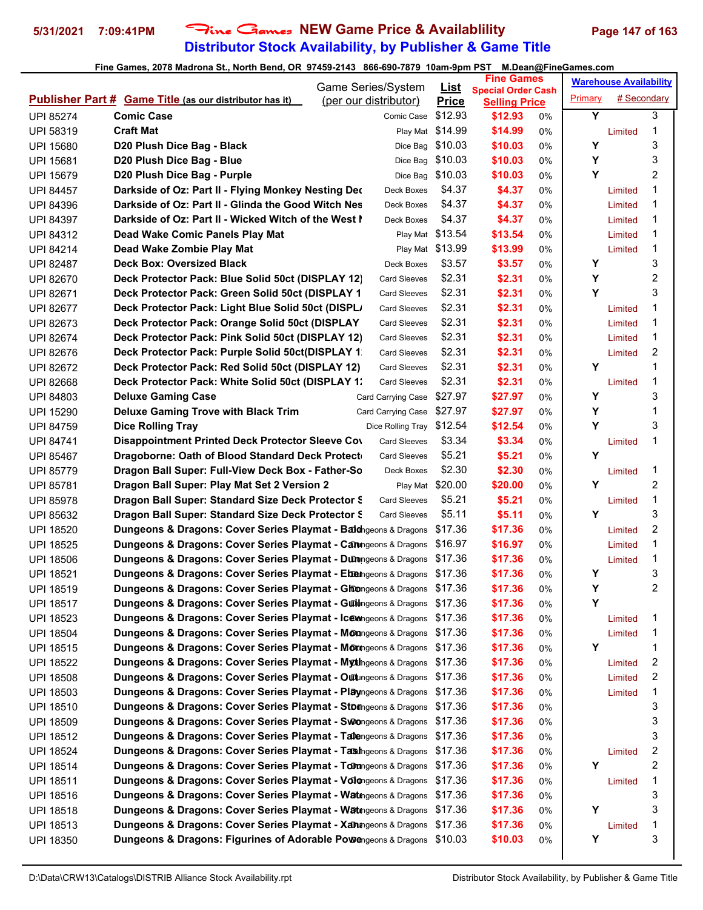# **Distributor Stock Availability, by Publisher & Game Title 5/31/2021 7:09:41PM** Fine Games **NEW Game Price & Availablility Page 147 of 163**

| <b>Game Series/System</b>            |                                                                                                                                                   |  | <u>List</u>                                | <b>Fine Games</b>          |                                                   |       | <b>Warehouse Availability</b> |             |                         |
|--------------------------------------|---------------------------------------------------------------------------------------------------------------------------------------------------|--|--------------------------------------------|----------------------------|---------------------------------------------------|-------|-------------------------------|-------------|-------------------------|
|                                      | <b>Publisher Part # Game Title (as our distributor has it)</b>                                                                                    |  | (per our distributor)                      | <b>Price</b>               | <b>Special Order Cash</b><br><b>Selling Price</b> |       | Primary                       | # Secondary |                         |
| <b>UPI 85274</b>                     | <b>Comic Case</b>                                                                                                                                 |  | Comic Case                                 | \$12.93                    | \$12.93                                           | 0%    | Y                             |             | 3                       |
| <b>UPI 58319</b>                     | <b>Craft Mat</b>                                                                                                                                  |  |                                            | Play Mat \$14.99           | \$14.99                                           | 0%    |                               | Limited     | 1                       |
| <b>UPI 15680</b>                     | D20 Plush Dice Bag - Black                                                                                                                        |  |                                            | Dice Bag \$10.03           | \$10.03                                           | 0%    | Υ                             |             | 3                       |
| <b>UPI 15681</b>                     | D20 Plush Dice Bag - Blue                                                                                                                         |  | Dice Bag                                   | \$10.03                    | \$10.03                                           | 0%    | Y                             |             | 3                       |
| <b>UPI 15679</b>                     | D20 Plush Dice Bag - Purple                                                                                                                       |  | Dice Bag                                   | \$10.03                    | \$10.03                                           | 0%    | Υ                             |             | $\overline{2}$          |
| <b>UPI 84457</b>                     | Darkside of Oz: Part II - Flying Monkey Nesting Dec                                                                                               |  | Deck Boxes                                 | \$4.37                     | \$4.37                                            | 0%    |                               | Limited     | 1                       |
| <b>UPI 84396</b>                     | Darkside of Oz: Part II - Glinda the Good Witch Nes                                                                                               |  | Deck Boxes                                 | \$4.37                     | \$4.37                                            | 0%    |                               | Limited     | 1                       |
| <b>UPI 84397</b>                     | Darkside of Oz: Part II - Wicked Witch of the West I                                                                                              |  | Deck Boxes                                 | \$4.37                     | \$4.37                                            | 0%    |                               | Limited     | 1                       |
| <b>UPI 84312</b>                     | Dead Wake Comic Panels Play Mat                                                                                                                   |  |                                            | Play Mat \$13.54           | \$13.54                                           | 0%    |                               | Limited     | 1                       |
| <b>UPI 84214</b>                     | Dead Wake Zombie Play Mat                                                                                                                         |  |                                            | Play Mat \$13.99           | \$13.99                                           | 0%    |                               | Limited     | 1                       |
| <b>UPI 82487</b>                     | <b>Deck Box: Oversized Black</b>                                                                                                                  |  | Deck Boxes                                 | \$3.57                     | \$3.57                                            | 0%    | Y                             |             | 3                       |
| <b>UPI 82670</b>                     | Deck Protector Pack: Blue Solid 50ct (DISPLAY 12)                                                                                                 |  | <b>Card Sleeves</b>                        | \$2.31                     | \$2.31                                            | 0%    | Y                             |             | 2                       |
| <b>UPI 82671</b>                     | Deck Protector Pack: Green Solid 50ct (DISPLAY 1                                                                                                  |  | <b>Card Sleeves</b>                        | \$2.31                     | \$2.31                                            | $0\%$ | Y                             |             | 3                       |
| <b>UPI 82677</b>                     | Deck Protector Pack: Light Blue Solid 50ct (DISPL)                                                                                                |  | Card Sleeves                               | \$2.31                     | \$2.31                                            | 0%    |                               | Limited     | 1                       |
| UPI 82673                            | Deck Protector Pack: Orange Solid 50ct (DISPLAY                                                                                                   |  | <b>Card Sleeves</b>                        | \$2.31                     | \$2.31                                            | 0%    |                               | Limited     | 1                       |
| <b>UPI 82674</b>                     | Deck Protector Pack: Pink Solid 50ct (DISPLAY 12)                                                                                                 |  | <b>Card Sleeves</b>                        | \$2.31                     | \$2.31                                            | 0%    |                               | Limited     | 1                       |
| <b>UPI 82676</b>                     | Deck Protector Pack: Purple Solid 50ct(DISPLAY 1                                                                                                  |  | <b>Card Sleeves</b>                        | \$2.31                     | \$2.31                                            | 0%    |                               | Limited     | 2                       |
| <b>UPI 82672</b>                     | Deck Protector Pack: Red Solid 50ct (DISPLAY 12)                                                                                                  |  | <b>Card Sleeves</b>                        | \$2.31                     | \$2.31                                            | 0%    | Υ                             |             | 1                       |
| <b>UPI 82668</b>                     | Deck Protector Pack: White Solid 50ct (DISPLAY 1:                                                                                                 |  | <b>Card Sleeves</b>                        | \$2.31                     | \$2.31                                            | 0%    |                               | Limited     | 1                       |
| <b>UPI 84803</b>                     | <b>Deluxe Gaming Case</b>                                                                                                                         |  | Card Carrying Case                         | \$27.97                    | \$27.97                                           | 0%    | Υ                             |             | 3                       |
| <b>UPI 15290</b>                     | <b>Deluxe Gaming Trove with Black Trim</b>                                                                                                        |  | Card Carrying Case                         | \$27.97                    | \$27.97                                           | 0%    | Y                             |             | 1                       |
|                                      | <b>Dice Rolling Tray</b>                                                                                                                          |  | Dice Rolling Tray \$12.54                  |                            | \$12.54                                           | 0%    | Y                             |             | 3                       |
| <b>UPI 84759</b><br><b>UPI 84741</b> | Disappointment Printed Deck Protector Sleeve Cov                                                                                                  |  | <b>Card Sleeves</b>                        | \$3.34                     | \$3.34                                            |       |                               |             | 1                       |
|                                      |                                                                                                                                                   |  | <b>Card Sleeves</b>                        | \$5.21                     |                                                   | 0%    | Y                             | Limited     |                         |
| <b>UPI 85467</b>                     | Dragoborne: Oath of Blood Standard Deck Protect                                                                                                   |  |                                            |                            | \$5.21                                            | 0%    |                               |             |                         |
| <b>UPI 85779</b>                     | Dragon Ball Super: Full-View Deck Box - Father-So                                                                                                 |  | Deck Boxes                                 | \$2.30                     | \$2.30                                            | 0%    | Υ                             | Limited     | 1<br>$\boldsymbol{2}$   |
| <b>UPI 85781</b>                     | Dragon Ball Super: Play Mat Set 2 Version 2                                                                                                       |  |                                            | Play Mat \$20.00<br>\$5.21 | \$20.00<br>\$5.21                                 | 0%    |                               |             | 1                       |
| <b>UPI 85978</b>                     | Dragon Ball Super: Standard Size Deck Protector S                                                                                                 |  | <b>Card Sleeves</b><br><b>Card Sleeves</b> | \$5.11                     |                                                   | 0%    | Υ                             | Limited     | 3                       |
| <b>UPI 85632</b>                     | Dragon Ball Super: Standard Size Deck Protector S                                                                                                 |  |                                            | \$17.36                    | \$5.11<br>\$17.36                                 | 0%    |                               | Limited     | 2                       |
| <b>UPI 18520</b>                     | <b>Dungeons &amp; Dragons: Cover Series Playmat - Bald</b> igeons & Dragons                                                                       |  |                                            | \$16.97                    |                                                   | 0%    |                               |             | 1                       |
| <b>UPI 18525</b>                     | Dungeons & Dragons: Cover Series Playmat - Caningeons & Dragons                                                                                   |  |                                            | \$17.36                    | \$16.97                                           | 0%    |                               | Limited     | 1                       |
| <b>UPI 18506</b>                     | Dungeons & Dragons: Cover Series Playmat - Dunngeons & Dragons<br>Dungeons & Dragons: Cover Series Playmat - Ebengeons & Dragons                  |  |                                            | \$17.36                    | \$17.36<br>\$17.36                                | 0%    | Y                             | Limited     | 3                       |
| <b>UPI 18521</b>                     | Dungeons & Dragons: Cover Series Playmat - Glimongeons & Dragons \$17.36                                                                          |  |                                            |                            | \$17.36                                           | 0%    | Y                             |             | $\mathfrak{p}$          |
| <b>UPI 18519</b>                     | Dungeons & Dragons: Cover Series Playmat - Guilingeons & Dragons \$17.36                                                                          |  |                                            |                            |                                                   | 0%    | Y                             |             |                         |
| <b>UPI 18517</b>                     |                                                                                                                                                   |  |                                            |                            | \$17.36                                           | 0%    |                               |             |                         |
| UPI 18523                            | Dungeons & Dragons: Cover Series Playmat - Ic@mageons & Dragons \$17.36<br>Dungeons & Dragons: Cover Series Playmat - Monngeons & Dragons \$17.36 |  |                                            |                            | \$17.36                                           | 0%    |                               | Limited     | 1                       |
| <b>UPI 18504</b>                     |                                                                                                                                                   |  |                                            |                            | \$17.36                                           | 0%    |                               | Limited     | 1                       |
| UPI 18515                            | Dungeons & Dragons: Cover Series Playmat - Monngeons & Dragons                                                                                    |  |                                            | \$17.36                    | \$17.36                                           | 0%    | Y                             |             | 1                       |
| <b>UPI 18522</b>                     | Dungeons & Dragons: Cover Series Playmat - Mythingeons & Dragons                                                                                  |  |                                            | \$17.36                    | \$17.36                                           | 0%    |                               | Limited     | 2                       |
| <b>UPI 18508</b>                     | Dungeons & Dragons: Cover Series Playmat - Outungeons & Dragons                                                                                   |  |                                            | \$17.36                    | \$17.36                                           | 0%    |                               | Limited     | 2                       |
| UPI 18503                            | Dungeons & Dragons: Cover Series Playmat - Playngeons & Dragons                                                                                   |  |                                            | \$17.36                    | \$17.36                                           | 0%    |                               | Limited     | 1                       |
| UPI 18510                            | Dungeons & Dragons: Cover Series Playmat - Stomngeons & Dragons                                                                                   |  |                                            | \$17.36                    | \$17.36                                           | 0%    |                               |             | 3                       |
| <b>UPI 18509</b>                     | Dungeons & Dragons: Cover Series Playmat - Swongeons & Dragons \$17.36                                                                            |  |                                            |                            | \$17.36                                           | 0%    |                               |             | 3                       |
| <b>UPI 18512</b>                     | Dungeons & Dragons: Cover Series Playmat - Tabengeons & Dragons                                                                                   |  |                                            | \$17.36                    | \$17.36                                           | 0%    |                               |             | 3                       |
| <b>UPI 18524</b>                     | Dungeons & Dragons: Cover Series Playmat - Tashngeons & Dragons                                                                                   |  |                                            | \$17.36                    | \$17.36                                           | 0%    |                               | Limited     | $\overline{\mathbf{c}}$ |
| <b>UPI 18514</b>                     | Dungeons & Dragons: Cover Series Playmat - Tomngeons & Dragons                                                                                    |  |                                            | \$17.36                    | \$17.36                                           | 0%    | Y                             |             | 2                       |
| <b>UPI 18511</b>                     | Dungeons & Dragons: Cover Series Playmat - Volongeons & Dragons                                                                                   |  |                                            | \$17.36                    | \$17.36                                           | 0%    |                               | Limited     | 1                       |
| <b>UPI 18516</b>                     | Dungeons & Dragons: Cover Series Playmat - Watngeons & Dragons                                                                                    |  |                                            | \$17.36                    | \$17.36                                           | 0%    |                               |             | 3                       |
| UPI 18518                            | Dungeons & Dragons: Cover Series Playmat - Watngeons & Dragons                                                                                    |  |                                            | \$17.36                    | \$17.36                                           | 0%    | Υ                             |             | 3                       |
| UPI 18513                            | <b>Dungeons &amp; Dragons: Cover Series Playmat - Xanngeons &amp; Dragons</b>                                                                     |  |                                            | \$17.36                    | \$17.36                                           | 0%    |                               | Limited     | 1                       |
| UPI 18350                            | Dungeons & Dragons: Figurines of Adorable Powengeons & Dragons                                                                                    |  |                                            | \$10.03                    | \$10.03                                           | 0%    | Υ                             |             | 3                       |
|                                      |                                                                                                                                                   |  |                                            |                            |                                                   |       |                               |             |                         |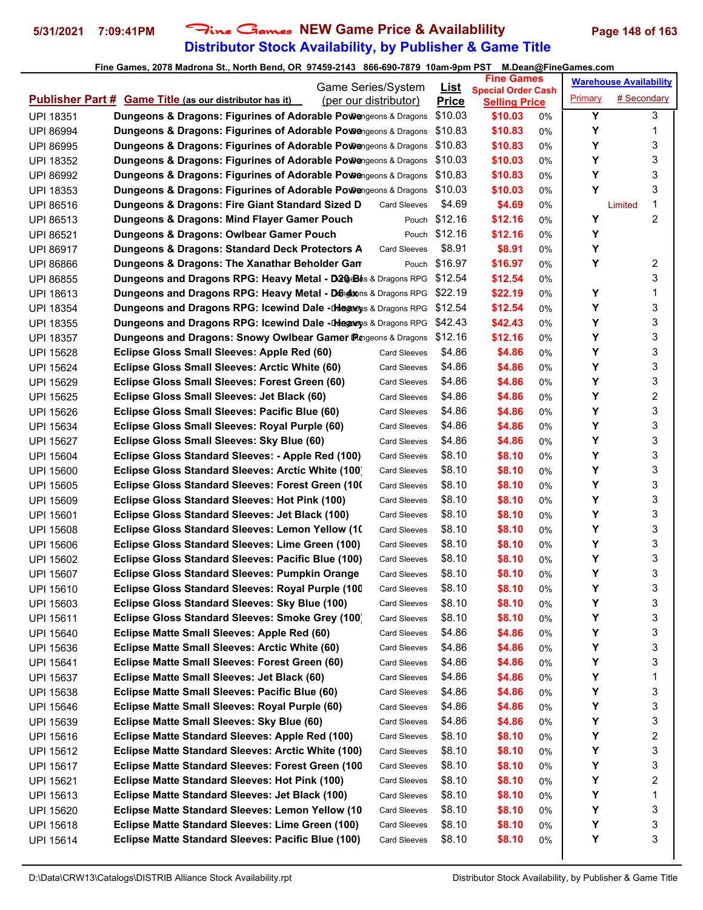# **Distributor Stock Availability, by Publisher & Game Title 5/31/2021 7:09:41PM** Fine Games **NEW Game Price & Availablility Page 148 of 163**

|                  |                                                                                                               |                     | <b>Fine Games</b>           |                                 |       | <b>Warehouse Availability</b> |              |
|------------------|---------------------------------------------------------------------------------------------------------------|---------------------|-----------------------------|---------------------------------|-------|-------------------------------|--------------|
|                  | Game Series/System<br><b>Publisher Part # Game Title (as our distributor has it)</b><br>(per our distributor) |                     | <u>List</u><br><b>Price</b> | <b>Special Order Cash</b>       |       | <b>Primary</b>                | # Secondary  |
| <b>UPI 18351</b> | Dungeons & Dragons: Figurines of Adorable Powengeons & Dragons                                                |                     | \$10.03                     | <b>Selling Price</b><br>\$10.03 | 0%    | Y                             | 3            |
| <b>UPI 86994</b> | Dungeons & Dragons: Figurines of Adorable Powengeons & Dragons                                                |                     | \$10.83                     | \$10.83                         | 0%    | Υ                             | 1            |
| <b>UPI 86995</b> | Dungeons & Dragons: Figurines of Adorable Powengeons & Dragons                                                |                     | \$10.83                     | \$10.83                         | 0%    | Υ                             | 3            |
| <b>UPI 18352</b> | <b>Dungeons &amp; Dragons: Figurines of Adorable Powengeons &amp; Dragons</b>                                 |                     | \$10.03                     | \$10.03                         | 0%    | Y                             | 3            |
| <b>UPI 86992</b> | <b>Dungeons &amp; Dragons: Figurines of Adorable Powengeons &amp; Dragons</b>                                 |                     | \$10.83                     | \$10.83                         | 0%    | Υ                             | 3            |
| <b>UPI 18353</b> | Dungeons & Dragons: Figurines of Adorable Powengeons & Dragons \$10.03                                        |                     |                             | \$10.03                         | 0%    | Y                             | 3            |
| UPI 86516        | Dungeons & Dragons: Fire Giant Standard Sized D                                                               | <b>Card Sleeves</b> | \$4.69                      | \$4.69                          | 0%    |                               | 1<br>Limited |
| UPI 86513        | Dungeons & Dragons: Mind Flayer Gamer Pouch                                                                   |                     | Pouch \$12.16               | \$12.16                         | 0%    | Υ                             | 2            |
| <b>UPI 86521</b> | Dungeons & Dragons: Owlbear Gamer Pouch                                                                       |                     | Pouch \$12.16               | \$12.16                         | 0%    | Υ                             |              |
| <b>UPI 86917</b> | Dungeons & Dragons: Standard Deck Protectors A                                                                | <b>Card Sleeves</b> | \$8.91                      | \$8.91                          | 0%    | Υ                             |              |
| <b>UPI 86866</b> | Dungeons & Dragons: The Xanathar Beholder Gan                                                                 | Pouch               | \$16.97                     | \$16.97                         | 0%    | Υ                             | 2            |
| <b>UPI 86855</b> | Dungeons and Dragons RPG: Heavy Metal - D20 Bhs & Dragons RPG                                                 |                     | \$12.54                     | \$12.54                         | 0%    |                               | 3            |
| <b>UPI 18613</b> | Dungeons and Dragons RPG: Heavy Metal - Dingleons & Dragons RPG                                               |                     | \$22.19                     | \$22.19                         | 0%    | Υ                             | 1            |
| <b>UPI 18354</b> | <b>Dungeons and Dragons RPG: Icewind Dale -Diegeons &amp; Dragons RPG</b>                                     |                     | \$12.54                     | \$12.54                         | 0%    | Υ                             | 3            |
| <b>UPI 18355</b> | <b>Dungeons and Dragons RPG: Icewind Dale -Diegaons &amp; Dragons RPG</b>                                     |                     | \$42.43                     | \$42.43                         | 0%    | Υ                             | 3            |
| <b>UPI 18357</b> | Dungeons and Dragons: Snowy Owlbear Gamer Pingeons & Dragons                                                  |                     | \$12.16                     | \$12.16                         | 0%    | Υ                             | 3            |
| <b>UPI 15628</b> | Eclipse Gloss Small Sleeves: Apple Red (60)                                                                   | <b>Card Sleeves</b> | \$4.86                      | \$4.86                          | 0%    | Υ                             | 3            |
| <b>UPI 15624</b> | Eclipse Gloss Small Sleeves: Arctic White (60)                                                                | <b>Card Sleeves</b> | \$4.86                      | \$4.86                          | 0%    | Υ                             | 3            |
| <b>UPI 15629</b> | Eclipse Gloss Small Sleeves: Forest Green (60)                                                                | <b>Card Sleeves</b> | \$4.86                      | \$4.86                          | 0%    | Υ                             | 3            |
| <b>UPI 15625</b> | Eclipse Gloss Small Sleeves: Jet Black (60)                                                                   | <b>Card Sleeves</b> | \$4.86                      | \$4.86                          | 0%    | Υ                             | 2            |
| <b>UPI 15626</b> | Eclipse Gloss Small Sleeves: Pacific Blue (60)                                                                | <b>Card Sleeves</b> | \$4.86                      | \$4.86                          | 0%    | Υ                             | 3            |
| <b>UPI 15634</b> | Eclipse Gloss Small Sleeves: Royal Purple (60)                                                                | <b>Card Sleeves</b> | \$4.86                      | \$4.86                          | 0%    | Υ                             | 3            |
| <b>UPI 15627</b> | Eclipse Gloss Small Sleeves: Sky Blue (60)                                                                    | <b>Card Sleeves</b> | \$4.86                      | \$4.86                          | 0%    | Υ                             | 3            |
| <b>UPI 15604</b> | Eclipse Gloss Standard Sleeves: - Apple Red (100)                                                             | <b>Card Sleeves</b> | \$8.10                      | \$8.10                          | 0%    | Υ                             | 3            |
| <b>UPI 15600</b> | Eclipse Gloss Standard Sleeves: Arctic White (100)                                                            | <b>Card Sleeves</b> | \$8.10                      | \$8.10                          | 0%    | Υ                             | 3            |
| <b>UPI 15605</b> | Eclipse Gloss Standard Sleeves: Forest Green (100)                                                            | Card Sleeves        | \$8.10                      | \$8.10                          | 0%    | Υ                             | 3            |
| <b>UPI 15609</b> | Eclipse Gloss Standard Sleeves: Hot Pink (100)                                                                | <b>Card Sleeves</b> | \$8.10                      | \$8.10                          | 0%    | Υ                             | 3            |
| <b>UPI 15601</b> | Eclipse Gloss Standard Sleeves: Jet Black (100)                                                               | <b>Card Sleeves</b> | \$8.10                      | \$8.10                          | 0%    | Υ                             | 3            |
| <b>UPI 15608</b> | Eclipse Gloss Standard Sleeves: Lemon Yellow (10)                                                             | <b>Card Sleeves</b> | \$8.10                      | \$8.10                          | 0%    | Υ                             | 3            |
| <b>UPI 15606</b> | Eclipse Gloss Standard Sleeves: Lime Green (100)                                                              | <b>Card Sleeves</b> | \$8.10                      | \$8.10                          | 0%    | Υ                             | 3            |
| <b>UPI 15602</b> | Eclipse Gloss Standard Sleeves: Pacific Blue (100)                                                            | Card Sleeves        | \$8.10                      | \$8.10                          | 0%    | Υ                             | 3            |
| <b>UPI 15607</b> | <b>Eclipse Gloss Standard Sleeves: Pumpkin Orange</b>                                                         | <b>Card Sleeves</b> | \$8.10                      | \$8.10                          | 0%    | Υ                             | 3            |
| UPI 15610        | Eclipse Gloss Standard Sleeves: Royal Purple (100                                                             | Card Sleeves        | \$8.10                      | \$8.10                          | $0\%$ | Υ                             | 3            |
| UPI 15603        | Eclipse Gloss Standard Sleeves: Sky Blue (100)                                                                | Card Sleeves        | \$8.10                      | \$8.10                          | 0%    | Υ                             | 3            |
| <b>UPI 15611</b> | Eclipse Gloss Standard Sleeves: Smoke Grey (100)                                                              | Card Sleeves        | \$8.10                      | \$8.10                          | 0%    | Υ                             | 3            |
| UPI 15640        | Eclipse Matte Small Sleeves: Apple Red (60)                                                                   | <b>Card Sleeves</b> | \$4.86                      | \$4.86                          | 0%    | Υ                             | 3            |
| UPI 15636        | Eclipse Matte Small Sleeves: Arctic White (60)                                                                | <b>Card Sleeves</b> | \$4.86                      | \$4.86                          | 0%    | Υ                             | 3            |
| UPI 15641        | <b>Eclipse Matte Small Sleeves: Forest Green (60)</b>                                                         | <b>Card Sleeves</b> | \$4.86                      | \$4.86                          | 0%    | Υ                             | 3            |
| <b>UPI 15637</b> | Eclipse Matte Small Sleeves: Jet Black (60)                                                                   | <b>Card Sleeves</b> | \$4.86                      | \$4.86                          | 0%    | Υ                             | 1            |
| <b>UPI 15638</b> | Eclipse Matte Small Sleeves: Pacific Blue (60)                                                                | Card Sleeves        | \$4.86                      | \$4.86                          | 0%    | Υ                             | 3            |
| UPI 15646        | Eclipse Matte Small Sleeves: Royal Purple (60)                                                                | <b>Card Sleeves</b> | \$4.86                      | \$4.86                          | 0%    | Υ                             | 3            |
| UPI 15639        | Eclipse Matte Small Sleeves: Sky Blue (60)                                                                    | <b>Card Sleeves</b> | \$4.86                      | \$4.86                          | 0%    | Υ                             | 3            |
| UPI 15616        | Eclipse Matte Standard Sleeves: Apple Red (100)                                                               | Card Sleeves        | \$8.10                      | \$8.10                          | 0%    | Υ                             | 2            |
| <b>UPI 15612</b> | Eclipse Matte Standard Sleeves: Arctic White (100)                                                            | <b>Card Sleeves</b> | \$8.10                      | \$8.10                          | 0%    | Υ                             | 3            |
| UPI 15617        | <b>Eclipse Matte Standard Sleeves: Forest Green (100)</b>                                                     | <b>Card Sleeves</b> | \$8.10                      | \$8.10                          | 0%    | Υ                             | 3            |
| UPI 15621        | Eclipse Matte Standard Sleeves: Hot Pink (100)                                                                | Card Sleeves        | \$8.10                      | \$8.10                          | 0%    | Υ                             | 2            |
| UPI 15613        | Eclipse Matte Standard Sleeves: Jet Black (100)                                                               | <b>Card Sleeves</b> | \$8.10                      | \$8.10                          | 0%    | Υ                             | 1            |
| <b>UPI 15620</b> | Eclipse Matte Standard Sleeves: Lemon Yellow (10                                                              | <b>Card Sleeves</b> | \$8.10                      | \$8.10                          | 0%    | Υ                             | 3            |
| UPI 15618        | Eclipse Matte Standard Sleeves: Lime Green (100)                                                              | <b>Card Sleeves</b> | \$8.10                      | \$8.10                          | 0%    | Υ                             | 3            |
| UPI 15614        | Eclipse Matte Standard Sleeves: Pacific Blue (100)                                                            | <b>Card Sleeves</b> | \$8.10                      | \$8.10                          | 0%    | Υ                             | 3            |
|                  |                                                                                                               |                     |                             |                                 |       |                               |              |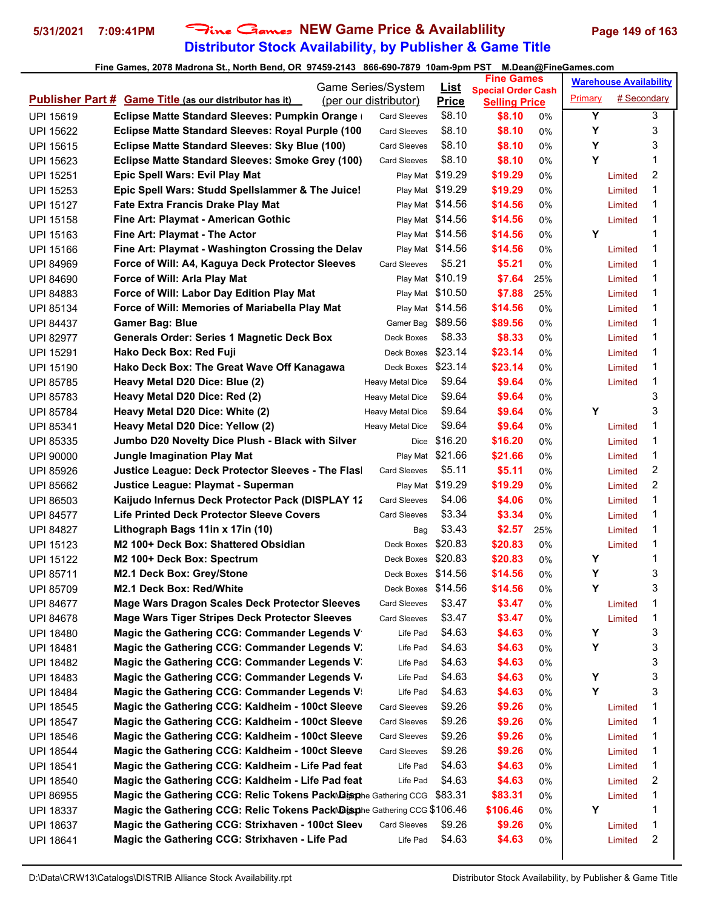# **Distributor Stock Availability, by Publisher & Game Title 5/31/2021 7:09:41PM** Fine Games **NEW Game Price & Availablility Page 149 of 163**

|                  |                                                                          | Game Series/System    |                             | <b>Fine Games</b>              |     | <b>Warehouse Availability</b> |             |   |
|------------------|--------------------------------------------------------------------------|-----------------------|-----------------------------|--------------------------------|-----|-------------------------------|-------------|---|
|                  | <b>Publisher Part # Game Title (as our distributor has it)</b>           | (per our distributor) | <u>List</u><br><b>Price</b> | <b>Special Order Cash</b>      |     | Primary                       | # Secondary |   |
| <b>UPI 15619</b> | Eclipse Matte Standard Sleeves: Pumpkin Orange                           | <b>Card Sleeves</b>   | \$8.10                      | <b>Selling Price</b><br>\$8.10 | 0%  | Y                             |             | 3 |
| <b>UPI 15622</b> | Eclipse Matte Standard Sleeves: Royal Purple (100                        | <b>Card Sleeves</b>   | \$8.10                      | \$8.10                         | 0%  | Υ                             |             | 3 |
| <b>UPI 15615</b> | Eclipse Matte Standard Sleeves: Sky Blue (100)                           | <b>Card Sleeves</b>   | \$8.10                      | \$8.10                         | 0%  | Υ                             |             | 3 |
| UPI 15623        | Eclipse Matte Standard Sleeves: Smoke Grey (100)                         | <b>Card Sleeves</b>   | \$8.10                      | \$8.10                         | 0%  | Y                             |             | 1 |
| <b>UPI 15251</b> | <b>Epic Spell Wars: Evil Play Mat</b>                                    | Play Mat              | \$19.29                     | \$19.29                        | 0%  |                               | Limited     | 2 |
| <b>UPI 15253</b> | Epic Spell Wars: Studd Spellslammer & The Juice!                         |                       | Play Mat \$19.29            | \$19.29                        | 0%  |                               | Limited     | 1 |
| <b>UPI 15127</b> | Fate Extra Francis Drake Play Mat                                        |                       | Play Mat \$14.56            | \$14.56                        | 0%  |                               | Limited     | 1 |
| UPI 15158        | Fine Art: Playmat - American Gothic                                      |                       | Play Mat \$14.56            | \$14.56                        | 0%  |                               | Limited     | 1 |
| UPI 15163        | Fine Art: Playmat - The Actor                                            |                       | Play Mat \$14.56            | \$14.56                        | 0%  | Υ                             |             | 1 |
| <b>UPI 15166</b> | Fine Art: Playmat - Washington Crossing the Delav                        |                       | Play Mat \$14.56            | \$14.56                        | 0%  |                               | Limited     | 1 |
| <b>UPI 84969</b> | Force of Will: A4, Kaguya Deck Protector Sleeves                         | <b>Card Sleeves</b>   | \$5.21                      | \$5.21                         | 0%  |                               | Limited     | 1 |
| <b>UPI 84690</b> | Force of Will: Arla Play Mat                                             | Play Mat              | \$10.19                     | \$7.64                         | 25% |                               | Limited     | 1 |
| <b>UPI 84883</b> | Force of Will: Labor Day Edition Play Mat                                |                       | Play Mat \$10.50            | \$7.88                         | 25% |                               | Limited     | 1 |
| <b>UPI 85134</b> | Force of Will: Memories of Mariabella Play Mat                           |                       | Play Mat \$14.56            | \$14.56                        | 0%  |                               | Limited     | 1 |
| <b>UPI 84437</b> | <b>Gamer Bag: Blue</b>                                                   | Gamer Bag             | \$89.56                     | \$89.56                        | 0%  |                               | Limited     | 1 |
| <b>UPI 82977</b> | <b>Generals Order: Series 1 Magnetic Deck Box</b>                        | Deck Boxes            | \$8.33                      | \$8.33                         | 0%  |                               | Limited     | 1 |
| <b>UPI 15291</b> | Hako Deck Box: Red Fuji                                                  | Deck Boxes            | \$23.14                     | \$23.14                        | 0%  |                               | Limited     | 1 |
| <b>UPI 15190</b> | Hako Deck Box: The Great Wave Off Kanagawa                               | Deck Boxes            | \$23.14                     | \$23.14                        | 0%  |                               | Limited     | 1 |
| <b>UPI 85785</b> | Heavy Metal D20 Dice: Blue (2)                                           | Heavy Metal Dice      | \$9.64                      | \$9.64                         | 0%  |                               | Limited     | 1 |
| <b>UPI 85783</b> | Heavy Metal D20 Dice: Red (2)                                            | Heavy Metal Dice      | \$9.64                      | \$9.64                         | 0%  |                               |             | 3 |
| <b>UPI 85784</b> | Heavy Metal D20 Dice: White (2)                                          | Heavy Metal Dice      | \$9.64                      | \$9.64                         | 0%  | Υ                             |             | 3 |
| UPI 85341        | Heavy Metal D20 Dice: Yellow (2)                                         | Heavy Metal Dice      | \$9.64                      | \$9.64                         | 0%  |                               | Limited     | 1 |
| <b>UPI 85335</b> | Jumbo D20 Novelty Dice Plush - Black with Silver                         |                       | Dice \$16.20                | \$16.20                        | 0%  |                               | Limited     | 1 |
| <b>UPI 90000</b> | <b>Jungle Imagination Play Mat</b>                                       |                       | Play Mat \$21.66            | \$21.66                        | 0%  |                               | Limited     | 1 |
| <b>UPI 85926</b> | Justice League: Deck Protector Sleeves - The Flas                        | <b>Card Sleeves</b>   | \$5.11                      | \$5.11                         | 0%  |                               | Limited     | 2 |
| <b>UPI 85662</b> | Justice League: Playmat - Superman                                       |                       | Play Mat \$19.29            | \$19.29                        | 0%  |                               | Limited     | 2 |
| <b>UPI 86503</b> | Kaijudo Infernus Deck Protector Pack (DISPLAY 12                         | <b>Card Sleeves</b>   | \$4.06                      | \$4.06                         | 0%  |                               | Limited     | 1 |
| <b>UPI 84577</b> | <b>Life Printed Deck Protector Sleeve Covers</b>                         | <b>Card Sleeves</b>   | \$3.34                      | \$3.34                         | 0%  |                               | Limited     | 1 |
| <b>UPI 84827</b> | Lithograph Bags 11in x 17in (10)                                         | Bag                   | \$3.43                      | \$2.57                         | 25% |                               | Limited     | 1 |
| <b>UPI 15123</b> | M2 100+ Deck Box: Shattered Obsidian                                     | Deck Boxes            | \$20.83                     | \$20.83                        | 0%  |                               | Limited     | 1 |
| <b>UPI 15122</b> | M <sub>2</sub> 100+ Deck Box: Spectrum                                   | Deck Boxes \$20.83    |                             | \$20.83                        | 0%  | Y                             |             | 1 |
| <b>UPI 85711</b> | M2.1 Deck Box: Grey/Stone                                                | Deck Boxes \$14.56    |                             | \$14.56                        | 0%  | Υ                             |             | 3 |
| UPI 85709        | <b>M2.1 Deck Box: Red/White</b>                                          | Deck Boxes \$14.56    |                             | \$14.56                        | 0%  | Υ                             |             | 3 |
| UPI 84677        | <b>Mage Wars Dragon Scales Deck Protector Sleeves</b>                    | <b>Card Sleeves</b>   | \$3.47                      | \$3.47                         | 0%  |                               | Limited     | 1 |
| <b>UPI 84678</b> | <b>Mage Wars Tiger Stripes Deck Protector Sleeves</b>                    | Card Sleeves          | \$3.47                      | \$3.47                         | 0%  |                               | Limited     | 1 |
| <b>UPI 18480</b> | Magic the Gathering CCG: Commander Legends V                             | Life Pad              | \$4.63                      | \$4.63                         | 0%  | Υ                             |             | 3 |
| <b>UPI 18481</b> | Magic the Gathering CCG: Commander Legends V:                            | Life Pad              | \$4.63                      | \$4.63                         | 0%  | Υ                             |             | 3 |
| <b>UPI 18482</b> | Magic the Gathering CCG: Commander Legends V.                            | Life Pad              | \$4.63                      | \$4.63                         | 0%  |                               |             | 3 |
| UPI 18483        | Magic the Gathering CCG: Commander Legends V                             | Life Pad              | \$4.63                      | \$4.63                         | 0%  | Υ                             |             | 3 |
| <b>UPI 18484</b> | Magic the Gathering CCG: Commander Legends V                             | Life Pad              | \$4.63                      | \$4.63                         | 0%  | Υ                             |             | 3 |
| <b>UPI 18545</b> | Magic the Gathering CCG: Kaldheim - 100ct Sleeve                         | <b>Card Sleeves</b>   | \$9.26                      | \$9.26                         | 0%  |                               | Limited     | 1 |
| <b>UPI 18547</b> | Magic the Gathering CCG: Kaldheim - 100ct Sleeve                         | <b>Card Sleeves</b>   | \$9.26                      | \$9.26                         | 0%  |                               | Limited     | 1 |
| <b>UPI 18546</b> | Magic the Gathering CCG: Kaldheim - 100ct Sleeve                         | <b>Card Sleeves</b>   | \$9.26                      | \$9.26                         | 0%  |                               | Limited     | 1 |
| <b>UPI 18544</b> | Magic the Gathering CCG: Kaldheim - 100ct Sleeve                         | <b>Card Sleeves</b>   | \$9.26                      | \$9.26                         | 0%  |                               | Limited     | 1 |
| <b>UPI 18541</b> | Magic the Gathering CCG: Kaldheim - Life Pad feat                        | Life Pad              | \$4.63                      | \$4.63                         | 0%  |                               | Limited     | 1 |
| UPI 18540        | Magic the Gathering CCG: Kaldheim - Life Pad feat                        | Life Pad              | \$4.63                      | \$4.63                         | 0%  |                               | Limited     | 2 |
| <b>UPI 86955</b> | Magic the Gathering CCG: Relic Tokens Pack\Disphe Gathering CCG          |                       | \$83.31                     | \$83.31                        | 0%  |                               | Limited     | 1 |
| <b>UPI 18337</b> | Magic the Gathering CCG: Relic Tokens Pack\Disphe Gathering CCG \$106.46 |                       |                             | \$106.46                       | 0%  | Υ                             |             | 1 |
| <b>UPI 18637</b> | Magic the Gathering CCG: Strixhaven - 100ct Sleev                        | <b>Card Sleeves</b>   | \$9.26                      | \$9.26                         | 0%  |                               | Limited     | 1 |
| <b>UPI 18641</b> | Magic the Gathering CCG: Strixhaven - Life Pad                           | Life Pad              | \$4.63                      | \$4.63                         | 0%  |                               | Limited     | 2 |
|                  |                                                                          |                       |                             |                                |     |                               |             |   |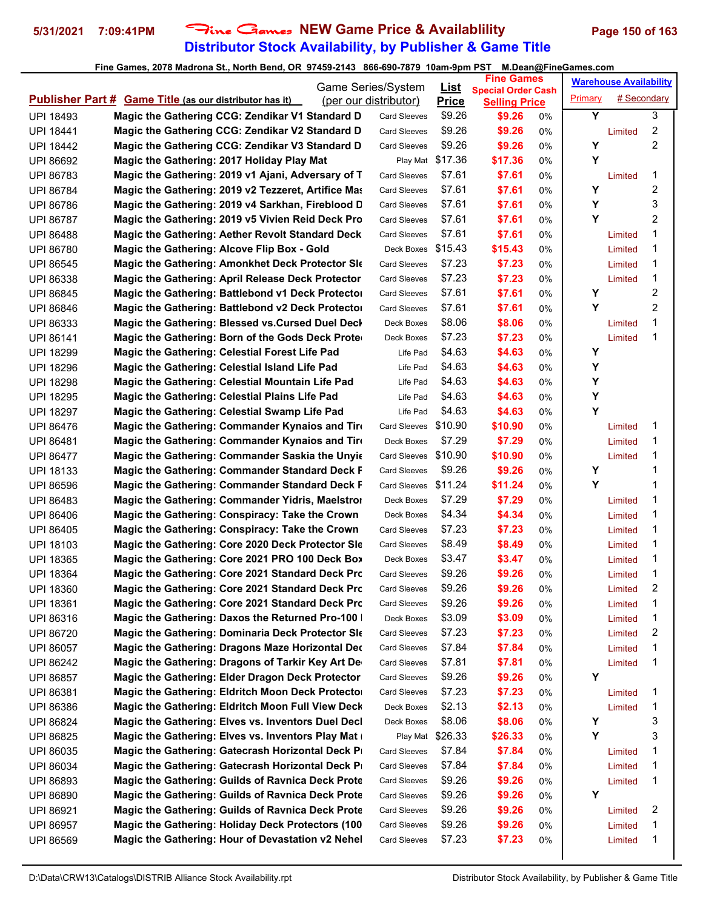# **Distributor Stock Availability, by Publisher & Game Title 5/31/2021 7:09:41PM** Fine Games **NEW Game Price & Availablility Page 150 of 163**

| Game Series/System                                                                      |                                                          |  | <u>List</u>         | <b>Fine Games</b><br><b>Special Order Cash</b> |                      | <b>Warehouse Availability</b> |         |             |   |
|-----------------------------------------------------------------------------------------|----------------------------------------------------------|--|---------------------|------------------------------------------------|----------------------|-------------------------------|---------|-------------|---|
| <b>Publisher Part # Game Title (as our distributor has it)</b><br>(per our distributor) |                                                          |  |                     | <b>Price</b>                                   | <b>Selling Price</b> |                               | Primary | # Secondary |   |
| <b>UPI 18493</b>                                                                        | Magic the Gathering CCG: Zendikar V1 Standard D          |  | <b>Card Sleeves</b> | \$9.26                                         | \$9.26               | 0%                            | Y       |             | 3 |
| <b>UPI 18441</b>                                                                        | Magic the Gathering CCG: Zendikar V2 Standard D          |  | <b>Card Sleeves</b> | \$9.26                                         | \$9.26               | 0%                            |         | Limited     | 2 |
| <b>UPI 18442</b>                                                                        | Magic the Gathering CCG: Zendikar V3 Standard D          |  | <b>Card Sleeves</b> | \$9.26                                         | \$9.26               | 0%                            | Y       |             | 2 |
| <b>UPI 86692</b>                                                                        | Magic the Gathering: 2017 Holiday Play Mat               |  | Play Mat            | \$17.36                                        | \$17.36              | 0%                            | Y       |             |   |
| UPI 86783                                                                               | Magic the Gathering: 2019 v1 Ajani, Adversary of T       |  | Card Sleeves        | \$7.61                                         | \$7.61               | 0%                            |         | Limited     | 1 |
| <b>UPI 86784</b>                                                                        | Magic the Gathering: 2019 v2 Tezzeret, Artifice Mas      |  | <b>Card Sleeves</b> | \$7.61                                         | \$7.61               | 0%                            | Υ       |             | 2 |
| <b>UPI 86786</b>                                                                        | Magic the Gathering: 2019 v4 Sarkhan, Fireblood D        |  | Card Sleeves        | \$7.61                                         | \$7.61               | 0%                            | Υ       |             | 3 |
| <b>UPI 86787</b>                                                                        | Magic the Gathering: 2019 v5 Vivien Reid Deck Pro        |  | Card Sleeves        | \$7.61                                         | \$7.61               | 0%                            | Y       |             | 2 |
| <b>UPI 86488</b>                                                                        | <b>Magic the Gathering: Aether Revolt Standard Deck</b>  |  | <b>Card Sleeves</b> | \$7.61                                         | \$7.61               | 0%                            |         | Limited     | 1 |
| <b>UPI 86780</b>                                                                        | Magic the Gathering: Alcove Flip Box - Gold              |  | Deck Boxes \$15.43  |                                                | \$15.43              | 0%                            |         | Limited     | 1 |
| <b>UPI 86545</b>                                                                        | <b>Magic the Gathering: Amonkhet Deck Protector SIG</b>  |  | <b>Card Sleeves</b> | \$7.23                                         | \$7.23               | 0%                            |         | Limited     | 1 |
| <b>UPI 86338</b>                                                                        | Magic the Gathering: April Release Deck Protector        |  | Card Sleeves        | \$7.23                                         | \$7.23               | 0%                            |         | Limited     | 1 |
| <b>UPI 86845</b>                                                                        | Magic the Gathering: Battlebond v1 Deck Protector        |  | Card Sleeves        | \$7.61                                         | \$7.61               | 0%                            | Y       |             | 2 |
| <b>UPI 86846</b>                                                                        | Magic the Gathering: Battlebond v2 Deck Protector        |  | <b>Card Sleeves</b> | \$7.61                                         | \$7.61               | 0%                            | Y       |             | 2 |
| UPI 86333                                                                               | Magic the Gathering: Blessed vs.Cursed Duel Decl         |  | Deck Boxes          | \$8.06                                         | \$8.06               | 0%                            |         | Limited     | 1 |
| <b>UPI 86141</b>                                                                        | Magic the Gathering: Born of the Gods Deck Prote         |  | Deck Boxes          | \$7.23                                         | \$7.23               | 0%                            |         | Limited     | 1 |
| <b>UPI 18299</b>                                                                        | Magic the Gathering: Celestial Forest Life Pad           |  | Life Pad            | \$4.63                                         | \$4.63               | 0%                            | Y       |             |   |
| <b>UPI 18296</b>                                                                        | Magic the Gathering: Celestial Island Life Pad           |  | Life Pad            | \$4.63                                         | \$4.63               | 0%                            | Y       |             |   |
| <b>UPI 18298</b>                                                                        | Magic the Gathering: Celestial Mountain Life Pad         |  | Life Pad            | \$4.63                                         | \$4.63               | 0%                            | Υ       |             |   |
| <b>UPI 18295</b>                                                                        | Magic the Gathering: Celestial Plains Life Pad           |  | Life Pad            | \$4.63                                         | \$4.63               | 0%                            | Υ       |             |   |
| <b>UPI 18297</b>                                                                        | Magic the Gathering: Celestial Swamp Life Pad            |  | Life Pad            | \$4.63                                         | \$4.63               | 0%                            | Y       |             |   |
| <b>UPI 86476</b>                                                                        | Magic the Gathering: Commander Kynaios and Tire          |  | Card Sleeves        | \$10.90                                        | \$10.90              | 0%                            |         | Limited     | 1 |
| <b>UPI 86481</b>                                                                        | Magic the Gathering: Commander Kynaios and Tire          |  | Deck Boxes          | \$7.29                                         | \$7.29               | 0%                            |         | Limited     | 1 |
| <b>UPI 86477</b>                                                                        | Magic the Gathering: Commander Saskia the Unyie          |  | Card Sleeves        | \$10.90                                        | \$10.90              | 0%                            |         | Limited     | 1 |
| UPI 18133                                                                               | <b>Magic the Gathering: Commander Standard Deck F</b>    |  | <b>Card Sleeves</b> | \$9.26                                         | \$9.26               | 0%                            | Y       |             | 1 |
| <b>UPI 86596</b>                                                                        | Magic the Gathering: Commander Standard Deck F           |  | Card Sleeves        | \$11.24                                        | \$11.24              | 0%                            | Y       |             | 1 |
| UPI 86483                                                                               | Magic the Gathering: Commander Yidris, Maelstror         |  | Deck Boxes          | \$7.29                                         | \$7.29               | 0%                            |         | Limited     | 1 |
| <b>UPI 86406</b>                                                                        | Magic the Gathering: Conspiracy: Take the Crown          |  | Deck Boxes          | \$4.34                                         | \$4.34               | 0%                            |         | Limited     | 1 |
| <b>UPI 86405</b>                                                                        | Magic the Gathering: Conspiracy: Take the Crown          |  | <b>Card Sleeves</b> | \$7.23                                         | \$7.23               | 0%                            |         | Limited     | 1 |
| UPI 18103                                                                               | Magic the Gathering: Core 2020 Deck Protector Sle        |  | Card Sleeves        | \$8.49                                         | \$8.49               | 0%                            |         | Limited     | 1 |
| <b>UPI 18365</b>                                                                        | Magic the Gathering: Core 2021 PRO 100 Deck Box          |  | Deck Boxes          | \$3.47                                         | \$3.47               | 0%                            |         | Limited     | 1 |
| <b>UPI 18364</b>                                                                        | Magic the Gathering: Core 2021 Standard Deck Prc         |  | <b>Card Sleeves</b> | \$9.26                                         | \$9.26               | 0%                            |         | Limited     | 1 |
| <b>UPI 18360</b>                                                                        | Magic the Gathering: Core 2021 Standard Deck Prc         |  | Card Sleeves        | \$9.26                                         | \$9.26               | $0\%$                         |         | Limited     | 2 |
| UPI 18361                                                                               | Magic the Gathering: Core 2021 Standard Deck Pro         |  | <b>Card Sleeves</b> | \$9.26                                         | \$9.26               | 0%                            |         | Limited     | 1 |
| UPI 86316                                                                               | Magic the Gathering: Daxos the Returned Pro-100          |  | Deck Boxes          | \$3.09                                         | \$3.09               | 0%                            |         | Limited     | 1 |
| UPI 86720                                                                               | Magic the Gathering: Dominaria Deck Protector SI         |  | <b>Card Sleeves</b> | \$7.23                                         | \$7.23               | 0%                            |         | Limited     | 2 |
| UPI 86057                                                                               | Magic the Gathering: Dragons Maze Horizontal Dec         |  | <b>Card Sleeves</b> | \$7.84                                         | \$7.84               | 0%                            |         | Limited     | 1 |
| UPI 86242                                                                               | Magic the Gathering: Dragons of Tarkir Key Art De        |  | <b>Card Sleeves</b> | \$7.81                                         | \$7.81               | 0%                            |         | Limited     | 1 |
| <b>UPI 86857</b>                                                                        | Magic the Gathering: Elder Dragon Deck Protector         |  | <b>Card Sleeves</b> | \$9.26                                         | \$9.26               | 0%                            | Υ       |             |   |
| UPI 86381                                                                               | Magic the Gathering: Eldritch Moon Deck Protector        |  | Card Sleeves        | \$7.23                                         | \$7.23               | 0%                            |         | Limited     | 1 |
| UPI 86386                                                                               | Magic the Gathering: Eldritch Moon Full View Deck        |  | Deck Boxes          | \$2.13                                         | \$2.13               | 0%                            |         | Limited     | 1 |
| UPI 86824                                                                               | Magic the Gathering: Elves vs. Inventors Duel Decl       |  | Deck Boxes          | \$8.06                                         | \$8.06               | 0%                            | Y       |             | 3 |
| <b>UPI 86825</b>                                                                        | Magic the Gathering: Elves vs. Inventors Play Mat        |  | Play Mat            | \$26.33                                        | \$26.33              | 0%                            | Y       |             | 3 |
| UPI 86035                                                                               | Magic the Gathering: Gatecrash Horizontal Deck P         |  | <b>Card Sleeves</b> | \$7.84                                         | \$7.84               | 0%                            |         | Limited     | 1 |
| UPI 86034                                                                               | Magic the Gathering: Gatecrash Horizontal Deck P         |  | <b>Card Sleeves</b> | \$7.84                                         | \$7.84               | 0%                            |         | Limited     | 1 |
| UPI 86893                                                                               | Magic the Gathering: Guilds of Ravnica Deck Prote        |  | <b>Card Sleeves</b> | \$9.26                                         | \$9.26               | 0%                            |         | Limited     | 1 |
| <b>UPI 86890</b>                                                                        | Magic the Gathering: Guilds of Ravnica Deck Prote        |  | Card Sleeves        | \$9.26                                         | \$9.26               | 0%                            | Y       |             |   |
| UPI 86921                                                                               | <b>Magic the Gathering: Guilds of Ravnica Deck Prote</b> |  | <b>Card Sleeves</b> | \$9.26                                         | \$9.26               | 0%                            |         | Limited     | 2 |
| UPI 86957                                                                               | <b>Magic the Gathering: Holiday Deck Protectors (100</b> |  | Card Sleeves        | \$9.26                                         | \$9.26               | 0%                            |         | Limited     | 1 |
| UPI 86569                                                                               | Magic the Gathering: Hour of Devastation v2 Nehel        |  | <b>Card Sleeves</b> | \$7.23                                         | \$7.23               | 0%                            |         | Limited     | 1 |
|                                                                                         |                                                          |  |                     |                                                |                      |                               |         |             |   |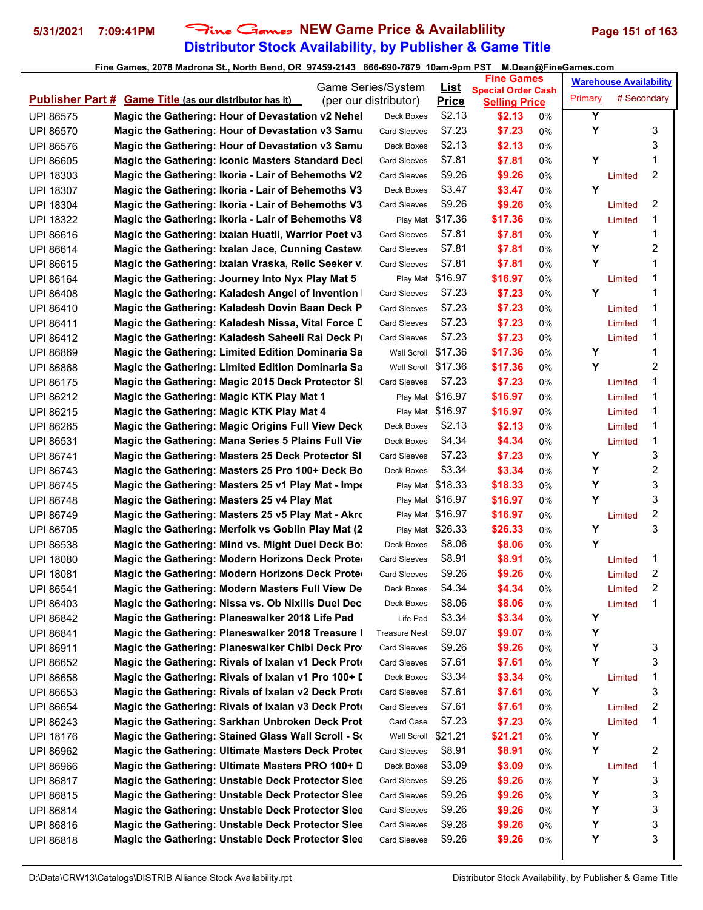## **Distributor Stock Availability, by Publisher & Game Title 5/31/2021 7:09:41PM** Fine Games **NEW Game Price & Availablility Page 151 of 163**

| Game Series/System                                                           |  |                       |                             | <b>Fine Games</b>                                 |    | <b>Warehouse Availability</b> |             |        |
|------------------------------------------------------------------------------|--|-----------------------|-----------------------------|---------------------------------------------------|----|-------------------------------|-------------|--------|
| <b>Publisher Part # Game Title (as our distributor has it)</b>               |  | (per our distributor) | <u>List</u><br><b>Price</b> | <b>Special Order Cash</b><br><b>Selling Price</b> |    | Primary                       | # Secondary |        |
| Magic the Gathering: Hour of Devastation v2 Nehel<br>UPI 86575               |  | Deck Boxes            | \$2.13                      | \$2.13                                            | 0% | Υ                             |             |        |
| Magic the Gathering: Hour of Devastation v3 Samu<br>UPI 86570                |  | <b>Card Sleeves</b>   | \$7.23                      | \$7.23                                            | 0% | Y                             |             | 3      |
| Magic the Gathering: Hour of Devastation v3 Samu<br><b>UPI 86576</b>         |  | Deck Boxes            | \$2.13                      | \$2.13                                            | 0% |                               |             | 3      |
| Magic the Gathering: Iconic Masters Standard Decl<br><b>UPI 86605</b>        |  | <b>Card Sleeves</b>   | \$7.81                      | \$7.81                                            | 0% | Υ                             |             | 1      |
| <b>UPI 18303</b><br>Magic the Gathering: Ikoria - Lair of Behemoths V2       |  | <b>Card Sleeves</b>   | \$9.26                      | \$9.26                                            | 0% |                               | Limited     | 2      |
| Magic the Gathering: Ikoria - Lair of Behemoths V3<br><b>UPI 18307</b>       |  | Deck Boxes            | \$3.47                      | \$3.47                                            | 0% | Y                             |             |        |
| Magic the Gathering: Ikoria - Lair of Behemoths V3<br><b>UPI 18304</b>       |  | <b>Card Sleeves</b>   | \$9.26                      | \$9.26                                            | 0% |                               | Limited     | 2      |
| Magic the Gathering: Ikoria - Lair of Behemoths V8<br><b>UPI 18322</b>       |  |                       | Play Mat \$17.36            | \$17.36                                           | 0% |                               | Limited     | 1      |
| Magic the Gathering: Ixalan Huatli, Warrior Poet v3<br>UPI 86616             |  | Card Sleeves          | \$7.81                      | \$7.81                                            | 0% | Υ                             |             | 1      |
| Magic the Gathering: Ixalan Jace, Cunning Castaw<br><b>UPI 86614</b>         |  | <b>Card Sleeves</b>   | \$7.81                      | \$7.81                                            | 0% | Υ                             |             | 2      |
| Magic the Gathering: Ixalan Vraska, Relic Seeker v.<br><b>UPI 86615</b>      |  | <b>Card Sleeves</b>   | \$7.81                      | \$7.81                                            | 0% | Y                             |             | 1      |
| Magic the Gathering: Journey Into Nyx Play Mat 5<br><b>UPI 86164</b>         |  |                       | Play Mat \$16.97            | \$16.97                                           | 0% |                               | Limited     | 1      |
| Magic the Gathering: Kaladesh Angel of Invention<br><b>UPI 86408</b>         |  | <b>Card Sleeves</b>   | \$7.23                      | \$7.23                                            | 0% | Y                             |             | 1      |
| Magic the Gathering: Kaladesh Dovin Baan Deck P<br>UPI 86410                 |  | Card Sleeves          | \$7.23                      | \$7.23                                            | 0% |                               | Limited     | 1      |
| <b>UPI 86411</b><br>Magic the Gathering: Kaladesh Nissa, Vital Force L       |  | Card Sleeves          | \$7.23                      | \$7.23                                            | 0% |                               | Limited     | 1      |
| Magic the Gathering: Kaladesh Saheeli Rai Deck P<br><b>UPI 86412</b>         |  | <b>Card Sleeves</b>   | \$7.23                      | \$7.23                                            | 0% |                               | Limited     | 1      |
| <b>Magic the Gathering: Limited Edition Dominaria Sa</b><br><b>UPI 86869</b> |  | Wall Scroll \$17.36   |                             | \$17.36                                           | 0% | Y                             |             | 1      |
| <b>Magic the Gathering: Limited Edition Dominaria Sa</b><br><b>UPI 86868</b> |  | Wall Scroll           | \$17.36                     | \$17.36                                           | 0% | Υ                             |             | 2      |
| Magic the Gathering: Magic 2015 Deck Protector S<br><b>UPI 86175</b>         |  | <b>Card Sleeves</b>   | \$7.23                      | \$7.23                                            | 0% |                               | Limited     | 1      |
| Magic the Gathering: Magic KTK Play Mat 1<br><b>UPI 86212</b>                |  |                       | Play Mat \$16.97            | \$16.97                                           | 0% |                               | Limited     | 1      |
| Magic the Gathering: Magic KTK Play Mat 4<br>UPI 86215                       |  |                       | Play Mat \$16.97            | \$16.97                                           | 0% |                               | Limited     | 1      |
| <b>Magic the Gathering: Magic Origins Full View Deck</b><br><b>UPI 86265</b> |  | Deck Boxes            | \$2.13                      | \$2.13                                            | 0% |                               | Limited     | 1      |
| Magic the Gathering: Mana Series 5 Plains Full Vie<br><b>UPI 86531</b>       |  | Deck Boxes            | \$4.34                      | \$4.34                                            | 0% |                               | Limited     | 1      |
| Magic the Gathering: Masters 25 Deck Protector SI<br><b>UPI 86741</b>        |  | Card Sleeves          | \$7.23                      | \$7.23                                            | 0% | Υ                             |             | 3      |
| Magic the Gathering: Masters 25 Pro 100+ Deck Bo<br><b>UPI 86743</b>         |  | Deck Boxes            | \$3.34                      | \$3.34                                            | 0% | Y                             |             | 2      |
| Magic the Gathering: Masters 25 v1 Play Mat - Impe<br><b>UPI 86745</b>       |  |                       | Play Mat \$18.33            | \$18.33                                           | 0% | Y                             |             | 3      |
| UPI 86748<br>Magic the Gathering: Masters 25 v4 Play Mat                     |  |                       | Play Mat \$16.97            | \$16.97                                           | 0% | Υ                             |             | 3      |
| Magic the Gathering: Masters 25 v5 Play Mat - Akro<br>UPI 86749              |  |                       | Play Mat \$16.97            | \$16.97                                           | 0% |                               | Limited     | 2      |
| Magic the Gathering: Merfolk vs Goblin Play Mat (2)<br><b>UPI 86705</b>      |  |                       | Play Mat \$26.33            | \$26.33                                           | 0% | Υ                             |             | 3      |
| Magic the Gathering: Mind vs. Might Duel Deck Bo:<br><b>UPI 86538</b>        |  | Deck Boxes            | \$8.06                      | \$8.06                                            | 0% | Υ                             |             |        |
| Magic the Gathering: Modern Horizons Deck Prote<br><b>UPI 18080</b>          |  | <b>Card Sleeves</b>   | \$8.91                      | \$8.91                                            | 0% |                               | Limited     | 1      |
| Magic the Gathering: Modern Horizons Deck Prote<br><b>UPI 18081</b>          |  | <b>Card Sleeves</b>   | \$9.26                      | \$9.26                                            | 0% |                               | Limited     | 2      |
| Magic the Gathering: Modern Masters Full View De<br><b>UPI 86541</b>         |  | Deck Boxes            | \$4.34                      | \$4.34                                            | 0% |                               | Limited     | 2      |
| Magic the Gathering: Nissa vs. Ob Nixilis Duel Dec<br>UPI 86403              |  | Deck Boxes            | \$8.06                      | \$8.06                                            | 0% |                               | Limited     | 1      |
| Magic the Gathering: Planeswalker 2018 Life Pad<br>UPI 86842                 |  | Life Pad              | \$3.34                      | \$3.34                                            | 0% | Υ                             |             |        |
| Magic the Gathering: Planeswalker 2018 Treasure I<br>UPI 86841               |  | <b>Treasure Nest</b>  | \$9.07                      | \$9.07                                            | 0% | Υ                             |             |        |
| Magic the Gathering: Planeswalker Chibi Deck Pro<br>UPI 86911                |  | <b>Card Sleeves</b>   | \$9.26                      | \$9.26                                            | 0% | Υ                             |             | 3      |
| Magic the Gathering: Rivals of Ixalan v1 Deck Prote<br>UPI 86652             |  | <b>Card Sleeves</b>   | \$7.61                      | \$7.61                                            | 0% | Υ                             |             | 3      |
| Magic the Gathering: Rivals of Ixalan v1 Pro 100+ I<br><b>UPI 86658</b>      |  | Deck Boxes            | \$3.34                      | \$3.34                                            | 0% |                               | Limited     | 1      |
| Magic the Gathering: Rivals of Ixalan v2 Deck Prote<br>UPI 86653             |  | <b>Card Sleeves</b>   | \$7.61                      | \$7.61                                            | 0% | Y                             |             | 3      |
| Magic the Gathering: Rivals of Ixalan v3 Deck Prote<br><b>UPI 86654</b>      |  | <b>Card Sleeves</b>   | \$7.61                      | \$7.61                                            | 0% |                               | Limited     | 2      |
| UPI 86243<br>Magic the Gathering: Sarkhan Unbroken Deck Prot                 |  | Card Case             | \$7.23                      | \$7.23                                            | 0% |                               | Limited     | 1      |
| Magic the Gathering: Stained Glass Wall Scroll - So<br><b>UPI 18176</b>      |  | Wall Scroll           | \$21.21                     | \$21.21                                           | 0% | Υ                             |             |        |
| Magic the Gathering: Ultimate Masters Deck Proteo<br>UPI 86962               |  | <b>Card Sleeves</b>   | \$8.91                      | \$8.91                                            | 0% | Υ                             |             | 2      |
| Magic the Gathering: Ultimate Masters PRO 100+ D<br>UPI 86966                |  | Deck Boxes            | \$3.09                      | \$3.09                                            | 0% |                               | Limited     | 1      |
| Magic the Gathering: Unstable Deck Protector Slee<br>UPI 86817               |  | <b>Card Sleeves</b>   | \$9.26                      | \$9.26                                            | 0% | Υ                             |             | 3      |
| <b>Magic the Gathering: Unstable Deck Protector Slee</b><br><b>UPI 86815</b> |  | Card Sleeves          | \$9.26                      | \$9.26                                            | 0% | Υ                             |             | 3      |
| <b>Magic the Gathering: Unstable Deck Protector Slee</b><br><b>UPI 86814</b> |  | <b>Card Sleeves</b>   | \$9.26                      | \$9.26                                            | 0% | Υ                             |             | 3      |
| <b>Magic the Gathering: Unstable Deck Protector Slee</b><br>UPI 86816        |  | <b>Card Sleeves</b>   | \$9.26                      | \$9.26                                            | 0% | Υ                             |             | 3<br>3 |
| Magic the Gathering: Unstable Deck Protector Slee<br>UPI 86818               |  | Card Sleeves          | \$9.26                      | \$9.26                                            | 0% | Υ                             |             |        |
|                                                                              |  |                       |                             |                                                   |    |                               |             |        |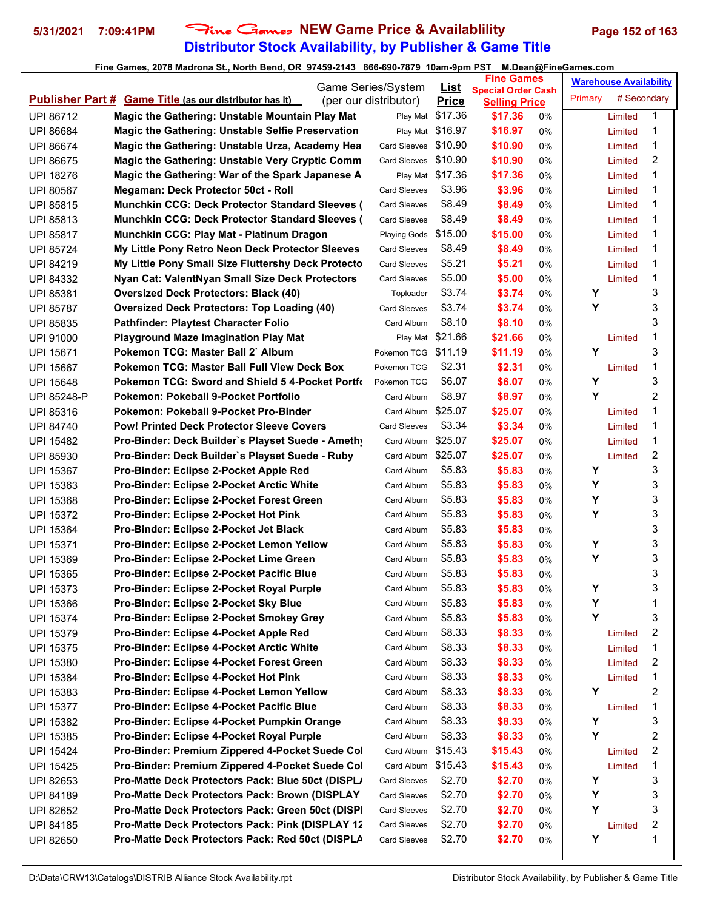# **Distributor Stock Availability, by Publisher & Game Title 5/31/2021 7:09:41PM** Fine Games **NEW Game Price & Availablility Page 152 of 163**

| Game Series/System |                                                                |  | <u>List</u>           | <b>Fine Games</b> |                                 |       | <b>Warehouse Availability</b> |             |   |
|--------------------|----------------------------------------------------------------|--|-----------------------|-------------------|---------------------------------|-------|-------------------------------|-------------|---|
|                    | <b>Publisher Part # Game Title (as our distributor has it)</b> |  | (per our distributor) | <b>Price</b>      | <b>Special Order Cash</b>       |       | Primary                       | # Secondary |   |
| <b>UPI 86712</b>   | Magic the Gathering: Unstable Mountain Play Mat                |  | Play Mat              | \$17.36           | <b>Selling Price</b><br>\$17.36 | 0%    |                               | Limited     | 1 |
| <b>UPI 86684</b>   | Magic the Gathering: Unstable Selfie Preservation              |  |                       | Play Mat \$16.97  | \$16.97                         | 0%    |                               | Limited     | 1 |
| <b>UPI 86674</b>   | Magic the Gathering: Unstable Urza, Academy Hea                |  | <b>Card Sleeves</b>   | \$10.90           | \$10.90                         | 0%    |                               | Limited     | 1 |
| <b>UPI 86675</b>   | Magic the Gathering: Unstable Very Cryptic Comm                |  | <b>Card Sleeves</b>   | \$10.90           | \$10.90                         | 0%    |                               | Limited     | 2 |
| <b>UPI 18276</b>   | Magic the Gathering: War of the Spark Japanese A               |  |                       | Play Mat \$17.36  | \$17.36                         | 0%    |                               | Limited     | 1 |
| <b>UPI 80567</b>   | Megaman: Deck Protector 50ct - Roll                            |  | <b>Card Sleeves</b>   | \$3.96            | \$3.96                          | 0%    |                               | Limited     | 1 |
| <b>UPI 85815</b>   | <b>Munchkin CCG: Deck Protector Standard Sleeves (</b>         |  | <b>Card Sleeves</b>   | \$8.49            | \$8.49                          | 0%    |                               | Limited     | 1 |
| UPI 85813          | <b>Munchkin CCG: Deck Protector Standard Sleeves (</b>         |  | <b>Card Sleeves</b>   | \$8.49            | \$8.49                          | 0%    |                               | Limited     | 1 |
| <b>UPI 85817</b>   | Munchkin CCG: Play Mat - Platinum Dragon                       |  | Playing Gods \$15.00  |                   | \$15.00                         | $0\%$ |                               | Limited     | 1 |
| <b>UPI 85724</b>   | My Little Pony Retro Neon Deck Protector Sleeves               |  | <b>Card Sleeves</b>   | \$8.49            | \$8.49                          | 0%    |                               | Limited     | 1 |
| <b>UPI 84219</b>   | My Little Pony Small Size Fluttershy Deck Protecto             |  | <b>Card Sleeves</b>   | \$5.21            | \$5.21                          | 0%    |                               | Limited     | 1 |
| <b>UPI 84332</b>   | Nyan Cat: ValentNyan Small Size Deck Protectors                |  | <b>Card Sleeves</b>   | \$5.00            | \$5.00                          | 0%    |                               | Limited     | 1 |
| UPI 85381          | <b>Oversized Deck Protectors: Black (40)</b>                   |  | Toploader             | \$3.74            | \$3.74                          | $0\%$ | Y                             |             | 3 |
| <b>UPI 85787</b>   | <b>Oversized Deck Protectors: Top Loading (40)</b>             |  | <b>Card Sleeves</b>   | \$3.74            | \$3.74                          | 0%    | Y                             |             | 3 |
| <b>UPI 85835</b>   | <b>Pathfinder: Playtest Character Folio</b>                    |  | Card Album            | \$8.10            | \$8.10                          | 0%    |                               |             | 3 |
| <b>UPI 91000</b>   | <b>Playground Maze Imagination Play Mat</b>                    |  |                       | Play Mat \$21.66  | \$21.66                         | 0%    |                               | Limited     | 1 |
| <b>UPI 15671</b>   | Pokemon TCG: Master Ball 2` Album                              |  | Pokemon TCG \$11.19   |                   | \$11.19                         | 0%    | Y                             |             | 3 |
| <b>UPI 15667</b>   | <b>Pokemon TCG: Master Ball Full View Deck Box</b>             |  | Pokemon TCG           | \$2.31            | \$2.31                          | 0%    |                               | Limited     | 1 |
| <b>UPI 15648</b>   | <b>Pokemon TCG: Sword and Shield 5 4-Pocket Portfo</b>         |  | Pokemon TCG           | \$6.07            | \$6.07                          | $0\%$ | Υ                             |             | 3 |
| UPI 85248-P        | Pokemon: Pokeball 9-Pocket Portfolio                           |  | Card Album            | \$8.97            | \$8.97                          | 0%    | Y                             |             | 2 |
| <b>UPI 85316</b>   | Pokemon: Pokeball 9-Pocket Pro-Binder                          |  | Card Album \$25.07    |                   | \$25.07                         | 0%    |                               | Limited     | 1 |
| <b>UPI 84740</b>   | <b>Pow! Printed Deck Protector Sleeve Covers</b>               |  | <b>Card Sleeves</b>   | \$3.34            | \$3.34                          | $0\%$ |                               | Limited     | 1 |
| <b>UPI 15482</b>   | Pro-Binder: Deck Builder's Playset Suede - Amethy              |  | Card Album            | \$25.07           | \$25.07                         | $0\%$ |                               | Limited     | 1 |
| <b>UPI 85930</b>   | Pro-Binder: Deck Builder's Playset Suede - Ruby                |  | Card Album            | \$25.07           | \$25.07                         | 0%    |                               | Limited     | 2 |
| <b>UPI 15367</b>   | <b>Pro-Binder: Eclipse 2-Pocket Apple Red</b>                  |  | Card Album            | \$5.83            | \$5.83                          | 0%    | Y                             |             | 3 |
| UPI 15363          | <b>Pro-Binder: Eclipse 2-Pocket Arctic White</b>               |  | Card Album            | \$5.83            | \$5.83                          | 0%    | Y                             |             | 3 |
| <b>UPI 15368</b>   | Pro-Binder: Eclipse 2-Pocket Forest Green                      |  | Card Album            | \$5.83            | \$5.83                          | $0\%$ | Υ                             |             | 3 |
| <b>UPI 15372</b>   | <b>Pro-Binder: Eclipse 2-Pocket Hot Pink</b>                   |  | Card Album            | \$5.83            | \$5.83                          | 0%    | Υ                             |             | 3 |
| <b>UPI 15364</b>   | Pro-Binder: Eclipse 2-Pocket Jet Black                         |  | Card Album            | \$5.83            | \$5.83                          | 0%    |                               |             | 3 |
| <b>UPI 15371</b>   | Pro-Binder: Eclipse 2-Pocket Lemon Yellow                      |  | Card Album            | \$5.83            | \$5.83                          | 0%    | Y                             |             | 3 |
| <b>UPI 15369</b>   | Pro-Binder: Eclipse 2-Pocket Lime Green                        |  | Card Album            | \$5.83            | \$5.83                          | 0%    | Υ                             |             | 3 |
| <b>UPI 15365</b>   | <b>Pro-Binder: Eclipse 2-Pocket Pacific Blue</b>               |  | Card Album            | \$5.83            | \$5.83                          | 0%    |                               |             | 3 |
| <b>UPI 15373</b>   | Pro-Binder: Eclipse 2-Pocket Royal Purple                      |  | Card Album            | \$5.83            | \$5.83                          | 0%    | Υ                             |             | 3 |
| UPI 15366          | Pro-Binder: Eclipse 2-Pocket Sky Blue                          |  | Card Album            | \$5.83            | \$5.83                          | 0%    | Υ                             |             | 1 |
| <b>UPI 15374</b>   | Pro-Binder: Eclipse 2-Pocket Smokey Grey                       |  | Card Album            | \$5.83            | \$5.83                          | 0%    | Y                             |             | 3 |
| <b>UPI 15379</b>   | Pro-Binder: Eclipse 4-Pocket Apple Red                         |  | Card Album            | \$8.33            | \$8.33                          | 0%    |                               | Limited     | 2 |
| UPI 15375          | <b>Pro-Binder: Eclipse 4-Pocket Arctic White</b>               |  | Card Album            | \$8.33            | \$8.33                          | 0%    |                               | Limited     | 1 |
| UPI 15380          | Pro-Binder: Eclipse 4-Pocket Forest Green                      |  | Card Album            | \$8.33            | \$8.33                          | 0%    |                               | Limited     | 2 |
| <b>UPI 15384</b>   | Pro-Binder: Eclipse 4-Pocket Hot Pink                          |  | Card Album            | \$8.33            | \$8.33                          | 0%    |                               | Limited     | 1 |
| UPI 15383          | <b>Pro-Binder: Eclipse 4-Pocket Lemon Yellow</b>               |  | Card Album            | \$8.33            | \$8.33                          | 0%    | Y                             |             | 2 |
| <b>UPI 15377</b>   | Pro-Binder: Eclipse 4-Pocket Pacific Blue                      |  | Card Album            | \$8.33            | \$8.33                          | 0%    |                               | Limited     | 1 |
| <b>UPI 15382</b>   | Pro-Binder: Eclipse 4-Pocket Pumpkin Orange                    |  | Card Album            | \$8.33            | \$8.33                          | 0%    | Y                             |             | 3 |
| UPI 15385          | Pro-Binder: Eclipse 4-Pocket Royal Purple                      |  | Card Album            | \$8.33            | \$8.33                          | 0%    | Υ                             |             | 2 |
| <b>UPI 15424</b>   | Pro-Binder: Premium Zippered 4-Pocket Suede Col                |  | Card Album            | \$15.43           | \$15.43                         | 0%    |                               | Limited     | 2 |
| UPI 15425          | Pro-Binder: Premium Zippered 4-Pocket Suede Col                |  | Card Album            | \$15.43           | \$15.43                         | 0%    |                               | Limited     | 1 |
| UPI 82653          | Pro-Matte Deck Protectors Pack: Blue 50ct (DISPL)              |  | <b>Card Sleeves</b>   | \$2.70            | \$2.70                          | 0%    | Y                             |             | 3 |
| <b>UPI 84189</b>   | Pro-Matte Deck Protectors Pack: Brown (DISPLAY                 |  | <b>Card Sleeves</b>   | \$2.70            | \$2.70                          | 0%    | Υ                             |             | 3 |
| <b>UPI 82652</b>   | Pro-Matte Deck Protectors Pack: Green 50ct (DISP)              |  | <b>Card Sleeves</b>   | \$2.70            | \$2.70                          | 0%    | Y                             |             | 3 |
| <b>UPI 84185</b>   | Pro-Matte Deck Protectors Pack: Pink (DISPLAY 12               |  | <b>Card Sleeves</b>   | \$2.70            | \$2.70                          | 0%    |                               | Limited     | 2 |
| UPI 82650          | Pro-Matte Deck Protectors Pack: Red 50ct (DISPLA               |  | <b>Card Sleeves</b>   | \$2.70            | \$2.70                          | 0%    | Υ                             |             | 1 |
|                    |                                                                |  |                       |                   |                                 |       |                               |             |   |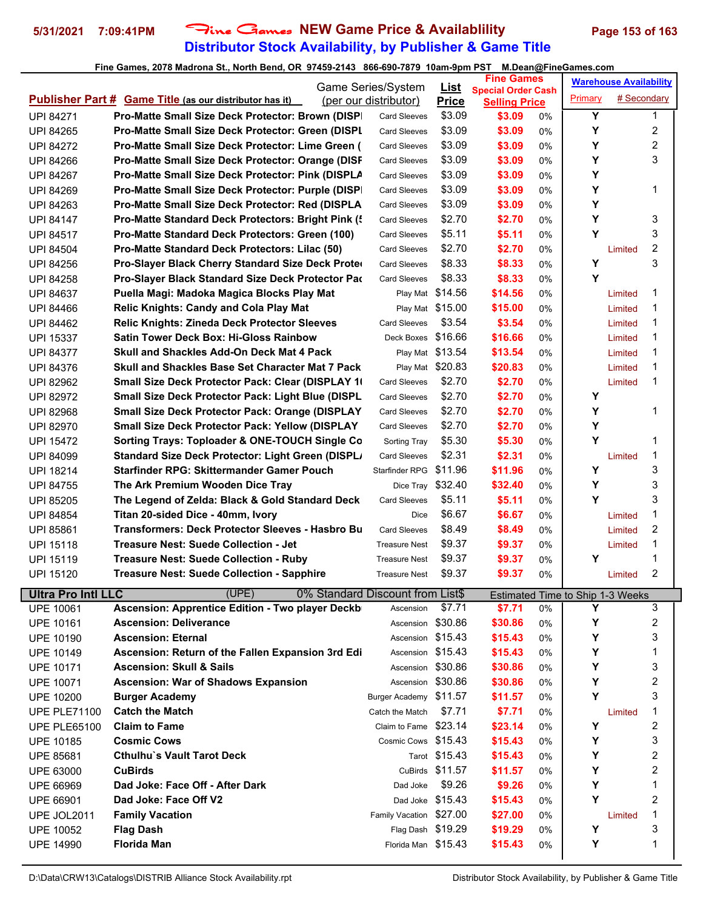## **Distributor Stock Availability, by Publisher & Game Title 5/31/2021 7:09:41PM** Fine Games **NEW Game Price & Availablility Page 153 of 163**

|                           | Game Series/System                                             |                                  |                  | <b>Fine Games</b><br><b>List</b>                  |    |                                              | <b>Warehouse Availability</b> |              |  |
|---------------------------|----------------------------------------------------------------|----------------------------------|------------------|---------------------------------------------------|----|----------------------------------------------|-------------------------------|--------------|--|
|                           | <b>Publisher Part # Game Title (as our distributor has it)</b> | (per our distributor)            | <b>Price</b>     | <b>Special Order Cash</b><br><b>Selling Price</b> |    | Primary                                      | # Secondary                   |              |  |
| <b>UPI 84271</b>          | <b>Pro-Matte Small Size Deck Protector: Brown (DISP)</b>       | <b>Card Sleeves</b>              | \$3.09           | \$3.09                                            | 0% | Y                                            |                               | $\mathbf{1}$ |  |
| <b>UPI 84265</b>          | <b>Pro-Matte Small Size Deck Protector: Green (DISPL)</b>      | <b>Card Sleeves</b>              | \$3.09           | \$3.09                                            | 0% | Y                                            |                               | 2            |  |
| <b>UPI 84272</b>          | Pro-Matte Small Size Deck Protector: Lime Green (              | <b>Card Sleeves</b>              | \$3.09           | \$3.09                                            | 0% | Y                                            |                               | 2            |  |
| <b>UPI 84266</b>          | <b>Pro-Matte Small Size Deck Protector: Orange (DISF)</b>      | <b>Card Sleeves</b>              | \$3.09           | \$3.09                                            | 0% | Y                                            |                               | 3            |  |
|                           |                                                                | <b>Card Sleeves</b>              | \$3.09           | \$3.09                                            |    | Y                                            |                               |              |  |
| <b>UPI 84267</b>          | Pro-Matte Small Size Deck Protector: Pink (DISPLA              |                                  |                  |                                                   | 0% | Υ                                            |                               | 1            |  |
| <b>UPI 84269</b>          | <b>Pro-Matte Small Size Deck Protector: Purple (DISP)</b>      | <b>Card Sleeves</b>              | \$3.09           | \$3.09                                            | 0% | Y                                            |                               |              |  |
| <b>UPI 84263</b>          | <b>Pro-Matte Small Size Deck Protector: Red (DISPLA</b>        | <b>Card Sleeves</b>              | \$3.09           | \$3.09                                            | 0% |                                              |                               |              |  |
| <b>UPI 84147</b>          | Pro-Matte Standard Deck Protectors: Bright Pink (              | <b>Card Sleeves</b>              | \$2.70           | \$2.70                                            | 0% | Y                                            |                               | 3            |  |
| UPI 84517                 | <b>Pro-Matte Standard Deck Protectors: Green (100)</b>         | <b>Card Sleeves</b>              | \$5.11           | \$5.11                                            | 0% | Y                                            |                               | 3            |  |
| <b>UPI 84504</b>          | Pro-Matte Standard Deck Protectors: Lilac (50)                 | <b>Card Sleeves</b>              | \$2.70           | \$2.70                                            | 0% |                                              | Limited                       | 2            |  |
| UPI 84256                 | Pro-Slayer Black Cherry Standard Size Deck Proter              | <b>Card Sleeves</b>              | \$8.33           | \$8.33                                            | 0% | Y                                            |                               | 3            |  |
| <b>UPI 84258</b>          | Pro-Slayer Black Standard Size Deck Protector Pac              | <b>Card Sleeves</b>              | \$8.33           | \$8.33                                            | 0% | Y                                            |                               |              |  |
| UPI 84637                 | Puella Magi: Madoka Magica Blocks Play Mat                     |                                  | Play Mat \$14.56 | \$14.56                                           | 0% |                                              | Limited                       | 1            |  |
| UPI 84466                 | <b>Relic Knights: Candy and Cola Play Mat</b>                  |                                  | Play Mat \$15.00 | \$15.00                                           | 0% |                                              | Limited                       | 1            |  |
| <b>UPI 84462</b>          | <b>Relic Knights: Zineda Deck Protector Sleeves</b>            | <b>Card Sleeves</b>              | \$3.54           | \$3.54                                            | 0% |                                              | Limited                       | 1            |  |
| <b>UPI 15337</b>          | <b>Satin Tower Deck Box: Hi-Gloss Rainbow</b>                  | Deck Boxes \$16.66               |                  | \$16.66                                           | 0% |                                              | Limited                       | 1            |  |
| <b>UPI 84377</b>          | Skull and Shackles Add-On Deck Mat 4 Pack                      |                                  | Play Mat \$13.54 | \$13.54                                           | 0% |                                              | Limited                       | 1            |  |
| <b>UPI 84376</b>          | <b>Skull and Shackles Base Set Character Mat 7 Pack</b>        |                                  | Play Mat \$20.83 | \$20.83                                           | 0% |                                              | Limited                       | 1            |  |
| <b>UPI 82962</b>          | Small Size Deck Protector Pack: Clear (DISPLAY 1)              | <b>Card Sleeves</b>              | \$2.70           | \$2.70                                            | 0% |                                              | Limited                       | 1            |  |
| <b>UPI 82972</b>          | <b>Small Size Deck Protector Pack: Light Blue (DISPL)</b>      | <b>Card Sleeves</b>              | \$2.70           | \$2.70                                            | 0% | Y                                            |                               |              |  |
| UPI 82968                 | <b>Small Size Deck Protector Pack: Orange (DISPLAY</b>         | <b>Card Sleeves</b>              | \$2.70           | \$2.70                                            | 0% | Υ                                            |                               | 1            |  |
| <b>UPI 82970</b>          | <b>Small Size Deck Protector Pack: Yellow (DISPLAY</b>         | <b>Card Sleeves</b>              | \$2.70           | \$2.70                                            | 0% | Y                                            |                               |              |  |
| UPI 15472                 | Sorting Trays: Toploader & ONE-TOUCH Single Co.                | Sorting Tray                     | \$5.30           | \$5.30                                            | 0% | Y                                            |                               | 1            |  |
| UPI 84099                 | Standard Size Deck Protector: Light Green (DISPL)              | <b>Card Sleeves</b>              | \$2.31           | \$2.31                                            | 0% |                                              | Limited                       | 1            |  |
| <b>UPI 18214</b>          | Starfinder RPG: Skittermander Gamer Pouch                      | Starfinder RPG                   | \$11.96          | \$11.96                                           | 0% | Υ                                            |                               | 3            |  |
| <b>UPI 84755</b>          | The Ark Premium Wooden Dice Tray                               | Dice Tray                        | \$32.40          | \$32.40                                           | 0% | Y                                            |                               | 3            |  |
| <b>UPI 85205</b>          | The Legend of Zelda: Black & Gold Standard Deck                | <b>Card Sleeves</b>              | \$5.11           | \$5.11                                            | 0% | Y                                            |                               | 3            |  |
| <b>UPI 84854</b>          | Titan 20-sided Dice - 40mm, Ivory                              | Dice                             | \$6.67           | \$6.67                                            | 0% |                                              | Limited                       | 1            |  |
| <b>UPI 85861</b>          | Transformers: Deck Protector Sleeves - Hasbro Bu               | <b>Card Sleeves</b>              | \$8.49           | \$8.49                                            | 0% |                                              | Limited                       | 2            |  |
| <b>UPI 15118</b>          | Treasure Nest: Suede Collection - Jet                          | <b>Treasure Nest</b>             | \$9.37           | \$9.37                                            | 0% |                                              | Limited                       | 1            |  |
| <b>UPI 15119</b>          | <b>Treasure Nest: Suede Collection - Ruby</b>                  | <b>Treasure Nest</b>             | \$9.37           | \$9.37                                            | 0% | Υ                                            |                               | 1            |  |
| <b>UPI 15120</b>          | <b>Treasure Nest: Suede Collection - Sapphire</b>              | <b>Treasure Nest</b>             | \$9.37           | \$9.37                                            | 0% |                                              | Limited                       | 2            |  |
| <b>Ultra Pro Intl LLC</b> | (UPE)                                                          | 0% Standard Discount from List\$ |                  |                                                   |    |                                              |                               |              |  |
| <b>UPE 10061</b>          | <b>Ascension: Apprentice Edition - Two player Deckb</b>        | Ascension                        | \$7.71           | \$7.71                                            | 0% | <b>Estimated Time to Ship 1-3 Weeks</b><br>Υ |                               | 3            |  |
| <b>UPE 10161</b>          | <b>Ascension: Deliverance</b>                                  | Ascension                        | \$30.86          | \$30.86                                           | 0% | Υ                                            |                               | 2            |  |
| <b>UPE 10190</b>          | <b>Ascension: Eternal</b>                                      | Ascension \$15.43                |                  | \$15.43                                           | 0% | Y                                            |                               | 3            |  |
| <b>UPE 10149</b>          | Ascension: Return of the Fallen Expansion 3rd Edi              | Ascension \$15.43                |                  | \$15.43                                           | 0% | Y                                            |                               | 1            |  |
| <b>UPE 10171</b>          | <b>Ascension: Skull &amp; Sails</b>                            | Ascension \$30.86                |                  | \$30.86                                           | 0% | Y                                            |                               | 3            |  |
| <b>UPE 10071</b>          | <b>Ascension: War of Shadows Expansion</b>                     | Ascension                        | \$30.86          | \$30.86                                           | 0% | Υ                                            |                               | 2            |  |
| <b>UPE 10200</b>          | <b>Burger Academy</b>                                          | Burger Academy \$11.57           |                  | \$11.57                                           | 0% | Υ                                            |                               | 3            |  |
| <b>UPE PLE71100</b>       | <b>Catch the Match</b>                                         | Catch the Match                  | \$7.71           | \$7.71                                            | 0% |                                              | Limited                       | 1            |  |
| <b>UPE PLE65100</b>       | <b>Claim to Fame</b>                                           | Claim to Fame                    | \$23.14          | \$23.14                                           | 0% | Υ                                            |                               | 2            |  |
|                           | <b>Cosmic Cows</b>                                             | Cosmic Cows \$15.43              |                  | \$15.43                                           |    | Υ                                            |                               | 3            |  |
| <b>UPE 10185</b>          | <b>Cthulhu's Vault Tarot Deck</b>                              |                                  | Tarot \$15.43    | \$15.43                                           | 0% | Υ                                            |                               | 2            |  |
| <b>UPE 85681</b>          |                                                                |                                  | CuBirds \$11.57  |                                                   | 0% |                                              |                               | 2            |  |
| <b>UPE 63000</b>          | <b>CuBirds</b>                                                 |                                  |                  | \$11.57                                           | 0% | Y<br>Y                                       |                               | 1            |  |
| UPE 66969                 | Dad Joke: Face Off - After Dark                                | Dad Joke                         | \$9.26           | \$9.26                                            | 0% |                                              |                               |              |  |
| <b>UPE 66901</b>          | Dad Joke: Face Off V2                                          |                                  | Dad Joke \$15.43 | \$15.43                                           | 0% | Υ                                            |                               | 2            |  |
| UPE JOL2011               | <b>Family Vacation</b>                                         | Family Vacation \$27.00          |                  | \$27.00                                           | 0% |                                              | Limited                       | 1            |  |
| <b>UPE 10052</b>          | <b>Flag Dash</b>                                               | Flag Dash \$19.29                |                  | \$19.29                                           | 0% | Y                                            |                               | 3            |  |
| <b>UPE 14990</b>          | <b>Florida Man</b>                                             | Florida Man \$15.43              |                  | \$15.43                                           | 0% | Υ                                            |                               | 1            |  |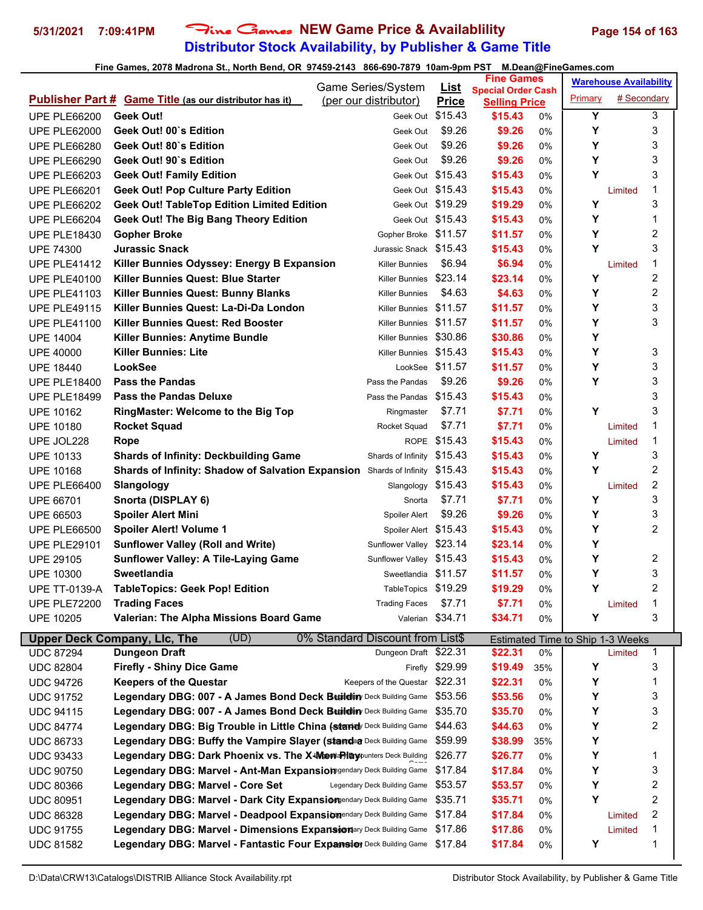# **Distributor Stock Availability, by Publisher & Game Title 5/31/2021 7:09:41PM** Fine Games **NEW Game Price & Availablility Page 154 of 163**

|                                      | Game Series/System                                                                                 |                                  |                    | <b>Fine Games</b><br><b>List</b><br><b>Special Order Cash</b> |          | <b>Warehouse Availability</b>    |             |              |
|--------------------------------------|----------------------------------------------------------------------------------------------------|----------------------------------|--------------------|---------------------------------------------------------------|----------|----------------------------------|-------------|--------------|
|                                      | <b>Publisher Part # Game Title (as our distributor has it)</b>                                     | (per our distributor)            | <b>Price</b>       | <b>Selling Price</b>                                          |          | Primary                          | # Secondary |              |
| <b>UPE PLE66200</b>                  | Geek Out!                                                                                          | Geek Out \$15.43                 |                    | \$15.43                                                       | 0%       | Y                                |             | 3            |
| <b>UPE PLE62000</b>                  | Geek Out! 00`s Edition                                                                             | Geek Out                         | \$9.26             | \$9.26                                                        | 0%       | Y                                |             | 3            |
| <b>UPE PLE66280</b>                  | Geek Out! 80`s Edition                                                                             | Geek Out                         | \$9.26             | \$9.26                                                        | 0%       | Y                                |             | 3            |
| <b>UPE PLE66290</b>                  | Geek Out! 90`s Edition                                                                             | Geek Out                         | \$9.26             | \$9.26                                                        | 0%       | Y                                |             | 3            |
| <b>UPE PLE66203</b>                  | <b>Geek Out! Family Edition</b>                                                                    | Geek Out \$15.43                 |                    | \$15.43                                                       | 0%       | Y                                |             | 3            |
| <b>UPE PLE66201</b>                  | <b>Geek Out! Pop Culture Party Edition</b>                                                         | Geek Out \$15.43                 |                    | \$15.43                                                       | 0%       |                                  | Limited     | 1            |
| <b>UPE PLE66202</b>                  | <b>Geek Out! TableTop Edition Limited Edition</b>                                                  | Geek Out \$19.29                 |                    | \$19.29                                                       | 0%       | Y                                |             | 3            |
| <b>UPE PLE66204</b>                  | <b>Geek Out! The Big Bang Theory Edition</b>                                                       | Geek Out \$15.43                 |                    | \$15.43                                                       | 0%       | Y                                |             | 1            |
| <b>UPE PLE18430</b>                  | <b>Gopher Broke</b>                                                                                | Gopher Broke \$11.57             |                    | \$11.57                                                       | 0%       | Y                                |             | 2            |
| <b>UPE 74300</b>                     | <b>Jurassic Snack</b>                                                                              | Jurassic Snack \$15.43           |                    | \$15.43                                                       | 0%       | Y                                |             | 3            |
| <b>UPE PLE41412</b>                  | Killer Bunnies Odyssey: Energy B Expansion                                                         | <b>Killer Bunnies</b>            | \$6.94             | \$6.94                                                        | 0%       |                                  | Limited     | 1            |
| <b>UPE PLE40100</b>                  | Killer Bunnies Quest: Blue Starter                                                                 | <b>Killer Bunnies</b>            | \$23.14            | \$23.14                                                       | 0%       | Υ                                |             | 2            |
| <b>UPE PLE41103</b>                  | Killer Bunnies Quest: Bunny Blanks                                                                 | <b>Killer Bunnies</b>            | \$4.63             | \$4.63                                                        | 0%       | Y                                |             | 2            |
| <b>UPE PLE49115</b>                  | Killer Bunnies Quest: La-Di-Da London                                                              | Killer Bunnies \$11.57           |                    | \$11.57                                                       | 0%       | Y                                |             | 3            |
| <b>UPE PLE41100</b>                  | <b>Killer Bunnies Quest: Red Booster</b>                                                           | Killer Bunnies                   | \$11.57            | \$11.57                                                       | 0%       | Y                                |             | 3            |
| <b>UPE 14004</b>                     | Killer Bunnies: Anytime Bundle                                                                     | <b>Killer Bunnies</b>            | \$30.86            | \$30.86                                                       | 0%       | Y                                |             |              |
| <b>UPE 40000</b>                     | <b>Killer Bunnies: Lite</b>                                                                        | Killer Bunnies \$15.43           |                    | \$15.43                                                       | 0%       | Y                                |             | 3            |
| <b>UPE 18440</b>                     | LookSee                                                                                            |                                  | LookSee \$11.57    | \$11.57                                                       | 0%       | Y                                |             | 3            |
| <b>UPE PLE18400</b>                  | <b>Pass the Pandas</b>                                                                             | Pass the Pandas                  | \$9.26             | \$9.26                                                        | 0%       | Y                                |             | 3            |
| <b>UPE PLE18499</b>                  | <b>Pass the Pandas Deluxe</b>                                                                      | Pass the Pandas                  | \$15.43            | \$15.43                                                       | 0%       |                                  |             | 3            |
| <b>UPE 10162</b>                     | <b>RingMaster: Welcome to the Big Top</b>                                                          | Ringmaster                       | \$7.71             | \$7.71                                                        | 0%       | Y                                |             | 3            |
| <b>UPE 10180</b>                     | <b>Rocket Squad</b>                                                                                | Rocket Squad                     | \$7.71             | \$7.71                                                        | 0%       |                                  | Limited     | 1            |
| UPE JOL228                           | Rope                                                                                               |                                  | ROPE \$15.43       | \$15.43                                                       | 0%       |                                  | Limited     | 1            |
| <b>UPE 10133</b>                     | <b>Shards of Infinity: Deckbuilding Game</b>                                                       | Shards of Infinity \$15.43       |                    | \$15.43                                                       | 0%       | Υ                                |             | 3            |
| <b>UPE 10168</b>                     | Shards of Infinity: Shadow of Salvation Expansion Shards of Infinity \$15.43                       |                                  |                    | \$15.43                                                       | 0%       | Y                                |             | 2            |
| <b>UPE PLE66400</b>                  | Slangology                                                                                         | Slangology \$15.43               |                    | \$15.43                                                       | 0%       |                                  | Limited     | 2            |
| <b>UPE 66701</b>                     | Snorta (DISPLAY 6)                                                                                 | Snorta                           | \$7.71             | \$7.71                                                        | 0%       | Y                                |             | 3            |
| <b>UPE 66503</b>                     | <b>Spoiler Alert Mini</b>                                                                          | Spoiler Alert                    | \$9.26             | \$9.26                                                        | 0%       | Y                                |             | 3            |
| <b>UPE PLE66500</b>                  | <b>Spoiler Alert! Volume 1</b>                                                                     | Spoiler Alert \$15.43            |                    | \$15.43                                                       | 0%       | Y                                |             | 2            |
| <b>UPE PLE29101</b>                  | <b>Sunflower Valley (Roll and Write)</b>                                                           | Sunflower Valley \$23.14         |                    | \$23.14                                                       | 0%       | Y                                |             |              |
| <b>UPE 29105</b>                     | <b>Sunflower Valley: A Tile-Laying Game</b>                                                        | Sunflower Valley \$15.43         |                    | \$15.43                                                       | 0%       | Υ                                |             | 2            |
| <b>UPE 10300</b>                     | <b>Sweetlandia</b>                                                                                 | Sweetlandia \$11.57              |                    | \$11.57                                                       | 0%       | Υ                                |             | 3            |
| <b>UPE TT-0139-A</b>                 | <b>TableTopics: Geek Pop! Edition</b>                                                              | TableTopics \$19.29              |                    | \$19.29                                                       | 0%       | Y                                |             | 2            |
| <b>UPE PLE72200</b>                  | <b>Trading Faces</b>                                                                               | <b>Trading Faces</b>             | \$7.71             | \$7.71                                                        | 0%       |                                  | Limited     | 1            |
| <b>UPE 10205</b>                     | Valerian: The Alpha Missions Board Game                                                            |                                  | Valerian \$34.71   | \$34.71                                                       | 0%       | Υ                                |             | 3            |
|                                      |                                                                                                    |                                  |                    |                                                               |          |                                  |             |              |
|                                      | (UD)<br><b>Upper Deck Company, LIc, The</b>                                                        | 0% Standard Discount from List\$ |                    |                                                               |          | Estimated Time to Ship 1-3 Weeks |             |              |
| <b>UDC 87294</b>                     | <b>Dungeon Draft</b>                                                                               | Dungeon Draft \$22.31            | \$29.99            | \$22.31                                                       | 0%       | Υ                                | Limited     | $\mathbf{1}$ |
| <b>UDC 82804</b>                     | <b>Firefly - Shiny Dice Game</b>                                                                   | Firefly                          | \$22.31            | \$19.49                                                       | 35%      |                                  |             | 3<br>1       |
| <b>UDC 94726</b><br><b>UDC 91752</b> | <b>Keepers of the Questar</b><br>Legendary DBG: 007 - A James Bond Deck Buildin Deck Building Game | Keepers of the Questar           | \$53.56            | \$22.31<br>\$53.56                                            | 0%<br>0% | Υ<br>Υ                           |             | 3            |
|                                      | Legendary DBG: 007 - A James Bond Deck Betildiny Deck Building Game                                |                                  | \$35.70            |                                                               |          |                                  |             |              |
| <b>UDC 94115</b>                     | Legendary DBG: Big Trouble in Little China (stand Deck Building Game                               |                                  | \$44.63            | \$35.70<br>\$44.63                                            | 0%       | Υ<br>Υ                           |             | 3<br>2       |
| <b>UDC 84774</b>                     |                                                                                                    |                                  |                    |                                                               | 0%       |                                  |             |              |
| <b>UDC 86733</b>                     | Legendary DBG: Buffy the Vampire Slayer (standa Deck Building Game                                 |                                  | \$59.99<br>\$26.77 | \$38.99                                                       | 35%      | Υ                                |             |              |
| <b>UDC 93433</b>                     | Legendary DBG: Dark Phoenix vs. The X-Memdalay punters Deck Building                               |                                  |                    | \$26.77                                                       | 0%       | Υ                                |             | 1            |
| <b>UDC 90750</b>                     | Legendary DBG: Marvel - Ant-Man Expansiom gendary Deck Building Game                               |                                  | \$17.84            | \$17.84                                                       | 0%       | Υ                                |             | 3<br>2       |
| <b>UDC 80366</b>                     | <b>Legendary DBG: Marvel - Core Set</b>                                                            | Legendary Deck Building Game     | \$53.57            | \$53.57                                                       | 0%       | Υ<br>Υ                           |             |              |
| <b>UDC 80951</b>                     | Legendary DBG: Marvel - Dark City Expansion and any Deck Building Game                             |                                  | \$35.71            | \$35.71                                                       | 0%       |                                  |             | 2            |
| <b>UDC 86328</b>                     | Legendary DBG: Marvel - Deadpool Expansiongendary Deck Building Game                               |                                  | \$17.84            | \$17.84                                                       | 0%       |                                  | Limited     | 2            |
| <b>UDC 91755</b>                     | Legendary DBG: Marvel - Dimensions Expansionary Deck Building Game                                 |                                  | \$17.86            | \$17.86                                                       | 0%       |                                  | Limited     | 1            |
| <b>UDC 81582</b>                     | Legendary DBG: Marvel - Fantastic Four Expansion Deck Building Game                                |                                  | \$17.84            | \$17.84                                                       | 0%       | Υ                                |             | 1            |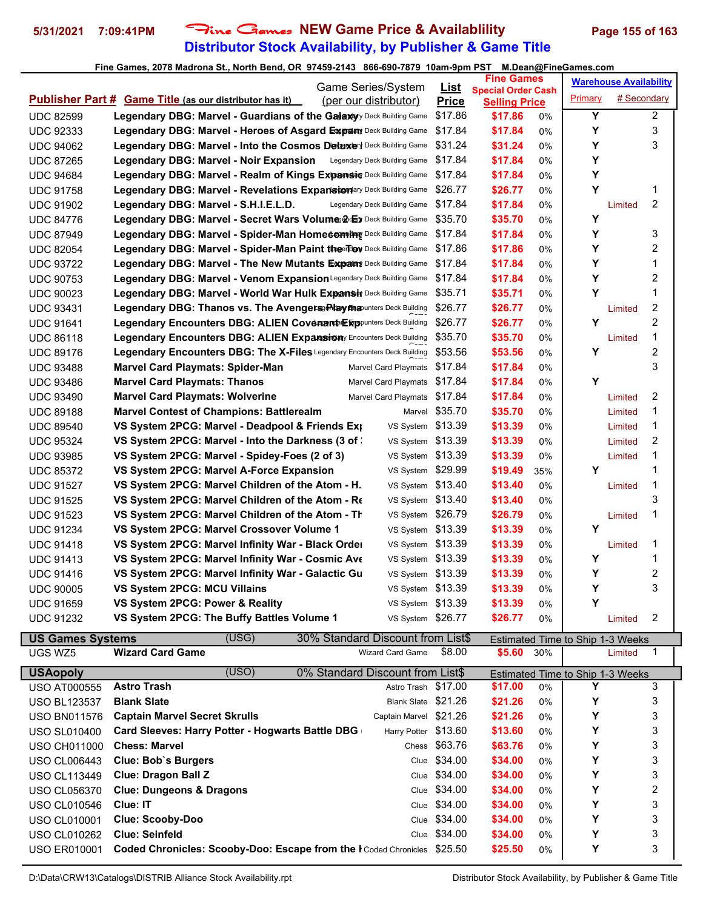## **Distributor Stock Availability, by Publisher & Game Title 5/31/2021 7:09:41PM** Fine Games **NEW Game Price & Availablility Page 155 of 163**

#### **Fine Games, 2078 Madrona St., North Bend, OR 97459-2143 866-690-7879 10am-9pm PST M.Dean@FineGames.com**

|                  | Game Series/System                                                           |                              |                              | <b>Fine Games</b><br><u>List</u><br><b>Special Order Cash</b> |                      | <b>Warehouse Availability</b> |         |             |                  |
|------------------|------------------------------------------------------------------------------|------------------------------|------------------------------|---------------------------------------------------------------|----------------------|-------------------------------|---------|-------------|------------------|
|                  | Publisher Part # Game Title (as our distributor has it)                      | (per our distributor)        |                              | <b>Price</b>                                                  | <b>Selling Price</b> |                               | Primary | # Secondary |                  |
| <b>UDC 82599</b> | <b>Legendary DBG: Marvel - Guardians of the Galaxy</b> ry Deck Building Game |                              |                              | \$17.86                                                       | \$17.86              | 0%                            | Y       |             | $\overline{2}$   |
| <b>UDC 92333</b> | Legendary DBG: Marvel - Heroes of Asgard Expany Deck Building Game           |                              |                              | \$17.84                                                       | \$17.84              | 0%                            | Y       |             | 3                |
| <b>UDC 94062</b> | <b>Legendary DBG: Marvel - Into the Cosmos Detaxery</b> Deck Building Game   |                              |                              | \$31.24                                                       | \$31.24              | $0\%$                         | Y       |             | 3                |
| <b>UDC 87265</b> | Legendary DBG: Marvel - Noir Expansion                                       | Legendary Deck Building Game |                              | \$17.84                                                       | \$17.84              | 0%                            | Y       |             |                  |
| <b>UDC 94684</b> | <b>Legendary DBG: Marvel - Realm of Kings Expansiv Deck Building Game</b>    |                              |                              | \$17.84                                                       | \$17.84              | 0%                            | Υ       |             |                  |
| <b>UDC 91758</b> | Legendary DBG: Marvel - Revelations Expansionary Deck Building Game          |                              |                              | \$26.77                                                       | \$26.77              | 0%                            | Y       |             | 1                |
| <b>UDC 91902</b> | Legendary DBG: Marvel - S.H.I.E.L.D.                                         | Legendary Deck Building Game |                              | \$17.84                                                       | \$17.84              | 0%                            |         | Limited     | $\overline{2}$   |
| <b>UDC 84776</b> | Legendary DBG: Marvel - Secret Wars Volume@ oby Deck Building Game           |                              |                              | \$35.70                                                       | \$35.70              | 0%                            | Y       |             |                  |
| <b>UDC 87949</b> | Legendary DBG: Marvel - Spider-Man Homeceming Deck Building Game             |                              |                              | \$17.84                                                       | \$17.84              | 0%                            | Υ       |             | 3                |
| <b>UDC 82054</b> | Legendary DBG: Marvel - Spider-Man Paint the Toy Deck Building Game          |                              |                              | \$17.86                                                       | \$17.86              | 0%                            | Y       |             | $\overline{c}$   |
| <b>UDC 93722</b> | Legendary DBG: Marvel - The New Mutants Expany Deck Building Game            |                              |                              | \$17.84                                                       | \$17.84              | 0%                            | Y       |             | $\mathbf{1}$     |
| <b>UDC 90753</b> | Legendary DBG: Marvel - Venom ExpansionLegendary Deck Building Game          |                              |                              | \$17.84                                                       | \$17.84              | 0%                            | Υ       |             | $\boldsymbol{2}$ |
| <b>UDC 90023</b> | Legendary DBG: Marvel - World War Hulk Expansiv Deck Building Game           |                              |                              | \$35.71                                                       | \$35.71              | 0%                            | Y       |             | 1                |
| <b>UDC 93431</b> | Legendary DBG: Thanos vs. The Avengers Playma unters Deck Building           |                              |                              | \$26.77                                                       | \$26.77              | 0%                            |         | Limited     | $\overline{c}$   |
| <b>UDC 91641</b> | Legendary Encounters DBG: ALIEN Covenant Expounters Deck Building            |                              |                              | \$26.77                                                       | \$26.77              | $0\%$                         | Y       |             | $\overline{2}$   |
| <b>UDC 86118</b> | <b>Legendary Encounters DBG: ALIEN Expansion</b> y Encounters Deck Building  |                              |                              | \$35.70                                                       | \$35.70              | $0\%$                         |         | Limited     | $\mathbf 1$      |
| <b>UDC 89176</b> | Legendary Encounters DBG: The X-Files Legendary Encounters Deck Building     |                              |                              | \$53.56                                                       | \$53.56              | 0%                            | Y       |             | $\boldsymbol{2}$ |
| <b>UDC 93488</b> | <b>Marvel Card Playmats: Spider-Man</b>                                      |                              | Marvel Card Playmats         | \$17.84                                                       | \$17.84              | 0%                            |         |             | 3                |
| <b>UDC 93486</b> | <b>Marvel Card Playmats: Thanos</b>                                          |                              | Marvel Card Playmats \$17.84 |                                                               | \$17.84              | $0\%$                         | Y       |             |                  |
| <b>UDC 93490</b> | <b>Marvel Card Playmats: Wolverine</b>                                       |                              | Marvel Card Playmats         | \$17.84                                                       | \$17.84              | 0%                            |         | Limited     | $\overline{c}$   |
| <b>UDC 89188</b> | <b>Marvel Contest of Champions: Battlerealm</b>                              |                              | Marvel                       | \$35.70                                                       | \$35.70              | 0%                            |         | Limited     | 1                |
| <b>UDC 89540</b> | VS System 2PCG: Marvel - Deadpool & Friends Exp                              |                              | VS System                    | \$13.39                                                       | \$13.39              | 0%                            |         | Limited     | 1                |
| <b>UDC 95324</b> | VS System 2PCG: Marvel - Into the Darkness (3 of                             |                              | VS System                    | \$13.39                                                       | \$13.39              | 0%                            |         | Limited     | $\overline{2}$   |
| <b>UDC 93985</b> | VS System 2PCG: Marvel - Spidey-Foes (2 of 3)                                |                              | VS System                    | \$13.39                                                       | \$13.39              | 0%                            |         | Limited     | $\mathbf{1}$     |
| <b>UDC 85372</b> | VS System 2PCG: Marvel A-Force Expansion                                     |                              | VS System                    | \$29.99                                                       | \$19.49              | 35%                           | Y       |             | $\mathbf{1}$     |
| <b>UDC 91527</b> | VS System 2PCG: Marvel Children of the Atom - H.                             |                              | VS System                    | \$13.40                                                       | \$13.40              | 0%                            |         | Limited     | $\mathbf{1}$     |
| <b>UDC 91525</b> | VS System 2PCG: Marvel Children of the Atom - Re                             |                              | VS System                    | \$13.40                                                       | \$13.40              | 0%                            |         |             | 3                |
| <b>UDC 91523</b> | VS System 2PCG: Marvel Children of the Atom - Th                             |                              | VS System \$26.79            |                                                               | \$26.79              | 0%                            |         | Limited     | $\mathbf{1}$     |
| <b>UDC 91234</b> | VS System 2PCG: Marvel Crossover Volume 1                                    |                              | VS System \$13.39            |                                                               | \$13.39              | 0%                            | Υ       |             |                  |
| <b>UDC 91418</b> | VS System 2PCG: Marvel Infinity War - Black Order                            |                              | VS System \$13.39            |                                                               | \$13.39              | 0%                            |         | Limited     | 1                |
| <b>UDC 91413</b> | VS System 2PCG: Marvel Infinity War - Cosmic Ave                             |                              | VS System \$13.39            |                                                               | \$13.39              | 0%                            | Υ       |             | 1                |
| <b>UDC 91416</b> | VS System 2PCG: Marvel Infinity War - Galactic Gu                            |                              | VS System \$13.39            |                                                               | \$13.39              | 0%                            | Y       |             | $\overline{c}$   |
| <b>UDC 90005</b> | VS System 2PCG: MCU Villains                                                 |                              | VS System \$13.39            |                                                               | \$13.39              | 0%                            | Υ       |             | 3                |
| <b>UDC 91659</b> | VS System 2PCG: Power & Reality                                              |                              | VS System \$13.39            |                                                               | \$13.39              | $0\%$                         | Y       |             |                  |
| <b>UDC 91232</b> | VS System 2PCG: The Buffy Battles Volume 1                                   |                              | VS System \$26.77            |                                                               | \$26.77              | $0\%$                         |         | Limited     | 2                |

| <b>US Games Systems</b> |                                                                          | (USG) | 30% Standard Discount from List\$ |               | Estimated Time to Ship 1-3 Weeks |       |                                         |                |  |
|-------------------------|--------------------------------------------------------------------------|-------|-----------------------------------|---------------|----------------------------------|-------|-----------------------------------------|----------------|--|
| UGS WZ5                 | <b>Wizard Card Game</b>                                                  |       | <b>Wizard Card Game</b>           | \$8.00        | \$5.60                           | 30%   | Limited                                 |                |  |
| <b>USAopoly</b>         |                                                                          | (USO) | 0% Standard Discount from List\$  |               |                                  |       | <b>Estimated Time to Ship 1-3 Weeks</b> |                |  |
| <b>USO AT000555</b>     | <b>Astro Trash</b>                                                       |       | Astro Trash \$17.00               |               | \$17.00                          | $0\%$ |                                         | 3              |  |
| <b>USO BL123537</b>     | <b>Blank Slate</b>                                                       |       | Blank Slate \$21.26               |               | \$21.26                          | $0\%$ |                                         | 3              |  |
| <b>USO BN011576</b>     | <b>Captain Marvel Secret Skrulls</b>                                     |       | Captain Marvel \$21.26            |               | \$21.26                          | 0%    |                                         | 3              |  |
| <b>USO SL010400</b>     | <b>Card Sleeves: Harry Potter - Hogwarts Battle DBG</b>                  |       | Harry Potter \$13.60              |               | \$13.60                          | $0\%$ |                                         | 3              |  |
| <b>USO CH011000</b>     | <b>Chess: Marvel</b>                                                     |       |                                   | Chess \$63.76 | \$63.76                          | 0%    |                                         | 3              |  |
| <b>USO CL006443</b>     | <b>Clue: Bob's Burgers</b>                                               |       |                                   | Clue \$34.00  | \$34.00                          | $0\%$ |                                         | 3              |  |
| <b>USO CL113449</b>     | <b>Clue: Dragon Ball Z</b>                                               |       |                                   | Clue \$34.00  | \$34.00                          | 0%    |                                         | 3              |  |
| <b>USO CL056370</b>     | <b>Clue: Dungeons &amp; Dragons</b>                                      |       |                                   | Clue \$34.00  | \$34.00                          | $0\%$ |                                         | $\overline{2}$ |  |
| <b>USO CL010546</b>     | <b>Clue: IT</b>                                                          |       |                                   | Clue \$34.00  | \$34.00                          | $0\%$ |                                         | 3              |  |
| <b>USO CL010001</b>     | Clue: Scooby-Doo                                                         |       |                                   | Clue \$34.00  | \$34.00                          | $0\%$ |                                         | 3              |  |
| <b>USO CL010262</b>     | <b>Clue: Seinfeld</b>                                                    |       |                                   | Clue \$34.00  | \$34.00                          | 0%    |                                         | 3              |  |
| <b>USO ER010001</b>     | Coded Chronicles: Scooby-Doo: Escape from the I Coded Chronicles \$25.50 |       |                                   |               | \$25.50                          | 0%    |                                         | 3              |  |

D:\Data\CRW13\Catalogs\DISTRIB Alliance Stock Availability.rpt Distributor Stock Availability, by Publisher & Game Title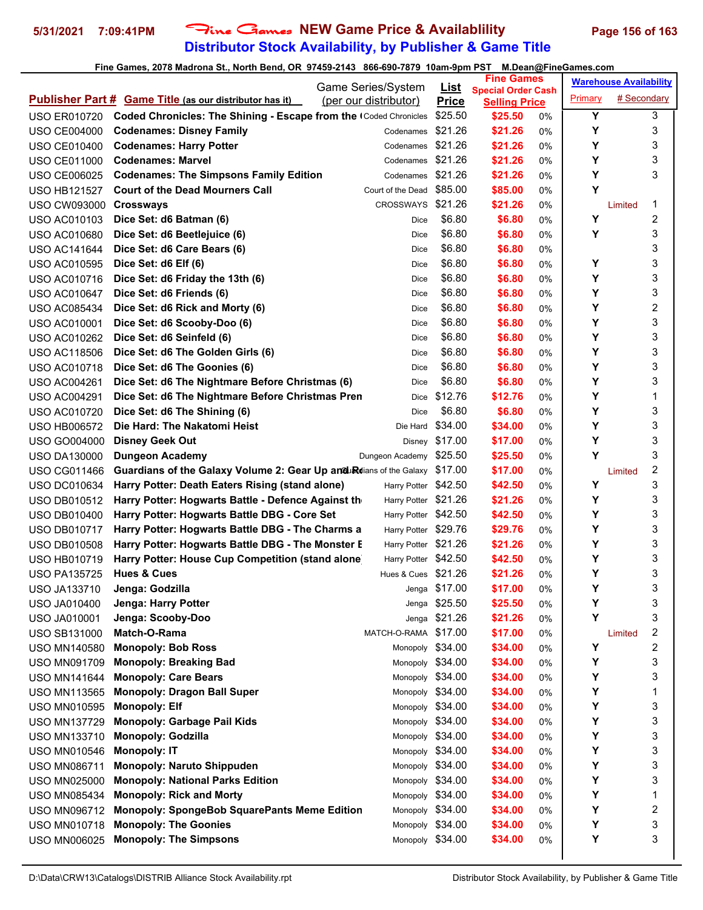# **Distributor Stock Availability, by Publisher & Game Title 5/31/2021 7:09:41PM** Fine Games **NEW Game Price & Availablility Page 156 of 163**

|                     |                                                                    |                                             |                             | <b>Fine Games</b>               |       |                | <b>Warehouse Availability</b> |                |
|---------------------|--------------------------------------------------------------------|---------------------------------------------|-----------------------------|---------------------------------|-------|----------------|-------------------------------|----------------|
|                     | <b>Publisher Part # Game Title (as our distributor has it)</b>     | Game Series/System<br>(per our distributor) | <u>List</u><br><b>Price</b> | <b>Special Order Cash</b>       |       | <b>Primary</b> | # Secondary                   |                |
| <b>USO ER010720</b> | Coded Chronicles: The Shining - Escape from the Coded Chronicles   |                                             | \$25.50                     | <b>Selling Price</b><br>\$25.50 | 0%    | Υ              |                               | 3              |
| <b>USO CE004000</b> | <b>Codenames: Disney Family</b>                                    | Codenames                                   | \$21.26                     | \$21.26                         | $0\%$ | Υ              |                               | 3              |
| <b>USO CE010400</b> | <b>Codenames: Harry Potter</b>                                     | Codenames                                   | \$21.26                     | \$21.26                         | 0%    | Υ              |                               | 3              |
| <b>USO CE011000</b> | <b>Codenames: Marvel</b>                                           | Codenames                                   | \$21.26                     | \$21.26                         | 0%    | Y              |                               | 3              |
| <b>USO CE006025</b> | <b>Codenames: The Simpsons Family Edition</b>                      | Codenames                                   | \$21.26                     | \$21.26                         | 0%    | Υ              |                               | 3              |
| <b>USO HB121527</b> | <b>Court of the Dead Mourners Call</b>                             | Court of the Dead                           | \$85.00                     | \$85.00                         | 0%    | Υ              |                               |                |
| <b>USO CW093000</b> | <b>Crossways</b>                                                   | CROSSWAYS \$21.26                           |                             | \$21.26                         | 0%    |                | Limited                       | 1              |
| <b>USO AC010103</b> | Dice Set: d6 Batman (6)                                            | Dice                                        | \$6.80                      | \$6.80                          | 0%    | Υ              |                               | 2              |
| <b>USO AC010680</b> | Dice Set: d6 Beetlejuice (6)                                       | Dice                                        | \$6.80                      | \$6.80                          | 0%    | Υ              |                               | 3              |
| <b>USO AC141644</b> | Dice Set: d6 Care Bears (6)                                        | Dice                                        | \$6.80                      | \$6.80                          | 0%    |                |                               | 3              |
| <b>USO AC010595</b> | Dice Set: d6 Elf (6)                                               | Dice                                        | \$6.80                      | \$6.80                          | 0%    | Υ              |                               | 3              |
| <b>USO AC010716</b> | Dice Set: d6 Friday the 13th (6)                                   | Dice                                        | \$6.80                      | \$6.80                          | 0%    | Υ              |                               | 3              |
| <b>USO AC010647</b> | Dice Set: d6 Friends (6)                                           | Dice                                        | \$6.80                      | \$6.80                          | 0%    | Y              |                               | 3              |
| <b>USO AC085434</b> | Dice Set: d6 Rick and Morty (6)                                    | Dice                                        | \$6.80                      | \$6.80                          | 0%    | Y              |                               | 2              |
| <b>USO AC010001</b> | Dice Set: d6 Scooby-Doo (6)                                        | Dice                                        | \$6.80                      | \$6.80                          | 0%    | Υ              |                               | 3              |
| <b>USO AC010262</b> | Dice Set: d6 Seinfeld (6)                                          | Dice                                        | \$6.80                      | \$6.80                          | 0%    | Υ              |                               | 3              |
| <b>USO AC118506</b> | Dice Set: d6 The Golden Girls (6)                                  | Dice                                        | \$6.80                      | \$6.80                          | $0\%$ | Υ              |                               | 3              |
| <b>USO AC010718</b> | Dice Set: d6 The Goonies (6)                                       | Dice                                        | \$6.80                      | \$6.80                          | 0%    | Υ              |                               | 3              |
| <b>USO AC004261</b> | Dice Set: d6 The Nightmare Before Christmas (6)                    | Dice                                        | \$6.80                      | \$6.80                          | 0%    | Υ              |                               | 3              |
| <b>USO AC004291</b> | Dice Set: d6 The Nightmare Before Christmas Pren                   | Dice                                        | \$12.76                     | \$12.76                         | 0%    | Υ              |                               | 1              |
| <b>USO AC010720</b> | Dice Set: d6 The Shining (6)                                       | Dice                                        | \$6.80                      | \$6.80                          | 0%    | Y              |                               | 3              |
| <b>USO HB006572</b> | Die Hard: The Nakatomi Heist                                       |                                             | Die Hard \$34.00            | \$34.00                         | 0%    | Y              |                               | 3              |
| <b>USO GO004000</b> | <b>Disney Geek Out</b>                                             | Disney                                      | \$17.00                     | \$17.00                         | $0\%$ | Υ              |                               | 3              |
| <b>USO DA130000</b> | <b>Dungeon Academy</b>                                             | Dungeon Academy                             | \$25.50                     | \$25.50                         | $0\%$ | Υ              |                               | 3              |
| <b>USO CG011466</b> | Guardians of the Galaxy Volume 2: Gear Up and Rdians of the Galaxy |                                             | \$17.00                     | \$17.00                         | 0%    |                | Limited                       | 2              |
| <b>USO DC010634</b> | Harry Potter: Death Eaters Rising (stand alone)                    | Harry Potter \$42.50                        |                             | \$42.50                         | 0%    | Υ              |                               | 3              |
| <b>USO DB010512</b> | Harry Potter: Hogwarts Battle - Defence Against th                 | Harry Potter \$21.26                        |                             | \$21.26                         | 0%    | Υ              |                               | 3              |
| <b>USO DB010400</b> | Harry Potter: Hogwarts Battle DBG - Core Set                       | Harry Potter \$42.50                        |                             | \$42.50                         | 0%    | Υ              |                               | 3              |
| <b>USO DB010717</b> | Harry Potter: Hogwarts Battle DBG - The Charms a                   | Harry Potter \$29.76                        |                             | \$29.76                         | 0%    | Y              |                               | 3              |
| <b>USO DB010508</b> | Harry Potter: Hogwarts Battle DBG - The Monster E                  | Harry Potter \$21.26                        |                             | \$21.26                         | 0%    | Υ              |                               | 3              |
| <b>USO HB010719</b> | Harry Potter: House Cup Competition (stand alone)                  | Harry Potter \$42.50                        |                             | \$42.50                         | 0%    | Υ              |                               | 3              |
| <b>USO PA135725</b> | <b>Hues &amp; Cues</b>                                             | Hues & Cues \$21.26                         |                             | \$21.26                         | $0\%$ | Υ              |                               | 3              |
| <b>USO JA133710</b> | Jenga: Godzilla                                                    |                                             | Jenga \$17.00               | \$17.00                         | 0%    | Υ              |                               | 3              |
| <b>USO JA010400</b> | Jenga: Harry Potter                                                |                                             | Jenga \$25.50               | \$25.50                         | 0%    | Υ              |                               | 3              |
| <b>USO JA010001</b> | Jenga: Scooby-Doo                                                  |                                             | Jenga \$21.26               | \$21.26                         | 0%    | Y              |                               | 3              |
| <b>USO SB131000</b> | Match-O-Rama                                                       | MATCH-O-RAMA \$17.00                        |                             | \$17.00                         | 0%    |                | Limited                       | $\overline{c}$ |
| <b>USO MN140580</b> | <b>Monopoly: Bob Ross</b>                                          | Monopoly \$34.00                            |                             | \$34.00                         | 0%    | Υ              |                               | 2              |
| <b>USO MN091709</b> | <b>Monopoly: Breaking Bad</b>                                      | Monopoly \$34.00                            |                             | \$34.00                         | 0%    | Υ              |                               | 3              |
| <b>USO MN141644</b> | <b>Monopoly: Care Bears</b>                                        | Monopoly \$34.00                            |                             | \$34.00                         | 0%    | Υ              |                               | 3              |
| <b>USO MN113565</b> | <b>Monopoly: Dragon Ball Super</b>                                 | Monopoly \$34.00                            |                             | \$34.00                         | 0%    | Υ              |                               | 1              |
| <b>USO MN010595</b> | <b>Monopoly: Elf</b>                                               | Monopoly \$34.00                            |                             | \$34.00                         | 0%    | Υ              |                               | 3              |
| <b>USO MN137729</b> | <b>Monopoly: Garbage Pail Kids</b>                                 | Monopoly \$34.00                            |                             | \$34.00                         | 0%    | Υ              |                               | 3              |
| <b>USO MN133710</b> | <b>Monopoly: Godzilla</b>                                          | Monopoly \$34.00                            |                             | \$34.00                         | 0%    | Υ              |                               | 3              |
| <b>USO MN010546</b> | <b>Monopoly: IT</b>                                                | Monopoly \$34.00                            |                             | \$34.00                         | 0%    | Υ              |                               | 3              |
| <b>USO MN086711</b> | <b>Monopoly: Naruto Shippuden</b>                                  | Monopoly \$34.00                            |                             | \$34.00                         | 0%    | Υ              |                               | 3              |
| <b>USO MN025000</b> | <b>Monopoly: National Parks Edition</b>                            | Monopoly \$34.00                            |                             | \$34.00                         | 0%    | Υ              |                               | 3              |
| <b>USO MN085434</b> | <b>Monopoly: Rick and Morty</b>                                    | Monopoly \$34.00                            |                             | \$34.00                         | 0%    | Υ              |                               | 1              |
| <b>USO MN096712</b> | <b>Monopoly: SpongeBob SquarePants Meme Edition</b>                | Monopoly \$34.00                            |                             | \$34.00                         | 0%    | Υ              |                               | 2              |
| <b>USO MN010718</b> | <b>Monopoly: The Goonies</b>                                       | Monopoly                                    | \$34.00                     | \$34.00                         | 0%    | Υ              |                               | 3              |
| <b>USO MN006025</b> | <b>Monopoly: The Simpsons</b>                                      | Monopoly \$34.00                            |                             | \$34.00                         | 0%    | Υ              |                               | 3              |
|                     |                                                                    |                                             |                             |                                 |       |                |                               |                |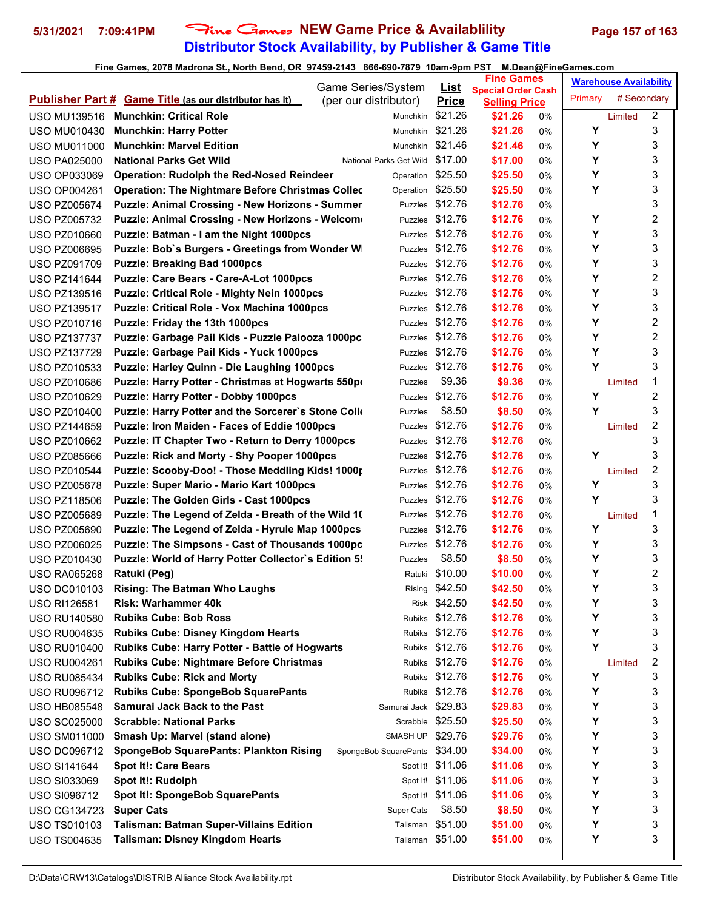# **Distributor Stock Availability, by Publisher & Game Title 5/31/2021 7:09:41PM** Fine Games **NEW Game Price & Availablility Page 157 of 163**

| List<br><b>Special Order Cash</b><br># Secondary<br>Primary<br><b>Publisher Part # Game Title (as our distributor has it)</b><br>(per our distributor)<br><b>Price</b><br><b>Selling Price</b><br>2<br>\$21.26<br>USO MU139516 Munchkin: Critical Role<br>\$21.26<br>Munchkin<br>0%<br>Limited<br>3<br>\$21.26<br>Υ<br><b>Munchkin: Harry Potter</b><br>\$21.26<br><b>USO MU010430</b><br>Munchkin<br>0%<br>Υ<br>3<br><b>Munchkin: Marvel Edition</b><br>Munchkin \$21.46<br>\$21.46<br>0%<br><b>USO MU011000</b><br>3<br><b>National Parks Get Wild</b><br>Υ<br>\$17.00<br>\$17.00<br><b>USO PA025000</b><br>National Parks Get Wild<br>0%<br>3<br>Υ<br><b>Operation: Rudolph the Red-Nosed Reindeer</b><br>\$25.50<br>\$25.50<br><b>USO OP033069</b><br>Operation<br>0%<br>Y<br>3<br><b>Operation: The Nightmare Before Christmas Colled</b><br>Operation \$25.50<br>\$25.50<br><b>USO OP004261</b><br>0%<br>3<br>Puzzles \$12.76<br>\$12.76<br><b>Puzzle: Animal Crossing - New Horizons - Summer</b><br><b>USO PZ005674</b><br>0%<br>2<br>\$12.76<br>Y<br>Puzzle: Animal Crossing - New Horizons - Welcom<br>\$12.76<br><b>USO PZ005732</b><br>0%<br>Puzzles<br>3<br>\$12.76<br>Υ<br>\$12.76<br>Puzzle: Batman - I am the Night 1000pcs<br><b>USO PZ010660</b><br>Puzzles<br>0%<br>Υ<br>3<br>Puzzles \$12.76<br>\$12.76<br>Puzzle: Bob's Burgers - Greetings from Wonder W<br><b>USO PZ006695</b><br>0%<br>3<br>Υ<br><b>Puzzle: Breaking Bad 1000pcs</b><br>\$12.76<br>\$12.76<br><b>USO PZ091709</b><br>0%<br>Puzzles<br>2<br>Υ<br>Puzzle: Care Bears - Care-A-Lot 1000pcs<br>\$12.76<br>\$12.76<br><b>USO PZ141644</b><br>Puzzles<br>0%<br>3<br>Υ<br>\$12.76<br>\$12.76<br><b>Puzzle: Critical Role - Mighty Nein 1000pcs</b><br><b>USO PZ139516</b><br>Puzzles<br>0%<br>Υ<br>3<br>Puzzles \$12.76<br>\$12.76<br>Puzzle: Critical Role - Vox Machina 1000pcs<br><b>USO PZ139517</b><br>0%<br>2<br>\$12.76<br>Υ<br>\$12.76<br><b>USO PZ010716</b><br>Puzzle: Friday the 13th 1000pcs<br>0%<br>Puzzles<br>2<br>Y<br>\$12.76<br>\$12.76<br><b>USO PZ137737</b><br>Puzzle: Garbage Pail Kids - Puzzle Palooza 1000pc<br>Puzzles<br>0%<br>3<br>Y<br>Puzzle: Garbage Pail Kids - Yuck 1000pcs<br>\$12.76<br>\$12.76<br><b>USO PZ137729</b><br>Puzzles<br>0%<br>Y<br>3<br>\$12.76<br>\$12.76<br><b>Puzzle: Harley Quinn - Die Laughing 1000pcs</b><br><b>USO PZ010533</b><br>0%<br>Puzzles<br>Puzzle: Harry Potter - Christmas at Hogwarts 550pr<br>\$9.36<br>\$9.36<br>1<br><b>USO PZ010686</b><br>0%<br>Puzzles<br>Limited<br>2<br>\$12.76<br>Υ<br>Puzzle: Harry Potter - Dobby 1000pcs<br>\$12.76<br><b>USO PZ010629</b><br>Puzzles<br>0%<br>Υ<br>3<br>Puzzle: Harry Potter and the Sorcerer's Stone Colle<br>\$8.50<br>\$8.50<br><b>USO PZ010400</b><br>Puzzles<br>0%<br>2<br>\$12.76<br>\$12.76<br>Puzzle: Iron Maiden - Faces of Eddie 1000pcs<br><b>USO PZ144659</b><br>0%<br>Puzzles<br>Limited<br>3<br>\$12.76<br>Puzzle: IT Chapter Two - Return to Derry 1000pcs<br>\$12.76<br><b>USO PZ010662</b><br>Puzzles<br>0%<br>3<br>\$12.76<br>Puzzle: Rick and Morty - Shy Pooper 1000pcs<br>\$12.76<br>Υ<br><b>USO PZ085666</b><br>Puzzles<br>0%<br>2<br>Puzzle: Scooby-Doo! - Those Meddling Kids! 1000;<br>\$12.76<br>\$12.76<br><b>USO PZ010544</b><br>Puzzles<br>0%<br>Limited<br>3<br>Υ<br>Puzzle: Super Mario - Mario Kart 1000pcs<br>\$12.76<br>\$12.76<br><b>USO PZ005678</b><br>0%<br>Puzzles<br>Υ<br>3<br>Puzzle: The Golden Girls - Cast 1000pcs<br>Puzzles \$12.76<br>\$12.76<br><b>USO PZ118506</b><br>0%<br>Puzzles \$12.76<br>1<br>\$12.76<br>Puzzle: The Legend of Zelda - Breath of the Wild 10<br><b>USO PZ005689</b><br>0%<br>Limited<br>Υ<br>3<br>\$12.76<br>\$12.76<br>Puzzle: The Legend of Zelda - Hyrule Map 1000pcs<br><b>USO PZ005690</b><br>0%<br>Puzzles<br>3<br>Puzzles \$12.76<br>Υ<br><b>Puzzle: The Simpsons - Cast of Thousands 1000pc</b><br>\$12.76<br><b>USO PZ006025</b><br>0%<br>3<br>\$8.50<br>Υ<br>Puzzle: World of Harry Potter Collector's Edition 5!<br><b>USO PZ010430</b><br>\$8.50<br>Puzzles<br>0%<br>2<br>Y<br>Ratuki \$10.00<br>\$10.00<br>Ratuki (Peg)<br><b>USO RA065268</b><br>0%<br>3<br>Υ<br>Rising \$42.50<br>\$42.50<br><b>Rising: The Batman Who Laughs</b><br>0%<br><b>USO DC010103</b><br>3<br>Risk \$42.50<br>Υ<br><b>Risk: Warhammer 40k</b><br>\$42.50<br><b>USO RI126581</b><br>0%<br>3<br>Rubiks \$12.76<br>Υ<br><b>Rubiks Cube: Bob Ross</b><br>\$12.76<br><b>USO RU140580</b><br>0%<br>Υ<br>3<br><b>Rubiks Cube: Disney Kingdom Hearts</b><br>Rubiks \$12.76<br>\$12.76<br><b>USO RU004635</b><br>0%<br>Y<br>3<br>Rubiks Cube: Harry Potter - Battle of Hogwarts<br>Rubiks \$12.76<br>\$12.76<br><b>USO RU010400</b><br>0%<br>2<br><b>Rubiks Cube: Nightmare Before Christmas</b><br>Rubiks \$12.76<br>\$12.76<br><b>USO RU004261</b><br>0%<br>Limited<br>3<br><b>Rubiks Cube: Rick and Morty</b><br>Rubiks \$12.76<br>\$12.76<br>Y<br><b>USO RU085434</b><br>0%<br>3<br><b>Rubiks Cube: SpongeBob SquarePants</b><br>Rubiks \$12.76<br>\$12.76<br>Υ<br><b>USO RU096712</b><br>0%<br>3<br><b>Samurai Jack Back to the Past</b><br>Samurai Jack \$29.83<br>Υ<br>\$29.83<br><b>USO HB085548</b><br>0%<br>3<br><b>Scrabble: National Parks</b><br>Scrabble \$25.50<br>Υ<br>\$25.50<br><b>USO SC025000</b><br>0%<br>3<br>Υ<br>Smash Up: Marvel (stand alone)<br>SMASH UP \$29.76<br>\$29.76<br><b>USO SM011000</b><br>0%<br>3<br>Υ<br><b>SpongeBob SquarePants: Plankton Rising</b><br>SpongeBob SquarePants \$34.00<br>\$34.00<br><b>USO DC096712</b><br>0%<br>3<br><b>Spot It!: Care Bears</b><br>Υ<br>Spot It! \$11.06<br>\$11.06<br>USO SI141644<br>0%<br>3<br>Spot It!: Rudolph<br>Spot It! \$11.06<br>\$11.06<br>Υ<br><b>USO SI033069</b><br>0%<br>3<br>Spot It!: SpongeBob SquarePants<br>Spot It! \$11.06<br>\$11.06<br>Υ<br><b>USO SI096712</b><br>0%<br>Υ<br>3<br><b>Super Cats</b><br>\$8.50<br>\$8.50<br><b>USO CG134723</b><br><b>Super Cats</b><br>0%<br>3<br>Talisman: Batman Super-Villains Edition<br>Talisman \$51.00<br>Υ<br>\$51.00<br><b>USO TS010103</b><br>0% |  |  | Game Series/System | <b>Fine Games</b> |  | <b>Warehouse Availability</b> |  |  |
|--------------------------------------------------------------------------------------------------------------------------------------------------------------------------------------------------------------------------------------------------------------------------------------------------------------------------------------------------------------------------------------------------------------------------------------------------------------------------------------------------------------------------------------------------------------------------------------------------------------------------------------------------------------------------------------------------------------------------------------------------------------------------------------------------------------------------------------------------------------------------------------------------------------------------------------------------------------------------------------------------------------------------------------------------------------------------------------------------------------------------------------------------------------------------------------------------------------------------------------------------------------------------------------------------------------------------------------------------------------------------------------------------------------------------------------------------------------------------------------------------------------------------------------------------------------------------------------------------------------------------------------------------------------------------------------------------------------------------------------------------------------------------------------------------------------------------------------------------------------------------------------------------------------------------------------------------------------------------------------------------------------------------------------------------------------------------------------------------------------------------------------------------------------------------------------------------------------------------------------------------------------------------------------------------------------------------------------------------------------------------------------------------------------------------------------------------------------------------------------------------------------------------------------------------------------------------------------------------------------------------------------------------------------------------------------------------------------------------------------------------------------------------------------------------------------------------------------------------------------------------------------------------------------------------------------------------------------------------------------------------------------------------------------------------------------------------------------------------------------------------------------------------------------------------------------------------------------------------------------------------------------------------------------------------------------------------------------------------------------------------------------------------------------------------------------------------------------------------------------------------------------------------------------------------------------------------------------------------------------------------------------------------------------------------------------------------------------------------------------------------------------------------------------------------------------------------------------------------------------------------------------------------------------------------------------------------------------------------------------------------------------------------------------------------------------------------------------------------------------------------------------------------------------------------------------------------------------------------------------------------------------------------------------------------------------------------------------------------------------------------------------------------------------------------------------------------------------------------------------------------------------------------------------------------------------------------------------------------------------------------------------------------------------------------------------------------------------------------------------------------------------------------------------------------------------------------------------------------------------------------------------------------------------------------------------------------------------------------------------------------------------------------------------------------------------------------------------------------------------------------------------------------------------------------------------------------------------------------------------------------------------------------------------------------------------------------------------------------------------------------------------------------------------------------------------------------------------------------------------------------------------------------------------------------------------------------------------------------------------------------------------------------------------------------------------------------------------------------------------------------------------------------------------------------------------------------------------------------------------------------------------------------------------------------------------------------------------------------------------------------------------------------------------------------------|--|--|--------------------|-------------------|--|-------------------------------|--|--|
|                                                                                                                                                                                                                                                                                                                                                                                                                                                                                                                                                                                                                                                                                                                                                                                                                                                                                                                                                                                                                                                                                                                                                                                                                                                                                                                                                                                                                                                                                                                                                                                                                                                                                                                                                                                                                                                                                                                                                                                                                                                                                                                                                                                                                                                                                                                                                                                                                                                                                                                                                                                                                                                                                                                                                                                                                                                                                                                                                                                                                                                                                                                                                                                                                                                                                                                                                                                                                                                                                                                                                                                                                                                                                                                                                                                                                                                                                                                                                                                                                                                                                                                                                                                                                                                                                                                                                                                                                                                                                                                                                                                                                                                                                                                                                                                                                                                                                                                                                                                                                                                                                                                                                                                                                                                                                                                                                                                                                                                                                                                                                                                                                                                                                                                                                                                                                                                                                                                                                                                                                                                        |  |  |                    |                   |  |                               |  |  |
|                                                                                                                                                                                                                                                                                                                                                                                                                                                                                                                                                                                                                                                                                                                                                                                                                                                                                                                                                                                                                                                                                                                                                                                                                                                                                                                                                                                                                                                                                                                                                                                                                                                                                                                                                                                                                                                                                                                                                                                                                                                                                                                                                                                                                                                                                                                                                                                                                                                                                                                                                                                                                                                                                                                                                                                                                                                                                                                                                                                                                                                                                                                                                                                                                                                                                                                                                                                                                                                                                                                                                                                                                                                                                                                                                                                                                                                                                                                                                                                                                                                                                                                                                                                                                                                                                                                                                                                                                                                                                                                                                                                                                                                                                                                                                                                                                                                                                                                                                                                                                                                                                                                                                                                                                                                                                                                                                                                                                                                                                                                                                                                                                                                                                                                                                                                                                                                                                                                                                                                                                                                        |  |  |                    |                   |  |                               |  |  |
|                                                                                                                                                                                                                                                                                                                                                                                                                                                                                                                                                                                                                                                                                                                                                                                                                                                                                                                                                                                                                                                                                                                                                                                                                                                                                                                                                                                                                                                                                                                                                                                                                                                                                                                                                                                                                                                                                                                                                                                                                                                                                                                                                                                                                                                                                                                                                                                                                                                                                                                                                                                                                                                                                                                                                                                                                                                                                                                                                                                                                                                                                                                                                                                                                                                                                                                                                                                                                                                                                                                                                                                                                                                                                                                                                                                                                                                                                                                                                                                                                                                                                                                                                                                                                                                                                                                                                                                                                                                                                                                                                                                                                                                                                                                                                                                                                                                                                                                                                                                                                                                                                                                                                                                                                                                                                                                                                                                                                                                                                                                                                                                                                                                                                                                                                                                                                                                                                                                                                                                                                                                        |  |  |                    |                   |  |                               |  |  |
|                                                                                                                                                                                                                                                                                                                                                                                                                                                                                                                                                                                                                                                                                                                                                                                                                                                                                                                                                                                                                                                                                                                                                                                                                                                                                                                                                                                                                                                                                                                                                                                                                                                                                                                                                                                                                                                                                                                                                                                                                                                                                                                                                                                                                                                                                                                                                                                                                                                                                                                                                                                                                                                                                                                                                                                                                                                                                                                                                                                                                                                                                                                                                                                                                                                                                                                                                                                                                                                                                                                                                                                                                                                                                                                                                                                                                                                                                                                                                                                                                                                                                                                                                                                                                                                                                                                                                                                                                                                                                                                                                                                                                                                                                                                                                                                                                                                                                                                                                                                                                                                                                                                                                                                                                                                                                                                                                                                                                                                                                                                                                                                                                                                                                                                                                                                                                                                                                                                                                                                                                                                        |  |  |                    |                   |  |                               |  |  |
|                                                                                                                                                                                                                                                                                                                                                                                                                                                                                                                                                                                                                                                                                                                                                                                                                                                                                                                                                                                                                                                                                                                                                                                                                                                                                                                                                                                                                                                                                                                                                                                                                                                                                                                                                                                                                                                                                                                                                                                                                                                                                                                                                                                                                                                                                                                                                                                                                                                                                                                                                                                                                                                                                                                                                                                                                                                                                                                                                                                                                                                                                                                                                                                                                                                                                                                                                                                                                                                                                                                                                                                                                                                                                                                                                                                                                                                                                                                                                                                                                                                                                                                                                                                                                                                                                                                                                                                                                                                                                                                                                                                                                                                                                                                                                                                                                                                                                                                                                                                                                                                                                                                                                                                                                                                                                                                                                                                                                                                                                                                                                                                                                                                                                                                                                                                                                                                                                                                                                                                                                                                        |  |  |                    |                   |  |                               |  |  |
|                                                                                                                                                                                                                                                                                                                                                                                                                                                                                                                                                                                                                                                                                                                                                                                                                                                                                                                                                                                                                                                                                                                                                                                                                                                                                                                                                                                                                                                                                                                                                                                                                                                                                                                                                                                                                                                                                                                                                                                                                                                                                                                                                                                                                                                                                                                                                                                                                                                                                                                                                                                                                                                                                                                                                                                                                                                                                                                                                                                                                                                                                                                                                                                                                                                                                                                                                                                                                                                                                                                                                                                                                                                                                                                                                                                                                                                                                                                                                                                                                                                                                                                                                                                                                                                                                                                                                                                                                                                                                                                                                                                                                                                                                                                                                                                                                                                                                                                                                                                                                                                                                                                                                                                                                                                                                                                                                                                                                                                                                                                                                                                                                                                                                                                                                                                                                                                                                                                                                                                                                                                        |  |  |                    |                   |  |                               |  |  |
|                                                                                                                                                                                                                                                                                                                                                                                                                                                                                                                                                                                                                                                                                                                                                                                                                                                                                                                                                                                                                                                                                                                                                                                                                                                                                                                                                                                                                                                                                                                                                                                                                                                                                                                                                                                                                                                                                                                                                                                                                                                                                                                                                                                                                                                                                                                                                                                                                                                                                                                                                                                                                                                                                                                                                                                                                                                                                                                                                                                                                                                                                                                                                                                                                                                                                                                                                                                                                                                                                                                                                                                                                                                                                                                                                                                                                                                                                                                                                                                                                                                                                                                                                                                                                                                                                                                                                                                                                                                                                                                                                                                                                                                                                                                                                                                                                                                                                                                                                                                                                                                                                                                                                                                                                                                                                                                                                                                                                                                                                                                                                                                                                                                                                                                                                                                                                                                                                                                                                                                                                                                        |  |  |                    |                   |  |                               |  |  |
|                                                                                                                                                                                                                                                                                                                                                                                                                                                                                                                                                                                                                                                                                                                                                                                                                                                                                                                                                                                                                                                                                                                                                                                                                                                                                                                                                                                                                                                                                                                                                                                                                                                                                                                                                                                                                                                                                                                                                                                                                                                                                                                                                                                                                                                                                                                                                                                                                                                                                                                                                                                                                                                                                                                                                                                                                                                                                                                                                                                                                                                                                                                                                                                                                                                                                                                                                                                                                                                                                                                                                                                                                                                                                                                                                                                                                                                                                                                                                                                                                                                                                                                                                                                                                                                                                                                                                                                                                                                                                                                                                                                                                                                                                                                                                                                                                                                                                                                                                                                                                                                                                                                                                                                                                                                                                                                                                                                                                                                                                                                                                                                                                                                                                                                                                                                                                                                                                                                                                                                                                                                        |  |  |                    |                   |  |                               |  |  |
|                                                                                                                                                                                                                                                                                                                                                                                                                                                                                                                                                                                                                                                                                                                                                                                                                                                                                                                                                                                                                                                                                                                                                                                                                                                                                                                                                                                                                                                                                                                                                                                                                                                                                                                                                                                                                                                                                                                                                                                                                                                                                                                                                                                                                                                                                                                                                                                                                                                                                                                                                                                                                                                                                                                                                                                                                                                                                                                                                                                                                                                                                                                                                                                                                                                                                                                                                                                                                                                                                                                                                                                                                                                                                                                                                                                                                                                                                                                                                                                                                                                                                                                                                                                                                                                                                                                                                                                                                                                                                                                                                                                                                                                                                                                                                                                                                                                                                                                                                                                                                                                                                                                                                                                                                                                                                                                                                                                                                                                                                                                                                                                                                                                                                                                                                                                                                                                                                                                                                                                                                                                        |  |  |                    |                   |  |                               |  |  |
|                                                                                                                                                                                                                                                                                                                                                                                                                                                                                                                                                                                                                                                                                                                                                                                                                                                                                                                                                                                                                                                                                                                                                                                                                                                                                                                                                                                                                                                                                                                                                                                                                                                                                                                                                                                                                                                                                                                                                                                                                                                                                                                                                                                                                                                                                                                                                                                                                                                                                                                                                                                                                                                                                                                                                                                                                                                                                                                                                                                                                                                                                                                                                                                                                                                                                                                                                                                                                                                                                                                                                                                                                                                                                                                                                                                                                                                                                                                                                                                                                                                                                                                                                                                                                                                                                                                                                                                                                                                                                                                                                                                                                                                                                                                                                                                                                                                                                                                                                                                                                                                                                                                                                                                                                                                                                                                                                                                                                                                                                                                                                                                                                                                                                                                                                                                                                                                                                                                                                                                                                                                        |  |  |                    |                   |  |                               |  |  |
|                                                                                                                                                                                                                                                                                                                                                                                                                                                                                                                                                                                                                                                                                                                                                                                                                                                                                                                                                                                                                                                                                                                                                                                                                                                                                                                                                                                                                                                                                                                                                                                                                                                                                                                                                                                                                                                                                                                                                                                                                                                                                                                                                                                                                                                                                                                                                                                                                                                                                                                                                                                                                                                                                                                                                                                                                                                                                                                                                                                                                                                                                                                                                                                                                                                                                                                                                                                                                                                                                                                                                                                                                                                                                                                                                                                                                                                                                                                                                                                                                                                                                                                                                                                                                                                                                                                                                                                                                                                                                                                                                                                                                                                                                                                                                                                                                                                                                                                                                                                                                                                                                                                                                                                                                                                                                                                                                                                                                                                                                                                                                                                                                                                                                                                                                                                                                                                                                                                                                                                                                                                        |  |  |                    |                   |  |                               |  |  |
|                                                                                                                                                                                                                                                                                                                                                                                                                                                                                                                                                                                                                                                                                                                                                                                                                                                                                                                                                                                                                                                                                                                                                                                                                                                                                                                                                                                                                                                                                                                                                                                                                                                                                                                                                                                                                                                                                                                                                                                                                                                                                                                                                                                                                                                                                                                                                                                                                                                                                                                                                                                                                                                                                                                                                                                                                                                                                                                                                                                                                                                                                                                                                                                                                                                                                                                                                                                                                                                                                                                                                                                                                                                                                                                                                                                                                                                                                                                                                                                                                                                                                                                                                                                                                                                                                                                                                                                                                                                                                                                                                                                                                                                                                                                                                                                                                                                                                                                                                                                                                                                                                                                                                                                                                                                                                                                                                                                                                                                                                                                                                                                                                                                                                                                                                                                                                                                                                                                                                                                                                                                        |  |  |                    |                   |  |                               |  |  |
|                                                                                                                                                                                                                                                                                                                                                                                                                                                                                                                                                                                                                                                                                                                                                                                                                                                                                                                                                                                                                                                                                                                                                                                                                                                                                                                                                                                                                                                                                                                                                                                                                                                                                                                                                                                                                                                                                                                                                                                                                                                                                                                                                                                                                                                                                                                                                                                                                                                                                                                                                                                                                                                                                                                                                                                                                                                                                                                                                                                                                                                                                                                                                                                                                                                                                                                                                                                                                                                                                                                                                                                                                                                                                                                                                                                                                                                                                                                                                                                                                                                                                                                                                                                                                                                                                                                                                                                                                                                                                                                                                                                                                                                                                                                                                                                                                                                                                                                                                                                                                                                                                                                                                                                                                                                                                                                                                                                                                                                                                                                                                                                                                                                                                                                                                                                                                                                                                                                                                                                                                                                        |  |  |                    |                   |  |                               |  |  |
|                                                                                                                                                                                                                                                                                                                                                                                                                                                                                                                                                                                                                                                                                                                                                                                                                                                                                                                                                                                                                                                                                                                                                                                                                                                                                                                                                                                                                                                                                                                                                                                                                                                                                                                                                                                                                                                                                                                                                                                                                                                                                                                                                                                                                                                                                                                                                                                                                                                                                                                                                                                                                                                                                                                                                                                                                                                                                                                                                                                                                                                                                                                                                                                                                                                                                                                                                                                                                                                                                                                                                                                                                                                                                                                                                                                                                                                                                                                                                                                                                                                                                                                                                                                                                                                                                                                                                                                                                                                                                                                                                                                                                                                                                                                                                                                                                                                                                                                                                                                                                                                                                                                                                                                                                                                                                                                                                                                                                                                                                                                                                                                                                                                                                                                                                                                                                                                                                                                                                                                                                                                        |  |  |                    |                   |  |                               |  |  |
|                                                                                                                                                                                                                                                                                                                                                                                                                                                                                                                                                                                                                                                                                                                                                                                                                                                                                                                                                                                                                                                                                                                                                                                                                                                                                                                                                                                                                                                                                                                                                                                                                                                                                                                                                                                                                                                                                                                                                                                                                                                                                                                                                                                                                                                                                                                                                                                                                                                                                                                                                                                                                                                                                                                                                                                                                                                                                                                                                                                                                                                                                                                                                                                                                                                                                                                                                                                                                                                                                                                                                                                                                                                                                                                                                                                                                                                                                                                                                                                                                                                                                                                                                                                                                                                                                                                                                                                                                                                                                                                                                                                                                                                                                                                                                                                                                                                                                                                                                                                                                                                                                                                                                                                                                                                                                                                                                                                                                                                                                                                                                                                                                                                                                                                                                                                                                                                                                                                                                                                                                                                        |  |  |                    |                   |  |                               |  |  |
|                                                                                                                                                                                                                                                                                                                                                                                                                                                                                                                                                                                                                                                                                                                                                                                                                                                                                                                                                                                                                                                                                                                                                                                                                                                                                                                                                                                                                                                                                                                                                                                                                                                                                                                                                                                                                                                                                                                                                                                                                                                                                                                                                                                                                                                                                                                                                                                                                                                                                                                                                                                                                                                                                                                                                                                                                                                                                                                                                                                                                                                                                                                                                                                                                                                                                                                                                                                                                                                                                                                                                                                                                                                                                                                                                                                                                                                                                                                                                                                                                                                                                                                                                                                                                                                                                                                                                                                                                                                                                                                                                                                                                                                                                                                                                                                                                                                                                                                                                                                                                                                                                                                                                                                                                                                                                                                                                                                                                                                                                                                                                                                                                                                                                                                                                                                                                                                                                                                                                                                                                                                        |  |  |                    |                   |  |                               |  |  |
|                                                                                                                                                                                                                                                                                                                                                                                                                                                                                                                                                                                                                                                                                                                                                                                                                                                                                                                                                                                                                                                                                                                                                                                                                                                                                                                                                                                                                                                                                                                                                                                                                                                                                                                                                                                                                                                                                                                                                                                                                                                                                                                                                                                                                                                                                                                                                                                                                                                                                                                                                                                                                                                                                                                                                                                                                                                                                                                                                                                                                                                                                                                                                                                                                                                                                                                                                                                                                                                                                                                                                                                                                                                                                                                                                                                                                                                                                                                                                                                                                                                                                                                                                                                                                                                                                                                                                                                                                                                                                                                                                                                                                                                                                                                                                                                                                                                                                                                                                                                                                                                                                                                                                                                                                                                                                                                                                                                                                                                                                                                                                                                                                                                                                                                                                                                                                                                                                                                                                                                                                                                        |  |  |                    |                   |  |                               |  |  |
|                                                                                                                                                                                                                                                                                                                                                                                                                                                                                                                                                                                                                                                                                                                                                                                                                                                                                                                                                                                                                                                                                                                                                                                                                                                                                                                                                                                                                                                                                                                                                                                                                                                                                                                                                                                                                                                                                                                                                                                                                                                                                                                                                                                                                                                                                                                                                                                                                                                                                                                                                                                                                                                                                                                                                                                                                                                                                                                                                                                                                                                                                                                                                                                                                                                                                                                                                                                                                                                                                                                                                                                                                                                                                                                                                                                                                                                                                                                                                                                                                                                                                                                                                                                                                                                                                                                                                                                                                                                                                                                                                                                                                                                                                                                                                                                                                                                                                                                                                                                                                                                                                                                                                                                                                                                                                                                                                                                                                                                                                                                                                                                                                                                                                                                                                                                                                                                                                                                                                                                                                                                        |  |  |                    |                   |  |                               |  |  |
|                                                                                                                                                                                                                                                                                                                                                                                                                                                                                                                                                                                                                                                                                                                                                                                                                                                                                                                                                                                                                                                                                                                                                                                                                                                                                                                                                                                                                                                                                                                                                                                                                                                                                                                                                                                                                                                                                                                                                                                                                                                                                                                                                                                                                                                                                                                                                                                                                                                                                                                                                                                                                                                                                                                                                                                                                                                                                                                                                                                                                                                                                                                                                                                                                                                                                                                                                                                                                                                                                                                                                                                                                                                                                                                                                                                                                                                                                                                                                                                                                                                                                                                                                                                                                                                                                                                                                                                                                                                                                                                                                                                                                                                                                                                                                                                                                                                                                                                                                                                                                                                                                                                                                                                                                                                                                                                                                                                                                                                                                                                                                                                                                                                                                                                                                                                                                                                                                                                                                                                                                                                        |  |  |                    |                   |  |                               |  |  |
|                                                                                                                                                                                                                                                                                                                                                                                                                                                                                                                                                                                                                                                                                                                                                                                                                                                                                                                                                                                                                                                                                                                                                                                                                                                                                                                                                                                                                                                                                                                                                                                                                                                                                                                                                                                                                                                                                                                                                                                                                                                                                                                                                                                                                                                                                                                                                                                                                                                                                                                                                                                                                                                                                                                                                                                                                                                                                                                                                                                                                                                                                                                                                                                                                                                                                                                                                                                                                                                                                                                                                                                                                                                                                                                                                                                                                                                                                                                                                                                                                                                                                                                                                                                                                                                                                                                                                                                                                                                                                                                                                                                                                                                                                                                                                                                                                                                                                                                                                                                                                                                                                                                                                                                                                                                                                                                                                                                                                                                                                                                                                                                                                                                                                                                                                                                                                                                                                                                                                                                                                                                        |  |  |                    |                   |  |                               |  |  |
|                                                                                                                                                                                                                                                                                                                                                                                                                                                                                                                                                                                                                                                                                                                                                                                                                                                                                                                                                                                                                                                                                                                                                                                                                                                                                                                                                                                                                                                                                                                                                                                                                                                                                                                                                                                                                                                                                                                                                                                                                                                                                                                                                                                                                                                                                                                                                                                                                                                                                                                                                                                                                                                                                                                                                                                                                                                                                                                                                                                                                                                                                                                                                                                                                                                                                                                                                                                                                                                                                                                                                                                                                                                                                                                                                                                                                                                                                                                                                                                                                                                                                                                                                                                                                                                                                                                                                                                                                                                                                                                                                                                                                                                                                                                                                                                                                                                                                                                                                                                                                                                                                                                                                                                                                                                                                                                                                                                                                                                                                                                                                                                                                                                                                                                                                                                                                                                                                                                                                                                                                                                        |  |  |                    |                   |  |                               |  |  |
|                                                                                                                                                                                                                                                                                                                                                                                                                                                                                                                                                                                                                                                                                                                                                                                                                                                                                                                                                                                                                                                                                                                                                                                                                                                                                                                                                                                                                                                                                                                                                                                                                                                                                                                                                                                                                                                                                                                                                                                                                                                                                                                                                                                                                                                                                                                                                                                                                                                                                                                                                                                                                                                                                                                                                                                                                                                                                                                                                                                                                                                                                                                                                                                                                                                                                                                                                                                                                                                                                                                                                                                                                                                                                                                                                                                                                                                                                                                                                                                                                                                                                                                                                                                                                                                                                                                                                                                                                                                                                                                                                                                                                                                                                                                                                                                                                                                                                                                                                                                                                                                                                                                                                                                                                                                                                                                                                                                                                                                                                                                                                                                                                                                                                                                                                                                                                                                                                                                                                                                                                                                        |  |  |                    |                   |  |                               |  |  |
|                                                                                                                                                                                                                                                                                                                                                                                                                                                                                                                                                                                                                                                                                                                                                                                                                                                                                                                                                                                                                                                                                                                                                                                                                                                                                                                                                                                                                                                                                                                                                                                                                                                                                                                                                                                                                                                                                                                                                                                                                                                                                                                                                                                                                                                                                                                                                                                                                                                                                                                                                                                                                                                                                                                                                                                                                                                                                                                                                                                                                                                                                                                                                                                                                                                                                                                                                                                                                                                                                                                                                                                                                                                                                                                                                                                                                                                                                                                                                                                                                                                                                                                                                                                                                                                                                                                                                                                                                                                                                                                                                                                                                                                                                                                                                                                                                                                                                                                                                                                                                                                                                                                                                                                                                                                                                                                                                                                                                                                                                                                                                                                                                                                                                                                                                                                                                                                                                                                                                                                                                                                        |  |  |                    |                   |  |                               |  |  |
|                                                                                                                                                                                                                                                                                                                                                                                                                                                                                                                                                                                                                                                                                                                                                                                                                                                                                                                                                                                                                                                                                                                                                                                                                                                                                                                                                                                                                                                                                                                                                                                                                                                                                                                                                                                                                                                                                                                                                                                                                                                                                                                                                                                                                                                                                                                                                                                                                                                                                                                                                                                                                                                                                                                                                                                                                                                                                                                                                                                                                                                                                                                                                                                                                                                                                                                                                                                                                                                                                                                                                                                                                                                                                                                                                                                                                                                                                                                                                                                                                                                                                                                                                                                                                                                                                                                                                                                                                                                                                                                                                                                                                                                                                                                                                                                                                                                                                                                                                                                                                                                                                                                                                                                                                                                                                                                                                                                                                                                                                                                                                                                                                                                                                                                                                                                                                                                                                                                                                                                                                                                        |  |  |                    |                   |  |                               |  |  |
|                                                                                                                                                                                                                                                                                                                                                                                                                                                                                                                                                                                                                                                                                                                                                                                                                                                                                                                                                                                                                                                                                                                                                                                                                                                                                                                                                                                                                                                                                                                                                                                                                                                                                                                                                                                                                                                                                                                                                                                                                                                                                                                                                                                                                                                                                                                                                                                                                                                                                                                                                                                                                                                                                                                                                                                                                                                                                                                                                                                                                                                                                                                                                                                                                                                                                                                                                                                                                                                                                                                                                                                                                                                                                                                                                                                                                                                                                                                                                                                                                                                                                                                                                                                                                                                                                                                                                                                                                                                                                                                                                                                                                                                                                                                                                                                                                                                                                                                                                                                                                                                                                                                                                                                                                                                                                                                                                                                                                                                                                                                                                                                                                                                                                                                                                                                                                                                                                                                                                                                                                                                        |  |  |                    |                   |  |                               |  |  |
|                                                                                                                                                                                                                                                                                                                                                                                                                                                                                                                                                                                                                                                                                                                                                                                                                                                                                                                                                                                                                                                                                                                                                                                                                                                                                                                                                                                                                                                                                                                                                                                                                                                                                                                                                                                                                                                                                                                                                                                                                                                                                                                                                                                                                                                                                                                                                                                                                                                                                                                                                                                                                                                                                                                                                                                                                                                                                                                                                                                                                                                                                                                                                                                                                                                                                                                                                                                                                                                                                                                                                                                                                                                                                                                                                                                                                                                                                                                                                                                                                                                                                                                                                                                                                                                                                                                                                                                                                                                                                                                                                                                                                                                                                                                                                                                                                                                                                                                                                                                                                                                                                                                                                                                                                                                                                                                                                                                                                                                                                                                                                                                                                                                                                                                                                                                                                                                                                                                                                                                                                                                        |  |  |                    |                   |  |                               |  |  |
|                                                                                                                                                                                                                                                                                                                                                                                                                                                                                                                                                                                                                                                                                                                                                                                                                                                                                                                                                                                                                                                                                                                                                                                                                                                                                                                                                                                                                                                                                                                                                                                                                                                                                                                                                                                                                                                                                                                                                                                                                                                                                                                                                                                                                                                                                                                                                                                                                                                                                                                                                                                                                                                                                                                                                                                                                                                                                                                                                                                                                                                                                                                                                                                                                                                                                                                                                                                                                                                                                                                                                                                                                                                                                                                                                                                                                                                                                                                                                                                                                                                                                                                                                                                                                                                                                                                                                                                                                                                                                                                                                                                                                                                                                                                                                                                                                                                                                                                                                                                                                                                                                                                                                                                                                                                                                                                                                                                                                                                                                                                                                                                                                                                                                                                                                                                                                                                                                                                                                                                                                                                        |  |  |                    |                   |  |                               |  |  |
|                                                                                                                                                                                                                                                                                                                                                                                                                                                                                                                                                                                                                                                                                                                                                                                                                                                                                                                                                                                                                                                                                                                                                                                                                                                                                                                                                                                                                                                                                                                                                                                                                                                                                                                                                                                                                                                                                                                                                                                                                                                                                                                                                                                                                                                                                                                                                                                                                                                                                                                                                                                                                                                                                                                                                                                                                                                                                                                                                                                                                                                                                                                                                                                                                                                                                                                                                                                                                                                                                                                                                                                                                                                                                                                                                                                                                                                                                                                                                                                                                                                                                                                                                                                                                                                                                                                                                                                                                                                                                                                                                                                                                                                                                                                                                                                                                                                                                                                                                                                                                                                                                                                                                                                                                                                                                                                                                                                                                                                                                                                                                                                                                                                                                                                                                                                                                                                                                                                                                                                                                                                        |  |  |                    |                   |  |                               |  |  |
|                                                                                                                                                                                                                                                                                                                                                                                                                                                                                                                                                                                                                                                                                                                                                                                                                                                                                                                                                                                                                                                                                                                                                                                                                                                                                                                                                                                                                                                                                                                                                                                                                                                                                                                                                                                                                                                                                                                                                                                                                                                                                                                                                                                                                                                                                                                                                                                                                                                                                                                                                                                                                                                                                                                                                                                                                                                                                                                                                                                                                                                                                                                                                                                                                                                                                                                                                                                                                                                                                                                                                                                                                                                                                                                                                                                                                                                                                                                                                                                                                                                                                                                                                                                                                                                                                                                                                                                                                                                                                                                                                                                                                                                                                                                                                                                                                                                                                                                                                                                                                                                                                                                                                                                                                                                                                                                                                                                                                                                                                                                                                                                                                                                                                                                                                                                                                                                                                                                                                                                                                                                        |  |  |                    |                   |  |                               |  |  |
|                                                                                                                                                                                                                                                                                                                                                                                                                                                                                                                                                                                                                                                                                                                                                                                                                                                                                                                                                                                                                                                                                                                                                                                                                                                                                                                                                                                                                                                                                                                                                                                                                                                                                                                                                                                                                                                                                                                                                                                                                                                                                                                                                                                                                                                                                                                                                                                                                                                                                                                                                                                                                                                                                                                                                                                                                                                                                                                                                                                                                                                                                                                                                                                                                                                                                                                                                                                                                                                                                                                                                                                                                                                                                                                                                                                                                                                                                                                                                                                                                                                                                                                                                                                                                                                                                                                                                                                                                                                                                                                                                                                                                                                                                                                                                                                                                                                                                                                                                                                                                                                                                                                                                                                                                                                                                                                                                                                                                                                                                                                                                                                                                                                                                                                                                                                                                                                                                                                                                                                                                                                        |  |  |                    |                   |  |                               |  |  |
|                                                                                                                                                                                                                                                                                                                                                                                                                                                                                                                                                                                                                                                                                                                                                                                                                                                                                                                                                                                                                                                                                                                                                                                                                                                                                                                                                                                                                                                                                                                                                                                                                                                                                                                                                                                                                                                                                                                                                                                                                                                                                                                                                                                                                                                                                                                                                                                                                                                                                                                                                                                                                                                                                                                                                                                                                                                                                                                                                                                                                                                                                                                                                                                                                                                                                                                                                                                                                                                                                                                                                                                                                                                                                                                                                                                                                                                                                                                                                                                                                                                                                                                                                                                                                                                                                                                                                                                                                                                                                                                                                                                                                                                                                                                                                                                                                                                                                                                                                                                                                                                                                                                                                                                                                                                                                                                                                                                                                                                                                                                                                                                                                                                                                                                                                                                                                                                                                                                                                                                                                                                        |  |  |                    |                   |  |                               |  |  |
|                                                                                                                                                                                                                                                                                                                                                                                                                                                                                                                                                                                                                                                                                                                                                                                                                                                                                                                                                                                                                                                                                                                                                                                                                                                                                                                                                                                                                                                                                                                                                                                                                                                                                                                                                                                                                                                                                                                                                                                                                                                                                                                                                                                                                                                                                                                                                                                                                                                                                                                                                                                                                                                                                                                                                                                                                                                                                                                                                                                                                                                                                                                                                                                                                                                                                                                                                                                                                                                                                                                                                                                                                                                                                                                                                                                                                                                                                                                                                                                                                                                                                                                                                                                                                                                                                                                                                                                                                                                                                                                                                                                                                                                                                                                                                                                                                                                                                                                                                                                                                                                                                                                                                                                                                                                                                                                                                                                                                                                                                                                                                                                                                                                                                                                                                                                                                                                                                                                                                                                                                                                        |  |  |                    |                   |  |                               |  |  |
|                                                                                                                                                                                                                                                                                                                                                                                                                                                                                                                                                                                                                                                                                                                                                                                                                                                                                                                                                                                                                                                                                                                                                                                                                                                                                                                                                                                                                                                                                                                                                                                                                                                                                                                                                                                                                                                                                                                                                                                                                                                                                                                                                                                                                                                                                                                                                                                                                                                                                                                                                                                                                                                                                                                                                                                                                                                                                                                                                                                                                                                                                                                                                                                                                                                                                                                                                                                                                                                                                                                                                                                                                                                                                                                                                                                                                                                                                                                                                                                                                                                                                                                                                                                                                                                                                                                                                                                                                                                                                                                                                                                                                                                                                                                                                                                                                                                                                                                                                                                                                                                                                                                                                                                                                                                                                                                                                                                                                                                                                                                                                                                                                                                                                                                                                                                                                                                                                                                                                                                                                                                        |  |  |                    |                   |  |                               |  |  |
|                                                                                                                                                                                                                                                                                                                                                                                                                                                                                                                                                                                                                                                                                                                                                                                                                                                                                                                                                                                                                                                                                                                                                                                                                                                                                                                                                                                                                                                                                                                                                                                                                                                                                                                                                                                                                                                                                                                                                                                                                                                                                                                                                                                                                                                                                                                                                                                                                                                                                                                                                                                                                                                                                                                                                                                                                                                                                                                                                                                                                                                                                                                                                                                                                                                                                                                                                                                                                                                                                                                                                                                                                                                                                                                                                                                                                                                                                                                                                                                                                                                                                                                                                                                                                                                                                                                                                                                                                                                                                                                                                                                                                                                                                                                                                                                                                                                                                                                                                                                                                                                                                                                                                                                                                                                                                                                                                                                                                                                                                                                                                                                                                                                                                                                                                                                                                                                                                                                                                                                                                                                        |  |  |                    |                   |  |                               |  |  |
|                                                                                                                                                                                                                                                                                                                                                                                                                                                                                                                                                                                                                                                                                                                                                                                                                                                                                                                                                                                                                                                                                                                                                                                                                                                                                                                                                                                                                                                                                                                                                                                                                                                                                                                                                                                                                                                                                                                                                                                                                                                                                                                                                                                                                                                                                                                                                                                                                                                                                                                                                                                                                                                                                                                                                                                                                                                                                                                                                                                                                                                                                                                                                                                                                                                                                                                                                                                                                                                                                                                                                                                                                                                                                                                                                                                                                                                                                                                                                                                                                                                                                                                                                                                                                                                                                                                                                                                                                                                                                                                                                                                                                                                                                                                                                                                                                                                                                                                                                                                                                                                                                                                                                                                                                                                                                                                                                                                                                                                                                                                                                                                                                                                                                                                                                                                                                                                                                                                                                                                                                                                        |  |  |                    |                   |  |                               |  |  |
|                                                                                                                                                                                                                                                                                                                                                                                                                                                                                                                                                                                                                                                                                                                                                                                                                                                                                                                                                                                                                                                                                                                                                                                                                                                                                                                                                                                                                                                                                                                                                                                                                                                                                                                                                                                                                                                                                                                                                                                                                                                                                                                                                                                                                                                                                                                                                                                                                                                                                                                                                                                                                                                                                                                                                                                                                                                                                                                                                                                                                                                                                                                                                                                                                                                                                                                                                                                                                                                                                                                                                                                                                                                                                                                                                                                                                                                                                                                                                                                                                                                                                                                                                                                                                                                                                                                                                                                                                                                                                                                                                                                                                                                                                                                                                                                                                                                                                                                                                                                                                                                                                                                                                                                                                                                                                                                                                                                                                                                                                                                                                                                                                                                                                                                                                                                                                                                                                                                                                                                                                                                        |  |  |                    |                   |  |                               |  |  |
|                                                                                                                                                                                                                                                                                                                                                                                                                                                                                                                                                                                                                                                                                                                                                                                                                                                                                                                                                                                                                                                                                                                                                                                                                                                                                                                                                                                                                                                                                                                                                                                                                                                                                                                                                                                                                                                                                                                                                                                                                                                                                                                                                                                                                                                                                                                                                                                                                                                                                                                                                                                                                                                                                                                                                                                                                                                                                                                                                                                                                                                                                                                                                                                                                                                                                                                                                                                                                                                                                                                                                                                                                                                                                                                                                                                                                                                                                                                                                                                                                                                                                                                                                                                                                                                                                                                                                                                                                                                                                                                                                                                                                                                                                                                                                                                                                                                                                                                                                                                                                                                                                                                                                                                                                                                                                                                                                                                                                                                                                                                                                                                                                                                                                                                                                                                                                                                                                                                                                                                                                                                        |  |  |                    |                   |  |                               |  |  |
|                                                                                                                                                                                                                                                                                                                                                                                                                                                                                                                                                                                                                                                                                                                                                                                                                                                                                                                                                                                                                                                                                                                                                                                                                                                                                                                                                                                                                                                                                                                                                                                                                                                                                                                                                                                                                                                                                                                                                                                                                                                                                                                                                                                                                                                                                                                                                                                                                                                                                                                                                                                                                                                                                                                                                                                                                                                                                                                                                                                                                                                                                                                                                                                                                                                                                                                                                                                                                                                                                                                                                                                                                                                                                                                                                                                                                                                                                                                                                                                                                                                                                                                                                                                                                                                                                                                                                                                                                                                                                                                                                                                                                                                                                                                                                                                                                                                                                                                                                                                                                                                                                                                                                                                                                                                                                                                                                                                                                                                                                                                                                                                                                                                                                                                                                                                                                                                                                                                                                                                                                                                        |  |  |                    |                   |  |                               |  |  |
|                                                                                                                                                                                                                                                                                                                                                                                                                                                                                                                                                                                                                                                                                                                                                                                                                                                                                                                                                                                                                                                                                                                                                                                                                                                                                                                                                                                                                                                                                                                                                                                                                                                                                                                                                                                                                                                                                                                                                                                                                                                                                                                                                                                                                                                                                                                                                                                                                                                                                                                                                                                                                                                                                                                                                                                                                                                                                                                                                                                                                                                                                                                                                                                                                                                                                                                                                                                                                                                                                                                                                                                                                                                                                                                                                                                                                                                                                                                                                                                                                                                                                                                                                                                                                                                                                                                                                                                                                                                                                                                                                                                                                                                                                                                                                                                                                                                                                                                                                                                                                                                                                                                                                                                                                                                                                                                                                                                                                                                                                                                                                                                                                                                                                                                                                                                                                                                                                                                                                                                                                                                        |  |  |                    |                   |  |                               |  |  |
|                                                                                                                                                                                                                                                                                                                                                                                                                                                                                                                                                                                                                                                                                                                                                                                                                                                                                                                                                                                                                                                                                                                                                                                                                                                                                                                                                                                                                                                                                                                                                                                                                                                                                                                                                                                                                                                                                                                                                                                                                                                                                                                                                                                                                                                                                                                                                                                                                                                                                                                                                                                                                                                                                                                                                                                                                                                                                                                                                                                                                                                                                                                                                                                                                                                                                                                                                                                                                                                                                                                                                                                                                                                                                                                                                                                                                                                                                                                                                                                                                                                                                                                                                                                                                                                                                                                                                                                                                                                                                                                                                                                                                                                                                                                                                                                                                                                                                                                                                                                                                                                                                                                                                                                                                                                                                                                                                                                                                                                                                                                                                                                                                                                                                                                                                                                                                                                                                                                                                                                                                                                        |  |  |                    |                   |  |                               |  |  |
|                                                                                                                                                                                                                                                                                                                                                                                                                                                                                                                                                                                                                                                                                                                                                                                                                                                                                                                                                                                                                                                                                                                                                                                                                                                                                                                                                                                                                                                                                                                                                                                                                                                                                                                                                                                                                                                                                                                                                                                                                                                                                                                                                                                                                                                                                                                                                                                                                                                                                                                                                                                                                                                                                                                                                                                                                                                                                                                                                                                                                                                                                                                                                                                                                                                                                                                                                                                                                                                                                                                                                                                                                                                                                                                                                                                                                                                                                                                                                                                                                                                                                                                                                                                                                                                                                                                                                                                                                                                                                                                                                                                                                                                                                                                                                                                                                                                                                                                                                                                                                                                                                                                                                                                                                                                                                                                                                                                                                                                                                                                                                                                                                                                                                                                                                                                                                                                                                                                                                                                                                                                        |  |  |                    |                   |  |                               |  |  |
|                                                                                                                                                                                                                                                                                                                                                                                                                                                                                                                                                                                                                                                                                                                                                                                                                                                                                                                                                                                                                                                                                                                                                                                                                                                                                                                                                                                                                                                                                                                                                                                                                                                                                                                                                                                                                                                                                                                                                                                                                                                                                                                                                                                                                                                                                                                                                                                                                                                                                                                                                                                                                                                                                                                                                                                                                                                                                                                                                                                                                                                                                                                                                                                                                                                                                                                                                                                                                                                                                                                                                                                                                                                                                                                                                                                                                                                                                                                                                                                                                                                                                                                                                                                                                                                                                                                                                                                                                                                                                                                                                                                                                                                                                                                                                                                                                                                                                                                                                                                                                                                                                                                                                                                                                                                                                                                                                                                                                                                                                                                                                                                                                                                                                                                                                                                                                                                                                                                                                                                                                                                        |  |  |                    |                   |  |                               |  |  |
|                                                                                                                                                                                                                                                                                                                                                                                                                                                                                                                                                                                                                                                                                                                                                                                                                                                                                                                                                                                                                                                                                                                                                                                                                                                                                                                                                                                                                                                                                                                                                                                                                                                                                                                                                                                                                                                                                                                                                                                                                                                                                                                                                                                                                                                                                                                                                                                                                                                                                                                                                                                                                                                                                                                                                                                                                                                                                                                                                                                                                                                                                                                                                                                                                                                                                                                                                                                                                                                                                                                                                                                                                                                                                                                                                                                                                                                                                                                                                                                                                                                                                                                                                                                                                                                                                                                                                                                                                                                                                                                                                                                                                                                                                                                                                                                                                                                                                                                                                                                                                                                                                                                                                                                                                                                                                                                                                                                                                                                                                                                                                                                                                                                                                                                                                                                                                                                                                                                                                                                                                                                        |  |  |                    |                   |  |                               |  |  |
|                                                                                                                                                                                                                                                                                                                                                                                                                                                                                                                                                                                                                                                                                                                                                                                                                                                                                                                                                                                                                                                                                                                                                                                                                                                                                                                                                                                                                                                                                                                                                                                                                                                                                                                                                                                                                                                                                                                                                                                                                                                                                                                                                                                                                                                                                                                                                                                                                                                                                                                                                                                                                                                                                                                                                                                                                                                                                                                                                                                                                                                                                                                                                                                                                                                                                                                                                                                                                                                                                                                                                                                                                                                                                                                                                                                                                                                                                                                                                                                                                                                                                                                                                                                                                                                                                                                                                                                                                                                                                                                                                                                                                                                                                                                                                                                                                                                                                                                                                                                                                                                                                                                                                                                                                                                                                                                                                                                                                                                                                                                                                                                                                                                                                                                                                                                                                                                                                                                                                                                                                                                        |  |  |                    |                   |  |                               |  |  |
|                                                                                                                                                                                                                                                                                                                                                                                                                                                                                                                                                                                                                                                                                                                                                                                                                                                                                                                                                                                                                                                                                                                                                                                                                                                                                                                                                                                                                                                                                                                                                                                                                                                                                                                                                                                                                                                                                                                                                                                                                                                                                                                                                                                                                                                                                                                                                                                                                                                                                                                                                                                                                                                                                                                                                                                                                                                                                                                                                                                                                                                                                                                                                                                                                                                                                                                                                                                                                                                                                                                                                                                                                                                                                                                                                                                                                                                                                                                                                                                                                                                                                                                                                                                                                                                                                                                                                                                                                                                                                                                                                                                                                                                                                                                                                                                                                                                                                                                                                                                                                                                                                                                                                                                                                                                                                                                                                                                                                                                                                                                                                                                                                                                                                                                                                                                                                                                                                                                                                                                                                                                        |  |  |                    |                   |  |                               |  |  |
|                                                                                                                                                                                                                                                                                                                                                                                                                                                                                                                                                                                                                                                                                                                                                                                                                                                                                                                                                                                                                                                                                                                                                                                                                                                                                                                                                                                                                                                                                                                                                                                                                                                                                                                                                                                                                                                                                                                                                                                                                                                                                                                                                                                                                                                                                                                                                                                                                                                                                                                                                                                                                                                                                                                                                                                                                                                                                                                                                                                                                                                                                                                                                                                                                                                                                                                                                                                                                                                                                                                                                                                                                                                                                                                                                                                                                                                                                                                                                                                                                                                                                                                                                                                                                                                                                                                                                                                                                                                                                                                                                                                                                                                                                                                                                                                                                                                                                                                                                                                                                                                                                                                                                                                                                                                                                                                                                                                                                                                                                                                                                                                                                                                                                                                                                                                                                                                                                                                                                                                                                                                        |  |  |                    |                   |  |                               |  |  |
|                                                                                                                                                                                                                                                                                                                                                                                                                                                                                                                                                                                                                                                                                                                                                                                                                                                                                                                                                                                                                                                                                                                                                                                                                                                                                                                                                                                                                                                                                                                                                                                                                                                                                                                                                                                                                                                                                                                                                                                                                                                                                                                                                                                                                                                                                                                                                                                                                                                                                                                                                                                                                                                                                                                                                                                                                                                                                                                                                                                                                                                                                                                                                                                                                                                                                                                                                                                                                                                                                                                                                                                                                                                                                                                                                                                                                                                                                                                                                                                                                                                                                                                                                                                                                                                                                                                                                                                                                                                                                                                                                                                                                                                                                                                                                                                                                                                                                                                                                                                                                                                                                                                                                                                                                                                                                                                                                                                                                                                                                                                                                                                                                                                                                                                                                                                                                                                                                                                                                                                                                                                        |  |  |                    |                   |  |                               |  |  |
|                                                                                                                                                                                                                                                                                                                                                                                                                                                                                                                                                                                                                                                                                                                                                                                                                                                                                                                                                                                                                                                                                                                                                                                                                                                                                                                                                                                                                                                                                                                                                                                                                                                                                                                                                                                                                                                                                                                                                                                                                                                                                                                                                                                                                                                                                                                                                                                                                                                                                                                                                                                                                                                                                                                                                                                                                                                                                                                                                                                                                                                                                                                                                                                                                                                                                                                                                                                                                                                                                                                                                                                                                                                                                                                                                                                                                                                                                                                                                                                                                                                                                                                                                                                                                                                                                                                                                                                                                                                                                                                                                                                                                                                                                                                                                                                                                                                                                                                                                                                                                                                                                                                                                                                                                                                                                                                                                                                                                                                                                                                                                                                                                                                                                                                                                                                                                                                                                                                                                                                                                                                        |  |  |                    |                   |  |                               |  |  |
|                                                                                                                                                                                                                                                                                                                                                                                                                                                                                                                                                                                                                                                                                                                                                                                                                                                                                                                                                                                                                                                                                                                                                                                                                                                                                                                                                                                                                                                                                                                                                                                                                                                                                                                                                                                                                                                                                                                                                                                                                                                                                                                                                                                                                                                                                                                                                                                                                                                                                                                                                                                                                                                                                                                                                                                                                                                                                                                                                                                                                                                                                                                                                                                                                                                                                                                                                                                                                                                                                                                                                                                                                                                                                                                                                                                                                                                                                                                                                                                                                                                                                                                                                                                                                                                                                                                                                                                                                                                                                                                                                                                                                                                                                                                                                                                                                                                                                                                                                                                                                                                                                                                                                                                                                                                                                                                                                                                                                                                                                                                                                                                                                                                                                                                                                                                                                                                                                                                                                                                                                                                        |  |  |                    |                   |  |                               |  |  |
|                                                                                                                                                                                                                                                                                                                                                                                                                                                                                                                                                                                                                                                                                                                                                                                                                                                                                                                                                                                                                                                                                                                                                                                                                                                                                                                                                                                                                                                                                                                                                                                                                                                                                                                                                                                                                                                                                                                                                                                                                                                                                                                                                                                                                                                                                                                                                                                                                                                                                                                                                                                                                                                                                                                                                                                                                                                                                                                                                                                                                                                                                                                                                                                                                                                                                                                                                                                                                                                                                                                                                                                                                                                                                                                                                                                                                                                                                                                                                                                                                                                                                                                                                                                                                                                                                                                                                                                                                                                                                                                                                                                                                                                                                                                                                                                                                                                                                                                                                                                                                                                                                                                                                                                                                                                                                                                                                                                                                                                                                                                                                                                                                                                                                                                                                                                                                                                                                                                                                                                                                                                        |  |  |                    |                   |  |                               |  |  |
| 3<br><b>Talisman: Disney Kingdom Hearts</b><br>Talisman \$51.00<br>Υ<br>\$51.00<br><b>USO TS004635</b><br>0%                                                                                                                                                                                                                                                                                                                                                                                                                                                                                                                                                                                                                                                                                                                                                                                                                                                                                                                                                                                                                                                                                                                                                                                                                                                                                                                                                                                                                                                                                                                                                                                                                                                                                                                                                                                                                                                                                                                                                                                                                                                                                                                                                                                                                                                                                                                                                                                                                                                                                                                                                                                                                                                                                                                                                                                                                                                                                                                                                                                                                                                                                                                                                                                                                                                                                                                                                                                                                                                                                                                                                                                                                                                                                                                                                                                                                                                                                                                                                                                                                                                                                                                                                                                                                                                                                                                                                                                                                                                                                                                                                                                                                                                                                                                                                                                                                                                                                                                                                                                                                                                                                                                                                                                                                                                                                                                                                                                                                                                                                                                                                                                                                                                                                                                                                                                                                                                                                                                                           |  |  |                    |                   |  |                               |  |  |
|                                                                                                                                                                                                                                                                                                                                                                                                                                                                                                                                                                                                                                                                                                                                                                                                                                                                                                                                                                                                                                                                                                                                                                                                                                                                                                                                                                                                                                                                                                                                                                                                                                                                                                                                                                                                                                                                                                                                                                                                                                                                                                                                                                                                                                                                                                                                                                                                                                                                                                                                                                                                                                                                                                                                                                                                                                                                                                                                                                                                                                                                                                                                                                                                                                                                                                                                                                                                                                                                                                                                                                                                                                                                                                                                                                                                                                                                                                                                                                                                                                                                                                                                                                                                                                                                                                                                                                                                                                                                                                                                                                                                                                                                                                                                                                                                                                                                                                                                                                                                                                                                                                                                                                                                                                                                                                                                                                                                                                                                                                                                                                                                                                                                                                                                                                                                                                                                                                                                                                                                                                                        |  |  |                    |                   |  |                               |  |  |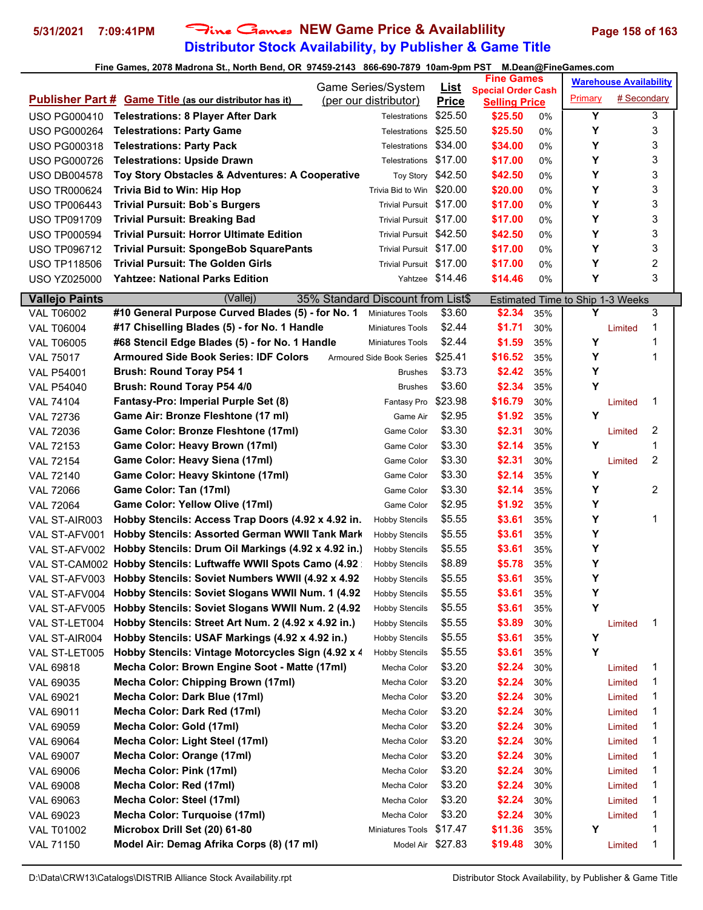# **Distributor Stock Availability, by Publisher & Game Title 5/31/2021 7:09:41PM** Fine Games **NEW Game Price & Availablility Page 158 of 163**

|                       |                                                                |                                             |                             | <b>Fine Games</b>               |       |         | <b>Warehouse Availability</b>    |                |
|-----------------------|----------------------------------------------------------------|---------------------------------------------|-----------------------------|---------------------------------|-------|---------|----------------------------------|----------------|
|                       | <b>Publisher Part # Game Title (as our distributor has it)</b> | Game Series/System<br>(per our distributor) | <u>List</u><br><b>Price</b> | <b>Special Order Cash</b>       |       | Primary | # Secondary                      |                |
| <b>USO PG000410</b>   | <b>Telestrations: 8 Player After Dark</b>                      | Telestrations                               | \$25.50                     | <b>Selling Price</b><br>\$25.50 | $0\%$ | Y       |                                  | 3              |
| <b>USO PG000264</b>   | <b>Telestrations: Party Game</b>                               | Telestrations                               | \$25.50                     | \$25.50                         | 0%    | Υ       |                                  | 3              |
| <b>USO PG000318</b>   | <b>Telestrations: Party Pack</b>                               | Telestrations                               | \$34.00                     | \$34.00                         | 0%    | Υ       |                                  | 3              |
| <b>USO PG000726</b>   | <b>Telestrations: Upside Drawn</b>                             | Telestrations \$17.00                       |                             | \$17.00                         | 0%    | Υ       |                                  | 3              |
| <b>USO DB004578</b>   | Toy Story Obstacles & Adventures: A Cooperative                | Toy Story \$42.50                           |                             | \$42.50                         | 0%    | Y       |                                  | 3              |
| <b>USO TR000624</b>   | <b>Trivia Bid to Win: Hip Hop</b>                              | Trivia Bid to Win \$20.00                   |                             | \$20.00                         | 0%    | Υ       |                                  | 3              |
| <b>USO TP006443</b>   | <b>Trivial Pursuit: Bob's Burgers</b>                          | Trivial Pursuit \$17.00                     |                             | \$17.00                         | 0%    | Y       |                                  | 3              |
| <b>USO TP091709</b>   | <b>Trivial Pursuit: Breaking Bad</b>                           | Trivial Pursuit \$17.00                     |                             | \$17.00                         | 0%    | Υ       |                                  | 3              |
| <b>USO TP000594</b>   | <b>Trivial Pursuit: Horror Ultimate Edition</b>                | Trivial Pursuit \$42.50                     |                             | \$42.50                         | 0%    | Υ       |                                  | 3              |
| <b>USO TP096712</b>   | <b>Trivial Pursuit: SpongeBob SquarePants</b>                  | Trivial Pursuit \$17.00                     |                             | \$17.00                         | 0%    | Y       |                                  | 3              |
| <b>USO TP118506</b>   | <b>Trivial Pursuit: The Golden Girls</b>                       | Trivial Pursuit \$17.00                     |                             | \$17.00                         | $0\%$ | Y       |                                  | 2              |
| <b>USO YZ025000</b>   | <b>Yahtzee: National Parks Edition</b>                         |                                             | Yahtzee \$14.46             | \$14.46                         | 0%    | Υ       |                                  | 3              |
| <b>Vallejo Paints</b> | 35% Standard Discount from List\$<br>(Vallej)                  |                                             |                             |                                 |       |         |                                  |                |
| <b>VAL T06002</b>     | #10 General Purpose Curved Blades (5) - for No. 1              | <b>Miniatures Tools</b>                     | \$3.60                      | \$2.34                          | 35%   | Y       | Estimated Time to Ship 1-3 Weeks | 3              |
| <b>VAL T06004</b>     | #17 Chiselling Blades (5) - for No. 1 Handle                   | <b>Miniatures Tools</b>                     | \$2.44                      | \$1.71                          | 30%   |         | Limited                          | 1              |
| <b>VAL T06005</b>     | #68 Stencil Edge Blades (5) - for No. 1 Handle                 | Miniatures Tools                            | \$2.44                      | \$1.59                          | 35%   | Υ       |                                  | 1              |
| <b>VAL 75017</b>      | <b>Armoured Side Book Series: IDF Colors</b>                   | Armoured Side Book Series                   | \$25.41                     | \$16.52                         | 35%   | Υ       |                                  | 1              |
| <b>VAL P54001</b>     | <b>Brush: Round Toray P54 1</b>                                | <b>Brushes</b>                              | \$3.73                      | \$2.42                          | 35%   | Υ       |                                  |                |
| <b>VAL P54040</b>     | Brush: Round Toray P54 4/0                                     | <b>Brushes</b>                              | \$3.60                      | \$2.34                          | 35%   | Υ       |                                  |                |
| <b>VAL 74104</b>      | Fantasy-Pro: Imperial Purple Set (8)                           | Fantasy Pro                                 | \$23.98                     | \$16.79                         | 30%   |         | Limited                          | 1              |
| <b>VAL 72736</b>      | Game Air: Bronze Fleshtone (17 ml)                             | Game Air                                    | \$2.95                      | \$1.92                          | 35%   | Y       |                                  |                |
| <b>VAL 72036</b>      | Game Color: Bronze Fleshtone (17ml)                            | Game Color                                  | \$3.30                      | \$2.31                          | 30%   |         | Limited                          | 2              |
| <b>VAL 72153</b>      | Game Color: Heavy Brown (17ml)                                 | Game Color                                  | \$3.30                      | \$2.14                          | 35%   | Y       |                                  | 1              |
| <b>VAL 72154</b>      | Game Color: Heavy Siena (17ml)                                 | Game Color                                  | \$3.30                      | \$2.31                          | 30%   |         | Limited                          | 2              |
| <b>VAL 72140</b>      | Game Color: Heavy Skintone (17ml)                              | Game Color                                  | \$3.30                      | \$2.14                          | 35%   | Υ       |                                  |                |
| <b>VAL 72066</b>      | Game Color: Tan (17ml)                                         | Game Color                                  | \$3.30                      | \$2.14                          | 35%   | Υ       |                                  | $\overline{2}$ |
| <b>VAL 72064</b>      | Game Color: Yellow Olive (17ml)                                | Game Color                                  | \$2.95                      | \$1.92                          | 35%   | Υ       |                                  |                |
| VAL ST-AIR003         | Hobby Stencils: Access Trap Doors (4.92 x 4.92 in.             | <b>Hobby Stencils</b>                       | \$5.55                      | \$3.61                          | 35%   | Υ       |                                  | 1              |
| VAL ST-AFV001         | Hobby Stencils: Assorted German WWII Tank Mark                 | <b>Hobby Stencils</b>                       | \$5.55                      | \$3.61                          | 35%   | Υ       |                                  |                |
| VAL ST-AFV002         | Hobby Stencils: Drum Oil Markings (4.92 x 4.92 in.)            | <b>Hobby Stencils</b>                       | \$5.55                      | \$3.61                          | 35%   | Υ       |                                  |                |
| VAL ST-CAM002         | Hobby Stencils: Luftwaffe WWII Spots Camo (4.92                | <b>Hobby Stencils</b>                       | \$8.89                      | \$5.78                          | 35%   | Υ       |                                  |                |
| VAL ST-AFV003         | Hobby Stencils: Soviet Numbers WWII (4.92 x 4.92)              | <b>Hobby Stencils</b>                       | \$5.55                      | \$3.61                          | 35%   | Υ       |                                  |                |
| VAL ST-AFV004         | Hobby Stencils: Soviet Slogans WWII Num. 1 (4.92               | <b>Hobby Stencils</b>                       | \$5.55                      | \$3.61                          | 35%   | Y       |                                  |                |
| VAL ST-AFV005         | Hobby Stencils: Soviet Slogans WWII Num. 2 (4.92)              | <b>Hobby Stencils</b>                       | \$5.55                      | \$3.61                          | 35%   | Y       |                                  |                |
| VAL ST-LET004         | Hobby Stencils: Street Art Num. 2 (4.92 x 4.92 in.)            | <b>Hobby Stencils</b>                       | \$5.55                      | \$3.89                          | 30%   |         | Limited                          | 1              |
| VAL ST-AIR004         | Hobby Stencils: USAF Markings (4.92 x 4.92 in.)                | <b>Hobby Stencils</b>                       | \$5.55                      | \$3.61                          | 35%   | Υ       |                                  |                |
| VAL ST-LET005         | Hobby Stencils: Vintage Motorcycles Sign (4.92 x 4             | <b>Hobby Stencils</b>                       | \$5.55                      | \$3.61                          | 35%   | Y       |                                  |                |
| VAL 69818             | Mecha Color: Brown Engine Soot - Matte (17ml)                  | Mecha Color                                 | \$3.20                      | \$2.24                          | 30%   |         | Limited                          | 1              |
| VAL 69035             | <b>Mecha Color: Chipping Brown (17ml)</b>                      | Mecha Color                                 | \$3.20                      | \$2.24                          | 30%   |         | Limited                          | 1              |
| VAL 69021             | Mecha Color: Dark Blue (17ml)                                  | Mecha Color                                 | \$3.20                      | \$2.24                          | 30%   |         | Limited                          | 1              |
| VAL 69011             | Mecha Color: Dark Red (17ml)                                   | Mecha Color                                 | \$3.20                      | \$2.24                          | 30%   |         | Limited                          | 1              |
| VAL 69059             | Mecha Color: Gold (17ml)                                       | Mecha Color                                 | \$3.20                      | \$2.24                          | 30%   |         | Limited                          | 1              |
| VAL 69064             | Mecha Color: Light Steel (17ml)                                | Mecha Color                                 | \$3.20                      | \$2.24                          | 30%   |         | Limited                          | 1              |
| VAL 69007             | Mecha Color: Orange (17ml)                                     | Mecha Color                                 | \$3.20                      | \$2.24                          | 30%   |         | Limited                          | 1              |
| VAL 69006             | Mecha Color: Pink (17ml)                                       | Mecha Color                                 | \$3.20                      | \$2.24                          | 30%   |         | Limited                          | 1              |
| VAL 69008             | Mecha Color: Red (17ml)                                        | Mecha Color                                 | \$3.20                      | \$2.24                          | 30%   |         | Limited                          | 1              |
| VAL 69063             | Mecha Color: Steel (17ml)                                      | Mecha Color                                 | \$3.20                      | \$2.24                          | 30%   |         | Limited                          | 1              |
| VAL 69023             | Mecha Color: Turquoise (17ml)                                  | Mecha Color                                 | \$3.20                      | \$2.24                          | 30%   |         | Limited                          | 1              |
| <b>VAL T01002</b>     | Microbox Drill Set (20) 61-80                                  | Miniatures Tools                            | \$17.47                     | \$11.36                         | 35%   | Y       |                                  | 1              |
| <b>VAL 71150</b>      | Model Air: Demag Afrika Corps (8) (17 ml)                      |                                             | Model Air \$27.83           | \$19.48                         | 30%   |         | Limited                          | 1              |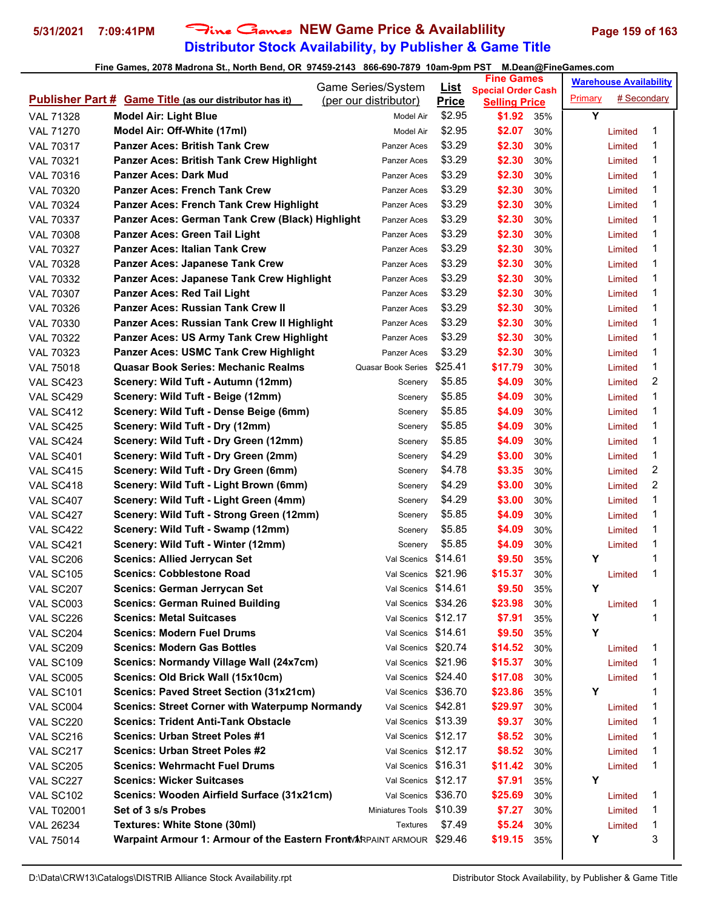# **Distributor Stock Availability, by Publisher & Game Title 5/31/2021 7:09:41PM** Fine Games **NEW Game Price & Availablility Page 159 of 163**

|                   |                                                                       | Game Series/System        | List         | <b>Fine Games</b>                                 |     |         | <b>Warehouse Availability</b> |   |
|-------------------|-----------------------------------------------------------------------|---------------------------|--------------|---------------------------------------------------|-----|---------|-------------------------------|---|
|                   | <b>Publisher Part # Game Title (as our distributor has it)</b>        | (per our distributor)     | <b>Price</b> | <b>Special Order Cash</b><br><b>Selling Price</b> |     | Primary | # Secondary                   |   |
| <b>VAL 71328</b>  | <b>Model Air: Light Blue</b>                                          | Model Air                 | \$2.95       | \$1.92                                            | 35% | Y       |                               |   |
| <b>VAL 71270</b>  | Model Air: Off-White (17ml)                                           | Model Air                 | \$2.95       | \$2.07                                            | 30% |         | Limited                       | 1 |
| <b>VAL 70317</b>  | <b>Panzer Aces: British Tank Crew</b>                                 | Panzer Aces               | \$3.29       | \$2.30                                            | 30% |         | Limited                       | 1 |
| <b>VAL 70321</b>  | <b>Panzer Aces: British Tank Crew Highlight</b>                       | Panzer Aces               | \$3.29       | \$2.30                                            | 30% |         | Limited                       | 1 |
| <b>VAL 70316</b>  | <b>Panzer Aces: Dark Mud</b>                                          | Panzer Aces               | \$3.29       | \$2.30                                            | 30% |         | Limited                       | 1 |
| <b>VAL 70320</b>  | <b>Panzer Aces: French Tank Crew</b>                                  | Panzer Aces               | \$3.29       | \$2.30                                            | 30% |         | Limited                       | 1 |
| <b>VAL 70324</b>  | <b>Panzer Aces: French Tank Crew Highlight</b>                        | Panzer Aces               | \$3.29       | \$2.30                                            | 30% |         | Limited                       | 1 |
| <b>VAL 70337</b>  | Panzer Aces: German Tank Crew (Black) Highlight                       | Panzer Aces               | \$3.29       | \$2.30                                            | 30% |         | Limited                       | 1 |
| <b>VAL 70308</b>  | Panzer Aces: Green Tail Light                                         | Panzer Aces               | \$3.29       | \$2.30                                            | 30% |         | Limited                       | 1 |
| <b>VAL 70327</b>  | <b>Panzer Aces: Italian Tank Crew</b>                                 | Panzer Aces               | \$3.29       | \$2.30                                            | 30% |         | Limited                       | 1 |
| <b>VAL 70328</b>  | <b>Panzer Aces: Japanese Tank Crew</b>                                | Panzer Aces               | \$3.29       | \$2.30                                            | 30% |         | Limited                       | 1 |
| <b>VAL 70332</b>  | Panzer Aces: Japanese Tank Crew Highlight                             | Panzer Aces               | \$3.29       | \$2.30                                            | 30% |         | Limited                       | 1 |
| <b>VAL 70307</b>  | <b>Panzer Aces: Red Tail Light</b>                                    | Panzer Aces               | \$3.29       | \$2.30                                            | 30% |         | Limited                       | 1 |
| <b>VAL 70326</b>  | <b>Panzer Aces: Russian Tank Crew II</b>                              | Panzer Aces               | \$3.29       | \$2.30                                            | 30% |         | Limited                       | 1 |
| <b>VAL 70330</b>  | Panzer Aces: Russian Tank Crew II Highlight                           | Panzer Aces               | \$3.29       | \$2.30                                            | 30% |         | Limited                       | 1 |
| <b>VAL 70322</b>  | Panzer Aces: US Army Tank Crew Highlight                              | Panzer Aces               | \$3.29       | \$2.30                                            | 30% |         | Limited                       | 1 |
| VAL 70323         | <b>Panzer Aces: USMC Tank Crew Highlight</b>                          | Panzer Aces               | \$3.29       | \$2.30                                            | 30% |         | Limited                       | 1 |
| <b>VAL 75018</b>  | <b>Quasar Book Series: Mechanic Realms</b>                            | <b>Quasar Book Series</b> | \$25.41      | \$17.79                                           | 30% |         | Limited                       | 1 |
| VAL SC423         | Scenery: Wild Tuft - Autumn (12mm)                                    | Scenery                   | \$5.85       | \$4.09                                            | 30% |         | Limited                       | 2 |
| VAL SC429         | Scenery: Wild Tuft - Beige (12mm)                                     | Scenery                   | \$5.85       | \$4.09                                            | 30% |         | Limited                       | 1 |
| VAL SC412         | Scenery: Wild Tuft - Dense Beige (6mm)                                | Scenery                   | \$5.85       | \$4.09                                            | 30% |         | Limited                       | 1 |
| VAL SC425         | Scenery: Wild Tuft - Dry (12mm)                                       | Scenery                   | \$5.85       | \$4.09                                            | 30% |         | Limited                       | 1 |
| VAL SC424         | Scenery: Wild Tuft - Dry Green (12mm)                                 | Scenery                   | \$5.85       | \$4.09                                            | 30% |         | Limited                       | 1 |
| VAL SC401         | Scenery: Wild Tuft - Dry Green (2mm)                                  | Scenery                   | \$4.29       | \$3.00                                            | 30% |         | Limited                       | 1 |
| VAL SC415         | Scenery: Wild Tuft - Dry Green (6mm)                                  | Scenery                   | \$4.78       | \$3.35                                            | 30% |         | Limited                       | 2 |
| VAL SC418         | Scenery: Wild Tuft - Light Brown (6mm)                                | Scenery                   | \$4.29       | \$3.00                                            | 30% |         | Limited                       | 2 |
| VAL SC407         | Scenery: Wild Tuft - Light Green (4mm)                                | Scenery                   | \$4.29       | \$3.00                                            | 30% |         | Limited                       | 1 |
| VAL SC427         | Scenery: Wild Tuft - Strong Green (12mm)                              | Scenery                   | \$5.85       | \$4.09                                            | 30% |         | Limited                       | 1 |
| VAL SC422         | Scenery: Wild Tuft - Swamp (12mm)                                     | Scenery                   | \$5.85       | \$4.09                                            | 30% |         | Limited                       | 1 |
| VAL SC421         | Scenery: Wild Tuft - Winter (12mm)                                    | Scenery                   | \$5.85       | \$4.09                                            | 30% |         | Limited                       | 1 |
| VAL SC206         | <b>Scenics: Allied Jerrycan Set</b>                                   | Val Scenics \$14.61       |              | \$9.50                                            | 35% | Υ       |                               | 1 |
| VAL SC105         | <b>Scenics: Cobblestone Road</b>                                      | Val Scenics \$21.96       |              | \$15.37                                           | 30% |         | Limited                       | 1 |
| VAL SC207         | <b>Scenics: German Jerrycan Set</b>                                   | Val Scenics \$14.61       |              | \$9.50                                            | 35% | Y       |                               |   |
| VAL SC003         | <b>Scenics: German Ruined Building</b>                                | Val Scenics \$34.26       |              | \$23.98                                           | 30% |         | Limited                       | 1 |
| VAL SC226         | <b>Scenics: Metal Suitcases</b>                                       | Val Scenics \$12.17       |              | \$7.91                                            | 35% | Υ       |                               | 1 |
| VAL SC204         | <b>Scenics: Modern Fuel Drums</b>                                     | Val Scenics \$14.61       |              | \$9.50                                            | 35% | Y       |                               |   |
| VAL SC209         | <b>Scenics: Modern Gas Bottles</b>                                    | Val Scenics \$20.74       |              | \$14.52                                           | 30% |         | Limited                       | 1 |
| VAL SC109         | Scenics: Normandy Village Wall (24x7cm)                               | Val Scenics \$21.96       |              | \$15.37                                           | 30% |         | Limited                       | 1 |
| VAL SC005         | Scenics: Old Brick Wall (15x10cm)                                     | Val Scenics \$24.40       |              | \$17.08                                           | 30% |         | Limited                       | 1 |
| VAL SC101         | Scenics: Paved Street Section (31x21cm)                               | Val Scenics \$36.70       |              | \$23.86                                           | 35% | Y       |                               | 1 |
| VAL SC004         | <b>Scenics: Street Corner with Waterpump Normandy</b>                 | Val Scenics \$42.81       |              | \$29.97                                           | 30% |         | Limited                       | 1 |
| VAL SC220         | <b>Scenics: Trident Anti-Tank Obstacle</b>                            | Val Scenics \$13.39       |              | \$9.37                                            | 30% |         | Limited                       | 1 |
| VAL SC216         | <b>Scenics: Urban Street Poles #1</b>                                 | Val Scenics \$12.17       |              | \$8.52                                            | 30% |         | Limited                       | 1 |
| VAL SC217         | <b>Scenics: Urban Street Poles #2</b>                                 | Val Scenics \$12.17       |              | \$8.52                                            | 30% |         | Limited                       | 1 |
| VAL SC205         | <b>Scenics: Wehrmacht Fuel Drums</b>                                  | Val Scenics \$16.31       |              | \$11.42                                           | 30% |         | Limited                       | 1 |
| VAL SC227         | <b>Scenics: Wicker Suitcases</b>                                      | Val Scenics \$12.17       |              | \$7.91                                            | 35% | Υ       |                               |   |
| VAL SC102         | Scenics: Wooden Airfield Surface (31x21cm)                            | Val Scenics               | \$36.70      | \$25.69                                           | 30% |         | Limited                       | 1 |
| <b>VAL T02001</b> | Set of 3 s/s Probes                                                   | <b>Miniatures Tools</b>   | \$10.39      | \$7.27                                            | 30% |         | Limited                       | 1 |
| VAL 26234         | Textures: White Stone (30ml)                                          | <b>Textures</b>           | \$7.49       | \$5.24                                            | 30% |         | Limited                       | 1 |
| <b>VAL 75014</b>  | Warpaint Armour 1: Armour of the Eastern Front ARPAINT ARMOUR \$29.46 |                           |              | \$19.15                                           | 35% | Υ       |                               | 3 |
|                   |                                                                       |                           |              |                                                   |     |         |                               |   |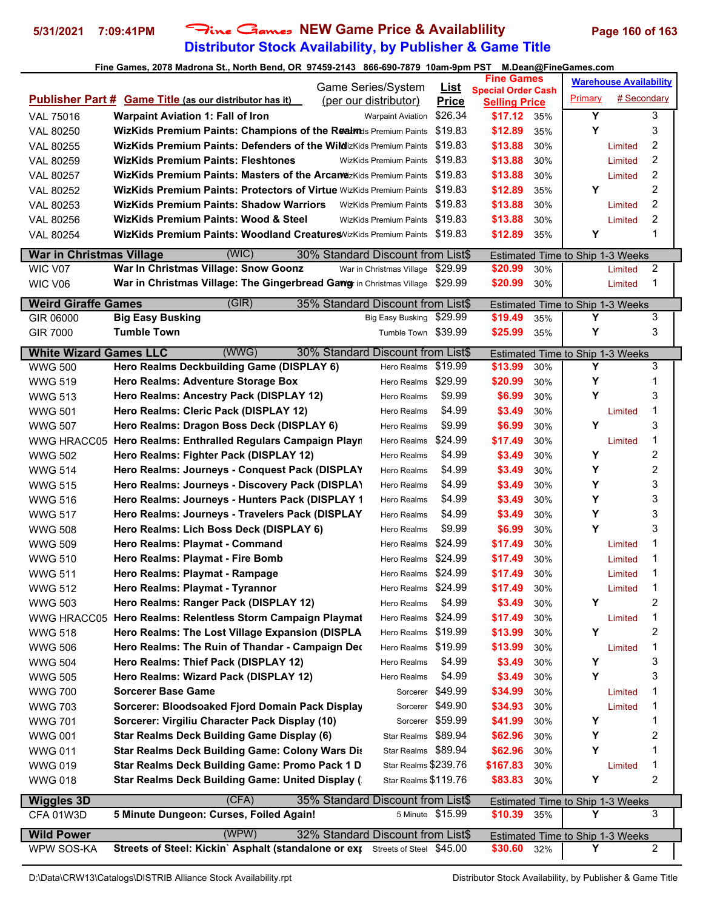## **Distributor Stock Availability, by Publisher & Game Title 5/31/2021 7:09:41PM** Fine Games **NEW Game Price & Availablility Page 160 of 163**

|                                 | Game Series/System                                                            |                                   | <u>List</u>  | <b>Fine Games</b>                                 |     | <b>Warehouse Availability</b>                |             |                |
|---------------------------------|-------------------------------------------------------------------------------|-----------------------------------|--------------|---------------------------------------------------|-----|----------------------------------------------|-------------|----------------|
|                                 | <b>Publisher Part # Game Title (as our distributor has it)</b>                | (per our distributor)             | <b>Price</b> | <b>Special Order Cash</b><br><b>Selling Price</b> |     | Primary                                      | # Secondary |                |
| <b>VAL 75016</b>                | <b>Warpaint Aviation 1: Fall of Iron</b>                                      | <b>Warpaint Aviation</b>          | \$26.34      | \$17.12                                           | 35% | Y                                            |             | 3              |
| VAL 80250                       | WizKids Premium Paints: Champions of the Realmets Premium Paints              |                                   | \$19.83      | \$12.89                                           | 35% | Y                                            |             | 3              |
| VAL 80255                       | WizKids Premium Paints: Defenders of the WildizKids Premium Paints            |                                   | \$19.83      | \$13.88                                           | 30% |                                              | Limited     | 2              |
| VAL 80259                       | <b>WizKids Premium Paints: Fleshtones</b>                                     | <b>WizKids Premium Paints</b>     | \$19.83      | \$13.88                                           | 30% |                                              | Limited     | 2              |
| VAL 80257                       | <b>WizKids Premium Paints: Masters of the Arcanozixids Premium Paints</b>     |                                   | \$19.83      | \$13.88                                           | 30% |                                              | Limited     | 2              |
| VAL 80252                       | <b>WizKids Premium Paints: Protectors of Virtue</b> WizKids Premium Paints    |                                   | \$19.83      | \$12.89                                           | 35% | Υ                                            |             | 2              |
| VAL 80253                       | WizKids Premium Paints: Shadow Warriors                                       | <b>WizKids Premium Paints</b>     | \$19.83      | \$13.88                                           | 30% |                                              | Limited     | 2              |
| VAL 80256                       | <b>WizKids Premium Paints: Wood &amp; Steel</b>                               | WizKids Premium Paints \$19.83    |              | \$13.88                                           | 30% |                                              | Limited     | 2              |
| VAL 80254                       | WizKids Premium Paints: Woodland Creatures WizKids Premium Paints \$19.83     |                                   |              | \$12.89                                           | 35% | Y                                            |             | 1              |
|                                 |                                                                               |                                   |              |                                                   |     |                                              |             |                |
| <b>War in Christmas Village</b> | (WIC)                                                                         | 30% Standard Discount from List\$ |              |                                                   |     | Estimated Time to Ship 1-3 Weeks             |             | 2              |
| WIC V07                         | War In Christmas Village: Snow Goonz                                          | War in Christmas Village          | \$29.99      | \$20.99<br>\$20.99                                | 30% |                                              | Limited     | 1              |
| WIC V06                         | War in Christmas Village: The Gingerbread Gawg in Christmas Village \$29.99   |                                   |              |                                                   | 30% |                                              | Limited     |                |
| <b>Weird Giraffe Games</b>      | (GIR)                                                                         | 35% Standard Discount from List\$ |              |                                                   |     | Estimated Time to Ship 1-3 Weeks             |             |                |
| GIR 06000                       | <b>Big Easy Busking</b>                                                       | Big Easy Busking \$29.99          |              | \$19.49                                           | 35% | Y                                            |             | 3              |
| <b>GIR 7000</b>                 | <b>Tumble Town</b>                                                            | Tumble Town \$39.99               |              | \$25.99                                           | 35% | Υ                                            |             | 3              |
| <b>White Wizard Games LLC</b>   | (WWG)                                                                         | 30% Standard Discount from List\$ |              |                                                   |     | Estimated Time to Ship 1-3 Weeks             |             |                |
| <b>WWG 500</b>                  | Hero Realms Deckbuilding Game (DISPLAY 6)                                     | Hero Realms                       | \$19.99      | \$13.99                                           | 30% | Υ                                            |             | 3              |
| <b>WWG 519</b>                  | Hero Realms: Adventure Storage Box                                            | Hero Realms                       | \$29.99      | \$20.99                                           | 30% | Υ                                            |             | 1              |
| <b>WWG 513</b>                  | Hero Realms: Ancestry Pack (DISPLAY 12)                                       | Hero Realms                       | \$9.99       | \$6.99                                            | 30% | Υ                                            |             | 3              |
| <b>WWG 501</b>                  | Hero Realms: Cleric Pack (DISPLAY 12)                                         | Hero Realms                       | \$4.99       | \$3.49                                            | 30% |                                              | Limited     | 1              |
| <b>WWG 507</b>                  | Hero Realms: Dragon Boss Deck (DISPLAY 6)                                     | Hero Realms                       | \$9.99       | \$6.99                                            | 30% | Y                                            |             | 3              |
|                                 | WWG HRACC05 Hero Realms: Enthralled Regulars Campaign Playr                   | Hero Realms                       | \$24.99      | \$17.49                                           | 30% |                                              | Limited     | 1              |
| <b>WWG 502</b>                  | Hero Realms: Fighter Pack (DISPLAY 12)                                        | Hero Realms                       | \$4.99       | \$3.49                                            | 30% | Υ                                            |             | $\overline{2}$ |
| <b>WWG 514</b>                  | Hero Realms: Journeys - Conquest Pack (DISPLAY                                | Hero Realms                       | \$4.99       | \$3.49                                            | 30% | Υ                                            |             | 2              |
| <b>WWG 515</b>                  | Hero Realms: Journeys - Discovery Pack (DISPLA)                               | Hero Realms                       | \$4.99       | \$3.49                                            | 30% | Υ                                            |             | 3              |
| <b>WWG 516</b>                  | Hero Realms: Journeys - Hunters Pack (DISPLAY 1                               | Hero Realms                       | \$4.99       | \$3.49                                            | 30% | Υ                                            |             | 3              |
| <b>WWG 517</b>                  | Hero Realms: Journeys - Travelers Pack (DISPLAY                               | Hero Realms                       | \$4.99       | \$3.49                                            | 30% | Υ                                            |             | 3              |
| <b>WWG 508</b>                  | Hero Realms: Lich Boss Deck (DISPLAY 6)                                       | Hero Realms                       | \$9.99       | \$6.99                                            | 30% | Υ                                            |             | 3              |
| <b>WWG 509</b>                  | Hero Realms: Playmat - Command                                                | Hero Realms                       | \$24.99      | \$17.49                                           | 30% |                                              | Limited     | 1              |
| <b>WWG 510</b>                  | Hero Realms: Playmat - Fire Bomb                                              | Hero Realms                       | \$24.99      | \$17.49                                           | 30% |                                              | Limited     | 1              |
| <b>WWG 511</b>                  | Hero Realms: Playmat - Rampage                                                | Hero Realms \$24.99               |              | \$17.49                                           | 30% |                                              | Limited     | 1              |
| <b>WWG 512</b>                  | Hero Realms: Playmat - Tyrannor                                               | Hero Realms \$24.99               |              | \$17.49                                           | 30% |                                              | Limited     | 1              |
| <b>WWG 503</b>                  | Hero Realms: Ranger Pack (DISPLAY 12)                                         | Hero Realms                       | \$4.99       | \$3.49                                            | 30% | Υ                                            |             | 2              |
|                                 | WWG HRACC05 Hero Realms: Relentless Storm Campaign Playmat                    | Hero Realms                       | \$24.99      | \$17.49                                           | 30% |                                              | Limited     | 1              |
| <b>WWG 518</b>                  | Hero Realms: The Lost Village Expansion (DISPLA                               | Hero Realms \$19.99               |              | \$13.99                                           | 30% | Υ                                            |             | 2              |
| <b>WWG 506</b>                  | Hero Realms: The Ruin of Thandar - Campaign Dec                               | Hero Realms                       | \$19.99      | \$13.99                                           | 30% |                                              | Limited     | 1              |
| <b>WWG 504</b>                  | Hero Realms: Thief Pack (DISPLAY 12)                                          | Hero Realms                       | \$4.99       | \$3.49                                            | 30% | Y                                            |             | 3              |
| <b>WWG 505</b>                  | Hero Realms: Wizard Pack (DISPLAY 12)                                         | Hero Realms                       | \$4.99       | \$3.49                                            | 30% | Υ                                            |             | 3              |
| <b>WWG 700</b>                  | <b>Sorcerer Base Game</b>                                                     | Sorcerer                          | \$49.99      | \$34.99                                           | 30% |                                              | Limited     | 1              |
| <b>WWG 703</b>                  | Sorcerer: Bloodsoaked Fjord Domain Pack Display                               | Sorcerer \$49.90                  |              | \$34.93                                           | 30% |                                              | Limited     | 1              |
| <b>WWG 701</b>                  | Sorcerer: Virgiliu Character Pack Display (10)                                | Sorcerer \$59.99                  |              | \$41.99                                           | 30% | Υ                                            |             | 1              |
| <b>WWG 001</b>                  | <b>Star Realms Deck Building Game Display (6)</b>                             | Star Realms \$89.94               |              | \$62.96                                           | 30% | Y                                            |             | 2              |
| <b>WWG 011</b>                  | Star Realms Deck Building Game: Colony Wars Dis                               | Star Realms \$89.94               |              | \$62.96                                           | 30% | Y                                            |             | 1              |
| <b>WWG 019</b>                  | Star Realms Deck Building Game: Promo Pack 1 D                                | Star Realms \$239.76              |              | \$167.83                                          | 30% |                                              | Limited     | 1              |
| <b>WWG 018</b>                  | Star Realms Deck Building Game: United Display (                              | Star Realms \$119.76              |              | \$83.83                                           | 30% | Υ                                            |             | 2              |
| <b>Wiggles 3D</b>               | (CFA)                                                                         | 35% Standard Discount from List\$ |              |                                                   |     | Estimated Time to Ship 1-3 Weeks             |             |                |
| CFA 01W3D                       | 5 Minute Dungeon: Curses, Foiled Again!                                       | 5 Minute \$15.99                  |              | \$10.39 35%                                       |     | Y                                            |             | 3              |
|                                 | (WPW)                                                                         |                                   |              |                                                   |     |                                              |             |                |
| <b>Wild Power</b><br>WPW SOS-KA | Streets of Steel: Kickin` Asphalt (standalone or exp Streets of Steel \$45.00 | 32% Standard Discount from List\$ |              | \$30.60                                           | 32% | <b>Estimated Time to Ship 1-3 Weeks</b><br>Y |             | 2              |
|                                 |                                                                               |                                   |              |                                                   |     |                                              |             |                |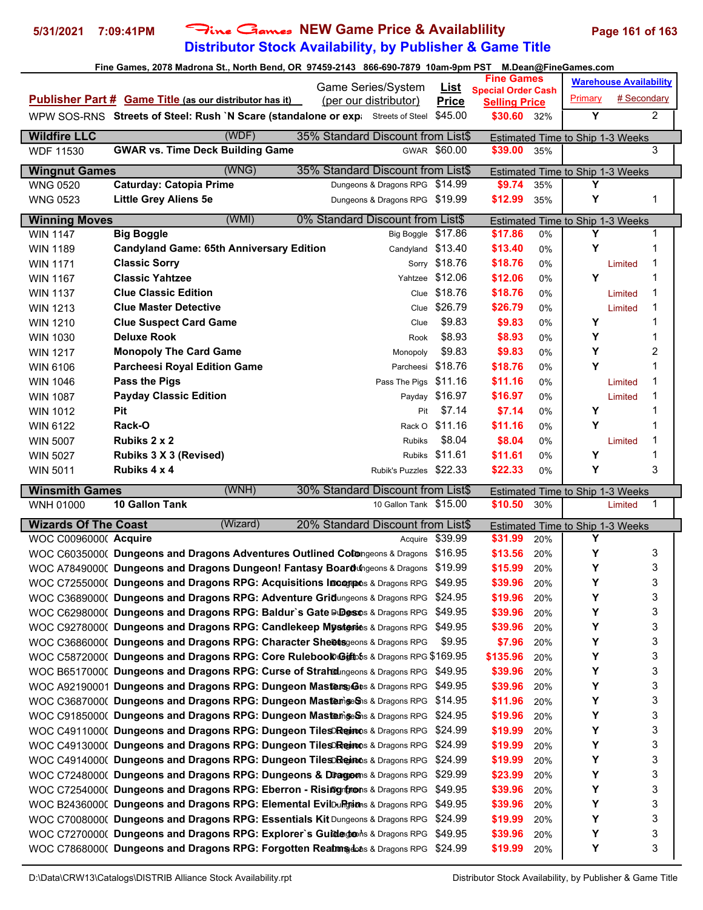# **Distributor Stock Availability, by Publisher & Game Title 5/31/2021 7:09:41PM** Fine Games **NEW Game Price & Availablility Page 161 of 163**

| Fine Games, 2078 Madrona St., North Bend, OR 97459-2143 866-690-7879 10am-9pm PST M.Dean@FineGames.com |                                                                                        |                    |                      |     |         |                                  |                               |  |  |  |
|--------------------------------------------------------------------------------------------------------|----------------------------------------------------------------------------------------|--------------------|----------------------|-----|---------|----------------------------------|-------------------------------|--|--|--|
| <b>Fine Games</b><br>Game Series/System<br><u>List</u><br><b>Special Order Cash</b>                    |                                                                                        |                    |                      |     |         |                                  | <b>Warehouse Availability</b> |  |  |  |
|                                                                                                        | Publisher Part # Game Title (as our distributor has it)<br>(per our distributor)       | <b>Price</b>       | <b>Selling Price</b> |     | Primary | # Secondary                      |                               |  |  |  |
|                                                                                                        | WPW SOS-RNS Streets of Steel: Rush `N Scare (standalone or expictated Streets of Steel | \$45.00            | \$30.60 32%          |     | Y       |                                  | $\overline{2}$                |  |  |  |
|                                                                                                        |                                                                                        |                    |                      |     |         |                                  |                               |  |  |  |
| <b>Wildfire LLC</b>                                                                                    | (WDF)<br>35% Standard Discount from List\$                                             |                    |                      |     |         | Estimated Time to Ship 1-3 Weeks |                               |  |  |  |
| <b>WDF 11530</b>                                                                                       | <b>GWAR vs. Time Deck Building Game</b>                                                | GWAR \$60.00       | \$39.00              | 35% |         |                                  | 3                             |  |  |  |
| <b>Wingnut Games</b>                                                                                   | (WNG)<br>35% Standard Discount from List\$                                             |                    |                      |     |         | Estimated Time to Ship 1-3 Weeks |                               |  |  |  |
| <b>WNG 0520</b>                                                                                        | <b>Caturday: Catopia Prime</b><br>Dungeons & Dragons RPG \$14.99                       |                    | \$9.74               | 35% | Υ       |                                  |                               |  |  |  |
| <b>WNG 0523</b>                                                                                        | <b>Little Grey Aliens 5e</b><br>Dungeons & Dragons RPG \$19.99                         |                    | \$12.99              | 35% | Y       |                                  | 1                             |  |  |  |
| <b>Winning Moves</b>                                                                                   | (WMI)<br>0% Standard Discount from List\$                                              |                    |                      |     |         | Estimated Time to Ship 1-3 Weeks |                               |  |  |  |
| WIN 1147                                                                                               | <b>Big Boggle</b>                                                                      | Big Boggle \$17.86 | \$17.86              | 0%  | Y       |                                  | 1                             |  |  |  |
| <b>WIN 1189</b>                                                                                        | <b>Candyland Game: 65th Anniversary Edition</b>                                        | Candyland \$13.40  | \$13.40              | 0%  | Y       |                                  | 1                             |  |  |  |
| <b>WIN 1171</b>                                                                                        | <b>Classic Sorry</b>                                                                   | Sorry \$18.76      | \$18.76              | 0%  |         | Limited                          | 1                             |  |  |  |
| <b>WIN 1167</b>                                                                                        | <b>Classic Yahtzee</b>                                                                 | Yahtzee \$12.06    | \$12.06              | 0%  | Y       |                                  | 1                             |  |  |  |
| <b>WIN 1137</b>                                                                                        | <b>Clue Classic Edition</b>                                                            | Clue \$18.76       | \$18.76              | 0%  |         | Limited                          | 1                             |  |  |  |
| <b>WIN 1213</b>                                                                                        | <b>Clue Master Detective</b>                                                           | Clue \$26.79       | \$26.79              | 0%  |         | Limited                          | 1                             |  |  |  |
| <b>WIN 1210</b>                                                                                        | <b>Clue Suspect Card Game</b><br>Clue                                                  | \$9.83             | \$9.83               | 0%  | Y       |                                  | 1                             |  |  |  |
| <b>WIN 1030</b>                                                                                        | <b>Deluxe Rook</b><br>Rook                                                             | \$8.93             | \$8.93               | 0%  | Υ       |                                  | 1                             |  |  |  |
| <b>WIN 1217</b>                                                                                        | <b>Monopoly The Card Game</b><br>Monopoly                                              | \$9.83             | \$9.83               | 0%  | Υ       |                                  | 2                             |  |  |  |
| <b>WIN 6106</b>                                                                                        | <b>Parcheesi Royal Edition Game</b><br>Parcheesi                                       | \$18.76            | \$18.76              | 0%  | Υ       |                                  | 1                             |  |  |  |
| <b>WIN 1046</b>                                                                                        | Pass the Pigs<br>Pass The Pigs \$11.16                                                 |                    | \$11.16              | 0%  |         | Limited                          | 1                             |  |  |  |
| <b>WIN 1087</b>                                                                                        | <b>Payday Classic Edition</b>                                                          | Payday \$16.97     | \$16.97              | 0%  |         | Limited                          | 1                             |  |  |  |
| <b>WIN 1012</b>                                                                                        | Pit<br>Pit                                                                             | \$7.14             | \$7.14               | 0%  | Y       |                                  | 1                             |  |  |  |
| <b>WIN 6122</b>                                                                                        | Rack-O                                                                                 | Rack O \$11.16     | \$11.16              | 0%  | Y       |                                  | 1                             |  |  |  |
| <b>WIN 5007</b>                                                                                        | Rubiks 2 x 2<br><b>Rubiks</b>                                                          | \$8.04             | \$8.04               | 0%  |         | Limited                          | 1                             |  |  |  |
| <b>WIN 5027</b>                                                                                        | Rubiks 3 X 3 (Revised)                                                                 | Rubiks \$11.61     | \$11.61              | 0%  | Y       |                                  | 1                             |  |  |  |
| <b>WIN 5011</b>                                                                                        | Rubiks 4 x 4<br>Rubik's Puzzles \$22.33                                                |                    | \$22.33              | 0%  | Υ       |                                  | 3                             |  |  |  |
| <b>Winsmith Games</b>                                                                                  | (WNH)<br>30% Standard Discount from List\$                                             |                    |                      |     |         | Estimated Time to Ship 1-3 Weeks |                               |  |  |  |
| WNH 01000                                                                                              | 10 Gallon Tank<br>10 Gallon Tank \$15.00                                               |                    | \$10.50              | 30% |         | Limited                          | 1                             |  |  |  |
| <b>Wizards Of The Coast</b>                                                                            | (Wizard)<br>20% Standard Discount from List\$                                          |                    |                      |     |         | Estimated Time to Ship 1-3 Weeks |                               |  |  |  |
| WOC C0096000( Acquire                                                                                  |                                                                                        | Acquire \$39.99    | \$31.99              | 20% | Y       |                                  |                               |  |  |  |
|                                                                                                        | WOC C6035000( Dungeons and Dragons Adventures Outlined Colongeons & Dragons \$16.95    |                    | \$13.56              | 20% | Υ       |                                  | 3                             |  |  |  |
|                                                                                                        | WOC A78490000 Dungeons and Dragons Dungeon! Fantasy Boardungeons & Dragons \$19.99     |                    | \$15.99              | 20% | Y       |                                  | 3                             |  |  |  |
|                                                                                                        | WOC C7255000( Dungeons and Dragons RPG: Acquisitions Incoreso & Dragons RPG \$49.95    |                    | \$39.96              | 20% | Y       |                                  | 3                             |  |  |  |
|                                                                                                        | WOC C3689000( Dungeons and Dragons RPG: Adventure Gridungeons & Dragons RPG \$24.95    |                    | \$19.96              | 20% | Υ       |                                  | 3                             |  |  |  |
|                                                                                                        | WOC C6298000( Dungeons and Dragons RPG: Baldur's Gate Dudes this Dragons RPG \$49.95   |                    | \$39.96              | 20% | Υ       |                                  | 3                             |  |  |  |
|                                                                                                        | WOC C9278000( Dungeons and Dragons RPG: Candlekeep Mysteries & Dragons RPG \$49.95     |                    | \$39.96              | 20% | Υ       |                                  | 3                             |  |  |  |
|                                                                                                        | WOC C3686000( Dungeons and Dragons RPG: Character Sheetsgeons & Dragons RPG            | \$9.95             | \$7.96               | 20% | Υ       |                                  | 3                             |  |  |  |
|                                                                                                        | WOC C5872000( Dungeons and Dragons RPG: Core Rulebool Ciffoths & Dragons RPG \$169.95  |                    | \$135.96             | 20% | Υ       |                                  | 3                             |  |  |  |
|                                                                                                        | WOC B65170000 Dungeons and Dragons RPG: Curse of Strahdungeons & Dragons RPG \$49.95   |                    | \$39.96              | 20% | Υ       |                                  | 3                             |  |  |  |
|                                                                                                        | WOC A92190001 Dungeons and Dragons RPG: Dungeon Mastens & Dragons RPG \$49.95          |                    | \$39.96              | 20% | Υ       |                                  | 3                             |  |  |  |
|                                                                                                        | WOC C3687000( Dungeons and Dragons RPG: Dungeon Masternige Sns & Dragons RPG \$14.95   |                    | \$11.96              | 20% | Υ       |                                  | 3                             |  |  |  |
|                                                                                                        | WOC C9185000( Dungeons and Dragons RPG: Dungeon MastemigeShis & Dragons RPG \$24.95    |                    | \$19.96              | 20% | Υ       |                                  | 3                             |  |  |  |
|                                                                                                        | WOC C4911000( Dungeons and Dragons RPG: Dungeon Tiles Reinots & Dragons RPG \$24.99    |                    | \$19.99              | 20% | Υ       |                                  | 3                             |  |  |  |
|                                                                                                        | WOC C4913000( Dungeons and Dragons RPG: Dungeon Tiles Reinons & Dragons RPG \$24.99    |                    | \$19.99              | 20% | Υ       |                                  | 3                             |  |  |  |
|                                                                                                        | WOC C4914000( Dungeons and Dragons RPG: Dungeon Tileso Rejans & Dragons RPG \$24.99    |                    | \$19.99              | 20% | Y       |                                  | 3                             |  |  |  |
|                                                                                                        | WOC C7248000( Dungeons and Dragons RPG: Dungeons & Dragoms & Dragons RPG               | \$29.99            | \$23.99              | 20% | Υ       |                                  | 3                             |  |  |  |
|                                                                                                        | WOC C7254000( Dungeons and Dragons RPG: Eberron - Rising from s & Dragons RPG \$49.95  |                    | \$39.96              | 20% | Υ       |                                  | 3                             |  |  |  |
|                                                                                                        | WOC B24360000 Dungeons and Dragons RPG: Elemental EvilDuRgtions & Dragons RPG \$49.95  |                    | \$39.96              | 20% | Υ       |                                  | 3                             |  |  |  |
|                                                                                                        | WOC C7008000( Dungeons and Dragons RPG: Essentials Kit Dungeons & Dragons RPG \$24.99  |                    | \$19.99              | 20% | Υ       |                                  | 3                             |  |  |  |
|                                                                                                        | WOC C7270000( Dungeons and Dragons RPG: Explorer's Guidedons & Dragons RPG             | \$49.95            | \$39.96              | 20% | Υ       |                                  | 3                             |  |  |  |
|                                                                                                        | WOC C7868000( Dungeons and Dragons RPG: Forgotten Reatmsdats & Dragons RPG \$24.99     |                    | \$19.99              | 20% | Υ       |                                  | 3                             |  |  |  |
|                                                                                                        |                                                                                        |                    |                      |     |         |                                  |                               |  |  |  |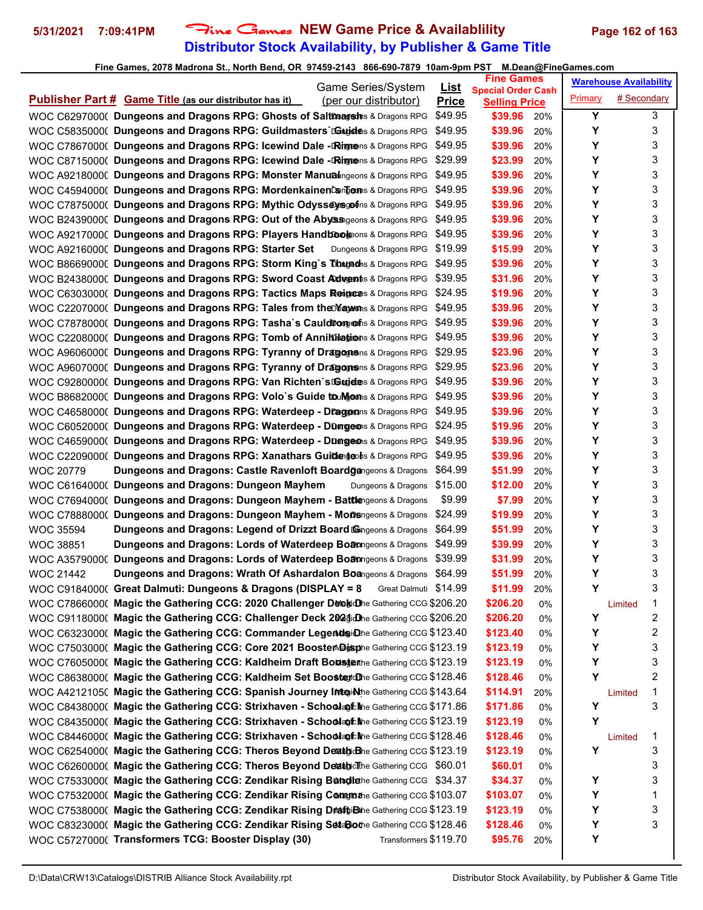# **Distributor Stock Availability, by Publisher & Game Title 5/31/2021 7:09:41PM** Fine Games **NEW Game Price & Availablility Page 162 of 163**

| Game Series/System                                                                                                                                                           | <u>List</u>  | <b>Fine Games</b>                                 |          |         | <b>Warehouse Availability</b> |        |
|------------------------------------------------------------------------------------------------------------------------------------------------------------------------------|--------------|---------------------------------------------------|----------|---------|-------------------------------|--------|
| <b>Publisher Part # Game Title (as our distributor has it)</b><br>(per our distributor)                                                                                      | <b>Price</b> | <b>Special Order Cash</b><br><b>Selling Price</b> |          | Primary | # Secondary                   |        |
| WOC C6297000( Dungeons and Dragons RPG: Ghosts of Saltmagsh & Dragons RPG                                                                                                    | \$49.95      | \$39.96                                           | 20%      | Υ       |                               | 3      |
| WOC C5835000( Dungeons and Dragons RPG: Guildmasters`LGuidens & Dragons RPG                                                                                                  | \$49.95      | \$39.96                                           | 20%      | Υ       |                               | 3      |
| WOC C7867000( Dungeons and Dragons RPG: Icewind Dale -DRingeons & Dragons RPG                                                                                                | \$49.95      | \$39.96                                           | 20%      | Υ       |                               | 3      |
| WOC C8715000( Dungeons and Dragons RPG: Icewind Dale -DRignens & Dragons RPG                                                                                                 | \$29.99      | \$23.99                                           | 20%      | Υ       |                               | 3      |
| WOC A9218000( Dungeons and Dragons RPG: Monster Manualingeons & Dragons RPG                                                                                                  | \$49.95      | \$39.96                                           | 20%      | Υ       |                               | 3      |
| WOC C4594000( Dungeons and Dragons RPG: MordenkainenCompens & Dragons RPG                                                                                                    | \$49.95      | \$39.96                                           | 20%      | Υ       |                               | 3      |
| WOC C7875000( Dungeons and Dragons RPG: Mythic Odysseysgofins & Dragons RPG                                                                                                  | \$49.95      | \$39.96                                           | 20%      | Υ       |                               | 3      |
| WOC B24390000 Dungeons and Dragons RPG: Out of the Abyssageons & Dragons RPG                                                                                                 | \$49.95      | \$39.96                                           | 20%      | Υ       |                               | 3      |
| WOC A92170000 Dungeons and Dragons RPG: Players Handbookeons & Dragons RPG                                                                                                   | \$49.95      | \$39.96                                           | 20%      | Υ       |                               | 3      |
| WOC A9216000( Dungeons and Dragons RPG: Starter Set<br>Dungeons & Dragons RPG                                                                                                | \$19.99      | \$15.99                                           | 20%      | Υ       |                               | 3      |
| WOC B86690000 Dungeons and Dragons RPG: Storm King's Dhugadhs & Dragons RPG                                                                                                  | \$49.95      | \$39.96                                           | 20%      | Υ       |                               | 3      |
| WOC B24380000 Dungeons and Dragons RPG: Sword Coast Adwents & Dragons RPG                                                                                                    | \$39.95      | \$31.96                                           | 20%      | Υ       |                               | 3      |
| WOC C6303000( Dungeons and Dragons RPG: Tactics Maps Reigens & Dragons RPG                                                                                                   | \$24.95      | \$19.96                                           | 20%      | Υ       |                               | 3      |
| WOC C2207000( Dungeons and Dragons RPG: Tales from the May wins & Dragons RPG                                                                                                | \$49.95      | \$39.96                                           | 20%      | Υ       |                               | 3      |
| WOC C7878000( Dungeons and Dragons RPG: Tasha's Cauld Dong of a & Dragons RPG                                                                                                | \$49.95      | \$39.96                                           | 20%      | Υ       |                               | 3      |
| WOC C2208000( Dungeons and Dragons RPG: Tomb of Annihilations & Dragons RPG                                                                                                  | \$49.95      | \$39.96                                           | 20%      | Υ       |                               | 3      |
| WOC A96060000 Dungeons and Dragons RPG: Tyranny of Dragogens & Dragons RPG                                                                                                   | \$29.95      | \$23.96                                           | 20%      | Υ       |                               | 3      |
| WOC A9607000( Dungeons and Dragons RPG: Tyranny of Dragogesns & Dragons RPG                                                                                                  | \$29.95      | \$23.96                                           | 20%      | Υ       |                               | 3      |
| WOC C9280000( Dungeons and Dragons RPG: Van Richten's LGujetens & Dragons RPG                                                                                                | \$49.95      | \$39.96                                           | 20%      | Υ       |                               | 3      |
| WOC B86820000 Dungeons and Dragons RPG: Volo's Guide to Mgoms & Dragons RPG                                                                                                  | \$49.95      | \$39.96                                           | 20%      | Υ       |                               | 3      |
| WOC C4658000( Dungeons and Dragons RPG: Waterdeep - Draggens & Dragons RPG                                                                                                   | \$49.95      | \$39.96                                           | 20%      | Υ       |                               | 3      |
| WOC C6052000( Dungeons and Dragons RPG: Waterdeep - Dungeons & Dragons RPG                                                                                                   | \$24.95      | \$19.96                                           | 20%      | Υ       |                               | 3      |
| WOC C4659000( Dungeons and Dragons RPG: Waterdeep - Dungeons & Dragons RPG                                                                                                   | \$49.95      | \$39.96                                           | 20%      | Υ       |                               | 3      |
| WOC C2209000( Dungeons and Dragons RPG: Xanathars Guided goohs & Dragons RPG                                                                                                 | \$49.95      | \$39.96                                           | 20%      | Υ       |                               | 3      |
| <b>Dungeons and Dragons: Castle Ravenloft Boardgangeons &amp; Dragons</b><br><b>WOC 20779</b>                                                                                | \$64.99      | \$51.99                                           | 20%      | Υ       |                               | 3      |
| WOC C6164000(Dungeons and Dragons: Dungeon Mayhem<br>Dungeons & Dragons                                                                                                      | \$15.00      | \$12.00                                           | 20%      | Υ       |                               | 3      |
| WOC C7694000( Dungeons and Dragons: Dungeon Mayhem - Battlengeons & Dragons                                                                                                  | \$9.99       | \$7.99                                            | 20%      | Υ       |                               | 3      |
| WOC C7888000( Dungeons and Dragons: Dungeon Mayhem - Monsngeons & Dragons                                                                                                    | \$24.99      | \$19.99                                           | 20%      | Υ       |                               | 3      |
| <b>Dungeons and Dragons: Legend of Drizzt Board Gangeons &amp; Dragons</b><br><b>WOC 35594</b>                                                                               | \$64.99      | \$51.99                                           | 20%      | Υ       |                               | 3      |
| Dungeons and Dragons: Lords of Waterdeep Boamgeons & Dragons<br><b>WOC 38851</b>                                                                                             | \$49.99      | \$39.99                                           | 20%      | Υ       |                               | 3      |
| WOC A35790000 Dungeons and Dragons: Lords of Waterdeep Boamgeons & Dragons                                                                                                   | \$39.99      | \$31.99                                           | 20%      | Υ       |                               | 3      |
| <b>Dungeons and Dragons: Wrath Of Ashardalon Boangeons &amp; Dragons</b><br><b>WOC 21442</b>                                                                                 | \$64.99      | \$51.99                                           | 20%      | Υ       |                               | 3      |
| WOC C9184000( Great Dalmuti: Dungeons & Dragons (DISPLAY = 8 Great Dalmuti \$14.99                                                                                           |              | \$11.99                                           | 20%      | Υ       |                               | 3      |
| WOC C7866000( Magic the Gathering CCG: 2020 Challenger Deelydhe Gathering CCG \$206.20                                                                                       |              | \$206.20                                          | 0%       |         | Limited                       | 1      |
| WOC C9118000( Magic the Gathering CCG: Challenger Deck 2024dDhe Gathering CCG \$206.20                                                                                       |              | \$206.20                                          | 0%       | Υ<br>Υ  |                               | 2<br>2 |
| WOC C6323000( Magic the Gathering CCG: Commander LegendsiDhe Gathering CCG \$123.40<br>WOC C7503000(Magic the Gathering CCG: Core 2021 Booster Disphe Gathering CCG \$123.19 |              | \$123.40                                          | 0%       | Υ       |                               | 3      |
| WOC C7605000( Magic the Gathering CCG: Kaldheim Draft Bousterthe Gathering CCG \$123.19                                                                                      |              | \$123.19<br>\$123.19                              | 0%       | Υ       |                               | 3      |
| WOC C8638000( Magic the Gathering CCG: Kaldheim Set Boostard Dhe Gathering CCG \$128.46                                                                                      |              | \$128.46                                          | 0%<br>0% | Υ       |                               | 2      |
| WOC A4212105( Magic the Gathering CCG: Spanish Journey Intoidhe Gathering CCG \$143.64                                                                                       |              | \$114.91                                          | 20%      |         | Limited                       | 1      |
| WOC C8438000( Magic the Gathering CCG: Strixhaven - Schoolagt the Gathering CCG \$171.86                                                                                     |              | \$171.86                                          | 0%       | Υ       |                               | 3      |
| WOC C8435000( Magic the Gathering CCG: Strixhaven - Schoolapt Me Gathering CCG \$123.19                                                                                      |              | \$123.19                                          | 0%       | Υ       |                               |        |
| WOC C8446000( Magic the Gathering CCG: Strixhaven - Schoolapt Me Gathering CCG \$128.46                                                                                      |              | \$128.46                                          | 0%       |         | Limited                       | 1      |
| WOC C6254000( Magic the Gathering CCG: Theros Beyond Deathidhe Gathering CCG \$123.19                                                                                        |              | \$123.19                                          | 0%       | Υ       |                               | 3      |
| WOC C6260000( Magic the Gathering CCG: Theros Beyond Deatbic The Gathering CCG \$60.01                                                                                       |              | \$60.01                                           | 0%       |         |                               | 3      |
| WOC C7533000( Magic the Gathering CCG: Zendikar Rising Bunglethe Gathering CCG \$34.37                                                                                       |              | \$34.37                                           | 0%       | Υ       |                               | 3      |
| WOC C7532000( Magic the Gathering CCG: Zendikar Rising Commathe Gathering CCG \$103.07                                                                                       |              | \$103.07                                          | 0%       | Υ       |                               | 1      |
| WOC C7538000( Magic the Gathering CCG: Zendikar Rising DraftjiBthe Gathering CCG \$123.19                                                                                    |              | \$123.19                                          | 0%       | Υ       |                               | 3      |
| WOC C8323000( Magic the Gathering CCG: Zendikar Rising SetaBiothe Gathering CCG \$128.46                                                                                     |              | \$128.46                                          | 0%       | Υ       |                               | 3      |
| WOC C5727000( Transformers TCG: Booster Display (30)<br>Transformers \$119.70                                                                                                |              | \$95.76                                           | 20%      | Υ       |                               |        |
|                                                                                                                                                                              |              |                                                   |          |         |                               |        |